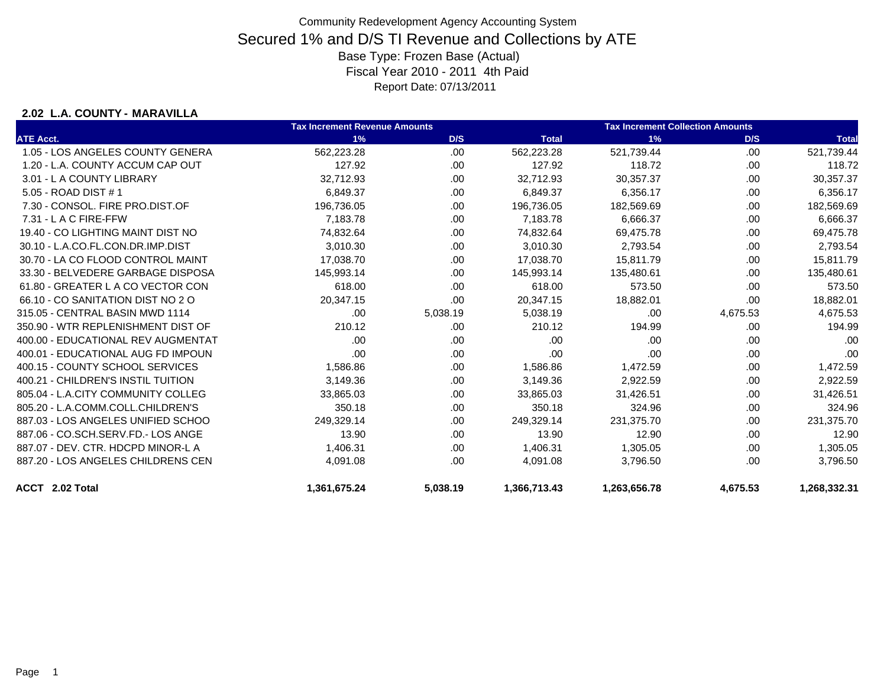### **2.02 L.A. COUNTY - MARAVILLA**

|                                    | <b>Tax Increment Revenue Amounts</b> |          |              | <b>Tax Increment Collection Amounts</b> |          |              |
|------------------------------------|--------------------------------------|----------|--------------|-----------------------------------------|----------|--------------|
| <b>ATE Acct.</b>                   | 1%                                   | D/S      | <b>Total</b> | 1%                                      | D/S      | <b>Total</b> |
| 1.05 - LOS ANGELES COUNTY GENERA   | 562,223.28                           | .00      | 562,223.28   | 521,739.44                              | .00      | 521,739.44   |
| 1.20 - L.A. COUNTY ACCUM CAP OUT   | 127.92                               | .00      | 127.92       | 118.72                                  | .00      | 118.72       |
| 3.01 - L A COUNTY LIBRARY          | 32,712.93                            | .00.     | 32,712.93    | 30,357.37                               | .00      | 30,357.37    |
| 5.05 - ROAD DIST # 1               | 6,849.37                             | .00      | 6,849.37     | 6,356.17                                | .00      | 6,356.17     |
| 7.30 - CONSOL, FIRE PRO.DIST.OF    | 196,736.05                           | .00.     | 196,736.05   | 182,569.69                              | .00      | 182,569.69   |
| 7.31 - L A C FIRE-FFW              | 7,183.78                             | .00.     | 7,183.78     | 6,666.37                                | .00      | 6,666.37     |
| 19.40 - CO LIGHTING MAINT DIST NO  | 74,832.64                            | .00      | 74,832.64    | 69,475.78                               | .00      | 69,475.78    |
| 30.10 - L.A.CO.FL.CON.DR.IMP.DIST  | 3,010.30                             | .00.     | 3,010.30     | 2,793.54                                | .00      | 2,793.54     |
| 30.70 - LA CO FLOOD CONTROL MAINT  | 17,038.70                            | .00.     | 17,038.70    | 15,811.79                               | .00      | 15,811.79    |
| 33.30 - BELVEDERE GARBAGE DISPOSA  | 145,993.14                           | .00      | 145,993.14   | 135,480.61                              | .00      | 135,480.61   |
| 61.80 - GREATER L A CO VECTOR CON  | 618.00                               | .00.     | 618.00       | 573.50                                  | .00.     | 573.50       |
| 66.10 - CO SANITATION DIST NO 2 O  | 20,347.15                            | .00.     | 20,347.15    | 18,882.01                               | .00      | 18,882.01    |
| 315.05 - CENTRAL BASIN MWD 1114    | .00                                  | 5,038.19 | 5,038.19     | .00                                     | 4,675.53 | 4,675.53     |
| 350.90 - WTR REPLENISHMENT DIST OF | 210.12                               | .00.     | 210.12       | 194.99                                  | .00      | 194.99       |
| 400.00 - EDUCATIONAL REV AUGMENTAT | .00                                  | .00.     | .00          | .00                                     | .00      | .00          |
| 400.01 - EDUCATIONAL AUG FD IMPOUN | .00                                  | .00.     | .00          | .00                                     | .00      | .00          |
| 400.15 - COUNTY SCHOOL SERVICES    | 1,586.86                             | .00      | 1,586.86     | 1,472.59                                | .00      | 1,472.59     |
| 400.21 - CHILDREN'S INSTIL TUITION | 3,149.36                             | .00.     | 3,149.36     | 2,922.59                                | .00      | 2,922.59     |
| 805.04 - L.A.CITY COMMUNITY COLLEG | 33,865.03                            | .00      | 33,865.03    | 31,426.51                               | .00      | 31,426.51    |
| 805.20 - L.A.COMM.COLL.CHILDREN'S  | 350.18                               | .00.     | 350.18       | 324.96                                  | .00      | 324.96       |
| 887.03 - LOS ANGELES UNIFIED SCHOO | 249,329.14                           | .00.     | 249,329.14   | 231,375.70                              | .00      | 231,375.70   |
| 887.06 - CO.SCH.SERV.FD.- LOS ANGE | 13.90                                | .00.     | 13.90        | 12.90                                   | .00      | 12.90        |
| 887.07 - DEV. CTR. HDCPD MINOR-L A | 1,406.31                             | .00      | 1,406.31     | 1,305.05                                | .00      | 1,305.05     |
| 887.20 - LOS ANGELES CHILDRENS CEN | 4,091.08                             | .00      | 4,091.08     | 3,796.50                                | .00      | 3,796.50     |
| ACCT 2.02 Total                    | 1,361,675.24                         | 5,038.19 | 1,366,713.43 | 1,263,656.78                            | 4,675.53 | 1,268,332.31 |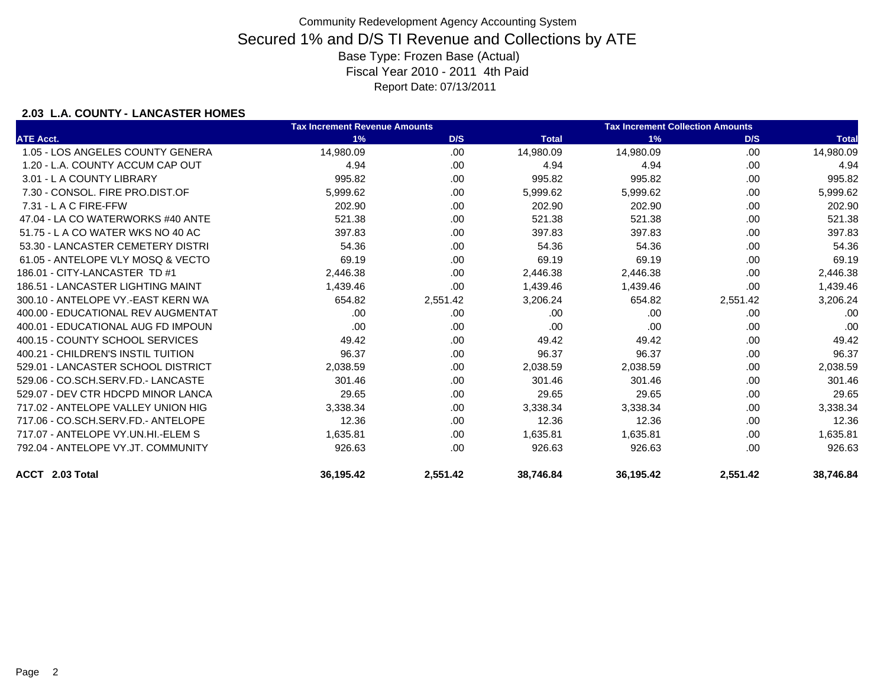### **2.03 L.A. COUNTY - LANCASTER HOMES**

|                                    | <b>Tax Increment Revenue Amounts</b> |          |              | <b>Tax Increment Collection Amounts</b> |          |              |
|------------------------------------|--------------------------------------|----------|--------------|-----------------------------------------|----------|--------------|
| <b>ATE Acct.</b>                   | 1%                                   | D/S      | <b>Total</b> | 1%                                      | D/S      | <b>Total</b> |
| 1.05 - LOS ANGELES COUNTY GENERA   | 14,980.09                            | .00      | 14,980.09    | 14,980.09                               | .00      | 14,980.09    |
| 1.20 - L.A. COUNTY ACCUM CAP OUT   | 4.94                                 | .00.     | 4.94         | 4.94                                    | .00      | 4.94         |
| 3.01 - L A COUNTY LIBRARY          | 995.82                               | .00.     | 995.82       | 995.82                                  | .00      | 995.82       |
| 7.30 - CONSOL, FIRE PRO.DIST.OF    | 5,999.62                             | .00      | 5,999.62     | 5,999.62                                | .00      | 5,999.62     |
| $7.31 - L$ A C FIRE-FFW            | 202.90                               | .00      | 202.90       | 202.90                                  | .00      | 202.90       |
| 47.04 - LA CO WATERWORKS #40 ANTE  | 521.38                               | .00      | 521.38       | 521.38                                  | .00      | 521.38       |
| 51.75 - L A CO WATER WKS NO 40 AC  | 397.83                               | .00.     | 397.83       | 397.83                                  | .00.     | 397.83       |
| 53.30 - LANCASTER CEMETERY DISTRI  | 54.36                                | .00      | 54.36        | 54.36                                   | .00      | 54.36        |
| 61.05 - ANTELOPE VLY MOSO & VECTO  | 69.19                                | .00      | 69.19        | 69.19                                   | .00      | 69.19        |
| 186.01 - CITY-LANCASTER TD #1      | 2,446.38                             | .00.     | 2,446.38     | 2,446.38                                | .00      | 2,446.38     |
| 186.51 - LANCASTER LIGHTING MAINT  | 1,439.46                             | .00      | 1,439.46     | 1,439.46                                | .00      | 1,439.46     |
| 300.10 - ANTELOPE VY.-EAST KERN WA | 654.82                               | 2,551.42 | 3,206.24     | 654.82                                  | 2,551.42 | 3,206.24     |
| 400.00 - EDUCATIONAL REV AUGMENTAT | .00                                  | .00      | .00          | .00                                     | .00      | .00          |
| 400.01 - EDUCATIONAL AUG FD IMPOUN | .00                                  | .00      | .00          | .00                                     | .00      | .00          |
| 400.15 - COUNTY SCHOOL SERVICES    | 49.42                                | .00      | 49.42        | 49.42                                   | .00      | 49.42        |
| 400.21 - CHILDREN'S INSTIL TUITION | 96.37                                | .00.     | 96.37        | 96.37                                   | .00      | 96.37        |
| 529.01 - LANCASTER SCHOOL DISTRICT | 2,038.59                             | .00.     | 2,038.59     | 2,038.59                                | .00      | 2,038.59     |
| 529.06 - CO.SCH.SERV.FD.- LANCASTE | 301.46                               | .00      | 301.46       | 301.46                                  | .00      | 301.46       |
| 529.07 - DEV CTR HDCPD MINOR LANCA | 29.65                                | .00      | 29.65        | 29.65                                   | .00      | 29.65        |
| 717.02 - ANTELOPE VALLEY UNION HIG | 3,338.34                             | .00      | 3,338.34     | 3,338.34                                | .00      | 3,338.34     |
| 717.06 - CO.SCH.SERV.FD.- ANTELOPE | 12.36                                | .00      | 12.36        | 12.36                                   | .00      | 12.36        |
| 717.07 - ANTELOPE VY.UN.HI.-ELEM S | 1,635.81                             | .00.     | 1,635.81     | 1,635.81                                | .00      | 1,635.81     |
| 792.04 - ANTELOPE VY.JT. COMMUNITY | 926.63                               | .00.     | 926.63       | 926.63                                  | .00      | 926.63       |
| ACCT 2.03 Total                    | 36,195.42                            | 2,551.42 | 38,746.84    | 36,195.42                               | 2,551.42 | 38,746.84    |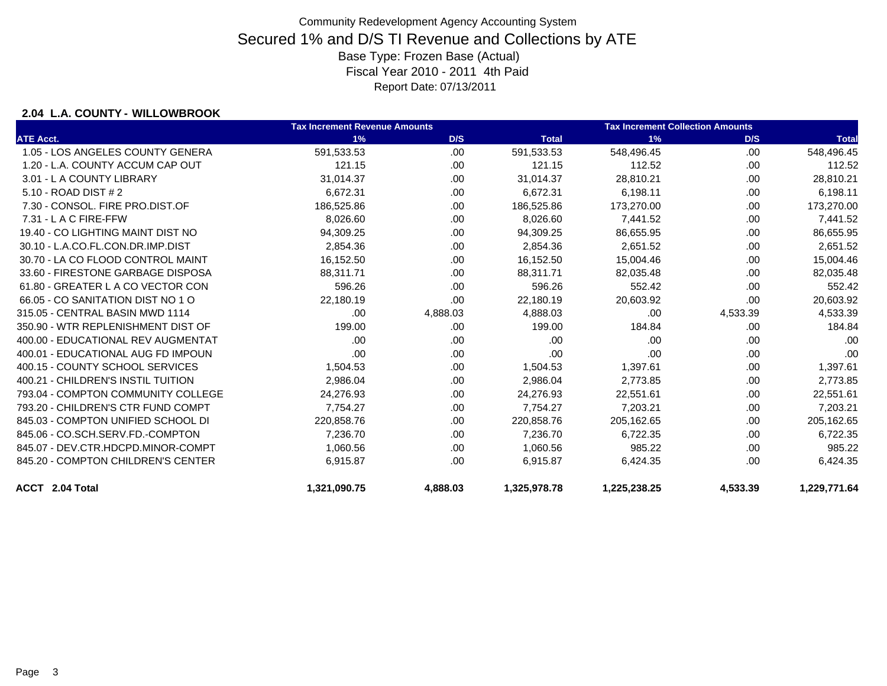### **2.04 L.A. COUNTY - WILLOWBROOK**

|                                    | <b>Tax Increment Revenue Amounts</b> |          |              | <b>Tax Increment Collection Amounts</b> |          |              |  |
|------------------------------------|--------------------------------------|----------|--------------|-----------------------------------------|----------|--------------|--|
| <b>ATE Acct.</b>                   | 1%                                   | D/S      | <b>Total</b> | 1%                                      | D/S      | <b>Total</b> |  |
| 1.05 - LOS ANGELES COUNTY GENERA   | 591,533.53                           | .00      | 591,533.53   | 548,496.45                              | .00      | 548,496.45   |  |
| 1.20 - L.A. COUNTY ACCUM CAP OUT   | 121.15                               | .00      | 121.15       | 112.52                                  | .00      | 112.52       |  |
| 3.01 - L A COUNTY LIBRARY          | 31,014.37                            | .00      | 31,014.37    | 28,810.21                               | .00      | 28,810.21    |  |
| 5.10 - ROAD DIST # 2               | 6,672.31                             | .00      | 6,672.31     | 6,198.11                                | .00      | 6,198.11     |  |
| 7.30 - CONSOL, FIRE PRO.DIST.OF    | 186,525.86                           | .00      | 186,525.86   | 173,270.00                              | .00      | 173,270.00   |  |
| $7.31 - L$ A C FIRE-FFW            | 8,026.60                             | .00      | 8,026.60     | 7,441.52                                | .00      | 7,441.52     |  |
| 19.40 - CO LIGHTING MAINT DIST NO  | 94,309.25                            | .00      | 94,309.25    | 86,655.95                               | .00      | 86,655.95    |  |
| 30.10 - L.A.CO.FL.CON.DR.IMP.DIST  | 2,854.36                             | .00      | 2,854.36     | 2,651.52                                | .00.     | 2,651.52     |  |
| 30.70 - LA CO FLOOD CONTROL MAINT  | 16,152.50                            | .00      | 16,152.50    | 15,004.46                               | .00      | 15,004.46    |  |
| 33.60 - FIRESTONE GARBAGE DISPOSA  | 88,311.71                            | .00      | 88.311.71    | 82,035.48                               | .00      | 82,035.48    |  |
| 61.80 - GREATER L A CO VECTOR CON  | 596.26                               | .00      | 596.26       | 552.42                                  | .00      | 552.42       |  |
| 66.05 - CO SANITATION DIST NO 1 O  | 22,180.19                            | .00      | 22,180.19    | 20,603.92                               | .00      | 20,603.92    |  |
| 315.05 - CENTRAL BASIN MWD 1114    | .00                                  | 4,888.03 | 4,888.03     | .00                                     | 4,533.39 | 4,533.39     |  |
| 350.90 - WTR REPLENISHMENT DIST OF | 199.00                               | .00      | 199.00       | 184.84                                  | .00      | 184.84       |  |
| 400.00 - EDUCATIONAL REV AUGMENTAT | .00                                  | .00      | .00          | .00                                     | .00      | .00          |  |
| 400.01 - EDUCATIONAL AUG FD IMPOUN | .00                                  | .00      | .00          | .00                                     | .00      | .00          |  |
| 400.15 - COUNTY SCHOOL SERVICES    | 1,504.53                             | .00      | 1,504.53     | 1,397.61                                | .00      | 1,397.61     |  |
| 400.21 - CHILDREN'S INSTIL TUITION | 2,986.04                             | .00      | 2,986.04     | 2,773.85                                | .00      | 2,773.85     |  |
| 793.04 - COMPTON COMMUNITY COLLEGE | 24,276.93                            | .00      | 24,276.93    | 22,551.61                               | .00      | 22,551.61    |  |
| 793.20 - CHILDREN'S CTR FUND COMPT | 7,754.27                             | .00      | 7,754.27     | 7,203.21                                | .00      | 7,203.21     |  |
| 845.03 - COMPTON UNIFIED SCHOOL DI | 220,858.76                           | .00      | 220,858.76   | 205,162.65                              | .00.     | 205,162.65   |  |
| 845.06 - CO.SCH.SERV.FD.-COMPTON   | 7,236.70                             | .00      | 7,236.70     | 6,722.35                                | .00.     | 6,722.35     |  |
| 845.07 - DEV.CTR.HDCPD.MINOR-COMPT | 1,060.56                             | .00      | 1,060.56     | 985.22                                  | .00      | 985.22       |  |
| 845.20 - COMPTON CHILDREN'S CENTER | 6,915.87                             | .00      | 6,915.87     | 6,424.35                                | .00      | 6,424.35     |  |
| ACCT 2.04 Total                    | 1,321,090.75                         | 4,888.03 | 1,325,978.78 | 1,225,238.25                            | 4,533.39 | 1,229,771.64 |  |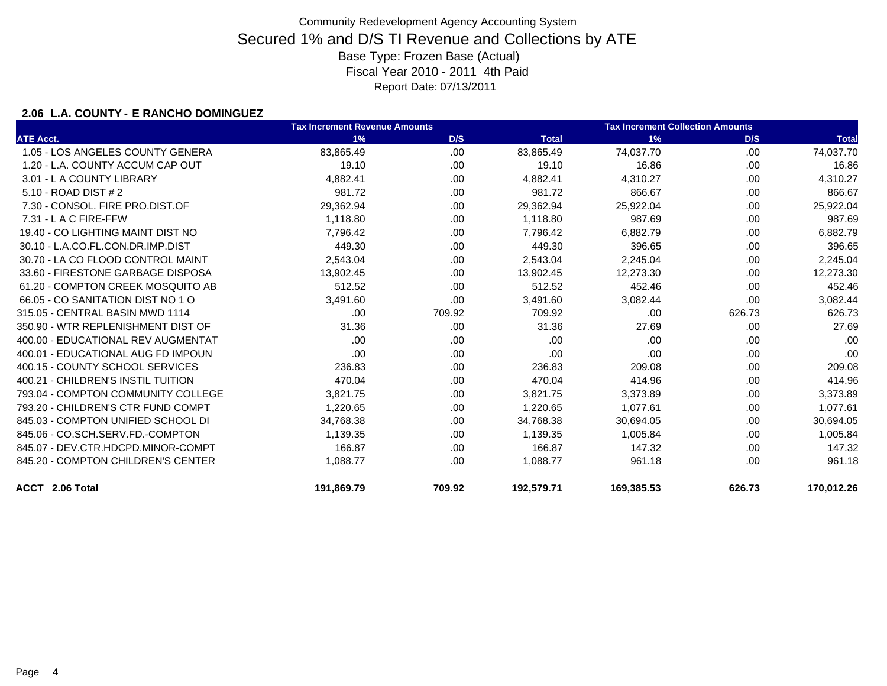### **2.06 L.A. COUNTY - E RANCHO DOMINGUEZ**

|                                    | <b>Tax Increment Revenue Amounts</b> | <b>Tax Increment Collection Amounts</b> |              |            |        |              |
|------------------------------------|--------------------------------------|-----------------------------------------|--------------|------------|--------|--------------|
| <b>ATE Acct.</b>                   | 1%                                   | D/S                                     | <b>Total</b> | 1%         | D/S    | <b>Total</b> |
| 1.05 - LOS ANGELES COUNTY GENERA   | 83,865.49                            | .00                                     | 83,865.49    | 74.037.70  | .00    | 74,037.70    |
| 1.20 - L.A. COUNTY ACCUM CAP OUT   | 19.10                                | .00                                     | 19.10        | 16.86      | .00    | 16.86        |
| 3.01 - L A COUNTY LIBRARY          | 4,882.41                             | .00                                     | 4,882.41     | 4,310.27   | .00    | 4,310.27     |
| 5.10 - ROAD DIST # 2               | 981.72                               | .00                                     | 981.72       | 866.67     | .00    | 866.67       |
| 7.30 - CONSOL, FIRE PRO.DIST.OF    | 29,362.94                            | .00                                     | 29,362.94    | 25,922.04  | .00    | 25,922.04    |
| 7.31 - L A C FIRE-FFW              | 1,118.80                             | .00                                     | 1,118.80     | 987.69     | .00.   | 987.69       |
| 19.40 - CO LIGHTING MAINT DIST NO  | 7,796.42                             | .00                                     | 7.796.42     | 6,882.79   | .00    | 6,882.79     |
| 30.10 - L.A.CO.FL.CON.DR.IMP.DIST  | 449.30                               | .00                                     | 449.30       | 396.65     | .00    | 396.65       |
| 30.70 - LA CO FLOOD CONTROL MAINT  | 2,543.04                             | .00                                     | 2,543.04     | 2,245.04   | .00    | 2,245.04     |
| 33.60 - FIRESTONE GARBAGE DISPOSA  | 13,902.45                            | .00                                     | 13,902.45    | 12,273.30  | .00    | 12,273.30    |
| 61.20 - COMPTON CREEK MOSQUITO AB  | 512.52                               | .00                                     | 512.52       | 452.46     | .00    | 452.46       |
| 66.05 - CO SANITATION DIST NO 1 O  | 3,491.60                             | .00                                     | 3,491.60     | 3,082.44   | .00    | 3,082.44     |
| 315.05 - CENTRAL BASIN MWD 1114    | .00                                  | 709.92                                  | 709.92       | .00        | 626.73 | 626.73       |
| 350.90 - WTR REPLENISHMENT DIST OF | 31.36                                | .00                                     | 31.36        | 27.69      | .00.   | 27.69        |
| 400.00 - EDUCATIONAL REV AUGMENTAT | .00                                  | .00                                     | .00.         | .00.       | .00    | .00          |
| 400.01 - EDUCATIONAL AUG FD IMPOUN | .00                                  | .00                                     | .00          | .00        | .00    | .00          |
| 400.15 - COUNTY SCHOOL SERVICES    | 236.83                               | .00                                     | 236.83       | 209.08     | .00    | 209.08       |
| 400.21 - CHILDREN'S INSTIL TUITION | 470.04                               | .00                                     | 470.04       | 414.96     | .00    | 414.96       |
| 793.04 - COMPTON COMMUNITY COLLEGE | 3,821.75                             | .00                                     | 3,821.75     | 3,373.89   | .00    | 3,373.89     |
| 793.20 - CHILDREN'S CTR FUND COMPT | 1,220.65                             | .00                                     | 1,220.65     | 1,077.61   | .00    | 1,077.61     |
| 845.03 - COMPTON UNIFIED SCHOOL DI | 34,768.38                            | .00                                     | 34,768.38    | 30,694.05  | .00    | 30,694.05    |
| 845.06 - CO.SCH.SERV.FD.-COMPTON   | 1,139.35                             | .00                                     | 1,139.35     | 1,005.84   | .00    | 1,005.84     |
| 845.07 - DEV.CTR.HDCPD.MINOR-COMPT | 166.87                               | .00                                     | 166.87       | 147.32     | .00    | 147.32       |
| 845.20 - COMPTON CHILDREN'S CENTER | 1,088.77                             | .00.                                    | 1.088.77     | 961.18     | .00.   | 961.18       |
| ACCT 2.06 Total                    | 191,869.79                           | 709.92                                  | 192,579.71   | 169,385.53 | 626.73 | 170,012.26   |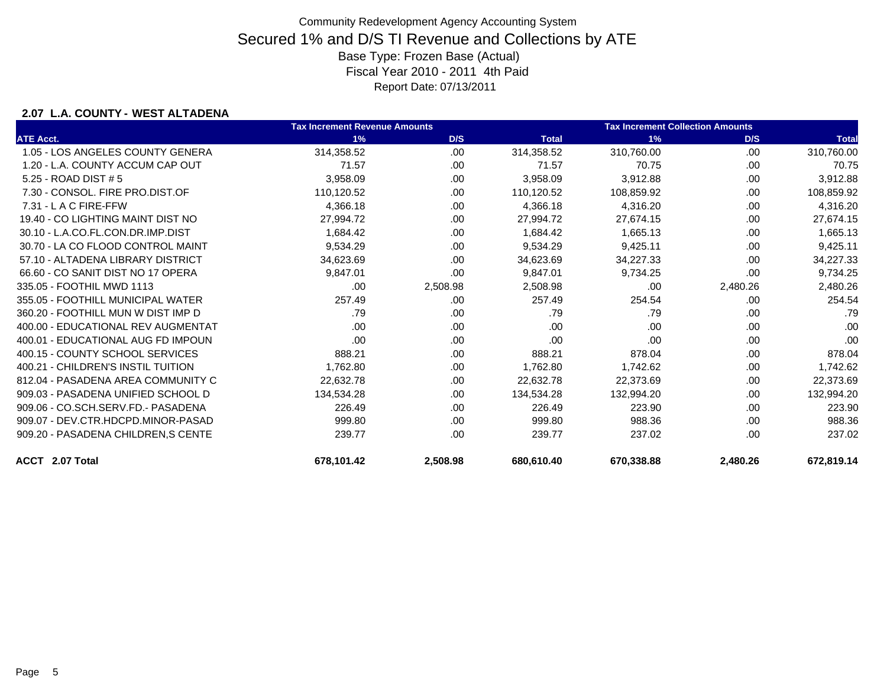### **2.07 L.A. COUNTY - WEST ALTADENA**

|                                     | <b>Tax Increment Revenue Amounts</b> |          |              | <b>Tax Increment Collection Amounts</b> |          |              |
|-------------------------------------|--------------------------------------|----------|--------------|-----------------------------------------|----------|--------------|
| <b>ATE Acct.</b>                    | 1%                                   | D/S      | <b>Total</b> | 1%                                      | D/S      | <b>Total</b> |
| 1.05 - LOS ANGELES COUNTY GENERA    | 314,358.52                           | .00.     | 314,358.52   | 310,760.00                              | .00      | 310,760.00   |
| 1.20 - L.A. COUNTY ACCUM CAP OUT    | 71.57                                | .00.     | 71.57        | 70.75                                   | .00      | 70.75        |
| 5.25 - ROAD DIST # 5                | 3,958.09                             | .00      | 3,958.09     | 3,912.88                                | .00      | 3,912.88     |
| 7.30 - CONSOL, FIRE PRO.DIST.OF     | 110,120.52                           | .00.     | 110,120.52   | 108,859.92                              | .00      | 108,859.92   |
| 7.31 - L A C FIRE-FFW               | 4,366.18                             | .00.     | 4,366.18     | 4,316.20                                | .00      | 4,316.20     |
| 19.40 - CO LIGHTING MAINT DIST NO   | 27,994.72                            | .00.     | 27,994.72    | 27,674.15                               | .00      | 27,674.15    |
| 30.10 - L.A.CO.FL.CON.DR.IMP.DIST   | 1,684.42                             | .00.     | 1,684.42     | 1,665.13                                | .00      | 1,665.13     |
| 30.70 - LA CO FLOOD CONTROL MAINT   | 9,534.29                             | .00      | 9,534.29     | 9,425.11                                | .00      | 9,425.11     |
| 57.10 - ALTADENA LIBRARY DISTRICT   | 34,623.69                            | .00.     | 34,623.69    | 34,227.33                               | .00      | 34,227.33    |
| 66.60 - CO SANIT DIST NO 17 OPERA   | 9,847.01                             | .00      | 9,847.01     | 9,734.25                                | .00      | 9,734.25     |
| 335.05 - FOOTHIL MWD 1113           | .00                                  | 2,508.98 | 2,508.98     | .00                                     | 2,480.26 | 2,480.26     |
| 355.05 - FOOTHILL MUNICIPAL WATER   | 257.49                               | .00      | 257.49       | 254.54                                  | .00      | 254.54       |
| 360.20 - FOOTHILL MUN W DIST IMP D  | .79                                  | .00      | .79          | .79                                     | .00      | .79          |
| 400.00 - EDUCATIONAL REV AUGMENTAT  | .00                                  | .00      | .00          | .00                                     | .00      | .00          |
| 400.01 - EDUCATIONAL AUG FD IMPOUN  | .00                                  | .00.     | .00          | .00                                     | .00      | .00          |
| 400.15 - COUNTY SCHOOL SERVICES     | 888.21                               | .00      | 888.21       | 878.04                                  | .00      | 878.04       |
| 400.21 - CHILDREN'S INSTIL TUITION  | 1,762.80                             | .00.     | 1,762.80     | 1,742.62                                | .00      | 1,742.62     |
| 812.04 - PASADENA AREA COMMUNITY C  | 22,632.78                            | .00.     | 22,632.78    | 22,373.69                               | .00      | 22,373.69    |
| 909.03 - PASADENA UNIFIED SCHOOL D  | 134.534.28                           | .00.     | 134.534.28   | 132.994.20                              | .00      | 132,994.20   |
| 909.06 - CO.SCH.SERV.FD.- PASADENA  | 226.49                               | .00.     | 226.49       | 223.90                                  | .00      | 223.90       |
| 909.07 - DEV.CTR.HDCPD.MINOR-PASAD  | 999.80                               | .00      | 999.80       | 988.36                                  | .00      | 988.36       |
| 909.20 - PASADENA CHILDREN, S CENTE | 239.77                               | .00      | 239.77       | 237.02                                  | .00      | 237.02       |
| ACCT 2.07 Total                     | 678,101.42                           | 2,508.98 | 680,610.40   | 670,338.88                              | 2,480.26 | 672,819.14   |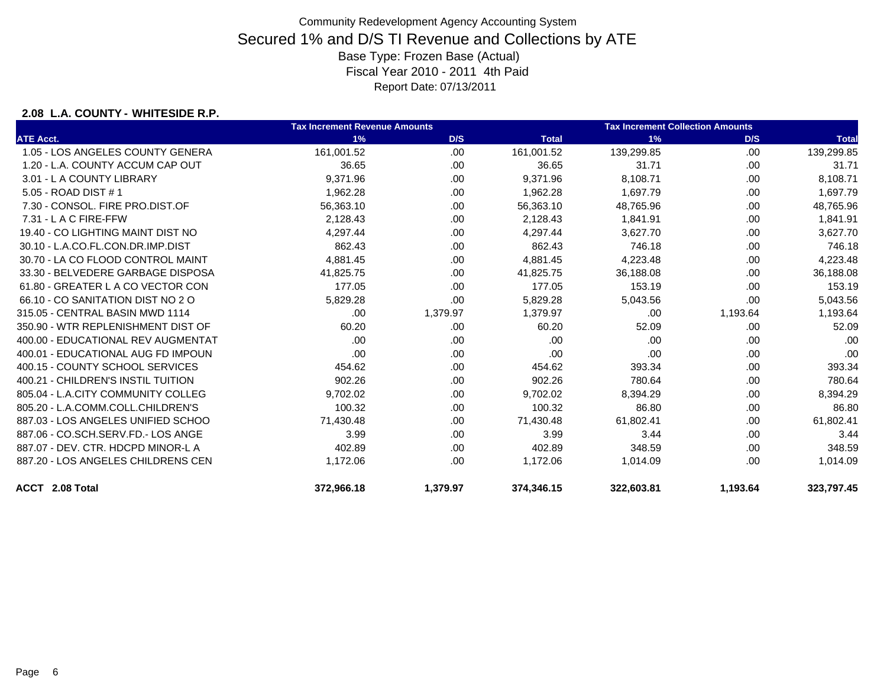### **2.08 L.A. COUNTY - WHITESIDE R.P.**

|                                    | <b>Tax Increment Revenue Amounts</b> |          |              | <b>Tax Increment Collection Amounts</b> |          |              |  |
|------------------------------------|--------------------------------------|----------|--------------|-----------------------------------------|----------|--------------|--|
| <b>ATE Acct.</b>                   | 1%                                   | D/S      | <b>Total</b> | 1%                                      | D/S      | <b>Total</b> |  |
| 1.05 - LOS ANGELES COUNTY GENERA   | 161.001.52                           | .00      | 161,001.52   | 139,299.85                              | .00      | 139,299.85   |  |
| 1.20 - L.A. COUNTY ACCUM CAP OUT   | 36.65                                | .00      | 36.65        | 31.71                                   | .00.     | 31.71        |  |
| 3.01 - L A COUNTY LIBRARY          | 9,371.96                             | .00      | 9,371.96     | 8,108.71                                | .00      | 8,108.71     |  |
| 5.05 - ROAD DIST # 1               | 1,962.28                             | .00      | 1,962.28     | 1,697.79                                | .00      | 1,697.79     |  |
| 7.30 - CONSOL, FIRE PRO.DIST.OF    | 56,363.10                            | .00      | 56,363.10    | 48,765.96                               | .00      | 48,765.96    |  |
| $7.31 - L$ A C FIRE-FFW            | 2,128.43                             | .00.     | 2,128.43     | 1,841.91                                | .00      | 1,841.91     |  |
| 19.40 - CO LIGHTING MAINT DIST NO  | 4,297.44                             | .00.     | 4,297.44     | 3,627.70                                | .00      | 3,627.70     |  |
| 30.10 - L.A.CO.FL.CON.DR.IMP.DIST  | 862.43                               | .00      | 862.43       | 746.18                                  | .00      | 746.18       |  |
| 30.70 - LA CO FLOOD CONTROL MAINT  | 4,881.45                             | .00      | 4,881.45     | 4,223.48                                | .00      | 4,223.48     |  |
| 33.30 - BELVEDERE GARBAGE DISPOSA  | 41,825.75                            | .00      | 41,825.75    | 36,188.08                               | .00      | 36,188.08    |  |
| 61.80 - GREATER L A CO VECTOR CON  | 177.05                               | .00      | 177.05       | 153.19                                  | .00      | 153.19       |  |
| 66.10 - CO SANITATION DIST NO 2 O  | 5,829.28                             | .00      | 5,829.28     | 5,043.56                                | .00      | 5,043.56     |  |
| 315.05 - CENTRAL BASIN MWD 1114    | .00                                  | 1,379.97 | 1,379.97     | .00                                     | 1,193.64 | 1,193.64     |  |
| 350.90 - WTR REPLENISHMENT DIST OF | 60.20                                | .00      | 60.20        | 52.09                                   | .00      | 52.09        |  |
| 400.00 - EDUCATIONAL REV AUGMENTAT | .00                                  | .00      | .00          | .00                                     | .00      | .00          |  |
| 400.01 - EDUCATIONAL AUG FD IMPOUN | .00                                  | .00      | .00          | .00                                     | .00      | .00          |  |
| 400.15 - COUNTY SCHOOL SERVICES    | 454.62                               | .00      | 454.62       | 393.34                                  | .00      | 393.34       |  |
| 400.21 - CHILDREN'S INSTIL TUITION | 902.26                               | .00.     | 902.26       | 780.64                                  | .00      | 780.64       |  |
| 805.04 - L.A.CITY COMMUNITY COLLEG | 9,702.02                             | .00      | 9,702.02     | 8,394.29                                | .00      | 8,394.29     |  |
| 805.20 - L.A.COMM.COLL.CHILDREN'S  | 100.32                               | .00.     | 100.32       | 86.80                                   | .00      | 86.80        |  |
| 887.03 - LOS ANGELES UNIFIED SCHOO | 71,430.48                            | .00      | 71,430.48    | 61,802.41                               | .00      | 61,802.41    |  |
| 887.06 - CO.SCH.SERV.FD.- LOS ANGE | 3.99                                 | .00.     | 3.99         | 3.44                                    | .00      | 3.44         |  |
| 887.07 - DEV. CTR. HDCPD MINOR-L A | 402.89                               | .00.     | 402.89       | 348.59                                  | .00      | 348.59       |  |
| 887.20 - LOS ANGELES CHILDRENS CEN | 1,172.06                             | .00.     | 1,172.06     | 1,014.09                                | .00      | 1,014.09     |  |
| ACCT 2.08 Total                    | 372,966.18                           | 1,379.97 | 374,346.15   | 322,603.81                              | 1,193.64 | 323,797.45   |  |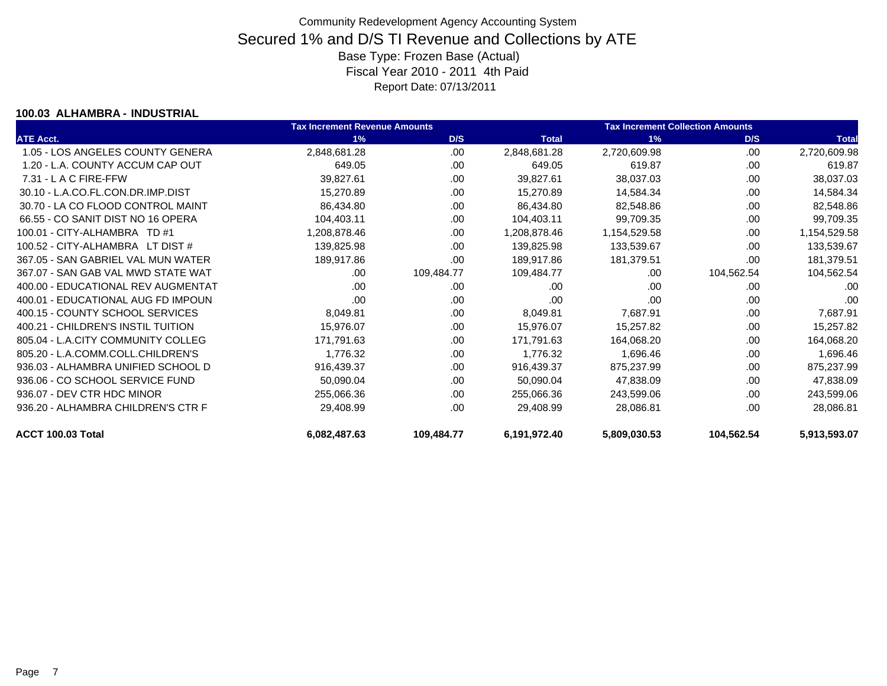#### **100.03 ALHAMBRA - INDUSTRIAL**

|                                    | <b>Tax Increment Revenue Amounts</b> |            | <b>Tax Increment Collection Amounts</b> |              |            |              |
|------------------------------------|--------------------------------------|------------|-----------------------------------------|--------------|------------|--------------|
| <b>ATE Acct.</b>                   | 1%                                   | D/S        | <b>Total</b>                            | 1%           | D/S        | <b>Total</b> |
| 1.05 - LOS ANGELES COUNTY GENERA   | 2,848,681.28                         | .00.       | 2,848,681.28                            | 2,720,609.98 | .00        | 2,720,609.98 |
| 1.20 - L.A. COUNTY ACCUM CAP OUT   | 649.05                               | .00        | 649.05                                  | 619.87       | .00        | 619.87       |
| $7.31 - L$ A C FIRE-FFW            | 39,827.61                            | .00        | 39,827.61                               | 38,037.03    | .00        | 38,037.03    |
| 30.10 - L.A.CO.FL.CON.DR.IMP.DIST  | 15,270.89                            | .00.       | 15,270.89                               | 14,584.34    | .00        | 14,584.34    |
| 30.70 - LA CO FLOOD CONTROL MAINT  | 86,434.80                            | .00        | 86,434.80                               | 82,548.86    | .00        | 82,548.86    |
| 66.55 - CO SANIT DIST NO 16 OPERA  | 104,403.11                           | .00        | 104,403.11                              | 99,709.35    | .00        | 99,709.35    |
| 100.01 - CITY-ALHAMBRA TD #1       | 1,208,878.46                         | .00        | 1,208,878.46                            | 1,154,529.58 | .00        | 1,154,529.58 |
| 100.52 - CITY-ALHAMBRA LT DIST #   | 139,825.98                           | .00        | 139,825.98                              | 133,539.67   | .00        | 133,539.67   |
| 367.05 - SAN GABRIEL VAL MUN WATER | 189,917.86                           | .00        | 189,917.86                              | 181,379.51   | .00        | 181,379.51   |
| 367.07 - SAN GAB VAL MWD STATE WAT | .00                                  | 109,484.77 | 109,484.77                              | .00          | 104,562.54 | 104,562.54   |
| 400.00 - EDUCATIONAL REV AUGMENTAT | .00                                  | .00.       | .00                                     | .00          | .00        | .00          |
| 400.01 - EDUCATIONAL AUG FD IMPOUN | .00                                  | .00        | .00                                     | .00          | .00        | .00          |
| 400.15 - COUNTY SCHOOL SERVICES    | 8,049.81                             | .00.       | 8,049.81                                | 7,687.91     | .00        | 7,687.91     |
| 400.21 - CHILDREN'S INSTIL TUITION | 15,976.07                            | .00        | 15,976.07                               | 15,257.82    | .00        | 15,257.82    |
| 805.04 - L.A.CITY COMMUNITY COLLEG | 171,791.63                           | .00.       | 171,791.63                              | 164,068.20   | .00        | 164,068.20   |
| 805.20 - L.A.COMM.COLL.CHILDREN'S  | 1,776.32                             | .00        | 1,776.32                                | 1,696.46     | .00        | 1,696.46     |
| 936.03 - ALHAMBRA UNIFIED SCHOOL D | 916,439.37                           | .00.       | 916,439.37                              | 875,237.99   | .00        | 875,237.99   |
| 936.06 - CO SCHOOL SERVICE FUND    | 50,090.04                            | .00        | 50,090.04                               | 47,838.09    | .00        | 47,838.09    |
| 936.07 - DEV CTR HDC MINOR         | 255,066.36                           | .00        | 255,066.36                              | 243,599.06   | .00        | 243,599.06   |
| 936.20 - ALHAMBRA CHILDREN'S CTR F | 29,408.99                            | .00        | 29,408.99                               | 28,086.81    | .00        | 28,086.81    |
| ACCT 100.03 Total                  | 6,082,487.63                         | 109,484.77 | 6,191,972.40                            | 5,809,030.53 | 104,562.54 | 5,913,593.07 |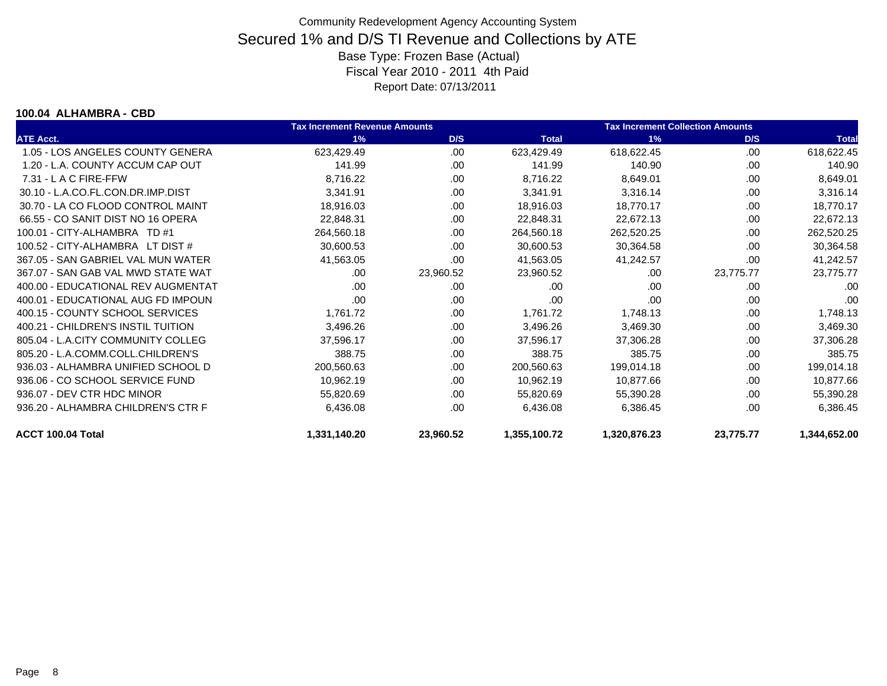#### **100.04 ALHAMBRA - CBD**

|                                    | <b>Tax Increment Revenue Amounts</b> |           |              | <b>Tax Increment Collection Amounts</b> |           |              |
|------------------------------------|--------------------------------------|-----------|--------------|-----------------------------------------|-----------|--------------|
| <b>ATE Acct.</b>                   | 1%                                   | D/S       | <b>Total</b> | 1%                                      | D/S       | <b>Total</b> |
| 1.05 - LOS ANGELES COUNTY GENERA   | 623,429.49                           | .00.      | 623,429.49   | 618,622.45                              | .00       | 618,622.45   |
| 1.20 - L.A. COUNTY ACCUM CAP OUT   | 141.99                               | .00.      | 141.99       | 140.90                                  | .00       | 140.90       |
| 7.31 - L A C FIRE-FFW              | 8,716.22                             | .00       | 8,716.22     | 8,649.01                                | .00       | 8,649.01     |
| 30.10 - L.A.CO.FL.CON.DR.IMP.DIST  | 3,341.91                             | .00.      | 3,341.91     | 3,316.14                                | .00       | 3,316.14     |
| 30.70 - LA CO FLOOD CONTROL MAINT  | 18,916.03                            | .00.      | 18,916.03    | 18,770.17                               | .00       | 18,770.17    |
| 66.55 - CO SANIT DIST NO 16 OPERA  | 22,848.31                            | .00.      | 22,848.31    | 22,672.13                               | .00       | 22,672.13    |
| 100.01 - CITY-ALHAMBRA TD #1       | 264,560.18                           | .00.      | 264,560.18   | 262,520.25                              | .00       | 262,520.25   |
| 100.52 - CITY-ALHAMBRA LT DIST #   | 30,600.53                            | .00       | 30,600.53    | 30,364.58                               | .00       | 30,364.58    |
| 367.05 - SAN GABRIEL VAL MUN WATER | 41,563.05                            | .00       | 41,563.05    | 41,242.57                               | .00       | 41,242.57    |
| 367.07 - SAN GAB VAL MWD STATE WAT | .00                                  | 23,960.52 | 23,960.52    | .00                                     | 23,775.77 | 23,775.77    |
| 400.00 - EDUCATIONAL REV AUGMENTAT | .00                                  | .00       | .00          | .00.                                    | .00       | .00          |
| 400.01 - EDUCATIONAL AUG FD IMPOUN | .00                                  | .00       | .00          | .00.                                    | .00       | .00          |
| 400.15 - COUNTY SCHOOL SERVICES    | 1,761.72                             | .00       | 1,761.72     | 1,748.13                                | .00       | 1,748.13     |
| 400.21 - CHILDREN'S INSTIL TUITION | 3,496.26                             | .00       | 3,496.26     | 3,469.30                                | .00       | 3,469.30     |
| 805.04 - L.A.CITY COMMUNITY COLLEG | 37,596.17                            | .00       | 37,596.17    | 37,306.28                               | .00       | 37,306.28    |
| 805.20 - L.A.COMM.COLL.CHILDREN'S  | 388.75                               | .00       | 388.75       | 385.75                                  | .00       | 385.75       |
| 936.03 - ALHAMBRA UNIFIED SCHOOL D | 200,560.63                           | .00       | 200,560.63   | 199,014.18                              | .00       | 199,014.18   |
| 936.06 - CO SCHOOL SERVICE FUND    | 10,962.19                            | .00       | 10,962.19    | 10,877.66                               | .00       | 10,877.66    |
| 936.07 - DEV CTR HDC MINOR         | 55,820.69                            | .00       | 55,820.69    | 55,390.28                               | .00       | 55,390.28    |
| 936.20 - ALHAMBRA CHILDREN'S CTR F | 6,436.08                             | .00       | 6,436.08     | 6,386.45                                | .00       | 6,386.45     |
| ACCT 100.04 Total                  | 1,331,140.20                         | 23,960.52 | 1,355,100.72 | 1,320,876.23                            | 23,775.77 | 1,344,652.00 |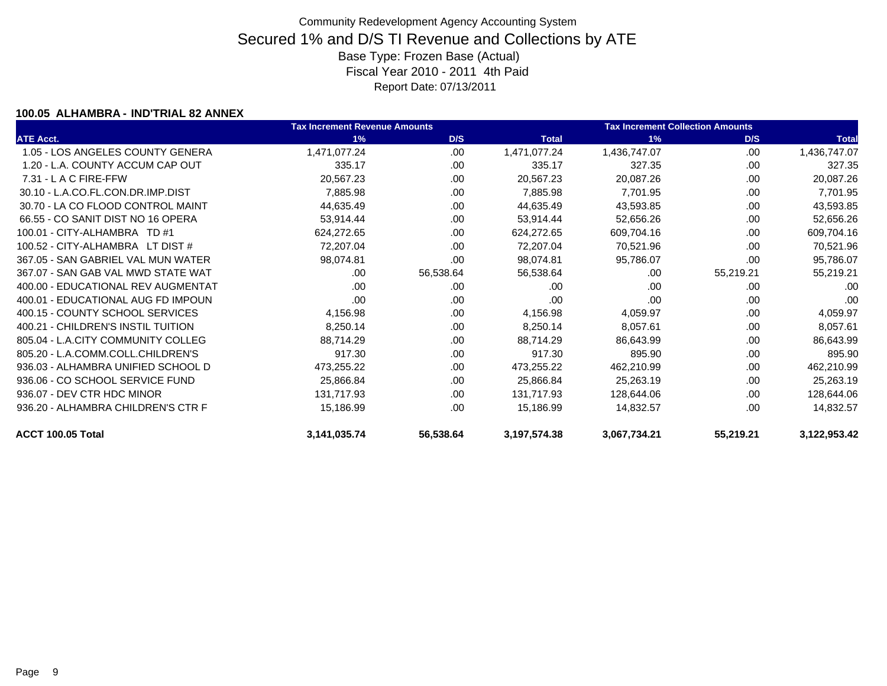#### **100.05 ALHAMBRA - IND'TRIAL 82 ANNEX**

|                                    | <b>Tax Increment Revenue Amounts</b> |           |                 | <b>Tax Increment Collection Amounts</b> |           |              |
|------------------------------------|--------------------------------------|-----------|-----------------|-----------------------------------------|-----------|--------------|
| <b>ATE Acct.</b>                   | 1%                                   | D/S       | <b>Total</b>    | 1%                                      | D/S       | <b>Total</b> |
| 1.05 - LOS ANGELES COUNTY GENERA   | 1,471,077.24                         | .00       | 1,471,077.24    | 1,436,747.07                            | .00       | 1,436,747.07 |
| 1.20 - L.A. COUNTY ACCUM CAP OUT   | 335.17                               | .00       | 335.17          | 327.35                                  | .00       | 327.35       |
| $7.31 - L$ A C FIRE-FFW            | 20,567.23                            | .00       | 20,567.23       | 20,087.26                               | .00.      | 20,087.26    |
| 30.10 - L.A.CO.FL.CON.DR.IMP.DIST  | 7,885.98                             | .00       | 7,885.98        | 7,701.95                                | .00       | 7,701.95     |
| 30.70 - LA CO FLOOD CONTROL MAINT  | 44,635.49                            | .00       | 44,635.49       | 43,593.85                               | .00       | 43,593.85    |
| 66.55 - CO SANIT DIST NO 16 OPERA  | 53,914.44                            | .00       | 53,914.44       | 52,656.26                               | .00       | 52,656.26    |
| 100.01 - CITY-ALHAMBRA TD #1       | 624,272.65                           | .00       | 624,272.65      | 609,704.16                              | .00.      | 609,704.16   |
| 100.52 - CITY-ALHAMBRA LT DIST #   | 72,207.04                            | .00.      | 72,207.04       | 70,521.96                               | .00       | 70,521.96    |
| 367.05 - SAN GABRIEL VAL MUN WATER | 98,074.81                            | .00       | 98,074.81       | 95,786.07                               | .00       | 95,786.07    |
| 367.07 - SAN GAB VAL MWD STATE WAT | .00.                                 | 56,538.64 | 56,538.64       | .00                                     | 55,219.21 | 55,219.21    |
| 400.00 - EDUCATIONAL REV AUGMENTAT | .00.                                 | .00       | .00             | .00                                     | .00       | .00          |
| 400.01 - EDUCATIONAL AUG FD IMPOUN | .00.                                 | .00       | .00             | .00                                     | .00       | .00          |
| 400.15 - COUNTY SCHOOL SERVICES    | 4,156.98                             | .00       | 4,156.98        | 4,059.97                                | .00       | 4,059.97     |
| 400.21 - CHILDREN'S INSTIL TUITION | 8,250.14                             | .00       | 8,250.14        | 8,057.61                                | .00       | 8,057.61     |
| 805.04 - L.A.CITY COMMUNITY COLLEG | 88,714.29                            | .00       | 88,714.29       | 86,643.99                               | .00       | 86,643.99    |
| 805.20 - L.A.COMM.COLL.CHILDREN'S  | 917.30                               | .00       | 917.30          | 895.90                                  | .00       | 895.90       |
| 936.03 - ALHAMBRA UNIFIED SCHOOL D | 473,255.22                           | .00       | 473,255.22      | 462,210.99                              | .00       | 462,210.99   |
| 936.06 - CO SCHOOL SERVICE FUND    | 25,866.84                            | .00       | 25,866.84       | 25,263.19                               | .00       | 25,263.19    |
| 936.07 - DEV CTR HDC MINOR         | 131,717.93                           | .00       | 131,717.93      | 128,644.06                              | .00.      | 128,644.06   |
| 936.20 - ALHAMBRA CHILDREN'S CTR F | 15,186.99                            | .00.      | 15,186.99       | 14,832.57                               | .00       | 14,832.57    |
| ACCT 100.05 Total                  | 3, 141, 035. 74                      | 56,538.64 | 3, 197, 574. 38 | 3,067,734.21                            | 55,219.21 | 3,122,953.42 |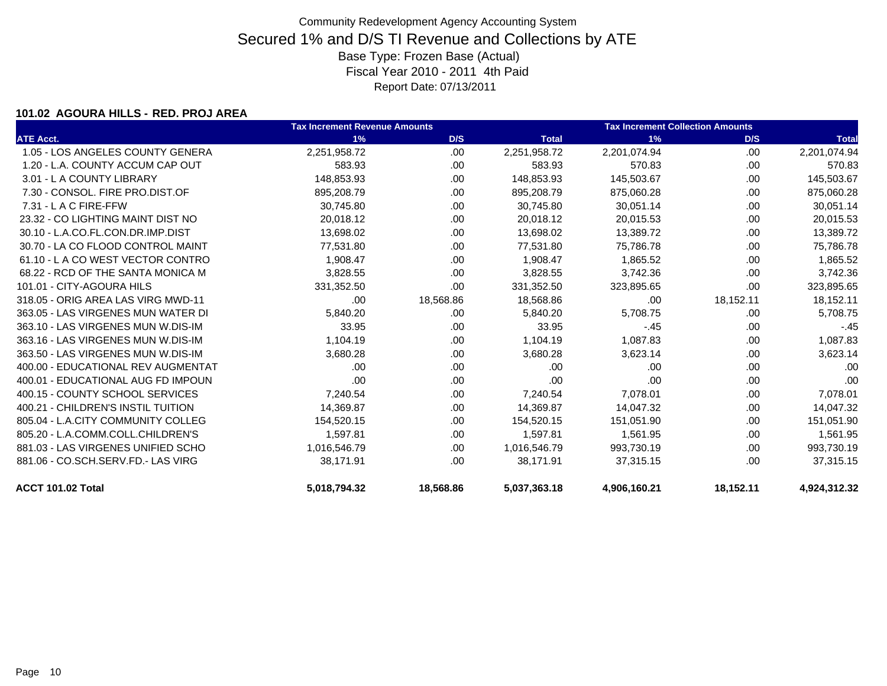### **101.02 AGOURA HILLS - RED. PROJ AREA**

|                                    | <b>Tax Increment Revenue Amounts</b> |           | <b>Tax Increment Collection Amounts</b> |              |           |              |
|------------------------------------|--------------------------------------|-----------|-----------------------------------------|--------------|-----------|--------------|
| <b>ATE Acct.</b>                   | 1%                                   | D/S       | <b>Total</b>                            | 1%           | D/S       | <b>Total</b> |
| 1.05 - LOS ANGELES COUNTY GENERA   | 2,251,958.72                         | .00       | 2,251,958.72                            | 2,201,074.94 | .00       | 2,201,074.94 |
| 1.20 - L.A. COUNTY ACCUM CAP OUT   | 583.93                               | .00.      | 583.93                                  | 570.83       | .00.      | 570.83       |
| 3.01 - L A COUNTY LIBRARY          | 148,853.93                           | .00.      | 148,853.93                              | 145,503.67   | .00       | 145,503.67   |
| 7.30 - CONSOL, FIRE PRO.DIST.OF    | 895,208.79                           | .00.      | 895,208.79                              | 875,060.28   | .00       | 875,060.28   |
| $7.31 - L$ A C FIRE-FFW            | 30,745.80                            | .00.      | 30,745.80                               | 30,051.14    | .00       | 30,051.14    |
| 23.32 - CO LIGHTING MAINT DIST NO  | 20,018.12                            | .00       | 20,018.12                               | 20,015.53    | .00       | 20,015.53    |
| 30.10 - L.A.CO.FL.CON.DR.IMP.DIST  | 13,698.02                            | .00       | 13,698.02                               | 13,389.72    | .00       | 13,389.72    |
| 30.70 - LA CO FLOOD CONTROL MAINT  | 77,531.80                            | .00.      | 77,531.80                               | 75,786.78    | .00       | 75,786.78    |
| 61.10 - LA CO WEST VECTOR CONTRO   | 1,908.47                             | .00       | 1,908.47                                | 1,865.52     | .00       | 1,865.52     |
| 68.22 - RCD OF THE SANTA MONICA M  | 3,828.55                             | .00.      | 3,828.55                                | 3,742.36     | .00       | 3,742.36     |
| 101.01 - CITY-AGOURA HILS          | 331,352.50                           | .00.      | 331,352.50                              | 323,895.65   | .00       | 323,895.65   |
| 318.05 - ORIG AREA LAS VIRG MWD-11 | .00                                  | 18,568.86 | 18,568.86                               | .00          | 18,152.11 | 18,152.11    |
| 363.05 - LAS VIRGENES MUN WATER DI | 5,840.20                             | .00       | 5,840.20                                | 5,708.75     | .00       | 5,708.75     |
| 363.10 - LAS VIRGENES MUN W.DIS-IM | 33.95                                | .00.      | 33.95                                   | $-.45$       | .00       | $-.45$       |
| 363.16 - LAS VIRGENES MUN W.DIS-IM | 1,104.19                             | .00.      | 1,104.19                                | 1,087.83     | .00       | 1,087.83     |
| 363.50 - LAS VIRGENES MUN W.DIS-IM | 3,680.28                             | .00.      | 3,680.28                                | 3,623.14     | .00       | 3,623.14     |
| 400.00 - EDUCATIONAL REV AUGMENTAT | .00                                  | .00.      | .00                                     | .00          | .00       | .00          |
| 400.01 - EDUCATIONAL AUG FD IMPOUN | .00                                  | .00.      | .00                                     | .00          | .00       | .00          |
| 400.15 - COUNTY SCHOOL SERVICES    | 7,240.54                             | .00       | 7,240.54                                | 7,078.01     | .00       | 7,078.01     |
| 400.21 - CHILDREN'S INSTIL TUITION | 14,369.87                            | .00.      | 14,369.87                               | 14,047.32    | .00       | 14,047.32    |
| 805.04 - L.A.CITY COMMUNITY COLLEG | 154,520.15                           | .00.      | 154,520.15                              | 151,051.90   | .00.      | 151,051.90   |
| 805.20 - L.A.COMM.COLL.CHILDREN'S  | 1,597.81                             | .00.      | 1,597.81                                | 1,561.95     | .00       | 1,561.95     |
| 881.03 - LAS VIRGENES UNIFIED SCHO | 1,016,546.79                         | .00       | 1,016,546.79                            | 993,730.19   | .00       | 993,730.19   |
| 881.06 - CO.SCH.SERV.FD.- LAS VIRG | 38,171.91                            | .00       | 38,171.91                               | 37,315.15    | .00       | 37,315.15    |
| ACCT 101.02 Total                  | 5,018,794.32                         | 18,568.86 | 5,037,363.18                            | 4,906,160.21 | 18,152.11 | 4,924,312.32 |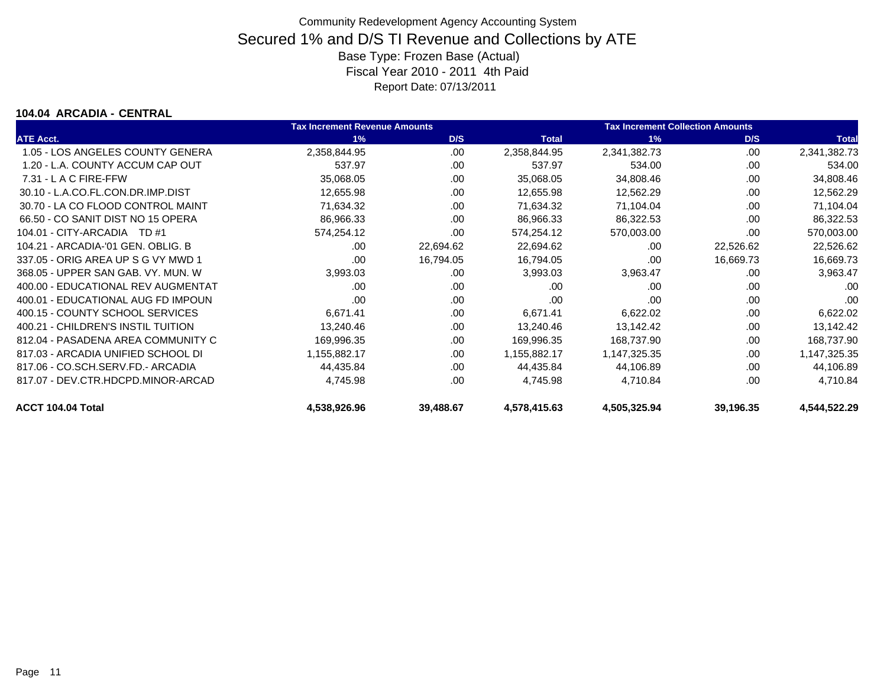#### **104.04 ARCADIA - CENTRAL**

|                                    | <b>Tax Increment Revenue Amounts</b> |           | <b>Tax Increment Collection Amounts</b> |              |           |              |
|------------------------------------|--------------------------------------|-----------|-----------------------------------------|--------------|-----------|--------------|
| <b>ATE Acct.</b>                   | 1%                                   | D/S       | <b>Total</b>                            | 1%           | D/S       | <b>Total</b> |
| 1.05 - LOS ANGELES COUNTY GENERA   | 2,358,844.95                         | .00       | 2,358,844.95                            | 2,341,382.73 | .00       | 2,341,382.73 |
| 1.20 - L.A. COUNTY ACCUM CAP OUT   | 537.97                               | .00       | 537.97                                  | 534.00       | .00       | 534.00       |
| $7.31 - L$ A C FIRE-FFW            | 35,068.05                            | .00       | 35,068.05                               | 34,808.46    | .00       | 34,808.46    |
| 30.10 - L.A.CO.FL.CON.DR.IMP.DIST  | 12,655.98                            | .00       | 12,655.98                               | 12,562.29    | .00       | 12,562.29    |
| 30.70 - LA CO FLOOD CONTROL MAINT  | 71,634.32                            | .00       | 71,634.32                               | 71,104.04    | .00       | 71,104.04    |
| 66.50 - CO SANIT DIST NO 15 OPERA  | 86,966.33                            | .00       | 86,966.33                               | 86,322.53    | .00       | 86,322.53    |
| 104.01 - CITY-ARCADIA TD #1        | 574,254.12                           | .00       | 574,254.12                              | 570,003.00   | .00       | 570,003.00   |
| 104.21 - ARCADIA-'01 GEN, OBLIG, B | .00                                  | 22,694.62 | 22,694.62                               | .00.         | 22,526.62 | 22,526.62    |
| 337.05 - ORIG AREA UP S G VY MWD 1 | .00                                  | 16,794.05 | 16,794.05                               | .00          | 16,669.73 | 16,669.73    |
| 368.05 - UPPER SAN GAB, VY, MUN, W | 3,993.03                             | .00       | 3,993.03                                | 3,963.47     | .00       | 3,963.47     |
| 400.00 - EDUCATIONAL REV AUGMENTAT | .00                                  | .00       | .00                                     | .00          | .00       | .00          |
| 400.01 - EDUCATIONAL AUG FD IMPOUN | .00                                  | .00.      | .00                                     | .00          | .00       | .00          |
| 400.15 - COUNTY SCHOOL SERVICES    | 6,671.41                             | .00       | 6,671.41                                | 6,622.02     | .00       | 6,622.02     |
| 400.21 - CHILDREN'S INSTIL TUITION | 13,240.46                            | .00       | 13,240.46                               | 13,142.42    | .00       | 13,142.42    |
| 812.04 - PASADENA AREA COMMUNITY C | 169,996.35                           | .00       | 169,996.35                              | 168,737.90   | .00       | 168,737.90   |
| 817.03 - ARCADIA UNIFIED SCHOOL DI | 1,155,882.17                         | .00       | 1,155,882.17                            | 1,147,325.35 | .00       | 1,147,325.35 |
| 817.06 - CO.SCH.SERV.FD.- ARCADIA  | 44,435.84                            | .00       | 44,435.84                               | 44,106.89    | .00       | 44,106.89    |
| 817.07 - DEV.CTR.HDCPD.MINOR-ARCAD | 4,745.98                             | .00       | 4,745.98                                | 4,710.84     | .00       | 4,710.84     |
| ACCT 104.04 Total                  | 4,538,926.96                         | 39,488.67 | 4,578,415.63                            | 4,505,325.94 | 39,196.35 | 4,544,522.29 |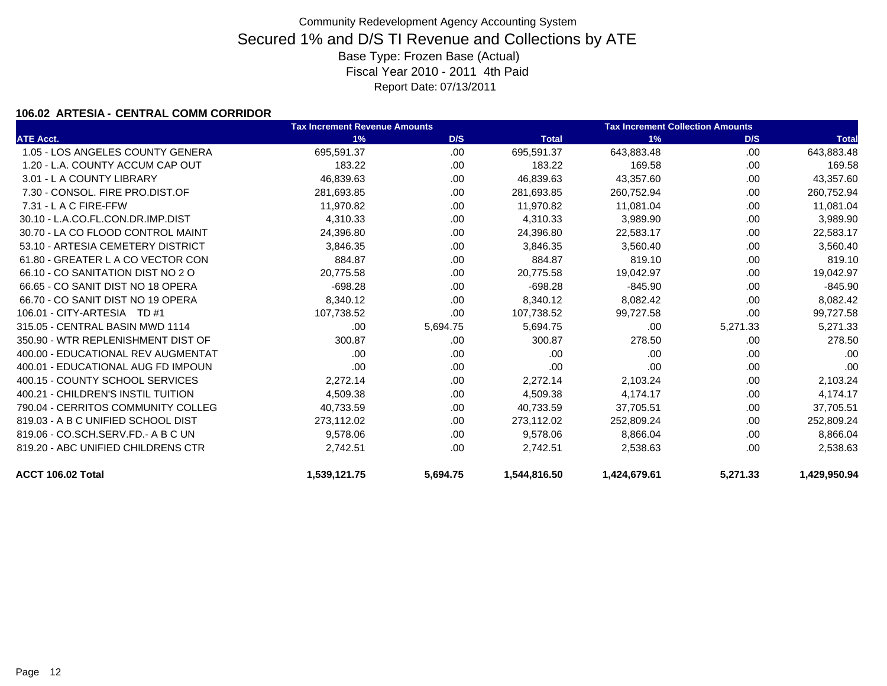### **106.02 ARTESIA - CENTRAL COMM CORRIDOR**

|                                    | <b>Tax Increment Revenue Amounts</b> |          |              | <b>Tax Increment Collection Amounts</b> |          |              |
|------------------------------------|--------------------------------------|----------|--------------|-----------------------------------------|----------|--------------|
| <b>ATE Acct.</b>                   | 1%                                   | D/S      | <b>Total</b> | 1%                                      | D/S      | <b>Total</b> |
| 1.05 - LOS ANGELES COUNTY GENERA   | 695,591.37                           | .00      | 695,591.37   | 643,883.48                              | .00      | 643,883.48   |
| 1.20 - L.A. COUNTY ACCUM CAP OUT   | 183.22                               | .00      | 183.22       | 169.58                                  | .00.     | 169.58       |
| 3.01 - L A COUNTY LIBRARY          | 46,839.63                            | .00      | 46,839.63    | 43,357.60                               | .00.     | 43,357.60    |
| 7.30 - CONSOL. FIRE PRO.DIST.OF    | 281,693.85                           | .00      | 281,693.85   | 260,752.94                              | .00.     | 260,752.94   |
| $7.31 - L$ A C FIRE-FFW            | 11,970.82                            | .00      | 11,970.82    | 11,081.04                               | .00      | 11,081.04    |
| 30.10 - L.A.CO.FL.CON.DR.IMP.DIST  | 4,310.33                             | .00      | 4,310.33     | 3,989.90                                | .00      | 3,989.90     |
| 30.70 - LA CO FLOOD CONTROL MAINT  | 24,396.80                            | .00      | 24,396.80    | 22,583.17                               | .00      | 22,583.17    |
| 53.10 - ARTESIA CEMETERY DISTRICT  | 3,846.35                             | .00      | 3,846.35     | 3,560.40                                | .00.     | 3,560.40     |
| 61.80 - GREATER L A CO VECTOR CON  | 884.87                               | .00      | 884.87       | 819.10                                  | .00.     | 819.10       |
| 66.10 - CO SANITATION DIST NO 2 O  | 20,775.58                            | .00      | 20,775.58    | 19,042.97                               | .00      | 19,042.97    |
| 66.65 - CO SANIT DIST NO 18 OPERA  | $-698.28$                            | .00      | $-698.28$    | $-845.90$                               | .00      | $-845.90$    |
| 66.70 - CO SANIT DIST NO 19 OPERA  | 8,340.12                             | .00      | 8,340.12     | 8,082.42                                | .00      | 8,082.42     |
| 106.01 - CITY-ARTESIA TD #1        | 107,738.52                           | .00      | 107,738.52   | 99,727.58                               | .00      | 99,727.58    |
| 315.05 - CENTRAL BASIN MWD 1114    | .00.                                 | 5,694.75 | 5,694.75     | .00.                                    | 5,271.33 | 5,271.33     |
| 350.90 - WTR REPLENISHMENT DIST OF | 300.87                               | .00      | 300.87       | 278.50                                  | .00      | 278.50       |
| 400.00 - EDUCATIONAL REV AUGMENTAT | .00                                  | .00      | .00          | .00                                     | .00      | .00          |
| 400.01 - EDUCATIONAL AUG FD IMPOUN | .00                                  | .00      | .00          | .00                                     | .00      | .00          |
| 400.15 - COUNTY SCHOOL SERVICES    | 2,272.14                             | .00      | 2,272.14     | 2,103.24                                | .00.     | 2,103.24     |
| 400.21 - CHILDREN'S INSTIL TUITION | 4,509.38                             | .00      | 4,509.38     | 4,174.17                                | .00      | 4,174.17     |
| 790.04 - CERRITOS COMMUNITY COLLEG | 40,733.59                            | .00      | 40,733.59    | 37,705.51                               | .00.     | 37,705.51    |
| 819.03 - A B C UNIFIED SCHOOL DIST | 273,112.02                           | .00      | 273,112.02   | 252,809.24                              | .00      | 252,809.24   |
| 819.06 - CO.SCH.SERV.FD.- A B C UN | 9,578.06                             | .00      | 9,578.06     | 8,866.04                                | .00      | 8,866.04     |
| 819.20 - ABC UNIFIED CHILDRENS CTR | 2,742.51                             | .00      | 2.742.51     | 2,538.63                                | .00      | 2,538.63     |
| ACCT 106.02 Total                  | 1,539,121.75                         | 5,694.75 | 1,544,816.50 | 1,424,679.61                            | 5,271.33 | 1,429,950.94 |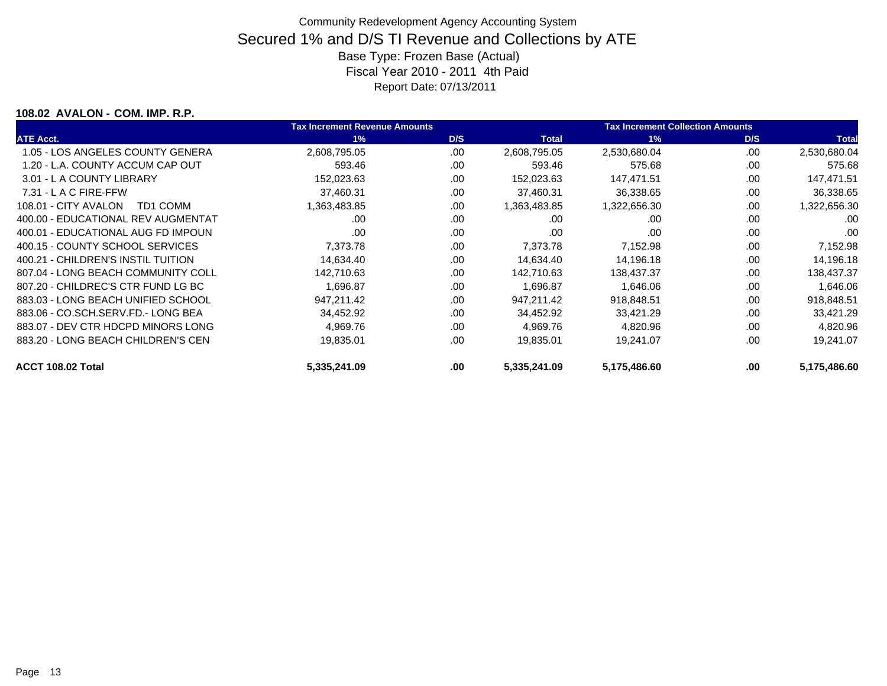### **108.02 AVALON - COM. IMP. R.P.**

|                                    | <b>Tax Increment Revenue Amounts</b> |      |              | <b>Tax Increment Collection Amounts</b> |      |              |
|------------------------------------|--------------------------------------|------|--------------|-----------------------------------------|------|--------------|
| <b>ATE Acct.</b>                   | 1%                                   | D/S  | <b>Total</b> | 1%                                      | D/S  | <b>Total</b> |
| 1.05 - LOS ANGELES COUNTY GENERA   | 2,608,795.05                         | .00  | 2,608,795.05 | 2,530,680.04                            | .00  | 2,530,680.04 |
| 1.20 - L.A. COUNTY ACCUM CAP OUT   | 593.46                               | .00  | 593.46       | 575.68                                  | .00  | 575.68       |
| 3.01 - L A COUNTY LIBRARY          | 152,023.63                           | .00  | 152,023.63   | 147.471.51                              | .00  | 147,471.51   |
| $7.31 - L$ A C FIRE-FFW            | 37,460.31                            | .00  | 37,460.31    | 36,338.65                               | .00  | 36,338.65    |
| 108.01 - CITY AVALON<br>TD1 COMM   | 1,363,483.85                         | .00  | 1,363,483.85 | 1,322,656.30                            | .00  | 1,322,656.30 |
| 400.00 - EDUCATIONAL REV AUGMENTAT | .00                                  | .00  | .00          | .00                                     | .00  | .00          |
| 400.01 - EDUCATIONAL AUG FD IMPOUN | .00                                  | .00  | .00          | .00                                     | .00  | .00          |
| 400.15 - COUNTY SCHOOL SERVICES    | 7,373.78                             | .00  | 7,373.78     | 7,152.98                                | .00  | 7,152.98     |
| 400.21 - CHILDREN'S INSTIL TUITION | 14,634.40                            | .00  | 14,634.40    | 14,196.18                               | .00  | 14,196.18    |
| 807.04 - LONG BEACH COMMUNITY COLL | 142,710.63                           | .00  | 142.710.63   | 138,437.37                              | .00. | 138,437.37   |
| 807.20 - CHILDREC'S CTR FUND LG BC | 1.696.87                             | .00  | 1.696.87     | 1,646.06                                | .00. | 1,646.06     |
| 883.03 - LONG BEACH UNIFIED SCHOOL | 947,211.42                           | .00  | 947.211.42   | 918,848.51                              | .00. | 918,848.51   |
| 883.06 - CO.SCH.SERV.FD.- LONG BEA | 34,452.92                            | .00  | 34,452.92    | 33,421.29                               | .00  | 33,421.29    |
| 883.07 - DEV CTR HDCPD MINORS LONG | 4,969.76                             | .00  | 4,969.76     | 4,820.96                                | .00  | 4,820.96     |
| 883.20 - LONG BEACH CHILDREN'S CEN | 19,835.01                            | .00  | 19,835.01    | 19,241.07                               | .00  | 19,241.07    |
| ACCT 108.02 Total                  | 5,335,241.09                         | .00. | 5,335,241.09 | 5,175,486.60                            | .00  | 5,175,486.60 |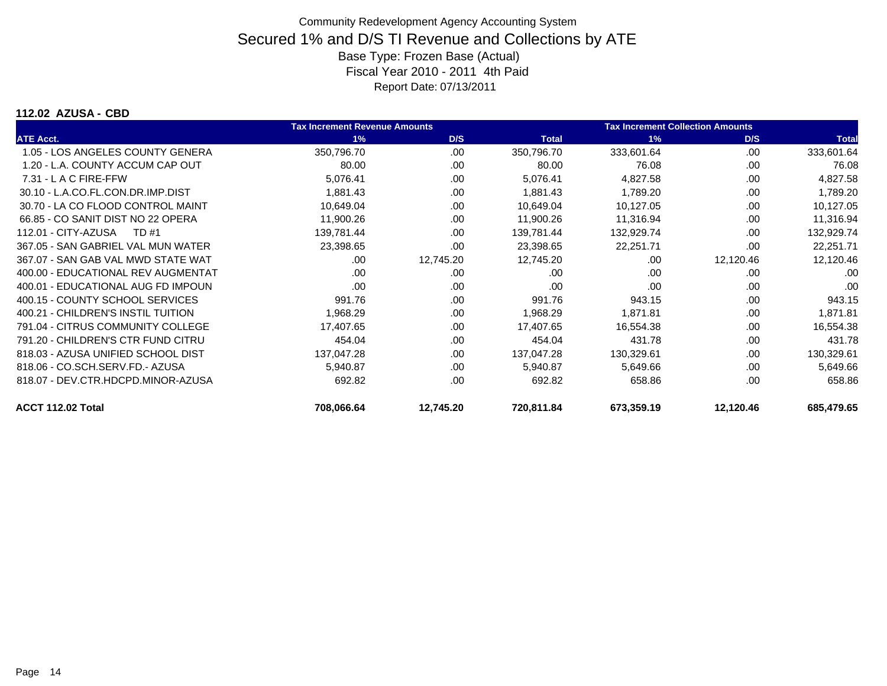#### **112.02 AZUSA - CBD**

|                                    | <b>Tax Increment Revenue Amounts</b> |           |              | <b>Tax Increment Collection Amounts</b> |           |              |
|------------------------------------|--------------------------------------|-----------|--------------|-----------------------------------------|-----------|--------------|
| <b>ATE Acct.</b>                   | 1%                                   | D/S       | <b>Total</b> | 1%                                      | D/S       | <b>Total</b> |
| 1.05 - LOS ANGELES COUNTY GENERA   | 350,796.70                           | .00       | 350,796.70   | 333,601.64                              | .00       | 333,601.64   |
| 1.20 - L.A. COUNTY ACCUM CAP OUT   | 80.00                                | .00       | 80.00        | 76.08                                   | .00       | 76.08        |
| $7.31 - L$ A C FIRE-FFW            | 5,076.41                             | .00       | 5,076.41     | 4,827.58                                | .00       | 4,827.58     |
| 30.10 - L.A.CO.FL.CON.DR.IMP.DIST  | 1,881.43                             | .00       | 1,881.43     | 1,789.20                                | .00       | 1,789.20     |
| 30.70 - LA CO FLOOD CONTROL MAINT  | 10,649.04                            | .00       | 10,649.04    | 10,127.05                               | .00       | 10,127.05    |
| 66.85 - CO SANIT DIST NO 22 OPERA  | 11,900.26                            | .00       | 11,900.26    | 11,316.94                               | .00       | 11,316.94    |
| 112.01 - CITY-AZUSA<br>TD #1       | 139,781.44                           | .00       | 139,781.44   | 132,929.74                              | .00       | 132,929.74   |
| 367.05 - SAN GABRIEL VAL MUN WATER | 23,398.65                            | .00       | 23,398.65    | 22,251.71                               | .00.      | 22,251.71    |
| 367.07 - SAN GAB VAL MWD STATE WAT | .00                                  | 12,745.20 | 12,745.20    | .00                                     | 12,120.46 | 12,120.46    |
| 400.00 - EDUCATIONAL REV AUGMENTAT | .00                                  | .00.      | .00          | .00                                     | .00       | .00          |
| 400.01 - EDUCATIONAL AUG FD IMPOUN | .00                                  | .00       | .00          | .00                                     | .00       | .00          |
| 400.15 - COUNTY SCHOOL SERVICES    | 991.76                               | .00       | 991.76       | 943.15                                  | .00       | 943.15       |
| 400.21 - CHILDREN'S INSTIL TUITION | 1,968.29                             | .00.      | 1,968.29     | 1,871.81                                | .00       | 1,871.81     |
| 791.04 - CITRUS COMMUNITY COLLEGE  | 17,407.65                            | .00       | 17,407.65    | 16,554.38                               | .00       | 16,554.38    |
| 791.20 - CHILDREN'S CTR FUND CITRU | 454.04                               | .00       | 454.04       | 431.78                                  | .00       | 431.78       |
| 818.03 - AZUSA UNIFIED SCHOOL DIST | 137,047.28                           | .00       | 137,047.28   | 130,329.61                              | .00       | 130,329.61   |
| 818.06 - CO.SCH.SERV.FD.- AZUSA    | 5,940.87                             | .00       | 5,940.87     | 5,649.66                                | .00       | 5,649.66     |
| 818.07 - DEV.CTR.HDCPD.MINOR-AZUSA | 692.82                               | .00       | 692.82       | 658.86                                  | .00       | 658.86       |
| ACCT 112.02 Total                  | 708,066.64                           | 12,745.20 | 720,811.84   | 673,359.19                              | 12,120.46 | 685,479.65   |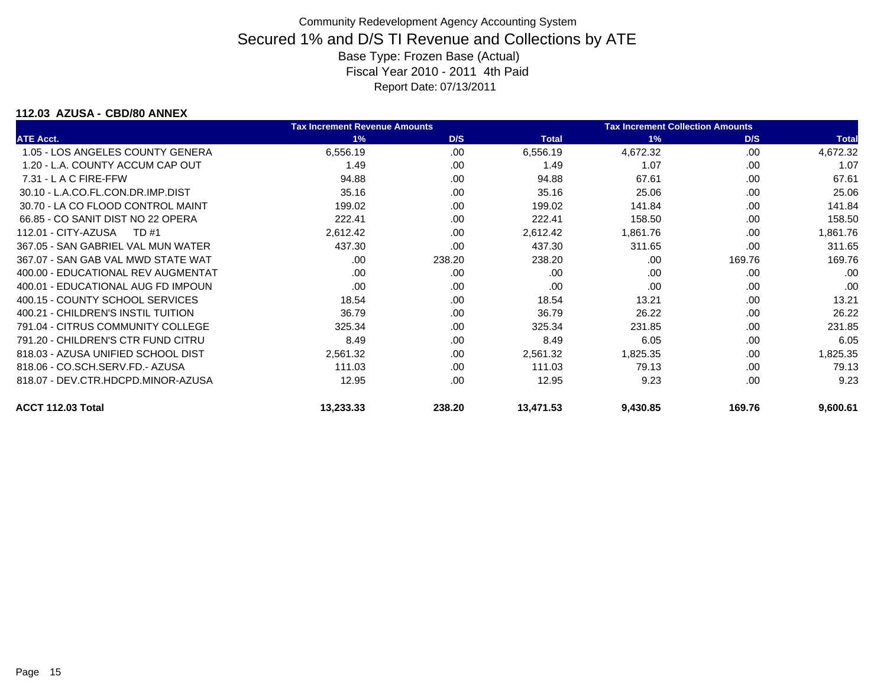### **112.03 AZUSA - CBD/80 ANNEX**

|                                    | <b>Tax Increment Revenue Amounts</b> |        |              | <b>Tax Increment Collection Amounts</b> |        |              |
|------------------------------------|--------------------------------------|--------|--------------|-----------------------------------------|--------|--------------|
| <b>ATE Acct.</b>                   | 1%                                   | D/S    | <b>Total</b> | 1%                                      | D/S    | <b>Total</b> |
| 1.05 - LOS ANGELES COUNTY GENERA   | 6,556.19                             | .00    | 6,556.19     | 4,672.32                                | .00    | 4,672.32     |
| 1.20 - L.A. COUNTY ACCUM CAP OUT   | 1.49                                 | .00    | 1.49         | 1.07                                    | .00    | 1.07         |
| $7.31 - L$ A C FIRE-FFW            | 94.88                                | .00    | 94.88        | 67.61                                   | .00    | 67.61        |
| 30.10 - L.A.CO.FL.CON.DR.IMP.DIST  | 35.16                                | .00    | 35.16        | 25.06                                   | .00    | 25.06        |
| 30.70 - LA CO FLOOD CONTROL MAINT  | 199.02                               | .00.   | 199.02       | 141.84                                  | .00.   | 141.84       |
| 66.85 - CO SANIT DIST NO 22 OPERA  | 222.41                               | .00.   | 222.41       | 158.50                                  | .00    | 158.50       |
| 112.01 - CITY-AZUSA<br>TD #1       | 2,612.42                             | .00    | 2,612.42     | 1,861.76                                | .00    | 1,861.76     |
| 367.05 - SAN GABRIEL VAL MUN WATER | 437.30                               | .00.   | 437.30       | 311.65                                  | .00.   | 311.65       |
| 367.07 - SAN GAB VAL MWD STATE WAT | .00                                  | 238.20 | 238.20       | .00                                     | 169.76 | 169.76       |
| 400.00 - EDUCATIONAL REV AUGMENTAT | .00                                  | .00    | .00          | .00                                     | .00    | .00          |
| 400.01 - EDUCATIONAL AUG FD IMPOUN | .00                                  | .00    | .00          | .00                                     | .00    | .00          |
| 400.15 - COUNTY SCHOOL SERVICES    | 18.54                                | .00    | 18.54        | 13.21                                   | .00    | 13.21        |
| 400.21 - CHILDREN'S INSTIL TUITION | 36.79                                | .00.   | 36.79        | 26.22                                   | .00    | 26.22        |
| 791.04 - CITRUS COMMUNITY COLLEGE  | 325.34                               | .00    | 325.34       | 231.85                                  | .00    | 231.85       |
| 791.20 - CHILDREN'S CTR FUND CITRU | 8.49                                 | .00    | 8.49         | 6.05                                    | .00    | 6.05         |
| 818.03 - AZUSA UNIFIED SCHOOL DIST | 2,561.32                             | .00    | 2,561.32     | 1,825.35                                | .00    | 1,825.35     |
| 818.06 - CO.SCH.SERV.FD.- AZUSA    | 111.03                               | .00.   | 111.03       | 79.13                                   | .00    | 79.13        |
| 818.07 - DEV.CTR.HDCPD.MINOR-AZUSA | 12.95                                | .00.   | 12.95        | 9.23                                    | .00    | 9.23         |
| ACCT 112.03 Total                  | 13,233.33                            | 238.20 | 13,471.53    | 9,430.85                                | 169.76 | 9,600.61     |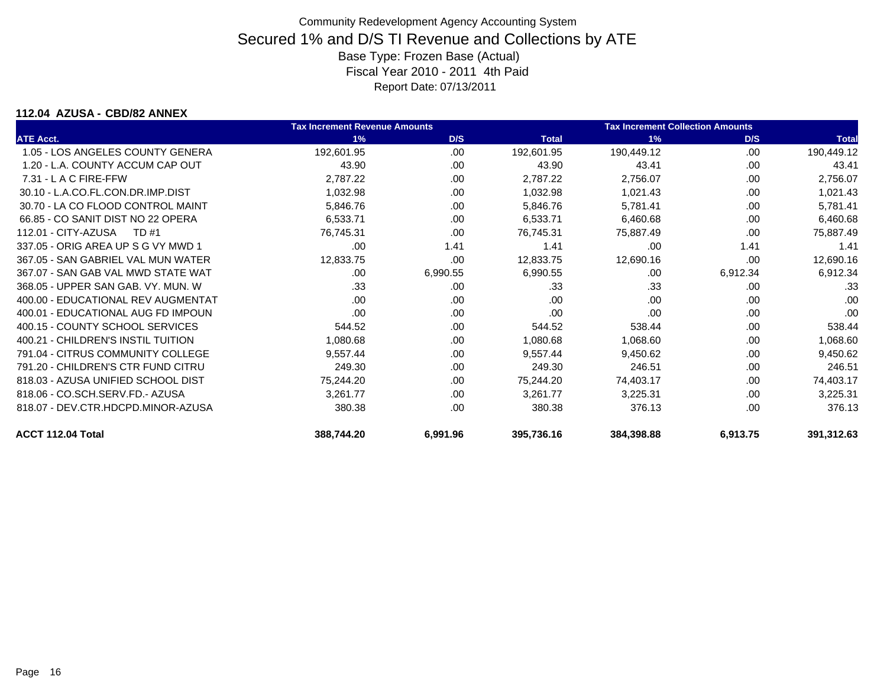#### **112.04 AZUSA - CBD/82 ANNEX**

|                                    | <b>Tax Increment Revenue Amounts</b> |          |              | <b>Tax Increment Collection Amounts</b> |          |              |
|------------------------------------|--------------------------------------|----------|--------------|-----------------------------------------|----------|--------------|
| <b>ATE Acct.</b>                   | 1%                                   | D/S      | <b>Total</b> | 1%                                      | D/S      | <b>Total</b> |
| 1.05 - LOS ANGELES COUNTY GENERA   | 192,601.95                           | .00.     | 192,601.95   | 190,449.12                              | .00      | 190,449.12   |
| 1.20 - L.A. COUNTY ACCUM CAP OUT   | 43.90                                | .00      | 43.90        | 43.41                                   | .00      | 43.41        |
| $7.31 - L$ A C FIRE-FFW            | 2,787.22                             | .00      | 2,787.22     | 2,756.07                                | .00      | 2,756.07     |
| 30.10 - L.A.CO.FL.CON.DR.IMP.DIST  | 1,032.98                             | .00      | 1,032.98     | 1,021.43                                | .00      | 1,021.43     |
| 30.70 - LA CO FLOOD CONTROL MAINT  | 5,846.76                             | .00      | 5,846.76     | 5,781.41                                | .00      | 5,781.41     |
| 66.85 - CO SANIT DIST NO 22 OPERA  | 6,533.71                             | .00      | 6,533.71     | 6,460.68                                | .00      | 6,460.68     |
| 112.01 - CITY-AZUSA<br>TD #1       | 76,745.31                            | .00      | 76,745.31    | 75,887.49                               | .00      | 75,887.49    |
| 337.05 - ORIG AREA UP S G VY MWD 1 | .00                                  | 1.41     | 1.41         | .00                                     | 1.41     | 1.41         |
| 367.05 - SAN GABRIEL VAL MUN WATER | 12,833.75                            | .00      | 12,833.75    | 12,690.16                               | .00      | 12,690.16    |
| 367.07 - SAN GAB VAL MWD STATE WAT | .00                                  | 6,990.55 | 6,990.55     | .00                                     | 6,912.34 | 6,912.34     |
| 368.05 - UPPER SAN GAB, VY, MUN, W | .33                                  | .00      | .33          | .33                                     | .00      | .33          |
| 400.00 - EDUCATIONAL REV AUGMENTAT | .00                                  | .00.     | .00          | .00                                     | .00      | .00          |
| 400.01 - EDUCATIONAL AUG FD IMPOUN | .00                                  | .00      | .00          | .00                                     | .00      | .00          |
| 400.15 - COUNTY SCHOOL SERVICES    | 544.52                               | .00      | 544.52       | 538.44                                  | .00      | 538.44       |
| 400.21 - CHILDREN'S INSTIL TUITION | 1,080.68                             | .00      | 1,080.68     | 1,068.60                                | .00      | 1,068.60     |
| 791.04 - CITRUS COMMUNITY COLLEGE  | 9,557.44                             | .00      | 9,557.44     | 9,450.62                                | .00      | 9,450.62     |
| 791.20 - CHILDREN'S CTR FUND CITRU | 249.30                               | .00.     | 249.30       | 246.51                                  | .00      | 246.51       |
| 818.03 - AZUSA UNIFIED SCHOOL DIST | 75,244.20                            | .00      | 75,244.20    | 74,403.17                               | .00      | 74,403.17    |
| 818.06 - CO.SCH.SERV.FD.- AZUSA    | 3,261.77                             | .00      | 3,261.77     | 3,225.31                                | .00      | 3,225.31     |
| 818.07 - DEV.CTR.HDCPD.MINOR-AZUSA | 380.38                               | .00      | 380.38       | 376.13                                  | .00      | 376.13       |
| ACCT 112.04 Total                  | 388,744.20                           | 6,991.96 | 395,736.16   | 384,398.88                              | 6,913.75 | 391,312.63   |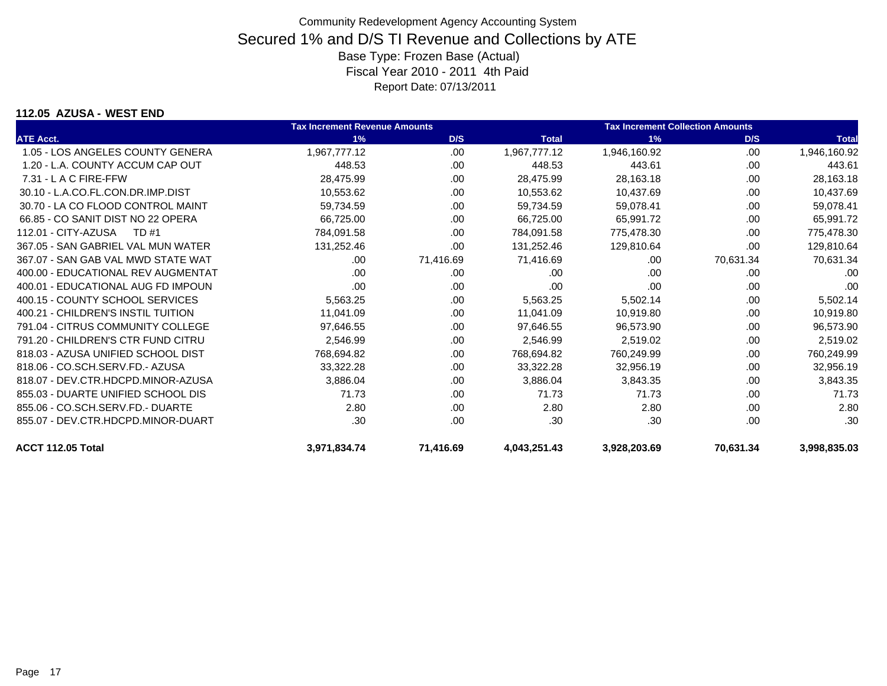#### **112.05 AZUSA - WEST END**

|                                    | <b>Tax Increment Revenue Amounts</b> |           |              | <b>Tax Increment Collection Amounts</b> |           |              |
|------------------------------------|--------------------------------------|-----------|--------------|-----------------------------------------|-----------|--------------|
| <b>ATE Acct.</b>                   | 1%                                   | D/S       | <b>Total</b> | 1%                                      | D/S       | <b>Total</b> |
| 1.05 - LOS ANGELES COUNTY GENERA   | 1,967,777.12                         | .00       | 1,967,777.12 | 1,946,160.92                            | .00       | 1,946,160.92 |
| 1.20 - L.A. COUNTY ACCUM CAP OUT   | 448.53                               | .00.      | 448.53       | 443.61                                  | .00.      | 443.61       |
| $7.31 - L$ A C FIRE-FFW            | 28,475.99                            | .00.      | 28,475.99    | 28,163.18                               | .00.      | 28,163.18    |
| 30.10 - L.A.CO.FL.CON.DR.IMP.DIST  | 10,553.62                            | .00       | 10,553.62    | 10,437.69                               | .00.      | 10,437.69    |
| 30.70 - LA CO FLOOD CONTROL MAINT  | 59,734.59                            | .00       | 59,734.59    | 59,078.41                               | .00       | 59,078.41    |
| 66.85 - CO SANIT DIST NO 22 OPERA  | 66,725.00                            | .00       | 66,725.00    | 65,991.72                               | .00       | 65,991.72    |
| 112.01 - CITY-AZUSA<br>TD #1       | 784,091.58                           | .00       | 784,091.58   | 775,478.30                              | .00       | 775,478.30   |
| 367.05 - SAN GABRIEL VAL MUN WATER | 131,252.46                           | .00       | 131,252.46   | 129,810.64                              | .00       | 129,810.64   |
| 367.07 - SAN GAB VAL MWD STATE WAT | .00.                                 | 71,416.69 | 71,416.69    | .00                                     | 70,631.34 | 70,631.34    |
| 400.00 - EDUCATIONAL REV AUGMENTAT | .00                                  | .00       | .00          | .00                                     | .00       | .00          |
| 400.01 - EDUCATIONAL AUG FD IMPOUN | .00                                  | .00       | .00          | .00                                     | .00       | .00          |
| 400.15 - COUNTY SCHOOL SERVICES    | 5,563.25                             | .00       | 5,563.25     | 5,502.14                                | .00       | 5,502.14     |
| 400.21 - CHILDREN'S INSTIL TUITION | 11,041.09                            | .00.      | 11,041.09    | 10,919.80                               | .00.      | 10,919.80    |
| 791.04 - CITRUS COMMUNITY COLLEGE  | 97,646.55                            | .00       | 97,646.55    | 96,573.90                               | .00.      | 96,573.90    |
| 791.20 - CHILDREN'S CTR FUND CITRU | 2,546.99                             | .00       | 2,546.99     | 2,519.02                                | .00.      | 2,519.02     |
| 818.03 - AZUSA UNIFIED SCHOOL DIST | 768,694.82                           | .00       | 768,694.82   | 760,249.99                              | .00       | 760,249.99   |
| 818.06 - CO.SCH.SERV.FD.- AZUSA    | 33,322.28                            | .00       | 33,322.28    | 32,956.19                               | .00       | 32,956.19    |
| 818.07 - DEV.CTR.HDCPD.MINOR-AZUSA | 3,886.04                             | .00       | 3,886.04     | 3,843.35                                | .00       | 3,843.35     |
| 855.03 - DUARTE UNIFIED SCHOOL DIS | 71.73                                | .00       | 71.73        | 71.73                                   | .00.      | 71.73        |
| 855.06 - CO.SCH.SERV.FD.- DUARTE   | 2.80                                 | .00       | 2.80         | 2.80                                    | .00.      | 2.80         |
| 855.07 - DEV.CTR.HDCPD.MINOR-DUART | .30                                  | .00       | .30          | .30                                     | .00       | .30          |
| ACCT 112.05 Total                  | 3,971,834.74                         | 71,416.69 | 4,043,251.43 | 3,928,203.69                            | 70,631.34 | 3,998,835.03 |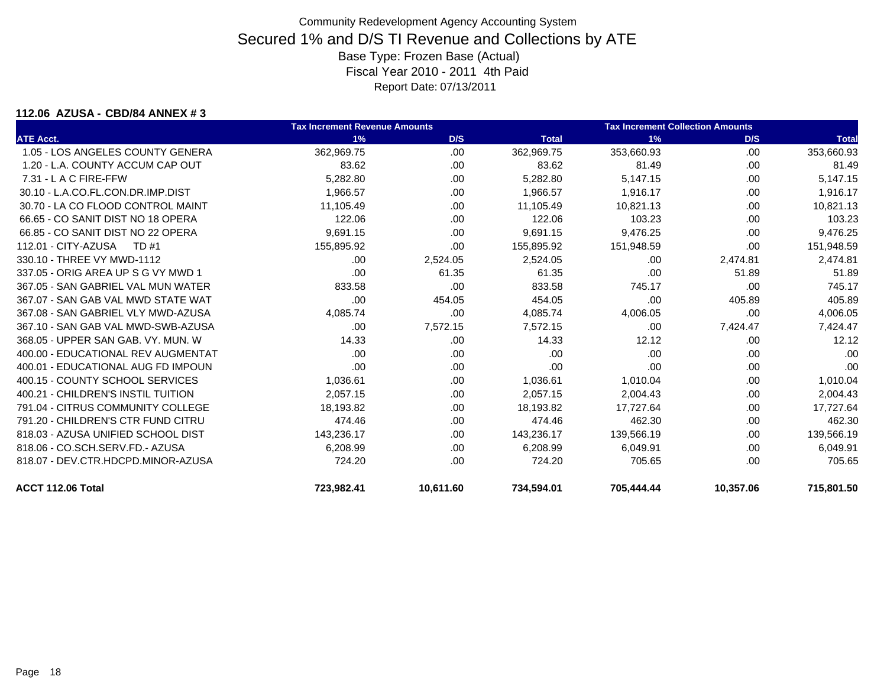#### **112.06 AZUSA - CBD/84 ANNEX # 3**

|                                    | <b>Tax Increment Revenue Amounts</b> |           |              | <b>Tax Increment Collection Amounts</b> |           |              |
|------------------------------------|--------------------------------------|-----------|--------------|-----------------------------------------|-----------|--------------|
| <b>ATE Acct.</b>                   | 1%                                   | D/S       | <b>Total</b> | 1%                                      | D/S       | <b>Total</b> |
| 1.05 - LOS ANGELES COUNTY GENERA   | 362.969.75                           | .00       | 362,969.75   | 353,660.93                              | .00.      | 353,660.93   |
| 1.20 - L.A. COUNTY ACCUM CAP OUT   | 83.62                                | .00.      | 83.62        | 81.49                                   | .00.      | 81.49        |
| 7.31 - L A C FIRE-FFW              | 5,282.80                             | .00.      | 5,282.80     | 5,147.15                                | .00       | 5,147.15     |
| 30.10 - L.A.CO.FL.CON.DR.IMP.DIST  | 1.966.57                             | .00.      | 1,966.57     | 1,916.17                                | .00.      | 1,916.17     |
| 30.70 - LA CO FLOOD CONTROL MAINT  | 11.105.49                            | .00.      | 11.105.49    | 10.821.13                               | .00.      | 10,821.13    |
| 66.65 - CO SANIT DIST NO 18 OPERA  | 122.06                               | .00.      | 122.06       | 103.23                                  | .00.      | 103.23       |
| 66.85 - CO SANIT DIST NO 22 OPERA  | 9.691.15                             | .00.      | 9,691.15     | 9,476.25                                | .00.      | 9,476.25     |
| 112.01 - CITY-AZUSA<br>TD #1       | 155,895.92                           | .00.      | 155,895.92   | 151,948.59                              | .00       | 151,948.59   |
| 330.10 - THREE VY MWD-1112         | .00                                  | 2,524.05  | 2,524.05     | .00                                     | 2,474.81  | 2,474.81     |
| 337.05 - ORIG AREA UP S G VY MWD 1 | .00                                  | 61.35     | 61.35        | .00                                     | 51.89     | 51.89        |
| 367.05 - SAN GABRIEL VAL MUN WATER | 833.58                               | .00.      | 833.58       | 745.17                                  | .00.      | 745.17       |
| 367.07 - SAN GAB VAL MWD STATE WAT | .00                                  | 454.05    | 454.05       | .00                                     | 405.89    | 405.89       |
| 367.08 - SAN GABRIEL VLY MWD-AZUSA | 4,085.74                             | .00.      | 4,085.74     | 4,006.05                                | .00       | 4,006.05     |
| 367.10 - SAN GAB VAL MWD-SWB-AZUSA | .00                                  | 7,572.15  | 7,572.15     | .00                                     | 7,424.47  | 7,424.47     |
| 368.05 - UPPER SAN GAB, VY, MUN, W | 14.33                                | .00.      | 14.33        | 12.12                                   | .00       | 12.12        |
| 400.00 - EDUCATIONAL REV AUGMENTAT | .00                                  | .00       | .00          | .00                                     | .00       | .00          |
| 400.01 - EDUCATIONAL AUG FD IMPOUN | .00                                  | .00.      | .00          | .00                                     | .00.      | .00          |
| 400.15 - COUNTY SCHOOL SERVICES    | 1,036.61                             | .00.      | 1,036.61     | 1,010.04                                | .00       | 1,010.04     |
| 400.21 - CHILDREN'S INSTIL TUITION | 2,057.15                             | .00.      | 2.057.15     | 2,004.43                                | .00       | 2,004.43     |
| 791.04 - CITRUS COMMUNITY COLLEGE  | 18,193.82                            | .00.      | 18,193.82    | 17,727.64                               | .00.      | 17,727.64    |
| 791.20 - CHILDREN'S CTR FUND CITRU | 474.46                               | .00.      | 474.46       | 462.30                                  | .00       | 462.30       |
| 818.03 - AZUSA UNIFIED SCHOOL DIST | 143,236.17                           | .00       | 143,236.17   | 139,566.19                              | .00       | 139,566.19   |
| 818.06 - CO.SCH.SERV.FD.- AZUSA    | 6,208.99                             | .00.      | 6.208.99     | 6.049.91                                | .00.      | 6,049.91     |
| 818.07 - DEV.CTR.HDCPD.MINOR-AZUSA | 724.20                               | .00.      | 724.20       | 705.65                                  | .00       | 705.65       |
| ACCT 112.06 Total                  | 723,982.41                           | 10,611.60 | 734,594.01   | 705,444.44                              | 10,357.06 | 715,801.50   |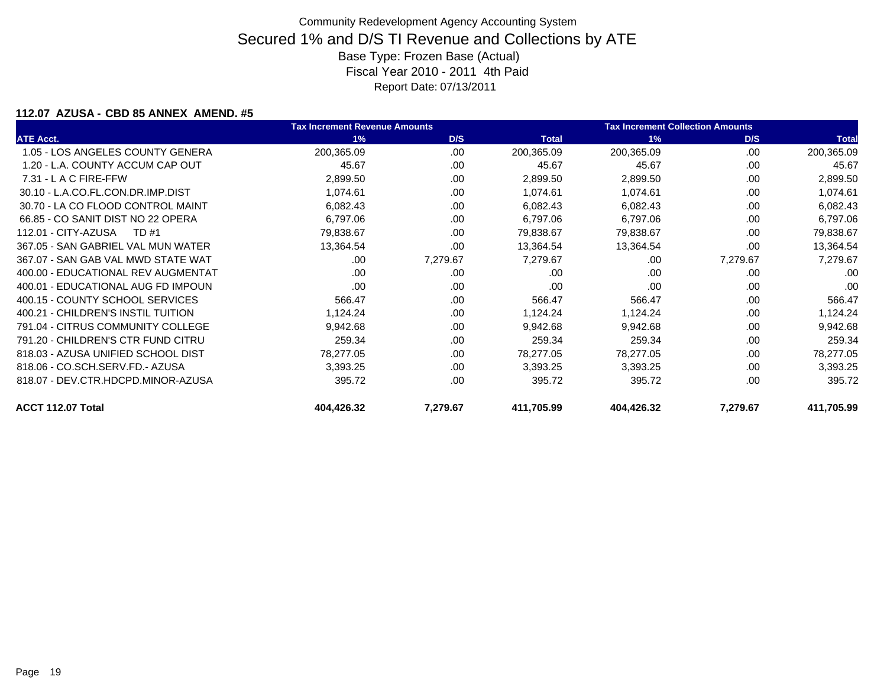### **112.07 AZUSA - CBD 85 ANNEX AMEND. #5**

|                                    | <b>Tax Increment Revenue Amounts</b> |          | <b>Tax Increment Collection Amounts</b> |            |          |              |
|------------------------------------|--------------------------------------|----------|-----------------------------------------|------------|----------|--------------|
| <b>ATE Acct.</b>                   | 1%                                   | D/S      | <b>Total</b>                            | 1%         | D/S      | <b>Total</b> |
| 1.05 - LOS ANGELES COUNTY GENERA   | 200,365.09                           | .00.     | 200,365.09                              | 200,365.09 | .00      | 200,365.09   |
| 1.20 - L.A. COUNTY ACCUM CAP OUT   | 45.67                                | .00      | 45.67                                   | 45.67      | .00      | 45.67        |
| $7.31 - L$ A C FIRE-FFW            | 2,899.50                             | .00      | 2,899.50                                | 2,899.50   | .00      | 2,899.50     |
| 30.10 - L.A.CO.FL.CON.DR.IMP.DIST  | 1,074.61                             | .00      | 1,074.61                                | 1,074.61   | .00      | 1,074.61     |
| 30.70 - LA CO FLOOD CONTROL MAINT  | 6,082.43                             | .00      | 6,082.43                                | 6,082.43   | .00.     | 6,082.43     |
| 66.85 - CO SANIT DIST NO 22 OPERA  | 6,797.06                             | .00      | 6,797.06                                | 6,797.06   | .00      | 6,797.06     |
| 112.01 - CITY-AZUSA<br>TD #1       | 79,838.67                            | .00      | 79,838.67                               | 79,838.67  | .00      | 79,838.67    |
| 367.05 - SAN GABRIEL VAL MUN WATER | 13,364.54                            | .00      | 13,364.54                               | 13,364.54  | .00.     | 13,364.54    |
| 367.07 - SAN GAB VAL MWD STATE WAT | .00                                  | 7,279.67 | 7,279.67                                | .00        | 7,279.67 | 7,279.67     |
| 400.00 - EDUCATIONAL REV AUGMENTAT | .00                                  | .00      | .00                                     | .00        | .00      | .00          |
| 400.01 - EDUCATIONAL AUG FD IMPOUN | .00                                  | .00      | .00                                     | .00        | .00      | .00          |
| 400.15 - COUNTY SCHOOL SERVICES    | 566.47                               | .00      | 566.47                                  | 566.47     | .00      | 566.47       |
| 400.21 - CHILDREN'S INSTIL TUITION | 1,124.24                             | .00      | 1,124.24                                | 1,124.24   | .00      | 1,124.24     |
| 791.04 - CITRUS COMMUNITY COLLEGE  | 9,942.68                             | .00      | 9,942.68                                | 9,942.68   | .00      | 9,942.68     |
| 791.20 - CHILDREN'S CTR FUND CITRU | 259.34                               | .00      | 259.34                                  | 259.34     | .00      | 259.34       |
| 818.03 - AZUSA UNIFIED SCHOOL DIST | 78,277.05                            | .00      | 78,277.05                               | 78,277.05  | .00      | 78,277.05    |
| 818.06 - CO.SCH.SERV.FD.- AZUSA    | 3,393.25                             | .00      | 3,393.25                                | 3,393.25   | .00      | 3,393.25     |
| 818.07 - DEV.CTR.HDCPD.MINOR-AZUSA | 395.72                               | .00      | 395.72                                  | 395.72     | .00      | 395.72       |
| ACCT 112.07 Total                  | 404,426.32                           | 7,279.67 | 411,705.99                              | 404,426.32 | 7,279.67 | 411,705.99   |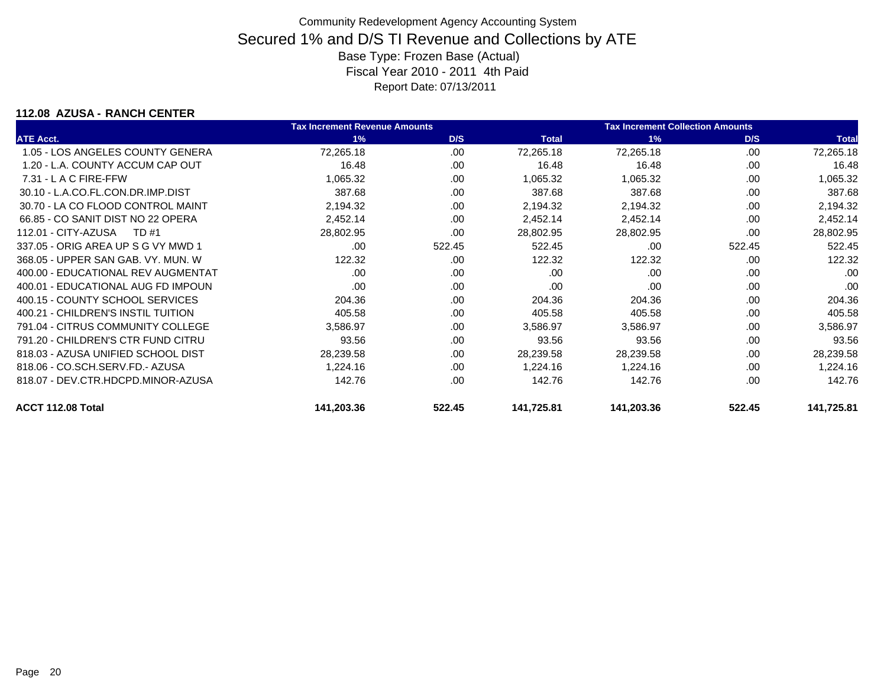### **112.08 AZUSA - RANCH CENTER**

|                                    | <b>Tax Increment Revenue Amounts</b> |        |              | <b>Tax Increment Collection Amounts</b> |        |              |
|------------------------------------|--------------------------------------|--------|--------------|-----------------------------------------|--------|--------------|
| <b>ATE Acct.</b>                   | 1%                                   | D/S    | <b>Total</b> | 1%                                      | D/S    | <b>Total</b> |
| 1.05 - LOS ANGELES COUNTY GENERA   | 72,265.18                            | .00.   | 72,265.18    | 72,265.18                               | .00.   | 72,265.18    |
| 1.20 - L.A. COUNTY ACCUM CAP OUT   | 16.48                                | .00.   | 16.48        | 16.48                                   | .00    | 16.48        |
| $7.31 - L$ A C FIRE-FFW            | 1,065.32                             | .00    | 1,065.32     | 1,065.32                                | .00    | 1,065.32     |
| 30.10 - L.A.CO.FL.CON.DR.IMP.DIST  | 387.68                               | .00.   | 387.68       | 387.68                                  | .00    | 387.68       |
| 30.70 - LA CO FLOOD CONTROL MAINT  | 2,194.32                             | .00    | 2,194.32     | 2,194.32                                | .00    | 2,194.32     |
| 66.85 - CO SANIT DIST NO 22 OPERA  | 2,452.14                             | .00    | 2,452.14     | 2,452.14                                | .00    | 2,452.14     |
| 112.01 - CITY-AZUSA<br>TD #1       | 28,802.95                            | .00    | 28,802.95    | 28,802.95                               | .00    | 28,802.95    |
| 337.05 - ORIG AREA UP S G VY MWD 1 | .00.                                 | 522.45 | 522.45       | .00                                     | 522.45 | 522.45       |
| 368.05 - UPPER SAN GAB, VY, MUN, W | 122.32                               | .00    | 122.32       | 122.32                                  | .00    | 122.32       |
| 400.00 - EDUCATIONAL REV AUGMENTAT | .00                                  | .00    | .00          | .00                                     | .00    | .00          |
| 400.01 - EDUCATIONAL AUG FD IMPOUN | .00                                  | .00    | .00          | .00                                     | .00.   | .00          |
| 400.15 - COUNTY SCHOOL SERVICES    | 204.36                               | .00    | 204.36       | 204.36                                  | .00    | 204.36       |
| 400.21 - CHILDREN'S INSTIL TUITION | 405.58                               | .00    | 405.58       | 405.58                                  | .00    | 405.58       |
| 791.04 - CITRUS COMMUNITY COLLEGE  | 3,586.97                             | .00.   | 3,586.97     | 3,586.97                                | .00    | 3,586.97     |
| 791.20 - CHILDREN'S CTR FUND CITRU | 93.56                                | .00    | 93.56        | 93.56                                   | .00    | 93.56        |
| 818.03 - AZUSA UNIFIED SCHOOL DIST | 28,239.58                            | .00    | 28,239.58    | 28,239.58                               | .00    | 28,239.58    |
| 818.06 - CO.SCH.SERV.FD.- AZUSA    | 1,224.16                             | .00    | 1.224.16     | 1,224.16                                | .00    | 1,224.16     |
| 818.07 - DEV.CTR.HDCPD.MINOR-AZUSA | 142.76                               | .00.   | 142.76       | 142.76                                  | .00    | 142.76       |
| ACCT 112.08 Total                  | 141,203.36                           | 522.45 | 141,725.81   | 141,203.36                              | 522.45 | 141,725.81   |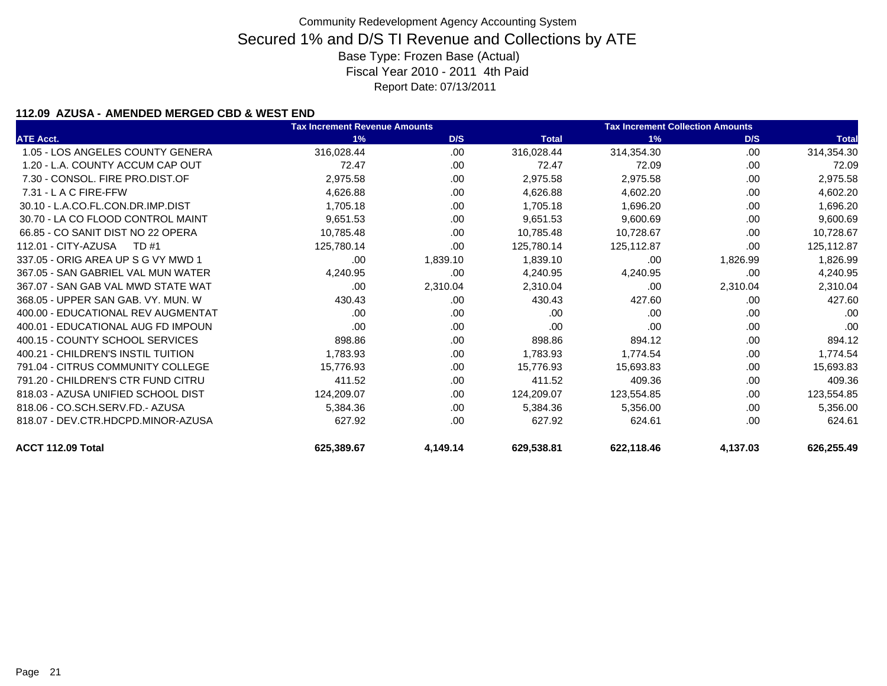### **112.09 AZUSA - AMENDED MERGED CBD & WEST END**

|                                    | <b>Tax Increment Revenue Amounts</b> |          |              | <b>Tax Increment Collection Amounts</b> |          |              |
|------------------------------------|--------------------------------------|----------|--------------|-----------------------------------------|----------|--------------|
| <b>ATE Acct.</b>                   | 1%                                   | D/S      | <b>Total</b> | 1%                                      | D/S      | <b>Total</b> |
| 1.05 - LOS ANGELES COUNTY GENERA   | 316,028.44                           | .00      | 316,028.44   | 314,354.30                              | .00      | 314,354.30   |
| 1.20 - L.A. COUNTY ACCUM CAP OUT   | 72.47                                | .00      | 72.47        | 72.09                                   | .00      | 72.09        |
| 7.30 - CONSOL, FIRE PRO.DIST.OF    | 2,975.58                             | .00      | 2,975.58     | 2,975.58                                | .00      | 2,975.58     |
| $7.31 - L$ A C FIRE-FFW            | 4,626.88                             | .00      | 4,626.88     | 4,602.20                                | .00      | 4,602.20     |
| 30.10 - L.A.CO.FL.CON.DR.IMP.DIST  | 1,705.18                             | .00      | 1,705.18     | 1,696.20                                | .00      | 1,696.20     |
| 30.70 - LA CO FLOOD CONTROL MAINT  | 9,651.53                             | .00      | 9,651.53     | 9,600.69                                | .00      | 9,600.69     |
| 66.85 - CO SANIT DIST NO 22 OPERA  | 10,785.48                            | .00      | 10,785.48    | 10,728.67                               | .00      | 10,728.67    |
| 112.01 - CITY-AZUSA<br>TD #1       | 125,780.14                           | .00      | 125,780.14   | 125,112.87                              | .00      | 125,112.87   |
| 337.05 - ORIG AREA UP S G VY MWD 1 | .00                                  | 1,839.10 | 1,839.10     | .00                                     | 1,826.99 | 1,826.99     |
| 367.05 - SAN GABRIEL VAL MUN WATER | 4,240.95                             | .00      | 4,240.95     | 4,240.95                                | .00      | 4,240.95     |
| 367.07 - SAN GAB VAL MWD STATE WAT | .00                                  | 2,310.04 | 2,310.04     | .00                                     | 2,310.04 | 2,310.04     |
| 368.05 - UPPER SAN GAB, VY, MUN, W | 430.43                               | .00      | 430.43       | 427.60                                  | .00      | 427.60       |
| 400.00 - EDUCATIONAL REV AUGMENTAT | .00                                  | .00      | .00          | .00                                     | .00      | .00          |
| 400.01 - EDUCATIONAL AUG FD IMPOUN | .00                                  | .00      | .00          | .00                                     | .00      | .00          |
| 400.15 - COUNTY SCHOOL SERVICES    | 898.86                               | .00      | 898.86       | 894.12                                  | .00      | 894.12       |
| 400.21 - CHILDREN'S INSTIL TUITION | 1,783.93                             | .00      | 1,783.93     | 1,774.54                                | .00      | 1,774.54     |
| 791.04 - CITRUS COMMUNITY COLLEGE  | 15,776.93                            | .00      | 15,776.93    | 15,693.83                               | .00      | 15,693.83    |
| 791.20 - CHILDREN'S CTR FUND CITRU | 411.52                               | .00      | 411.52       | 409.36                                  | .00      | 409.36       |
| 818.03 - AZUSA UNIFIED SCHOOL DIST | 124,209.07                           | .00      | 124,209.07   | 123,554.85                              | .00      | 123,554.85   |
| 818.06 - CO.SCH.SERV.FD.- AZUSA    | 5,384.36                             | .00      | 5.384.36     | 5,356.00                                | .00      | 5,356.00     |
| 818.07 - DEV.CTR.HDCPD.MINOR-AZUSA | 627.92                               | .00      | 627.92       | 624.61                                  | .00      | 624.61       |
| ACCT 112.09 Total                  | 625,389.67                           | 4,149.14 | 629,538.81   | 622,118.46                              | 4,137.03 | 626,255.49   |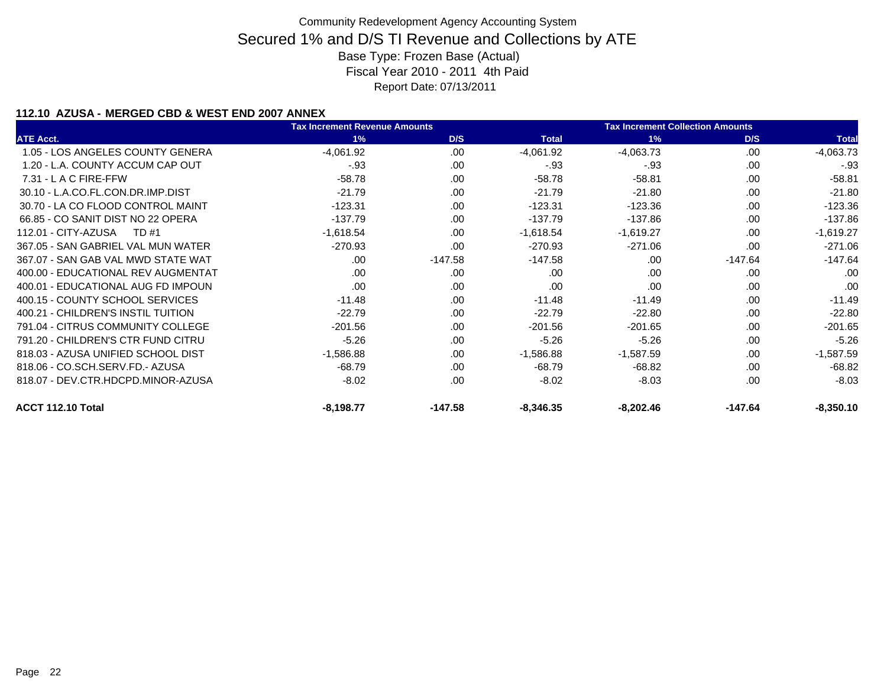### **112.10 AZUSA - MERGED CBD & WEST END 2007 ANNEX**

|                                    | <b>Tax Increment Revenue Amounts</b> |           |              | <b>Tax Increment Collection Amounts</b> |           |              |  |
|------------------------------------|--------------------------------------|-----------|--------------|-----------------------------------------|-----------|--------------|--|
| <b>ATE Acct.</b>                   | 1%                                   | D/S       | <b>Total</b> | 1%                                      | D/S       | <b>Total</b> |  |
| 1.05 - LOS ANGELES COUNTY GENERA   | $-4,061.92$                          | .00       | $-4,061.92$  | $-4,063.73$                             | .00       | $-4,063.73$  |  |
| 1.20 - L.A. COUNTY ACCUM CAP OUT   | $-93$                                | .00       | $-.93$       | $-93$                                   | .00       | $-93$        |  |
| $7.31 - L$ A C FIRE-FFW            | $-58.78$                             | .00       | $-58.78$     | $-58.81$                                | .00       | $-58.81$     |  |
| 30.10 - L.A.CO.FL.CON.DR.IMP.DIST  | $-21.79$                             | .00       | $-21.79$     | $-21.80$                                | .00       | $-21.80$     |  |
| 30.70 - LA CO FLOOD CONTROL MAINT  | $-123.31$                            | .00       | $-123.31$    | $-123.36$                               | .00       | $-123.36$    |  |
| 66.85 - CO SANIT DIST NO 22 OPERA  | $-137.79$                            | .00       | $-137.79$    | $-137.86$                               | .00       | $-137.86$    |  |
| 112.01 - CITY-AZUSA<br>TD #1       | $-1,618.54$                          | .00       | $-1,618.54$  | $-1,619.27$                             | .00       | $-1,619.27$  |  |
| 367.05 - SAN GABRIEL VAL MUN WATER | $-270.93$                            | .00       | $-270.93$    | $-271.06$                               | .00.      | $-271.06$    |  |
| 367.07 - SAN GAB VAL MWD STATE WAT | .00                                  | $-147.58$ | $-147.58$    | .00                                     | $-147.64$ | $-147.64$    |  |
| 400.00 - EDUCATIONAL REV AUGMENTAT | .00                                  | .00       | .00          | .00                                     | .00.      | .00          |  |
| 400.01 - EDUCATIONAL AUG FD IMPOUN | .00                                  | .00       | .00          | .00                                     | .00       | .00          |  |
| 400.15 - COUNTY SCHOOL SERVICES    | $-11.48$                             | .00       | $-11.48$     | $-11.49$                                | .00       | $-11.49$     |  |
| 400.21 - CHILDREN'S INSTIL TUITION | $-22.79$                             | .00       | $-22.79$     | $-22.80$                                | .00       | $-22.80$     |  |
| 791.04 - CITRUS COMMUNITY COLLEGE  | $-201.56$                            | .00       | $-201.56$    | $-201.65$                               | .00       | $-201.65$    |  |
| 791.20 - CHILDREN'S CTR FUND CITRU | $-5.26$                              | .00       | $-5.26$      | $-5.26$                                 | .00       | $-5.26$      |  |
| 818.03 - AZUSA UNIFIED SCHOOL DIST | $-1,586.88$                          | .00       | $-1,586.88$  | $-1,587.59$                             | .00       | $-1,587.59$  |  |
| 818.06 - CO.SCH.SERV.FD.- AZUSA    | $-68.79$                             | .00       | $-68.79$     | $-68.82$                                | .00.      | $-68.82$     |  |
| 818.07 - DEV.CTR.HDCPD.MINOR-AZUSA | $-8.02$                              | .00       | $-8.02$      | $-8.03$                                 | .00       | $-8.03$      |  |
| ACCT 112.10 Total                  | $-8,198.77$                          | $-147.58$ | $-8,346.35$  | $-8,202.46$                             | $-147.64$ | $-8,350.10$  |  |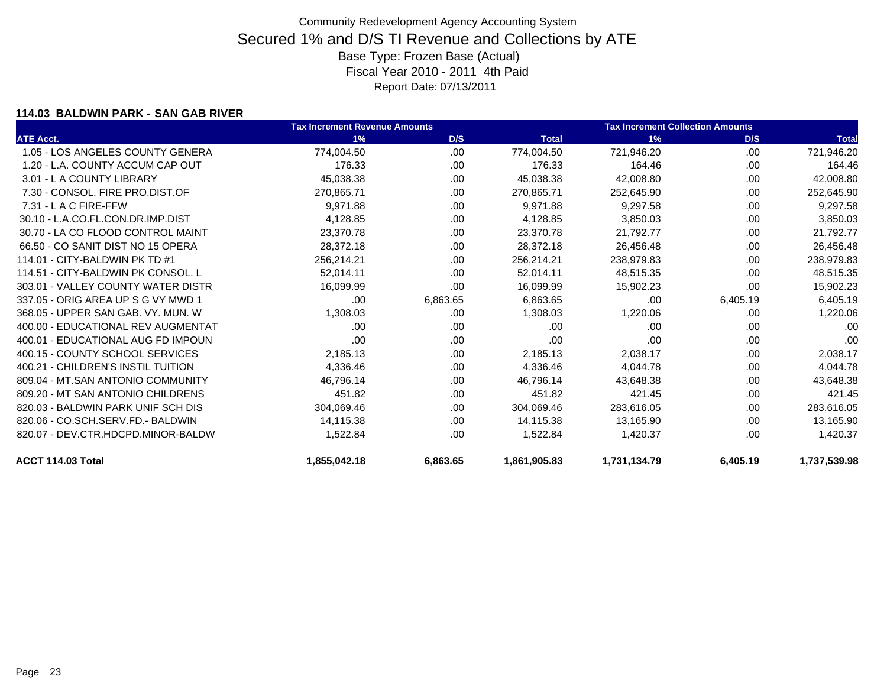### **114.03 BALDWIN PARK - SAN GAB RIVER**

|                                    | <b>Tax Increment Revenue Amounts</b> |          |              | <b>Tax Increment Collection Amounts</b> |          |              |
|------------------------------------|--------------------------------------|----------|--------------|-----------------------------------------|----------|--------------|
| <b>ATE Acct.</b>                   | 1%                                   | D/S      | <b>Total</b> | 1%                                      | D/S      | <b>Total</b> |
| 1.05 - LOS ANGELES COUNTY GENERA   | 774,004.50                           | .00      | 774,004.50   | 721,946.20                              | .00      | 721,946.20   |
| 1.20 - L.A. COUNTY ACCUM CAP OUT   | 176.33                               | .00      | 176.33       | 164.46                                  | .00      | 164.46       |
| 3.01 - L A COUNTY LIBRARY          | 45,038.38                            | .00      | 45,038.38    | 42,008.80                               | .00      | 42,008.80    |
| 7.30 - CONSOL, FIRE PRO.DIST.OF    | 270,865.71                           | .00      | 270,865.71   | 252,645.90                              | .00      | 252,645.90   |
| 7.31 - L A C FIRE-FFW              | 9.971.88                             | .00      | 9,971.88     | 9,297.58                                | .00.     | 9,297.58     |
| 30.10 - L.A.CO.FL.CON.DR.IMP.DIST  | 4,128.85                             | .00      | 4,128.85     | 3,850.03                                | .00      | 3,850.03     |
| 30.70 - LA CO FLOOD CONTROL MAINT  | 23,370.78                            | .00      | 23,370.78    | 21,792.77                               | .00.     | 21,792.77    |
| 66.50 - CO SANIT DIST NO 15 OPERA  | 28,372.18                            | .00      | 28,372.18    | 26,456.48                               | .00      | 26,456.48    |
| 114.01 - CITY-BALDWIN PK TD #1     | 256,214.21                           | .00      | 256,214.21   | 238,979.83                              | .00      | 238,979.83   |
| 114.51 - CITY-BALDWIN PK CONSOL. L | 52,014.11                            | .00      | 52,014.11    | 48,515.35                               | .00      | 48,515.35    |
| 303.01 - VALLEY COUNTY WATER DISTR | 16,099.99                            | .00      | 16,099.99    | 15,902.23                               | .00      | 15,902.23    |
| 337.05 - ORIG AREA UP S G VY MWD 1 | .00                                  | 6,863.65 | 6,863.65     | .00                                     | 6,405.19 | 6,405.19     |
| 368.05 - UPPER SAN GAB, VY, MUN, W | 1,308.03                             | .00      | 1,308.03     | 1,220.06                                | .00      | 1,220.06     |
| 400.00 - EDUCATIONAL REV AUGMENTAT | .00.                                 | .00      | .00          | .00                                     | .00      | .00          |
| 400.01 - EDUCATIONAL AUG FD IMPOUN | .00.                                 | .00      | .00          | .00                                     | .00      | .00          |
| 400.15 - COUNTY SCHOOL SERVICES    | 2,185.13                             | .00      | 2,185.13     | 2,038.17                                | .00      | 2,038.17     |
| 400.21 - CHILDREN'S INSTIL TUITION | 4,336.46                             | .00      | 4,336.46     | 4,044.78                                | .00      | 4,044.78     |
| 809.04 - MT.SAN ANTONIO COMMUNITY  | 46,796.14                            | .00      | 46,796.14    | 43,648.38                               | .00      | 43,648.38    |
| 809.20 - MT SAN ANTONIO CHILDRENS  | 451.82                               | .00      | 451.82       | 421.45                                  | .00      | 421.45       |
| 820.03 - BALDWIN PARK UNIF SCH DIS | 304,069.46                           | .00      | 304,069.46   | 283,616.05                              | .00      | 283,616.05   |
| 820.06 - CO.SCH.SERV.FD.- BALDWIN  | 14,115.38                            | .00      | 14,115.38    | 13,165.90                               | .00      | 13,165.90    |
| 820.07 - DEV.CTR.HDCPD.MINOR-BALDW | 1,522.84                             | .00      | 1,522.84     | 1,420.37                                | .00      | 1,420.37     |
| ACCT 114.03 Total                  | 1,855,042.18                         | 6,863.65 | 1,861,905.83 | 1,731,134.79                            | 6,405.19 | 1,737,539.98 |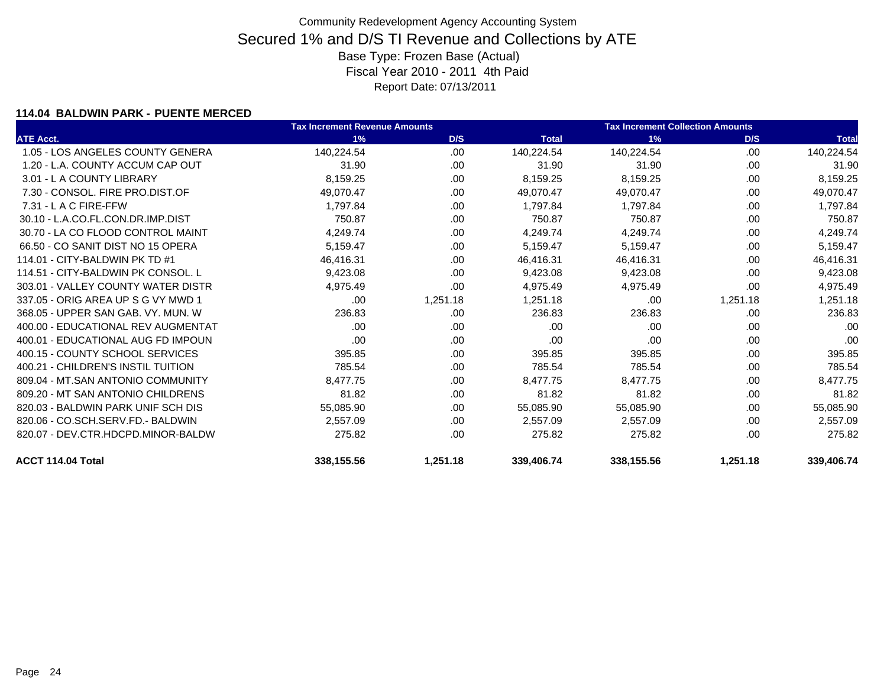### **114.04 BALDWIN PARK - PUENTE MERCED**

|                                    | <b>Tax Increment Revenue Amounts</b> |          |              | <b>Tax Increment Collection Amounts</b> |          |              |
|------------------------------------|--------------------------------------|----------|--------------|-----------------------------------------|----------|--------------|
| <b>ATE Acct.</b>                   | 1%                                   | D/S      | <b>Total</b> | 1%                                      | D/S      | <b>Total</b> |
| 1.05 - LOS ANGELES COUNTY GENERA   | 140,224.54                           | .00      | 140,224.54   | 140,224.54                              | .00.     | 140,224.54   |
| 1.20 - L.A. COUNTY ACCUM CAP OUT   | 31.90                                | .00      | 31.90        | 31.90                                   | .00      | 31.90        |
| 3.01 - L A COUNTY LIBRARY          | 8,159.25                             | .00      | 8,159.25     | 8,159.25                                | .00      | 8,159.25     |
| 7.30 - CONSOL, FIRE PRO.DIST.OF    | 49,070.47                            | .00      | 49,070.47    | 49,070.47                               | .00      | 49,070.47    |
| 7.31 - L A C FIRE-FFW              | 1.797.84                             | .00      | 1.797.84     | 1,797.84                                | .00      | 1,797.84     |
| 30.10 - L.A.CO.FL.CON.DR.IMP.DIST  | 750.87                               | .00      | 750.87       | 750.87                                  | .00      | 750.87       |
| 30.70 - LA CO FLOOD CONTROL MAINT  | 4,249.74                             | .00      | 4,249.74     | 4,249.74                                | .00      | 4,249.74     |
| 66.50 - CO SANIT DIST NO 15 OPERA  | 5,159.47                             | .00      | 5,159.47     | 5,159.47                                | .00      | 5,159.47     |
| 114.01 - CITY-BALDWIN PK TD #1     | 46,416.31                            | .00      | 46,416.31    | 46,416.31                               | .00      | 46,416.31    |
| 114.51 - CITY-BALDWIN PK CONSOL. L | 9,423.08                             | .00      | 9,423.08     | 9,423.08                                | .00      | 9,423.08     |
| 303.01 - VALLEY COUNTY WATER DISTR | 4,975.49                             | .00.     | 4,975.49     | 4,975.49                                | .00      | 4,975.49     |
| 337.05 - ORIG AREA UP S G VY MWD 1 | .00                                  | 1,251.18 | 1,251.18     | .00                                     | 1,251.18 | 1,251.18     |
| 368.05 - UPPER SAN GAB, VY, MUN, W | 236.83                               | .00      | 236.83       | 236.83                                  | .00      | 236.83       |
| 400.00 - EDUCATIONAL REV AUGMENTAT | .00.                                 | .00      | .00          | .00                                     | .00      | .00          |
| 400.01 - EDUCATIONAL AUG FD IMPOUN | .00.                                 | .00      | .00          | .00                                     | .00      | .00          |
| 400.15 - COUNTY SCHOOL SERVICES    | 395.85                               | .00      | 395.85       | 395.85                                  | .00      | 395.85       |
| 400.21 - CHILDREN'S INSTIL TUITION | 785.54                               | .00      | 785.54       | 785.54                                  | .00      | 785.54       |
| 809.04 - MT.SAN ANTONIO COMMUNITY  | 8,477.75                             | .00      | 8,477.75     | 8,477.75                                | .00      | 8,477.75     |
| 809.20 - MT SAN ANTONIO CHILDRENS  | 81.82                                | .00      | 81.82        | 81.82                                   | .00      | 81.82        |
| 820.03 - BALDWIN PARK UNIF SCH DIS | 55,085.90                            | .00      | 55,085.90    | 55,085.90                               | .00      | 55,085.90    |
| 820.06 - CO.SCH.SERV.FD.- BALDWIN  | 2,557.09                             | .00      | 2,557.09     | 2,557.09                                | .00      | 2,557.09     |
| 820.07 - DEV.CTR.HDCPD.MINOR-BALDW | 275.82                               | .00      | 275.82       | 275.82                                  | .00      | 275.82       |
| ACCT 114.04 Total                  | 338,155.56                           | 1,251.18 | 339.406.74   | 338,155.56                              | 1,251.18 | 339,406.74   |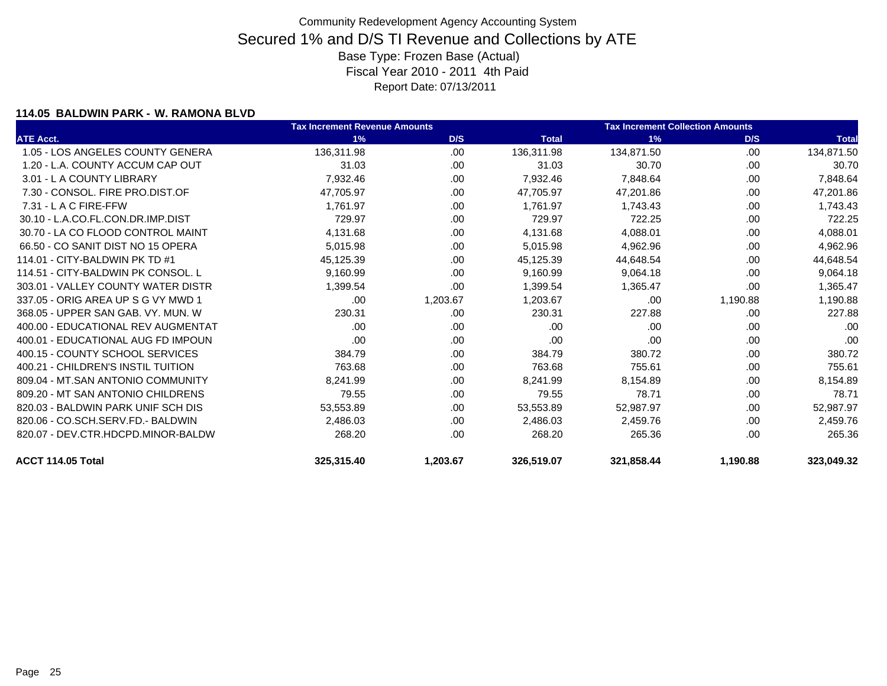### **114.05 BALDWIN PARK - W. RAMONA BLVD**

|                                    | <b>Tax Increment Revenue Amounts</b> |          | <b>Tax Increment Collection Amounts</b> |            |          |              |
|------------------------------------|--------------------------------------|----------|-----------------------------------------|------------|----------|--------------|
| <b>ATE Acct.</b>                   | 1%                                   | D/S      | <b>Total</b>                            | 1%         | D/S      | <b>Total</b> |
| 1.05 - LOS ANGELES COUNTY GENERA   | 136,311.98                           | .00      | 136,311.98                              | 134,871.50 | .00      | 134,871.50   |
| 1.20 - L.A. COUNTY ACCUM CAP OUT   | 31.03                                | .00.     | 31.03                                   | 30.70      | .00      | 30.70        |
| 3.01 - L A COUNTY LIBRARY          | 7,932.46                             | .00      | 7,932.46                                | 7,848.64   | .00      | 7,848.64     |
| 7.30 - CONSOL, FIRE PRO.DIST.OF    | 47,705.97                            | .00.     | 47,705.97                               | 47,201.86  | .00      | 47,201.86    |
| 7.31 - L A C FIRE-FFW              | 1,761.97                             | .00.     | 1,761.97                                | 1,743.43   | .00      | 1,743.43     |
| 30.10 - L.A.CO.FL.CON.DR.IMP.DIST  | 729.97                               | .00      | 729.97                                  | 722.25     | .00      | 722.25       |
| 30.70 - LA CO FLOOD CONTROL MAINT  | 4,131.68                             | .00      | 4,131.68                                | 4,088.01   | .00      | 4,088.01     |
| 66.50 - CO SANIT DIST NO 15 OPERA  | 5,015.98                             | .00      | 5,015.98                                | 4,962.96   | .00      | 4,962.96     |
| 114.01 - CITY-BALDWIN PK TD #1     | 45,125.39                            | .00.     | 45,125.39                               | 44,648.54  | .00      | 44,648.54    |
| 114.51 - CITY-BALDWIN PK CONSOL. L | 9,160.99                             | .00.     | 9,160.99                                | 9,064.18   | .00      | 9,064.18     |
| 303.01 - VALLEY COUNTY WATER DISTR | 1,399.54                             | .00      | 1,399.54                                | 1,365.47   | .00      | 1,365.47     |
| 337.05 - ORIG AREA UP S G VY MWD 1 | .00                                  | 1,203.67 | 1,203.67                                | .00        | 1,190.88 | 1,190.88     |
| 368.05 - UPPER SAN GAB, VY, MUN, W | 230.31                               | .00      | 230.31                                  | 227.88     | .00      | 227.88       |
| 400.00 - EDUCATIONAL REV AUGMENTAT | .00                                  | .00      | .00                                     | .00        | .00      | .00          |
| 400.01 - EDUCATIONAL AUG FD IMPOUN | .00                                  | .00      | .00                                     | .00        | .00      | .00          |
| 400.15 - COUNTY SCHOOL SERVICES    | 384.79                               | .00      | 384.79                                  | 380.72     | .00      | 380.72       |
| 400.21 - CHILDREN'S INSTIL TUITION | 763.68                               | .00.     | 763.68                                  | 755.61     | .00      | 755.61       |
| 809.04 - MT.SAN ANTONIO COMMUNITY  | 8,241.99                             | .00      | 8,241.99                                | 8,154.89   | .00      | 8,154.89     |
| 809.20 - MT SAN ANTONIO CHILDRENS  | 79.55                                | .00      | 79.55                                   | 78.71      | .00      | 78.71        |
| 820.03 - BALDWIN PARK UNIF SCH DIS | 53,553.89                            | .00.     | 53,553.89                               | 52,987.97  | .00      | 52,987.97    |
| 820.06 - CO.SCH.SERV.FD.- BALDWIN  | 2,486.03                             | .00      | 2,486.03                                | 2,459.76   | .00      | 2,459.76     |
| 820.07 - DEV.CTR.HDCPD.MINOR-BALDW | 268.20                               | .00      | 268.20                                  | 265.36     | .00      | 265.36       |
| ACCT 114.05 Total                  | 325,315.40                           | 1,203.67 | 326,519.07                              | 321,858.44 | 1,190.88 | 323,049.32   |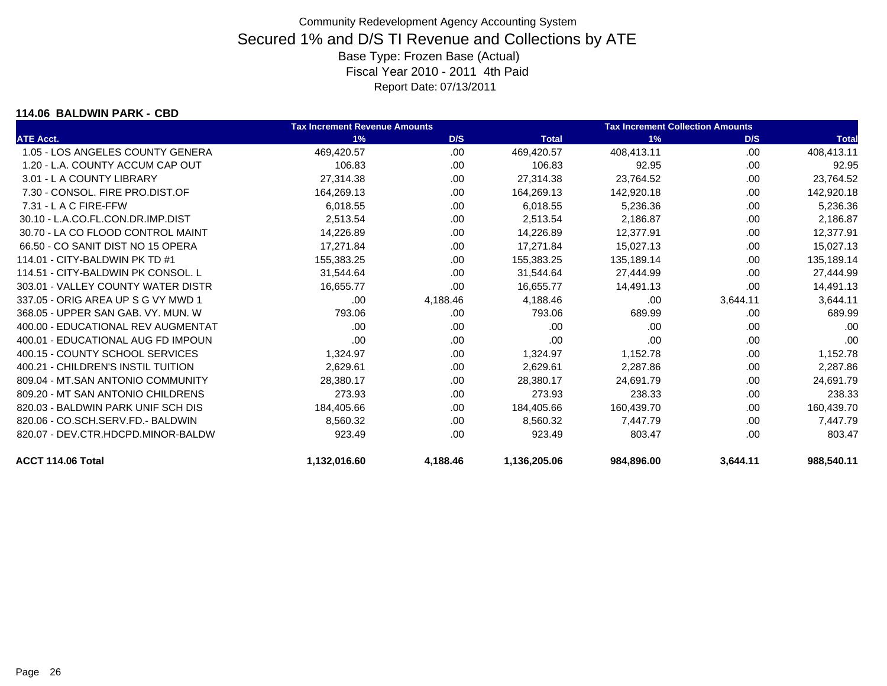#### **114.06 BALDWIN PARK - CBD**

|                                    | <b>Tax Increment Revenue Amounts</b> |          |              | <b>Tax Increment Collection Amounts</b> |          |              |
|------------------------------------|--------------------------------------|----------|--------------|-----------------------------------------|----------|--------------|
| <b>ATE Acct.</b>                   | 1%                                   | D/S      | <b>Total</b> | 1%                                      | D/S      | <b>Total</b> |
| 1.05 - LOS ANGELES COUNTY GENERA   | 469,420.57                           | .00      | 469,420.57   | 408,413.11                              | .00      | 408,413.11   |
| 1.20 - L.A. COUNTY ACCUM CAP OUT   | 106.83                               | .00      | 106.83       | 92.95                                   | .00      | 92.95        |
| 3.01 - L A COUNTY LIBRARY          | 27.314.38                            | .00      | 27,314.38    | 23,764.52                               | .00      | 23,764.52    |
| 7.30 - CONSOL. FIRE PRO.DIST.OF    | 164,269.13                           | .00      | 164,269.13   | 142,920.18                              | .00      | 142,920.18   |
| 7.31 - L A C FIRE-FFW              | 6,018.55                             | .00      | 6,018.55     | 5,236.36                                | .00      | 5,236.36     |
| 30.10 - L.A.CO.FL.CON.DR.IMP.DIST  | 2,513.54                             | .00.     | 2,513.54     | 2,186.87                                | .00      | 2,186.87     |
| 30.70 - LA CO FLOOD CONTROL MAINT  | 14,226.89                            | .00      | 14,226.89    | 12,377.91                               | .00      | 12,377.91    |
| 66.50 - CO SANIT DIST NO 15 OPERA  | 17,271.84                            | .00      | 17,271.84    | 15,027.13                               | .00      | 15,027.13    |
| 114.01 - CITY-BALDWIN PK TD #1     | 155,383.25                           | .00      | 155,383.25   | 135,189.14                              | .00.     | 135,189.14   |
| 114.51 - CITY-BALDWIN PK CONSOL. L | 31,544.64                            | .00      | 31,544.64    | 27,444.99                               | .00      | 27,444.99    |
| 303.01 - VALLEY COUNTY WATER DISTR | 16,655.77                            | .00.     | 16,655.77    | 14,491.13                               | .00      | 14,491.13    |
| 337.05 - ORIG AREA UP S G VY MWD 1 | .00                                  | 4,188.46 | 4,188.46     | .00                                     | 3,644.11 | 3,644.11     |
| 368.05 - UPPER SAN GAB, VY, MUN, W | 793.06                               | .00.     | 793.06       | 689.99                                  | .00      | 689.99       |
| 400.00 - EDUCATIONAL REV AUGMENTAT | .00                                  | .00      | .00          | .00.                                    | .00      | .00          |
| 400.01 - EDUCATIONAL AUG FD IMPOUN | .00                                  | .00.     | .00          | .00                                     | .00.     | .00          |
| 400.15 - COUNTY SCHOOL SERVICES    | 1,324.97                             | .00.     | 1,324.97     | 1,152.78                                | .00      | 1,152.78     |
| 400.21 - CHILDREN'S INSTIL TUITION | 2,629.61                             | .00      | 2,629.61     | 2,287.86                                | .00      | 2,287.86     |
| 809.04 - MT.SAN ANTONIO COMMUNITY  | 28,380.17                            | .00.     | 28,380.17    | 24.691.79                               | .00      | 24,691.79    |
| 809.20 - MT SAN ANTONIO CHILDRENS  | 273.93                               | .00      | 273.93       | 238.33                                  | .00      | 238.33       |
| 820.03 - BALDWIN PARK UNIF SCH DIS | 184,405.66                           | .00.     | 184,405.66   | 160,439.70                              | .00      | 160,439.70   |
| 820.06 - CO.SCH.SERV.FD.- BALDWIN  | 8,560.32                             | .00.     | 8.560.32     | 7,447.79                                | .00      | 7,447.79     |
| 820.07 - DEV.CTR.HDCPD.MINOR-BALDW | 923.49                               | .00      | 923.49       | 803.47                                  | .00      | 803.47       |
| ACCT 114.06 Total                  | 1,132,016.60                         | 4,188.46 | 1,136,205.06 | 984,896.00                              | 3,644.11 | 988,540.11   |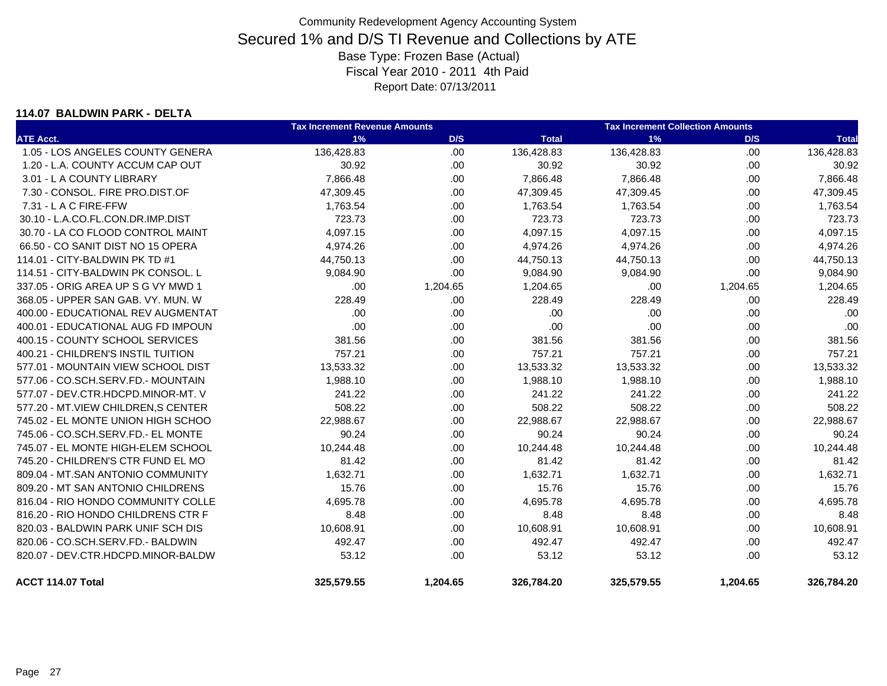#### **114.07 BALDWIN PARK - DELTA**

|                                      | <b>Tax Increment Revenue Amounts</b> |          |              | <b>Tax Increment Collection Amounts</b> |          |              |  |
|--------------------------------------|--------------------------------------|----------|--------------|-----------------------------------------|----------|--------------|--|
| <b>ATE Acct.</b>                     | 1%                                   | D/S      | <b>Total</b> | 1%                                      | D/S      | <b>Total</b> |  |
| 1.05 - LOS ANGELES COUNTY GENERA     | 136,428.83                           | .00      | 136,428.83   | 136,428.83                              | .00.     | 136,428.83   |  |
| 1.20 - L.A. COUNTY ACCUM CAP OUT     | 30.92                                | .00.     | 30.92        | 30.92                                   | .00.     | 30.92        |  |
| 3.01 - L A COUNTY LIBRARY            | 7,866.48                             | .00      | 7,866.48     | 7,866.48                                | .00.     | 7,866.48     |  |
| 7.30 - CONSOL. FIRE PRO.DIST.OF      | 47,309.45                            | .00      | 47,309.45    | 47,309.45                               | .00      | 47,309.45    |  |
| 7.31 - L A C FIRE-FFW                | 1,763.54                             | .00      | 1,763.54     | 1,763.54                                | .00.     | 1,763.54     |  |
| 30.10 - L.A.CO.FL.CON.DR.IMP.DIST    | 723.73                               | .00.     | 723.73       | 723.73                                  | .00      | 723.73       |  |
| 30.70 - LA CO FLOOD CONTROL MAINT    | 4,097.15                             | .00.     | 4,097.15     | 4,097.15                                | .00.     | 4,097.15     |  |
| 66.50 - CO SANIT DIST NO 15 OPERA    | 4,974.26                             | .00.     | 4,974.26     | 4,974.26                                | .00.     | 4,974.26     |  |
| 114.01 - CITY-BALDWIN PK TD #1       | 44,750.13                            | .00.     | 44,750.13    | 44,750.13                               | .00.     | 44,750.13    |  |
| 114.51 - CITY-BALDWIN PK CONSOL. L   | 9,084.90                             | .00      | 9,084.90     | 9,084.90                                | .00.     | 9,084.90     |  |
| 337.05 - ORIG AREA UP S G VY MWD 1   | .00                                  | 1,204.65 | 1,204.65     | .00                                     | 1,204.65 | 1,204.65     |  |
| 368.05 - UPPER SAN GAB. VY. MUN. W   | 228.49                               | .00.     | 228.49       | 228.49                                  | .00.     | 228.49       |  |
| 400.00 - EDUCATIONAL REV AUGMENTAT   | .00.                                 | .00.     | .00          | .00                                     | .00.     | .00          |  |
| 400.01 - EDUCATIONAL AUG FD IMPOUN   | .00                                  | .00.     | .00          | .00                                     | .00.     | .00          |  |
| 400.15 - COUNTY SCHOOL SERVICES      | 381.56                               | .00.     | 381.56       | 381.56                                  | .00.     | 381.56       |  |
| 400.21 - CHILDREN'S INSTIL TUITION   | 757.21                               | .00      | 757.21       | 757.21                                  | .00.     | 757.21       |  |
| 577.01 - MOUNTAIN VIEW SCHOOL DIST   | 13,533.32                            | .00      | 13,533.32    | 13,533.32                               | .00.     | 13,533.32    |  |
| 577.06 - CO.SCH.SERV.FD.- MOUNTAIN   | 1,988.10                             | .00.     | 1,988.10     | 1,988.10                                | .00      | 1,988.10     |  |
| 577.07 - DEV.CTR.HDCPD.MINOR-MT. V   | 241.22                               | .00      | 241.22       | 241.22                                  | .00.     | 241.22       |  |
| 577.20 - MT. VIEW CHILDREN. S CENTER | 508.22                               | .00      | 508.22       | 508.22                                  | .00.     | 508.22       |  |
| 745.02 - EL MONTE UNION HIGH SCHOO   | 22,988.67                            | .00      | 22,988.67    | 22,988.67                               | .00.     | 22,988.67    |  |
| 745.06 - CO.SCH.SERV.FD.- EL MONTE   | 90.24                                | .00      | 90.24        | 90.24                                   | .00.     | 90.24        |  |
| 745.07 - EL MONTE HIGH-ELEM SCHOOL   | 10,244.48                            | .00      | 10,244.48    | 10,244.48                               | .00.     | 10,244.48    |  |
| 745.20 - CHILDREN'S CTR FUND EL MO   | 81.42                                | .00.     | 81.42        | 81.42                                   | .00.     | 81.42        |  |
| 809.04 - MT.SAN ANTONIO COMMUNITY    | 1,632.71                             | .00.     | 1.632.71     | 1,632.71                                | .00.     | 1,632.71     |  |
| 809.20 - MT SAN ANTONIO CHILDRENS    | 15.76                                | .00.     | 15.76        | 15.76                                   | .00      | 15.76        |  |
| 816.04 - RIO HONDO COMMUNITY COLLE   | 4,695.78                             | .00.     | 4,695.78     | 4,695.78                                | .00      | 4,695.78     |  |
| 816.20 - RIO HONDO CHILDRENS CTR F   | 8.48                                 | .00.     | 8.48         | 8.48                                    | .00.     | 8.48         |  |
| 820.03 - BALDWIN PARK UNIF SCH DIS   | 10,608.91                            | .00.     | 10,608.91    | 10,608.91                               | .00      | 10,608.91    |  |
| 820.06 - CO.SCH.SERV.FD.- BALDWIN    | 492.47                               | .00.     | 492.47       | 492.47                                  | .00.     | 492.47       |  |
| 820.07 - DEV.CTR.HDCPD.MINOR-BALDW   | 53.12                                | .00.     | 53.12        | 53.12                                   | .00.     | 53.12        |  |
| ACCT 114.07 Total                    | 325,579.55                           | 1,204.65 | 326,784.20   | 325,579.55                              | 1,204.65 | 326,784.20   |  |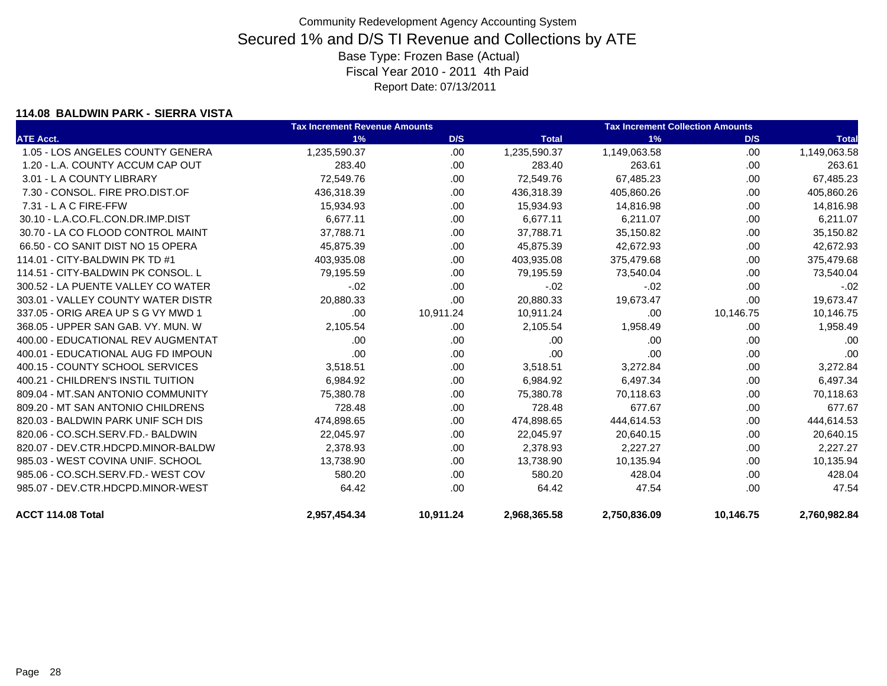#### **114.08 BALDWIN PARK - SIERRA VISTA**

|                                    | <b>Tax Increment Revenue Amounts</b> |           |              | <b>Tax Increment Collection Amounts</b> |           |              |
|------------------------------------|--------------------------------------|-----------|--------------|-----------------------------------------|-----------|--------------|
| <b>ATE Acct.</b>                   | 1%                                   | D/S       | <b>Total</b> | 1%                                      | D/S       | <b>Total</b> |
| 1.05 - LOS ANGELES COUNTY GENERA   | 1,235,590.37                         | .00.      | 1,235,590.37 | 1,149,063.58                            | .00.      | 1,149,063.58 |
| 1.20 - L.A. COUNTY ACCUM CAP OUT   | 283.40                               | .00       | 283.40       | 263.61                                  | .00.      | 263.61       |
| 3.01 - L A COUNTY LIBRARY          | 72,549.76                            | .00.      | 72,549.76    | 67,485.23                               | .00.      | 67,485.23    |
| 7.30 - CONSOL, FIRE PRO.DIST.OF    | 436,318.39                           | .00.      | 436,318.39   | 405,860.26                              | .00       | 405,860.26   |
| 7.31 - L A C FIRE-FFW              | 15,934.93                            | .00.      | 15,934.93    | 14,816.98                               | .00       | 14,816.98    |
| 30.10 - L.A.CO.FL.CON.DR.IMP.DIST  | 6,677.11                             | .00       | 6,677.11     | 6,211.07                                | .00       | 6,211.07     |
| 30.70 - LA CO FLOOD CONTROL MAINT  | 37,788.71                            | .00.      | 37,788.71    | 35,150.82                               | .00       | 35,150.82    |
| 66.50 - CO SANIT DIST NO 15 OPERA  | 45.875.39                            | .00       | 45,875.39    | 42,672.93                               | .00       | 42,672.93    |
| 114.01 - CITY-BALDWIN PK TD #1     | 403,935.08                           | .00.      | 403,935.08   | 375,479.68                              | .00       | 375,479.68   |
| 114.51 - CITY-BALDWIN PK CONSOL. L | 79,195.59                            | .00       | 79,195.59    | 73,540.04                               | .00       | 73,540.04    |
| 300.52 - LA PUENTE VALLEY CO WATER | $-.02$                               | .00.      | $-.02$       | $-02$                                   | .00.      | $-.02$       |
| 303.01 - VALLEY COUNTY WATER DISTR | 20,880.33                            | .00       | 20,880.33    | 19,673.47                               | .00       | 19,673.47    |
| 337.05 - ORIG AREA UP S G VY MWD 1 | .00                                  | 10,911.24 | 10,911.24    | .00                                     | 10,146.75 | 10,146.75    |
| 368.05 - UPPER SAN GAB. VY. MUN. W | 2,105.54                             | .00       | 2,105.54     | 1,958.49                                | .00       | 1,958.49     |
| 400.00 - EDUCATIONAL REV AUGMENTAT | .00                                  | .00       | .00          | .00                                     | .00       | .00          |
| 400.01 - EDUCATIONAL AUG FD IMPOUN | .00                                  | .00.      | .00          | .00                                     | .00       | .00          |
| 400.15 - COUNTY SCHOOL SERVICES    | 3,518.51                             | .00.      | 3,518.51     | 3,272.84                                | .00       | 3,272.84     |
| 400.21 - CHILDREN'S INSTIL TUITION | 6,984.92                             | .00.      | 6,984.92     | 6,497.34                                | .00       | 6,497.34     |
| 809.04 - MT.SAN ANTONIO COMMUNITY  | 75,380.78                            | .00.      | 75,380.78    | 70,118.63                               | .00       | 70,118.63    |
| 809.20 - MT SAN ANTONIO CHILDRENS  | 728.48                               | .00.      | 728.48       | 677.67                                  | .00       | 677.67       |
| 820.03 - BALDWIN PARK UNIF SCH DIS | 474,898.65                           | .00.      | 474,898.65   | 444,614.53                              | .00       | 444,614.53   |
| 820.06 - CO.SCH.SERV.FD.- BALDWIN  | 22,045.97                            | .00.      | 22,045.97    | 20,640.15                               | .00       | 20,640.15    |
| 820.07 - DEV.CTR.HDCPD.MINOR-BALDW | 2,378.93                             | .00.      | 2,378.93     | 2,227.27                                | .00       | 2,227.27     |
| 985.03 - WEST COVINA UNIF, SCHOOL  | 13,738.90                            | .00       | 13,738.90    | 10,135.94                               | .00       | 10,135.94    |
| 985.06 - CO.SCH.SERV.FD.- WEST COV | 580.20                               | .00.      | 580.20       | 428.04                                  | .00       | 428.04       |
| 985.07 - DEV.CTR.HDCPD.MINOR-WEST  | 64.42                                | .00.      | 64.42        | 47.54                                   | .00       | 47.54        |
| ACCT 114.08 Total                  | 2,957,454.34                         | 10,911.24 | 2,968,365.58 | 2,750,836.09                            | 10,146.75 | 2,760,982.84 |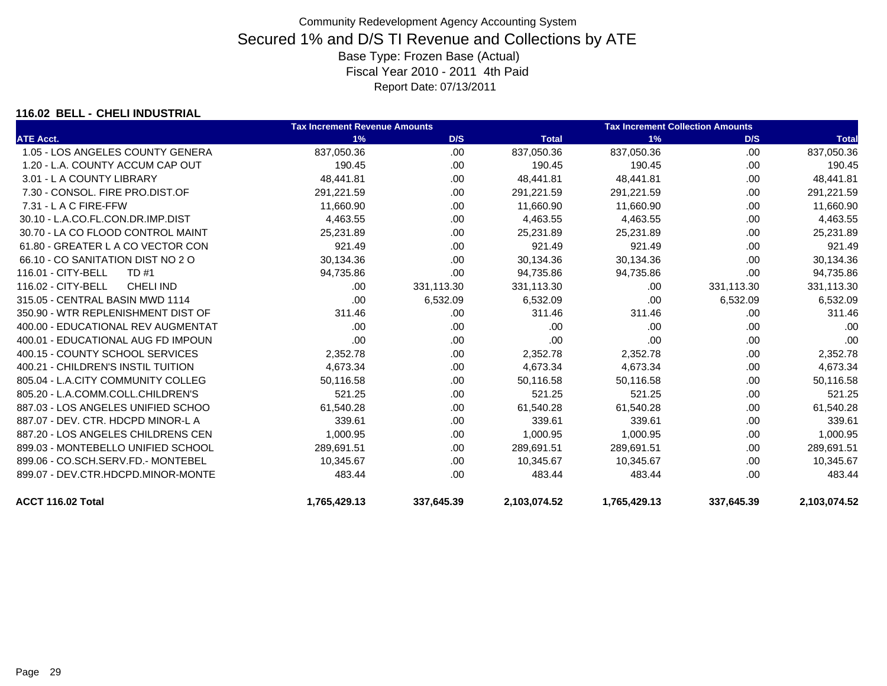### **116.02 BELL - CHELI INDUSTRIAL**

|                                        | <b>Tax Increment Revenue Amounts</b> |            |              | <b>Tax Increment Collection Amounts</b> |            |              |
|----------------------------------------|--------------------------------------|------------|--------------|-----------------------------------------|------------|--------------|
| <b>ATE Acct.</b>                       | 1%                                   | D/S        | <b>Total</b> | 1%                                      | D/S        | <b>Total</b> |
| 1.05 - LOS ANGELES COUNTY GENERA       | 837,050.36                           | .00.       | 837,050.36   | 837,050.36                              | .00        | 837,050.36   |
| 1.20 - L.A. COUNTY ACCUM CAP OUT       | 190.45                               | .00        | 190.45       | 190.45                                  | .00.       | 190.45       |
| 3.01 - L A COUNTY LIBRARY              | 48,441.81                            | .00        | 48,441.81    | 48,441.81                               | .00.       | 48,441.81    |
| 7.30 - CONSOL. FIRE PRO.DIST.OF        | 291,221.59                           | .00        | 291,221.59   | 291,221.59                              | .00        | 291,221.59   |
| 7.31 - L A C FIRE-FFW                  | 11,660.90                            | .00        | 11.660.90    | 11,660.90                               | .00        | 11,660.90    |
| 30.10 - L.A.CO.FL.CON.DR.IMP.DIST      | 4,463.55                             | .00        | 4,463.55     | 4,463.55                                | .00.       | 4,463.55     |
| 30.70 - LA CO FLOOD CONTROL MAINT      | 25,231.89                            | .00        | 25,231.89    | 25,231.89                               | .00        | 25,231.89    |
| 61.80 - GREATER L A CO VECTOR CON      | 921.49                               | .00        | 921.49       | 921.49                                  | .00        | 921.49       |
| 66.10 - CO SANITATION DIST NO 2 O      | 30,134.36                            | .00        | 30,134.36    | 30,134.36                               | .00        | 30,134.36    |
| 116.01 - CITY-BELL<br>TD #1            | 94,735.86                            | .00        | 94,735.86    | 94,735.86                               | .00        | 94,735.86    |
| 116.02 - CITY-BELL<br><b>CHELI IND</b> | .00.                                 | 331,113.30 | 331,113.30   | .00                                     | 331,113.30 | 331,113.30   |
| 315.05 - CENTRAL BASIN MWD 1114        | .00                                  | 6,532.09   | 6,532.09     | .00                                     | 6,532.09   | 6,532.09     |
| 350.90 - WTR REPLENISHMENT DIST OF     | 311.46                               | .00        | 311.46       | 311.46                                  | .00        | 311.46       |
| 400.00 - EDUCATIONAL REV AUGMENTAT     | .00                                  | .00        | .00          | .00                                     | .00        | .00          |
| 400.01 - EDUCATIONAL AUG FD IMPOUN     | .00                                  | .00        | .00          | .00                                     | .00.       | .00          |
| 400.15 - COUNTY SCHOOL SERVICES        | 2,352.78                             | .00        | 2,352.78     | 2,352.78                                | .00.       | 2,352.78     |
| 400.21 - CHILDREN'S INSTIL TUITION     | 4,673.34                             | .00        | 4,673.34     | 4,673.34                                | .00.       | 4,673.34     |
| 805.04 - L.A.CITY COMMUNITY COLLEG     | 50,116.58                            | .00        | 50,116.58    | 50,116.58                               | .00        | 50,116.58    |
| 805.20 - L.A.COMM.COLL.CHILDREN'S      | 521.25                               | .00        | 521.25       | 521.25                                  | .00        | 521.25       |
| 887.03 - LOS ANGELES UNIFIED SCHOO     | 61,540.28                            | .00        | 61,540.28    | 61,540.28                               | .00        | 61,540.28    |
| 887.07 - DEV. CTR. HDCPD MINOR-L A     | 339.61                               | .00        | 339.61       | 339.61                                  | .00.       | 339.61       |
| 887.20 - LOS ANGELES CHILDRENS CEN     | 1,000.95                             | .00        | 1,000.95     | 1,000.95                                | .00        | 1,000.95     |
| 899.03 - MONTEBELLO UNIFIED SCHOOL     | 289,691.51                           | .00        | 289,691.51   | 289,691.51                              | .00        | 289,691.51   |
| 899.06 - CO.SCH.SERV.FD.- MONTEBEL     | 10.345.67                            | .00        | 10.345.67    | 10.345.67                               | .00        | 10,345.67    |
| 899.07 - DEV.CTR.HDCPD.MINOR-MONTE     | 483.44                               | .00        | 483.44       | 483.44                                  | .00.       | 483.44       |
| ACCT 116.02 Total                      | 1,765,429.13                         | 337,645.39 | 2,103,074.52 | 1,765,429.13                            | 337,645.39 | 2,103,074.52 |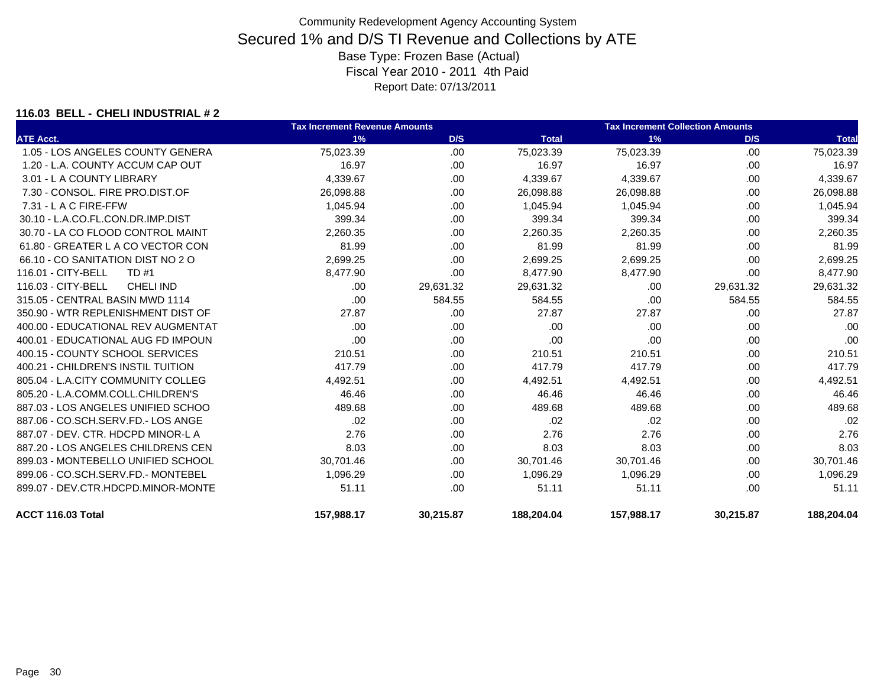#### **116.03 BELL - CHELI INDUSTRIAL # 2**

|                                        | <b>Tax Increment Revenue Amounts</b> |           |              | <b>Tax Increment Collection Amounts</b> |           |              |
|----------------------------------------|--------------------------------------|-----------|--------------|-----------------------------------------|-----------|--------------|
| <b>ATE Acct.</b>                       | 1%                                   | D/S       | <b>Total</b> | 1%                                      | D/S       | <b>Total</b> |
| 1.05 - LOS ANGELES COUNTY GENERA       | 75,023.39                            | .00       | 75,023.39    | 75,023.39                               | .00       | 75,023.39    |
| 1.20 - L.A. COUNTY ACCUM CAP OUT       | 16.97                                | .00       | 16.97        | 16.97                                   | .00       | 16.97        |
| 3.01 - L A COUNTY LIBRARY              | 4,339.67                             | .00       | 4,339.67     | 4,339.67                                | .00.      | 4,339.67     |
| 7.30 - CONSOL, FIRE PRO.DIST.OF        | 26,098.88                            | .00       | 26,098.88    | 26,098.88                               | .00       | 26,098.88    |
| 7.31 - L A C FIRE-FFW                  | 1,045.94                             | .00       | 1,045.94     | 1,045.94                                | .00       | 1,045.94     |
| 30.10 - L.A.CO.FL.CON.DR.IMP.DIST      | 399.34                               | .00       | 399.34       | 399.34                                  | .00       | 399.34       |
| 30.70 - LA CO FLOOD CONTROL MAINT      | 2,260.35                             | .00       | 2,260.35     | 2,260.35                                | .00       | 2,260.35     |
| 61.80 - GREATER L A CO VECTOR CON      | 81.99                                | .00       | 81.99        | 81.99                                   | .00       | 81.99        |
| 66.10 - CO SANITATION DIST NO 2 O      | 2,699.25                             | .00       | 2,699.25     | 2,699.25                                | .00       | 2,699.25     |
| 116.01 - CITY-BELL<br>TD #1            | 8,477.90                             | .00       | 8,477.90     | 8,477.90                                | .00       | 8,477.90     |
| 116.03 - CITY-BELL<br><b>CHELI IND</b> | .00.                                 | 29,631.32 | 29,631.32    | .00                                     | 29,631.32 | 29,631.32    |
| 315.05 - CENTRAL BASIN MWD 1114        | .00                                  | 584.55    | 584.55       | .00                                     | 584.55    | 584.55       |
| 350.90 - WTR REPLENISHMENT DIST OF     | 27.87                                | .00       | 27.87        | 27.87                                   | .00       | 27.87        |
| 400.00 - EDUCATIONAL REV AUGMENTAT     | .00.                                 | .00       | .00          | .00.                                    | .00       | .00          |
| 400.01 - EDUCATIONAL AUG FD IMPOUN     | .00                                  | .00       | .00          | .00                                     | .00.      | .00          |
| 400.15 - COUNTY SCHOOL SERVICES        | 210.51                               | .00       | 210.51       | 210.51                                  | .00       | 210.51       |
| 400.21 - CHILDREN'S INSTIL TUITION     | 417.79                               | .00       | 417.79       | 417.79                                  | .00.      | 417.79       |
| 805.04 - L.A.CITY COMMUNITY COLLEG     | 4,492.51                             | .00       | 4,492.51     | 4,492.51                                | .00.      | 4,492.51     |
| 805.20 - L.A.COMM.COLL.CHILDREN'S      | 46.46                                | .00       | 46.46        | 46.46                                   | .00       | 46.46        |
| 887.03 - LOS ANGELES UNIFIED SCHOO     | 489.68                               | .00       | 489.68       | 489.68                                  | .00       | 489.68       |
| 887.06 - CO.SCH.SERV.FD.- LOS ANGE     | .02                                  | .00       | .02          | .02                                     | .00       | .02          |
| 887.07 - DEV. CTR. HDCPD MINOR-L A     | 2.76                                 | .00       | 2.76         | 2.76                                    | .00       | 2.76         |
| 887.20 - LOS ANGELES CHILDRENS CEN     | 8.03                                 | .00       | 8.03         | 8.03                                    | .00.      | 8.03         |
| 899.03 - MONTEBELLO UNIFIED SCHOOL     | 30,701.46                            | .00       | 30,701.46    | 30,701.46                               | .00.      | 30,701.46    |
| 899.06 - CO.SCH.SERV.FD.- MONTEBEL     | 1,096.29                             | .00       | 1,096.29     | 1,096.29                                | .00.      | 1,096.29     |
| 899.07 - DEV.CTR.HDCPD.MINOR-MONTE     | 51.11                                | .00       | 51.11        | 51.11                                   | .00       | 51.11        |
| ACCT 116.03 Total                      | 157,988.17                           | 30,215.87 | 188,204.04   | 157,988.17                              | 30,215.87 | 188,204.04   |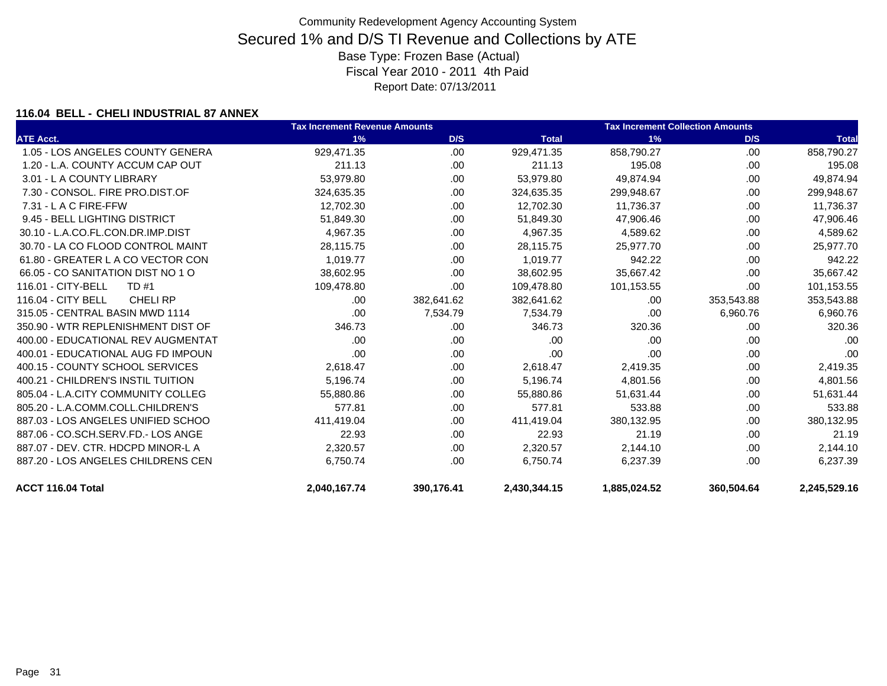### **116.04 BELL - CHELI INDUSTRIAL 87 ANNEX**

|                                      | <b>Tax Increment Revenue Amounts</b> |            |              | <b>Tax Increment Collection Amounts</b> |            |              |
|--------------------------------------|--------------------------------------|------------|--------------|-----------------------------------------|------------|--------------|
| <b>ATE Acct.</b>                     | 1%                                   | D/S        | <b>Total</b> | 1%                                      | D/S        | <b>Total</b> |
| 1.05 - LOS ANGELES COUNTY GENERA     | 929.471.35                           | .00        | 929,471.35   | 858.790.27                              | .00        | 858,790.27   |
| 1.20 - L.A. COUNTY ACCUM CAP OUT     | 211.13                               | .00        | 211.13       | 195.08                                  | .00        | 195.08       |
| 3.01 - L A COUNTY LIBRARY            | 53,979.80                            | .00        | 53,979.80    | 49.874.94                               | .00        | 49,874.94    |
| 7.30 - CONSOL, FIRE PRO.DIST.OF      | 324,635.35                           | .00        | 324,635.35   | 299,948.67                              | .00        | 299,948.67   |
| $7.31 - L$ A C FIRE-FFW              | 12,702.30                            | .00        | 12,702.30    | 11,736.37                               | .00        | 11,736.37    |
| 9.45 - BELL LIGHTING DISTRICT        | 51,849.30                            | .00        | 51,849.30    | 47,906.46                               | .00        | 47,906.46    |
| 30.10 - L.A.CO.FL.CON.DR.IMP.DIST    | 4,967.35                             | .00        | 4,967.35     | 4,589.62                                | .00        | 4,589.62     |
| 30.70 - LA CO FLOOD CONTROL MAINT    | 28,115.75                            | .00        | 28,115.75    | 25,977.70                               | .00        | 25,977.70    |
| 61.80 - GREATER L A CO VECTOR CON    | 1,019.77                             | .00        | 1,019.77     | 942.22                                  | .00        | 942.22       |
| 66.05 - CO SANITATION DIST NO 1 O    | 38,602.95                            | .00        | 38,602.95    | 35,667.42                               | .00        | 35,667.42    |
| 116.01 - CITY-BELL<br>TD #1          | 109,478.80                           | .00.       | 109,478.80   | 101,153.55                              | .00        | 101,153.55   |
| 116.04 - CITY BELL<br><b>CHELIRP</b> | .00                                  | 382,641.62 | 382,641.62   | .00.                                    | 353,543.88 | 353,543.88   |
| 315.05 - CENTRAL BASIN MWD 1114      | .00                                  | 7,534.79   | 7,534.79     | .00                                     | 6,960.76   | 6,960.76     |
| 350.90 - WTR REPLENISHMENT DIST OF   | 346.73                               | .00        | 346.73       | 320.36                                  | .00        | 320.36       |
| 400.00 - EDUCATIONAL REV AUGMENTAT   | .00                                  | .00        | .00          | .00.                                    | .00        | .00          |
| 400.01 - EDUCATIONAL AUG FD IMPOUN   | .00                                  | .00        | .00          | .00                                     | .00        | .00          |
| 400.15 - COUNTY SCHOOL SERVICES      | 2,618.47                             | .00        | 2,618.47     | 2,419.35                                | .00        | 2,419.35     |
| 400.21 - CHILDREN'S INSTIL TUITION   | 5,196.74                             | .00        | 5,196.74     | 4,801.56                                | .00        | 4,801.56     |
| 805.04 - L.A.CITY COMMUNITY COLLEG   | 55,880.86                            | .00        | 55,880.86    | 51,631.44                               | .00        | 51,631.44    |
| 805.20 - L.A.COMM.COLL.CHILDREN'S    | 577.81                               | .00        | 577.81       | 533.88                                  | .00        | 533.88       |
| 887.03 - LOS ANGELES UNIFIED SCHOO   | 411,419.04                           | .00        | 411,419.04   | 380,132.95                              | .00        | 380,132.95   |
| 887.06 - CO.SCH.SERV.FD.- LOS ANGE   | 22.93                                | .00        | 22.93        | 21.19                                   | .00        | 21.19        |
| 887.07 - DEV. CTR. HDCPD MINOR-L A   | 2,320.57                             | .00        | 2,320.57     | 2,144.10                                | .00        | 2,144.10     |
| 887.20 - LOS ANGELES CHILDRENS CEN   | 6,750.74                             | .00        | 6.750.74     | 6,237.39                                | .00        | 6,237.39     |
| ACCT 116.04 Total                    | 2,040,167.74                         | 390,176.41 | 2,430,344.15 | 1,885,024.52                            | 360,504.64 | 2,245,529.16 |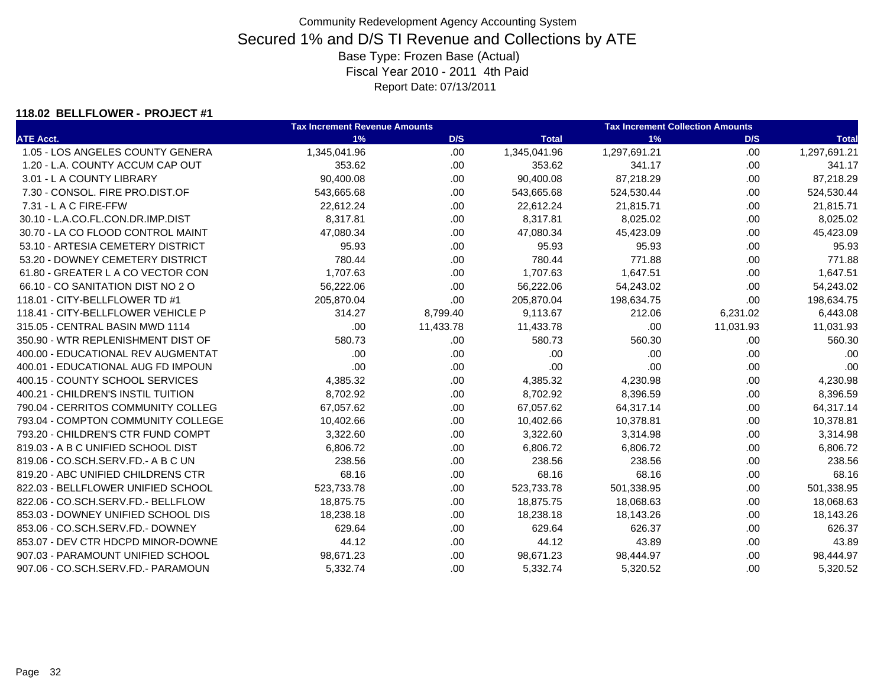#### **118.02 BELLFLOWER - PROJECT #1**

|                                    | <b>Tax Increment Revenue Amounts</b> |           |              | <b>Tax Increment Collection Amounts</b> |           |              |  |
|------------------------------------|--------------------------------------|-----------|--------------|-----------------------------------------|-----------|--------------|--|
| <b>ATE Acct.</b>                   | 1%                                   | D/S       | <b>Total</b> | 1%                                      | D/S       | <b>Total</b> |  |
| 1.05 - LOS ANGELES COUNTY GENERA   | 1,345,041.96                         | .00       | 1,345,041.96 | 1,297,691.21                            | .00       | 1,297,691.21 |  |
| 1.20 - L.A. COUNTY ACCUM CAP OUT   | 353.62                               | .00       | 353.62       | 341.17                                  | .00       | 341.17       |  |
| 3.01 - L A COUNTY LIBRARY          | 90,400.08                            | .00.      | 90,400.08    | 87,218.29                               | .00       | 87,218.29    |  |
| 7.30 - CONSOL. FIRE PRO.DIST.OF    | 543,665.68                           | .00       | 543,665.68   | 524,530.44                              | .00       | 524,530.44   |  |
| 7.31 - L A C FIRE-FFW              | 22,612.24                            | .00.      | 22,612.24    | 21,815.71                               | .00       | 21,815.71    |  |
| 30.10 - L.A.CO.FL.CON.DR.IMP.DIST  | 8,317.81                             | .00       | 8,317.81     | 8,025.02                                | .00       | 8,025.02     |  |
| 30.70 - LA CO FLOOD CONTROL MAINT  | 47,080.34                            | .00.      | 47,080.34    | 45,423.09                               | .00       | 45,423.09    |  |
| 53.10 - ARTESIA CEMETERY DISTRICT  | 95.93                                | .00.      | 95.93        | 95.93                                   | .00       | 95.93        |  |
| 53.20 - DOWNEY CEMETERY DISTRICT   | 780.44                               | .00       | 780.44       | 771.88                                  | .00       | 771.88       |  |
| 61.80 - GREATER L A CO VECTOR CON  | 1,707.63                             | .00       | 1,707.63     | 1,647.51                                | .00       | 1,647.51     |  |
| 66.10 - CO SANITATION DIST NO 2 O  | 56,222.06                            | .00       | 56,222.06    | 54,243.02                               | .00.      | 54,243.02    |  |
| 118.01 - CITY-BELLFLOWER TD #1     | 205,870.04                           | .00.      | 205,870.04   | 198,634.75                              | .00       | 198,634.75   |  |
| 118.41 - CITY-BELLFLOWER VEHICLE P | 314.27                               | 8,799.40  | 9,113.67     | 212.06                                  | 6,231.02  | 6,443.08     |  |
| 315.05 - CENTRAL BASIN MWD 1114    | .00.                                 | 11,433.78 | 11,433.78    | .00                                     | 11,031.93 | 11,031.93    |  |
| 350.90 - WTR REPLENISHMENT DIST OF | 580.73                               | .00.      | 580.73       | 560.30                                  | .00       | 560.30       |  |
| 400.00 - EDUCATIONAL REV AUGMENTAT | .00                                  | .00.      | .00          | .00                                     | .00       | .00          |  |
| 400.01 - EDUCATIONAL AUG FD IMPOUN | .00                                  | .00.      | .00          | .00                                     | .00       | .00          |  |
| 400.15 - COUNTY SCHOOL SERVICES    | 4,385.32                             | .00.      | 4,385.32     | 4,230.98                                | .00       | 4,230.98     |  |
| 400.21 - CHILDREN'S INSTIL TUITION | 8,702.92                             | .00.      | 8,702.92     | 8,396.59                                | .00       | 8,396.59     |  |
| 790.04 - CERRITOS COMMUNITY COLLEG | 67,057.62                            | .00.      | 67,057.62    | 64,317.14                               | .00       | 64,317.14    |  |
| 793.04 - COMPTON COMMUNITY COLLEGE | 10,402.66                            | .00       | 10,402.66    | 10,378.81                               | .00.      | 10,378.81    |  |
| 793.20 - CHILDREN'S CTR FUND COMPT | 3,322.60                             | .00.      | 3,322.60     | 3,314.98                                | .00       | 3,314.98     |  |
| 819.03 - A B C UNIFIED SCHOOL DIST | 6,806.72                             | .00       | 6,806.72     | 6,806.72                                | .00       | 6,806.72     |  |
| 819.06 - CO.SCH.SERV.FD.- A B C UN | 238.56                               | .00.      | 238.56       | 238.56                                  | .00       | 238.56       |  |
| 819.20 - ABC UNIFIED CHILDRENS CTR | 68.16                                | .00.      | 68.16        | 68.16                                   | .00       | 68.16        |  |
| 822.03 - BELLFLOWER UNIFIED SCHOOL | 523,733.78                           | .00.      | 523,733.78   | 501,338.95                              | .00       | 501,338.95   |  |
| 822.06 - CO.SCH.SERV.FD.- BELLFLOW | 18,875.75                            | .00.      | 18,875.75    | 18,068.63                               | .00       | 18,068.63    |  |
| 853.03 - DOWNEY UNIFIED SCHOOL DIS | 18,238.18                            | .00.      | 18,238.18    | 18,143.26                               | .00       | 18,143.26    |  |
| 853.06 - CO.SCH.SERV.FD.- DOWNEY   | 629.64                               | .00.      | 629.64       | 626.37                                  | .00       | 626.37       |  |
| 853.07 - DEV CTR HDCPD MINOR-DOWNE | 44.12                                | .00       | 44.12        | 43.89                                   | .00.      | 43.89        |  |
| 907.03 - PARAMOUNT UNIFIED SCHOOL  | 98,671.23                            | .00.      | 98,671.23    | 98,444.97                               | .00       | 98,444.97    |  |
| 907.06 - CO.SCH.SERV.FD.- PARAMOUN | 5,332.74                             | .00.      | 5,332.74     | 5,320.52                                | .00       | 5,320.52     |  |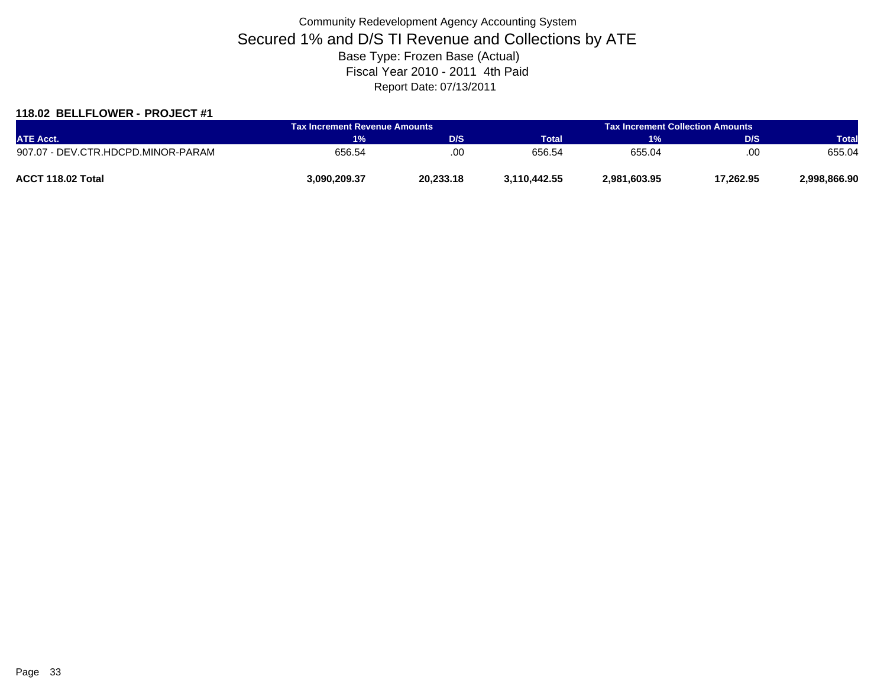### **118.02 BELLFLOWER - PROJECT #1**

| <b>ATE Acct.</b>                   | <b>Tax Increment Revenue Amounts</b> |           | <b>Tax Increment Collection Amounts /</b> |              |           |              |
|------------------------------------|--------------------------------------|-----------|-------------------------------------------|--------------|-----------|--------------|
|                                    | 1%                                   | D/S       | <b>Total</b>                              | 1%           | D/S       | <b>Total</b> |
| 907.07 - DEV.CTR.HDCPD.MINOR-PARAM | 656.54                               | .OC       | 656.54                                    | 655.04       | .00       | 655.04       |
| ACCT 118.02 Total                  | 3.090.209.37                         | 20,233.18 | 3.110.442.55                              | 2,981,603.95 | 17,262.95 | 2,998,866.90 |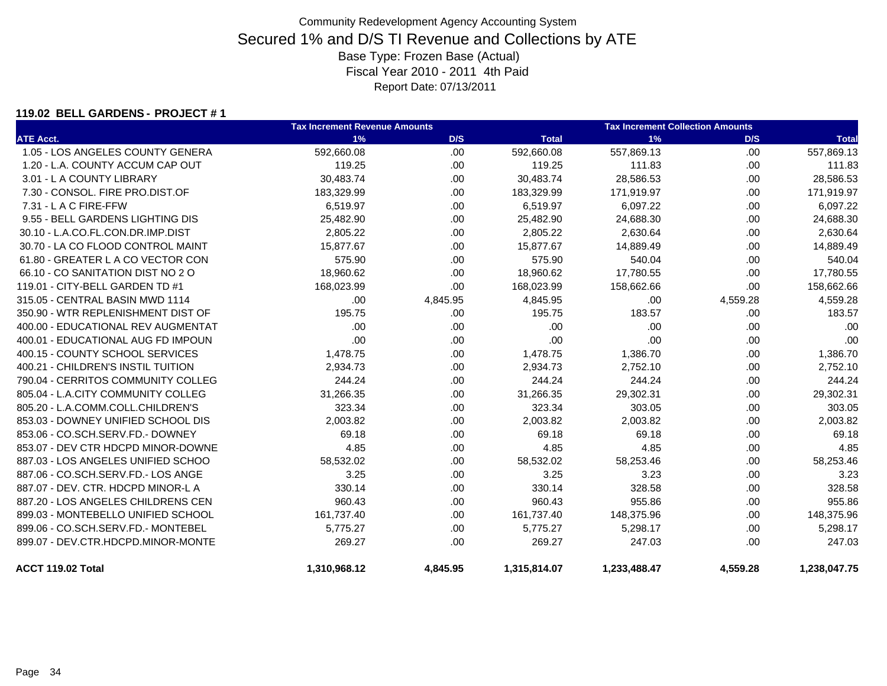#### **119.02 BELL GARDENS - PROJECT # 1**

|                                    | <b>Tax Increment Revenue Amounts</b> |          |              | <b>Tax Increment Collection Amounts</b> |          |              |  |
|------------------------------------|--------------------------------------|----------|--------------|-----------------------------------------|----------|--------------|--|
| <b>ATE Acct.</b>                   | 1%                                   | D/S      | <b>Total</b> | 1%                                      | D/S      | <b>Total</b> |  |
| 1.05 - LOS ANGELES COUNTY GENERA   | 592,660.08                           | .00      | 592,660.08   | 557,869.13                              | .00      | 557,869.13   |  |
| 1.20 - L.A. COUNTY ACCUM CAP OUT   | 119.25                               | .00      | 119.25       | 111.83                                  | .00.     | 111.83       |  |
| 3.01 - L A COUNTY LIBRARY          | 30,483.74                            | .00      | 30,483.74    | 28,586.53                               | .00      | 28,586.53    |  |
| 7.30 - CONSOL. FIRE PRO.DIST.OF    | 183,329.99                           | .00      | 183.329.99   | 171,919.97                              | .00      | 171,919.97   |  |
| 7.31 - L A C FIRE-FFW              | 6,519.97                             | .00      | 6,519.97     | 6,097.22                                | .00.     | 6,097.22     |  |
| 9.55 - BELL GARDENS LIGHTING DIS   | 25,482.90                            | .00      | 25,482.90    | 24,688.30                               | .00.     | 24,688.30    |  |
| 30.10 - L.A.CO.FL.CON.DR.IMP.DIST  | 2,805.22                             | .00      | 2,805.22     | 2,630.64                                | .00      | 2,630.64     |  |
| 30.70 - LA CO FLOOD CONTROL MAINT  | 15,877.67                            | .00      | 15,877.67    | 14,889.49                               | .00.     | 14,889.49    |  |
| 61.80 - GREATER L A CO VECTOR CON  | 575.90                               | .00      | 575.90       | 540.04                                  | .00      | 540.04       |  |
| 66.10 - CO SANITATION DIST NO 2 O  | 18,960.62                            | .00      | 18,960.62    | 17,780.55                               | .00      | 17,780.55    |  |
| 119.01 - CITY-BELL GARDEN TD #1    | 168,023.99                           | .00      | 168,023.99   | 158,662.66                              | .00      | 158,662.66   |  |
| 315.05 - CENTRAL BASIN MWD 1114    | .00.                                 | 4,845.95 | 4,845.95     | .00                                     | 4,559.28 | 4,559.28     |  |
| 350.90 - WTR REPLENISHMENT DIST OF | 195.75                               | .00      | 195.75       | 183.57                                  | .00      | 183.57       |  |
| 400.00 - EDUCATIONAL REV AUGMENTAT | .00                                  | .00      | .00          | .00                                     | .00      | .00          |  |
| 400.01 - EDUCATIONAL AUG FD IMPOUN | .00                                  | .00      | .00          | .00                                     | .00.     | .00          |  |
| 400.15 - COUNTY SCHOOL SERVICES    | 1,478.75                             | .00      | 1,478.75     | 1,386.70                                | .00      | 1,386.70     |  |
| 400.21 - CHILDREN'S INSTIL TUITION | 2,934.73                             | .00      | 2,934.73     | 2,752.10                                | .00      | 2,752.10     |  |
| 790.04 - CERRITOS COMMUNITY COLLEG | 244.24                               | .00      | 244.24       | 244.24                                  | .00.     | 244.24       |  |
| 805.04 - L.A.CITY COMMUNITY COLLEG | 31,266.35                            | .00      | 31,266.35    | 29,302.31                               | .00.     | 29,302.31    |  |
| 805.20 - L.A.COMM.COLL.CHILDREN'S  | 323.34                               | .00      | 323.34       | 303.05                                  | .00.     | 303.05       |  |
| 853.03 - DOWNEY UNIFIED SCHOOL DIS | 2,003.82                             | .00      | 2,003.82     | 2,003.82                                | .00      | 2,003.82     |  |
| 853.06 - CO.SCH.SERV.FD.- DOWNEY   | 69.18                                | .00      | 69.18        | 69.18                                   | .00.     | 69.18        |  |
| 853.07 - DEV CTR HDCPD MINOR-DOWNE | 4.85                                 | .00      | 4.85         | 4.85                                    | .00      | 4.85         |  |
| 887.03 - LOS ANGELES UNIFIED SCHOO | 58,532.02                            | .00      | 58,532.02    | 58,253.46                               | .00      | 58,253.46    |  |
| 887.06 - CO.SCH.SERV.FD.- LOS ANGE | 3.25                                 | .00      | 3.25         | 3.23                                    | .00      | 3.23         |  |
| 887.07 - DEV. CTR. HDCPD MINOR-L A | 330.14                               | .00      | 330.14       | 328.58                                  | .00      | 328.58       |  |
| 887.20 - LOS ANGELES CHILDRENS CEN | 960.43                               | .00      | 960.43       | 955.86                                  | .00.     | 955.86       |  |
| 899.03 - MONTEBELLO UNIFIED SCHOOL | 161,737.40                           | .00      | 161,737.40   | 148,375.96                              | .00.     | 148,375.96   |  |
| 899.06 - CO.SCH.SERV.FD.- MONTEBEL | 5,775.27                             | .00      | 5,775.27     | 5,298.17                                | .00.     | 5,298.17     |  |
| 899.07 - DEV.CTR.HDCPD.MINOR-MONTE | 269.27                               | .00      | 269.27       | 247.03                                  | .00.     | 247.03       |  |
| ACCT 119.02 Total                  | 1,310,968.12                         | 4,845.95 | 1,315,814.07 | 1,233,488.47                            | 4,559.28 | 1,238,047.75 |  |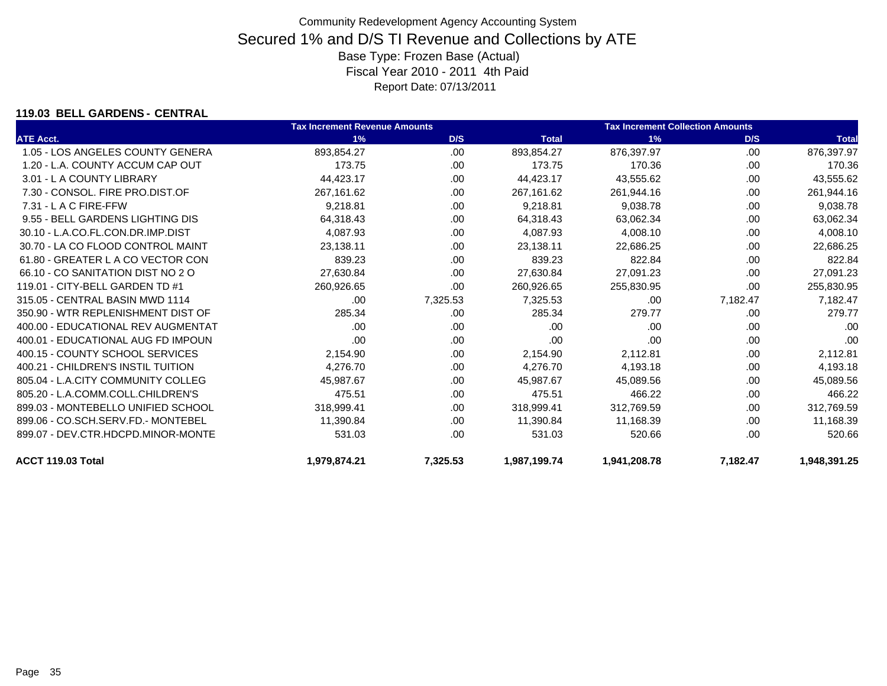### **119.03 BELL GARDENS - CENTRAL**

|                                    | <b>Tax Increment Revenue Amounts</b> |          |              | <b>Tax Increment Collection Amounts</b> |          |              |
|------------------------------------|--------------------------------------|----------|--------------|-----------------------------------------|----------|--------------|
| <b>ATE Acct.</b>                   | 1%                                   | D/S      | <b>Total</b> | 1%                                      | D/S      | <b>Total</b> |
| 1.05 - LOS ANGELES COUNTY GENERA   | 893,854.27                           | .00      | 893,854.27   | 876,397.97                              | .00      | 876,397.97   |
| 1.20 - L.A. COUNTY ACCUM CAP OUT   | 173.75                               | .00      | 173.75       | 170.36                                  | .00      | 170.36       |
| 3.01 - L A COUNTY LIBRARY          | 44.423.17                            | .00.     | 44.423.17    | 43.555.62                               | .00      | 43,555.62    |
| 7.30 - CONSOL, FIRE PRO.DIST.OF    | 267,161.62                           | .00      | 267,161.62   | 261,944.16                              | .00      | 261,944.16   |
| 7.31 - L A C FIRE-FFW              | 9,218.81                             | .00      | 9.218.81     | 9,038.78                                | .00.     | 9,038.78     |
| 9.55 - BELL GARDENS LIGHTING DIS   | 64,318.43                            | .00      | 64,318.43    | 63,062.34                               | .00.     | 63,062.34    |
| 30.10 - L.A.CO.FL.CON.DR.IMP.DIST  | 4,087.93                             | .00.     | 4,087.93     | 4,008.10                                | .00      | 4,008.10     |
| 30.70 - LA CO FLOOD CONTROL MAINT  | 23.138.11                            | .00      | 23.138.11    | 22.686.25                               | .00      | 22,686.25    |
| 61.80 - GREATER L A CO VECTOR CON  | 839.23                               | .00.     | 839.23       | 822.84                                  | .00.     | 822.84       |
| 66.10 - CO SANITATION DIST NO 2 O  | 27,630.84                            | .00      | 27,630.84    | 27,091.23                               | .00      | 27,091.23    |
| 119.01 - CITY-BELL GARDEN TD #1    | 260,926.65                           | .00.     | 260,926.65   | 255,830.95                              | .00.     | 255,830.95   |
| 315.05 - CENTRAL BASIN MWD 1114    | .00                                  | 7,325.53 | 7,325.53     | .00                                     | 7,182.47 | 7,182.47     |
| 350.90 - WTR REPLENISHMENT DIST OF | 285.34                               | .00      | 285.34       | 279.77                                  | .00      | 279.77       |
| 400.00 - EDUCATIONAL REV AUGMENTAT | .00                                  | .00      | .00          | .00                                     | .00      | .00          |
| 400.01 - EDUCATIONAL AUG FD IMPOUN | .00                                  | .00.     | .00          | .00                                     | .00.     | .00          |
| 400.15 - COUNTY SCHOOL SERVICES    | 2,154.90                             | .00      | 2,154.90     | 2,112.81                                | .00      | 2,112.81     |
| 400.21 - CHILDREN'S INSTIL TUITION | 4,276.70                             | .00.     | 4,276.70     | 4,193.18                                | .00.     | 4,193.18     |
| 805.04 - L.A.CITY COMMUNITY COLLEG | 45,987.67                            | .00      | 45,987.67    | 45,089.56                               | .00      | 45,089.56    |
| 805.20 - L.A.COMM.COLL.CHILDREN'S  | 475.51                               | .00.     | 475.51       | 466.22                                  | .00      | 466.22       |
| 899.03 - MONTEBELLO UNIFIED SCHOOL | 318,999.41                           | .00      | 318,999.41   | 312,769.59                              | .00.     | 312,769.59   |
| 899.06 - CO.SCH.SERV.FD.- MONTEBEL | 11,390.84                            | .00      | 11,390.84    | 11,168.39                               | .00      | 11,168.39    |
| 899.07 - DEV.CTR.HDCPD.MINOR-MONTE | 531.03                               | .00      | 531.03       | 520.66                                  | .00      | 520.66       |
| ACCT 119.03 Total                  | 1,979,874.21                         | 7,325.53 | 1,987,199.74 | 1,941,208.78                            | 7,182.47 | 1,948,391.25 |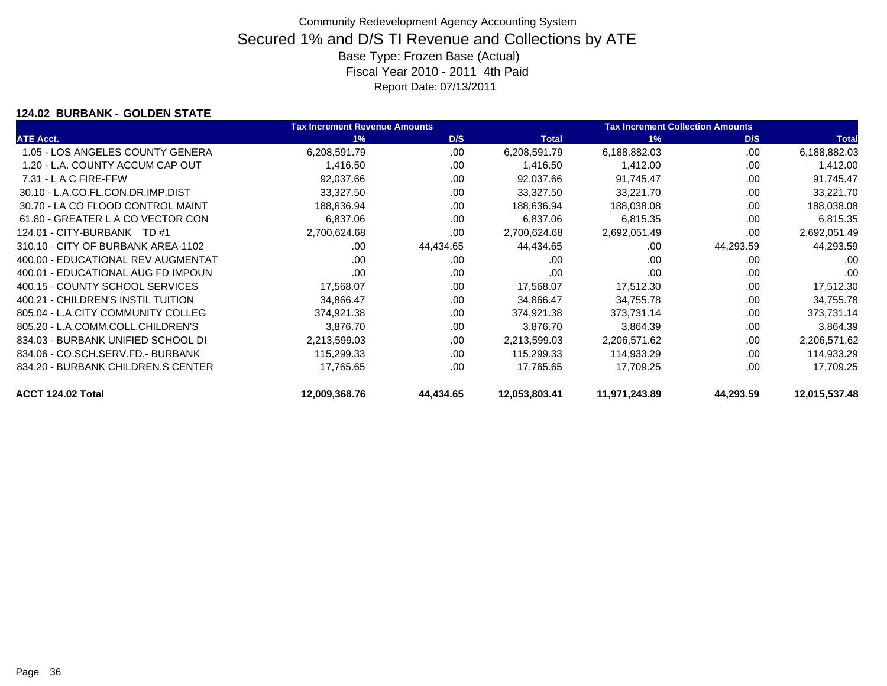### **124.02 BURBANK - GOLDEN STATE**

|                                    | <b>Tax Increment Revenue Amounts</b> |           |               | <b>Tax Increment Collection Amounts</b> |           |               |
|------------------------------------|--------------------------------------|-----------|---------------|-----------------------------------------|-----------|---------------|
| <b>ATE Acct.</b>                   | 1%                                   | D/S       | <b>Total</b>  | 1%                                      | D/S       | <b>Total</b>  |
| 1.05 - LOS ANGELES COUNTY GENERA   | 6,208,591.79                         | .00       | 6,208,591.79  | 6,188,882.03                            | .00       | 6,188,882.03  |
| 1.20 - L.A. COUNTY ACCUM CAP OUT   | 1,416.50                             | .00       | 1,416.50      | 1,412.00                                | .00       | 1,412.00      |
| $7.31 - L$ A C FIRE-FFW            | 92,037.66                            | .00       | 92,037.66     | 91,745.47                               | .00       | 91,745.47     |
| 30.10 - L.A.CO.FL.CON.DR.IMP.DIST  | 33,327.50                            | .00       | 33,327.50     | 33,221.70                               | .00       | 33,221.70     |
| 30.70 - LA CO FLOOD CONTROL MAINT  | 188,636.94                           | .00       | 188,636.94    | 188,038.08                              | .00       | 188,038.08    |
| 61.80 - GREATER L A CO VECTOR CON  | 6,837.06                             | .00       | 6,837.06      | 6,815.35                                | .00       | 6,815.35      |
| 124.01 - CITY-BURBANK TD #1        | 2,700,624.68                         | .00.      | 2,700,624.68  | 2,692,051.49                            | .00       | 2,692,051.49  |
| 310.10 - CITY OF BURBANK AREA-1102 | .00                                  | 44,434.65 | 44,434.65     | .00                                     | 44,293.59 | 44,293.59     |
| 400.00 - EDUCATIONAL REV AUGMENTAT | .00                                  | .00       | .00           | .00                                     | .00       | .00           |
| 400.01 - EDUCATIONAL AUG FD IMPOUN | .00                                  | .00       | .00           | .00                                     | .00       | .00           |
| 400.15 - COUNTY SCHOOL SERVICES    | 17,568.07                            | .00       | 17,568.07     | 17,512.30                               | .00       | 17,512.30     |
| 400.21 - CHILDREN'S INSTIL TUITION | 34,866.47                            | .00       | 34,866.47     | 34,755.78                               | .00       | 34,755.78     |
| 805.04 - L.A.CITY COMMUNITY COLLEG | 374,921.38                           | .00       | 374,921.38    | 373,731.14                              | .00       | 373,731.14    |
| 805.20 - L.A.COMM.COLL.CHILDREN'S  | 3,876.70                             | .00       | 3,876.70      | 3,864.39                                | .00       | 3,864.39      |
| 834.03 - BURBANK UNIFIED SCHOOL DI | 2,213,599.03                         | .00       | 2,213,599.03  | 2,206,571.62                            | .00       | 2,206,571.62  |
| 834.06 - CO.SCH.SERV.FD.- BURBANK  | 115,299.33                           | .00       | 115,299.33    | 114,933.29                              | .00       | 114,933.29    |
| 834.20 - BURBANK CHILDREN, SCENTER | 17,765.65                            | .00       | 17,765.65     | 17,709.25                               | .00       | 17,709.25     |
| ACCT 124.02 Total                  | 12,009,368.76                        | 44,434.65 | 12,053,803.41 | 11,971,243.89                           | 44,293.59 | 12,015,537.48 |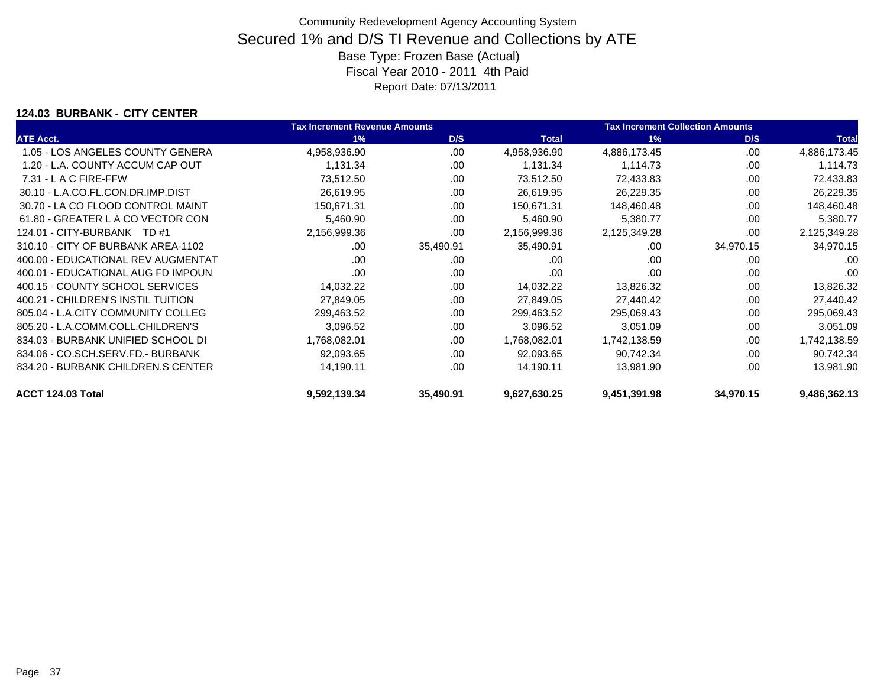### **124.03 BURBANK - CITY CENTER**

|                                    | <b>Tax Increment Revenue Amounts</b> |           |              | <b>Tax Increment Collection Amounts</b> |           |              |  |
|------------------------------------|--------------------------------------|-----------|--------------|-----------------------------------------|-----------|--------------|--|
| <b>ATE Acct.</b>                   | 1%                                   | D/S       | <b>Total</b> | 1%                                      | D/S       | <b>Total</b> |  |
| 1.05 - LOS ANGELES COUNTY GENERA   | 4,958,936.90                         | .00       | 4,958,936.90 | 4,886,173.45                            | .00       | 4,886,173.45 |  |
| 1.20 - L.A. COUNTY ACCUM CAP OUT   | 1,131.34                             | .00       | 1,131.34     | 1,114.73                                | .00       | 1,114.73     |  |
| $7.31 - L$ A C FIRE-FFW            | 73,512.50                            | .00       | 73,512.50    | 72,433.83                               | .00       | 72,433.83    |  |
| 30.10 - L.A.CO.FL.CON.DR.IMP.DIST  | 26,619.95                            | .00       | 26,619.95    | 26,229.35                               | .00       | 26,229.35    |  |
| 30.70 - LA CO FLOOD CONTROL MAINT  | 150,671.31                           | .00       | 150,671.31   | 148,460.48                              | .00       | 148,460.48   |  |
| 61.80 - GREATER L A CO VECTOR CON  | 5,460.90                             | .00       | 5,460.90     | 5,380.77                                | .00       | 5,380.77     |  |
| 124.01 - CITY-BURBANK TD #1        | 2,156,999.36                         | .00       | 2,156,999.36 | 2,125,349.28                            | .00       | 2,125,349.28 |  |
| 310.10 - CITY OF BURBANK AREA-1102 | .00                                  | 35,490.91 | 35,490.91    | .00                                     | 34,970.15 | 34,970.15    |  |
| 400.00 - EDUCATIONAL REV AUGMENTAT | .00                                  | .00       | .00          | .00                                     | .00       | .00          |  |
| 400.01 - EDUCATIONAL AUG FD IMPOUN | .00                                  | .00       | .00          | .00                                     | .00       | .00          |  |
| 400.15 - COUNTY SCHOOL SERVICES    | 14,032.22                            | .00       | 14,032.22    | 13,826.32                               | .00       | 13,826.32    |  |
| 400.21 - CHILDREN'S INSTIL TUITION | 27,849.05                            | .00       | 27,849.05    | 27,440.42                               | .00       | 27,440.42    |  |
| 805.04 - L.A.CITY COMMUNITY COLLEG | 299,463.52                           | .00       | 299,463.52   | 295,069.43                              | .00       | 295,069.43   |  |
| 805.20 - L.A.COMM.COLL.CHILDREN'S  | 3,096.52                             | .00       | 3,096.52     | 3,051.09                                | .00       | 3,051.09     |  |
| 834.03 - BURBANK UNIFIED SCHOOL DI | 1,768,082.01                         | .00       | 1,768,082.01 | 1,742,138.59                            | .00       | 1,742,138.59 |  |
| 834.06 - CO.SCH.SERV.FD.- BURBANK  | 92,093.65                            | .00       | 92,093.65    | 90,742.34                               | .00       | 90,742.34    |  |
| 834.20 - BURBANK CHILDREN, SCENTER | 14,190.11                            | .00       | 14,190.11    | 13,981.90                               | .00       | 13,981.90    |  |
| ACCT 124.03 Total                  | 9,592,139.34                         | 35,490.91 | 9,627,630.25 | 9,451,391.98                            | 34,970.15 | 9,486,362.13 |  |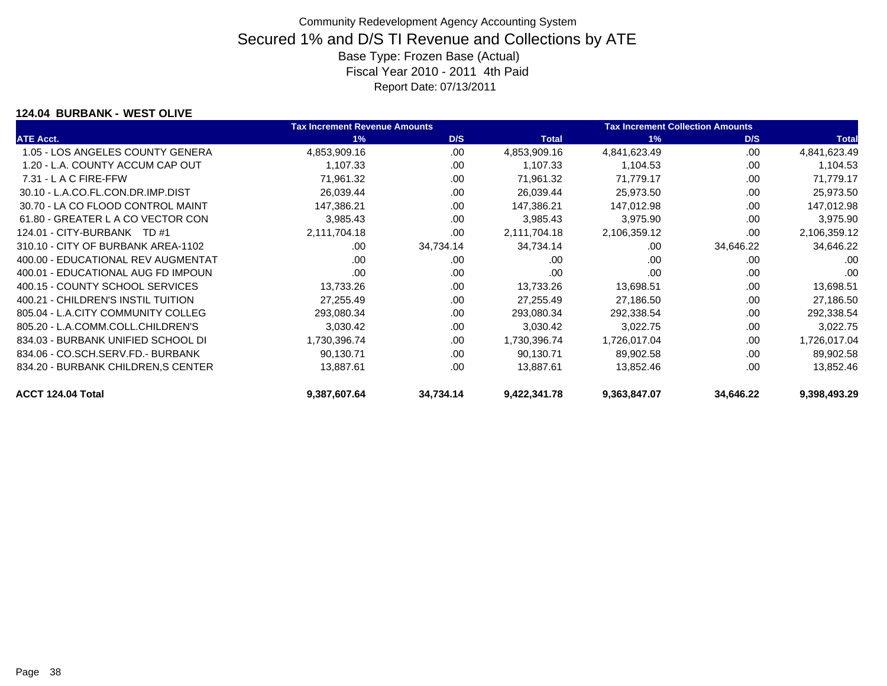### **124.04 BURBANK - WEST OLIVE**

|                                    | <b>Tax Increment Revenue Amounts</b> |           |              | <b>Tax Increment Collection Amounts</b> |           |              |
|------------------------------------|--------------------------------------|-----------|--------------|-----------------------------------------|-----------|--------------|
| <b>ATE Acct.</b>                   | 1%                                   | D/S       | <b>Total</b> | 1%                                      | D/S       | <b>Total</b> |
| 1.05 - LOS ANGELES COUNTY GENERA   | 4,853,909.16                         | .00       | 4,853,909.16 | 4,841,623.49                            | .00       | 4,841,623.49 |
| 1.20 - L.A. COUNTY ACCUM CAP OUT   | 1,107.33                             | .00       | 1,107.33     | 1,104.53                                | .00       | 1,104.53     |
| $7.31 - L$ A C FIRE-FFW            | 71,961.32                            | .00       | 71,961.32    | 71,779.17                               | .00       | 71,779.17    |
| 30.10 - L.A.CO.FL.CON.DR.IMP.DIST  | 26,039.44                            | .00       | 26,039.44    | 25,973.50                               | .00       | 25,973.50    |
| 30.70 - LA CO FLOOD CONTROL MAINT  | 147,386.21                           | .00       | 147,386.21   | 147,012.98                              | .00       | 147,012.98   |
| 61.80 - GREATER L A CO VECTOR CON  | 3,985.43                             | .00       | 3,985.43     | 3,975.90                                | .00       | 3,975.90     |
| 124.01 - CITY-BURBANK TD #1        | 2,111,704.18                         | .00.      | 2,111,704.18 | 2,106,359.12                            | .00       | 2,106,359.12 |
| 310.10 - CITY OF BURBANK AREA-1102 | .00                                  | 34,734.14 | 34,734.14    | .00                                     | 34,646.22 | 34,646.22    |
| 400.00 - EDUCATIONAL REV AUGMENTAT | .00                                  | .00       | .00          | .00                                     | .00       | .00          |
| 400.01 - EDUCATIONAL AUG FD IMPOUN | .00                                  | .00       | .00          | .00                                     | .00       | .00          |
| 400.15 - COUNTY SCHOOL SERVICES    | 13,733.26                            | .00       | 13,733.26    | 13,698.51                               | .00       | 13,698.51    |
| 400.21 - CHILDREN'S INSTIL TUITION | 27,255.49                            | .00       | 27,255.49    | 27,186.50                               | .00       | 27,186.50    |
| 805.04 - L.A.CITY COMMUNITY COLLEG | 293,080.34                           | .00       | 293,080.34   | 292,338.54                              | .00       | 292,338.54   |
| 805.20 - L.A.COMM.COLL.CHILDREN'S  | 3,030.42                             | .00       | 3,030.42     | 3,022.75                                | .00       | 3,022.75     |
| 834.03 - BURBANK UNIFIED SCHOOL DI | 1,730,396.74                         | .00       | 1,730,396.74 | 1,726,017.04                            | .00       | 1,726,017.04 |
| 834.06 - CO.SCH.SERV.FD.- BURBANK  | 90,130.71                            | .00       | 90,130.71    | 89,902.58                               | .00       | 89,902.58    |
| 834.20 - BURBANK CHILDREN, SCENTER | 13,887.61                            | .00       | 13,887.61    | 13,852.46                               | .00       | 13,852.46    |
| ACCT 124.04 Total                  | 9,387,607.64                         | 34,734.14 | 9,422,341.78 | 9,363,847.07                            | 34,646.22 | 9,398,493.29 |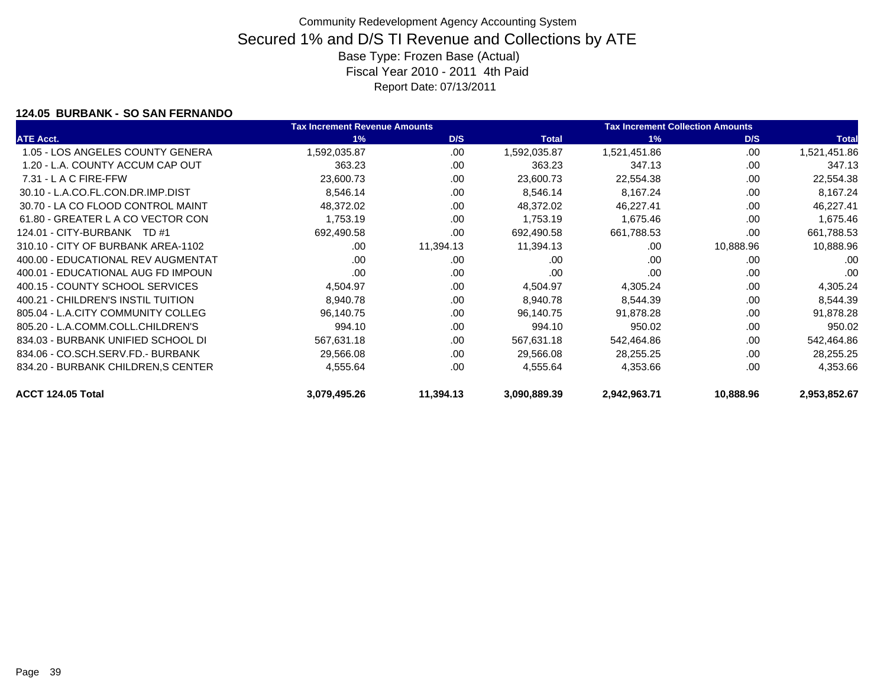### **124.05 BURBANK - SO SAN FERNANDO**

|                                    | <b>Tax Increment Revenue Amounts</b> |           |              | <b>Tax Increment Collection Amounts</b> |           |              |
|------------------------------------|--------------------------------------|-----------|--------------|-----------------------------------------|-----------|--------------|
| <b>ATE Acct.</b>                   | 1%                                   | D/S       | <b>Total</b> | 1%                                      | D/S       | <b>Total</b> |
| 1.05 - LOS ANGELES COUNTY GENERA   | 1,592,035.87                         | .00       | 1,592,035.87 | 1,521,451.86                            | .00       | 1,521,451.86 |
| 1.20 - L.A. COUNTY ACCUM CAP OUT   | 363.23                               | .00       | 363.23       | 347.13                                  | .00       | 347.13       |
| $7.31 - L$ A C FIRE-FFW            | 23,600.73                            | .00       | 23,600.73    | 22,554.38                               | .00       | 22,554.38    |
| 30.10 - L.A.CO.FL.CON.DR.IMP.DIST  | 8,546.14                             | .00       | 8,546.14     | 8,167.24                                | .00       | 8,167.24     |
| 30.70 - LA CO FLOOD CONTROL MAINT  | 48,372.02                            | .00       | 48,372.02    | 46,227.41                               | .00       | 46,227.41    |
| 61.80 - GREATER L A CO VECTOR CON  | 1,753.19                             | .00       | 1,753.19     | 1,675.46                                | .00       | 1,675.46     |
| 124.01 - CITY-BURBANK TD #1        | 692,490.58                           | .00       | 692,490.58   | 661,788.53                              | .00       | 661,788.53   |
| 310.10 - CITY OF BURBANK AREA-1102 | .00                                  | 11,394.13 | 11,394.13    | .00                                     | 10,888.96 | 10,888.96    |
| 400.00 - EDUCATIONAL REV AUGMENTAT | .00                                  | .00       | .00          | .00                                     | .00       | .00          |
| 400.01 - EDUCATIONAL AUG FD IMPOUN | .00                                  | .00       | .00          | .00                                     | .00       | .00          |
| 400.15 - COUNTY SCHOOL SERVICES    | 4,504.97                             | .00       | 4,504.97     | 4,305.24                                | .00       | 4,305.24     |
| 400.21 - CHILDREN'S INSTIL TUITION | 8,940.78                             | .00       | 8,940.78     | 8,544.39                                | .00       | 8,544.39     |
| 805.04 - L.A.CITY COMMUNITY COLLEG | 96,140.75                            | .00       | 96,140.75    | 91,878.28                               | .00       | 91,878.28    |
| 805.20 - L.A.COMM.COLL.CHILDREN'S  | 994.10                               | .00       | 994.10       | 950.02                                  | .00       | 950.02       |
| 834.03 - BURBANK UNIFIED SCHOOL DI | 567,631.18                           | .00       | 567,631.18   | 542,464.86                              | .00       | 542,464.86   |
| 834.06 - CO.SCH.SERV.FD.- BURBANK  | 29,566.08                            | .00       | 29,566.08    | 28,255.25                               | .00       | 28,255.25    |
| 834.20 - BURBANK CHILDREN, SCENTER | 4,555.64                             | .00       | 4,555.64     | 4,353.66                                | .00       | 4,353.66     |
| ACCT 124.05 Total                  | 3,079,495.26                         | 11,394.13 | 3,090,889.39 | 2,942,963.71                            | 10,888.96 | 2,953,852.67 |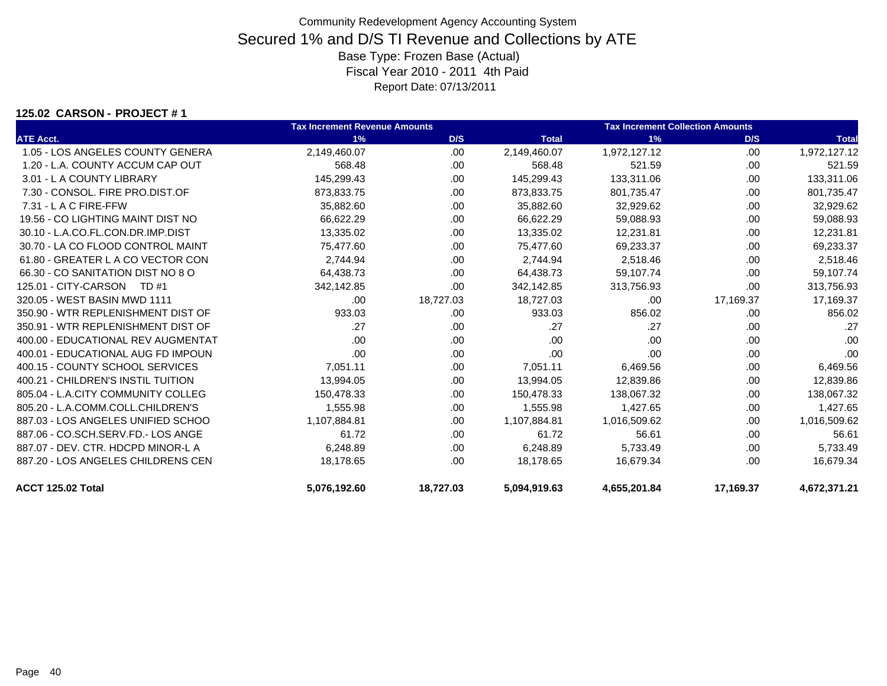### **125.02 CARSON - PROJECT # 1**

|                                    | <b>Tax Increment Revenue Amounts</b> |           |              | <b>Tax Increment Collection Amounts</b> |           |              |
|------------------------------------|--------------------------------------|-----------|--------------|-----------------------------------------|-----------|--------------|
| <b>ATE Acct.</b>                   | 1%                                   | D/S       | <b>Total</b> | 1%                                      | D/S       | <b>Total</b> |
| 1.05 - LOS ANGELES COUNTY GENERA   | 2,149,460.07                         | .00.      | 2,149,460.07 | 1,972,127.12                            | .00       | 1,972,127.12 |
| 1.20 - L.A. COUNTY ACCUM CAP OUT   | 568.48                               | .00.      | 568.48       | 521.59                                  | .00       | 521.59       |
| 3.01 - L A COUNTY LIBRARY          | 145,299.43                           | .00       | 145,299.43   | 133,311.06                              | .00       | 133,311.06   |
| 7.30 - CONSOL, FIRE PRO.DIST.OF    | 873,833.75                           | .00       | 873,833.75   | 801,735.47                              | .00       | 801,735.47   |
| $7.31 - L$ A C FIRE-FFW            | 35,882.60                            | .00.      | 35,882.60    | 32,929.62                               | .00       | 32,929.62    |
| 19.56 - CO LIGHTING MAINT DIST NO  | 66,622.29                            | .00.      | 66,622.29    | 59,088.93                               | .00       | 59,088.93    |
| 30.10 - L.A.CO.FL.CON.DR.IMP.DIST  | 13,335.02                            | .00       | 13,335.02    | 12,231.81                               | .00       | 12,231.81    |
| 30.70 - LA CO FLOOD CONTROL MAINT  | 75,477.60                            | .00       | 75,477.60    | 69,233.37                               | .00       | 69,233.37    |
| 61.80 - GREATER L A CO VECTOR CON  | 2.744.94                             | .00       | 2.744.94     | 2.518.46                                | .00       | 2,518.46     |
| 66.30 - CO SANITATION DIST NO 8 O  | 64.438.73                            | .00       | 64,438.73    | 59,107.74                               | .00       | 59,107.74    |
| 125.01 - CITY-CARSON<br>TD #1      | 342,142.85                           | .00       | 342,142.85   | 313,756.93                              | .00.      | 313,756.93   |
| 320.05 - WEST BASIN MWD 1111       | .00                                  | 18,727.03 | 18,727.03    | .00                                     | 17,169.37 | 17,169.37    |
| 350.90 - WTR REPLENISHMENT DIST OF | 933.03                               | .00.      | 933.03       | 856.02                                  | .00       | 856.02       |
| 350.91 - WTR REPLENISHMENT DIST OF | .27                                  | .00.      | .27          | .27                                     | .00.      | .27          |
| 400.00 - EDUCATIONAL REV AUGMENTAT | .00                                  | .00.      | .00          | .00                                     | .00       | .00          |
| 400.01 - EDUCATIONAL AUG FD IMPOUN | .00                                  | .00       | .00          | .00                                     | .00       | .00          |
| 400.15 - COUNTY SCHOOL SERVICES    | 7,051.11                             | .00.      | 7,051.11     | 6,469.56                                | .00       | 6,469.56     |
| 400.21 - CHILDREN'S INSTIL TUITION | 13,994.05                            | .00.      | 13,994.05    | 12,839.86                               | .00       | 12,839.86    |
| 805.04 - L.A.CITY COMMUNITY COLLEG | 150,478.33                           | .00.      | 150,478.33   | 138,067.32                              | .00       | 138,067.32   |
| 805.20 - L.A.COMM.COLL.CHILDREN'S  | 1,555.98                             | .00.      | 1,555.98     | 1,427.65                                | .00       | 1,427.65     |
| 887.03 - LOS ANGELES UNIFIED SCHOO | 1,107,884.81                         | .00.      | 1,107,884.81 | 1,016,509.62                            | .00       | 1,016,509.62 |
| 887.06 - CO.SCH.SERV.FD.- LOS ANGE | 61.72                                | .00       | 61.72        | 56.61                                   | .00       | 56.61        |
| 887.07 - DEV. CTR. HDCPD MINOR-L A | 6,248.89                             | .00       | 6,248.89     | 5,733.49                                | .00       | 5,733.49     |
| 887.20 - LOS ANGELES CHILDRENS CEN | 18,178.65                            | .00       | 18,178.65    | 16,679.34                               | .00       | 16,679.34    |
| ACCT 125.02 Total                  | 5,076,192.60                         | 18,727.03 | 5,094,919.63 | 4,655,201.84                            | 17,169.37 | 4,672,371.21 |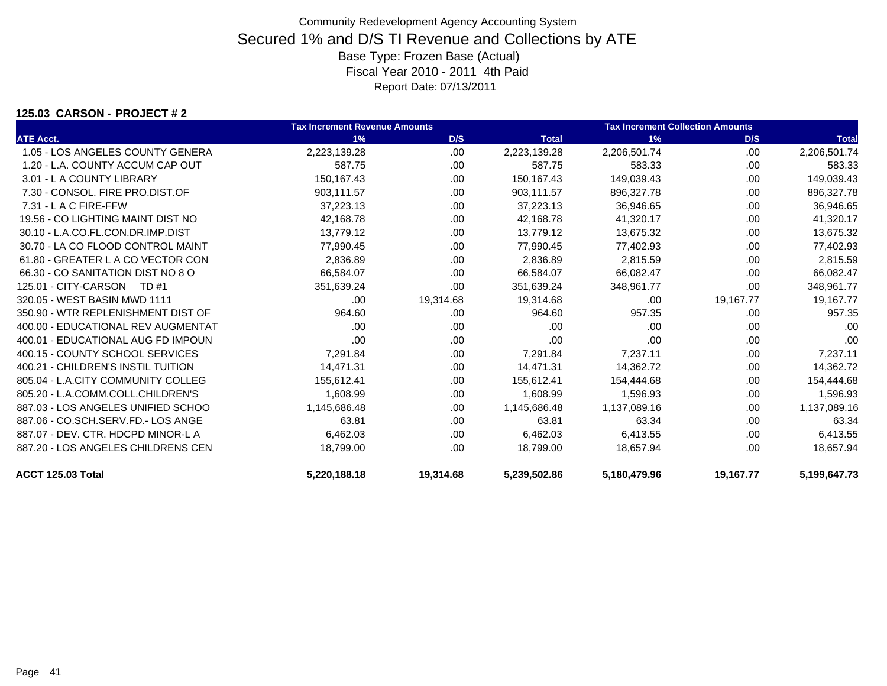### **125.03 CARSON - PROJECT # 2**

|                                    | <b>Tax Increment Revenue Amounts</b> |           |              | <b>Tax Increment Collection Amounts</b> |           |              |  |
|------------------------------------|--------------------------------------|-----------|--------------|-----------------------------------------|-----------|--------------|--|
| <b>ATE Acct.</b>                   | 1%                                   | D/S       | <b>Total</b> | 1%                                      | D/S       | <b>Total</b> |  |
| 1.05 - LOS ANGELES COUNTY GENERA   | 2,223,139.28                         | .00       | 2,223,139.28 | 2,206,501.74                            | .00       | 2,206,501.74 |  |
| 1.20 - L.A. COUNTY ACCUM CAP OUT   | 587.75                               | .00       | 587.75       | 583.33                                  | .00       | 583.33       |  |
| 3.01 - L A COUNTY LIBRARY          | 150.167.43                           | .00.      | 150,167.43   | 149,039.43                              | .00       | 149,039.43   |  |
| 7.30 - CONSOL, FIRE PRO.DIST.OF    | 903,111.57                           | .00       | 903,111.57   | 896,327.78                              | .00       | 896,327.78   |  |
| $7.31 - L$ A C FIRE-FFW            | 37,223.13                            | .00.      | 37,223.13    | 36,946.65                               | .00       | 36,946.65    |  |
| 19.56 - CO LIGHTING MAINT DIST NO  | 42,168.78                            | .00.      | 42,168.78    | 41,320.17                               | .00       | 41,320.17    |  |
| 30.10 - L.A.CO.FL.CON.DR.IMP.DIST  | 13,779.12                            | .00       | 13,779.12    | 13,675.32                               | .00       | 13,675.32    |  |
| 30.70 - LA CO FLOOD CONTROL MAINT  | 77,990.45                            | .00       | 77,990.45    | 77,402.93                               | .00       | 77,402.93    |  |
| 61.80 - GREATER L A CO VECTOR CON  | 2,836.89                             | .00       | 2,836.89     | 2,815.59                                | .00       | 2,815.59     |  |
| 66.30 - CO SANITATION DIST NO 8 O  | 66,584.07                            | .00       | 66,584.07    | 66,082.47                               | .00       | 66,082.47    |  |
| 125.01 - CITY-CARSON<br>TD #1      | 351,639.24                           | .00       | 351,639.24   | 348,961.77                              | .00       | 348,961.77   |  |
| 320.05 - WEST BASIN MWD 1111       | .00                                  | 19,314.68 | 19,314.68    | .00                                     | 19,167.77 | 19,167.77    |  |
| 350.90 - WTR REPLENISHMENT DIST OF | 964.60                               | .00       | 964.60       | 957.35                                  | .00       | 957.35       |  |
| 400.00 - EDUCATIONAL REV AUGMENTAT | .00                                  | .00       | .00          | .00                                     | .00       | .00          |  |
| 400.01 - EDUCATIONAL AUG FD IMPOUN | .00                                  | .00       | .00          | .00                                     | .00       | .00          |  |
| 400.15 - COUNTY SCHOOL SERVICES    | 7,291.84                             | .00       | 7,291.84     | 7,237.11                                | .00       | 7,237.11     |  |
| 400.21 - CHILDREN'S INSTIL TUITION | 14,471.31                            | .00       | 14,471.31    | 14,362.72                               | .00       | 14,362.72    |  |
| 805.04 - L.A.CITY COMMUNITY COLLEG | 155,612.41                           | .00       | 155,612.41   | 154,444.68                              | .00       | 154,444.68   |  |
| 805.20 - L.A.COMM.COLL.CHILDREN'S  | 1,608.99                             | .00       | 1,608.99     | 1,596.93                                | .00       | 1,596.93     |  |
| 887.03 - LOS ANGELES UNIFIED SCHOO | 1,145,686.48                         | .00.      | 1,145,686.48 | 1,137,089.16                            | .00       | 1,137,089.16 |  |
| 887.06 - CO.SCH.SERV.FD.- LOS ANGE | 63.81                                | .00       | 63.81        | 63.34                                   | .00       | 63.34        |  |
| 887.07 - DEV. CTR. HDCPD MINOR-L A | 6,462.03                             | .00.      | 6,462.03     | 6,413.55                                | .00       | 6,413.55     |  |
| 887.20 - LOS ANGELES CHILDRENS CEN | 18,799.00                            | .00       | 18,799.00    | 18,657.94                               | .00       | 18,657.94    |  |
| ACCT 125.03 Total                  | 5,220,188.18                         | 19,314.68 | 5,239,502.86 | 5,180,479.96                            | 19,167.77 | 5,199,647.73 |  |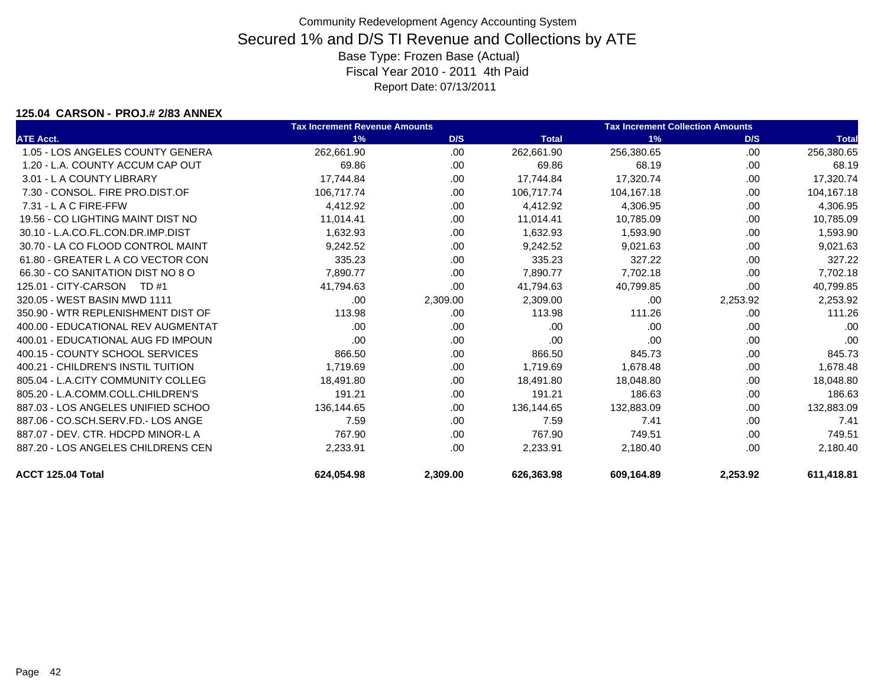### **125.04 CARSON - PROJ.# 2/83 ANNEX**

|                                    | <b>Tax Increment Revenue Amounts</b> |          |              | <b>Tax Increment Collection Amounts</b> |          |              |  |
|------------------------------------|--------------------------------------|----------|--------------|-----------------------------------------|----------|--------------|--|
| <b>ATE Acct.</b>                   | 1%                                   | D/S      | <b>Total</b> | 1%                                      | D/S      | <b>Total</b> |  |
| 1.05 - LOS ANGELES COUNTY GENERA   | 262,661.90                           | .00      | 262,661.90   | 256,380.65                              | .00      | 256,380.65   |  |
| 1.20 - L.A. COUNTY ACCUM CAP OUT   | 69.86                                | .00      | 69.86        | 68.19                                   | .00      | 68.19        |  |
| 3.01 - L A COUNTY LIBRARY          | 17,744.84                            | .00.     | 17,744.84    | 17,320.74                               | .00      | 17,320.74    |  |
| 7.30 - CONSOL, FIRE PRO.DIST.OF    | 106,717.74                           | .00      | 106.717.74   | 104,167.18                              | .00      | 104,167.18   |  |
| $7.31 - L$ A C FIRE-FFW            | 4,412.92                             | .00.     | 4,412.92     | 4,306.95                                | .00      | 4,306.95     |  |
| 19.56 - CO LIGHTING MAINT DIST NO  | 11.014.41                            | .00      | 11.014.41    | 10,785.09                               | .00      | 10,785.09    |  |
| 30.10 - L.A.CO.FL.CON.DR.IMP.DIST  | 1.632.93                             | .00.     | 1,632.93     | 1,593.90                                | .00      | 1,593.90     |  |
| 30.70 - LA CO FLOOD CONTROL MAINT  | 9,242.52                             | .00.     | 9.242.52     | 9,021.63                                | .00      | 9,021.63     |  |
| 61.80 - GREATER L A CO VECTOR CON  | 335.23                               | .00      | 335.23       | 327.22                                  | .00      | 327.22       |  |
| 66.30 - CO SANITATION DIST NO 8 O  | 7,890.77                             | .00      | 7,890.77     | 7,702.18                                | .00      | 7,702.18     |  |
| 125.01 - CITY-CARSON<br>TD #1      | 41,794.63                            | .00      | 41,794.63    | 40,799.85                               | .00      | 40,799.85    |  |
| 320.05 - WEST BASIN MWD 1111       | .00                                  | 2,309.00 | 2,309.00     | .00                                     | 2,253.92 | 2,253.92     |  |
| 350.90 - WTR REPLENISHMENT DIST OF | 113.98                               | .00      | 113.98       | 111.26                                  | .00      | 111.26       |  |
| 400.00 - EDUCATIONAL REV AUGMENTAT | .00                                  | .00      | .00          | .00                                     | .00      | .00          |  |
| 400.01 - EDUCATIONAL AUG FD IMPOUN | .00                                  | .00      | .00          | .00                                     | .00      | .00          |  |
| 400.15 - COUNTY SCHOOL SERVICES    | 866.50                               | .00      | 866.50       | 845.73                                  | .00      | 845.73       |  |
| 400.21 - CHILDREN'S INSTIL TUITION | 1,719.69                             | .00      | 1,719.69     | 1,678.48                                | .00      | 1,678.48     |  |
| 805.04 - L.A.CITY COMMUNITY COLLEG | 18,491.80                            | .00      | 18.491.80    | 18,048.80                               | .00      | 18,048.80    |  |
| 805.20 - L.A.COMM.COLL.CHILDREN'S  | 191.21                               | .00      | 191.21       | 186.63                                  | .00      | 186.63       |  |
| 887.03 - LOS ANGELES UNIFIED SCHOO | 136,144.65                           | .00      | 136,144.65   | 132,883.09                              | .00      | 132,883.09   |  |
| 887.06 - CO.SCH.SERV.FD.- LOS ANGE | 7.59                                 | .00      | 7.59         | 7.41                                    | .00      | 7.41         |  |
| 887.07 - DEV. CTR. HDCPD MINOR-L A | 767.90                               | .00      | 767.90       | 749.51                                  | .00      | 749.51       |  |
| 887.20 - LOS ANGELES CHILDRENS CEN | 2,233.91                             | .00.     | 2,233.91     | 2,180.40                                | .00      | 2,180.40     |  |
| ACCT 125.04 Total                  | 624.054.98                           | 2,309.00 | 626.363.98   | 609.164.89                              | 2,253.92 | 611.418.81   |  |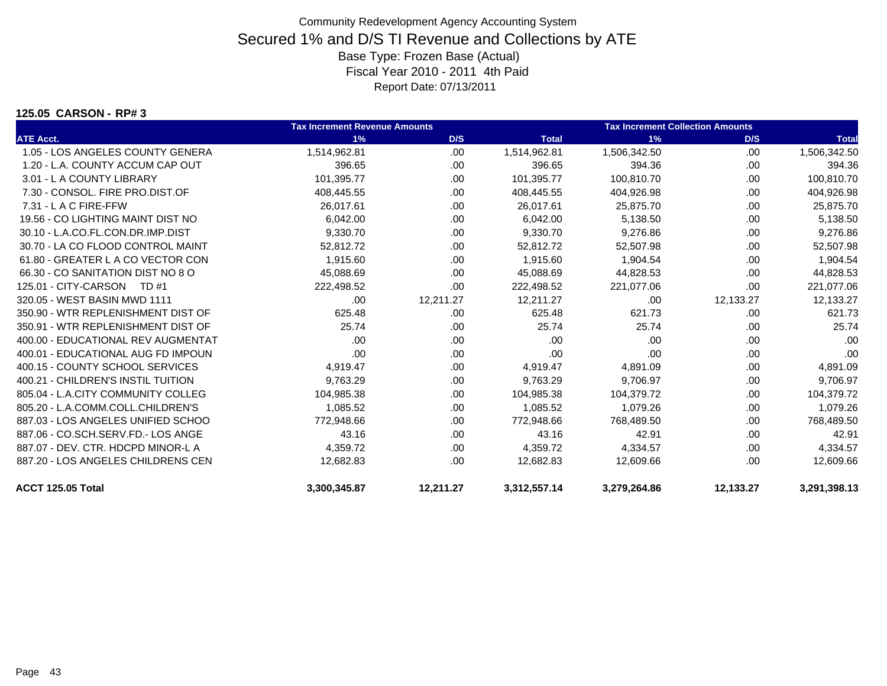#### **125.05 CARSON - RP# 3**

|                                    | <b>Tax Increment Revenue Amounts</b> |           |              | <b>Tax Increment Collection Amounts</b> |           |              |  |
|------------------------------------|--------------------------------------|-----------|--------------|-----------------------------------------|-----------|--------------|--|
| <b>ATE Acct.</b>                   | 1%                                   | D/S       | <b>Total</b> | 1%                                      | D/S       | <b>Total</b> |  |
| 1.05 - LOS ANGELES COUNTY GENERA   | 1,514,962.81                         | .00       | 1,514,962.81 | 1,506,342.50                            | .00       | 1,506,342.50 |  |
| 1.20 - L.A. COUNTY ACCUM CAP OUT   | 396.65                               | .00       | 396.65       | 394.36                                  | .00.      | 394.36       |  |
| 3.01 - L A COUNTY LIBRARY          | 101.395.77                           | .00       | 101,395.77   | 100,810.70                              | .00       | 100,810.70   |  |
| 7.30 - CONSOL, FIRE PRO.DIST.OF    | 408,445.55                           | .00       | 408,445.55   | 404,926.98                              | .00       | 404,926.98   |  |
| $7.31 - L$ A C FIRE-FFW            | 26,017.61                            | .00       | 26,017.61    | 25,875.70                               | .00       | 25,875.70    |  |
| 19.56 - CO LIGHTING MAINT DIST NO  | 6,042.00                             | .00       | 6,042.00     | 5,138.50                                | .00       | 5,138.50     |  |
| 30.10 - L.A.CO.FL.CON.DR.IMP.DIST  | 9,330.70                             | .00       | 9,330.70     | 9,276.86                                | .00       | 9,276.86     |  |
| 30.70 - LA CO FLOOD CONTROL MAINT  | 52,812.72                            | .00       | 52,812.72    | 52,507.98                               | .00       | 52,507.98    |  |
| 61.80 - GREATER L A CO VECTOR CON  | 1,915.60                             | .00       | 1,915.60     | 1,904.54                                | .00       | 1,904.54     |  |
| 66.30 - CO SANITATION DIST NO 8 O  | 45,088.69                            | .00       | 45,088.69    | 44,828.53                               | .00       | 44,828.53    |  |
| 125.01 - CITY-CARSON TD #1         | 222,498.52                           | .00       | 222,498.52   | 221,077.06                              | .00       | 221,077.06   |  |
| 320.05 - WEST BASIN MWD 1111       | .00.                                 | 12,211.27 | 12,211.27    | .00.                                    | 12,133.27 | 12,133.27    |  |
| 350.90 - WTR REPLENISHMENT DIST OF | 625.48                               | .00       | 625.48       | 621.73                                  | .00       | 621.73       |  |
| 350.91 - WTR REPLENISHMENT DIST OF | 25.74                                | .00       | 25.74        | 25.74                                   | .00       | 25.74        |  |
| 400.00 - EDUCATIONAL REV AUGMENTAT | .00                                  | .00       | .00          | .00                                     | .00       | .00          |  |
| 400.01 - EDUCATIONAL AUG FD IMPOUN | .00                                  | .00       | .00          | .00                                     | .00       | .00          |  |
| 400.15 - COUNTY SCHOOL SERVICES    | 4,919.47                             | .00.      | 4,919.47     | 4,891.09                                | .00       | 4,891.09     |  |
| 400.21 - CHILDREN'S INSTIL TUITION | 9,763.29                             | .00       | 9,763.29     | 9,706.97                                | .00       | 9,706.97     |  |
| 805.04 - L.A.CITY COMMUNITY COLLEG | 104,985.38                           | .00       | 104,985.38   | 104,379.72                              | .00       | 104,379.72   |  |
| 805.20 - L.A.COMM.COLL.CHILDREN'S  | 1,085.52                             | .00.      | 1,085.52     | 1,079.26                                | .00       | 1,079.26     |  |
| 887.03 - LOS ANGELES UNIFIED SCHOO | 772,948.66                           | .00       | 772,948.66   | 768,489.50                              | .00       | 768,489.50   |  |
| 887.06 - CO.SCH.SERV.FD.- LOS ANGE | 43.16                                | .00       | 43.16        | 42.91                                   | .00       | 42.91        |  |
| 887.07 - DEV. CTR. HDCPD MINOR-L A | 4,359.72                             | .00       | 4,359.72     | 4,334.57                                | .00       | 4,334.57     |  |
| 887.20 - LOS ANGELES CHILDRENS CEN | 12,682.83                            | .00       | 12,682.83    | 12,609.66                               | .00       | 12,609.66    |  |
| ACCT 125.05 Total                  | 3,300,345.87                         | 12,211.27 | 3,312,557.14 | 3,279,264.86                            | 12,133.27 | 3,291,398.13 |  |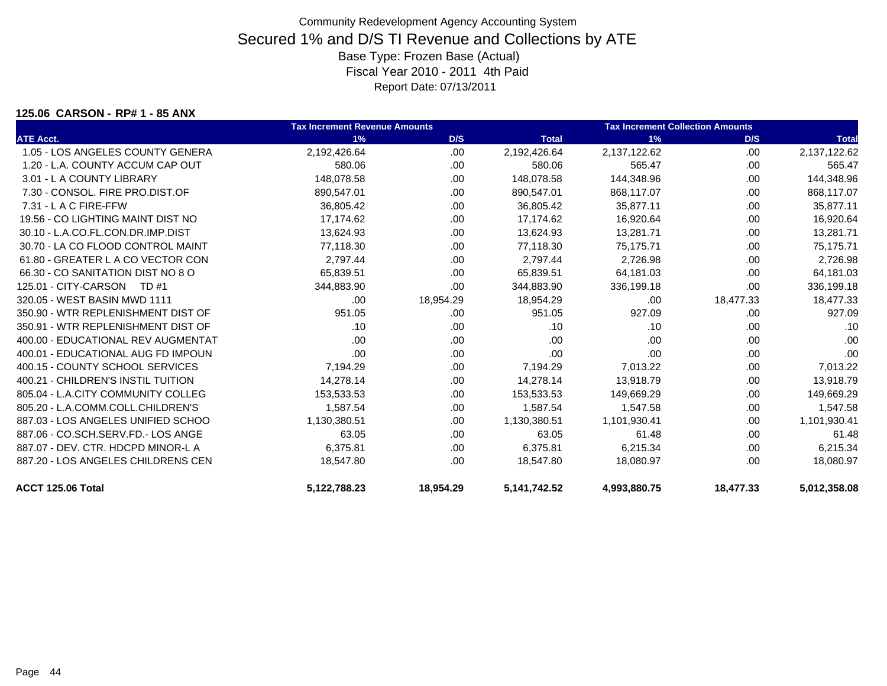#### **125.06 CARSON - RP# 1 - 85 ANX**

|                                    | <b>Tax Increment Revenue Amounts</b> |           | <b>Tax Increment Collection Amounts</b> |              |           |              |
|------------------------------------|--------------------------------------|-----------|-----------------------------------------|--------------|-----------|--------------|
| <b>ATE Acct.</b>                   | 1%                                   | D/S       | <b>Total</b>                            | 1%           | D/S       | <b>Total</b> |
| 1.05 - LOS ANGELES COUNTY GENERA   | 2,192,426.64                         | .00       | 2,192,426.64                            | 2,137,122.62 | .00       | 2,137,122.62 |
| 1.20 - L.A. COUNTY ACCUM CAP OUT   | 580.06                               | .00       | 580.06                                  | 565.47       | .00       | 565.47       |
| 3.01 - L A COUNTY LIBRARY          | 148.078.58                           | .00.      | 148,078.58                              | 144,348.96   | .00       | 144,348.96   |
| 7.30 - CONSOL, FIRE PRO.DIST.OF    | 890,547.01                           | .00       | 890,547.01                              | 868,117.07   | .00.      | 868,117.07   |
| 7.31 - L A C FIRE-FFW              | 36,805.42                            | .00       | 36,805.42                               | 35,877.11    | .00       | 35,877.11    |
| 19.56 - CO LIGHTING MAINT DIST NO  | 17,174.62                            | .00.      | 17,174.62                               | 16,920.64    | .00.      | 16,920.64    |
| 30.10 - L.A.CO.FL.CON.DR.IMP.DIST  | 13,624.93                            | .00       | 13.624.93                               | 13,281.71    | .00       | 13,281.71    |
| 30.70 - LA CO FLOOD CONTROL MAINT  | 77,118.30                            | .00.      | 77,118.30                               | 75,175.71    | .00       | 75,175.71    |
| 61.80 - GREATER L A CO VECTOR CON  | 2,797.44                             | .00.      | 2,797.44                                | 2,726.98     | .00       | 2,726.98     |
| 66.30 - CO SANITATION DIST NO 8 O  | 65,839.51                            | .00.      | 65,839.51                               | 64,181.03    | .00       | 64,181.03    |
| 125.01 - CITY-CARSON<br>TD #1      | 344,883.90                           | .00       | 344,883.90                              | 336,199.18   | .00       | 336,199.18   |
| 320.05 - WEST BASIN MWD 1111       | .00.                                 | 18,954.29 | 18,954.29                               | .00          | 18,477.33 | 18,477.33    |
| 350.90 - WTR REPLENISHMENT DIST OF | 951.05                               | .00.      | 951.05                                  | 927.09       | .00       | 927.09       |
| 350.91 - WTR REPLENISHMENT DIST OF | .10                                  | .00.      | .10                                     | .10          | .00.      | .10          |
| 400.00 - EDUCATIONAL REV AUGMENTAT | .00                                  | .00.      | .00                                     | .00          | .00       | .00          |
| 400.01 - EDUCATIONAL AUG FD IMPOUN | .00                                  | .00.      | .00                                     | .00          | .00       | .00          |
| 400.15 - COUNTY SCHOOL SERVICES    | 7,194.29                             | .00.      | 7,194.29                                | 7,013.22     | .00       | 7,013.22     |
| 400.21 - CHILDREN'S INSTIL TUITION | 14.278.14                            | .00.      | 14,278.14                               | 13,918.79    | .00       | 13,918.79    |
| 805.04 - L.A.CITY COMMUNITY COLLEG | 153,533.53                           | .00       | 153,533.53                              | 149,669.29   | .00       | 149,669.29   |
| 805.20 - L.A.COMM.COLL.CHILDREN'S  | 1,587.54                             | .00.      | 1,587.54                                | 1,547.58     | .00       | 1,547.58     |
| 887.03 - LOS ANGELES UNIFIED SCHOO | 1,130,380.51                         | .00.      | 1,130,380.51                            | 1,101,930.41 | .00       | 1,101,930.41 |
| 887.06 - CO.SCH.SERV.FD.- LOS ANGE | 63.05                                | .00.      | 63.05                                   | 61.48        | .00       | 61.48        |
| 887.07 - DEV. CTR. HDCPD MINOR-L A | 6,375.81                             | .00.      | 6,375.81                                | 6,215.34     | .00       | 6,215.34     |
| 887.20 - LOS ANGELES CHILDRENS CEN | 18,547.80                            | .00       | 18,547.80                               | 18,080.97    | .00       | 18,080.97    |
| ACCT 125.06 Total                  | 5,122,788.23                         | 18,954.29 | 5,141,742.52                            | 4,993,880.75 | 18,477.33 | 5,012,358.08 |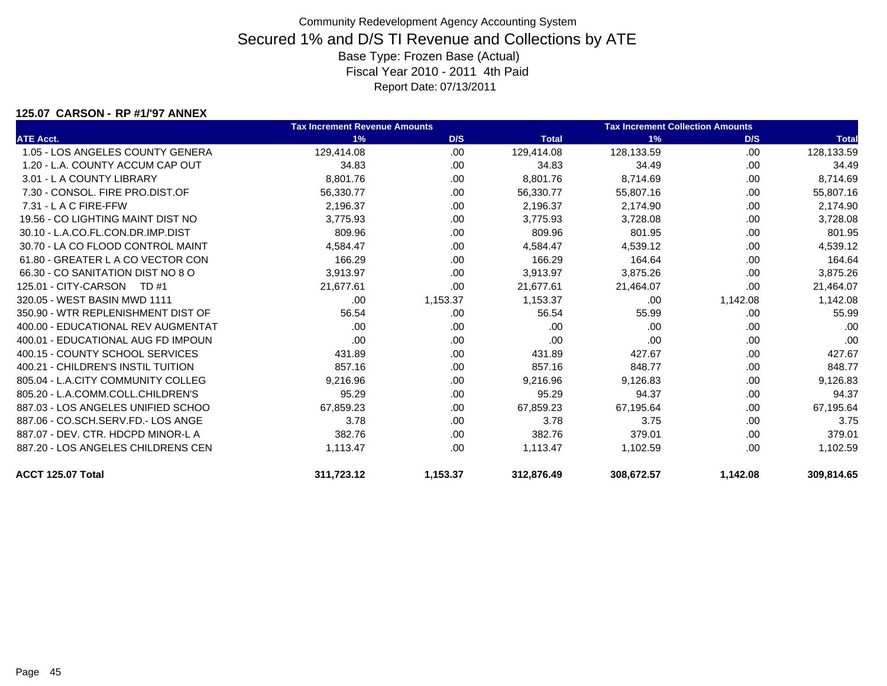#### **125.07 CARSON - RP #1/'97 ANNEX**

|                                    | <b>Tax Increment Revenue Amounts</b> |          |              | <b>Tax Increment Collection Amounts</b> |          |              |
|------------------------------------|--------------------------------------|----------|--------------|-----------------------------------------|----------|--------------|
| <b>ATE Acct.</b>                   | 1%                                   | D/S      | <b>Total</b> | 1%                                      | D/S      | <b>Total</b> |
| 1.05 - LOS ANGELES COUNTY GENERA   | 129,414.08                           | .00      | 129,414.08   | 128,133.59                              | .00      | 128,133.59   |
| 1.20 - L.A. COUNTY ACCUM CAP OUT   | 34.83                                | .00      | 34.83        | 34.49                                   | .00      | 34.49        |
| 3.01 - L A COUNTY LIBRARY          | 8,801.76                             | .00.     | 8,801.76     | 8,714.69                                | .00      | 8,714.69     |
| 7.30 - CONSOL, FIRE PRO.DIST.OF    | 56,330.77                            | .00      | 56,330.77    | 55,807.16                               | .00      | 55,807.16    |
| $7.31 - L$ A C FIRE-FFW            | 2,196.37                             | .00      | 2,196.37     | 2,174.90                                | .00      | 2,174.90     |
| 19.56 - CO LIGHTING MAINT DIST NO  | 3,775.93                             | .00      | 3,775.93     | 3,728.08                                | .00      | 3,728.08     |
| 30.10 - L.A.CO.FL.CON.DR.IMP.DIST  | 809.96                               | .00      | 809.96       | 801.95                                  | .00      | 801.95       |
| 30.70 - LA CO FLOOD CONTROL MAINT  | 4,584.47                             | .00      | 4.584.47     | 4,539.12                                | .00      | 4,539.12     |
| 61.80 - GREATER L A CO VECTOR CON  | 166.29                               | .00      | 166.29       | 164.64                                  | .00      | 164.64       |
| 66.30 - CO SANITATION DIST NO 8 O  | 3,913.97                             | .00      | 3,913.97     | 3,875.26                                | .00      | 3,875.26     |
| 125.01 - CITY-CARSON<br>TD #1      | 21,677.61                            | .00      | 21.677.61    | 21,464.07                               | .00      | 21,464.07    |
| 320.05 - WEST BASIN MWD 1111       | .00                                  | 1,153.37 | 1,153.37     | .00                                     | 1,142.08 | 1,142.08     |
| 350.90 - WTR REPLENISHMENT DIST OF | 56.54                                | .00      | 56.54        | 55.99                                   | .00      | 55.99        |
| 400.00 - EDUCATIONAL REV AUGMENTAT | .00                                  | .00      | .00          | .00                                     | .00      | .00          |
| 400.01 - EDUCATIONAL AUG FD IMPOUN | .00                                  | .00      | .00          | .00                                     | .00      | .00          |
| 400.15 - COUNTY SCHOOL SERVICES    | 431.89                               | .00      | 431.89       | 427.67                                  | .00      | 427.67       |
| 400.21 - CHILDREN'S INSTIL TUITION | 857.16                               | .00      | 857.16       | 848.77                                  | .00      | 848.77       |
| 805.04 - L.A.CITY COMMUNITY COLLEG | 9,216.96                             | .00      | 9,216.96     | 9,126.83                                | .00      | 9,126.83     |
| 805.20 - L.A.COMM.COLL.CHILDREN'S  | 95.29                                | .00      | 95.29        | 94.37                                   | .00      | 94.37        |
| 887.03 - LOS ANGELES UNIFIED SCHOO | 67,859.23                            | .00      | 67,859.23    | 67,195.64                               | .00      | 67,195.64    |
| 887.06 - CO.SCH.SERV.FD.- LOS ANGE | 3.78                                 | .00      | 3.78         | 3.75                                    | .00      | 3.75         |
| 887.07 - DEV. CTR. HDCPD MINOR-L A | 382.76                               | .00      | 382.76       | 379.01                                  | .00      | 379.01       |
| 887.20 - LOS ANGELES CHILDRENS CEN | 1.113.47                             | .00      | 1,113.47     | 1,102.59                                | .00      | 1,102.59     |
| ACCT 125.07 Total                  | 311.723.12                           | 1,153.37 | 312.876.49   | 308.672.57                              | 1,142.08 | 309.814.65   |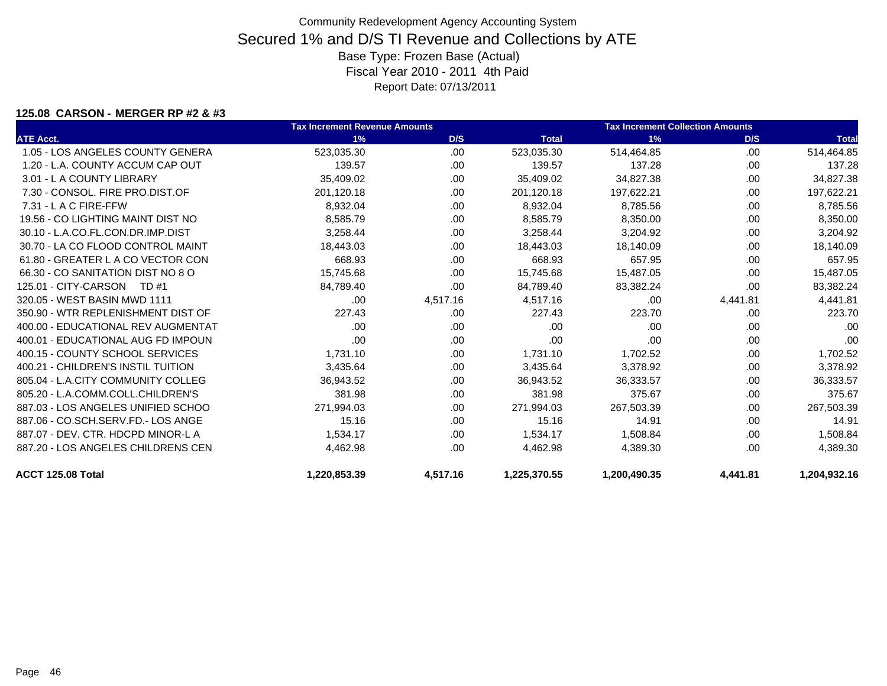### **125.08 CARSON - MERGER RP #2 & #3**

|                                    | <b>Tax Increment Revenue Amounts</b> |          |              | <b>Tax Increment Collection Amounts</b> |          |              |
|------------------------------------|--------------------------------------|----------|--------------|-----------------------------------------|----------|--------------|
| <b>ATE Acct.</b>                   | 1%                                   | D/S      | <b>Total</b> | 1%                                      | D/S      | <b>Total</b> |
| 1.05 - LOS ANGELES COUNTY GENERA   | 523,035.30                           | .00      | 523,035.30   | 514,464.85                              | .00      | 514,464.85   |
| 1.20 - L.A. COUNTY ACCUM CAP OUT   | 139.57                               | .00      | 139.57       | 137.28                                  | .00      | 137.28       |
| 3.01 - L A COUNTY LIBRARY          | 35,409.02                            | .00      | 35,409.02    | 34,827.38                               | .00      | 34,827.38    |
| 7.30 - CONSOL. FIRE PRO.DIST.OF    | 201,120.18                           | .00      | 201,120.18   | 197,622.21                              | .00      | 197,622.21   |
| 7.31 - L A C FIRE-FFW              | 8,932.04                             | .00      | 8,932.04     | 8,785.56                                | .00      | 8,785.56     |
| 19.56 - CO LIGHTING MAINT DIST NO  | 8,585.79                             | .00      | 8,585.79     | 8,350.00                                | .00      | 8,350.00     |
| 30.10 - L.A.CO.FL.CON.DR.IMP.DIST  | 3,258.44                             | .00      | 3,258.44     | 3,204.92                                | .00      | 3,204.92     |
| 30.70 - LA CO FLOOD CONTROL MAINT  | 18,443.03                            | .00      | 18,443.03    | 18,140.09                               | .00      | 18,140.09    |
| 61.80 - GREATER L A CO VECTOR CON  | 668.93                               | .00.     | 668.93       | 657.95                                  | .00      | 657.95       |
| 66.30 - CO SANITATION DIST NO 8 O  | 15,745.68                            | .00      | 15,745.68    | 15,487.05                               | .00      | 15,487.05    |
| 125.01 - CITY-CARSON<br>TD #1      | 84,789.40                            | .00      | 84,789.40    | 83,382.24                               | .00      | 83,382.24    |
| 320.05 - WEST BASIN MWD 1111       | .00                                  | 4,517.16 | 4,517.16     | .00                                     | 4,441.81 | 4,441.81     |
| 350.90 - WTR REPLENISHMENT DIST OF | 227.43                               | .00      | 227.43       | 223.70                                  | .00      | 223.70       |
| 400.00 - EDUCATIONAL REV AUGMENTAT | .00                                  | .00      | .00          | .00.                                    | .00      | .00          |
| 400.01 - EDUCATIONAL AUG FD IMPOUN | .00                                  | .00      | .00          | .00                                     | .00      | .00          |
| 400.15 - COUNTY SCHOOL SERVICES    | 1,731.10                             | .00.     | 1,731.10     | 1,702.52                                | .00      | 1,702.52     |
| 400.21 - CHILDREN'S INSTIL TUITION | 3,435.64                             | .00.     | 3,435.64     | 3,378.92                                | .00      | 3,378.92     |
| 805.04 - L.A.CITY COMMUNITY COLLEG | 36,943.52                            | .00.     | 36,943.52    | 36,333.57                               | .00      | 36,333.57    |
| 805.20 - L.A.COMM.COLL.CHILDREN'S  | 381.98                               | .00.     | 381.98       | 375.67                                  | .00      | 375.67       |
| 887.03 - LOS ANGELES UNIFIED SCHOO | 271,994.03                           | .00      | 271.994.03   | 267,503.39                              | .00      | 267,503.39   |
| 887.06 - CO.SCH.SERV.FD.- LOS ANGE | 15.16                                | .00.     | 15.16        | 14.91                                   | .00      | 14.91        |
| 887.07 - DEV. CTR. HDCPD MINOR-L A | 1,534.17                             | .00      | 1,534.17     | 1,508.84                                | .00      | 1,508.84     |
| 887.20 - LOS ANGELES CHILDRENS CEN | 4,462.98                             | .00      | 4,462.98     | 4,389.30                                | .00      | 4,389.30     |
| ACCT 125.08 Total                  | 1,220,853.39                         | 4,517.16 | 1,225,370.55 | 1,200,490.35                            | 4,441.81 | 1,204,932.16 |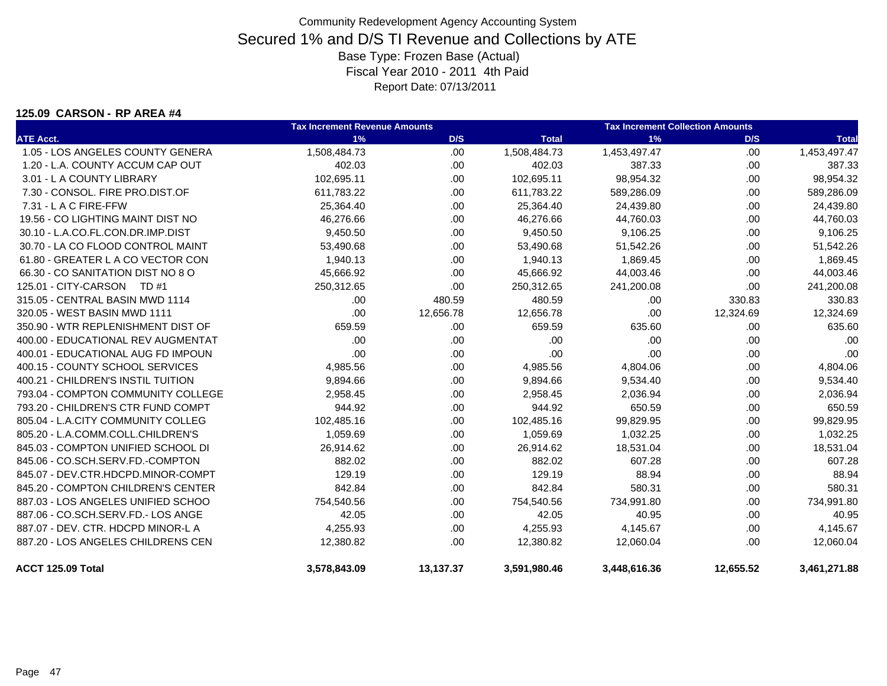### **125.09 CARSON - RP AREA #4**

|                                    | <b>Tax Increment Revenue Amounts</b> |           |              | <b>Tax Increment Collection Amounts</b> |           |              |  |
|------------------------------------|--------------------------------------|-----------|--------------|-----------------------------------------|-----------|--------------|--|
| <b>ATE Acct.</b>                   | 1%                                   | D/S       | <b>Total</b> | 1%                                      | D/S       | <b>Total</b> |  |
| 1.05 - LOS ANGELES COUNTY GENERA   | 1,508,484.73                         | .00       | 1,508,484.73 | 1,453,497.47                            | .00       | 1,453,497.47 |  |
| 1.20 - L.A. COUNTY ACCUM CAP OUT   | 402.03                               | .00       | 402.03       | 387.33                                  | .00       | 387.33       |  |
| 3.01 - L A COUNTY LIBRARY          | 102,695.11                           | .00.      | 102,695.11   | 98,954.32                               | .00       | 98,954.32    |  |
| 7.30 - CONSOL. FIRE PRO.DIST.OF    | 611,783.22                           | .00.      | 611,783.22   | 589,286.09                              | .00       | 589,286.09   |  |
| 7.31 - L A C FIRE-FFW              | 25,364.40                            | .00       | 25,364.40    | 24,439.80                               | .00       | 24,439.80    |  |
| 19.56 - CO LIGHTING MAINT DIST NO  | 46,276.66                            | .00.      | 46,276.66    | 44,760.03                               | .00       | 44,760.03    |  |
| 30.10 - L.A.CO.FL.CON.DR.IMP.DIST  | 9,450.50                             | .00.      | 9,450.50     | 9,106.25                                | .00       | 9,106.25     |  |
| 30.70 - LA CO FLOOD CONTROL MAINT  | 53,490.68                            | .00.      | 53,490.68    | 51,542.26                               | .00       | 51,542.26    |  |
| 61.80 - GREATER L A CO VECTOR CON  | 1,940.13                             | .00       | 1,940.13     | 1,869.45                                | .00       | 1,869.45     |  |
| 66.30 - CO SANITATION DIST NO 8 O  | 45,666.92                            | .00       | 45,666.92    | 44,003.46                               | .00       | 44,003.46    |  |
| 125.01 - CITY-CARSON<br>TD #1      | 250,312.65                           | .00       | 250,312.65   | 241,200.08                              | .00       | 241,200.08   |  |
| 315.05 - CENTRAL BASIN MWD 1114    | .00                                  | 480.59    | 480.59       | .00                                     | 330.83    | 330.83       |  |
| 320.05 - WEST BASIN MWD 1111       | .00                                  | 12,656.78 | 12,656.78    | .00                                     | 12,324.69 | 12,324.69    |  |
| 350.90 - WTR REPLENISHMENT DIST OF | 659.59                               | .00       | 659.59       | 635.60                                  | .00       | 635.60       |  |
| 400.00 - EDUCATIONAL REV AUGMENTAT | .00                                  | .00       | .00          | .00                                     | .00       | .00          |  |
| 400.01 - EDUCATIONAL AUG FD IMPOUN | .00                                  | .00.      | .00          | .00                                     | .00       | .00          |  |
| 400.15 - COUNTY SCHOOL SERVICES    | 4,985.56                             | .00.      | 4,985.56     | 4,804.06                                | .00       | 4,804.06     |  |
| 400.21 - CHILDREN'S INSTIL TUITION | 9,894.66                             | .00       | 9,894.66     | 9,534.40                                | .00       | 9,534.40     |  |
| 793.04 - COMPTON COMMUNITY COLLEGE | 2,958.45                             | .00       | 2,958.45     | 2,036.94                                | .00       | 2,036.94     |  |
| 793.20 - CHILDREN'S CTR FUND COMPT | 944.92                               | .00       | 944.92       | 650.59                                  | .00       | 650.59       |  |
| 805.04 - L.A.CITY COMMUNITY COLLEG | 102,485.16                           | .00.      | 102,485.16   | 99,829.95                               | .00       | 99,829.95    |  |
| 805.20 - L.A.COMM.COLL.CHILDREN'S  | 1,059.69                             | .00.      | 1,059.69     | 1,032.25                                | .00       | 1,032.25     |  |
| 845.03 - COMPTON UNIFIED SCHOOL DI | 26,914.62                            | .00.      | 26,914.62    | 18,531.04                               | .00       | 18,531.04    |  |
| 845.06 - CO.SCH.SERV.FD.-COMPTON   | 882.02                               | .00       | 882.02       | 607.28                                  | .00       | 607.28       |  |
| 845.07 - DEV.CTR.HDCPD.MINOR-COMPT | 129.19                               | .00.      | 129.19       | 88.94                                   | .00       | 88.94        |  |
| 845.20 - COMPTON CHILDREN'S CENTER | 842.84                               | .00       | 842.84       | 580.31                                  | .00       | 580.31       |  |
| 887.03 - LOS ANGELES UNIFIED SCHOO | 754,540.56                           | .00       | 754,540.56   | 734,991.80                              | .00       | 734,991.80   |  |
| 887.06 - CO.SCH.SERV.FD.- LOS ANGE | 42.05                                | .00       | 42.05        | 40.95                                   | .00       | 40.95        |  |
| 887.07 - DEV. CTR. HDCPD MINOR-L A | 4,255.93                             | .00.      | 4,255.93     | 4,145.67                                | .00       | 4,145.67     |  |
| 887.20 - LOS ANGELES CHILDRENS CEN | 12,380.82                            | .00.      | 12,380.82    | 12,060.04                               | .00.      | 12,060.04    |  |
| ACCT 125.09 Total                  | 3,578,843.09                         | 13,137.37 | 3,591,980.46 | 3,448,616.36                            | 12,655.52 | 3,461,271.88 |  |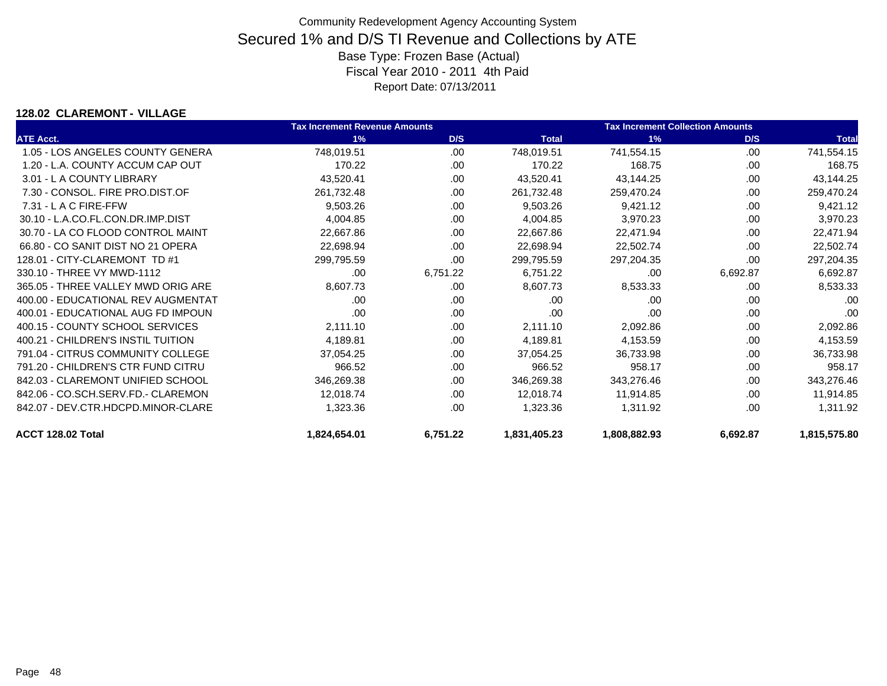### **128.02 CLAREMONT - VILLAGE**

|                                    | <b>Tax Increment Revenue Amounts</b> |          |              | <b>Tax Increment Collection Amounts</b> |          |              |
|------------------------------------|--------------------------------------|----------|--------------|-----------------------------------------|----------|--------------|
| <b>ATE Acct.</b>                   | 1%                                   | D/S      | <b>Total</b> | 1%                                      | D/S      | <b>Total</b> |
| 1.05 - LOS ANGELES COUNTY GENERA   | 748,019.51                           | .00.     | 748,019.51   | 741,554.15                              | .00      | 741,554.15   |
| 1.20 - L.A. COUNTY ACCUM CAP OUT   | 170.22                               | .00      | 170.22       | 168.75                                  | .00      | 168.75       |
| 3.01 - L A COUNTY LIBRARY          | 43,520.41                            | .00.     | 43,520.41    | 43,144.25                               | .00      | 43,144.25    |
| 7.30 - CONSOL, FIRE PRO.DIST.OF    | 261,732.48                           | .00      | 261,732.48   | 259,470.24                              | .00      | 259,470.24   |
| $7.31 - L$ A C FIRE-FFW            | 9,503.26                             | .00.     | 9,503.26     | 9,421.12                                | .00      | 9,421.12     |
| 30.10 - L.A.CO.FL.CON.DR.IMP.DIST  | 4,004.85                             | .00      | 4,004.85     | 3,970.23                                | .00      | 3,970.23     |
| 30.70 - LA CO FLOOD CONTROL MAINT  | 22,667.86                            | .00.     | 22,667.86    | 22,471.94                               | .00      | 22,471.94    |
| 66.80 - CO SANIT DIST NO 21 OPERA  | 22,698.94                            | .00      | 22,698.94    | 22,502.74                               | .00      | 22,502.74    |
| 128.01 - CITY-CLAREMONT TD #1      | 299,795.59                           | .00      | 299,795.59   | 297,204.35                              | .00      | 297,204.35   |
| 330.10 - THREE VY MWD-1112         | .00                                  | 6,751.22 | 6,751.22     | .00                                     | 6,692.87 | 6,692.87     |
| 365.05 - THREE VALLEY MWD ORIG ARE | 8,607.73                             | .00.     | 8,607.73     | 8,533.33                                | .00      | 8,533.33     |
| 400.00 - EDUCATIONAL REV AUGMENTAT | .00                                  | .00      | .00          | .00                                     | .00      | .00          |
| 400.01 - EDUCATIONAL AUG FD IMPOUN | .00                                  | .00      | .00          | .00                                     | .00      | .00          |
| 400.15 - COUNTY SCHOOL SERVICES    | 2,111.10                             | .00      | 2,111.10     | 2,092.86                                | .00      | 2,092.86     |
| 400.21 - CHILDREN'S INSTIL TUITION | 4,189.81                             | .00.     | 4,189.81     | 4,153.59                                | .00      | 4,153.59     |
| 791.04 - CITRUS COMMUNITY COLLEGE  | 37,054.25                            | .00      | 37,054.25    | 36,733.98                               | .00      | 36,733.98    |
| 791.20 - CHILDREN'S CTR FUND CITRU | 966.52                               | .00      | 966.52       | 958.17                                  | .00      | 958.17       |
| 842.03 - CLAREMONT UNIFIED SCHOOL  | 346,269.38                           | .00      | 346,269.38   | 343,276.46                              | .00      | 343,276.46   |
| 842.06 - CO.SCH.SERV.FD.- CLAREMON | 12,018.74                            | .00      | 12,018.74    | 11,914.85                               | .00      | 11,914.85    |
| 842.07 - DEV.CTR.HDCPD.MINOR-CLARE | 1,323.36                             | .00      | 1,323.36     | 1,311.92                                | .00      | 1,311.92     |
| ACCT 128.02 Total                  | 1,824,654.01                         | 6,751.22 | 1,831,405.23 | 1,808,882.93                            | 6,692.87 | 1,815,575.80 |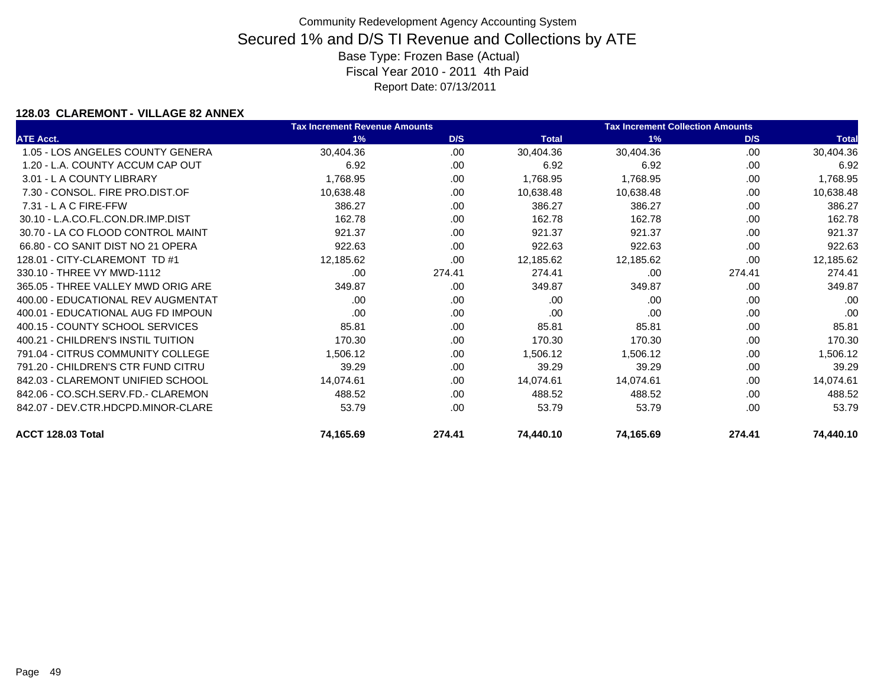### **128.03 CLAREMONT - VILLAGE 82 ANNEX**

|                                    | <b>Tax Increment Revenue Amounts</b> |        |              | <b>Tax Increment Collection Amounts</b> |        |              |
|------------------------------------|--------------------------------------|--------|--------------|-----------------------------------------|--------|--------------|
| <b>ATE Acct.</b>                   | 1%                                   | D/S    | <b>Total</b> | 1%                                      | D/S    | <b>Total</b> |
| 1.05 - LOS ANGELES COUNTY GENERA   | 30,404.36                            | .00    | 30,404.36    | 30,404.36                               | .00    | 30,404.36    |
| 1.20 - L.A. COUNTY ACCUM CAP OUT   | 6.92                                 | .00    | 6.92         | 6.92                                    | .00    | 6.92         |
| 3.01 - L A COUNTY LIBRARY          | 1,768.95                             | .00    | 1,768.95     | 1,768.95                                | .00    | 1,768.95     |
| 7.30 - CONSOL, FIRE PRO.DIST.OF    | 10,638.48                            | .00    | 10,638.48    | 10,638.48                               | .00    | 10,638.48    |
| $7.31 - L$ A C FIRE-FFW            | 386.27                               | .00    | 386.27       | 386.27                                  | .00    | 386.27       |
| 30.10 - L.A.CO.FL.CON.DR.IMP.DIST  | 162.78                               | .00    | 162.78       | 162.78                                  | .00    | 162.78       |
| 30.70 - LA CO FLOOD CONTROL MAINT  | 921.37                               | .00    | 921.37       | 921.37                                  | .00    | 921.37       |
| 66.80 - CO SANIT DIST NO 21 OPERA  | 922.63                               | .00    | 922.63       | 922.63                                  | .00    | 922.63       |
| 128.01 - CITY-CLAREMONT TD #1      | 12,185.62                            | .00    | 12,185.62    | 12,185.62                               | .00    | 12,185.62    |
| 330.10 - THREE VY MWD-1112         | .00.                                 | 274.41 | 274.41       | .00                                     | 274.41 | 274.41       |
| 365.05 - THREE VALLEY MWD ORIG ARE | 349.87                               | .00    | 349.87       | 349.87                                  | .00    | 349.87       |
| 400.00 - EDUCATIONAL REV AUGMENTAT | .00.                                 | .00    | .00          | .00.                                    | .00    | .00          |
| 400.01 - EDUCATIONAL AUG FD IMPOUN | .00                                  | .00    | .00          | .00                                     | .00    | .00          |
| 400.15 - COUNTY SCHOOL SERVICES    | 85.81                                | .00    | 85.81        | 85.81                                   | .00    | 85.81        |
| 400.21 - CHILDREN'S INSTIL TUITION | 170.30                               | .00    | 170.30       | 170.30                                  | .00    | 170.30       |
| 791.04 - CITRUS COMMUNITY COLLEGE  | 1,506.12                             | .00    | 1,506.12     | 1,506.12                                | .00    | 1,506.12     |
| 791.20 - CHILDREN'S CTR FUND CITRU | 39.29                                | .00    | 39.29        | 39.29                                   | .00.   | 39.29        |
| 842.03 - CLAREMONT UNIFIED SCHOOL  | 14,074.61                            | .00    | 14,074.61    | 14,074.61                               | .00    | 14,074.61    |
| 842.06 - CO.SCH.SERV.FD.- CLAREMON | 488.52                               | .00    | 488.52       | 488.52                                  | .00    | 488.52       |
| 842.07 - DEV.CTR.HDCPD.MINOR-CLARE | 53.79                                | .00    | 53.79        | 53.79                                   | .00    | 53.79        |
| ACCT 128.03 Total                  | 74,165.69                            | 274.41 | 74,440.10    | 74,165.69                               | 274.41 | 74,440.10    |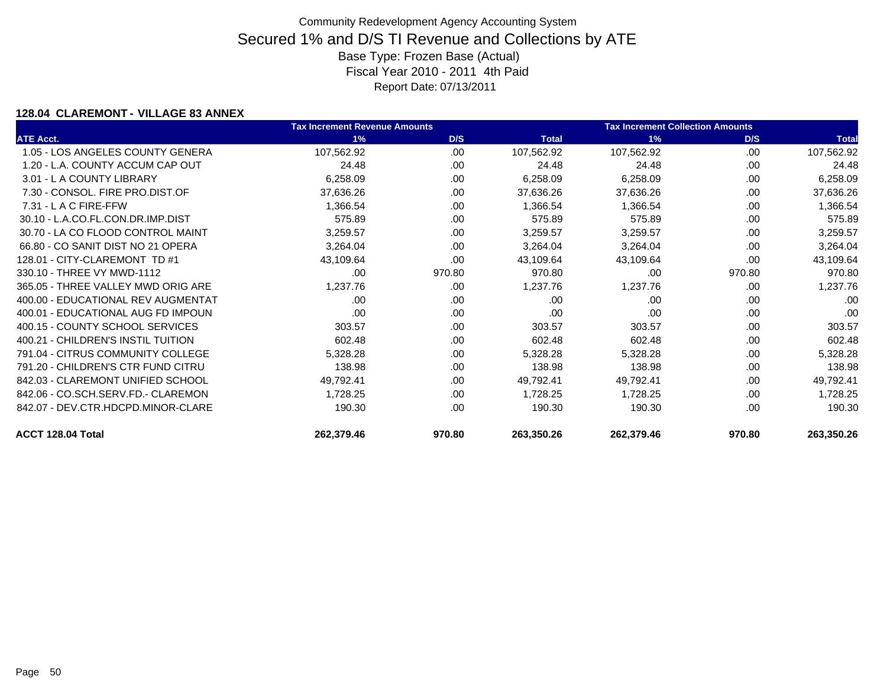### **128.04 CLAREMONT - VILLAGE 83 ANNEX**

|                                    | <b>Tax Increment Revenue Amounts</b> |        |              | <b>Tax Increment Collection Amounts</b> |        |              |
|------------------------------------|--------------------------------------|--------|--------------|-----------------------------------------|--------|--------------|
| <b>ATE Acct.</b>                   | 1%                                   | D/S    | <b>Total</b> | 1%                                      | D/S    | <b>Total</b> |
| 1.05 - LOS ANGELES COUNTY GENERA   | 107,562.92                           | .00    | 107,562.92   | 107,562.92                              | .00    | 107,562.92   |
| 1.20 - L.A. COUNTY ACCUM CAP OUT   | 24.48                                | .00    | 24.48        | 24.48                                   | .00    | 24.48        |
| 3.01 - L A COUNTY LIBRARY          | 6,258.09                             | .00    | 6,258.09     | 6,258.09                                | .00.   | 6,258.09     |
| 7.30 - CONSOL, FIRE PRO.DIST.OF    | 37,636.26                            | .00    | 37,636.26    | 37,636.26                               | .00    | 37,636.26    |
| $7.31 - L$ A C FIRE-FFW            | 1,366.54                             | .00.   | 1,366.54     | 1,366.54                                | .00    | 1,366.54     |
| 30.10 - L.A.CO.FL.CON.DR.IMP.DIST  | 575.89                               | .00    | 575.89       | 575.89                                  | .00    | 575.89       |
| 30.70 - LA CO FLOOD CONTROL MAINT  | 3,259.57                             | .00.   | 3,259.57     | 3,259.57                                | .00    | 3,259.57     |
| 66.80 - CO SANIT DIST NO 21 OPERA  | 3,264.04                             | .00.   | 3,264.04     | 3,264.04                                | .00    | 3,264.04     |
| 128.01 - CITY-CLAREMONT TD #1      | 43,109.64                            | .00    | 43,109.64    | 43,109.64                               | .00    | 43,109.64    |
| 330.10 - THREE VY MWD-1112         | .00                                  | 970.80 | 970.80       | .00                                     | 970.80 | 970.80       |
| 365.05 - THREE VALLEY MWD ORIG ARE | 1,237.76                             | .00    | 1,237.76     | 1,237.76                                | .00    | 1,237.76     |
| 400.00 - EDUCATIONAL REV AUGMENTAT | .00                                  | .00    | .00          | .00                                     | .00    | .00          |
| 400.01 - EDUCATIONAL AUG FD IMPOUN | .00                                  | .00.   | .00          | .00                                     | .00    | .00          |
| 400.15 - COUNTY SCHOOL SERVICES    | 303.57                               | .00.   | 303.57       | 303.57                                  | .00    | 303.57       |
| 400.21 - CHILDREN'S INSTIL TUITION | 602.48                               | .00    | 602.48       | 602.48                                  | .00    | 602.48       |
| 791.04 - CITRUS COMMUNITY COLLEGE  | 5,328.28                             | .00    | 5,328.28     | 5,328.28                                | .00    | 5,328.28     |
| 791.20 - CHILDREN'S CTR FUND CITRU | 138.98                               | .00.   | 138.98       | 138.98                                  | .00.   | 138.98       |
| 842.03 - CLAREMONT UNIFIED SCHOOL  | 49,792.41                            | .00    | 49,792.41    | 49,792.41                               | .00    | 49,792.41    |
| 842.06 - CO.SCH.SERV.FD.- CLAREMON | 1,728.25                             | .00.   | 1,728.25     | 1,728.25                                | .00    | 1,728.25     |
| 842.07 - DEV.CTR.HDCPD.MINOR-CLARE | 190.30                               | .00.   | 190.30       | 190.30                                  | .00    | 190.30       |
| ACCT 128.04 Total                  | 262,379.46                           | 970.80 | 263,350.26   | 262,379.46                              | 970.80 | 263,350.26   |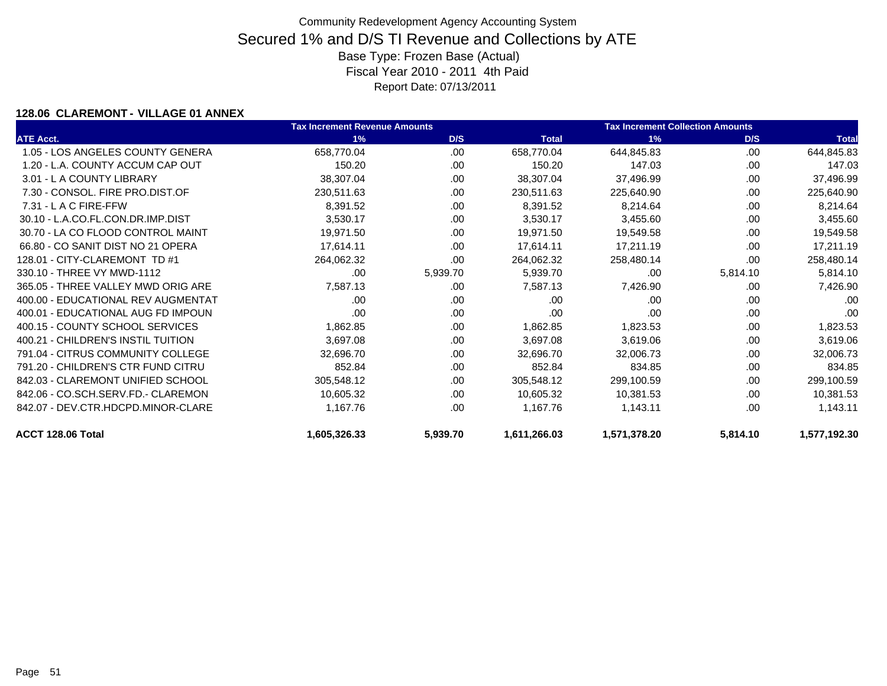### **128.06 CLAREMONT - VILLAGE 01 ANNEX**

|                                    | <b>Tax Increment Revenue Amounts</b> |          |              | <b>Tax Increment Collection Amounts</b> |          |              |
|------------------------------------|--------------------------------------|----------|--------------|-----------------------------------------|----------|--------------|
| <b>ATE Acct.</b>                   | 1%                                   | D/S      | <b>Total</b> | 1%                                      | D/S      | <b>Total</b> |
| 1.05 - LOS ANGELES COUNTY GENERA   | 658,770.04                           | .00      | 658,770.04   | 644,845.83                              | .00      | 644,845.83   |
| 1.20 - L.A. COUNTY ACCUM CAP OUT   | 150.20                               | .00      | 150.20       | 147.03                                  | .00      | 147.03       |
| 3.01 - L A COUNTY LIBRARY          | 38,307.04                            | .00      | 38,307.04    | 37,496.99                               | .00      | 37,496.99    |
| 7.30 - CONSOL, FIRE PRO.DIST.OF    | 230,511.63                           | .00      | 230,511.63   | 225,640.90                              | .00      | 225,640.90   |
| $7.31 - L$ A C FIRE-FFW            | 8,391.52                             | .00      | 8,391.52     | 8,214.64                                | .00      | 8,214.64     |
| 30.10 - L.A.CO.FL.CON.DR.IMP.DIST  | 3,530.17                             | .00      | 3,530.17     | 3,455.60                                | .00      | 3,455.60     |
| 30.70 - LA CO FLOOD CONTROL MAINT  | 19,971.50                            | .00      | 19,971.50    | 19,549.58                               | .00      | 19,549.58    |
| 66.80 - CO SANIT DIST NO 21 OPERA  | 17,614.11                            | .00      | 17,614.11    | 17,211.19                               | .00      | 17,211.19    |
| 128.01 - CITY-CLAREMONT TD #1      | 264,062.32                           | .00      | 264,062.32   | 258,480.14                              | .00      | 258,480.14   |
| 330.10 - THREE VY MWD-1112         | .00.                                 | 5,939.70 | 5,939.70     | .00.                                    | 5,814.10 | 5,814.10     |
| 365.05 - THREE VALLEY MWD ORIG ARE | 7,587.13                             | .00      | 7,587.13     | 7,426.90                                | .00      | 7,426.90     |
| 400.00 - EDUCATIONAL REV AUGMENTAT | .00.                                 | .00      | .00          | .00                                     | .00      | .00          |
| 400.01 - EDUCATIONAL AUG FD IMPOUN | .00                                  | .00      | .00          | .00                                     | .00      | .00          |
| 400.15 - COUNTY SCHOOL SERVICES    | 1,862.85                             | .00      | 1,862.85     | 1,823.53                                | .00      | 1,823.53     |
| 400.21 - CHILDREN'S INSTIL TUITION | 3,697.08                             | .00      | 3,697.08     | 3,619.06                                | .00      | 3,619.06     |
| 791.04 - CITRUS COMMUNITY COLLEGE  | 32,696.70                            | .00      | 32,696.70    | 32,006.73                               | .00      | 32,006.73    |
| 791.20 - CHILDREN'S CTR FUND CITRU | 852.84                               | .00      | 852.84       | 834.85                                  | .00      | 834.85       |
| 842.03 - CLAREMONT UNIFIED SCHOOL  | 305,548.12                           | .00      | 305,548.12   | 299,100.59                              | .00      | 299,100.59   |
| 842.06 - CO.SCH.SERV.FD.- CLAREMON | 10,605.32                            | .00      | 10,605.32    | 10,381.53                               | .00.     | 10,381.53    |
| 842.07 - DEV.CTR.HDCPD.MINOR-CLARE | 1,167.76                             | .00      | 1,167.76     | 1,143.11                                | .00      | 1,143.11     |
| ACCT 128.06 Total                  | 1,605,326.33                         | 5,939.70 | 1,611,266.03 | 1,571,378.20                            | 5,814.10 | 1,577,192.30 |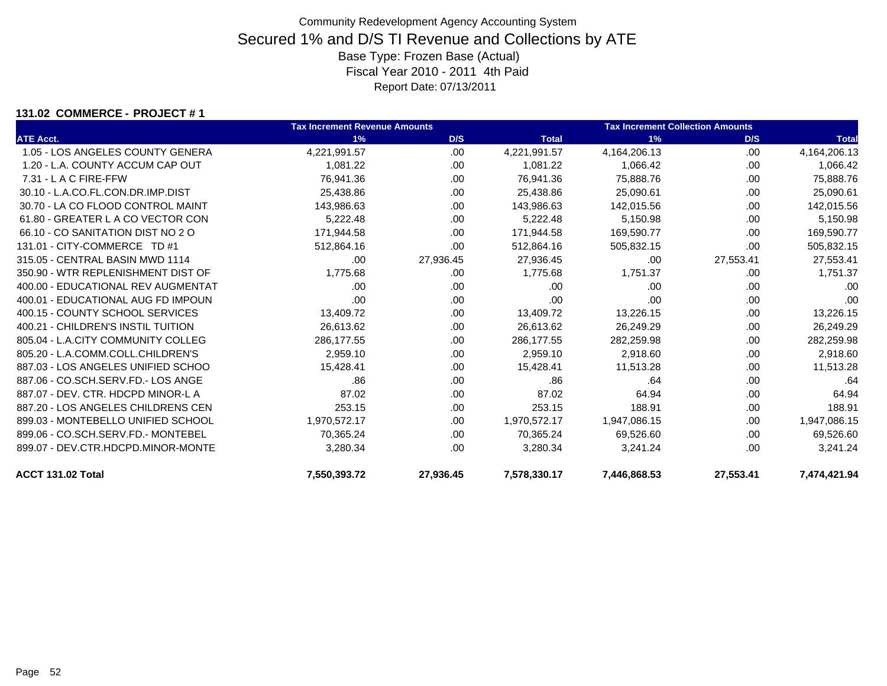### **131.02 COMMERCE - PROJECT # 1**

|                                    | <b>Tax Increment Revenue Amounts</b> |           |              | <b>Tax Increment Collection Amounts</b> |           |              |  |
|------------------------------------|--------------------------------------|-----------|--------------|-----------------------------------------|-----------|--------------|--|
| <b>ATE Acct.</b>                   | 1%                                   | D/S       | <b>Total</b> | 1%                                      | D/S       | <b>Total</b> |  |
| 1.05 - LOS ANGELES COUNTY GENERA   | 4,221,991.57                         | .00       | 4,221,991.57 | 4,164,206.13                            | .00       | 4,164,206.13 |  |
| 1.20 - L.A. COUNTY ACCUM CAP OUT   | 1,081.22                             | .00       | 1,081.22     | 1,066.42                                | .00       | 1,066.42     |  |
| 7.31 - L A C FIRE-FFW              | 76,941.36                            | .00.      | 76,941.36    | 75,888.76                               | .00       | 75,888.76    |  |
| 30.10 - L.A.CO.FL.CON.DR.IMP.DIST  | 25,438.86                            | .00       | 25,438.86    | 25,090.61                               | .00       | 25,090.61    |  |
| 30.70 - LA CO FLOOD CONTROL MAINT  | 143,986.63                           | .00.      | 143,986.63   | 142,015.56                              | .00       | 142,015.56   |  |
| 61.80 - GREATER L A CO VECTOR CON  | 5,222.48                             | .00       | 5,222.48     | 5,150.98                                | .00       | 5,150.98     |  |
| 66.10 - CO SANITATION DIST NO 2 O  | 171,944.58                           | .00       | 171,944.58   | 169,590.77                              | .00       | 169,590.77   |  |
| 131.01 - CITY-COMMERCE TD #1       | 512,864.16                           | .00       | 512,864.16   | 505,832.15                              | .00.      | 505,832.15   |  |
| 315.05 - CENTRAL BASIN MWD 1114    | .00                                  | 27,936.45 | 27,936.45    | .00                                     | 27,553.41 | 27,553.41    |  |
| 350.90 - WTR REPLENISHMENT DIST OF | 1,775.68                             | .00.      | 1,775.68     | 1,751.37                                | .00       | 1,751.37     |  |
| 400.00 - EDUCATIONAL REV AUGMENTAT | .00                                  | .00       | .00          | .00                                     | .00       | .00          |  |
| 400.01 - EDUCATIONAL AUG FD IMPOUN | .00                                  | .00.      | .00          | .00                                     | .00       | .00          |  |
| 400.15 - COUNTY SCHOOL SERVICES    | 13,409.72                            | .00       | 13,409.72    | 13,226.15                               | .00       | 13,226.15    |  |
| 400.21 - CHILDREN'S INSTIL TUITION | 26,613.62                            | .00       | 26,613.62    | 26,249.29                               | .00       | 26,249.29    |  |
| 805.04 - L.A.CITY COMMUNITY COLLEG | 286,177.55                           | .00       | 286,177.55   | 282,259.98                              | .00       | 282,259.98   |  |
| 805.20 - L.A.COMM.COLL.CHILDREN'S  | 2,959.10                             | .00.      | 2,959.10     | 2,918.60                                | .00       | 2,918.60     |  |
| 887.03 - LOS ANGELES UNIFIED SCHOO | 15,428.41                            | .00.      | 15,428.41    | 11,513.28                               | .00       | 11,513.28    |  |
| 887.06 - CO.SCH.SERV.FD.- LOS ANGE | .86                                  | .00       | .86          | .64                                     | .00       | .64          |  |
| 887.07 - DEV. CTR. HDCPD MINOR-L A | 87.02                                | .00       | 87.02        | 64.94                                   | .00       | 64.94        |  |
| 887.20 - LOS ANGELES CHILDRENS CEN | 253.15                               | .00       | 253.15       | 188.91                                  | .00       | 188.91       |  |
| 899.03 - MONTEBELLO UNIFIED SCHOOL | 1,970,572.17                         | .00       | 1,970,572.17 | 1,947,086.15                            | .00       | 1,947,086.15 |  |
| 899.06 - CO.SCH.SERV.FD.- MONTEBEL | 70,365.24                            | .00       | 70,365.24    | 69,526.60                               | .00       | 69,526.60    |  |
| 899.07 - DEV.CTR.HDCPD.MINOR-MONTE | 3,280.34                             | .00       | 3,280.34     | 3,241.24                                | .00       | 3,241.24     |  |
| ACCT 131.02 Total                  | 7,550,393.72                         | 27,936.45 | 7,578,330.17 | 7,446,868.53                            | 27,553.41 | 7,474,421.94 |  |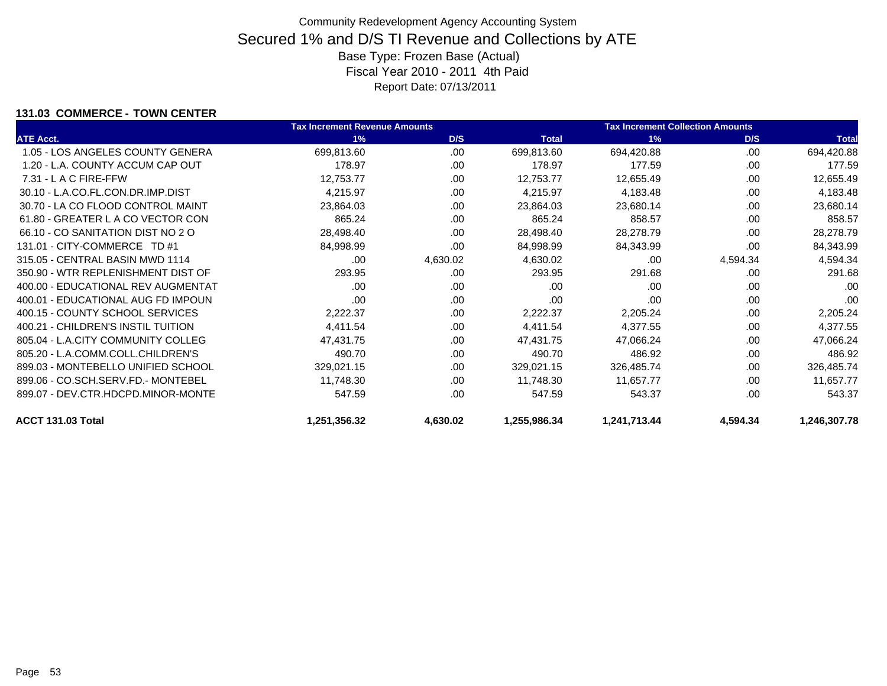### **131.03 COMMERCE - TOWN CENTER**

|                                    | <b>Tax Increment Revenue Amounts</b> |          |              | <b>Tax Increment Collection Amounts</b> |          |              |
|------------------------------------|--------------------------------------|----------|--------------|-----------------------------------------|----------|--------------|
| <b>ATE Acct.</b>                   | 1%                                   | D/S      | <b>Total</b> | 1%                                      | D/S      | <b>Total</b> |
| 1.05 - LOS ANGELES COUNTY GENERA   | 699,813.60                           | .00      | 699,813.60   | 694,420.88                              | .00      | 694,420.88   |
| 1.20 - L.A. COUNTY ACCUM CAP OUT   | 178.97                               | .00      | 178.97       | 177.59                                  | .00      | 177.59       |
| $7.31 - L$ A C FIRE-FFW            | 12,753.77                            | .00      | 12,753.77    | 12,655.49                               | .00.     | 12,655.49    |
| 30.10 - L.A.CO.FL.CON.DR.IMP.DIST  | 4,215.97                             | .00      | 4,215.97     | 4,183.48                                | .00      | 4,183.48     |
| 30.70 - LA CO FLOOD CONTROL MAINT  | 23,864.03                            | .00      | 23,864.03    | 23,680.14                               | .00      | 23,680.14    |
| 61.80 - GREATER L A CO VECTOR CON  | 865.24                               | .00      | 865.24       | 858.57                                  | .00      | 858.57       |
| 66.10 - CO SANITATION DIST NO 2 O  | 28,498.40                            | .00.     | 28,498.40    | 28,278.79                               | .00      | 28,278.79    |
| 131.01 - CITY-COMMERCE TD #1       | 84,998.99                            | .00      | 84,998.99    | 84,343.99                               | .00      | 84,343.99    |
| 315.05 - CENTRAL BASIN MWD 1114    | .00                                  | 4,630.02 | 4,630.02     | .00                                     | 4,594.34 | 4,594.34     |
| 350.90 - WTR REPLENISHMENT DIST OF | 293.95                               | .00      | 293.95       | 291.68                                  | .00      | 291.68       |
| 400.00 - EDUCATIONAL REV AUGMENTAT | .00                                  | .00      | .00          | .00                                     | .00      | .00          |
| 400.01 - EDUCATIONAL AUG FD IMPOUN | .00                                  | .00      | .00          | .00                                     | .00      | .00          |
| 400.15 - COUNTY SCHOOL SERVICES    | 2,222.37                             | .00.     | 2,222.37     | 2,205.24                                | .00      | 2,205.24     |
| 400.21 - CHILDREN'S INSTIL TUITION | 4,411.54                             | .00      | 4,411.54     | 4,377.55                                | .00      | 4,377.55     |
| 805.04 - L.A.CITY COMMUNITY COLLEG | 47,431.75                            | .00      | 47,431.75    | 47,066.24                               | .00      | 47,066.24    |
| 805.20 - L.A.COMM.COLL.CHILDREN'S  | 490.70                               | .00      | 490.70       | 486.92                                  | .00      | 486.92       |
| 899.03 - MONTEBELLO UNIFIED SCHOOL | 329,021.15                           | .00      | 329,021.15   | 326,485.74                              | .00      | 326,485.74   |
| 899.06 - CO.SCH.SERV.FD.- MONTEBEL | 11,748.30                            | .00      | 11,748.30    | 11,657.77                               | .00      | 11,657.77    |
| 899.07 - DEV.CTR.HDCPD.MINOR-MONTE | 547.59                               | .00      | 547.59       | 543.37                                  | .00      | 543.37       |
| ACCT 131.03 Total                  | 1,251,356.32                         | 4,630.02 | 1,255,986.34 | 1,241,713.44                            | 4,594.34 | 1,246,307.78 |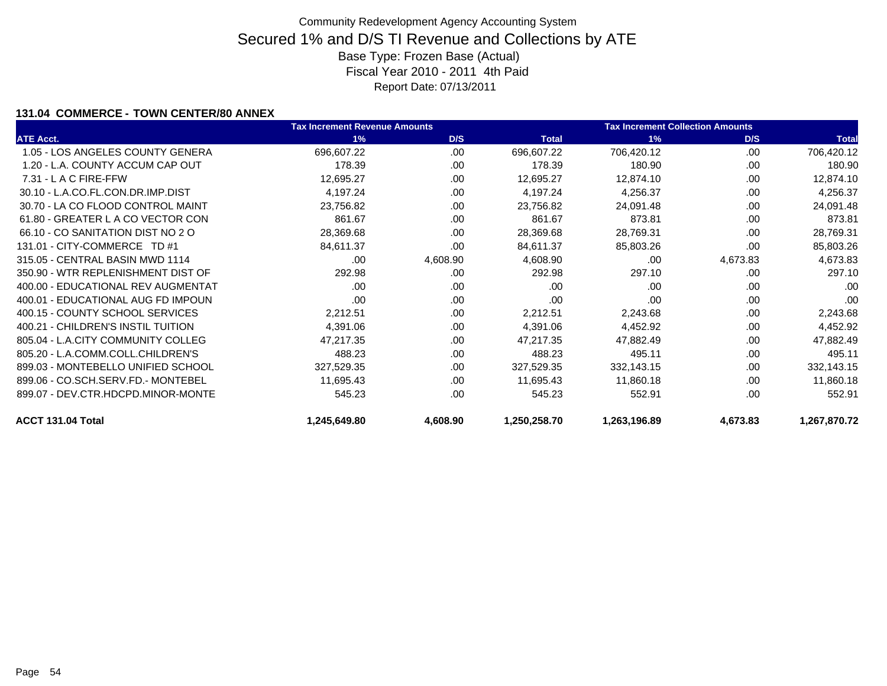### **131.04 COMMERCE - TOWN CENTER/80 ANNEX**

|                                    | <b>Tax Increment Revenue Amounts</b> |          |              | <b>Tax Increment Collection Amounts</b> |          |              |
|------------------------------------|--------------------------------------|----------|--------------|-----------------------------------------|----------|--------------|
| <b>ATE Acct.</b>                   | 1%                                   | D/S      | <b>Total</b> | 1%                                      | D/S      | <b>Total</b> |
| 1.05 - LOS ANGELES COUNTY GENERA   | 696,607.22                           | .00      | 696,607.22   | 706,420.12                              | .00      | 706,420.12   |
| 1.20 - L.A. COUNTY ACCUM CAP OUT   | 178.39                               | .00      | 178.39       | 180.90                                  | .00      | 180.90       |
| 7.31 - L A C FIRE-FFW              | 12,695.27                            | .00      | 12,695.27    | 12,874.10                               | .00      | 12,874.10    |
| 30.10 - L.A.CO.FL.CON.DR.IMP.DIST  | 4,197.24                             | .00      | 4,197.24     | 4,256.37                                | .00      | 4,256.37     |
| 30.70 - LA CO FLOOD CONTROL MAINT  | 23,756.82                            | .00      | 23,756.82    | 24,091.48                               | .00      | 24,091.48    |
| 61.80 - GREATER L A CO VECTOR CON  | 861.67                               | .00      | 861.67       | 873.81                                  | .00      | 873.81       |
| 66.10 - CO SANITATION DIST NO 2 O  | 28,369.68                            | .00      | 28,369.68    | 28,769.31                               | .00      | 28,769.31    |
| 131.01 - CITY-COMMERCE TD #1       | 84,611.37                            | .00      | 84,611.37    | 85,803.26                               | .00      | 85,803.26    |
| 315.05 - CENTRAL BASIN MWD 1114    | .00                                  | 4,608.90 | 4,608.90     | .00                                     | 4,673.83 | 4,673.83     |
| 350.90 - WTR REPLENISHMENT DIST OF | 292.98                               | .00      | 292.98       | 297.10                                  | .00      | 297.10       |
| 400.00 - EDUCATIONAL REV AUGMENTAT | .00                                  | .00      | .00          | .00                                     | .00      | .00          |
| 400.01 - EDUCATIONAL AUG FD IMPOUN | .00                                  | .00.     | .00.         | .00.                                    | .00      | .00          |
| 400.15 - COUNTY SCHOOL SERVICES    | 2,212.51                             | .00      | 2,212.51     | 2,243.68                                | .00      | 2,243.68     |
| 400.21 - CHILDREN'S INSTIL TUITION | 4,391.06                             | .00      | 4,391.06     | 4,452.92                                | .00      | 4,452.92     |
| 805.04 - L.A.CITY COMMUNITY COLLEG | 47,217.35                            | .00      | 47,217.35    | 47,882.49                               | .00      | 47,882.49    |
| 805.20 - L.A.COMM.COLL.CHILDREN'S  | 488.23                               | .00      | 488.23       | 495.11                                  | .00      | 495.11       |
| 899.03 - MONTEBELLO UNIFIED SCHOOL | 327,529.35                           | .00      | 327,529.35   | 332,143.15                              | .00      | 332,143.15   |
| 899.06 - CO.SCH.SERV.FD.- MONTEBEL | 11,695.43                            | .00      | 11,695.43    | 11,860.18                               | .00      | 11,860.18    |
| 899.07 - DEV.CTR.HDCPD.MINOR-MONTE | 545.23                               | .00      | 545.23       | 552.91                                  | .00.     | 552.91       |
| ACCT 131.04 Total                  | 1,245,649.80                         | 4,608.90 | 1,250,258.70 | 1,263,196.89                            | 4,673.83 | 1,267,870.72 |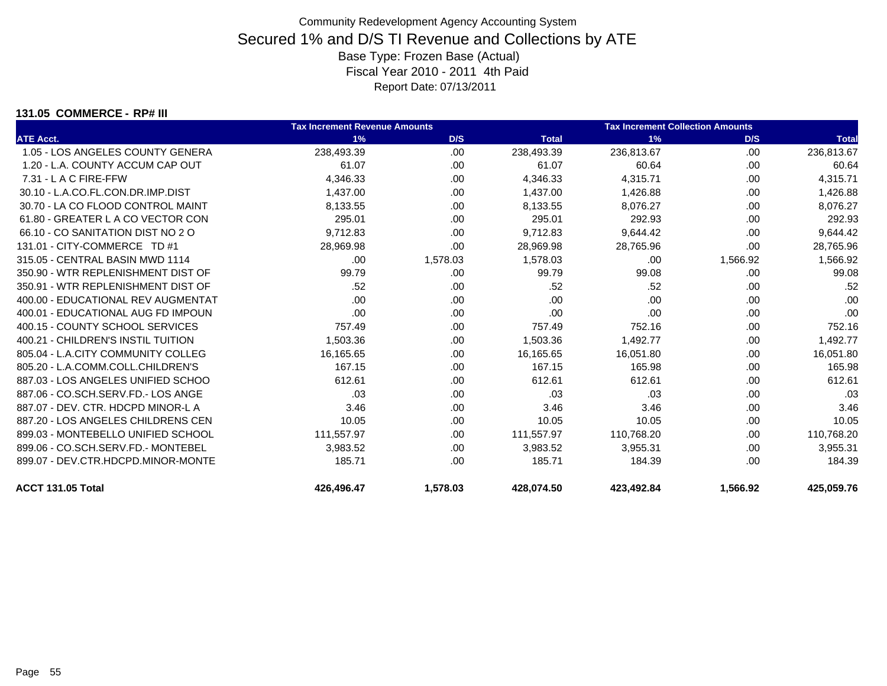#### **131.05 COMMERCE - RP# III**

|                                    | <b>Tax Increment Revenue Amounts</b> |          | <b>Tax Increment Collection Amounts</b> |            |          |              |
|------------------------------------|--------------------------------------|----------|-----------------------------------------|------------|----------|--------------|
| <b>ATE Acct.</b>                   | 1%                                   | D/S      | <b>Total</b>                            | 1%         | D/S      | <b>Total</b> |
| 1.05 - LOS ANGELES COUNTY GENERA   | 238,493.39                           | .00      | 238,493.39                              | 236,813.67 | .00.     | 236,813.67   |
| 1.20 - L.A. COUNTY ACCUM CAP OUT   | 61.07                                | .00      | 61.07                                   | 60.64      | .00.     | 60.64        |
| $7.31 - L$ A C FIRE-FFW            | 4,346.33                             | .00      | 4,346.33                                | 4,315.71   | .00.     | 4,315.71     |
| 30.10 - L.A.CO.FL.CON.DR.IMP.DIST  | 1,437.00                             | .00      | 1,437.00                                | 1,426.88   | .00      | 1,426.88     |
| 30.70 - LA CO FLOOD CONTROL MAINT  | 8,133.55                             | .00      | 8,133.55                                | 8,076.27   | .00.     | 8,076.27     |
| 61.80 - GREATER L A CO VECTOR CON  | 295.01                               | .00      | 295.01                                  | 292.93     | .00.     | 292.93       |
| 66.10 - CO SANITATION DIST NO 2 O  | 9.712.83                             | .00.     | 9,712.83                                | 9,644.42   | .00      | 9,644.42     |
| 131.01 - CITY-COMMERCE TD #1       | 28,969.98                            | .00      | 28,969.98                               | 28,765.96  | .00      | 28,765.96    |
| 315.05 - CENTRAL BASIN MWD 1114    | .00.                                 | 1,578.03 | 1,578.03                                | .00        | 1,566.92 | 1,566.92     |
| 350.90 - WTR REPLENISHMENT DIST OF | 99.79                                | .00      | 99.79                                   | 99.08      | .00      | 99.08        |
| 350.91 - WTR REPLENISHMENT DIST OF | .52                                  | .00      | .52                                     | .52        | .00      | .52          |
| 400.00 - EDUCATIONAL REV AUGMENTAT | .00.                                 | .00      | .00                                     | .00        | .00.     | .00          |
| 400.01 - EDUCATIONAL AUG FD IMPOUN | .00                                  | .00      | .00                                     | .00        | .00      | .00          |
| 400.15 - COUNTY SCHOOL SERVICES    | 757.49                               | .00      | 757.49                                  | 752.16     | .00      | 752.16       |
| 400.21 - CHILDREN'S INSTIL TUITION | 1,503.36                             | .00      | 1,503.36                                | 1,492.77   | .00.     | 1,492.77     |
| 805.04 - L.A.CITY COMMUNITY COLLEG | 16,165.65                            | .00      | 16,165.65                               | 16,051.80  | .00      | 16,051.80    |
| 805.20 - L.A.COMM.COLL.CHILDREN'S  | 167.15                               | .00      | 167.15                                  | 165.98     | .00      | 165.98       |
| 887.03 - LOS ANGELES UNIFIED SCHOO | 612.61                               | .00.     | 612.61                                  | 612.61     | .00      | 612.61       |
| 887.06 - CO.SCH.SERV.FD.- LOS ANGE | .03                                  | .00      | .03                                     | .03        | .00      | .03          |
| 887.07 - DEV. CTR. HDCPD MINOR-L A | 3.46                                 | .00      | 3.46                                    | 3.46       | .00      | 3.46         |
| 887.20 - LOS ANGELES CHILDRENS CEN | 10.05                                | .00      | 10.05                                   | 10.05      | .00      | 10.05        |
| 899.03 - MONTEBELLO UNIFIED SCHOOL | 111,557.97                           | .00      | 111,557.97                              | 110,768.20 | .00.     | 110,768.20   |
| 899.06 - CO.SCH.SERV.FD.- MONTEBEL | 3,983.52                             | .00      | 3,983.52                                | 3,955.31   | .00      | 3,955.31     |
| 899.07 - DEV.CTR.HDCPD.MINOR-MONTE | 185.71                               | .00.     | 185.71                                  | 184.39     | .00.     | 184.39       |
| ACCT 131.05 Total                  | 426,496.47                           | 1,578.03 | 428.074.50                              | 423,492.84 | 1.566.92 | 425,059.76   |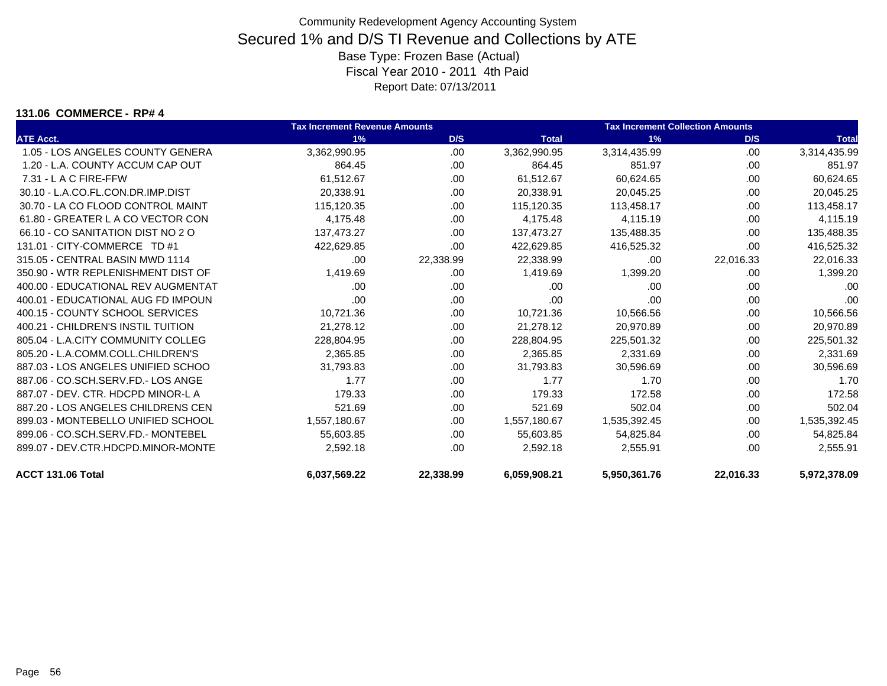#### **131.06 COMMERCE - RP# 4**

|                                    | <b>Tax Increment Revenue Amounts</b> |           | <b>Tax Increment Collection Amounts</b> |              |           |              |
|------------------------------------|--------------------------------------|-----------|-----------------------------------------|--------------|-----------|--------------|
| <b>ATE Acct.</b>                   | 1%                                   | D/S       | <b>Total</b>                            | 1%           | D/S       | <b>Total</b> |
| 1.05 - LOS ANGELES COUNTY GENERA   | 3,362,990.95                         | .00       | 3,362,990.95                            | 3,314,435.99 | .00       | 3,314,435.99 |
| 1.20 - L.A. COUNTY ACCUM CAP OUT   | 864.45                               | .00       | 864.45                                  | 851.97       | .00.      | 851.97       |
| 7.31 - L A C FIRE-FFW              | 61,512.67                            | .00.      | 61,512.67                               | 60,624.65    | .00       | 60,624.65    |
| 30.10 - L.A.CO.FL.CON.DR.IMP.DIST  | 20,338.91                            | .00       | 20,338.91                               | 20,045.25    | .00       | 20,045.25    |
| 30.70 - LA CO FLOOD CONTROL MAINT  | 115,120.35                           | .00.      | 115,120.35                              | 113,458.17   | .00.      | 113,458.17   |
| 61.80 - GREATER L A CO VECTOR CON  | 4,175.48                             | .00       | 4,175.48                                | 4,115.19     | .00       | 4,115.19     |
| 66.10 - CO SANITATION DIST NO 2 O  | 137.473.27                           | .00       | 137.473.27                              | 135,488.35   | .00       | 135,488.35   |
| 131.01 - CITY-COMMERCE TD #1       | 422,629.85                           | .00       | 422,629.85                              | 416,525.32   | .00       | 416,525.32   |
| 315.05 - CENTRAL BASIN MWD 1114    | .00                                  | 22,338.99 | 22,338.99                               | .00          | 22,016.33 | 22,016.33    |
| 350.90 - WTR REPLENISHMENT DIST OF | 1,419.69                             | .00.      | 1,419.69                                | 1,399.20     | .00.      | 1,399.20     |
| 400.00 - EDUCATIONAL REV AUGMENTAT | .00                                  | .00       | .00                                     | .00          | .00       | .00          |
| 400.01 - EDUCATIONAL AUG FD IMPOUN | .00                                  | .00       | .00                                     | .00          | .00.      | .00          |
| 400.15 - COUNTY SCHOOL SERVICES    | 10,721.36                            | .00.      | 10,721.36                               | 10,566.56    | .00.      | 10,566.56    |
| 400.21 - CHILDREN'S INSTIL TUITION | 21,278.12                            | .00       | 21,278.12                               | 20,970.89    | .00       | 20,970.89    |
| 805.04 - L.A.CITY COMMUNITY COLLEG | 228,804.95                           | .00       | 228.804.95                              | 225,501.32   | .00       | 225,501.32   |
| 805.20 - L.A.COMM.COLL.CHILDREN'S  | 2,365.85                             | .00       | 2,365.85                                | 2,331.69     | .00.      | 2,331.69     |
| 887.03 - LOS ANGELES UNIFIED SCHOO | 31,793.83                            | .00.      | 31,793.83                               | 30,596.69    | .00       | 30,596.69    |
| 887.06 - CO.SCH.SERV.FD.- LOS ANGE | 1.77                                 | .00.      | 1.77                                    | 1.70         | .00       | 1.70         |
| 887.07 - DEV. CTR. HDCPD MINOR-L A | 179.33                               | .00       | 179.33                                  | 172.58       | .00       | 172.58       |
| 887.20 - LOS ANGELES CHILDRENS CEN | 521.69                               | .00.      | 521.69                                  | 502.04       | .00       | 502.04       |
| 899.03 - MONTEBELLO UNIFIED SCHOOL | 1,557,180.67                         | .00       | 1,557,180.67                            | 1,535,392.45 | .00.      | 1,535,392.45 |
| 899.06 - CO.SCH.SERV.FD.- MONTEBEL | 55,603.85                            | .00       | 55,603.85                               | 54,825.84    | .00       | 54,825.84    |
| 899.07 - DEV.CTR.HDCPD.MINOR-MONTE | 2,592.18                             | .00       | 2,592.18                                | 2,555.91     | .00       | 2,555.91     |
| ACCT 131.06 Total                  | 6,037,569.22                         | 22,338.99 | 6,059,908.21                            | 5,950,361.76 | 22,016.33 | 5,972,378.09 |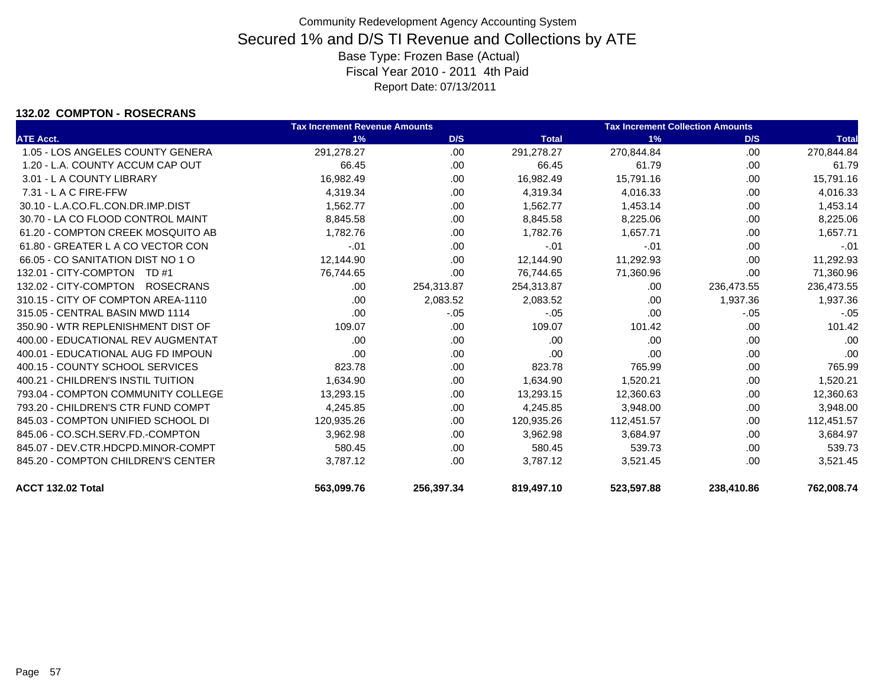### **132.02 COMPTON - ROSECRANS**

|                                    | <b>Tax Increment Revenue Amounts</b> |            |              | <b>Tax Increment Collection Amounts</b> |            |              |
|------------------------------------|--------------------------------------|------------|--------------|-----------------------------------------|------------|--------------|
| <b>ATE Acct.</b>                   | 1%                                   | D/S        | <b>Total</b> | 1%                                      | D/S        | <b>Total</b> |
| 1.05 - LOS ANGELES COUNTY GENERA   | 291,278.27                           | .00        | 291,278.27   | 270,844.84                              | .00.       | 270,844.84   |
| 1.20 - L.A. COUNTY ACCUM CAP OUT   | 66.45                                | .00.       | 66.45        | 61.79                                   | .00        | 61.79        |
| 3.01 - L A COUNTY LIBRARY          | 16,982.49                            | .00.       | 16,982.49    | 15,791.16                               | .00        | 15,791.16    |
| $7.31 - L$ A C FIRE-FFW            | 4,319.34                             | .00.       | 4,319.34     | 4,016.33                                | .00        | 4,016.33     |
| 30.10 - L.A.CO.FL.CON.DR.IMP.DIST  | 1,562.77                             | .00.       | 1,562.77     | 1,453.14                                | .00        | 1,453.14     |
| 30.70 - LA CO FLOOD CONTROL MAINT  | 8,845.58                             | .00.       | 8,845.58     | 8,225.06                                | .00        | 8,225.06     |
| 61.20 - COMPTON CREEK MOSQUITO AB  | 1.782.76                             | .00        | 1.782.76     | 1.657.71                                | .00        | 1,657.71     |
| 61.80 - GREATER L A CO VECTOR CON  | $-.01$                               | .00.       | $-.01$       | $-.01$                                  | .00        | $-.01$       |
| 66.05 - CO SANITATION DIST NO 1 O  | 12,144.90                            | .00        | 12,144.90    | 11,292.93                               | .00        | 11,292.93    |
| 132.01 - CITY-COMPTON TD #1        | 76,744.65                            | .00        | 76,744.65    | 71,360.96                               | .00        | 71,360.96    |
| 132.02 - CITY-COMPTON ROSECRANS    | .00.                                 | 254,313.87 | 254,313.87   | .00                                     | 236,473.55 | 236,473.55   |
| 310.15 - CITY OF COMPTON AREA-1110 | .00.                                 | 2,083.52   | 2,083.52     | .00                                     | 1,937.36   | 1,937.36     |
| 315.05 - CENTRAL BASIN MWD 1114    | .00                                  | $-.05$     | $-.05$       | .00                                     | $-.05$     | $-.05$       |
| 350.90 - WTR REPLENISHMENT DIST OF | 109.07                               | .00.       | 109.07       | 101.42                                  | .00        | 101.42       |
| 400.00 - EDUCATIONAL REV AUGMENTAT | .00                                  | .00.       | .00          | .00                                     | .00        | .00          |
| 400.01 - EDUCATIONAL AUG FD IMPOUN | .00                                  | .00        | .00          | .00                                     | .00        | .00          |
| 400.15 - COUNTY SCHOOL SERVICES    | 823.78                               | .00        | 823.78       | 765.99                                  | .00        | 765.99       |
| 400.21 - CHILDREN'S INSTIL TUITION | 1,634.90                             | .00.       | 1,634.90     | 1,520.21                                | .00        | 1,520.21     |
| 793.04 - COMPTON COMMUNITY COLLEGE | 13,293.15                            | .00        | 13,293.15    | 12,360.63                               | .00        | 12,360.63    |
| 793.20 - CHILDREN'S CTR FUND COMPT | 4,245.85                             | .00        | 4,245.85     | 3,948.00                                | .00        | 3,948.00     |
| 845.03 - COMPTON UNIFIED SCHOOL DI | 120,935.26                           | .00.       | 120,935.26   | 112,451.57                              | .00        | 112,451.57   |
| 845.06 - CO.SCH.SERV.FD.-COMPTON   | 3,962.98                             | .00.       | 3,962.98     | 3,684.97                                | .00        | 3,684.97     |
| 845.07 - DEV.CTR.HDCPD.MINOR-COMPT | 580.45                               | .00        | 580.45       | 539.73                                  | .00        | 539.73       |
| 845.20 - COMPTON CHILDREN'S CENTER | 3,787.12                             | .00.       | 3,787.12     | 3,521.45                                | .00        | 3,521.45     |
| ACCT 132.02 Total                  | 563,099.76                           | 256,397.34 | 819,497.10   | 523,597.88                              | 238,410.86 | 762,008.74   |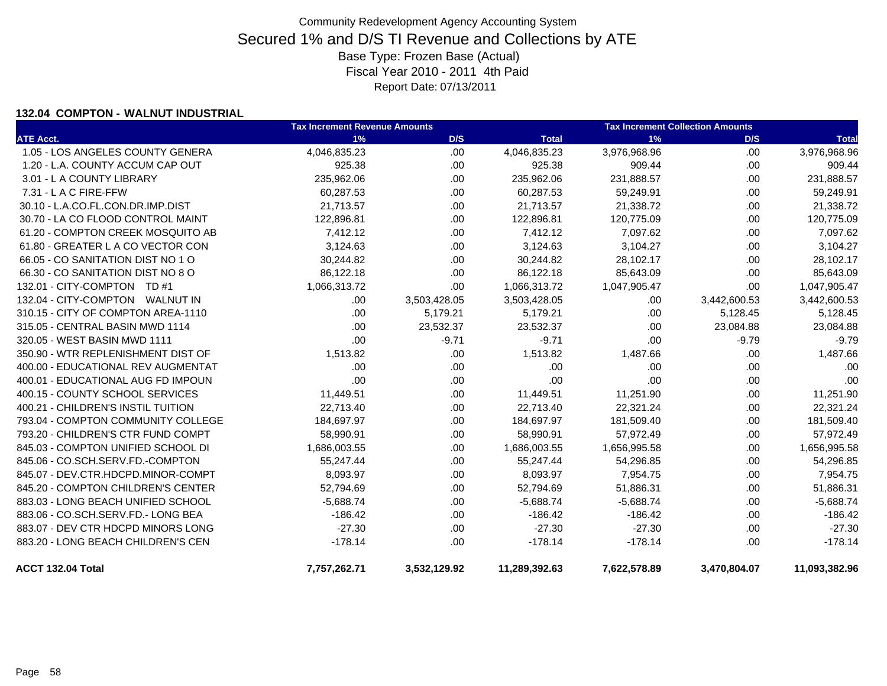### **132.04 COMPTON - WALNUT INDUSTRIAL**

|                                    | <b>Tax Increment Revenue Amounts</b> |              |               | <b>Tax Increment Collection Amounts</b> |              |               |
|------------------------------------|--------------------------------------|--------------|---------------|-----------------------------------------|--------------|---------------|
| <b>ATE Acct.</b>                   | 1%                                   | D/S          | <b>Total</b>  | 1%                                      | D/S          | <b>Total</b>  |
| 1.05 - LOS ANGELES COUNTY GENERA   | 4,046,835.23                         | .00          | 4,046,835.23  | 3,976,968.96                            | .00.         | 3,976,968.96  |
| 1.20 - L.A. COUNTY ACCUM CAP OUT   | 925.38                               | .00.         | 925.38        | 909.44                                  | .00.         | 909.44        |
| 3.01 - L A COUNTY LIBRARY          | 235,962.06                           | .00.         | 235,962.06    | 231,888.57                              | .00.         | 231,888.57    |
| 7.31 - L A C FIRE-FFW              | 60,287.53                            | .00.         | 60,287.53     | 59,249.91                               | .00.         | 59,249.91     |
| 30.10 - L.A.CO.FL.CON.DR.IMP.DIST  | 21,713.57                            | .00          | 21,713.57     | 21,338.72                               | .00.         | 21,338.72     |
| 30.70 - LA CO FLOOD CONTROL MAINT  | 122,896.81                           | .00.         | 122,896.81    | 120,775.09                              | .00.         | 120,775.09    |
| 61.20 - COMPTON CREEK MOSQUITO AB  | 7,412.12                             | .00          | 7,412.12      | 7,097.62                                | .00.         | 7,097.62      |
| 61.80 - GREATER L A CO VECTOR CON  | 3,124.63                             | .00.         | 3,124.63      | 3,104.27                                | .00.         | 3,104.27      |
| 66.05 - CO SANITATION DIST NO 1 O  | 30,244.82                            | .00.         | 30,244.82     | 28,102.17                               | .00.         | 28,102.17     |
| 66.30 - CO SANITATION DIST NO 8 O  | 86,122.18                            | .00.         | 86,122.18     | 85,643.09                               | .00.         | 85,643.09     |
| 132.01 - CITY-COMPTON TD #1        | 1,066,313.72                         | .00.         | 1,066,313.72  | 1,047,905.47                            | .00          | 1,047,905.47  |
| 132.04 - CITY-COMPTON WALNUT IN    | .00                                  | 3,503,428.05 | 3,503,428.05  | .00                                     | 3,442,600.53 | 3,442,600.53  |
| 310.15 - CITY OF COMPTON AREA-1110 | .00                                  | 5,179.21     | 5,179.21      | .00                                     | 5,128.45     | 5,128.45      |
| 315.05 - CENTRAL BASIN MWD 1114    | .00                                  | 23,532.37    | 23,532.37     | .00                                     | 23,084.88    | 23,084.88     |
| 320.05 - WEST BASIN MWD 1111       | .00.                                 | $-9.71$      | $-9.71$       | .00                                     | $-9.79$      | $-9.79$       |
| 350.90 - WTR REPLENISHMENT DIST OF | 1,513.82                             | .00          | 1,513.82      | 1,487.66                                | .00.         | 1,487.66      |
| 400.00 - EDUCATIONAL REV AUGMENTAT | .00                                  | .00          | .00           | .00                                     | .00          | .00           |
| 400.01 - EDUCATIONAL AUG FD IMPOUN | .00                                  | .00.         | .00           | .00                                     | .00.         | .00           |
| 400.15 - COUNTY SCHOOL SERVICES    | 11,449.51                            | .00.         | 11,449.51     | 11,251.90                               | .00.         | 11,251.90     |
| 400.21 - CHILDREN'S INSTIL TUITION | 22,713.40                            | .00          | 22,713.40     | 22,321.24                               | .00.         | 22,321.24     |
| 793.04 - COMPTON COMMUNITY COLLEGE | 184,697.97                           | .00          | 184,697.97    | 181,509.40                              | .00.         | 181,509.40    |
| 793.20 - CHILDREN'S CTR FUND COMPT | 58,990.91                            | .00.         | 58,990.91     | 57,972.49                               | .00.         | 57,972.49     |
| 845.03 - COMPTON UNIFIED SCHOOL DI | 1,686,003.55                         | .00.         | 1,686,003.55  | 1,656,995.58                            | .00.         | 1,656,995.58  |
| 845.06 - CO.SCH.SERV.FD.-COMPTON   | 55,247.44                            | .00.         | 55,247.44     | 54,296.85                               | .00.         | 54,296.85     |
| 845.07 - DEV.CTR.HDCPD.MINOR-COMPT | 8,093.97                             | .00.         | 8,093.97      | 7,954.75                                | .00.         | 7,954.75      |
| 845.20 - COMPTON CHILDREN'S CENTER | 52,794.69                            | .00.         | 52,794.69     | 51,886.31                               | .00.         | 51,886.31     |
| 883.03 - LONG BEACH UNIFIED SCHOOL | $-5,688.74$                          | .00.         | $-5,688.74$   | $-5,688.74$                             | .00.         | $-5,688.74$   |
| 883.06 - CO.SCH.SERV.FD.- LONG BEA | $-186.42$                            | .00.         | $-186.42$     | $-186.42$                               | .00.         | $-186.42$     |
| 883.07 - DEV CTR HDCPD MINORS LONG | $-27.30$                             | .00.         | $-27.30$      | $-27.30$                                | .00.         | $-27.30$      |
| 883.20 - LONG BEACH CHILDREN'S CEN | $-178.14$                            | .00          | $-178.14$     | $-178.14$                               | .00          | $-178.14$     |
| ACCT 132.04 Total                  | 7,757,262.71                         | 3,532,129.92 | 11,289,392.63 | 7,622,578.89                            | 3,470,804.07 | 11,093,382.96 |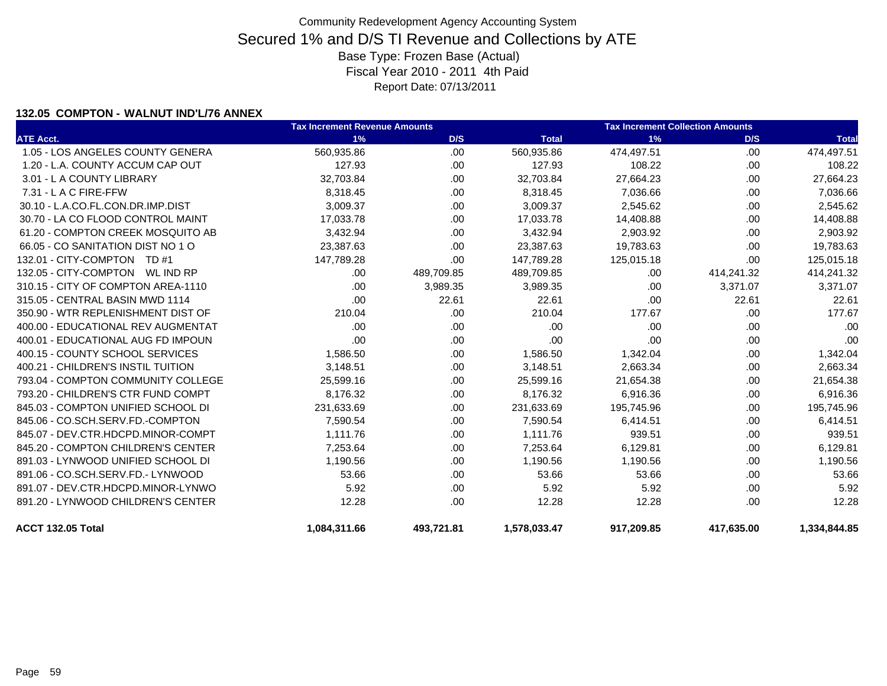### **132.05 COMPTON - WALNUT IND'L/76 ANNEX**

|                                    | <b>Tax Increment Revenue Amounts</b> |            | <b>Tax Increment Collection Amounts</b> |            |            |              |
|------------------------------------|--------------------------------------|------------|-----------------------------------------|------------|------------|--------------|
| <b>ATE Acct.</b>                   | 1%                                   | D/S        | <b>Total</b>                            | 1%         | D/S        | <b>Total</b> |
| 1.05 - LOS ANGELES COUNTY GENERA   | 560,935.86                           | .00        | 560,935.86                              | 474,497.51 | .00        | 474,497.51   |
| 1.20 - L.A. COUNTY ACCUM CAP OUT   | 127.93                               | .00        | 127.93                                  | 108.22     | .00.       | 108.22       |
| 3.01 - L A COUNTY LIBRARY          | 32,703.84                            | .00        | 32,703.84                               | 27,664.23  | .00.       | 27,664.23    |
| $7.31 - L$ A C FIRE-FFW            | 8,318.45                             | .00.       | 8,318.45                                | 7,036.66   | .00.       | 7,036.66     |
| 30.10 - L.A.CO.FL.CON.DR.IMP.DIST  | 3,009.37                             | .00        | 3,009.37                                | 2,545.62   | .00        | 2,545.62     |
| 30.70 - LA CO FLOOD CONTROL MAINT  | 17,033.78                            | .00        | 17,033.78                               | 14,408.88  | .00.       | 14,408.88    |
| 61.20 - COMPTON CREEK MOSQUITO AB  | 3,432.94                             | .00        | 3,432.94                                | 2,903.92   | .00.       | 2,903.92     |
| 66.05 - CO SANITATION DIST NO 1 O  | 23,387.63                            | .00        | 23,387.63                               | 19,783.63  | .00.       | 19,783.63    |
| 132.01 - CITY-COMPTON TD #1        | 147,789.28                           | .00        | 147,789.28                              | 125,015.18 | .00        | 125,015.18   |
| 132.05 - CITY-COMPTON WL IND RP    | .00.                                 | 489,709.85 | 489,709.85                              | .00        | 414,241.32 | 414,241.32   |
| 310.15 - CITY OF COMPTON AREA-1110 | .00                                  | 3,989.35   | 3,989.35                                | .00        | 3,371.07   | 3,371.07     |
| 315.05 - CENTRAL BASIN MWD 1114    | .00                                  | 22.61      | 22.61                                   | .00        | 22.61      | 22.61        |
| 350.90 - WTR REPLENISHMENT DIST OF | 210.04                               | .00        | 210.04                                  | 177.67     | .00.       | 177.67       |
| 400.00 - EDUCATIONAL REV AUGMENTAT | .00                                  | .00        | .00                                     | .00        | .00.       | .00          |
| 400.01 - EDUCATIONAL AUG FD IMPOUN | .00                                  | .00        | .00                                     | .00        | .00.       | .00          |
| 400.15 - COUNTY SCHOOL SERVICES    | 1,586.50                             | .00        | 1,586.50                                | 1,342.04   | .00.       | 1,342.04     |
| 400.21 - CHILDREN'S INSTIL TUITION | 3,148.51                             | .00        | 3,148.51                                | 2,663.34   | .00        | 2,663.34     |
| 793.04 - COMPTON COMMUNITY COLLEGE | 25,599.16                            | .00        | 25,599.16                               | 21,654.38  | .00.       | 21,654.38    |
| 793.20 - CHILDREN'S CTR FUND COMPT | 8.176.32                             | .00        | 8,176.32                                | 6,916.36   | .00.       | 6,916.36     |
| 845.03 - COMPTON UNIFIED SCHOOL DI | 231.633.69                           | .00        | 231,633.69                              | 195,745.96 | .00.       | 195,745.96   |
| 845.06 - CO.SCH.SERV.FD.-COMPTON   | 7,590.54                             | .00        | 7,590.54                                | 6,414.51   | .00        | 6,414.51     |
| 845.07 - DEV.CTR.HDCPD.MINOR-COMPT | 1,111.76                             | .00        | 1,111.76                                | 939.51     | .00.       | 939.51       |
| 845.20 - COMPTON CHILDREN'S CENTER | 7,253.64                             | .00        | 7,253.64                                | 6,129.81   | .00.       | 6,129.81     |
| 891.03 - LYNWOOD UNIFIED SCHOOL DI | 1,190.56                             | .00        | 1,190.56                                | 1,190.56   | .00.       | 1,190.56     |
| 891.06 - CO.SCH.SERV.FD.- LYNWOOD  | 53.66                                | .00        | 53.66                                   | 53.66      | .00.       | 53.66        |
| 891.07 - DEV.CTR.HDCPD.MINOR-LYNWO | 5.92                                 | .00        | 5.92                                    | 5.92       | .00.       | 5.92         |
| 891.20 - LYNWOOD CHILDREN'S CENTER | 12.28                                | .00        | 12.28                                   | 12.28      | .00.       | 12.28        |
| ACCT 132.05 Total                  | 1,084,311.66                         | 493,721.81 | 1,578,033.47                            | 917,209.85 | 417,635.00 | 1,334,844.85 |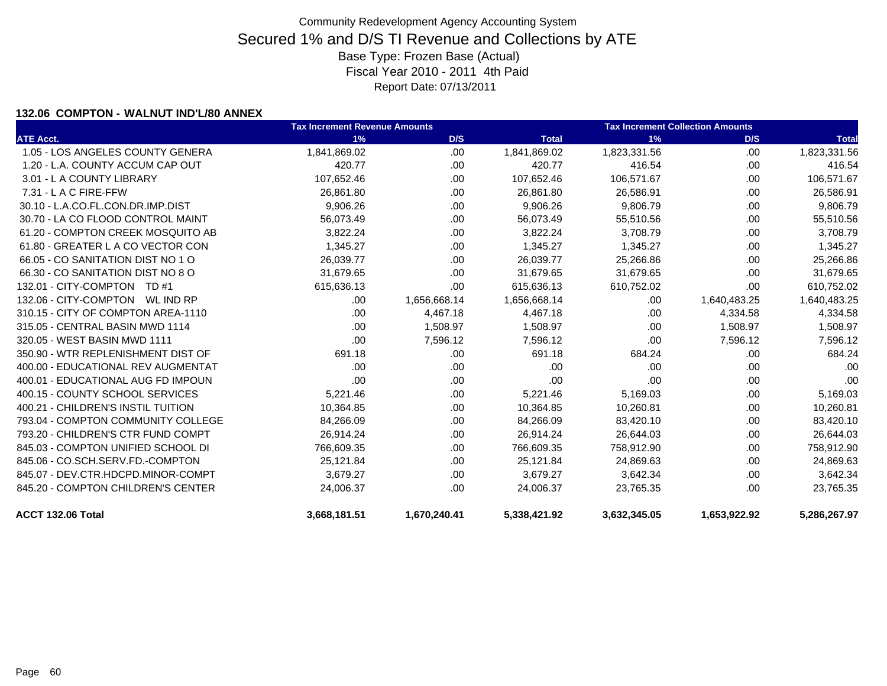### **132.06 COMPTON - WALNUT IND'L/80 ANNEX**

|                                    | <b>Tax Increment Revenue Amounts</b> |              |              | <b>Tax Increment Collection Amounts</b> |              |              |  |
|------------------------------------|--------------------------------------|--------------|--------------|-----------------------------------------|--------------|--------------|--|
| <b>ATE Acct.</b>                   | 1%                                   | D/S          | <b>Total</b> | 1%                                      | D/S          | <b>Total</b> |  |
| 1.05 - LOS ANGELES COUNTY GENERA   | 1,841,869.02                         | .00          | 1,841,869.02 | 1,823,331.56                            | .00.         | 1,823,331.56 |  |
| 1.20 - L.A. COUNTY ACCUM CAP OUT   | 420.77                               | .00          | 420.77       | 416.54                                  | .00.         | 416.54       |  |
| 3.01 - L A COUNTY LIBRARY          | 107,652.46                           | .00          | 107,652.46   | 106,571.67                              | .00.         | 106,571.67   |  |
| 7.31 - L A C FIRE-FFW              | 26,861.80                            | .00          | 26,861.80    | 26,586.91                               | .00          | 26,586.91    |  |
| 30.10 - L.A.CO.FL.CON.DR.IMP.DIST  | 9,906.26                             | .00          | 9,906.26     | 9,806.79                                | .00.         | 9,806.79     |  |
| 30.70 - LA CO FLOOD CONTROL MAINT  | 56,073.49                            | .00          | 56,073.49    | 55,510.56                               | .00.         | 55,510.56    |  |
| 61.20 - COMPTON CREEK MOSQUITO AB  | 3,822.24                             | .00          | 3,822.24     | 3,708.79                                | .00.         | 3,708.79     |  |
| 61.80 - GREATER L A CO VECTOR CON  | 1,345.27                             | .00          | 1.345.27     | 1,345.27                                | .00.         | 1,345.27     |  |
| 66.05 - CO SANITATION DIST NO 1 O  | 26,039.77                            | .00          | 26,039.77    | 25,266.86                               | .00.         | 25,266.86    |  |
| 66.30 - CO SANITATION DIST NO 8 O  | 31,679.65                            | .00          | 31,679.65    | 31,679.65                               | .00.         | 31,679.65    |  |
| 132.01 - CITY-COMPTON TD #1        | 615,636.13                           | .00          | 615,636.13   | 610,752.02                              | .00.         | 610,752.02   |  |
|                                    | .00.                                 | 1,656,668.14 | 1,656,668.14 | .00                                     | 1,640,483.25 | 1,640,483.25 |  |
| 310.15 - CITY OF COMPTON AREA-1110 | .00.                                 | 4,467.18     | 4,467.18     | .00                                     | 4,334.58     | 4,334.58     |  |
| 315.05 - CENTRAL BASIN MWD 1114    | .00.                                 | 1,508.97     | 1,508.97     | .00                                     | 1,508.97     | 1,508.97     |  |
| 320.05 - WEST BASIN MWD 1111       | .00                                  | 7,596.12     | 7,596.12     | .00                                     | 7,596.12     | 7,596.12     |  |
| 350.90 - WTR REPLENISHMENT DIST OF | 691.18                               | .00          | 691.18       | 684.24                                  | .00          | 684.24       |  |
| 400.00 - EDUCATIONAL REV AUGMENTAT | .00                                  | .00          | .00          | .00                                     | .00          | .00          |  |
| 400.01 - EDUCATIONAL AUG FD IMPOUN | .00                                  | .00          | .00          | .00                                     | .00.         | .00          |  |
| 400.15 - COUNTY SCHOOL SERVICES    | 5,221.46                             | .00          | 5,221.46     | 5,169.03                                | .00.         | 5,169.03     |  |
| 400.21 - CHILDREN'S INSTIL TUITION | 10,364.85                            | .00          | 10,364.85    | 10,260.81                               | .00.         | 10,260.81    |  |
| 793.04 - COMPTON COMMUNITY COLLEGE | 84,266.09                            | .00          | 84,266.09    | 83,420.10                               | .00.         | 83,420.10    |  |
| 793.20 - CHILDREN'S CTR FUND COMPT | 26,914.24                            | .00          | 26,914.24    | 26,644.03                               | .00.         | 26,644.03    |  |
| 845.03 - COMPTON UNIFIED SCHOOL DI | 766,609.35                           | .00          | 766,609.35   | 758,912.90                              | .00.         | 758,912.90   |  |
| 845.06 - CO.SCH.SERV.FD.-COMPTON   | 25,121.84                            | .00          | 25,121.84    | 24,869.63                               | .00.         | 24,869.63    |  |
| 845.07 - DEV.CTR.HDCPD.MINOR-COMPT | 3,679.27                             | .00          | 3,679.27     | 3,642.34                                | .00          | 3,642.34     |  |
| 845.20 - COMPTON CHILDREN'S CENTER | 24.006.37                            | .00          | 24,006.37    | 23,765.35                               | .00          | 23,765.35    |  |
| ACCT 132.06 Total                  | 3,668,181.51                         | 1,670,240.41 | 5,338,421.92 | 3,632,345.05                            | 1,653,922.92 | 5,286,267.97 |  |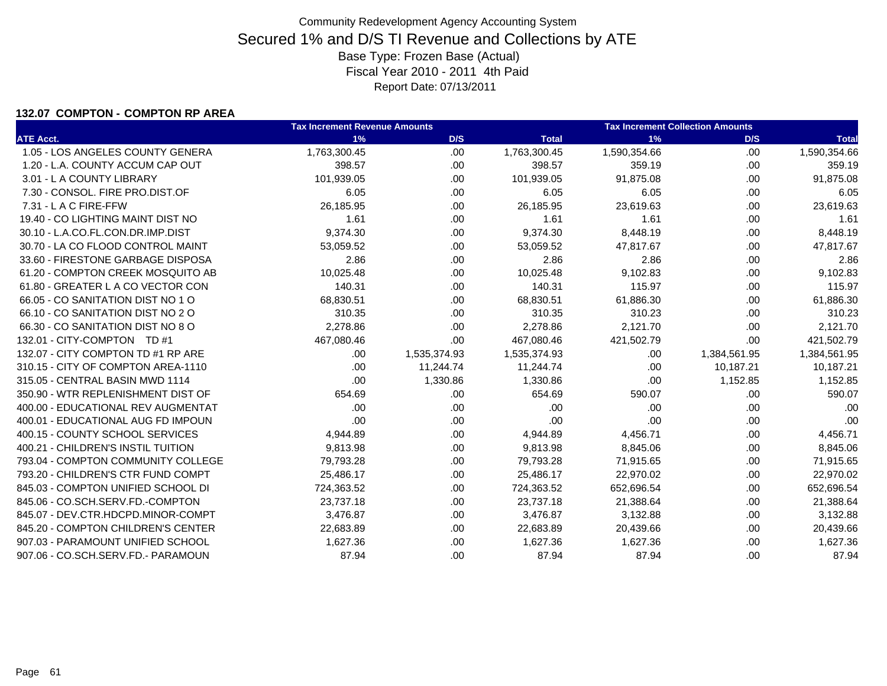### **132.07 COMPTON - COMPTON RP AREA**

|                                    | <b>Tax Increment Revenue Amounts</b> |              |              | <b>Tax Increment Collection Amounts</b> |              |              |
|------------------------------------|--------------------------------------|--------------|--------------|-----------------------------------------|--------------|--------------|
| <b>ATE Acct.</b>                   | 1%                                   | D/S          | <b>Total</b> | 1%                                      | D/S          | <b>Total</b> |
| 1.05 - LOS ANGELES COUNTY GENERA   | 1,763,300.45                         | .00          | 1,763,300.45 | 1,590,354.66                            | .00          | 1,590,354.66 |
| 1.20 - L.A. COUNTY ACCUM CAP OUT   | 398.57                               | .00          | 398.57       | 359.19                                  | .00          | 359.19       |
| 3.01 - L A COUNTY LIBRARY          | 101,939.05                           | .00          | 101,939.05   | 91,875.08                               | .00          | 91,875.08    |
| 7.30 - CONSOL, FIRE PRO.DIST.OF    | 6.05                                 | .00          | 6.05         | 6.05                                    | .00          | 6.05         |
| 7.31 - L A C FIRE-FFW              | 26,185.95                            | .00          | 26,185.95    | 23,619.63                               | .00          | 23,619.63    |
| 19.40 - CO LIGHTING MAINT DIST NO  | 1.61                                 | .00          | 1.61         | 1.61                                    | .00          | 1.61         |
| 30.10 - L.A.CO.FL.CON.DR.IMP.DIST  | 9,374.30                             | .00          | 9,374.30     | 8,448.19                                | .00          | 8,448.19     |
| 30.70 - LA CO FLOOD CONTROL MAINT  | 53,059.52                            | .00          | 53,059.52    | 47,817.67                               | .00          | 47,817.67    |
| 33.60 - FIRESTONE GARBAGE DISPOSA  | 2.86                                 | .00          | 2.86         | 2.86                                    | .00          | 2.86         |
| 61.20 - COMPTON CREEK MOSQUITO AB  | 10,025.48                            | .00          | 10,025.48    | 9,102.83                                | .00          | 9,102.83     |
| 61.80 - GREATER L A CO VECTOR CON  | 140.31                               | .00          | 140.31       | 115.97                                  | .00          | 115.97       |
| 66.05 - CO SANITATION DIST NO 1 O  | 68,830.51                            | .00          | 68,830.51    | 61,886.30                               | .00          | 61,886.30    |
| 66.10 - CO SANITATION DIST NO 2 O  | 310.35                               | .00          | 310.35       | 310.23                                  | .00          | 310.23       |
| 66.30 - CO SANITATION DIST NO 8 O  | 2,278.86                             | .00          | 2,278.86     | 2,121.70                                | .00          | 2,121.70     |
| 132.01 - CITY-COMPTON TD #1        | 467,080.46                           | .00          | 467,080.46   | 421,502.79                              | .00          | 421,502.79   |
| 132.07 - CITY COMPTON TD #1 RP ARE | .00                                  | 1,535,374.93 | 1,535,374.93 | .00                                     | 1,384,561.95 | 1,384,561.95 |
| 310.15 - CITY OF COMPTON AREA-1110 | .00                                  | 11,244.74    | 11,244.74    | .00                                     | 10,187.21    | 10,187.21    |
| 315.05 - CENTRAL BASIN MWD 1114    | .00                                  | 1,330.86     | 1,330.86     | .00                                     | 1,152.85     | 1,152.85     |
| 350.90 - WTR REPLENISHMENT DIST OF | 654.69                               | .00          | 654.69       | 590.07                                  | .00          | 590.07       |
| 400.00 - EDUCATIONAL REV AUGMENTAT | .00                                  | .00          | .00          | .00                                     | .00          | .00          |
| 400.01 - EDUCATIONAL AUG FD IMPOUN | .00                                  | .00          | .00          | .00                                     | .00          | .00.         |
| 400.15 - COUNTY SCHOOL SERVICES    | 4,944.89                             | .00          | 4,944.89     | 4,456.71                                | .00          | 4,456.71     |
| 400.21 - CHILDREN'S INSTIL TUITION | 9,813.98                             | .00          | 9,813.98     | 8,845.06                                | .00          | 8,845.06     |
| 793.04 - COMPTON COMMUNITY COLLEGE | 79,793.28                            | .00          | 79,793.28    | 71,915.65                               | .00          | 71,915.65    |
| 793.20 - CHILDREN'S CTR FUND COMPT | 25,486.17                            | .00          | 25,486.17    | 22,970.02                               | .00          | 22,970.02    |
| 845.03 - COMPTON UNIFIED SCHOOL DI | 724,363.52                           | .00          | 724,363.52   | 652,696.54                              | .00          | 652,696.54   |
| 845.06 - CO.SCH.SERV.FD.-COMPTON   | 23,737.18                            | .00          | 23,737.18    | 21,388.64                               | .00          | 21,388.64    |
| 845.07 - DEV.CTR.HDCPD.MINOR-COMPT | 3,476.87                             | .00          | 3,476.87     | 3,132.88                                | .00          | 3,132.88     |
| 845.20 - COMPTON CHILDREN'S CENTER | 22,683.89                            | .00          | 22,683.89    | 20,439.66                               | .00          | 20,439.66    |
| 907.03 - PARAMOUNT UNIFIED SCHOOL  | 1,627.36                             | .00          | 1,627.36     | 1,627.36                                | .00.         | 1,627.36     |
| 907.06 - CO.SCH.SERV.FD.- PARAMOUN | 87.94                                | .00          | 87.94        | 87.94                                   | .00          | 87.94        |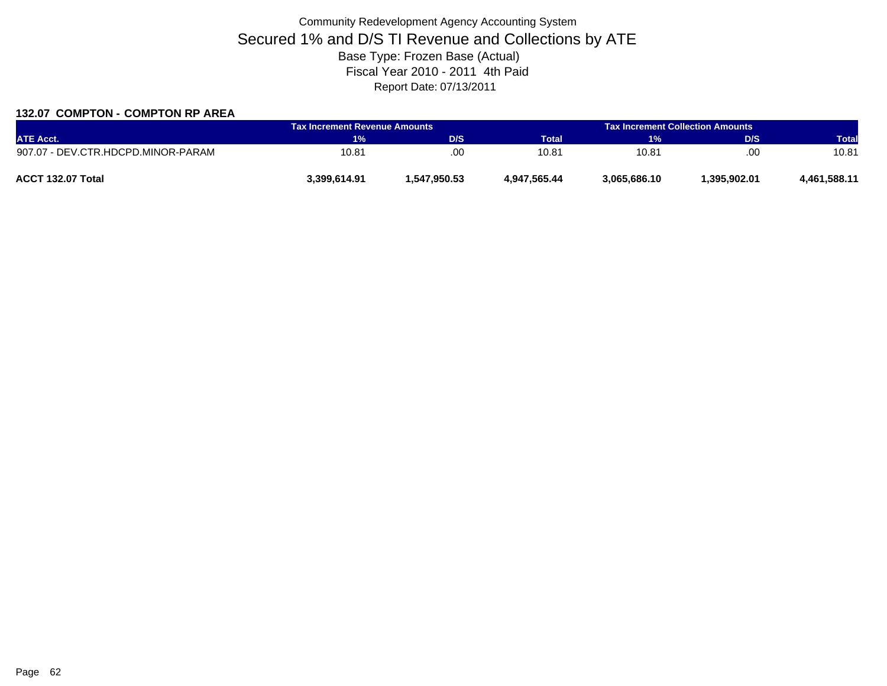### **132.07 COMPTON - COMPTON RP AREA**

| <b>ATE Acct.</b>                   | <b>Tax Increment Revenue Amounts</b> |              | <b>Tax Increment Collection Amounts A</b> |              |              |              |
|------------------------------------|--------------------------------------|--------------|-------------------------------------------|--------------|--------------|--------------|
|                                    | 1%                                   | D/S          | Total                                     | 1%           | D/S          | <b>Total</b> |
| 907.07 - DEV.CTR.HDCPD.MINOR-PARAM | 10.81                                | .00          | 10.81                                     | 10.81        | .00          | 10.81        |
| ACCT 132.07 Total                  | 3.399.614.91                         | 1,547,950.53 | 4.947.565.44                              | 3,065,686.10 | 1.395.902.01 | 4,461,588.11 |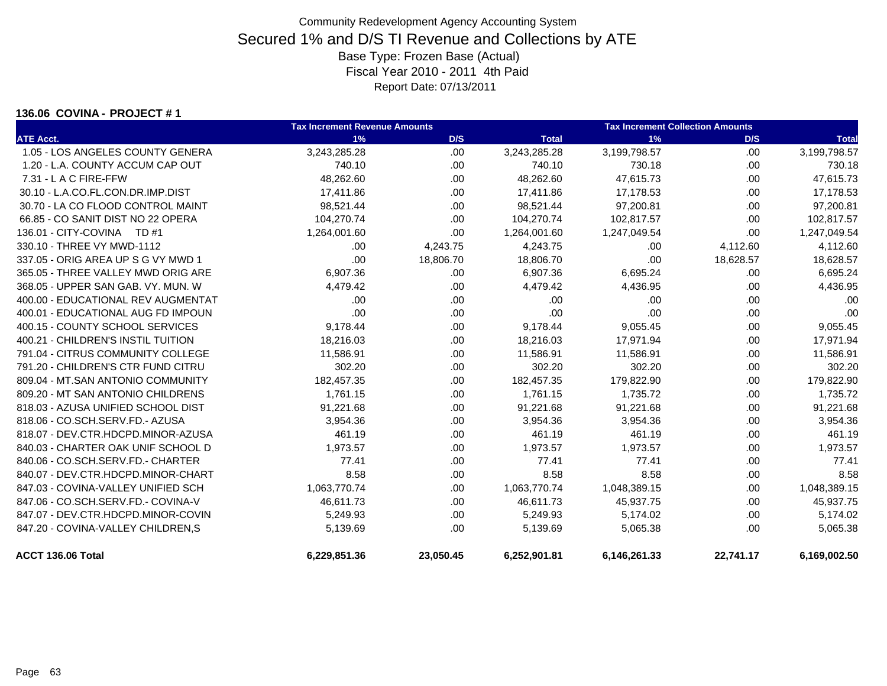### **136.06 COVINA - PROJECT # 1**

|                                    | <b>Tax Increment Revenue Amounts</b> |           | <b>Tax Increment Collection Amounts</b> |              |           |              |
|------------------------------------|--------------------------------------|-----------|-----------------------------------------|--------------|-----------|--------------|
| <b>ATE Acct.</b>                   | 1%                                   | D/S       | <b>Total</b>                            | 1%           | D/S       | <b>Total</b> |
| 1.05 - LOS ANGELES COUNTY GENERA   | 3,243,285.28                         | .00       | 3,243,285.28                            | 3,199,798.57 | .00.      | 3,199,798.57 |
| 1.20 - L.A. COUNTY ACCUM CAP OUT   | 740.10                               | .00       | 740.10                                  | 730.18       | .00.      | 730.18       |
| 7.31 - L A C FIRE-FFW              | 48,262.60                            | .00.      | 48,262.60                               | 47,615.73    | .00.      | 47,615.73    |
| 30.10 - L.A.CO.FL.CON.DR.IMP.DIST  | 17,411.86                            | .00       | 17,411.86                               | 17,178.53    | .00       | 17,178.53    |
| 30.70 - LA CO FLOOD CONTROL MAINT  | 98,521.44                            | .00       | 98,521.44                               | 97,200.81    | .00.      | 97,200.81    |
| 66.85 - CO SANIT DIST NO 22 OPERA  | 104,270.74                           | .00       | 104,270.74                              | 102,817.57   | .00       | 102,817.57   |
| 136.01 - CITY-COVINA TD #1         | 1,264,001.60                         | .00       | 1,264,001.60                            | 1,247,049.54 | .00.      | 1,247,049.54 |
| 330.10 - THREE VY MWD-1112         | .00                                  | 4,243.75  | 4,243.75                                | .00.         | 4,112.60  | 4,112.60     |
| 337.05 - ORIG AREA UP S G VY MWD 1 | .00                                  | 18,806.70 | 18,806.70                               | .00          | 18,628.57 | 18,628.57    |
| 365.05 - THREE VALLEY MWD ORIG ARE | 6,907.36                             | .00.      | 6,907.36                                | 6,695.24     | .00.      | 6,695.24     |
| 368.05 - UPPER SAN GAB. VY. MUN. W | 4,479.42                             | .00.      | 4,479.42                                | 4,436.95     | .00       | 4,436.95     |
| 400.00 - EDUCATIONAL REV AUGMENTAT | .00                                  | .00.      | .00                                     | .00          | .00.      | .00          |
| 400.01 - EDUCATIONAL AUG FD IMPOUN | .00                                  | .00.      | .00                                     | .00          | .00.      | .00          |
| 400.15 - COUNTY SCHOOL SERVICES    | 9,178.44                             | .00.      | 9,178.44                                | 9,055.45     | .00.      | 9,055.45     |
| 400.21 - CHILDREN'S INSTIL TUITION | 18,216.03                            | .00.      | 18,216.03                               | 17,971.94    | .00       | 17,971.94    |
| 791.04 - CITRUS COMMUNITY COLLEGE  | 11,586.91                            | .00       | 11,586.91                               | 11,586.91    | .00.      | 11,586.91    |
| 791.20 - CHILDREN'S CTR FUND CITRU | 302.20                               | .00       | 302.20                                  | 302.20       | .00       | 302.20       |
| 809.04 - MT.SAN ANTONIO COMMUNITY  | 182,457.35                           | .00.      | 182,457.35                              | 179,822.90   | .00.      | 179,822.90   |
| 809.20 - MT SAN ANTONIO CHILDRENS  | 1,761.15                             | .00       | 1,761.15                                | 1,735.72     | .00.      | 1,735.72     |
| 818.03 - AZUSA UNIFIED SCHOOL DIST | 91,221.68                            | .00       | 91,221.68                               | 91,221.68    | .00.      | 91,221.68    |
| 818.06 - CO.SCH.SERV.FD.- AZUSA    | 3,954.36                             | .00       | 3,954.36                                | 3,954.36     | .00.      | 3,954.36     |
| 818.07 - DEV.CTR.HDCPD.MINOR-AZUSA | 461.19                               | .00.      | 461.19                                  | 461.19       | .00.      | 461.19       |
| 840.03 - CHARTER OAK UNIF SCHOOL D | 1,973.57                             | .00       | 1,973.57                                | 1,973.57     | .00       | 1,973.57     |
| 840.06 - CO.SCH.SERV.FD.- CHARTER  | 77.41                                | .00.      | 77.41                                   | 77.41        | .00.      | 77.41        |
| 840.07 - DEV.CTR.HDCPD.MINOR-CHART | 8.58                                 | .00.      | 8.58                                    | 8.58         | .00.      | 8.58         |
| 847.03 - COVINA-VALLEY UNIFIED SCH | 1,063,770.74                         | .00.      | 1,063,770.74                            | 1,048,389.15 | .00.      | 1,048,389.15 |
| 847.06 - CO.SCH.SERV.FD.- COVINA-V | 46,611.73                            | .00.      | 46,611.73                               | 45,937.75    | .00.      | 45,937.75    |
| 847.07 - DEV.CTR.HDCPD.MINOR-COVIN | 5,249.93                             | .00.      | 5,249.93                                | 5,174.02     | .00.      | 5,174.02     |
| 847.20 - COVINA-VALLEY CHILDREN,S  | 5,139.69                             | .00.      | 5,139.69                                | 5,065.38     | .00.      | 5,065.38     |
| ACCT 136.06 Total                  | 6,229,851.36                         | 23,050.45 | 6,252,901.81                            | 6,146,261.33 | 22,741.17 | 6,169,002.50 |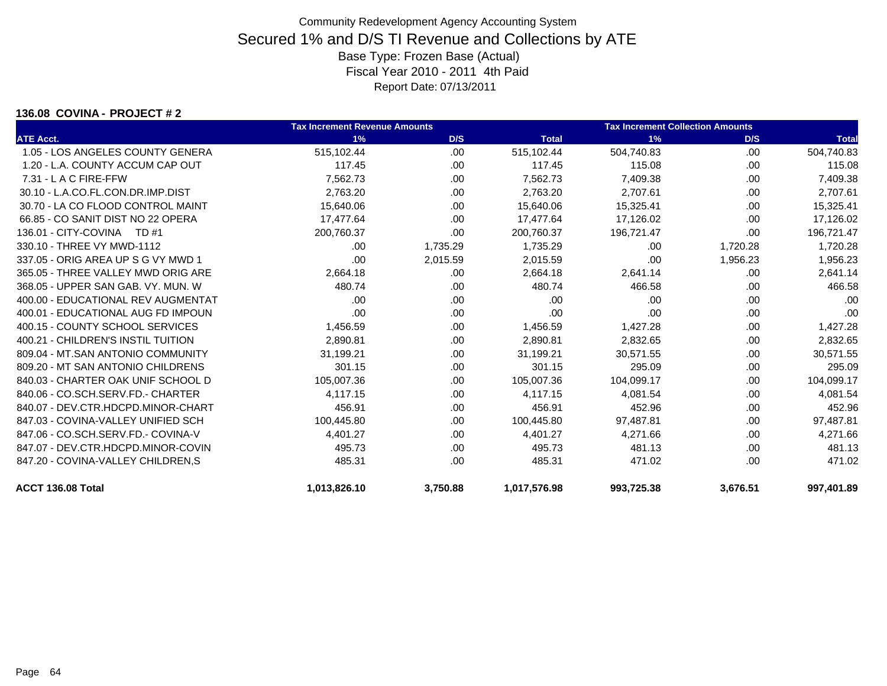### **136.08 COVINA - PROJECT # 2**

|                                    | <b>Tax Increment Revenue Amounts</b> |          |              | <b>Tax Increment Collection Amounts</b> |          |              |
|------------------------------------|--------------------------------------|----------|--------------|-----------------------------------------|----------|--------------|
| <b>ATE Acct.</b>                   | 1%                                   | D/S      | <b>Total</b> | 1%                                      | D/S      | <b>Total</b> |
| 1.05 - LOS ANGELES COUNTY GENERA   | 515,102.44                           | .00      | 515,102.44   | 504,740.83                              | .00.     | 504,740.83   |
| 1.20 - L.A. COUNTY ACCUM CAP OUT   | 117.45                               | .00.     | 117.45       | 115.08                                  | .00      | 115.08       |
| $7.31 - L$ A C FIRE-FFW            | 7,562.73                             | .00      | 7,562.73     | 7,409.38                                | .00      | 7,409.38     |
| 30.10 - L.A.CO.FL.CON.DR.IMP.DIST  | 2,763.20                             | .00      | 2,763.20     | 2,707.61                                | .00      | 2,707.61     |
| 30.70 - LA CO FLOOD CONTROL MAINT  | 15,640.06                            | .00      | 15,640.06    | 15,325.41                               | .00      | 15,325.41    |
| 66.85 - CO SANIT DIST NO 22 OPERA  | 17,477.64                            | .00      | 17,477.64    | 17,126.02                               | .00      | 17,126.02    |
| 136.01 - CITY-COVINA TD #1         | 200.760.37                           | .00      | 200,760.37   | 196.721.47                              | .00      | 196,721.47   |
| 330.10 - THREE VY MWD-1112         | .00                                  | 1,735.29 | 1,735.29     | .00                                     | 1,720.28 | 1,720.28     |
| 337.05 - ORIG AREA UP S G VY MWD 1 | .00                                  | 2,015.59 | 2,015.59     | .00                                     | 1,956.23 | 1,956.23     |
| 365.05 - THREE VALLEY MWD ORIG ARE | 2,664.18                             | .00.     | 2,664.18     | 2,641.14                                | .00      | 2,641.14     |
| 368.05 - UPPER SAN GAB, VY, MUN, W | 480.74                               | .00.     | 480.74       | 466.58                                  | .00.     | 466.58       |
| 400.00 - EDUCATIONAL REV AUGMENTAT | .00                                  | .00.     | .00          | .00                                     | .00      | .00          |
| 400.01 - EDUCATIONAL AUG FD IMPOUN | .00                                  | .00.     | .00          | .00                                     | .00      | .00          |
| 400.15 - COUNTY SCHOOL SERVICES    | 1,456.59                             | .00      | 1,456.59     | 1,427.28                                | .00      | 1,427.28     |
| 400.21 - CHILDREN'S INSTIL TUITION | 2,890.81                             | .00.     | 2,890.81     | 2,832.65                                | .00      | 2,832.65     |
| 809.04 - MT.SAN ANTONIO COMMUNITY  | 31,199.21                            | .00      | 31,199.21    | 30,571.55                               | .00      | 30,571.55    |
| 809.20 - MT SAN ANTONIO CHILDRENS  | 301.15                               | .00      | 301.15       | 295.09                                  | .00      | 295.09       |
| 840.03 - CHARTER OAK UNIF SCHOOL D | 105,007.36                           | .00.     | 105,007.36   | 104,099.17                              | .00      | 104,099.17   |
| 840.06 - CO.SCH.SERV.FD.- CHARTER  | 4,117.15                             | .00      | 4,117.15     | 4,081.54                                | .00      | 4,081.54     |
| 840.07 - DEV.CTR.HDCPD.MINOR-CHART | 456.91                               | .00.     | 456.91       | 452.96                                  | .00      | 452.96       |
| 847.03 - COVINA-VALLEY UNIFIED SCH | 100,445.80                           | .00.     | 100,445.80   | 97,487.81                               | .00      | 97,487.81    |
| 847.06 - CO.SCH.SERV.FD.- COVINA-V | 4,401.27                             | .00      | 4,401.27     | 4,271.66                                | .00      | 4,271.66     |
| 847.07 - DEV.CTR.HDCPD.MINOR-COVIN | 495.73                               | .00      | 495.73       | 481.13                                  | .00      | 481.13       |
| 847.20 - COVINA-VALLEY CHILDREN, S | 485.31                               | .00      | 485.31       | 471.02                                  | .00.     | 471.02       |
| ACCT 136.08 Total                  | 1,013,826.10                         | 3,750.88 | 1,017,576.98 | 993,725.38                              | 3,676.51 | 997,401.89   |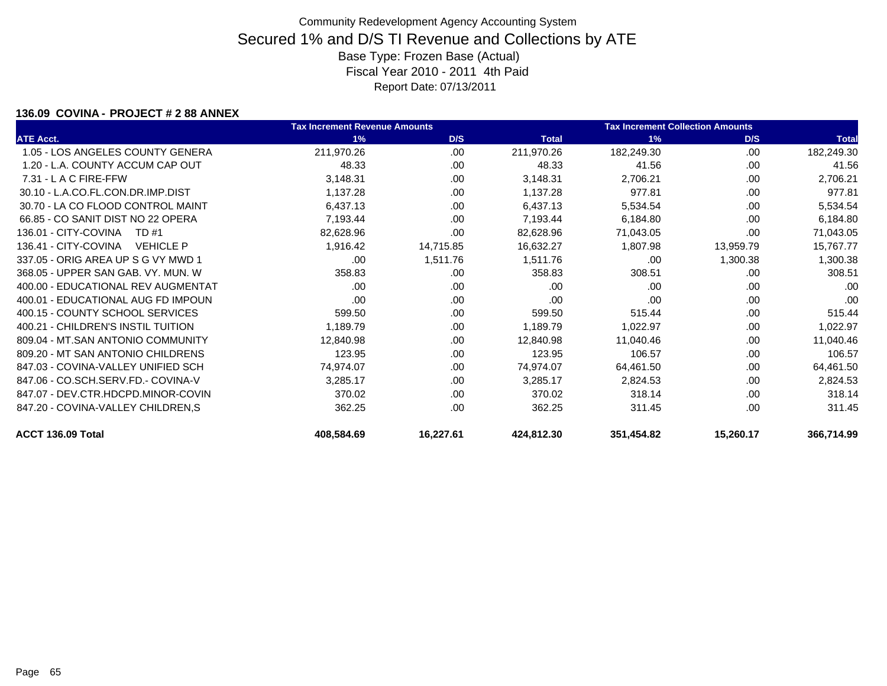### **136.09 COVINA - PROJECT # 2 88 ANNEX**

|                                          | <b>Tax Increment Revenue Amounts</b> |           |              | <b>Tax Increment Collection Amounts</b> |           |              |
|------------------------------------------|--------------------------------------|-----------|--------------|-----------------------------------------|-----------|--------------|
| <b>ATE Acct.</b>                         | 1%                                   | D/S       | <b>Total</b> | 1%                                      | D/S       | <b>Total</b> |
| 1.05 - LOS ANGELES COUNTY GENERA         | 211,970.26                           | .00       | 211,970.26   | 182,249.30                              | .00.      | 182,249.30   |
| 1.20 - L.A. COUNTY ACCUM CAP OUT         | 48.33                                | .00       | 48.33        | 41.56                                   | .00       | 41.56        |
| $7.31 - L$ A C FIRE-FFW                  | 3,148.31                             | .00.      | 3,148.31     | 2,706.21                                | .00       | 2,706.21     |
| 30.10 - L.A.CO.FL.CON.DR.IMP.DIST        | 1,137.28                             | .00       | 1,137.28     | 977.81                                  | .00       | 977.81       |
| 30.70 - LA CO FLOOD CONTROL MAINT        | 6,437.13                             | .00.      | 6,437.13     | 5,534.54                                | .00       | 5,534.54     |
| 66.85 - CO SANIT DIST NO 22 OPERA        | 7,193.44                             | .00       | 7,193.44     | 6,184.80                                | .00       | 6,184.80     |
| 136.01 - CITY-COVINA<br>TD #1            | 82,628.96                            | .00.      | 82,628.96    | 71,043.05                               | .00.      | 71,043.05    |
| 136.41 - CITY-COVINA<br><b>VEHICLE P</b> | 1,916.42                             | 14,715.85 | 16,632.27    | 1,807.98                                | 13,959.79 | 15,767.77    |
| 337.05 - ORIG AREA UP S G VY MWD 1       | .00                                  | 1,511.76  | 1,511.76     | .00                                     | 1,300.38  | 1,300.38     |
| 368.05 - UPPER SAN GAB, VY, MUN, W       | 358.83                               | .00       | 358.83       | 308.51                                  | .00       | 308.51       |
| 400.00 - EDUCATIONAL REV AUGMENTAT       | .00.                                 | .00       | .00          | .00                                     | .00       | .00          |
| 400.01 - EDUCATIONAL AUG FD IMPOUN       | .00                                  | .00       | .00          | .00                                     | .00       | .00          |
| 400.15 - COUNTY SCHOOL SERVICES          | 599.50                               | .00       | 599.50       | 515.44                                  | .00       | 515.44       |
| 400.21 - CHILDREN'S INSTIL TUITION       | 1,189.79                             | .00       | 1,189.79     | 1,022.97                                | .00       | 1,022.97     |
| 809.04 - MT.SAN ANTONIO COMMUNITY        | 12,840.98                            | .00.      | 12,840.98    | 11,040.46                               | .00       | 11,040.46    |
| 809.20 - MT SAN ANTONIO CHILDRENS        | 123.95                               | .00       | 123.95       | 106.57                                  | .00       | 106.57       |
| 847.03 - COVINA-VALLEY UNIFIED SCH       | 74,974.07                            | .00.      | 74,974.07    | 64,461.50                               | .00       | 64,461.50    |
| 847.06 - CO.SCH.SERV.FD.- COVINA-V       | 3,285.17                             | .00       | 3,285.17     | 2,824.53                                | .00       | 2,824.53     |
| 847.07 - DEV.CTR.HDCPD.MINOR-COVIN       | 370.02                               | .00       | 370.02       | 318.14                                  | .00.      | 318.14       |
| 847.20 - COVINA-VALLEY CHILDREN, S       | 362.25                               | .00.      | 362.25       | 311.45                                  | .00       | 311.45       |
| ACCT 136.09 Total                        | 408,584.69                           | 16,227.61 | 424,812.30   | 351,454.82                              | 15,260.17 | 366,714.99   |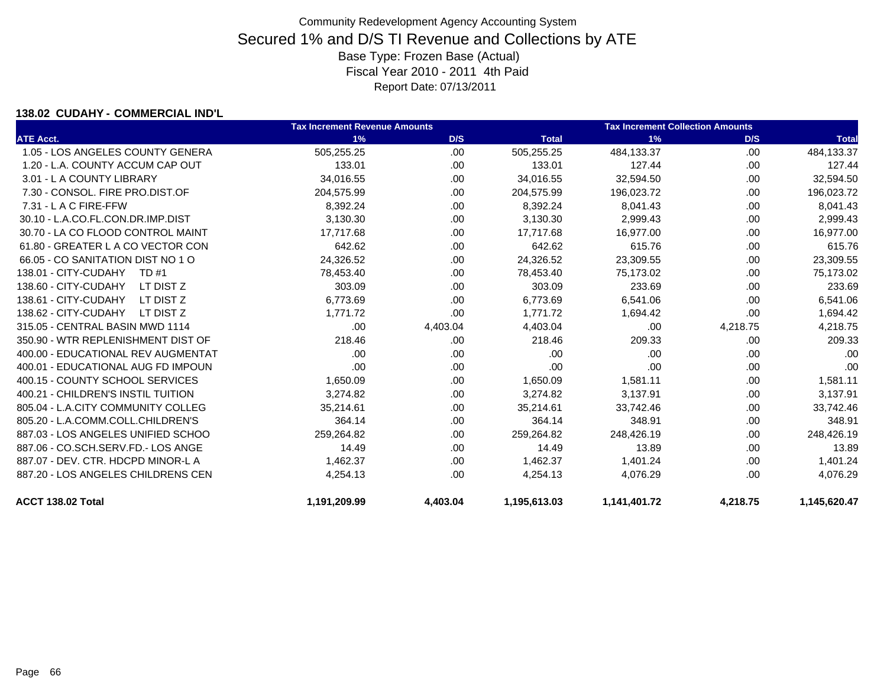### **138.02 CUDAHY - COMMERCIAL IND'L**

|                                    | <b>Tax Increment Revenue Amounts</b> |          |              | <b>Tax Increment Collection Amounts</b> |          |              |
|------------------------------------|--------------------------------------|----------|--------------|-----------------------------------------|----------|--------------|
| <b>ATE Acct.</b>                   | 1%                                   | D/S      | <b>Total</b> | 1%                                      | D/S      | <b>Total</b> |
| 1.05 - LOS ANGELES COUNTY GENERA   | 505,255.25                           | .00      | 505,255.25   | 484,133.37                              | .00      | 484,133.37   |
| 1.20 - L.A. COUNTY ACCUM CAP OUT   | 133.01                               | .00      | 133.01       | 127.44                                  | .00      | 127.44       |
| 3.01 - L A COUNTY LIBRARY          | 34,016.55                            | .00.     | 34,016.55    | 32,594.50                               | .00      | 32,594.50    |
| 7.30 - CONSOL. FIRE PRO.DIST.OF    | 204,575.99                           | .00      | 204,575.99   | 196,023.72                              | .00      | 196,023.72   |
| $7.31 - L$ A C FIRE-FFW            | 8,392.24                             | .00.     | 8,392.24     | 8,041.43                                | .00      | 8,041.43     |
| 30.10 - L.A.CO.FL.CON.DR.IMP.DIST  | 3,130.30                             | .00      | 3,130.30     | 2,999.43                                | .00      | 2,999.43     |
| 30.70 - LA CO FLOOD CONTROL MAINT  | 17,717.68                            | .00      | 17,717.68    | 16,977.00                               | .00      | 16,977.00    |
| 61.80 - GREATER L A CO VECTOR CON  | 642.62                               | .00.     | 642.62       | 615.76                                  | .00.     | 615.76       |
| 66.05 - CO SANITATION DIST NO 1 O  | 24,326.52                            | .00      | 24,326.52    | 23,309.55                               | .00      | 23,309.55    |
| 138.01 - CITY-CUDAHY<br>TD #1      | 78,453.40                            | .00.     | 78,453.40    | 75,173.02                               | .00      | 75,173.02    |
| 138.60 - CITY-CUDAHY<br>LT DIST Z  | 303.09                               | .00.     | 303.09       | 233.69                                  | .00      | 233.69       |
| 138.61 - CITY-CUDAHY<br>LT DIST Z  | 6,773.69                             | .00.     | 6,773.69     | 6,541.06                                | .00      | 6,541.06     |
| 138.62 - CITY-CUDAHY<br>LT DIST Z  | 1.771.72                             | .00.     | 1,771.72     | 1,694.42                                | .00.     | 1,694.42     |
| 315.05 - CENTRAL BASIN MWD 1114    | .00.                                 | 4,403.04 | 4,403.04     | .00                                     | 4,218.75 | 4,218.75     |
| 350.90 - WTR REPLENISHMENT DIST OF | 218.46                               | .00      | 218.46       | 209.33                                  | .00      | 209.33       |
| 400.00 - EDUCATIONAL REV AUGMENTAT | .00                                  | .00.     | .00          | .00                                     | .00      | .00          |
| 400.01 - EDUCATIONAL AUG FD IMPOUN | .00                                  | .00      | .00          | .00                                     | .00      | .00          |
| 400.15 - COUNTY SCHOOL SERVICES    | 1,650.09                             | .00      | 1,650.09     | 1,581.11                                | .00      | 1,581.11     |
| 400.21 - CHILDREN'S INSTIL TUITION | 3,274.82                             | .00.     | 3,274.82     | 3,137.91                                | .00      | 3,137.91     |
| 805.04 - L.A.CITY COMMUNITY COLLEG | 35,214.61                            | .00.     | 35,214.61    | 33,742.46                               | .00      | 33,742.46    |
| 805.20 - L.A.COMM.COLL.CHILDREN'S  | 364.14                               | .00.     | 364.14       | 348.91                                  | .00      | 348.91       |
| 887.03 - LOS ANGELES UNIFIED SCHOO | 259,264.82                           | .00      | 259,264.82   | 248,426.19                              | .00      | 248,426.19   |
| 887.06 - CO.SCH.SERV.FD.- LOS ANGE | 14.49                                | .00      | 14.49        | 13.89                                   | .00      | 13.89        |
| 887.07 - DEV. CTR. HDCPD MINOR-L A | 1,462.37                             | .00.     | 1,462.37     | 1,401.24                                | .00      | 1,401.24     |
| 887.20 - LOS ANGELES CHILDRENS CEN | 4,254.13                             | .00      | 4,254.13     | 4,076.29                                | .00      | 4,076.29     |
| ACCT 138.02 Total                  | 1,191,209.99                         | 4,403.04 | 1,195,613.03 | 1,141,401.72                            | 4,218.75 | 1,145,620.47 |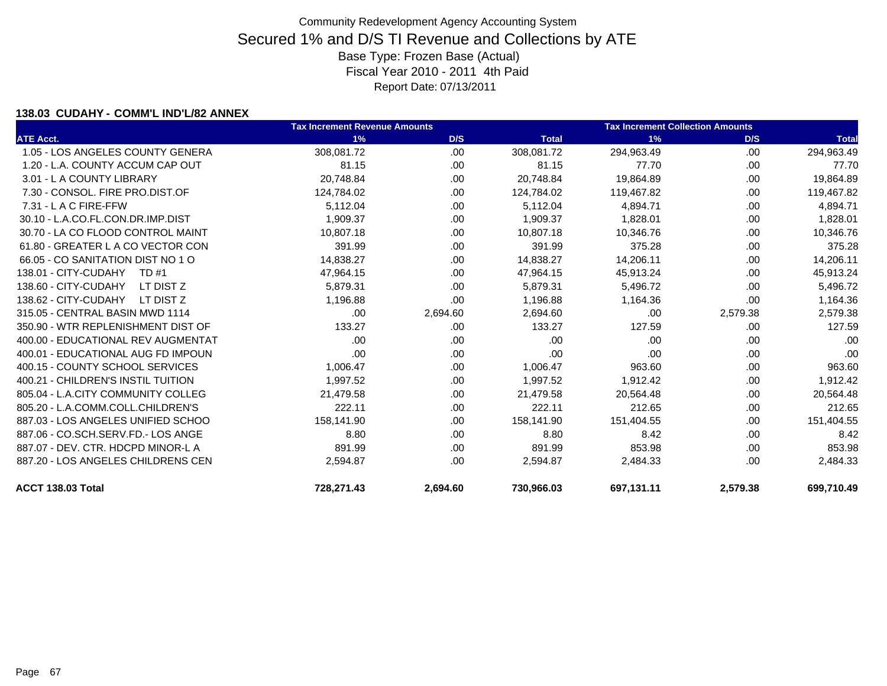### **138.03 CUDAHY - COMM'L IND'L/82 ANNEX**

|                                    | <b>Tax Increment Revenue Amounts</b> |          |              | <b>Tax Increment Collection Amounts</b> |          |              |
|------------------------------------|--------------------------------------|----------|--------------|-----------------------------------------|----------|--------------|
| <b>ATE Acct.</b>                   | 1%                                   | D/S      | <b>Total</b> | 1%                                      | D/S      | <b>Total</b> |
| 1.05 - LOS ANGELES COUNTY GENERA   | 308.081.72                           | .00      | 308,081.72   | 294,963.49                              | .00.     | 294,963.49   |
| 1.20 - L.A. COUNTY ACCUM CAP OUT   | 81.15                                | .00      | 81.15        | 77.70                                   | .00.     | 77.70        |
| 3.01 - L A COUNTY LIBRARY          | 20,748.84                            | .00      | 20,748.84    | 19,864.89                               | .00.     | 19,864.89    |
| 7.30 - CONSOL, FIRE PRO.DIST.OF    | 124,784.02                           | .00      | 124,784.02   | 119,467.82                              | .00      | 119,467.82   |
| $7.31 - L$ A C FIRE-FFW            | 5,112.04                             | .00      | 5,112.04     | 4,894.71                                | .00.     | 4,894.71     |
| 30.10 - L.A.CO.FL.CON.DR.IMP.DIST  | 1,909.37                             | .00      | 1,909.37     | 1,828.01                                | .00.     | 1,828.01     |
| 30.70 - LA CO FLOOD CONTROL MAINT  | 10,807.18                            | .00      | 10,807.18    | 10,346.76                               | .00      | 10,346.76    |
| 61.80 - GREATER L A CO VECTOR CON  | 391.99                               | .00      | 391.99       | 375.28                                  | .00.     | 375.28       |
| 66.05 - CO SANITATION DIST NO 1 O  | 14,838.27                            | .00      | 14,838.27    | 14,206.11                               | .00      | 14,206.11    |
| 138.01 - CITY-CUDAHY<br>TD #1      | 47,964.15                            | .00      | 47,964.15    | 45,913.24                               | .00      | 45,913.24    |
| 138.60 - CITY-CUDAHY<br>LT DIST Z  | 5,879.31                             | .00      | 5,879.31     | 5,496.72                                | .00.     | 5,496.72     |
| 138.62 - CITY-CUDAHY<br>LT DIST Z  | 1,196.88                             | .00.     | 1,196.88     | 1,164.36                                | .00.     | 1,164.36     |
| 315.05 - CENTRAL BASIN MWD 1114    | .00                                  | 2,694.60 | 2,694.60     | .00                                     | 2,579.38 | 2,579.38     |
| 350.90 - WTR REPLENISHMENT DIST OF | 133.27                               | .00      | 133.27       | 127.59                                  | .00      | 127.59       |
| 400.00 - EDUCATIONAL REV AUGMENTAT | .00                                  | .00      | .00          | .00                                     | .00      | .00          |
| 400.01 - EDUCATIONAL AUG FD IMPOUN | .00                                  | .00      | .00          | .00                                     | .00      | .00          |
| 400.15 - COUNTY SCHOOL SERVICES    | 1,006.47                             | .00      | 1,006.47     | 963.60                                  | .00.     | 963.60       |
| 400.21 - CHILDREN'S INSTIL TUITION | 1,997.52                             | .00      | 1,997.52     | 1,912.42                                | .00.     | 1,912.42     |
| 805.04 - L.A.CITY COMMUNITY COLLEG | 21,479.58                            | .00      | 21,479.58    | 20,564.48                               | .00.     | 20,564.48    |
| 805.20 - L.A.COMM.COLL.CHILDREN'S  | 222.11                               | .00      | 222.11       | 212.65                                  | .00.     | 212.65       |
| 887.03 - LOS ANGELES UNIFIED SCHOO | 158,141.90                           | .00      | 158,141.90   | 151,404.55                              | .00      | 151,404.55   |
| 887.06 - CO.SCH.SERV.FD.- LOS ANGE | 8.80                                 | .00      | 8.80         | 8.42                                    | .00      | 8.42         |
| 887.07 - DEV. CTR. HDCPD MINOR-L A | 891.99                               | .00      | 891.99       | 853.98                                  | .00      | 853.98       |
| 887.20 - LOS ANGELES CHILDRENS CEN | 2,594.87                             | .00      | 2,594.87     | 2,484.33                                | .00      | 2,484.33     |
| ACCT 138.03 Total                  | 728,271.43                           | 2,694.60 | 730,966.03   | 697,131.11                              | 2,579.38 | 699,710.49   |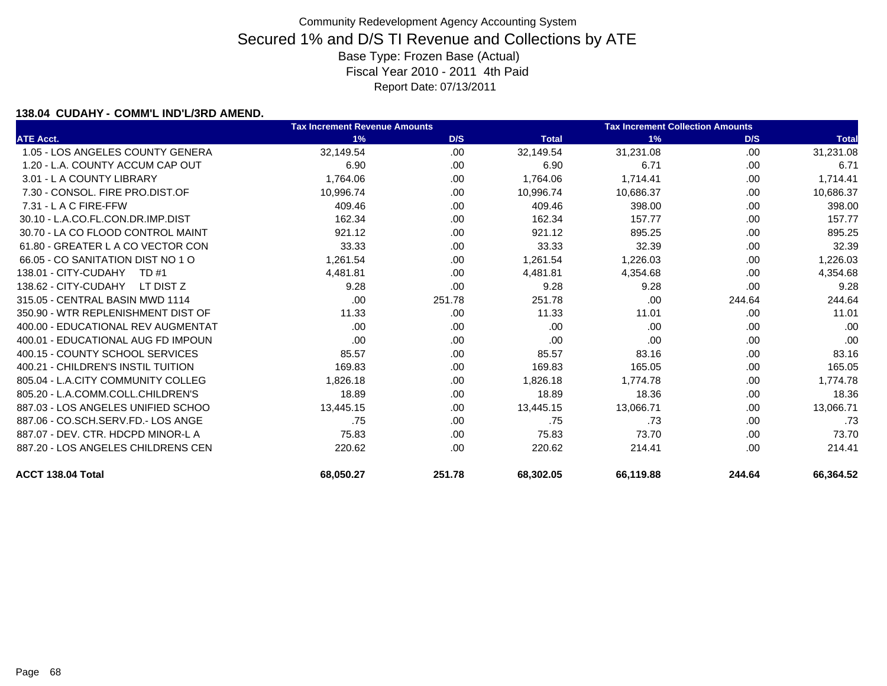### **138.04 CUDAHY - COMM'L IND'L/3RD AMEND.**

|                                    | <b>Tax Increment Revenue Amounts</b> |        |              | <b>Tax Increment Collection Amounts</b> |        |              |
|------------------------------------|--------------------------------------|--------|--------------|-----------------------------------------|--------|--------------|
| <b>ATE Acct.</b>                   | 1%                                   | D/S    | <b>Total</b> | 1%                                      | D/S    | <b>Total</b> |
| 1.05 - LOS ANGELES COUNTY GENERA   | 32,149.54                            | .00    | 32,149.54    | 31,231.08                               | .00    | 31,231.08    |
| 1.20 - L.A. COUNTY ACCUM CAP OUT   | 6.90                                 | .00    | 6.90         | 6.71                                    | .00    | 6.71         |
| 3.01 - L A COUNTY LIBRARY          | 1.764.06                             | .00    | 1,764.06     | 1,714.41                                | .00    | 1,714.41     |
| 7.30 - CONSOL, FIRE PRO.DIST.OF    | 10,996.74                            | .00    | 10.996.74    | 10.686.37                               | .00    | 10,686.37    |
| $7.31 - L$ A C FIRE-FFW            | 409.46                               | .00    | 409.46       | 398.00                                  | .00    | 398.00       |
| 30.10 - L.A.CO.FL.CON.DR.IMP.DIST  | 162.34                               | .00    | 162.34       | 157.77                                  | .00    | 157.77       |
| 30.70 - LA CO FLOOD CONTROL MAINT  | 921.12                               | .00    | 921.12       | 895.25                                  | .00    | 895.25       |
| 61.80 - GREATER L A CO VECTOR CON  | 33.33                                | .00    | 33.33        | 32.39                                   | .00    | 32.39        |
| 66.05 - CO SANITATION DIST NO 1 O  | 1,261.54                             | .00    | 1,261.54     | 1,226.03                                | .00    | 1,226.03     |
| 138.01 - CITY-CUDAHY<br>TD #1      | 4,481.81                             | .00    | 4,481.81     | 4,354.68                                | .00    | 4,354.68     |
| 138.62 - CITY-CUDAHY<br>LT DIST Z  | 9.28                                 | .00    | 9.28         | 9.28                                    | .00    | 9.28         |
| 315.05 - CENTRAL BASIN MWD 1114    | .00                                  | 251.78 | 251.78       | .00                                     | 244.64 | 244.64       |
| 350.90 - WTR REPLENISHMENT DIST OF | 11.33                                | .00    | 11.33        | 11.01                                   | .00    | 11.01        |
| 400.00 - EDUCATIONAL REV AUGMENTAT | .00.                                 | .00    | .00          | .00                                     | .00    | .00          |
| 400.01 - EDUCATIONAL AUG FD IMPOUN | .00.                                 | .00    | .00          | .00                                     | .00    | .00          |
| 400.15 - COUNTY SCHOOL SERVICES    | 85.57                                | .00    | 85.57        | 83.16                                   | .00    | 83.16        |
| 400.21 - CHILDREN'S INSTIL TUITION | 169.83                               | .00.   | 169.83       | 165.05                                  | .00    | 165.05       |
| 805.04 - L.A.CITY COMMUNITY COLLEG | 1,826.18                             | .00    | 1,826.18     | 1,774.78                                | .00    | 1,774.78     |
| 805.20 - L.A.COMM.COLL.CHILDREN'S  | 18.89                                | .00    | 18.89        | 18.36                                   | .00    | 18.36        |
| 887.03 - LOS ANGELES UNIFIED SCHOO | 13,445.15                            | .00    | 13,445.15    | 13,066.71                               | .00    | 13,066.71    |
| 887.06 - CO.SCH.SERV.FD.- LOS ANGE | .75                                  | .00    | .75          | .73                                     | .00    | .73          |
| 887.07 - DEV. CTR. HDCPD MINOR-L A | 75.83                                | .00.   | 75.83        | 73.70                                   | .00    | 73.70        |
| 887.20 - LOS ANGELES CHILDRENS CEN | 220.62                               | .00.   | 220.62       | 214.41                                  | .00    | 214.41       |
| ACCT 138.04 Total                  | 68,050.27                            | 251.78 | 68,302.05    | 66,119.88                               | 244.64 | 66,364.52    |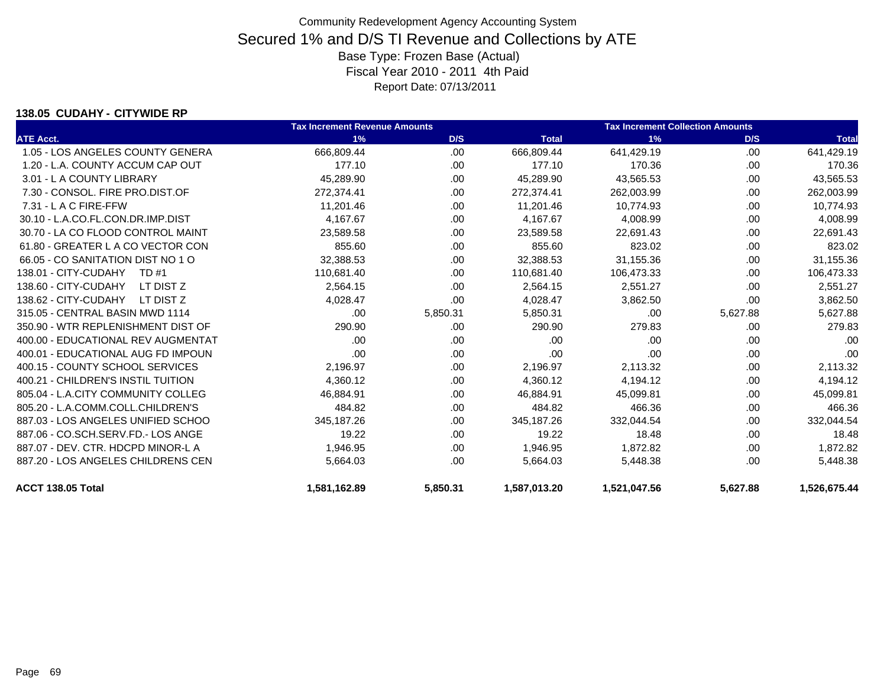### **138.05 CUDAHY - CITYWIDE RP**

|                                    | <b>Tax Increment Revenue Amounts</b> |          |              | <b>Tax Increment Collection Amounts</b> |          |              |
|------------------------------------|--------------------------------------|----------|--------------|-----------------------------------------|----------|--------------|
| <b>ATE Acct.</b>                   | 1%                                   | D/S      | <b>Total</b> | 1%                                      | D/S      | <b>Total</b> |
| 1.05 - LOS ANGELES COUNTY GENERA   | 666,809.44                           | .00.     | 666,809.44   | 641,429.19                              | .00.     | 641,429.19   |
| 1.20 - L.A. COUNTY ACCUM CAP OUT   | 177.10                               | .00      | 177.10       | 170.36                                  | .00      | 170.36       |
| 3.01 - L A COUNTY LIBRARY          | 45,289.90                            | .00      | 45,289.90    | 43,565.53                               | .00      | 43,565.53    |
| 7.30 - CONSOL, FIRE PRO.DIST.OF    | 272,374.41                           | .00.     | 272,374.41   | 262,003.99                              | .00.     | 262,003.99   |
| 7.31 - L A C FIRE-FFW              | 11,201.46                            | .00.     | 11,201.46    | 10,774.93                               | .00.     | 10,774.93    |
| 30.10 - L.A.CO.FL.CON.DR.IMP.DIST  | 4,167.67                             | .00.     | 4,167.67     | 4,008.99                                | .00.     | 4,008.99     |
| 30.70 - LA CO FLOOD CONTROL MAINT  | 23,589.58                            | .00      | 23,589.58    | 22,691.43                               | .00      | 22,691.43    |
| 61.80 - GREATER L A CO VECTOR CON  | 855.60                               | .00.     | 855.60       | 823.02                                  | .00      | 823.02       |
| 66.05 - CO SANITATION DIST NO 1 O  | 32.388.53                            | .00      | 32,388.53    | 31,155.36                               | .00      | 31,155.36    |
| 138.01 - CITY-CUDAHY<br>TD #1      | 110,681.40                           | .00      | 110,681.40   | 106,473.33                              | .00      | 106,473.33   |
| 138.60 - CITY-CUDAHY<br>LT DIST Z  | 2,564.15                             | .00.     | 2,564.15     | 2,551.27                                | .00.     | 2,551.27     |
| 138.62 - CITY-CUDAHY<br>LT DIST Z  | 4,028.47                             | .00      | 4,028.47     | 3,862.50                                | .00.     | 3,862.50     |
| 315.05 - CENTRAL BASIN MWD 1114    | .00                                  | 5,850.31 | 5,850.31     | .00                                     | 5,627.88 | 5,627.88     |
| 350.90 - WTR REPLENISHMENT DIST OF | 290.90                               | .00      | 290.90       | 279.83                                  | .00      | 279.83       |
| 400.00 - EDUCATIONAL REV AUGMENTAT | .00                                  | .00      | .00          | .00                                     | .00      | .00          |
| 400.01 - EDUCATIONAL AUG FD IMPOUN | .00                                  | .00      | .00          | .00                                     | .00      | .00          |
| 400.15 - COUNTY SCHOOL SERVICES    | 2,196.97                             | .00      | 2,196.97     | 2,113.32                                | .00      | 2,113.32     |
| 400.21 - CHILDREN'S INSTIL TUITION | 4,360.12                             | .00.     | 4,360.12     | 4,194.12                                | .00.     | 4,194.12     |
| 805.04 - L.A.CITY COMMUNITY COLLEG | 46,884.91                            | .00.     | 46,884.91    | 45,099.81                               | .00      | 45,099.81    |
| 805.20 - L.A.COMM.COLL.CHILDREN'S  | 484.82                               | .00      | 484.82       | 466.36                                  | .00      | 466.36       |
| 887.03 - LOS ANGELES UNIFIED SCHOO | 345,187.26                           | .00.     | 345,187.26   | 332,044.54                              | .00      | 332,044.54   |
| 887.06 - CO.SCH.SERV.FD.- LOS ANGE | 19.22                                | .00.     | 19.22        | 18.48                                   | .00      | 18.48        |
| 887.07 - DEV. CTR. HDCPD MINOR-L A | 1,946.95                             | .00      | 1,946.95     | 1,872.82                                | .00      | 1,872.82     |
| 887.20 - LOS ANGELES CHILDRENS CEN | 5,664.03                             | .00      | 5,664.03     | 5,448.38                                | .00      | 5,448.38     |
| ACCT 138.05 Total                  | 1,581,162.89                         | 5,850.31 | 1,587,013.20 | 1,521,047.56                            | 5,627.88 | 1,526,675.44 |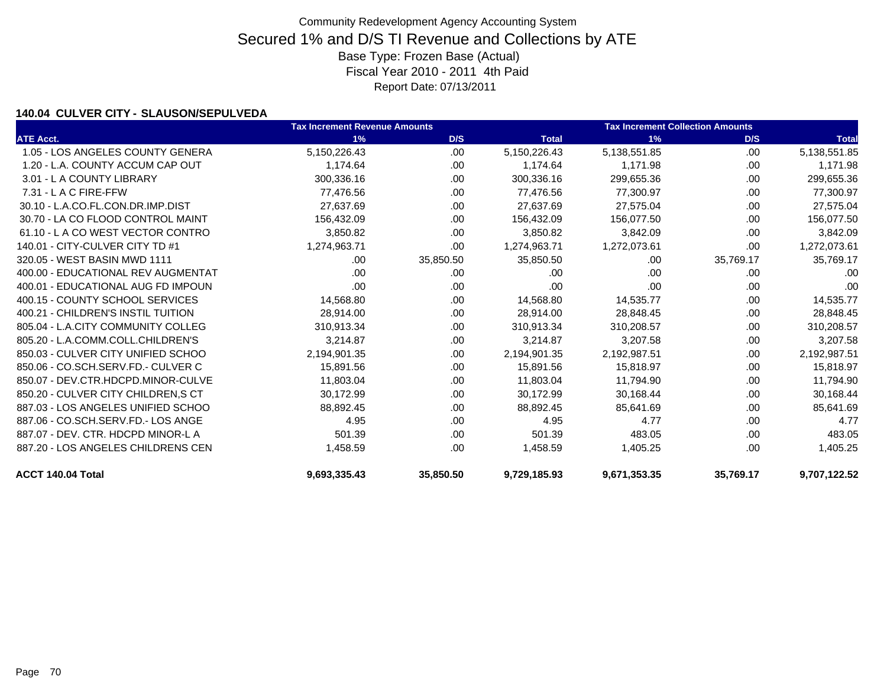### **140.04 CULVER CITY - SLAUSON/SEPULVEDA**

|                                    | <b>Tax Increment Revenue Amounts</b> | <b>Tax Increment Collection Amounts</b> |              |              |           |              |
|------------------------------------|--------------------------------------|-----------------------------------------|--------------|--------------|-----------|--------------|
| <b>ATE Acct.</b>                   | 1%                                   | D/S                                     | <b>Total</b> | 1%           | D/S       | <b>Total</b> |
| 1.05 - LOS ANGELES COUNTY GENERA   | 5,150,226.43                         | .00                                     | 5,150,226.43 | 5,138,551.85 | .00       | 5,138,551.85 |
| 1.20 - L.A. COUNTY ACCUM CAP OUT   | 1.174.64                             | .00.                                    | 1,174.64     | 1.171.98     | .00       | 1,171.98     |
| 3.01 - L A COUNTY LIBRARY          | 300,336.16                           | .00                                     | 300,336.16   | 299,655.36   | .00       | 299,655.36   |
| 7.31 - L A C FIRE-FFW              | 77,476.56                            | .00                                     | 77,476.56    | 77,300.97    | .00       | 77,300.97    |
| 30.10 - L.A.CO.FL.CON.DR.IMP.DIST  | 27,637.69                            | .00                                     | 27,637.69    | 27,575.04    | .00       | 27,575.04    |
| 30.70 - LA CO FLOOD CONTROL MAINT  | 156,432.09                           | .00                                     | 156,432.09   | 156,077.50   | .00       | 156,077.50   |
| 61.10 - LA CO WEST VECTOR CONTRO   | 3,850.82                             | .00.                                    | 3,850.82     | 3,842.09     | .00       | 3,842.09     |
| 140.01 - CITY-CULVER CITY TD #1    | 1,274,963.71                         | .00                                     | 1,274,963.71 | 1,272,073.61 | .00       | 1,272,073.61 |
| 320.05 - WEST BASIN MWD 1111       | .00.                                 | 35,850.50                               | 35,850.50    | .00          | 35,769.17 | 35,769.17    |
| 400.00 - EDUCATIONAL REV AUGMENTAT | .00.                                 | .00.                                    | .00          | .00          | .00       | .00          |
| 400.01 - EDUCATIONAL AUG FD IMPOUN | .00                                  | .00                                     | .00          | .00          | .00       | .00          |
| 400.15 - COUNTY SCHOOL SERVICES    | 14,568.80                            | .00                                     | 14,568.80    | 14,535.77    | .00       | 14,535.77    |
| 400.21 - CHILDREN'S INSTIL TUITION | 28,914.00                            | .00                                     | 28,914.00    | 28,848.45    | .00       | 28,848.45    |
| 805.04 - L.A.CITY COMMUNITY COLLEG | 310,913.34                           | .00                                     | 310,913.34   | 310,208.57   | .00       | 310,208.57   |
| 805.20 - L.A.COMM.COLL.CHILDREN'S  | 3.214.87                             | .00.                                    | 3,214.87     | 3,207.58     | .00       | 3,207.58     |
| 850.03 - CULVER CITY UNIFIED SCHOO | 2,194,901.35                         | .00                                     | 2,194,901.35 | 2,192,987.51 | .00       | 2,192,987.51 |
| 850.06 - CO.SCH.SERV.FD.- CULVER C | 15,891.56                            | .00                                     | 15,891.56    | 15,818.97    | .00       | 15,818.97    |
| 850.07 - DEV.CTR.HDCPD.MINOR-CULVE | 11,803.04                            | .00                                     | 11,803.04    | 11,794.90    | .00       | 11,794.90    |
| 850.20 - CULVER CITY CHILDREN.S CT | 30.172.99                            | .00                                     | 30,172.99    | 30,168.44    | .00       | 30,168.44    |
| 887.03 - LOS ANGELES UNIFIED SCHOO | 88,892.45                            | .00.                                    | 88,892.45    | 85,641.69    | .00       | 85,641.69    |
| 887.06 - CO.SCH.SERV.FD.- LOS ANGE | 4.95                                 | .00                                     | 4.95         | 4.77         | .00       | 4.77         |
| 887.07 - DEV. CTR. HDCPD MINOR-L A | 501.39                               | .00.                                    | 501.39       | 483.05       | .00       | 483.05       |
| 887.20 - LOS ANGELES CHILDRENS CEN | 1,458.59                             | .00                                     | 1,458.59     | 1,405.25     | .00       | 1,405.25     |
| ACCT 140.04 Total                  | 9,693,335.43                         | 35,850.50                               | 9,729,185.93 | 9,671,353.35 | 35,769.17 | 9,707,122.52 |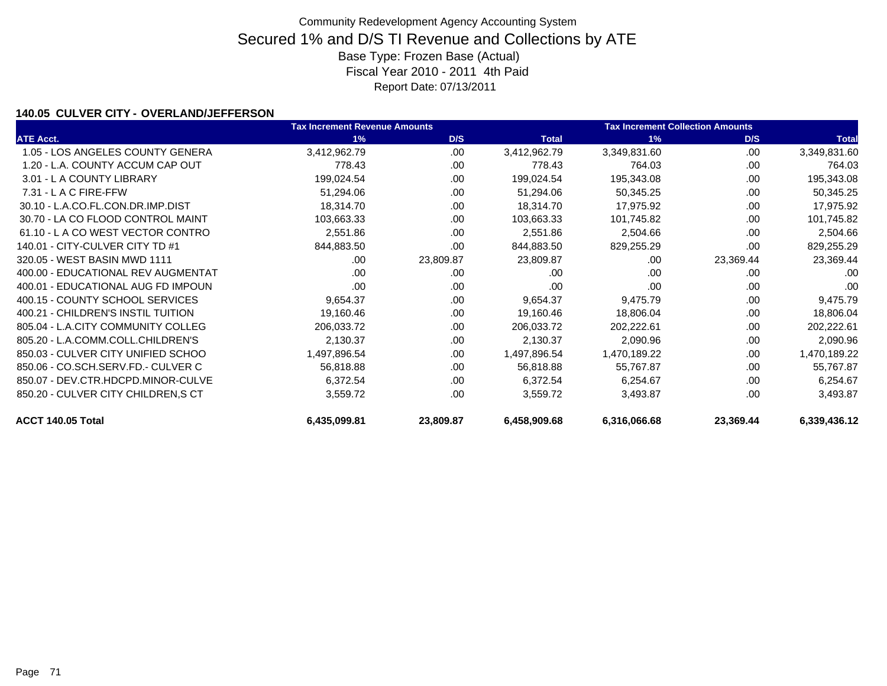### **140.05 CULVER CITY - OVERLAND/JEFFERSON**

|                                    | <b>Tax Increment Revenue Amounts</b> |           |              | <b>Tax Increment Collection Amounts</b> |           |              |
|------------------------------------|--------------------------------------|-----------|--------------|-----------------------------------------|-----------|--------------|
| <b>ATE Acct.</b>                   | 1%                                   | D/S       | <b>Total</b> | 1%                                      | D/S       | <b>Total</b> |
| 1.05 - LOS ANGELES COUNTY GENERA   | 3,412,962.79                         | .00       | 3,412,962.79 | 3,349,831.60                            | .00       | 3,349,831.60 |
| 1.20 - L.A. COUNTY ACCUM CAP OUT   | 778.43                               | .00.      | 778.43       | 764.03                                  | .00       | 764.03       |
| 3.01 - L A COUNTY LIBRARY          | 199,024.54                           | .00.      | 199,024.54   | 195,343.08                              | .00       | 195,343.08   |
| 7.31 - L A C FIRE-FFW              | 51,294.06                            | .00       | 51,294.06    | 50,345.25                               | .00       | 50,345.25    |
| 30.10 - L.A.CO.FL.CON.DR.IMP.DIST  | 18,314.70                            | .00       | 18,314.70    | 17,975.92                               | .00       | 17,975.92    |
| 30.70 - LA CO FLOOD CONTROL MAINT  | 103,663.33                           | .00       | 103,663.33   | 101,745.82                              | .00       | 101,745.82   |
| 61.10 - L A CO WEST VECTOR CONTRO  | 2,551.86                             | .00       | 2,551.86     | 2,504.66                                | .00       | 2,504.66     |
| 140.01 - CITY-CULVER CITY TD #1    | 844,883.50                           | .00       | 844,883.50   | 829,255.29                              | .00       | 829,255.29   |
| 320.05 - WEST BASIN MWD 1111       | .00                                  | 23,809.87 | 23,809.87    | .00                                     | 23,369.44 | 23,369.44    |
| 400.00 - EDUCATIONAL REV AUGMENTAT | .00.                                 | .00.      | .00.         | .00                                     | .00.      | .00          |
| 400.01 - EDUCATIONAL AUG FD IMPOUN | .00                                  | .00       | .00          | .00                                     | .00       | .00          |
| 400.15 - COUNTY SCHOOL SERVICES    | 9,654.37                             | .00.      | 9,654.37     | 9,475.79                                | .00       | 9,475.79     |
| 400.21 - CHILDREN'S INSTIL TUITION | 19,160.46                            | .00       | 19,160.46    | 18,806.04                               | .00       | 18,806.04    |
| 805.04 - L.A.CITY COMMUNITY COLLEG | 206,033.72                           | .00       | 206,033.72   | 202,222.61                              | .00       | 202,222.61   |
| 805.20 - L.A.COMM.COLL.CHILDREN'S  | 2,130.37                             | .00.      | 2,130.37     | 2,090.96                                | .00       | 2,090.96     |
| 850.03 - CULVER CITY UNIFIED SCHOO | 1,497,896.54                         | .00       | 1,497,896.54 | 1,470,189.22                            | .00       | 1,470,189.22 |
| 850.06 - CO.SCH.SERV.FD.- CULVER C | 56,818.88                            | .00       | 56,818.88    | 55,767.87                               | .00       | 55,767.87    |
| 850.07 - DEV.CTR.HDCPD.MINOR-CULVE | 6,372.54                             | .00       | 6,372.54     | 6,254.67                                | .00       | 6,254.67     |
| 850.20 - CULVER CITY CHILDREN, SCT | 3,559.72                             | .00       | 3,559.72     | 3,493.87                                | .00       | 3,493.87     |
| ACCT 140.05 Total                  | 6,435,099.81                         | 23,809.87 | 6,458,909.68 | 6,316,066.68                            | 23,369.44 | 6,339,436.12 |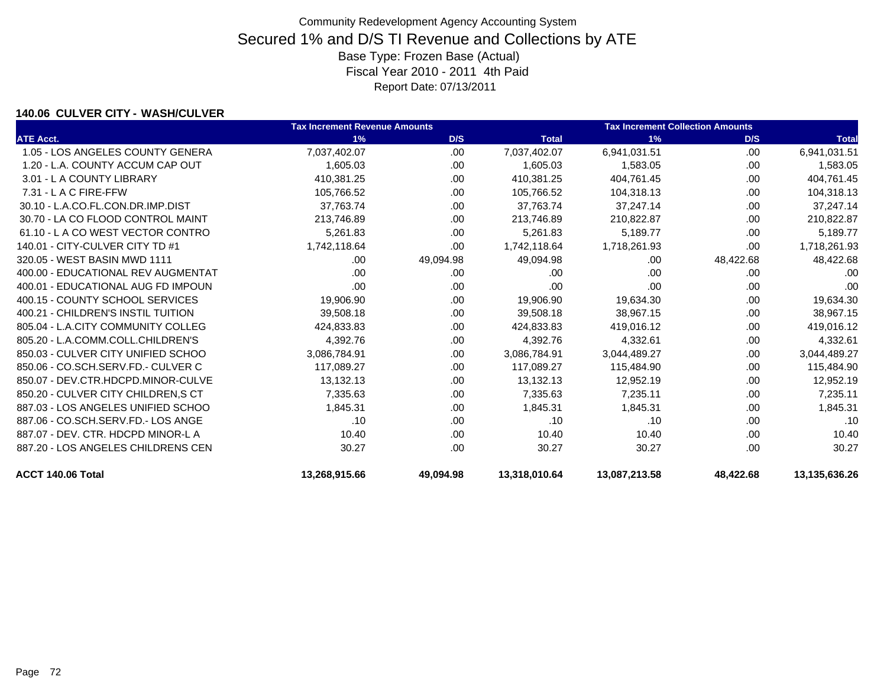### **140.06 CULVER CITY - WASH/CULVER**

|                                    | <b>Tax Increment Revenue Amounts</b> |           |               | <b>Tax Increment Collection Amounts</b> |           |               |
|------------------------------------|--------------------------------------|-----------|---------------|-----------------------------------------|-----------|---------------|
| <b>ATE Acct.</b>                   | 1%                                   | D/S       | <b>Total</b>  | 1%                                      | D/S       | <b>Total</b>  |
| 1.05 - LOS ANGELES COUNTY GENERA   | 7,037,402.07                         | .00       | 7,037,402.07  | 6,941,031.51                            | .00       | 6,941,031.51  |
| 1.20 - L.A. COUNTY ACCUM CAP OUT   | 1,605.03                             | .00.      | 1,605.03      | 1,583.05                                | .00       | 1,583.05      |
| 3.01 - L A COUNTY LIBRARY          | 410,381.25                           | .00.      | 410,381.25    | 404,761.45                              | .00       | 404,761.45    |
| $7.31 - L$ A C FIRE-FFW            | 105,766.52                           | .00.      | 105,766.52    | 104,318.13                              | .00       | 104,318.13    |
| 30.10 - L.A.CO.FL.CON.DR.IMP.DIST  | 37,763.74                            | .00.      | 37,763.74     | 37,247.14                               | .00       | 37,247.14     |
| 30.70 - LA CO FLOOD CONTROL MAINT  | 213,746.89                           | .00       | 213,746.89    | 210,822.87                              | .00       | 210,822.87    |
| 61.10 - LA CO WEST VECTOR CONTRO   | 5,261.83                             | .00.      | 5.261.83      | 5,189.77                                | .00.      | 5,189.77      |
| 140.01 - CITY-CULVER CITY TD #1    | 1,742,118.64                         | .00       | 1,742,118.64  | 1,718,261.93                            | .00       | 1,718,261.93  |
| 320.05 - WEST BASIN MWD 1111       | .00                                  | 49,094.98 | 49,094.98     | .00                                     | 48,422.68 | 48,422.68     |
| 400.00 - EDUCATIONAL REV AUGMENTAT | .00                                  | .00.      | .00           | .00                                     | .00       | .00           |
| 400.01 - EDUCATIONAL AUG FD IMPOUN | .00                                  | .00.      | .00           | .00                                     | .00       | .00           |
| 400.15 - COUNTY SCHOOL SERVICES    | 19,906.90                            | .00       | 19,906.90     | 19,634.30                               | .00       | 19,634.30     |
| 400.21 - CHILDREN'S INSTIL TUITION | 39,508.18                            | .00       | 39,508.18     | 38,967.15                               | .00       | 38,967.15     |
| 805.04 - L.A.CITY COMMUNITY COLLEG | 424,833.83                           | .00.      | 424,833.83    | 419,016.12                              | .00       | 419,016.12    |
| 805.20 - L.A.COMM.COLL.CHILDREN'S  | 4,392.76                             | .00.      | 4,392.76      | 4,332.61                                | .00       | 4,332.61      |
| 850.03 - CULVER CITY UNIFIED SCHOO | 3,086,784.91                         | .00.      | 3,086,784.91  | 3,044,489.27                            | .00       | 3,044,489.27  |
| 850.06 - CO.SCH.SERV.FD.- CULVER C | 117.089.27                           | .00.      | 117,089.27    | 115,484.90                              | .00.      | 115,484.90    |
| 850.07 - DEV.CTR.HDCPD.MINOR-CULVE | 13,132.13                            | .00.      | 13,132.13     | 12,952.19                               | .00       | 12,952.19     |
| 850.20 - CULVER CITY CHILDREN.S CT | 7,335.63                             | .00       | 7,335.63      | 7,235.11                                | .00       | 7,235.11      |
| 887.03 - LOS ANGELES UNIFIED SCHOO | 1,845.31                             | .00       | 1,845.31      | 1,845.31                                | .00       | 1,845.31      |
| 887.06 - CO.SCH.SERV.FD.- LOS ANGE | .10                                  | .00       | .10           | .10                                     | .00       | .10           |
| 887.07 - DEV. CTR. HDCPD MINOR-L A | 10.40                                | .00       | 10.40         | 10.40                                   | .00       | 10.40         |
| 887.20 - LOS ANGELES CHILDRENS CEN | 30.27                                | .00.      | 30.27         | 30.27                                   | .00       | 30.27         |
| ACCT 140.06 Total                  | 13,268,915.66                        | 49,094.98 | 13,318,010.64 | 13,087,213.58                           | 48,422.68 | 13,135,636.26 |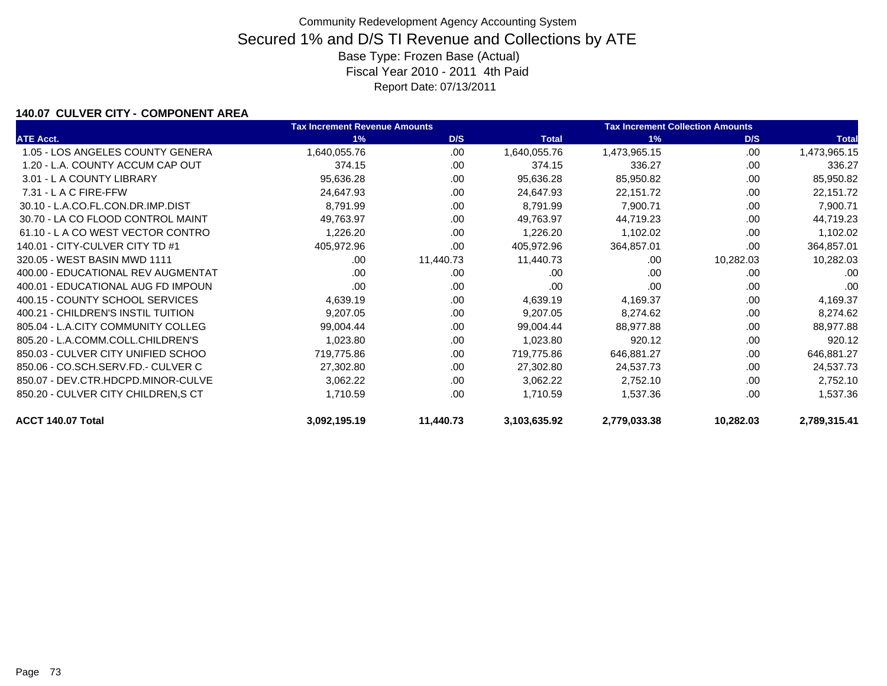### **140.07 CULVER CITY - COMPONENT AREA**

|                                     | <b>Tax Increment Revenue Amounts</b> |           |              | <b>Tax Increment Collection Amounts</b> |           |              |
|-------------------------------------|--------------------------------------|-----------|--------------|-----------------------------------------|-----------|--------------|
| <b>ATE Acct.</b>                    | 1%                                   | D/S       | <b>Total</b> | 1%                                      | D/S       | <b>Total</b> |
| 1.05 - LOS ANGELES COUNTY GENERA    | 1,640,055.76                         | .00       | 1,640,055.76 | 1,473,965.15                            | .00       | 1,473,965.15 |
| 1.20 - L.A. COUNTY ACCUM CAP OUT    | 374.15                               | .00.      | 374.15       | 336.27                                  | .00       | 336.27       |
| 3.01 - L A COUNTY LIBRARY           | 95,636.28                            | .00.      | 95,636.28    | 85,950.82                               | .00       | 85,950.82    |
| $7.31 - L$ A C FIRE-FFW             | 24,647.93                            | .00       | 24,647.93    | 22,151.72                               | .00       | 22,151.72    |
| 30.10 - L.A.CO.FL.CON.DR.IMP.DIST   | 8,791.99                             | .00       | 8,791.99     | 7,900.71                                | .00       | 7,900.71     |
| 30.70 - LA CO FLOOD CONTROL MAINT   | 49,763.97                            | .00       | 49,763.97    | 44,719.23                               | .00       | 44,719.23    |
| 61.10 - L A CO WEST VECTOR CONTRO   | 1,226.20                             | .00       | 1,226.20     | 1,102.02                                | .00       | 1,102.02     |
| 140.01 - CITY-CULVER CITY TD #1     | 405,972.96                           | .00       | 405,972.96   | 364,857.01                              | .00       | 364,857.01   |
| 320.05 - WEST BASIN MWD 1111        | .00                                  | 11,440.73 | 11,440.73    | .00                                     | 10,282.03 | 10,282.03    |
| 400.00 - EDUCATIONAL REV AUGMENTAT  | .00                                  | .00.      | .00.         | .00                                     | .00.      | .00          |
| 400.01 - EDUCATIONAL AUG FD IMPOUN  | .00                                  | .00       | .00          | .00                                     | .00       | .00          |
| 400.15 - COUNTY SCHOOL SERVICES     | 4,639.19                             | .00.      | 4,639.19     | 4,169.37                                | .00       | 4,169.37     |
| 400.21 - CHILDREN'S INSTIL TUITION  | 9,207.05                             | .00       | 9,207.05     | 8,274.62                                | .00       | 8,274.62     |
| 805.04 - L.A.CITY COMMUNITY COLLEG  | 99,004.44                            | .00.      | 99,004.44    | 88,977.88                               | .00       | 88,977.88    |
| 805.20 - L.A.COMM.COLL.CHILDREN'S   | 1,023.80                             | .00       | 1,023.80     | 920.12                                  | .00       | 920.12       |
| 850.03 - CULVER CITY UNIFIED SCHOO  | 719,775.86                           | .00.      | 719,775.86   | 646,881.27                              | .00       | 646,881.27   |
| 850.06 - CO.SCH.SERV.FD.- CULVER C  | 27,302.80                            | .00.      | 27,302.80    | 24,537.73                               | .00       | 24,537.73    |
| 850.07 - DEV.CTR.HDCPD.MINOR-CULVE  | 3,062.22                             | .00.      | 3,062.22     | 2,752.10                                | .00       | 2,752.10     |
| 850.20 - CULVER CITY CHILDREN, S CT | 1,710.59                             | .00.      | 1,710.59     | 1,537.36                                | .00       | 1,537.36     |
| ACCT 140.07 Total                   | 3,092,195.19                         | 11,440.73 | 3,103,635.92 | 2,779,033.38                            | 10,282.03 | 2,789,315.41 |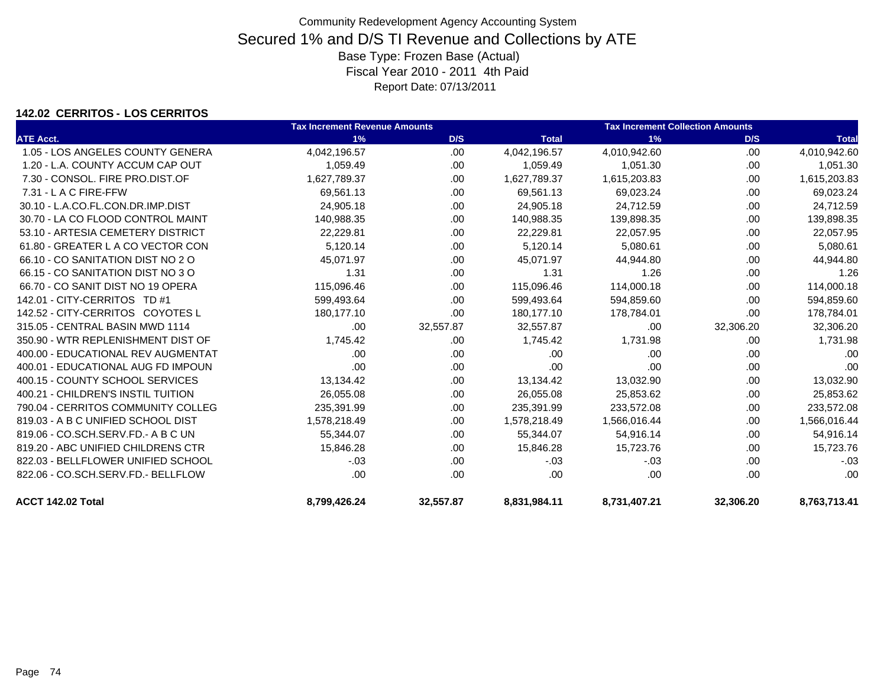### **142.02 CERRITOS - LOS CERRITOS**

|                                     | <b>Tax Increment Revenue Amounts</b> |           |              | <b>Tax Increment Collection Amounts</b> |           |              |
|-------------------------------------|--------------------------------------|-----------|--------------|-----------------------------------------|-----------|--------------|
| <b>ATE Acct.</b>                    | 1%                                   | D/S       | <b>Total</b> | 1%                                      | D/S       | <b>Total</b> |
| 1.05 - LOS ANGELES COUNTY GENERA    | 4,042,196.57                         | .00.      | 4,042,196.57 | 4,010,942.60                            | .00       | 4,010,942.60 |
| 1.20 - L.A. COUNTY ACCUM CAP OUT    | 1,059.49                             | .00       | 1,059.49     | 1,051.30                                | .00       | 1,051.30     |
| 7.30 - CONSOL, FIRE PRO.DIST.OF     | 1,627,789.37                         | .00       | 1,627,789.37 | 1,615,203.83                            | .00.      | 1,615,203.83 |
| 7.31 - L A C FIRE-FFW               | 69.561.13                            | .00       | 69,561.13    | 69,023.24                               | .00.      | 69,023.24    |
| 30.10 - L.A.CO.FL.CON.DR.IMP.DIST   | 24,905.18                            | .00       | 24,905.18    | 24,712.59                               | .00       | 24,712.59    |
| 30.70 - LA CO FLOOD CONTROL MAINT   | 140,988.35                           | .00.      | 140,988.35   | 139,898.35                              | .00       | 139,898.35   |
| 53.10 - ARTESIA CEMETERY DISTRICT   | 22,229.81                            | .00       | 22,229.81    | 22,057.95                               | .00       | 22,057.95    |
| 61.80 - GREATER L A CO VECTOR CON   | 5,120.14                             | .00       | 5,120.14     | 5,080.61                                | .00.      | 5,080.61     |
| 66.10 - CO SANITATION DIST NO 2 O   | 45,071.97                            | .00       | 45,071.97    | 44.944.80                               | .00       | 44,944.80    |
| 66.15 - CO SANITATION DIST NO 3 O   | 1.31                                 | .00.      | 1.31         | 1.26                                    | .00       | 1.26         |
| 66.70 - CO SANIT DIST NO 19 OPERA   | 115,096.46                           | .00.      | 115,096.46   | 114,000.18                              | .00       | 114,000.18   |
| 142.01 - CITY-CERRITOS TD #1        | 599,493.64                           | .00       | 599,493.64   | 594,859.60                              | .00       | 594,859.60   |
| 142.52 - CITY-CERRITOS COYOTES L    | 180,177.10                           | .00       | 180,177.10   | 178,784.01                              | .00       | 178,784.01   |
| 315.05 - CENTRAL BASIN MWD 1114     | .00                                  | 32,557.87 | 32,557.87    | .00                                     | 32,306.20 | 32,306.20    |
| 350.90 - WTR REPLENISHMENT DIST OF  | 1,745.42                             | .00.      | 1,745.42     | 1,731.98                                | .00       | 1,731.98     |
| 400.00 - EDUCATIONAL REV AUGMENTAT  | .00                                  | .00.      | .00          | .00                                     | .00       | .00          |
| 400.01 - EDUCATIONAL AUG FD IMPOUN  | .00                                  | .00       | .00          | .00                                     | .00       | .00          |
| 400.15 - COUNTY SCHOOL SERVICES     | 13,134.42                            | .00       | 13,134.42    | 13,032.90                               | .00       | 13,032.90    |
| 400.21 - CHILDREN'S INSTIL TUITION  | 26,055.08                            | .00.      | 26,055.08    | 25,853.62                               | .00       | 25,853.62    |
| 790.04 - CERRITOS COMMUNITY COLLEG  | 235,391.99                           | .00.      | 235,391.99   | 233,572.08                              | .00       | 233,572.08   |
| 819.03 - A B C UNIFIED SCHOOL DIST  | 1,578,218.49                         | .00       | 1,578,218.49 | 1,566,016.44                            | .00       | 1,566,016.44 |
| 819.06 - CO.SCH.SERV.FD. - A B C UN | 55,344.07                            | .00       | 55,344.07    | 54,916.14                               | .00       | 54,916.14    |
| 819.20 - ABC UNIFIED CHILDRENS CTR  | 15,846.28                            | .00       | 15.846.28    | 15.723.76                               | .00       | 15,723.76    |
| 822.03 - BELLFLOWER UNIFIED SCHOOL  | $-.03$                               | .00.      | $-.03$       | $-.03$                                  | .00       | $-03$        |
| 822.06 - CO.SCH.SERV.FD.- BELLFLOW  | .00                                  | .00       | .00          | .00                                     | .00       | .00          |
| ACCT 142.02 Total                   | 8,799,426.24                         | 32,557.87 | 8,831,984.11 | 8,731,407.21                            | 32,306.20 | 8,763,713.41 |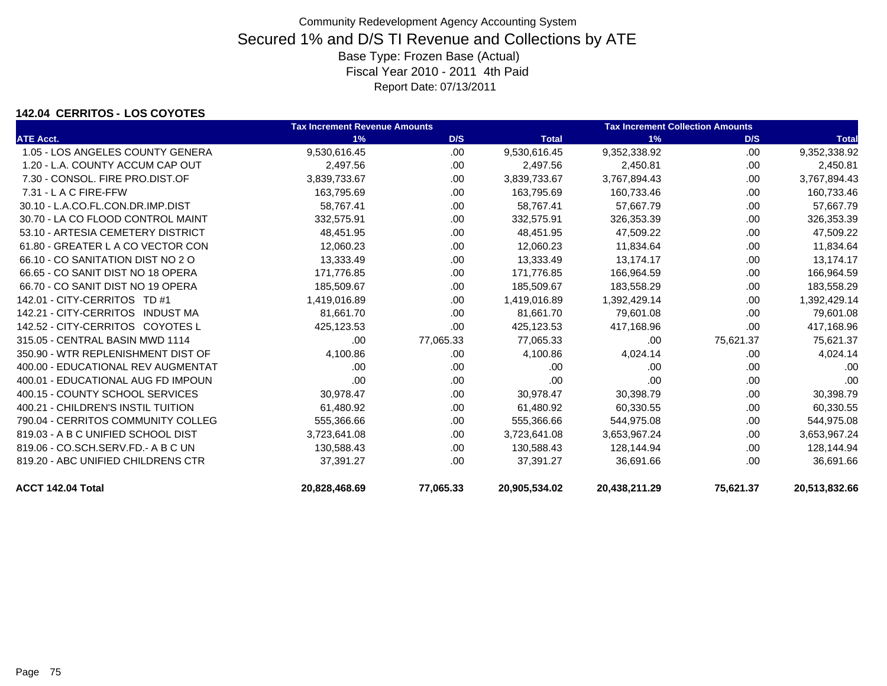### **142.04 CERRITOS - LOS COYOTES**

|                                    | <b>Tax Increment Revenue Amounts</b> |           |               | <b>Tax Increment Collection Amounts</b> |           |               |
|------------------------------------|--------------------------------------|-----------|---------------|-----------------------------------------|-----------|---------------|
| <b>ATE Acct.</b>                   | 1%                                   | D/S       | <b>Total</b>  | 1%                                      | D/S       | <b>Total</b>  |
| 1.05 - LOS ANGELES COUNTY GENERA   | 9,530,616.45                         | .00       | 9,530,616.45  | 9,352,338.92                            | .00       | 9,352,338.92  |
| 1.20 - L.A. COUNTY ACCUM CAP OUT   | 2,497.56                             | .00.      | 2,497.56      | 2,450.81                                | .00.      | 2,450.81      |
| 7.30 - CONSOL, FIRE PRO.DIST.OF    | 3,839,733.67                         | .00       | 3,839,733.67  | 3,767,894.43                            | .00       | 3,767,894.43  |
| $7.31 - L$ A C FIRE-FFW            | 163,795.69                           | .00.      | 163,795.69    | 160,733.46                              | .00       | 160,733.46    |
| 30.10 - L.A.CO.FL.CON.DR.IMP.DIST  | 58,767.41                            | .00.      | 58,767.41     | 57,667.79                               | .00.      | 57,667.79     |
| 30.70 - LA CO FLOOD CONTROL MAINT  | 332,575.91                           | .00       | 332,575.91    | 326,353.39                              | .00       | 326,353.39    |
| 53.10 - ARTESIA CEMETERY DISTRICT  | 48,451.95                            | .00       | 48,451.95     | 47,509.22                               | .00       | 47,509.22     |
| 61.80 - GREATER L A CO VECTOR CON  | 12,060.23                            | .00.      | 12,060.23     | 11,834.64                               | .00       | 11,834.64     |
| 66.10 - CO SANITATION DIST NO 2 O  | 13,333.49                            | .00       | 13,333.49     | 13,174.17                               | .00       | 13,174.17     |
| 66.65 - CO SANIT DIST NO 18 OPERA  | 171.776.85                           | .00       | 171.776.85    | 166,964.59                              | .00.      | 166,964.59    |
| 66.70 - CO SANIT DIST NO 19 OPERA  | 185,509.67                           | .00.      | 185,509.67    | 183,558.29                              | .00.      | 183,558.29    |
| 142.01 - CITY-CERRITOS TD #1       | 1,419,016.89                         | .00       | 1,419,016.89  | 1,392,429.14                            | .00       | 1,392,429.14  |
| 142.21 - CITY-CERRITOS INDUST MA   | 81,661.70                            | .00.      | 81,661.70     | 79,601.08                               | .00.      | 79,601.08     |
| 142.52 - CITY-CERRITOS COYOTES L   | 425,123.53                           | .00.      | 425,123.53    | 417,168.96                              | .00       | 417,168.96    |
| 315.05 - CENTRAL BASIN MWD 1114    | .00                                  | 77,065.33 | 77,065.33     | .00                                     | 75,621.37 | 75,621.37     |
| 350.90 - WTR REPLENISHMENT DIST OF | 4,100.86                             | .00.      | 4,100.86      | 4,024.14                                | .00       | 4,024.14      |
| 400.00 - EDUCATIONAL REV AUGMENTAT | .00.                                 | .00       | .00           | .00.                                    | .00       | .00           |
| 400.01 - EDUCATIONAL AUG FD IMPOUN | .00                                  | .00.      | .00           | .00                                     | .00.      | .00           |
| 400.15 - COUNTY SCHOOL SERVICES    | 30,978.47                            | .00       | 30,978.47     | 30,398.79                               | .00       | 30,398.79     |
| 400.21 - CHILDREN'S INSTIL TUITION | 61,480.92                            | .00.      | 61,480.92     | 60,330.55                               | .00.      | 60,330.55     |
| 790.04 - CERRITOS COMMUNITY COLLEG | 555,366.66                           | .00.      | 555,366.66    | 544,975.08                              | .00.      | 544,975.08    |
| 819.03 - A B C UNIFIED SCHOOL DIST | 3,723,641.08                         | .00       | 3,723,641.08  | 3,653,967.24                            | .00       | 3,653,967.24  |
| 819.06 - CO.SCH.SERV.FD.- A B C UN | 130,588.43                           | .00.      | 130,588.43    | 128,144.94                              | .00       | 128,144.94    |
| 819.20 - ABC UNIFIED CHILDRENS CTR | 37,391.27                            | .00.      | 37,391.27     | 36,691.66                               | .00       | 36,691.66     |
| ACCT 142.04 Total                  | 20,828,468.69                        | 77,065.33 | 20,905,534.02 | 20,438,211.29                           | 75,621.37 | 20,513,832.66 |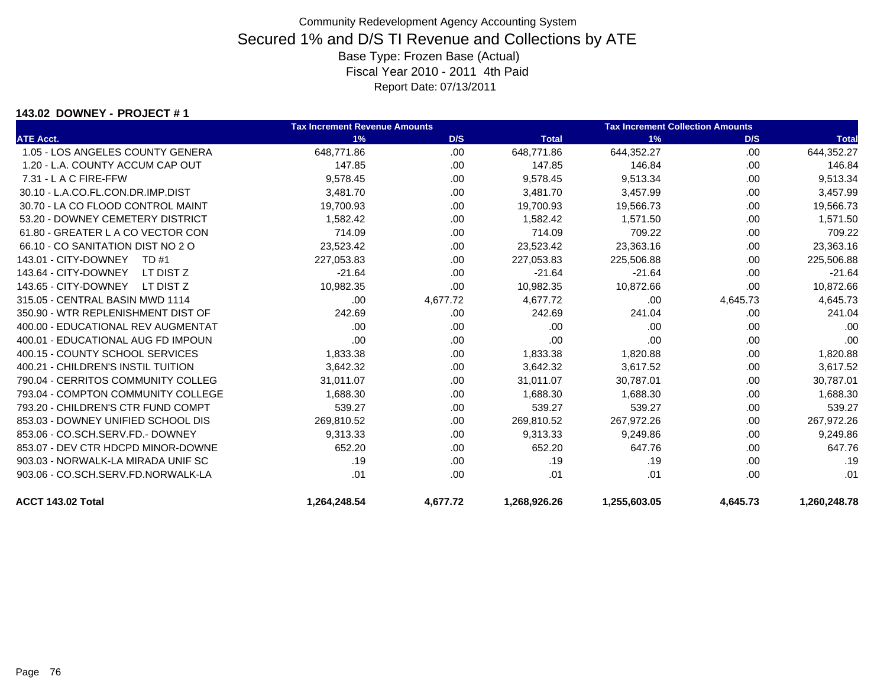#### **143.02 DOWNEY - PROJECT # 1**

|                                    | <b>Tax Increment Revenue Amounts</b> |          |              | <b>Tax Increment Collection Amounts</b> |          |              |
|------------------------------------|--------------------------------------|----------|--------------|-----------------------------------------|----------|--------------|
| <b>ATE Acct.</b>                   | 1%                                   | D/S      | <b>Total</b> | 1%                                      | D/S      | <b>Total</b> |
| 1.05 - LOS ANGELES COUNTY GENERA   | 648,771.86                           | .00      | 648,771.86   | 644,352.27                              | .00.     | 644,352.27   |
| 1.20 - L.A. COUNTY ACCUM CAP OUT   | 147.85                               | .00      | 147.85       | 146.84                                  | .00.     | 146.84       |
| $7.31 - L$ A C FIRE-FFW            | 9,578.45                             | .00      | 9,578.45     | 9,513.34                                | .00      | 9,513.34     |
| 30.10 - L.A.CO.FL.CON.DR.IMP.DIST  | 3,481.70                             | .00      | 3,481.70     | 3,457.99                                | .00      | 3,457.99     |
| 30.70 - LA CO FLOOD CONTROL MAINT  | 19,700.93                            | .00      | 19,700.93    | 19,566.73                               | .00      | 19,566.73    |
| 53.20 - DOWNEY CEMETERY DISTRICT   | 1,582.42                             | .00      | 1,582.42     | 1,571.50                                | .00      | 1,571.50     |
| 61.80 - GREATER L A CO VECTOR CON  | 714.09                               | .00      | 714.09       | 709.22                                  | .00      | 709.22       |
| 66.10 - CO SANITATION DIST NO 2 O  | 23,523.42                            | .00      | 23,523.42    | 23,363.16                               | .00      | 23,363.16    |
| 143.01 - CITY-DOWNEY<br>TD #1      | 227,053.83                           | .00      | 227,053.83   | 225,506.88                              | .00      | 225,506.88   |
| 143.64 - CITY-DOWNEY<br>LT DIST Z  | $-21.64$                             | .00.     | $-21.64$     | $-21.64$                                | .00.     | $-21.64$     |
| 143.65 - CITY-DOWNEY<br>LT DIST Z  | 10,982.35                            | .00      | 10,982.35    | 10,872.66                               | .00      | 10,872.66    |
| 315.05 - CENTRAL BASIN MWD 1114    | .00                                  | 4,677.72 | 4,677.72     | .00                                     | 4,645.73 | 4,645.73     |
| 350.90 - WTR REPLENISHMENT DIST OF | 242.69                               | .00      | 242.69       | 241.04                                  | .00      | 241.04       |
| 400.00 - EDUCATIONAL REV AUGMENTAT | .00.                                 | .00      | .00          | .00                                     | .00      | .00          |
| 400.01 - EDUCATIONAL AUG FD IMPOUN | .00                                  | .00      | .00          | .00                                     | .00      | .00          |
| 400.15 - COUNTY SCHOOL SERVICES    | 1,833.38                             | .00      | 1,833.38     | 1,820.88                                | .00      | 1,820.88     |
| 400.21 - CHILDREN'S INSTIL TUITION | 3,642.32                             | .00      | 3,642.32     | 3,617.52                                | .00      | 3,617.52     |
| 790.04 - CERRITOS COMMUNITY COLLEG | 31.011.07                            | .00      | 31,011.07    | 30,787.01                               | .00      | 30,787.01    |
| 793.04 - COMPTON COMMUNITY COLLEGE | 1.688.30                             | .00      | 1.688.30     | 1,688.30                                | .00      | 1,688.30     |
| 793.20 - CHILDREN'S CTR FUND COMPT | 539.27                               | .00      | 539.27       | 539.27                                  | .00      | 539.27       |
| 853.03 - DOWNEY UNIFIED SCHOOL DIS | 269,810.52                           | .00      | 269,810.52   | 267,972.26                              | .00.     | 267,972.26   |
| 853.06 - CO.SCH.SERV.FD.- DOWNEY   | 9,313.33                             | .00      | 9,313.33     | 9,249.86                                | .00      | 9,249.86     |
| 853.07 - DEV CTR HDCPD MINOR-DOWNE | 652.20                               | .00      | 652.20       | 647.76                                  | .00      | 647.76       |
| 903.03 - NORWALK-LA MIRADA UNIF SC | .19                                  | .00      | .19          | .19                                     | .00      | .19          |
| 903.06 - CO.SCH.SERV.FD.NORWALK-LA | .01                                  | .00.     | .01          | .01                                     | .00      | .01          |
| ACCT 143.02 Total                  | 1,264,248.54                         | 4,677.72 | 1,268,926.26 | 1,255,603.05                            | 4,645.73 | 1,260,248.78 |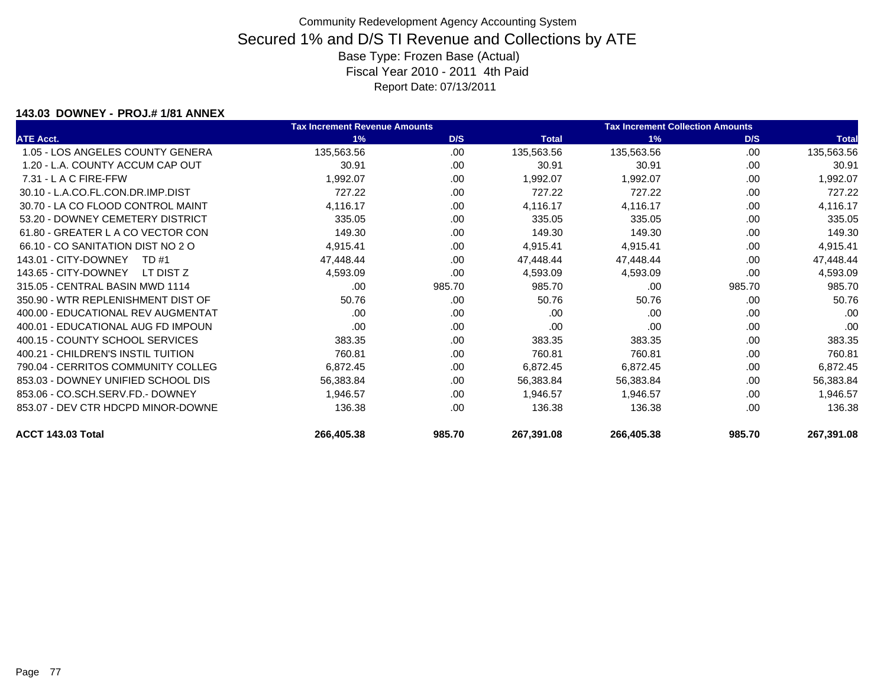#### **143.03 DOWNEY - PROJ.# 1/81 ANNEX**

|                                    | <b>Tax Increment Revenue Amounts</b> |        |              | <b>Tax Increment Collection Amounts</b> |        |              |
|------------------------------------|--------------------------------------|--------|--------------|-----------------------------------------|--------|--------------|
| <b>ATE Acct.</b>                   | 1%                                   | D/S    | <b>Total</b> | 1%                                      | D/S    | <b>Total</b> |
| 1.05 - LOS ANGELES COUNTY GENERA   | 135,563.56                           | .00    | 135,563.56   | 135,563.56                              | .00    | 135,563.56   |
| 1.20 - L.A. COUNTY ACCUM CAP OUT   | 30.91                                | .00    | 30.91        | 30.91                                   | .00    | 30.91        |
| $7.31 - L$ A C FIRE-FFW            | 1,992.07                             | .00    | 1,992.07     | 1,992.07                                | .00    | 1,992.07     |
| 30.10 - L.A.CO.FL.CON.DR.IMP.DIST  | 727.22                               | .00    | 727.22       | 727.22                                  | .00    | 727.22       |
| 30.70 - LA CO FLOOD CONTROL MAINT  | 4,116.17                             | .00    | 4,116.17     | 4,116.17                                | .00    | 4,116.17     |
| 53.20 - DOWNEY CEMETERY DISTRICT   | 335.05                               | .00.   | 335.05       | 335.05                                  | .00    | 335.05       |
| 61.80 - GREATER L A CO VECTOR CON  | 149.30                               | .00.   | 149.30       | 149.30                                  | .00    | 149.30       |
| 66.10 - CO SANITATION DIST NO 2 O  | 4,915.41                             | .00.   | 4,915.41     | 4,915.41                                | .00    | 4,915.41     |
| 143.01 - CITY-DOWNEY<br>TD #1      | 47,448.44                            | .00    | 47,448.44    | 47,448.44                               | .00    | 47,448.44    |
| 143.65 - CITY-DOWNEY<br>LT DIST Z  | 4,593.09                             | .00.   | 4,593.09     | 4,593.09                                | .00.   | 4,593.09     |
| 315.05 - CENTRAL BASIN MWD 1114    | .00                                  | 985.70 | 985.70       | .00                                     | 985.70 | 985.70       |
| 350.90 - WTR REPLENISHMENT DIST OF | 50.76                                | .00    | 50.76        | 50.76                                   | .00    | 50.76        |
| 400.00 - EDUCATIONAL REV AUGMENTAT | .00                                  | .00.   | .00          | .00                                     | .00    | .00          |
| 400.01 - EDUCATIONAL AUG FD IMPOUN | .00                                  | .00.   | .00          | .00                                     | .00    | .00          |
| 400.15 - COUNTY SCHOOL SERVICES    | 383.35                               | .00    | 383.35       | 383.35                                  | .00    | 383.35       |
| 400.21 - CHILDREN'S INSTIL TUITION | 760.81                               | .00    | 760.81       | 760.81                                  | .00    | 760.81       |
| 790.04 - CERRITOS COMMUNITY COLLEG | 6,872.45                             | .00.   | 6,872.45     | 6,872.45                                | .00    | 6,872.45     |
| 853.03 - DOWNEY UNIFIED SCHOOL DIS | 56,383.84                            | .00    | 56,383.84    | 56,383.84                               | .00    | 56,383.84    |
| 853.06 - CO.SCH.SERV.FD.- DOWNEY   | 1,946.57                             | .00.   | 1,946.57     | 1,946.57                                | .00.   | 1,946.57     |
| 853.07 - DEV CTR HDCPD MINOR-DOWNE | 136.38                               | .00.   | 136.38       | 136.38                                  | .00    | 136.38       |
| ACCT 143.03 Total                  | 266,405.38                           | 985.70 | 267,391.08   | 266,405.38                              | 985.70 | 267,391.08   |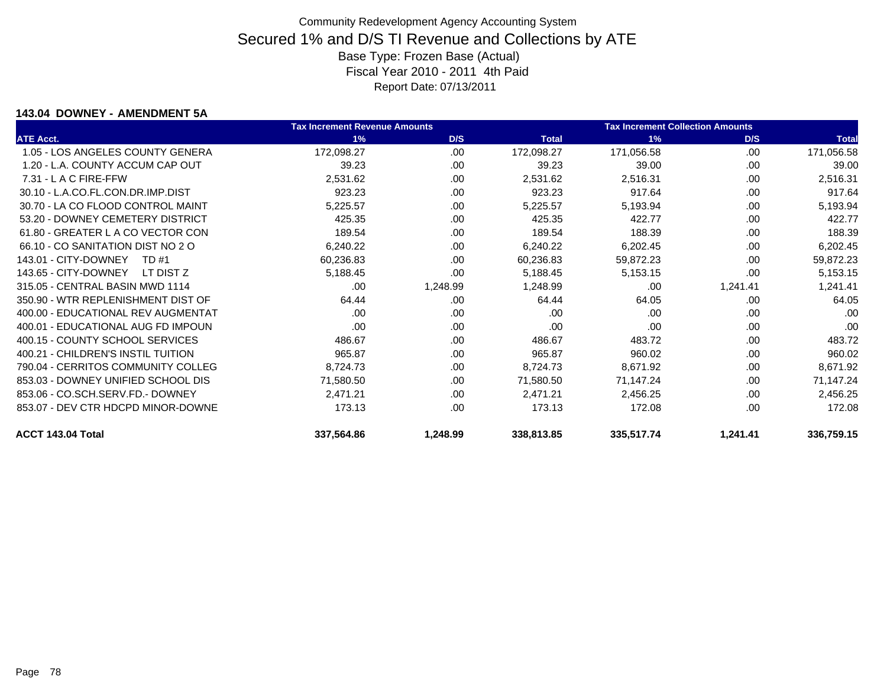#### **143.04 DOWNEY - AMENDMENT 5A**

|                                    | <b>Tax Increment Revenue Amounts</b> |          |              | <b>Tax Increment Collection Amounts</b> |          |              |
|------------------------------------|--------------------------------------|----------|--------------|-----------------------------------------|----------|--------------|
| <b>ATE Acct.</b>                   | 1%                                   | D/S      | <b>Total</b> | 1%                                      | D/S      | <b>Total</b> |
| 1.05 - LOS ANGELES COUNTY GENERA   | 172,098.27                           | .00.     | 172,098.27   | 171,056.58                              | .00      | 171,056.58   |
| 1.20 - L.A. COUNTY ACCUM CAP OUT   | 39.23                                | .00      | 39.23        | 39.00                                   | .00      | 39.00        |
| $7.31 - L$ A C FIRE-FFW            | 2,531.62                             | .00      | 2,531.62     | 2,516.31                                | .00      | 2,516.31     |
| 30.10 - L.A.CO.FL.CON.DR.IMP.DIST  | 923.23                               | .00      | 923.23       | 917.64                                  | .00      | 917.64       |
| 30.70 - LA CO FLOOD CONTROL MAINT  | 5,225.57                             | .00      | 5,225.57     | 5,193.94                                | .00      | 5,193.94     |
| 53.20 - DOWNEY CEMETERY DISTRICT   | 425.35                               | .00.     | 425.35       | 422.77                                  | .00      | 422.77       |
| 61.80 - GREATER L A CO VECTOR CON  | 189.54                               | .00.     | 189.54       | 188.39                                  | .00      | 188.39       |
| 66.10 - CO SANITATION DIST NO 2 O  | 6,240.22                             | .00      | 6,240.22     | 6,202.45                                | .00      | 6,202.45     |
| 143.01 - CITY-DOWNEY<br>TD #1      | 60,236.83                            | .00      | 60,236.83    | 59,872.23                               | .00      | 59,872.23    |
| 143.65 - CITY-DOWNEY<br>LT DIST Z  | 5,188.45                             | .00      | 5,188.45     | 5,153.15                                | .00      | 5,153.15     |
| 315.05 - CENTRAL BASIN MWD 1114    | .00                                  | 1,248.99 | 1,248.99     | .00                                     | 1,241.41 | 1,241.41     |
| 350.90 - WTR REPLENISHMENT DIST OF | 64.44                                | .00      | 64.44        | 64.05                                   | .00      | 64.05        |
| 400.00 - EDUCATIONAL REV AUGMENTAT | .00                                  | .00      | .00          | .00                                     | .00      | .00          |
| 400.01 - EDUCATIONAL AUG FD IMPOUN | .00                                  | .00.     | .00          | .00                                     | .00      | .00          |
| 400.15 - COUNTY SCHOOL SERVICES    | 486.67                               | .00.     | 486.67       | 483.72                                  | .00      | 483.72       |
| 400.21 - CHILDREN'S INSTIL TUITION | 965.87                               | .00      | 965.87       | 960.02                                  | .00      | 960.02       |
| 790.04 - CERRITOS COMMUNITY COLLEG | 8,724.73                             | .00.     | 8,724.73     | 8,671.92                                | .00      | 8,671.92     |
| 853.03 - DOWNEY UNIFIED SCHOOL DIS | 71,580.50                            | .00      | 71,580.50    | 71,147.24                               | .00      | 71,147.24    |
| 853.06 - CO.SCH.SERV.FD.- DOWNEY   | 2,471.21                             | .00.     | 2,471.21     | 2,456.25                                | .00      | 2,456.25     |
| 853.07 - DEV CTR HDCPD MINOR-DOWNE | 173.13                               | .00      | 173.13       | 172.08                                  | .00      | 172.08       |
| ACCT 143.04 Total                  | 337,564.86                           | 1,248.99 | 338,813.85   | 335,517.74                              | 1,241.41 | 336,759.15   |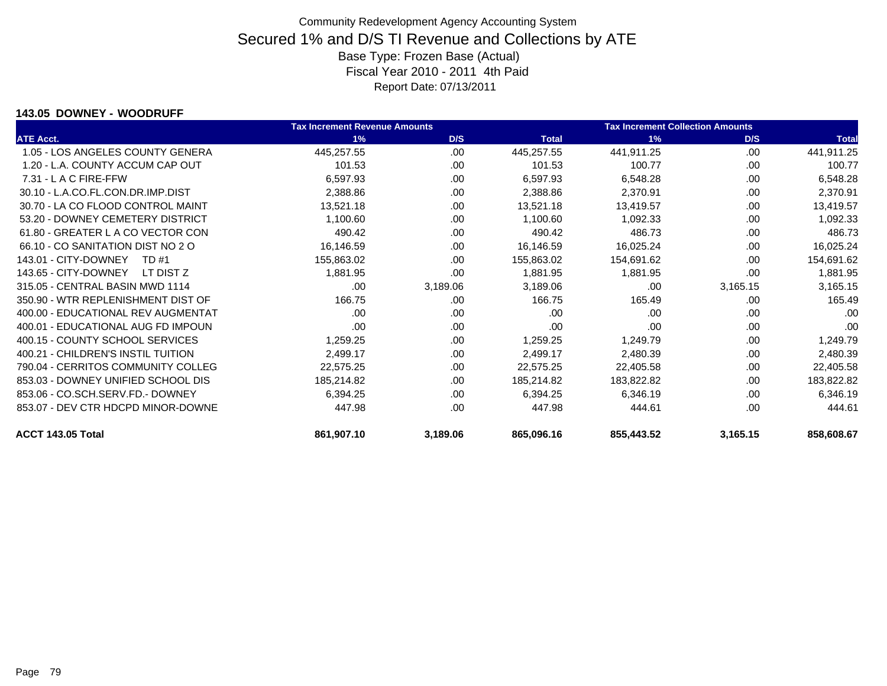#### **143.05 DOWNEY - WOODRUFF**

|                                    | <b>Tax Increment Revenue Amounts</b> |          |              | <b>Tax Increment Collection Amounts</b> |          |              |
|------------------------------------|--------------------------------------|----------|--------------|-----------------------------------------|----------|--------------|
| <b>ATE Acct.</b>                   | 1%                                   | D/S      | <b>Total</b> | 1%                                      | D/S      | <b>Total</b> |
| 1.05 - LOS ANGELES COUNTY GENERA   | 445,257.55                           | .00      | 445,257.55   | 441,911.25                              | .00      | 441,911.25   |
| 1.20 - L.A. COUNTY ACCUM CAP OUT   | 101.53                               | .00      | 101.53       | 100.77                                  | .00      | 100.77       |
| 7.31 - L A C FIRE-FFW              | 6,597.93                             | .00      | 6,597.93     | 6,548.28                                | .00      | 6,548.28     |
| 30.10 - L.A.CO.FL.CON.DR.IMP.DIST  | 2,388.86                             | .00      | 2,388.86     | 2,370.91                                | .00      | 2,370.91     |
| 30.70 - LA CO FLOOD CONTROL MAINT  | 13,521.18                            | .00.     | 13,521.18    | 13,419.57                               | .00      | 13,419.57    |
| 53.20 - DOWNEY CEMETERY DISTRICT   | 1,100.60                             | .00      | 1,100.60     | 1,092.33                                | .00      | 1,092.33     |
| 61.80 - GREATER L A CO VECTOR CON  | 490.42                               | .00      | 490.42       | 486.73                                  | .00      | 486.73       |
| 66.10 - CO SANITATION DIST NO 2 O  | 16,146.59                            | .00      | 16,146.59    | 16,025.24                               | .00      | 16,025.24    |
| 143.01 - CITY-DOWNEY<br>TD #1      | 155,863.02                           | .00      | 155,863.02   | 154,691.62                              | .00      | 154,691.62   |
| 143.65 - CITY-DOWNEY<br>LT DIST Z  | 1,881.95                             | .00.     | 1,881.95     | 1,881.95                                | .00      | 1,881.95     |
| 315.05 - CENTRAL BASIN MWD 1114    | .00                                  | 3,189.06 | 3,189.06     | .00                                     | 3,165.15 | 3,165.15     |
| 350.90 - WTR REPLENISHMENT DIST OF | 166.75                               | .00      | 166.75       | 165.49                                  | .00      | 165.49       |
| 400.00 - EDUCATIONAL REV AUGMENTAT | .00                                  | .00      | .00          | .00                                     | .00      | .00          |
| 400.01 - EDUCATIONAL AUG FD IMPOUN | .00                                  | .00      | .00          | .00                                     | .00      | .00          |
| 400.15 - COUNTY SCHOOL SERVICES    | 1,259.25                             | .00      | 1,259.25     | 1,249.79                                | .00      | 1,249.79     |
| 400.21 - CHILDREN'S INSTIL TUITION | 2,499.17                             | .00      | 2,499.17     | 2,480.39                                | .00      | 2,480.39     |
| 790.04 - CERRITOS COMMUNITY COLLEG | 22,575.25                            | .00      | 22,575.25    | 22,405.58                               | .00      | 22,405.58    |
| 853.03 - DOWNEY UNIFIED SCHOOL DIS | 185,214.82                           | .00      | 185,214.82   | 183,822.82                              | .00      | 183,822.82   |
| 853.06 - CO.SCH.SERV.FD.- DOWNEY   | 6,394.25                             | .00      | 6,394.25     | 6,346.19                                | .00      | 6,346.19     |
| 853.07 - DEV CTR HDCPD MINOR-DOWNE | 447.98                               | .00      | 447.98       | 444.61                                  | .00      | 444.61       |
| ACCT 143.05 Total                  | 861,907.10                           | 3,189.06 | 865,096.16   | 855,443.52                              | 3,165.15 | 858,608.67   |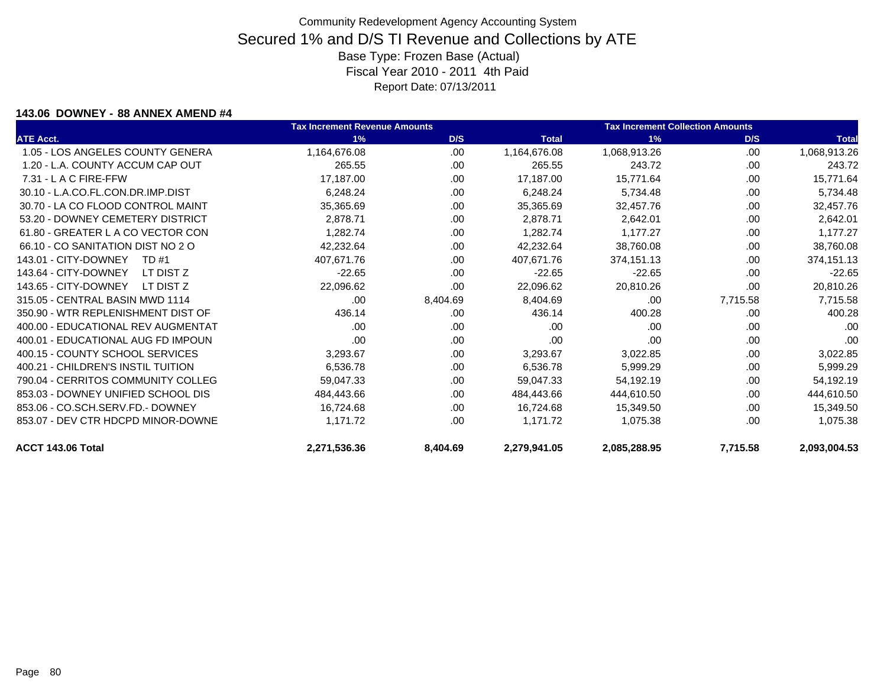#### **143.06 DOWNEY - 88 ANNEX AMEND #4**

|                                    | <b>Tax Increment Revenue Amounts</b> |          |              | <b>Tax Increment Collection Amounts</b> |          |              |
|------------------------------------|--------------------------------------|----------|--------------|-----------------------------------------|----------|--------------|
| <b>ATE Acct.</b>                   | 1%                                   | D/S      | <b>Total</b> | 1%                                      | D/S      | <b>Total</b> |
| 1.05 - LOS ANGELES COUNTY GENERA   | 1,164,676.08                         | .00      | 1,164,676.08 | 1,068,913.26                            | .00      | 1,068,913.26 |
| 1.20 - L.A. COUNTY ACCUM CAP OUT   | 265.55                               | .00      | 265.55       | 243.72                                  | .00.     | 243.72       |
| $7.31 - L$ A C FIRE-FFW            | 17,187.00                            | .00.     | 17,187.00    | 15,771.64                               | .00      | 15,771.64    |
| 30.10 - L.A.CO.FL.CON.DR.IMP.DIST  | 6,248.24                             | .00.     | 6,248.24     | 5,734.48                                | .00      | 5,734.48     |
| 30.70 - LA CO FLOOD CONTROL MAINT  | 35,365.69                            | .00      | 35,365.69    | 32,457.76                               | .00      | 32,457.76    |
| 53.20 - DOWNEY CEMETERY DISTRICT   | 2,878.71                             | .00      | 2,878.71     | 2,642.01                                | .00      | 2,642.01     |
| 61.80 - GREATER L A CO VECTOR CON  | 1,282.74                             | .00      | 1,282.74     | 1.177.27                                | .00      | 1,177.27     |
| 66.10 - CO SANITATION DIST NO 2 O  | 42,232.64                            | .00.     | 42,232.64    | 38,760.08                               | .00      | 38,760.08    |
| 143.01 - CITY-DOWNEY<br>TD #1      | 407,671.76                           | .00.     | 407.671.76   | 374.151.13                              | .00      | 374,151.13   |
| 143.64 - CITY-DOWNEY<br>LT DIST Z  | $-22.65$                             | .00.     | $-22.65$     | $-22.65$                                | .00      | $-22.65$     |
| 143.65 - CITY-DOWNEY<br>LT DIST Z  | 22,096.62                            | .00      | 22,096.62    | 20,810.26                               | .00.     | 20,810.26    |
| 315.05 - CENTRAL BASIN MWD 1114    | .00                                  | 8,404.69 | 8,404.69     | .00                                     | 7,715.58 | 7,715.58     |
| 350.90 - WTR REPLENISHMENT DIST OF | 436.14                               | .00      | 436.14       | 400.28                                  | .00      | 400.28       |
| 400.00 - EDUCATIONAL REV AUGMENTAT | .00                                  | .00      | .00          | .00                                     | .00      | .00          |
| 400.01 - EDUCATIONAL AUG FD IMPOUN | .00                                  | .00      | .00          | .00                                     | .00      | .00          |
| 400.15 - COUNTY SCHOOL SERVICES    | 3,293.67                             | .00      | 3,293.67     | 3,022.85                                | .00      | 3,022.85     |
| 400.21 - CHILDREN'S INSTIL TUITION | 6,536.78                             | .00      | 6.536.78     | 5,999.29                                | .00      | 5,999.29     |
| 790.04 - CERRITOS COMMUNITY COLLEG | 59,047.33                            | .00      | 59.047.33    | 54,192.19                               | .00      | 54,192.19    |
| 853.03 - DOWNEY UNIFIED SCHOOL DIS | 484,443.66                           | .00      | 484,443.66   | 444,610.50                              | .00      | 444,610.50   |
| 853.06 - CO.SCH.SERV.FD.- DOWNEY   | 16,724.68                            | .00      | 16,724.68    | 15,349.50                               | .00      | 15,349.50    |
| 853.07 - DEV CTR HDCPD MINOR-DOWNE | 1,171.72                             | .00.     | 1,171.72     | 1,075.38                                | .00      | 1,075.38     |
| ACCT 143.06 Total                  | 2,271,536.36                         | 8,404.69 | 2,279,941.05 | 2,085,288.95                            | 7,715.58 | 2,093,004.53 |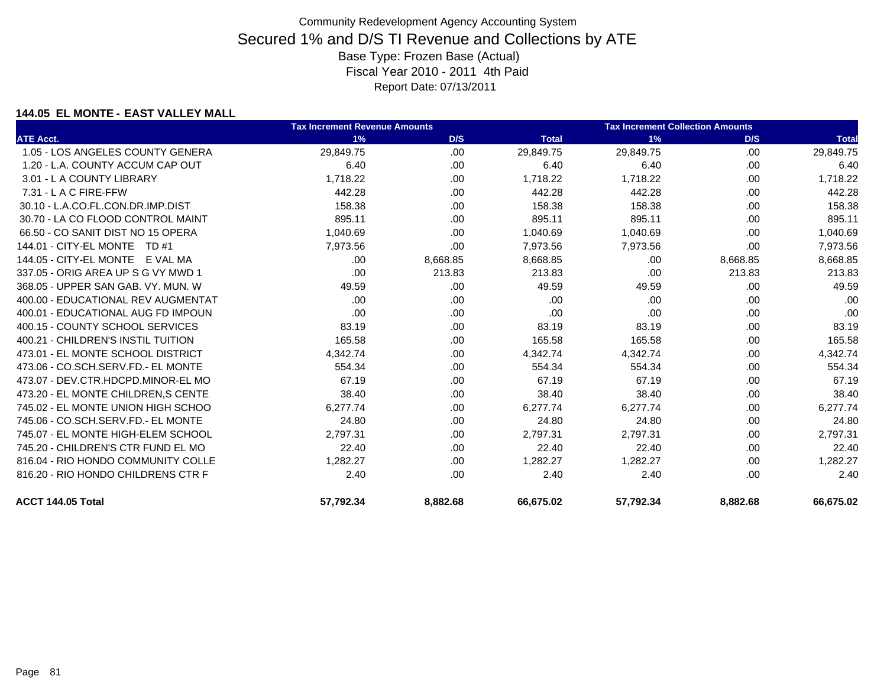### **144.05 EL MONTE - EAST VALLEY MALL**

|                                     | <b>Tax Increment Revenue Amounts</b> |          |              | <b>Tax Increment Collection Amounts</b> |          |              |
|-------------------------------------|--------------------------------------|----------|--------------|-----------------------------------------|----------|--------------|
| <b>ATE Acct.</b>                    | 1%                                   | D/S      | <b>Total</b> | 1%                                      | D/S      | <b>Total</b> |
| 1.05 - LOS ANGELES COUNTY GENERA    | 29,849.75                            | .00      | 29,849.75    | 29,849.75                               | .00      | 29,849.75    |
| 1.20 - L.A. COUNTY ACCUM CAP OUT    | 6.40                                 | .00.     | 6.40         | 6.40                                    | .00      | 6.40         |
| 3.01 - L A COUNTY LIBRARY           | 1,718.22                             | .00.     | 1,718.22     | 1,718.22                                | .00.     | 1.718.22     |
| 7.31 - L A C FIRE-FFW               | 442.28                               | .00.     | 442.28       | 442.28                                  | .00      | 442.28       |
| 30.10 - L.A.CO.FL.CON.DR.IMP.DIST   | 158.38                               | .00      | 158.38       | 158.38                                  | .00      | 158.38       |
| 30.70 - LA CO FLOOD CONTROL MAINT   | 895.11                               | .00      | 895.11       | 895.11                                  | .00      | 895.11       |
| 66.50 - CO SANIT DIST NO 15 OPERA   | 1,040.69                             | .00      | 1,040.69     | 1,040.69                                | .00      | 1,040.69     |
| 144.01 - CITY-EL MONTE TD #1        | 7,973.56                             | .00.     | 7,973.56     | 7,973.56                                | .00      | 7,973.56     |
| 144.05 - CITY-EL MONTE E VAL MA     | .00.                                 | 8,668.85 | 8,668.85     | .00                                     | 8,668.85 | 8,668.85     |
| 337.05 - ORIG AREA UP S G VY MWD 1  | .00                                  | 213.83   | 213.83       | .00                                     | 213.83   | 213.83       |
| 368.05 - UPPER SAN GAB, VY, MUN, W  | 49.59                                | .00      | 49.59        | 49.59                                   | .00      | 49.59        |
| 400.00 - EDUCATIONAL REV AUGMENTAT  | .00                                  | .00.     | .00          | .00                                     | .00      | .00          |
| 400.01 - EDUCATIONAL AUG FD IMPOUN  | .00                                  | .00.     | .00          | .00                                     | .00.     | .00          |
| 400.15 - COUNTY SCHOOL SERVICES     | 83.19                                | .00      | 83.19        | 83.19                                   | .00      | 83.19        |
| 400.21 - CHILDREN'S INSTIL TUITION  | 165.58                               | .00.     | 165.58       | 165.58                                  | .00      | 165.58       |
| 473.01 - EL MONTE SCHOOL DISTRICT   | 4,342.74                             | .00.     | 4,342.74     | 4,342.74                                | .00      | 4,342.74     |
| 473.06 - CO.SCH.SERV.FD.- EL MONTE  | 554.34                               | .00      | 554.34       | 554.34                                  | .00      | 554.34       |
| 473.07 - DEV.CTR.HDCPD.MINOR-EL MO  | 67.19                                | .00.     | 67.19        | 67.19                                   | .00      | 67.19        |
| 473.20 - EL MONTE CHILDREN, S CENTE | 38.40                                | .00      | 38.40        | 38.40                                   | .00      | 38.40        |
| 745.02 - EL MONTE UNION HIGH SCHOO  | 6.277.74                             | .00      | 6,277.74     | 6.277.74                                | .00      | 6.277.74     |
| 745.06 - CO.SCH.SERV.FD.- EL MONTE  | 24.80                                | .00.     | 24.80        | 24.80                                   | .00      | 24.80        |
| 745.07 - EL MONTE HIGH-ELEM SCHOOL  | 2,797.31                             | .00      | 2,797.31     | 2,797.31                                | .00      | 2,797.31     |
| 745.20 - CHILDREN'S CTR FUND EL MO  | 22.40                                | .00.     | 22.40        | 22.40                                   | .00.     | 22.40        |
| 816.04 - RIO HONDO COMMUNITY COLLE  | 1,282.27                             | .00      | 1,282.27     | 1,282.27                                | .00.     | 1,282.27     |
| 816.20 - RIO HONDO CHILDRENS CTR F  | 2.40                                 | .00      | 2.40         | 2.40                                    | .00      | 2.40         |
| ACCT 144.05 Total                   | 57,792.34                            | 8,882.68 | 66,675.02    | 57,792.34                               | 8,882.68 | 66,675.02    |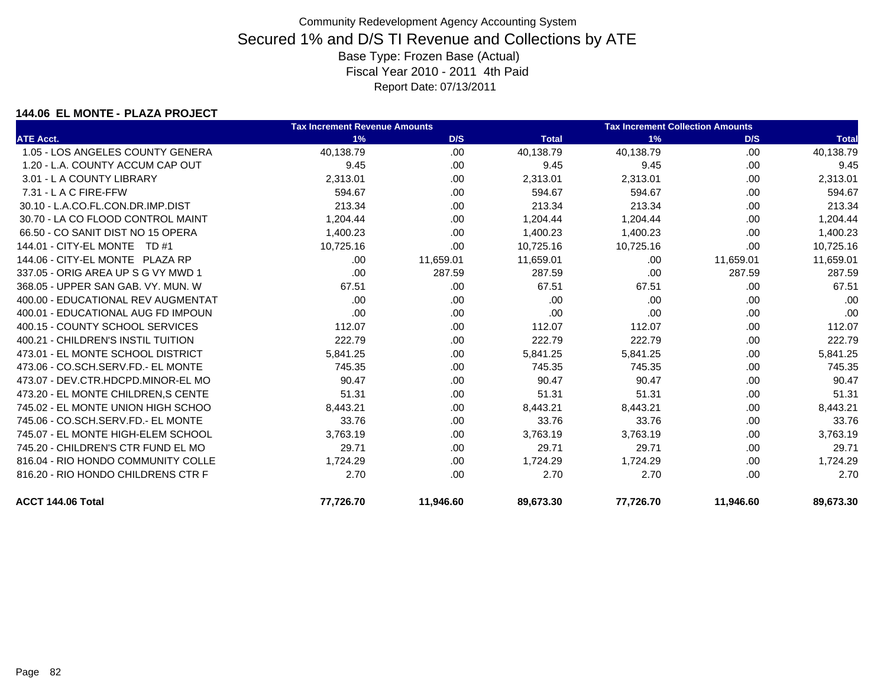### **144.06 EL MONTE - PLAZA PROJECT**

|                                     | <b>Tax Increment Revenue Amounts</b> |           |              | <b>Tax Increment Collection Amounts</b> |           |              |
|-------------------------------------|--------------------------------------|-----------|--------------|-----------------------------------------|-----------|--------------|
| <b>ATE Acct.</b>                    | 1%                                   | D/S       | <b>Total</b> | 1%                                      | D/S       | <b>Total</b> |
| 1.05 - LOS ANGELES COUNTY GENERA    | 40,138.79                            | .00.      | 40,138.79    | 40,138.79                               | .00       | 40,138.79    |
| 1.20 - L.A. COUNTY ACCUM CAP OUT    | 9.45                                 | .00.      | 9.45         | 9.45                                    | .00       | 9.45         |
| 3.01 - L A COUNTY LIBRARY           | 2,313.01                             | .00       | 2,313.01     | 2,313.01                                | .00.      | 2,313.01     |
| 7.31 - L A C FIRE-FFW               | 594.67                               | .00       | 594.67       | 594.67                                  | .00       | 594.67       |
| 30.10 - L.A.CO.FL.CON.DR.IMP.DIST   | 213.34                               | .00.      | 213.34       | 213.34                                  | .00       | 213.34       |
| 30.70 - LA CO FLOOD CONTROL MAINT   | 1,204.44                             | .00.      | 1,204.44     | 1,204.44                                | .00       | 1,204.44     |
| 66.50 - CO SANIT DIST NO 15 OPERA   | 1,400.23                             | .00       | 1,400.23     | 1,400.23                                | .00       | 1,400.23     |
| 144.01 - CITY-EL MONTE TD #1        | 10,725.16                            | .00.      | 10,725.16    | 10,725.16                               | .00.      | 10,725.16    |
| 144.06 - CITY-EL MONTE PLAZA RP     | .00                                  | 11,659.01 | 11,659.01    | .00                                     | 11,659.01 | 11,659.01    |
| 337.05 - ORIG AREA UP S G VY MWD 1  | .00                                  | 287.59    | 287.59       | .00                                     | 287.59    | 287.59       |
| 368.05 - UPPER SAN GAB, VY, MUN, W  | 67.51                                | .00.      | 67.51        | 67.51                                   | .00       | 67.51        |
| 400.00 - EDUCATIONAL REV AUGMENTAT  | .00                                  | .00       | .00          | .00                                     | .00       | .00          |
| 400.01 - EDUCATIONAL AUG FD IMPOUN  | .00                                  | .00.      | .00          | .00                                     | .00.      | .00          |
| 400.15 - COUNTY SCHOOL SERVICES     | 112.07                               | .00.      | 112.07       | 112.07                                  | .00       | 112.07       |
| 400.21 - CHILDREN'S INSTIL TUITION  | 222.79                               | .00.      | 222.79       | 222.79                                  | .00       | 222.79       |
| 473.01 - EL MONTE SCHOOL DISTRICT   | 5,841.25                             | .00.      | 5,841.25     | 5,841.25                                | .00.      | 5,841.25     |
| 473.06 - CO.SCH.SERV.FD.- EL MONTE  | 745.35                               | .00       | 745.35       | 745.35                                  | .00       | 745.35       |
| 473.07 - DEV.CTR.HDCPD.MINOR-EL MO  | 90.47                                | .00       | 90.47        | 90.47                                   | .00       | 90.47        |
| 473.20 - EL MONTE CHILDREN, S CENTE | 51.31                                | .00.      | 51.31        | 51.31                                   | .00       | 51.31        |
| 745.02 - EL MONTE UNION HIGH SCHOO  | 8,443.21                             | .00.      | 8,443.21     | 8,443.21                                | .00       | 8,443.21     |
| 745.06 - CO.SCH.SERV.FD.- EL MONTE  | 33.76                                | .00       | 33.76        | 33.76                                   | .00       | 33.76        |
| 745.07 - EL MONTE HIGH-ELEM SCHOOL  | 3,763.19                             | .00       | 3,763.19     | 3,763.19                                | .00       | 3,763.19     |
| 745.20 - CHILDREN'S CTR FUND EL MO  | 29.71                                | .00       | 29.71        | 29.71                                   | .00       | 29.71        |
| 816.04 - RIO HONDO COMMUNITY COLLE  | 1,724.29                             | .00.      | 1,724.29     | 1,724.29                                | .00       | 1,724.29     |
| 816.20 - RIO HONDO CHILDRENS CTR F  | 2.70                                 | .00.      | 2.70         | 2.70                                    | .00.      | 2.70         |
| ACCT 144.06 Total                   | 77,726.70                            | 11,946.60 | 89,673.30    | 77,726.70                               | 11,946.60 | 89,673.30    |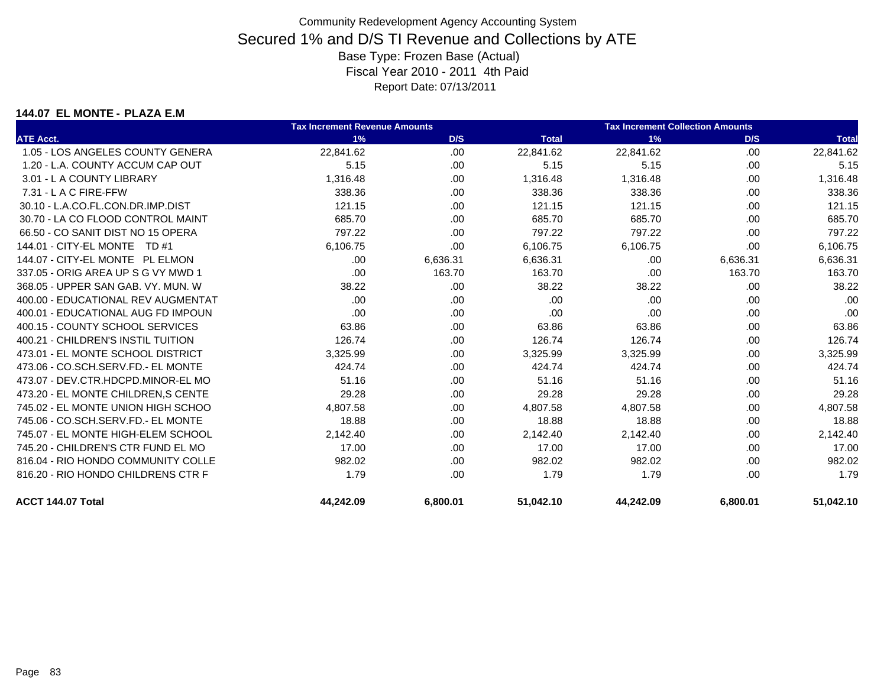### **144.07 EL MONTE - PLAZA E.M**

|                                     | <b>Tax Increment Revenue Amounts</b> |          |              | <b>Tax Increment Collection Amounts</b> |          |              |
|-------------------------------------|--------------------------------------|----------|--------------|-----------------------------------------|----------|--------------|
| <b>ATE Acct.</b>                    | 1%                                   | D/S      | <b>Total</b> | 1%                                      | D/S      | <b>Total</b> |
| 1.05 - LOS ANGELES COUNTY GENERA    | 22,841.62                            | .00      | 22,841.62    | 22,841.62                               | .00      | 22,841.62    |
| 1.20 - L.A. COUNTY ACCUM CAP OUT    | 5.15                                 | .00.     | 5.15         | 5.15                                    | .00      | 5.15         |
| 3.01 - L A COUNTY LIBRARY           | 1,316.48                             | .00      | 1,316.48     | 1,316.48                                | .00.     | 1,316.48     |
| 7.31 - L A C FIRE-FFW               | 338.36                               | .00      | 338.36       | 338.36                                  | .00.     | 338.36       |
| 30.10 - L.A.CO.FL.CON.DR.IMP.DIST   | 121.15                               | .00      | 121.15       | 121.15                                  | .00      | 121.15       |
| 30.70 - LA CO FLOOD CONTROL MAINT   | 685.70                               | .00      | 685.70       | 685.70                                  | .00.     | 685.70       |
| 66.50 - CO SANIT DIST NO 15 OPERA   | 797.22                               | .00      | 797.22       | 797.22                                  | .00.     | 797.22       |
| 144.01 - CITY-EL MONTE TD #1        | 6,106.75                             | .00      | 6,106.75     | 6,106.75                                | .00      | 6,106.75     |
| 144.07 - CITY-EL MONTE PL ELMON     | .00                                  | 6,636.31 | 6.636.31     | .00                                     | 6,636.31 | 6,636.31     |
| 337.05 - ORIG AREA UP S G VY MWD 1  | .00                                  | 163.70   | 163.70       | .00                                     | 163.70   | 163.70       |
| 368.05 - UPPER SAN GAB. VY. MUN. W  | 38.22                                | .00      | 38.22        | 38.22                                   | .00.     | 38.22        |
| 400.00 - EDUCATIONAL REV AUGMENTAT  | .00.                                 | .00      | .00          | .00                                     | .00.     | .00          |
| 400.01 - EDUCATIONAL AUG FD IMPOUN  | .00                                  | .00.     | .00          | .00                                     | .00.     | .00          |
| 400.15 - COUNTY SCHOOL SERVICES     | 63.86                                | .00      | 63.86        | 63.86                                   | .00.     | 63.86        |
| 400.21 - CHILDREN'S INSTIL TUITION  | 126.74                               | .00      | 126.74       | 126.74                                  | .00      | 126.74       |
| 473.01 - EL MONTE SCHOOL DISTRICT   | 3,325.99                             | .00      | 3,325.99     | 3,325.99                                | .00.     | 3,325.99     |
| 473.06 - CO.SCH.SERV.FD.- EL MONTE  | 424.74                               | .00      | 424.74       | 424.74                                  | .00      | 424.74       |
| 473.07 - DEV.CTR.HDCPD.MINOR-EL MO  | 51.16                                | .00      | 51.16        | 51.16                                   | .00.     | 51.16        |
| 473.20 - EL MONTE CHILDREN, S CENTE | 29.28                                | .00      | 29.28        | 29.28                                   | .00.     | 29.28        |
| 745.02 - EL MONTE UNION HIGH SCHOO  | 4,807.58                             | .00.     | 4,807.58     | 4,807.58                                | .00      | 4,807.58     |
| 745.06 - CO.SCH.SERV.FD.- EL MONTE  | 18.88                                | .00      | 18.88        | 18.88                                   | .00      | 18.88        |
| 745.07 - EL MONTE HIGH-ELEM SCHOOL  | 2,142.40                             | .00      | 2,142.40     | 2,142.40                                | .00      | 2,142.40     |
| 745.20 - CHILDREN'S CTR FUND EL MO  | 17.00                                | .00      | 17.00        | 17.00                                   | .00.     | 17.00        |
| 816.04 - RIO HONDO COMMUNITY COLLE  | 982.02                               | .00      | 982.02       | 982.02                                  | .00.     | 982.02       |
| 816.20 - RIO HONDO CHILDRENS CTR F  | 1.79                                 | .00      | 1.79         | 1.79                                    | .00      | 1.79         |
| ACCT 144.07 Total                   | 44,242.09                            | 6,800.01 | 51,042.10    | 44,242.09                               | 6,800.01 | 51,042.10    |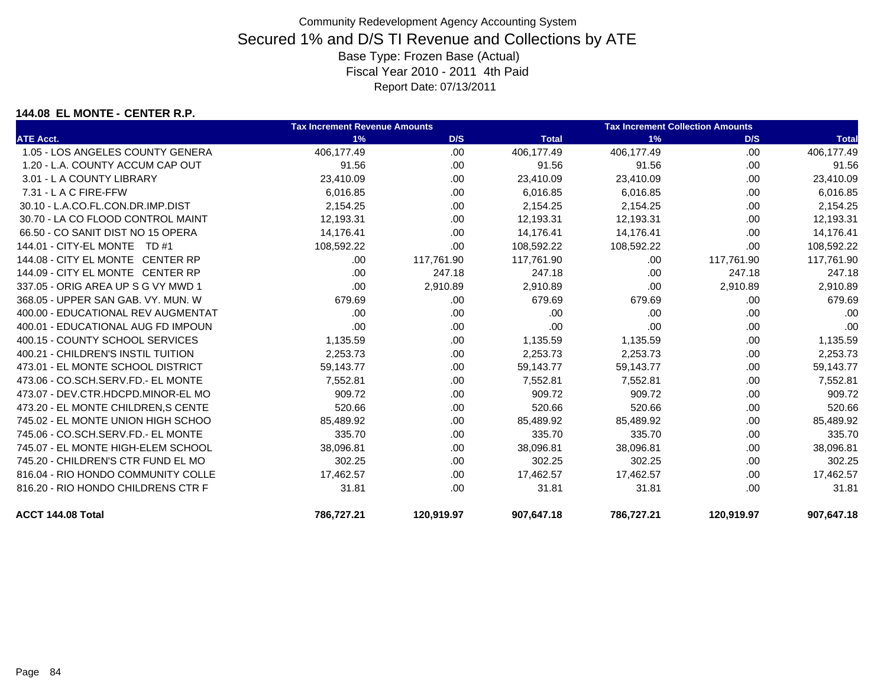### **144.08 EL MONTE - CENTER R.P.**

|                                     | <b>Tax Increment Revenue Amounts</b> |            |              | <b>Tax Increment Collection Amounts</b> |            |              |
|-------------------------------------|--------------------------------------|------------|--------------|-----------------------------------------|------------|--------------|
| <b>ATE Acct.</b>                    | 1%                                   | D/S        | <b>Total</b> | 1%                                      | D/S        | <b>Total</b> |
| 1.05 - LOS ANGELES COUNTY GENERA    | 406,177.49                           | .00        | 406,177.49   | 406,177.49                              | .00        | 406,177.49   |
| 1.20 - L.A. COUNTY ACCUM CAP OUT    | 91.56                                | .00        | 91.56        | 91.56                                   | .00        | 91.56        |
| 3.01 - L A COUNTY LIBRARY           | 23,410.09                            | .00.       | 23,410.09    | 23,410.09                               | .00.       | 23,410.09    |
| $7.31 - L$ A C FIRE-FFW             | 6,016.85                             | .00        | 6,016.85     | 6,016.85                                | .00        | 6,016.85     |
| 30.10 - L.A.CO.FL.CON.DR.IMP.DIST   | 2,154.25                             | .00.       | 2,154.25     | 2,154.25                                | .00        | 2,154.25     |
| 30.70 - LA CO FLOOD CONTROL MAINT   | 12,193.31                            | .00.       | 12,193.31    | 12,193.31                               | .00.       | 12,193.31    |
| 66.50 - CO SANIT DIST NO 15 OPERA   | 14,176.41                            | .00.       | 14,176.41    | 14,176.41                               | .00        | 14,176.41    |
| 144.01 - CITY-EL MONTE TD #1        | 108,592.22                           | .00        | 108,592.22   | 108,592.22                              | .00.       | 108,592.22   |
| 144.08 - CITY EL MONTE CENTER RP    | .00.                                 | 117,761.90 | 117,761.90   | .00                                     | 117,761.90 | 117,761.90   |
| 144.09 - CITY EL MONTE CENTER RP    | .00.                                 | 247.18     | 247.18       | .00                                     | 247.18     | 247.18       |
| 337.05 - ORIG AREA UP S G VY MWD 1  | .00.                                 | 2,910.89   | 2,910.89     | .00                                     | 2,910.89   | 2,910.89     |
| 368.05 - UPPER SAN GAB, VY, MUN, W  | 679.69                               | .00.       | 679.69       | 679.69                                  | .00.       | 679.69       |
| 400.00 - EDUCATIONAL REV AUGMENTAT  | .00.                                 | .00.       | .00          | .00                                     | .00.       | .00          |
| 400.01 - EDUCATIONAL AUG FD IMPOUN  | .00                                  | .00        | .00          | .00                                     | .00.       | .00          |
| 400.15 - COUNTY SCHOOL SERVICES     | 1,135.59                             | .00.       | 1,135.59     | 1,135.59                                | .00        | 1,135.59     |
| 400.21 - CHILDREN'S INSTIL TUITION  | 2,253.73                             | .00        | 2,253.73     | 2,253.73                                | .00        | 2,253.73     |
| 473.01 - EL MONTE SCHOOL DISTRICT   | 59,143.77                            | .00.       | 59,143.77    | 59,143.77                               | .00.       | 59,143.77    |
| 473.06 - CO.SCH.SERV.FD.- EL MONTE  | 7,552.81                             | .00.       | 7,552.81     | 7,552.81                                | .00        | 7,552.81     |
| 473.07 - DEV.CTR.HDCPD.MINOR-EL MO  | 909.72                               | .00.       | 909.72       | 909.72                                  | .00        | 909.72       |
| 473.20 - EL MONTE CHILDREN, S CENTE | 520.66                               | .00.       | 520.66       | 520.66                                  | .00        | 520.66       |
| 745.02 - EL MONTE UNION HIGH SCHOO  | 85,489.92                            | .00.       | 85,489.92    | 85,489.92                               | .00        | 85,489.92    |
| 745.06 - CO.SCH.SERV.FD.- EL MONTE  | 335.70                               | .00.       | 335.70       | 335.70                                  | .00        | 335.70       |
| 745.07 - EL MONTE HIGH-ELEM SCHOOL  | 38,096.81                            | .00.       | 38,096.81    | 38,096.81                               | .00        | 38,096.81    |
| 745.20 - CHILDREN'S CTR FUND EL MO  | 302.25                               | .00.       | 302.25       | 302.25                                  | .00        | 302.25       |
| 816.04 - RIO HONDO COMMUNITY COLLE  | 17,462.57                            | .00.       | 17,462.57    | 17,462.57                               | .00        | 17,462.57    |
| 816.20 - RIO HONDO CHILDRENS CTR F  | 31.81                                | .00        | 31.81        | 31.81                                   | .00        | 31.81        |
| ACCT 144.08 Total                   | 786,727.21                           | 120,919.97 | 907,647.18   | 786,727.21                              | 120,919.97 | 907,647.18   |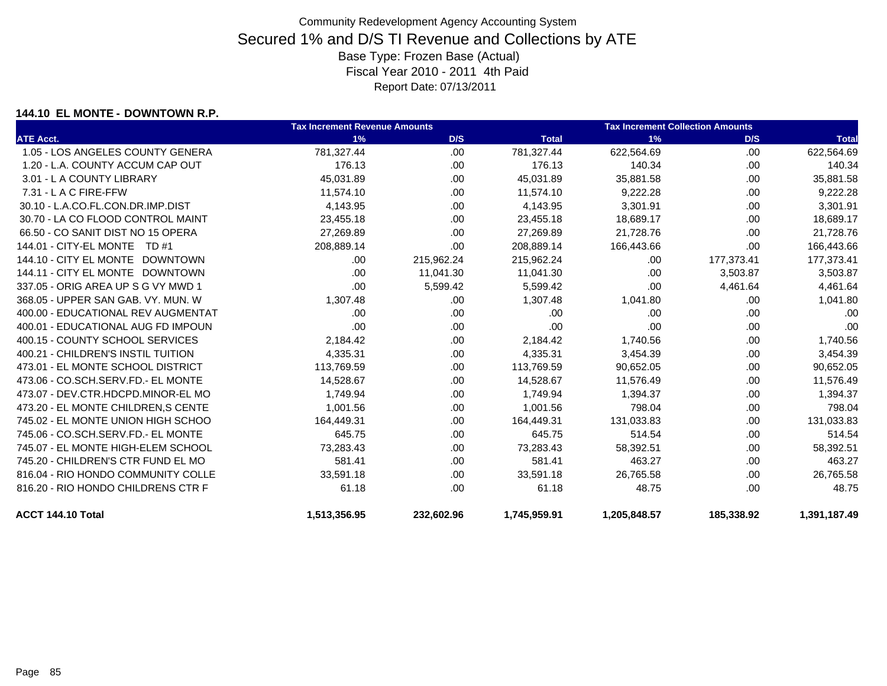### **144.10 EL MONTE - DOWNTOWN R.P.**

|                                     | <b>Tax Increment Revenue Amounts</b> |            |              | <b>Tax Increment Collection Amounts</b> |            |              |
|-------------------------------------|--------------------------------------|------------|--------------|-----------------------------------------|------------|--------------|
| <b>ATE Acct.</b>                    | 1%                                   | D/S        | <b>Total</b> | 1%                                      | D/S        | <b>Total</b> |
| 1.05 - LOS ANGELES COUNTY GENERA    | 781,327.44                           | .00        | 781,327.44   | 622,564.69                              | .00        | 622,564.69   |
| 1.20 - L.A. COUNTY ACCUM CAP OUT    | 176.13                               | .00.       | 176.13       | 140.34                                  | .00.       | 140.34       |
| 3.01 - L A COUNTY LIBRARY           | 45,031.89                            | .00.       | 45,031.89    | 35,881.58                               | .00.       | 35,881.58    |
| 7.31 - L A C FIRE-FFW               | 11,574.10                            | .00        | 11,574.10    | 9,222.28                                | .00        | 9,222.28     |
| 30.10 - L.A.CO.FL.CON.DR.IMP.DIST   | 4,143.95                             | .00.       | 4,143.95     | 3,301.91                                | .00.       | 3,301.91     |
| 30.70 - LA CO FLOOD CONTROL MAINT   | 23,455.18                            | .00        | 23,455.18    | 18,689.17                               | .00.       | 18,689.17    |
| 66.50 - CO SANIT DIST NO 15 OPERA   | 27,269.89                            | .00.       | 27,269.89    | 21,728.76                               | .00        | 21,728.76    |
| 144.01 - CITY-EL MONTE TD #1        | 208,889.14                           | .00        | 208,889.14   | 166,443.66                              | .00        | 166,443.66   |
| 144.10 - CITY EL MONTE DOWNTOWN     | .00                                  | 215,962.24 | 215,962.24   | .00.                                    | 177,373.41 | 177,373.41   |
| 144.11 - CITY EL MONTE DOWNTOWN     | .00.                                 | 11,041.30  | 11,041.30    | .00                                     | 3,503.87   | 3,503.87     |
| 337.05 - ORIG AREA UP S G VY MWD 1  | .00                                  | 5,599.42   | 5,599.42     | .00                                     | 4,461.64   | 4,461.64     |
| 368.05 - UPPER SAN GAB, VY, MUN, W  | 1.307.48                             | .00        | 1,307.48     | 1,041.80                                | .00.       | 1,041.80     |
| 400.00 - EDUCATIONAL REV AUGMENTAT  | .00.                                 | .00        | .00          | .00                                     | .00.       | .00          |
| 400.01 - EDUCATIONAL AUG FD IMPOUN  | .00.                                 | .00.       | .00          | .00                                     | .00.       | .00          |
| 400.15 - COUNTY SCHOOL SERVICES     | 2,184.42                             | .00.       | 2,184.42     | 1,740.56                                | .00        | 1,740.56     |
| 400.21 - CHILDREN'S INSTIL TUITION  | 4,335.31                             | .00        | 4,335.31     | 3,454.39                                | .00        | 3,454.39     |
| 473.01 - EL MONTE SCHOOL DISTRICT   | 113,769.59                           | .00.       | 113,769.59   | 90,652.05                               | .00        | 90,652.05    |
| 473.06 - CO.SCH.SERV.FD.- EL MONTE  | 14,528.67                            | .00.       | 14,528.67    | 11,576.49                               | .00        | 11,576.49    |
| 473.07 - DEV.CTR.HDCPD.MINOR-EL MO  | 1,749.94                             | .00.       | 1,749.94     | 1,394.37                                | .00        | 1,394.37     |
| 473.20 - EL MONTE CHILDREN, S CENTE | 1,001.56                             | .00.       | 1,001.56     | 798.04                                  | .00        | 798.04       |
| 745.02 - EL MONTE UNION HIGH SCHOO  | 164,449.31                           | .00.       | 164,449.31   | 131,033.83                              | .00        | 131,033.83   |
| 745.06 - CO.SCH.SERV.FD.- EL MONTE  | 645.75                               | .00.       | 645.75       | 514.54                                  | .00        | 514.54       |
| 745.07 - EL MONTE HIGH-ELEM SCHOOL  | 73,283.43                            | .00.       | 73,283.43    | 58,392.51                               | .00        | 58,392.51    |
| 745.20 - CHILDREN'S CTR FUND EL MO  | 581.41                               | .00.       | 581.41       | 463.27                                  | .00        | 463.27       |
| 816.04 - RIO HONDO COMMUNITY COLLE  | 33,591.18                            | .00.       | 33,591.18    | 26,765.58                               | .00        | 26,765.58    |
| 816.20 - RIO HONDO CHILDRENS CTR F  | 61.18                                | .00.       | 61.18        | 48.75                                   | .00.       | 48.75        |
| ACCT 144.10 Total                   | 1,513,356.95                         | 232,602.96 | 1,745,959.91 | 1,205,848.57                            | 185,338.92 | 1,391,187.49 |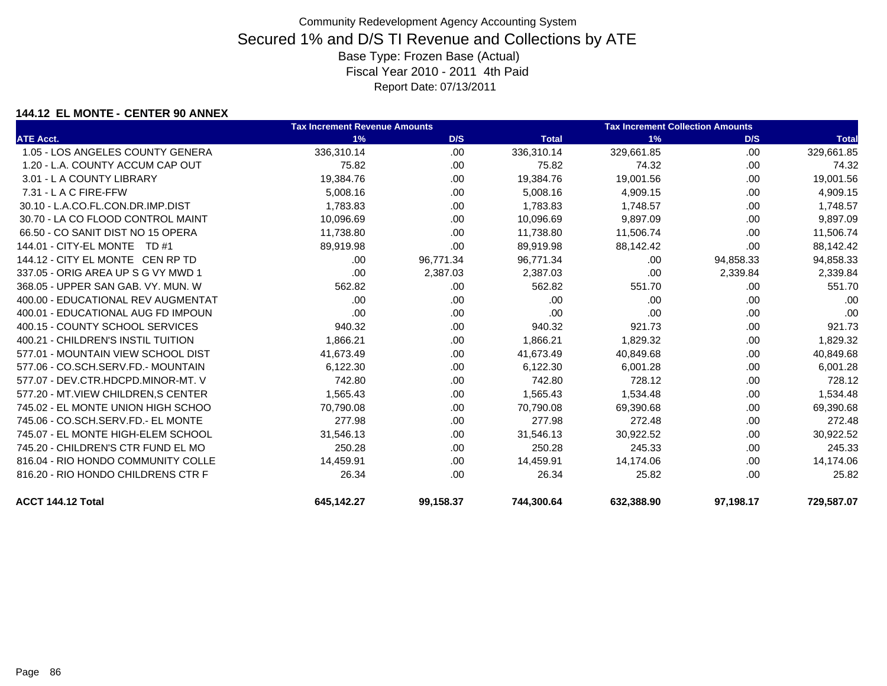### **144.12 EL MONTE - CENTER 90 ANNEX**

|                                      | <b>Tax Increment Revenue Amounts</b> |           |              | <b>Tax Increment Collection Amounts</b> |           |              |
|--------------------------------------|--------------------------------------|-----------|--------------|-----------------------------------------|-----------|--------------|
| <b>ATE Acct.</b>                     | 1%                                   | D/S       | <b>Total</b> | 1%                                      | D/S       | <b>Total</b> |
| 1.05 - LOS ANGELES COUNTY GENERA     | 336,310.14                           | .00.      | 336,310.14   | 329,661.85                              | .00       | 329,661.85   |
| 1.20 - L.A. COUNTY ACCUM CAP OUT     | 75.82                                | .00.      | 75.82        | 74.32                                   | .00       | 74.32        |
| 3.01 - L A COUNTY LIBRARY            | 19,384.76                            | .00       | 19,384.76    | 19,001.56                               | .00       | 19,001.56    |
| 7.31 - L A C FIRE-FFW                | 5,008.16                             | .00       | 5,008.16     | 4,909.15                                | .00       | 4,909.15     |
| 30.10 - L.A.CO.FL.CON.DR.IMP.DIST    | 1,783.83                             | .00.      | 1,783.83     | 1,748.57                                | .00       | 1,748.57     |
| 30.70 - LA CO FLOOD CONTROL MAINT    | 10,096.69                            | .00.      | 10,096.69    | 9,897.09                                | .00       | 9,897.09     |
| 66.50 - CO SANIT DIST NO 15 OPERA    | 11,738.80                            | .00       | 11,738.80    | 11,506.74                               | .00       | 11,506.74    |
| 144.01 - CITY-EL MONTE TD #1         | 89,919.98                            | .00.      | 89,919.98    | 88,142.42                               | .00.      | 88,142.42    |
| 144.12 - CITY EL MONTE CEN RP TD     | .00                                  | 96,771.34 | 96,771.34    | .00                                     | 94,858.33 | 94,858.33    |
| 337.05 - ORIG AREA UP S G VY MWD 1   | .00                                  | 2,387.03  | 2,387.03     | .00                                     | 2,339.84  | 2,339.84     |
| 368.05 - UPPER SAN GAB, VY, MUN, W   | 562.82                               | .00       | 562.82       | 551.70                                  | .00       | 551.70       |
| 400.00 - EDUCATIONAL REV AUGMENTAT   | .00                                  | .00       | .00          | .00                                     | .00.      | .00          |
| 400.01 - EDUCATIONAL AUG FD IMPOUN   | .00                                  | .00.      | .00          | .00                                     | .00       | .00          |
| 400.15 - COUNTY SCHOOL SERVICES      | 940.32                               | .00.      | 940.32       | 921.73                                  | .00       | 921.73       |
| 400.21 - CHILDREN'S INSTIL TUITION   | 1,866.21                             | .00       | 1,866.21     | 1,829.32                                | .00       | 1,829.32     |
| 577.01 - MOUNTAIN VIEW SCHOOL DIST   | 41,673.49                            | .00.      | 41,673.49    | 40,849.68                               | .00.      | 40,849.68    |
| 577.06 - CO.SCH.SERV.FD.- MOUNTAIN   | 6,122.30                             | .00.      | 6,122.30     | 6,001.28                                | .00       | 6,001.28     |
| 577.07 - DEV.CTR.HDCPD.MINOR-MT. V   | 742.80                               | .00.      | 742.80       | 728.12                                  | .00       | 728.12       |
| 577.20 - MT. VIEW CHILDREN. S CENTER | 1,565.43                             | .00       | 1.565.43     | 1,534.48                                | .00       | 1,534.48     |
| 745.02 - EL MONTE UNION HIGH SCHOO   | 70,790.08                            | .00       | 70,790.08    | 69,390.68                               | .00       | 69,390.68    |
| 745.06 - CO.SCH.SERV.FD.- EL MONTE   | 277.98                               | .00.      | 277.98       | 272.48                                  | .00       | 272.48       |
| 745.07 - EL MONTE HIGH-ELEM SCHOOL   | 31,546.13                            | .00       | 31,546.13    | 30,922.52                               | .00       | 30,922.52    |
| 745.20 - CHILDREN'S CTR FUND EL MO   | 250.28                               | .00       | 250.28       | 245.33                                  | .00       | 245.33       |
| 816.04 - RIO HONDO COMMUNITY COLLE   | 14,459.91                            | .00.      | 14,459.91    | 14,174.06                               | .00       | 14,174.06    |
| 816.20 - RIO HONDO CHILDRENS CTR F   | 26.34                                | .00.      | 26.34        | 25.82                                   | .00       | 25.82        |
| ACCT 144.12 Total                    | 645,142.27                           | 99,158.37 | 744,300.64   | 632,388.90                              | 97,198.17 | 729.587.07   |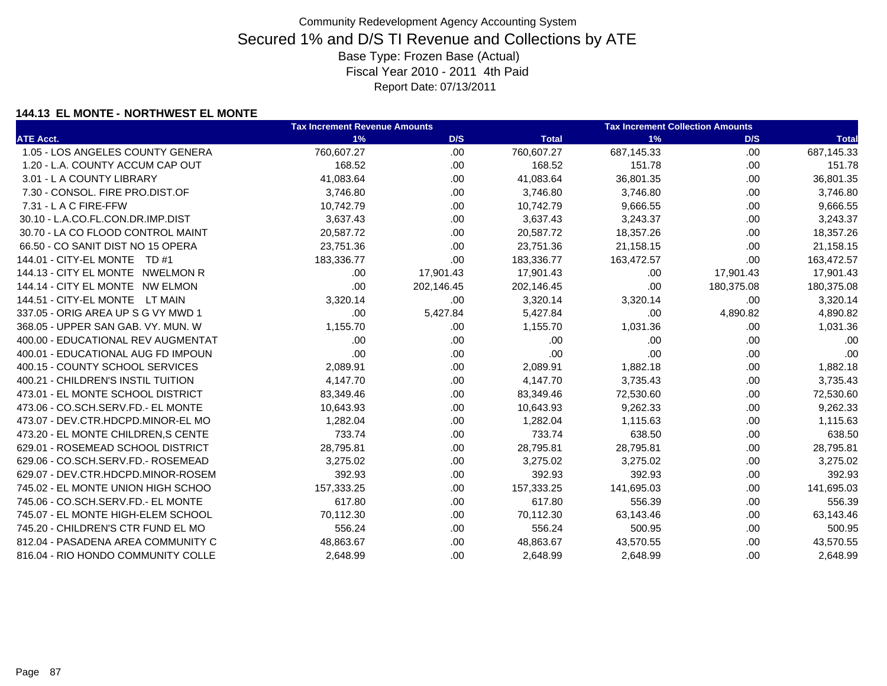### **144.13 EL MONTE - NORTHWEST EL MONTE**

|                                     | <b>Tax Increment Revenue Amounts</b> |            | <b>Tax Increment Collection Amounts</b> |            |            |              |
|-------------------------------------|--------------------------------------|------------|-----------------------------------------|------------|------------|--------------|
| <b>ATE Acct.</b>                    | 1%                                   | D/S        | <b>Total</b>                            | 1%         | D/S        | <b>Total</b> |
| 1.05 - LOS ANGELES COUNTY GENERA    | 760,607.27                           | .00        | 760,607.27                              | 687,145.33 | .00.       | 687,145.33   |
| 1.20 - L.A. COUNTY ACCUM CAP OUT    | 168.52                               | .00        | 168.52                                  | 151.78     | .00.       | 151.78       |
| 3.01 - L A COUNTY LIBRARY           | 41,083.64                            | .00        | 41,083.64                               | 36,801.35  | .00        | 36,801.35    |
| 7.30 - CONSOL, FIRE PRO.DIST.OF     | 3,746.80                             | .00        | 3,746.80                                | 3,746.80   | .00.       | 3,746.80     |
| 7.31 - L A C FIRE-FFW               | 10,742.79                            | .00        | 10,742.79                               | 9,666.55   | .00        | 9,666.55     |
| 30.10 - L.A.CO.FL.CON.DR.IMP.DIST   | 3,637.43                             | .00        | 3,637.43                                | 3,243.37   | .00.       | 3,243.37     |
| 30.70 - LA CO FLOOD CONTROL MAINT   | 20,587.72                            | .00        | 20,587.72                               | 18,357.26  | .00.       | 18,357.26    |
| 66.50 - CO SANIT DIST NO 15 OPERA   | 23,751.36                            | .00        | 23,751.36                               | 21,158.15  | .00        | 21,158.15    |
| 144.01 - CITY-EL MONTE TD #1        | 183,336.77                           | .00        | 183,336.77                              | 163,472.57 | .00        | 163,472.57   |
| 144.13 - CITY EL MONTE NWELMON R    | .00.                                 | 17,901.43  | 17,901.43                               | .00.       | 17,901.43  | 17,901.43    |
| 144.14 - CITY EL MONTE NW ELMON     | .00.                                 | 202,146.45 | 202,146.45                              | .00        | 180,375.08 | 180,375.08   |
| 144.51 - CITY-EL MONTE LT MAIN      | 3,320.14                             | .00        | 3,320.14                                | 3,320.14   | .00        | 3,320.14     |
| 337.05 - ORIG AREA UP S G VY MWD 1  | .00.                                 | 5,427.84   | 5,427.84                                | .00        | 4,890.82   | 4,890.82     |
| 368.05 - UPPER SAN GAB, VY, MUN, W  | 1,155.70                             | .00        | 1,155.70                                | 1,031.36   | .00.       | 1,031.36     |
| 400.00 - EDUCATIONAL REV AUGMENTAT  | .00.                                 | .00        | .00                                     | .00        | .00        | .00          |
| 400.01 - EDUCATIONAL AUG FD IMPOUN  | .00.                                 | .00        | .00                                     | .00        | .00.       | .00          |
| 400.15 - COUNTY SCHOOL SERVICES     | 2,089.91                             | .00        | 2,089.91                                | 1,882.18   | .00.       | 1,882.18     |
| 400.21 - CHILDREN'S INSTIL TUITION  | 4,147.70                             | .00        | 4,147.70                                | 3,735.43   | .00.       | 3,735.43     |
| 473.01 - EL MONTE SCHOOL DISTRICT   | 83,349.46                            | .00        | 83,349.46                               | 72,530.60  | .00        | 72,530.60    |
| 473.06 - CO.SCH.SERV.FD.- EL MONTE  | 10,643.93                            | .00        | 10,643.93                               | 9,262.33   | .00.       | 9,262.33     |
| 473.07 - DEV.CTR.HDCPD.MINOR-EL MO  | 1,282.04                             | .00        | 1,282.04                                | 1,115.63   | .00.       | 1,115.63     |
| 473.20 - EL MONTE CHILDREN, S CENTE | 733.74                               | .00        | 733.74                                  | 638.50     | .00.       | 638.50       |
| 629.01 - ROSEMEAD SCHOOL DISTRICT   | 28,795.81                            | .00        | 28,795.81                               | 28,795.81  | .00.       | 28,795.81    |
| 629.06 - CO.SCH.SERV.FD.- ROSEMEAD  | 3,275.02                             | .00        | 3,275.02                                | 3,275.02   | .00        | 3,275.02     |
| 629.07 - DEV.CTR.HDCPD.MINOR-ROSEM  | 392.93                               | .00        | 392.93                                  | 392.93     | .00.       | 392.93       |
| 745.02 - EL MONTE UNION HIGH SCHOO  | 157,333.25                           | .00        | 157,333.25                              | 141,695.03 | .00        | 141,695.03   |
| 745.06 - CO.SCH.SERV.FD.- EL MONTE  | 617.80                               | .00        | 617.80                                  | 556.39     | .00.       | 556.39       |
| 745.07 - EL MONTE HIGH-ELEM SCHOOL  | 70,112.30                            | .00        | 70,112.30                               | 63,143.46  | .00.       | 63,143.46    |
| 745.20 - CHILDREN'S CTR FUND EL MO  | 556.24                               | .00        | 556.24                                  | 500.95     | .00        | 500.95       |
| 812.04 - PASADENA AREA COMMUNITY C  | 48,863.67                            | .00        | 48,863.67                               | 43,570.55  | .00.       | 43,570.55    |
| 816.04 - RIO HONDO COMMUNITY COLLE  | 2,648.99                             | .00        | 2.648.99                                | 2,648.99   | .00        | 2,648.99     |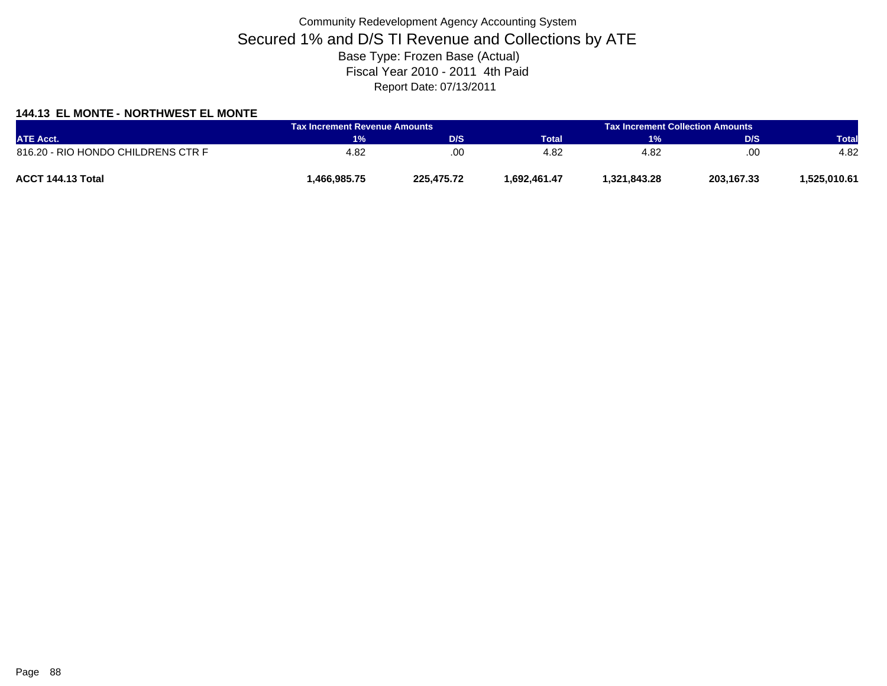### **144.13 EL MONTE - NORTHWEST EL MONTE**

| <b>ATE Acct.</b>                   | <b>Tax Increment Revenue Amounts</b> |            | <b>Tax Increment Collection Amounts /</b> |              |            |              |
|------------------------------------|--------------------------------------|------------|-------------------------------------------|--------------|------------|--------------|
|                                    | 1%                                   | D/S        | Total                                     | 1%           | D/S        | <b>Total</b> |
| 816.20 - RIO HONDO CHILDRENS CTR F | 4.82                                 | .00        | 4.82                                      | 4.82         | .00        | 4.82         |
| ACCT 144.13 Total                  | .466.985.75                          | 225.475.72 | .692.461.47                               | 1.321.843.28 | 203,167.33 | .525.010.61  |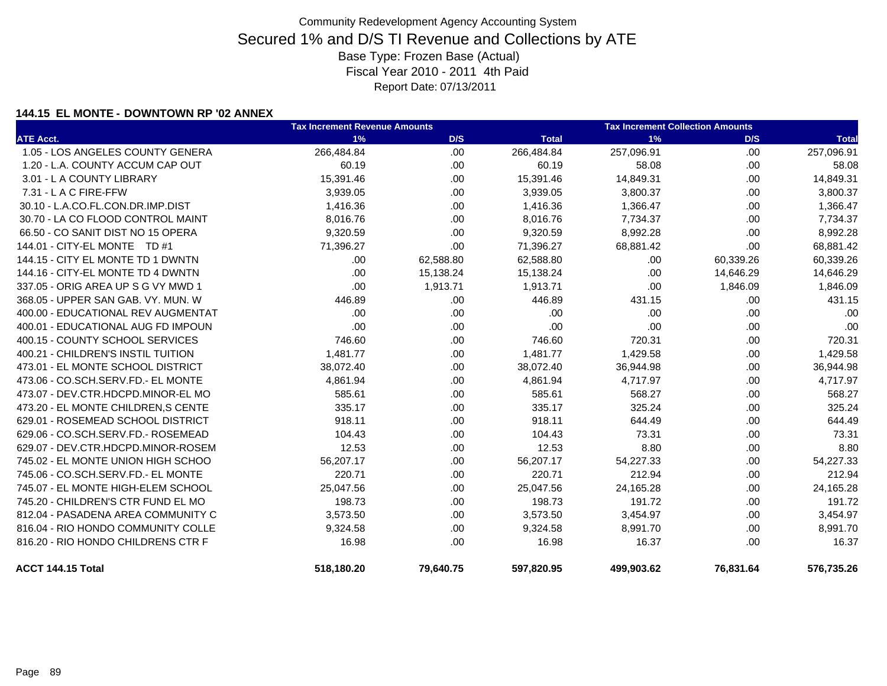### **144.15 EL MONTE - DOWNTOWN RP '02 ANNEX**

|                                     | <b>Tax Increment Revenue Amounts</b> |           | <b>Tax Increment Collection Amounts</b> |            |           |              |
|-------------------------------------|--------------------------------------|-----------|-----------------------------------------|------------|-----------|--------------|
| <b>ATE Acct.</b>                    | 1%                                   | D/S       | <b>Total</b>                            | 1%         | D/S       | <b>Total</b> |
| 1.05 - LOS ANGELES COUNTY GENERA    | 266,484.84                           | .00       | 266,484.84                              | 257,096.91 | .00       | 257,096.91   |
| 1.20 - L.A. COUNTY ACCUM CAP OUT    | 60.19                                | .00       | 60.19                                   | 58.08      | .00       | 58.08        |
| 3.01 - L A COUNTY LIBRARY           | 15,391.46                            | .00       | 15,391.46                               | 14,849.31  | .00       | 14,849.31    |
| 7.31 - L A C FIRE-FFW               | 3,939.05                             | .00       | 3,939.05                                | 3,800.37   | .00       | 3,800.37     |
| 30.10 - L.A.CO.FL.CON.DR.IMP.DIST   | 1,416.36                             | .00.      | 1,416.36                                | 1,366.47   | .00.      | 1,366.47     |
| 30.70 - LA CO FLOOD CONTROL MAINT   | 8,016.76                             | .00       | 8,016.76                                | 7,734.37   | .00.      | 7,734.37     |
| 66.50 - CO SANIT DIST NO 15 OPERA   | 9,320.59                             | .00       | 9,320.59                                | 8,992.28   | .00.      | 8,992.28     |
| 144.01 - CITY-EL MONTE TD #1        | 71,396.27                            | .00       | 71,396.27                               | 68,881.42  | .00       | 68,881.42    |
| 144.15 - CITY EL MONTE TD 1 DWNTN   | .00.                                 | 62,588.80 | 62,588.80                               | .00.       | 60,339.26 | 60,339.26    |
| 144.16 - CITY-EL MONTE TD 4 DWNTN   | .00                                  | 15,138.24 | 15,138.24                               | .00        | 14,646.29 | 14,646.29    |
| 337.05 - ORIG AREA UP S G VY MWD 1  | .00                                  | 1,913.71  | 1,913.71                                | .00        | 1,846.09  | 1,846.09     |
| 368.05 - UPPER SAN GAB, VY, MUN, W  | 446.89                               | .00       | 446.89                                  | 431.15     | .00.      | 431.15       |
| 400.00 - EDUCATIONAL REV AUGMENTAT  | .00                                  | .00       | .00                                     | .00        | .00       | .00          |
| 400.01 - EDUCATIONAL AUG FD IMPOUN  | .00                                  | .00       | .00                                     | .00        | .00       | .00          |
| 400.15 - COUNTY SCHOOL SERVICES     | 746.60                               | .00       | 746.60                                  | 720.31     | .00       | 720.31       |
| 400.21 - CHILDREN'S INSTIL TUITION  | 1,481.77                             | .00       | 1,481.77                                | 1,429.58   | .00       | 1,429.58     |
| 473.01 - EL MONTE SCHOOL DISTRICT   | 38,072.40                            | .00       | 38,072.40                               | 36,944.98  | .00       | 36,944.98    |
| 473.06 - CO.SCH.SERV.FD.- EL MONTE  | 4,861.94                             | .00       | 4,861.94                                | 4,717.97   | .00       | 4,717.97     |
| 473.07 - DEV.CTR.HDCPD.MINOR-EL MO  | 585.61                               | .00       | 585.61                                  | 568.27     | .00       | 568.27       |
| 473.20 - EL MONTE CHILDREN, S CENTE | 335.17                               | .00       | 335.17                                  | 325.24     | .00       | 325.24       |
| 629.01 - ROSEMEAD SCHOOL DISTRICT   | 918.11                               | .00       | 918.11                                  | 644.49     | .00       | 644.49       |
| 629.06 - CO.SCH.SERV.FD.- ROSEMEAD  | 104.43                               | .00       | 104.43                                  | 73.31      | .00       | 73.31        |
| 629.07 - DEV.CTR.HDCPD.MINOR-ROSEM  | 12.53                                | .00       | 12.53                                   | 8.80       | .00       | 8.80         |
| 745.02 - EL MONTE UNION HIGH SCHOO  | 56,207.17                            | .00       | 56,207.17                               | 54,227.33  | .00       | 54,227.33    |
| 745.06 - CO.SCH.SERV.FD.- EL MONTE  | 220.71                               | .00       | 220.71                                  | 212.94     | .00       | 212.94       |
| 745.07 - EL MONTE HIGH-ELEM SCHOOL  | 25,047.56                            | .00       | 25,047.56                               | 24,165.28  | .00       | 24,165.28    |
| 745.20 - CHILDREN'S CTR FUND EL MO  | 198.73                               | .00       | 198.73                                  | 191.72     | .00       | 191.72       |
| 812.04 - PASADENA AREA COMMUNITY C  | 3,573.50                             | .00       | 3,573.50                                | 3,454.97   | .00       | 3,454.97     |
| 816.04 - RIO HONDO COMMUNITY COLLE  | 9,324.58                             | .00       | 9,324.58                                | 8,991.70   | .00.      | 8,991.70     |
| 816.20 - RIO HONDO CHILDRENS CTR F  | 16.98                                | .00       | 16.98                                   | 16.37      | .00       | 16.37        |
| ACCT 144.15 Total                   | 518,180.20                           | 79,640.75 | 597,820.95                              | 499,903.62 | 76,831.64 | 576,735.26   |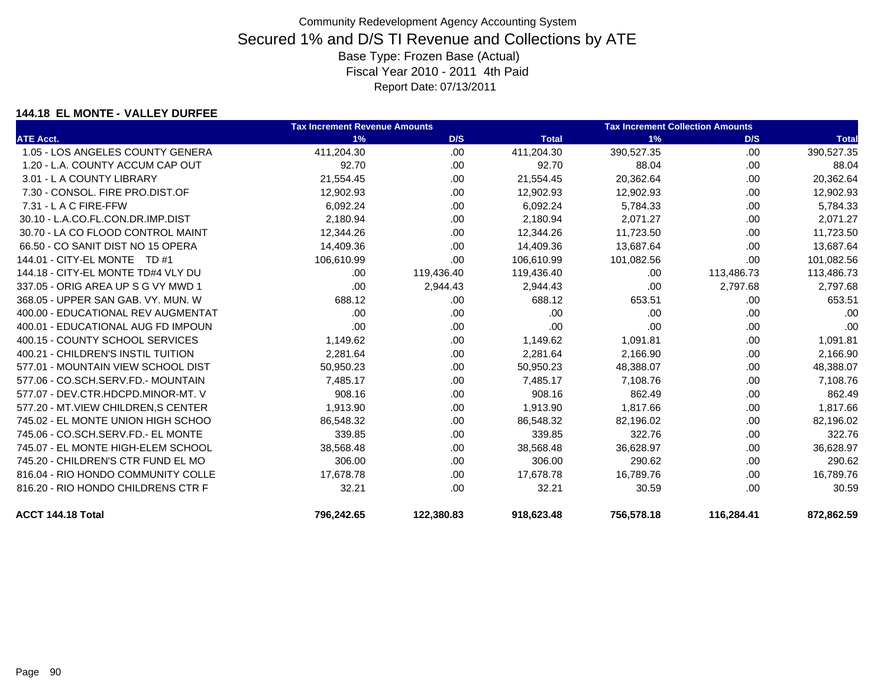### **144.18 EL MONTE - VALLEY DURFEE**

|                                    | <b>Tax Increment Revenue Amounts</b> |            |              | <b>Tax Increment Collection Amounts</b> |            |              |
|------------------------------------|--------------------------------------|------------|--------------|-----------------------------------------|------------|--------------|
| <b>ATE Acct.</b>                   | 1%                                   | D/S        | <b>Total</b> | 1%                                      | D/S        | <b>Total</b> |
| 1.05 - LOS ANGELES COUNTY GENERA   | 411,204.30                           | .00.       | 411,204.30   | 390,527.35                              | .00        | 390,527.35   |
| 1.20 - L.A. COUNTY ACCUM CAP OUT   | 92.70                                | .00.       | 92.70        | 88.04                                   | .00.       | 88.04        |
| 3.01 - L A COUNTY LIBRARY          | 21,554.45                            | .00.       | 21,554.45    | 20,362.64                               | .00.       | 20,362.64    |
| 7.30 - CONSOL, FIRE PRO.DIST.OF    | 12,902.93                            | .00.       | 12,902.93    | 12,902.93                               | .00        | 12,902.93    |
| $7.31 - L$ A C FIRE-FFW            | 6,092.24                             | .00.       | 6,092.24     | 5,784.33                                | .00.       | 5,784.33     |
| 30.10 - L.A.CO.FL.CON.DR.IMP.DIST  | 2,180.94                             | .00.       | 2,180.94     | 2.071.27                                | .00        | 2,071.27     |
| 30.70 - LA CO FLOOD CONTROL MAINT  | 12,344.26                            | .00.       | 12,344.26    | 11,723.50                               | .00        | 11,723.50    |
| 66.50 - CO SANIT DIST NO 15 OPERA  | 14,409.36                            | .00        | 14,409.36    | 13,687.64                               | .00.       | 13,687.64    |
| 144.01 - CITY-EL MONTE TD #1       | 106,610.99                           | .00        | 106,610.99   | 101,082.56                              | .00.       | 101,082.56   |
| 144.18 - CITY-EL MONTE TD#4 VLY DU | .00                                  | 119,436.40 | 119,436.40   | .00                                     | 113,486.73 | 113,486.73   |
| 337.05 - ORIG AREA UP S G VY MWD 1 | .00                                  | 2,944.43   | 2,944.43     | .00                                     | 2,797.68   | 2,797.68     |
| 368.05 - UPPER SAN GAB, VY, MUN, W | 688.12                               | .00        | 688.12       | 653.51                                  | .00        | 653.51       |
| 400.00 - EDUCATIONAL REV AUGMENTAT | .00                                  | .00        | .00          | .00                                     | .00        | .00          |
| 400.01 - EDUCATIONAL AUG FD IMPOUN | .00                                  | .00.       | .00          | .00                                     | .00.       | .00          |
| 400.15 - COUNTY SCHOOL SERVICES    | 1,149.62                             | .00.       | 1,149.62     | 1,091.81                                | .00.       | 1,091.81     |
| 400.21 - CHILDREN'S INSTIL TUITION | 2,281.64                             | .00.       | 2,281.64     | 2,166.90                                | .00.       | 2,166.90     |
| 577.01 - MOUNTAIN VIEW SCHOOL DIST | 50,950.23                            | .00.       | 50,950.23    | 48,388.07                               | .00.       | 48,388.07    |
| 577.06 - CO.SCH.SERV.FD.- MOUNTAIN | 7,485.17                             | .00.       | 7,485.17     | 7,108.76                                | .00        | 7,108.76     |
| 577.07 - DEV.CTR.HDCPD.MINOR-MT. V | 908.16                               | .00.       | 908.16       | 862.49                                  | .00.       | 862.49       |
| 577.20 - MT.VIEW CHILDREN, SCENTER | 1,913.90                             | .00.       | 1,913.90     | 1,817.66                                | .00.       | 1,817.66     |
| 745.02 - EL MONTE UNION HIGH SCHOO | 86,548.32                            | .00.       | 86,548.32    | 82,196.02                               | .00.       | 82,196.02    |
| 745.06 - CO.SCH.SERV.FD.- EL MONTE | 339.85                               | .00.       | 339.85       | 322.76                                  | .00.       | 322.76       |
| 745.07 - EL MONTE HIGH-ELEM SCHOOL | 38,568.48                            | .00        | 38,568.48    | 36,628.97                               | .00.       | 36,628.97    |
| 745.20 - CHILDREN'S CTR FUND EL MO | 306.00                               | .00.       | 306.00       | 290.62                                  | .00.       | 290.62       |
| 816.04 - RIO HONDO COMMUNITY COLLE | 17,678.78                            | .00.       | 17,678.78    | 16,789.76                               | .00        | 16,789.76    |
| 816.20 - RIO HONDO CHILDRENS CTR F | 32.21                                | .00        | 32.21        | 30.59                                   | .00        | 30.59        |
| ACCT 144.18 Total                  | 796,242.65                           | 122,380.83 | 918,623.48   | 756,578.18                              | 116,284.41 | 872,862.59   |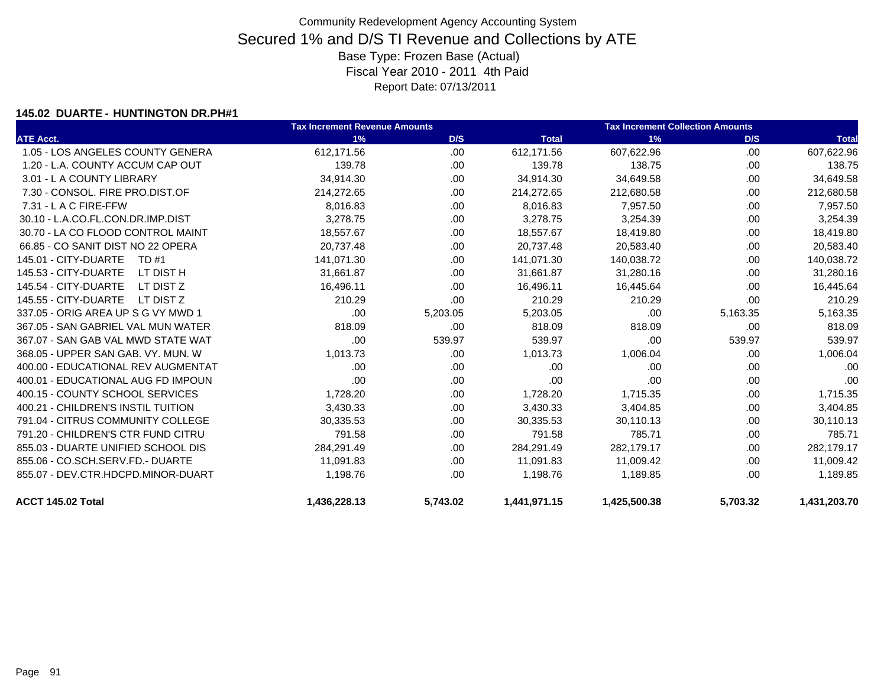#### **145.02 DUARTE - HUNTINGTON DR.PH#1**

|                                    | <b>Tax Increment Revenue Amounts</b> |          |              | <b>Tax Increment Collection Amounts</b> |          |              |
|------------------------------------|--------------------------------------|----------|--------------|-----------------------------------------|----------|--------------|
| <b>ATE Acct.</b>                   | 1%                                   | D/S      | <b>Total</b> | 1%                                      | D/S      | <b>Total</b> |
| 1.05 - LOS ANGELES COUNTY GENERA   | 612,171.56                           | .00      | 612,171.56   | 607,622.96                              | .00      | 607,622.96   |
| 1.20 - L.A. COUNTY ACCUM CAP OUT   | 139.78                               | .00.     | 139.78       | 138.75                                  | .00      | 138.75       |
| 3.01 - L A COUNTY LIBRARY          | 34,914.30                            | .00      | 34,914.30    | 34,649.58                               | .00      | 34,649.58    |
| 7.30 - CONSOL, FIRE PRO.DIST.OF    | 214,272.65                           | .00.     | 214,272.65   | 212,680.58                              | .00      | 212,680.58   |
| 7.31 - L A C FIRE-FFW              | 8,016.83                             | .00.     | 8,016.83     | 7,957.50                                | .00      | 7,957.50     |
| 30.10 - L.A.CO.FL.CON.DR.IMP.DIST  | 3,278.75                             | .00.     | 3,278.75     | 3,254.39                                | .00      | 3,254.39     |
| 30.70 - LA CO FLOOD CONTROL MAINT  | 18,557.67                            | .00      | 18,557.67    | 18,419.80                               | .00      | 18,419.80    |
| 66.85 - CO SANIT DIST NO 22 OPERA  | 20,737.48                            | .00.     | 20,737.48    | 20,583.40                               | .00      | 20,583.40    |
| 145.01 - CITY-DUARTE<br>TD #1      | 141,071.30                           | .00.     | 141,071.30   | 140,038.72                              | .00      | 140,038.72   |
| 145.53 - CITY-DUARTE<br>LT DIST H  | 31,661.87                            | .00.     | 31,661.87    | 31,280.16                               | .00      | 31,280.16    |
| 145.54 - CITY-DUARTE<br>LT DIST Z  | 16,496.11                            | .00.     | 16,496.11    | 16,445.64                               | .00      | 16,445.64    |
| 145.55 - CITY-DUARTE<br>LT DIST Z  | 210.29                               | .00      | 210.29       | 210.29                                  | .00      | 210.29       |
| 337.05 - ORIG AREA UP S G VY MWD 1 | .00                                  | 5,203.05 | 5,203.05     | .00                                     | 5,163.35 | 5,163.35     |
| 367.05 - SAN GABRIEL VAL MUN WATER | 818.09                               | .00.     | 818.09       | 818.09                                  | .00      | 818.09       |
| 367.07 - SAN GAB VAL MWD STATE WAT | .00                                  | 539.97   | 539.97       | .00                                     | 539.97   | 539.97       |
| 368.05 - UPPER SAN GAB, VY, MUN, W | 1,013.73                             | .00      | 1,013.73     | 1,006.04                                | .00      | 1,006.04     |
| 400.00 - EDUCATIONAL REV AUGMENTAT | .00                                  | .00      | .00          | .00                                     | .00      | .00          |
| 400.01 - EDUCATIONAL AUG FD IMPOUN | .00                                  | .00.     | .00          | .00                                     | .00      | .00          |
| 400.15 - COUNTY SCHOOL SERVICES    | 1,728.20                             | .00.     | 1,728.20     | 1,715.35                                | .00      | 1,715.35     |
| 400.21 - CHILDREN'S INSTIL TUITION | 3,430.33                             | .00.     | 3,430.33     | 3,404.85                                | .00      | 3,404.85     |
| 791.04 - CITRUS COMMUNITY COLLEGE  | 30,335.53                            | .00      | 30,335.53    | 30,110.13                               | .00      | 30,110.13    |
| 791.20 - CHILDREN'S CTR FUND CITRU | 791.58                               | .00      | 791.58       | 785.71                                  | .00      | 785.71       |
| 855.03 - DUARTE UNIFIED SCHOOL DIS | 284.291.49                           | .00      | 284,291.49   | 282,179.17                              | .00      | 282,179.17   |
| 855.06 - CO.SCH.SERV.FD.- DUARTE   | 11,091.83                            | .00.     | 11,091.83    | 11,009.42                               | .00      | 11,009.42    |
| 855.07 - DEV.CTR.HDCPD.MINOR-DUART | 1.198.76                             | .00      | 1.198.76     | 1,189.85                                | .00      | 1,189.85     |
| ACCT 145.02 Total                  | 1,436,228.13                         | 5,743.02 | 1,441,971.15 | 1,425,500.38                            | 5,703.32 | 1,431,203.70 |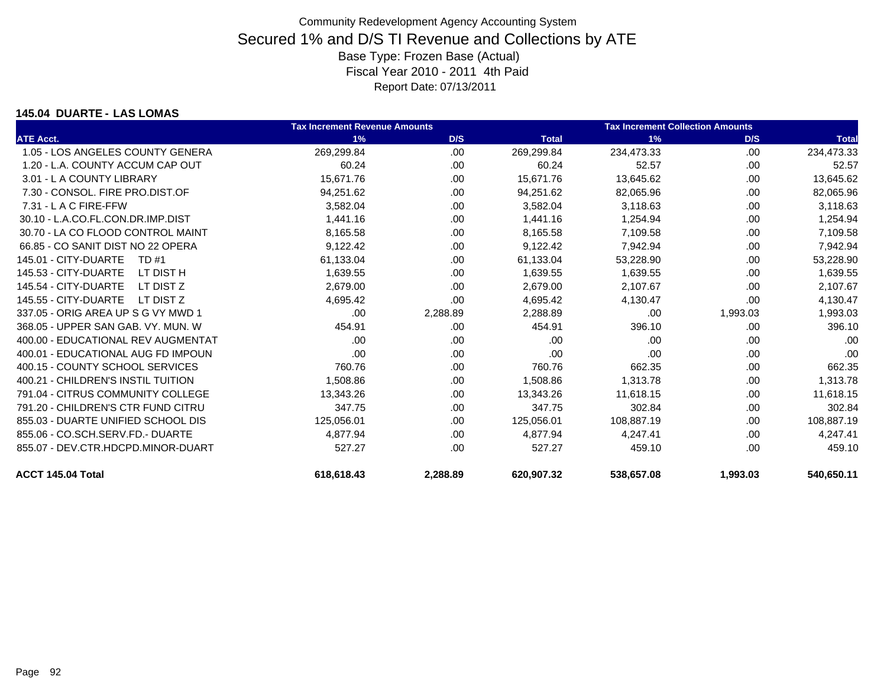#### **145.04 DUARTE - LAS LOMAS**

|                                    | <b>Tax Increment Revenue Amounts</b> |          |              | <b>Tax Increment Collection Amounts</b> |          |              |
|------------------------------------|--------------------------------------|----------|--------------|-----------------------------------------|----------|--------------|
| <b>ATE Acct.</b>                   | 1%                                   | D/S      | <b>Total</b> | 1%                                      | D/S      | <b>Total</b> |
| 1.05 - LOS ANGELES COUNTY GENERA   | 269,299.84                           | .00      | 269,299.84   | 234,473.33                              | .00      | 234,473.33   |
| 1.20 - L.A. COUNTY ACCUM CAP OUT   | 60.24                                | .00.     | 60.24        | 52.57                                   | .00      | 52.57        |
| 3.01 - L A COUNTY LIBRARY          | 15,671.76                            | .00.     | 15,671.76    | 13,645.62                               | .00      | 13,645.62    |
| 7.30 - CONSOL, FIRE PRO.DIST.OF    | 94,251.62                            | .00      | 94,251.62    | 82,065.96                               | .00      | 82,065.96    |
| $7.31 - L$ A C FIRE-FFW            | 3,582.04                             | .00      | 3,582.04     | 3,118.63                                | .00      | 3,118.63     |
| 30.10 - L.A.CO.FL.CON.DR.IMP.DIST  | 1.441.16                             | .00      | 1,441.16     | 1,254.94                                | .00      | 1,254.94     |
| 30.70 - LA CO FLOOD CONTROL MAINT  | 8,165.58                             | .00      | 8,165.58     | 7,109.58                                | .00      | 7,109.58     |
| 66.85 - CO SANIT DIST NO 22 OPERA  | 9,122.42                             | .00      | 9,122.42     | 7,942.94                                | .00      | 7,942.94     |
| 145.01 - CITY-DUARTE<br>TD #1      | 61,133.04                            | .00      | 61,133.04    | 53,228.90                               | .00      | 53,228.90    |
| 145.53 - CITY-DUARTE<br>LT DIST H  | 1,639.55                             | .00      | 1,639.55     | 1,639.55                                | .00      | 1,639.55     |
| 145.54 - CITY-DUARTE<br>LT DIST Z  | 2,679.00                             | .00      | 2,679.00     | 2,107.67                                | .00      | 2,107.67     |
| 145.55 - CITY-DUARTE<br>LT DIST Z  | 4,695.42                             | .00      | 4,695.42     | 4,130.47                                | .00      | 4,130.47     |
| 337.05 - ORIG AREA UP S G VY MWD 1 | .00                                  | 2,288.89 | 2,288.89     | .00                                     | 1,993.03 | 1,993.03     |
| 368.05 - UPPER SAN GAB, VY, MUN, W | 454.91                               | .00      | 454.91       | 396.10                                  | .00      | 396.10       |
| 400.00 - EDUCATIONAL REV AUGMENTAT | .00                                  | .00      | .00          | .00                                     | .00      | .00          |
| 400.01 - EDUCATIONAL AUG FD IMPOUN | .00                                  | .00      | .00          | .00                                     | .00      | .00          |
| 400.15 - COUNTY SCHOOL SERVICES    | 760.76                               | .00      | 760.76       | 662.35                                  | .00      | 662.35       |
| 400.21 - CHILDREN'S INSTIL TUITION | 1,508.86                             | .00      | 1,508.86     | 1,313.78                                | .00      | 1,313.78     |
| 791.04 - CITRUS COMMUNITY COLLEGE  | 13,343.26                            | .00      | 13,343.26    | 11,618.15                               | .00      | 11,618.15    |
| 791.20 - CHILDREN'S CTR FUND CITRU | 347.75                               | .00      | 347.75       | 302.84                                  | .00      | 302.84       |
| 855.03 - DUARTE UNIFIED SCHOOL DIS | 125,056.01                           | .00      | 125,056.01   | 108,887.19                              | .00      | 108,887.19   |
| 855.06 - CO.SCH.SERV.FD.- DUARTE   | 4,877.94                             | .00      | 4,877.94     | 4.247.41                                | .00      | 4,247.41     |
| 855.07 - DEV.CTR.HDCPD.MINOR-DUART | 527.27                               | .00      | 527.27       | 459.10                                  | .00      | 459.10       |
| ACCT 145.04 Total                  | 618.618.43                           | 2.288.89 | 620.907.32   | 538.657.08                              | 1,993.03 | 540.650.11   |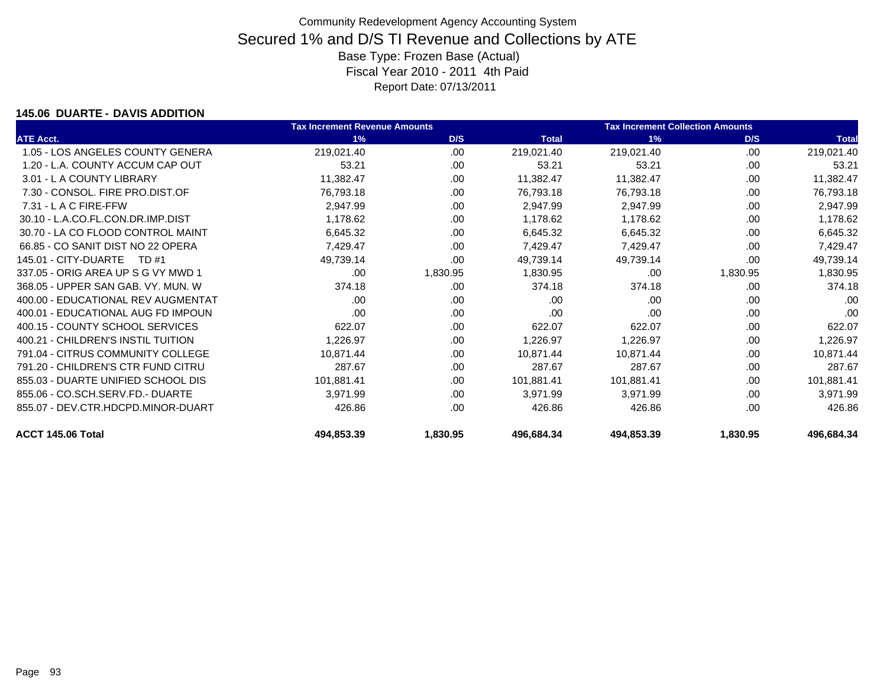### **145.06 DUARTE - DAVIS ADDITION**

|                                    | <b>Tax Increment Revenue Amounts</b> |          |              | <b>Tax Increment Collection Amounts</b> |          |              |
|------------------------------------|--------------------------------------|----------|--------------|-----------------------------------------|----------|--------------|
| <b>ATE Acct.</b>                   | 1%                                   | D/S      | <b>Total</b> | 1%                                      | D/S      | <b>Total</b> |
| 1.05 - LOS ANGELES COUNTY GENERA   | 219,021.40                           | .00      | 219,021.40   | 219,021.40                              | .00      | 219,021.40   |
| 1.20 - L.A. COUNTY ACCUM CAP OUT   | 53.21                                | .00      | 53.21        | 53.21                                   | .00      | 53.21        |
| 3.01 - L A COUNTY LIBRARY          | 11,382.47                            | .00      | 11,382.47    | 11,382.47                               | .00      | 11,382.47    |
| 7.30 - CONSOL, FIRE PRO.DIST.OF    | 76,793.18                            | .00      | 76,793.18    | 76,793.18                               | .00      | 76,793.18    |
| $7.31 - L$ A C FIRE-FFW            | 2,947.99                             | .00      | 2,947.99     | 2,947.99                                | .00      | 2,947.99     |
| 30.10 - L.A.CO.FL.CON.DR.IMP.DIST  | 1,178.62                             | .00      | 1,178.62     | 1,178.62                                | .00      | 1,178.62     |
| 30.70 - LA CO FLOOD CONTROL MAINT  | 6,645.32                             | .00      | 6,645.32     | 6,645.32                                | .00      | 6,645.32     |
| 66.85 - CO SANIT DIST NO 22 OPERA  | 7,429.47                             | .00.     | 7,429.47     | 7,429.47                                | .00      | 7,429.47     |
| 145.01 - CITY-DUARTE<br>TD #1      | 49,739.14                            | .00      | 49,739.14    | 49,739.14                               | .00      | 49,739.14    |
| 337.05 - ORIG AREA UP S G VY MWD 1 | .00.                                 | 1,830.95 | 1,830.95     | .00                                     | 1,830.95 | 1,830.95     |
| 368.05 - UPPER SAN GAB, VY, MUN, W | 374.18                               | .00      | 374.18       | 374.18                                  | .00      | 374.18       |
| 400.00 - EDUCATIONAL REV AUGMENTAT | .00                                  | .00      | .00          | .00                                     | .00      | .00          |
| 400.01 - EDUCATIONAL AUG FD IMPOUN | .00                                  | .00.     | .00          | .00                                     | .00      | .00          |
| 400.15 - COUNTY SCHOOL SERVICES    | 622.07                               | .00      | 622.07       | 622.07                                  | .00      | 622.07       |
| 400.21 - CHILDREN'S INSTIL TUITION | 1,226.97                             | .00.     | 1,226.97     | 1,226.97                                | .00      | 1,226.97     |
| 791.04 - CITRUS COMMUNITY COLLEGE  | 10,871.44                            | .00      | 10,871.44    | 10,871.44                               | .00      | 10,871.44    |
| 791.20 - CHILDREN'S CTR FUND CITRU | 287.67                               | .00.     | 287.67       | 287.67                                  | .00      | 287.67       |
| 855.03 - DUARTE UNIFIED SCHOOL DIS | 101,881.41                           | .00      | 101,881.41   | 101,881.41                              | .00      | 101,881.41   |
| 855.06 - CO.SCH.SERV.FD.- DUARTE   | 3,971.99                             | .00.     | 3,971.99     | 3,971.99                                | .00      | 3,971.99     |
| 855.07 - DEV.CTR.HDCPD.MINOR-DUART | 426.86                               | .00.     | 426.86       | 426.86                                  | .00      | 426.86       |
| ACCT 145.06 Total                  | 494,853.39                           | 1,830.95 | 496,684.34   | 494,853.39                              | 1,830.95 | 496,684.34   |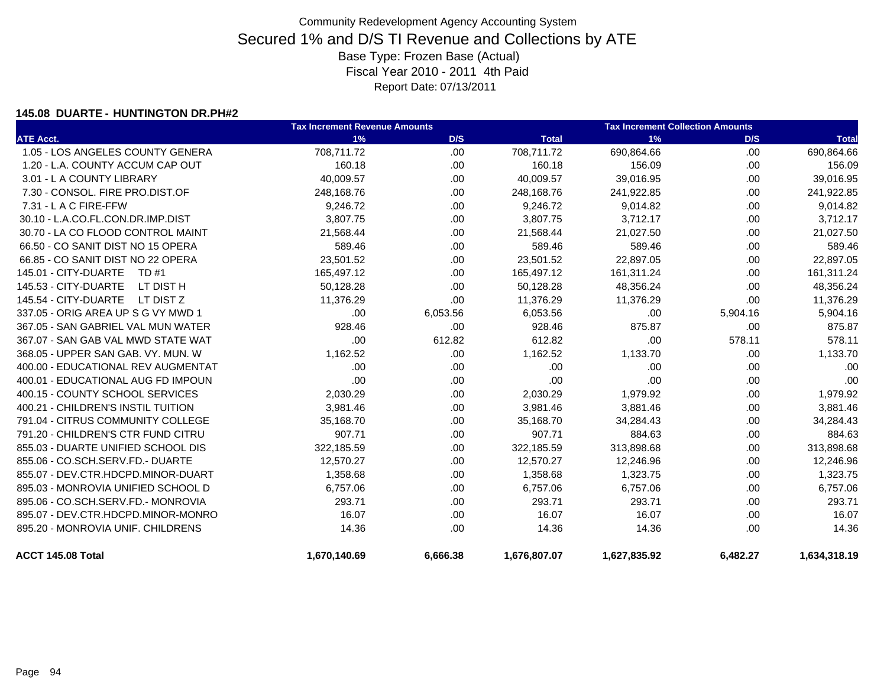#### **145.08 DUARTE - HUNTINGTON DR.PH#2**

|                                    | <b>Tax Increment Revenue Amounts</b> |          |              | <b>Tax Increment Collection Amounts</b> |          |              |  |
|------------------------------------|--------------------------------------|----------|--------------|-----------------------------------------|----------|--------------|--|
| <b>ATE Acct.</b>                   | 1%                                   | D/S      | <b>Total</b> | 1%                                      | D/S      | <b>Total</b> |  |
| 1.05 - LOS ANGELES COUNTY GENERA   | 708,711.72                           | .00      | 708,711.72   | 690,864.66                              | .00      | 690,864.66   |  |
| 1.20 - L.A. COUNTY ACCUM CAP OUT   | 160.18                               | .00      | 160.18       | 156.09                                  | .00.     | 156.09       |  |
| 3.01 - L A COUNTY LIBRARY          | 40,009.57                            | .00      | 40,009.57    | 39,016.95                               | .00      | 39,016.95    |  |
| 7.30 - CONSOL. FIRE PRO.DIST.OF    | 248,168.76                           | .00      | 248,168.76   | 241,922.85                              | .00      | 241,922.85   |  |
| 7.31 - L A C FIRE-FFW              | 9,246.72                             | .00      | 9,246.72     | 9,014.82                                | .00      | 9,014.82     |  |
| 30.10 - L.A.CO.FL.CON.DR.IMP.DIST  | 3,807.75                             | .00      | 3,807.75     | 3,712.17                                | .00      | 3,712.17     |  |
| 30.70 - LA CO FLOOD CONTROL MAINT  | 21,568.44                            | .00      | 21,568.44    | 21,027.50                               | .00      | 21,027.50    |  |
| 66.50 - CO SANIT DIST NO 15 OPERA  | 589.46                               | .00      | 589.46       | 589.46                                  | .00      | 589.46       |  |
| 66.85 - CO SANIT DIST NO 22 OPERA  | 23,501.52                            | .00      | 23,501.52    | 22,897.05                               | .00      | 22,897.05    |  |
| 145.01 - CITY-DUARTE<br>TD #1      | 165,497.12                           | .00      | 165,497.12   | 161,311.24                              | .00      | 161,311.24   |  |
| 145.53 - CITY-DUARTE<br>LT DIST H  | 50,128.28                            | .00      | 50,128.28    | 48,356.24                               | .00      | 48,356.24    |  |
| 145.54 - CITY-DUARTE<br>LT DIST Z  | 11,376.29                            | .00      | 11,376.29    | 11,376.29                               | .00      | 11,376.29    |  |
| 337.05 - ORIG AREA UP S G VY MWD 1 | .00                                  | 6,053.56 | 6,053.56     | .00                                     | 5,904.16 | 5,904.16     |  |
| 367.05 - SAN GABRIEL VAL MUN WATER | 928.46                               | .00      | 928.46       | 875.87                                  | .00.     | 875.87       |  |
| 367.07 - SAN GAB VAL MWD STATE WAT | .00                                  | 612.82   | 612.82       | .00                                     | 578.11   | 578.11       |  |
| 368.05 - UPPER SAN GAB, VY, MUN, W | 1,162.52                             | .00.     | 1,162.52     | 1,133.70                                | .00.     | 1,133.70     |  |
| 400.00 - EDUCATIONAL REV AUGMENTAT | .00                                  | .00      | .00          | .00                                     | .00      | .00          |  |
| 400.01 - EDUCATIONAL AUG FD IMPOUN | .00                                  | .00      | .00          | .00                                     | .00      | .00          |  |
| 400.15 - COUNTY SCHOOL SERVICES    | 2,030.29                             | .00      | 2,030.29     | 1,979.92                                | .00.     | 1,979.92     |  |
| 400.21 - CHILDREN'S INSTIL TUITION | 3,981.46                             | .00      | 3,981.46     | 3,881.46                                | .00      | 3,881.46     |  |
| 791.04 - CITRUS COMMUNITY COLLEGE  | 35,168.70                            | .00      | 35,168.70    | 34,284.43                               | .00.     | 34,284.43    |  |
| 791.20 - CHILDREN'S CTR FUND CITRU | 907.71                               | .00      | 907.71       | 884.63                                  | .00      | 884.63       |  |
| 855.03 - DUARTE UNIFIED SCHOOL DIS | 322,185.59                           | .00      | 322,185.59   | 313,898.68                              | .00      | 313,898.68   |  |
| 855.06 - CO.SCH.SERV.FD.- DUARTE   | 12,570.27                            | .00      | 12,570.27    | 12,246.96                               | .00      | 12,246.96    |  |
| 855.07 - DEV.CTR.HDCPD.MINOR-DUART | 1,358.68                             | .00      | 1,358.68     | 1,323.75                                | .00      | 1,323.75     |  |
| 895.03 - MONROVIA UNIFIED SCHOOL D | 6,757.06                             | .00      | 6,757.06     | 6,757.06                                | .00      | 6,757.06     |  |
| 895.06 - CO.SCH.SERV.FD.- MONROVIA | 293.71                               | .00      | 293.71       | 293.71                                  | .00      | 293.71       |  |
| 895.07 - DEV.CTR.HDCPD.MINOR-MONRO | 16.07                                | .00      | 16.07        | 16.07                                   | .00.     | 16.07        |  |
| 895.20 - MONROVIA UNIF. CHILDRENS  | 14.36                                | .00      | 14.36        | 14.36                                   | .00      | 14.36        |  |
| ACCT 145.08 Total                  | 1,670,140.69                         | 6.666.38 | 1,676,807.07 | 1,627,835.92                            | 6.482.27 | 1,634,318.19 |  |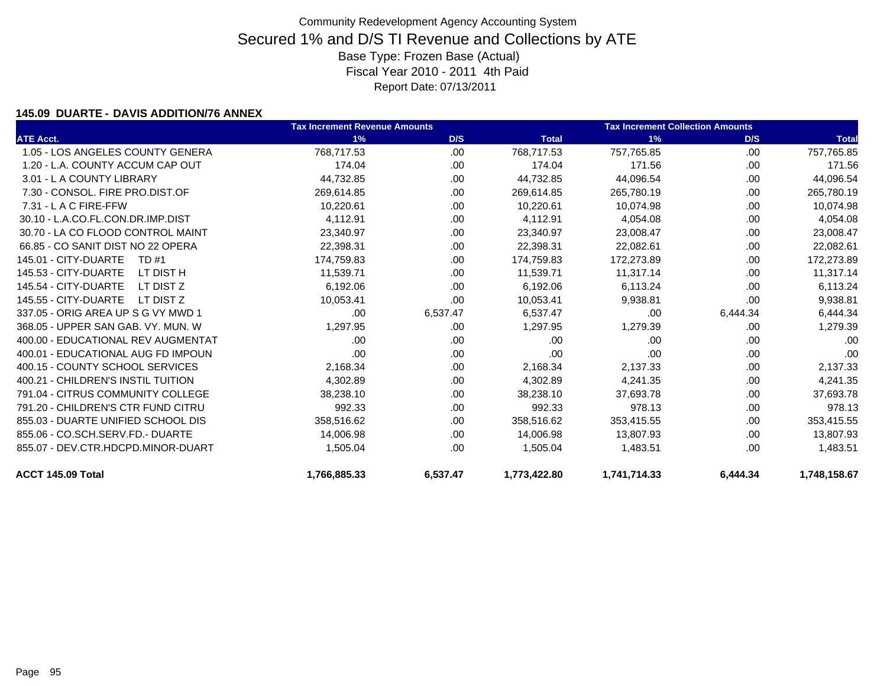### **145.09 DUARTE - DAVIS ADDITION/76 ANNEX**

|                                    | <b>Tax Increment Revenue Amounts</b> |          |              | <b>Tax Increment Collection Amounts</b> |          |              |
|------------------------------------|--------------------------------------|----------|--------------|-----------------------------------------|----------|--------------|
| <b>ATE Acct.</b>                   | 1%                                   | D/S      | <b>Total</b> | 1%                                      | D/S      | <b>Total</b> |
| 1.05 - LOS ANGELES COUNTY GENERA   | 768,717.53                           | .00      | 768,717.53   | 757,765.85                              | .00      | 757,765.85   |
| 1.20 - L.A. COUNTY ACCUM CAP OUT   | 174.04                               | .00      | 174.04       | 171.56                                  | .00.     | 171.56       |
| 3.01 - L A COUNTY LIBRARY          | 44,732.85                            | .00      | 44,732.85    | 44,096.54                               | .00.     | 44,096.54    |
| 7.30 - CONSOL, FIRE PRO.DIST.OF    | 269,614.85                           | .00      | 269,614.85   | 265,780.19                              | .00      | 265,780.19   |
| $7.31 - L$ A C FIRE-FFW            | 10,220.61                            | .00      | 10,220.61    | 10.074.98                               | .00      | 10,074.98    |
| 30.10 - L.A.CO.FL.CON.DR.IMP.DIST  | 4,112.91                             | .00      | 4,112.91     | 4,054.08                                | .00.     | 4,054.08     |
| 30.70 - LA CO FLOOD CONTROL MAINT  | 23,340.97                            | .00      | 23,340.97    | 23,008.47                               | .00.     | 23,008.47    |
| 66.85 - CO SANIT DIST NO 22 OPERA  | 22,398.31                            | .00      | 22,398.31    | 22,082.61                               | .00.     | 22,082.61    |
| 145.01 - CITY-DUARTE<br>TD #1      | 174,759.83                           | .00      | 174,759.83   | 172,273.89                              | .00      | 172,273.89   |
| 145.53 - CITY-DUARTE<br>LT DIST H  | 11,539.71                            | .00      | 11,539.71    | 11,317.14                               | .00      | 11,317.14    |
| 145.54 - CITY-DUARTE<br>LT DIST Z  | 6,192.06                             | .00      | 6,192.06     | 6,113.24                                | .00      | 6,113.24     |
| 145.55 - CITY-DUARTE<br>LT DIST Z  | 10,053.41                            | .00      | 10,053.41    | 9,938.81                                | .00      | 9,938.81     |
| 337.05 - ORIG AREA UP S G VY MWD 1 | .00                                  | 6,537.47 | 6.537.47     | .00                                     | 6,444.34 | 6,444.34     |
| 368.05 - UPPER SAN GAB, VY, MUN, W | 1,297.95                             | .00      | 1,297.95     | 1,279.39                                | .00      | 1,279.39     |
| 400.00 - EDUCATIONAL REV AUGMENTAT | .00.                                 | .00      | .00          | .00                                     | .00      | .00          |
| 400.01 - EDUCATIONAL AUG FD IMPOUN | .00                                  | .00      | .00          | .00                                     | .00.     | .00          |
| 400.15 - COUNTY SCHOOL SERVICES    | 2,168.34                             | .00      | 2,168.34     | 2,137.33                                | .00      | 2,137.33     |
| 400.21 - CHILDREN'S INSTIL TUITION | 4,302.89                             | .00      | 4,302.89     | 4,241.35                                | .00      | 4,241.35     |
| 791.04 - CITRUS COMMUNITY COLLEGE  | 38,238.10                            | .00      | 38,238.10    | 37,693.78                               | .00.     | 37,693.78    |
| 791.20 - CHILDREN'S CTR FUND CITRU | 992.33                               | .00      | 992.33       | 978.13                                  | .00      | 978.13       |
| 855.03 - DUARTE UNIFIED SCHOOL DIS | 358,516.62                           | .00      | 358,516.62   | 353,415.55                              | .00.     | 353,415.55   |
| 855.06 - CO.SCH.SERV.FD.- DUARTE   | 14,006.98                            | .00      | 14,006.98    | 13,807.93                               | .00      | 13,807.93    |
| 855.07 - DEV.CTR.HDCPD.MINOR-DUART | 1,505.04                             | .00      | 1,505.04     | 1,483.51                                | .00      | 1,483.51     |
| ACCT 145.09 Total                  | 1,766,885.33                         | 6,537.47 | 1,773,422.80 | 1,741,714.33                            | 6,444.34 | 1.748.158.67 |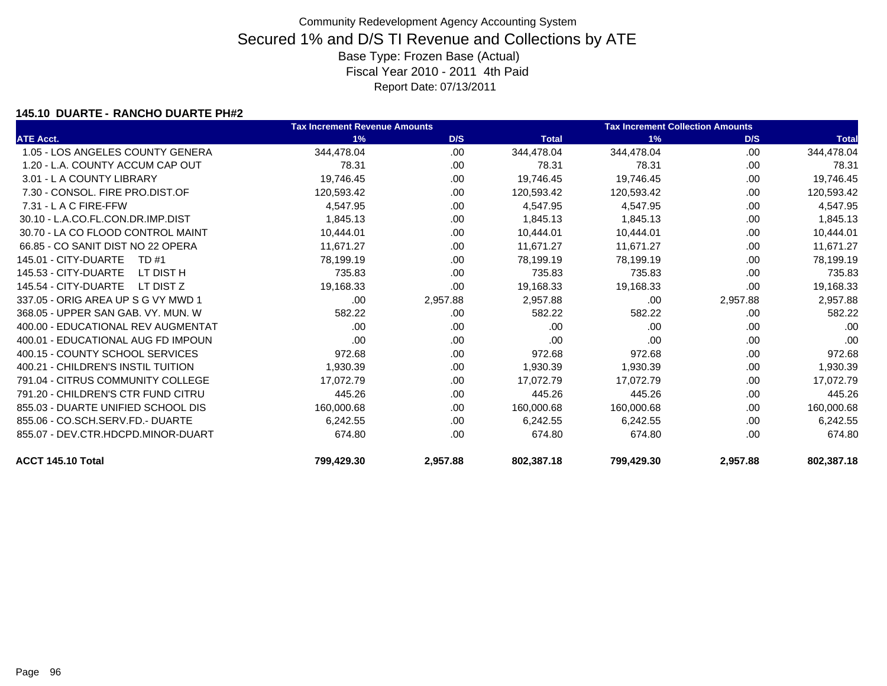### **145.10 DUARTE - RANCHO DUARTE PH#2**

|                                    | <b>Tax Increment Revenue Amounts</b> |          |              | <b>Tax Increment Collection Amounts</b> |          |              |
|------------------------------------|--------------------------------------|----------|--------------|-----------------------------------------|----------|--------------|
| <b>ATE Acct.</b>                   | 1%                                   | D/S      | <b>Total</b> | 1%                                      | D/S      | <b>Total</b> |
| 1.05 - LOS ANGELES COUNTY GENERA   | 344,478.04                           | .00      | 344,478.04   | 344,478.04                              | .00      | 344,478.04   |
| 1.20 - L.A. COUNTY ACCUM CAP OUT   | 78.31                                | .00      | 78.31        | 78.31                                   | .00      | 78.31        |
| 3.01 - L A COUNTY LIBRARY          | 19,746.45                            | .00.     | 19,746.45    | 19,746.45                               | .00      | 19,746.45    |
| 7.30 - CONSOL, FIRE PRO.DIST.OF    | 120,593.42                           | .00      | 120,593.42   | 120,593.42                              | .00      | 120,593.42   |
| 7.31 - L A C FIRE-FFW              | 4,547.95                             | .00.     | 4,547.95     | 4,547.95                                | .00.     | 4,547.95     |
| 30.10 - L.A.CO.FL.CON.DR.IMP.DIST  | 1,845.13                             | .00      | 1,845.13     | 1,845.13                                | .00.     | 1,845.13     |
| 30.70 - LA CO FLOOD CONTROL MAINT  | 10,444.01                            | .00.     | 10,444.01    | 10,444.01                               | .00      | 10,444.01    |
| 66.85 - CO SANIT DIST NO 22 OPERA  | 11,671.27                            | .00.     | 11,671.27    | 11,671.27                               | .00      | 11,671.27    |
| 145.01 - CITY-DUARTE<br>TD #1      | 78,199.19                            | .00.     | 78,199.19    | 78,199.19                               | .00      | 78,199.19    |
| 145.53 - CITY-DUARTE<br>LT DIST H  | 735.83                               | .00      | 735.83       | 735.83                                  | .00      | 735.83       |
| 145.54 - CITY-DUARTE<br>LT DIST Z  | 19,168.33                            | .00      | 19,168.33    | 19,168.33                               | .00      | 19,168.33    |
| 337.05 - ORIG AREA UP S G VY MWD 1 | .00                                  | 2,957.88 | 2,957.88     | .00                                     | 2,957.88 | 2,957.88     |
| 368.05 - UPPER SAN GAB, VY, MUN, W | 582.22                               | .00      | 582.22       | 582.22                                  | .00      | 582.22       |
| 400.00 - EDUCATIONAL REV AUGMENTAT | .00                                  | .00.     | .00          | .00                                     | .00      | .00          |
| 400.01 - EDUCATIONAL AUG FD IMPOUN | .00                                  | .00      | .00          | .00                                     | .00      | .00          |
| 400.15 - COUNTY SCHOOL SERVICES    | 972.68                               | .00.     | 972.68       | 972.68                                  | .00      | 972.68       |
| 400.21 - CHILDREN'S INSTIL TUITION | 1,930.39                             | .00      | 1,930.39     | 1,930.39                                | .00      | 1,930.39     |
| 791.04 - CITRUS COMMUNITY COLLEGE  | 17,072.79                            | .00      | 17,072.79    | 17,072.79                               | .00.     | 17,072.79    |
| 791.20 - CHILDREN'S CTR FUND CITRU | 445.26                               | .00.     | 445.26       | 445.26                                  | .00      | 445.26       |
| 855.03 - DUARTE UNIFIED SCHOOL DIS | 160,000.68                           | .00      | 160,000.68   | 160,000.68                              | .00      | 160,000.68   |
| 855.06 - CO.SCH.SERV.FD.- DUARTE   | 6,242.55                             | .00      | 6,242.55     | 6,242.55                                | .00      | 6,242.55     |
| 855.07 - DEV.CTR.HDCPD.MINOR-DUART | 674.80                               | .00      | 674.80       | 674.80                                  | .00      | 674.80       |
| ACCT 145.10 Total                  | 799,429.30                           | 2,957.88 | 802,387.18   | 799,429.30                              | 2,957.88 | 802,387.18   |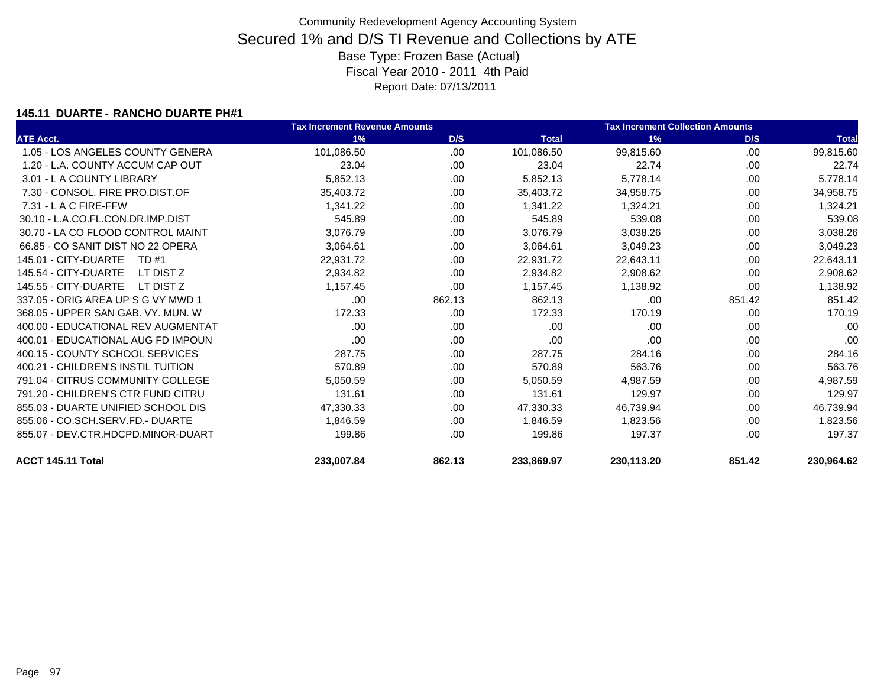### **145.11 DUARTE - RANCHO DUARTE PH#1**

|                                    | <b>Tax Increment Revenue Amounts</b> |        |              | <b>Tax Increment Collection Amounts</b> |        |              |
|------------------------------------|--------------------------------------|--------|--------------|-----------------------------------------|--------|--------------|
| <b>ATE Acct.</b>                   | 1%                                   | D/S    | <b>Total</b> | 1%                                      | D/S    | <b>Total</b> |
| 1.05 - LOS ANGELES COUNTY GENERA   | 101,086.50                           | .00    | 101,086.50   | 99,815.60                               | .00    | 99,815.60    |
| 1.20 - L.A. COUNTY ACCUM CAP OUT   | 23.04                                | .00.   | 23.04        | 22.74                                   | .00    | 22.74        |
| 3.01 - L A COUNTY LIBRARY          | 5,852.13                             | .00.   | 5,852.13     | 5,778.14                                | .00    | 5,778.14     |
| 7.30 - CONSOL, FIRE PRO.DIST.OF    | 35,403.72                            | .00    | 35,403.72    | 34,958.75                               | .00    | 34,958.75    |
| $7.31 - L$ A C FIRE-FFW            | 1,341.22                             | .00    | 1,341.22     | 1,324.21                                | .00    | 1,324.21     |
| 30.10 - L.A.CO.FL.CON.DR.IMP.DIST  | 545.89                               | .00.   | 545.89       | 539.08                                  | .00    | 539.08       |
| 30.70 - LA CO FLOOD CONTROL MAINT  | 3,076.79                             | .00.   | 3,076.79     | 3,038.26                                | .00    | 3,038.26     |
| 66.85 - CO SANIT DIST NO 22 OPERA  | 3,064.61                             | .00    | 3,064.61     | 3,049.23                                | .00    | 3,049.23     |
| 145.01 - CITY-DUARTE<br>TD #1      | 22,931.72                            | .00.   | 22,931.72    | 22,643.11                               | .00    | 22,643.11    |
| 145.54 - CITY-DUARTE<br>LT DIST Z  | 2,934.82                             | .00.   | 2,934.82     | 2,908.62                                | .00    | 2,908.62     |
| 145.55 - CITY-DUARTE<br>LT DIST Z  | 1,157.45                             | .00    | 1,157.45     | 1,138.92                                | .00    | 1,138.92     |
| 337.05 - ORIG AREA UP S G VY MWD 1 | .00                                  | 862.13 | 862.13       | .00                                     | 851.42 | 851.42       |
| 368.05 - UPPER SAN GAB, VY, MUN, W | 172.33                               | .00    | 172.33       | 170.19                                  | .00    | 170.19       |
| 400.00 - EDUCATIONAL REV AUGMENTAT | .00                                  | .00    | .00          | .00                                     | .00    | .00          |
| 400.01 - EDUCATIONAL AUG FD IMPOUN | .00                                  | .00.   | .00          | .00                                     | .00    | .00          |
| 400.15 - COUNTY SCHOOL SERVICES    | 287.75                               | .00    | 287.75       | 284.16                                  | .00    | 284.16       |
| 400.21 - CHILDREN'S INSTIL TUITION | 570.89                               | .00    | 570.89       | 563.76                                  | .00    | 563.76       |
| 791.04 - CITRUS COMMUNITY COLLEGE  | 5,050.59                             | .00.   | 5,050.59     | 4,987.59                                | .00    | 4,987.59     |
| 791.20 - CHILDREN'S CTR FUND CITRU | 131.61                               | .00    | 131.61       | 129.97                                  | .00    | 129.97       |
| 855.03 - DUARTE UNIFIED SCHOOL DIS | 47,330.33                            | .00    | 47,330.33    | 46,739.94                               | .00    | 46,739.94    |
| 855.06 - CO.SCH.SERV.FD.- DUARTE   | 1,846.59                             | .00.   | 1.846.59     | 1,823.56                                | .00    | 1,823.56     |
| 855.07 - DEV.CTR.HDCPD.MINOR-DUART | 199.86                               | .00    | 199.86       | 197.37                                  | .00    | 197.37       |
| ACCT 145.11 Total                  | 233.007.84                           | 862.13 | 233.869.97   | 230,113.20                              | 851.42 | 230,964.62   |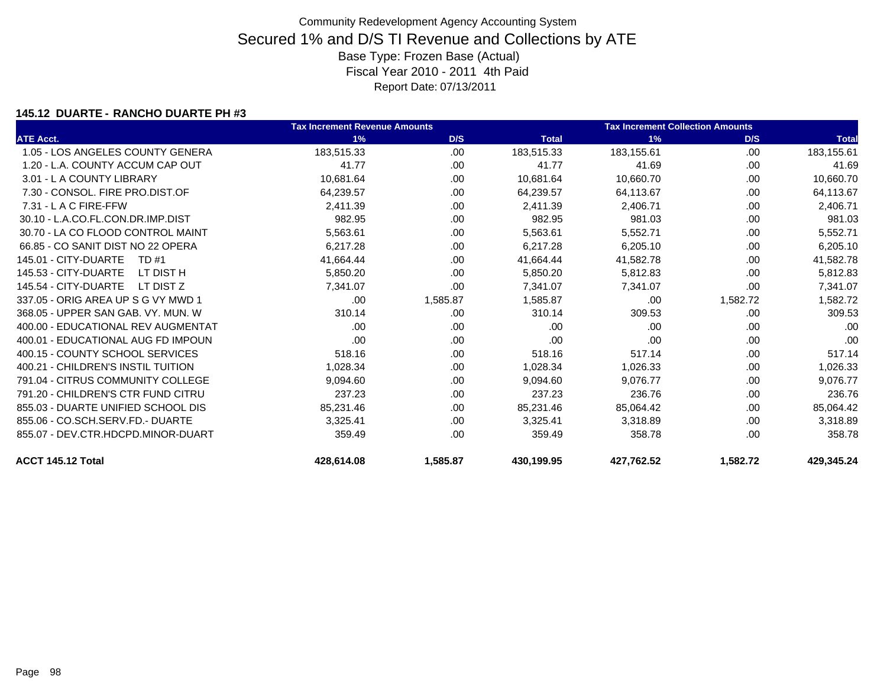### **145.12 DUARTE - RANCHO DUARTE PH #3**

|                                    | <b>Tax Increment Revenue Amounts</b> |          |              | <b>Tax Increment Collection Amounts</b> |          |              |
|------------------------------------|--------------------------------------|----------|--------------|-----------------------------------------|----------|--------------|
| <b>ATE Acct.</b>                   | 1%                                   | D/S      | <b>Total</b> | 1%                                      | D/S      | <b>Total</b> |
| 1.05 - LOS ANGELES COUNTY GENERA   | 183,515.33                           | .00      | 183,515.33   | 183,155.61                              | .00      | 183,155.61   |
| 1.20 - L.A. COUNTY ACCUM CAP OUT   | 41.77                                | .00      | 41.77        | 41.69                                   | .00      | 41.69        |
| 3.01 - L A COUNTY LIBRARY          | 10,681.64                            | .00      | 10,681.64    | 10,660.70                               | .00      | 10,660.70    |
| 7.30 - CONSOL, FIRE PRO.DIST.OF    | 64,239.57                            | .00.     | 64,239.57    | 64,113.67                               | .00      | 64,113.67    |
| $7.31 - L$ A C FIRE-FFW            | 2,411.39                             | .00.     | 2,411.39     | 2,406.71                                | .00      | 2,406.71     |
| 30.10 - L.A.CO.FL.CON.DR.IMP.DIST  | 982.95                               | .00.     | 982.95       | 981.03                                  | .00      | 981.03       |
| 30.70 - LA CO FLOOD CONTROL MAINT  | 5,563.61                             | .00.     | 5,563.61     | 5,552.71                                | .00.     | 5,552.71     |
| 66.85 - CO SANIT DIST NO 22 OPERA  | 6,217.28                             | .00      | 6,217.28     | 6,205.10                                | .00.     | 6,205.10     |
| 145.01 - CITY-DUARTE<br>TD #1      | 41,664.44                            | .00.     | 41,664.44    | 41,582.78                               | .00      | 41,582.78    |
| 145.53 - CITY-DUARTE<br>LT DIST H  | 5,850.20                             | .00      | 5,850.20     | 5,812.83                                | .00      | 5,812.83     |
| 145.54 - CITY-DUARTE<br>LT DIST Z  | 7,341.07                             | .00.     | 7,341.07     | 7,341.07                                | .00.     | 7,341.07     |
| 337.05 - ORIG AREA UP S G VY MWD 1 | .00                                  | 1,585.87 | 1,585.87     | .00                                     | 1,582.72 | 1,582.72     |
| 368.05 - UPPER SAN GAB, VY, MUN, W | 310.14                               | .00      | 310.14       | 309.53                                  | .00      | 309.53       |
| 400.00 - EDUCATIONAL REV AUGMENTAT | .00                                  | .00      | .00          | .00                                     | .00      | .00          |
| 400.01 - EDUCATIONAL AUG FD IMPOUN | .00                                  | .00.     | .00          | .00                                     | .00      | .00          |
| 400.15 - COUNTY SCHOOL SERVICES    | 518.16                               | .00      | 518.16       | 517.14                                  | .00      | 517.14       |
| 400.21 - CHILDREN'S INSTIL TUITION | 1,028.34                             | .00      | 1,028.34     | 1,026.33                                | .00      | 1,026.33     |
| 791.04 - CITRUS COMMUNITY COLLEGE  | 9,094.60                             | .00      | 9,094.60     | 9,076.77                                | .00      | 9,076.77     |
| 791.20 - CHILDREN'S CTR FUND CITRU | 237.23                               | .00      | 237.23       | 236.76                                  | .00      | 236.76       |
| 855.03 - DUARTE UNIFIED SCHOOL DIS | 85,231.46                            | .00.     | 85,231.46    | 85,064.42                               | .00      | 85,064.42    |
| 855.06 - CO.SCH.SERV.FD.- DUARTE   | 3,325.41                             | .00      | 3,325.41     | 3,318.89                                | .00      | 3,318.89     |
| 855.07 - DEV.CTR.HDCPD.MINOR-DUART | 359.49                               | .00.     | 359.49       | 358.78                                  | .00      | 358.78       |
| ACCT 145.12 Total                  | 428,614.08                           | 1,585.87 | 430,199.95   | 427,762.52                              | 1,582.72 | 429,345.24   |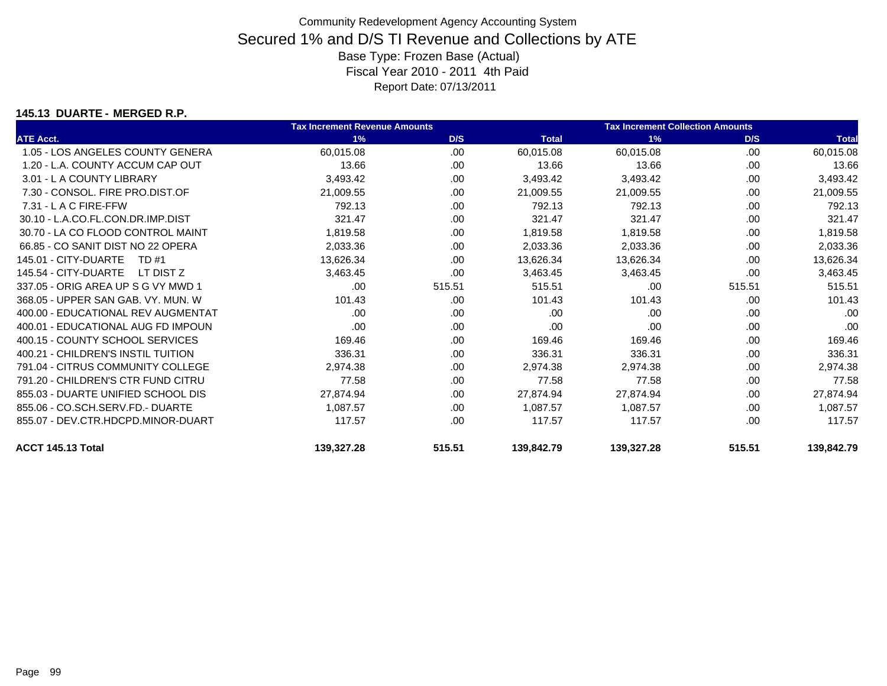### **145.13 DUARTE - MERGED R.P.**

|                                    | <b>Tax Increment Revenue Amounts</b> |        |              | <b>Tax Increment Collection Amounts</b> |        |              |
|------------------------------------|--------------------------------------|--------|--------------|-----------------------------------------|--------|--------------|
| <b>ATE Acct.</b>                   | 1%                                   | D/S    | <b>Total</b> | 1%                                      | D/S    | <b>Total</b> |
| 1.05 - LOS ANGELES COUNTY GENERA   | 60,015.08                            | .00.   | 60,015.08    | 60,015.08                               | .00    | 60,015.08    |
| 1.20 - L.A. COUNTY ACCUM CAP OUT   | 13.66                                | .00.   | 13.66        | 13.66                                   | .00.   | 13.66        |
| 3.01 - L A COUNTY LIBRARY          | 3,493.42                             | .00.   | 3,493.42     | 3,493.42                                | .00    | 3,493.42     |
| 7.30 - CONSOL, FIRE PRO.DIST.OF    | 21,009.55                            | .00    | 21,009.55    | 21,009.55                               | .00    | 21,009.55    |
| $7.31 - L$ A C FIRE-FFW            | 792.13                               | .00    | 792.13       | 792.13                                  | .00    | 792.13       |
| 30.10 - L.A.CO.FL.CON.DR.IMP.DIST  | 321.47                               | .00.   | 321.47       | 321.47                                  | .00.   | 321.47       |
| 30.70 - LA CO FLOOD CONTROL MAINT  | 1,819.58                             | .00.   | 1,819.58     | 1,819.58                                | .00    | 1,819.58     |
| 66.85 - CO SANIT DIST NO 22 OPERA  | 2,033.36                             | .00.   | 2,033.36     | 2,033.36                                | .00    | 2,033.36     |
| 145.01 - CITY-DUARTE<br>TD #1      | 13,626.34                            | .00    | 13,626.34    | 13,626.34                               | .00    | 13,626.34    |
| 145.54 - CITY-DUARTE<br>LT DIST Z  | 3,463.45                             | .00    | 3,463.45     | 3,463.45                                | .00.   | 3,463.45     |
| 337.05 - ORIG AREA UP S G VY MWD 1 | .00                                  | 515.51 | 515.51       | .00                                     | 515.51 | 515.51       |
| 368.05 - UPPER SAN GAB. VY. MUN. W | 101.43                               | .00    | 101.43       | 101.43                                  | .00    | 101.43       |
| 400.00 - EDUCATIONAL REV AUGMENTAT | .00                                  | .00    | .00          | .00                                     | .00    | .00          |
| 400.01 - EDUCATIONAL AUG FD IMPOUN | .00                                  | .00    | .00          | .00                                     | .00.   | .00          |
| 400.15 - COUNTY SCHOOL SERVICES    | 169.46                               | .00    | 169.46       | 169.46                                  | .00    | 169.46       |
| 400.21 - CHILDREN'S INSTIL TUITION | 336.31                               | .00    | 336.31       | 336.31                                  | .00    | 336.31       |
| 791.04 - CITRUS COMMUNITY COLLEGE  | 2,974.38                             | .00    | 2,974.38     | 2,974.38                                | .00    | 2,974.38     |
| 791.20 - CHILDREN'S CTR FUND CITRU | 77.58                                | .00    | 77.58        | 77.58                                   | .00    | 77.58        |
| 855.03 - DUARTE UNIFIED SCHOOL DIS | 27,874.94                            | .00    | 27,874.94    | 27,874.94                               | .00    | 27,874.94    |
| 855.06 - CO.SCH.SERV.FD.- DUARTE   | 1,087.57                             | .00    | 1.087.57     | 1,087.57                                | .00    | 1,087.57     |
| 855.07 - DEV.CTR.HDCPD.MINOR-DUART | 117.57                               | .00    | 117.57       | 117.57                                  | .00    | 117.57       |
| ACCT 145.13 Total                  | 139,327.28                           | 515.51 | 139,842.79   | 139,327.28                              | 515.51 | 139,842.79   |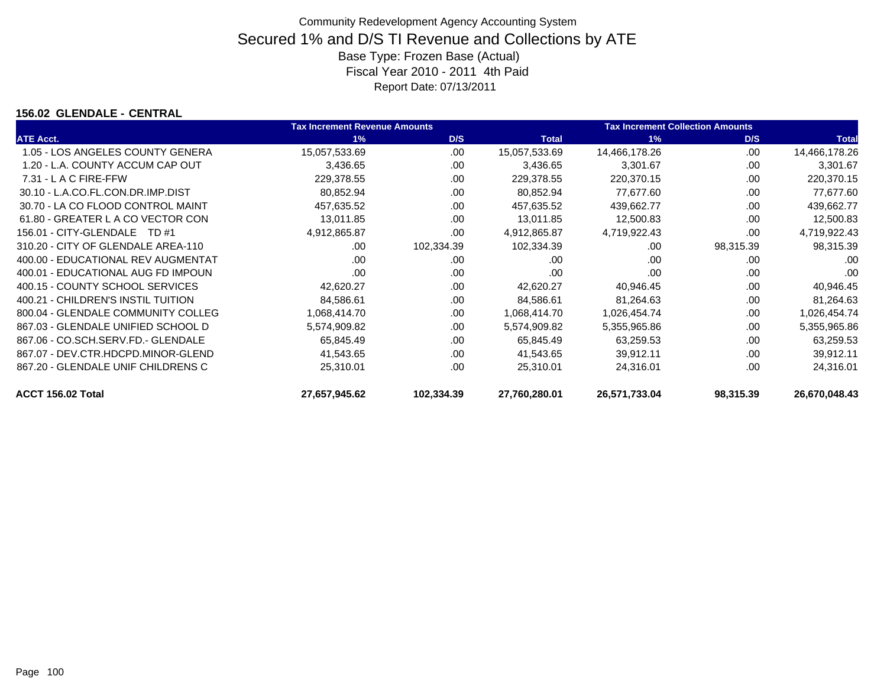### **156.02 GLENDALE - CENTRAL**

|                                    | <b>Tax Increment Revenue Amounts</b> |            | <b>Tax Increment Collection Amounts</b> |               |           |               |
|------------------------------------|--------------------------------------|------------|-----------------------------------------|---------------|-----------|---------------|
| <b>ATE Acct.</b>                   | 1%                                   | D/S        | <b>Total</b>                            | 1%            | D/S       | <b>Total</b>  |
| 1.05 - LOS ANGELES COUNTY GENERA   | 15,057,533.69                        | .00        | 15,057,533.69                           | 14,466,178.26 | .00       | 14,466,178.26 |
| 1.20 - L.A. COUNTY ACCUM CAP OUT   | 3,436.65                             | .00        | 3,436.65                                | 3,301.67      | .00       | 3,301.67      |
| $7.31 - L$ A C FIRE-FFW            | 229,378.55                           | .00        | 229,378.55                              | 220,370.15    | .00       | 220,370.15    |
| 30.10 - L.A.CO.FL.CON.DR.IMP.DIST  | 80,852.94                            | .00        | 80,852.94                               | 77,677.60     | .00       | 77,677.60     |
| 30.70 - LA CO FLOOD CONTROL MAINT  | 457,635.52                           | .00        | 457,635.52                              | 439,662.77    | .00       | 439,662.77    |
| 61.80 - GREATER L A CO VECTOR CON  | 13,011.85                            | .00        | 13,011.85                               | 12,500.83     | .00       | 12,500.83     |
| 156.01 - CITY-GLENDALE<br>TD #1    | 4,912,865.87                         | .00        | 4,912,865.87                            | 4,719,922.43  | .00       | 4,719,922.43  |
| 310.20 - CITY OF GLENDALE AREA-110 | .00                                  | 102,334.39 | 102,334.39                              | .00           | 98,315.39 | 98,315.39     |
| 400.00 - EDUCATIONAL REV AUGMENTAT | .00                                  | .00        | .00                                     | .00           | .00       | .00           |
| 400.01 - EDUCATIONAL AUG FD IMPOUN | .00                                  | .00        | .00                                     | .00           | .00       | .00           |
| 400.15 - COUNTY SCHOOL SERVICES    | 42,620.27                            | .00        | 42,620.27                               | 40,946.45     | .00       | 40,946.45     |
| 400.21 - CHILDREN'S INSTIL TUITION | 84,586.61                            | .00        | 84,586.61                               | 81,264.63     | .00       | 81,264.63     |
| 800.04 - GLENDALE COMMUNITY COLLEG | 1,068,414.70                         | .00        | 1,068,414.70                            | 1,026,454.74  | .00       | 1,026,454.74  |
| 867.03 - GLENDALE UNIFIED SCHOOL D | 5,574,909.82                         | .00        | 5,574,909.82                            | 5,355,965.86  | .00       | 5,355,965.86  |
| 867.06 - CO.SCH.SERV.FD.- GLENDALE | 65.845.49                            | .00        | 65.845.49                               | 63.259.53     | .00       | 63,259.53     |
| 867.07 - DEV.CTR.HDCPD.MINOR-GLEND | 41,543.65                            | .00        | 41,543.65                               | 39,912.11     | .00       | 39,912.11     |
| 867.20 - GLENDALE UNIF CHILDRENS C | 25,310.01                            | .00        | 25,310.01                               | 24,316.01     | .00       | 24,316.01     |
| ACCT 156.02 Total                  | 27,657,945.62                        | 102,334.39 | 27,760,280.01                           | 26,571,733.04 | 98,315.39 | 26,670,048.43 |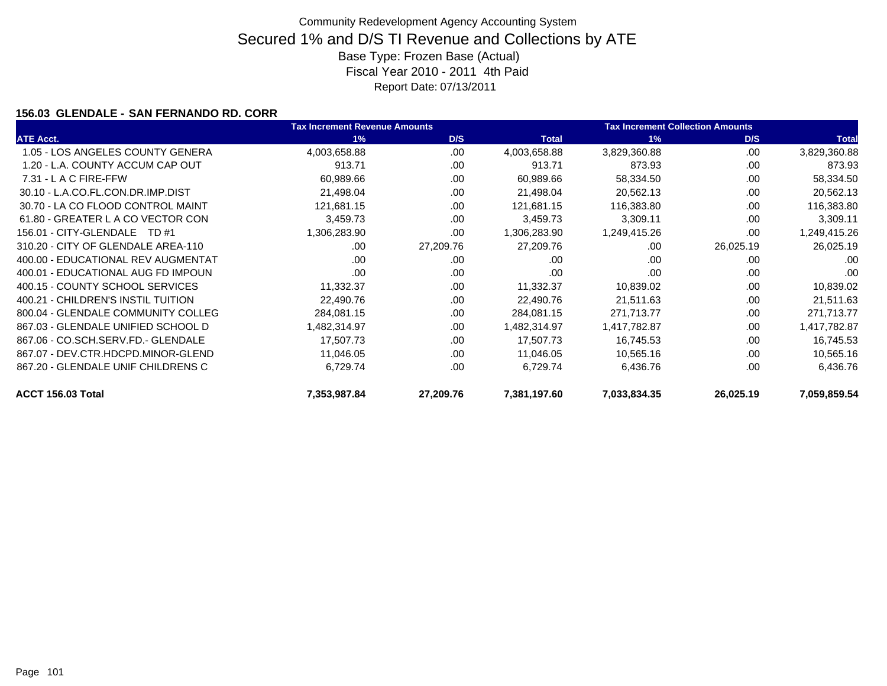### **156.03 GLENDALE - SAN FERNANDO RD. CORR**

|                                    | <b>Tax Increment Revenue Amounts</b> |           |              | <b>Tax Increment Collection Amounts</b> |           |              |
|------------------------------------|--------------------------------------|-----------|--------------|-----------------------------------------|-----------|--------------|
| <b>ATE Acct.</b>                   | 1%                                   | D/S       | <b>Total</b> | 1%                                      | D/S       | <b>Total</b> |
| 1.05 - LOS ANGELES COUNTY GENERA   | 4,003,658.88                         | .00.      | 4,003,658.88 | 3,829,360.88                            | .00       | 3,829,360.88 |
| 1.20 - L.A. COUNTY ACCUM CAP OUT   | 913.71                               | .00       | 913.71       | 873.93                                  | .00       | 873.93       |
| $7.31 - L$ A C FIRE-FFW            | 60,989.66                            | .00       | 60,989.66    | 58,334.50                               | .00       | 58,334.50    |
| 30.10 - L.A.CO.FL.CON.DR.IMP.DIST  | 21,498.04                            | .00       | 21,498.04    | 20,562.13                               | .00       | 20,562.13    |
| 30.70 - LA CO FLOOD CONTROL MAINT  | 121,681.15                           | .00       | 121,681.15   | 116,383.80                              | .00       | 116,383.80   |
| 61.80 - GREATER L A CO VECTOR CON  | 3,459.73                             | .00       | 3,459.73     | 3,309.11                                | .00       | 3,309.11     |
| 156.01 - CITY-GLENDALE<br>TD #1    | 1,306,283.90                         | .00       | 1,306,283.90 | 1,249,415.26                            | .00       | 1,249,415.26 |
| 310.20 - CITY OF GLENDALE AREA-110 | .00                                  | 27,209.76 | 27,209.76    | .00                                     | 26,025.19 | 26,025.19    |
| 400.00 - EDUCATIONAL REV AUGMENTAT | .00                                  | .00       | .00          | .00                                     | .00       | .00          |
| 400.01 - EDUCATIONAL AUG FD IMPOUN | .00                                  | .00       | .00          | .00                                     | .00       | .00          |
| 400.15 - COUNTY SCHOOL SERVICES    | 11,332.37                            | .00.      | 11,332.37    | 10,839.02                               | .00       | 10,839.02    |
| 400.21 - CHILDREN'S INSTIL TUITION | 22,490.76                            | .00.      | 22,490.76    | 21,511.63                               | .00       | 21,511.63    |
| 800.04 - GLENDALE COMMUNITY COLLEG | 284,081.15                           | .00       | 284,081.15   | 271,713.77                              | .00       | 271,713.77   |
| 867.03 - GLENDALE UNIFIED SCHOOL D | 1,482,314.97                         | .00       | 1,482,314.97 | 1,417,782.87                            | .00       | 1,417,782.87 |
| 867.06 - CO.SCH.SERV.FD.- GLENDALE | 17,507.73                            | .00       | 17,507.73    | 16,745.53                               | .00       | 16,745.53    |
| 867.07 - DEV.CTR.HDCPD.MINOR-GLEND | 11,046.05                            | .00       | 11,046.05    | 10,565.16                               | .00       | 10,565.16    |
| 867.20 - GLENDALE UNIF CHILDRENS C | 6,729.74                             | .00.      | 6,729.74     | 6,436.76                                | .00       | 6,436.76     |
| ACCT 156.03 Total                  | 7,353,987.84                         | 27,209.76 | 7,381,197.60 | 7,033,834.35                            | 26,025.19 | 7,059,859.54 |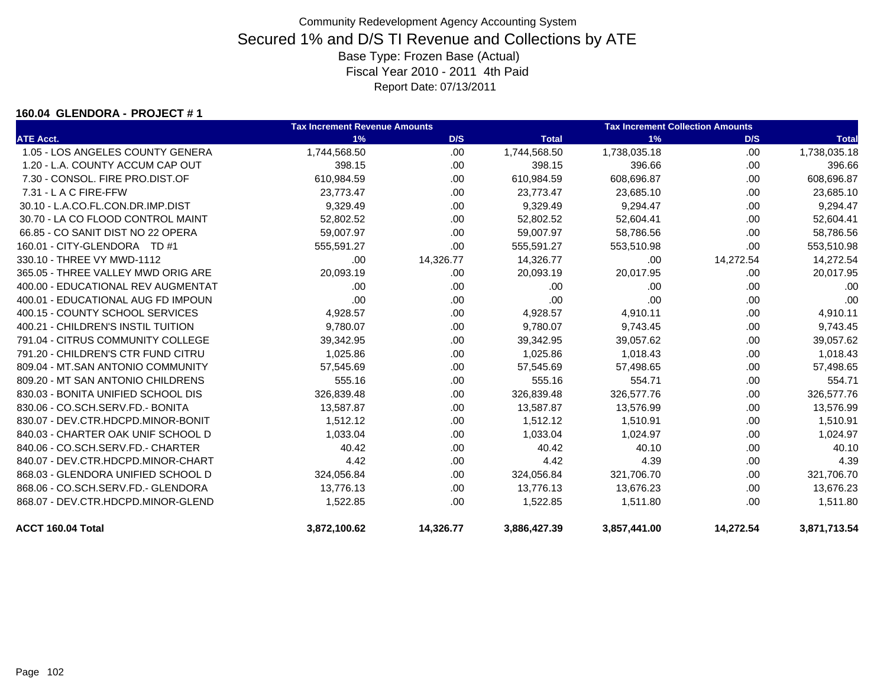#### **160.04 GLENDORA - PROJECT # 1**

|                                    | <b>Tax Increment Revenue Amounts</b> |           |              | <b>Tax Increment Collection Amounts</b> |           |              |
|------------------------------------|--------------------------------------|-----------|--------------|-----------------------------------------|-----------|--------------|
| <b>ATE Acct.</b>                   | 1%                                   | D/S       | <b>Total</b> | 1%                                      | D/S       | <b>Total</b> |
| 1.05 - LOS ANGELES COUNTY GENERA   | 1,744,568.50                         | .00       | 1,744,568.50 | 1,738,035.18                            | .00       | 1,738,035.18 |
| 1.20 - L.A. COUNTY ACCUM CAP OUT   | 398.15                               | .00.      | 398.15       | 396.66                                  | .00.      | 396.66       |
| 7.30 - CONSOL. FIRE PRO.DIST.OF    | 610,984.59                           | .00.      | 610,984.59   | 608,696.87                              | .00       | 608,696.87   |
| $7.31 - L$ A C FIRE-FFW            | 23,773.47                            | .00       | 23,773.47    | 23,685.10                               | .00       | 23,685.10    |
| 30.10 - L.A.CO.FL.CON.DR.IMP.DIST  | 9,329.49                             | .00.      | 9,329.49     | 9,294.47                                | .00       | 9,294.47     |
| 30.70 - LA CO FLOOD CONTROL MAINT  | 52,802.52                            | .00       | 52,802.52    | 52,604.41                               | .00       | 52,604.41    |
| 66.85 - CO SANIT DIST NO 22 OPERA  | 59,007.97                            | .00       | 59,007.97    | 58,786.56                               | .00       | 58,786.56    |
| 160.01 - CITY-GLENDORA TD #1       | 555,591.27                           | .00.      | 555,591.27   | 553,510.98                              | .00       | 553,510.98   |
| 330.10 - THREE VY MWD-1112         | .00                                  | 14,326.77 | 14,326.77    | .00                                     | 14,272.54 | 14,272.54    |
| 365.05 - THREE VALLEY MWD ORIG ARE | 20,093.19                            | .00       | 20,093.19    | 20,017.95                               | .00       | 20,017.95    |
| 400.00 - EDUCATIONAL REV AUGMENTAT | .00                                  | .00       | .00          | .00                                     | .00       | .00          |
| 400.01 - EDUCATIONAL AUG FD IMPOUN | .00                                  | .00.      | .00          | .00                                     | .00       | .00          |
| 400.15 - COUNTY SCHOOL SERVICES    | 4,928.57                             | .00.      | 4,928.57     | 4,910.11                                | .00       | 4,910.11     |
| 400.21 - CHILDREN'S INSTIL TUITION | 9,780.07                             | .00.      | 9,780.07     | 9,743.45                                | .00       | 9,743.45     |
| 791.04 - CITRUS COMMUNITY COLLEGE  | 39,342.95                            | .00       | 39,342.95    | 39,057.62                               | .00       | 39,057.62    |
| 791.20 - CHILDREN'S CTR FUND CITRU | 1,025.86                             | .00.      | 1,025.86     | 1,018.43                                | .00       | 1,018.43     |
| 809.04 - MT.SAN ANTONIO COMMUNITY  | 57,545.69                            | .00       | 57,545.69    | 57,498.65                               | .00       | 57,498.65    |
| 809.20 - MT SAN ANTONIO CHILDRENS  | 555.16                               | .00       | 555.16       | 554.71                                  | .00       | 554.71       |
| 830.03 - BONITA UNIFIED SCHOOL DIS | 326,839.48                           | .00.      | 326,839.48   | 326,577.76                              | .00       | 326,577.76   |
| 830.06 - CO.SCH.SERV.FD.- BONITA   | 13,587.87                            | .00.      | 13,587.87    | 13,576.99                               | .00       | 13,576.99    |
| 830.07 - DEV.CTR.HDCPD.MINOR-BONIT | 1,512.12                             | .00.      | 1,512.12     | 1,510.91                                | .00       | 1,510.91     |
| 840.03 - CHARTER OAK UNIF SCHOOL D | 1,033.04                             | .00       | 1,033.04     | 1,024.97                                | .00       | 1,024.97     |
| 840.06 - CO.SCH.SERV.FD.- CHARTER  | 40.42                                | .00.      | 40.42        | 40.10                                   | .00       | 40.10        |
| 840.07 - DEV.CTR.HDCPD.MINOR-CHART | 4.42                                 | .00.      | 4.42         | 4.39                                    | .00       | 4.39         |
| 868.03 - GLENDORA UNIFIED SCHOOL D | 324,056.84                           | .00.      | 324,056.84   | 321,706.70                              | .00       | 321,706.70   |
| 868.06 - CO.SCH.SERV.FD.- GLENDORA | 13,776.13                            | .00       | 13,776.13    | 13,676.23                               | .00       | 13,676.23    |
| 868.07 - DEV.CTR.HDCPD.MINOR-GLEND | 1,522.85                             | .00       | 1,522.85     | 1,511.80                                | .00.      | 1,511.80     |
| ACCT 160.04 Total                  | 3,872,100.62                         | 14,326.77 | 3,886,427.39 | 3,857,441.00                            | 14,272.54 | 3,871,713.54 |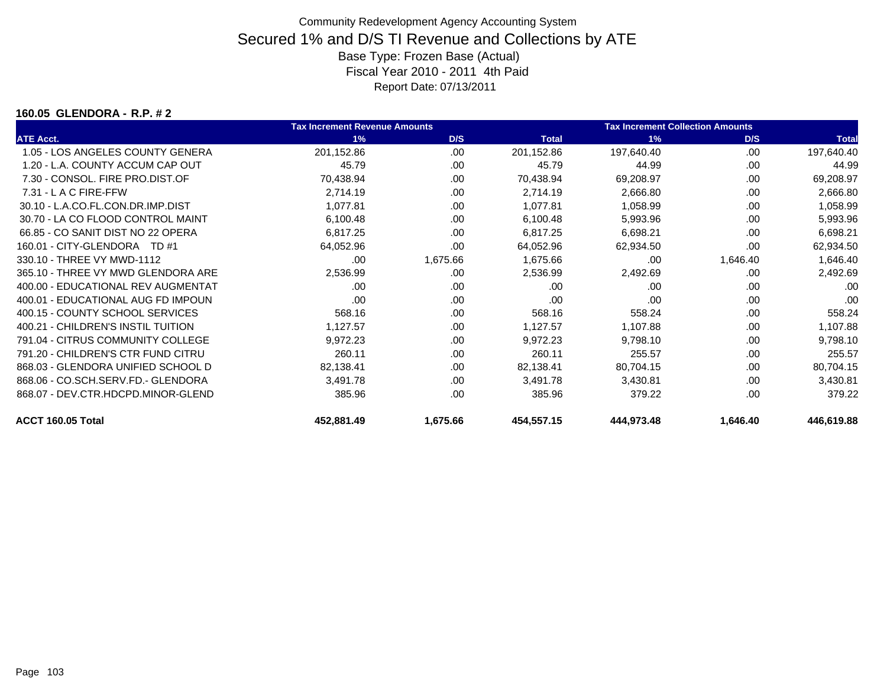#### **160.05 GLENDORA - R.P. # 2**

|                                    | <b>Tax Increment Revenue Amounts</b> |          |              | <b>Tax Increment Collection Amounts</b> |          |              |
|------------------------------------|--------------------------------------|----------|--------------|-----------------------------------------|----------|--------------|
| <b>ATE Acct.</b>                   | 1%                                   | D/S      | <b>Total</b> | 1%                                      | D/S      | <b>Total</b> |
| 1.05 - LOS ANGELES COUNTY GENERA   | 201,152.86                           | .00      | 201,152.86   | 197,640.40                              | .00      | 197,640.40   |
| 1.20 - L.A. COUNTY ACCUM CAP OUT   | 45.79                                | .00      | 45.79        | 44.99                                   | .00      | 44.99        |
| 7.30 - CONSOL, FIRE PRO.DIST.OF    | 70,438.94                            | .00      | 70,438.94    | 69,208.97                               | .00      | 69,208.97    |
| 7.31 - L A C FIRE-FFW              | 2,714.19                             | .00      | 2,714.19     | 2,666.80                                | .00      | 2,666.80     |
| 30.10 - L.A.CO.FL.CON.DR.IMP.DIST  | 1,077.81                             | .00      | 1,077.81     | 1,058.99                                | .00      | 1,058.99     |
| 30.70 - LA CO FLOOD CONTROL MAINT  | 6,100.48                             | .00      | 6,100.48     | 5,993.96                                | .00      | 5,993.96     |
| 66.85 - CO SANIT DIST NO 22 OPERA  | 6,817.25                             | .00      | 6,817.25     | 6,698.21                                | .00      | 6,698.21     |
| 160.01 - CITY-GLENDORA TD #1       | 64,052.96                            | .00      | 64,052.96    | 62,934.50                               | .00      | 62,934.50    |
| 330.10 - THREE VY MWD-1112         | .00                                  | 1,675.66 | 1,675.66     | .00                                     | 1,646.40 | 1,646.40     |
| 365.10 - THREE VY MWD GLENDORA ARE | 2,536.99                             | .00      | 2,536.99     | 2,492.69                                | .00      | 2,492.69     |
| 400.00 - EDUCATIONAL REV AUGMENTAT | .00                                  | .00      | .00          | .00                                     | .00      | .00          |
| 400.01 - EDUCATIONAL AUG FD IMPOUN | .00                                  | .00      | .00          | .00                                     | .00      | .00          |
| 400.15 - COUNTY SCHOOL SERVICES    | 568.16                               | .00      | 568.16       | 558.24                                  | .00      | 558.24       |
| 400.21 - CHILDREN'S INSTIL TUITION | 1,127.57                             | .00      | 1,127.57     | 1,107.88                                | .00      | 1,107.88     |
| 791.04 - CITRUS COMMUNITY COLLEGE  | 9,972.23                             | .00.     | 9,972.23     | 9,798.10                                | .00      | 9,798.10     |
| 791.20 - CHILDREN'S CTR FUND CITRU | 260.11                               | .00      | 260.11       | 255.57                                  | .00      | 255.57       |
| 868.03 - GLENDORA UNIFIED SCHOOL D | 82,138.41                            | .00.     | 82,138.41    | 80,704.15                               | .00      | 80,704.15    |
| 868.06 - CO.SCH.SERV.FD.- GLENDORA | 3,491.78                             | .00      | 3,491.78     | 3,430.81                                | .00      | 3,430.81     |
| 868.07 - DEV.CTR.HDCPD.MINOR-GLEND | 385.96                               | .00      | 385.96       | 379.22                                  | .00      | 379.22       |
| ACCT 160.05 Total                  | 452,881.49                           | 1,675.66 | 454,557.15   | 444,973.48                              | 1,646.40 | 446,619.88   |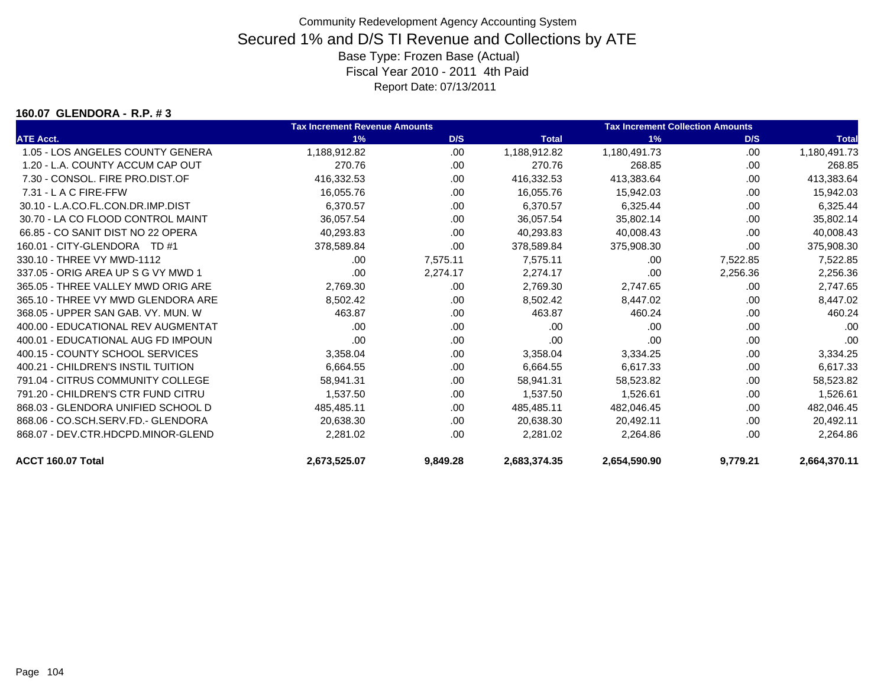#### **160.07 GLENDORA - R.P. # 3**

|                                    | <b>Tax Increment Revenue Amounts</b> |          |              | <b>Tax Increment Collection Amounts</b> |          |              |
|------------------------------------|--------------------------------------|----------|--------------|-----------------------------------------|----------|--------------|
| <b>ATE Acct.</b>                   | 1%                                   | D/S      | <b>Total</b> | 1%                                      | D/S      | <b>Total</b> |
| 1.05 - LOS ANGELES COUNTY GENERA   | 1,188,912.82                         | .00.     | 1,188,912.82 | 1,180,491.73                            | .00      | 1,180,491.73 |
| 1.20 - L.A. COUNTY ACCUM CAP OUT   | 270.76                               | .00.     | 270.76       | 268.85                                  | .00      | 268.85       |
| 7.30 - CONSOL, FIRE PRO.DIST.OF    | 416,332.53                           | .00      | 416,332.53   | 413,383.64                              | .00      | 413,383.64   |
| $7.31 - L$ A C FIRE-FFW            | 16.055.76                            | .00      | 16.055.76    | 15,942.03                               | .00      | 15,942.03    |
| 30.10 - L.A.CO.FL.CON.DR.IMP.DIST  | 6,370.57                             | .00      | 6,370.57     | 6,325.44                                | .00      | 6,325.44     |
| 30.70 - LA CO FLOOD CONTROL MAINT  | 36,057.54                            | .00      | 36,057.54    | 35.802.14                               | .00      | 35,802.14    |
| 66.85 - CO SANIT DIST NO 22 OPERA  | 40,293.83                            | .00.     | 40,293.83    | 40,008.43                               | .00      | 40,008.43    |
| 160.01 - CITY-GLENDORA TD #1       | 378,589.84                           | .00      | 378,589.84   | 375,908.30                              | .00      | 375,908.30   |
| 330.10 - THREE VY MWD-1112         | .00                                  | 7,575.11 | 7,575.11     | .00                                     | 7,522.85 | 7,522.85     |
| 337.05 - ORIG AREA UP S G VY MWD 1 | .00                                  | 2,274.17 | 2.274.17     | .00                                     | 2,256.36 | 2,256.36     |
| 365.05 - THREE VALLEY MWD ORIG ARE | 2,769.30                             | .00.     | 2,769.30     | 2,747.65                                | .00      | 2,747.65     |
| 365.10 - THREE VY MWD GLENDORA ARE | 8,502.42                             | .00      | 8,502.42     | 8,447.02                                | .00      | 8,447.02     |
| 368.05 - UPPER SAN GAB, VY, MUN, W | 463.87                               | .00      | 463.87       | 460.24                                  | .00      | 460.24       |
| 400.00 - EDUCATIONAL REV AUGMENTAT | .00                                  | .00      | .00          | .00                                     | .00      | .00          |
| 400.01 - EDUCATIONAL AUG FD IMPOUN | .00                                  | .00      | .00          | .00                                     | .00      | .00          |
| 400.15 - COUNTY SCHOOL SERVICES    | 3,358.04                             | .00      | 3,358.04     | 3,334.25                                | .00      | 3,334.25     |
| 400.21 - CHILDREN'S INSTIL TUITION | 6,664.55                             | .00.     | 6,664.55     | 6,617.33                                | .00      | 6,617.33     |
| 791.04 - CITRUS COMMUNITY COLLEGE  | 58,941.31                            | .00      | 58,941.31    | 58,523.82                               | .00      | 58,523.82    |
| 791.20 - CHILDREN'S CTR FUND CITRU | 1,537.50                             | .00      | 1,537.50     | 1,526.61                                | .00      | 1,526.61     |
| 868.03 - GLENDORA UNIFIED SCHOOL D | 485,485.11                           | .00      | 485,485.11   | 482,046.45                              | .00      | 482,046.45   |
| 868.06 - CO.SCH.SERV.FD.- GLENDORA | 20,638.30                            | .00      | 20,638.30    | 20,492.11                               | .00      | 20,492.11    |
| 868.07 - DEV.CTR.HDCPD.MINOR-GLEND | 2,281.02                             | .00      | 2,281.02     | 2,264.86                                | .00      | 2,264.86     |
| ACCT 160.07 Total                  | 2,673,525.07                         | 9,849.28 | 2,683,374.35 | 2,654,590.90                            | 9,779.21 | 2,664,370.11 |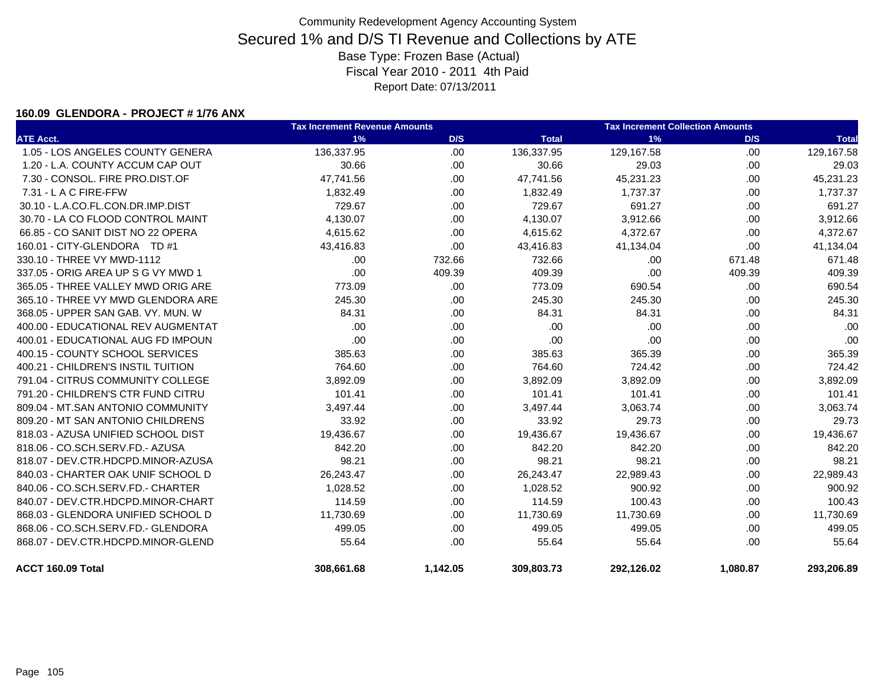#### **160.09 GLENDORA - PROJECT # 1/76 ANX**

|                                    | <b>Tax Increment Revenue Amounts</b> | <b>Tax Increment Collection Amounts</b> |              |            |          |              |
|------------------------------------|--------------------------------------|-----------------------------------------|--------------|------------|----------|--------------|
| <b>ATE Acct.</b>                   | 1%                                   | D/S                                     | <b>Total</b> | 1%         | D/S      | <b>Total</b> |
| 1.05 - LOS ANGELES COUNTY GENERA   | 136,337.95                           | .00                                     | 136,337.95   | 129,167.58 | .00.     | 129,167.58   |
| 1.20 - L.A. COUNTY ACCUM CAP OUT   | 30.66                                | .00                                     | 30.66        | 29.03      | .00      | 29.03        |
| 7.30 - CONSOL. FIRE PRO.DIST.OF    | 47,741.56                            | .00.                                    | 47,741.56    | 45,231.23  | .00      | 45,231.23    |
| 7.31 - L A C FIRE-FFW              | 1,832.49                             | .00.                                    | 1,832.49     | 1,737.37   | .00      | 1,737.37     |
| 30.10 - L.A.CO.FL.CON.DR.IMP.DIST  | 729.67                               | .00.                                    | 729.67       | 691.27     | .00.     | 691.27       |
| 30.70 - LA CO FLOOD CONTROL MAINT  | 4,130.07                             | .00                                     | 4,130.07     | 3,912.66   | .00.     | 3,912.66     |
| 66.85 - CO SANIT DIST NO 22 OPERA  | 4,615.62                             | .00                                     | 4,615.62     | 4,372.67   | .00      | 4,372.67     |
| 160.01 - CITY-GLENDORA TD #1       | 43,416.83                            | .00.                                    | 43,416.83    | 41,134.04  | .00.     | 41,134.04    |
| 330.10 - THREE VY MWD-1112         | .00                                  | 732.66                                  | 732.66       | .00        | 671.48   | 671.48       |
| 337.05 - ORIG AREA UP S G VY MWD 1 | .00                                  | 409.39                                  | 409.39       | .00        | 409.39   | 409.39       |
| 365.05 - THREE VALLEY MWD ORIG ARE | 773.09                               | .00                                     | 773.09       | 690.54     | .00      | 690.54       |
| 365.10 - THREE VY MWD GLENDORA ARE | 245.30                               | .00.                                    | 245.30       | 245.30     | .00.     | 245.30       |
| 368.05 - UPPER SAN GAB, VY, MUN, W | 84.31                                | .00                                     | 84.31        | 84.31      | .00.     | 84.31        |
| 400.00 - EDUCATIONAL REV AUGMENTAT | .00                                  | .00                                     | .00          | .00        | .00.     | .00          |
| 400.01 - EDUCATIONAL AUG FD IMPOUN | .00                                  | .00                                     | .00          | .00        | .00.     | .00          |
| 400.15 - COUNTY SCHOOL SERVICES    | 385.63                               | .00                                     | 385.63       | 365.39     | .00.     | 365.39       |
| 400.21 - CHILDREN'S INSTIL TUITION | 764.60                               | .00                                     | 764.60       | 724.42     | .00.     | 724.42       |
| 791.04 - CITRUS COMMUNITY COLLEGE  | 3,892.09                             | .00.                                    | 3,892.09     | 3,892.09   | .00      | 3,892.09     |
| 791.20 - CHILDREN'S CTR FUND CITRU | 101.41                               | .00                                     | 101.41       | 101.41     | .00.     | 101.41       |
| 809.04 - MT.SAN ANTONIO COMMUNITY  | 3,497.44                             | .00                                     | 3,497.44     | 3,063.74   | .00.     | 3,063.74     |
| 809.20 - MT SAN ANTONIO CHILDRENS  | 33.92                                | .00                                     | 33.92        | 29.73      | .00.     | 29.73        |
| 818.03 - AZUSA UNIFIED SCHOOL DIST | 19,436.67                            | .00.                                    | 19,436.67    | 19,436.67  | .00      | 19,436.67    |
| 818.06 - CO.SCH.SERV.FD.- AZUSA    | 842.20                               | .00                                     | 842.20       | 842.20     | .00      | 842.20       |
| 818.07 - DEV.CTR.HDCPD.MINOR-AZUSA | 98.21                                | .00.                                    | 98.21        | 98.21      | .00.     | 98.21        |
| 840.03 - CHARTER OAK UNIF SCHOOL D | 26,243.47                            | .00                                     | 26,243.47    | 22,989.43  | .00      | 22,989.43    |
| 840.06 - CO.SCH.SERV.FD.- CHARTER  | 1,028.52                             | .00.                                    | 1,028.52     | 900.92     | .00.     | 900.92       |
| 840.07 - DEV.CTR.HDCPD.MINOR-CHART | 114.59                               | .00.                                    | 114.59       | 100.43     | .00.     | 100.43       |
| 868.03 - GLENDORA UNIFIED SCHOOL D | 11,730.69                            | .00.                                    | 11,730.69    | 11,730.69  | .00      | 11,730.69    |
| 868.06 - CO.SCH.SERV.FD.- GLENDORA | 499.05                               | .00.                                    | 499.05       | 499.05     | .00.     | 499.05       |
| 868.07 - DEV.CTR.HDCPD.MINOR-GLEND | 55.64                                | .00                                     | 55.64        | 55.64      | .00      | 55.64        |
| ACCT 160.09 Total                  | 308,661.68                           | 1,142.05                                | 309,803.73   | 292,126.02 | 1,080.87 | 293,206.89   |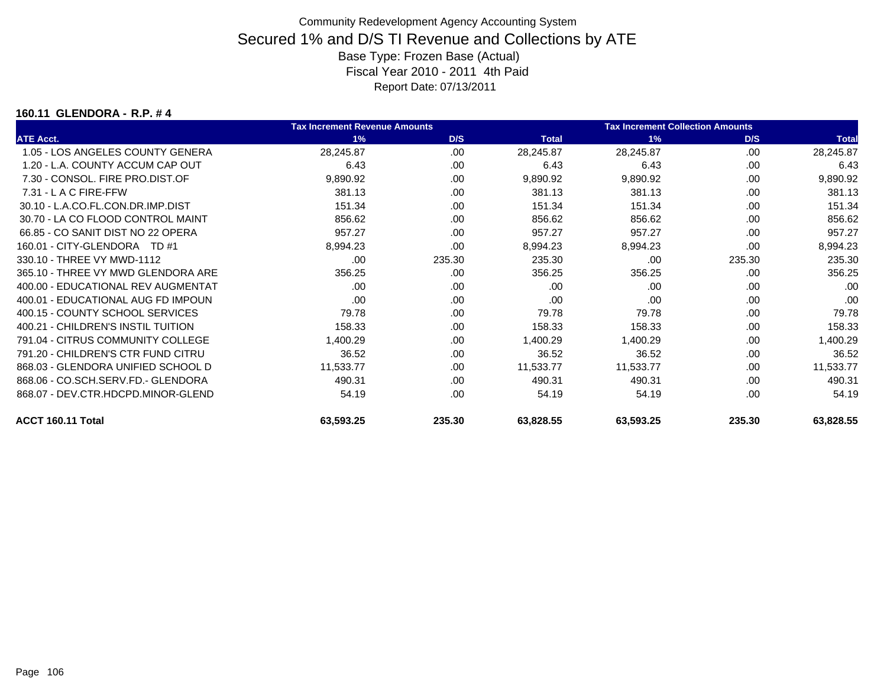#### **160.11 GLENDORA - R.P. # 4**

|                                    | <b>Tax Increment Revenue Amounts</b> |        |              | <b>Tax Increment Collection Amounts</b> |        |              |
|------------------------------------|--------------------------------------|--------|--------------|-----------------------------------------|--------|--------------|
| <b>ATE Acct.</b>                   | 1%                                   | D/S    | <b>Total</b> | 1%                                      | D/S    | <b>Total</b> |
| 1.05 - LOS ANGELES COUNTY GENERA   | 28,245.87                            | .00    | 28,245.87    | 28,245.87                               | .00    | 28,245.87    |
| 1.20 - L.A. COUNTY ACCUM CAP OUT   | 6.43                                 | .00    | 6.43         | 6.43                                    | .00    | 6.43         |
| 7.30 - CONSOL, FIRE PRO.DIST.OF    | 9,890.92                             | .00    | 9,890.92     | 9,890.92                                | .00    | 9,890.92     |
| 7.31 - L A C FIRE-FFW              | 381.13                               | .00    | 381.13       | 381.13                                  | .00    | 381.13       |
| 30.10 - L.A.CO.FL.CON.DR.IMP.DIST  | 151.34                               | .00    | 151.34       | 151.34                                  | .00    | 151.34       |
| 30.70 - LA CO FLOOD CONTROL MAINT  | 856.62                               | .00    | 856.62       | 856.62                                  | .00    | 856.62       |
| 66.85 - CO SANIT DIST NO 22 OPERA  | 957.27                               | .00    | 957.27       | 957.27                                  | .00    | 957.27       |
| 160.01 - CITY-GLENDORA TD #1       | 8,994.23                             | .00    | 8,994.23     | 8,994.23                                | .00    | 8,994.23     |
| 330.10 - THREE VY MWD-1112         | .00                                  | 235.30 | 235.30       | .00                                     | 235.30 | 235.30       |
| 365.10 - THREE VY MWD GLENDORA ARE | 356.25                               | .00    | 356.25       | 356.25                                  | .00    | 356.25       |
| 400.00 - EDUCATIONAL REV AUGMENTAT | .00                                  | .00    | .00          | .00                                     | .00    | .00          |
| 400.01 - EDUCATIONAL AUG FD IMPOUN | .00                                  | .00    | .00          | .00                                     | .00    | .00          |
| 400.15 - COUNTY SCHOOL SERVICES    | 79.78                                | .00    | 79.78        | 79.78                                   | .00    | 79.78        |
| 400.21 - CHILDREN'S INSTIL TUITION | 158.33                               | .00    | 158.33       | 158.33                                  | .00    | 158.33       |
| 791.04 - CITRUS COMMUNITY COLLEGE  | 1,400.29                             | .00    | 1,400.29     | 1,400.29                                | .00    | 1,400.29     |
| 791.20 - CHILDREN'S CTR FUND CITRU | 36.52                                | .00    | 36.52        | 36.52                                   | .00    | 36.52        |
| 868.03 - GLENDORA UNIFIED SCHOOL D | 11,533.77                            | .00    | 11,533.77    | 11,533.77                               | .00    | 11,533.77    |
| 868.06 - CO.SCH.SERV.FD.- GLENDORA | 490.31                               | .00    | 490.31       | 490.31                                  | .00    | 490.31       |
| 868.07 - DEV.CTR.HDCPD.MINOR-GLEND | 54.19                                | .00    | 54.19        | 54.19                                   | .00    | 54.19        |
| ACCT 160.11 Total                  | 63,593.25                            | 235.30 | 63,828.55    | 63,593.25                               | 235.30 | 63,828.55    |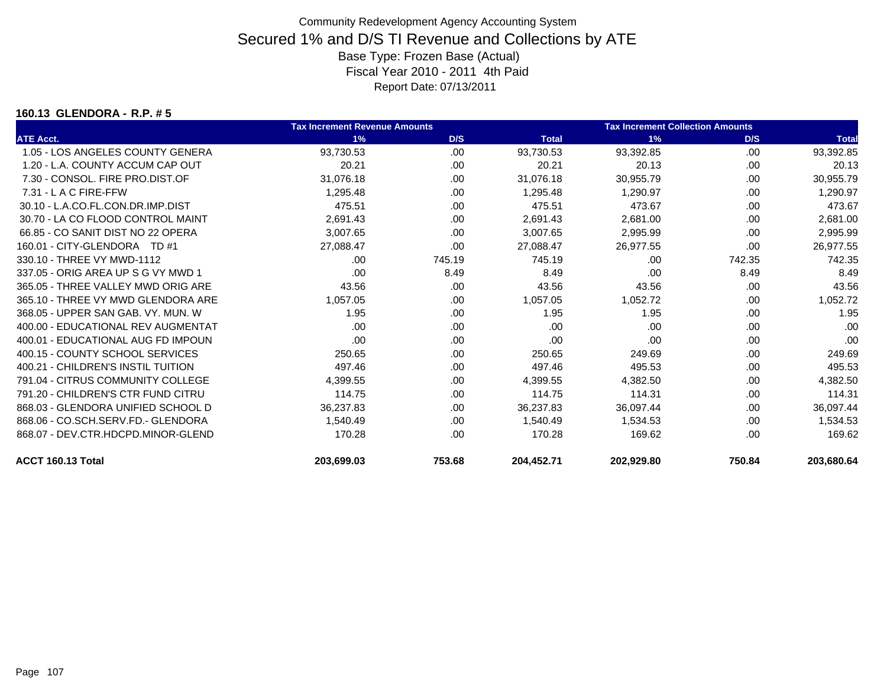#### **160.13 GLENDORA - R.P. # 5**

|                                    | <b>Tax Increment Revenue Amounts</b> |        |              | <b>Tax Increment Collection Amounts</b> |        |              |
|------------------------------------|--------------------------------------|--------|--------------|-----------------------------------------|--------|--------------|
| <b>ATE Acct.</b>                   | 1%                                   | D/S    | <b>Total</b> | 1%                                      | D/S    | <b>Total</b> |
| 1.05 - LOS ANGELES COUNTY GENERA   | 93,730.53                            | .00    | 93,730.53    | 93,392.85                               | .00    | 93,392.85    |
| 1.20 - L.A. COUNTY ACCUM CAP OUT   | 20.21                                | .00    | 20.21        | 20.13                                   | .00    | 20.13        |
| 7.30 - CONSOL, FIRE PRO.DIST.OF    | 31,076.18                            | .00    | 31,076.18    | 30,955.79                               | .00    | 30,955.79    |
| $7.31 - L$ A C FIRE-FFW            | 1,295.48                             | .00    | 1,295.48     | 1,290.97                                | .00    | 1,290.97     |
| 30.10 - L.A.CO.FL.CON.DR.IMP.DIST  | 475.51                               | .00    | 475.51       | 473.67                                  | .00    | 473.67       |
| 30.70 - LA CO FLOOD CONTROL MAINT  | 2,691.43                             | .00.   | 2,691.43     | 2,681.00                                | .00.   | 2,681.00     |
| 66.85 - CO SANIT DIST NO 22 OPERA  | 3,007.65                             | .00.   | 3,007.65     | 2,995.99                                | .00    | 2,995.99     |
| 160.01 - CITY-GLENDORA TD #1       | 27,088.47                            | .00    | 27,088.47    | 26,977.55                               | .00    | 26,977.55    |
| 330.10 - THREE VY MWD-1112         | .00                                  | 745.19 | 745.19       | .00                                     | 742.35 | 742.35       |
| 337.05 - ORIG AREA UP S G VY MWD 1 | .00                                  | 8.49   | 8.49         | .00                                     | 8.49   | 8.49         |
| 365.05 - THREE VALLEY MWD ORIG ARE | 43.56                                | .00    | 43.56        | 43.56                                   | .00    | 43.56        |
| 365.10 - THREE VY MWD GLENDORA ARE | 1,057.05                             | .00    | 1,057.05     | 1,052.72                                | .00    | 1,052.72     |
| 368.05 - UPPER SAN GAB, VY, MUN, W | 1.95                                 | .00    | 1.95         | 1.95                                    | .00    | 1.95         |
| 400.00 - EDUCATIONAL REV AUGMENTAT | .00                                  | .00    | .00          | .00                                     | .00    | .00          |
| 400.01 - EDUCATIONAL AUG FD IMPOUN | .00                                  | .00.   | .00          | .00                                     | .00.   | .00          |
| 400.15 - COUNTY SCHOOL SERVICES    | 250.65                               | .00.   | 250.65       | 249.69                                  | .00.   | 249.69       |
| 400.21 - CHILDREN'S INSTIL TUITION | 497.46                               | .00    | 497.46       | 495.53                                  | .00    | 495.53       |
| 791.04 - CITRUS COMMUNITY COLLEGE  | 4,399.55                             | .00.   | 4,399.55     | 4,382.50                                | .00    | 4,382.50     |
| 791.20 - CHILDREN'S CTR FUND CITRU | 114.75                               | .00    | 114.75       | 114.31                                  | .00    | 114.31       |
| 868.03 - GLENDORA UNIFIED SCHOOL D | 36,237.83                            | .00    | 36,237.83    | 36,097.44                               | .00    | 36,097.44    |
| 868.06 - CO.SCH.SERV.FD.- GLENDORA | 1,540.49                             | .00.   | 1.540.49     | 1,534.53                                | .00    | 1,534.53     |
| 868.07 - DEV.CTR.HDCPD.MINOR-GLEND | 170.28                               | .00    | 170.28       | 169.62                                  | .00    | 169.62       |
| ACCT 160.13 Total                  | 203.699.03                           | 753.68 | 204.452.71   | 202.929.80                              | 750.84 | 203.680.64   |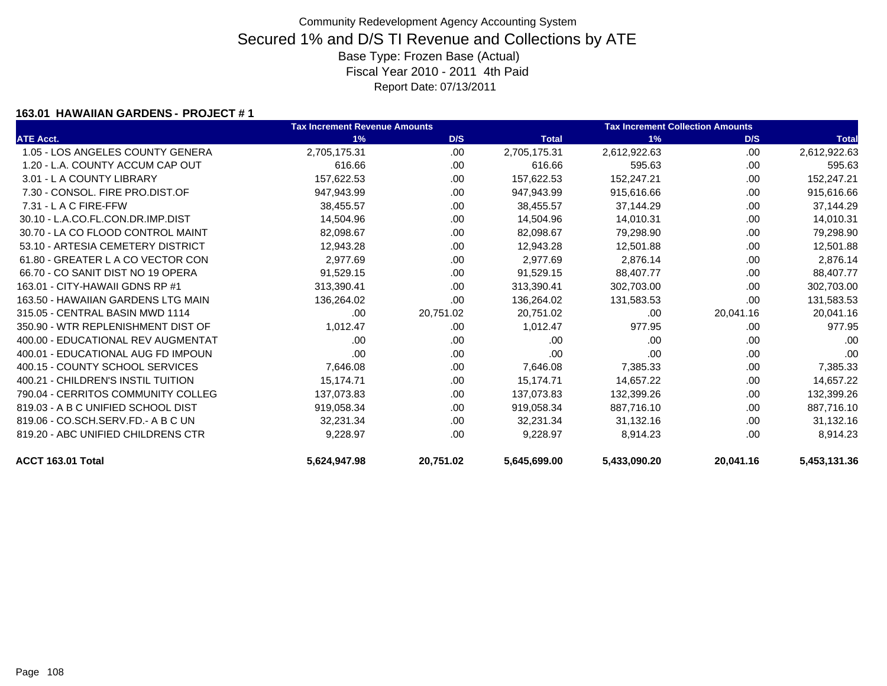### **163.01 HAWAIIAN GARDENS - PROJECT # 1**

|                                    | <b>Tax Increment Revenue Amounts</b> |           |              | <b>Tax Increment Collection Amounts</b> |           |              |  |
|------------------------------------|--------------------------------------|-----------|--------------|-----------------------------------------|-----------|--------------|--|
| <b>ATE Acct.</b>                   | 1%                                   | D/S       | <b>Total</b> | 1%                                      | D/S       | <b>Total</b> |  |
| 1.05 - LOS ANGELES COUNTY GENERA   | 2,705,175.31                         | .00.      | 2,705,175.31 | 2,612,922.63                            | .00       | 2,612,922.63 |  |
| 1.20 - L.A. COUNTY ACCUM CAP OUT   | 616.66                               | .00       | 616.66       | 595.63                                  | .00       | 595.63       |  |
| 3.01 - L A COUNTY LIBRARY          | 157,622.53                           | .00       | 157,622.53   | 152,247.21                              | .00       | 152,247.21   |  |
| 7.30 - CONSOL, FIRE PRO.DIST.OF    | 947,943.99                           | .00.      | 947,943.99   | 915,616.66                              | .00       | 915,616.66   |  |
| 7.31 - L A C FIRE-FFW              | 38,455.57                            | .00.      | 38,455.57    | 37,144.29                               | .00       | 37,144.29    |  |
| 30.10 - L.A.CO.FL.CON.DR.IMP.DIST  | 14,504.96                            | .00       | 14,504.96    | 14,010.31                               | .00       | 14,010.31    |  |
| 30.70 - LA CO FLOOD CONTROL MAINT  | 82,098.67                            | .00.      | 82,098.67    | 79,298.90                               | .00       | 79,298.90    |  |
| 53.10 - ARTESIA CEMETERY DISTRICT  | 12,943.28                            | .00       | 12,943.28    | 12,501.88                               | .00       | 12,501.88    |  |
| 61.80 - GREATER L A CO VECTOR CON  | 2,977.69                             | .00.      | 2,977.69     | 2,876.14                                | .00       | 2,876.14     |  |
| 66.70 - CO SANIT DIST NO 19 OPERA  | 91,529.15                            | .00       | 91,529.15    | 88,407.77                               | .00       | 88,407.77    |  |
| 163.01 - CITY-HAWAII GDNS RP #1    | 313,390.41                           | .00       | 313,390.41   | 302,703.00                              | .00       | 302,703.00   |  |
| 163.50 - HAWAIIAN GARDENS LTG MAIN | 136,264.02                           | .00       | 136,264.02   | 131,583.53                              | .00       | 131,583.53   |  |
| 315.05 - CENTRAL BASIN MWD 1114    | .00                                  | 20,751.02 | 20,751.02    | .00                                     | 20,041.16 | 20,041.16    |  |
| 350.90 - WTR REPLENISHMENT DIST OF | 1,012.47                             | .00.      | 1,012.47     | 977.95                                  | .00       | 977.95       |  |
| 400.00 - EDUCATIONAL REV AUGMENTAT | .00                                  | .00       | .00          | .00                                     | .00       | .00          |  |
| 400.01 - EDUCATIONAL AUG FD IMPOUN | .00                                  | .00       | .00          | .00                                     | .00       | .00          |  |
| 400.15 - COUNTY SCHOOL SERVICES    | 7,646.08                             | .00.      | 7,646.08     | 7,385.33                                | .00       | 7,385.33     |  |
| 400.21 - CHILDREN'S INSTIL TUITION | 15,174.71                            | .00       | 15,174.71    | 14,657.22                               | .00       | 14,657.22    |  |
| 790.04 - CERRITOS COMMUNITY COLLEG | 137,073.83                           | .00       | 137.073.83   | 132.399.26                              | .00       | 132,399.26   |  |
| 819.03 - A B C UNIFIED SCHOOL DIST | 919,058.34                           | .00.      | 919,058.34   | 887,716.10                              | .00       | 887,716.10   |  |
| 819.06 - CO.SCH.SERV.FD.- A B C UN | 32,231.34                            | .00       | 32,231.34    | 31,132.16                               | .00       | 31,132.16    |  |
| 819.20 - ABC UNIFIED CHILDRENS CTR | 9,228.97                             | .00       | 9,228.97     | 8,914.23                                | .00       | 8,914.23     |  |
| ACCT 163.01 Total                  | 5,624,947.98                         | 20,751.02 | 5,645,699.00 | 5,433,090.20                            | 20,041.16 | 5,453,131.36 |  |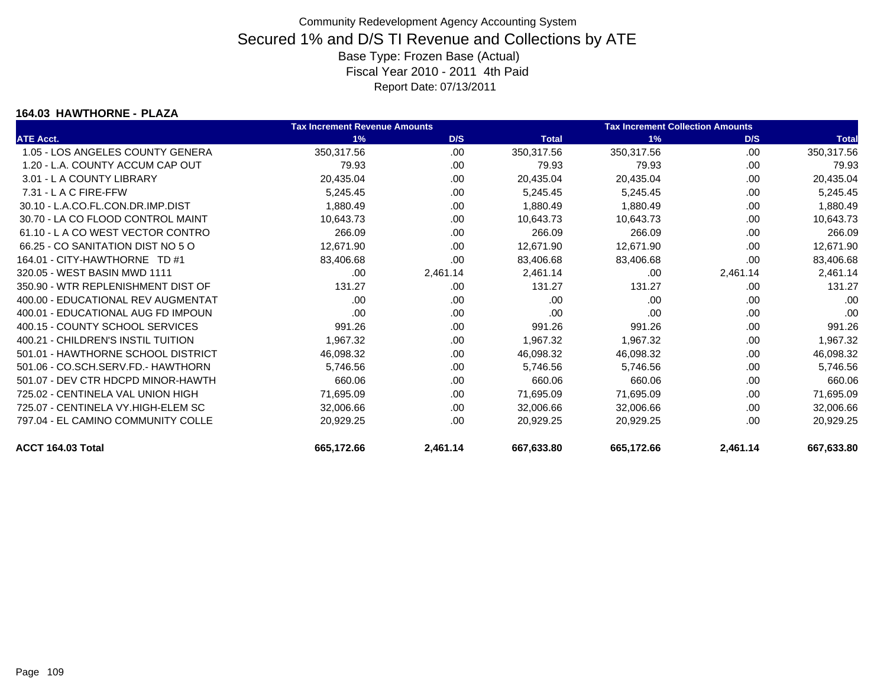#### **164.03 HAWTHORNE - PLAZA**

|                                    | <b>Tax Increment Revenue Amounts</b> |          |              | <b>Tax Increment Collection Amounts</b> |          |              |
|------------------------------------|--------------------------------------|----------|--------------|-----------------------------------------|----------|--------------|
| <b>ATE Acct.</b>                   | 1%                                   | D/S      | <b>Total</b> | 1%                                      | D/S      | <b>Total</b> |
| 1.05 - LOS ANGELES COUNTY GENERA   | 350,317.56                           | .00      | 350,317.56   | 350,317.56                              | .00      | 350,317.56   |
| 1.20 - L.A. COUNTY ACCUM CAP OUT   | 79.93                                | .00      | 79.93        | 79.93                                   | .00      | 79.93        |
| 3.01 - L A COUNTY LIBRARY          | 20,435.04                            | .00      | 20,435.04    | 20,435.04                               | .00      | 20,435.04    |
| $7.31 - L$ A C FIRE-FFW            | 5,245.45                             | .00      | 5,245.45     | 5,245.45                                | .00      | 5,245.45     |
| 30.10 - L.A.CO.FL.CON.DR.IMP.DIST  | 1,880.49                             | .00      | 1,880.49     | 1,880.49                                | .00      | 1,880.49     |
| 30.70 - LA CO FLOOD CONTROL MAINT  | 10,643.73                            | .00      | 10,643.73    | 10,643.73                               | .00      | 10,643.73    |
| 61.10 - LA CO WEST VECTOR CONTRO   | 266.09                               | .00      | 266.09       | 266.09                                  | .00      | 266.09       |
| 66.25 - CO SANITATION DIST NO 5 O  | 12,671.90                            | .00.     | 12,671.90    | 12,671.90                               | .00.     | 12,671.90    |
| 164.01 - CITY-HAWTHORNE TD #1      | 83,406.68                            | .00      | 83,406.68    | 83,406.68                               | .00.     | 83,406.68    |
| 320.05 - WEST BASIN MWD 1111       | .00                                  | 2,461.14 | 2,461.14     | .00                                     | 2,461.14 | 2,461.14     |
| 350.90 - WTR REPLENISHMENT DIST OF | 131.27                               | .00      | 131.27       | 131.27                                  | .00      | 131.27       |
| 400.00 - EDUCATIONAL REV AUGMENTAT | .00                                  | .00.     | .00          | .00                                     | .00      | .00          |
| 400.01 - EDUCATIONAL AUG FD IMPOUN | .00                                  | .00.     | .00          | .00                                     | .00      | .00          |
| 400.15 - COUNTY SCHOOL SERVICES    | 991.26                               | .00      | 991.26       | 991.26                                  | .00      | 991.26       |
| 400.21 - CHILDREN'S INSTIL TUITION | 1,967.32                             | .00      | 1,967.32     | 1,967.32                                | .00      | 1,967.32     |
| 501.01 - HAWTHORNE SCHOOL DISTRICT | 46,098.32                            | .00      | 46,098.32    | 46,098.32                               | .00      | 46,098.32    |
| 501.06 - CO.SCH.SERV.FD.- HAWTHORN | 5,746.56                             | .00      | 5,746.56     | 5,746.56                                | .00      | 5,746.56     |
| 501.07 - DEV CTR HDCPD MINOR-HAWTH | 660.06                               | .00      | 660.06       | 660.06                                  | .00      | 660.06       |
| 725.02 - CENTINELA VAL UNION HIGH  | 71,695.09                            | .00      | 71,695.09    | 71,695.09                               | .00      | 71,695.09    |
| 725.07 - CENTINELA VY.HIGH-ELEM SC | 32,006.66                            | .00      | 32,006.66    | 32,006.66                               | .00      | 32,006.66    |
| 797.04 - EL CAMINO COMMUNITY COLLE | 20,929.25                            | .00      | 20,929.25    | 20,929.25                               | .00      | 20,929.25    |
| ACCT 164.03 Total                  | 665,172.66                           | 2,461.14 | 667,633.80   | 665,172.66                              | 2,461.14 | 667,633.80   |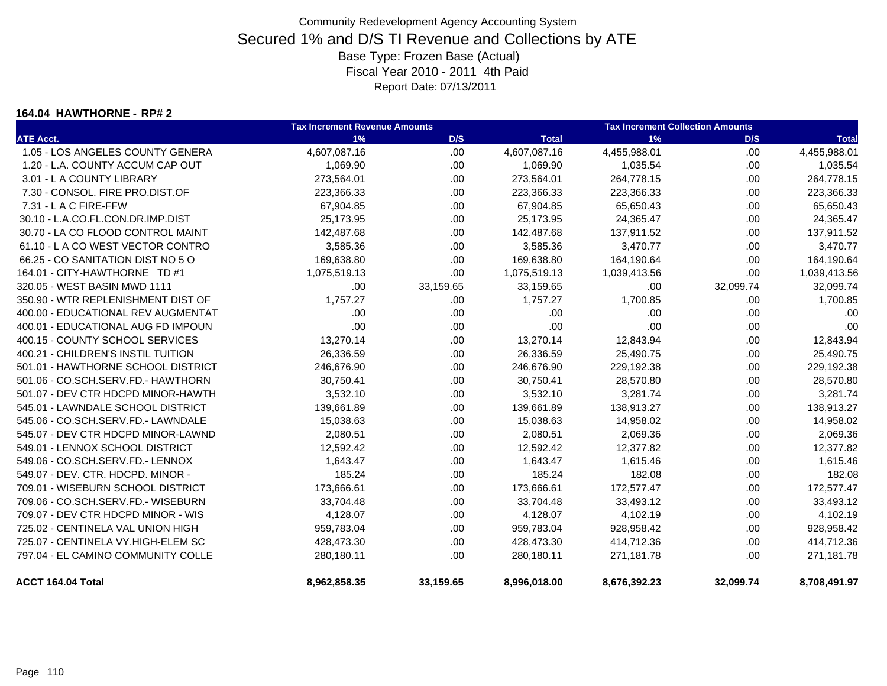#### **164.04 HAWTHORNE - RP# 2**

|                                    | <b>Tax Increment Revenue Amounts</b> |           |              | <b>Tax Increment Collection Amounts</b> |           |              |  |
|------------------------------------|--------------------------------------|-----------|--------------|-----------------------------------------|-----------|--------------|--|
| <b>ATE Acct.</b>                   | 1%                                   | D/S       | <b>Total</b> | 1%                                      | D/S       | <b>Total</b> |  |
| 1.05 - LOS ANGELES COUNTY GENERA   | 4,607,087.16                         | .00       | 4,607,087.16 | 4,455,988.01                            | .00.      | 4,455,988.01 |  |
| 1.20 - L.A. COUNTY ACCUM CAP OUT   | 1,069.90                             | .00       | 1,069.90     | 1,035.54                                | .00.      | 1,035.54     |  |
| 3.01 - L A COUNTY LIBRARY          | 273,564.01                           | .00       | 273,564.01   | 264,778.15                              | .00       | 264,778.15   |  |
| 7.30 - CONSOL, FIRE PRO.DIST.OF    | 223,366.33                           | .00       | 223,366.33   | 223,366.33                              | .00       | 223,366.33   |  |
| $7.31 - L$ A C FIRE-FFW            | 67,904.85                            | .00       | 67,904.85    | 65,650.43                               | .00.      | 65,650.43    |  |
| 30.10 - L.A.CO.FL.CON.DR.IMP.DIST  | 25,173.95                            | .00.      | 25,173.95    | 24,365.47                               | .00.      | 24,365.47    |  |
| 30.70 - LA CO FLOOD CONTROL MAINT  | 142,487.68                           | .00.      | 142,487.68   | 137,911.52                              | .00.      | 137,911.52   |  |
| 61.10 - L A CO WEST VECTOR CONTRO  | 3,585.36                             | .00.      | 3,585.36     | 3,470.77                                | .00.      | 3,470.77     |  |
| 66.25 - CO SANITATION DIST NO 5 O  | 169,638.80                           | .00.      | 169,638.80   | 164,190.64                              | .00       | 164,190.64   |  |
| 164.01 - CITY-HAWTHORNE TD #1      | 1,075,519.13                         | .00.      | 1,075,519.13 | 1,039,413.56                            | .00       | 1,039,413.56 |  |
| 320.05 - WEST BASIN MWD 1111       | .00                                  | 33,159.65 | 33,159.65    | .00                                     | 32,099.74 | 32,099.74    |  |
| 350.90 - WTR REPLENISHMENT DIST OF | 1,757.27                             | .00       | 1,757.27     | 1,700.85                                | .00       | 1,700.85     |  |
| 400.00 - EDUCATIONAL REV AUGMENTAT | .00.                                 | .00       | .00          | .00                                     | .00.      | .00          |  |
| 400.01 - EDUCATIONAL AUG FD IMPOUN | .00                                  | .00       | .00          | .00                                     | .00.      | .00          |  |
| 400.15 - COUNTY SCHOOL SERVICES    | 13,270.14                            | .00.      | 13,270.14    | 12,843.94                               | .00       | 12,843.94    |  |
| 400.21 - CHILDREN'S INSTIL TUITION | 26,336.59                            | .00.      | 26,336.59    | 25,490.75                               | .00.      | 25,490.75    |  |
| 501.01 - HAWTHORNE SCHOOL DISTRICT | 246,676.90                           | .00.      | 246,676.90   | 229,192.38                              | .00.      | 229,192.38   |  |
| 501.06 - CO.SCH.SERV.FD.- HAWTHORN | 30,750.41                            | .00.      | 30,750.41    | 28,570.80                               | .00.      | 28,570.80    |  |
| 501.07 - DEV CTR HDCPD MINOR-HAWTH | 3,532.10                             | .00.      | 3,532.10     | 3,281.74                                | .00.      | 3,281.74     |  |
| 545.01 - LAWNDALE SCHOOL DISTRICT  | 139,661.89                           | .00.      | 139,661.89   | 138,913.27                              | .00       | 138,913.27   |  |
| 545.06 - CO.SCH.SERV.FD.- LAWNDALE | 15,038.63                            | .00       | 15,038.63    | 14,958.02                               | .00       | 14,958.02    |  |
| 545.07 - DEV CTR HDCPD MINOR-LAWND | 2,080.51                             | .00       | 2,080.51     | 2,069.36                                | .00.      | 2,069.36     |  |
| 549.01 - LENNOX SCHOOL DISTRICT    | 12,592.42                            | .00       | 12,592.42    | 12,377.82                               | .00       | 12,377.82    |  |
| 549.06 - CO.SCH.SERV.FD.- LENNOX   | 1,643.47                             | .00       | 1,643.47     | 1,615.46                                | .00.      | 1,615.46     |  |
| 549.07 - DEV. CTR. HDCPD. MINOR -  | 185.24                               | .00.      | 185.24       | 182.08                                  | .00.      | 182.08       |  |
| 709.01 - WISEBURN SCHOOL DISTRICT  | 173,666.61                           | .00.      | 173,666.61   | 172,577.47                              | .00       | 172,577.47   |  |
| 709.06 - CO.SCH.SERV.FD.- WISEBURN | 33,704.48                            | .00       | 33,704.48    | 33,493.12                               | .00.      | 33,493.12    |  |
| 709.07 - DEV CTR HDCPD MINOR - WIS | 4,128.07                             | .00       | 4,128.07     | 4,102.19                                | .00.      | 4,102.19     |  |
| 725.02 - CENTINELA VAL UNION HIGH  | 959,783.04                           | .00       | 959,783.04   | 928,958.42                              | .00       | 928,958.42   |  |
| 725.07 - CENTINELA VY.HIGH-ELEM SC | 428,473.30                           | .00.      | 428,473.30   | 414,712.36                              | .00.      | 414,712.36   |  |
| 797.04 - EL CAMINO COMMUNITY COLLE | 280,180.11                           | .00       | 280,180.11   | 271,181.78                              | .00       | 271,181.78   |  |
| ACCT 164.04 Total                  | 8,962,858.35                         | 33,159.65 | 8,996,018.00 | 8,676,392.23                            | 32,099.74 | 8,708,491.97 |  |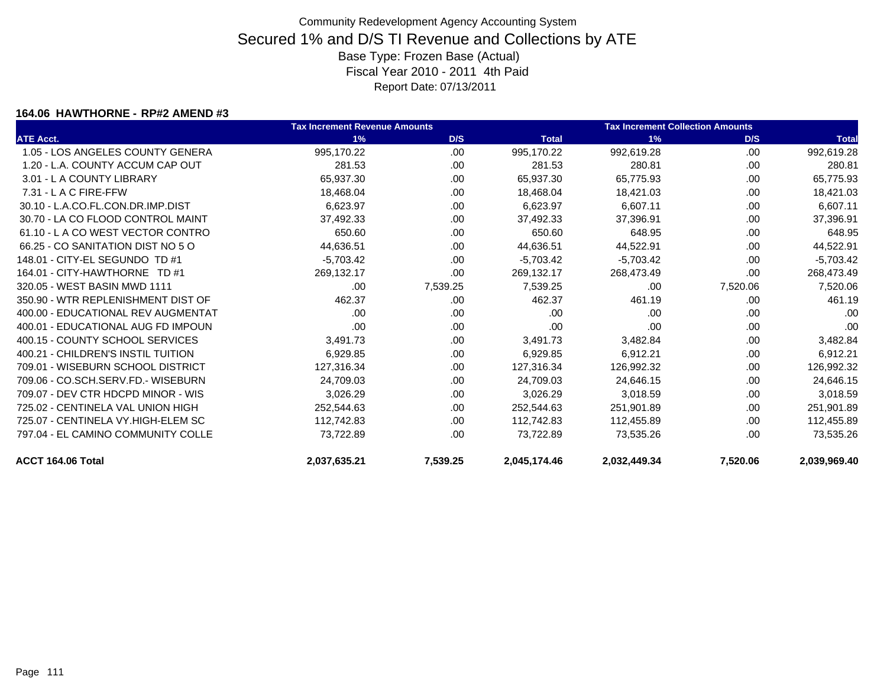#### **164.06 HAWTHORNE - RP#2 AMEND #3**

|                                    | <b>Tax Increment Revenue Amounts</b> |          |              | <b>Tax Increment Collection Amounts</b> |          |              |
|------------------------------------|--------------------------------------|----------|--------------|-----------------------------------------|----------|--------------|
| <b>ATE Acct.</b>                   | 1%                                   | D/S      | <b>Total</b> | 1%                                      | D/S      | <b>Total</b> |
| 1.05 - LOS ANGELES COUNTY GENERA   | 995,170.22                           | .00      | 995,170.22   | 992,619.28                              | .00      | 992,619.28   |
| 1.20 - L.A. COUNTY ACCUM CAP OUT   | 281.53                               | .00.     | 281.53       | 280.81                                  | .00      | 280.81       |
| 3.01 - L A COUNTY LIBRARY          | 65,937.30                            | .00      | 65,937.30    | 65,775.93                               | .00      | 65,775.93    |
| $7.31 - L$ A C FIRE-FFW            | 18,468.04                            | .00      | 18,468.04    | 18,421.03                               | .00      | 18,421.03    |
| 30.10 - L.A.CO.FL.CON.DR.IMP.DIST  | 6,623.97                             | .00      | 6,623.97     | 6,607.11                                | .00      | 6,607.11     |
| 30.70 - LA CO FLOOD CONTROL MAINT  | 37,492.33                            | .00      | 37,492.33    | 37,396.91                               | .00      | 37,396.91    |
| 61.10 - L A CO WEST VECTOR CONTRO  | 650.60                               | .00.     | 650.60       | 648.95                                  | .00      | 648.95       |
| 66.25 - CO SANITATION DIST NO 5 O  | 44,636.51                            | .00      | 44,636.51    | 44,522.91                               | .00      | 44,522.91    |
| 148.01 - CITY-EL SEGUNDO TD #1     | $-5,703.42$                          | .00.     | $-5,703.42$  | $-5,703.42$                             | .00      | $-5,703.42$  |
| 164.01 - CITY-HAWTHORNE TD #1      | 269,132.17                           | .00      | 269,132.17   | 268,473.49                              | .00      | 268,473.49   |
| 320.05 - WEST BASIN MWD 1111       | .00                                  | 7,539.25 | 7,539.25     | .00                                     | 7,520.06 | 7,520.06     |
| 350.90 - WTR REPLENISHMENT DIST OF | 462.37                               | .00      | 462.37       | 461.19                                  | .00      | 461.19       |
| 400.00 - EDUCATIONAL REV AUGMENTAT | .00                                  | .00      | .00          | .00                                     | .00      | .00          |
| 400.01 - EDUCATIONAL AUG FD IMPOUN | .00                                  | .00      | .00          | .00                                     | .00      | .00          |
| 400.15 - COUNTY SCHOOL SERVICES    | 3,491.73                             | .00      | 3,491.73     | 3,482.84                                | .00      | 3,482.84     |
| 400.21 - CHILDREN'S INSTIL TUITION | 6,929.85                             | .00      | 6,929.85     | 6,912.21                                | .00      | 6,912.21     |
| 709.01 - WISEBURN SCHOOL DISTRICT  | 127,316.34                           | .00      | 127,316.34   | 126,992.32                              | .00      | 126,992.32   |
| 709.06 - CO.SCH.SERV.FD.- WISEBURN | 24,709.03                            | .00.     | 24,709.03    | 24,646.15                               | .00      | 24,646.15    |
| 709.07 - DEV CTR HDCPD MINOR - WIS | 3,026.29                             | .00      | 3,026.29     | 3,018.59                                | .00      | 3,018.59     |
| 725.02 - CENTINELA VAL UNION HIGH  | 252,544.63                           | .00.     | 252,544.63   | 251,901.89                              | .00      | 251,901.89   |
| 725.07 - CENTINELA VY.HIGH-ELEM SC | 112,742.83                           | .00      | 112,742.83   | 112,455.89                              | .00      | 112,455.89   |
| 797.04 - EL CAMINO COMMUNITY COLLE | 73,722.89                            | .00      | 73,722.89    | 73,535.26                               | .00      | 73,535.26    |
| ACCT 164.06 Total                  | 2,037,635.21                         | 7,539.25 | 2,045,174.46 | 2,032,449.34                            | 7,520.06 | 2,039,969.40 |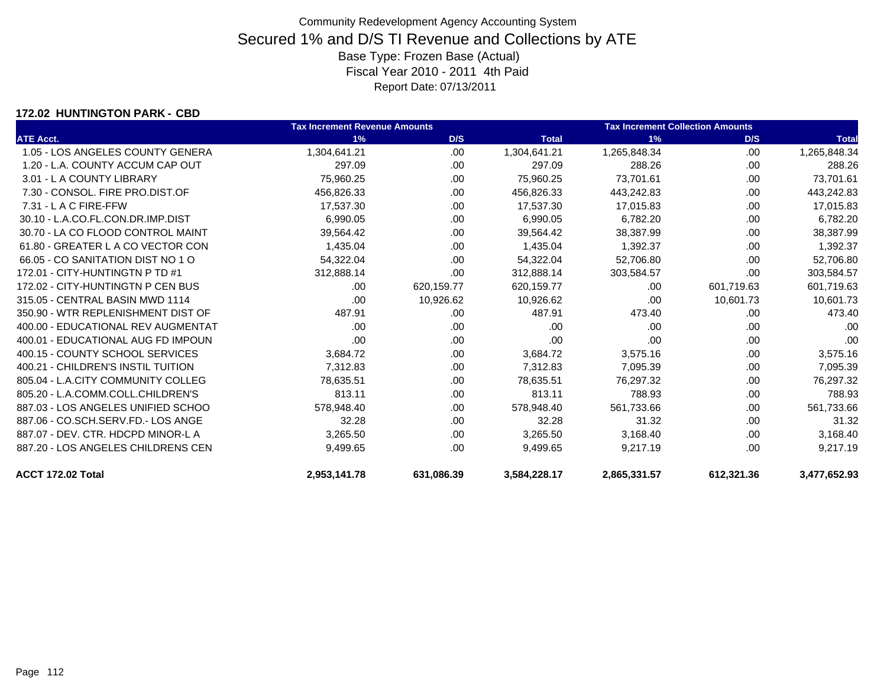### **172.02 HUNTINGTON PARK - CBD**

|                                    | <b>Tax Increment Revenue Amounts</b> |            |              | <b>Tax Increment Collection Amounts</b> |            |              |
|------------------------------------|--------------------------------------|------------|--------------|-----------------------------------------|------------|--------------|
| <b>ATE Acct.</b>                   | 1%                                   | D/S        | <b>Total</b> | 1%                                      | D/S        | <b>Total</b> |
| 1.05 - LOS ANGELES COUNTY GENERA   | 1,304,641.21                         | .00        | 1,304,641.21 | 1,265,848.34                            | .00        | 1,265,848.34 |
| 1.20 - L.A. COUNTY ACCUM CAP OUT   | 297.09                               | .00        | 297.09       | 288.26                                  | .00        | 288.26       |
| 3.01 - L A COUNTY LIBRARY          | 75,960.25                            | .00        | 75,960.25    | 73.701.61                               | .00        | 73,701.61    |
| 7.30 - CONSOL. FIRE PRO.DIST.OF    | 456,826.33                           | .00        | 456,826.33   | 443,242.83                              | .00        | 443,242.83   |
| $7.31 - L$ A C FIRE-FFW            | 17,537.30                            | .00        | 17,537.30    | 17,015.83                               | .00        | 17,015.83    |
| 30.10 - L.A.CO.FL.CON.DR.IMP.DIST  | 6,990.05                             | .00        | 6,990.05     | 6,782.20                                | .00.       | 6,782.20     |
| 30.70 - LA CO FLOOD CONTROL MAINT  | 39,564.42                            | .00        | 39,564.42    | 38,387.99                               | .00        | 38,387.99    |
| 61.80 - GREATER L A CO VECTOR CON  | 1,435.04                             | .00        | 1,435.04     | 1,392.37                                | .00.       | 1,392.37     |
| 66.05 - CO SANITATION DIST NO 1 O  | 54,322.04                            | .00        | 54,322.04    | 52,706.80                               | .00        | 52,706.80    |
| 172.01 - CITY-HUNTINGTN P TD #1    | 312,888.14                           | .00.       | 312,888.14   | 303,584.57                              | .00        | 303,584.57   |
| 172.02 - CITY-HUNTINGTN P CEN BUS  | .00.                                 | 620,159.77 | 620,159.77   | .00                                     | 601,719.63 | 601,719.63   |
| 315.05 - CENTRAL BASIN MWD 1114    | .00.                                 | 10,926.62  | 10,926.62    | .00                                     | 10,601.73  | 10,601.73    |
| 350.90 - WTR REPLENISHMENT DIST OF | 487.91                               | .00.       | 487.91       | 473.40                                  | .00.       | 473.40       |
| 400.00 - EDUCATIONAL REV AUGMENTAT | .00.                                 | .00.       | .00          | .00                                     | .00        | .00          |
| 400.01 - EDUCATIONAL AUG FD IMPOUN | .00.                                 | .00.       | .00          | .00                                     | .00.       | .00          |
| 400.15 - COUNTY SCHOOL SERVICES    | 3,684.72                             | .00        | 3,684.72     | 3,575.16                                | .00        | 3,575.16     |
| 400.21 - CHILDREN'S INSTIL TUITION | 7,312.83                             | .00        | 7,312.83     | 7,095.39                                | .00.       | 7,095.39     |
| 805.04 - L.A.CITY COMMUNITY COLLEG | 78,635.51                            | .00        | 78,635.51    | 76,297.32                               | .00.       | 76,297.32    |
| 805.20 - L.A.COMM.COLL.CHILDREN'S  | 813.11                               | .00.       | 813.11       | 788.93                                  | .00        | 788.93       |
| 887.03 - LOS ANGELES UNIFIED SCHOO | 578,948.40                           | .00        | 578,948.40   | 561,733.66                              | .00.       | 561,733.66   |
| 887.06 - CO.SCH.SERV.FD.- LOS ANGE | 32.28                                | .00        | 32.28        | 31.32                                   | .00.       | 31.32        |
| 887.07 - DEV. CTR. HDCPD MINOR-L A | 3,265.50                             | .00        | 3,265.50     | 3,168.40                                | .00.       | 3,168.40     |
| 887.20 - LOS ANGELES CHILDRENS CEN | 9,499.65                             | .00        | 9,499.65     | 9,217.19                                | .00        | 9,217.19     |
| ACCT 172.02 Total                  | 2.953.141.78                         | 631.086.39 | 3,584,228.17 | 2,865,331.57                            | 612,321.36 | 3,477,652.93 |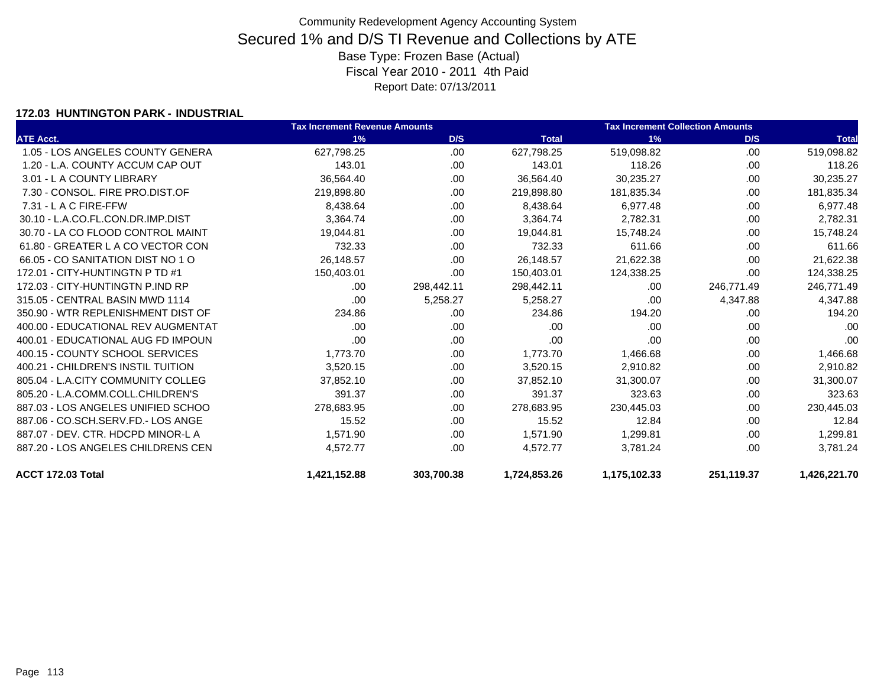### **172.03 HUNTINGTON PARK - INDUSTRIAL**

|                                    | <b>Tax Increment Revenue Amounts</b> |            | <b>Tax Increment Collection Amounts</b> |              |            |              |
|------------------------------------|--------------------------------------|------------|-----------------------------------------|--------------|------------|--------------|
| <b>ATE Acct.</b>                   | 1%                                   | D/S        | <b>Total</b>                            | 1%           | D/S        | <b>Total</b> |
| 1.05 - LOS ANGELES COUNTY GENERA   | 627,798.25                           | .00        | 627,798.25                              | 519,098.82   | .00        | 519,098.82   |
| 1.20 - L.A. COUNTY ACCUM CAP OUT   | 143.01                               | .00.       | 143.01                                  | 118.26       | .00        | 118.26       |
| 3.01 - L A COUNTY LIBRARY          | 36,564.40                            | .00        | 36,564.40                               | 30,235.27    | .00        | 30,235.27    |
| 7.30 - CONSOL, FIRE PRO.DIST.OF    | 219,898.80                           | .00.       | 219,898.80                              | 181,835.34   | .00        | 181,835.34   |
| $7.31 - L$ A C FIRE-FFW            | 8,438.64                             | .00.       | 8,438.64                                | 6,977.48     | .00        | 6,977.48     |
| 30.10 - L.A.CO.FL.CON.DR.IMP.DIST  | 3,364.74                             | .00.       | 3,364.74                                | 2,782.31     | .00        | 2,782.31     |
| 30.70 - LA CO FLOOD CONTROL MAINT  | 19,044.81                            | .00        | 19,044.81                               | 15,748.24    | .00        | 15,748.24    |
| 61.80 - GREATER L A CO VECTOR CON  | 732.33                               | .00.       | 732.33                                  | 611.66       | .00        | 611.66       |
| 66.05 - CO SANITATION DIST NO 1 O  | 26,148.57                            | .00        | 26,148.57                               | 21,622.38    | .00        | 21,622.38    |
| 172.01 - CITY-HUNTINGTN P TD #1    | 150,403.01                           | .00        | 150,403.01                              | 124,338.25   | .00        | 124,338.25   |
| 172.03 - CITY-HUNTINGTN P.IND RP   | .00                                  | 298,442.11 | 298,442.11                              | .00          | 246,771.49 | 246,771.49   |
| 315.05 - CENTRAL BASIN MWD 1114    | .00                                  | 5,258.27   | 5,258.27                                | .00          | 4,347.88   | 4,347.88     |
| 350.90 - WTR REPLENISHMENT DIST OF | 234.86                               | .00        | 234.86                                  | 194.20       | .00        | 194.20       |
| 400.00 - EDUCATIONAL REV AUGMENTAT | .00                                  | .00        | .00                                     | .00          | .00        | .00          |
| 400.01 - EDUCATIONAL AUG FD IMPOUN | .00                                  | .00        | .00                                     | .00          | .00        | .00          |
| 400.15 - COUNTY SCHOOL SERVICES    | 1,773.70                             | .00        | 1,773.70                                | 1,466.68     | .00        | 1,466.68     |
| 400.21 - CHILDREN'S INSTIL TUITION | 3,520.15                             | .00.       | 3,520.15                                | 2,910.82     | .00        | 2,910.82     |
| 805.04 - L.A.CITY COMMUNITY COLLEG | 37.852.10                            | .00        | 37,852.10                               | 31,300.07    | .00        | 31,300.07    |
| 805.20 - L.A.COMM.COLL.CHILDREN'S  | 391.37                               | .00        | 391.37                                  | 323.63       | .00        | 323.63       |
| 887.03 - LOS ANGELES UNIFIED SCHOO | 278,683.95                           | .00        | 278,683.95                              | 230,445.03   | .00        | 230,445.03   |
| 887.06 - CO.SCH.SERV.FD.- LOS ANGE | 15.52                                | .00        | 15.52                                   | 12.84        | .00        | 12.84        |
| 887.07 - DEV. CTR. HDCPD MINOR-L A | 1,571.90                             | .00        | 1,571.90                                | 1,299.81     | .00        | 1,299.81     |
| 887.20 - LOS ANGELES CHILDRENS CEN | 4,572.77                             | .00        | 4,572.77                                | 3,781.24     | .00        | 3,781.24     |
| ACCT 172.03 Total                  | 1,421,152.88                         | 303,700.38 | 1,724,853.26                            | 1,175,102.33 | 251,119.37 | 1,426,221.70 |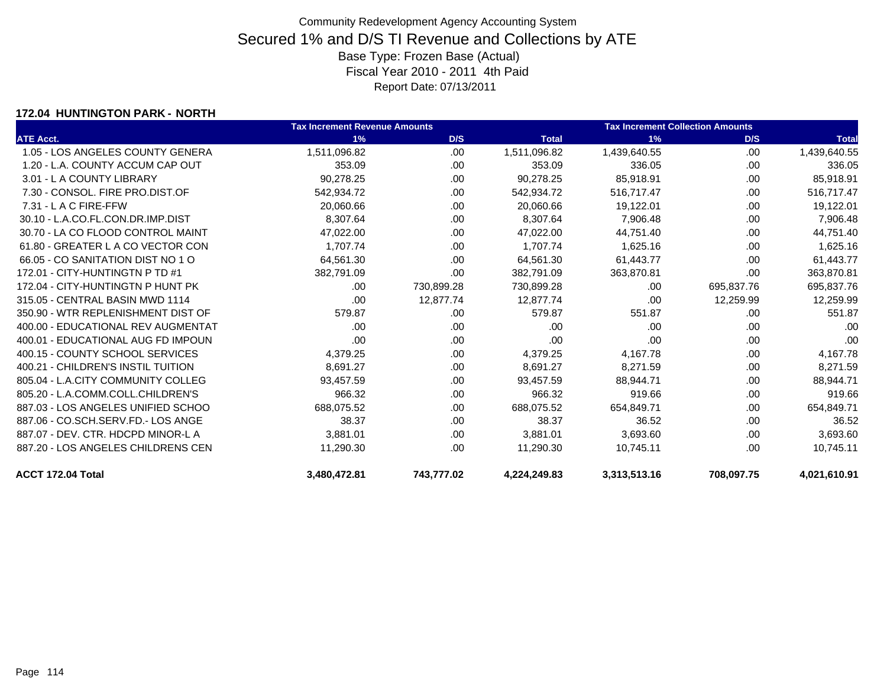### **172.04 HUNTINGTON PARK - NORTH**

|                                    | <b>Tax Increment Revenue Amounts</b> |            |              | <b>Tax Increment Collection Amounts</b> |            |              |
|------------------------------------|--------------------------------------|------------|--------------|-----------------------------------------|------------|--------------|
| <b>ATE Acct.</b>                   | 1%                                   | D/S        | <b>Total</b> | 1%                                      | D/S        | <b>Total</b> |
| 1.05 - LOS ANGELES COUNTY GENERA   | 1,511,096.82                         | .00        | 1,511,096.82 | 1,439,640.55                            | .00        | 1,439,640.55 |
| 1.20 - L.A. COUNTY ACCUM CAP OUT   | 353.09                               | .00.       | 353.09       | 336.05                                  | .00        | 336.05       |
| 3.01 - L A COUNTY LIBRARY          | 90,278.25                            | .00.       | 90,278.25    | 85,918.91                               | .00        | 85,918.91    |
| 7.30 - CONSOL, FIRE PRO.DIST.OF    | 542,934.72                           | .00        | 542,934.72   | 516,717.47                              | .00        | 516,717.47   |
| $7.31 - L$ A C FIRE-FFW            | 20,060.66                            | .00.       | 20,060.66    | 19,122.01                               | .00        | 19,122.01    |
| 30.10 - L.A.CO.FL.CON.DR.IMP.DIST  | 8,307.64                             | .00.       | 8,307.64     | 7,906.48                                | .00        | 7,906.48     |
| 30.70 - LA CO FLOOD CONTROL MAINT  | 47,022.00                            | .00        | 47,022.00    | 44,751.40                               | .00        | 44,751.40    |
| 61.80 - GREATER L A CO VECTOR CON  | 1,707.74                             | .00        | 1,707.74     | 1,625.16                                | .00        | 1,625.16     |
| 66.05 - CO SANITATION DIST NO 1 O  | 64,561.30                            | .00        | 64,561.30    | 61,443.77                               | .00        | 61,443.77    |
| 172.01 - CITY-HUNTINGTN P TD #1    | 382,791.09                           | .00        | 382,791.09   | 363,870.81                              | .00        | 363,870.81   |
| 172.04 - CITY-HUNTINGTN P HUNT PK  | .00                                  | 730,899.28 | 730,899.28   | .00                                     | 695,837.76 | 695,837.76   |
| 315.05 - CENTRAL BASIN MWD 1114    | .00                                  | 12,877.74  | 12,877.74    | .00                                     | 12,259.99  | 12,259.99    |
| 350.90 - WTR REPLENISHMENT DIST OF | 579.87                               | .00.       | 579.87       | 551.87                                  | .00        | 551.87       |
| 400.00 - EDUCATIONAL REV AUGMENTAT | .00                                  | .00        | .00          | .00                                     | .00        | .00          |
| 400.01 - EDUCATIONAL AUG FD IMPOUN | .00                                  | .00        | .00          | .00                                     | .00        | .00          |
| 400.15 - COUNTY SCHOOL SERVICES    | 4,379.25                             | .00        | 4,379.25     | 4,167.78                                | .00        | 4,167.78     |
| 400.21 - CHILDREN'S INSTIL TUITION | 8,691.27                             | .00        | 8,691.27     | 8,271.59                                | .00        | 8,271.59     |
| 805.04 - L.A.CITY COMMUNITY COLLEG | 93,457.59                            | .00        | 93,457.59    | 88.944.71                               | .00        | 88,944.71    |
| 805.20 - L.A.COMM.COLL.CHILDREN'S  | 966.32                               | .00.       | 966.32       | 919.66                                  | .00        | 919.66       |
| 887.03 - LOS ANGELES UNIFIED SCHOO | 688,075.52                           | .00.       | 688,075.52   | 654,849.71                              | .00        | 654,849.71   |
| 887.06 - CO.SCH.SERV.FD.- LOS ANGE | 38.37                                | .00        | 38.37        | 36.52                                   | .00        | 36.52        |
| 887.07 - DEV. CTR. HDCPD MINOR-L A | 3,881.01                             | .00.       | 3,881.01     | 3,693.60                                | .00        | 3,693.60     |
| 887.20 - LOS ANGELES CHILDRENS CEN | 11,290.30                            | .00        | 11,290.30    | 10,745.11                               | .00        | 10,745.11    |
| ACCT 172.04 Total                  | 3.480.472.81                         | 743.777.02 | 4,224,249.83 | 3,313,513.16                            | 708,097.75 | 4,021,610.91 |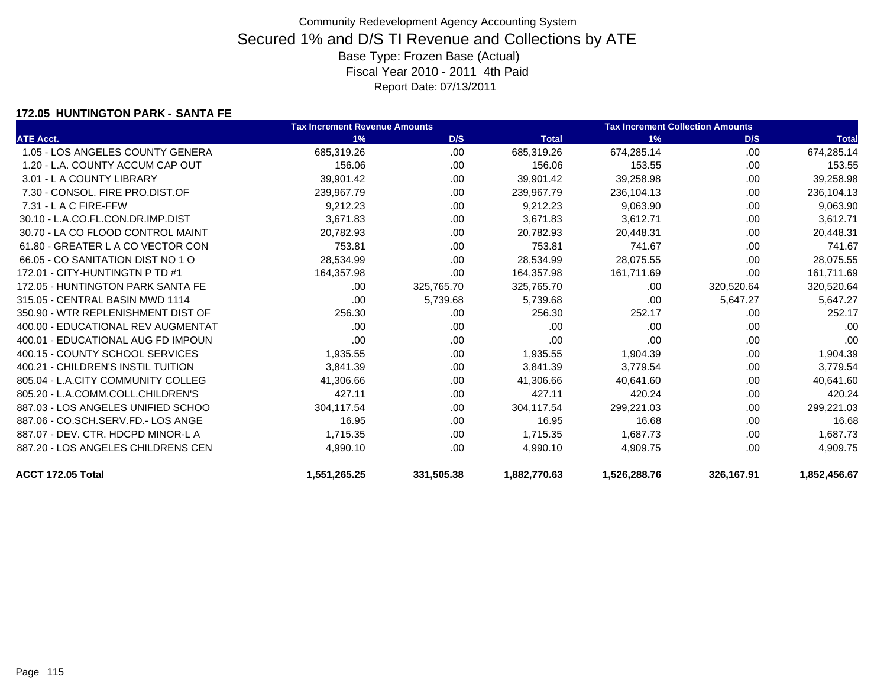### **172.05 HUNTINGTON PARK - SANTA FE**

|                                    | <b>Tax Increment Revenue Amounts</b> |            |              | <b>Tax Increment Collection Amounts</b> |            |              |
|------------------------------------|--------------------------------------|------------|--------------|-----------------------------------------|------------|--------------|
| <b>ATE Acct.</b>                   | 1%                                   | D/S        | <b>Total</b> | 1%                                      | D/S        | <b>Total</b> |
| 1.05 - LOS ANGELES COUNTY GENERA   | 685,319.26                           | .00        | 685,319.26   | 674.285.14                              | .00        | 674,285.14   |
| 1.20 - L.A. COUNTY ACCUM CAP OUT   | 156.06                               | .00.       | 156.06       | 153.55                                  | .00        | 153.55       |
| 3.01 - L A COUNTY LIBRARY          | 39,901.42                            | .00        | 39,901.42    | 39,258.98                               | .00        | 39,258.98    |
| 7.30 - CONSOL, FIRE PRO.DIST.OF    | 239,967.79                           | .00        | 239,967.79   | 236,104.13                              | .00        | 236,104.13   |
| 7.31 - L A C FIRE-FFW              | 9,212.23                             | .00        | 9,212.23     | 9,063.90                                | .00        | 9,063.90     |
| 30.10 - L.A.CO.FL.CON.DR.IMP.DIST  | 3,671.83                             | .00        | 3,671.83     | 3,612.71                                | .00        | 3,612.71     |
| 30.70 - LA CO FLOOD CONTROL MAINT  | 20,782.93                            | .00        | 20,782.93    | 20,448.31                               | .00        | 20,448.31    |
| 61.80 - GREATER L A CO VECTOR CON  | 753.81                               | .00.       | 753.81       | 741.67                                  | .00.       | 741.67       |
| 66.05 - CO SANITATION DIST NO 1 O  | 28,534.99                            | .00.       | 28,534.99    | 28,075.55                               | .00        | 28,075.55    |
| 172.01 - CITY-HUNTINGTN P TD #1    | 164,357.98                           | .00        | 164,357.98   | 161,711.69                              | .00        | 161,711.69   |
| 172.05 - HUNTINGTON PARK SANTA FE  | .00                                  | 325,765.70 | 325,765.70   | .00                                     | 320,520.64 | 320,520.64   |
| 315.05 - CENTRAL BASIN MWD 1114    | .00                                  | 5,739.68   | 5,739.68     | .00                                     | 5,647.27   | 5,647.27     |
| 350.90 - WTR REPLENISHMENT DIST OF | 256.30                               | .00.       | 256.30       | 252.17                                  | .00        | 252.17       |
| 400.00 - EDUCATIONAL REV AUGMENTAT | .00                                  | .00        | .00          | .00                                     | .00        | .00          |
| 400.01 - EDUCATIONAL AUG FD IMPOUN | .00                                  | .00.       | .00          | .00                                     | .00        | .00          |
| 400.15 - COUNTY SCHOOL SERVICES    | 1,935.55                             | .00.       | 1,935.55     | 1,904.39                                | .00        | 1,904.39     |
| 400.21 - CHILDREN'S INSTIL TUITION | 3,841.39                             | .00.       | 3,841.39     | 3,779.54                                | .00        | 3,779.54     |
| 805.04 - L.A.CITY COMMUNITY COLLEG | 41,306.66                            | .00        | 41,306.66    | 40,641.60                               | .00        | 40,641.60    |
| 805.20 - L.A.COMM.COLL.CHILDREN'S  | 427.11                               | .00        | 427.11       | 420.24                                  | .00        | 420.24       |
| 887.03 - LOS ANGELES UNIFIED SCHOO | 304,117.54                           | .00.       | 304,117.54   | 299,221.03                              | .00        | 299,221.03   |
| 887.06 - CO.SCH.SERV.FD.- LOS ANGE | 16.95                                | .00        | 16.95        | 16.68                                   | .00        | 16.68        |
| 887.07 - DEV. CTR. HDCPD MINOR-L A | 1,715.35                             | .00        | 1,715.35     | 1,687.73                                | .00        | 1,687.73     |
| 887.20 - LOS ANGELES CHILDRENS CEN | 4,990.10                             | .00        | 4,990.10     | 4,909.75                                | .00        | 4,909.75     |
| ACCT 172.05 Total                  | 1,551,265.25                         | 331,505.38 | 1,882,770.63 | 1,526,288.76                            | 326,167.91 | 1,852,456.67 |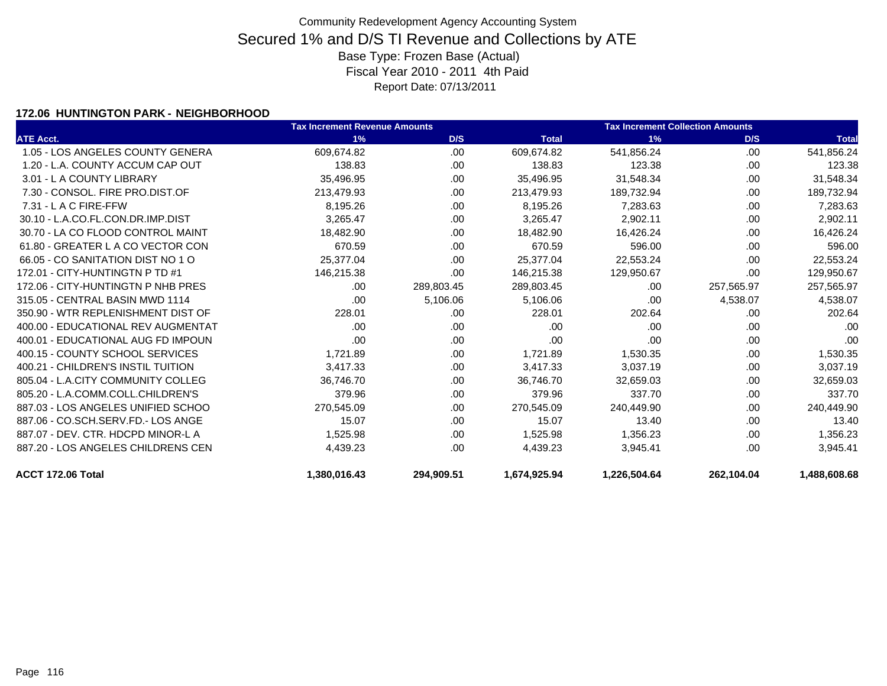### **172.06 HUNTINGTON PARK - NEIGHBORHOOD**

|                                    | <b>Tax Increment Revenue Amounts</b> |            |              | <b>Tax Increment Collection Amounts</b> |            |              |  |
|------------------------------------|--------------------------------------|------------|--------------|-----------------------------------------|------------|--------------|--|
| <b>ATE Acct.</b>                   | 1%                                   | D/S        | <b>Total</b> | 1%                                      | D/S        | <b>Total</b> |  |
| 1.05 - LOS ANGELES COUNTY GENERA   | 609.674.82                           | .00        | 609,674.82   | 541,856.24                              | .00        | 541,856.24   |  |
| 1.20 - L.A. COUNTY ACCUM CAP OUT   | 138.83                               | .00        | 138.83       | 123.38                                  | .00.       | 123.38       |  |
| 3.01 - L A COUNTY LIBRARY          | 35,496.95                            | .00        | 35,496.95    | 31,548.34                               | .00.       | 31,548.34    |  |
| 7.30 - CONSOL, FIRE PRO.DIST.OF    | 213,479.93                           | .00        | 213,479.93   | 189,732.94                              | .00.       | 189,732.94   |  |
| $7.31 - L$ A C FIRE-FFW            | 8,195.26                             | .00        | 8,195.26     | 7,283.63                                | .00        | 7,283.63     |  |
| 30.10 - L.A.CO.FL.CON.DR.IMP.DIST  | 3,265.47                             | .00        | 3,265.47     | 2,902.11                                | .00        | 2,902.11     |  |
| 30.70 - LA CO FLOOD CONTROL MAINT  | 18,482.90                            | .00        | 18,482.90    | 16,426.24                               | .00        | 16,426.24    |  |
| 61.80 - GREATER L A CO VECTOR CON  | 670.59                               | .00        | 670.59       | 596.00                                  | .00        | 596.00       |  |
| 66.05 - CO SANITATION DIST NO 1 O  | 25,377.04                            | .00        | 25,377.04    | 22,553.24                               | .00        | 22,553.24    |  |
| 172.01 - CITY-HUNTINGTN P TD #1    | 146,215.38                           | .00        | 146,215.38   | 129,950.67                              | .00        | 129,950.67   |  |
| 172.06 - CITY-HUNTINGTN P NHB PRES | .00.                                 | 289,803.45 | 289,803.45   | .00.                                    | 257,565.97 | 257,565.97   |  |
| 315.05 - CENTRAL BASIN MWD 1114    | .00                                  | 5,106.06   | 5,106.06     | .00                                     | 4,538.07   | 4,538.07     |  |
| 350.90 - WTR REPLENISHMENT DIST OF | 228.01                               | .00        | 228.01       | 202.64                                  | .00        | 202.64       |  |
| 400.00 - EDUCATIONAL REV AUGMENTAT | .00.                                 | .00        | .00          | .00                                     | .00        | .00          |  |
| 400.01 - EDUCATIONAL AUG FD IMPOUN | .00                                  | .00        | .00          | .00                                     | .00        | .00          |  |
| 400.15 - COUNTY SCHOOL SERVICES    | 1,721.89                             | .00        | 1,721.89     | 1,530.35                                | .00.       | 1,530.35     |  |
| 400.21 - CHILDREN'S INSTIL TUITION | 3,417.33                             | .00        | 3,417.33     | 3,037.19                                | .00        | 3,037.19     |  |
| 805.04 - L.A.CITY COMMUNITY COLLEG | 36,746.70                            | .00        | 36,746.70    | 32,659.03                               | .00        | 32,659.03    |  |
| 805.20 - L.A.COMM.COLL.CHILDREN'S  | 379.96                               | .00        | 379.96       | 337.70                                  | .00        | 337.70       |  |
| 887.03 - LOS ANGELES UNIFIED SCHOO | 270,545.09                           | .00        | 270,545.09   | 240,449.90                              | .00.       | 240,449.90   |  |
| 887.06 - CO.SCH.SERV.FD.- LOS ANGE | 15.07                                | .00        | 15.07        | 13.40                                   | .00.       | 13.40        |  |
| 887.07 - DEV. CTR. HDCPD MINOR-L A | 1,525.98                             | .00        | 1,525.98     | 1,356.23                                | .00.       | 1,356.23     |  |
| 887.20 - LOS ANGELES CHILDRENS CEN | 4,439.23                             | .00        | 4,439.23     | 3,945.41                                | .00        | 3,945.41     |  |
| ACCT 172.06 Total                  | 1,380,016.43                         | 294,909.51 | 1,674,925.94 | 1,226,504.64                            | 262,104.04 | 1.488.608.68 |  |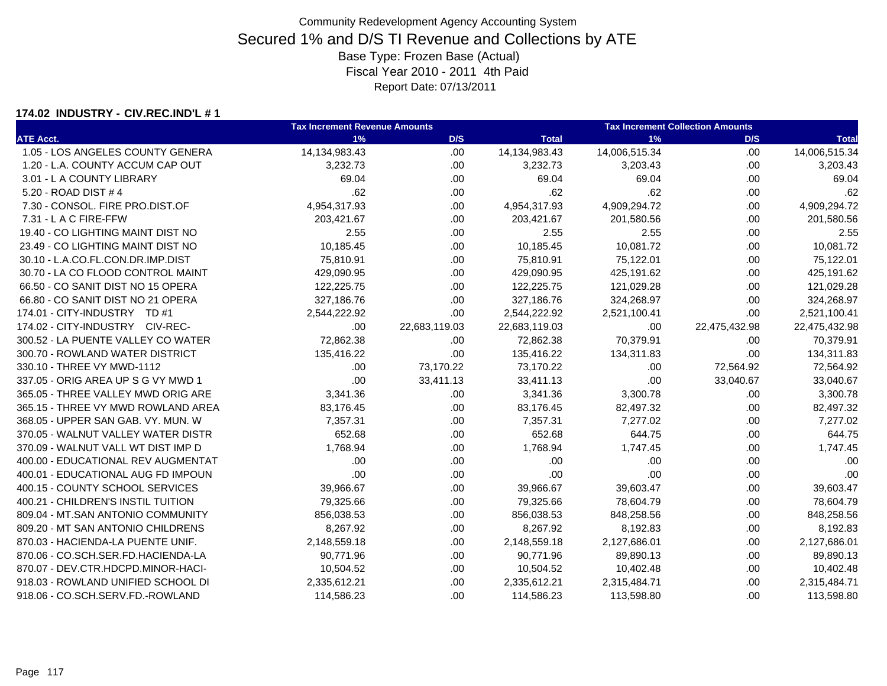#### **174.02 INDUSTRY - CIV.REC.IND'L # 1**

|                                    | <b>Tax Increment Revenue Amounts</b> |               | <b>Tax Increment Collection Amounts</b> |               |               |               |
|------------------------------------|--------------------------------------|---------------|-----------------------------------------|---------------|---------------|---------------|
| <b>ATE Acct.</b>                   | 1%                                   | D/S           | <b>Total</b>                            | 1%            | D/S           | <b>Total</b>  |
| 1.05 - LOS ANGELES COUNTY GENERA   | 14,134,983.43                        | .00.          | 14,134,983.43                           | 14,006,515.34 | .00           | 14,006,515.34 |
| 1.20 - L.A. COUNTY ACCUM CAP OUT   | 3,232.73                             | .00.          | 3,232.73                                | 3,203.43      | .00           | 3,203.43      |
| 3.01 - L A COUNTY LIBRARY          | 69.04                                | .00           | 69.04                                   | 69.04         | .00           | 69.04         |
| 5.20 - ROAD DIST # 4               | .62                                  | .00.          | .62                                     | .62           | .00           | .62           |
| 7.30 - CONSOL. FIRE PRO.DIST.OF    | 4,954,317.93                         | .00           | 4,954,317.93                            | 4,909,294.72  | .00           | 4,909,294.72  |
| 7.31 - L A C FIRE-FFW              | 203,421.67                           | .00.          | 203,421.67                              | 201,580.56    | .00           | 201,580.56    |
| 19.40 - CO LIGHTING MAINT DIST NO  | 2.55                                 | .00           | 2.55                                    | 2.55          | .00           | 2.55          |
| 23.49 - CO LIGHTING MAINT DIST NO  | 10,185.45                            | .00.          | 10,185.45                               | 10,081.72     | .00           | 10,081.72     |
| 30.10 - L.A.CO.FL.CON.DR.IMP.DIST  | 75,810.91                            | .00.          | 75,810.91                               | 75,122.01     | .00           | 75,122.01     |
| 30.70 - LA CO FLOOD CONTROL MAINT  | 429,090.95                           | .00.          | 429,090.95                              | 425,191.62    | .00           | 425,191.62    |
| 66.50 - CO SANIT DIST NO 15 OPERA  | 122,225.75                           | .00           | 122,225.75                              | 121,029.28    | .00           | 121,029.28    |
| 66.80 - CO SANIT DIST NO 21 OPERA  | 327,186.76                           | .00.          | 327,186.76                              | 324,268.97    | .00           | 324,268.97    |
| 174.01 - CITY-INDUSTRY TD #1       | 2,544,222.92                         | .00           | 2,544,222.92                            | 2,521,100.41  | .00           | 2,521,100.41  |
| 174.02 - CITY-INDUSTRY CIV-REC-    | .00                                  | 22,683,119.03 | 22,683,119.03                           | .00           | 22,475,432.98 | 22,475,432.98 |
| 300.52 - LA PUENTE VALLEY CO WATER | 72,862.38                            | .00.          | 72,862.38                               | 70,379.91     | .00           | 70,379.91     |
| 300.70 - ROWLAND WATER DISTRICT    | 135,416.22                           | .00           | 135,416.22                              | 134,311.83    | .00           | 134,311.83    |
| 330.10 - THREE VY MWD-1112         | .00                                  | 73,170.22     | 73,170.22                               | .00           | 72,564.92     | 72,564.92     |
| 337.05 - ORIG AREA UP S G VY MWD 1 | .00                                  | 33,411.13     | 33,411.13                               | .00           | 33,040.67     | 33,040.67     |
| 365.05 - THREE VALLEY MWD ORIG ARE | 3,341.36                             | .00.          | 3,341.36                                | 3,300.78      | .00.          | 3,300.78      |
| 365.15 - THREE VY MWD ROWLAND AREA | 83,176.45                            | .00.          | 83,176.45                               | 82,497.32     | .00           | 82,497.32     |
| 368.05 - UPPER SAN GAB. VY. MUN. W | 7,357.31                             | .00.          | 7,357.31                                | 7,277.02      | .00           | 7,277.02      |
| 370.05 - WALNUT VALLEY WATER DISTR | 652.68                               | .00.          | 652.68                                  | 644.75        | .00           | 644.75        |
| 370.09 - WALNUT VALL WT DIST IMP D | 1,768.94                             | .00.          | 1,768.94                                | 1,747.45      | .00           | 1,747.45      |
| 400.00 - EDUCATIONAL REV AUGMENTAT | .00                                  | .00.          | .00                                     | .00           | .00.          | .00           |
| 400.01 - EDUCATIONAL AUG FD IMPOUN | .00                                  | .00.          | .00                                     | .00           | .00           | .00           |
| 400.15 - COUNTY SCHOOL SERVICES    | 39,966.67                            | .00           | 39,966.67                               | 39,603.47     | .00           | 39,603.47     |
| 400.21 - CHILDREN'S INSTIL TUITION | 79,325.66                            | .00           | 79,325.66                               | 78,604.79     | .00           | 78,604.79     |
| 809.04 - MT.SAN ANTONIO COMMUNITY  | 856,038.53                           | .00.          | 856,038.53                              | 848,258.56    | .00           | 848,258.56    |
| 809.20 - MT SAN ANTONIO CHILDRENS  | 8,267.92                             | .00           | 8,267.92                                | 8,192.83      | .00           | 8,192.83      |
| 870.03 - HACIENDA-LA PUENTE UNIF.  | 2,148,559.18                         | .00.          | 2,148,559.18                            | 2,127,686.01  | .00           | 2,127,686.01  |
| 870.06 - CO.SCH.SER.FD.HACIENDA-LA | 90,771.96                            | .00.          | 90,771.96                               | 89,890.13     | .00.          | 89,890.13     |
| 870.07 - DEV.CTR.HDCPD.MINOR-HACI- | 10,504.52                            | .00.          | 10,504.52                               | 10,402.48     | .00           | 10,402.48     |
| 918.03 - ROWLAND UNIFIED SCHOOL DI | 2,335,612.21                         | .00           | 2,335,612.21                            | 2,315,484.71  | .00           | 2,315,484.71  |
| 918.06 - CO.SCH.SERV.FD.-ROWLAND   | 114,586.23                           | .00           | 114,586.23                              | 113,598.80    | .00.          | 113,598.80    |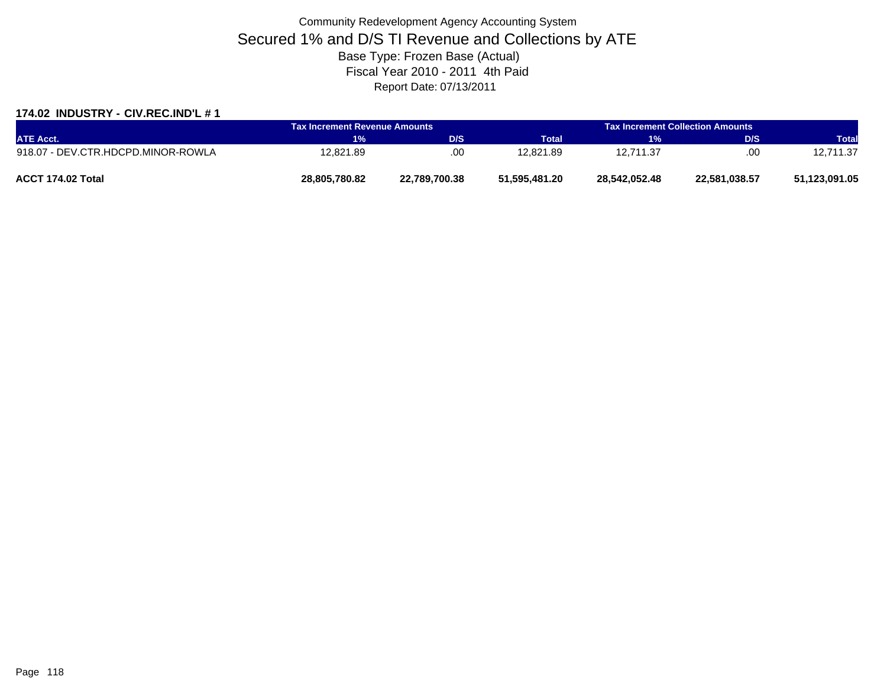#### **174.02 INDUSTRY - CIV.REC.IND'L # 1**

| <b>ATE Acct.</b>                   | Tax Increment Revenue Amounts |               | <b>Tax Increment Collection Amounts</b> |               |               |               |
|------------------------------------|-------------------------------|---------------|-----------------------------------------|---------------|---------------|---------------|
|                                    | 1%                            | D/S           | <b>Total</b>                            | <b>YI</b> WA  | D/S           | <b>Total</b>  |
| 918.07 - DEV.CTR.HDCPD.MINOR-ROWLA | 12,821.89                     | .00           | 12.821.89                               | 12.711.37     | .00           | 12,711.37     |
| ACCT 174.02 Total                  | 28,805,780.82                 | 22,789,700.38 | 51,595,481.20                           | 28.542.052.48 | 22,581,038.57 | 51,123,091.05 |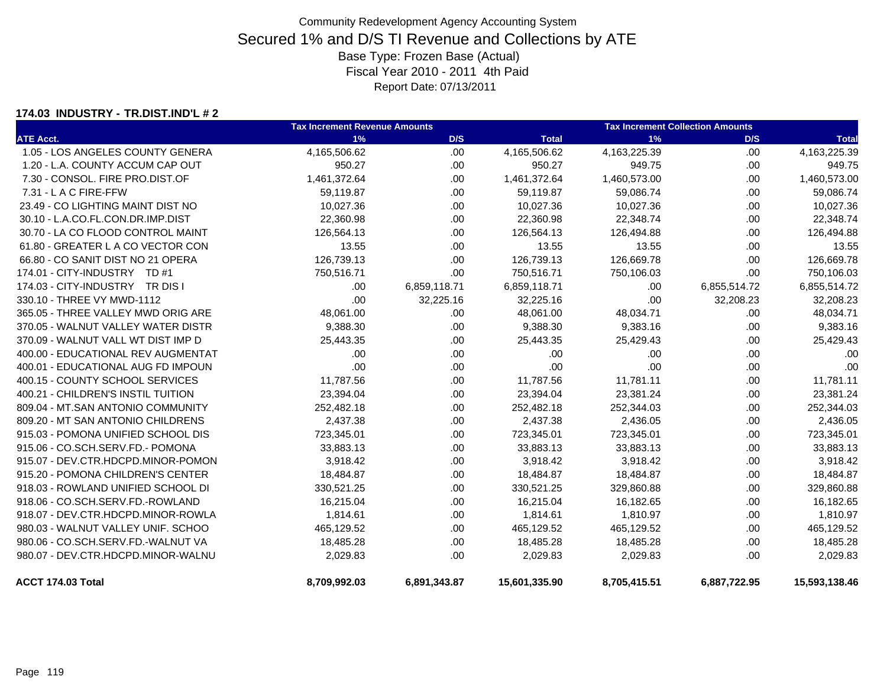#### **174.03 INDUSTRY - TR.DIST.IND'L # 2**

|                                    | <b>Tax Increment Revenue Amounts</b> |              |               | <b>Tax Increment Collection Amounts</b> |              |               |  |
|------------------------------------|--------------------------------------|--------------|---------------|-----------------------------------------|--------------|---------------|--|
| <b>ATE Acct.</b>                   | 1%                                   | D/S          | <b>Total</b>  | 1%                                      | D/S          | <b>Total</b>  |  |
| 1.05 - LOS ANGELES COUNTY GENERA   | 4,165,506.62                         | .00          | 4,165,506.62  | 4,163,225.39                            | .00          | 4,163,225.39  |  |
| 1.20 - L.A. COUNTY ACCUM CAP OUT   | 950.27                               | .00          | 950.27        | 949.75                                  | .00.         | 949.75        |  |
| 7.30 - CONSOL. FIRE PRO.DIST.OF    | 1,461,372.64                         | .00          | 1,461,372.64  | 1,460,573.00                            | .00          | 1,460,573.00  |  |
| 7.31 - L A C FIRE-FFW              | 59.119.87                            | .00          | 59,119.87     | 59,086.74                               | .00.         | 59,086.74     |  |
| 23.49 - CO LIGHTING MAINT DIST NO  | 10,027.36                            | .00.         | 10,027.36     | 10,027.36                               | .00.         | 10,027.36     |  |
| 30.10 - L.A.CO.FL.CON.DR.IMP.DIST  | 22,360.98                            | .00.         | 22,360.98     | 22,348.74                               | .00          | 22,348.74     |  |
| 30.70 - LA CO FLOOD CONTROL MAINT  | 126,564.13                           | .00.         | 126,564.13    | 126,494.88                              | .00.         | 126,494.88    |  |
| 61.80 - GREATER L A CO VECTOR CON  | 13.55                                | .00.         | 13.55         | 13.55                                   | .00.         | 13.55         |  |
| 66.80 - CO SANIT DIST NO 21 OPERA  | 126,739.13                           | .00          | 126,739.13    | 126,669.78                              | .00.         | 126,669.78    |  |
| 174.01 - CITY-INDUSTRY TD #1       | 750,516.71                           | .00.         | 750,516.71    | 750,106.03                              | .00          | 750,106.03    |  |
| 174.03 - CITY-INDUSTRY TR DIS I    | .00                                  | 6,859,118.71 | 6,859,118.71  | .00                                     | 6,855,514.72 | 6,855,514.72  |  |
| 330.10 - THREE VY MWD-1112         | .00                                  | 32,225.16    | 32,225.16     | .00                                     | 32,208.23    | 32,208.23     |  |
| 365.05 - THREE VALLEY MWD ORIG ARE | 48,061.00                            | .00.         | 48,061.00     | 48,034.71                               | .00          | 48,034.71     |  |
| 370.05 - WALNUT VALLEY WATER DISTR | 9,388.30                             | .00          | 9,388.30      | 9,383.16                                | .00          | 9,383.16      |  |
| 370.09 - WALNUT VALL WT DIST IMP D | 25,443.35                            | .00.         | 25,443.35     | 25,429.43                               | .00.         | 25,429.43     |  |
| 400.00 - EDUCATIONAL REV AUGMENTAT | .00                                  | .00.         | .00           | .00                                     | .00.         | .00           |  |
| 400.01 - EDUCATIONAL AUG FD IMPOUN | .00                                  | .00.         | .00           | .00                                     | .00.         | .00           |  |
| 400.15 - COUNTY SCHOOL SERVICES    | 11,787.56                            | .00.         | 11,787.56     | 11,781.11                               | .00.         | 11,781.11     |  |
| 400.21 - CHILDREN'S INSTIL TUITION | 23,394.04                            | .00          | 23,394.04     | 23,381.24                               | .00.         | 23,381.24     |  |
| 809.04 - MT.SAN ANTONIO COMMUNITY  | 252,482.18                           | .00          | 252,482.18    | 252,344.03                              | .00.         | 252,344.03    |  |
| 809.20 - MT SAN ANTONIO CHILDRENS  | 2,437.38                             | .00.         | 2,437.38      | 2,436.05                                | .00          | 2,436.05      |  |
| 915.03 - POMONA UNIFIED SCHOOL DIS | 723,345.01                           | .00.         | 723,345.01    | 723,345.01                              | .00.         | 723,345.01    |  |
| 915.06 - CO.SCH.SERV.FD.- POMONA   | 33,883.13                            | .00          | 33,883.13     | 33,883.13                               | .00.         | 33,883.13     |  |
| 915.07 - DEV.CTR.HDCPD.MINOR-POMON | 3,918.42                             | .00.         | 3,918.42      | 3,918.42                                | .00.         | 3,918.42      |  |
| 915.20 - POMONA CHILDREN'S CENTER  | 18,484.87                            | .00          | 18,484.87     | 18,484.87                               | .00.         | 18,484.87     |  |
| 918.03 - ROWLAND UNIFIED SCHOOL DI | 330,521.25                           | .00.         | 330,521.25    | 329,860.88                              | .00          | 329,860.88    |  |
| 918.06 - CO.SCH.SERV.FD.-ROWLAND   | 16,215.04                            | .00.         | 16,215.04     | 16,182.65                               | .00          | 16,182.65     |  |
| 918.07 - DEV.CTR.HDCPD.MINOR-ROWLA | 1,814.61                             | .00.         | 1,814.61      | 1,810.97                                | .00.         | 1,810.97      |  |
| 980.03 - WALNUT VALLEY UNIF, SCHOO | 465,129.52                           | .00          | 465,129.52    | 465,129.52                              | .00          | 465,129.52    |  |
| 980.06 - CO.SCH.SERV.FD.-WALNUT VA | 18,485.28                            | .00.         | 18,485.28     | 18,485.28                               | .00.         | 18,485.28     |  |
| 980.07 - DEV.CTR.HDCPD.MINOR-WALNU | 2,029.83                             | .00          | 2,029.83      | 2,029.83                                | .00          | 2,029.83      |  |
| ACCT 174.03 Total                  | 8,709,992.03                         | 6,891,343.87 | 15,601,335.90 | 8,705,415.51                            | 6,887,722.95 | 15,593,138.46 |  |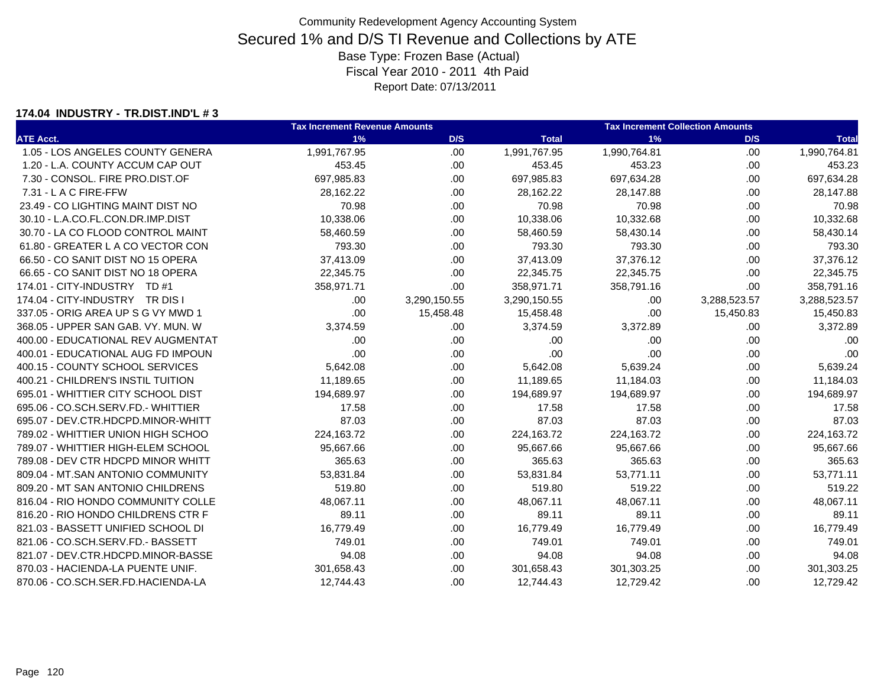#### **174.04 INDUSTRY - TR.DIST.IND'L # 3**

|                                    | <b>Tax Increment Revenue Amounts</b> |              |              | <b>Tax Increment Collection Amounts</b> |              |              |
|------------------------------------|--------------------------------------|--------------|--------------|-----------------------------------------|--------------|--------------|
| <b>ATE Acct.</b>                   | 1%                                   | D/S          | <b>Total</b> | 1%                                      | D/S          | <b>Total</b> |
| 1.05 - LOS ANGELES COUNTY GENERA   | 1,991,767.95                         | .00.         | 1,991,767.95 | 1,990,764.81                            | .00          | 1,990,764.81 |
| 1.20 - L.A. COUNTY ACCUM CAP OUT   | 453.45                               | .00.         | 453.45       | 453.23                                  | .00          | 453.23       |
| 7.30 - CONSOL. FIRE PRO.DIST.OF    | 697,985.83                           | .00.         | 697,985.83   | 697,634.28                              | .00          | 697,634.28   |
| 7.31 - L A C FIRE-FFW              | 28,162.22                            | .00.         | 28,162.22    | 28,147.88                               | .00          | 28,147.88    |
| 23.49 - CO LIGHTING MAINT DIST NO  | 70.98                                | .00.         | 70.98        | 70.98                                   | .00          | 70.98        |
| 30.10 - L.A.CO.FL.CON.DR.IMP.DIST  | 10,338.06                            | .00.         | 10,338.06    | 10,332.68                               | .00          | 10,332.68    |
| 30.70 - LA CO FLOOD CONTROL MAINT  | 58,460.59                            | .00.         | 58,460.59    | 58,430.14                               | .00          | 58,430.14    |
| 61.80 - GREATER L A CO VECTOR CON  | 793.30                               | .00.         | 793.30       | 793.30                                  | .00          | 793.30       |
| 66.50 - CO SANIT DIST NO 15 OPERA  | 37,413.09                            | .00.         | 37,413.09    | 37,376.12                               | .00          | 37,376.12    |
| 66.65 - CO SANIT DIST NO 18 OPERA  | 22,345.75                            | .00.         | 22,345.75    | 22,345.75                               | .00          | 22,345.75    |
| 174.01 - CITY-INDUSTRY TD #1       | 358,971.71                           | .00          | 358,971.71   | 358,791.16                              | .00          | 358,791.16   |
| 174.04 - CITY-INDUSTRY TR DIS I    | .00                                  | 3,290,150.55 | 3,290,150.55 | .00                                     | 3,288,523.57 | 3,288,523.57 |
| 337.05 - ORIG AREA UP S G VY MWD 1 | .00                                  | 15,458.48    | 15,458.48    | .00                                     | 15,450.83    | 15,450.83    |
| 368.05 - UPPER SAN GAB, VY, MUN, W | 3,374.59                             | .00.         | 3,374.59     | 3,372.89                                | .00          | 3,372.89     |
| 400.00 - EDUCATIONAL REV AUGMENTAT | .00                                  | .00.         | .00          | .00                                     | .00          | .00          |
| 400.01 - EDUCATIONAL AUG FD IMPOUN | .00                                  | .00.         | .00          | .00                                     | .00          | .00          |
| 400.15 - COUNTY SCHOOL SERVICES    | 5,642.08                             | .00.         | 5,642.08     | 5,639.24                                | .00.         | 5,639.24     |
| 400.21 - CHILDREN'S INSTIL TUITION | 11,189.65                            | .00.         | 11,189.65    | 11,184.03                               | .00          | 11,184.03    |
| 695.01 - WHITTIER CITY SCHOOL DIST | 194,689.97                           | .00.         | 194,689.97   | 194,689.97                              | .00          | 194,689.97   |
| 695.06 - CO.SCH.SERV.FD.- WHITTIER | 17.58                                | .00.         | 17.58        | 17.58                                   | .00          | 17.58        |
| 695.07 - DEV.CTR.HDCPD.MINOR-WHITT | 87.03                                | .00.         | 87.03        | 87.03                                   | .00          | 87.03        |
| 789.02 - WHITTIER UNION HIGH SCHOO | 224,163.72                           | .00.         | 224,163.72   | 224,163.72                              | .00          | 224,163.72   |
| 789.07 - WHITTIER HIGH-ELEM SCHOOL | 95,667.66                            | .00.         | 95,667.66    | 95,667.66                               | .00          | 95,667.66    |
| 789.08 - DEV CTR HDCPD MINOR WHITT | 365.63                               | .00.         | 365.63       | 365.63                                  | .00          | 365.63       |
| 809.04 - MT.SAN ANTONIO COMMUNITY  | 53,831.84                            | .00.         | 53,831.84    | 53,771.11                               | .00          | 53,771.11    |
| 809.20 - MT SAN ANTONIO CHILDRENS  | 519.80                               | .00.         | 519.80       | 519.22                                  | .00          | 519.22       |
| 816.04 - RIO HONDO COMMUNITY COLLE | 48,067.11                            | .00.         | 48,067.11    | 48,067.11                               | .00          | 48,067.11    |
| 816.20 - RIO HONDO CHILDRENS CTR F | 89.11                                | .00.         | 89.11        | 89.11                                   | .00          | 89.11        |
| 821.03 - BASSETT UNIFIED SCHOOL DI | 16,779.49                            | .00.         | 16,779.49    | 16,779.49                               | .00          | 16,779.49    |
| 821.06 - CO.SCH.SERV.FD.- BASSETT  | 749.01                               | .00.         | 749.01       | 749.01                                  | .00.         | 749.01       |
| 821.07 - DEV.CTR.HDCPD.MINOR-BASSE | 94.08                                | .00.         | 94.08        | 94.08                                   | .00          | 94.08        |
| 870.03 - HACIENDA-LA PUENTE UNIF.  | 301,658.43                           | .00.         | 301,658.43   | 301,303.25                              | .00          | 301,303.25   |
| 870.06 - CO.SCH.SER.FD.HACIENDA-LA | 12,744.43                            | .00.         | 12,744.43    | 12,729.42                               | .00.         | 12,729.42    |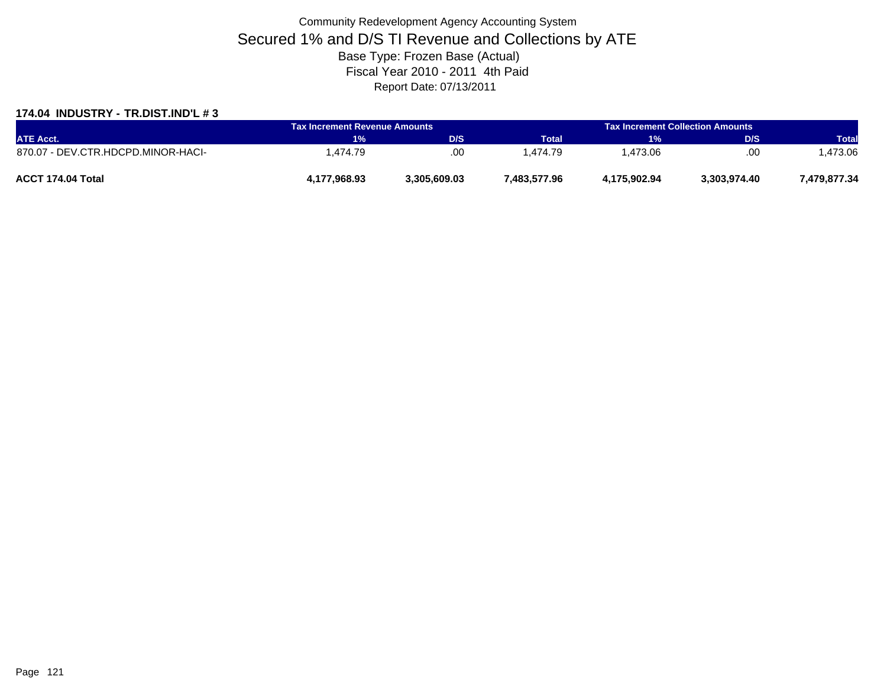#### **174.04 INDUSTRY - TR.DIST.IND'L # 3**

| <b>ATE Acct.</b>                   | Tax Increment Revenue Amounts |              | <b>Tax Increment Collection Amounts</b> |              |              |              |
|------------------------------------|-------------------------------|--------------|-----------------------------------------|--------------|--------------|--------------|
|                                    | <b>MYO</b>                    | D/S          | <b>Total</b>                            | 1%           | D/S          | <b>Total</b> |
| 870.07 - DEV.CTR.HDCPD.MINOR-HACI- | . 474.79                      | .00          | .474.79                                 | . 473.06     | .00          | .473.06      |
| ACCT 174.04 Total                  | 4,177,968.93                  | 3.305.609.03 | 7,483,577.96                            | 4.175.902.94 | 3,303,974.40 | 7,479,877.34 |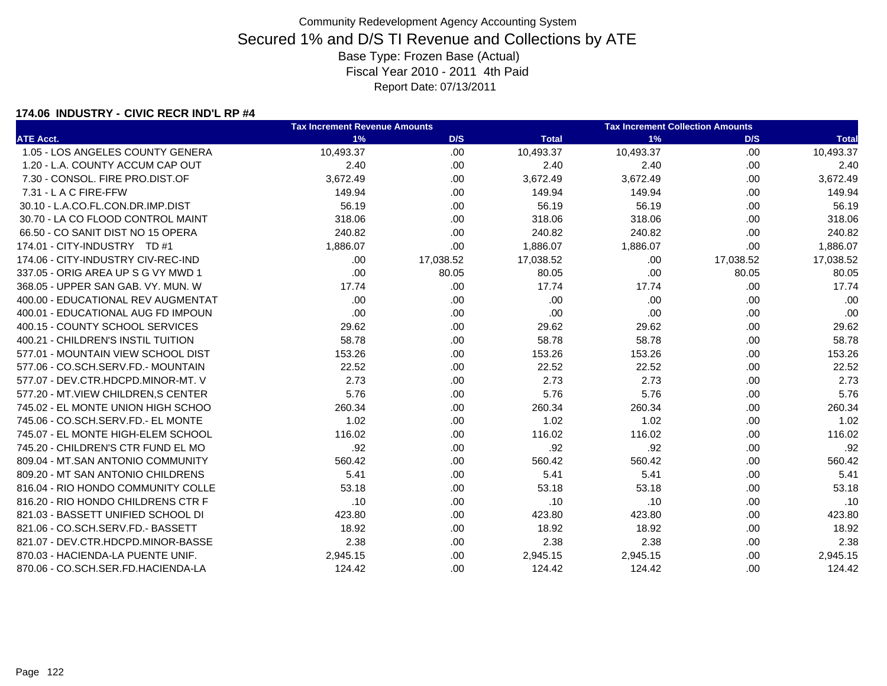### **174.06 INDUSTRY - CIVIC RECR IND'L RP #4**

|                                      | <b>Tax Increment Revenue Amounts</b> |           |              | <b>Tax Increment Collection Amounts</b> |           |              |
|--------------------------------------|--------------------------------------|-----------|--------------|-----------------------------------------|-----------|--------------|
| <b>ATE Acct.</b>                     | 1%                                   | D/S       | <b>Total</b> | 1%                                      | D/S       | <b>Total</b> |
| 1.05 - LOS ANGELES COUNTY GENERA     | 10.493.37                            | .00.      | 10,493.37    | 10,493.37                               | .00.      | 10,493.37    |
| 1.20 - L.A. COUNTY ACCUM CAP OUT     | 2.40                                 | .00       | 2.40         | 2.40                                    | .00.      | 2.40         |
| 7.30 - CONSOL. FIRE PRO.DIST.OF      | 3,672.49                             | .00       | 3,672.49     | 3,672.49                                | .00.      | 3,672.49     |
| 7.31 - L A C FIRE-FFW                | 149.94                               | .00       | 149.94       | 149.94                                  | .00.      | 149.94       |
| 30.10 - L.A.CO.FL.CON.DR.IMP.DIST    | 56.19                                | .00.      | 56.19        | 56.19                                   | .00.      | 56.19        |
| 30.70 - LA CO FLOOD CONTROL MAINT    | 318.06                               | .00       | 318.06       | 318.06                                  | .00       | 318.06       |
| 66.50 - CO SANIT DIST NO 15 OPERA    | 240.82                               | .00       | 240.82       | 240.82                                  | .00       | 240.82       |
| 174.01 - CITY-INDUSTRY TD #1         | 1,886.07                             | .00       | 1,886.07     | 1,886.07                                | .00       | 1,886.07     |
| 174.06 - CITY-INDUSTRY CIV-REC-IND   | .00                                  | 17,038.52 | 17,038.52    | .00                                     | 17,038.52 | 17,038.52    |
| 337.05 - ORIG AREA UP S G VY MWD 1   | .00                                  | 80.05     | 80.05        | .00                                     | 80.05     | 80.05        |
| 368.05 - UPPER SAN GAB, VY, MUN, W   | 17.74                                | .00       | 17.74        | 17.74                                   | .00.      | 17.74        |
| 400.00 - EDUCATIONAL REV AUGMENTAT   | .00                                  | .00.      | .00          | .00                                     | .00.      | .00          |
| 400.01 - EDUCATIONAL AUG FD IMPOUN   | .00                                  | .00.      | .00          | .00                                     | .00.      | .00          |
| 400.15 - COUNTY SCHOOL SERVICES      | 29.62                                | .00.      | 29.62        | 29.62                                   | .00.      | 29.62        |
| 400.21 - CHILDREN'S INSTIL TUITION   | 58.78                                | .00       | 58.78        | 58.78                                   | .00       | 58.78        |
| 577.01 - MOUNTAIN VIEW SCHOOL DIST   | 153.26                               | .00       | 153.26       | 153.26                                  | .00       | 153.26       |
| 577.06 - CO.SCH.SERV.FD.- MOUNTAIN   | 22.52                                | .00.      | 22.52        | 22.52                                   | .00.      | 22.52        |
| 577.07 - DEV.CTR.HDCPD.MINOR-MT. V   | 2.73                                 | .00       | 2.73         | 2.73                                    | .00.      | 2.73         |
| 577.20 - MT. VIEW CHILDREN. S CENTER | 5.76                                 | .00       | 5.76         | 5.76                                    | .00.      | 5.76         |
| 745.02 - EL MONTE UNION HIGH SCHOO   | 260.34                               | .00       | 260.34       | 260.34                                  | .00.      | 260.34       |
| 745.06 - CO.SCH.SERV.FD.- EL MONTE   | 1.02                                 | .00       | 1.02         | 1.02                                    | .00       | 1.02         |
| 745.07 - EL MONTE HIGH-ELEM SCHOOL   | 116.02                               | .00       | 116.02       | 116.02                                  | .00       | 116.02       |
| 745.20 - CHILDREN'S CTR FUND EL MO   | .92                                  | .00       | .92          | .92                                     | .00.      | .92          |
| 809.04 - MT.SAN ANTONIO COMMUNITY    | 560.42                               | .00.      | 560.42       | 560.42                                  | .00.      | 560.42       |
| 809.20 - MT SAN ANTONIO CHILDRENS    | 5.41                                 | .00       | 5.41         | 5.41                                    | .00       | 5.41         |
| 816.04 - RIO HONDO COMMUNITY COLLE   | 53.18                                | .00.      | 53.18        | 53.18                                   | .00.      | 53.18        |
| 816.20 - RIO HONDO CHILDRENS CTR F   | .10                                  | .00.      | .10          | .10                                     | .00.      | .10          |
| 821.03 - BASSETT UNIFIED SCHOOL DI   | 423.80                               | .00.      | 423.80       | 423.80                                  | .00.      | 423.80       |
| 821.06 - CO.SCH.SERV.FD.- BASSETT    | 18.92                                | .00.      | 18.92        | 18.92                                   | .00.      | 18.92        |
| 821.07 - DEV.CTR.HDCPD.MINOR-BASSE   | 2.38                                 | .00       | 2.38         | 2.38                                    | .00.      | 2.38         |
| 870.03 - HACIENDA-LA PUENTE UNIF.    | 2,945.15                             | .00.      | 2,945.15     | 2,945.15                                | .00.      | 2,945.15     |
| 870.06 - CO.SCH.SER.FD.HACIENDA-LA   | 124.42                               | .00       | 124.42       | 124.42                                  | .00.      | 124.42       |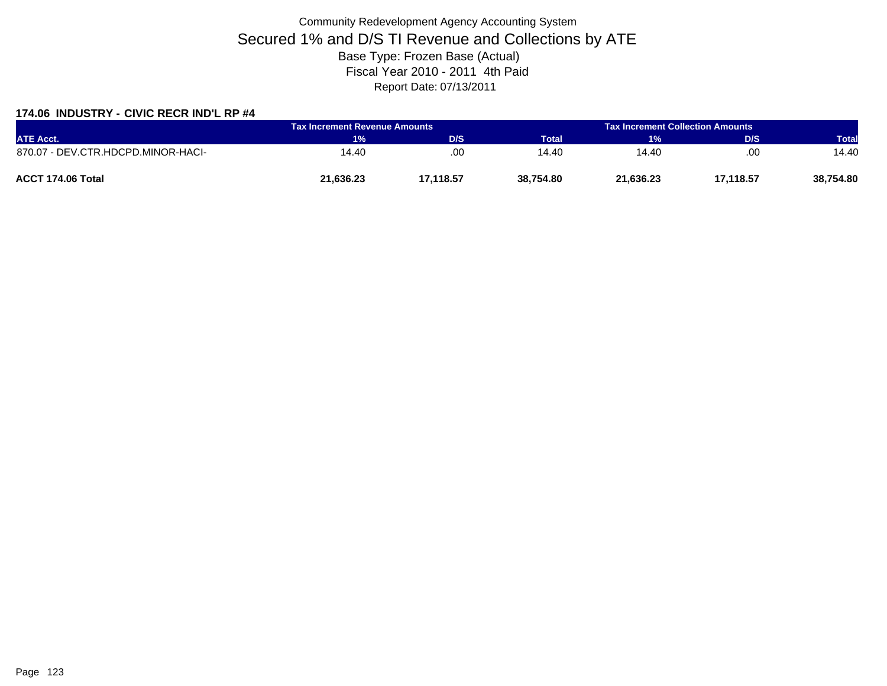### **174.06 INDUSTRY - CIVIC RECR IND'L RP #4**

| <b>ATE Acct.</b>                   | <b>Tax Increment Revenue Amounts</b> |           | <b>Tax Increment Collection Amounts a</b> |           |           |              |
|------------------------------------|--------------------------------------|-----------|-------------------------------------------|-----------|-----------|--------------|
|                                    | 1%                                   | D/S       | Total                                     | 1%        | D/S       | <b>Total</b> |
| 870.07 - DEV.CTR.HDCPD.MINOR-HACI- | 14.40                                | .00       | 14.40                                     | 14.40     | .00       | 14.40        |
| ACCT 174.06 Total                  | 21,636.23                            | 17.118.57 | 38,754.80                                 | 21.636.23 | 17,118.57 | 38,754.80    |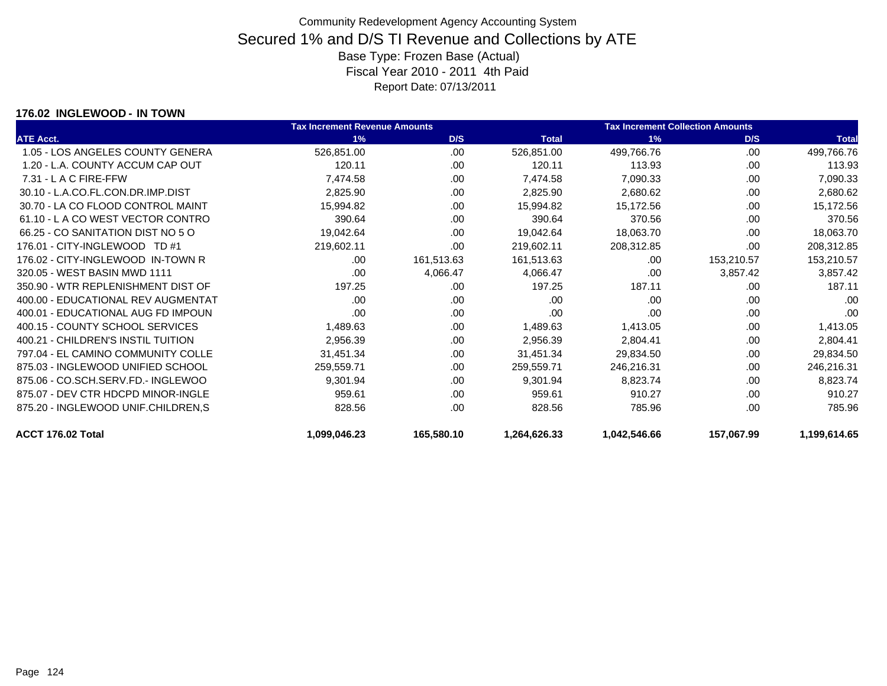#### **176.02 INGLEWOOD - IN TOWN**

|                                    | <b>Tax Increment Revenue Amounts</b> |            |              | <b>Tax Increment Collection Amounts</b> |            |              |
|------------------------------------|--------------------------------------|------------|--------------|-----------------------------------------|------------|--------------|
| <b>ATE Acct.</b>                   | 1%                                   | D/S        | <b>Total</b> | 1%                                      | D/S        | <b>Total</b> |
| 1.05 - LOS ANGELES COUNTY GENERA   | 526,851.00                           | .00        | 526,851.00   | 499,766.76                              | .00        | 499,766.76   |
| 1.20 - L.A. COUNTY ACCUM CAP OUT   | 120.11                               | .00        | 120.11       | 113.93                                  | .00        | 113.93       |
| 7.31 - L A C FIRE-FFW              | 7,474.58                             | .00.       | 7,474.58     | 7,090.33                                | .00        | 7,090.33     |
| 30.10 - L.A.CO.FL.CON.DR.IMP.DIST  | 2,825.90                             | .00        | 2,825.90     | 2,680.62                                | .00        | 2,680.62     |
| 30.70 - LA CO FLOOD CONTROL MAINT  | 15,994.82                            | .00.       | 15,994.82    | 15,172.56                               | .00        | 15,172.56    |
| 61.10 - L A CO WEST VECTOR CONTRO  | 390.64                               | .00.       | 390.64       | 370.56                                  | .00        | 370.56       |
| 66.25 - CO SANITATION DIST NO 5 O  | 19,042.64                            | .00        | 19,042.64    | 18,063.70                               | .00        | 18,063.70    |
| 176.01 - CITY-INGLEWOOD TD #1      | 219,602.11                           | .00        | 219,602.11   | 208,312.85                              | .00        | 208,312.85   |
| 176.02 - CITY-INGLEWOOD IN-TOWN R  | .00                                  | 161,513.63 | 161,513.63   | .00                                     | 153,210.57 | 153,210.57   |
| 320.05 - WEST BASIN MWD 1111       | .00.                                 | 4,066.47   | 4,066.47     | .00                                     | 3,857.42   | 3,857.42     |
| 350.90 - WTR REPLENISHMENT DIST OF | 197.25                               | .00        | 197.25       | 187.11                                  | .00        | 187.11       |
| 400.00 - EDUCATIONAL REV AUGMENTAT | .00.                                 | .00        | .00          | .00.                                    | .00        | .00          |
| 400.01 - EDUCATIONAL AUG FD IMPOUN | .00                                  | .00        | .00          | .00                                     | .00        | .00          |
| 400.15 - COUNTY SCHOOL SERVICES    | 1,489.63                             | .00.       | 1,489.63     | 1,413.05                                | .00        | 1,413.05     |
| 400.21 - CHILDREN'S INSTIL TUITION | 2,956.39                             | .00.       | 2,956.39     | 2,804.41                                | .00        | 2,804.41     |
| 797.04 - EL CAMINO COMMUNITY COLLE | 31,451.34                            | .00        | 31,451.34    | 29,834.50                               | .00        | 29,834.50    |
| 875.03 - INGLEWOOD UNIFIED SCHOOL  | 259,559.71                           | .00.       | 259,559.71   | 246,216.31                              | .00        | 246,216.31   |
| 875.06 - CO.SCH.SERV.FD.- INGLEWOO | 9,301.94                             | .00        | 9,301.94     | 8,823.74                                | .00        | 8,823.74     |
| 875.07 - DEV CTR HDCPD MINOR-INGLE | 959.61                               | .00        | 959.61       | 910.27                                  | .00        | 910.27       |
| 875.20 - INGLEWOOD UNIF.CHILDREN,S | 828.56                               | .00        | 828.56       | 785.96                                  | .00        | 785.96       |
| ACCT 176.02 Total                  | 1,099,046.23                         | 165,580.10 | 1,264,626.33 | 1,042,546.66                            | 157,067.99 | 1,199,614.65 |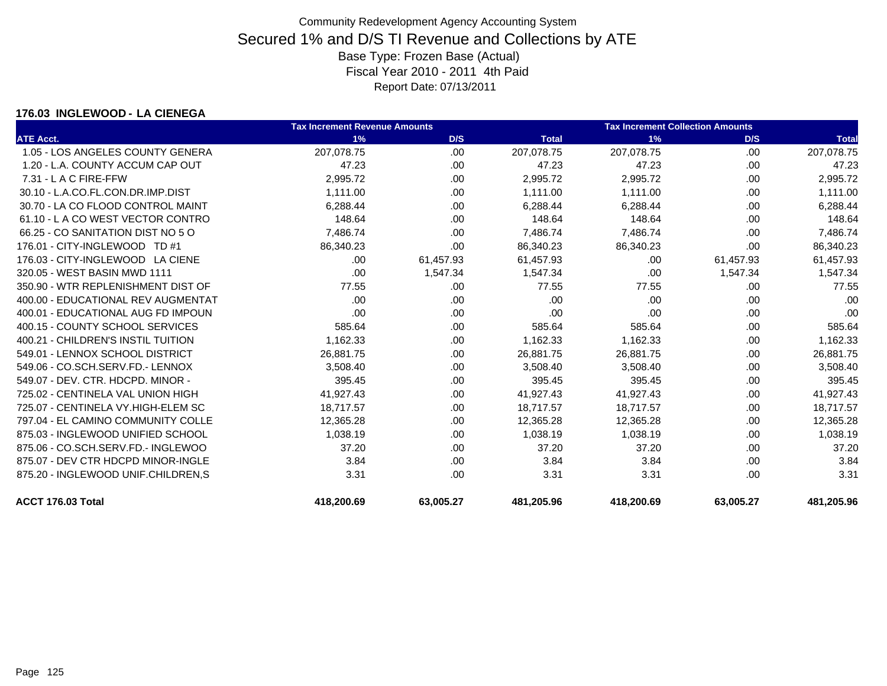#### **176.03 INGLEWOOD - LA CIENEGA**

|                                    | <b>Tax Increment Revenue Amounts</b> |           |              | <b>Tax Increment Collection Amounts</b> |           |              |
|------------------------------------|--------------------------------------|-----------|--------------|-----------------------------------------|-----------|--------------|
| <b>ATE Acct.</b>                   | 1%                                   | D/S       | <b>Total</b> | 1%                                      | D/S       | <b>Total</b> |
| 1.05 - LOS ANGELES COUNTY GENERA   | 207,078.75                           | .00.      | 207,078.75   | 207,078.75                              | .00       | 207,078.75   |
| 1.20 - L.A. COUNTY ACCUM CAP OUT   | 47.23                                | .00       | 47.23        | 47.23                                   | .00       | 47.23        |
| $7.31 - L$ A C FIRE-FFW            | 2,995.72                             | .00.      | 2,995.72     | 2,995.72                                | .00.      | 2,995.72     |
| 30.10 - L.A.CO.FL.CON.DR.IMP.DIST  | 1,111.00                             | .00.      | 1,111.00     | 1,111.00                                | .00       | 1,111.00     |
| 30.70 - LA CO FLOOD CONTROL MAINT  | 6,288.44                             | .00       | 6.288.44     | 6,288.44                                | .00       | 6,288.44     |
| 61.10 - L A CO WEST VECTOR CONTRO  | 148.64                               | .00.      | 148.64       | 148.64                                  | .00.      | 148.64       |
| 66.25 - CO SANITATION DIST NO 5 O  | 7,486.74                             | .00       | 7,486.74     | 7,486.74                                | .00       | 7,486.74     |
| 176.01 - CITY-INGLEWOOD TD #1      | 86,340.23                            | .00.      | 86,340.23    | 86,340.23                               | .00       | 86,340.23    |
| 176.03 - CITY-INGLEWOOD LA CIENE   | .00                                  | 61,457.93 | 61,457.93    | .00                                     | 61,457.93 | 61,457.93    |
| 320.05 - WEST BASIN MWD 1111       | .00                                  | 1,547.34  | 1,547.34     | .00                                     | 1,547.34  | 1,547.34     |
| 350.90 - WTR REPLENISHMENT DIST OF | 77.55                                | .00.      | 77.55        | 77.55                                   | .00       | 77.55        |
| 400.00 - EDUCATIONAL REV AUGMENTAT | .00                                  | .00       | .00          | .00                                     | .00       | .00          |
| 400.01 - EDUCATIONAL AUG FD IMPOUN | .00                                  | .00.      | .00          | .00                                     | .00       | .00          |
| 400.15 - COUNTY SCHOOL SERVICES    | 585.64                               | .00.      | 585.64       | 585.64                                  | .00       | 585.64       |
| 400.21 - CHILDREN'S INSTIL TUITION | 1,162.33                             | .00       | 1,162.33     | 1,162.33                                | .00       | 1,162.33     |
| 549.01 - LENNOX SCHOOL DISTRICT    | 26,881.75                            | .00.      | 26,881.75    | 26,881.75                               | .00       | 26,881.75    |
| 549.06 - CO.SCH.SERV.FD.- LENNOX   | 3,508.40                             | .00       | 3,508.40     | 3,508.40                                | .00       | 3,508.40     |
| 549.07 - DEV. CTR. HDCPD. MINOR -  | 395.45                               | .00.      | 395.45       | 395.45                                  | .00       | 395.45       |
| 725.02 - CENTINELA VAL UNION HIGH  | 41,927.43                            | .00.      | 41,927.43    | 41,927.43                               | .00       | 41,927.43    |
| 725.07 - CENTINELA VY.HIGH-ELEM SC | 18,717.57                            | .00.      | 18.717.57    | 18,717.57                               | .00       | 18,717.57    |
| 797.04 - EL CAMINO COMMUNITY COLLE | 12,365.28                            | .00.      | 12,365.28    | 12,365.28                               | .00       | 12,365.28    |
| 875.03 - INGLEWOOD UNIFIED SCHOOL  | 1,038.19                             | .00       | 1,038.19     | 1,038.19                                | .00       | 1,038.19     |
| 875.06 - CO.SCH.SERV.FD.- INGLEWOO | 37.20                                | .00.      | 37.20        | 37.20                                   | .00       | 37.20        |
| 875.07 - DEV CTR HDCPD MINOR-INGLE | 3.84                                 | .00.      | 3.84         | 3.84                                    | .00       | 3.84         |
| 875.20 - INGLEWOOD UNIF.CHILDREN.S | 3.31                                 | .00       | 3.31         | 3.31                                    | .00       | 3.31         |
| ACCT 176.03 Total                  | 418,200.69                           | 63,005.27 | 481,205.96   | 418,200.69                              | 63,005.27 | 481,205.96   |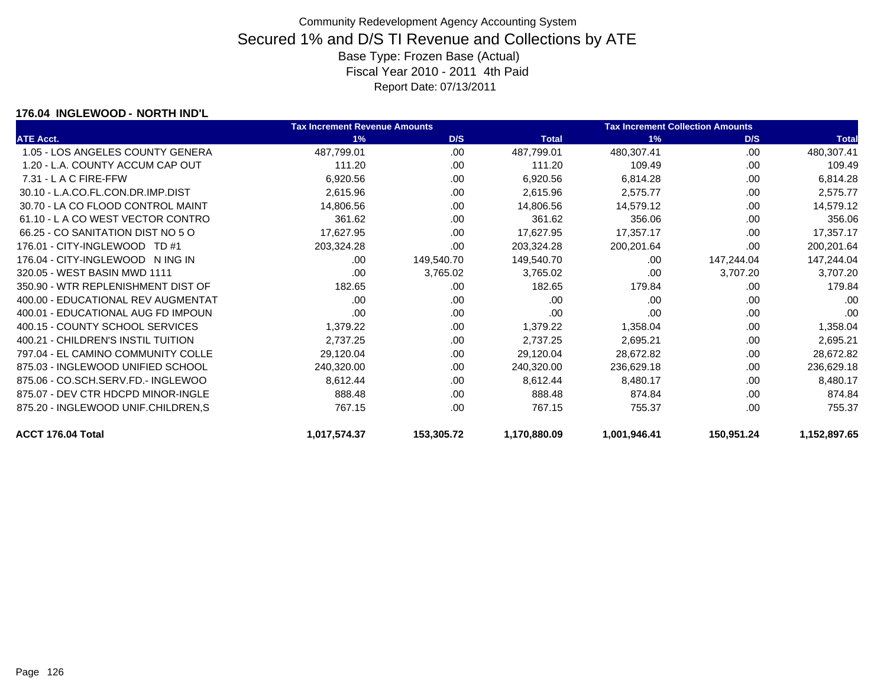#### **176.04 INGLEWOOD - NORTH IND'L**

|                                    | <b>Tax Increment Revenue Amounts</b> |            |              | <b>Tax Increment Collection Amounts</b> |            |              |
|------------------------------------|--------------------------------------|------------|--------------|-----------------------------------------|------------|--------------|
| <b>ATE Acct.</b>                   | 1%                                   | D/S        | <b>Total</b> | 1%                                      | D/S        | <b>Total</b> |
| 1.05 - LOS ANGELES COUNTY GENERA   | 487,799.01                           | .00.       | 487,799.01   | 480,307.41                              | .00        | 480,307.41   |
| 1.20 - L.A. COUNTY ACCUM CAP OUT   | 111.20                               | .00        | 111.20       | 109.49                                  | .00        | 109.49       |
| $7.31 - L$ A C FIRE-FFW            | 6,920.56                             | .00.       | 6,920.56     | 6,814.28                                | .00        | 6,814.28     |
| 30.10 - L.A.CO.FL.CON.DR.IMP.DIST  | 2,615.96                             | .00        | 2,615.96     | 2,575.77                                | .00        | 2,575.77     |
| 30.70 - LA CO FLOOD CONTROL MAINT  | 14,806.56                            | .00        | 14,806.56    | 14,579.12                               | .00        | 14,579.12    |
| 61.10 - LA CO WEST VECTOR CONTRO   | 361.62                               | .00        | 361.62       | 356.06                                  | .00        | 356.06       |
| 66.25 - CO SANITATION DIST NO 5 O  | 17,627.95                            | .00        | 17,627.95    | 17,357.17                               | .00        | 17,357.17    |
| 176.01 - CITY-INGLEWOOD TD #1      | 203,324.28                           | .00        | 203,324.28   | 200,201.64                              | .00        | 200,201.64   |
| 176.04 - CITY-INGLEWOOD N ING IN   | .00                                  | 149,540.70 | 149,540.70   | .00                                     | 147,244.04 | 147,244.04   |
| 320.05 - WEST BASIN MWD 1111       | .00                                  | 3,765.02   | 3,765.02     | .00                                     | 3,707.20   | 3,707.20     |
| 350.90 - WTR REPLENISHMENT DIST OF | 182.65                               | .00        | 182.65       | 179.84                                  | .00        | 179.84       |
| 400.00 - EDUCATIONAL REV AUGMENTAT | .00                                  | .00        | .00          | .00                                     | .00        | .00          |
| 400.01 - EDUCATIONAL AUG FD IMPOUN | .00                                  | .00.       | .00          | .00                                     | .00        | .00          |
| 400.15 - COUNTY SCHOOL SERVICES    | 1,379.22                             | .00        | 1,379.22     | 1,358.04                                | .00        | 1,358.04     |
| 400.21 - CHILDREN'S INSTIL TUITION | 2,737.25                             | .00        | 2,737.25     | 2,695.21                                | .00        | 2,695.21     |
| 797.04 - EL CAMINO COMMUNITY COLLE | 29,120.04                            | .00.       | 29,120.04    | 28,672.82                               | .00        | 28,672.82    |
| 875.03 - INGLEWOOD UNIFIED SCHOOL  | 240,320.00                           | .00        | 240,320.00   | 236,629.18                              | .00        | 236,629.18   |
| 875.06 - CO.SCH.SERV.FD.- INGLEWOO | 8,612.44                             | .00        | 8,612.44     | 8,480.17                                | .00        | 8,480.17     |
| 875.07 - DEV CTR HDCPD MINOR-INGLE | 888.48                               | .00.       | 888.48       | 874.84                                  | .00        | 874.84       |
| 875.20 - INGLEWOOD UNIF.CHILDREN.S | 767.15                               | .00        | 767.15       | 755.37                                  | .00        | 755.37       |
| ACCT 176.04 Total                  | 1,017,574.37                         | 153,305.72 | 1,170,880.09 | 1,001,946.41                            | 150,951.24 | 1,152,897.65 |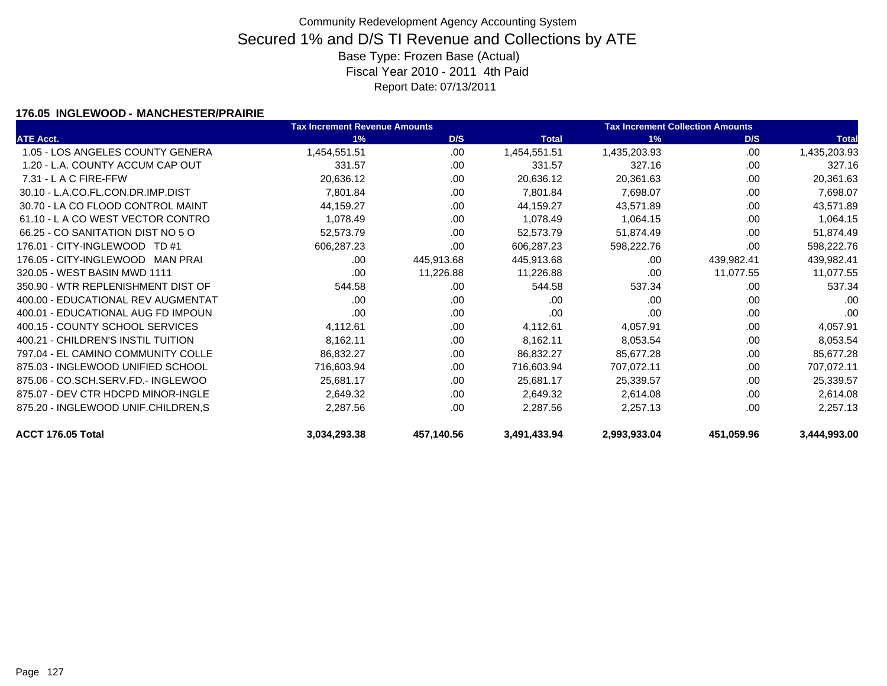### **176.05 INGLEWOOD - MANCHESTER/PRAIRIE**

|                                    | <b>Tax Increment Revenue Amounts</b> |            |              | <b>Tax Increment Collection Amounts</b> |            |              |
|------------------------------------|--------------------------------------|------------|--------------|-----------------------------------------|------------|--------------|
| <b>ATE Acct.</b>                   | 1%                                   | D/S        | <b>Total</b> | 1%                                      | D/S        | <b>Total</b> |
| 1.05 - LOS ANGELES COUNTY GENERA   | 1,454,551.51                         | .00.       | 1,454,551.51 | 1,435,203.93                            | .00.       | 1,435,203.93 |
| 1.20 - L.A. COUNTY ACCUM CAP OUT   | 331.57                               | .00        | 331.57       | 327.16                                  | .00        | 327.16       |
| $7.31 - L$ A C FIRE-FFW            | 20,636.12                            | .00        | 20,636.12    | 20,361.63                               | .00.       | 20,361.63    |
| 30.10 - L.A.CO.FL.CON.DR.IMP.DIST  | 7,801.84                             | .00.       | 7,801.84     | 7,698.07                                | .00        | 7,698.07     |
| 30.70 - LA CO FLOOD CONTROL MAINT  | 44,159.27                            | .00.       | 44,159.27    | 43,571.89                               | .00        | 43,571.89    |
| 61.10 - LA CO WEST VECTOR CONTRO   | 1,078.49                             | .00.       | 1,078.49     | 1,064.15                                | .00        | 1,064.15     |
| 66.25 - CO SANITATION DIST NO 5 O  | 52,573.79                            | .00.       | 52,573.79    | 51,874.49                               | .00        | 51,874.49    |
| 176.01 - CITY-INGLEWOOD TD #1      | 606,287.23                           | .00.       | 606,287.23   | 598,222.76                              | .00        | 598,222.76   |
| 176.05 - CITY-INGLEWOOD MAN PRAI   | .00                                  | 445,913.68 | 445,913.68   | .00                                     | 439,982.41 | 439,982.41   |
| 320.05 - WEST BASIN MWD 1111       | .00.                                 | 11,226.88  | 11,226.88    | .00                                     | 11,077.55  | 11,077.55    |
| 350.90 - WTR REPLENISHMENT DIST OF | 544.58                               | .00        | 544.58       | 537.34                                  | .00        | 537.34       |
| 400.00 - EDUCATIONAL REV AUGMENTAT | .00                                  | .00.       | .00          | .00                                     | .00        | .00          |
| 400.01 - EDUCATIONAL AUG FD IMPOUN | .00                                  | .00        | .00          | .00                                     | .00        | .00          |
| 400.15 - COUNTY SCHOOL SERVICES    | 4,112.61                             | .00.       | 4,112.61     | 4,057.91                                | .00        | 4,057.91     |
| 400.21 - CHILDREN'S INSTIL TUITION | 8,162.11                             | .00        | 8,162.11     | 8,053.54                                | .00        | 8,053.54     |
| 797.04 - EL CAMINO COMMUNITY COLLE | 86,832.27                            | .00        | 86,832.27    | 85,677.28                               | .00        | 85,677.28    |
| 875.03 - INGLEWOOD UNIFIED SCHOOL  | 716,603.94                           | .00.       | 716,603.94   | 707,072.11                              | .00        | 707,072.11   |
| 875.06 - CO.SCH.SERV.FD.- INGLEWOO | 25,681.17                            | .00        | 25,681.17    | 25,339.57                               | .00        | 25,339.57    |
| 875.07 - DEV CTR HDCPD MINOR-INGLE | 2,649.32                             | .00.       | 2,649.32     | 2,614.08                                | .00        | 2,614.08     |
| 875.20 - INGLEWOOD UNIF.CHILDREN,S | 2,287.56                             | .00.       | 2,287.56     | 2,257.13                                | .00        | 2,257.13     |
| ACCT 176.05 Total                  | 3,034,293.38                         | 457,140.56 | 3,491,433.94 | 2,993,933.04                            | 451,059.96 | 3,444,993.00 |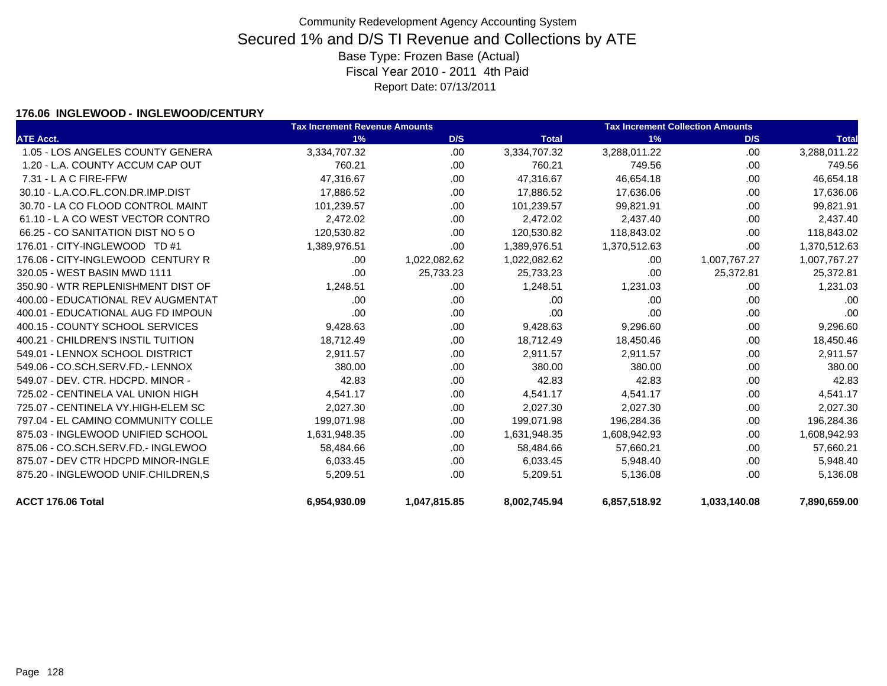### **176.06 INGLEWOOD - INGLEWOOD/CENTURY**

|                                    | <b>Tax Increment Revenue Amounts</b> |              |              | <b>Tax Increment Collection Amounts</b> |              |              |  |
|------------------------------------|--------------------------------------|--------------|--------------|-----------------------------------------|--------------|--------------|--|
| <b>ATE Acct.</b>                   | 1%                                   | D/S          | <b>Total</b> | 1%                                      | D/S          | <b>Total</b> |  |
| 1.05 - LOS ANGELES COUNTY GENERA   | 3,334,707.32                         | .00          | 3,334,707.32 | 3,288,011.22                            | .00          | 3,288,011.22 |  |
| 1.20 - L.A. COUNTY ACCUM CAP OUT   | 760.21                               | .00          | 760.21       | 749.56                                  | .00          | 749.56       |  |
| $7.31 - L$ A C FIRE-FFW            | 47,316.67                            | .00.         | 47,316.67    | 46,654.18                               | .00          | 46,654.18    |  |
| 30.10 - L.A.CO.FL.CON.DR.IMP.DIST  | 17,886.52                            | .00.         | 17,886.52    | 17,636.06                               | .00          | 17,636.06    |  |
| 30.70 - LA CO FLOOD CONTROL MAINT  | 101,239.57                           | .00          | 101,239.57   | 99,821.91                               | .00          | 99,821.91    |  |
| 61.10 - LA CO WEST VECTOR CONTRO   | 2,472.02                             | .00.         | 2,472.02     | 2,437.40                                | .00.         | 2,437.40     |  |
| 66.25 - CO SANITATION DIST NO 5 O  | 120,530.82                           | .00          | 120,530.82   | 118,843.02                              | .00          | 118,843.02   |  |
| 176.01 - CITY-INGLEWOOD TD #1      | 1,389,976.51                         | .00          | 1,389,976.51 | 1,370,512.63                            | .00          | 1,370,512.63 |  |
| 176.06 - CITY-INGLEWOOD CENTURY R  | .00.                                 | 1,022,082.62 | 1,022,082.62 | .00                                     | 1,007,767.27 | 1,007,767.27 |  |
| 320.05 - WEST BASIN MWD 1111       | .00                                  | 25,733.23    | 25,733.23    | .00                                     | 25,372.81    | 25,372.81    |  |
| 350.90 - WTR REPLENISHMENT DIST OF | 1,248.51                             | .00.         | 1,248.51     | 1,231.03                                | .00          | 1,231.03     |  |
| 400.00 - EDUCATIONAL REV AUGMENTAT | .00                                  | .00.         | .00          | .00                                     | .00          | .00          |  |
| 400.01 - EDUCATIONAL AUG FD IMPOUN | .00                                  | .00.         | .00          | .00                                     | .00          | .00          |  |
| 400.15 - COUNTY SCHOOL SERVICES    | 9,428.63                             | .00.         | 9,428.63     | 9,296.60                                | .00          | 9,296.60     |  |
| 400.21 - CHILDREN'S INSTIL TUITION | 18,712.49                            | .00          | 18,712.49    | 18,450.46                               | .00          | 18,450.46    |  |
| 549.01 - LENNOX SCHOOL DISTRICT    | 2,911.57                             | .00.         | 2,911.57     | 2,911.57                                | .00          | 2,911.57     |  |
| 549.06 - CO.SCH.SERV.FD.- LENNOX   | 380.00                               | .00          | 380.00       | 380.00                                  | .00          | 380.00       |  |
| 549.07 - DEV. CTR. HDCPD. MINOR -  | 42.83                                | .00.         | 42.83        | 42.83                                   | .00          | 42.83        |  |
| 725.02 - CENTINELA VAL UNION HIGH  | 4,541.17                             | .00          | 4,541.17     | 4,541.17                                | .00          | 4,541.17     |  |
| 725.07 - CENTINELA VY.HIGH-ELEM SC | 2,027.30                             | .00          | 2,027.30     | 2,027.30                                | .00          | 2,027.30     |  |
| 797.04 - EL CAMINO COMMUNITY COLLE | 199,071.98                           | .00.         | 199,071.98   | 196,284.36                              | .00          | 196,284.36   |  |
| 875.03 - INGLEWOOD UNIFIED SCHOOL  | 1,631,948.35                         | .00          | 1,631,948.35 | 1,608,942.93                            | .00          | 1,608,942.93 |  |
| 875.06 - CO.SCH.SERV.FD.- INGLEWOO | 58,484.66                            | .00.         | 58,484.66    | 57,660.21                               | .00          | 57,660.21    |  |
| 875.07 - DEV CTR HDCPD MINOR-INGLE | 6,033.45                             | .00          | 6,033.45     | 5,948.40                                | .00          | 5,948.40     |  |
| 875.20 - INGLEWOOD UNIF.CHILDREN,S | 5,209.51                             | .00          | 5,209.51     | 5,136.08                                | .00          | 5,136.08     |  |
| ACCT 176.06 Total                  | 6,954,930.09                         | 1,047,815.85 | 8,002,745.94 | 6,857,518.92                            | 1,033,140.08 | 7,890,659.00 |  |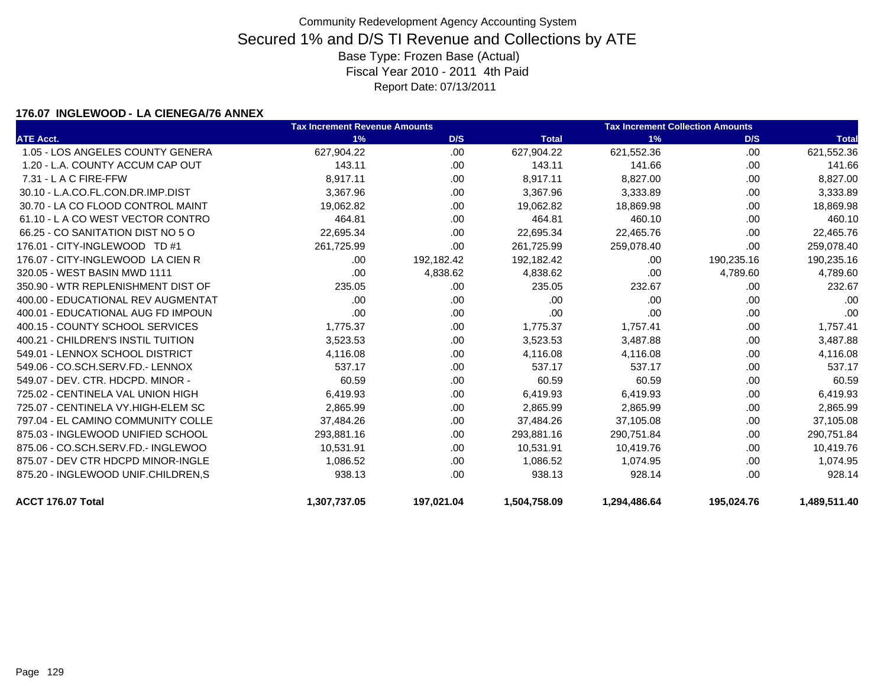### **176.07 INGLEWOOD - LA CIENEGA/76 ANNEX**

|                                    | <b>Tax Increment Revenue Amounts</b> |            |              | <b>Tax Increment Collection Amounts</b> |            |              |  |
|------------------------------------|--------------------------------------|------------|--------------|-----------------------------------------|------------|--------------|--|
| <b>ATE Acct.</b>                   | 1%                                   | D/S        | <b>Total</b> | 1%                                      | D/S        | <b>Total</b> |  |
| 1.05 - LOS ANGELES COUNTY GENERA   | 627,904.22                           | .00        | 627,904.22   | 621,552.36                              | .00.       | 621,552.36   |  |
| 1.20 - L.A. COUNTY ACCUM CAP OUT   | 143.11                               | .00.       | 143.11       | 141.66                                  | .00        | 141.66       |  |
| 7.31 - L A C FIRE-FFW              | 8,917.11                             | .00        | 8,917.11     | 8,827.00                                | .00        | 8,827.00     |  |
| 30.10 - L.A.CO.FL.CON.DR.IMP.DIST  | 3,367.96                             | .00.       | 3,367.96     | 3,333.89                                | .00        | 3,333.89     |  |
| 30.70 - LA CO FLOOD CONTROL MAINT  | 19,062.82                            | .00        | 19,062.82    | 18,869.98                               | .00        | 18,869.98    |  |
| 61.10 - LA CO WEST VECTOR CONTRO   | 464.81                               | .00.       | 464.81       | 460.10                                  | .00        | 460.10       |  |
| 66.25 - CO SANITATION DIST NO 5 O  | 22,695.34                            | .00        | 22,695.34    | 22,465.76                               | .00        | 22,465.76    |  |
| 176.01 - CITY-INGLEWOOD TD #1      | 261,725.99                           | .00        | 261,725.99   | 259,078.40                              | .00        | 259,078.40   |  |
| 176.07 - CITY-INGLEWOOD LA CIEN R  | .00.                                 | 192,182.42 | 192,182.42   | .00                                     | 190,235.16 | 190,235.16   |  |
| 320.05 - WEST BASIN MWD 1111       | .00                                  | 4,838.62   | 4,838.62     | .00                                     | 4,789.60   | 4,789.60     |  |
| 350.90 - WTR REPLENISHMENT DIST OF | 235.05                               | .00.       | 235.05       | 232.67                                  | .00        | 232.67       |  |
| 400.00 - EDUCATIONAL REV AUGMENTAT | .00                                  | .00        | .00          | .00                                     | .00        | .00          |  |
| 400.01 - EDUCATIONAL AUG FD IMPOUN | .00                                  | .00        | .00          | .00                                     | .00        | .00          |  |
| 400.15 - COUNTY SCHOOL SERVICES    | 1,775.37                             | .00.       | 1,775.37     | 1,757.41                                | .00        | 1,757.41     |  |
| 400.21 - CHILDREN'S INSTIL TUITION | 3,523.53                             | .00.       | 3,523.53     | 3,487.88                                | .00        | 3,487.88     |  |
| 549.01 - LENNOX SCHOOL DISTRICT    | 4,116.08                             | .00.       | 4,116.08     | 4,116.08                                | .00        | 4,116.08     |  |
| 549.06 - CO.SCH.SERV.FD.- LENNOX   | 537.17                               | .00.       | 537.17       | 537.17                                  | .00        | 537.17       |  |
| 549.07 - DEV. CTR. HDCPD. MINOR -  | 60.59                                | .00        | 60.59        | 60.59                                   | .00        | 60.59        |  |
| 725.02 - CENTINELA VAL UNION HIGH  | 6,419.93                             | .00        | 6,419.93     | 6,419.93                                | .00        | 6,419.93     |  |
| 725.07 - CENTINELA VY.HIGH-ELEM SC | 2,865.99                             | .00        | 2,865.99     | 2,865.99                                | .00        | 2,865.99     |  |
| 797.04 - EL CAMINO COMMUNITY COLLE | 37,484.26                            | .00.       | 37,484.26    | 37,105.08                               | .00        | 37,105.08    |  |
| 875.03 - INGLEWOOD UNIFIED SCHOOL  | 293,881.16                           | .00        | 293,881.16   | 290,751.84                              | .00        | 290,751.84   |  |
| 875.06 - CO.SCH.SERV.FD.- INGLEWOO | 10,531.91                            | .00.       | 10,531.91    | 10,419.76                               | .00.       | 10,419.76    |  |
| 875.07 - DEV CTR HDCPD MINOR-INGLE | 1,086.52                             | .00        | 1,086.52     | 1.074.95                                | .00        | 1,074.95     |  |
| 875.20 - INGLEWOOD UNIF.CHILDREN,S | 938.13                               | .00        | 938.13       | 928.14                                  | .00        | 928.14       |  |
| ACCT 176.07 Total                  | 1,307,737.05                         | 197,021.04 | 1,504,758.09 | 1,294,486.64                            | 195,024.76 | 1,489,511.40 |  |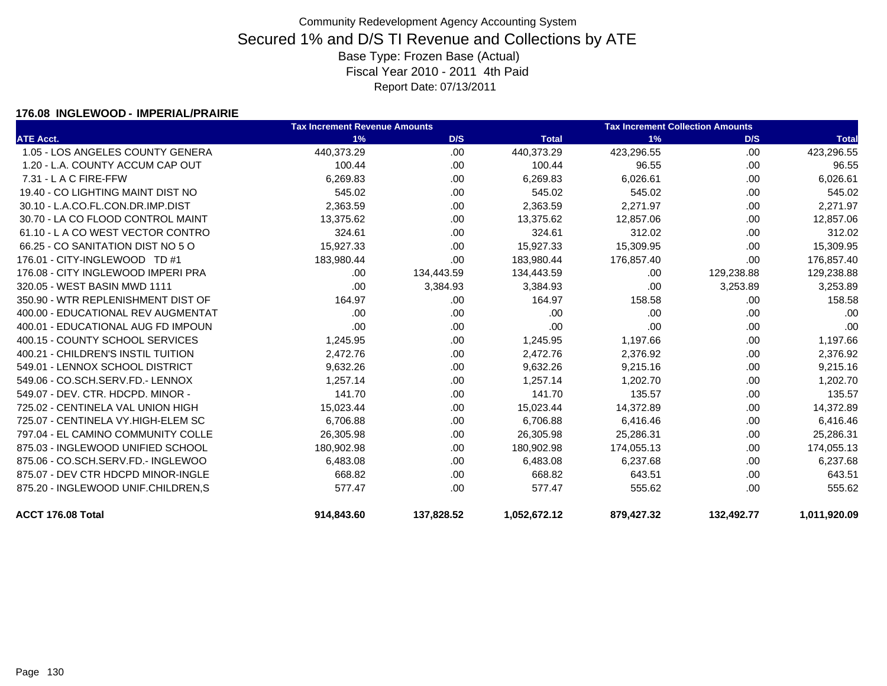#### **176.08 INGLEWOOD - IMPERIAL/PRAIRIE**

|                                    | <b>Tax Increment Revenue Amounts</b> |            |              | <b>Tax Increment Collection Amounts</b> |            |              |
|------------------------------------|--------------------------------------|------------|--------------|-----------------------------------------|------------|--------------|
| <b>ATE Acct.</b>                   | 1%                                   | D/S        | <b>Total</b> | 1%                                      | D/S        | <b>Total</b> |
| 1.05 - LOS ANGELES COUNTY GENERA   | 440,373.29                           | .00        | 440,373.29   | 423,296.55                              | .00.       | 423,296.55   |
| 1.20 - L.A. COUNTY ACCUM CAP OUT   | 100.44                               | .00        | 100.44       | 96.55                                   | .00        | 96.55        |
| 7.31 - L A C FIRE-FFW              | 6,269.83                             | .00        | 6,269.83     | 6,026.61                                | .00.       | 6,026.61     |
| 19.40 - CO LIGHTING MAINT DIST NO  | 545.02                               | .00        | 545.02       | 545.02                                  | .00        | 545.02       |
| 30.10 - L.A.CO.FL.CON.DR.IMP.DIST  | 2,363.59                             | .00        | 2,363.59     | 2,271.97                                | .00        | 2,271.97     |
| 30.70 - LA CO FLOOD CONTROL MAINT  | 13,375.62                            | .00        | 13,375.62    | 12,857.06                               | .00        | 12,857.06    |
| 61.10 - L A CO WEST VECTOR CONTRO  | 324.61                               | .00.       | 324.61       | 312.02                                  | .00        | 312.02       |
| 66.25 - CO SANITATION DIST NO 5 O  | 15,927.33                            | .00        | 15,927.33    | 15,309.95                               | .00        | 15,309.95    |
| 176.01 - CITY-INGLEWOOD TD #1      | 183,980.44                           | .00        | 183,980.44   | 176,857.40                              | .00        | 176,857.40   |
| 176.08 - CITY INGLEWOOD IMPERI PRA | .00.                                 | 134,443.59 | 134,443.59   | .00                                     | 129,238.88 | 129,238.88   |
| 320.05 - WEST BASIN MWD 1111       | .00                                  | 3,384.93   | 3,384.93     | .00                                     | 3,253.89   | 3,253.89     |
| 350.90 - WTR REPLENISHMENT DIST OF | 164.97                               | .00.       | 164.97       | 158.58                                  | .00.       | 158.58       |
| 400.00 - EDUCATIONAL REV AUGMENTAT | .00                                  | .00.       | .00          | .00                                     | .00.       | .00          |
| 400.01 - EDUCATIONAL AUG FD IMPOUN | .00                                  | .00.       | .00          | .00                                     | .00        | .00          |
| 400.15 - COUNTY SCHOOL SERVICES    | 1,245.95                             | .00.       | 1,245.95     | 1,197.66                                | .00        | 1,197.66     |
| 400.21 - CHILDREN'S INSTIL TUITION | 2,472.76                             | .00.       | 2,472.76     | 2,376.92                                | .00.       | 2,376.92     |
| 549.01 - LENNOX SCHOOL DISTRICT    | 9,632.26                             | .00.       | 9,632.26     | 9,215.16                                | .00.       | 9,215.16     |
| 549.06 - CO.SCH.SERV.FD.- LENNOX   | 1,257.14                             | .00.       | 1,257.14     | 1,202.70                                | .00        | 1,202.70     |
| 549.07 - DEV. CTR. HDCPD. MINOR -  | 141.70                               | .00.       | 141.70       | 135.57                                  | .00.       | 135.57       |
| 725.02 - CENTINELA VAL UNION HIGH  | 15,023.44                            | .00.       | 15,023.44    | 14,372.89                               | .00.       | 14,372.89    |
| 725.07 - CENTINELA VY.HIGH-ELEM SC | 6,706.88                             | .00.       | 6,706.88     | 6,416.46                                | .00.       | 6,416.46     |
| 797.04 - EL CAMINO COMMUNITY COLLE | 26,305.98                            | .00.       | 26,305.98    | 25,286.31                               | .00.       | 25,286.31    |
| 875.03 - INGLEWOOD UNIFIED SCHOOL  | 180,902.98                           | .00.       | 180,902.98   | 174,055.13                              | .00.       | 174,055.13   |
| 875.06 - CO.SCH.SERV.FD.- INGLEWOO | 6,483.08                             | .00.       | 6,483.08     | 6,237.68                                | .00        | 6,237.68     |
| 875.07 - DEV CTR HDCPD MINOR-INGLE | 668.82                               | .00        | 668.82       | 643.51                                  | .00.       | 643.51       |
| 875.20 - INGLEWOOD UNIF.CHILDREN,S | 577.47                               | .00.       | 577.47       | 555.62                                  | .00        | 555.62       |
| ACCT 176.08 Total                  | 914,843.60                           | 137,828.52 | 1,052,672.12 | 879,427.32                              | 132,492.77 | 1,011,920.09 |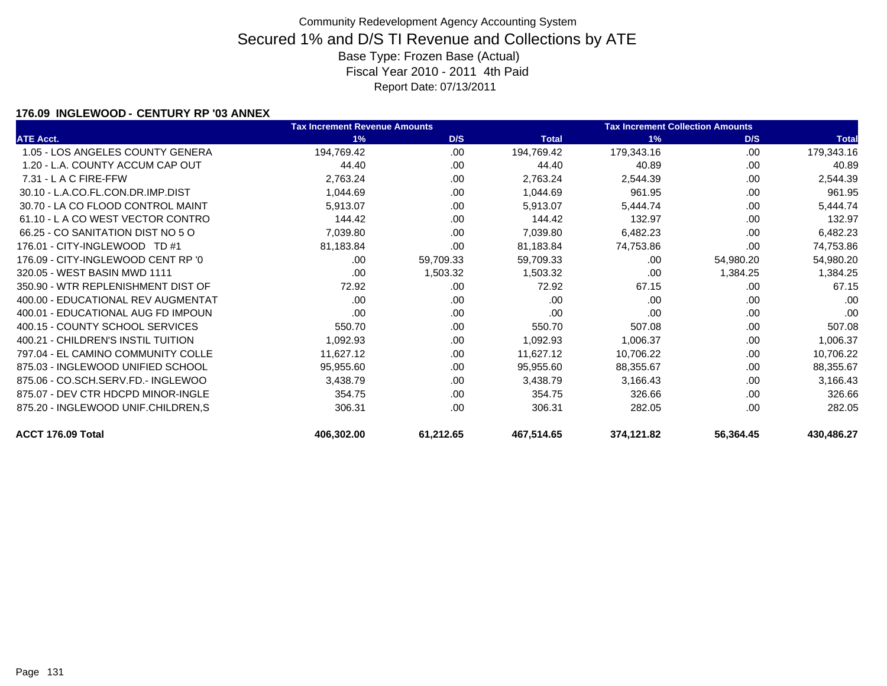### **176.09 INGLEWOOD - CENTURY RP '03 ANNEX**

|                                    | <b>Tax Increment Revenue Amounts</b> |           |              | <b>Tax Increment Collection Amounts</b> |           |              |
|------------------------------------|--------------------------------------|-----------|--------------|-----------------------------------------|-----------|--------------|
| <b>ATE Acct.</b>                   | 1%                                   | D/S       | <b>Total</b> | 1%                                      | D/S       | <b>Total</b> |
| 1.05 - LOS ANGELES COUNTY GENERA   | 194,769.42                           | .00       | 194,769.42   | 179,343.16                              | .00       | 179,343.16   |
| 1.20 - L.A. COUNTY ACCUM CAP OUT   | 44.40                                | .00       | 44.40        | 40.89                                   | .00       | 40.89        |
| $7.31 - L$ A C FIRE-FFW            | 2,763.24                             | .00       | 2,763.24     | 2,544.39                                | .00.      | 2,544.39     |
| 30.10 - L.A.CO.FL.CON.DR.IMP.DIST  | 1,044.69                             | .00       | 1,044.69     | 961.95                                  | .00       | 961.95       |
| 30.70 - LA CO FLOOD CONTROL MAINT  | 5,913.07                             | .00       | 5,913.07     | 5,444.74                                | .00       | 5,444.74     |
| 61.10 - LA CO WEST VECTOR CONTRO   | 144.42                               | .00       | 144.42       | 132.97                                  | .00       | 132.97       |
| 66.25 - CO SANITATION DIST NO 5 O  | 7,039.80                             | .00       | 7,039.80     | 6,482.23                                | .00.      | 6,482.23     |
| 176.01 - CITY-INGLEWOOD TD #1      | 81,183.84                            | .00       | 81,183.84    | 74,753.86                               | .00       | 74,753.86    |
| 176.09 - CITY-INGLEWOOD CENT RP '0 | .00                                  | 59,709.33 | 59,709.33    | .00                                     | 54,980.20 | 54,980.20    |
| 320.05 - WEST BASIN MWD 1111       | .00.                                 | 1,503.32  | 1,503.32     | .00                                     | 1,384.25  | 1,384.25     |
| 350.90 - WTR REPLENISHMENT DIST OF | 72.92                                | .00       | 72.92        | 67.15                                   | .00       | 67.15        |
| 400.00 - EDUCATIONAL REV AUGMENTAT | .00.                                 | .00       | .00          | .00                                     | .00       | .00          |
| 400.01 - EDUCATIONAL AUG FD IMPOUN | .00.                                 | .00       | .00          | .00                                     | .00.      | .00          |
| 400.15 - COUNTY SCHOOL SERVICES    | 550.70                               | .00       | 550.70       | 507.08                                  | .00.      | 507.08       |
| 400.21 - CHILDREN'S INSTIL TUITION | 1,092.93                             | .00       | 1,092.93     | 1,006.37                                | .00       | 1,006.37     |
| 797.04 - EL CAMINO COMMUNITY COLLE | 11,627.12                            | .00       | 11,627.12    | 10,706.22                               | .00       | 10,706.22    |
| 875.03 - INGLEWOOD UNIFIED SCHOOL  | 95,955.60                            | .00       | 95,955.60    | 88,355.67                               | .00       | 88,355.67    |
| 875.06 - CO.SCH.SERV.FD.- INGLEWOO | 3,438.79                             | .00       | 3,438.79     | 3,166.43                                | .00       | 3,166.43     |
| 875.07 - DEV CTR HDCPD MINOR-INGLE | 354.75                               | .00       | 354.75       | 326.66                                  | .00       | 326.66       |
| 875.20 - INGLEWOOD UNIF.CHILDREN,S | 306.31                               | .00       | 306.31       | 282.05                                  | .00       | 282.05       |
| ACCT 176.09 Total                  | 406,302.00                           | 61,212.65 | 467,514.65   | 374,121.82                              | 56,364.45 | 430,486.27   |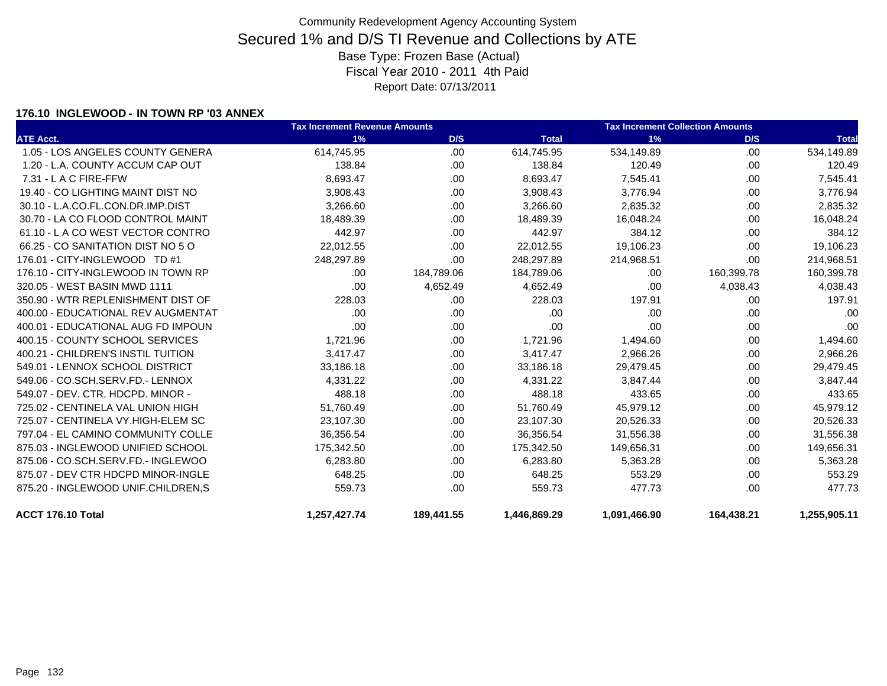### **176.10 INGLEWOOD - IN TOWN RP '03 ANNEX**

|                                    | <b>Tax Increment Revenue Amounts</b> |            |              | <b>Tax Increment Collection Amounts</b> |            |              |
|------------------------------------|--------------------------------------|------------|--------------|-----------------------------------------|------------|--------------|
| <b>ATE Acct.</b>                   | 1%                                   | D/S        | <b>Total</b> | 1%                                      | D/S        | <b>Total</b> |
| 1.05 - LOS ANGELES COUNTY GENERA   | 614,745.95                           | .00        | 614,745.95   | 534,149.89                              | .00        | 534,149.89   |
| 1.20 - L.A. COUNTY ACCUM CAP OUT   | 138.84                               | .00        | 138.84       | 120.49                                  | .00        | 120.49       |
| $7.31 - L$ A C FIRE-FFW            | 8,693.47                             | .00.       | 8,693.47     | 7,545.41                                | .00.       | 7,545.41     |
| 19.40 - CO LIGHTING MAINT DIST NO  | 3,908.43                             | .00        | 3,908.43     | 3,776.94                                | .00        | 3,776.94     |
| 30.10 - L.A.CO.FL.CON.DR.IMP.DIST  | 3,266.60                             | .00        | 3,266.60     | 2,835.32                                | .00.       | 2,835.32     |
| 30.70 - LA CO FLOOD CONTROL MAINT  | 18,489.39                            | .00        | 18,489.39    | 16,048.24                               | .00        | 16,048.24    |
| 61.10 - L A CO WEST VECTOR CONTRO  | 442.97                               | .00        | 442.97       | 384.12                                  | .00.       | 384.12       |
| 66.25 - CO SANITATION DIST NO 5 O  | 22,012.55                            | .00        | 22,012.55    | 19,106.23                               | .00        | 19,106.23    |
| 176.01 - CITY-INGLEWOOD TD #1      | 248,297.89                           | .00        | 248,297.89   | 214,968.51                              | .00.       | 214,968.51   |
| 176.10 - CITY-INGLEWOOD IN TOWN RP | .00                                  | 184,789.06 | 184,789.06   | .00                                     | 160,399.78 | 160,399.78   |
| 320.05 - WEST BASIN MWD 1111       | .00                                  | 4,652.49   | 4,652.49     | .00                                     | 4,038.43   | 4,038.43     |
| 350.90 - WTR REPLENISHMENT DIST OF | 228.03                               | .00        | 228.03       | 197.91                                  | .00        | 197.91       |
| 400.00 - EDUCATIONAL REV AUGMENTAT | .00                                  | .00        | .00          | .00                                     | .00.       | .00          |
| 400.01 - EDUCATIONAL AUG FD IMPOUN | .00                                  | .00        | .00          | .00                                     | .00.       | .00          |
| 400.15 - COUNTY SCHOOL SERVICES    | 1,721.96                             | .00        | 1,721.96     | 1,494.60                                | .00        | 1,494.60     |
| 400.21 - CHILDREN'S INSTIL TUITION | 3,417.47                             | .00        | 3,417.47     | 2,966.26                                | .00.       | 2,966.26     |
| 549.01 - LENNOX SCHOOL DISTRICT    | 33,186.18                            | .00        | 33,186.18    | 29,479.45                               | .00.       | 29,479.45    |
| 549.06 - CO.SCH.SERV.FD.- LENNOX   | 4,331.22                             | .00        | 4,331.22     | 3,847.44                                | .00.       | 3,847.44     |
| 549.07 - DEV. CTR. HDCPD. MINOR -  | 488.18                               | .00        | 488.18       | 433.65                                  | .00.       | 433.65       |
| 725.02 - CENTINELA VAL UNION HIGH  | 51,760.49                            | .00        | 51,760.49    | 45,979.12                               | .00.       | 45,979.12    |
| 725.07 - CENTINELA VY.HIGH-ELEM SC | 23,107.30                            | .00        | 23,107.30    | 20,526.33                               | .00        | 20,526.33    |
| 797.04 - EL CAMINO COMMUNITY COLLE | 36,356.54                            | .00        | 36,356.54    | 31,556.38                               | .00.       | 31,556.38    |
| 875.03 - INGLEWOOD UNIFIED SCHOOL  | 175,342.50                           | .00        | 175,342.50   | 149,656.31                              | .00        | 149,656.31   |
| 875.06 - CO.SCH.SERV.FD.- INGLEWOO | 6,283.80                             | .00        | 6,283.80     | 5,363.28                                | .00.       | 5,363.28     |
| 875.07 - DEV CTR HDCPD MINOR-INGLE | 648.25                               | .00        | 648.25       | 553.29                                  | .00.       | 553.29       |
| 875.20 - INGLEWOOD UNIF.CHILDREN,S | 559.73                               | .00        | 559.73       | 477.73                                  | .00.       | 477.73       |
| ACCT 176.10 Total                  | 1,257,427.74                         | 189,441.55 | 1,446,869.29 | 1,091,466.90                            | 164,438.21 | 1,255,905.11 |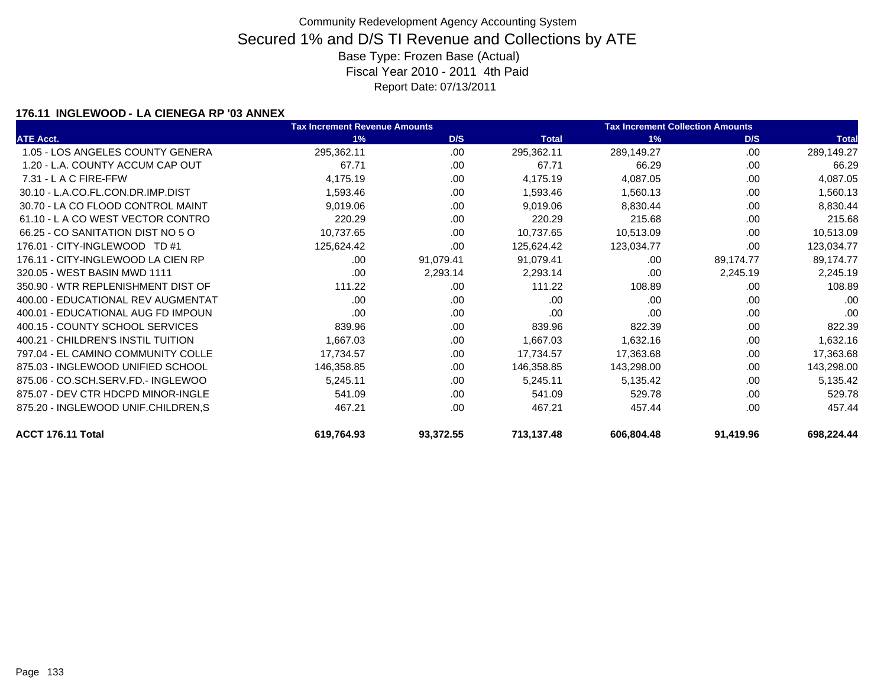### **176.11 INGLEWOOD - LA CIENEGA RP '03 ANNEX**

|                                    | <b>Tax Increment Revenue Amounts</b> |           |              | <b>Tax Increment Collection Amounts</b> |           |              |
|------------------------------------|--------------------------------------|-----------|--------------|-----------------------------------------|-----------|--------------|
| <b>ATE Acct.</b>                   | 1%                                   | D/S       | <b>Total</b> | 1%                                      | D/S       | <b>Total</b> |
| 1.05 - LOS ANGELES COUNTY GENERA   | 295,362.11                           | .00       | 295,362.11   | 289,149.27                              | .00       | 289,149.27   |
| 1.20 - L.A. COUNTY ACCUM CAP OUT   | 67.71                                | .00       | 67.71        | 66.29                                   | .00.      | 66.29        |
| 7.31 - L A C FIRE-FFW              | 4,175.19                             | .00.      | 4,175.19     | 4,087.05                                | .00       | 4,087.05     |
| 30.10 - L.A.CO.FL.CON.DR.IMP.DIST  | 1,593.46                             | .00       | 1,593.46     | 1,560.13                                | .00       | 1,560.13     |
| 30.70 - LA CO FLOOD CONTROL MAINT  | 9,019.06                             | .00.      | 9,019.06     | 8,830.44                                | .00       | 8,830.44     |
| 61.10 - LA CO WEST VECTOR CONTRO   | 220.29                               | .00.      | 220.29       | 215.68                                  | .00.      | 215.68       |
| 66.25 - CO SANITATION DIST NO 5 O  | 10,737.65                            | .00.      | 10,737.65    | 10,513.09                               | .00       | 10,513.09    |
| 176.01 - CITY-INGLEWOOD TD #1      | 125,624.42                           | .00       | 125,624.42   | 123,034.77                              | .00       | 123,034.77   |
| 176.11 - CITY-INGLEWOOD LA CIEN RP | .00                                  | 91,079.41 | 91,079.41    | .00                                     | 89,174.77 | 89,174.77    |
| 320.05 - WEST BASIN MWD 1111       | .00.                                 | 2,293.14  | 2,293.14     | .00                                     | 2,245.19  | 2,245.19     |
| 350.90 - WTR REPLENISHMENT DIST OF | 111.22                               | .00.      | 111.22       | 108.89                                  | .00       | 108.89       |
| 400.00 - EDUCATIONAL REV AUGMENTAT | .00.                                 | .00       | .00          | .00                                     | .00       | .00          |
| 400.01 - EDUCATIONAL AUG FD IMPOUN | .00                                  | .00       | .00          | .00                                     | .00.      | .00          |
| 400.15 - COUNTY SCHOOL SERVICES    | 839.96                               | .00       | 839.96       | 822.39                                  | .00       | 822.39       |
| 400.21 - CHILDREN'S INSTIL TUITION | 1,667.03                             | .00       | 1,667.03     | 1,632.16                                | .00       | 1,632.16     |
| 797.04 - EL CAMINO COMMUNITY COLLE | 17,734.57                            | .00       | 17,734.57    | 17,363.68                               | .00       | 17,363.68    |
| 875.03 - INGLEWOOD UNIFIED SCHOOL  | 146,358.85                           | .00.      | 146,358.85   | 143,298.00                              | .00       | 143,298.00   |
| 875.06 - CO.SCH.SERV.FD.- INGLEWOO | 5,245.11                             | .00       | 5,245.11     | 5,135.42                                | .00       | 5,135.42     |
| 875.07 - DEV CTR HDCPD MINOR-INGLE | 541.09                               | .00       | 541.09       | 529.78                                  | .00       | 529.78       |
| 875.20 - INGLEWOOD UNIF.CHILDREN,S | 467.21                               | .00       | 467.21       | 457.44                                  | .00       | 457.44       |
| ACCT 176.11 Total                  | 619,764.93                           | 93,372.55 | 713,137.48   | 606,804.48                              | 91,419.96 | 698,224.44   |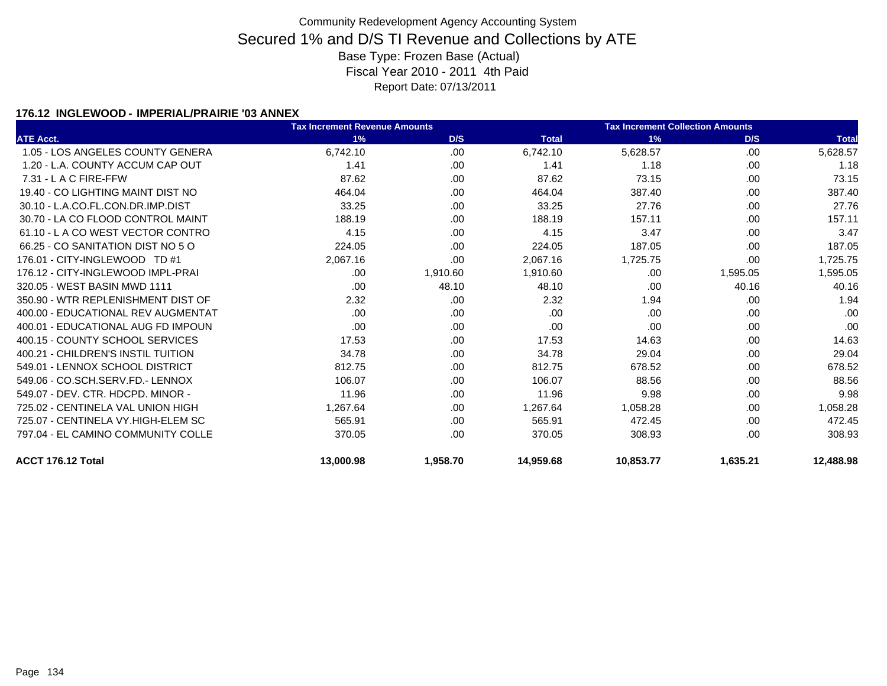#### **176.12 INGLEWOOD - IMPERIAL/PRAIRIE '03 ANNEX**

|                                    | <b>Tax Increment Revenue Amounts</b> |          |              | <b>Tax Increment Collection Amounts</b> |          |              |
|------------------------------------|--------------------------------------|----------|--------------|-----------------------------------------|----------|--------------|
| <b>ATE Acct.</b>                   | 1%                                   | D/S      | <b>Total</b> | 1%                                      | D/S      | <b>Total</b> |
| 1.05 - LOS ANGELES COUNTY GENERA   | 6,742.10                             | .00.     | 6,742.10     | 5,628.57                                | .00      | 5,628.57     |
| 1.20 - L.A. COUNTY ACCUM CAP OUT   | 1.41                                 | .00      | 1.41         | 1.18                                    | .00      | 1.18         |
| 7.31 - L A C FIRE-FFW              | 87.62                                | .00      | 87.62        | 73.15                                   | .00      | 73.15        |
| 19.40 - CO LIGHTING MAINT DIST NO  | 464.04                               | .00      | 464.04       | 387.40                                  | .00      | 387.40       |
| 30.10 - L.A.CO.FL.CON.DR.IMP.DIST  | 33.25                                | .00      | 33.25        | 27.76                                   | .00      | 27.76        |
| 30.70 - LA CO FLOOD CONTROL MAINT  | 188.19                               | .00.     | 188.19       | 157.11                                  | .00      | 157.11       |
| 61.10 - L A CO WEST VECTOR CONTRO  | 4.15                                 | .00.     | 4.15         | 3.47                                    | .00.     | 3.47         |
| 66.25 - CO SANITATION DIST NO 5 O  | 224.05                               | .00      | 224.05       | 187.05                                  | .00      | 187.05       |
| 176.01 - CITY-INGLEWOOD TD #1      | 2,067.16                             | .00      | 2,067.16     | 1,725.75                                | .00      | 1,725.75     |
| 176.12 - CITY-INGLEWOOD IMPL-PRAI  | .00.                                 | 1,910.60 | 1,910.60     | .00.                                    | 1,595.05 | 1,595.05     |
| 320.05 - WEST BASIN MWD 1111       | .00                                  | 48.10    | 48.10        | .00                                     | 40.16    | 40.16        |
| 350.90 - WTR REPLENISHMENT DIST OF | 2.32                                 | .00      | 2.32         | 1.94                                    | .00      | 1.94         |
| 400.00 - EDUCATIONAL REV AUGMENTAT | .00.                                 | .00      | .00          | .00                                     | .00      | .00          |
| 400.01 - EDUCATIONAL AUG FD IMPOUN | .00                                  | .00      | .00          | .00                                     | .00      | .00          |
| 400.15 - COUNTY SCHOOL SERVICES    | 17.53                                | .00      | 17.53        | 14.63                                   | .00      | 14.63        |
| 400.21 - CHILDREN'S INSTIL TUITION | 34.78                                | .00.     | 34.78        | 29.04                                   | .00      | 29.04        |
| 549.01 - LENNOX SCHOOL DISTRICT    | 812.75                               | .00.     | 812.75       | 678.52                                  | .00      | 678.52       |
| 549.06 - CO.SCH.SERV.FD.- LENNOX   | 106.07                               | .00      | 106.07       | 88.56                                   | .00      | 88.56        |
| 549.07 - DEV. CTR. HDCPD. MINOR -  | 11.96                                | .00.     | 11.96        | 9.98                                    | .00      | 9.98         |
| 725.02 - CENTINELA VAL UNION HIGH  | 1,267.64                             | .00.     | 1,267.64     | 1,058.28                                | .00      | 1,058.28     |
| 725.07 - CENTINELA VY.HIGH-ELEM SC | 565.91                               | .00.     | 565.91       | 472.45                                  | .00      | 472.45       |
| 797.04 - EL CAMINO COMMUNITY COLLE | 370.05                               | .00      | 370.05       | 308.93                                  | .00      | 308.93       |
| ACCT 176.12 Total                  | 13,000.98                            | 1,958.70 | 14,959.68    | 10,853.77                               | 1,635.21 | 12,488.98    |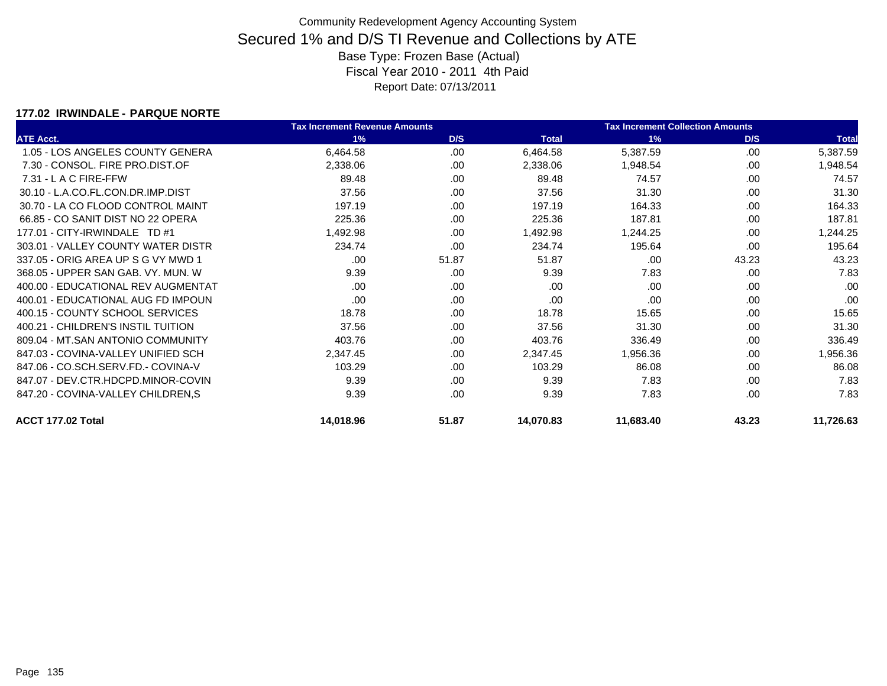#### **177.02 IRWINDALE - PARQUE NORTE**

|                                    | <b>Tax Increment Revenue Amounts</b> |       |              | <b>Tax Increment Collection Amounts</b> |       |              |
|------------------------------------|--------------------------------------|-------|--------------|-----------------------------------------|-------|--------------|
| <b>ATE Acct.</b>                   | 1%                                   | D/S   | <b>Total</b> | 1%                                      | D/S   | <b>Total</b> |
| 1.05 - LOS ANGELES COUNTY GENERA   | 6,464.58                             | .00   | 6,464.58     | 5,387.59                                | .00   | 5,387.59     |
| 7.30 - CONSOL, FIRE PRO.DIST.OF    | 2,338.06                             | .00   | 2,338.06     | 1,948.54                                | .00   | 1,948.54     |
| $7.31 - L$ A C FIRE-FFW            | 89.48                                | .00   | 89.48        | 74.57                                   | .00   | 74.57        |
| 30.10 - L.A.CO.FL.CON.DR.IMP.DIST  | 37.56                                | .00.  | 37.56        | 31.30                                   | .00.  | 31.30        |
| 30.70 - LA CO FLOOD CONTROL MAINT  | 197.19                               | .00   | 197.19       | 164.33                                  | .00   | 164.33       |
| 66.85 - CO SANIT DIST NO 22 OPERA  | 225.36                               | .00.  | 225.36       | 187.81                                  | .00   | 187.81       |
| 177.01 - CITY-IRWINDALE TD #1      | 1,492.98                             | .00.  | 1,492.98     | 1,244.25                                | .00   | 1,244.25     |
| 303.01 - VALLEY COUNTY WATER DISTR | 234.74                               | .00   | 234.74       | 195.64                                  | .00   | 195.64       |
| 337.05 - ORIG AREA UP S G VY MWD 1 | .00.                                 | 51.87 | 51.87        | .00                                     | 43.23 | 43.23        |
| 368.05 - UPPER SAN GAB, VY, MUN, W | 9.39                                 | .00.  | 9.39         | 7.83                                    | .00   | 7.83         |
| 400.00 - EDUCATIONAL REV AUGMENTAT | .00                                  | .00   | .00          | .00                                     | .00   | .00          |
| 400.01 - EDUCATIONAL AUG FD IMPOUN | .00.                                 | .00.  | .00          | .00                                     | .00   | .00          |
| 400.15 - COUNTY SCHOOL SERVICES    | 18.78                                | .00.  | 18.78        | 15.65                                   | .00   | 15.65        |
| 400.21 - CHILDREN'S INSTIL TUITION | 37.56                                | .00.  | 37.56        | 31.30                                   | .00   | 31.30        |
| 809.04 - MT.SAN ANTONIO COMMUNITY  | 403.76                               | .00   | 403.76       | 336.49                                  | .00   | 336.49       |
| 847.03 - COVINA-VALLEY UNIFIED SCH | 2,347.45                             | .00.  | 2,347.45     | 1,956.36                                | .00   | 956.36, ا    |
| 847.06 - CO.SCH.SERV.FD.- COVINA-V | 103.29                               | .00   | 103.29       | 86.08                                   | .00   | 86.08        |
| 847.07 - DEV.CTR.HDCPD.MINOR-COVIN | 9.39                                 | .00   | 9.39         | 7.83                                    | .00   | 7.83         |
| 847.20 - COVINA-VALLEY CHILDREN, S | 9.39                                 | .00.  | 9.39         | 7.83                                    | .00.  | 7.83         |
| ACCT 177.02 Total                  | 14,018.96                            | 51.87 | 14,070.83    | 11,683.40                               | 43.23 | 11,726.63    |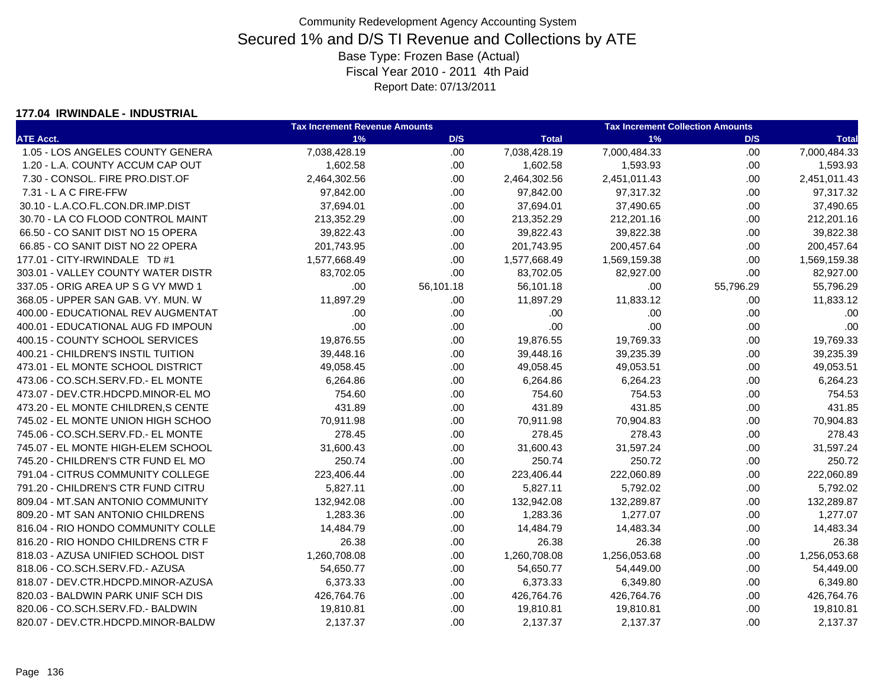#### **177.04 IRWINDALE - INDUSTRIAL**

|                                     | <b>Tax Increment Revenue Amounts</b> |           | <b>Tax Increment Collection Amounts</b> |              |           |              |
|-------------------------------------|--------------------------------------|-----------|-----------------------------------------|--------------|-----------|--------------|
| <b>ATE Acct.</b>                    | 1%                                   | D/S       | <b>Total</b>                            | 1%           | D/S       | <b>Total</b> |
| 1.05 - LOS ANGELES COUNTY GENERA    | 7,038,428.19                         | .00.      | 7,038,428.19                            | 7,000,484.33 | .00       | 7,000,484.33 |
| 1.20 - L.A. COUNTY ACCUM CAP OUT    | 1,602.58                             | .00       | 1,602.58                                | 1,593.93     | .00       | 1,593.93     |
| 7.30 - CONSOL. FIRE PRO.DIST.OF     | 2,464,302.56                         | .00.      | 2,464,302.56                            | 2,451,011.43 | .00.      | 2,451,011.43 |
| $7.31 - L$ A C FIRE-FFW             | 97,842.00                            | .00       | 97,842.00                               | 97,317.32    | .00       | 97,317.32    |
| 30.10 - L.A.CO.FL.CON.DR.IMP.DIST   | 37,694.01                            | .00       | 37,694.01                               | 37,490.65    | .00       | 37,490.65    |
| 30.70 - LA CO FLOOD CONTROL MAINT   | 213,352.29                           | .00       | 213,352.29                              | 212,201.16   | .00       | 212,201.16   |
| 66.50 - CO SANIT DIST NO 15 OPERA   | 39,822.43                            | .00.      | 39,822.43                               | 39,822.38    | .00       | 39,822.38    |
| 66.85 - CO SANIT DIST NO 22 OPERA   | 201,743.95                           | .00       | 201,743.95                              | 200,457.64   | .00       | 200,457.64   |
| 177.01 - CITY-IRWINDALE TD #1       | 1,577,668.49                         | .00       | 1,577,668.49                            | 1,569,159.38 | .00       | 1,569,159.38 |
| 303.01 - VALLEY COUNTY WATER DISTR  | 83,702.05                            | .00       | 83,702.05                               | 82,927.00    | .00       | 82,927.00    |
| 337.05 - ORIG AREA UP S G VY MWD 1  | .00                                  | 56,101.18 | 56,101.18                               | .00          | 55,796.29 | 55,796.29    |
| 368.05 - UPPER SAN GAB, VY, MUN, W  | 11,897.29                            | .00.      | 11,897.29                               | 11,833.12    | .00       | 11,833.12    |
| 400.00 - EDUCATIONAL REV AUGMENTAT  | .00                                  | .00       | .00.                                    | .00          | .00       | .00          |
| 400.01 - EDUCATIONAL AUG FD IMPOUN  | .00                                  | .00       | .00                                     | .00          | .00       | .00          |
| 400.15 - COUNTY SCHOOL SERVICES     | 19,876.55                            | .00       | 19,876.55                               | 19,769.33    | .00       | 19,769.33    |
| 400.21 - CHILDREN'S INSTIL TUITION  | 39,448.16                            | .00       | 39,448.16                               | 39,235.39    | .00       | 39,235.39    |
| 473.01 - EL MONTE SCHOOL DISTRICT   | 49,058.45                            | .00.      | 49,058.45                               | 49,053.51    | .00       | 49,053.51    |
| 473.06 - CO.SCH.SERV.FD.- EL MONTE  | 6,264.86                             | .00       | 6,264.86                                | 6,264.23     | .00       | 6,264.23     |
| 473.07 - DEV.CTR.HDCPD.MINOR-EL MO  | 754.60                               | .00.      | 754.60                                  | 754.53       | .00       | 754.53       |
| 473.20 - EL MONTE CHILDREN, S CENTE | 431.89                               | .00.      | 431.89                                  | 431.85       | .00       | 431.85       |
| 745.02 - EL MONTE UNION HIGH SCHOO  | 70,911.98                            | .00.      | 70,911.98                               | 70,904.83    | .00       | 70,904.83    |
| 745.06 - CO.SCH.SERV.FD.- EL MONTE  | 278.45                               | .00.      | 278.45                                  | 278.43       | .00       | 278.43       |
| 745.07 - EL MONTE HIGH-ELEM SCHOOL  | 31,600.43                            | .00       | 31,600.43                               | 31,597.24    | .00       | 31,597.24    |
| 745.20 - CHILDREN'S CTR FUND EL MO  | 250.74                               | .00.      | 250.74                                  | 250.72       | .00       | 250.72       |
| 791.04 - CITRUS COMMUNITY COLLEGE   | 223,406.44                           | .00       | 223,406.44                              | 222,060.89   | .00       | 222,060.89   |
| 791.20 - CHILDREN'S CTR FUND CITRU  | 5,827.11                             | .00.      | 5,827.11                                | 5,792.02     | .00       | 5,792.02     |
| 809.04 - MT.SAN ANTONIO COMMUNITY   | 132,942.08                           | .00.      | 132,942.08                              | 132,289.87   | .00       | 132,289.87   |
| 809.20 - MT SAN ANTONIO CHILDRENS   | 1,283.36                             | .00.      | 1,283.36                                | 1,277.07     | .00       | 1,277.07     |
| 816.04 - RIO HONDO COMMUNITY COLLE  | 14,484.79                            | .00.      | 14,484.79                               | 14,483.34    | .00       | 14,483.34    |
| 816.20 - RIO HONDO CHILDRENS CTR F  | 26.38                                | .00       | 26.38                                   | 26.38        | .00       | 26.38        |
| 818.03 - AZUSA UNIFIED SCHOOL DIST  | 1,260,708.08                         | .00       | 1,260,708.08                            | 1,256,053.68 | .00       | 1,256,053.68 |
| 818.06 - CO.SCH.SERV.FD.- AZUSA     | 54,650.77                            | .00.      | 54,650.77                               | 54,449.00    | .00       | 54,449.00    |
| 818.07 - DEV.CTR.HDCPD.MINOR-AZUSA  | 6,373.33                             | .00       | 6,373.33                                | 6,349.80     | .00.      | 6,349.80     |
| 820.03 - BALDWIN PARK UNIF SCH DIS  | 426,764.76                           | .00.      | 426,764.76                              | 426,764.76   | .00.      | 426,764.76   |
| 820.06 - CO.SCH.SERV.FD.- BALDWIN   | 19,810.81                            | .00       | 19,810.81                               | 19,810.81    | .00       | 19,810.81    |
| 820.07 - DEV.CTR.HDCPD.MINOR-BALDW  | 2,137.37                             | .00       | 2,137.37                                | 2,137.37     | .00       | 2,137.37     |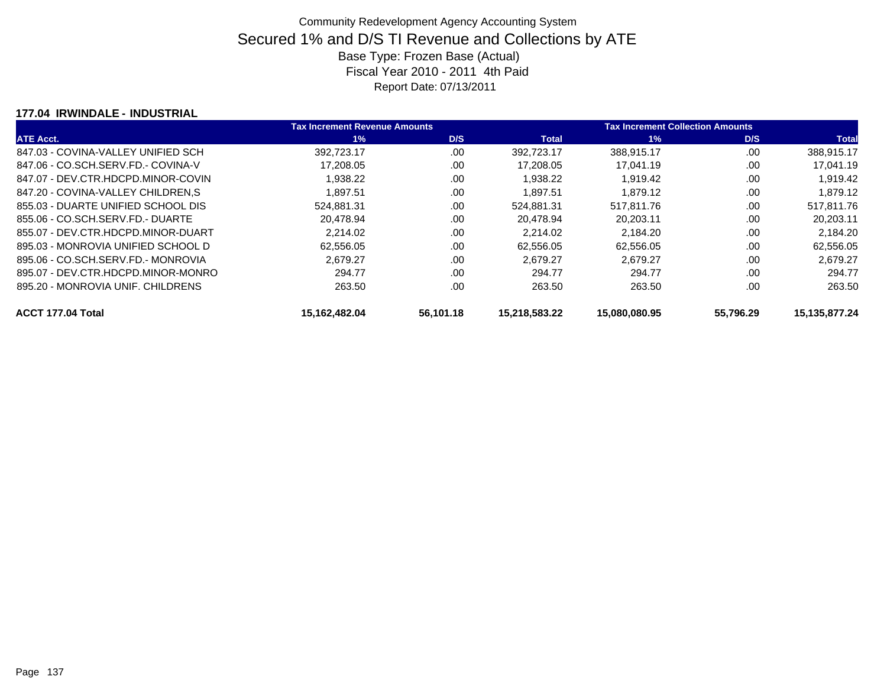#### **177.04 IRWINDALE - INDUSTRIAL**

|                                    | <b>Tax Increment Revenue Amounts</b> |           |               | <b>Tax Increment Collection Amounts</b> |           |               |  |
|------------------------------------|--------------------------------------|-----------|---------------|-----------------------------------------|-----------|---------------|--|
| <b>ATE Acct.</b>                   | $1\%$                                | D/S       | <b>Total</b>  | $1\%$                                   | D/S       | <b>Total</b>  |  |
| 847.03 - COVINA-VALLEY UNIFIED SCH | 392.723.17                           | .00       | 392.723.17    | 388.915.17                              | .00       | 388,915.17    |  |
| 847.06 - CO.SCH.SERV.FD.- COVINA-V | 17,208.05                            | .00       | 17,208.05     | 17,041.19                               | .00       | 17,041.19     |  |
| 847.07 - DEV.CTR.HDCPD.MINOR-COVIN | 1,938.22                             | .00       | 1,938.22      | 1,919.42                                | .00       | 1,919.42      |  |
| 847.20 - COVINA-VALLEY CHILDREN.S  | 1.897.51                             | .00       | 1.897.51      | 1.879.12                                | .00       | 1.879.12      |  |
| 855.03 - DUARTE UNIFIED SCHOOL DIS | 524.881.31                           | .00       | 524.881.31    | 517.811.76                              | .00       | 517,811.76    |  |
| 855.06 - CO.SCH.SERV.FD.- DUARTE   | 20.478.94                            | .00       | 20.478.94     | 20.203.11                               | .00       | 20.203.11     |  |
| 855.07 - DEV.CTR.HDCPD.MINOR-DUART | 2,214.02                             | .00       | 2.214.02      | 2,184.20                                | .00       | 2.184.20      |  |
| 895.03 - MONROVIA UNIFIED SCHOOL D | 62,556.05                            | .00       | 62.556.05     | 62.556.05                               | .00       | 62.556.05     |  |
| 895.06 - CO.SCH.SERV.FD.- MONROVIA | 2,679.27                             | .00       | 2.679.27      | 2,679.27                                | .00       | 2.679.27      |  |
| 895.07 - DEV.CTR.HDCPD.MINOR-MONRO | 294.77                               | .00       | 294.77        | 294.77                                  | .00       | 294.77        |  |
| 895.20 - MONROVIA UNIF. CHILDRENS  | 263.50                               | .00       | 263.50        | 263.50                                  | .00       | 263.50        |  |
| ACCT 177.04 Total                  | 15.162.482.04                        | 56.101.18 | 15.218.583.22 | 15.080.080.95                           | 55.796.29 | 15.135.877.24 |  |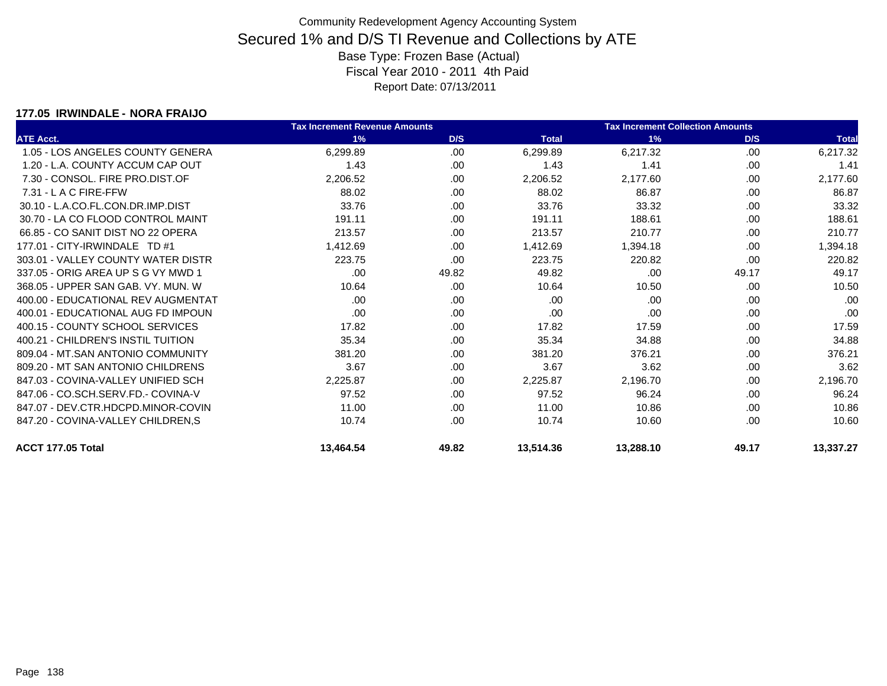#### **177.05 IRWINDALE - NORA FRAIJO**

|                                    | <b>Tax Increment Revenue Amounts</b> |       |              | <b>Tax Increment Collection Amounts</b> |       |              |  |
|------------------------------------|--------------------------------------|-------|--------------|-----------------------------------------|-------|--------------|--|
| <b>ATE Acct.</b>                   | 1%                                   | D/S   | <b>Total</b> | 1%                                      | D/S   | <b>Total</b> |  |
| 1.05 - LOS ANGELES COUNTY GENERA   | 6,299.89                             | .00   | 6,299.89     | 6,217.32                                | .00   | 6,217.32     |  |
| 1.20 - L.A. COUNTY ACCUM CAP OUT   | 1.43                                 | .00   | 1.43         | 1.41                                    | .00   | 1.41         |  |
| 7.30 - CONSOL, FIRE PRO.DIST.OF    | 2,206.52                             | .00   | 2,206.52     | 2,177.60                                | .00   | 2,177.60     |  |
| $7.31 - L$ A C FIRE-FFW            | 88.02                                | .00   | 88.02        | 86.87                                   | .00   | 86.87        |  |
| 30.10 - L.A.CO.FL.CON.DR.IMP.DIST  | 33.76                                | .00   | 33.76        | 33.32                                   | .00   | 33.32        |  |
| 30.70 - LA CO FLOOD CONTROL MAINT  | 191.11                               | .00   | 191.11       | 188.61                                  | .00   | 188.61       |  |
| 66.85 - CO SANIT DIST NO 22 OPERA  | 213.57                               | .00   | 213.57       | 210.77                                  | .00   | 210.77       |  |
| 177.01 - CITY-IRWINDALE TD #1      | 1,412.69                             | .00   | 1,412.69     | 1,394.18                                | .00   | 1,394.18     |  |
| 303.01 - VALLEY COUNTY WATER DISTR | 223.75                               | .00.  | 223.75       | 220.82                                  | .00   | 220.82       |  |
| 337.05 - ORIG AREA UP S G VY MWD 1 | .00.                                 | 49.82 | 49.82        | .00                                     | 49.17 | 49.17        |  |
| 368.05 - UPPER SAN GAB, VY, MUN, W | 10.64                                | .00   | 10.64        | 10.50                                   | .00   | 10.50        |  |
| 400.00 - EDUCATIONAL REV AUGMENTAT | .00.                                 | .00   | .00          | .00                                     | .00   | .00          |  |
| 400.01 - EDUCATIONAL AUG FD IMPOUN | .00.                                 | .00.  | .00          | .00                                     | .00   | .00          |  |
| 400.15 - COUNTY SCHOOL SERVICES    | 17.82                                | .00   | 17.82        | 17.59                                   | .00   | 17.59        |  |
| 400.21 - CHILDREN'S INSTIL TUITION | 35.34                                | .00   | 35.34        | 34.88                                   | .00   | 34.88        |  |
| 809.04 - MT.SAN ANTONIO COMMUNITY  | 381.20                               | .00.  | 381.20       | 376.21                                  | .00   | 376.21       |  |
| 809.20 - MT SAN ANTONIO CHILDRENS  | 3.67                                 | .00   | 3.67         | 3.62                                    | .00   | 3.62         |  |
| 847.03 - COVINA-VALLEY UNIFIED SCH | 2,225.87                             | .00   | 2,225.87     | 2,196.70                                | .00   | 2,196.70     |  |
| 847.06 - CO.SCH.SERV.FD.- COVINA-V | 97.52                                | .00   | 97.52        | 96.24                                   | .00   | 96.24        |  |
| 847.07 - DEV.CTR.HDCPD.MINOR-COVIN | 11.00                                | .00   | 11.00        | 10.86                                   | .00   | 10.86        |  |
| 847.20 - COVINA-VALLEY CHILDREN,S  | 10.74                                | .00.  | 10.74        | 10.60                                   | .00   | 10.60        |  |
| ACCT 177.05 Total                  | 13,464.54                            | 49.82 | 13,514.36    | 13,288.10                               | 49.17 | 13,337.27    |  |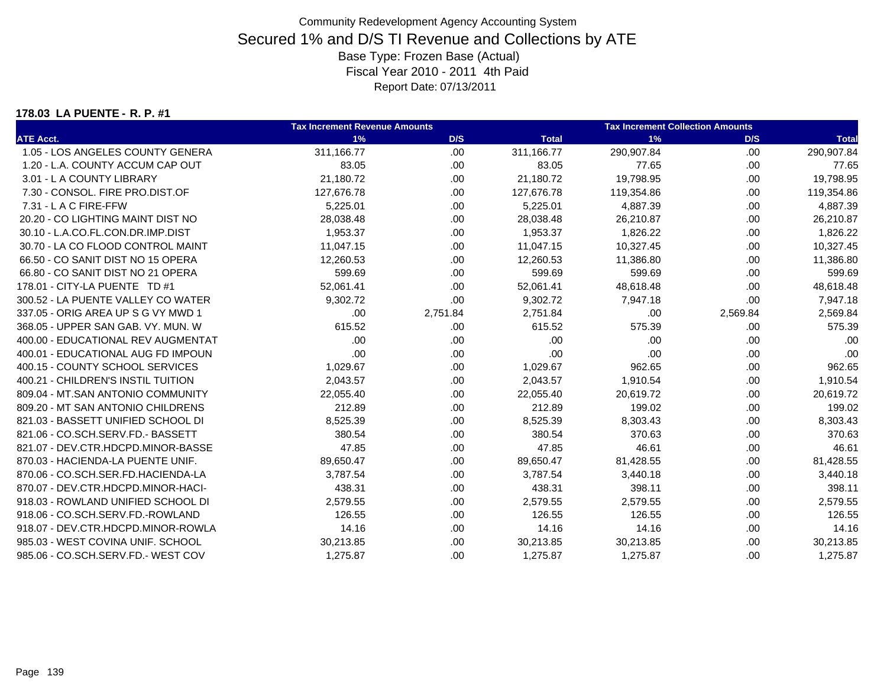#### **178.03 LA PUENTE - R. P. #1**

|                                    | <b>Tax Increment Revenue Amounts</b> |          | <b>Tax Increment Collection Amounts</b> |            |          |              |
|------------------------------------|--------------------------------------|----------|-----------------------------------------|------------|----------|--------------|
| <b>ATE Acct.</b>                   | 1%                                   | D/S      | <b>Total</b>                            | 1%         | D/S      | <b>Total</b> |
| 1.05 - LOS ANGELES COUNTY GENERA   | 311,166.77                           | .00      | 311,166.77                              | 290,907.84 | .00.     | 290,907.84   |
| 1.20 - L.A. COUNTY ACCUM CAP OUT   | 83.05                                | .00      | 83.05                                   | 77.65      | .00.     | 77.65        |
| 3.01 - L A COUNTY LIBRARY          | 21,180.72                            | .00      | 21,180.72                               | 19,798.95  | .00.     | 19,798.95    |
| 7.30 - CONSOL, FIRE PRO.DIST.OF    | 127,676.78                           | .00      | 127,676.78                              | 119,354.86 | .00.     | 119,354.86   |
| 7.31 - L A C FIRE-FFW              | 5,225.01                             | .00      | 5,225.01                                | 4,887.39   | .00.     | 4,887.39     |
| 20.20 - CO LIGHTING MAINT DIST NO  | 28,038.48                            | .00      | 28,038.48                               | 26,210.87  | .00.     | 26,210.87    |
| 30.10 - L.A.CO.FL.CON.DR.IMP.DIST  | 1,953.37                             | .00      | 1,953.37                                | 1,826.22   | .00.     | 1,826.22     |
| 30.70 - LA CO FLOOD CONTROL MAINT  | 11,047.15                            | .00      | 11,047.15                               | 10,327.45  | .00.     | 10,327.45    |
| 66.50 - CO SANIT DIST NO 15 OPERA  | 12,260.53                            | .00      | 12,260.53                               | 11,386.80  | .00.     | 11,386.80    |
| 66.80 - CO SANIT DIST NO 21 OPERA  | 599.69                               | .00      | 599.69                                  | 599.69     | .00.     | 599.69       |
| 178.01 - CITY-LA PUENTE TD #1      | 52,061.41                            | .00      | 52,061.41                               | 48,618.48  | .00.     | 48,618.48    |
| 300.52 - LA PUENTE VALLEY CO WATER | 9,302.72                             | .00      | 9,302.72                                | 7,947.18   | .00      | 7,947.18     |
| 337.05 - ORIG AREA UP S G VY MWD 1 | .00.                                 | 2,751.84 | 2,751.84                                | .00        | 2,569.84 | 2,569.84     |
| 368.05 - UPPER SAN GAB, VY, MUN, W | 615.52                               | .00      | 615.52                                  | 575.39     | .00      | 575.39       |
| 400.00 - EDUCATIONAL REV AUGMENTAT | .00                                  | .00      | .00                                     | .00        | .00      | .00          |
| 400.01 - EDUCATIONAL AUG FD IMPOUN | .00                                  | .00      | .00                                     | .00        | .00      | .00          |
| 400.15 - COUNTY SCHOOL SERVICES    | 1,029.67                             | .00      | 1,029.67                                | 962.65     | .00      | 962.65       |
| 400.21 - CHILDREN'S INSTIL TUITION | 2,043.57                             | .00      | 2,043.57                                | 1,910.54   | .00      | 1,910.54     |
| 809.04 - MT.SAN ANTONIO COMMUNITY  | 22,055.40                            | .00      | 22,055.40                               | 20,619.72  | .00      | 20,619.72    |
| 809.20 - MT SAN ANTONIO CHILDRENS  | 212.89                               | .00      | 212.89                                  | 199.02     | .00.     | 199.02       |
| 821.03 - BASSETT UNIFIED SCHOOL DI | 8,525.39                             | .00      | 8,525.39                                | 8,303.43   | .00.     | 8,303.43     |
| 821.06 - CO.SCH.SERV.FD.- BASSETT  | 380.54                               | .00      | 380.54                                  | 370.63     | .00.     | 370.63       |
| 821.07 - DEV.CTR.HDCPD.MINOR-BASSE | 47.85                                | .00      | 47.85                                   | 46.61      | .00.     | 46.61        |
| 870.03 - HACIENDA-LA PUENTE UNIF.  | 89,650.47                            | .00      | 89,650.47                               | 81,428.55  | .00.     | 81,428.55    |
| 870.06 - CO.SCH.SER.FD.HACIENDA-LA | 3,787.54                             | .00      | 3,787.54                                | 3,440.18   | .00.     | 3,440.18     |
| 870.07 - DEV.CTR.HDCPD.MINOR-HACI- | 438.31                               | .00      | 438.31                                  | 398.11     | .00      | 398.11       |
| 918.03 - ROWLAND UNIFIED SCHOOL DI | 2,579.55                             | .00      | 2,579.55                                | 2,579.55   | .00      | 2,579.55     |
| 918.06 - CO.SCH.SERV.FD.-ROWLAND   | 126.55                               | .00      | 126.55                                  | 126.55     | .00.     | 126.55       |
| 918.07 - DEV.CTR.HDCPD.MINOR-ROWLA | 14.16                                | .00      | 14.16                                   | 14.16      | .00.     | 14.16        |
| 985.03 - WEST COVINA UNIF, SCHOOL  | 30,213.85                            | .00      | 30,213.85                               | 30,213.85  | .00      | 30,213.85    |
| 985.06 - CO.SCH.SERV.FD.- WEST COV | 1,275.87                             | .00      | 1,275.87                                | 1,275.87   | .00      | 1,275.87     |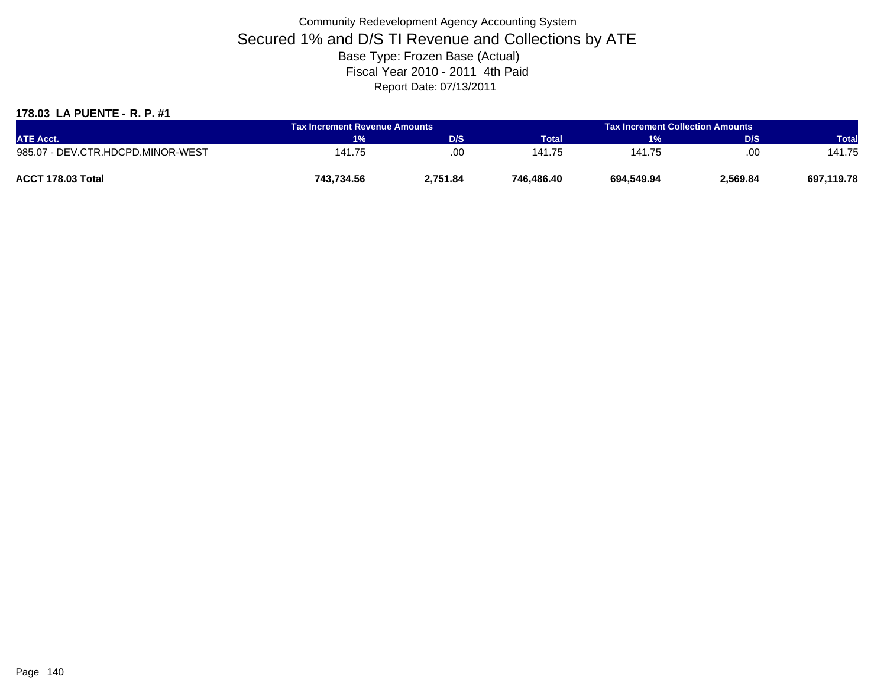### **178.03 LA PUENTE - R. P. #1**

| <b>ATE Acct.</b>                  | <b>Tax Increment Revenue Amounts</b> |          | <b>Tax Increment Collection Amounts</b> |            |          |              |
|-----------------------------------|--------------------------------------|----------|-----------------------------------------|------------|----------|--------------|
|                                   | 1%                                   | D/S      | Total'                                  | 1%         | D/S      | <b>Total</b> |
| 985.07 - DEV.CTR.HDCPD.MINOR-WEST | 141.75                               | .00      | 141.75                                  | 141.75     | .00      | 141.75       |
| ACCT 178.03 Total                 | 743,734.56                           | 2,751.84 | 746.486.40                              | 694.549.94 | 2,569.84 | 697,119.78   |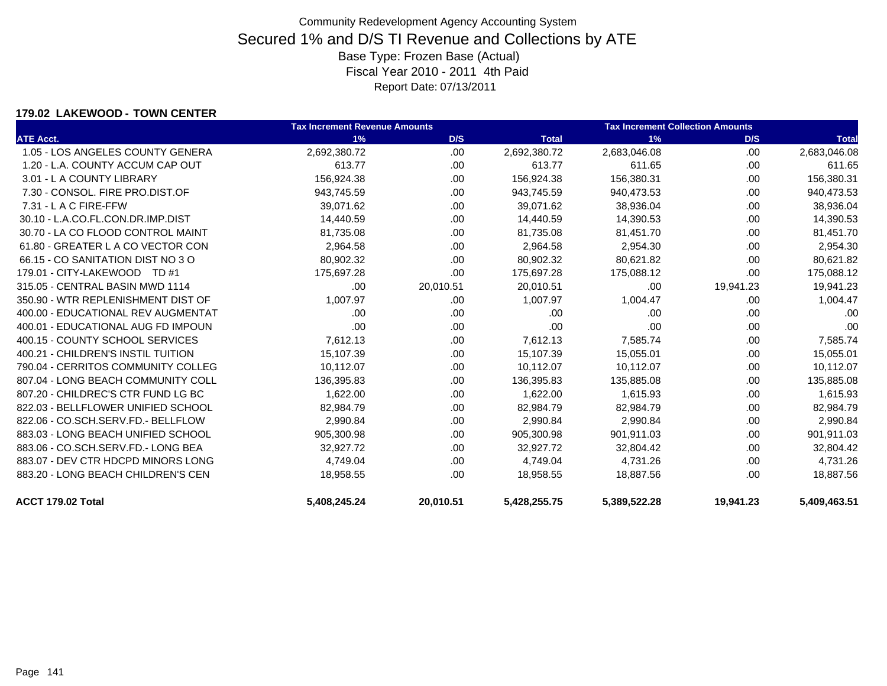#### **179.02 LAKEWOOD - TOWN CENTER**

|                                    | <b>Tax Increment Revenue Amounts</b> |           |              | <b>Tax Increment Collection Amounts</b> |           |              |
|------------------------------------|--------------------------------------|-----------|--------------|-----------------------------------------|-----------|--------------|
| <b>ATE Acct.</b>                   | 1%                                   | D/S       | <b>Total</b> | 1%                                      | D/S       | <b>Total</b> |
| 1.05 - LOS ANGELES COUNTY GENERA   | 2,692,380.72                         | .00.      | 2,692,380.72 | 2,683,046.08                            | .00       | 2,683,046.08 |
| 1.20 - L.A. COUNTY ACCUM CAP OUT   | 613.77                               | .00.      | 613.77       | 611.65                                  | .00       | 611.65       |
| 3.01 - L A COUNTY LIBRARY          | 156,924.38                           | .00       | 156,924.38   | 156,380.31                              | .00       | 156,380.31   |
| 7.30 - CONSOL. FIRE PRO.DIST.OF    | 943,745.59                           | .00       | 943,745.59   | 940,473.53                              | .00       | 940,473.53   |
| $7.31 - L$ A C FIRE-FFW            | 39,071.62                            | .00       | 39,071.62    | 38,936.04                               | .00       | 38,936.04    |
| 30.10 - L.A.CO.FL.CON.DR.IMP.DIST  | 14,440.59                            | .00.      | 14,440.59    | 14,390.53                               | .00       | 14,390.53    |
| 30.70 - LA CO FLOOD CONTROL MAINT  | 81,735.08                            | .00       | 81,735.08    | 81,451.70                               | .00       | 81,451.70    |
| 61.80 - GREATER L A CO VECTOR CON  | 2,964.58                             | .00       | 2,964.58     | 2,954.30                                | .00       | 2,954.30     |
| 66.15 - CO SANITATION DIST NO 3 O  | 80,902.32                            | .00       | 80,902.32    | 80,621.82                               | .00       | 80,621.82    |
| 179.01 - CITY-LAKEWOOD TD #1       | 175,697.28                           | .00       | 175,697.28   | 175,088.12                              | .00       | 175,088.12   |
| 315.05 - CENTRAL BASIN MWD 1114    | .00                                  | 20,010.51 | 20,010.51    | .00                                     | 19,941.23 | 19,941.23    |
| 350.90 - WTR REPLENISHMENT DIST OF | 1,007.97                             | .00       | 1,007.97     | 1,004.47                                | .00       | 1,004.47     |
| 400.00 - EDUCATIONAL REV AUGMENTAT | .00                                  | .00       | .00          | .00                                     | .00       | .00          |
| 400.01 - EDUCATIONAL AUG FD IMPOUN | .00                                  | .00.      | .00          | .00                                     | .00       | .00          |
| 400.15 - COUNTY SCHOOL SERVICES    | 7,612.13                             | .00       | 7,612.13     | 7,585.74                                | .00       | 7,585.74     |
| 400.21 - CHILDREN'S INSTIL TUITION | 15,107.39                            | .00       | 15,107.39    | 15,055.01                               | .00       | 15,055.01    |
| 790.04 - CERRITOS COMMUNITY COLLEG | 10,112.07                            | .00.      | 10,112.07    | 10,112.07                               | .00       | 10,112.07    |
| 807.04 - LONG BEACH COMMUNITY COLL | 136,395.83                           | .00.      | 136,395.83   | 135,885.08                              | .00       | 135,885.08   |
| 807.20 - CHILDREC'S CTR FUND LG BC | 1,622.00                             | .00       | 1.622.00     | 1,615.93                                | .00       | 1,615.93     |
| 822.03 - BELLFLOWER UNIFIED SCHOOL | 82,984.79                            | .00       | 82,984.79    | 82,984.79                               | .00       | 82,984.79    |
| 822.06 - CO.SCH.SERV.FD.- BELLFLOW | 2,990.84                             | .00.      | 2,990.84     | 2,990.84                                | .00       | 2,990.84     |
| 883.03 - LONG BEACH UNIFIED SCHOOL | 905,300.98                           | .00       | 905,300.98   | 901,911.03                              | .00       | 901,911.03   |
| 883.06 - CO.SCH.SERV.FD.- LONG BEA | 32.927.72                            | .00       | 32.927.72    | 32,804.42                               | .00       | 32,804.42    |
| 883.07 - DEV CTR HDCPD MINORS LONG | 4,749.04                             | .00.      | 4,749.04     | 4,731.26                                | .00       | 4,731.26     |
| 883.20 - LONG BEACH CHILDREN'S CEN | 18,958.55                            | .00       | 18,958.55    | 18,887.56                               | .00       | 18,887.56    |
| ACCT 179.02 Total                  | 5,408,245.24                         | 20,010.51 | 5,428,255.75 | 5,389,522.28                            | 19,941.23 | 5,409,463.51 |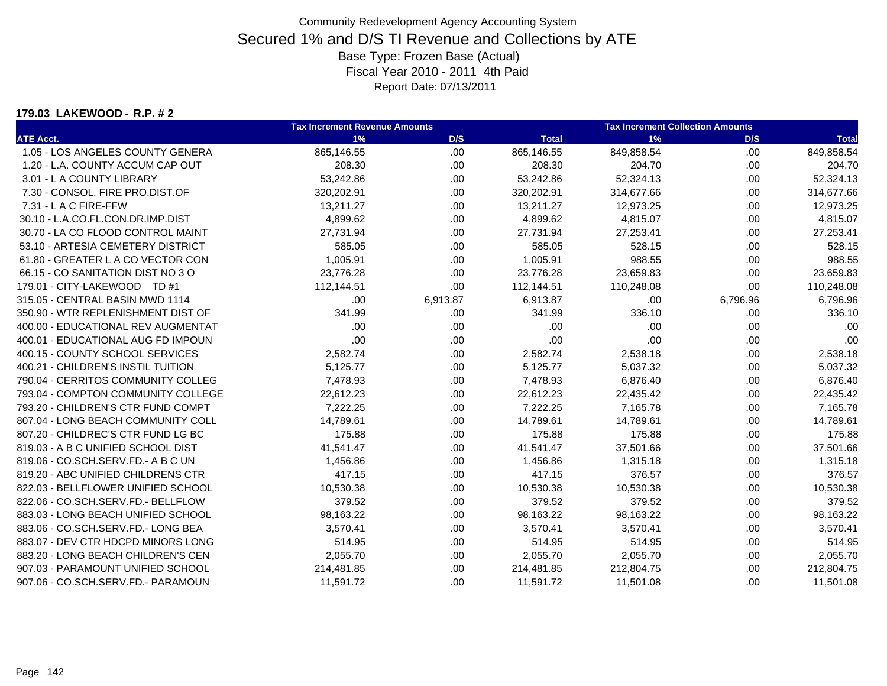#### **179.03 LAKEWOOD - R.P. # 2**

|                                    | <b>Tax Increment Revenue Amounts</b> |          | <b>Tax Increment Collection Amounts</b> |            |          |              |
|------------------------------------|--------------------------------------|----------|-----------------------------------------|------------|----------|--------------|
| <b>ATE Acct.</b>                   | 1%                                   | D/S      | <b>Total</b>                            | 1%         | D/S      | <b>Total</b> |
| 1.05 - LOS ANGELES COUNTY GENERA   | 865,146.55                           | .00.     | 865,146.55                              | 849,858.54 | .00.     | 849,858.54   |
| 1.20 - L.A. COUNTY ACCUM CAP OUT   | 208.30                               | .00.     | 208.30                                  | 204.70     | .00      | 204.70       |
| 3.01 - L A COUNTY LIBRARY          | 53,242.86                            | .00.     | 53,242.86                               | 52,324.13  | .00      | 52,324.13    |
| 7.30 - CONSOL. FIRE PRO.DIST.OF    | 320,202.91                           | .00.     | 320,202.91                              | 314,677.66 | .00      | 314,677.66   |
| 7.31 - L A C FIRE-FFW              | 13,211.27                            | .00      | 13,211.27                               | 12,973.25  | .00      | 12,973.25    |
| 30.10 - L.A.CO.FL.CON.DR.IMP.DIST  | 4,899.62                             | .00.     | 4,899.62                                | 4,815.07   | .00      | 4,815.07     |
| 30.70 - LA CO FLOOD CONTROL MAINT  | 27,731.94                            | .00.     | 27,731.94                               | 27,253.41  | .00      | 27,253.41    |
| 53.10 - ARTESIA CEMETERY DISTRICT  | 585.05                               | .00.     | 585.05                                  | 528.15     | .00      | 528.15       |
| 61.80 - GREATER L A CO VECTOR CON  | 1,005.91                             | .00.     | 1,005.91                                | 988.55     | .00.     | 988.55       |
| 66.15 - CO SANITATION DIST NO 3 O  | 23,776.28                            | .00.     | 23,776.28                               | 23,659.83  | .00      | 23,659.83    |
| 179.01 - CITY-LAKEWOOD TD #1       | 112,144.51                           | .00.     | 112,144.51                              | 110,248.08 | .00.     | 110,248.08   |
| 315.05 - CENTRAL BASIN MWD 1114    | .00                                  | 6,913.87 | 6,913.87                                | .00        | 6,796.96 | 6,796.96     |
| 350.90 - WTR REPLENISHMENT DIST OF | 341.99                               | .00.     | 341.99                                  | 336.10     | .00      | 336.10       |
| 400.00 - EDUCATIONAL REV AUGMENTAT | .00                                  | .00.     | .00                                     | .00        | .00      | .00          |
| 400.01 - EDUCATIONAL AUG FD IMPOUN | .00                                  | .00.     | .00                                     | .00        | .00.     | .00          |
| 400.15 - COUNTY SCHOOL SERVICES    | 2,582.74                             | .00.     | 2,582.74                                | 2,538.18   | .00      | 2,538.18     |
| 400.21 - CHILDREN'S INSTIL TUITION | 5,125.77                             | .00.     | 5,125.77                                | 5,037.32   | .00.     | 5,037.32     |
| 790.04 - CERRITOS COMMUNITY COLLEG | 7,478.93                             | .00.     | 7,478.93                                | 6,876.40   | .00      | 6,876.40     |
| 793.04 - COMPTON COMMUNITY COLLEGE | 22,612.23                            | .00.     | 22,612.23                               | 22,435.42  | .00      | 22,435.42    |
| 793.20 - CHILDREN'S CTR FUND COMPT | 7,222.25                             | .00.     | 7,222.25                                | 7,165.78   | .00      | 7,165.78     |
| 807.04 - LONG BEACH COMMUNITY COLL | 14,789.61                            | .00.     | 14,789.61                               | 14,789.61  | .00      | 14,789.61    |
| 807.20 - CHILDREC'S CTR FUND LG BC | 175.88                               | .00.     | 175.88                                  | 175.88     | .00      | 175.88       |
| 819.03 - A B C UNIFIED SCHOOL DIST | 41,541.47                            | .00.     | 41,541.47                               | 37,501.66  | .00      | 37,501.66    |
| 819.06 - CO.SCH.SERV.FD.- A B C UN | 1,456.86                             | .00.     | 1,456.86                                | 1,315.18   | .00      | 1,315.18     |
| 819.20 - ABC UNIFIED CHILDRENS CTR | 417.15                               | .00.     | 417.15                                  | 376.57     | .00      | 376.57       |
| 822.03 - BELLFLOWER UNIFIED SCHOOL | 10,530.38                            | .00.     | 10,530.38                               | 10,530.38  | .00      | 10,530.38    |
| 822.06 - CO.SCH.SERV.FD.- BELLFLOW | 379.52                               | .00.     | 379.52                                  | 379.52     | .00.     | 379.52       |
| 883.03 - LONG BEACH UNIFIED SCHOOL | 98,163.22                            | .00.     | 98,163.22                               | 98,163.22  | .00.     | 98,163.22    |
| 883.06 - CO.SCH.SERV.FD.- LONG BEA | 3,570.41                             | .00.     | 3,570.41                                | 3,570.41   | .00      | 3,570.41     |
| 883.07 - DEV CTR HDCPD MINORS LONG | 514.95                               | .00.     | 514.95                                  | 514.95     | .00.     | 514.95       |
| 883.20 - LONG BEACH CHILDREN'S CEN | 2,055.70                             | .00.     | 2,055.70                                | 2,055.70   | .00      | 2,055.70     |
| 907.03 - PARAMOUNT UNIFIED SCHOOL  | 214,481.85                           | .00.     | 214,481.85                              | 212,804.75 | .00.     | 212,804.75   |
| 907.06 - CO.SCH.SERV.FD.- PARAMOUN | 11,591.72                            | .00      | 11,591.72                               | 11,501.08  | .00      | 11,501.08    |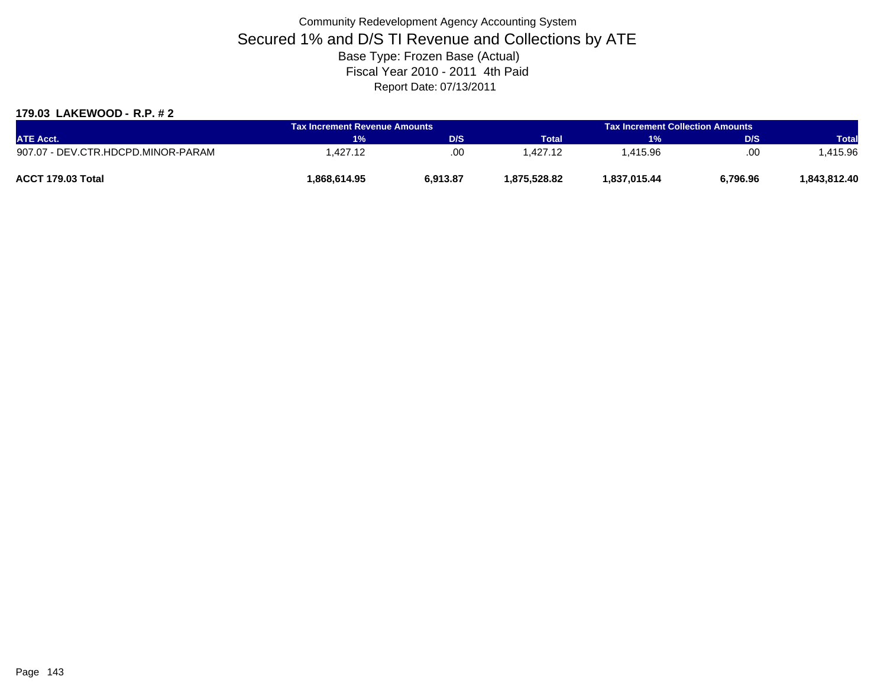### **179.03 LAKEWOOD - R.P. # 2**

| <b>ATE Acct.</b>                   | Tax Increment Revenue Amounts |          |              | <b>Tax Increment Collection Amounts a</b> |          |              |
|------------------------------------|-------------------------------|----------|--------------|-------------------------------------------|----------|--------------|
|                                    | <b>T%</b>                     | D/S      | <b>Total</b> | 1%                                        | D/S      | <b>Total</b> |
| 907.07 - DEV.CTR.HDCPD.MINOR-PARAM | .427.12                       | .00      | .427.12      | 1.415.96                                  | .00      | .415.96      |
| ACCT 179.03 Total                  | 868.614.95                    | 6,913.87 | 1.875.528.82 | 1.837.015.44                              | 6,796.96 | 1.843.812.40 |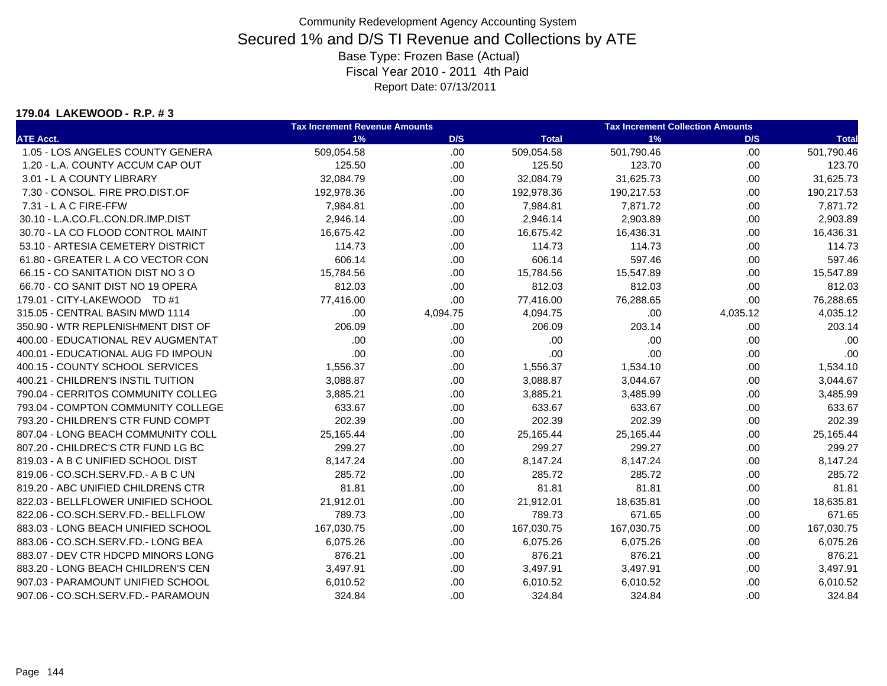#### **179.04 LAKEWOOD - R.P. # 3**

|                                    | <b>Tax Increment Revenue Amounts</b> |          | <b>Tax Increment Collection Amounts</b> |            |          |              |
|------------------------------------|--------------------------------------|----------|-----------------------------------------|------------|----------|--------------|
| <b>ATE Acct.</b>                   | 1%                                   | D/S      | <b>Total</b>                            | 1%         | D/S      | <b>Total</b> |
| 1.05 - LOS ANGELES COUNTY GENERA   | 509,054.58                           | .00.     | 509,054.58                              | 501,790.46 | .00      | 501,790.46   |
| 1.20 - L.A. COUNTY ACCUM CAP OUT   | 125.50                               | .00.     | 125.50                                  | 123.70     | .00      | 123.70       |
| 3.01 - L A COUNTY LIBRARY          | 32,084.79                            | .00.     | 32,084.79                               | 31,625.73  | .00      | 31,625.73    |
| 7.30 - CONSOL. FIRE PRO.DIST.OF    | 192,978.36                           | .00.     | 192,978.36                              | 190,217.53 | .00      | 190,217.53   |
| 7.31 - L A C FIRE-FFW              | 7,984.81                             | .00.     | 7,984.81                                | 7,871.72   | .00.     | 7,871.72     |
| 30.10 - L.A.CO.FL.CON.DR.IMP.DIST  | 2,946.14                             | .00.     | 2,946.14                                | 2,903.89   | .00      | 2,903.89     |
| 30.70 - LA CO FLOOD CONTROL MAINT  | 16,675.42                            | .00.     | 16,675.42                               | 16,436.31  | .00.     | 16,436.31    |
| 53.10 - ARTESIA CEMETERY DISTRICT  | 114.73                               | .00.     | 114.73                                  | 114.73     | .00      | 114.73       |
| 61.80 - GREATER L A CO VECTOR CON  | 606.14                               | .00.     | 606.14                                  | 597.46     | .00.     | 597.46       |
| 66.15 - CO SANITATION DIST NO 3 O  | 15,784.56                            | .00.     | 15,784.56                               | 15,547.89  | .00.     | 15,547.89    |
| 66.70 - CO SANIT DIST NO 19 OPERA  | 812.03                               | .00.     | 812.03                                  | 812.03     | .00      | 812.03       |
| 179.01 - CITY-LAKEWOOD TD #1       | 77,416.00                            | .00.     | 77,416.00                               | 76,288.65  | .00      | 76,288.65    |
| 315.05 - CENTRAL BASIN MWD 1114    | .00                                  | 4,094.75 | 4,094.75                                | .00        | 4,035.12 | 4,035.12     |
| 350.90 - WTR REPLENISHMENT DIST OF | 206.09                               | .00.     | 206.09                                  | 203.14     | .00      | 203.14       |
| 400.00 - EDUCATIONAL REV AUGMENTAT | .00                                  | .00      | .00                                     | .00        | .00.     | .00          |
| 400.01 - EDUCATIONAL AUG FD IMPOUN | .00                                  | .00.     | .00                                     | .00        | .00      | .00          |
| 400.15 - COUNTY SCHOOL SERVICES    | 1,556.37                             | .00.     | 1,556.37                                | 1,534.10   | .00.     | 1,534.10     |
| 400.21 - CHILDREN'S INSTIL TUITION | 3,088.87                             | .00.     | 3,088.87                                | 3,044.67   | .00      | 3,044.67     |
| 790.04 - CERRITOS COMMUNITY COLLEG | 3,885.21                             | .00.     | 3,885.21                                | 3,485.99   | .00.     | 3,485.99     |
| 793.04 - COMPTON COMMUNITY COLLEGE | 633.67                               | .00.     | 633.67                                  | 633.67     | .00.     | 633.67       |
| 793.20 - CHILDREN'S CTR FUND COMPT | 202.39                               | .00.     | 202.39                                  | 202.39     | .00      | 202.39       |
| 807.04 - LONG BEACH COMMUNITY COLL | 25,165.44                            | .00.     | 25,165.44                               | 25,165.44  | .00.     | 25,165.44    |
| 807.20 - CHILDREC'S CTR FUND LG BC | 299.27                               | .00.     | 299.27                                  | 299.27     | .00      | 299.27       |
| 819.03 - A B C UNIFIED SCHOOL DIST | 8,147.24                             | .00.     | 8,147.24                                | 8,147.24   | .00.     | 8,147.24     |
| 819.06 - CO.SCH.SERV.FD.- A B C UN | 285.72                               | .00.     | 285.72                                  | 285.72     | .00.     | 285.72       |
| 819.20 - ABC UNIFIED CHILDRENS CTR | 81.81                                | .00.     | 81.81                                   | 81.81      | .00      | 81.81        |
| 822.03 - BELLFLOWER UNIFIED SCHOOL | 21,912.01                            | .00.     | 21,912.01                               | 18,635.81  | .00.     | 18,635.81    |
| 822.06 - CO.SCH.SERV.FD.- BELLFLOW | 789.73                               | .00.     | 789.73                                  | 671.65     | .00      | 671.65       |
| 883.03 - LONG BEACH UNIFIED SCHOOL | 167,030.75                           | .00.     | 167,030.75                              | 167,030.75 | .00.     | 167,030.75   |
| 883.06 - CO.SCH.SERV.FD.- LONG BEA | 6,075.26                             | .00.     | 6,075.26                                | 6,075.26   | .00.     | 6,075.26     |
| 883.07 - DEV CTR HDCPD MINORS LONG | 876.21                               | .00.     | 876.21                                  | 876.21     | .00      | 876.21       |
| 883.20 - LONG BEACH CHILDREN'S CEN | 3,497.91                             | .00.     | 3,497.91                                | 3,497.91   | .00.     | 3,497.91     |
| 907.03 - PARAMOUNT UNIFIED SCHOOL  | 6,010.52                             | .00.     | 6,010.52                                | 6,010.52   | .00      | 6,010.52     |
| 907.06 - CO.SCH.SERV.FD.- PARAMOUN | 324.84                               | .00      | 324.84                                  | 324.84     | .00      | 324.84       |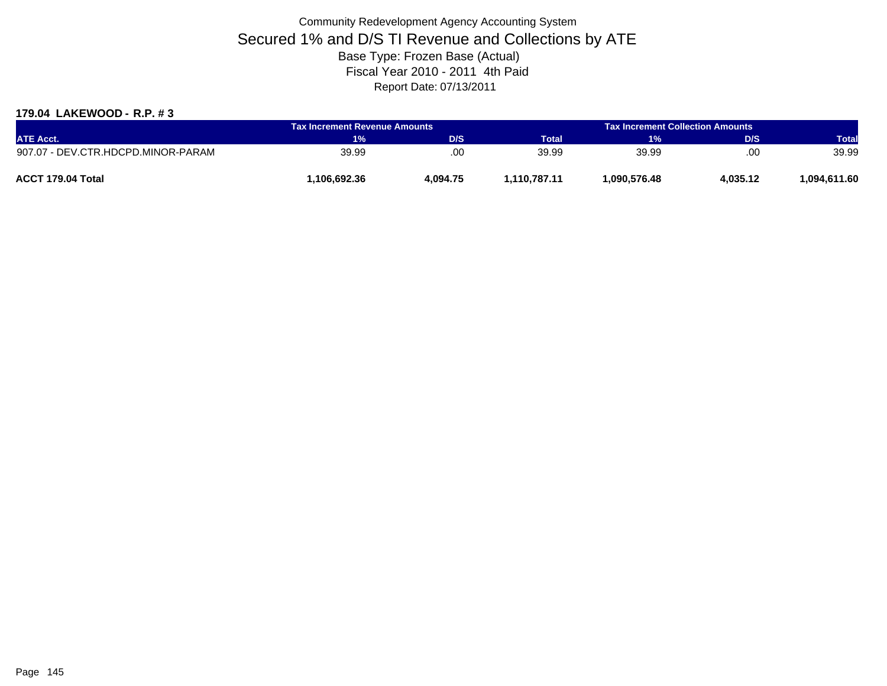### **179.04 LAKEWOOD - R.P. # 3**

| <b>ATE Acct.</b>                   | <b>Tax Increment Revenue Amounts</b> |          |              | <b>Tax Increment Collection Amounts</b> |          |              |
|------------------------------------|--------------------------------------|----------|--------------|-----------------------------------------|----------|--------------|
|                                    | 1%                                   | D/S      | <b>Total</b> | 1%                                      | D/S      | <b>Total</b> |
| 907.07 - DEV.CTR.HDCPD.MINOR-PARAM | 39.99                                | .00      | 39.99        | 39.99                                   | .00      | 39.99        |
| ACCT 179.04 Total                  | .106.692.36                          | 4,094.75 | .110.787.11  | 1.090.576.48                            | 4,035.12 | 1.094.611.60 |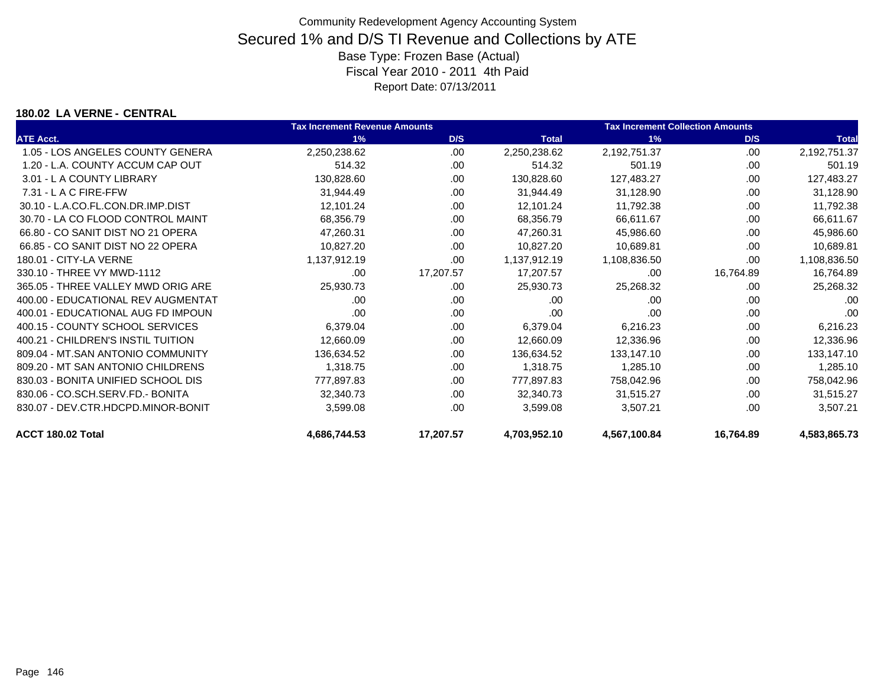### **180.02 LA VERNE - CENTRAL**

|                                    | <b>Tax Increment Revenue Amounts</b> |           |              | <b>Tax Increment Collection Amounts</b> |           |              |
|------------------------------------|--------------------------------------|-----------|--------------|-----------------------------------------|-----------|--------------|
| <b>ATE Acct.</b>                   | 1%                                   | D/S       | <b>Total</b> | 1%                                      | D/S       | <b>Total</b> |
| 1.05 - LOS ANGELES COUNTY GENERA   | 2,250,238.62                         | .00.      | 2,250,238.62 | 2,192,751.37                            | .00       | 2,192,751.37 |
| 1.20 - L.A. COUNTY ACCUM CAP OUT   | 514.32                               | .00       | 514.32       | 501.19                                  | .00       | 501.19       |
| 3.01 - L A COUNTY LIBRARY          | 130,828.60                           | .00.      | 130,828.60   | 127,483.27                              | .00       | 127,483.27   |
| $7.31 - L$ A C FIRE-FFW            | 31,944.49                            | .00       | 31,944.49    | 31,128.90                               | .00       | 31,128.90    |
| 30.10 - L.A.CO.FL.CON.DR.IMP.DIST  | 12,101.24                            | .00.      | 12,101.24    | 11,792.38                               | .00       | 11,792.38    |
| 30.70 - LA CO FLOOD CONTROL MAINT  | 68,356.79                            | .00       | 68,356.79    | 66,611.67                               | .00       | 66,611.67    |
| 66.80 - CO SANIT DIST NO 21 OPERA  | 47,260.31                            | .00       | 47,260.31    | 45,986.60                               | .00       | 45,986.60    |
| 66.85 - CO SANIT DIST NO 22 OPERA  | 10,827.20                            | .00       | 10,827.20    | 10,689.81                               | .00       | 10,689.81    |
| 180.01 - CITY-LA VERNE             | 1,137,912.19                         | .00       | 1,137,912.19 | 1,108,836.50                            | .00       | 1,108,836.50 |
| 330.10 - THREE VY MWD-1112         | .00                                  | 17,207.57 | 17,207.57    | .00                                     | 16,764.89 | 16,764.89    |
| 365.05 - THREE VALLEY MWD ORIG ARE | 25,930.73                            | .00       | 25,930.73    | 25,268.32                               | .00       | 25,268.32    |
| 400.00 - EDUCATIONAL REV AUGMENTAT | .00                                  | .00       | .00          | .00                                     | .00       | .00          |
| 400.01 - EDUCATIONAL AUG FD IMPOUN | .00                                  | .00.      | .00          | .00                                     | .00       | .00          |
| 400.15 - COUNTY SCHOOL SERVICES    | 6,379.04                             | .00       | 6,379.04     | 6,216.23                                | .00       | 6,216.23     |
| 400.21 - CHILDREN'S INSTIL TUITION | 12,660.09                            | .00       | 12,660.09    | 12,336.96                               | .00       | 12,336.96    |
| 809.04 - MT.SAN ANTONIO COMMUNITY  | 136,634.52                           | .00       | 136,634.52   | 133,147.10                              | .00       | 133,147.10   |
| 809.20 - MT SAN ANTONIO CHILDRENS  | 1,318.75                             | .00       | 1,318.75     | 1,285.10                                | .00       | 1,285.10     |
| 830.03 - BONITA UNIFIED SCHOOL DIS | 777,897.83                           | .00       | 777,897.83   | 758,042.96                              | .00       | 758,042.96   |
| 830.06 - CO.SCH.SERV.FD.- BONITA   | 32,340.73                            | .00.      | 32,340.73    | 31,515.27                               | .00       | 31,515.27    |
| 830.07 - DEV.CTR.HDCPD.MINOR-BONIT | 3,599.08                             | .00       | 3,599.08     | 3,507.21                                | .00       | 3,507.21     |
| ACCT 180.02 Total                  | 4,686,744.53                         | 17,207.57 | 4,703,952.10 | 4,567,100.84                            | 16,764.89 | 4,583,865.73 |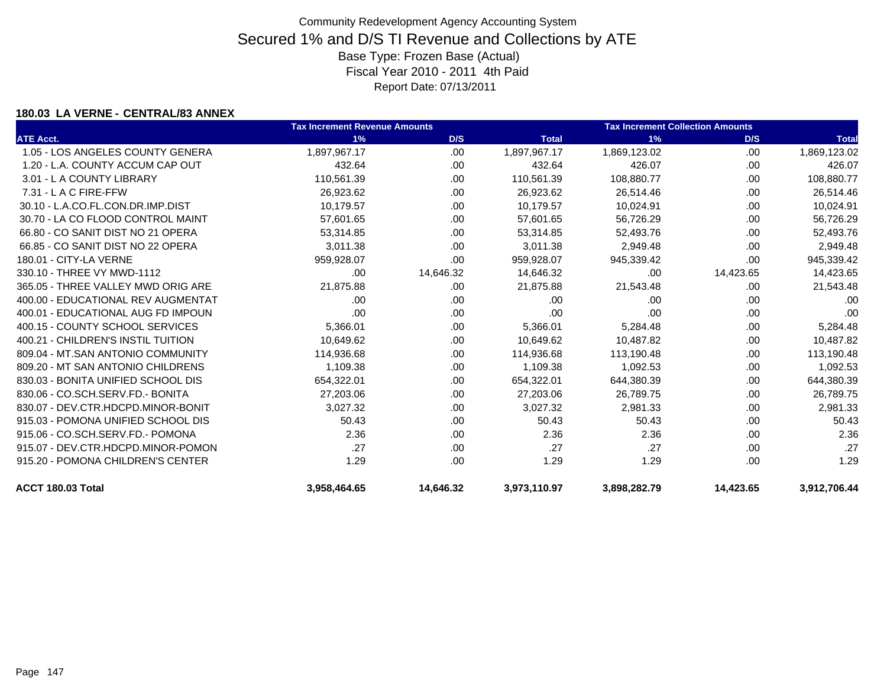### **180.03 LA VERNE - CENTRAL/83 ANNEX**

|                                    | <b>Tax Increment Revenue Amounts</b> |           |              | <b>Tax Increment Collection Amounts</b> |           |              |
|------------------------------------|--------------------------------------|-----------|--------------|-----------------------------------------|-----------|--------------|
| <b>ATE Acct.</b>                   | 1%                                   | D/S       | <b>Total</b> | 1%                                      | D/S       | <b>Total</b> |
| 1.05 - LOS ANGELES COUNTY GENERA   | 1,897,967.17                         | .00.      | 1,897,967.17 | 1,869,123.02                            | .00       | 1,869,123.02 |
| 1.20 - L.A. COUNTY ACCUM CAP OUT   | 432.64                               | .00.      | 432.64       | 426.07                                  | .00.      | 426.07       |
| 3.01 - L A COUNTY LIBRARY          | 110,561.39                           | .00.      | 110,561.39   | 108,880.77                              | .00       | 108,880.77   |
| $7.31 - L$ A C FIRE-FFW            | 26,923.62                            | .00.      | 26,923.62    | 26,514.46                               | .00       | 26,514.46    |
| 30.10 - L.A.CO.FL.CON.DR.IMP.DIST  | 10,179.57                            | .00.      | 10,179.57    | 10,024.91                               | .00       | 10,024.91    |
| 30.70 - LA CO FLOOD CONTROL MAINT  | 57,601.65                            | .00.      | 57,601.65    | 56,726.29                               | .00       | 56,726.29    |
| 66.80 - CO SANIT DIST NO 21 OPERA  | 53.314.85                            | .00       | 53.314.85    | 52,493.76                               | .00       | 52,493.76    |
| 66.85 - CO SANIT DIST NO 22 OPERA  | 3.011.38                             | .00       | 3,011.38     | 2,949.48                                | .00       | 2,949.48     |
| 180.01 - CITY-LA VERNE             | 959,928.07                           | .00.      | 959,928.07   | 945,339.42                              | .00.      | 945,339.42   |
| 330.10 - THREE VY MWD-1112         | .00                                  | 14,646.32 | 14,646.32    | .00                                     | 14,423.65 | 14,423.65    |
| 365.05 - THREE VALLEY MWD ORIG ARE | 21,875.88                            | .00.      | 21,875.88    | 21,543.48                               | .00       | 21,543.48    |
| 400.00 - EDUCATIONAL REV AUGMENTAT | .00                                  | .00       | .00          | .00                                     | .00       | .00          |
| 400.01 - EDUCATIONAL AUG FD IMPOUN | .00                                  | .00.      | .00          | .00                                     | .00       | .00          |
| 400.15 - COUNTY SCHOOL SERVICES    | 5,366.01                             | .00       | 5,366.01     | 5,284.48                                | .00       | 5,284.48     |
| 400.21 - CHILDREN'S INSTIL TUITION | 10,649.62                            | .00       | 10,649.62    | 10,487.82                               | .00       | 10,487.82    |
| 809.04 - MT.SAN ANTONIO COMMUNITY  | 114,936.68                           | .00.      | 114,936.68   | 113,190.48                              | .00       | 113,190.48   |
| 809.20 - MT SAN ANTONIO CHILDRENS  | 1,109.38                             | .00.      | 1,109.38     | 1,092.53                                | .00       | 1,092.53     |
| 830.03 - BONITA UNIFIED SCHOOL DIS | 654,322.01                           | .00.      | 654,322.01   | 644,380.39                              | .00       | 644,380.39   |
| 830.06 - CO.SCH.SERV.FD.- BONITA   | 27,203.06                            | .00.      | 27,203.06    | 26,789.75                               | .00       | 26,789.75    |
| 830.07 - DEV.CTR.HDCPD.MINOR-BONIT | 3,027.32                             | .00.      | 3,027.32     | 2,981.33                                | .00       | 2,981.33     |
| 915.03 - POMONA UNIFIED SCHOOL DIS | 50.43                                | .00       | 50.43        | 50.43                                   | .00       | 50.43        |
| 915.06 - CO.SCH.SERV.FD.- POMONA   | 2.36                                 | .00.      | 2.36         | 2.36                                    | .00       | 2.36         |
| 915.07 - DEV.CTR.HDCPD.MINOR-POMON | .27                                  | .00       | .27          | .27                                     | .00       | .27          |
| 915.20 - POMONA CHILDREN'S CENTER  | 1.29                                 | .00       | 1.29         | 1.29                                    | .00       | 1.29         |
| ACCT 180.03 Total                  | 3,958,464.65                         | 14,646.32 | 3,973,110.97 | 3,898,282.79                            | 14,423.65 | 3,912,706.44 |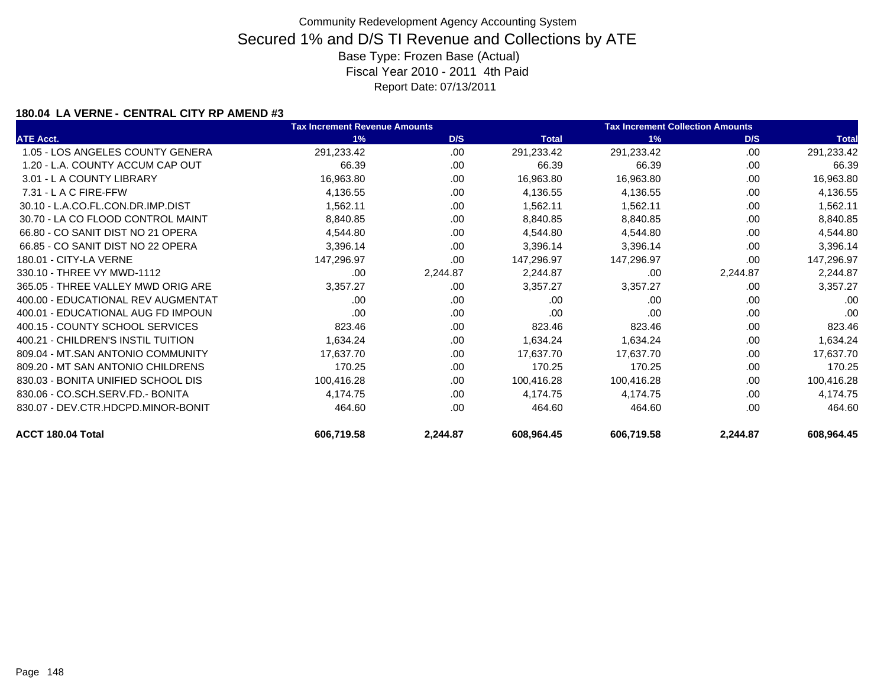### **180.04 LA VERNE - CENTRAL CITY RP AMEND #3**

|                                    | <b>Tax Increment Revenue Amounts</b> |          |              | <b>Tax Increment Collection Amounts</b> |          |              |  |
|------------------------------------|--------------------------------------|----------|--------------|-----------------------------------------|----------|--------------|--|
| <b>ATE Acct.</b>                   | 1%                                   | D/S      | <b>Total</b> | 1%                                      | D/S      | <b>Total</b> |  |
| 1.05 - LOS ANGELES COUNTY GENERA   | 291,233.42                           | .00      | 291,233.42   | 291,233.42                              | .00      | 291,233.42   |  |
| 1.20 - L.A. COUNTY ACCUM CAP OUT   | 66.39                                | .00      | 66.39        | 66.39                                   | .00      | 66.39        |  |
| 3.01 - L A COUNTY LIBRARY          | 16,963.80                            | .00      | 16,963.80    | 16,963.80                               | .00      | 16,963.80    |  |
| $7.31 - L$ A C FIRE-FFW            | 4,136.55                             | .00      | 4,136.55     | 4,136.55                                | .00      | 4,136.55     |  |
| 30.10 - L.A.CO.FL.CON.DR.IMP.DIST  | 1,562.11                             | .00      | 1,562.11     | 1,562.11                                | .00      | 1,562.11     |  |
| 30.70 - LA CO FLOOD CONTROL MAINT  | 8,840.85                             | .00      | 8,840.85     | 8,840.85                                | .00      | 8,840.85     |  |
| 66.80 - CO SANIT DIST NO 21 OPERA  | 4,544.80                             | .00      | 4,544.80     | 4,544.80                                | .00      | 4,544.80     |  |
| 66.85 - CO SANIT DIST NO 22 OPERA  | 3,396.14                             | .00      | 3,396.14     | 3,396.14                                | .00      | 3,396.14     |  |
| 180.01 - CITY-LA VERNE             | 147,296.97                           | .00      | 147,296.97   | 147,296.97                              | .00      | 147,296.97   |  |
| 330.10 - THREE VY MWD-1112         | .00                                  | 2,244.87 | 2,244.87     | .00                                     | 2,244.87 | 2,244.87     |  |
| 365.05 - THREE VALLEY MWD ORIG ARE | 3,357.27                             | .00      | 3,357.27     | 3,357.27                                | .00      | 3,357.27     |  |
| 400.00 - EDUCATIONAL REV AUGMENTAT | .00.                                 | .00      | .00          | .00.                                    | .00      | .00          |  |
| 400.01 - EDUCATIONAL AUG FD IMPOUN | .00                                  | .00      | .00          | .00                                     | .00      | .00          |  |
| 400.15 - COUNTY SCHOOL SERVICES    | 823.46                               | .00      | 823.46       | 823.46                                  | .00      | 823.46       |  |
| 400.21 - CHILDREN'S INSTIL TUITION | 1,634.24                             | .00      | 1,634.24     | 1,634.24                                | .00      | 1,634.24     |  |
| 809.04 - MT.SAN ANTONIO COMMUNITY  | 17,637.70                            | .00      | 17,637.70    | 17,637.70                               | .00      | 17,637.70    |  |
| 809.20 - MT SAN ANTONIO CHILDRENS  | 170.25                               | .00.     | 170.25       | 170.25                                  | .00      | 170.25       |  |
| 830.03 - BONITA UNIFIED SCHOOL DIS | 100,416.28                           | .00      | 100,416.28   | 100,416.28                              | .00      | 100,416.28   |  |
| 830.06 - CO.SCH.SERV.FD.- BONITA   | 4,174.75                             | .00.     | 4,174.75     | 4,174.75                                | .00      | 4,174.75     |  |
| 830.07 - DEV.CTR.HDCPD.MINOR-BONIT | 464.60                               | .00      | 464.60       | 464.60                                  | .00      | 464.60       |  |
| ACCT 180.04 Total                  | 606,719.58                           | 2,244.87 | 608,964.45   | 606,719.58                              | 2,244.87 | 608,964.45   |  |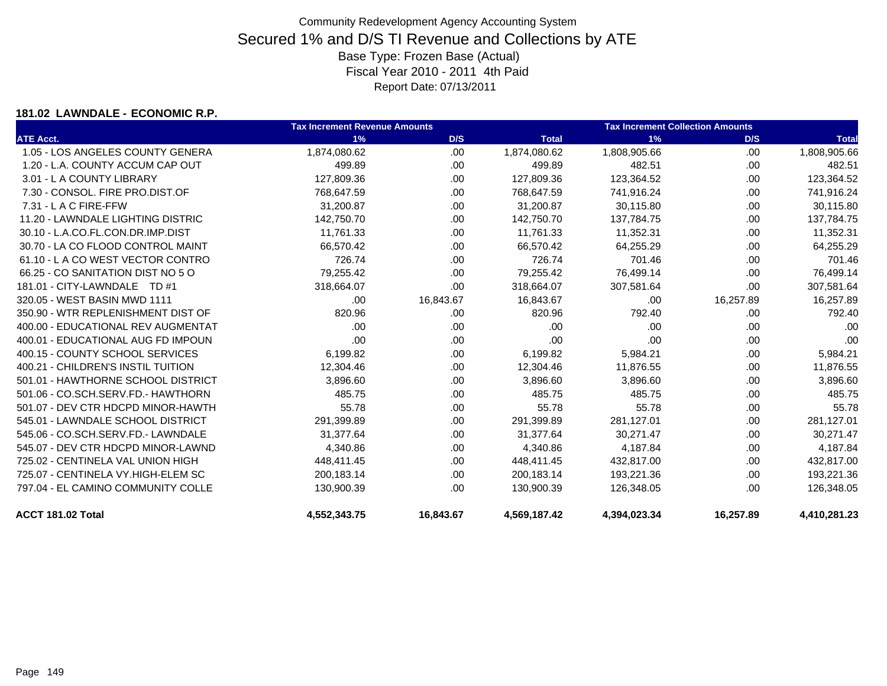### **181.02 LAWNDALE - ECONOMIC R.P.**

|                                    | <b>Tax Increment Revenue Amounts</b> |           |              | <b>Tax Increment Collection Amounts</b> |           |              |  |
|------------------------------------|--------------------------------------|-----------|--------------|-----------------------------------------|-----------|--------------|--|
| <b>ATE Acct.</b>                   | 1%                                   | D/S       | <b>Total</b> | 1%                                      | D/S       | <b>Total</b> |  |
| 1.05 - LOS ANGELES COUNTY GENERA   | 1,874,080.62                         | .00       | 1,874,080.62 | 1,808,905.66                            | .00       | 1,808,905.66 |  |
| 1.20 - L.A. COUNTY ACCUM CAP OUT   | 499.89                               | .00       | 499.89       | 482.51                                  | .00.      | 482.51       |  |
| 3.01 - L A COUNTY LIBRARY          | 127,809.36                           | .00       | 127,809.36   | 123,364.52                              | .00.      | 123,364.52   |  |
| 7.30 - CONSOL, FIRE PRO.DIST.OF    | 768,647.59                           | .00       | 768,647.59   | 741,916.24                              | .00       | 741,916.24   |  |
| 7.31 - L A C FIRE-FFW              | 31,200.87                            | .00       | 31,200.87    | 30,115.80                               | .00.      | 30,115.80    |  |
| 11.20 - LAWNDALE LIGHTING DISTRIC  | 142,750.70                           | .00       | 142,750.70   | 137,784.75                              | .00.      | 137,784.75   |  |
| 30.10 - L.A.CO.FL.CON.DR.IMP.DIST  | 11,761.33                            | .00       | 11,761.33    | 11,352.31                               | .00       | 11,352.31    |  |
| 30.70 - LA CO FLOOD CONTROL MAINT  | 66,570.42                            | .00       | 66,570.42    | 64,255.29                               | .00       | 64,255.29    |  |
| 61.10 - LA CO WEST VECTOR CONTRO   | 726.74                               | .00       | 726.74       | 701.46                                  | .00       | 701.46       |  |
| 66.25 - CO SANITATION DIST NO 5 O  | 79,255.42                            | .00       | 79,255.42    | 76,499.14                               | .00       | 76,499.14    |  |
| 181.01 - CITY-LAWNDALE TD #1       | 318,664.07                           | .00       | 318,664.07   | 307,581.64                              | .00       | 307,581.64   |  |
| 320.05 - WEST BASIN MWD 1111       | .00                                  | 16,843.67 | 16,843.67    | .00                                     | 16,257.89 | 16,257.89    |  |
| 350.90 - WTR REPLENISHMENT DIST OF | 820.96                               | .00       | 820.96       | 792.40                                  | .00       | 792.40       |  |
| 400.00 - EDUCATIONAL REV AUGMENTAT | .00.                                 | .00       | .00          | .00                                     | .00       | .00          |  |
| 400.01 - EDUCATIONAL AUG FD IMPOUN | .00                                  | .00       | .00          | .00                                     | .00.      | .00          |  |
| 400.15 - COUNTY SCHOOL SERVICES    | 6,199.82                             | .00       | 6,199.82     | 5,984.21                                | .00       | 5,984.21     |  |
| 400.21 - CHILDREN'S INSTIL TUITION | 12,304.46                            | .00       | 12,304.46    | 11,876.55                               | .00.      | 11,876.55    |  |
| 501.01 - HAWTHORNE SCHOOL DISTRICT | 3,896.60                             | .00       | 3,896.60     | 3,896.60                                | .00.      | 3,896.60     |  |
| 501.06 - CO.SCH.SERV.FD.- HAWTHORN | 485.75                               | .00       | 485.75       | 485.75                                  | .00.      | 485.75       |  |
| 501.07 - DEV CTR HDCPD MINOR-HAWTH | 55.78                                | .00       | 55.78        | 55.78                                   | .00.      | 55.78        |  |
| 545.01 - LAWNDALE SCHOOL DISTRICT  | 291,399.89                           | .00       | 291,399.89   | 281,127.01                              | .00.      | 281,127.01   |  |
| 545.06 - CO.SCH.SERV.FD.- LAWNDALE | 31,377.64                            | .00       | 31,377.64    | 30,271.47                               | .00.      | 30,271.47    |  |
| 545.07 - DEV CTR HDCPD MINOR-LAWND | 4,340.86                             | .00       | 4,340.86     | 4,187.84                                | .00.      | 4,187.84     |  |
| 725.02 - CENTINELA VAL UNION HIGH  | 448.411.45                           | .00       | 448,411.45   | 432,817.00                              | .00       | 432,817.00   |  |
| 725.07 - CENTINELA VY.HIGH-ELEM SC | 200,183.14                           | .00       | 200,183.14   | 193,221.36                              | .00       | 193,221.36   |  |
| 797.04 - EL CAMINO COMMUNITY COLLE | 130,900.39                           | .00       | 130,900.39   | 126,348.05                              | .00       | 126,348.05   |  |
| ACCT 181.02 Total                  | 4,552,343.75                         | 16,843.67 | 4,569,187.42 | 4,394,023.34                            | 16,257.89 | 4,410,281.23 |  |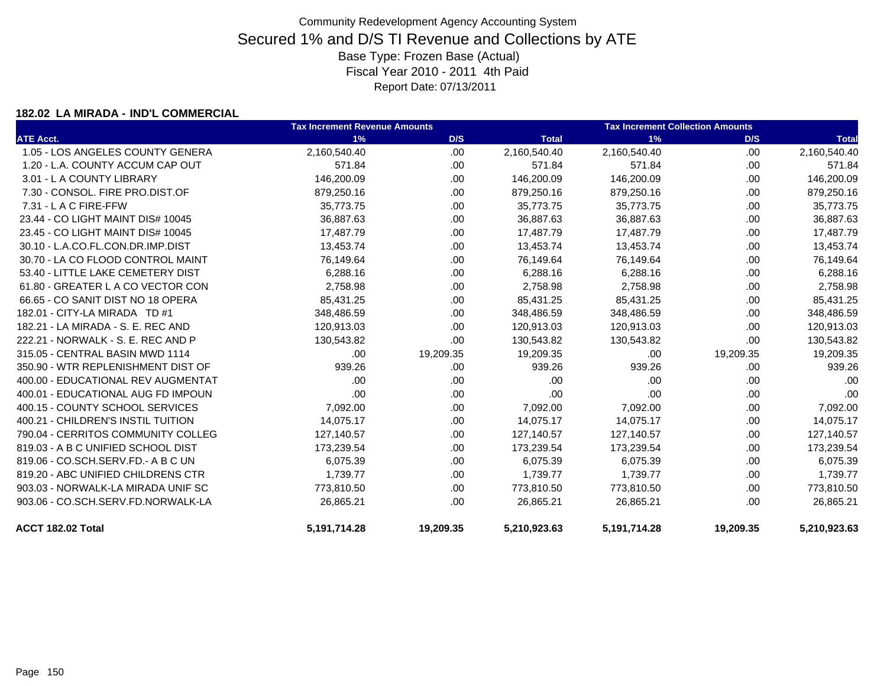### **182.02 LA MIRADA - IND'L COMMERCIAL**

|                                    | <b>Tax Increment Revenue Amounts</b> |           | <b>Tax Increment Collection Amounts</b> |              |           |              |
|------------------------------------|--------------------------------------|-----------|-----------------------------------------|--------------|-----------|--------------|
| <b>ATE Acct.</b>                   | 1%                                   | D/S       | <b>Total</b>                            | 1%           | D/S       | <b>Total</b> |
| 1.05 - LOS ANGELES COUNTY GENERA   | 2,160,540.40                         | .00       | 2,160,540.40                            | 2,160,540.40 | .00       | 2,160,540.40 |
| 1.20 - L.A. COUNTY ACCUM CAP OUT   | 571.84                               | .00       | 571.84                                  | 571.84       | .00       | 571.84       |
| 3.01 - L A COUNTY LIBRARY          | 146,200.09                           | .00       | 146,200.09                              | 146,200.09   | .00       | 146,200.09   |
| 7.30 - CONSOL, FIRE PRO.DIST.OF    | 879,250.16                           | .00       | 879,250.16                              | 879,250.16   | .00       | 879,250.16   |
| $7.31 - L$ A C FIRE-FFW            | 35,773.75                            | .00.      | 35,773.75                               | 35,773.75    | .00.      | 35,773.75    |
| 23.44 - CO LIGHT MAINT DIS# 10045  | 36,887.63                            | .00       | 36,887.63                               | 36,887.63    | .00       | 36,887.63    |
| 23.45 - CO LIGHT MAINT DIS# 10045  | 17,487.79                            | .00       | 17,487.79                               | 17,487.79    | .00       | 17,487.79    |
| 30.10 - L.A.CO.FL.CON.DR.IMP.DIST  | 13,453.74                            | .00       | 13,453.74                               | 13,453.74    | .00       | 13,453.74    |
| 30.70 - LA CO FLOOD CONTROL MAINT  | 76,149.64                            | .00       | 76,149.64                               | 76,149.64    | .00       | 76,149.64    |
| 53.40 - LITTLE LAKE CEMETERY DIST  | 6,288.16                             | .00.      | 6,288.16                                | 6,288.16     | .00       | 6,288.16     |
| 61.80 - GREATER L A CO VECTOR CON  | 2,758.98                             | .00       | 2,758.98                                | 2,758.98     | .00       | 2,758.98     |
| 66.65 - CO SANIT DIST NO 18 OPERA  | 85,431.25                            | .00       | 85,431.25                               | 85,431.25    | .00       | 85,431.25    |
| 182.01 - CITY-LA MIRADA TD #1      | 348,486.59                           | .00       | 348,486.59                              | 348,486.59   | .00       | 348,486.59   |
| 182.21 - LA MIRADA - S. E. REC AND | 120,913.03                           | .00       | 120,913.03                              | 120,913.03   | .00       | 120,913.03   |
| 222.21 - NORWALK - S. E. REC AND P | 130,543.82                           | .00       | 130,543.82                              | 130,543.82   | .00.      | 130,543.82   |
| 315.05 - CENTRAL BASIN MWD 1114    | .00.                                 | 19,209.35 | 19,209.35                               | .00          | 19,209.35 | 19,209.35    |
| 350.90 - WTR REPLENISHMENT DIST OF | 939.26                               | .00       | 939.26                                  | 939.26       | .00       | 939.26       |
| 400.00 - EDUCATIONAL REV AUGMENTAT | .00                                  | .00       | .00                                     | .00.         | .00.      | .00          |
| 400.01 - EDUCATIONAL AUG FD IMPOUN | .00                                  | .00       | .00                                     | .00          | .00       | .00          |
| 400.15 - COUNTY SCHOOL SERVICES    | 7,092.00                             | .00.      | 7,092.00                                | 7,092.00     | .00       | 7,092.00     |
| 400.21 - CHILDREN'S INSTIL TUITION | 14,075.17                            | .00       | 14,075.17                               | 14,075.17    | .00       | 14,075.17    |
| 790.04 - CERRITOS COMMUNITY COLLEG | 127,140.57                           | .00       | 127,140.57                              | 127,140.57   | .00       | 127,140.57   |
| 819.03 - A B C UNIFIED SCHOOL DIST | 173,239.54                           | .00       | 173,239.54                              | 173,239.54   | .00       | 173,239.54   |
| 819.06 - CO.SCH.SERV.FD.- A B C UN | 6,075.39                             | .00       | 6,075.39                                | 6,075.39     | .00       | 6,075.39     |
| 819.20 - ABC UNIFIED CHILDRENS CTR | 1,739.77                             | .00       | 1,739.77                                | 1,739.77     | .00       | 1,739.77     |
| 903.03 - NORWALK-LA MIRADA UNIF SC | 773,810.50                           | .00       | 773,810.50                              | 773,810.50   | .00       | 773,810.50   |
| 903.06 - CO.SCH.SERV.FD.NORWALK-LA | 26,865.21                            | .00       | 26,865.21                               | 26,865.21    | .00       | 26,865.21    |
| ACCT 182.02 Total                  | 5,191,714.28                         | 19,209.35 | 5,210,923.63                            | 5,191,714.28 | 19,209.35 | 5,210,923.63 |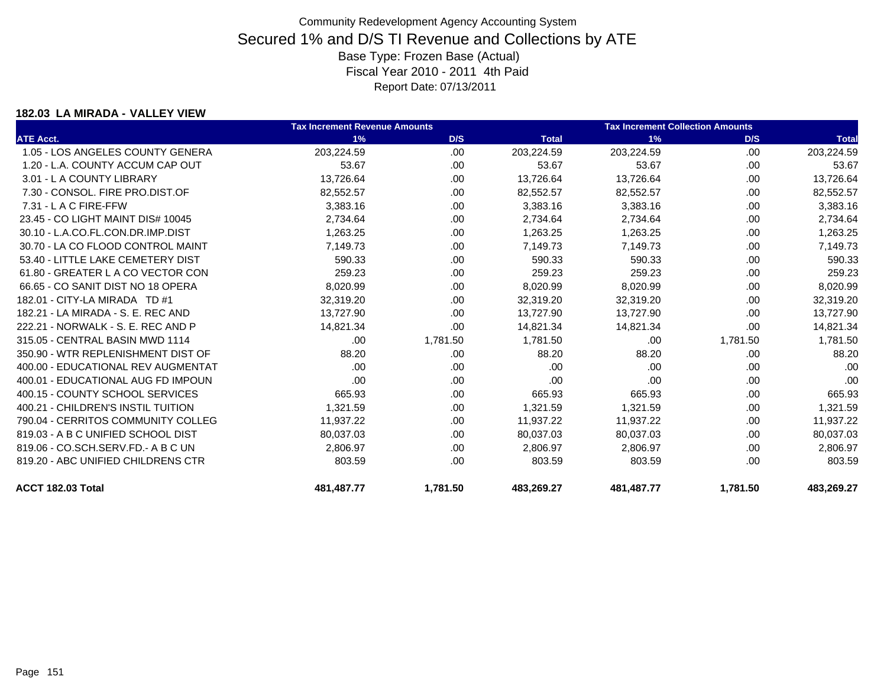### **182.03 LA MIRADA - VALLEY VIEW**

|                                    | <b>Tax Increment Revenue Amounts</b> |          |              | <b>Tax Increment Collection Amounts</b> |          |              |
|------------------------------------|--------------------------------------|----------|--------------|-----------------------------------------|----------|--------------|
| <b>ATE Acct.</b>                   | 1%                                   | D/S      | <b>Total</b> | 1%                                      | D/S      | <b>Total</b> |
| 1.05 - LOS ANGELES COUNTY GENERA   | 203,224.59                           | .00      | 203,224.59   | 203,224.59                              | .00.     | 203,224.59   |
| 1.20 - L.A. COUNTY ACCUM CAP OUT   | 53.67                                | .00      | 53.67        | 53.67                                   | .00.     | 53.67        |
| 3.01 - L A COUNTY LIBRARY          | 13,726.64                            | .00.     | 13,726.64    | 13,726.64                               | .00      | 13,726.64    |
| 7.30 - CONSOL. FIRE PRO.DIST.OF    | 82,552.57                            | .00      | 82,552.57    | 82,552.57                               | .00      | 82,552.57    |
| 7.31 - L A C FIRE-FFW              | 3,383.16                             | .00      | 3,383.16     | 3,383.16                                | .00      | 3,383.16     |
| 23.45 - CO LIGHT MAINT DIS# 10045  | 2,734.64                             | .00.     | 2,734.64     | 2,734.64                                | .00      | 2,734.64     |
| 30.10 - L.A.CO.FL.CON.DR.IMP.DIST  | 1,263.25                             | .00      | 1,263.25     | 1,263.25                                | .00.     | 1,263.25     |
| 30.70 - LA CO FLOOD CONTROL MAINT  | 7,149.73                             | .00      | 7,149.73     | 7,149.73                                | .00.     | 7,149.73     |
| 53.40 - LITTLE LAKE CEMETERY DIST  | 590.33                               | .00      | 590.33       | 590.33                                  | .00.     | 590.33       |
| 61.80 - GREATER L A CO VECTOR CON  | 259.23                               | .00      | 259.23       | 259.23                                  | .00      | 259.23       |
| 66.65 - CO SANIT DIST NO 18 OPERA  | 8,020.99                             | .00.     | 8,020.99     | 8,020.99                                | .00.     | 8,020.99     |
| 182.01 - CITY-LA MIRADA TD #1      | 32,319.20                            | .00      | 32,319.20    | 32,319.20                               | .00      | 32,319.20    |
| 182.21 - LA MIRADA - S. E. REC AND | 13,727.90                            | .00.     | 13,727.90    | 13,727.90                               | .00      | 13,727.90    |
| 222.21 - NORWALK - S. E. REC AND P | 14,821.34                            | .00      | 14,821.34    | 14,821.34                               | .00      | 14,821.34    |
| 315.05 - CENTRAL BASIN MWD 1114    | .00.                                 | 1,781.50 | 1,781.50     | .00                                     | 1,781.50 | 1,781.50     |
| 350.90 - WTR REPLENISHMENT DIST OF | 88.20                                | .00      | 88.20        | 88.20                                   | .00      | 88.20        |
| 400.00 - EDUCATIONAL REV AUGMENTAT | .00                                  | .00      | .00          | .00                                     | .00      | .00          |
| 400.01 - EDUCATIONAL AUG FD IMPOUN | .00.                                 | .00.     | .00          | .00                                     | .00      | .00          |
| 400.15 - COUNTY SCHOOL SERVICES    | 665.93                               | .00      | 665.93       | 665.93                                  | .00      | 665.93       |
| 400.21 - CHILDREN'S INSTIL TUITION | 1,321.59                             | .00      | 1,321.59     | 1,321.59                                | .00      | 1,321.59     |
| 790.04 - CERRITOS COMMUNITY COLLEG | 11,937.22                            | .00.     | 11,937.22    | 11,937.22                               | .00      | 11,937.22    |
| 819.03 - A B C UNIFIED SCHOOL DIST | 80,037.03                            | .00      | 80,037.03    | 80,037.03                               | .00      | 80,037.03    |
| 819.06 - CO.SCH.SERV.FD.- A B C UN | 2.806.97                             | .00      | 2.806.97     | 2.806.97                                | .00      | 2.806.97     |
| 819.20 - ABC UNIFIED CHILDRENS CTR | 803.59                               | .00.     | 803.59       | 803.59                                  | .00      | 803.59       |
| ACCT 182.03 Total                  | 481,487.77                           | 1,781.50 | 483,269.27   | 481,487.77                              | 1,781.50 | 483,269.27   |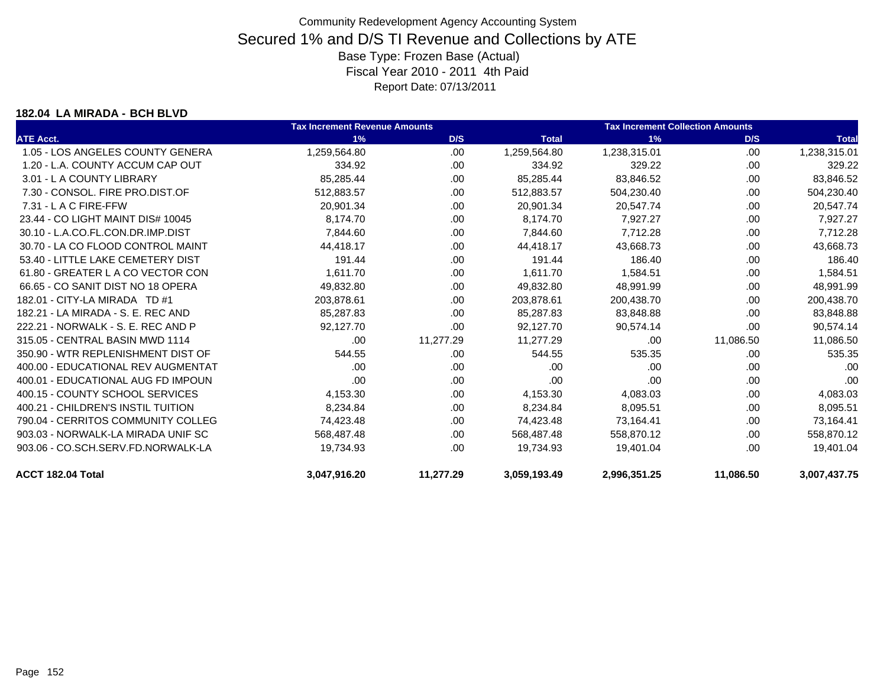#### **182.04 LA MIRADA - BCH BLVD**

|                                    | <b>Tax Increment Revenue Amounts</b> |           |              | <b>Tax Increment Collection Amounts</b> |           |              |
|------------------------------------|--------------------------------------|-----------|--------------|-----------------------------------------|-----------|--------------|
| <b>ATE Acct.</b>                   | 1%                                   | D/S       | <b>Total</b> | 1%                                      | D/S       | <b>Total</b> |
| 1.05 - LOS ANGELES COUNTY GENERA   | 1,259,564.80                         | .00       | 1,259,564.80 | 1,238,315.01                            | .00       | 1,238,315.01 |
| 1.20 - L.A. COUNTY ACCUM CAP OUT   | 334.92                               | .00.      | 334.92       | 329.22                                  | .00       | 329.22       |
| 3.01 - L A COUNTY LIBRARY          | 85,285.44                            | .00.      | 85,285.44    | 83,846.52                               | .00       | 83,846.52    |
| 7.30 - CONSOL, FIRE PRO.DIST.OF    | 512,883.57                           | .00       | 512,883.57   | 504,230.40                              | .00       | 504,230.40   |
| $7.31 - L$ A C FIRE-FFW            | 20,901.34                            | .00.      | 20,901.34    | 20,547.74                               | .00       | 20,547.74    |
| 23.44 - CO LIGHT MAINT DIS# 10045  | 8,174.70                             | .00       | 8.174.70     | 7,927.27                                | .00       | 7,927.27     |
| 30.10 - L.A.CO.FL.CON.DR.IMP.DIST  | 7.844.60                             | .00.      | 7.844.60     | 7,712.28                                | .00       | 7,712.28     |
| 30.70 - LA CO FLOOD CONTROL MAINT  | 44.418.17                            | .00       | 44.418.17    | 43,668.73                               | .00       | 43,668.73    |
| 53.40 - LITTLE LAKE CEMETERY DIST  | 191.44                               | .00       | 191.44       | 186.40                                  | .00       | 186.40       |
| 61.80 - GREATER L A CO VECTOR CON  | 1.611.70                             | .00       | 1.611.70     | 1,584.51                                | .00       | 1,584.51     |
| 66.65 - CO SANIT DIST NO 18 OPERA  | 49,832.80                            | .00       | 49,832.80    | 48,991.99                               | .00       | 48,991.99    |
| 182.01 - CITY-LA MIRADA TD #1      | 203,878.61                           | .00       | 203.878.61   | 200,438.70                              | .00       | 200,438.70   |
| 182.21 - LA MIRADA - S. E. REC AND | 85.287.83                            | .00.      | 85,287.83    | 83,848.88                               | .00       | 83,848.88    |
| 222.21 - NORWALK - S. E. REC AND P | 92,127.70                            | .00.      | 92,127.70    | 90,574.14                               | .00       | 90,574.14    |
| 315.05 - CENTRAL BASIN MWD 1114    | .00.                                 | 11,277.29 | 11,277.29    | .00.                                    | 11,086.50 | 11,086.50    |
| 350.90 - WTR REPLENISHMENT DIST OF | 544.55                               | .00       | 544.55       | 535.35                                  | .00       | 535.35       |
| 400.00 - EDUCATIONAL REV AUGMENTAT | .00                                  | .00       | .00          | .00                                     | .00       | .00          |
| 400.01 - EDUCATIONAL AUG FD IMPOUN | .00                                  | .00       | .00          | .00                                     | .00       | .00          |
| 400.15 - COUNTY SCHOOL SERVICES    | 4,153.30                             | .00       | 4,153.30     | 4,083.03                                | .00       | 4,083.03     |
| 400.21 - CHILDREN'S INSTIL TUITION | 8,234.84                             | .00       | 8,234.84     | 8,095.51                                | .00       | 8,095.51     |
| 790.04 - CERRITOS COMMUNITY COLLEG | 74,423.48                            | .00.      | 74,423.48    | 73,164.41                               | .00       | 73,164.41    |
| 903.03 - NORWALK-LA MIRADA UNIF SC | 568,487.48                           | .00       | 568,487.48   | 558,870.12                              | .00       | 558,870.12   |
| 903.06 - CO.SCH.SERV.FD.NORWALK-LA | 19,734.93                            | .00.      | 19.734.93    | 19.401.04                               | .00       | 19,401.04    |
| ACCT 182.04 Total                  | 3,047,916.20                         | 11,277.29 | 3,059,193.49 | 2,996,351.25                            | 11,086.50 | 3,007,437.75 |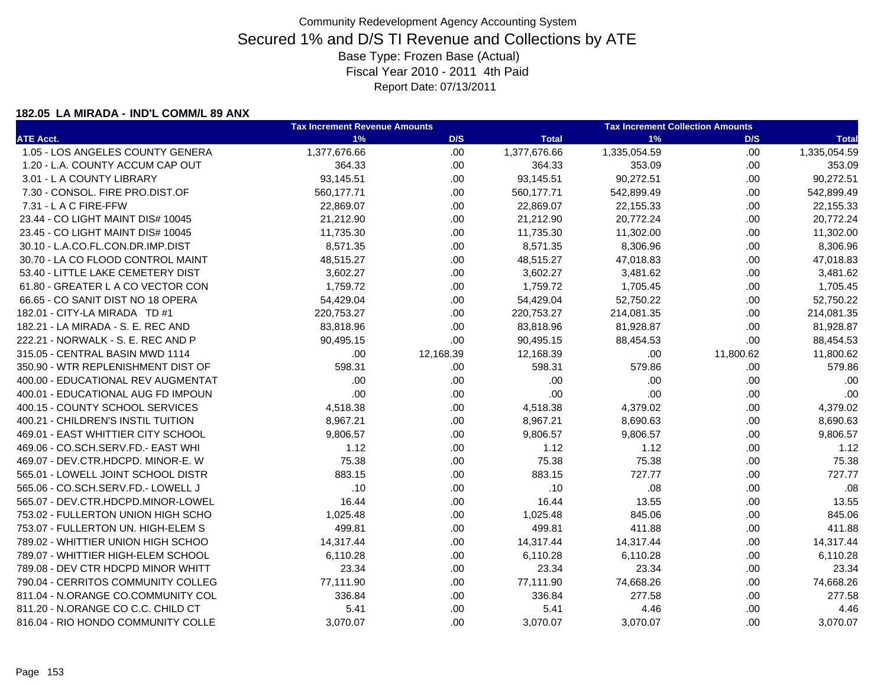### **182.05 LA MIRADA - IND'L COMM/L 89 ANX**

|                                    | <b>Tax Increment Revenue Amounts</b> |           |              | <b>Tax Increment Collection Amounts</b> |           |              |  |
|------------------------------------|--------------------------------------|-----------|--------------|-----------------------------------------|-----------|--------------|--|
| <b>ATE Acct.</b>                   | 1%                                   | D/S       | <b>Total</b> | 1%                                      | D/S       | <b>Total</b> |  |
| 1.05 - LOS ANGELES COUNTY GENERA   | 1,377,676.66                         | .00       | 1,377,676.66 | 1,335,054.59                            | .00       | 1,335,054.59 |  |
| 1.20 - L.A. COUNTY ACCUM CAP OUT   | 364.33                               | .00       | 364.33       | 353.09                                  | .00.      | 353.09       |  |
| 3.01 - L A COUNTY LIBRARY          | 93,145.51                            | .00       | 93,145.51    | 90,272.51                               | .00       | 90,272.51    |  |
| 7.30 - CONSOL. FIRE PRO.DIST.OF    | 560,177.71                           | .00       | 560,177.71   | 542,899.49                              | .00.      | 542,899.49   |  |
| 7.31 - L A C FIRE-FFW              | 22,869.07                            | .00       | 22,869.07    | 22,155.33                               | .00.      | 22,155.33    |  |
| 23.44 - CO LIGHT MAINT DIS# 10045  | 21,212.90                            | .00       | 21,212.90    | 20,772.24                               | .00.      | 20,772.24    |  |
| 23.45 - CO LIGHT MAINT DIS# 10045  | 11,735.30                            | .00       | 11,735.30    | 11,302.00                               | .00       | 11,302.00    |  |
| 30.10 - L.A.CO.FL.CON.DR.IMP.DIST  | 8,571.35                             | .00       | 8,571.35     | 8,306.96                                | .00       | 8,306.96     |  |
| 30.70 - LA CO FLOOD CONTROL MAINT  | 48,515.27                            | .00       | 48,515.27    | 47,018.83                               | .00       | 47,018.83    |  |
| 53.40 - LITTLE LAKE CEMETERY DIST  | 3,602.27                             | .00       | 3,602.27     | 3,481.62                                | .00       | 3,481.62     |  |
| 61.80 - GREATER L A CO VECTOR CON  | 1,759.72                             | .00       | 1,759.72     | 1,705.45                                | .00       | 1,705.45     |  |
| 66.65 - CO SANIT DIST NO 18 OPERA  | 54,429.04                            | .00       | 54,429.04    | 52,750.22                               | .00       | 52,750.22    |  |
| 182.01 - CITY-LA MIRADA TD #1      | 220,753.27                           | .00       | 220,753.27   | 214,081.35                              | .00       | 214,081.35   |  |
| 182.21 - LA MIRADA - S. E. REC AND | 83,818.96                            | .00       | 83,818.96    | 81,928.87                               | .00       | 81,928.87    |  |
| 222.21 - NORWALK - S. E. REC AND P | 90,495.15                            | .00       | 90,495.15    | 88,454.53                               | .00       | 88,454.53    |  |
| 315.05 - CENTRAL BASIN MWD 1114    | .00                                  | 12,168.39 | 12,168.39    | .00                                     | 11,800.62 | 11,800.62    |  |
| 350.90 - WTR REPLENISHMENT DIST OF | 598.31                               | .00       | 598.31       | 579.86                                  | .00       | 579.86       |  |
| 400.00 - EDUCATIONAL REV AUGMENTAT | .00                                  | .00       | .00          | .00                                     | .00       | .00          |  |
| 400.01 - EDUCATIONAL AUG FD IMPOUN | .00                                  | .00       | .00          | .00                                     | .00       | .00          |  |
| 400.15 - COUNTY SCHOOL SERVICES    | 4,518.38                             | .00       | 4,518.38     | 4,379.02                                | .00       | 4,379.02     |  |
| 400.21 - CHILDREN'S INSTIL TUITION | 8,967.21                             | .00       | 8,967.21     | 8,690.63                                | .00       | 8,690.63     |  |
| 469.01 - EAST WHITTIER CITY SCHOOL | 9,806.57                             | .00       | 9,806.57     | 9,806.57                                | .00       | 9,806.57     |  |
| 469.06 - CO.SCH.SERV.FD.- EAST WHI | 1.12                                 | .00       | 1.12         | 1.12                                    | .00       | 1.12         |  |
| 469.07 - DEV.CTR.HDCPD. MINOR-E. W | 75.38                                | .00       | 75.38        | 75.38                                   | .00       | 75.38        |  |
| 565.01 - LOWELL JOINT SCHOOL DISTR | 883.15                               | .00       | 883.15       | 727.77                                  | .00       | 727.77       |  |
| 565.06 - CO.SCH.SERV.FD.- LOWELL J | .10                                  | .00       | .10          | .08                                     | .00       | .08          |  |
| 565.07 - DEV.CTR.HDCPD.MINOR-LOWEL | 16.44                                | .00       | 16.44        | 13.55                                   | .00       | 13.55        |  |
| 753.02 - FULLERTON UNION HIGH SCHO | 1,025.48                             | .00       | 1,025.48     | 845.06                                  | .00       | 845.06       |  |
| 753.07 - FULLERTON UN. HIGH-ELEM S | 499.81                               | .00       | 499.81       | 411.88                                  | .00       | 411.88       |  |
| 789.02 - WHITTIER UNION HIGH SCHOO | 14,317.44                            | .00       | 14,317.44    | 14,317.44                               | .00       | 14,317.44    |  |
| 789.07 - WHITTIER HIGH-ELEM SCHOOL | 6,110.28                             | .00       | 6,110.28     | 6,110.28                                | .00       | 6,110.28     |  |
| 789.08 - DEV CTR HDCPD MINOR WHITT | 23.34                                | .00       | 23.34        | 23.34                                   | .00       | 23.34        |  |
| 790.04 - CERRITOS COMMUNITY COLLEG | 77,111.90                            | .00       | 77,111.90    | 74,668.26                               | .00       | 74,668.26    |  |
| 811.04 - N.ORANGE CO.COMMUNITY COL | 336.84                               | .00       | 336.84       | 277.58                                  | .00       | 277.58       |  |
| 811.20 - N.ORANGE CO C.C. CHILD CT | 5.41                                 | .00       | 5.41         | 4.46                                    | .00       | 4.46         |  |
| 816.04 - RIO HONDO COMMUNITY COLLE | 3,070.07                             | .00       | 3,070.07     | 3,070.07                                | .00.      | 3,070.07     |  |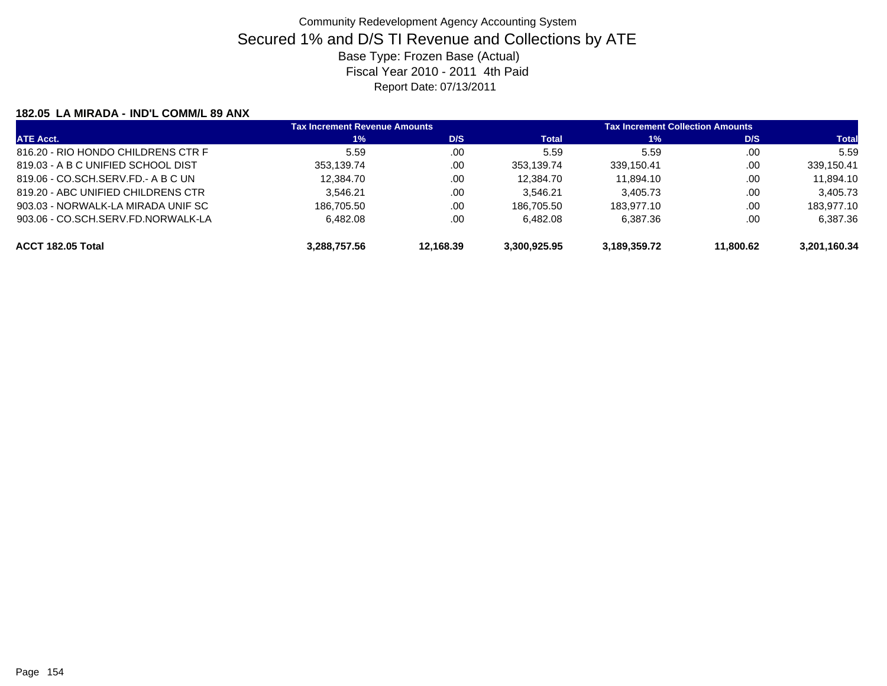### **182.05 LA MIRADA - IND'L COMM/L 89 ANX**

| <b>ATE Acct.</b>                   | <b>Tax Increment Revenue Amounts</b> |           | <b>Tax Increment Collection Amounts</b> |              |           |              |
|------------------------------------|--------------------------------------|-----------|-----------------------------------------|--------------|-----------|--------------|
|                                    | 1%                                   | D/S       | Total                                   | $1\%$        | D/S       | <b>Total</b> |
| 816.20 - RIO HONDO CHILDRENS CTR F | 5.59                                 | .00       | 5.59                                    | 5.59         | .00       | 5.59         |
| 819.03 - A B C UNIFIED SCHOOL DIST | 353,139.74                           | .00       | 353.139.74                              | 339.150.41   | .00       | 339,150.41   |
| 819.06 - CO.SCH.SERV.FD.- A B C UN | 12.384.70                            | .00       | 12.384.70                               | 11.894.10    | .00       | 11,894.10    |
| 819.20 - ABC UNIFIED CHILDRENS CTR | 3.546.21                             | .00       | 3.546.21                                | 3.405.73     | .00       | 3,405.73     |
| 903.03 - NORWALK-LA MIRADA UNIF SC | 186.705.50                           | .00       | 186.705.50                              | 183.977.10   | .00       | 183,977.10   |
| 903.06 - CO.SCH.SERV.FD.NORWALK-LA | 6.482.08                             | .00       | 6.482.08                                | 6.387.36     | .00       | 6,387.36     |
| ACCT 182.05 Total                  | 3.288.757.56                         | 12.168.39 | 3.300.925.95                            | 3.189.359.72 | 11.800.62 | 3.201.160.34 |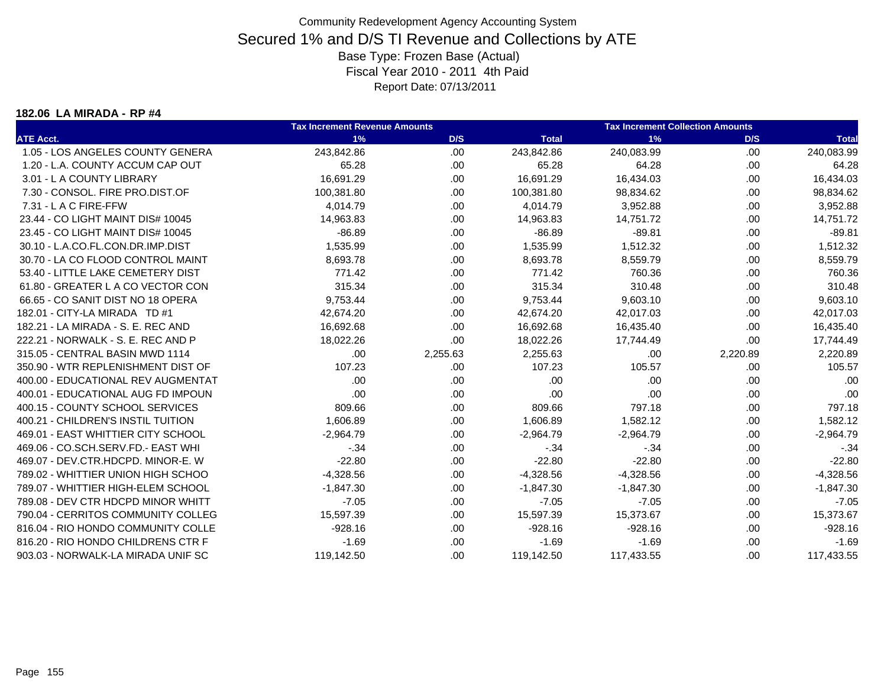#### **182.06 LA MIRADA - RP #4**

|                                    | <b>Tax Increment Revenue Amounts</b> |          |              | <b>Tax Increment Collection Amounts</b> |          |              |
|------------------------------------|--------------------------------------|----------|--------------|-----------------------------------------|----------|--------------|
| <b>ATE Acct.</b>                   | 1%                                   | D/S      | <b>Total</b> | 1%                                      | D/S      | <b>Total</b> |
| 1.05 - LOS ANGELES COUNTY GENERA   | 243,842.86                           | .00      | 243,842.86   | 240,083.99                              | .00      | 240,083.99   |
| 1.20 - L.A. COUNTY ACCUM CAP OUT   | 65.28                                | .00      | 65.28        | 64.28                                   | .00      | 64.28        |
| 3.01 - L A COUNTY LIBRARY          | 16,691.29                            | .00      | 16,691.29    | 16,434.03                               | .00      | 16,434.03    |
| 7.30 - CONSOL, FIRE PRO.DIST.OF    | 100,381.80                           | .00      | 100,381.80   | 98,834.62                               | .00      | 98,834.62    |
| 7.31 - L A C FIRE-FFW              | 4,014.79                             | .00      | 4,014.79     | 3,952.88                                | .00      | 3,952.88     |
| 23.44 - CO LIGHT MAINT DIS# 10045  | 14,963.83                            | .00      | 14,963.83    | 14,751.72                               | .00      | 14,751.72    |
| 23.45 - CO LIGHT MAINT DIS# 10045  | $-86.89$                             | .00      | $-86.89$     | $-89.81$                                | .00      | $-89.81$     |
| 30.10 - L.A.CO.FL.CON.DR.IMP.DIST  | 1,535.99                             | .00      | 1,535.99     | 1,512.32                                | .00      | 1,512.32     |
| 30.70 - LA CO FLOOD CONTROL MAINT  | 8,693.78                             | .00      | 8,693.78     | 8,559.79                                | .00.     | 8,559.79     |
| 53.40 - LITTLE LAKE CEMETERY DIST  | 771.42                               | .00      | 771.42       | 760.36                                  | .00      | 760.36       |
| 61.80 - GREATER L A CO VECTOR CON  | 315.34                               | .00      | 315.34       | 310.48                                  | .00      | 310.48       |
| 66.65 - CO SANIT DIST NO 18 OPERA  | 9,753.44                             | .00      | 9,753.44     | 9,603.10                                | .00      | 9,603.10     |
| 182.01 - CITY-LA MIRADA TD #1      | 42,674.20                            | .00      | 42,674.20    | 42,017.03                               | .00      | 42,017.03    |
| 182.21 - LA MIRADA - S. E. REC AND | 16,692.68                            | .00      | 16,692.68    | 16,435.40                               | .00      | 16,435.40    |
| 222.21 - NORWALK - S. E. REC AND P | 18,022.26                            | .00      | 18,022.26    | 17,744.49                               | .00      | 17,744.49    |
| 315.05 - CENTRAL BASIN MWD 1114    | .00                                  | 2,255.63 | 2,255.63     | .00                                     | 2,220.89 | 2,220.89     |
| 350.90 - WTR REPLENISHMENT DIST OF | 107.23                               | .00      | 107.23       | 105.57                                  | .00      | 105.57       |
| 400.00 - EDUCATIONAL REV AUGMENTAT | .00                                  | .00      | .00          | .00                                     | .00      | .00          |
| 400.01 - EDUCATIONAL AUG FD IMPOUN | .00                                  | .00      | .00          | .00                                     | .00      | .00          |
| 400.15 - COUNTY SCHOOL SERVICES    | 809.66                               | .00      | 809.66       | 797.18                                  | .00      | 797.18       |
| 400.21 - CHILDREN'S INSTIL TUITION | 1,606.89                             | .00      | 1,606.89     | 1,582.12                                | .00      | 1,582.12     |
| 469.01 - EAST WHITTIER CITY SCHOOL | $-2,964.79$                          | .00      | $-2,964.79$  | $-2.964.79$                             | .00.     | $-2,964.79$  |
| 469.06 - CO.SCH.SERV.FD.- EAST WHI | $-.34$                               | .00      | $-.34$       | $-34$                                   | .00      | $-34$        |
| 469.07 - DEV.CTR.HDCPD. MINOR-E. W | $-22.80$                             | .00      | $-22.80$     | $-22.80$                                | .00      | $-22.80$     |
| 789.02 - WHITTIER UNION HIGH SCHOO | $-4,328.56$                          | .00      | $-4,328.56$  | $-4,328.56$                             | .00      | $-4,328.56$  |
| 789.07 - WHITTIER HIGH-ELEM SCHOOL | $-1,847.30$                          | .00      | $-1,847.30$  | $-1,847.30$                             | .00      | $-1,847.30$  |
| 789.08 - DEV CTR HDCPD MINOR WHITT | $-7.05$                              | .00      | $-7.05$      | $-7.05$                                 | .00      | $-7.05$      |
| 790.04 - CERRITOS COMMUNITY COLLEG | 15,597.39                            | .00      | 15,597.39    | 15,373.67                               | .00.     | 15,373.67    |
| 816.04 - RIO HONDO COMMUNITY COLLE | $-928.16$                            | .00      | $-928.16$    | $-928.16$                               | .00      | $-928.16$    |
| 816.20 - RIO HONDO CHILDRENS CTR F | $-1.69$                              | .00      | $-1.69$      | $-1.69$                                 | .00.     | $-1.69$      |
| 903.03 - NORWALK-LA MIRADA UNIF SC | 119,142.50                           | .00      | 119,142.50   | 117,433.55                              | .00      | 117,433.55   |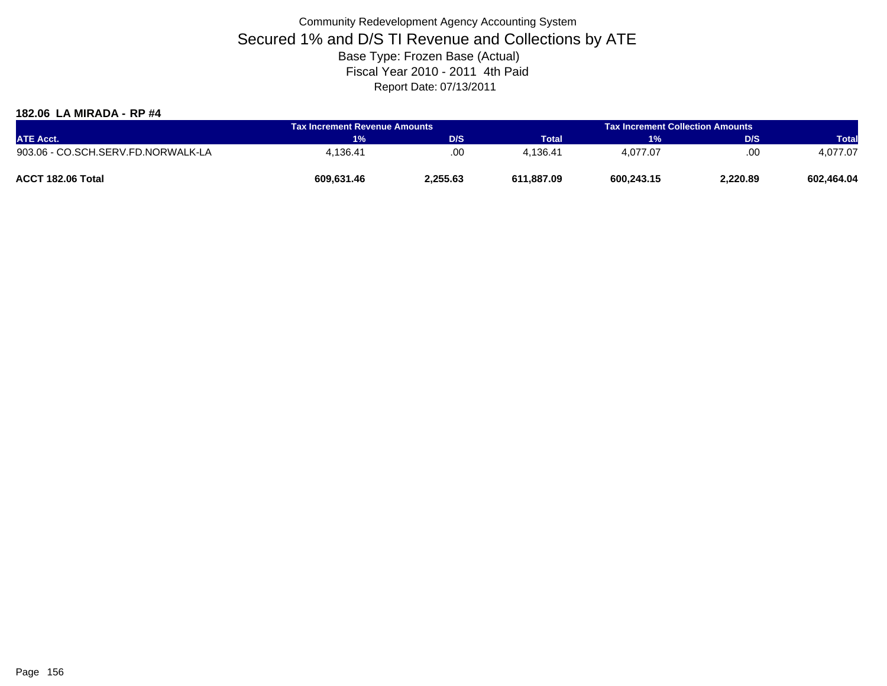#### **182.06 LA MIRADA - RP #4**

| <b>ATE Acct.</b>                   | Tax Increment Revenue Amounts |          | <b>Tax Increment Collection Amounts</b> |            |          |              |
|------------------------------------|-------------------------------|----------|-----------------------------------------|------------|----------|--------------|
|                                    | <b>1%</b>                     | D/S      | <b>Total</b>                            | 1%         | D/S      | <b>Total</b> |
| 903.06 - CO.SCH.SERV.FD.NORWALK-LA | 4.136.41                      | .00      | 4.136.41                                | 4.077.07   | .00      | 4.077.07     |
| ACCT 182.06 Total                  | 609,631.46                    | 2,255.63 | 611.887.09                              | 600,243.15 | 2.220.89 | 602,464.04   |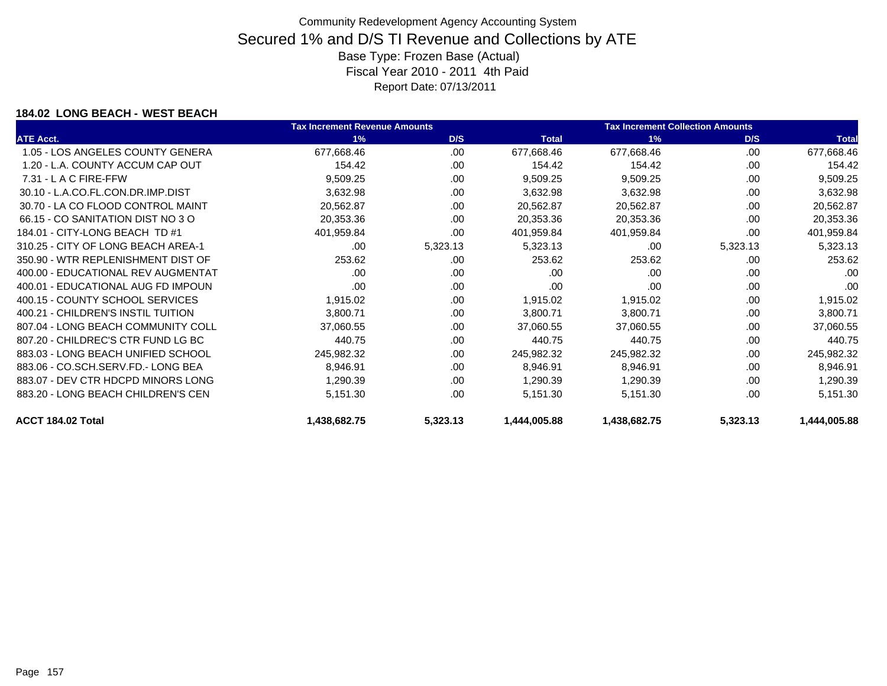### **184.02 LONG BEACH - WEST BEACH**

|                                    | <b>Tax Increment Revenue Amounts</b> |          |              | <b>Tax Increment Collection Amounts</b> |          |              |
|------------------------------------|--------------------------------------|----------|--------------|-----------------------------------------|----------|--------------|
| <b>ATE Acct.</b>                   | 1%                                   | D/S      | <b>Total</b> | 1%                                      | D/S      | <b>Total</b> |
| 1.05 - LOS ANGELES COUNTY GENERA   | 677,668.46                           | .00.     | 677,668.46   | 677,668.46                              | .00      | 677,668.46   |
| 1.20 - L.A. COUNTY ACCUM CAP OUT   | 154.42                               | .00      | 154.42       | 154.42                                  | .00      | 154.42       |
| $7.31 - L$ A C FIRE-FFW            | 9,509.25                             | .00.     | 9,509.25     | 9,509.25                                | .00      | 9,509.25     |
| 30.10 - L.A.CO.FL.CON.DR.IMP.DIST  | 3,632.98                             | .00      | 3,632.98     | 3,632.98                                | .00      | 3,632.98     |
| 30.70 - LA CO FLOOD CONTROL MAINT  | 20,562.87                            | .00.     | 20,562.87    | 20,562.87                               | .00      | 20,562.87    |
| 66.15 - CO SANITATION DIST NO 3 O  | 20,353.36                            | .00      | 20,353.36    | 20,353.36                               | .00      | 20,353.36    |
| 184.01 - CITY-LONG BEACH TD #1     | 401,959.84                           | .00      | 401,959.84   | 401,959.84                              | .00      | 401,959.84   |
| 310.25 - CITY OF LONG BEACH AREA-1 | .00                                  | 5,323.13 | 5,323.13     | .00                                     | 5,323.13 | 5,323.13     |
| 350.90 - WTR REPLENISHMENT DIST OF | 253.62                               | .00.     | 253.62       | 253.62                                  | .00      | 253.62       |
| 400.00 - EDUCATIONAL REV AUGMENTAT | .00                                  | .00      | .00          | .00                                     | .00      | .00          |
| 400.01 - EDUCATIONAL AUG FD IMPOUN | .00                                  | .00      | .00          | .00                                     | .00      | .00          |
| 400.15 - COUNTY SCHOOL SERVICES    | 1,915.02                             | .00      | 1,915.02     | 1,915.02                                | .00      | 1,915.02     |
| 400.21 - CHILDREN'S INSTIL TUITION | 3,800.71                             | .00      | 3,800.71     | 3,800.71                                | .00      | 3,800.71     |
| 807.04 - LONG BEACH COMMUNITY COLL | 37,060.55                            | .00      | 37,060.55    | 37,060.55                               | .00      | 37,060.55    |
| 807.20 - CHILDREC'S CTR FUND LG BC | 440.75                               | .00      | 440.75       | 440.75                                  | .00      | 440.75       |
| 883.03 - LONG BEACH UNIFIED SCHOOL | 245,982.32                           | .00      | 245,982.32   | 245,982.32                              | .00      | 245,982.32   |
| 883.06 - CO.SCH.SERV.FD.- LONG BEA | 8,946.91                             | .00      | 8,946.91     | 8,946.91                                | .00      | 8,946.91     |
| 883.07 - DEV CTR HDCPD MINORS LONG | 1,290.39                             | .00.     | 1,290.39     | 1,290.39                                | .00      | 1,290.39     |
| 883.20 - LONG BEACH CHILDREN'S CEN | 5,151.30                             | .00      | 5,151.30     | 5,151.30                                | .00      | 5,151.30     |
| ACCT 184.02 Total                  | 1,438,682.75                         | 5,323.13 | 1,444,005.88 | 1,438,682.75                            | 5,323.13 | 1,444,005.88 |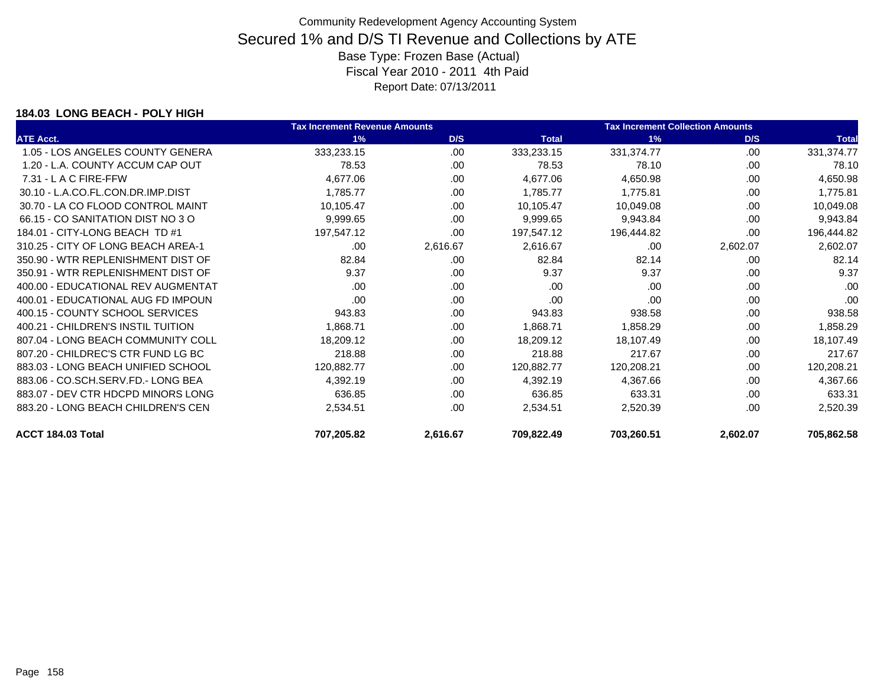### **184.03 LONG BEACH - POLY HIGH**

|                                    | <b>Tax Increment Revenue Amounts</b> |          |              | <b>Tax Increment Collection Amounts</b> |          |              |
|------------------------------------|--------------------------------------|----------|--------------|-----------------------------------------|----------|--------------|
| <b>ATE Acct.</b>                   | 1%                                   | D/S      | <b>Total</b> | 1%                                      | D/S      | <b>Total</b> |
| 1.05 - LOS ANGELES COUNTY GENERA   | 333,233.15                           | .00      | 333,233.15   | 331,374.77                              | .00      | 331,374.77   |
| 1.20 - L.A. COUNTY ACCUM CAP OUT   | 78.53                                | .00      | 78.53        | 78.10                                   | .00      | 78.10        |
| $7.31 - L$ A C FIRE-FFW            | 4,677.06                             | .00      | 4,677.06     | 4,650.98                                | .00      | 4,650.98     |
| 30.10 - L.A.CO.FL.CON.DR.IMP.DIST  | 1,785.77                             | .00.     | 1,785.77     | 1,775.81                                | .00      | 1,775.81     |
| 30.70 - LA CO FLOOD CONTROL MAINT  | 10,105.47                            | .00      | 10,105.47    | 10,049.08                               | .00      | 10,049.08    |
| 66.15 - CO SANITATION DIST NO 3 O  | 9,999.65                             | .00      | 9,999.65     | 9,943.84                                | .00      | 9,943.84     |
| 184.01 - CITY-LONG BEACH TD #1     | 197,547.12                           | .00      | 197,547.12   | 196,444.82                              | .00.     | 196,444.82   |
| 310.25 - CITY OF LONG BEACH AREA-1 | .00                                  | 2,616.67 | 2,616.67     | .00                                     | 2,602.07 | 2,602.07     |
| 350.90 - WTR REPLENISHMENT DIST OF | 82.84                                | .00      | 82.84        | 82.14                                   | .00      | 82.14        |
| 350.91 - WTR REPLENISHMENT DIST OF | 9.37                                 | .00      | 9.37         | 9.37                                    | .00      | 9.37         |
| 400.00 - EDUCATIONAL REV AUGMENTAT | .00                                  | .00      | .00          | .00                                     | .00      | .00          |
| 400.01 - EDUCATIONAL AUG FD IMPOUN | .00                                  | .00      | .00          | .00                                     | .00      | .00          |
| 400.15 - COUNTY SCHOOL SERVICES    | 943.83                               | .00.     | 943.83       | 938.58                                  | .00      | 938.58       |
| 400.21 - CHILDREN'S INSTIL TUITION | 1,868.71                             | .00      | 1,868.71     | 1,858.29                                | .00      | 1,858.29     |
| 807.04 - LONG BEACH COMMUNITY COLL | 18,209.12                            | .00      | 18,209.12    | 18,107.49                               | .00      | 18,107.49    |
| 807.20 - CHILDREC'S CTR FUND LG BC | 218.88                               | .00      | 218.88       | 217.67                                  | .00      | 217.67       |
| 883.03 - LONG BEACH UNIFIED SCHOOL | 120,882.77                           | .00.     | 120,882.77   | 120,208.21                              | .00      | 120,208.21   |
| 883.06 - CO.SCH.SERV.FD.- LONG BEA | 4,392.19                             | .00      | 4,392.19     | 4,367.66                                | .00      | 4,367.66     |
| 883.07 - DEV CTR HDCPD MINORS LONG | 636.85                               | .00.     | 636.85       | 633.31                                  | .00      | 633.31       |
| 883.20 - LONG BEACH CHILDREN'S CEN | 2,534.51                             | .00      | 2,534.51     | 2,520.39                                | .00      | 2,520.39     |
| ACCT 184.03 Total                  | 707,205.82                           | 2,616.67 | 709,822.49   | 703,260.51                              | 2,602.07 | 705,862.58   |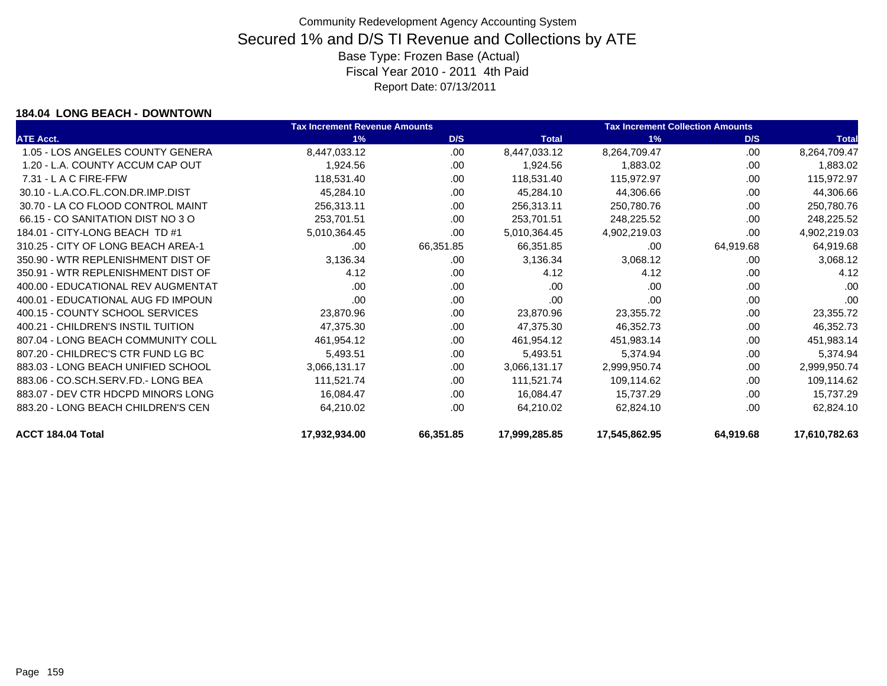### **184.04 LONG BEACH - DOWNTOWN**

|                                    | <b>Tax Increment Revenue Amounts</b> |           |               | <b>Tax Increment Collection Amounts</b> |           |               |
|------------------------------------|--------------------------------------|-----------|---------------|-----------------------------------------|-----------|---------------|
| <b>ATE Acct.</b>                   | 1%                                   | D/S       | <b>Total</b>  | 1%                                      | D/S       | <b>Total</b>  |
| 1.05 - LOS ANGELES COUNTY GENERA   | 8,447,033.12                         | .00       | 8,447,033.12  | 8,264,709.47                            | .00       | 8,264,709.47  |
| 1.20 - L.A. COUNTY ACCUM CAP OUT   | 1,924.56                             | .00       | 1,924.56      | 1,883.02                                | .00       | 1,883.02      |
| 7.31 - L A C FIRE-FFW              | 118,531.40                           | .00.      | 118,531.40    | 115,972.97                              | .00       | 115,972.97    |
| 30.10 - L.A.CO.FL.CON.DR.IMP.DIST  | 45,284.10                            | .00       | 45,284.10     | 44,306.66                               | .00       | 44,306.66     |
| 30.70 - LA CO FLOOD CONTROL MAINT  | 256,313.11                           | .00       | 256,313.11    | 250,780.76                              | .00       | 250,780.76    |
| 66.15 - CO SANITATION DIST NO 3 O  | 253,701.51                           | .00.      | 253,701.51    | 248,225.52                              | .00       | 248,225.52    |
| 184.01 - CITY-LONG BEACH TD #1     | 5,010,364.45                         | .00       | 5,010,364.45  | 4,902,219.03                            | .00       | 4,902,219.03  |
| 310.25 - CITY OF LONG BEACH AREA-1 | .00                                  | 66,351.85 | 66,351.85     | .00                                     | 64,919.68 | 64,919.68     |
| 350.90 - WTR REPLENISHMENT DIST OF | 3,136.34                             | .00.      | 3,136.34      | 3,068.12                                | .00       | 3,068.12      |
| 350.91 - WTR REPLENISHMENT DIST OF | 4.12                                 | .00       | 4.12          | 4.12                                    | .00       | 4.12          |
| 400.00 - EDUCATIONAL REV AUGMENTAT | .00                                  | .00       | .00           | .00                                     | .00       | .00           |
| 400.01 - EDUCATIONAL AUG FD IMPOUN | .00                                  | .00.      | .00           | .00                                     | .00       | .00           |
| 400.15 - COUNTY SCHOOL SERVICES    | 23,870.96                            | .00       | 23,870.96     | 23,355.72                               | .00       | 23,355.72     |
| 400.21 - CHILDREN'S INSTIL TUITION | 47,375.30                            | .00.      | 47,375.30     | 46,352.73                               | .00       | 46,352.73     |
| 807.04 - LONG BEACH COMMUNITY COLL | 461,954.12                           | .00       | 461,954.12    | 451,983.14                              | .00       | 451,983.14    |
| 807.20 - CHILDREC'S CTR FUND LG BC | 5,493.51                             | .00       | 5,493.51      | 5,374.94                                | .00       | 5,374.94      |
| 883.03 - LONG BEACH UNIFIED SCHOOL | 3,066,131.17                         | .00       | 3,066,131.17  | 2,999,950.74                            | .00       | 2,999,950.74  |
| 883.06 - CO.SCH.SERV.FD.- LONG BEA | 111,521.74                           | .00.      | 111,521.74    | 109,114.62                              | .00       | 109,114.62    |
| 883.07 - DEV CTR HDCPD MINORS LONG | 16,084.47                            | .00.      | 16,084.47     | 15,737.29                               | .00       | 15,737.29     |
| 883.20 - LONG BEACH CHILDREN'S CEN | 64,210.02                            | .00       | 64,210.02     | 62,824.10                               | .00       | 62,824.10     |
| ACCT 184.04 Total                  | 17,932,934.00                        | 66,351.85 | 17,999,285.85 | 17,545,862.95                           | 64,919.68 | 17,610,782.63 |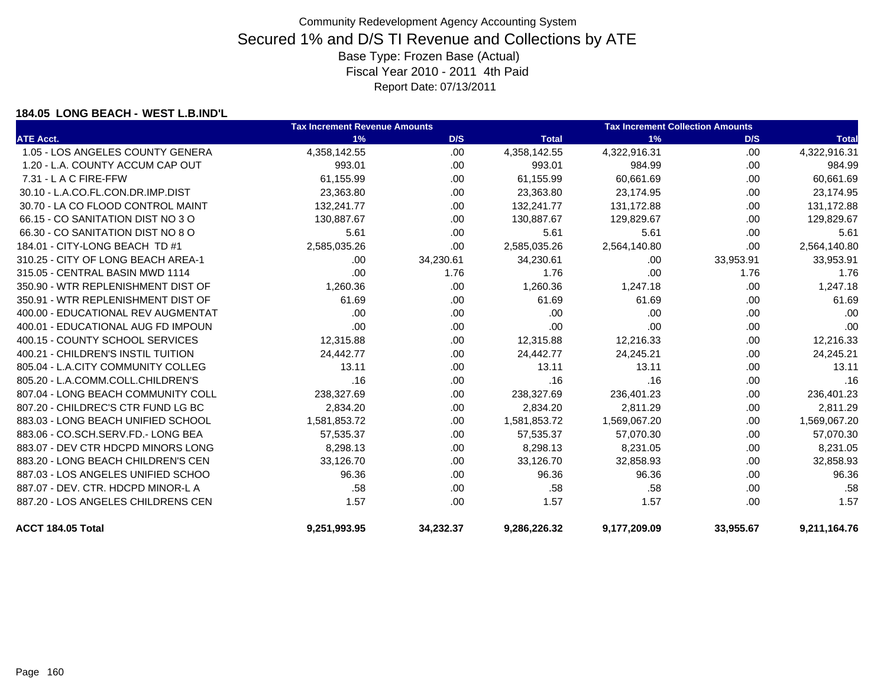### **184.05 LONG BEACH - WEST L.B.IND'L**

|                                    | <b>Tax Increment Revenue Amounts</b> |           |              | <b>Tax Increment Collection Amounts</b> |           |              |
|------------------------------------|--------------------------------------|-----------|--------------|-----------------------------------------|-----------|--------------|
| <b>ATE Acct.</b>                   | 1%                                   | D/S       | <b>Total</b> | 1%                                      | D/S       | <b>Total</b> |
| 1.05 - LOS ANGELES COUNTY GENERA   | 4,358,142.55                         | .00       | 4,358,142.55 | 4,322,916.31                            | .00       | 4,322,916.31 |
| 1.20 - L.A. COUNTY ACCUM CAP OUT   | 993.01                               | .00.      | 993.01       | 984.99                                  | .00.      | 984.99       |
| 7.31 - L A C FIRE-FFW              | 61,155.99                            | .00.      | 61,155.99    | 60,661.69                               | .00       | 60,661.69    |
| 30.10 - L.A.CO.FL.CON.DR.IMP.DIST  | 23,363.80                            | .00.      | 23,363.80    | 23,174.95                               | .00       | 23,174.95    |
| 30.70 - LA CO FLOOD CONTROL MAINT  | 132,241.77                           | .00.      | 132,241.77   | 131,172.88                              | .00       | 131,172.88   |
| 66.15 - CO SANITATION DIST NO 3 O  | 130,887.67                           | .00       | 130,887.67   | 129,829.67                              | .00       | 129,829.67   |
| 66.30 - CO SANITATION DIST NO 8 O  | 5.61                                 | .00.      | 5.61         | 5.61                                    | .00.      | 5.61         |
| 184.01 - CITY-LONG BEACH TD #1     | 2,585,035.26                         | .00       | 2,585,035.26 | 2,564,140.80                            | .00       | 2,564,140.80 |
| 310.25 - CITY OF LONG BEACH AREA-1 | .00                                  | 34,230.61 | 34,230.61    | .00                                     | 33,953.91 | 33,953.91    |
| 315.05 - CENTRAL BASIN MWD 1114    | .00                                  | 1.76      | 1.76         | .00                                     | 1.76      | 1.76         |
| 350.90 - WTR REPLENISHMENT DIST OF | 1,260.36                             | .00       | 1,260.36     | 1,247.18                                | .00.      | 1,247.18     |
| 350.91 - WTR REPLENISHMENT DIST OF | 61.69                                | .00       | 61.69        | 61.69                                   | .00       | 61.69        |
| 400.00 - EDUCATIONAL REV AUGMENTAT | .00                                  | .00.      | .00          | .00                                     | .00       | .00          |
| 400.01 - EDUCATIONAL AUG FD IMPOUN | .00                                  | .00.      | .00          | .00                                     | .00       | .00          |
| 400.15 - COUNTY SCHOOL SERVICES    | 12,315.88                            | .00       | 12,315.88    | 12,216.33                               | .00       | 12,216.33    |
| 400.21 - CHILDREN'S INSTIL TUITION | 24,442.77                            | .00.      | 24,442.77    | 24,245.21                               | .00       | 24,245.21    |
| 805.04 - L.A.CITY COMMUNITY COLLEG | 13.11                                | .00.      | 13.11        | 13.11                                   | .00       | 13.11        |
| 805.20 - L.A.COMM.COLL.CHILDREN'S  | .16                                  | .00.      | .16          | .16                                     | .00.      | .16          |
| 807.04 - LONG BEACH COMMUNITY COLL | 238,327.69                           | .00       | 238,327.69   | 236,401.23                              | .00       | 236,401.23   |
| 807.20 - CHILDREC'S CTR FUND LG BC | 2,834.20                             | .00       | 2,834.20     | 2,811.29                                | .00       | 2,811.29     |
| 883.03 - LONG BEACH UNIFIED SCHOOL | 1,581,853.72                         | .00.      | 1,581,853.72 | 1,569,067.20                            | .00       | 1,569,067.20 |
| 883.06 - CO.SCH.SERV.FD.- LONG BEA | 57,535.37                            | .00.      | 57,535.37    | 57,070.30                               | .00       | 57,070.30    |
| 883.07 - DEV CTR HDCPD MINORS LONG | 8,298.13                             | .00.      | 8,298.13     | 8,231.05                                | .00       | 8,231.05     |
| 883.20 - LONG BEACH CHILDREN'S CEN | 33,126.70                            | .00.      | 33,126.70    | 32,858.93                               | .00       | 32,858.93    |
| 887.03 - LOS ANGELES UNIFIED SCHOO | 96.36                                | .00.      | 96.36        | 96.36                                   | .00       | 96.36        |
| 887.07 - DEV. CTR. HDCPD MINOR-L A | .58                                  | .00       | .58          | .58                                     | .00       | .58          |
| 887.20 - LOS ANGELES CHILDRENS CEN | 1.57                                 | .00       | 1.57         | 1.57                                    | .00       | 1.57         |
| ACCT 184.05 Total                  | 9,251,993.95                         | 34,232.37 | 9,286,226.32 | 9,177,209.09                            | 33,955.67 | 9,211,164.76 |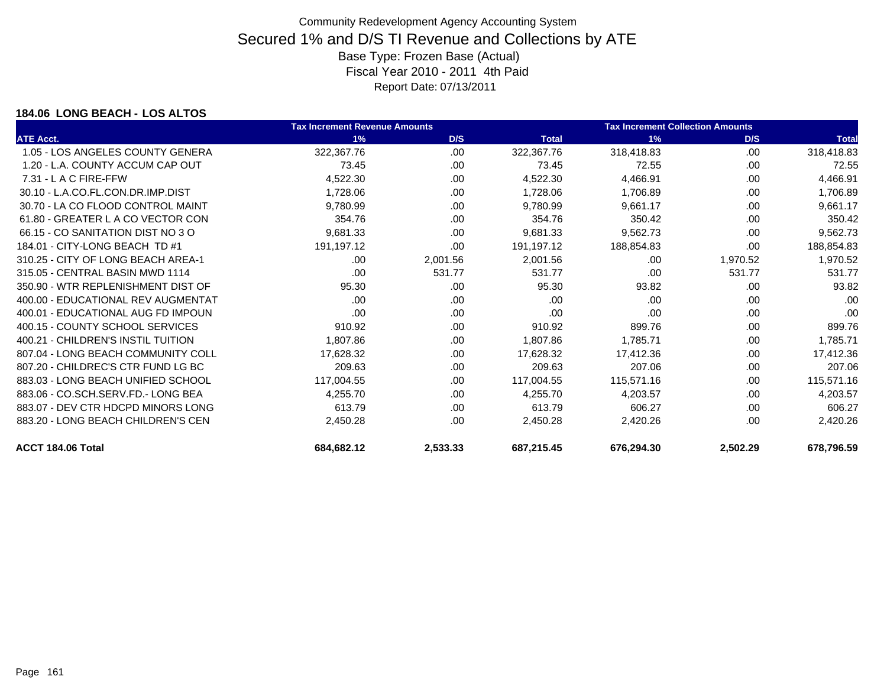### **184.06 LONG BEACH - LOS ALTOS**

|                                    | <b>Tax Increment Revenue Amounts</b> |          |              | <b>Tax Increment Collection Amounts</b> |          |              |
|------------------------------------|--------------------------------------|----------|--------------|-----------------------------------------|----------|--------------|
| <b>ATE Acct.</b>                   | 1%                                   | D/S      | <b>Total</b> | 1%                                      | D/S      | <b>Total</b> |
| 1.05 - LOS ANGELES COUNTY GENERA   | 322,367.76                           | .00.     | 322,367.76   | 318,418.83                              | .00      | 318,418.83   |
| 1.20 - L.A. COUNTY ACCUM CAP OUT   | 73.45                                | .00      | 73.45        | 72.55                                   | .00      | 72.55        |
| $7.31 - L$ A C FIRE-FFW            | 4,522.30                             | .00      | 4,522.30     | 4,466.91                                | .00      | 4,466.91     |
| 30.10 - L.A.CO.FL.CON.DR.IMP.DIST  | 1,728.06                             | .00      | 1,728.06     | 1,706.89                                | .00      | 1,706.89     |
| 30.70 - LA CO FLOOD CONTROL MAINT  | 9,780.99                             | .00      | 9,780.99     | 9,661.17                                | .00      | 9,661.17     |
| 61.80 - GREATER L A CO VECTOR CON  | 354.76                               | .00      | 354.76       | 350.42                                  | .00      | 350.42       |
| 66.15 - CO SANITATION DIST NO 3 O  | 9,681.33                             | .00      | 9,681.33     | 9,562.73                                | .00      | 9,562.73     |
| 184.01 - CITY-LONG BEACH TD #1     | 191,197.12                           | .00      | 191,197.12   | 188,854.83                              | .00      | 188,854.83   |
| 310.25 - CITY OF LONG BEACH AREA-1 | .00.                                 | 2,001.56 | 2,001.56     | .00                                     | 1,970.52 | 1,970.52     |
| 315.05 - CENTRAL BASIN MWD 1114    | .00                                  | 531.77   | 531.77       | .00                                     | 531.77   | 531.77       |
| 350.90 - WTR REPLENISHMENT DIST OF | 95.30                                | .00      | 95.30        | 93.82                                   | .00      | 93.82        |
| 400.00 - EDUCATIONAL REV AUGMENTAT | .00                                  | .00      | .00          | .00                                     | .00      | .00          |
| 400.01 - EDUCATIONAL AUG FD IMPOUN | .00                                  | .00      | .00          | .00                                     | .00      | .00          |
| 400.15 - COUNTY SCHOOL SERVICES    | 910.92                               | .00      | 910.92       | 899.76                                  | .00      | 899.76       |
| 400.21 - CHILDREN'S INSTIL TUITION | 1,807.86                             | .00      | 1,807.86     | 1,785.71                                | .00      | 1,785.71     |
| 807.04 - LONG BEACH COMMUNITY COLL | 17,628.32                            | .00      | 17,628.32    | 17,412.36                               | .00.     | 17,412.36    |
| 807.20 - CHILDREC'S CTR FUND LG BC | 209.63                               | .00      | 209.63       | 207.06                                  | .00.     | 207.06       |
| 883.03 - LONG BEACH UNIFIED SCHOOL | 117,004.55                           | .00      | 117,004.55   | 115,571.16                              | .00      | 115,571.16   |
| 883.06 - CO.SCH.SERV.FD.- LONG BEA | 4,255.70                             | .00.     | 4,255.70     | 4,203.57                                | .00      | 4,203.57     |
| 883.07 - DEV CTR HDCPD MINORS LONG | 613.79                               | .00      | 613.79       | 606.27                                  | .00      | 606.27       |
| 883.20 - LONG BEACH CHILDREN'S CEN | 2,450.28                             | .00.     | 2,450.28     | 2,420.26                                | .00      | 2,420.26     |
| ACCT 184.06 Total                  | 684,682.12                           | 2,533.33 | 687,215.45   | 676,294.30                              | 2,502.29 | 678,796.59   |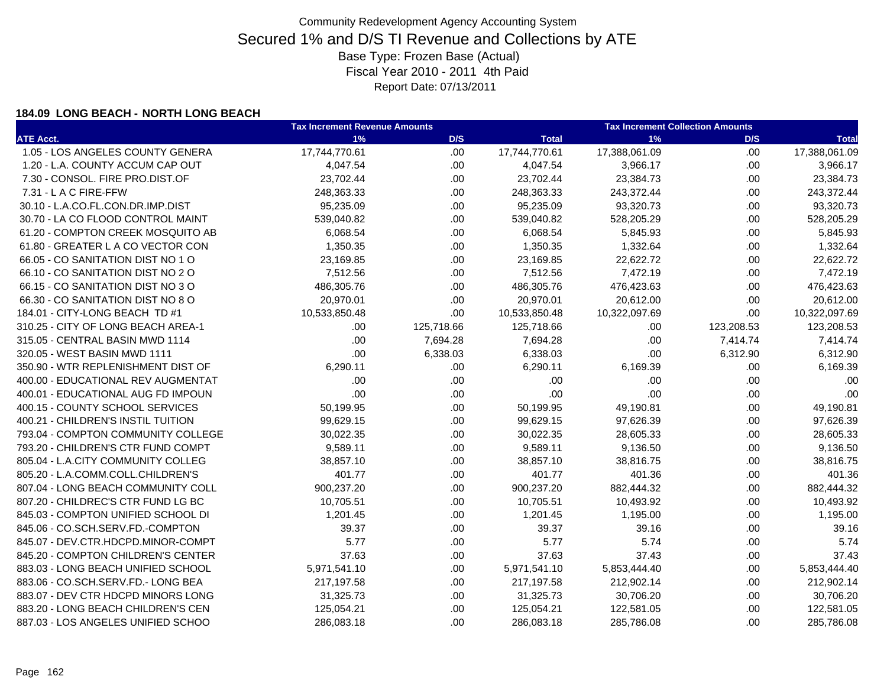### **184.09 LONG BEACH - NORTH LONG BEACH**

|                                    | <b>Tax Increment Revenue Amounts</b> |            | <b>Tax Increment Collection Amounts</b> |               |            |               |
|------------------------------------|--------------------------------------|------------|-----------------------------------------|---------------|------------|---------------|
| <b>ATE Acct.</b>                   | 1%                                   | D/S        | <b>Total</b>                            | 1%            | D/S        | <b>Total</b>  |
| 1.05 - LOS ANGELES COUNTY GENERA   | 17,744,770.61                        | .00.       | 17,744,770.61                           | 17,388,061.09 | .00.       | 17,388,061.09 |
| 1.20 - L.A. COUNTY ACCUM CAP OUT   | 4,047.54                             | .00.       | 4,047.54                                | 3,966.17      | .00.       | 3,966.17      |
| 7.30 - CONSOL. FIRE PRO.DIST.OF    | 23,702.44                            | .00.       | 23,702.44                               | 23,384.73     | .00.       | 23,384.73     |
| 7.31 - L A C FIRE-FFW              | 248,363.33                           | .00.       | 248,363.33                              | 243,372.44    | .00.       | 243,372.44    |
| 30.10 - L.A.CO.FL.CON.DR.IMP.DIST  | 95,235.09                            | .00.       | 95,235.09                               | 93,320.73     | .00.       | 93,320.73     |
| 30.70 - LA CO FLOOD CONTROL MAINT  | 539,040.82                           | .00.       | 539,040.82                              | 528,205.29    | .00.       | 528,205.29    |
| 61.20 - COMPTON CREEK MOSQUITO AB  | 6,068.54                             | .00.       | 6,068.54                                | 5,845.93      | .00.       | 5,845.93      |
| 61.80 - GREATER L A CO VECTOR CON  | 1,350.35                             | .00.       | 1,350.35                                | 1,332.64      | .00.       | 1,332.64      |
| 66.05 - CO SANITATION DIST NO 1 O  | 23,169.85                            | .00        | 23,169.85                               | 22,622.72     | .00.       | 22,622.72     |
| 66.10 - CO SANITATION DIST NO 2 O  | 7,512.56                             | .00        | 7,512.56                                | 7,472.19      | .00.       | 7,472.19      |
| 66.15 - CO SANITATION DIST NO 3 O  | 486,305.76                           | .00        | 486,305.76                              | 476,423.63    | .00.       | 476,423.63    |
| 66.30 - CO SANITATION DIST NO 8 O  | 20,970.01                            | .00.       | 20,970.01                               | 20,612.00     | .00.       | 20,612.00     |
| 184.01 - CITY-LONG BEACH TD #1     | 10,533,850.48                        | .00        | 10,533,850.48                           | 10,322,097.69 | .00        | 10,322,097.69 |
| 310.25 - CITY OF LONG BEACH AREA-1 | .00.                                 | 125,718.66 | 125,718.66                              | .00.          | 123,208.53 | 123,208.53    |
| 315.05 - CENTRAL BASIN MWD 1114    | .00                                  | 7,694.28   | 7,694.28                                | .00           | 7,414.74   | 7,414.74      |
| 320.05 - WEST BASIN MWD 1111       | .00                                  | 6,338.03   | 6,338.03                                | .00           | 6,312.90   | 6,312.90      |
| 350.90 - WTR REPLENISHMENT DIST OF | 6,290.11                             | .00.       | 6,290.11                                | 6,169.39      | .00.       | 6,169.39      |
| 400.00 - EDUCATIONAL REV AUGMENTAT | .00.                                 | .00        | .00                                     | .00           | .00.       | .00           |
| 400.01 - EDUCATIONAL AUG FD IMPOUN | .00.                                 | .00        | .00                                     | .00           | .00.       | .00           |
| 400.15 - COUNTY SCHOOL SERVICES    | 50,199.95                            | .00        | 50,199.95                               | 49,190.81     | .00.       | 49,190.81     |
| 400.21 - CHILDREN'S INSTIL TUITION | 99,629.15                            | .00        | 99,629.15                               | 97,626.39     | .00.       | 97,626.39     |
| 793.04 - COMPTON COMMUNITY COLLEGE | 30,022.35                            | .00        | 30,022.35                               | 28,605.33     | .00.       | 28,605.33     |
| 793.20 - CHILDREN'S CTR FUND COMPT | 9,589.11                             | .00        | 9,589.11                                | 9,136.50      | .00.       | 9,136.50      |
| 805.04 - L.A.CITY COMMUNITY COLLEG | 38,857.10                            | .00        | 38,857.10                               | 38,816.75     | .00.       | 38,816.75     |
| 805.20 - L.A.COMM.COLL.CHILDREN'S  | 401.77                               | .00        | 401.77                                  | 401.36        | .00.       | 401.36        |
| 807.04 - LONG BEACH COMMUNITY COLL | 900,237.20                           | .00        | 900,237.20                              | 882,444.32    | .00.       | 882,444.32    |
| 807.20 - CHILDREC'S CTR FUND LG BC | 10,705.51                            | .00        | 10,705.51                               | 10,493.92     | .00        | 10,493.92     |
| 845.03 - COMPTON UNIFIED SCHOOL DI | 1,201.45                             | .00        | 1,201.45                                | 1,195.00      | .00        | 1,195.00      |
| 845.06 - CO.SCH.SERV.FD.-COMPTON   | 39.37                                | .00        | 39.37                                   | 39.16         | .00.       | 39.16         |
| 845.07 - DEV.CTR.HDCPD.MINOR-COMPT | 5.77                                 | .00        | 5.77                                    | 5.74          | .00.       | 5.74          |
| 845.20 - COMPTON CHILDREN'S CENTER | 37.63                                | .00        | 37.63                                   | 37.43         | .00.       | 37.43         |
| 883.03 - LONG BEACH UNIFIED SCHOOL | 5,971,541.10                         | .00.       | 5,971,541.10                            | 5,853,444.40  | .00.       | 5,853,444.40  |
| 883.06 - CO.SCH.SERV.FD.- LONG BEA | 217,197.58                           | .00        | 217,197.58                              | 212,902.14    | .00.       | 212,902.14    |
| 883.07 - DEV CTR HDCPD MINORS LONG | 31,325.73                            | .00.       | 31,325.73                               | 30,706.20     | .00.       | 30,706.20     |
| 883.20 - LONG BEACH CHILDREN'S CEN | 125,054.21                           | .00        | 125,054.21                              | 122,581.05    | .00.       | 122,581.05    |
| 887.03 - LOS ANGELES UNIFIED SCHOO | 286,083.18                           | .00.       | 286,083.18                              | 285,786.08    | .00        | 285,786.08    |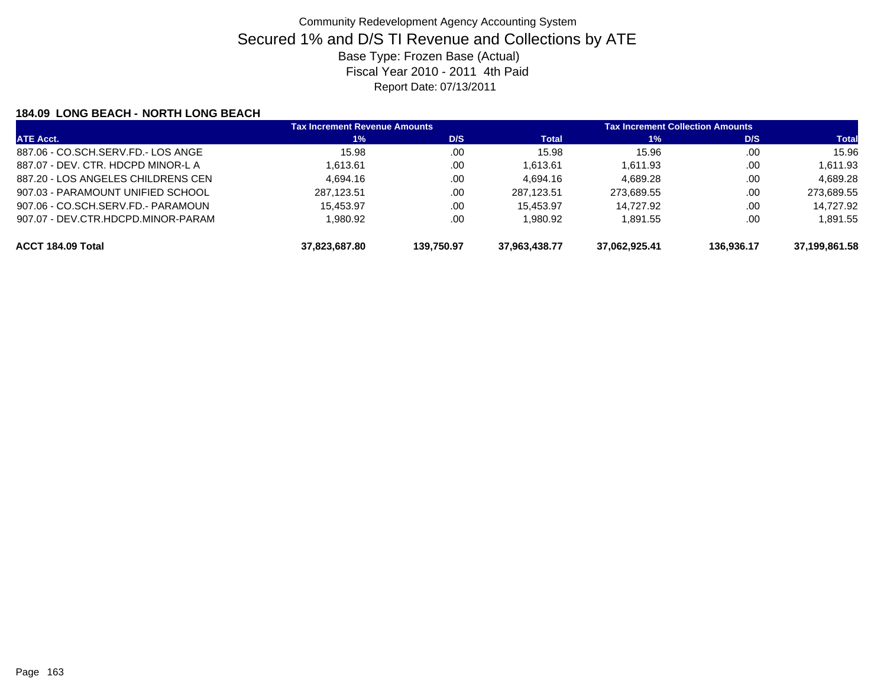### **184.09 LONG BEACH - NORTH LONG BEACH**

| <b>ATE Acct.</b>                   | <b>Tax Increment Revenue Amounts</b> |            | <b>Tax Increment Collection Amounts</b> |               |            |               |
|------------------------------------|--------------------------------------|------------|-----------------------------------------|---------------|------------|---------------|
|                                    | $1\%$                                | D/S        | <b>Total</b>                            | $1\%$         | D/S        | <b>Total</b>  |
| 887.06 - CO.SCH.SERV.FD.- LOS ANGE | 15.98                                | .00        | 15.98                                   | 15.96         | .00.       | 15.96         |
| 887.07 - DEV. CTR. HDCPD MINOR-L A | 1.613.61                             | .00        | 1.613.61                                | 1.611.93      | .00.       | 1,611.93      |
| 887.20 - LOS ANGELES CHILDRENS CEN | 4.694.16                             | .00        | 4.694.16                                | 4.689.28      | .00        | 4.689.28      |
| 907.03 - PARAMOUNT UNIFIED SCHOOL  | 287.123.51                           | .00        | 287.123.51                              | 273.689.55    | .00        | 273.689.55    |
| 907.06 - CO.SCH.SERV.FD.- PARAMOUN | 15.453.97                            | .00        | 15.453.97                               | 14.727.92     | .00        | 14.727.92     |
| 907.07 - DEV.CTR.HDCPD.MINOR-PARAM | 1.980.92                             | .00        | 1.980.92                                | 1.891.55      | .00        | 1,891.55      |
| ACCT 184.09 Total                  | 37.823.687.80                        | 139.750.97 | 37.963.438.77                           | 37,062,925.41 | 136.936.17 | 37.199.861.58 |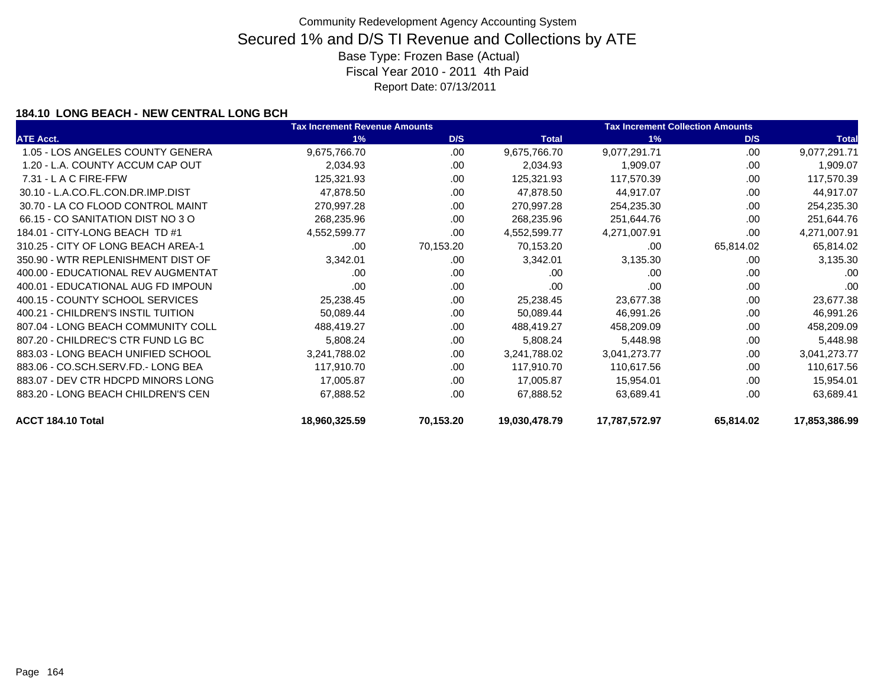### **184.10 LONG BEACH - NEW CENTRAL LONG BCH**

|                                    | <b>Tax Increment Revenue Amounts</b> |           |               | <b>Tax Increment Collection Amounts</b> |           |               |
|------------------------------------|--------------------------------------|-----------|---------------|-----------------------------------------|-----------|---------------|
| <b>ATE Acct.</b>                   | 1%                                   | D/S       | <b>Total</b>  | 1%                                      | D/S       | <b>Total</b>  |
| 1.05 - LOS ANGELES COUNTY GENERA   | 9,675,766.70                         | .00       | 9,675,766.70  | 9,077,291.71                            | .00       | 9,077,291.71  |
| 1.20 - L.A. COUNTY ACCUM CAP OUT   | 2,034.93                             | .00       | 2,034.93      | 1,909.07                                | .00       | 1,909.07      |
| $7.31 - L$ A C FIRE-FFW            | 125,321.93                           | .00       | 125,321.93    | 117,570.39                              | .00.      | 117,570.39    |
| 30.10 - L.A.CO.FL.CON.DR.IMP.DIST  | 47,878.50                            | .00       | 47,878.50     | 44,917.07                               | .00.      | 44,917.07     |
| 30.70 - LA CO FLOOD CONTROL MAINT  | 270,997.28                           | .00       | 270,997.28    | 254,235.30                              | .00       | 254,235.30    |
| 66.15 - CO SANITATION DIST NO 3 O  | 268,235.96                           | .00       | 268,235.96    | 251,644.76                              | .00.      | 251,644.76    |
| 184.01 - CITY-LONG BEACH TD #1     | 4,552,599.77                         | .00       | 4,552,599.77  | 4,271,007.91                            | .00       | 4,271,007.91  |
| 310.25 - CITY OF LONG BEACH AREA-1 | .00                                  | 70,153.20 | 70,153.20     | .00                                     | 65,814.02 | 65,814.02     |
| 350.90 - WTR REPLENISHMENT DIST OF | 3,342.01                             | .00       | 3,342.01      | 3,135.30                                | .00.      | 3,135.30      |
| 400.00 - EDUCATIONAL REV AUGMENTAT | .00                                  | .00       | .00           | .00                                     | .00       | .00           |
| 400.01 - EDUCATIONAL AUG FD IMPOUN | .00                                  | .00       | .00           | .00                                     | .00       | .00           |
| 400.15 - COUNTY SCHOOL SERVICES    | 25,238.45                            | .00       | 25,238.45     | 23,677.38                               | .00.      | 23,677.38     |
| 400.21 - CHILDREN'S INSTIL TUITION | 50,089.44                            | .00       | 50,089.44     | 46,991.26                               | .00       | 46,991.26     |
| 807.04 - LONG BEACH COMMUNITY COLL | 488,419.27                           | .00       | 488,419.27    | 458,209.09                              | .00       | 458,209.09    |
| 807.20 - CHILDREC'S CTR FUND LG BC | 5,808.24                             | .00       | 5,808.24      | 5,448.98                                | .00       | 5,448.98      |
| 883.03 - LONG BEACH UNIFIED SCHOOL | 3,241,788.02                         | .00       | 3,241,788.02  | 3,041,273.77                            | .00       | 3,041,273.77  |
| 883.06 - CO.SCH.SERV.FD.- LONG BEA | 117,910.70                           | .00       | 117,910.70    | 110,617.56                              | .00.      | 110,617.56    |
| 883.07 - DEV CTR HDCPD MINORS LONG | 17,005.87                            | .00       | 17,005.87     | 15,954.01                               | .00       | 15,954.01     |
| 883.20 - LONG BEACH CHILDREN'S CEN | 67,888.52                            | .00       | 67,888.52     | 63,689.41                               | .00       | 63,689.41     |
| ACCT 184.10 Total                  | 18,960,325.59                        | 70,153.20 | 19,030,478.79 | 17,787,572.97                           | 65,814.02 | 17,853,386.99 |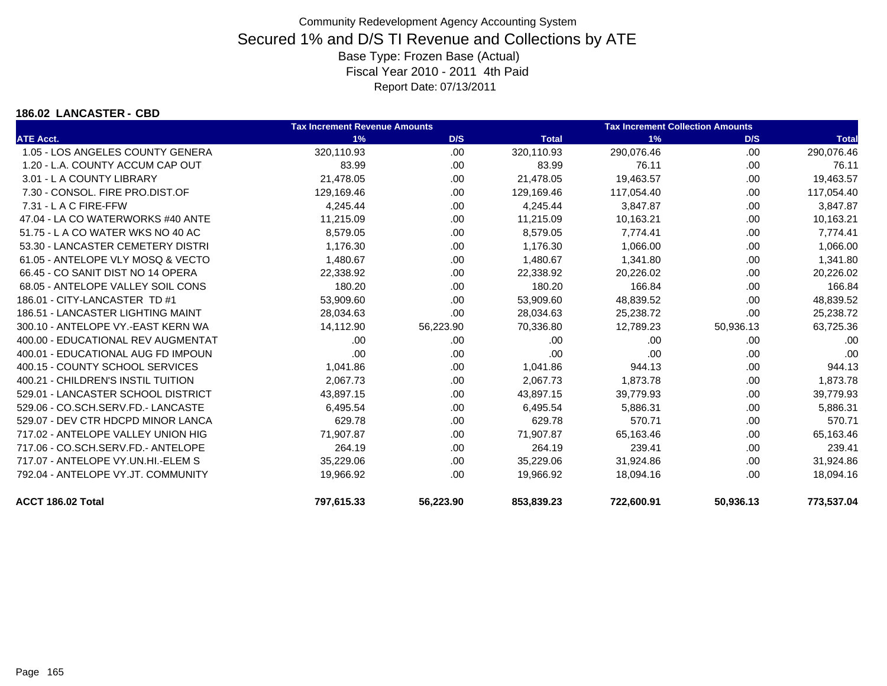#### **186.02 LANCASTER - CBD**

|                                    | <b>Tax Increment Revenue Amounts</b> |           |              | <b>Tax Increment Collection Amounts</b> |           |              |
|------------------------------------|--------------------------------------|-----------|--------------|-----------------------------------------|-----------|--------------|
| <b>ATE Acct.</b>                   | 1%                                   | D/S       | <b>Total</b> | 1%                                      | D/S       | <b>Total</b> |
| 1.05 - LOS ANGELES COUNTY GENERA   | 320,110.93                           | .00       | 320,110.93   | 290,076.46                              | .00       | 290,076.46   |
| 1.20 - L.A. COUNTY ACCUM CAP OUT   | 83.99                                | .00.      | 83.99        | 76.11                                   | .00       | 76.11        |
| 3.01 - L A COUNTY LIBRARY          | 21,478.05                            | .00       | 21,478.05    | 19,463.57                               | .00       | 19,463.57    |
| 7.30 - CONSOL. FIRE PRO.DIST.OF    | 129,169.46                           | .00.      | 129,169.46   | 117,054.40                              | .00       | 117,054.40   |
| $7.31 - L$ A C FIRE-FFW            | 4,245.44                             | .00.      | 4,245.44     | 3,847.87                                | .00       | 3,847.87     |
| 47.04 - LA CO WATERWORKS #40 ANTE  | 11,215.09                            | .00.      | 11,215.09    | 10,163.21                               | .00       | 10,163.21    |
| 51.75 - L A CO WATER WKS NO 40 AC  | 8,579.05                             | .00.      | 8,579.05     | 7,774.41                                | .00       | 7,774.41     |
| 53.30 - LANCASTER CEMETERY DISTRI  | 1,176.30                             | .00.      | 1,176.30     | 1,066.00                                | .00       | 1,066.00     |
| 61.05 - ANTELOPE VLY MOSQ & VECTO  | 1,480.67                             | .00       | 1,480.67     | 1,341.80                                | .00       | 1,341.80     |
| 66.45 - CO SANIT DIST NO 14 OPERA  | 22,338.92                            | .00.      | 22,338.92    | 20,226.02                               | .00       | 20,226.02    |
| 68.05 - ANTELOPE VALLEY SOIL CONS  | 180.20                               | .00       | 180.20       | 166.84                                  | .00       | 166.84       |
| 186.01 - CITY-LANCASTER TD #1      | 53,909.60                            | .00       | 53,909.60    | 48,839.52                               | .00       | 48,839.52    |
| 186.51 - LANCASTER LIGHTING MAINT  | 28,034.63                            | .00       | 28,034.63    | 25,238.72                               | .00       | 25,238.72    |
| 300.10 - ANTELOPE VY.-EAST KERN WA | 14,112.90                            | 56,223.90 | 70,336.80    | 12,789.23                               | 50,936.13 | 63,725.36    |
| 400.00 - EDUCATIONAL REV AUGMENTAT | .00                                  | .00       | .00          | .00                                     | .00       | .00          |
| 400.01 - EDUCATIONAL AUG FD IMPOUN | .00                                  | .00.      | .00          | .00                                     | .00       | .00          |
| 400.15 - COUNTY SCHOOL SERVICES    | 1,041.86                             | .00       | 1,041.86     | 944.13                                  | .00       | 944.13       |
| 400.21 - CHILDREN'S INSTIL TUITION | 2,067.73                             | .00       | 2.067.73     | 1,873.78                                | .00       | 1,873.78     |
| 529.01 - LANCASTER SCHOOL DISTRICT | 43,897.15                            | .00.      | 43,897.15    | 39,779.93                               | .00       | 39,779.93    |
| 529.06 - CO.SCH.SERV.FD.- LANCASTE | 6,495.54                             | .00       | 6,495.54     | 5,886.31                                | .00       | 5,886.31     |
| 529.07 - DEV CTR HDCPD MINOR LANCA | 629.78                               | .00.      | 629.78       | 570.71                                  | .00       | 570.71       |
| 717.02 - ANTELOPE VALLEY UNION HIG | 71,907.87                            | .00.      | 71,907.87    | 65,163.46                               | .00       | 65,163.46    |
| 717.06 - CO.SCH.SERV.FD.- ANTELOPE | 264.19                               | .00       | 264.19       | 239.41                                  | .00       | 239.41       |
| 717.07 - ANTELOPE VY.UN.HI.-ELEM S | 35,229.06                            | .00.      | 35,229.06    | 31,924.86                               | .00       | 31,924.86    |
| 792.04 - ANTELOPE VY.JT. COMMUNITY | 19,966.92                            | .00       | 19,966.92    | 18,094.16                               | .00       | 18,094.16    |
| ACCT 186.02 Total                  | 797,615.33                           | 56,223.90 | 853,839.23   | 722,600.91                              | 50,936.13 | 773,537.04   |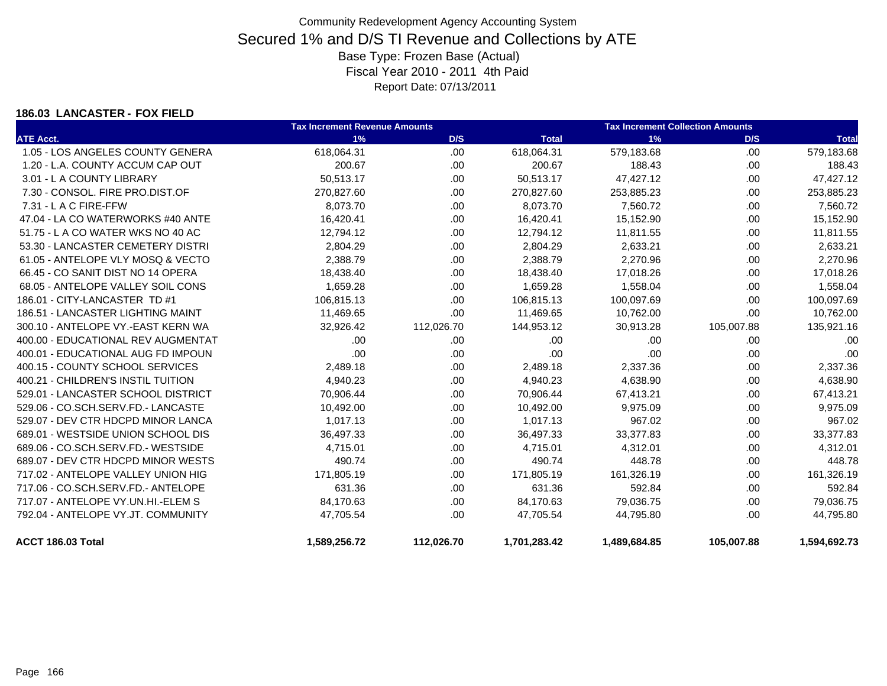### **186.03 LANCASTER - FOX FIELD**

|                                    | <b>Tax Increment Revenue Amounts</b> |            |              | <b>Tax Increment Collection Amounts</b> |            |              |  |
|------------------------------------|--------------------------------------|------------|--------------|-----------------------------------------|------------|--------------|--|
| <b>ATE Acct.</b>                   | 1%                                   | D/S        | <b>Total</b> | 1%                                      | D/S        | <b>Total</b> |  |
| 1.05 - LOS ANGELES COUNTY GENERA   | 618,064.31                           | .00.       | 618,064.31   | 579,183.68                              | .00.       | 579,183.68   |  |
| 1.20 - L.A. COUNTY ACCUM CAP OUT   | 200.67                               | .00        | 200.67       | 188.43                                  | .00.       | 188.43       |  |
| 3.01 - L A COUNTY LIBRARY          | 50,513.17                            | .00.       | 50,513.17    | 47,427.12                               | .00.       | 47,427.12    |  |
| 7.30 - CONSOL. FIRE PRO.DIST.OF    | 270,827.60                           | .00.       | 270,827.60   | 253,885.23                              | .00.       | 253,885.23   |  |
| $7.31 - L$ A C FIRE-FFW            | 8,073.70                             | .00.       | 8,073.70     | 7,560.72                                | .00.       | 7,560.72     |  |
| 47.04 - LA CO WATERWORKS #40 ANTE  | 16,420.41                            | .00.       | 16,420.41    | 15,152.90                               | .00        | 15,152.90    |  |
| 51.75 - L A CO WATER WKS NO 40 AC  | 12,794.12                            | .00.       | 12,794.12    | 11,811.55                               | .00.       | 11,811.55    |  |
| 53.30 - LANCASTER CEMETERY DISTRI  | 2,804.29                             | .00.       | 2,804.29     | 2,633.21                                | .00.       | 2,633.21     |  |
| 61.05 - ANTELOPE VLY MOSQ & VECTO  | 2,388.79                             | .00.       | 2,388.79     | 2,270.96                                | .00        | 2,270.96     |  |
| 66.45 - CO SANIT DIST NO 14 OPERA  | 18,438.40                            | .00.       | 18,438.40    | 17,018.26                               | .00.       | 17,018.26    |  |
| 68.05 - ANTELOPE VALLEY SOIL CONS  | 1,659.28                             | .00.       | 1,659.28     | 1,558.04                                | .00.       | 1,558.04     |  |
| 186.01 - CITY-LANCASTER TD #1      | 106,815.13                           | .00        | 106,815.13   | 100,097.69                              | .00.       | 100,097.69   |  |
| 186.51 - LANCASTER LIGHTING MAINT  | 11,469.65                            | .00        | 11,469.65    | 10,762.00                               | .00        | 10,762.00    |  |
| 300.10 - ANTELOPE VY.-EAST KERN WA | 32,926.42                            | 112,026.70 | 144,953.12   | 30,913.28                               | 105,007.88 | 135,921.16   |  |
| 400.00 - EDUCATIONAL REV AUGMENTAT | .00                                  | .00        | .00          | .00                                     | .00.       | .00          |  |
| 400.01 - EDUCATIONAL AUG FD IMPOUN | .00                                  | .00.       | .00          | .00                                     | .00        | .00          |  |
| 400.15 - COUNTY SCHOOL SERVICES    | 2,489.18                             | .00.       | 2,489.18     | 2,337.36                                | .00.       | 2,337.36     |  |
| 400.21 - CHILDREN'S INSTIL TUITION | 4,940.23                             | .00.       | 4,940.23     | 4,638.90                                | .00        | 4,638.90     |  |
| 529.01 - LANCASTER SCHOOL DISTRICT | 70,906.44                            | .00.       | 70,906.44    | 67,413.21                               | .00        | 67,413.21    |  |
| 529.06 - CO.SCH.SERV.FD.- LANCASTE | 10,492.00                            | .00.       | 10,492.00    | 9,975.09                                | .00.       | 9,975.09     |  |
| 529.07 - DEV CTR HDCPD MINOR LANCA | 1,017.13                             | .00.       | 1,017.13     | 967.02                                  | .00        | 967.02       |  |
| 689.01 - WESTSIDE UNION SCHOOL DIS | 36,497.33                            | .00        | 36,497.33    | 33,377.83                               | .00.       | 33,377.83    |  |
| 689.06 - CO.SCH.SERV.FD.- WESTSIDE | 4,715.01                             | .00.       | 4,715.01     | 4,312.01                                | .00        | 4,312.01     |  |
| 689.07 - DEV CTR HDCPD MINOR WESTS | 490.74                               | .00.       | 490.74       | 448.78                                  | .00.       | 448.78       |  |
| 717.02 - ANTELOPE VALLEY UNION HIG | 171,805.19                           | .00.       | 171,805.19   | 161,326.19                              | .00.       | 161,326.19   |  |
| 717.06 - CO.SCH.SERV.FD.- ANTELOPE | 631.36                               | .00.       | 631.36       | 592.84                                  | .00        | 592.84       |  |
| 717.07 - ANTELOPE VY.UN.HI.-ELEM S | 84,170.63                            | .00.       | 84,170.63    | 79,036.75                               | .00        | 79,036.75    |  |
| 792.04 - ANTELOPE VY.JT. COMMUNITY | 47,705.54                            | .00.       | 47,705.54    | 44,795.80                               | .00        | 44,795.80    |  |
| <b>ACCT 186.03 Total</b>           | 1,589,256.72                         | 112,026.70 | 1,701,283.42 | 1,489,684.85                            | 105,007.88 | 1,594,692.73 |  |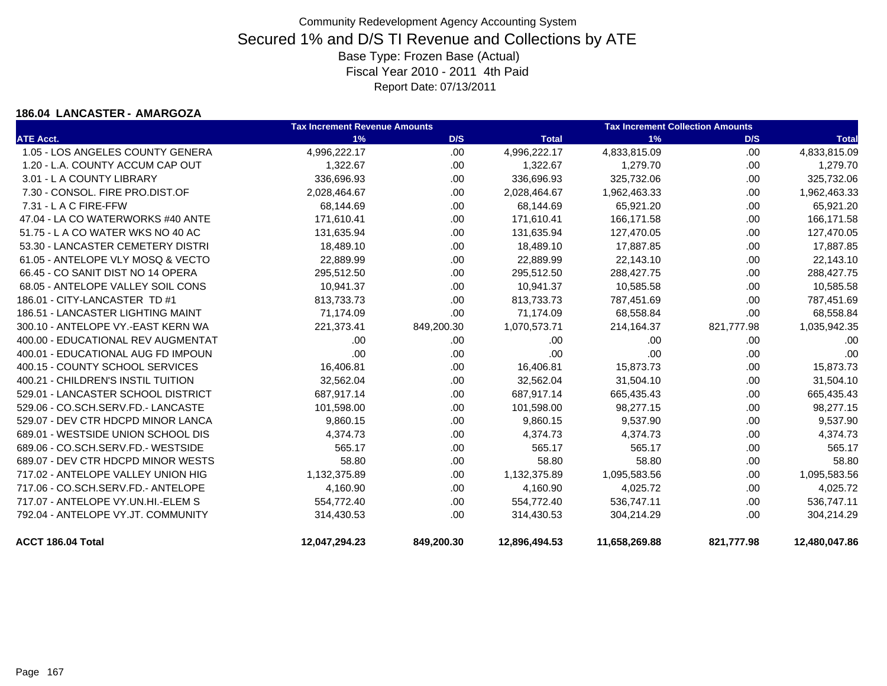#### **186.04 LANCASTER - AMARGOZA**

|                                    | <b>Tax Increment Revenue Amounts</b> |            |               | <b>Tax Increment Collection Amounts</b> |            |               |
|------------------------------------|--------------------------------------|------------|---------------|-----------------------------------------|------------|---------------|
| <b>ATE Acct.</b>                   | 1%                                   | D/S        | <b>Total</b>  | 1%                                      | D/S        | <b>Total</b>  |
| 1.05 - LOS ANGELES COUNTY GENERA   | 4,996,222.17                         | .00.       | 4,996,222.17  | 4,833,815.09                            | .00        | 4,833,815.09  |
| 1.20 - L.A. COUNTY ACCUM CAP OUT   | 1,322.67                             | .00.       | 1,322.67      | 1,279.70                                | .00        | 1,279.70      |
| 3.01 - L A COUNTY LIBRARY          | 336,696.93                           | .00.       | 336,696.93    | 325,732.06                              | .00        | 325,732.06    |
| 7.30 - CONSOL. FIRE PRO.DIST.OF    | 2,028,464.67                         | .00.       | 2,028,464.67  | 1,962,463.33                            | .00        | 1,962,463.33  |
| $7.31 - L$ A C FIRE-FFW            | 68,144.69                            | .00.       | 68,144.69     | 65,921.20                               | .00        | 65,921.20     |
| 47.04 - LA CO WATERWORKS #40 ANTE  | 171,610.41                           | .00.       | 171,610.41    | 166,171.58                              | .00        | 166,171.58    |
| 51.75 - L A CO WATER WKS NO 40 AC  | 131,635.94                           | .00.       | 131,635.94    | 127,470.05                              | .00.       | 127,470.05    |
| 53.30 - LANCASTER CEMETERY DISTRI  | 18,489.10                            | .00.       | 18,489.10     | 17,887.85                               | .00        | 17,887.85     |
| 61.05 - ANTELOPE VLY MOSQ & VECTO  | 22,889.99                            | .00.       | 22,889.99     | 22,143.10                               | .00        | 22,143.10     |
| 66.45 - CO SANIT DIST NO 14 OPERA  | 295,512.50                           | .00.       | 295,512.50    | 288,427.75                              | .00        | 288,427.75    |
| 68.05 - ANTELOPE VALLEY SOIL CONS  | 10,941.37                            | .00.       | 10,941.37     | 10,585.58                               | .00        | 10,585.58     |
| 186.01 - CITY-LANCASTER TD #1      | 813,733.73                           | .00.       | 813,733.73    | 787,451.69                              | .00        | 787,451.69    |
| 186.51 - LANCASTER LIGHTING MAINT  | 71,174.09                            | .00.       | 71,174.09     | 68,558.84                               | .00.       | 68,558.84     |
| 300.10 - ANTELOPE VY.-EAST KERN WA | 221,373.41                           | 849,200.30 | 1,070,573.71  | 214,164.37                              | 821,777.98 | 1,035,942.35  |
| 400.00 - EDUCATIONAL REV AUGMENTAT | .00                                  | .00        | .00           | .00                                     | .00        | .00           |
| 400.01 - EDUCATIONAL AUG FD IMPOUN | .00                                  | .00        | .00           | .00                                     | .00        | .00           |
| 400.15 - COUNTY SCHOOL SERVICES    | 16,406.81                            | .00.       | 16,406.81     | 15,873.73                               | .00.       | 15,873.73     |
| 400.21 - CHILDREN'S INSTIL TUITION | 32,562.04                            | .00.       | 32,562.04     | 31,504.10                               | .00.       | 31,504.10     |
| 529.01 - LANCASTER SCHOOL DISTRICT | 687,917.14                           | .00.       | 687,917.14    | 665,435.43                              | .00        | 665,435.43    |
| 529.06 - CO.SCH.SERV.FD.- LANCASTE | 101,598.00                           | .00.       | 101,598.00    | 98,277.15                               | .00        | 98,277.15     |
| 529.07 - DEV CTR HDCPD MINOR LANCA | 9,860.15                             | .00        | 9,860.15      | 9,537.90                                | .00        | 9,537.90      |
| 689.01 - WESTSIDE UNION SCHOOL DIS | 4,374.73                             | .00.       | 4,374.73      | 4,374.73                                | .00        | 4,374.73      |
| 689.06 - CO.SCH.SERV.FD.- WESTSIDE | 565.17                               | .00.       | 565.17        | 565.17                                  | .00.       | 565.17        |
| 689.07 - DEV CTR HDCPD MINOR WESTS | 58.80                                | .00.       | 58.80         | 58.80                                   | .00        | 58.80         |
| 717.02 - ANTELOPE VALLEY UNION HIG | 1,132,375.89                         | .00.       | 1,132,375.89  | 1,095,583.56                            | .00        | 1,095,583.56  |
| 717.06 - CO.SCH.SERV.FD.- ANTELOPE | 4,160.90                             | .00.       | 4,160.90      | 4,025.72                                | .00        | 4,025.72      |
| 717.07 - ANTELOPE VY.UN.HI.-ELEM S | 554,772.40                           | .00.       | 554,772.40    | 536,747.11                              | .00        | 536,747.11    |
| 792.04 - ANTELOPE VY.JT. COMMUNITY | 314,430.53                           | .00.       | 314,430.53    | 304,214.29                              | .00.       | 304,214.29    |
| ACCT 186.04 Total                  | 12,047,294.23                        | 849,200.30 | 12,896,494.53 | 11,658,269.88                           | 821,777.98 | 12,480,047.86 |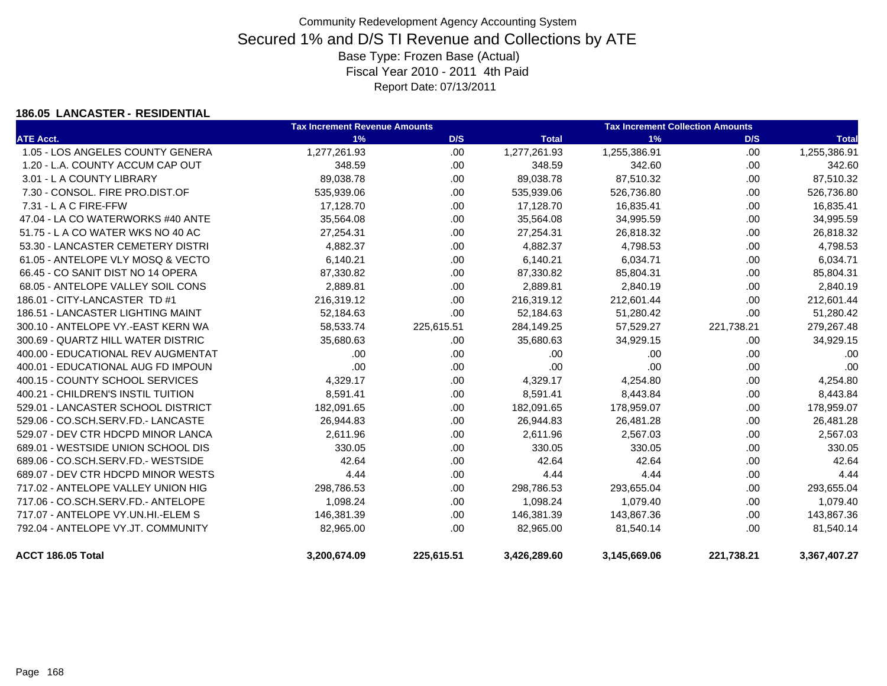#### **186.05 LANCASTER - RESIDENTIAL**

|                                    | <b>Tax Increment Revenue Amounts</b> |            |              | <b>Tax Increment Collection Amounts</b> |            |              |  |
|------------------------------------|--------------------------------------|------------|--------------|-----------------------------------------|------------|--------------|--|
| <b>ATE Acct.</b>                   | 1%                                   | D/S        | <b>Total</b> | 1%                                      | D/S        | <b>Total</b> |  |
| 1.05 - LOS ANGELES COUNTY GENERA   | 1,277,261.93                         | .00        | 1,277,261.93 | 1,255,386.91                            | .00        | 1,255,386.91 |  |
| 1.20 - L.A. COUNTY ACCUM CAP OUT   | 348.59                               | .00        | 348.59       | 342.60                                  | .00        | 342.60       |  |
| 3.01 - L A COUNTY LIBRARY          | 89,038.78                            | .00.       | 89,038.78    | 87,510.32                               | .00        | 87,510.32    |  |
| 7.30 - CONSOL, FIRE PRO.DIST.OF    | 535,939.06                           | .00        | 535,939.06   | 526,736.80                              | .00        | 526,736.80   |  |
| 7.31 - L A C FIRE-FFW              | 17,128.70                            | .00.       | 17,128.70    | 16,835.41                               | .00        | 16,835.41    |  |
| 47.04 - LA CO WATERWORKS #40 ANTE  | 35,564.08                            | .00.       | 35,564.08    | 34,995.59                               | .00        | 34,995.59    |  |
| 51.75 - L A CO WATER WKS NO 40 AC  | 27,254.31                            | .00.       | 27,254.31    | 26,818.32                               | .00        | 26,818.32    |  |
| 53.30 - LANCASTER CEMETERY DISTRI  | 4,882.37                             | .00.       | 4,882.37     | 4,798.53                                | .00        | 4,798.53     |  |
| 61.05 - ANTELOPE VLY MOSQ & VECTO  | 6,140.21                             | .00.       | 6,140.21     | 6,034.71                                | .00        | 6,034.71     |  |
| 66.45 - CO SANIT DIST NO 14 OPERA  | 87,330.82                            | .00.       | 87,330.82    | 85,804.31                               | .00        | 85,804.31    |  |
| 68.05 - ANTELOPE VALLEY SOIL CONS  | 2,889.81                             | .00.       | 2,889.81     | 2,840.19                                | .00        | 2,840.19     |  |
| 186.01 - CITY-LANCASTER TD #1      | 216,319.12                           | .00        | 216,319.12   | 212,601.44                              | .00        | 212,601.44   |  |
| 186.51 - LANCASTER LIGHTING MAINT  | 52,184.63                            | .00.       | 52,184.63    | 51,280.42                               | .00        | 51,280.42    |  |
| 300.10 - ANTELOPE VY.-EAST KERN WA | 58,533.74                            | 225,615.51 | 284,149.25   | 57,529.27                               | 221,738.21 | 279,267.48   |  |
| 300.69 - QUARTZ HILL WATER DISTRIC | 35,680.63                            | .00.       | 35,680.63    | 34,929.15                               | .00        | 34,929.15    |  |
| 400.00 - EDUCATIONAL REV AUGMENTAT | .00                                  | .00.       | .00          | .00                                     | .00        | .00          |  |
| 400.01 - EDUCATIONAL AUG FD IMPOUN | .00                                  | .00        | .00          | .00                                     | .00        | .00          |  |
| 400.15 - COUNTY SCHOOL SERVICES    | 4,329.17                             | .00.       | 4,329.17     | 4,254.80                                | .00        | 4,254.80     |  |
| 400.21 - CHILDREN'S INSTIL TUITION | 8,591.41                             | .00.       | 8,591.41     | 8,443.84                                | .00        | 8,443.84     |  |
| 529.01 - LANCASTER SCHOOL DISTRICT | 182,091.65                           | .00        | 182,091.65   | 178,959.07                              | .00        | 178,959.07   |  |
| 529.06 - CO.SCH.SERV.FD.- LANCASTE | 26,944.83                            | .00.       | 26,944.83    | 26,481.28                               | .00        | 26,481.28    |  |
| 529.07 - DEV CTR HDCPD MINOR LANCA | 2,611.96                             | .00        | 2,611.96     | 2,567.03                                | .00        | 2,567.03     |  |
| 689.01 - WESTSIDE UNION SCHOOL DIS | 330.05                               | .00.       | 330.05       | 330.05                                  | .00        | 330.05       |  |
| 689.06 - CO.SCH.SERV.FD.- WESTSIDE | 42.64                                | .00        | 42.64        | 42.64                                   | .00        | 42.64        |  |
| 689.07 - DEV CTR HDCPD MINOR WESTS | 4.44                                 | .00        | 4.44         | 4.44                                    | .00        | 4.44         |  |
| 717.02 - ANTELOPE VALLEY UNION HIG | 298,786.53                           | .00.       | 298,786.53   | 293,655.04                              | .00        | 293,655.04   |  |
| 717.06 - CO.SCH.SERV.FD.- ANTELOPE | 1,098.24                             | .00        | 1,098.24     | 1,079.40                                | .00        | 1,079.40     |  |
| 717.07 - ANTELOPE VY.UN.HI.-ELEM S | 146,381.39                           | .00.       | 146,381.39   | 143,867.36                              | .00        | 143,867.36   |  |
| 792.04 - ANTELOPE VY.JT. COMMUNITY | 82,965.00                            | .00        | 82,965.00    | 81,540.14                               | .00        | 81,540.14    |  |
| ACCT 186.05 Total                  | 3,200,674.09                         | 225,615.51 | 3,426,289.60 | 3,145,669.06                            | 221,738.21 | 3,367,407.27 |  |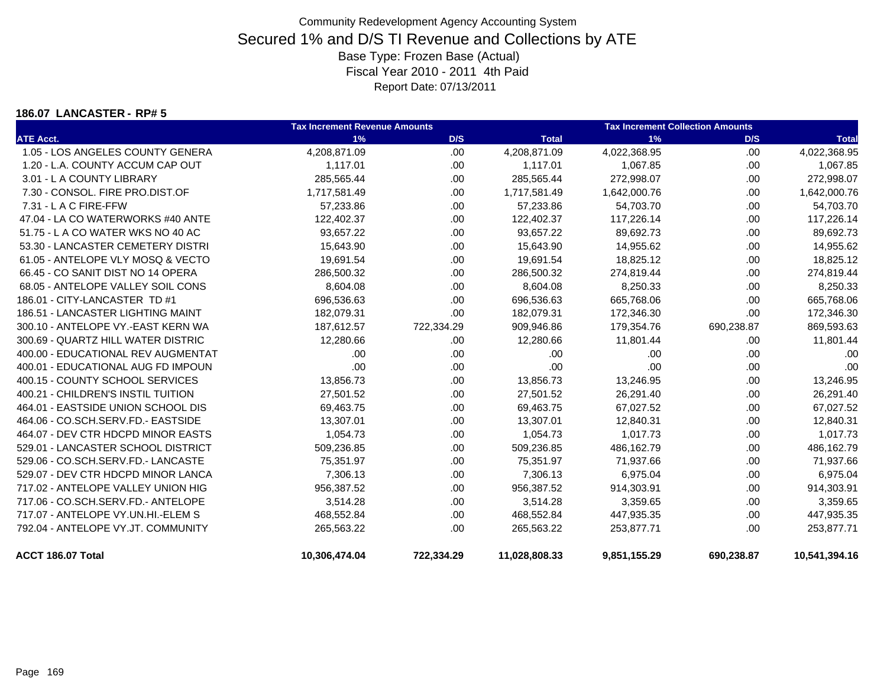#### **186.07 LANCASTER - RP# 5**

|                                    | <b>Tax Increment Revenue Amounts</b> |            | <b>Tax Increment Collection Amounts</b> |              |            |               |
|------------------------------------|--------------------------------------|------------|-----------------------------------------|--------------|------------|---------------|
| <b>ATE Acct.</b>                   | 1%                                   | D/S        | <b>Total</b>                            | 1%           | D/S        | <b>Total</b>  |
| 1.05 - LOS ANGELES COUNTY GENERA   | 4,208,871.09                         | .00        | 4,208,871.09                            | 4,022,368.95 | .00        | 4,022,368.95  |
| 1.20 - L.A. COUNTY ACCUM CAP OUT   | 1,117.01                             | .00.       | 1,117.01                                | 1,067.85     | .00        | 1,067.85      |
| 3.01 - L A COUNTY LIBRARY          | 285,565.44                           | .00.       | 285,565.44                              | 272,998.07   | .00        | 272,998.07    |
| 7.30 - CONSOL, FIRE PRO.DIST.OF    | 1,717,581.49                         | .00.       | 1,717,581.49                            | 1,642,000.76 | .00        | 1,642,000.76  |
| 7.31 - L A C FIRE-FFW              | 57,233.86                            | .00        | 57,233.86                               | 54,703.70    | .00        | 54,703.70     |
| 47.04 - LA CO WATERWORKS #40 ANTE  | 122,402.37                           | .00.       | 122,402.37                              | 117,226.14   | .00        | 117,226.14    |
| 51.75 - L A CO WATER WKS NO 40 AC  | 93,657.22                            | .00.       | 93,657.22                               | 89,692.73    | .00        | 89,692.73     |
| 53.30 - LANCASTER CEMETERY DISTRI  | 15,643.90                            | .00.       | 15,643.90                               | 14,955.62    | .00        | 14,955.62     |
| 61.05 - ANTELOPE VLY MOSQ & VECTO  | 19,691.54                            | .00.       | 19,691.54                               | 18,825.12    | .00        | 18,825.12     |
| 66.45 - CO SANIT DIST NO 14 OPERA  | 286,500.32                           | .00.       | 286,500.32                              | 274,819.44   | .00        | 274,819.44    |
| 68.05 - ANTELOPE VALLEY SOIL CONS  | 8,604.08                             | .00.       | 8,604.08                                | 8,250.33     | .00        | 8,250.33      |
| 186.01 - CITY-LANCASTER TD #1      | 696,536.63                           | .00        | 696,536.63                              | 665,768.06   | .00        | 665,768.06    |
| 186.51 - LANCASTER LIGHTING MAINT  | 182,079.31                           | .00.       | 182,079.31                              | 172,346.30   | .00        | 172,346.30    |
| 300.10 - ANTELOPE VY.-EAST KERN WA | 187,612.57                           | 722,334.29 | 909,946.86                              | 179,354.76   | 690,238.87 | 869,593.63    |
| 300.69 - QUARTZ HILL WATER DISTRIC | 12,280.66                            | .00        | 12,280.66                               | 11,801.44    | .00        | 11,801.44     |
| 400.00 - EDUCATIONAL REV AUGMENTAT | .00                                  | .00.       | .00                                     | .00          | .00        | .00           |
| 400.01 - EDUCATIONAL AUG FD IMPOUN | .00                                  | .00        | .00                                     | .00          | .00        | .00           |
| 400.15 - COUNTY SCHOOL SERVICES    | 13,856.73                            | .00.       | 13,856.73                               | 13,246.95    | .00        | 13,246.95     |
| 400.21 - CHILDREN'S INSTIL TUITION | 27,501.52                            | .00        | 27,501.52                               | 26,291.40    | .00        | 26,291.40     |
| 464.01 - EASTSIDE UNION SCHOOL DIS | 69,463.75                            | .00.       | 69,463.75                               | 67,027.52    | .00        | 67,027.52     |
| 464.06 - CO.SCH.SERV.FD.- EASTSIDE | 13,307.01                            | .00.       | 13,307.01                               | 12,840.31    | .00        | 12,840.31     |
| 464.07 - DEV CTR HDCPD MINOR EASTS | 1,054.73                             | .00.       | 1,054.73                                | 1,017.73     | .00        | 1,017.73      |
| 529.01 - LANCASTER SCHOOL DISTRICT | 509,236.85                           | .00.       | 509,236.85                              | 486,162.79   | .00        | 486,162.79    |
| 529.06 - CO.SCH.SERV.FD.- LANCASTE | 75,351.97                            | .00.       | 75,351.97                               | 71,937.66    | .00        | 71,937.66     |
| 529.07 - DEV CTR HDCPD MINOR LANCA | 7,306.13                             | .00.       | 7,306.13                                | 6,975.04     | .00        | 6,975.04      |
| 717.02 - ANTELOPE VALLEY UNION HIG | 956,387.52                           | .00.       | 956,387.52                              | 914,303.91   | .00        | 914,303.91    |
| 717.06 - CO.SCH.SERV.FD.- ANTELOPE | 3,514.28                             | .00.       | 3,514.28                                | 3,359.65     | .00        | 3,359.65      |
| 717.07 - ANTELOPE VY.UN.HI.-ELEM S | 468,552.84                           | .00.       | 468,552.84                              | 447,935.35   | .00        | 447,935.35    |
| 792.04 - ANTELOPE VY.JT. COMMUNITY | 265,563.22                           | .00        | 265,563.22                              | 253,877.71   | .00        | 253,877.71    |
| ACCT 186.07 Total                  | 10,306,474.04                        | 722,334.29 | 11,028,808.33                           | 9,851,155.29 | 690,238.87 | 10,541,394.16 |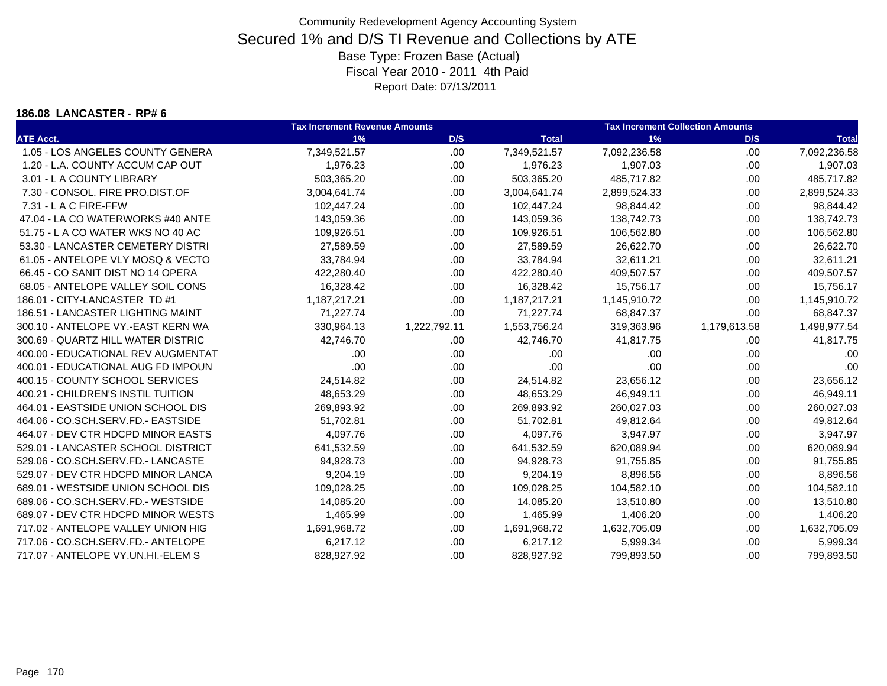#### **186.08 LANCASTER - RP# 6**

|                                    | <b>Tax Increment Revenue Amounts</b> |              | <b>Tax Increment Collection Amounts</b> |              |              |              |
|------------------------------------|--------------------------------------|--------------|-----------------------------------------|--------------|--------------|--------------|
| <b>ATE Acct.</b>                   | 1%                                   | D/S          | <b>Total</b>                            | 1%           | D/S          | <b>Total</b> |
| 1.05 - LOS ANGELES COUNTY GENERA   | 7,349,521.57                         | .00          | 7,349,521.57                            | 7,092,236.58 | .00          | 7,092,236.58 |
| 1.20 - L.A. COUNTY ACCUM CAP OUT   | 1,976.23                             | .00.         | 1,976.23                                | 1,907.03     | .00          | 1,907.03     |
| 3.01 - L A COUNTY LIBRARY          | 503,365.20                           | .00.         | 503,365.20                              | 485,717.82   | .00          | 485,717.82   |
| 7.30 - CONSOL, FIRE PRO.DIST.OF    | 3,004,641.74                         | .00.         | 3,004,641.74                            | 2,899,524.33 | .00          | 2,899,524.33 |
| 7.31 - L A C FIRE-FFW              | 102,447.24                           | .00          | 102,447.24                              | 98,844.42    | .00          | 98,844.42    |
| 47.04 - LA CO WATERWORKS #40 ANTE  | 143,059.36                           | .00.         | 143,059.36                              | 138,742.73   | .00          | 138,742.73   |
| 51.75 - L A CO WATER WKS NO 40 AC  | 109,926.51                           | .00.         | 109,926.51                              | 106,562.80   | .00          | 106,562.80   |
| 53.30 - LANCASTER CEMETERY DISTRI  | 27,589.59                            | .00.         | 27,589.59                               | 26,622.70    | .00          | 26,622.70    |
| 61.05 - ANTELOPE VLY MOSQ & VECTO  | 33,784.94                            | .00.         | 33,784.94                               | 32,611.21    | .00          | 32,611.21    |
| 66.45 - CO SANIT DIST NO 14 OPERA  | 422,280.40                           | .00          | 422,280.40                              | 409,507.57   | .00          | 409,507.57   |
| 68.05 - ANTELOPE VALLEY SOIL CONS  | 16,328.42                            | .00.         | 16,328.42                               | 15,756.17    | .00          | 15,756.17    |
| 186.01 - CITY-LANCASTER TD #1      | 1,187,217.21                         | .00          | 1,187,217.21                            | 1,145,910.72 | .00          | 1,145,910.72 |
| 186.51 - LANCASTER LIGHTING MAINT  | 71,227.74                            | .00          | 71,227.74                               | 68,847.37    | .00          | 68,847.37    |
| 300.10 - ANTELOPE VY.-EAST KERN WA | 330,964.13                           | 1,222,792.11 | 1,553,756.24                            | 319,363.96   | 1,179,613.58 | 1,498,977.54 |
| 300.69 - QUARTZ HILL WATER DISTRIC | 42,746.70                            | .00.         | 42,746.70                               | 41,817.75    | .00          | 41,817.75    |
| 400.00 - EDUCATIONAL REV AUGMENTAT | .00                                  | .00.         | .00                                     | .00          | .00          | .00          |
| 400.01 - EDUCATIONAL AUG FD IMPOUN | .00                                  | .00          | .00                                     | .00          | .00          | .00          |
| 400.15 - COUNTY SCHOOL SERVICES    | 24,514.82                            | .00.         | 24,514.82                               | 23,656.12    | .00          | 23,656.12    |
| 400.21 - CHILDREN'S INSTIL TUITION | 48,653.29                            | .00          | 48,653.29                               | 46,949.11    | .00          | 46,949.11    |
| 464.01 - EASTSIDE UNION SCHOOL DIS | 269,893.92                           | .00          | 269,893.92                              | 260,027.03   | .00          | 260,027.03   |
| 464.06 - CO.SCH.SERV.FD.- EASTSIDE | 51,702.81                            | .00.         | 51,702.81                               | 49,812.64    | .00          | 49,812.64    |
| 464.07 - DEV CTR HDCPD MINOR EASTS | 4,097.76                             | .00.         | 4,097.76                                | 3,947.97     | .00          | 3,947.97     |
| 529.01 - LANCASTER SCHOOL DISTRICT | 641,532.59                           | .00.         | 641,532.59                              | 620,089.94   | .00          | 620,089.94   |
| 529.06 - CO.SCH.SERV.FD.- LANCASTE | 94,928.73                            | .00          | 94,928.73                               | 91,755.85    | .00          | 91,755.85    |
| 529.07 - DEV CTR HDCPD MINOR LANCA | 9,204.19                             | .00.         | 9,204.19                                | 8,896.56     | .00          | 8,896.56     |
| 689.01 - WESTSIDE UNION SCHOOL DIS | 109,028.25                           | .00.         | 109,028.25                              | 104,582.10   | .00          | 104,582.10   |
| 689.06 - CO.SCH.SERV.FD.- WESTSIDE | 14,085.20                            | .00.         | 14,085.20                               | 13,510.80    | .00          | 13,510.80    |
| 689.07 - DEV CTR HDCPD MINOR WESTS | 1,465.99                             | .00.         | 1,465.99                                | 1,406.20     | .00          | 1,406.20     |
| 717.02 - ANTELOPE VALLEY UNION HIG | 1,691,968.72                         | .00          | 1,691,968.72                            | 1,632,705.09 | .00          | 1,632,705.09 |
| 717.06 - CO.SCH.SERV.FD.- ANTELOPE | 6,217.12                             | .00          | 6,217.12                                | 5,999.34     | .00.         | 5,999.34     |
| 717.07 - ANTELOPE VY.UN.HI.-ELEM S | 828,927.92                           | .00          | 828,927.92                              | 799,893.50   | .00          | 799,893.50   |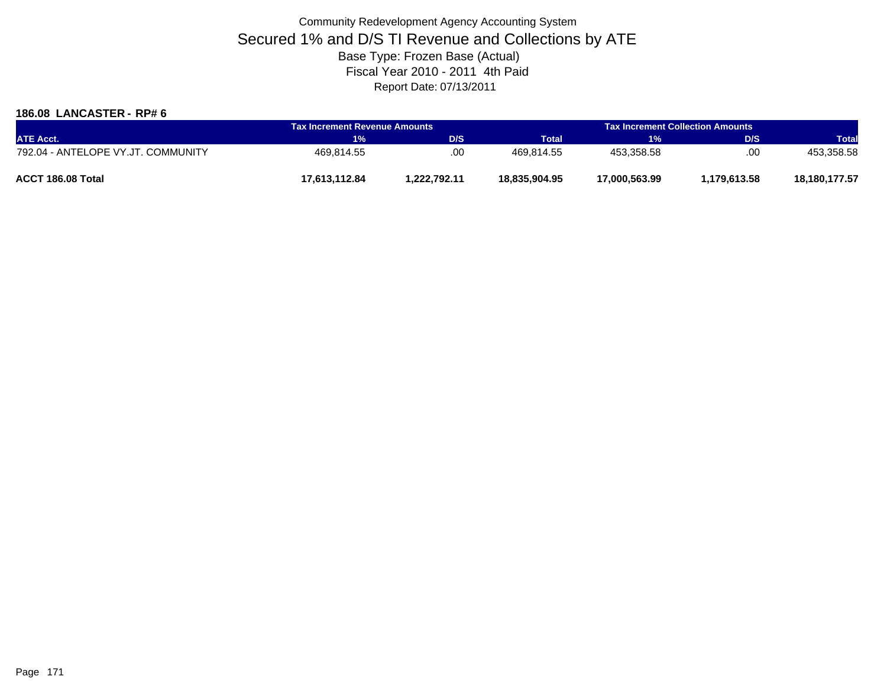### **186.08 LANCASTER - RP# 6**

| <b>ATE Acct.</b>                   | <b>Tax Increment Revenue Amounts</b> |              | <b>Tax Increment Collection Amounts</b> |               |              |               |
|------------------------------------|--------------------------------------|--------------|-----------------------------------------|---------------|--------------|---------------|
|                                    | $1\%$                                | D/S          | <b>Total</b>                            | <b>TVA</b>    | <b>D/S</b>   | <b>Total</b>  |
| 792.04 - ANTELOPE VY.JT. COMMUNITY | 469.814.55                           | .00          | 469.814.55                              | 453.358.58    | .00          | 453,358.58    |
| ACCT 186.08 Total                  | 17.613.112.84                        | 1.222.792.11 | 18,835,904.95                           | 17,000,563.99 | 1.179.613.58 | 18,180,177.57 |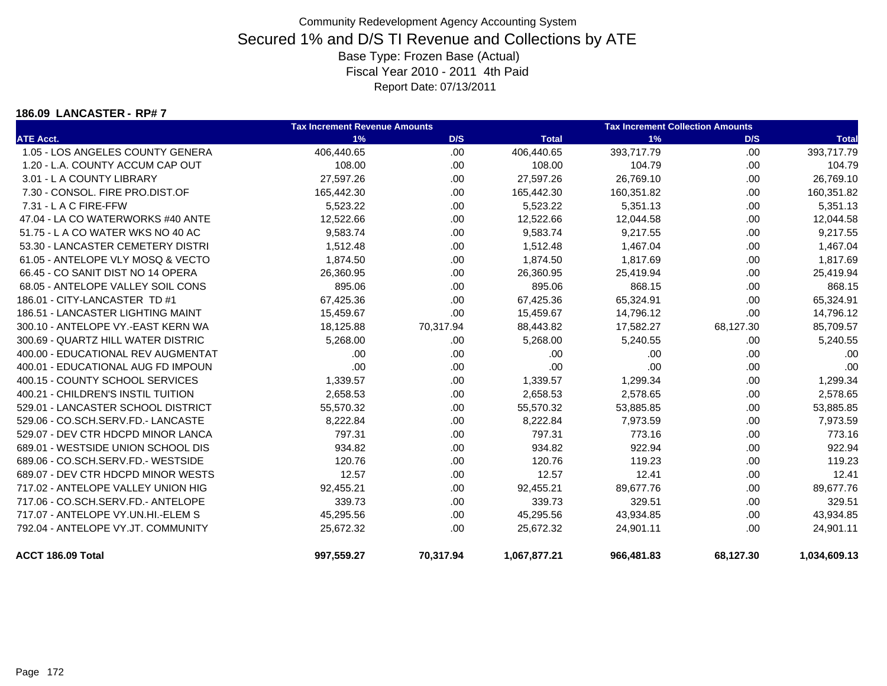#### **186.09 LANCASTER - RP# 7**

|                                    | <b>Tax Increment Revenue Amounts</b> |           | <b>Tax Increment Collection Amounts</b> |            |           |              |
|------------------------------------|--------------------------------------|-----------|-----------------------------------------|------------|-----------|--------------|
| <b>ATE Acct.</b>                   | 1%                                   | D/S       | <b>Total</b>                            | 1%         | D/S       | <b>Total</b> |
| 1.05 - LOS ANGELES COUNTY GENERA   | 406,440.65                           | .00       | 406,440.65                              | 393,717.79 | .00       | 393,717.79   |
| 1.20 - L.A. COUNTY ACCUM CAP OUT   | 108.00                               | .00       | 108.00                                  | 104.79     | .00.      | 104.79       |
| 3.01 - L A COUNTY LIBRARY          | 27,597.26                            | .00       | 27,597.26                               | 26,769.10  | .00.      | 26,769.10    |
| 7.30 - CONSOL, FIRE PRO.DIST.OF    | 165,442.30                           | .00       | 165,442.30                              | 160,351.82 | .00.      | 160,351.82   |
| 7.31 - L A C FIRE-FFW              | 5,523.22                             | .00       | 5,523.22                                | 5,351.13   | .00       | 5,351.13     |
| 47.04 - LA CO WATERWORKS #40 ANTE  | 12,522.66                            | .00       | 12,522.66                               | 12,044.58  | .00.      | 12,044.58    |
| 51.75 - L A CO WATER WKS NO 40 AC  | 9,583.74                             | .00       | 9,583.74                                | 9,217.55   | .00.      | 9,217.55     |
| 53.30 - LANCASTER CEMETERY DISTRI  | 1,512.48                             | .00       | 1,512.48                                | 1,467.04   | .00       | 1,467.04     |
| 61.05 - ANTELOPE VLY MOSQ & VECTO  | 1,874.50                             | .00       | 1,874.50                                | 1,817.69   | .00.      | 1,817.69     |
| 66.45 - CO SANIT DIST NO 14 OPERA  | 26,360.95                            | .00       | 26,360.95                               | 25,419.94  | .00.      | 25,419.94    |
| 68.05 - ANTELOPE VALLEY SOIL CONS  | 895.06                               | .00       | 895.06                                  | 868.15     | .00.      | 868.15       |
| 186.01 - CITY-LANCASTER TD #1      | 67,425.36                            | .00       | 67,425.36                               | 65,324.91  | .00       | 65,324.91    |
| 186.51 - LANCASTER LIGHTING MAINT  | 15,459.67                            | .00       | 15,459.67                               | 14,796.12  | .00       | 14,796.12    |
| 300.10 - ANTELOPE VY.-EAST KERN WA | 18,125.88                            | 70,317.94 | 88,443.82                               | 17,582.27  | 68,127.30 | 85,709.57    |
| 300.69 - QUARTZ HILL WATER DISTRIC | 5,268.00                             | .00       | 5,268.00                                | 5,240.55   | .00       | 5,240.55     |
| 400.00 - EDUCATIONAL REV AUGMENTAT | .00                                  | .00       | .00                                     | .00        | .00.      | .00          |
| 400.01 - EDUCATIONAL AUG FD IMPOUN | .00                                  | .00       | .00                                     | .00        | .00.      | .00          |
| 400.15 - COUNTY SCHOOL SERVICES    | 1,339.57                             | .00       | 1,339.57                                | 1,299.34   | .00.      | 1,299.34     |
| 400.21 - CHILDREN'S INSTIL TUITION | 2,658.53                             | .00       | 2,658.53                                | 2,578.65   | .00       | 2,578.65     |
| 529.01 - LANCASTER SCHOOL DISTRICT | 55,570.32                            | .00       | 55,570.32                               | 53,885.85  | .00.      | 53,885.85    |
| 529.06 - CO.SCH.SERV.FD.- LANCASTE | 8,222.84                             | .00       | 8,222.84                                | 7,973.59   | .00.      | 7,973.59     |
| 529.07 - DEV CTR HDCPD MINOR LANCA | 797.31                               | .00       | 797.31                                  | 773.16     | .00       | 773.16       |
| 689.01 - WESTSIDE UNION SCHOOL DIS | 934.82                               | .00       | 934.82                                  | 922.94     | .00.      | 922.94       |
| 689.06 - CO.SCH.SERV.FD.- WESTSIDE | 120.76                               | .00       | 120.76                                  | 119.23     | .00.      | 119.23       |
| 689.07 - DEV CTR HDCPD MINOR WESTS | 12.57                                | .00       | 12.57                                   | 12.41      | .00.      | 12.41        |
| 717.02 - ANTELOPE VALLEY UNION HIG | 92,455.21                            | .00       | 92,455.21                               | 89,677.76  | .00       | 89,677.76    |
| 717.06 - CO.SCH.SERV.FD.- ANTELOPE | 339.73                               | .00       | 339.73                                  | 329.51     | .00       | 329.51       |
| 717.07 - ANTELOPE VY.UN.HI.-ELEM S | 45,295.56                            | .00       | 45,295.56                               | 43,934.85  | .00.      | 43,934.85    |
| 792.04 - ANTELOPE VY.JT. COMMUNITY | 25,672.32                            | .00       | 25,672.32                               | 24,901.11  | .00.      | 24,901.11    |
| ACCT 186.09 Total                  | 997,559.27                           | 70,317.94 | 1,067,877.21                            | 966,481.83 | 68,127.30 | 1,034,609.13 |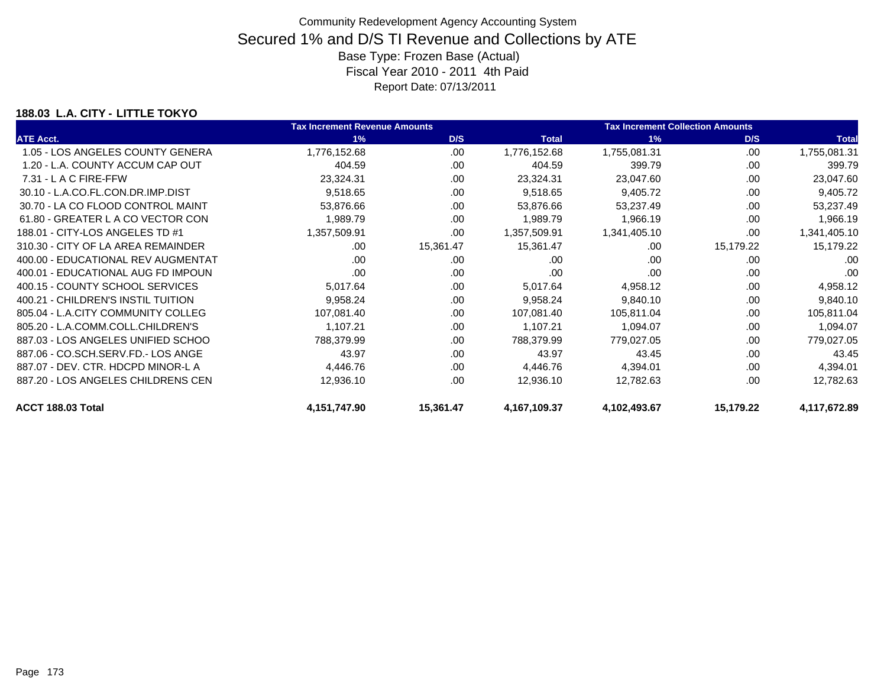### **188.03 L.A. CITY - LITTLE TOKYO**

|                                    | <b>Tax Increment Revenue Amounts</b> |           |              | <b>Tax Increment Collection Amounts</b> |           |              |
|------------------------------------|--------------------------------------|-----------|--------------|-----------------------------------------|-----------|--------------|
| <b>ATE Acct.</b>                   | 1%                                   | D/S       | <b>Total</b> | 1%                                      | D/S       | <b>Total</b> |
| 1.05 - LOS ANGELES COUNTY GENERA   | 1,776,152.68                         | .00       | 1,776,152.68 | 1,755,081.31                            | .00       | 1,755,081.31 |
| 1.20 - L.A. COUNTY ACCUM CAP OUT   | 404.59                               | .00       | 404.59       | 399.79                                  | .00       | 399.79       |
| 7.31 - L A C FIRE-FFW              | 23,324.31                            | .00       | 23,324.31    | 23,047.60                               | .00       | 23,047.60    |
| 30.10 - L.A.CO.FL.CON.DR.IMP.DIST  | 9,518.65                             | .00       | 9,518.65     | 9,405.72                                | .00       | 9,405.72     |
| 30.70 - LA CO FLOOD CONTROL MAINT  | 53,876.66                            | .00       | 53,876.66    | 53,237.49                               | .00       | 53,237.49    |
| 61.80 - GREATER L A CO VECTOR CON  | 1,989.79                             | .00       | 1,989.79     | 1,966.19                                | .00       | 1,966.19     |
| 188.01 - CITY-LOS ANGELES TD #1    | 1,357,509.91                         | .00       | 1,357,509.91 | 1,341,405.10                            | .00       | 1,341,405.10 |
| 310.30 - CITY OF LA AREA REMAINDER | .00                                  | 15,361.47 | 15,361.47    | .00                                     | 15,179.22 | 15,179.22    |
| 400.00 - EDUCATIONAL REV AUGMENTAT | .00                                  | .00.      | .00          | .00                                     | .00       | .00          |
| 400.01 - EDUCATIONAL AUG FD IMPOUN | .00                                  | .00       | .00          | .00                                     | .00       | .00          |
| 400.15 - COUNTY SCHOOL SERVICES    | 5,017.64                             | .00       | 5,017.64     | 4,958.12                                | .00       | 4,958.12     |
| 400.21 - CHILDREN'S INSTIL TUITION | 9,958.24                             | .00.      | 9,958.24     | 9,840.10                                | .00       | 9,840.10     |
| 805.04 - L.A.CITY COMMUNITY COLLEG | 107,081.40                           | .00       | 107,081.40   | 105,811.04                              | .00       | 105,811.04   |
| 805.20 - L.A.COMM.COLL.CHILDREN'S  | 1.107.21                             | .00       | 1,107.21     | 1,094.07                                | .00       | 1,094.07     |
| 887.03 - LOS ANGELES UNIFIED SCHOO | 788,379.99                           | .00       | 788,379.99   | 779,027.05                              | .00       | 779,027.05   |
| 887.06 - CO.SCH.SERV.FD.- LOS ANGE | 43.97                                | .00       | 43.97        | 43.45                                   | .00       | 43.45        |
| 887.07 - DEV. CTR. HDCPD MINOR-L A | 4,446.76                             | .00       | 4,446.76     | 4,394.01                                | .00       | 4,394.01     |
| 887.20 - LOS ANGELES CHILDRENS CEN | 12,936.10                            | .00       | 12,936.10    | 12,782.63                               | .00       | 12,782.63    |
| ACCT 188.03 Total                  | 4,151,747.90                         | 15,361.47 | 4,167,109.37 | 4,102,493.67                            | 15,179.22 | 4,117,672.89 |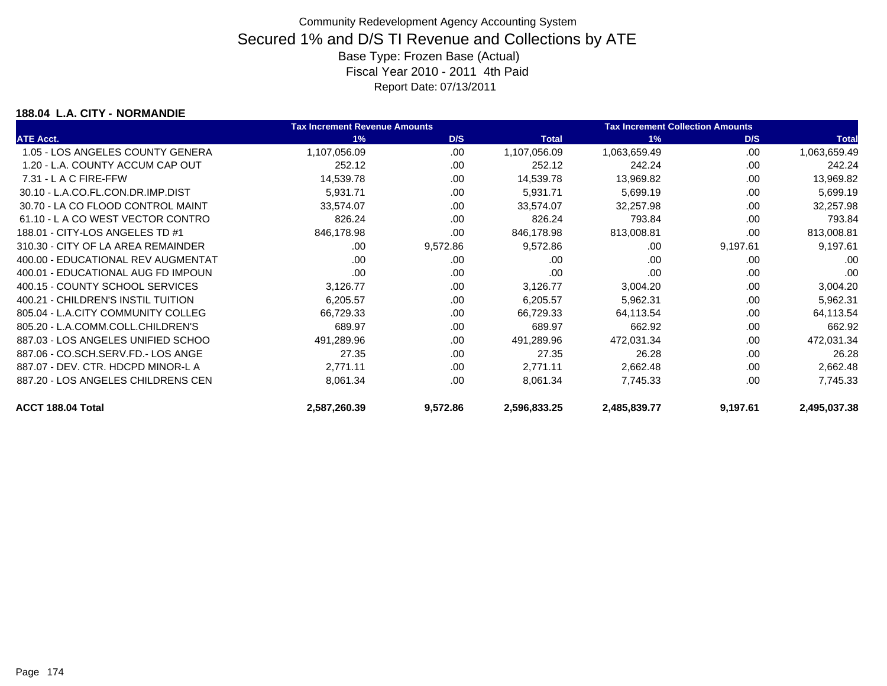### **188.04 L.A. CITY - NORMANDIE**

|                                    | <b>Tax Increment Revenue Amounts</b> |          |              | <b>Tax Increment Collection Amounts</b> |          |              |
|------------------------------------|--------------------------------------|----------|--------------|-----------------------------------------|----------|--------------|
| <b>ATE Acct.</b>                   | 1%                                   | D/S      | <b>Total</b> | 1%                                      | D/S      | <b>Total</b> |
| 1.05 - LOS ANGELES COUNTY GENERA   | 1,107,056.09                         | .00      | 1,107,056.09 | 1,063,659.49                            | .00      | 1,063,659.49 |
| 1.20 - L.A. COUNTY ACCUM CAP OUT   | 252.12                               | .00      | 252.12       | 242.24                                  | .00      | 242.24       |
| $7.31 - L$ A C FIRE-FFW            | 14,539.78                            | .00      | 14,539.78    | 13,969.82                               | .00      | 13,969.82    |
| 30.10 - L.A.CO.FL.CON.DR.IMP.DIST  | 5,931.71                             | .00      | 5,931.71     | 5,699.19                                | .00      | 5,699.19     |
| 30.70 - LA CO FLOOD CONTROL MAINT  | 33,574.07                            | .00      | 33,574.07    | 32,257.98                               | .00      | 32,257.98    |
| 61.10 - L A CO WEST VECTOR CONTRO  | 826.24                               | .00      | 826.24       | 793.84                                  | .00      | 793.84       |
| 188.01 - CITY-LOS ANGELES TD #1    | 846,178.98                           | .00      | 846,178.98   | 813,008.81                              | .00      | 813,008.81   |
| 310.30 - CITY OF LA AREA REMAINDER | .00                                  | 9,572.86 | 9,572.86     | .00                                     | 9,197.61 | 9,197.61     |
| 400.00 - EDUCATIONAL REV AUGMENTAT | .00                                  | .00      | .00          | .00                                     | .00      | .00          |
| 400.01 - EDUCATIONAL AUG FD IMPOUN | .00                                  | .00      | .00          | .00                                     | .00      | .00          |
| 400.15 - COUNTY SCHOOL SERVICES    | 3,126.77                             | .00.     | 3,126.77     | 3,004.20                                | .00      | 3,004.20     |
| 400.21 - CHILDREN'S INSTIL TUITION | 6,205.57                             | .00      | 6,205.57     | 5,962.31                                | .00      | 5,962.31     |
| 805.04 - L.A.CITY COMMUNITY COLLEG | 66,729.33                            | .00      | 66,729.33    | 64,113.54                               | .00      | 64,113.54    |
| 805.20 - L.A.COMM.COLL.CHILDREN'S  | 689.97                               | .00      | 689.97       | 662.92                                  | .00      | 662.92       |
| 887.03 - LOS ANGELES UNIFIED SCHOO | 491,289.96                           | .00      | 491,289.96   | 472,031.34                              | .00      | 472,031.34   |
| 887.06 - CO.SCH.SERV.FD.- LOS ANGE | 27.35                                | .00      | 27.35        | 26.28                                   | .00      | 26.28        |
| 887.07 - DEV. CTR. HDCPD MINOR-L A | 2,771.11                             | .00      | 2,771.11     | 2,662.48                                | .00      | 2,662.48     |
| 887.20 - LOS ANGELES CHILDRENS CEN | 8,061.34                             | .00      | 8,061.34     | 7,745.33                                | .00      | 7,745.33     |
| ACCT 188.04 Total                  | 2,587,260.39                         | 9,572.86 | 2,596,833.25 | 2,485,839.77                            | 9,197.61 | 2,495,037.38 |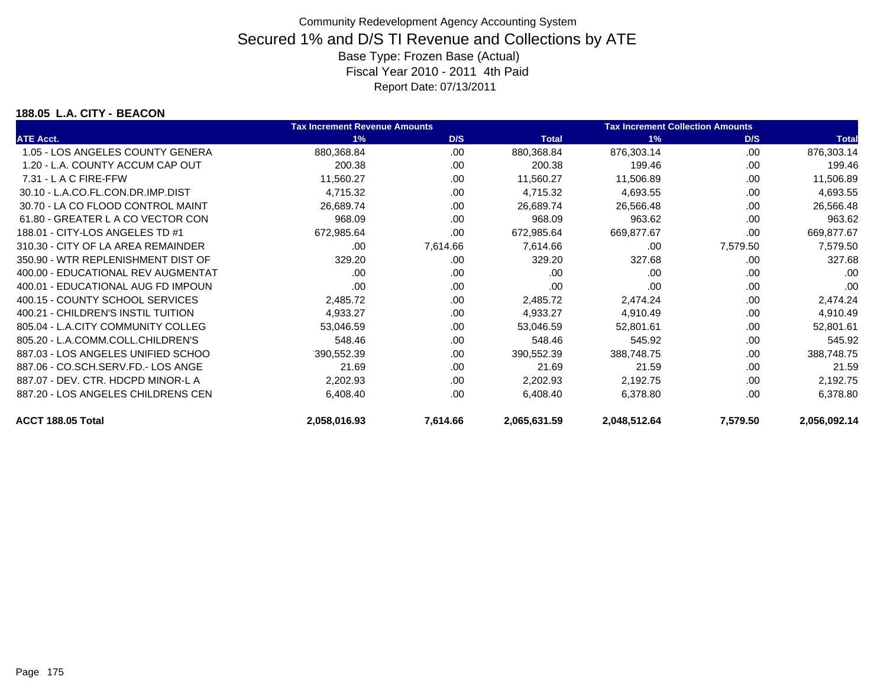### **188.05 L.A. CITY - BEACON**

|                                    | <b>Tax Increment Revenue Amounts</b> |          |              | <b>Tax Increment Collection Amounts</b> |          |              |
|------------------------------------|--------------------------------------|----------|--------------|-----------------------------------------|----------|--------------|
| <b>ATE Acct.</b>                   | 1%                                   | D/S      | <b>Total</b> | 1%                                      | D/S      | <b>Total</b> |
| 1.05 - LOS ANGELES COUNTY GENERA   | 880,368.84                           | .00.     | 880,368.84   | 876,303.14                              | .00      | 876,303.14   |
| 1.20 - L.A. COUNTY ACCUM CAP OUT   | 200.38                               | .00      | 200.38       | 199.46                                  | .00      | 199.46       |
| $7.31 - L$ A C FIRE-FFW            | 11,560.27                            | .00.     | 11,560.27    | 11,506.89                               | .00      | 11,506.89    |
| 30.10 - L.A.CO.FL.CON.DR.IMP.DIST  | 4,715.32                             | .00      | 4,715.32     | 4,693.55                                | .00      | 4,693.55     |
| 30.70 - LA CO FLOOD CONTROL MAINT  | 26,689.74                            | .00      | 26,689.74    | 26,566.48                               | .00      | 26,566.48    |
| 61.80 - GREATER L A CO VECTOR CON  | 968.09                               | .00.     | 968.09       | 963.62                                  | .00      | 963.62       |
| 188.01 - CITY-LOS ANGELES TD #1    | 672,985.64                           | .00      | 672,985.64   | 669,877.67                              | .00      | 669,877.67   |
| 310.30 - CITY OF LA AREA REMAINDER | .00                                  | 7,614.66 | 7,614.66     | .00                                     | 7,579.50 | 7,579.50     |
| 350.90 - WTR REPLENISHMENT DIST OF | 329.20                               | .00      | 329.20       | 327.68                                  | .00      | 327.68       |
| 400.00 - EDUCATIONAL REV AUGMENTAT | .00                                  | .00      | .00          | .00                                     | .00      | .00          |
| 400.01 - EDUCATIONAL AUG FD IMPOUN | .00                                  | .00      | .00          | .00                                     | .00      | .00          |
| 400.15 - COUNTY SCHOOL SERVICES    | 2,485.72                             | .00      | 2,485.72     | 2,474.24                                | .00      | 2,474.24     |
| 400.21 - CHILDREN'S INSTIL TUITION | 4,933.27                             | .00.     | 4,933.27     | 4,910.49                                | .00      | 4,910.49     |
| 805.04 - L.A.CITY COMMUNITY COLLEG | 53,046.59                            | .00      | 53,046.59    | 52,801.61                               | .00.     | 52,801.61    |
| 805.20 - L.A.COMM.COLL.CHILDREN'S  | 548.46                               | .00      | 548.46       | 545.92                                  | .00      | 545.92       |
| 887.03 - LOS ANGELES UNIFIED SCHOO | 390,552.39                           | .00      | 390,552.39   | 388,748.75                              | .00      | 388,748.75   |
| 887.06 - CO.SCH.SERV.FD.- LOS ANGE | 21.69                                | .00      | 21.69        | 21.59                                   | .00      | 21.59        |
| 887.07 - DEV. CTR. HDCPD MINOR-L A | 2,202.93                             | .00      | 2,202.93     | 2,192.75                                | .00      | 2,192.75     |
| 887.20 - LOS ANGELES CHILDRENS CEN | 6,408.40                             | .00      | 6,408.40     | 6,378.80                                | .00      | 6,378.80     |
| ACCT 188.05 Total                  | 2,058,016.93                         | 7,614.66 | 2,065,631.59 | 2,048,512.64                            | 7,579.50 | 2,056,092.14 |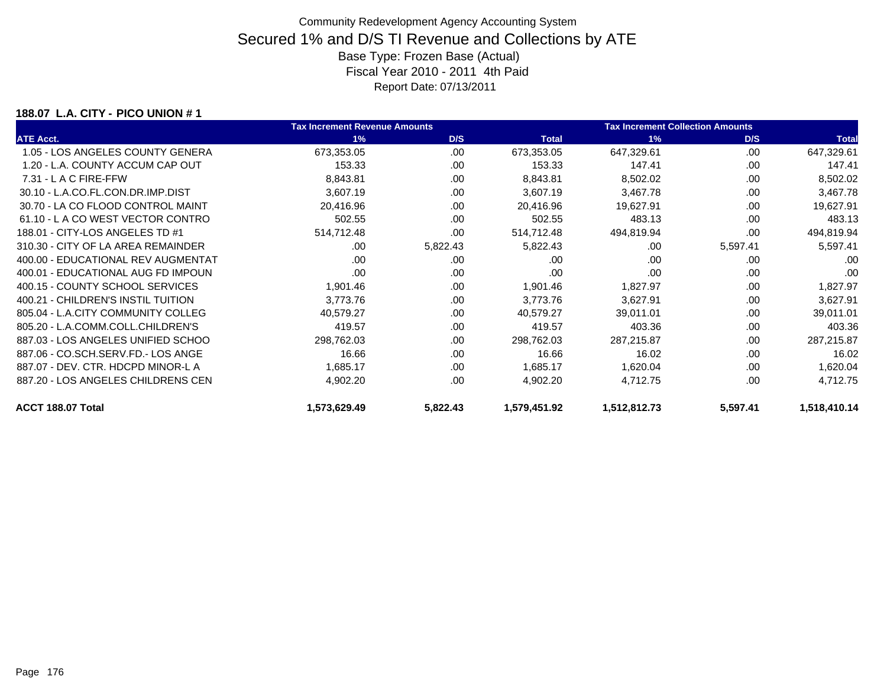### **188.07 L.A. CITY - PICO UNION # 1**

|                                    | <b>Tax Increment Revenue Amounts</b> |          | <b>Tax Increment Collection Amounts</b> |              |          |              |
|------------------------------------|--------------------------------------|----------|-----------------------------------------|--------------|----------|--------------|
| <b>ATE Acct.</b>                   | 1%                                   | D/S      | <b>Total</b>                            | 1%           | D/S      | <b>Total</b> |
| 1.05 - LOS ANGELES COUNTY GENERA   | 673,353.05                           | .00.     | 673,353.05                              | 647,329.61   | .00      | 647,329.61   |
| 1.20 - L.A. COUNTY ACCUM CAP OUT   | 153.33                               | .00      | 153.33                                  | 147.41       | .00      | 147.41       |
| $7.31 - L$ A C FIRE-FFW            | 8,843.81                             | .00      | 8,843.81                                | 8,502.02     | .00      | 8,502.02     |
| 30.10 - L.A.CO.FL.CON.DR.IMP.DIST  | 3,607.19                             | .00.     | 3,607.19                                | 3,467.78     | .00      | 3,467.78     |
| 30.70 - LA CO FLOOD CONTROL MAINT  | 20,416.96                            | .00      | 20,416.96                               | 19,627.91    | .00      | 19,627.91    |
| 61.10 - L A CO WEST VECTOR CONTRO  | 502.55                               | .00      | 502.55                                  | 483.13       | .00      | 483.13       |
| 188.01 - CITY-LOS ANGELES TD #1    | 514,712.48                           | .00      | 514,712.48                              | 494,819.94   | .00      | 494,819.94   |
| 310.30 - CITY OF LA AREA REMAINDER | .00                                  | 5,822.43 | 5,822.43                                | .00          | 5,597.41 | 5,597.41     |
| 400.00 - EDUCATIONAL REV AUGMENTAT | .00                                  | .00      | .00                                     | .00          | .00      | .00          |
| 400.01 - EDUCATIONAL AUG FD IMPOUN | .00                                  | .00      | .00                                     | .00          | .00      | .00          |
| 400.15 - COUNTY SCHOOL SERVICES    | 1,901.46                             | .00.     | 1,901.46                                | 1,827.97     | .00      | 1,827.97     |
| 400.21 - CHILDREN'S INSTIL TUITION | 3,773.76                             | .00      | 3,773.76                                | 3,627.91     | .00      | 3,627.91     |
| 805.04 - L.A.CITY COMMUNITY COLLEG | 40,579.27                            | .00      | 40,579.27                               | 39,011.01    | .00      | 39,011.01    |
| 805.20 - L.A.COMM.COLL.CHILDREN'S  | 419.57                               | .00      | 419.57                                  | 403.36       | .00      | 403.36       |
| 887.03 - LOS ANGELES UNIFIED SCHOO | 298,762.03                           | .00      | 298,762.03                              | 287,215.87   | .00      | 287,215.87   |
| 887.06 - CO.SCH.SERV.FD.- LOS ANGE | 16.66                                | .00      | 16.66                                   | 16.02        | .00      | 16.02        |
| 887.07 - DEV. CTR. HDCPD MINOR-L A | 1,685.17                             | .00      | 1,685.17                                | 1,620.04     | .00      | 1,620.04     |
| 887.20 - LOS ANGELES CHILDRENS CEN | 4,902.20                             | .00      | 4,902.20                                | 4,712.75     | .00      | 4,712.75     |
| ACCT 188.07 Total                  | 1,573,629.49                         | 5,822.43 | 1,579,451.92                            | 1,512,812.73 | 5,597.41 | 1,518,410.14 |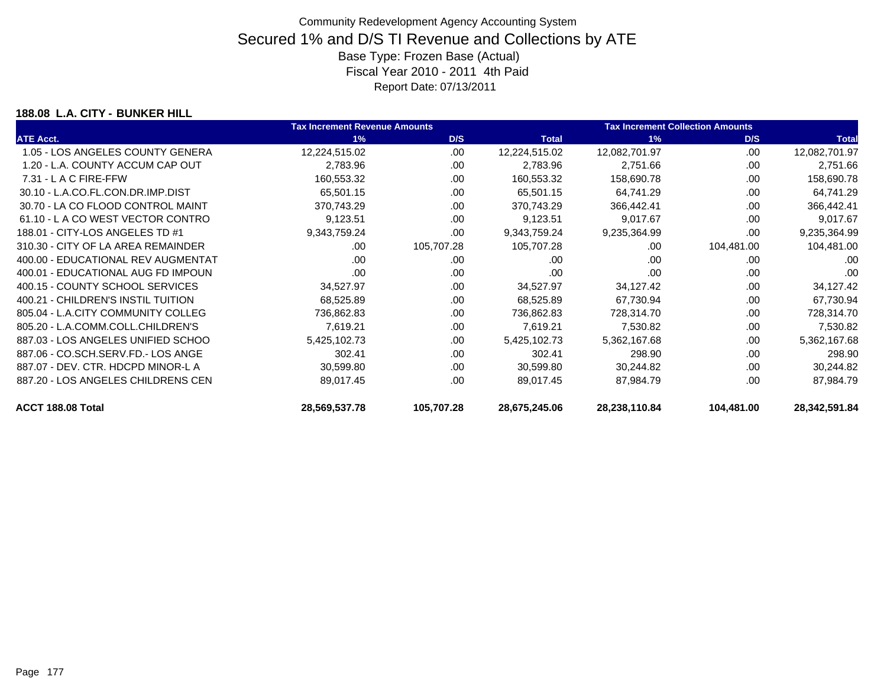### **188.08 L.A. CITY - BUNKER HILL**

|                                    | <b>Tax Increment Revenue Amounts</b> |            |               | <b>Tax Increment Collection Amounts</b> |            |               |  |
|------------------------------------|--------------------------------------|------------|---------------|-----------------------------------------|------------|---------------|--|
| <b>ATE Acct.</b>                   | 1%                                   | D/S        | <b>Total</b>  | 1%                                      | D/S        | <b>Total</b>  |  |
| 1.05 - LOS ANGELES COUNTY GENERA   | 12,224,515.02                        | .00.       | 12,224,515.02 | 12,082,701.97                           | .00        | 12,082,701.97 |  |
| 1.20 - L.A. COUNTY ACCUM CAP OUT   | 2,783.96                             | .00        | 2,783.96      | 2,751.66                                | .00        | 2,751.66      |  |
| $7.31 - L$ A C FIRE-FFW            | 160,553.32                           | .00        | 160,553.32    | 158,690.78                              | .00        | 158,690.78    |  |
| 30.10 - L.A.CO.FL.CON.DR.IMP.DIST  | 65,501.15                            | .00.       | 65,501.15     | 64,741.29                               | .00        | 64,741.29     |  |
| 30.70 - LA CO FLOOD CONTROL MAINT  | 370,743.29                           | .00        | 370,743.29    | 366,442.41                              | .00        | 366,442.41    |  |
| 61.10 - L A CO WEST VECTOR CONTRO  | 9,123.51                             | .00        | 9,123.51      | 9,017.67                                | .00        | 9,017.67      |  |
| 188.01 - CITY-LOS ANGELES TD #1    | 9,343,759.24                         | .00        | 9,343,759.24  | 9,235,364.99                            | .00        | 9,235,364.99  |  |
| 310.30 - CITY OF LA AREA REMAINDER | .00.                                 | 105,707.28 | 105,707.28    | .00                                     | 104,481.00 | 104,481.00    |  |
| 400.00 - EDUCATIONAL REV AUGMENTAT | .00                                  | .00.       | .00           | .00                                     | .00        | .00           |  |
| 400.01 - EDUCATIONAL AUG FD IMPOUN | .00                                  | .00        | .00           | .00                                     | .00        | .00           |  |
| 400.15 - COUNTY SCHOOL SERVICES    | 34,527.97                            | .00.       | 34,527.97     | 34,127.42                               | .00        | 34,127.42     |  |
| 400.21 - CHILDREN'S INSTIL TUITION | 68,525.89                            | .00        | 68,525.89     | 67,730.94                               | .00        | 67,730.94     |  |
| 805.04 - L.A.CITY COMMUNITY COLLEG | 736,862.83                           | .00        | 736,862.83    | 728,314.70                              | .00        | 728,314.70    |  |
| 805.20 - L.A.COMM.COLL.CHILDREN'S  | 7,619.21                             | .00        | 7,619.21      | 7,530.82                                | .00        | 7,530.82      |  |
| 887.03 - LOS ANGELES UNIFIED SCHOO | 5,425,102.73                         | .00        | 5,425,102.73  | 5,362,167.68                            | .00        | 5,362,167.68  |  |
| 887.06 - CO.SCH.SERV.FD.- LOS ANGE | 302.41                               | .00        | 302.41        | 298.90                                  | .00        | 298.90        |  |
| 887.07 - DEV. CTR. HDCPD MINOR-L A | 30,599.80                            | .00        | 30,599.80     | 30,244.82                               | .00        | 30,244.82     |  |
| 887.20 - LOS ANGELES CHILDRENS CEN | 89,017.45                            | .00        | 89,017.45     | 87,984.79                               | .00        | 87,984.79     |  |
| ACCT 188.08 Total                  | 28,569,537.78                        | 105,707.28 | 28,675,245.06 | 28,238,110.84                           | 104,481.00 | 28,342,591.84 |  |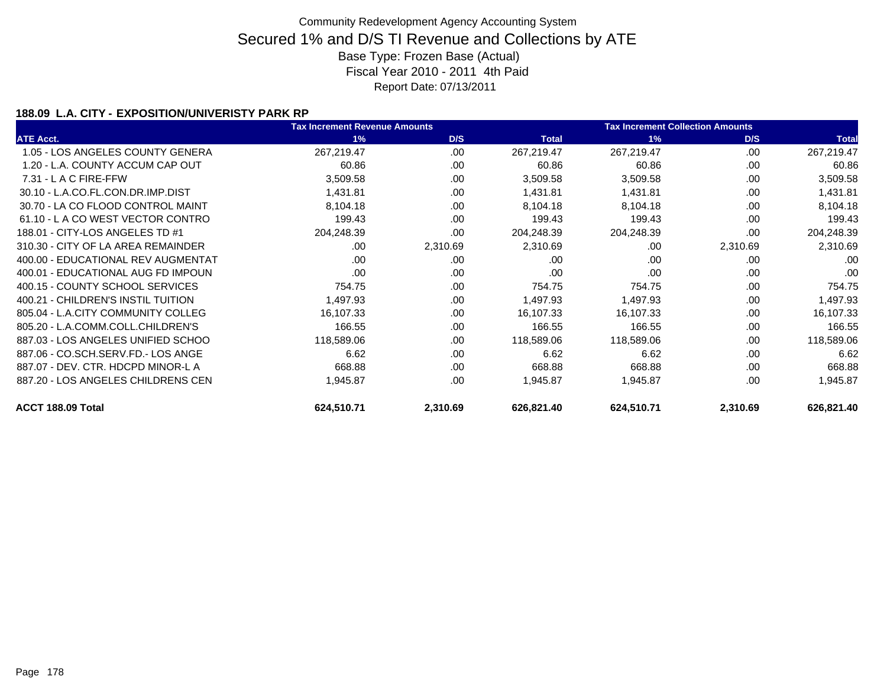### **188.09 L.A. CITY - EXPOSITION/UNIVERISTY PARK RP**

|                                    | <b>Tax Increment Revenue Amounts</b> |          |              | <b>Tax Increment Collection Amounts</b> |          |              |  |
|------------------------------------|--------------------------------------|----------|--------------|-----------------------------------------|----------|--------------|--|
| <b>ATE Acct.</b>                   | 1%                                   | D/S      | <b>Total</b> | 1%                                      | D/S      | <b>Total</b> |  |
| 1.05 - LOS ANGELES COUNTY GENERA   | 267,219.47                           | .00      | 267,219.47   | 267,219.47                              | .00      | 267,219.47   |  |
| 1.20 - L.A. COUNTY ACCUM CAP OUT   | 60.86                                | .00      | 60.86        | 60.86                                   | .00      | 60.86        |  |
| $7.31 - L$ A C FIRE-FFW            | 3,509.58                             | .00      | 3,509.58     | 3,509.58                                | .00      | 3,509.58     |  |
| 30.10 - L.A.CO.FL.CON.DR.IMP.DIST  | 1,431.81                             | .00      | 1,431.81     | 1,431.81                                | .00      | 1,431.81     |  |
| 30.70 - LA CO FLOOD CONTROL MAINT  | 8,104.18                             | .00.     | 8,104.18     | 8,104.18                                | .00      | 8,104.18     |  |
| 61.10 - LA CO WEST VECTOR CONTRO   | 199.43                               | .00      | 199.43       | 199.43                                  | .00      | 199.43       |  |
| 188.01 - CITY-LOS ANGELES TD #1    | 204,248.39                           | .00      | 204,248.39   | 204,248.39                              | .00      | 204,248.39   |  |
| 310.30 - CITY OF LA AREA REMAINDER | .00.                                 | 2,310.69 | 2,310.69     | .00                                     | 2,310.69 | 2,310.69     |  |
| 400.00 - EDUCATIONAL REV AUGMENTAT | .00                                  | .00.     | .00          | .00                                     | .00      | .00          |  |
| 400.01 - EDUCATIONAL AUG FD IMPOUN | .00                                  | .00      | .00          | .00                                     | .00      | .00          |  |
| 400.15 - COUNTY SCHOOL SERVICES    | 754.75                               | .00.     | 754.75       | 754.75                                  | .00      | 754.75       |  |
| 400.21 - CHILDREN'S INSTIL TUITION | 1,497.93                             | .00      | 1,497.93     | 1,497.93                                | .00      | 1,497.93     |  |
| 805.04 - L.A.CITY COMMUNITY COLLEG | 16,107.33                            | .00.     | 16,107.33    | 16,107.33                               | .00      | 16,107.33    |  |
| 805.20 - L.A.COMM.COLL.CHILDREN'S  | 166.55                               | .00      | 166.55       | 166.55                                  | .00      | 166.55       |  |
| 887.03 - LOS ANGELES UNIFIED SCHOO | 118,589.06                           | .00.     | 118,589.06   | 118,589.06                              | .00      | 118,589.06   |  |
| 887.06 - CO.SCH.SERV.FD.- LOS ANGE | 6.62                                 | .00.     | 6.62         | 6.62                                    | .00      | 6.62         |  |
| 887.07 - DEV. CTR. HDCPD MINOR-L A | 668.88                               | .00      | 668.88       | 668.88                                  | .00      | 668.88       |  |
| 887.20 - LOS ANGELES CHILDRENS CEN | 1,945.87                             | .00.     | 1,945.87     | 1,945.87                                | .00      | 1,945.87     |  |
| ACCT 188.09 Total                  | 624,510.71                           | 2,310.69 | 626,821.40   | 624,510.71                              | 2,310.69 | 626,821.40   |  |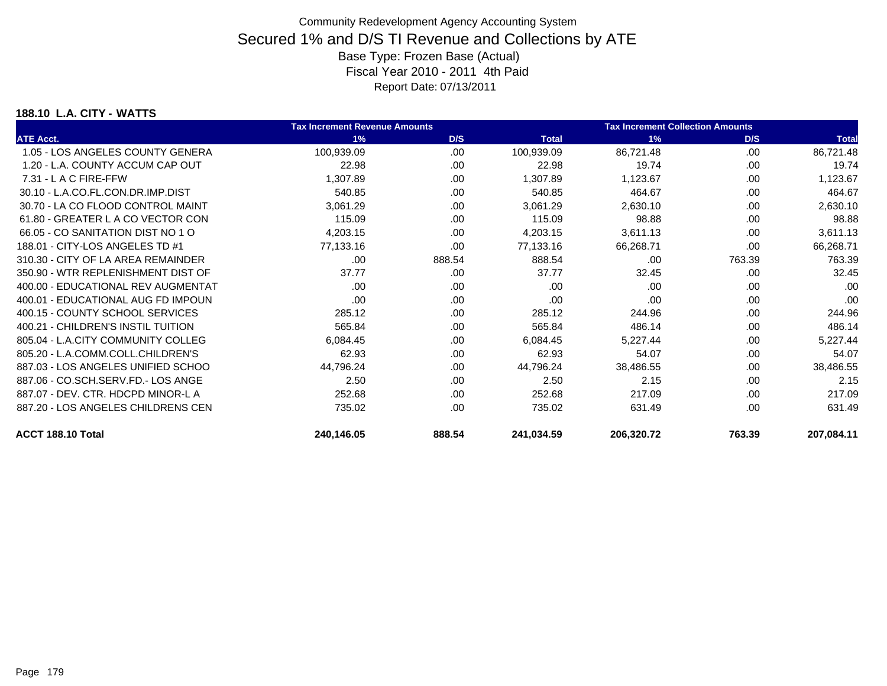### **188.10 L.A. CITY - WATTS**

|                                    | <b>Tax Increment Revenue Amounts</b> |        |              | <b>Tax Increment Collection Amounts</b> |        |              |
|------------------------------------|--------------------------------------|--------|--------------|-----------------------------------------|--------|--------------|
| <b>ATE Acct.</b>                   | 1%                                   | D/S    | <b>Total</b> | 1%                                      | D/S    | <b>Total</b> |
| 1.05 - LOS ANGELES COUNTY GENERA   | 100,939.09                           | .00.   | 100,939.09   | 86,721.48                               | .00    | 86,721.48    |
| 1.20 - L.A. COUNTY ACCUM CAP OUT   | 22.98                                | .00    | 22.98        | 19.74                                   | .00    | 19.74        |
| $7.31 - L$ A C FIRE-FFW            | 1,307.89                             | .00.   | 1,307.89     | 1,123.67                                | .00    | 1,123.67     |
| 30.10 - L.A.CO.FL.CON.DR.IMP.DIST  | 540.85                               | .00    | 540.85       | 464.67                                  | .00    | 464.67       |
| 30.70 - LA CO FLOOD CONTROL MAINT  | 3,061.29                             | .00    | 3,061.29     | 2,630.10                                | .00    | 2,630.10     |
| 61.80 - GREATER L A CO VECTOR CON  | 115.09                               | .00    | 115.09       | 98.88                                   | .00    | 98.88        |
| 66.05 - CO SANITATION DIST NO 1 O  | 4,203.15                             | .00.   | 4,203.15     | 3,611.13                                | .00    | 3,611.13     |
| 188.01 - CITY-LOS ANGELES TD #1    | 77,133.16                            | .00    | 77,133.16    | 66,268.71                               | .00    | 66,268.71    |
| 310.30 - CITY OF LA AREA REMAINDER | .00                                  | 888.54 | 888.54       | .00                                     | 763.39 | 763.39       |
| 350.90 - WTR REPLENISHMENT DIST OF | 37.77                                | .00    | 37.77        | 32.45                                   | .00    | 32.45        |
| 400.00 - EDUCATIONAL REV AUGMENTAT | .00                                  | .00    | .00          | .00                                     | .00    | .00          |
| 400.01 - EDUCATIONAL AUG FD IMPOUN | .00                                  | .00    | .00          | .00                                     | .00    | .00          |
| 400.15 - COUNTY SCHOOL SERVICES    | 285.12                               | .00    | 285.12       | 244.96                                  | .00    | 244.96       |
| 400.21 - CHILDREN'S INSTIL TUITION | 565.84                               | .00    | 565.84       | 486.14                                  | .00    | 486.14       |
| 805.04 - L.A.CITY COMMUNITY COLLEG | 6,084.45                             | .00.   | 6,084.45     | 5,227.44                                | .00    | 5,227.44     |
| 805.20 - L.A.COMM.COLL.CHILDREN'S  | 62.93                                | .00    | 62.93        | 54.07                                   | .00    | 54.07        |
| 887.03 - LOS ANGELES UNIFIED SCHOO | 44,796.24                            | .00    | 44,796.24    | 38,486.55                               | .00    | 38,486.55    |
| 887.06 - CO.SCH.SERV.FD.- LOS ANGE | 2.50                                 | .00    | 2.50         | 2.15                                    | .00    | 2.15         |
| 887.07 - DEV. CTR. HDCPD MINOR-L A | 252.68                               | .00    | 252.68       | 217.09                                  | .00    | 217.09       |
| 887.20 - LOS ANGELES CHILDRENS CEN | 735.02                               | .00    | 735.02       | 631.49                                  | .00    | 631.49       |
| ACCT 188.10 Total                  | 240,146.05                           | 888.54 | 241,034.59   | 206,320.72                              | 763.39 | 207,084.11   |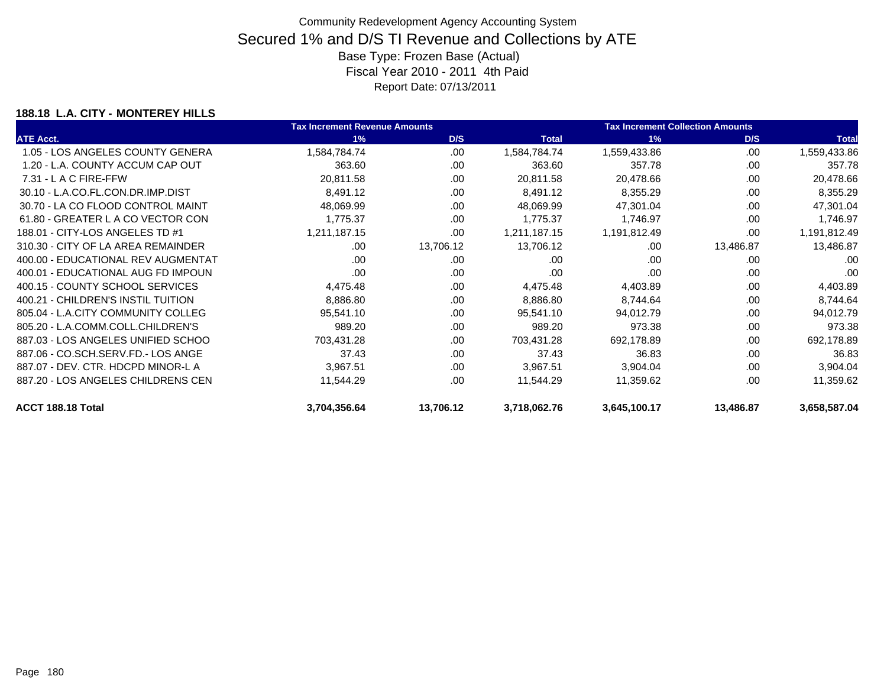### **188.18 L.A. CITY - MONTEREY HILLS**

|                                    | <b>Tax Increment Revenue Amounts</b> |           |              | <b>Tax Increment Collection Amounts</b> |           |              |  |
|------------------------------------|--------------------------------------|-----------|--------------|-----------------------------------------|-----------|--------------|--|
| <b>ATE Acct.</b>                   | 1%                                   | D/S       | <b>Total</b> | 1%                                      | D/S       | <b>Total</b> |  |
| 1.05 - LOS ANGELES COUNTY GENERA   | 1,584,784.74                         | .00       | 1,584,784.74 | 1,559,433.86                            | .00       | 1,559,433.86 |  |
| 1.20 - L.A. COUNTY ACCUM CAP OUT   | 363.60                               | .00.      | 363.60       | 357.78                                  | .00       | 357.78       |  |
| $7.31 - L$ A C FIRE-FFW            | 20,811.58                            | .00       | 20,811.58    | 20,478.66                               | .00       | 20,478.66    |  |
| 30.10 - L.A.CO.FL.CON.DR.IMP.DIST  | 8,491.12                             | .00       | 8,491.12     | 8,355.29                                | .00       | 8,355.29     |  |
| 30.70 - LA CO FLOOD CONTROL MAINT  | 48,069.99                            | .00       | 48,069.99    | 47,301.04                               | .00       | 47,301.04    |  |
| 61.80 - GREATER L A CO VECTOR CON  | 1,775.37                             | .00.      | 1,775.37     | 1,746.97                                | .00       | 1,746.97     |  |
| 188.01 - CITY-LOS ANGELES TD #1    | 1,211,187.15                         | .00.      | 1,211,187.15 | 1,191,812.49                            | .00       | 1,191,812.49 |  |
| 310.30 - CITY OF LA AREA REMAINDER | .00.                                 | 13,706.12 | 13,706.12    | .00                                     | 13,486.87 | 13,486.87    |  |
| 400.00 - EDUCATIONAL REV AUGMENTAT | .00                                  | .00       | .00.         | .00                                     | .00       | .00          |  |
| 400.01 - EDUCATIONAL AUG FD IMPOUN | .00                                  | .00       | .00          | .00                                     | .00       | .00          |  |
| 400.15 - COUNTY SCHOOL SERVICES    | 4,475.48                             | .00.      | 4,475.48     | 4,403.89                                | .00       | 4,403.89     |  |
| 400.21 - CHILDREN'S INSTIL TUITION | 8,886.80                             | .00       | 8,886.80     | 8,744.64                                | .00       | 8,744.64     |  |
| 805.04 - L.A.CITY COMMUNITY COLLEG | 95,541.10                            | .00       | 95,541.10    | 94,012.79                               | .00       | 94,012.79    |  |
| 805.20 - L.A.COMM.COLL.CHILDREN'S  | 989.20                               | .00       | 989.20       | 973.38                                  | .00       | 973.38       |  |
| 887.03 - LOS ANGELES UNIFIED SCHOO | 703,431.28                           | .00       | 703,431.28   | 692,178.89                              | .00       | 692,178.89   |  |
| 887.06 - CO.SCH.SERV.FD.- LOS ANGE | 37.43                                | .00.      | 37.43        | 36.83                                   | .00       | 36.83        |  |
| 887.07 - DEV. CTR. HDCPD MINOR-L A | 3,967.51                             | .00       | 3,967.51     | 3,904.04                                | .00       | 3,904.04     |  |
| 887.20 - LOS ANGELES CHILDRENS CEN | 11,544.29                            | .00       | 11,544.29    | 11,359.62                               | .00       | 11,359.62    |  |
| ACCT 188.18 Total                  | 3,704,356.64                         | 13,706.12 | 3,718,062.76 | 3,645,100.17                            | 13,486.87 | 3,658,587.04 |  |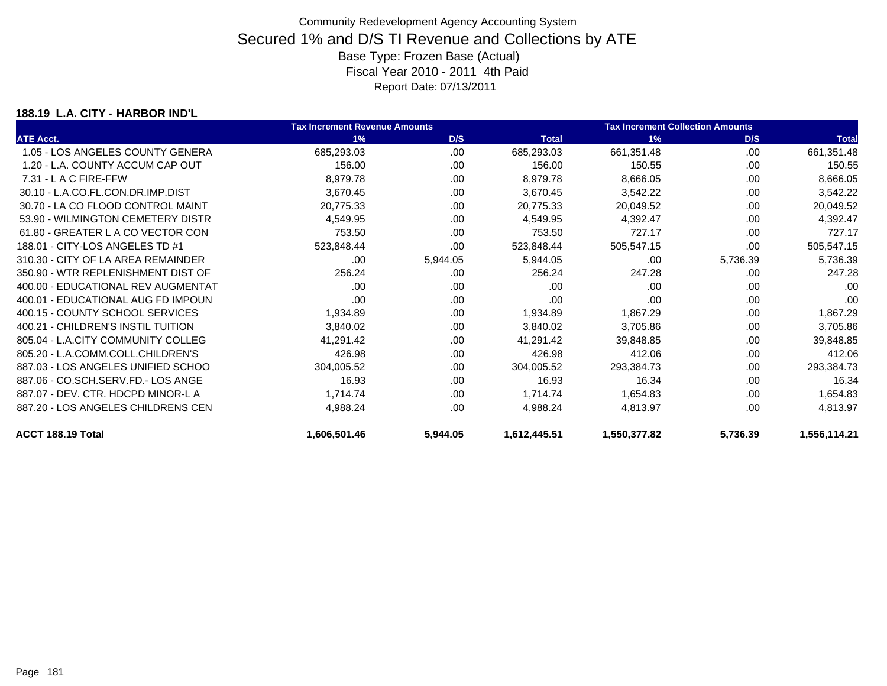### **188.19 L.A. CITY - HARBOR IND'L**

|                                    | <b>Tax Increment Revenue Amounts</b> |          |              | <b>Tax Increment Collection Amounts</b> |          |              |  |
|------------------------------------|--------------------------------------|----------|--------------|-----------------------------------------|----------|--------------|--|
| <b>ATE Acct.</b>                   | 1%                                   | D/S      | <b>Total</b> | 1%                                      | D/S      | <b>Total</b> |  |
| 1.05 - LOS ANGELES COUNTY GENERA   | 685,293.03                           | .00      | 685,293.03   | 661,351.48                              | .00      | 661,351.48   |  |
| 1.20 - L.A. COUNTY ACCUM CAP OUT   | 156.00                               | .00      | 156.00       | 150.55                                  | .00      | 150.55       |  |
| $7.31 - L$ A C FIRE-FFW            | 8,979.78                             | .00.     | 8,979.78     | 8,666.05                                | .00      | 8,666.05     |  |
| 30.10 - L.A.CO.FL.CON.DR.IMP.DIST  | 3,670.45                             | .00      | 3,670.45     | 3,542.22                                | .00      | 3,542.22     |  |
| 30.70 - LA CO FLOOD CONTROL MAINT  | 20,775.33                            | .00      | 20,775.33    | 20,049.52                               | .00      | 20,049.52    |  |
| 53.90 - WILMINGTON CEMETERY DISTR  | 4,549.95                             | .00.     | 4,549.95     | 4,392.47                                | .00      | 4,392.47     |  |
| 61.80 - GREATER L A CO VECTOR CON  | 753.50                               | .00      | 753.50       | 727.17                                  | .00      | 727.17       |  |
| 188.01 - CITY-LOS ANGELES TD #1    | 523,848.44                           | .00      | 523,848.44   | 505,547.15                              | .00      | 505,547.15   |  |
| 310.30 - CITY OF LA AREA REMAINDER | .00                                  | 5,944.05 | 5,944.05     | .00                                     | 5,736.39 | 5,736.39     |  |
| 350.90 - WTR REPLENISHMENT DIST OF | 256.24                               | .00      | 256.24       | 247.28                                  | .00      | 247.28       |  |
| 400.00 - EDUCATIONAL REV AUGMENTAT | .00                                  | .00      | .00          | .00                                     | .00      | .00          |  |
| 400.01 - EDUCATIONAL AUG FD IMPOUN | .00                                  | .00      | .00          | .00                                     | .00      | .00          |  |
| 400.15 - COUNTY SCHOOL SERVICES    | 1,934.89                             | .00.     | 1,934.89     | 1,867.29                                | .00      | 1,867.29     |  |
| 400.21 - CHILDREN'S INSTIL TUITION | 3,840.02                             | .00      | 3,840.02     | 3,705.86                                | .00      | 3,705.86     |  |
| 805.04 - L.A.CITY COMMUNITY COLLEG | 41,291.42                            | .00      | 41,291.42    | 39,848.85                               | .00      | 39,848.85    |  |
| 805.20 - L.A.COMM.COLL.CHILDREN'S  | 426.98                               | .00      | 426.98       | 412.06                                  | .00      | 412.06       |  |
| 887.03 - LOS ANGELES UNIFIED SCHOO | 304,005.52                           | .00      | 304,005.52   | 293,384.73                              | .00      | 293,384.73   |  |
| 887.06 - CO.SCH.SERV.FD.- LOS ANGE | 16.93                                | .00.     | 16.93        | 16.34                                   | .00      | 16.34        |  |
| 887.07 - DEV. CTR. HDCPD MINOR-L A | 1,714.74                             | .00      | 1,714.74     | 1,654.83                                | .00      | 1,654.83     |  |
| 887.20 - LOS ANGELES CHILDRENS CEN | 4,988.24                             | .00      | 4,988.24     | 4,813.97                                | .00      | 4,813.97     |  |
| ACCT 188.19 Total                  | 1,606,501.46                         | 5,944.05 | 1,612,445.51 | 1,550,377.82                            | 5,736.39 | 1,556,114.21 |  |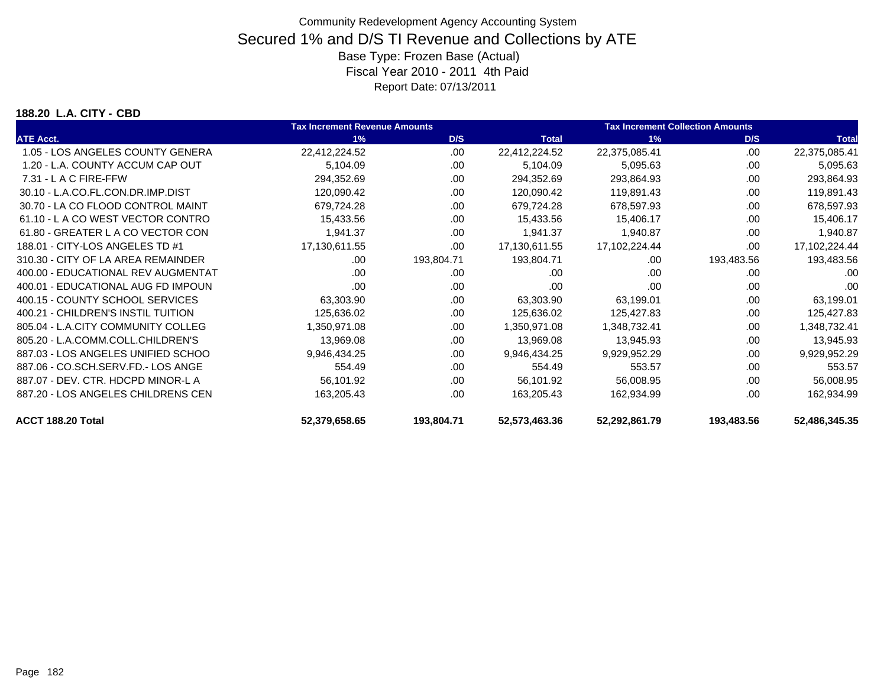#### **188.20 L.A. CITY - CBD**

|                                    | <b>Tax Increment Revenue Amounts</b> |            |               | <b>Tax Increment Collection Amounts</b> |            |               |  |
|------------------------------------|--------------------------------------|------------|---------------|-----------------------------------------|------------|---------------|--|
| <b>ATE Acct.</b>                   | 1%                                   | D/S        | <b>Total</b>  | 1%                                      | D/S        | <b>Total</b>  |  |
| 1.05 - LOS ANGELES COUNTY GENERA   | 22,412,224.52                        | .00        | 22,412,224.52 | 22,375,085.41                           | .00        | 22,375,085.41 |  |
| 1.20 - L.A. COUNTY ACCUM CAP OUT   | 5,104.09                             | .00        | 5,104.09      | 5,095.63                                | .00        | 5,095.63      |  |
| $7.31 - L$ A C FIRE-FFW            | 294,352.69                           | .00        | 294,352.69    | 293,864.93                              | .00        | 293,864.93    |  |
| 30.10 - L.A.CO.FL.CON.DR.IMP.DIST  | 120,090.42                           | .00        | 120,090.42    | 119,891.43                              | .00        | 119,891.43    |  |
| 30.70 - LA CO FLOOD CONTROL MAINT  | 679,724.28                           | .00        | 679,724.28    | 678,597.93                              | .00        | 678,597.93    |  |
| 61.10 - L A CO WEST VECTOR CONTRO  | 15,433.56                            | .00        | 15,433.56     | 15,406.17                               | .00        | 15,406.17     |  |
| 61.80 - GREATER L A CO VECTOR CON  | 1,941.37                             | .00        | 1,941.37      | 1,940.87                                | .00        | 1,940.87      |  |
| 188.01 - CITY-LOS ANGELES TD #1    | 17,130,611.55                        | .00        | 17,130,611.55 | 17,102,224.44                           | .00        | 17,102,224.44 |  |
| 310.30 - CITY OF LA AREA REMAINDER | .00                                  | 193,804.71 | 193,804.71    | .00                                     | 193,483.56 | 193,483.56    |  |
| 400.00 - EDUCATIONAL REV AUGMENTAT | .00.                                 | .00        | .00           | .00                                     | .00        | .00           |  |
| 400.01 - EDUCATIONAL AUG FD IMPOUN | .00                                  | .00        | .00           | .00                                     | .00        | .00           |  |
| 400.15 - COUNTY SCHOOL SERVICES    | 63,303.90                            | .00.       | 63,303.90     | 63,199.01                               | .00        | 63,199.01     |  |
| 400.21 - CHILDREN'S INSTIL TUITION | 125,636.02                           | .00        | 125,636.02    | 125,427.83                              | .00        | 125,427.83    |  |
| 805.04 - L.A.CITY COMMUNITY COLLEG | 1,350,971.08                         | .00.       | 1,350,971.08  | 1,348,732.41                            | .00        | 1,348,732.41  |  |
| 805.20 - L.A.COMM.COLL.CHILDREN'S  | 13,969.08                            | .00        | 13,969.08     | 13,945.93                               | .00        | 13,945.93     |  |
| 887.03 - LOS ANGELES UNIFIED SCHOO | 9,946,434.25                         | .00.       | 9,946,434.25  | 9,929,952.29                            | .00        | 9,929,952.29  |  |
| 887.06 - CO.SCH.SERV.FD.- LOS ANGE | 554.49                               | .00        | 554.49        | 553.57                                  | .00        | 553.57        |  |
| 887.07 - DEV. CTR. HDCPD MINOR-L A | 56,101.92                            | .00        | 56,101.92     | 56,008.95                               | .00        | 56,008.95     |  |
| 887.20 - LOS ANGELES CHILDRENS CEN | 163,205.43                           | .00        | 163,205.43    | 162,934.99                              | .00        | 162,934.99    |  |
| ACCT 188.20 Total                  | 52,379,658.65                        | 193,804.71 | 52,573,463.36 | 52,292,861.79                           | 193,483.56 | 52,486,345.35 |  |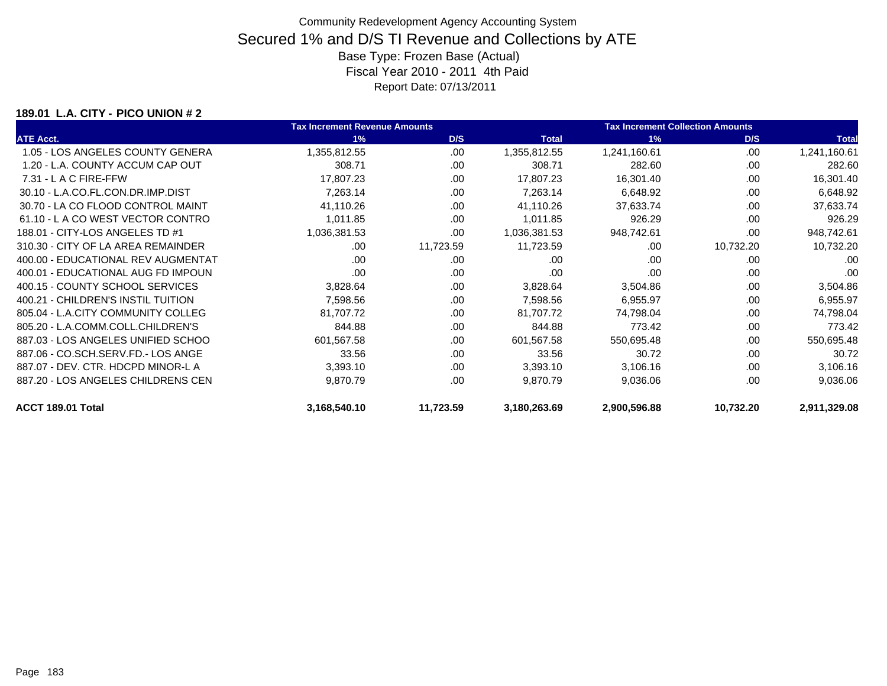### **189.01 L.A. CITY - PICO UNION # 2**

|                                    | <b>Tax Increment Revenue Amounts</b> |           |              | <b>Tax Increment Collection Amounts</b> |           |              |
|------------------------------------|--------------------------------------|-----------|--------------|-----------------------------------------|-----------|--------------|
| <b>ATE Acct.</b>                   | 1%                                   | D/S       | <b>Total</b> | 1%                                      | D/S       | <b>Total</b> |
| 1.05 - LOS ANGELES COUNTY GENERA   | 1,355,812.55                         | .00       | 1,355,812.55 | 1,241,160.61                            | .00       | 1,241,160.61 |
| 1.20 - L.A. COUNTY ACCUM CAP OUT   | 308.71                               | .00       | 308.71       | 282.60                                  | .00       | 282.60       |
| $7.31 - L$ A C FIRE-FFW            | 17,807.23                            | .00       | 17,807.23    | 16,301.40                               | .00       | 16,301.40    |
| 30.10 - L.A.CO.FL.CON.DR.IMP.DIST  | 7,263.14                             | .00       | 7,263.14     | 6,648.92                                | .00       | 6,648.92     |
| 30.70 - LA CO FLOOD CONTROL MAINT  | 41,110.26                            | .00       | 41,110.26    | 37,633.74                               | .00       | 37,633.74    |
| 61.10 - L A CO WEST VECTOR CONTRO  | 1,011.85                             | .00       | 1,011.85     | 926.29                                  | .00       | 926.29       |
| 188.01 - CITY-LOS ANGELES TD #1    | 1,036,381.53                         | .00       | 1,036,381.53 | 948,742.61                              | .00       | 948,742.61   |
| 310.30 - CITY OF LA AREA REMAINDER | .00                                  | 11,723.59 | 11,723.59    | .00                                     | 10,732.20 | 10,732.20    |
| 400.00 - EDUCATIONAL REV AUGMENTAT | .00                                  | .00       | .00.         | .00                                     | .00       | .00          |
| 400.01 - EDUCATIONAL AUG FD IMPOUN | .00                                  | .00       | .00          | .00                                     | .00       | .00          |
| 400.15 - COUNTY SCHOOL SERVICES    | 3,828.64                             | .00.      | 3,828.64     | 3,504.86                                | .00       | 3,504.86     |
| 400.21 - CHILDREN'S INSTIL TUITION | 7,598.56                             | .00       | 7,598.56     | 6,955.97                                | .00       | 6,955.97     |
| 805.04 - L.A.CITY COMMUNITY COLLEG | 81,707.72                            | .00       | 81,707.72    | 74,798.04                               | .00       | 74,798.04    |
| 805.20 - L.A.COMM.COLL.CHILDREN'S  | 844.88                               | .00       | 844.88       | 773.42                                  | .00       | 773.42       |
| 887.03 - LOS ANGELES UNIFIED SCHOO | 601,567.58                           | .00       | 601,567.58   | 550,695.48                              | .00       | 550,695.48   |
| 887.06 - CO.SCH.SERV.FD.- LOS ANGE | 33.56                                | .00       | 33.56        | 30.72                                   | .00       | 30.72        |
| 887.07 - DEV. CTR. HDCPD MINOR-L A | 3,393.10                             | .00       | 3,393.10     | 3,106.16                                | .00       | 3,106.16     |
| 887.20 - LOS ANGELES CHILDRENS CEN | 9,870.79                             | .00       | 9,870.79     | 9,036.06                                | .00       | 9,036.06     |
| ACCT 189.01 Total                  | 3,168,540.10                         | 11,723.59 | 3,180,263.69 | 2,900,596.88                            | 10,732.20 | 2,911,329.08 |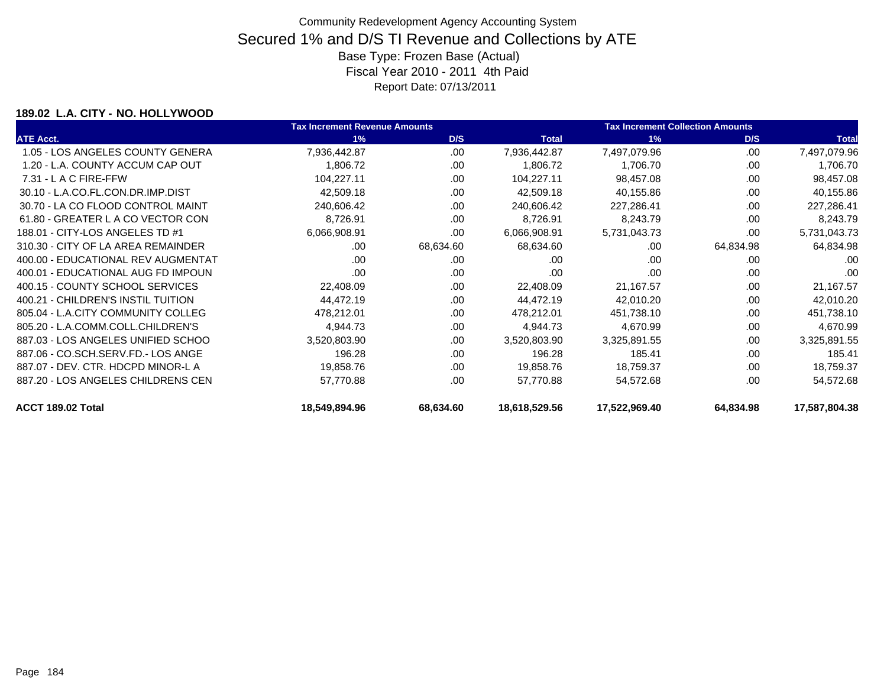### **189.02 L.A. CITY - NO. HOLLYWOOD**

|                                    | <b>Tax Increment Revenue Amounts</b> |           |               | <b>Tax Increment Collection Amounts</b> |           |               |
|------------------------------------|--------------------------------------|-----------|---------------|-----------------------------------------|-----------|---------------|
| <b>ATE Acct.</b>                   | 1%                                   | D/S       | <b>Total</b>  | 1%                                      | D/S       | <b>Total</b>  |
| 1.05 - LOS ANGELES COUNTY GENERA   | 7,936,442.87                         | .00.      | 7,936,442.87  | 7,497,079.96                            | .00       | 7,497,079.96  |
| 1.20 - L.A. COUNTY ACCUM CAP OUT   | 1,806.72                             | .00       | 1,806.72      | 1,706.70                                | .00       | 1,706.70      |
| $7.31 - L$ A C FIRE-FFW            | 104,227.11                           | .00       | 104,227.11    | 98,457.08                               | .00       | 98,457.08     |
| 30.10 - L.A.CO.FL.CON.DR.IMP.DIST  | 42,509.18                            | .00.      | 42,509.18     | 40,155.86                               | .00       | 40,155.86     |
| 30.70 - LA CO FLOOD CONTROL MAINT  | 240,606.42                           | .00       | 240,606.42    | 227,286.41                              | .00       | 227,286.41    |
| 61.80 - GREATER L A CO VECTOR CON  | 8,726.91                             | .00       | 8,726.91      | 8,243.79                                | .00       | 8,243.79      |
| 188.01 - CITY-LOS ANGELES TD #1    | 6,066,908.91                         | .00       | 6,066,908.91  | 5,731,043.73                            | .00       | 5,731,043.73  |
| 310.30 - CITY OF LA AREA REMAINDER | .00                                  | 68,634.60 | 68,634.60     | .00                                     | 64,834.98 | 64,834.98     |
| 400.00 - EDUCATIONAL REV AUGMENTAT | .00                                  | .00       | .00           | .00                                     | .00       | .00           |
| 400.01 - EDUCATIONAL AUG FD IMPOUN | .00                                  | .00       | .00           | .00                                     | .00       | .00           |
| 400.15 - COUNTY SCHOOL SERVICES    | 22,408.09                            | .00.      | 22,408.09     | 21,167.57                               | .00.      | 21,167.57     |
| 400.21 - CHILDREN'S INSTIL TUITION | 44,472.19                            | .00.      | 44,472.19     | 42,010.20                               | .00       | 42,010.20     |
| 805.04 - L.A.CITY COMMUNITY COLLEG | 478,212.01                           | .00       | 478,212.01    | 451,738.10                              | .00       | 451,738.10    |
| 805.20 - L.A.COMM.COLL.CHILDREN'S  | 4,944.73                             | .00.      | 4,944.73      | 4,670.99                                | .00       | 4,670.99      |
| 887.03 - LOS ANGELES UNIFIED SCHOO | 3,520,803.90                         | .00       | 3,520,803.90  | 3,325,891.55                            | .00       | 3,325,891.55  |
| 887.06 - CO.SCH.SERV.FD.- LOS ANGE | 196.28                               | .00       | 196.28        | 185.41                                  | .00       | 185.41        |
| 887.07 - DEV. CTR. HDCPD MINOR-L A | 19,858.76                            | .00       | 19,858.76     | 18,759.37                               | .00       | 18,759.37     |
| 887.20 - LOS ANGELES CHILDRENS CEN | 57,770.88                            | .00       | 57,770.88     | 54,572.68                               | .00       | 54,572.68     |
| ACCT 189.02 Total                  | 18,549,894.96                        | 68,634.60 | 18,618,529.56 | 17,522,969.40                           | 64,834.98 | 17,587,804.38 |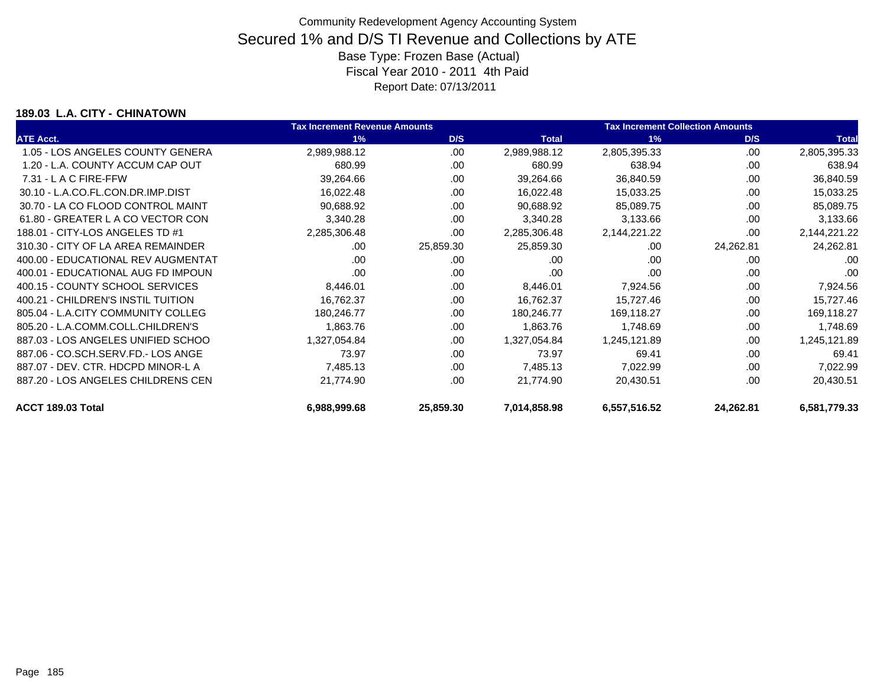### **189.03 L.A. CITY - CHINATOWN**

|                                    | <b>Tax Increment Revenue Amounts</b> |           |              | <b>Tax Increment Collection Amounts</b> |           |                 |
|------------------------------------|--------------------------------------|-----------|--------------|-----------------------------------------|-----------|-----------------|
| <b>ATE Acct.</b>                   | 1%                                   | D/S       | <b>Total</b> | 1%                                      | D/S       | <b>Total</b>    |
| 1.05 - LOS ANGELES COUNTY GENERA   | 2,989,988.12                         | .00       | 2,989,988.12 | 2,805,395.33                            | .00       | 2,805,395.33    |
| 1.20 - L.A. COUNTY ACCUM CAP OUT   | 680.99                               | .00       | 680.99       | 638.94                                  | .00       | 638.94          |
| $7.31 - L$ A C FIRE-FFW            | 39,264.66                            | .00       | 39,264.66    | 36,840.59                               | .00       | 36,840.59       |
| 30.10 - L.A.CO.FL.CON.DR.IMP.DIST  | 16,022.48                            | .00       | 16,022.48    | 15,033.25                               | .00       | 15,033.25       |
| 30.70 - LA CO FLOOD CONTROL MAINT  | 90,688.92                            | .00       | 90,688.92    | 85,089.75                               | .00       | 85,089.75       |
| 61.80 - GREATER L A CO VECTOR CON  | 3,340.28                             | .00       | 3,340.28     | 3,133.66                                | .00       | 3,133.66        |
| 188.01 - CITY-LOS ANGELES TD #1    | 2,285,306.48                         | .00       | 2,285,306.48 | 2,144,221.22                            | .00       | 2, 144, 221. 22 |
| 310.30 - CITY OF LA AREA REMAINDER | .00.                                 | 25,859.30 | 25,859.30    | .00                                     | 24,262.81 | 24,262.81       |
| 400.00 - EDUCATIONAL REV AUGMENTAT | .00                                  | .00       | .00          | .00                                     | .00       | .00             |
| 400.01 - EDUCATIONAL AUG FD IMPOUN | .00                                  | .00       | .00          | .00                                     | .00       | .00             |
| 400.15 - COUNTY SCHOOL SERVICES    | 8,446.01                             | .00.      | 8,446.01     | 7,924.56                                | .00       | 7,924.56        |
| 400.21 - CHILDREN'S INSTIL TUITION | 16,762.37                            | .00.      | 16,762.37    | 15,727.46                               | .00       | 15,727.46       |
| 805.04 - L.A.CITY COMMUNITY COLLEG | 180,246.77                           | .00       | 180,246.77   | 169,118.27                              | .00       | 169,118.27      |
| 805.20 - L.A.COMM.COLL.CHILDREN'S  | 1,863.76                             | .00       | 1,863.76     | 1,748.69                                | .00       | 1,748.69        |
| 887.03 - LOS ANGELES UNIFIED SCHOO | 1,327,054.84                         | .00       | 1,327,054.84 | 1,245,121.89                            | .00       | 1,245,121.89    |
| 887.06 - CO.SCH.SERV.FD.- LOS ANGE | 73.97                                | .00       | 73.97        | 69.41                                   | .00       | 69.41           |
| 887.07 - DEV. CTR. HDCPD MINOR-L A | 7,485.13                             | .00       | 7,485.13     | 7,022.99                                | .00       | 7,022.99        |
| 887.20 - LOS ANGELES CHILDRENS CEN | 21,774.90                            | .00       | 21,774.90    | 20,430.51                               | .00       | 20,430.51       |
| ACCT 189.03 Total                  | 6,988,999.68                         | 25,859.30 | 7,014,858.98 | 6,557,516.52                            | 24,262.81 | 6,581,779.33    |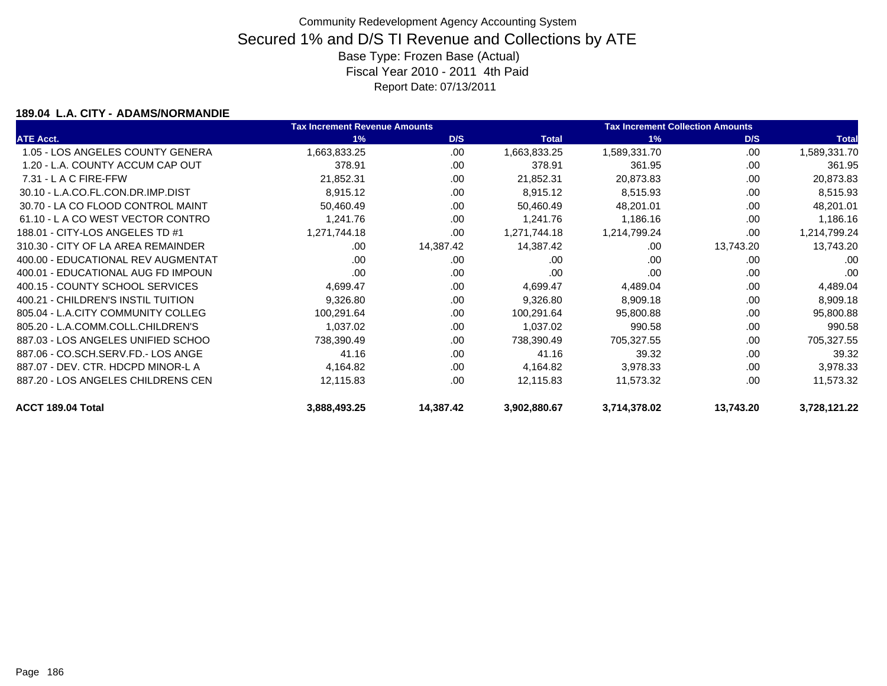### **189.04 L.A. CITY - ADAMS/NORMANDIE**

|                                    | <b>Tax Increment Revenue Amounts</b> |           |              | <b>Tax Increment Collection Amounts</b> |           |              |
|------------------------------------|--------------------------------------|-----------|--------------|-----------------------------------------|-----------|--------------|
| <b>ATE Acct.</b>                   | 1%                                   | D/S       | <b>Total</b> | 1%                                      | D/S       | <b>Total</b> |
| 1.05 - LOS ANGELES COUNTY GENERA   | 1,663,833.25                         | .00.      | 1,663,833.25 | 1,589,331.70                            | .00       | 1,589,331.70 |
| 1.20 - L.A. COUNTY ACCUM CAP OUT   | 378.91                               | .00       | 378.91       | 361.95                                  | .00       | 361.95       |
| $7.31 - L$ A C FIRE-FFW            | 21,852.31                            | .00       | 21,852.31    | 20,873.83                               | .00       | 20,873.83    |
| 30.10 - L.A.CO.FL.CON.DR.IMP.DIST  | 8,915.12                             | .00.      | 8,915.12     | 8,515.93                                | .00       | 8,515.93     |
| 30.70 - LA CO FLOOD CONTROL MAINT  | 50,460.49                            | .00       | 50,460.49    | 48,201.01                               | .00       | 48,201.01    |
| 61.10 - L A CO WEST VECTOR CONTRO  | 1,241.76                             | .00       | 1,241.76     | 1,186.16                                | .00       | 1,186.16     |
| 188.01 - CITY-LOS ANGELES TD #1    | 1,271,744.18                         | .00       | 1,271,744.18 | 1,214,799.24                            | .00       | 1,214,799.24 |
| 310.30 - CITY OF LA AREA REMAINDER | .00.                                 | 14,387.42 | 14,387.42    | .00                                     | 13,743.20 | 13,743.20    |
| 400.00 - EDUCATIONAL REV AUGMENTAT | .00                                  | .00       | .00          | .00                                     | .00       | .00          |
| 400.01 - EDUCATIONAL AUG FD IMPOUN | .00                                  | .00       | .00          | .00                                     | .00       | .00          |
| 400.15 - COUNTY SCHOOL SERVICES    | 4,699.47                             | .00.      | 4,699.47     | 4,489.04                                | .00       | 4,489.04     |
| 400.21 - CHILDREN'S INSTIL TUITION | 9,326.80                             | .00       | 9,326.80     | 8,909.18                                | .00       | 8,909.18     |
| 805.04 - L.A.CITY COMMUNITY COLLEG | 100,291.64                           | .00       | 100,291.64   | 95,800.88                               | .00       | 95,800.88    |
| 805.20 - L.A.COMM.COLL.CHILDREN'S  | 1,037.02                             | .00       | 1,037.02     | 990.58                                  | .00       | 990.58       |
| 887.03 - LOS ANGELES UNIFIED SCHOO | 738,390.49                           | .00       | 738,390.49   | 705,327.55                              | .00       | 705,327.55   |
| 887.06 - CO.SCH.SERV.FD.- LOS ANGE | 41.16                                | .00       | 41.16        | 39.32                                   | .00       | 39.32        |
| 887.07 - DEV. CTR. HDCPD MINOR-L A | 4,164.82                             | .00       | 4,164.82     | 3,978.33                                | .00       | 3,978.33     |
| 887.20 - LOS ANGELES CHILDRENS CEN | 12,115.83                            | .00       | 12,115.83    | 11,573.32                               | .00       | 11,573.32    |
| ACCT 189.04 Total                  | 3,888,493.25                         | 14,387.42 | 3,902,880.67 | 3,714,378.02                            | 13,743.20 | 3,728,121.22 |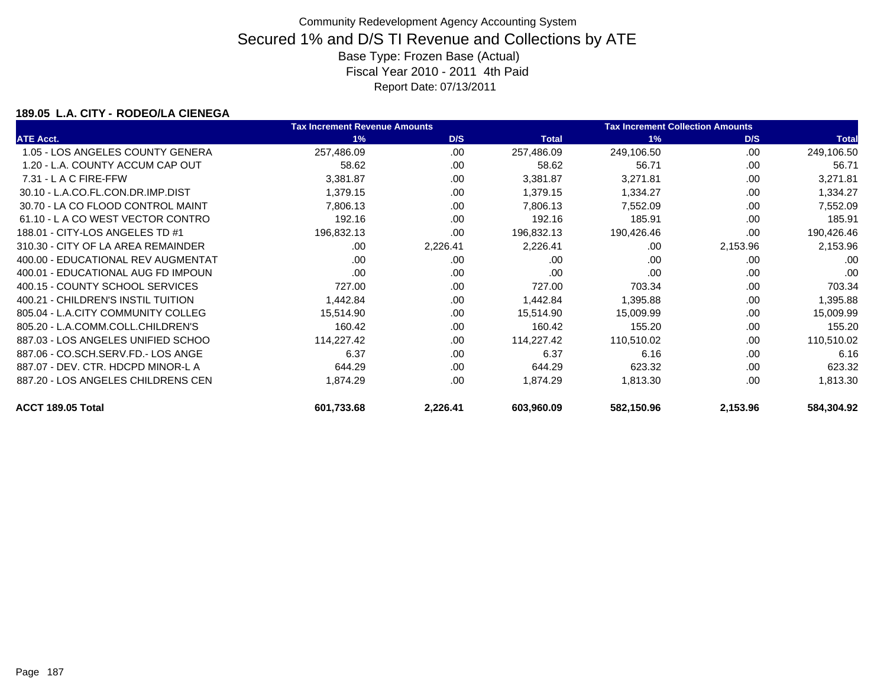### **189.05 L.A. CITY - RODEO/LA CIENEGA**

|                                    | <b>Tax Increment Revenue Amounts</b> |          | <b>Tax Increment Collection Amounts</b> |            |          |              |
|------------------------------------|--------------------------------------|----------|-----------------------------------------|------------|----------|--------------|
| <b>ATE Acct.</b>                   | 1%                                   | D/S      | <b>Total</b>                            | 1%         | D/S      | <b>Total</b> |
| 1.05 - LOS ANGELES COUNTY GENERA   | 257,486.09                           | .00      | 257,486.09                              | 249,106.50 | .00      | 249,106.50   |
| 1.20 - L.A. COUNTY ACCUM CAP OUT   | 58.62                                | .00      | 58.62                                   | 56.71      | .00      | 56.71        |
| $7.31 - L$ A C FIRE-FFW            | 3,381.87                             | .00      | 3,381.87                                | 3,271.81   | .00      | 3,271.81     |
| 30.10 - L.A.CO.FL.CON.DR.IMP.DIST  | 1,379.15                             | .00.     | 1,379.15                                | 1,334.27   | .00      | 1,334.27     |
| 30.70 - LA CO FLOOD CONTROL MAINT  | 7,806.13                             | .00      | 7,806.13                                | 7,552.09   | .00      | 7,552.09     |
| 61.10 - L A CO WEST VECTOR CONTRO  | 192.16                               | .00      | 192.16                                  | 185.91     | .00      | 185.91       |
| 188.01 - CITY-LOS ANGELES TD #1    | 196,832.13                           | .00      | 196,832.13                              | 190,426.46 | .00      | 190,426.46   |
| 310.30 - CITY OF LA AREA REMAINDER | .00.                                 | 2,226.41 | 2,226.41                                | .00        | 2,153.96 | 2,153.96     |
| 400.00 - EDUCATIONAL REV AUGMENTAT | .00                                  | .00      | .00                                     | .00        | .00      | .00          |
| 400.01 - EDUCATIONAL AUG FD IMPOUN | .00                                  | .00      | .00                                     | .00.       | .00      | .00          |
| 400.15 - COUNTY SCHOOL SERVICES    | 727.00                               | .00      | 727.00                                  | 703.34     | .00      | 703.34       |
| 400.21 - CHILDREN'S INSTIL TUITION | 1,442.84                             | .00      | 1,442.84                                | 1,395.88   | .00      | 1,395.88     |
| 805.04 - L.A.CITY COMMUNITY COLLEG | 15,514.90                            | .00      | 15,514.90                               | 15,009.99  | .00      | 15,009.99    |
| 805.20 - L.A.COMM.COLL.CHILDREN'S  | 160.42                               | .00      | 160.42                                  | 155.20     | .00      | 155.20       |
| 887.03 - LOS ANGELES UNIFIED SCHOO | 114,227.42                           | .00      | 114,227.42                              | 110,510.02 | .00      | 110,510.02   |
| 887.06 - CO.SCH.SERV.FD.- LOS ANGE | 6.37                                 | .00      | 6.37                                    | 6.16       | .00      | 6.16         |
| 887.07 - DEV. CTR. HDCPD MINOR-L A | 644.29                               | .00      | 644.29                                  | 623.32     | .00      | 623.32       |
| 887.20 - LOS ANGELES CHILDRENS CEN | 1,874.29                             | .00      | 1,874.29                                | 1,813.30   | .00      | 1,813.30     |
| ACCT 189.05 Total                  | 601,733.68                           | 2,226.41 | 603,960.09                              | 582,150.96 | 2,153.96 | 584,304.92   |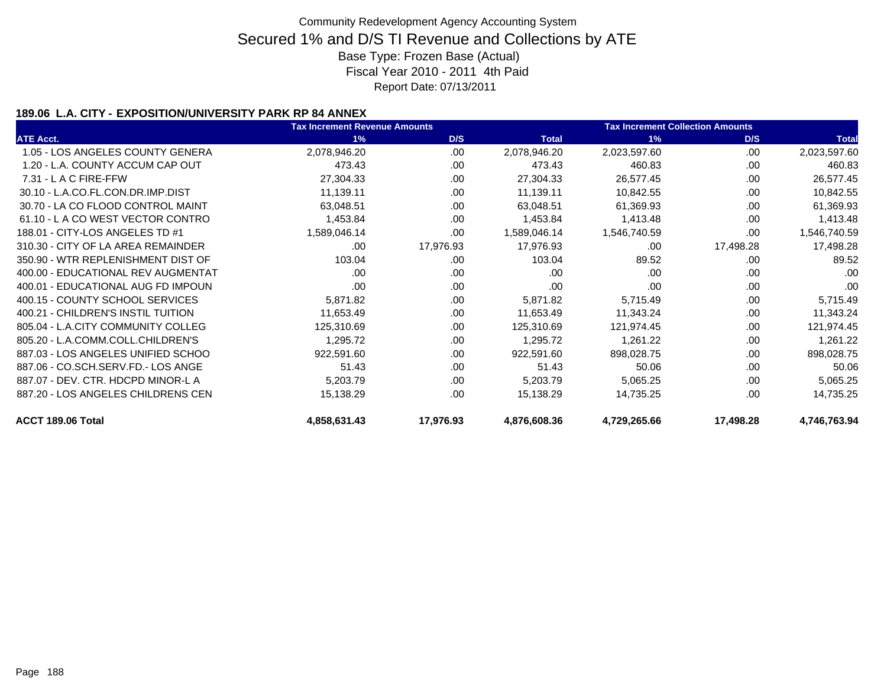### **189.06 L.A. CITY - EXPOSITION/UNIVERSITY PARK RP 84 ANNEX**

|                                    | <b>Tax Increment Revenue Amounts</b> |           |              | <b>Tax Increment Collection Amounts</b> |           |              |
|------------------------------------|--------------------------------------|-----------|--------------|-----------------------------------------|-----------|--------------|
| <b>ATE Acct.</b>                   | 1%                                   | D/S       | <b>Total</b> | 1%                                      | D/S       | <b>Total</b> |
| 1.05 - LOS ANGELES COUNTY GENERA   | 2,078,946.20                         | .00       | 2,078,946.20 | 2,023,597.60                            | .00.      | 2,023,597.60 |
| 1.20 - L.A. COUNTY ACCUM CAP OUT   | 473.43                               | .00       | 473.43       | 460.83                                  | .00       | 460.83       |
| $7.31 - L$ A C FIRE-FFW            | 27,304.33                            | .00.      | 27,304.33    | 26,577.45                               | .00       | 26,577.45    |
| 30.10 - L.A.CO.FL.CON.DR.IMP.DIST  | 11,139.11                            | .00       | 11,139.11    | 10,842.55                               | .00       | 10,842.55    |
| 30.70 - LA CO FLOOD CONTROL MAINT  | 63,048.51                            | .00       | 63,048.51    | 61,369.93                               | .00       | 61,369.93    |
| 61.10 - L A CO WEST VECTOR CONTRO  | 1,453.84                             | .00.      | 1,453.84     | 1,413.48                                | .00       | 1,413.48     |
| 188.01 - CITY-LOS ANGELES TD #1    | 1,589,046.14                         | .00       | 1,589,046.14 | 1,546,740.59                            | .00       | 1,546,740.59 |
| 310.30 - CITY OF LA AREA REMAINDER | .00                                  | 17,976.93 | 17,976.93    | .00                                     | 17,498.28 | 17,498.28    |
| 350.90 - WTR REPLENISHMENT DIST OF | 103.04                               | .00.      | 103.04       | 89.52                                   | .00       | 89.52        |
| 400.00 - EDUCATIONAL REV AUGMENTAT | .00                                  | .00       | .00          | .00                                     | .00       | .00          |
| 400.01 - EDUCATIONAL AUG FD IMPOUN | .00                                  | .00       | .00          | .00                                     | .00       | .00          |
| 400.15 - COUNTY SCHOOL SERVICES    | 5,871.82                             | .00       | 5,871.82     | 5,715.49                                | .00.      | 5,715.49     |
| 400.21 - CHILDREN'S INSTIL TUITION | 11,653.49                            | .00.      | 11,653.49    | 11,343.24                               | .00       | 11,343.24    |
| 805.04 - L.A.CITY COMMUNITY COLLEG | 125,310.69                           | .00       | 125,310.69   | 121,974.45                              | .00       | 121,974.45   |
| 805.20 - L.A.COMM.COLL.CHILDREN'S  | 1,295.72                             | .00.      | 1,295.72     | 1,261.22                                | .00.      | 1,261.22     |
| 887.03 - LOS ANGELES UNIFIED SCHOO | 922,591.60                           | .00       | 922,591.60   | 898,028.75                              | .00       | 898,028.75   |
| 887.06 - CO.SCH.SERV.FD.- LOS ANGE | 51.43                                | .00       | 51.43        | 50.06                                   | .00       | 50.06        |
| 887.07 - DEV. CTR. HDCPD MINOR-L A | 5,203.79                             | .00.      | 5,203.79     | 5,065.25                                | .00       | 5,065.25     |
| 887.20 - LOS ANGELES CHILDRENS CEN | 15,138.29                            | .00       | 15,138.29    | 14,735.25                               | .00       | 14,735.25    |
| ACCT 189.06 Total                  | 4,858,631.43                         | 17,976.93 | 4,876,608.36 | 4,729,265.66                            | 17,498.28 | 4,746,763.94 |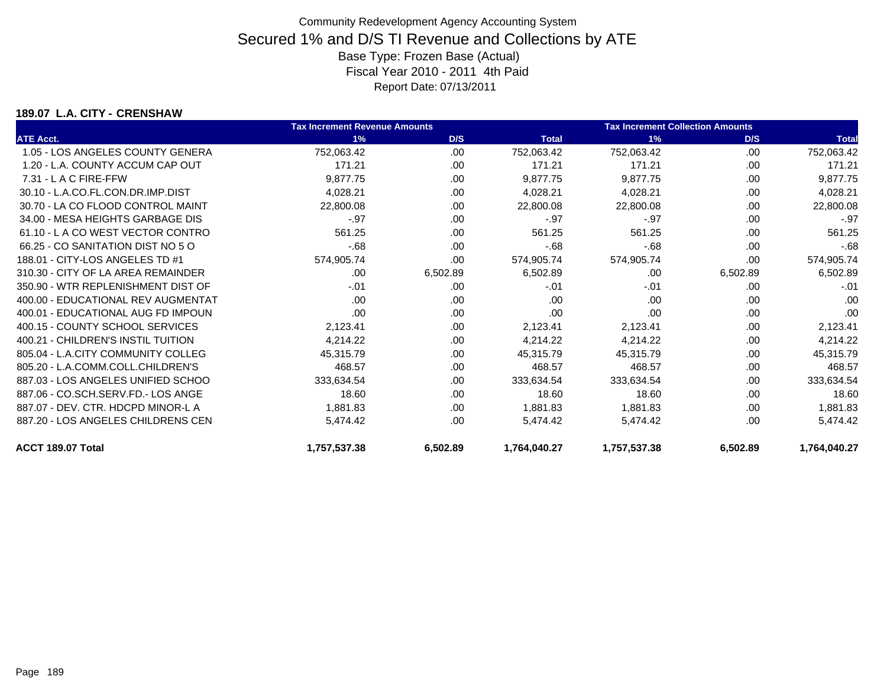### **189.07 L.A. CITY - CRENSHAW**

|                                    | <b>Tax Increment Revenue Amounts</b> |          |              | <b>Tax Increment Collection Amounts</b> |          |              |
|------------------------------------|--------------------------------------|----------|--------------|-----------------------------------------|----------|--------------|
| <b>ATE Acct.</b>                   | 1%                                   | D/S      | <b>Total</b> | 1%                                      | D/S      | <b>Total</b> |
| 1.05 - LOS ANGELES COUNTY GENERA   | 752,063.42                           | .00      | 752,063.42   | 752,063.42                              | .00      | 752,063.42   |
| 1.20 - L.A. COUNTY ACCUM CAP OUT   | 171.21                               | .00      | 171.21       | 171.21                                  | .00.     | 171.21       |
| $7.31 - L$ A C FIRE-FFW            | 9,877.75                             | .00      | 9,877.75     | 9,877.75                                | .00      | 9,877.75     |
| 30.10 - L.A.CO.FL.CON.DR.IMP.DIST  | 4,028.21                             | .00      | 4,028.21     | 4,028.21                                | .00      | 4,028.21     |
| 30.70 - LA CO FLOOD CONTROL MAINT  | 22,800.08                            | .00      | 22,800.08    | 22,800.08                               | .00      | 22,800.08    |
| 34.00 - MESA HEIGHTS GARBAGE DIS   | $-97$                                | .00      | $-.97$       | $-.97$                                  | .00      | $-.97$       |
| 61.10 - L A CO WEST VECTOR CONTRO  | 561.25                               | .00      | 561.25       | 561.25                                  | .00      | 561.25       |
| 66.25 - CO SANITATION DIST NO 5 O  | $-68$                                | .00      | $-68$        | $-68$                                   | .00      | $-68$        |
| 188.01 - CITY-LOS ANGELES TD #1    | 574,905.74                           | .00      | 574,905.74   | 574,905.74                              | .00      | 574,905.74   |
| 310.30 - CITY OF LA AREA REMAINDER | .00                                  | 6,502.89 | 6,502.89     | .00                                     | 6,502.89 | 6,502.89     |
| 350.90 - WTR REPLENISHMENT DIST OF | $-.01$                               | .00      | $-.01$       | $-.01$                                  | .00      | $-.01$       |
| 400.00 - EDUCATIONAL REV AUGMENTAT | .00                                  | .00      | .00          | .00                                     | .00      | .00          |
| 400.01 - EDUCATIONAL AUG FD IMPOUN | .00                                  | .00      | .00          | .00                                     | .00      | .00          |
| 400.15 - COUNTY SCHOOL SERVICES    | 2,123.41                             | .00      | 2,123.41     | 2,123.41                                | .00.     | 2,123.41     |
| 400.21 - CHILDREN'S INSTIL TUITION | 4,214.22                             | .00      | 4,214.22     | 4,214.22                                | .00      | 4,214.22     |
| 805.04 - L.A.CITY COMMUNITY COLLEG | 45,315.79                            | .00      | 45,315.79    | 45,315.79                               | .00      | 45,315.79    |
| 805.20 - L.A.COMM.COLL.CHILDREN'S  | 468.57                               | .00      | 468.57       | 468.57                                  | .00      | 468.57       |
| 887.03 - LOS ANGELES UNIFIED SCHOO | 333,634.54                           | .00      | 333,634.54   | 333,634.54                              | .00      | 333,634.54   |
| 887.06 - CO.SCH.SERV.FD.- LOS ANGE | 18.60                                | .00      | 18.60        | 18.60                                   | .00.     | 18.60        |
| 887.07 - DEV. CTR. HDCPD MINOR-L A | 1,881.83                             | .00      | 1,881.83     | 1,881.83                                | .00      | 1,881.83     |
| 887.20 - LOS ANGELES CHILDRENS CEN | 5,474.42                             | .00      | 5,474.42     | 5,474.42                                | .00      | 5,474.42     |
| ACCT 189.07 Total                  | 1,757,537.38                         | 6,502.89 | 1,764,040.27 | 1,757,537.38                            | 6,502.89 | 1,764,040.27 |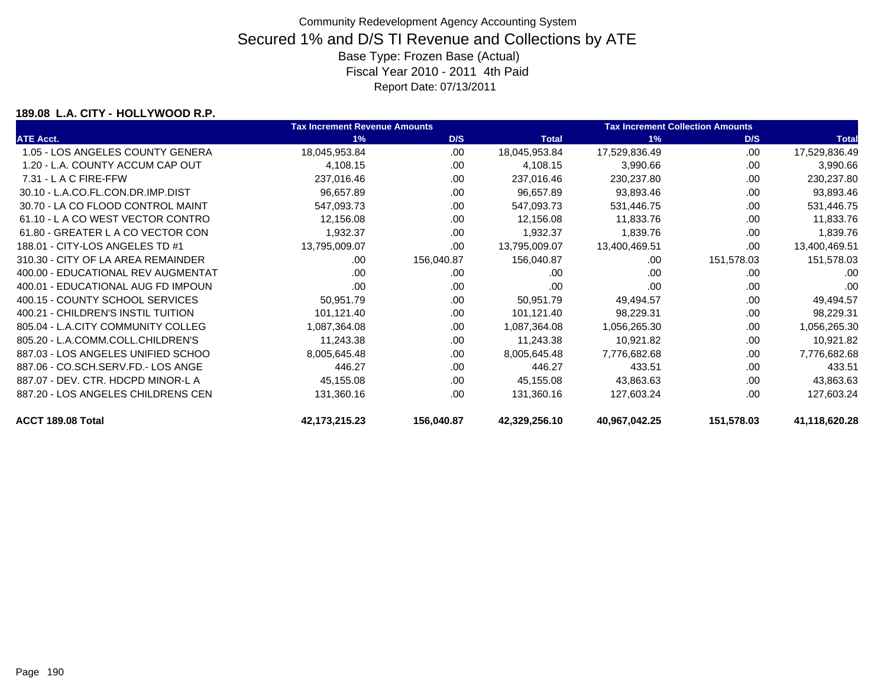#### **189.08 L.A. CITY - HOLLYWOOD R.P.**

|                                    | <b>Tax Increment Revenue Amounts</b> |            |               | <b>Tax Increment Collection Amounts</b> |            |               |  |
|------------------------------------|--------------------------------------|------------|---------------|-----------------------------------------|------------|---------------|--|
| <b>ATE Acct.</b>                   | 1%                                   | D/S        | <b>Total</b>  | 1%                                      | D/S        | <b>Total</b>  |  |
| 1.05 - LOS ANGELES COUNTY GENERA   | 18,045,953.84                        | .00.       | 18,045,953.84 | 17,529,836.49                           | .00        | 17,529,836.49 |  |
| 1.20 - L.A. COUNTY ACCUM CAP OUT   | 4,108.15                             | .00        | 4,108.15      | 3,990.66                                | .00        | 3,990.66      |  |
| 7.31 - L A C FIRE-FFW              | 237,016.46                           | .00.       | 237,016.46    | 230,237.80                              | .00        | 230,237.80    |  |
| 30.10 - L.A.CO.FL.CON.DR.IMP.DIST  | 96,657.89                            | .00        | 96,657.89     | 93,893.46                               | .00        | 93,893.46     |  |
| 30.70 - LA CO FLOOD CONTROL MAINT  | 547,093.73                           | .00        | 547,093.73    | 531,446.75                              | .00        | 531,446.75    |  |
| 61.10 - L A CO WEST VECTOR CONTRO  | 12,156.08                            | .00.       | 12,156.08     | 11,833.76                               | .00        | 11,833.76     |  |
| 61.80 - GREATER L A CO VECTOR CON  | 1,932.37                             | .00.       | 1,932.37      | 1,839.76                                | .00        | 1,839.76      |  |
| 188.01 - CITY-LOS ANGELES TD #1    | 13,795,009.07                        | .00        | 13,795,009.07 | 13,400,469.51                           | .00        | 13,400,469.51 |  |
| 310.30 - CITY OF LA AREA REMAINDER | .00                                  | 156,040.87 | 156,040.87    | .00                                     | 151,578.03 | 151,578.03    |  |
| 400.00 - EDUCATIONAL REV AUGMENTAT | .00                                  | .00.       | .00           | .00.                                    | .00        | .00           |  |
| 400.01 - EDUCATIONAL AUG FD IMPOUN | .00                                  | .00        | .00           | .00                                     | .00        | .00           |  |
| 400.15 - COUNTY SCHOOL SERVICES    | 50,951.79                            | .00.       | 50,951.79     | 49,494.57                               | .00        | 49,494.57     |  |
| 400.21 - CHILDREN'S INSTIL TUITION | 101,121.40                           | .00.       | 101,121.40    | 98,229.31                               | .00        | 98,229.31     |  |
| 805.04 - L.A.CITY COMMUNITY COLLEG | 1,087,364.08                         | .00        | 1,087,364.08  | 1,056,265.30                            | .00        | 1,056,265.30  |  |
| 805.20 - L.A.COMM.COLL.CHILDREN'S  | 11,243.38                            | .00        | 11,243.38     | 10,921.82                               | .00        | 10,921.82     |  |
| 887.03 - LOS ANGELES UNIFIED SCHOO | 8,005,645.48                         | .00        | 8,005,645.48  | 7,776,682.68                            | .00        | 7,776,682.68  |  |
| 887.06 - CO.SCH.SERV.FD.- LOS ANGE | 446.27                               | .00        | 446.27        | 433.51                                  | .00        | 433.51        |  |
| 887.07 - DEV. CTR. HDCPD MINOR-L A | 45,155.08                            | .00.       | 45,155.08     | 43,863.63                               | .00        | 43,863.63     |  |
| 887.20 - LOS ANGELES CHILDRENS CEN | 131,360.16                           | .00        | 131,360.16    | 127,603.24                              | .00        | 127,603.24    |  |
| ACCT 189.08 Total                  | 42, 173, 215. 23                     | 156,040.87 | 42,329,256.10 | 40,967,042.25                           | 151,578.03 | 41,118,620.28 |  |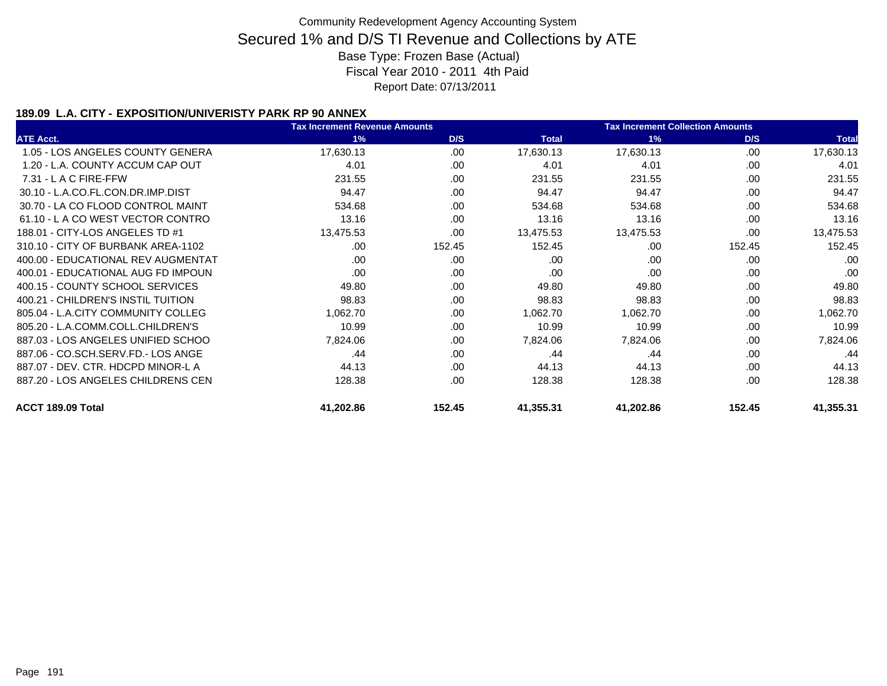### **189.09 L.A. CITY - EXPOSITION/UNIVERISTY PARK RP 90 ANNEX**

|                                    | <b>Tax Increment Revenue Amounts</b> | <b>Tax Increment Collection Amounts</b> |              |           |        |              |
|------------------------------------|--------------------------------------|-----------------------------------------|--------------|-----------|--------|--------------|
| <b>ATE Acct.</b>                   | 1%                                   | D/S                                     | <b>Total</b> | 1%        | D/S    | <b>Total</b> |
| 1.05 - LOS ANGELES COUNTY GENERA   | 17,630.13                            | .00                                     | 17,630.13    | 17,630.13 | .00.   | 17,630.13    |
| 1.20 - L.A. COUNTY ACCUM CAP OUT   | 4.01                                 | .00                                     | 4.01         | 4.01      | .00    | 4.01         |
| $7.31 - L$ A C FIRE-FFW            | 231.55                               | .00.                                    | 231.55       | 231.55    | .00    | 231.55       |
| 30.10 - L.A.CO.FL.CON.DR.IMP.DIST  | 94.47                                | .00                                     | 94.47        | 94.47     | .00    | 94.47        |
| 30.70 - LA CO FLOOD CONTROL MAINT  | 534.68                               | .00                                     | 534.68       | 534.68    | .00    | 534.68       |
| 61.10 - L A CO WEST VECTOR CONTRO  | 13.16                                | .00.                                    | 13.16        | 13.16     | .00.   | 13.16        |
| 188.01 - CITY-LOS ANGELES TD #1    | 13,475.53                            | .00                                     | 13,475.53    | 13,475.53 | .00    | 13,475.53    |
| 310.10 - CITY OF BURBANK AREA-1102 | .00.                                 | 152.45                                  | 152.45       | .00       | 152.45 | 152.45       |
| 400.00 - EDUCATIONAL REV AUGMENTAT | .00                                  | .00                                     | .00          | .00       | .00.   | .00          |
| 400.01 - EDUCATIONAL AUG FD IMPOUN | .00                                  | .00.                                    | .00          | .00       | .00    | .00          |
| 400.15 - COUNTY SCHOOL SERVICES    | 49.80                                | .00                                     | 49.80        | 49.80     | .00.   | 49.80        |
| 400.21 - CHILDREN'S INSTIL TUITION | 98.83                                | .00                                     | 98.83        | 98.83     | .00    | 98.83        |
| 805.04 - L.A.CITY COMMUNITY COLLEG | 1,062.70                             | .00                                     | 1,062.70     | 1,062.70  | .00    | 1,062.70     |
| 805.20 - L.A.COMM.COLL.CHILDREN'S  | 10.99                                | .00.                                    | 10.99        | 10.99     | .00    | 10.99        |
| 887.03 - LOS ANGELES UNIFIED SCHOO | 7,824.06                             | .00                                     | 7,824.06     | 7,824.06  | .00    | 7,824.06     |
| 887.06 - CO.SCH.SERV.FD.- LOS ANGE | .44                                  | .00.                                    | .44          | .44       | .00    | .44          |
| 887.07 - DEV. CTR. HDCPD MINOR-L A | 44.13                                | .00.                                    | 44.13        | 44.13     | .00    | 44.13        |
| 887.20 - LOS ANGELES CHILDRENS CEN | 128.38                               | .00                                     | 128.38       | 128.38    | .00    | 128.38       |
| ACCT 189.09 Total                  | 41,202.86                            | 152.45                                  | 41,355.31    | 41,202.86 | 152.45 | 41,355.31    |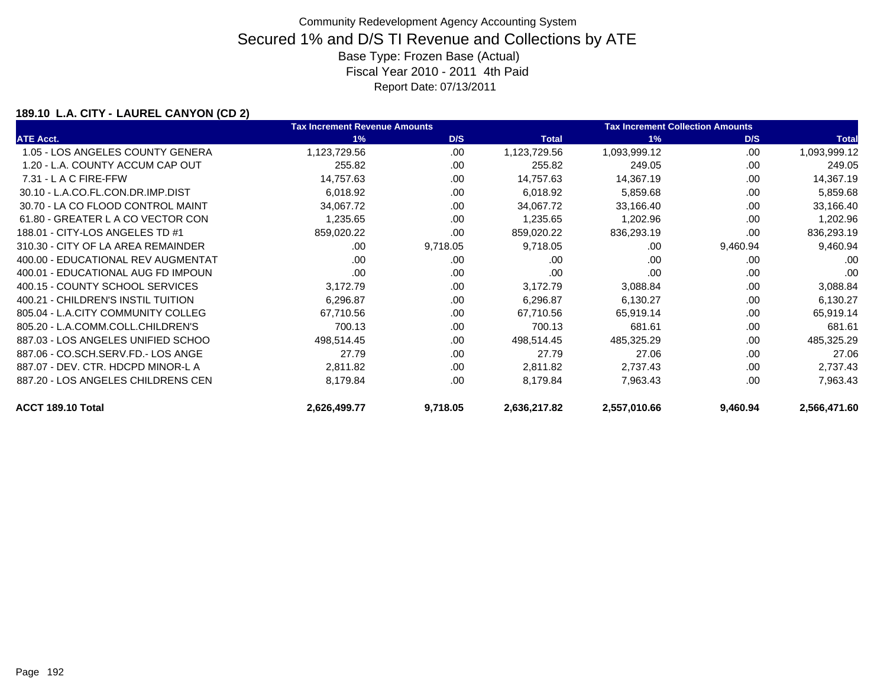### **189.10 L.A. CITY - LAUREL CANYON (CD 2)**

|                                    | <b>Tax Increment Revenue Amounts</b> |          |              | <b>Tax Increment Collection Amounts</b> |          |              |
|------------------------------------|--------------------------------------|----------|--------------|-----------------------------------------|----------|--------------|
| <b>ATE Acct.</b>                   | 1%                                   | D/S      | <b>Total</b> | 1%                                      | D/S      | <b>Total</b> |
| 1.05 - LOS ANGELES COUNTY GENERA   | 1,123,729.56                         | .00      | 1,123,729.56 | 1,093,999.12                            | .00      | 1,093,999.12 |
| 1.20 - L.A. COUNTY ACCUM CAP OUT   | 255.82                               | .00      | 255.82       | 249.05                                  | .00      | 249.05       |
| $7.31 - L$ A C FIRE-FFW            | 14,757.63                            | .00      | 14,757.63    | 14,367.19                               | .00      | 14,367.19    |
| 30.10 - L.A.CO.FL.CON.DR.IMP.DIST  | 6,018.92                             | .00      | 6,018.92     | 5,859.68                                | .00      | 5,859.68     |
| 30.70 - LA CO FLOOD CONTROL MAINT  | 34,067.72                            | .00      | 34,067.72    | 33,166.40                               | .00      | 33,166.40    |
| 61.80 - GREATER L A CO VECTOR CON  | 1,235.65                             | .00      | 1,235.65     | 1,202.96                                | .00      | 1,202.96     |
| 188.01 - CITY-LOS ANGELES TD #1    | 859,020.22                           | .00      | 859,020.22   | 836,293.19                              | .00      | 836,293.19   |
| 310.30 - CITY OF LA AREA REMAINDER | .00.                                 | 9,718.05 | 9,718.05     | .00                                     | 9,460.94 | 9,460.94     |
| 400.00 - EDUCATIONAL REV AUGMENTAT | .00                                  | .00      | .00          | .00                                     | .00      | .00          |
| 400.01 - EDUCATIONAL AUG FD IMPOUN | .00                                  | .00      | .00          | .00                                     | .00      | .00          |
| 400.15 - COUNTY SCHOOL SERVICES    | 3,172.79                             | .00      | 3,172.79     | 3,088.84                                | .00      | 3,088.84     |
| 400.21 - CHILDREN'S INSTIL TUITION | 6,296.87                             | .00      | 6,296.87     | 6,130.27                                | .00      | 6,130.27     |
| 805.04 - L.A.CITY COMMUNITY COLLEG | 67,710.56                            | .00      | 67,710.56    | 65,919.14                               | .00      | 65,919.14    |
| 805.20 - L.A.COMM.COLL.CHILDREN'S  | 700.13                               | .00      | 700.13       | 681.61                                  | .00      | 681.61       |
| 887.03 - LOS ANGELES UNIFIED SCHOO | 498,514.45                           | .00      | 498,514.45   | 485,325.29                              | .00      | 485,325.29   |
| 887.06 - CO.SCH.SERV.FD.- LOS ANGE | 27.79                                | .00      | 27.79        | 27.06                                   | .00      | 27.06        |
| 887.07 - DEV. CTR. HDCPD MINOR-L A | 2,811.82                             | .00      | 2,811.82     | 2,737.43                                | .00      | 2,737.43     |
| 887.20 - LOS ANGELES CHILDRENS CEN | 8,179.84                             | .00      | 8,179.84     | 7,963.43                                | .00      | 7,963.43     |
| ACCT 189.10 Total                  | 2,626,499.77                         | 9,718.05 | 2,636,217.82 | 2,557,010.66                            | 9,460.94 | 2,566,471.60 |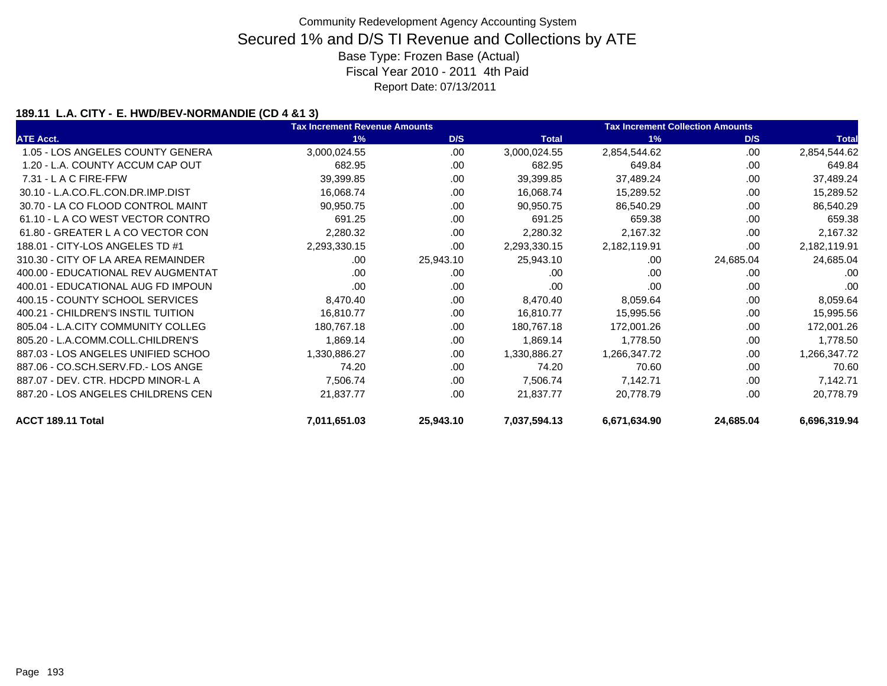### **189.11 L.A. CITY - E. HWD/BEV-NORMANDIE (CD 4 &1 3)**

|                                    | <b>Tax Increment Revenue Amounts</b> |           |              | <b>Tax Increment Collection Amounts</b> |           |              |  |
|------------------------------------|--------------------------------------|-----------|--------------|-----------------------------------------|-----------|--------------|--|
| <b>ATE Acct.</b>                   | 1%                                   | D/S       | <b>Total</b> | 1%                                      | D/S       | <b>Total</b> |  |
| 1.05 - LOS ANGELES COUNTY GENERA   | 3,000,024.55                         | .00       | 3,000,024.55 | 2,854,544.62                            | .00       | 2,854,544.62 |  |
| 1.20 - L.A. COUNTY ACCUM CAP OUT   | 682.95                               | .00       | 682.95       | 649.84                                  | .00.      | 649.84       |  |
| 7.31 - L A C FIRE-FFW              | 39,399.85                            | .00       | 39,399.85    | 37,489.24                               | .00       | 37,489.24    |  |
| 30.10 - L.A.CO.FL.CON.DR.IMP.DIST  | 16,068.74                            | .00       | 16,068.74    | 15,289.52                               | .00       | 15,289.52    |  |
| 30.70 - LA CO FLOOD CONTROL MAINT  | 90,950.75                            | .00       | 90,950.75    | 86,540.29                               | .00       | 86,540.29    |  |
| 61.10 - L A CO WEST VECTOR CONTRO  | 691.25                               | .00       | 691.25       | 659.38                                  | .00.      | 659.38       |  |
| 61.80 - GREATER L A CO VECTOR CON  | 2,280.32                             | .00       | 2,280.32     | 2,167.32                                | .00       | 2,167.32     |  |
| 188.01 - CITY-LOS ANGELES TD #1    | 2,293,330.15                         | .00       | 2,293,330.15 | 2,182,119.91                            | .00       | 2,182,119.91 |  |
| 310.30 - CITY OF LA AREA REMAINDER | .00                                  | 25,943.10 | 25,943.10    | .00                                     | 24,685.04 | 24,685.04    |  |
| 400.00 - EDUCATIONAL REV AUGMENTAT | .00.                                 | .00       | .00          | .00                                     | .00.      | .00          |  |
| 400.01 - EDUCATIONAL AUG FD IMPOUN | .00                                  | .00       | .00          | .00                                     | .00       | .00          |  |
| 400.15 - COUNTY SCHOOL SERVICES    | 8,470.40                             | .00       | 8,470.40     | 8,059.64                                | .00       | 8,059.64     |  |
| 400.21 - CHILDREN'S INSTIL TUITION | 16,810.77                            | .00       | 16,810.77    | 15,995.56                               | .00.      | 15,995.56    |  |
| 805.04 - L.A.CITY COMMUNITY COLLEG | 180,767.18                           | .00       | 180,767.18   | 172,001.26                              | .00       | 172,001.26   |  |
| 805.20 - L.A.COMM.COLL.CHILDREN'S  | 1,869.14                             | .00       | 1,869.14     | 1,778.50                                | .00.      | 1,778.50     |  |
| 887.03 - LOS ANGELES UNIFIED SCHOO | 1,330,886.27                         | .00       | 1,330,886.27 | 1,266,347.72                            | .00.      | 1,266,347.72 |  |
| 887.06 - CO.SCH.SERV.FD.- LOS ANGE | 74.20                                | .00       | 74.20        | 70.60                                   | .00       | 70.60        |  |
| 887.07 - DEV. CTR. HDCPD MINOR-L A | 7,506.74                             | .00       | 7,506.74     | 7,142.71                                | .00       | 7,142.71     |  |
| 887.20 - LOS ANGELES CHILDRENS CEN | 21,837.77                            | .00       | 21,837.77    | 20,778.79                               | .00       | 20,778.79    |  |
| ACCT 189.11 Total                  | 7,011,651.03                         | 25,943.10 | 7,037,594.13 | 6,671,634.90                            | 24,685.04 | 6,696,319.94 |  |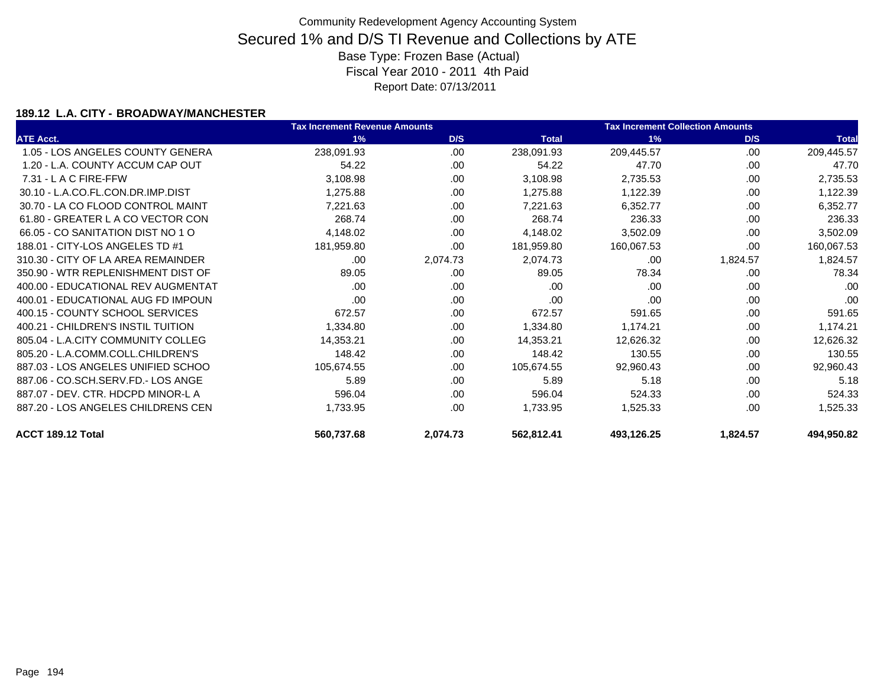### **189.12 L.A. CITY - BROADWAY/MANCHESTER**

|                                    | <b>Tax Increment Revenue Amounts</b> |          |              | <b>Tax Increment Collection Amounts</b> |          |              |
|------------------------------------|--------------------------------------|----------|--------------|-----------------------------------------|----------|--------------|
| <b>ATE Acct.</b>                   | 1%                                   | D/S      | <b>Total</b> | 1%                                      | D/S      | <b>Total</b> |
| 1.05 - LOS ANGELES COUNTY GENERA   | 238,091.93                           | .00      | 238,091.93   | 209,445.57                              | .00      | 209,445.57   |
| 1.20 - L.A. COUNTY ACCUM CAP OUT   | 54.22                                | .00      | 54.22        | 47.70                                   | .00      | 47.70        |
| $7.31 - L$ A C FIRE-FFW            | 3,108.98                             | .00      | 3,108.98     | 2,735.53                                | .00      | 2,735.53     |
| 30.10 - L.A.CO.FL.CON.DR.IMP.DIST  | 1,275.88                             | .00      | 1,275.88     | 1,122.39                                | .00.     | 1,122.39     |
| 30.70 - LA CO FLOOD CONTROL MAINT  | 7,221.63                             | .00      | 7,221.63     | 6,352.77                                | .00      | 6,352.77     |
| 61.80 - GREATER L A CO VECTOR CON  | 268.74                               | .00      | 268.74       | 236.33                                  | .00      | 236.33       |
| 66.05 - CO SANITATION DIST NO 1 O  | 4,148.02                             | .00      | 4,148.02     | 3,502.09                                | .00      | 3,502.09     |
| 188.01 - CITY-LOS ANGELES TD #1    | 181,959.80                           | .00      | 181,959.80   | 160,067.53                              | .00      | 160,067.53   |
| 310.30 - CITY OF LA AREA REMAINDER | .00.                                 | 2,074.73 | 2,074.73     | .00                                     | 1,824.57 | 1,824.57     |
| 350.90 - WTR REPLENISHMENT DIST OF | 89.05                                | .00      | 89.05        | 78.34                                   | .00      | 78.34        |
| 400.00 - EDUCATIONAL REV AUGMENTAT | .00.                                 | .00      | .00          | .00                                     | .00      | .00          |
| 400.01 - EDUCATIONAL AUG FD IMPOUN | .00.                                 | .00      | .00          | .00                                     | .00      | .00          |
| 400.15 - COUNTY SCHOOL SERVICES    | 672.57                               | .00      | 672.57       | 591.65                                  | .00      | 591.65       |
| 400.21 - CHILDREN'S INSTIL TUITION | 1,334.80                             | .00      | 1,334.80     | 1,174.21                                | .00      | 1,174.21     |
| 805.04 - L.A.CITY COMMUNITY COLLEG | 14,353.21                            | .00.     | 14,353.21    | 12,626.32                               | .00      | 12,626.32    |
| 805.20 - L.A.COMM.COLL.CHILDREN'S  | 148.42                               | .00      | 148.42       | 130.55                                  | .00      | 130.55       |
| 887.03 - LOS ANGELES UNIFIED SCHOO | 105,674.55                           | .00      | 105,674.55   | 92,960.43                               | .00      | 92,960.43    |
| 887.06 - CO.SCH.SERV.FD.- LOS ANGE | 5.89                                 | .00      | 5.89         | 5.18                                    | .00      | 5.18         |
| 887.07 - DEV. CTR. HDCPD MINOR-L A | 596.04                               | .00      | 596.04       | 524.33                                  | .00      | 524.33       |
| 887.20 - LOS ANGELES CHILDRENS CEN | 1,733.95                             | .00      | 1,733.95     | 1,525.33                                | .00      | 1,525.33     |
| ACCT 189.12 Total                  | 560,737.68                           | 2,074.73 | 562,812.41   | 493,126.25                              | 1,824.57 | 494,950.82   |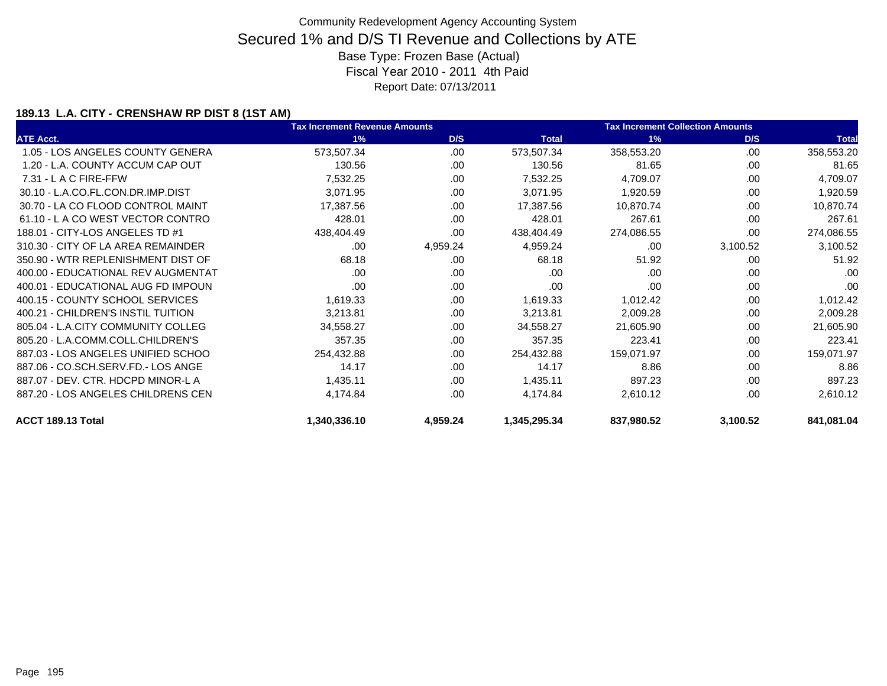### **189.13 L.A. CITY - CRENSHAW RP DIST 8 (1ST AM)**

|                                    | <b>Tax Increment Revenue Amounts</b> |          | <b>Tax Increment Collection Amounts</b> |            |          |              |
|------------------------------------|--------------------------------------|----------|-----------------------------------------|------------|----------|--------------|
| <b>ATE Acct.</b>                   | 1%                                   | D/S      | <b>Total</b>                            | 1%         | D/S      | <b>Total</b> |
| 1.05 - LOS ANGELES COUNTY GENERA   | 573,507.34                           | .00      | 573,507.34                              | 358,553.20 | .00.     | 358,553.20   |
| 1.20 - L.A. COUNTY ACCUM CAP OUT   | 130.56                               | .00      | 130.56                                  | 81.65      | .00      | 81.65        |
| $7.31 - L$ A C FIRE-FFW            | 7,532.25                             | .00.     | 7,532.25                                | 4,709.07   | .00      | 4,709.07     |
| 30.10 - L.A.CO.FL.CON.DR.IMP.DIST  | 3,071.95                             | .00.     | 3,071.95                                | 1,920.59   | .00      | 1,920.59     |
| 30.70 - LA CO FLOOD CONTROL MAINT  | 17,387.56                            | .00      | 17,387.56                               | 10,870.74  | .00      | 10,870.74    |
| 61.10 - LA CO WEST VECTOR CONTRO   | 428.01                               | .00      | 428.01                                  | 267.61     | .00      | 267.61       |
| 188.01 - CITY-LOS ANGELES TD #1    | 438,404.49                           | .00      | 438,404.49                              | 274,086.55 | .00      | 274,086.55   |
| 310.30 - CITY OF LA AREA REMAINDER | .00                                  | 4,959.24 | 4,959.24                                | .00        | 3,100.52 | 3,100.52     |
| 350.90 - WTR REPLENISHMENT DIST OF | 68.18                                | .00.     | 68.18                                   | 51.92      | .00      | 51.92        |
| 400.00 - EDUCATIONAL REV AUGMENTAT | .00                                  | .00      | .00                                     | .00        | .00      | .00          |
| 400.01 - EDUCATIONAL AUG FD IMPOUN | .00                                  | .00      | .00                                     | .00        | .00      | .00          |
| 400.15 - COUNTY SCHOOL SERVICES    | 1,619.33                             | .00.     | 1,619.33                                | 1,012.42   | .00      | 1,012.42     |
| 400.21 - CHILDREN'S INSTIL TUITION | 3,213.81                             | .00.     | 3,213.81                                | 2,009.28   | .00      | 2,009.28     |
| 805.04 - L.A.CITY COMMUNITY COLLEG | 34,558.27                            | .00      | 34,558.27                               | 21,605.90  | .00      | 21,605.90    |
| 805.20 - L.A.COMM.COLL.CHILDREN'S  | 357.35                               | .00      | 357.35                                  | 223.41     | .00      | 223.41       |
| 887.03 - LOS ANGELES UNIFIED SCHOO | 254,432.88                           | .00.     | 254,432.88                              | 159,071.97 | .00      | 159,071.97   |
| 887.06 - CO.SCH.SERV.FD.- LOS ANGE | 14.17                                | .00      | 14.17                                   | 8.86       | .00      | 8.86         |
| 887.07 - DEV. CTR. HDCPD MINOR-L A | 1,435.11                             | .00      | 1,435.11                                | 897.23     | .00      | 897.23       |
| 887.20 - LOS ANGELES CHILDRENS CEN | 4,174.84                             | .00      | 4,174.84                                | 2,610.12   | .00      | 2,610.12     |
| ACCT 189.13 Total                  | 1,340,336.10                         | 4,959.24 | 1,345,295.34                            | 837,980.52 | 3,100.52 | 841,081.04   |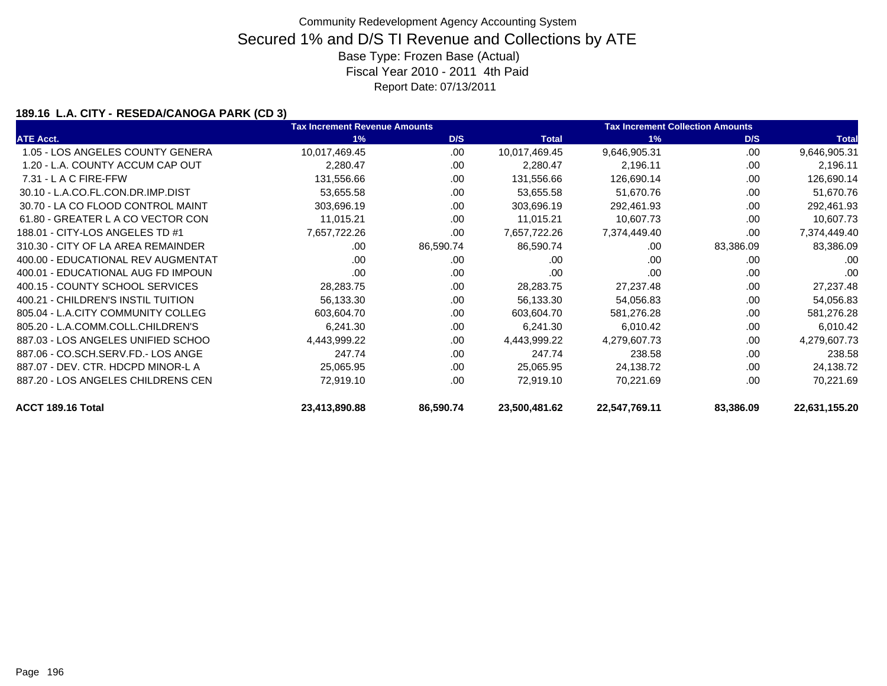### **189.16 L.A. CITY - RESEDA/CANOGA PARK (CD 3)**

|                                    | <b>Tax Increment Revenue Amounts</b> |           |               | <b>Tax Increment Collection Amounts</b> |           |               |
|------------------------------------|--------------------------------------|-----------|---------------|-----------------------------------------|-----------|---------------|
| <b>ATE Acct.</b>                   | 1%                                   | D/S       | <b>Total</b>  | 1%                                      | D/S       | <b>Total</b>  |
| 1.05 - LOS ANGELES COUNTY GENERA   | 10,017,469.45                        | .00       | 10,017,469.45 | 9,646,905.31                            | .00.      | 9,646,905.31  |
| 1.20 - L.A. COUNTY ACCUM CAP OUT   | 2,280.47                             | .00       | 2,280.47      | 2,196.11                                | .00       | 2,196.11      |
| 7.31 - L A C FIRE-FFW              | 131,556.66                           | .00       | 131,556.66    | 126,690.14                              | .00       | 126,690.14    |
| 30.10 - L.A.CO.FL.CON.DR.IMP.DIST  | 53,655.58                            | .00       | 53,655.58     | 51,670.76                               | .00       | 51,670.76     |
| 30.70 - LA CO FLOOD CONTROL MAINT  | 303,696.19                           | .00       | 303,696.19    | 292,461.93                              | .00       | 292,461.93    |
| 61.80 - GREATER L A CO VECTOR CON  | 11,015.21                            | .00       | 11,015.21     | 10,607.73                               | .00       | 10,607.73     |
| 188.01 - CITY-LOS ANGELES TD #1    | 7,657,722.26                         | .00       | 7,657,722.26  | 7,374,449.40                            | .00       | 7,374,449.40  |
| 310.30 - CITY OF LA AREA REMAINDER | .00.                                 | 86,590.74 | 86,590.74     | .00                                     | 83,386.09 | 83,386.09     |
| 400.00 - EDUCATIONAL REV AUGMENTAT | .00                                  | .00       | .00           | .00                                     | .00       | .00           |
| 400.01 - EDUCATIONAL AUG FD IMPOUN | .00                                  | .00       | .00           | .00                                     | .00       | .00           |
| 400.15 - COUNTY SCHOOL SERVICES    | 28,283.75                            | .00       | 28,283.75     | 27,237.48                               | .00       | 27,237.48     |
| 400.21 - CHILDREN'S INSTIL TUITION | 56,133.30                            | .00       | 56,133.30     | 54,056.83                               | .00       | 54,056.83     |
| 805.04 - L.A.CITY COMMUNITY COLLEG | 603,604.70                           | .00       | 603,604.70    | 581,276.28                              | .00       | 581,276.28    |
| 805.20 - L.A.COMM.COLL.CHILDREN'S  | 6,241.30                             | .00       | 6,241.30      | 6,010.42                                | .00       | 6,010.42      |
| 887.03 - LOS ANGELES UNIFIED SCHOO | 4,443,999.22                         | .00       | 4,443,999.22  | 4,279,607.73                            | .00       | 4,279,607.73  |
| 887.06 - CO.SCH.SERV.FD.- LOS ANGE | 247.74                               | .00       | 247.74        | 238.58                                  | .00       | 238.58        |
| 887.07 - DEV. CTR. HDCPD MINOR-L A | 25,065.95                            | .00       | 25,065.95     | 24,138.72                               | .00       | 24,138.72     |
| 887.20 - LOS ANGELES CHILDRENS CEN | 72,919.10                            | .00       | 72,919.10     | 70,221.69                               | .00       | 70,221.69     |
| ACCT 189.16 Total                  | 23,413,890.88                        | 86,590.74 | 23,500,481.62 | 22,547,769.11                           | 83,386.09 | 22,631,155.20 |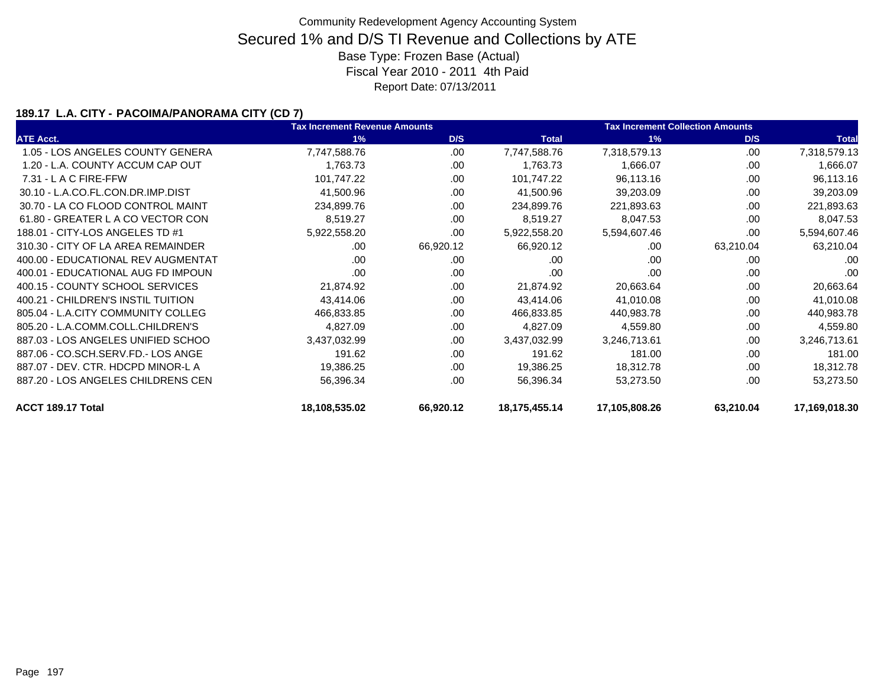### **189.17 L.A. CITY - PACOIMA/PANORAMA CITY (CD 7)**

|                                    | <b>Tax Increment Revenue Amounts</b> |           |               | <b>Tax Increment Collection Amounts</b> |           |               |
|------------------------------------|--------------------------------------|-----------|---------------|-----------------------------------------|-----------|---------------|
| <b>ATE Acct.</b>                   | 1%                                   | D/S       | <b>Total</b>  | 1%                                      | D/S       | <b>Total</b>  |
| 1.05 - LOS ANGELES COUNTY GENERA   | 7,747,588.76                         | .00       | 7,747,588.76  | 7,318,579.13                            | .00       | 7,318,579.13  |
| 1.20 - L.A. COUNTY ACCUM CAP OUT   | 1,763.73                             | .00       | 1,763.73      | 1,666.07                                | .00       | 1,666.07      |
| $7.31 - L$ A C FIRE-FFW            | 101,747.22                           | .00       | 101,747.22    | 96,113.16                               | .00       | 96,113.16     |
| 30.10 - L.A.CO.FL.CON.DR.IMP.DIST  | 41,500.96                            | .00       | 41,500.96     | 39,203.09                               | .00       | 39,203.09     |
| 30.70 - LA CO FLOOD CONTROL MAINT  | 234,899.76                           | .00       | 234,899.76    | 221,893.63                              | .00       | 221,893.63    |
| 61.80 - GREATER L A CO VECTOR CON  | 8,519.27                             | .00       | 8,519.27      | 8,047.53                                | .00       | 8,047.53      |
| 188.01 - CITY-LOS ANGELES TD #1    | 5,922,558.20                         | .00       | 5,922,558.20  | 5,594,607.46                            | .00       | 5,594,607.46  |
| 310.30 - CITY OF LA AREA REMAINDER | .00                                  | 66,920.12 | 66,920.12     | .00                                     | 63,210.04 | 63,210.04     |
| 400.00 - EDUCATIONAL REV AUGMENTAT | .00                                  | .00       | .00           | .00                                     | .00       | .00           |
| 400.01 - EDUCATIONAL AUG FD IMPOUN | .00                                  | .00       | .00           | .00                                     | .00       | .00           |
| 400.15 - COUNTY SCHOOL SERVICES    | 21,874.92                            | .00       | 21,874.92     | 20,663.64                               | .00       | 20,663.64     |
| 400.21 - CHILDREN'S INSTIL TUITION | 43,414.06                            | .00       | 43,414.06     | 41,010.08                               | .00       | 41,010.08     |
| 805.04 - L.A.CITY COMMUNITY COLLEG | 466,833.85                           | .00       | 466,833.85    | 440,983.78                              | .00       | 440,983.78    |
| 805.20 - L.A.COMM.COLL.CHILDREN'S  | 4,827.09                             | .00.      | 4,827.09      | 4,559.80                                | .00       | 4,559.80      |
| 887.03 - LOS ANGELES UNIFIED SCHOO | 3,437,032.99                         | .00       | 3,437,032.99  | 3,246,713.61                            | .00       | 3,246,713.61  |
| 887.06 - CO.SCH.SERV.FD.- LOS ANGE | 191.62                               | .00.      | 191.62        | 181.00                                  | .00       | 181.00        |
| 887.07 - DEV. CTR. HDCPD MINOR-L A | 19,386.25                            | .00       | 19,386.25     | 18,312.78                               | .00       | 18,312.78     |
| 887.20 - LOS ANGELES CHILDRENS CEN | 56,396.34                            | .00       | 56,396.34     | 53,273.50                               | .00       | 53,273.50     |
| ACCT 189.17 Total                  | 18,108,535.02                        | 66,920.12 | 18,175,455.14 | 17,105,808.26                           | 63,210.04 | 17,169,018.30 |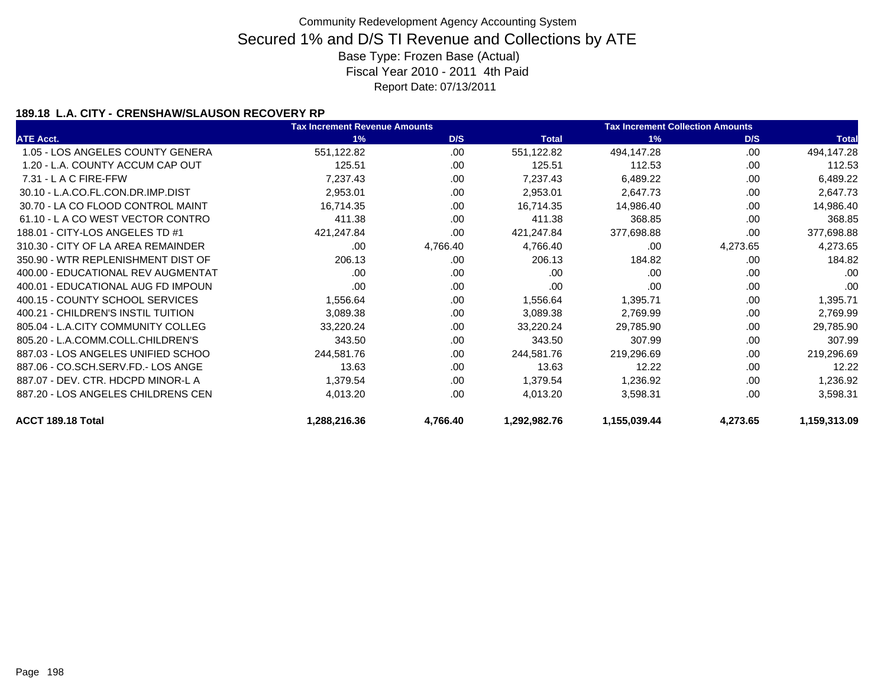### **189.18 L.A. CITY - CRENSHAW/SLAUSON RECOVERY RP**

|                                    | <b>Tax Increment Revenue Amounts</b> |          |              | <b>Tax Increment Collection Amounts</b> |          |              |  |
|------------------------------------|--------------------------------------|----------|--------------|-----------------------------------------|----------|--------------|--|
| <b>ATE Acct.</b>                   | 1%                                   | D/S      | <b>Total</b> | 1%                                      | D/S      | <b>Total</b> |  |
| 1.05 - LOS ANGELES COUNTY GENERA   | 551,122.82                           | .00      | 551,122.82   | 494,147.28                              | .00      | 494,147.28   |  |
| 1.20 - L.A. COUNTY ACCUM CAP OUT   | 125.51                               | .00      | 125.51       | 112.53                                  | .00      | 112.53       |  |
| $7.31 - L$ A C FIRE-FFW            | 7,237.43                             | .00.     | 7,237.43     | 6,489.22                                | .00      | 6,489.22     |  |
| 30.10 - L.A.CO.FL.CON.DR.IMP.DIST  | 2,953.01                             | .00.     | 2,953.01     | 2,647.73                                | .00      | 2,647.73     |  |
| 30.70 - LA CO FLOOD CONTROL MAINT  | 16,714.35                            | .00      | 16,714.35    | 14,986.40                               | .00      | 14,986.40    |  |
| 61.10 - L A CO WEST VECTOR CONTRO  | 411.38                               | .00.     | 411.38       | 368.85                                  | .00      | 368.85       |  |
| 188.01 - CITY-LOS ANGELES TD #1    | 421,247.84                           | .00      | 421,247.84   | 377,698.88                              | .00.     | 377,698.88   |  |
| 310.30 - CITY OF LA AREA REMAINDER | .00                                  | 4,766.40 | 4,766.40     | .00                                     | 4,273.65 | 4,273.65     |  |
| 350.90 - WTR REPLENISHMENT DIST OF | 206.13                               | .00      | 206.13       | 184.82                                  | .00      | 184.82       |  |
| 400.00 - EDUCATIONAL REV AUGMENTAT | .00                                  | .00      | .00          | .00                                     | .00      | .00          |  |
| 400.01 - EDUCATIONAL AUG FD IMPOUN | .00                                  | .00      | .00          | .00                                     | .00      | .00          |  |
| 400.15 - COUNTY SCHOOL SERVICES    | 1,556.64                             | .00      | 1,556.64     | 1,395.71                                | .00      | 1,395.71     |  |
| 400.21 - CHILDREN'S INSTIL TUITION | 3,089.38                             | .00      | 3,089.38     | 2,769.99                                | .00      | 2,769.99     |  |
| 805.04 - L.A.CITY COMMUNITY COLLEG | 33,220.24                            | .00      | 33,220.24    | 29,785.90                               | .00      | 29,785.90    |  |
| 805.20 - L.A.COMM.COLL.CHILDREN'S  | 343.50                               | .00.     | 343.50       | 307.99                                  | .00      | 307.99       |  |
| 887.03 - LOS ANGELES UNIFIED SCHOO | 244,581.76                           | .00      | 244,581.76   | 219,296.69                              | .00      | 219,296.69   |  |
| 887.06 - CO.SCH.SERV.FD.- LOS ANGE | 13.63                                | .00      | 13.63        | 12.22                                   | .00      | 12.22        |  |
| 887.07 - DEV. CTR. HDCPD MINOR-L A | 1,379.54                             | .00      | 1,379.54     | 1,236.92                                | .00      | 1,236.92     |  |
| 887.20 - LOS ANGELES CHILDRENS CEN | 4,013.20                             | .00.     | 4,013.20     | 3,598.31                                | .00      | 3,598.31     |  |
| ACCT 189.18 Total                  | 1,288,216.36                         | 4,766.40 | 1,292,982.76 | 1,155,039.44                            | 4,273.65 | 1,159,313.09 |  |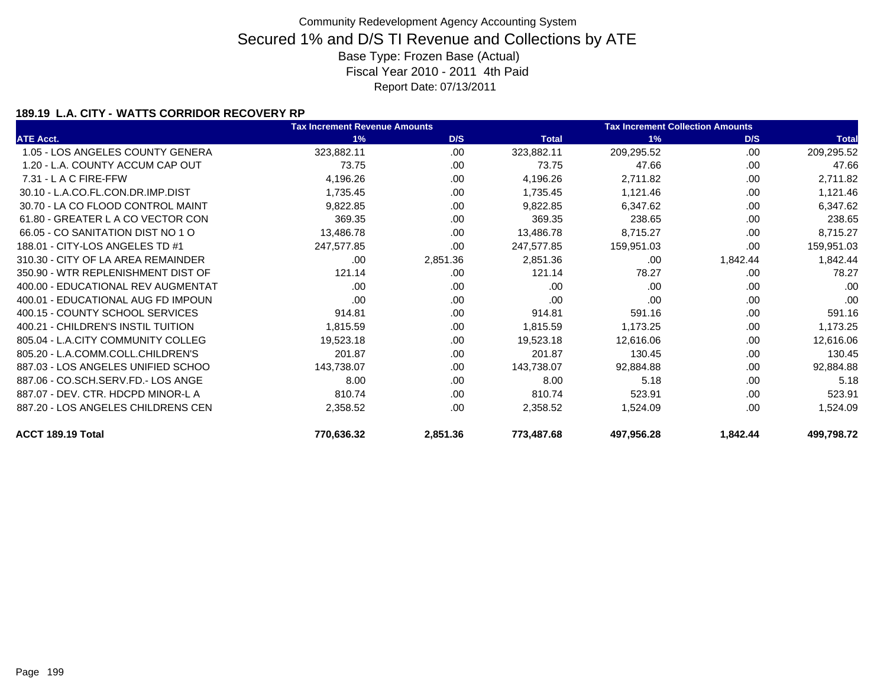### **189.19 L.A. CITY - WATTS CORRIDOR RECOVERY RP**

|                                    | <b>Tax Increment Revenue Amounts</b> |          |              | <b>Tax Increment Collection Amounts</b> |          |              |
|------------------------------------|--------------------------------------|----------|--------------|-----------------------------------------|----------|--------------|
| <b>ATE Acct.</b>                   | 1%                                   | D/S      | <b>Total</b> | 1%                                      | D/S      | <b>Total</b> |
| 1.05 - LOS ANGELES COUNTY GENERA   | 323,882.11                           | .00      | 323,882.11   | 209,295.52                              | .00      | 209,295.52   |
| 1.20 - L.A. COUNTY ACCUM CAP OUT   | 73.75                                | .00      | 73.75        | 47.66                                   | .00      | 47.66        |
| 7.31 - L A C FIRE-FFW              | 4,196.26                             | .00      | 4,196.26     | 2,711.82                                | .00.     | 2,711.82     |
| 30.10 - L.A.CO.FL.CON.DR.IMP.DIST  | 1,735.45                             | .00      | 1,735.45     | 1,121.46                                | .00      | 1,121.46     |
| 30.70 - LA CO FLOOD CONTROL MAINT  | 9,822.85                             | .00      | 9,822.85     | 6,347.62                                | .00      | 6,347.62     |
| 61.80 - GREATER L A CO VECTOR CON  | 369.35                               | .00      | 369.35       | 238.65                                  | .00      | 238.65       |
| 66.05 - CO SANITATION DIST NO 1 O  | 13,486.78                            | .00      | 13,486.78    | 8,715.27                                | .00      | 8,715.27     |
| 188.01 - CITY-LOS ANGELES TD #1    | 247,577.85                           | .00      | 247,577.85   | 159,951.03                              | .00      | 159,951.03   |
| 310.30 - CITY OF LA AREA REMAINDER | .00                                  | 2,851.36 | 2,851.36     | .00                                     | 1,842.44 | 1,842.44     |
| 350.90 - WTR REPLENISHMENT DIST OF | 121.14                               | .00      | 121.14       | 78.27                                   | .00      | 78.27        |
| 400.00 - EDUCATIONAL REV AUGMENTAT | .00.                                 | .00      | .00          | .00                                     | .00      | .00          |
| 400.01 - EDUCATIONAL AUG FD IMPOUN | .00.                                 | .00      | .00          | .00                                     | .00      | .00          |
| 400.15 - COUNTY SCHOOL SERVICES    | 914.81                               | .00      | 914.81       | 591.16                                  | .00      | 591.16       |
| 400.21 - CHILDREN'S INSTIL TUITION | 1,815.59                             | .00      | 1,815.59     | 1,173.25                                | .00      | 1,173.25     |
| 805.04 - L.A.CITY COMMUNITY COLLEG | 19,523.18                            | .00      | 19,523.18    | 12,616.06                               | .00      | 12,616.06    |
| 805.20 - L.A.COMM.COLL.CHILDREN'S  | 201.87                               | .00      | 201.87       | 130.45                                  | .00      | 130.45       |
| 887.03 - LOS ANGELES UNIFIED SCHOO | 143,738.07                           | .00      | 143,738.07   | 92,884.88                               | .00      | 92,884.88    |
| 887.06 - CO.SCH.SERV.FD.- LOS ANGE | 8.00                                 | .00      | 8.00         | 5.18                                    | .00      | 5.18         |
| 887.07 - DEV. CTR. HDCPD MINOR-L A | 810.74                               | .00      | 810.74       | 523.91                                  | .00      | 523.91       |
| 887.20 - LOS ANGELES CHILDRENS CEN | 2,358.52                             | .00      | 2,358.52     | 1,524.09                                | .00      | 1,524.09     |
| ACCT 189.19 Total                  | 770,636.32                           | 2,851.36 | 773,487.68   | 497,956.28                              | 1,842.44 | 499,798.72   |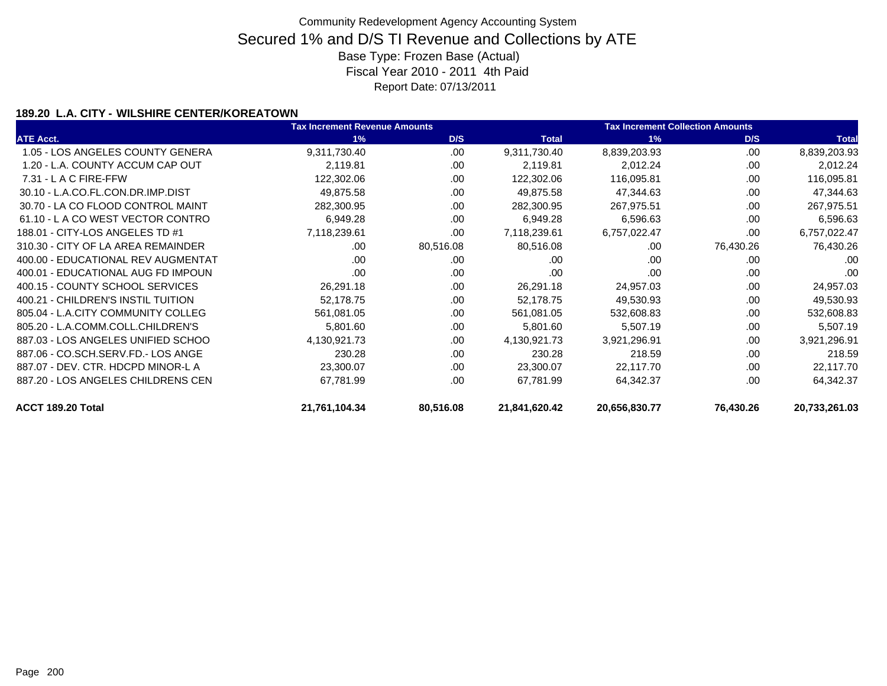### **189.20 L.A. CITY - WILSHIRE CENTER/KOREATOWN**

|                                    | <b>Tax Increment Revenue Amounts</b> |           | <b>Tax Increment Collection Amounts</b> |               |           |               |
|------------------------------------|--------------------------------------|-----------|-----------------------------------------|---------------|-----------|---------------|
| <b>ATE Acct.</b>                   | 1%                                   | D/S       | <b>Total</b>                            | 1%            | D/S       | <b>Total</b>  |
| 1.05 - LOS ANGELES COUNTY GENERA   | 9,311,730.40                         | .00.      | 9,311,730.40                            | 8,839,203.93  | .00.      | 8,839,203.93  |
| 1.20 - L.A. COUNTY ACCUM CAP OUT   | 2,119.81                             | .00       | 2,119.81                                | 2,012.24      | .00       | 2,012.24      |
| $7.31 - L$ A C FIRE-FFW            | 122,302.06                           | .00       | 122,302.06                              | 116,095.81    | .00       | 116,095.81    |
| 30.10 - L.A.CO.FL.CON.DR.IMP.DIST  | 49,875.58                            | .00       | 49,875.58                               | 47,344.63     | .00       | 47,344.63     |
| 30.70 - LA CO FLOOD CONTROL MAINT  | 282,300.95                           | .00       | 282,300.95                              | 267,975.51    | .00       | 267,975.51    |
| 61.10 - LA CO WEST VECTOR CONTRO   | 6,949.28                             | .00       | 6,949.28                                | 6,596.63      | .00       | 6,596.63      |
| 188.01 - CITY-LOS ANGELES TD #1    | 7,118,239.61                         | .00       | 7,118,239.61                            | 6,757,022.47  | .00       | 6,757,022.47  |
| 310.30 - CITY OF LA AREA REMAINDER | .00                                  | 80,516.08 | 80,516.08                               | .00           | 76,430.26 | 76,430.26     |
| 400.00 - EDUCATIONAL REV AUGMENTAT | .00                                  | .00       | .00                                     | .00           | .00       | .00           |
| 400.01 - EDUCATIONAL AUG FD IMPOUN | .00                                  | .00.      | .00                                     | .00           | .00       | .00           |
| 400.15 - COUNTY SCHOOL SERVICES    | 26,291.18                            | .00       | 26,291.18                               | 24,957.03     | .00       | 24,957.03     |
| 400.21 - CHILDREN'S INSTIL TUITION | 52,178.75                            | .00       | 52,178.75                               | 49,530.93     | .00       | 49,530.93     |
| 805.04 - L.A.CITY COMMUNITY COLLEG | 561,081.05                           | .00       | 561,081.05                              | 532,608.83    | .00       | 532,608.83    |
| 805.20 - L.A.COMM.COLL.CHILDREN'S  | 5,801.60                             | .00       | 5,801.60                                | 5,507.19      | .00       | 5,507.19      |
| 887.03 - LOS ANGELES UNIFIED SCHOO | 4,130,921.73                         | .00       | 4,130,921.73                            | 3,921,296.91  | .00       | 3,921,296.91  |
| 887.06 - CO.SCH.SERV.FD.- LOS ANGE | 230.28                               | .00.      | 230.28                                  | 218.59        | .00       | 218.59        |
| 887.07 - DEV. CTR. HDCPD MINOR-L A | 23,300.07                            | .00       | 23,300.07                               | 22,117.70     | .00       | 22,117.70     |
| 887.20 - LOS ANGELES CHILDRENS CEN | 67,781.99                            | .00       | 67,781.99                               | 64,342.37     | .00       | 64,342.37     |
| ACCT 189.20 Total                  | 21,761,104.34                        | 80,516.08 | 21,841,620.42                           | 20,656,830.77 | 76,430.26 | 20,733,261.03 |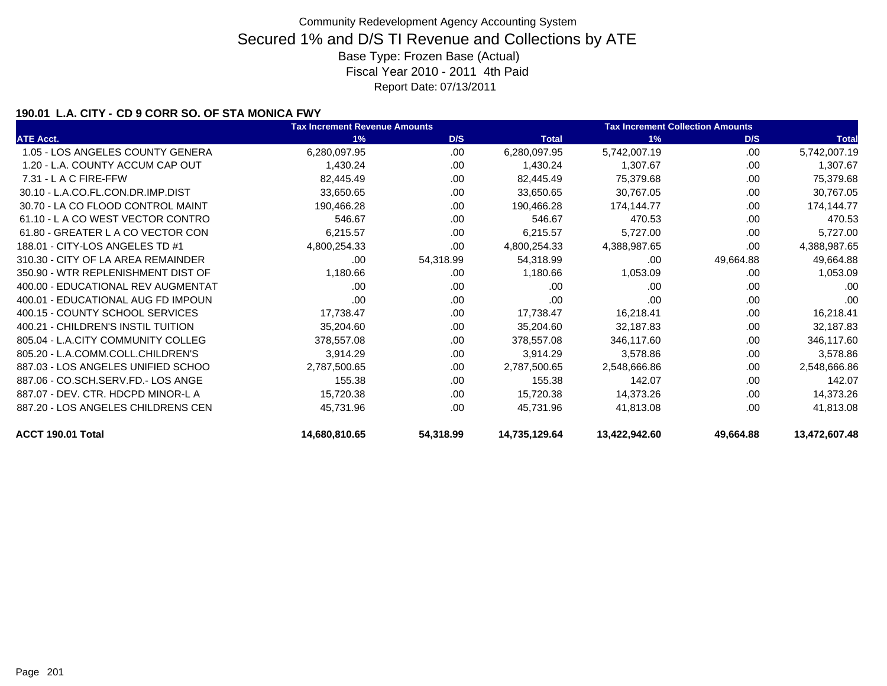### **190.01 L.A. CITY - CD 9 CORR SO. OF STA MONICA FWY**

|                                    | <b>Tax Increment Revenue Amounts</b> |           |               | <b>Tax Increment Collection Amounts</b> |           |               |
|------------------------------------|--------------------------------------|-----------|---------------|-----------------------------------------|-----------|---------------|
| <b>ATE Acct.</b>                   | 1%                                   | D/S       | <b>Total</b>  | 1%                                      | D/S       | <b>Total</b>  |
| 1.05 - LOS ANGELES COUNTY GENERA   | 6,280,097.95                         | .00       | 6,280,097.95  | 5,742,007.19                            | .00       | 5,742,007.19  |
| 1.20 - L.A. COUNTY ACCUM CAP OUT   | 1,430.24                             | .00       | 1,430.24      | 1,307.67                                | .00       | 1,307.67      |
| 7.31 - L A C FIRE-FFW              | 82,445.49                            | .00       | 82,445.49     | 75,379.68                               | .00       | 75,379.68     |
| 30.10 - L.A.CO.FL.CON.DR.IMP.DIST  | 33,650.65                            | .00       | 33,650.65     | 30,767.05                               | .00       | 30,767.05     |
| 30.70 - LA CO FLOOD CONTROL MAINT  | 190,466.28                           | .00       | 190,466.28    | 174,144.77                              | .00       | 174,144.77    |
| 61.10 - L A CO WEST VECTOR CONTRO  | 546.67                               | .00       | 546.67        | 470.53                                  | .00       | 470.53        |
| 61.80 - GREATER L A CO VECTOR CON  | 6,215.57                             | .00       | 6,215.57      | 5,727.00                                | .00       | 5,727.00      |
| 188.01 - CITY-LOS ANGELES TD #1    | 4,800,254.33                         | .00.      | 4,800,254.33  | 4,388,987.65                            | .00       | 4,388,987.65  |
| 310.30 - CITY OF LA AREA REMAINDER | .00                                  | 54,318.99 | 54,318.99     | .00                                     | 49,664.88 | 49,664.88     |
| 350.90 - WTR REPLENISHMENT DIST OF | 1,180.66                             | .00       | 1,180.66      | 1,053.09                                | .00       | 1,053.09      |
| 400.00 - EDUCATIONAL REV AUGMENTAT | .00.                                 | .00       | .00           | .00                                     | .00       | .00           |
| 400.01 - EDUCATIONAL AUG FD IMPOUN | .00                                  | .00       | .00           | .00                                     | .00       | .00           |
| 400.15 - COUNTY SCHOOL SERVICES    | 17,738.47                            | .00.      | 17,738.47     | 16,218.41                               | .00       | 16,218.41     |
| 400.21 - CHILDREN'S INSTIL TUITION | 35,204.60                            | .00.      | 35,204.60     | 32,187.83                               | .00       | 32,187.83     |
| 805.04 - L.A.CITY COMMUNITY COLLEG | 378,557.08                           | .00.      | 378,557.08    | 346,117.60                              | .00       | 346,117.60    |
| 805.20 - L.A.COMM.COLL.CHILDREN'S  | 3,914.29                             | .00       | 3,914.29      | 3,578.86                                | .00       | 3,578.86      |
| 887.03 - LOS ANGELES UNIFIED SCHOO | 2,787,500.65                         | .00.      | 2,787,500.65  | 2,548,666.86                            | .00       | 2,548,666.86  |
| 887.06 - CO.SCH.SERV.FD.- LOS ANGE | 155.38                               | .00.      | 155.38        | 142.07                                  | .00       | 142.07        |
| 887.07 - DEV. CTR. HDCPD MINOR-L A | 15,720.38                            | .00       | 15,720.38     | 14,373.26                               | .00       | 14,373.26     |
| 887.20 - LOS ANGELES CHILDRENS CEN | 45,731.96                            | .00       | 45,731.96     | 41,813.08                               | .00.      | 41,813.08     |
| ACCT 190.01 Total                  | 14,680,810.65                        | 54,318.99 | 14,735,129.64 | 13,422,942.60                           | 49,664.88 | 13,472,607.48 |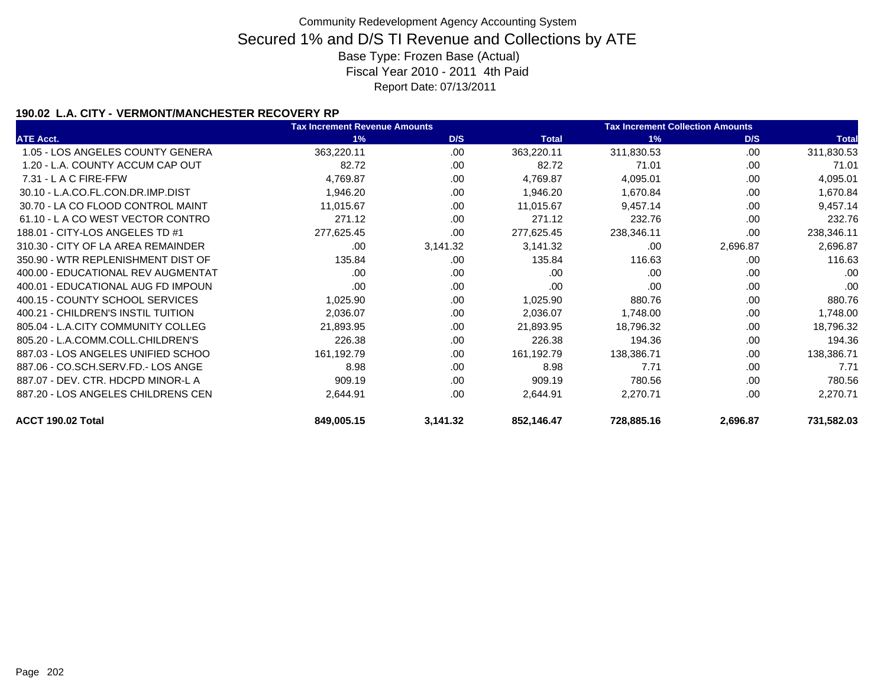### **190.02 L.A. CITY - VERMONT/MANCHESTER RECOVERY RP**

|                                    | <b>Tax Increment Revenue Amounts</b> |          | <b>Tax Increment Collection Amounts</b> |            |          |              |
|------------------------------------|--------------------------------------|----------|-----------------------------------------|------------|----------|--------------|
| <b>ATE Acct.</b>                   | 1%                                   | D/S      | <b>Total</b>                            | 1%         | D/S      | <b>Total</b> |
| 1.05 - LOS ANGELES COUNTY GENERA   | 363,220.11                           | .00      | 363,220.11                              | 311,830.53 | .00.     | 311,830.53   |
| 1.20 - L.A. COUNTY ACCUM CAP OUT   | 82.72                                | .00      | 82.72                                   | 71.01      | .00      | 71.01        |
| $7.31 - L$ A C FIRE-FFW            | 4,769.87                             | .00      | 4,769.87                                | 4,095.01   | .00      | 4,095.01     |
| 30.10 - L.A.CO.FL.CON.DR.IMP.DIST  | 1,946.20                             | .00.     | 1,946.20                                | 1,670.84   | .00      | 1,670.84     |
| 30.70 - LA CO FLOOD CONTROL MAINT  | 11,015.67                            | .00      | 11,015.67                               | 9,457.14   | .00      | 9,457.14     |
| 61.10 - LA CO WEST VECTOR CONTRO   | 271.12                               | .00.     | 271.12                                  | 232.76     | .00      | 232.76       |
| 188.01 - CITY-LOS ANGELES TD #1    | 277,625.45                           | .00.     | 277,625.45                              | 238,346.11 | .00.     | 238,346.11   |
| 310.30 - CITY OF LA AREA REMAINDER | .00                                  | 3,141.32 | 3,141.32                                | .00        | 2,696.87 | 2,696.87     |
| 350.90 - WTR REPLENISHMENT DIST OF | 135.84                               | .00.     | 135.84                                  | 116.63     | .00      | 116.63       |
| 400.00 - EDUCATIONAL REV AUGMENTAT | .00.                                 | .00      | .00                                     | .00        | .00      | .00          |
| 400.01 - EDUCATIONAL AUG FD IMPOUN | .00                                  | .00      | .00                                     | .00        | .00      | .00          |
| 400.15 - COUNTY SCHOOL SERVICES    | 1,025.90                             | .00      | 1,025.90                                | 880.76     | .00      | 880.76       |
| 400.21 - CHILDREN'S INSTIL TUITION | 2,036.07                             | .00      | 2,036.07                                | 1,748.00   | .00      | 1,748.00     |
| 805.04 - L.A.CITY COMMUNITY COLLEG | 21,893.95                            | .00      | 21,893.95                               | 18,796.32  | .00      | 18,796.32    |
| 805.20 - L.A.COMM.COLL.CHILDREN'S  | 226.38                               | .00.     | 226.38                                  | 194.36     | .00      | 194.36       |
| 887.03 - LOS ANGELES UNIFIED SCHOO | 161,192.79                           | .00      | 161,192.79                              | 138,386.71 | .00      | 138,386.71   |
| 887.06 - CO.SCH.SERV.FD.- LOS ANGE | 8.98                                 | .00.     | 8.98                                    | 7.71       | .00      | 7.71         |
| 887.07 - DEV. CTR. HDCPD MINOR-L A | 909.19                               | .00      | 909.19                                  | 780.56     | .00      | 780.56       |
| 887.20 - LOS ANGELES CHILDRENS CEN | 2,644.91                             | .00.     | 2,644.91                                | 2,270.71   | .00      | 2,270.71     |
| ACCT 190.02 Total                  | 849,005.15                           | 3,141.32 | 852,146.47                              | 728,885.16 | 2,696.87 | 731,582.03   |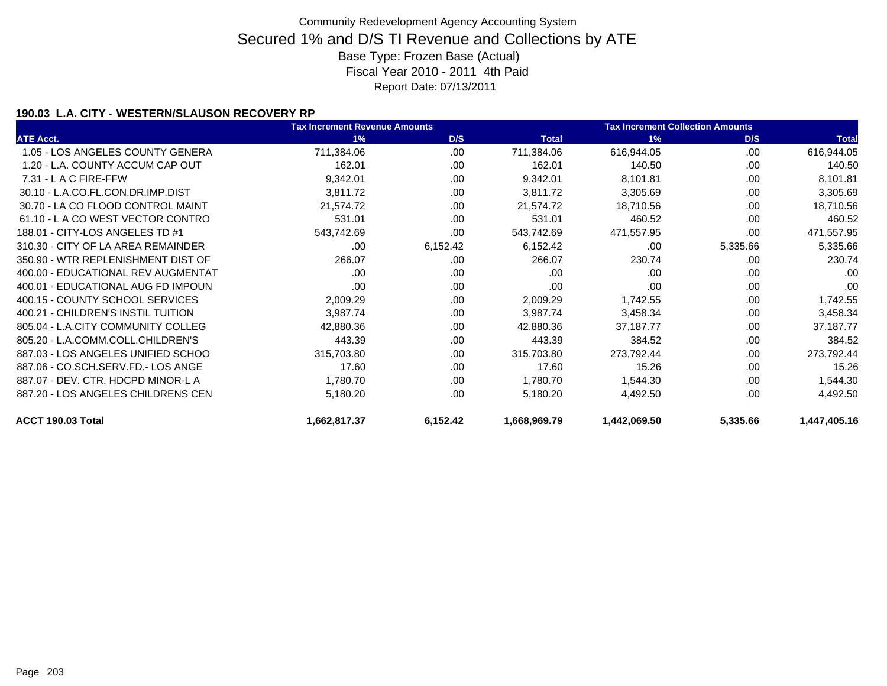### **190.03 L.A. CITY - WESTERN/SLAUSON RECOVERY RP**

|                                    | <b>Tax Increment Revenue Amounts</b> |          |              | <b>Tax Increment Collection Amounts</b> |          |              |  |
|------------------------------------|--------------------------------------|----------|--------------|-----------------------------------------|----------|--------------|--|
| <b>ATE Acct.</b>                   | 1%                                   | D/S      | <b>Total</b> | 1%                                      | D/S      | <b>Total</b> |  |
| 1.05 - LOS ANGELES COUNTY GENERA   | 711,384.06                           | .00      | 711,384.06   | 616,944.05                              | .00      | 616,944.05   |  |
| 1.20 - L.A. COUNTY ACCUM CAP OUT   | 162.01                               | .00      | 162.01       | 140.50                                  | .00      | 140.50       |  |
| $7.31 - L$ A C FIRE-FFW            | 9,342.01                             | .00      | 9,342.01     | 8,101.81                                | .00      | 8,101.81     |  |
| 30.10 - L.A.CO.FL.CON.DR.IMP.DIST  | 3,811.72                             | .00      | 3,811.72     | 3,305.69                                | .00      | 3,305.69     |  |
| 30.70 - LA CO FLOOD CONTROL MAINT  | 21,574.72                            | .00      | 21,574.72    | 18,710.56                               | .00      | 18,710.56    |  |
| 61.10 - LA CO WEST VECTOR CONTRO   | 531.01                               | .00      | 531.01       | 460.52                                  | .00      | 460.52       |  |
| 188.01 - CITY-LOS ANGELES TD #1    | 543,742.69                           | .00      | 543,742.69   | 471,557.95                              | .00      | 471,557.95   |  |
| 310.30 - CITY OF LA AREA REMAINDER | .00.                                 | 6,152.42 | 6,152.42     | .00                                     | 5,335.66 | 5,335.66     |  |
| 350.90 - WTR REPLENISHMENT DIST OF | 266.07                               | .00      | 266.07       | 230.74                                  | .00.     | 230.74       |  |
| 400.00 - EDUCATIONAL REV AUGMENTAT | .00.                                 | .00      | .00          | .00                                     | .00      | .00          |  |
| 400.01 - EDUCATIONAL AUG FD IMPOUN | .00                                  | .00      | .00          | .00                                     | .00      | .00          |  |
| 400.15 - COUNTY SCHOOL SERVICES    | 2,009.29                             | .00      | 2,009.29     | 1,742.55                                | .00      | 1,742.55     |  |
| 400.21 - CHILDREN'S INSTIL TUITION | 3,987.74                             | .00      | 3,987.74     | 3,458.34                                | .00      | 3,458.34     |  |
| 805.04 - L.A.CITY COMMUNITY COLLEG | 42,880.36                            | .00      | 42,880.36    | 37,187.77                               | .00      | 37,187.77    |  |
| 805.20 - L.A.COMM.COLL.CHILDREN'S  | 443.39                               | .00      | 443.39       | 384.52                                  | .00      | 384.52       |  |
| 887.03 - LOS ANGELES UNIFIED SCHOO | 315,703.80                           | .00      | 315,703.80   | 273,792.44                              | .00      | 273,792.44   |  |
| 887.06 - CO.SCH.SERV.FD.- LOS ANGE | 17.60                                | .00      | 17.60        | 15.26                                   | .00      | 15.26        |  |
| 887.07 - DEV. CTR. HDCPD MINOR-L A | 1,780.70                             | .00      | 1,780.70     | 1,544.30                                | .00      | 1,544.30     |  |
| 887.20 - LOS ANGELES CHILDRENS CEN | 5,180.20                             | .00      | 5,180.20     | 4,492.50                                | .00      | 4,492.50     |  |
| ACCT 190.03 Total                  | 1,662,817.37                         | 6,152.42 | 1,668,969.79 | 1,442,069.50                            | 5,335.66 | 1,447,405.16 |  |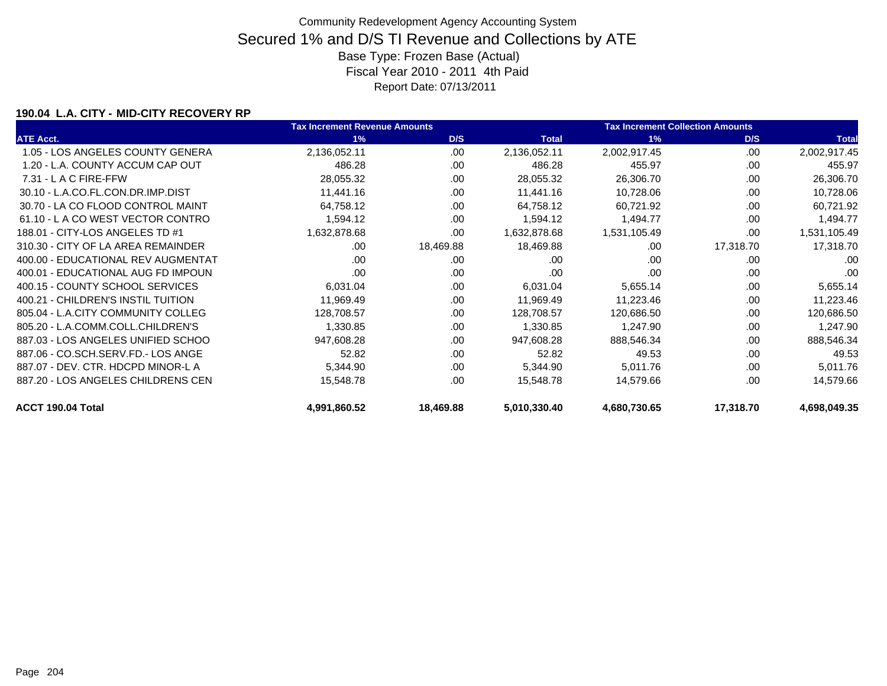### **190.04 L.A. CITY - MID-CITY RECOVERY RP**

|                                    | <b>Tax Increment Revenue Amounts</b> |           |              | <b>Tax Increment Collection Amounts</b> |           |              |
|------------------------------------|--------------------------------------|-----------|--------------|-----------------------------------------|-----------|--------------|
| <b>ATE Acct.</b>                   | 1%                                   | D/S       | <b>Total</b> | 1%                                      | D/S       | <b>Total</b> |
| 1.05 - LOS ANGELES COUNTY GENERA   | 2,136,052.11                         | .00       | 2,136,052.11 | 2,002,917.45                            | .00       | 2,002,917.45 |
| 1.20 - L.A. COUNTY ACCUM CAP OUT   | 486.28                               | .00       | 486.28       | 455.97                                  | .00       | 455.97       |
| $7.31 - L$ A C FIRE-FFW            | 28,055.32                            | .00.      | 28,055.32    | 26,306.70                               | .00       | 26,306.70    |
| 30.10 - L.A.CO.FL.CON.DR.IMP.DIST  | 11,441.16                            | .00       | 11,441.16    | 10,728.06                               | .00       | 10,728.06    |
| 30.70 - LA CO FLOOD CONTROL MAINT  | 64,758.12                            | .00       | 64,758.12    | 60,721.92                               | .00       | 60,721.92    |
| 61.10 - LA CO WEST VECTOR CONTRO   | 1,594.12                             | .00       | 1,594.12     | 1,494.77                                | .00       | 1,494.77     |
| 188.01 - CITY-LOS ANGELES TD #1    | 1,632,878.68                         | .00       | 1,632,878.68 | 1,531,105.49                            | .00       | 1,531,105.49 |
| 310.30 - CITY OF LA AREA REMAINDER | .00                                  | 18,469.88 | 18,469.88    | .00                                     | 17,318.70 | 17,318.70    |
| 400.00 - EDUCATIONAL REV AUGMENTAT | .00                                  | .00       | .00          | .00                                     | .00       | .00          |
| 400.01 - EDUCATIONAL AUG FD IMPOUN | .00                                  | .00       | .00          | .00                                     | .00       | .00          |
| 400.15 - COUNTY SCHOOL SERVICES    | 6,031.04                             | .00.      | 6,031.04     | 5,655.14                                | .00       | 5,655.14     |
| 400.21 - CHILDREN'S INSTIL TUITION | 11,969.49                            | .00       | 11,969.49    | 11,223.46                               | .00       | 11,223.46    |
| 805.04 - L.A.CITY COMMUNITY COLLEG | 128,708.57                           | .00       | 128,708.57   | 120,686.50                              | .00       | 120,686.50   |
| 805.20 - L.A.COMM.COLL.CHILDREN'S  | 1,330.85                             | .00.      | 1,330.85     | 1,247.90                                | .00       | 1,247.90     |
| 887.03 - LOS ANGELES UNIFIED SCHOO | 947,608.28                           | .00       | 947,608.28   | 888,546.34                              | .00       | 888,546.34   |
| 887.06 - CO.SCH.SERV.FD.- LOS ANGE | 52.82                                | .00       | 52.82        | 49.53                                   | .00       | 49.53        |
| 887.07 - DEV. CTR. HDCPD MINOR-L A | 5,344.90                             | .00       | 5,344.90     | 5,011.76                                | .00       | 5,011.76     |
| 887.20 - LOS ANGELES CHILDRENS CEN | 15,548.78                            | .00       | 15,548.78    | 14,579.66                               | .00       | 14,579.66    |
| ACCT 190.04 Total                  | 4,991,860.52                         | 18,469.88 | 5,010,330.40 | 4,680,730.65                            | 17,318.70 | 4,698,049.35 |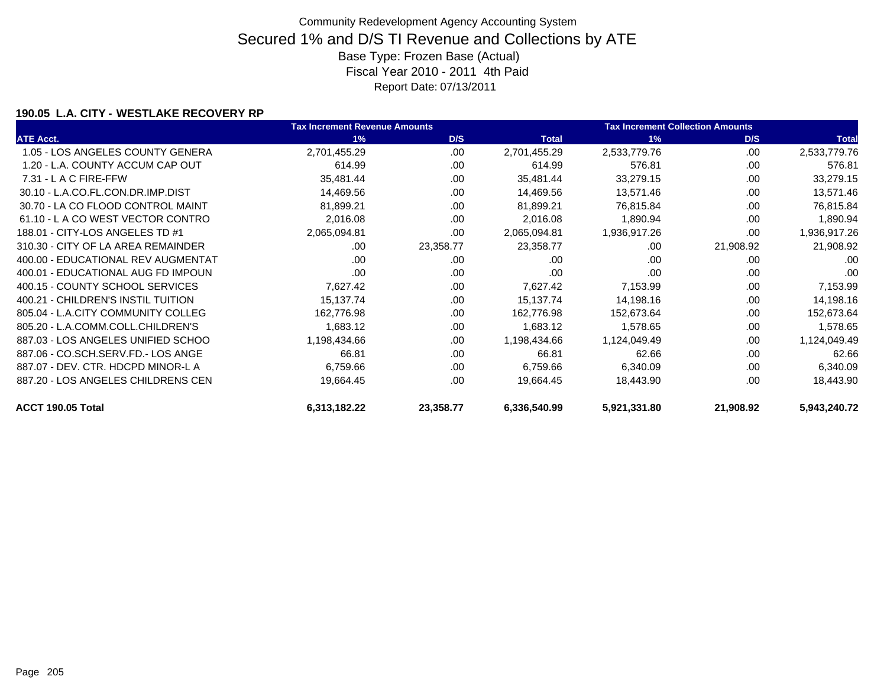### **190.05 L.A. CITY - WESTLAKE RECOVERY RP**

|                                    | <b>Tax Increment Revenue Amounts</b> |           |              | <b>Tax Increment Collection Amounts</b> |           |              |
|------------------------------------|--------------------------------------|-----------|--------------|-----------------------------------------|-----------|--------------|
| <b>ATE Acct.</b>                   | 1%                                   | D/S       | <b>Total</b> | 1%                                      | D/S       | <b>Total</b> |
| 1.05 - LOS ANGELES COUNTY GENERA   | 2,701,455.29                         | .00       | 2,701,455.29 | 2,533,779.76                            | .00.      | 2,533,779.76 |
| 1.20 - L.A. COUNTY ACCUM CAP OUT   | 614.99                               | .00       | 614.99       | 576.81                                  | .00       | 576.81       |
| $7.31 - L$ A C FIRE-FFW            | 35,481.44                            | .00       | 35,481.44    | 33,279.15                               | .00       | 33,279.15    |
| 30.10 - L.A.CO.FL.CON.DR.IMP.DIST  | 14,469.56                            | .00       | 14,469.56    | 13,571.46                               | .00       | 13,571.46    |
| 30.70 - LA CO FLOOD CONTROL MAINT  | 81,899.21                            | .00       | 81,899.21    | 76,815.84                               | .00       | 76,815.84    |
| 61.10 - L A CO WEST VECTOR CONTRO  | 2,016.08                             | .00.      | 2,016.08     | 1,890.94                                | .00       | 1,890.94     |
| 188.01 - CITY-LOS ANGELES TD #1    | 2,065,094.81                         | .00.      | 2,065,094.81 | 1,936,917.26                            | .00       | 1,936,917.26 |
| 310.30 - CITY OF LA AREA REMAINDER | .00.                                 | 23,358.77 | 23,358.77    | .00                                     | 21,908.92 | 21,908.92    |
| 400.00 - EDUCATIONAL REV AUGMENTAT | .00                                  | .00       | .00          | .00                                     | .00       | .00          |
| 400.01 - EDUCATIONAL AUG FD IMPOUN | .00                                  | .00       | .00          | .00                                     | .00       | .00          |
| 400.15 - COUNTY SCHOOL SERVICES    | 7,627.42                             | .00.      | 7,627.42     | 7,153.99                                | .00       | 7,153.99     |
| 400.21 - CHILDREN'S INSTIL TUITION | 15,137.74                            | .00       | 15,137.74    | 14,198.16                               | .00       | 14,198.16    |
| 805.04 - L.A.CITY COMMUNITY COLLEG | 162,776.98                           | .00       | 162,776.98   | 152,673.64                              | .00       | 152,673.64   |
| 805.20 - L.A.COMM.COLL.CHILDREN'S  | 1,683.12                             | .00       | 1,683.12     | 1,578.65                                | .00       | 1,578.65     |
| 887.03 - LOS ANGELES UNIFIED SCHOO | 1,198,434.66                         | .00       | 1,198,434.66 | 1,124,049.49                            | .00       | 1,124,049.49 |
| 887.06 - CO.SCH.SERV.FD.- LOS ANGE | 66.81                                | .00.      | 66.81        | 62.66                                   | .00       | 62.66        |
| 887.07 - DEV. CTR. HDCPD MINOR-L A | 6,759.66                             | .00       | 6,759.66     | 6,340.09                                | .00       | 6,340.09     |
| 887.20 - LOS ANGELES CHILDRENS CEN | 19,664.45                            | .00.      | 19,664.45    | 18,443.90                               | .00       | 18,443.90    |
| ACCT 190.05 Total                  | 6,313,182.22                         | 23,358.77 | 6,336,540.99 | 5,921,331.80                            | 21,908.92 | 5,943,240.72 |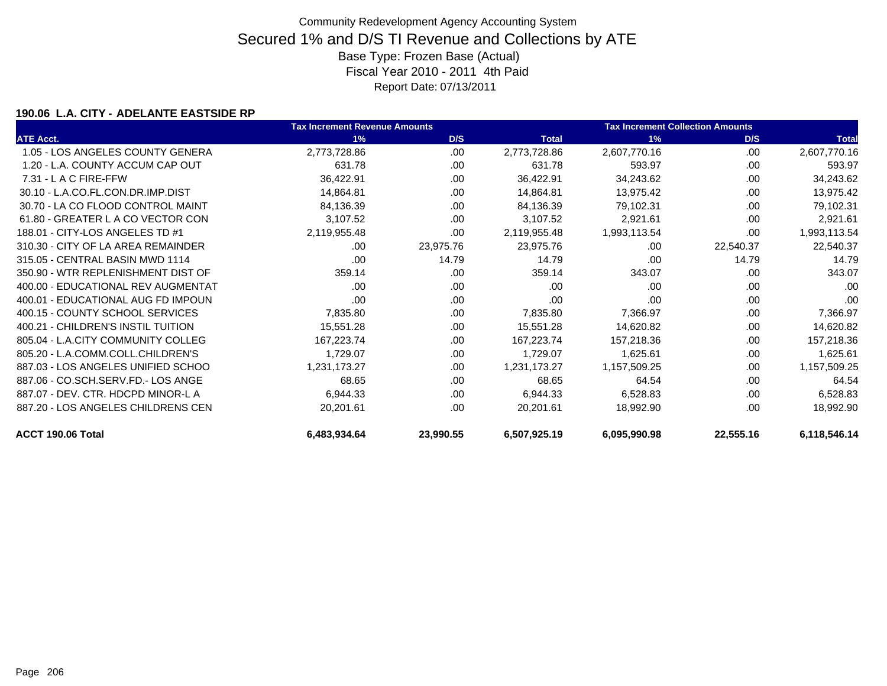### **190.06 L.A. CITY - ADELANTE EASTSIDE RP**

|                                    | <b>Tax Increment Revenue Amounts</b> |           |              | <b>Tax Increment Collection Amounts</b> |           |              |
|------------------------------------|--------------------------------------|-----------|--------------|-----------------------------------------|-----------|--------------|
| <b>ATE Acct.</b>                   | 1%                                   | D/S       | <b>Total</b> | 1%                                      | D/S       | <b>Total</b> |
| 1.05 - LOS ANGELES COUNTY GENERA   | 2,773,728.86                         | .00       | 2,773,728.86 | 2,607,770.16                            | .00       | 2,607,770.16 |
| 1.20 - L.A. COUNTY ACCUM CAP OUT   | 631.78                               | .00       | 631.78       | 593.97                                  | .00       | 593.97       |
| 7.31 - L A C FIRE-FFW              | 36,422.91                            | .00.      | 36,422.91    | 34,243.62                               | .00       | 34,243.62    |
| 30.10 - L.A.CO.FL.CON.DR.IMP.DIST  | 14,864.81                            | .00       | 14,864.81    | 13,975.42                               | .00       | 13,975.42    |
| 30.70 - LA CO FLOOD CONTROL MAINT  | 84,136.39                            | .00       | 84,136.39    | 79,102.31                               | .00       | 79,102.31    |
| 61.80 - GREATER L A CO VECTOR CON  | 3,107.52                             | .00       | 3,107.52     | 2,921.61                                | .00       | 2,921.61     |
| 188.01 - CITY-LOS ANGELES TD #1    | 2,119,955.48                         | .00.      | 2,119,955.48 | 1,993,113.54                            | .00       | 1,993,113.54 |
| 310.30 - CITY OF LA AREA REMAINDER | .00                                  | 23,975.76 | 23,975.76    | .00                                     | 22,540.37 | 22,540.37    |
| 315.05 - CENTRAL BASIN MWD 1114    | .00                                  | 14.79     | 14.79        | .00                                     | 14.79     | 14.79        |
| 350.90 - WTR REPLENISHMENT DIST OF | 359.14                               | .00       | 359.14       | 343.07                                  | .00       | 343.07       |
| 400.00 - EDUCATIONAL REV AUGMENTAT | .00                                  | .00       | .00          | .00                                     | .00       | .00          |
| 400.01 - EDUCATIONAL AUG FD IMPOUN | .00                                  | .00       | .00          | .00                                     | .00       | .00          |
| 400.15 - COUNTY SCHOOL SERVICES    | 7,835.80                             | .00       | 7,835.80     | 7,366.97                                | .00       | 7,366.97     |
| 400.21 - CHILDREN'S INSTIL TUITION | 15,551.28                            | .00       | 15,551.28    | 14,620.82                               | .00       | 14,620.82    |
| 805.04 - L.A.CITY COMMUNITY COLLEG | 167,223.74                           | .00       | 167,223.74   | 157,218.36                              | .00       | 157,218.36   |
| 805.20 - L.A.COMM.COLL.CHILDREN'S  | 1,729.07                             | .00       | 1,729.07     | 1,625.61                                | .00       | 1,625.61     |
| 887.03 - LOS ANGELES UNIFIED SCHOO | 1,231,173.27                         | .00.      | 1,231,173.27 | 1,157,509.25                            | .00       | 1,157,509.25 |
| 887.06 - CO.SCH.SERV.FD.- LOS ANGE | 68.65                                | .00.      | 68.65        | 64.54                                   | .00       | 64.54        |
| 887.07 - DEV. CTR. HDCPD MINOR-L A | 6,944.33                             | .00.      | 6,944.33     | 6,528.83                                | .00       | 6,528.83     |
| 887.20 - LOS ANGELES CHILDRENS CEN | 20,201.61                            | .00.      | 20,201.61    | 18,992.90                               | .00       | 18,992.90    |
| ACCT 190.06 Total                  | 6,483,934.64                         | 23,990.55 | 6,507,925.19 | 6,095,990.98                            | 22,555.16 | 6,118,546.14 |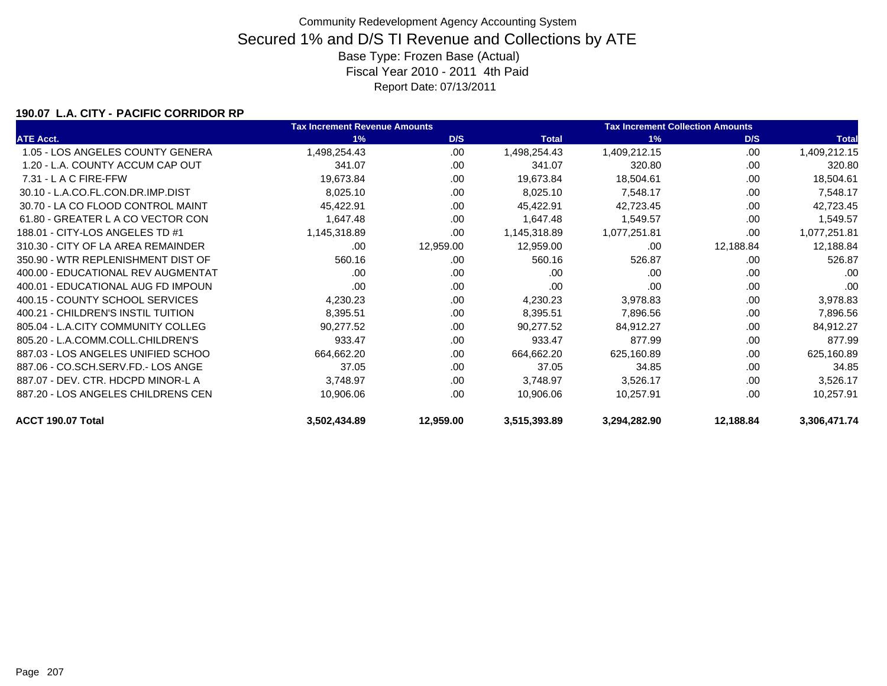### **190.07 L.A. CITY - PACIFIC CORRIDOR RP**

|                                    | <b>Tax Increment Revenue Amounts</b> |           |              | <b>Tax Increment Collection Amounts</b> |           |              |
|------------------------------------|--------------------------------------|-----------|--------------|-----------------------------------------|-----------|--------------|
| <b>ATE Acct.</b>                   | 1%                                   | D/S       | <b>Total</b> | 1%                                      | D/S       | <b>Total</b> |
| 1.05 - LOS ANGELES COUNTY GENERA   | 1,498,254.43                         | .00       | 1,498,254.43 | 1,409,212.15                            | .00       | 1,409,212.15 |
| 1.20 - L.A. COUNTY ACCUM CAP OUT   | 341.07                               | .00       | 341.07       | 320.80                                  | .00       | 320.80       |
| $7.31 - L$ A C FIRE-FFW            | 19,673.84                            | .00       | 19,673.84    | 18,504.61                               | .00       | 18,504.61    |
| 30.10 - L.A.CO.FL.CON.DR.IMP.DIST  | 8,025.10                             | .00       | 8,025.10     | 7,548.17                                | .00       | 7,548.17     |
| 30.70 - LA CO FLOOD CONTROL MAINT  | 45,422.91                            | .00       | 45,422.91    | 42,723.45                               | .00       | 42,723.45    |
| 61.80 - GREATER L A CO VECTOR CON  | 1,647.48                             | .00       | 1,647.48     | 1,549.57                                | .00       | 1,549.57     |
| 188.01 - CITY-LOS ANGELES TD #1    | 1,145,318.89                         | .00       | 1,145,318.89 | 1,077,251.81                            | .00       | 1,077,251.81 |
| 310.30 - CITY OF LA AREA REMAINDER | .00                                  | 12,959.00 | 12,959.00    | .00                                     | 12,188.84 | 12,188.84    |
| 350.90 - WTR REPLENISHMENT DIST OF | 560.16                               | .00       | 560.16       | 526.87                                  | .00       | 526.87       |
| 400.00 - EDUCATIONAL REV AUGMENTAT | .00                                  | .00       | .00          | .00                                     | .00       | .00          |
| 400.01 - EDUCATIONAL AUG FD IMPOUN | .00                                  | .00       | .00          | .00                                     | .00       | .00          |
| 400.15 - COUNTY SCHOOL SERVICES    | 4,230.23                             | .00.      | 4,230.23     | 3,978.83                                | .00       | 3,978.83     |
| 400.21 - CHILDREN'S INSTIL TUITION | 8,395.51                             | .00.      | 8,395.51     | 7,896.56                                | .00       | 7,896.56     |
| 805.04 - L.A.CITY COMMUNITY COLLEG | 90,277.52                            | .00       | 90,277.52    | 84,912.27                               | .00       | 84,912.27    |
| 805.20 - L.A.COMM.COLL.CHILDREN'S  | 933.47                               | .00       | 933.47       | 877.99                                  | .00       | 877.99       |
| 887.03 - LOS ANGELES UNIFIED SCHOO | 664,662.20                           | .00       | 664,662.20   | 625,160.89                              | .00       | 625,160.89   |
| 887.06 - CO.SCH.SERV.FD.- LOS ANGE | 37.05                                | .00.      | 37.05        | 34.85                                   | .00       | 34.85        |
| 887.07 - DEV. CTR. HDCPD MINOR-L A | 3,748.97                             | .00       | 3,748.97     | 3,526.17                                | .00       | 3,526.17     |
| 887.20 - LOS ANGELES CHILDRENS CEN | 10,906.06                            | .00       | 10,906.06    | 10,257.91                               | .00       | 10,257.91    |
| ACCT 190.07 Total                  | 3,502,434.89                         | 12,959.00 | 3,515,393.89 | 3,294,282.90                            | 12,188.84 | 3,306,471.74 |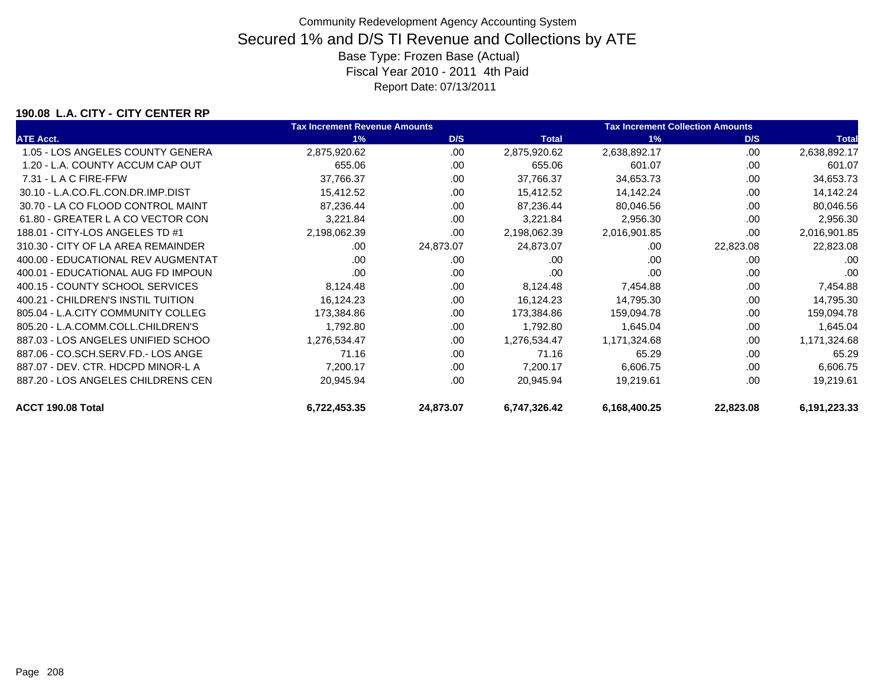#### **190.08 L.A. CITY - CITY CENTER RP**

|                                    | <b>Tax Increment Revenue Amounts</b> |           |              | <b>Tax Increment Collection Amounts</b> |           |              |
|------------------------------------|--------------------------------------|-----------|--------------|-----------------------------------------|-----------|--------------|
| <b>ATE Acct.</b>                   | 1%                                   | D/S       | <b>Total</b> | 1%                                      | D/S       | <b>Total</b> |
| 1.05 - LOS ANGELES COUNTY GENERA   | 2,875,920.62                         | .00       | 2,875,920.62 | 2,638,892.17                            | .00       | 2,638,892.17 |
| 1.20 - L.A. COUNTY ACCUM CAP OUT   | 655.06                               | .00       | 655.06       | 601.07                                  | .00       | 601.07       |
| $7.31 - L$ A C FIRE-FFW            | 37,766.37                            | .00       | 37,766.37    | 34,653.73                               | .00       | 34,653.73    |
| 30.10 - L.A.CO.FL.CON.DR.IMP.DIST  | 15,412.52                            | .00       | 15,412.52    | 14,142.24                               | .00       | 14,142.24    |
| 30.70 - LA CO FLOOD CONTROL MAINT  | 87,236.44                            | .00       | 87,236.44    | 80,046.56                               | .00       | 80,046.56    |
| 61.80 - GREATER L A CO VECTOR CON  | 3,221.84                             | .00       | 3,221.84     | 2,956.30                                | .00       | 2,956.30     |
| 188.01 - CITY-LOS ANGELES TD #1    | 2,198,062.39                         | .00       | 2,198,062.39 | 2,016,901.85                            | .00       | 2,016,901.85 |
| 310.30 - CITY OF LA AREA REMAINDER | .00                                  | 24,873.07 | 24,873.07    | .00                                     | 22,823.08 | 22,823.08    |
| 400.00 - EDUCATIONAL REV AUGMENTAT | .00                                  | .00       | .00          | .00                                     | .00       | .00          |
| 400.01 - EDUCATIONAL AUG FD IMPOUN | .00                                  | .00       | .00          | .00                                     | .00       | .00          |
| 400.15 - COUNTY SCHOOL SERVICES    | 8,124.48                             | .00.      | 8,124.48     | 7,454.88                                | .00       | 7,454.88     |
| 400.21 - CHILDREN'S INSTIL TUITION | 16,124.23                            | .00.      | 16,124.23    | 14,795.30                               | .00       | 14,795.30    |
| 805.04 - L.A.CITY COMMUNITY COLLEG | 173,384.86                           | .00       | 173,384.86   | 159,094.78                              | .00       | 159,094.78   |
| 805.20 - L.A.COMM.COLL.CHILDREN'S  | 1,792.80                             | .00.      | 1,792.80     | 1,645.04                                | .00       | 1,645.04     |
| 887.03 - LOS ANGELES UNIFIED SCHOO | 1,276,534.47                         | .00.      | 1,276,534.47 | 1,171,324.68                            | .00       | 1,171,324.68 |
| 887.06 - CO.SCH.SERV.FD.- LOS ANGE | 71.16                                | .00       | 71.16        | 65.29                                   | .00       | 65.29        |
| 887.07 - DEV. CTR. HDCPD MINOR-L A | 7,200.17                             | .00       | 7,200.17     | 6,606.75                                | .00       | 6,606.75     |
| 887.20 - LOS ANGELES CHILDRENS CEN | 20,945.94                            | .00       | 20,945.94    | 19,219.61                               | .00       | 19,219.61    |
| ACCT 190.08 Total                  | 6,722,453.35                         | 24,873.07 | 6,747,326.42 | 6,168,400.25                            | 22,823.08 | 6,191,223.33 |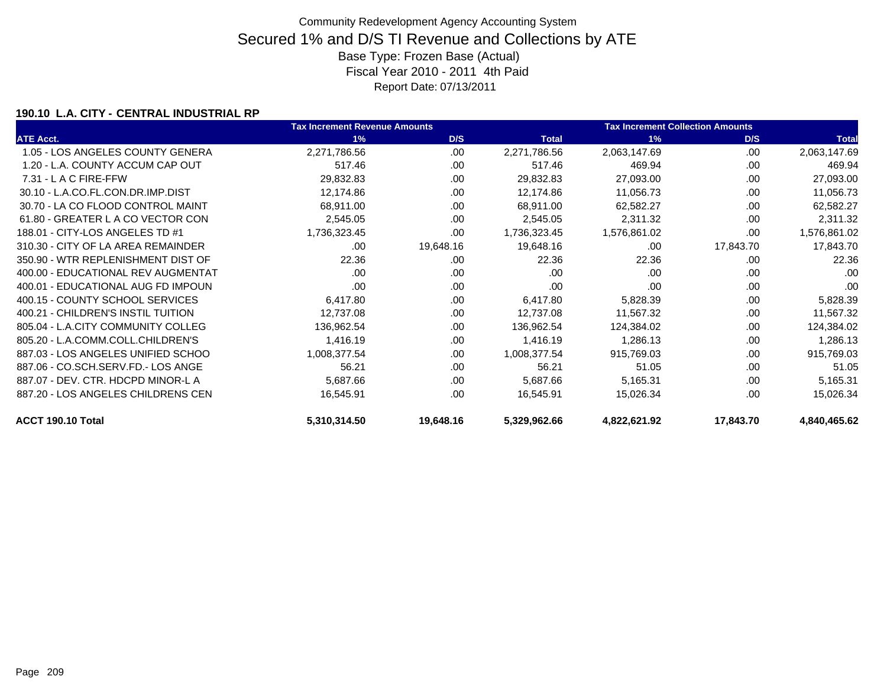### **190.10 L.A. CITY - CENTRAL INDUSTRIAL RP**

|                                    | <b>Tax Increment Revenue Amounts</b> |           |              | <b>Tax Increment Collection Amounts</b> |           |              |
|------------------------------------|--------------------------------------|-----------|--------------|-----------------------------------------|-----------|--------------|
| <b>ATE Acct.</b>                   | 1%                                   | D/S       | <b>Total</b> | 1%                                      | D/S       | <b>Total</b> |
| 1.05 - LOS ANGELES COUNTY GENERA   | 2,271,786.56                         | .00       | 2,271,786.56 | 2,063,147.69                            | .00       | 2,063,147.69 |
| 1.20 - L.A. COUNTY ACCUM CAP OUT   | 517.46                               | .00       | 517.46       | 469.94                                  | .00       | 469.94       |
| 7.31 - L A C FIRE-FFW              | 29,832.83                            | .00.      | 29,832.83    | 27,093.00                               | .00       | 27,093.00    |
| 30.10 - L.A.CO.FL.CON.DR.IMP.DIST  | 12,174.86                            | .00       | 12,174.86    | 11,056.73                               | .00       | 11,056.73    |
| 30.70 - LA CO FLOOD CONTROL MAINT  | 68,911.00                            | .00       | 68,911.00    | 62,582.27                               | .00       | 62,582.27    |
| 61.80 - GREATER L A CO VECTOR CON  | 2,545.05                             | .00.      | 2,545.05     | 2,311.32                                | .00       | 2,311.32     |
| 188.01 - CITY-LOS ANGELES TD #1    | 1,736,323.45                         | .00       | 1,736,323.45 | 1,576,861.02                            | .00       | 1,576,861.02 |
| 310.30 - CITY OF LA AREA REMAINDER | .00                                  | 19,648.16 | 19,648.16    | .00                                     | 17,843.70 | 17,843.70    |
| 350.90 - WTR REPLENISHMENT DIST OF | 22.36                                | .00       | 22.36        | 22.36                                   | .00       | 22.36        |
| 400.00 - EDUCATIONAL REV AUGMENTAT | .00                                  | .00       | .00          | .00                                     | .00       | .00          |
| 400.01 - EDUCATIONAL AUG FD IMPOUN | .00                                  | .00       | .00          | .00                                     | .00       | .00          |
| 400.15 - COUNTY SCHOOL SERVICES    | 6,417.80                             | .00.      | 6,417.80     | 5,828.39                                | .00       | 5,828.39     |
| 400.21 - CHILDREN'S INSTIL TUITION | 12,737.08                            | .00.      | 12,737.08    | 11,567.32                               | .00       | 11,567.32    |
| 805.04 - L.A.CITY COMMUNITY COLLEG | 136,962.54                           | .00       | 136,962.54   | 124,384.02                              | .00       | 124,384.02   |
| 805.20 - L.A.COMM.COLL.CHILDREN'S  | 1,416.19                             | .00.      | 1,416.19     | 1,286.13                                | .00       | 1,286.13     |
| 887.03 - LOS ANGELES UNIFIED SCHOO | 1,008,377.54                         | .00       | 1,008,377.54 | 915,769.03                              | .00       | 915,769.03   |
| 887.06 - CO.SCH.SERV.FD.- LOS ANGE | 56.21                                | .00.      | 56.21        | 51.05                                   | .00       | 51.05        |
| 887.07 - DEV. CTR. HDCPD MINOR-L A | 5,687.66                             | .00       | 5,687.66     | 5,165.31                                | .00       | 5,165.31     |
| 887.20 - LOS ANGELES CHILDRENS CEN | 16,545.91                            | .00       | 16,545.91    | 15,026.34                               | .00       | 15,026.34    |
| ACCT 190.10 Total                  | 5,310,314.50                         | 19,648.16 | 5,329,962.66 | 4,822,621.92                            | 17,843.70 | 4,840,465.62 |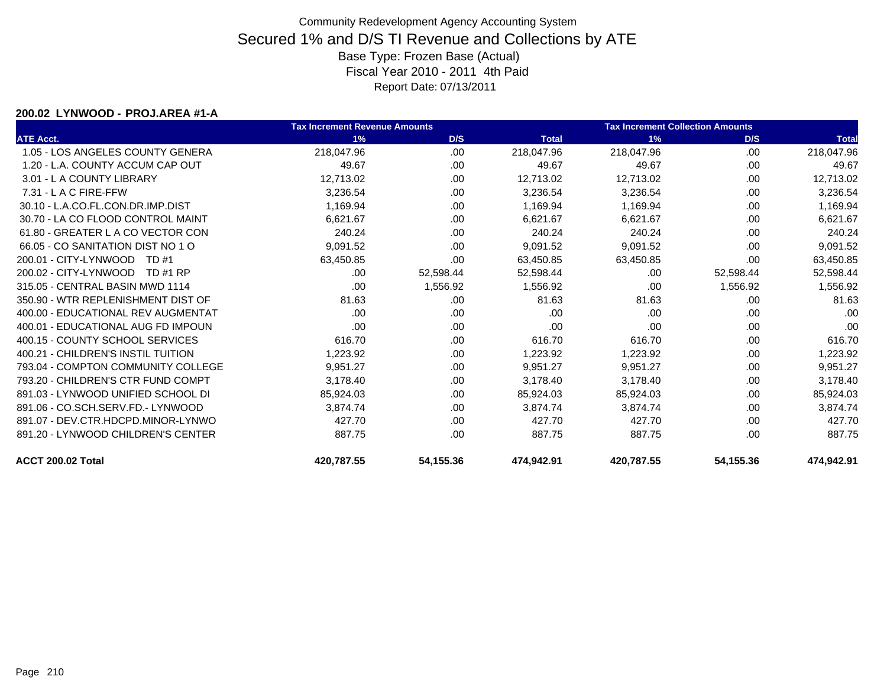#### **200.02 LYNWOOD - PROJ.AREA #1-A**

|                                    | <b>Tax Increment Revenue Amounts</b> |           |              | <b>Tax Increment Collection Amounts</b> |           |              |
|------------------------------------|--------------------------------------|-----------|--------------|-----------------------------------------|-----------|--------------|
| <b>ATE Acct.</b>                   | 1%                                   | D/S       | <b>Total</b> | 1%                                      | D/S       | <b>Total</b> |
| 1.05 - LOS ANGELES COUNTY GENERA   | 218,047.96                           | .00       | 218,047.96   | 218,047.96                              | .00       | 218,047.96   |
| 1.20 - L.A. COUNTY ACCUM CAP OUT   | 49.67                                | .00       | 49.67        | 49.67                                   | .00       | 49.67        |
| 3.01 - L A COUNTY LIBRARY          | 12,713.02                            | .00       | 12,713.02    | 12,713.02                               | .00       | 12,713.02    |
| $7.31 - L$ A C FIRE-FFW            | 3,236.54                             | .00       | 3,236.54     | 3,236.54                                | .00       | 3,236.54     |
| 30.10 - L.A.CO.FL.CON.DR.IMP.DIST  | 1,169.94                             | .00       | 1,169.94     | 1,169.94                                | .00       | 1,169.94     |
| 30.70 - LA CO FLOOD CONTROL MAINT  | 6,621.67                             | .00       | 6,621.67     | 6,621.67                                | .00       | 6,621.67     |
| 61.80 - GREATER L A CO VECTOR CON  | 240.24                               | .00.      | 240.24       | 240.24                                  | .00       | 240.24       |
| 66.05 - CO SANITATION DIST NO 1 O  | 9,091.52                             | .00       | 9,091.52     | 9,091.52                                | .00       | 9,091.52     |
| 200.01 - CITY-LYNWOOD<br>TD #1     | 63,450.85                            | .00.      | 63,450.85    | 63,450.85                               | .00       | 63,450.85    |
| 200.02 - CITY-LYNWOOD<br>TD #1 RP  | .00                                  | 52,598.44 | 52,598.44    | .00                                     | 52,598.44 | 52,598.44    |
| 315.05 - CENTRAL BASIN MWD 1114    | .00                                  | 1,556.92  | 1,556.92     | .00                                     | 1,556.92  | 1,556.92     |
| 350.90 - WTR REPLENISHMENT DIST OF | 81.63                                | .00       | 81.63        | 81.63                                   | .00       | 81.63        |
| 400.00 - EDUCATIONAL REV AUGMENTAT | .00                                  | .00       | .00          | .00                                     | .00       | .00          |
| 400.01 - EDUCATIONAL AUG FD IMPOUN | .00                                  | .00       | .00          | .00                                     | .00       | .00          |
| 400.15 - COUNTY SCHOOL SERVICES    | 616.70                               | .00.      | 616.70       | 616.70                                  | .00.      | 616.70       |
| 400.21 - CHILDREN'S INSTIL TUITION | 1,223.92                             | .00.      | 1,223.92     | 1,223.92                                | .00       | 1,223.92     |
| 793.04 - COMPTON COMMUNITY COLLEGE | 9,951.27                             | .00       | 9,951.27     | 9,951.27                                | .00       | 9,951.27     |
| 793.20 - CHILDREN'S CTR FUND COMPT | 3,178.40                             | .00.      | 3,178.40     | 3,178.40                                | .00       | 3,178.40     |
| 891.03 - LYNWOOD UNIFIED SCHOOL DI | 85,924.03                            | .00       | 85,924.03    | 85,924.03                               | .00       | 85,924.03    |
| 891.06 - CO.SCH.SERV.FD.- LYNWOOD  | 3,874.74                             | .00.      | 3,874.74     | 3,874.74                                | .00       | 3,874.74     |
| 891.07 - DEV.CTR.HDCPD.MINOR-LYNWO | 427.70                               | .00       | 427.70       | 427.70                                  | .00       | 427.70       |
| 891.20 - LYNWOOD CHILDREN'S CENTER | 887.75                               | .00.      | 887.75       | 887.75                                  | .00       | 887.75       |
| ACCT 200.02 Total                  | 420,787.55                           | 54,155.36 | 474,942.91   | 420,787.55                              | 54,155.36 | 474,942.91   |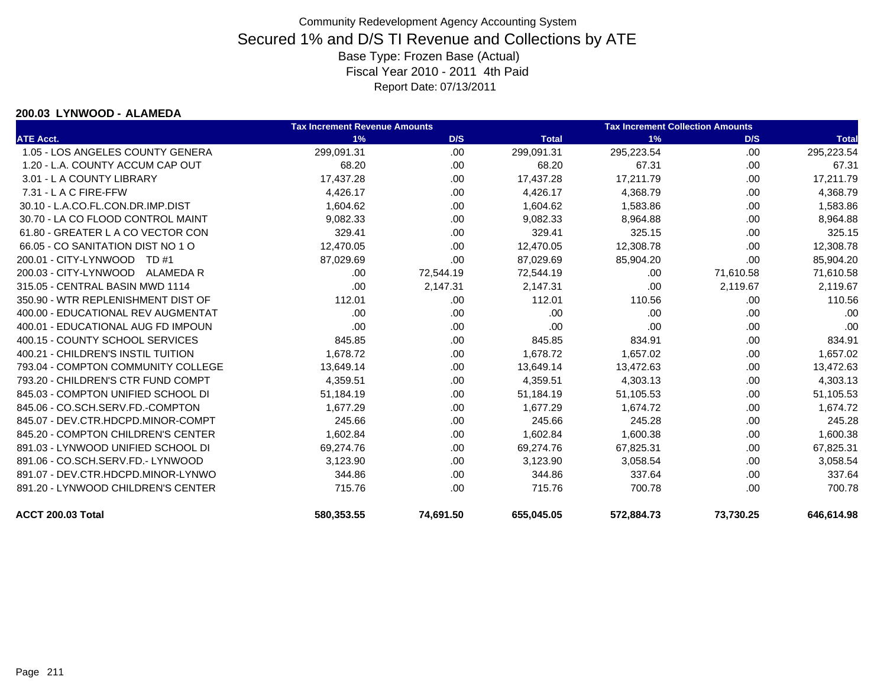#### **200.03 LYNWOOD - ALAMEDA**

|                                    | <b>Tax Increment Revenue Amounts</b> |           |              | <b>Tax Increment Collection Amounts</b> |           |              |
|------------------------------------|--------------------------------------|-----------|--------------|-----------------------------------------|-----------|--------------|
| <b>ATE Acct.</b>                   | 1%                                   | D/S       | <b>Total</b> | 1%                                      | D/S       | <b>Total</b> |
| 1.05 - LOS ANGELES COUNTY GENERA   | 299,091.31                           | .00       | 299,091.31   | 295,223.54                              | .00.      | 295,223.54   |
| 1.20 - L.A. COUNTY ACCUM CAP OUT   | 68.20                                | .00       | 68.20        | 67.31                                   | .00       | 67.31        |
| 3.01 - L A COUNTY LIBRARY          | 17,437.28                            | .00.      | 17,437.28    | 17,211.79                               | .00.      | 17,211.79    |
| $7.31 - L$ A C FIRE-FFW            | 4,426.17                             | .00.      | 4,426.17     | 4,368.79                                | .00       | 4,368.79     |
| 30.10 - L.A.CO.FL.CON.DR.IMP.DIST  | 1,604.62                             | .00       | 1,604.62     | 1,583.86                                | .00       | 1,583.86     |
| 30.70 - LA CO FLOOD CONTROL MAINT  | 9,082.33                             | .00.      | 9,082.33     | 8,964.88                                | .00       | 8,964.88     |
| 61.80 - GREATER L A CO VECTOR CON  | 329.41                               | .00.      | 329.41       | 325.15                                  | .00       | 325.15       |
| 66.05 - CO SANITATION DIST NO 1 O  | 12,470.05                            | .00       | 12,470.05    | 12,308.78                               | .00       | 12,308.78    |
| 200.01 - CITY-LYNWOOD TD #1        | 87,029.69                            | .00       | 87,029.69    | 85,904.20                               | .00.      | 85,904.20    |
| 200.03 - CITY-LYNWOOD ALAMEDA R    | .00.                                 | 72,544.19 | 72,544.19    | .00                                     | 71,610.58 | 71,610.58    |
| 315.05 - CENTRAL BASIN MWD 1114    | .00                                  | 2,147.31  | 2,147.31     | .00                                     | 2,119.67  | 2,119.67     |
| 350.90 - WTR REPLENISHMENT DIST OF | 112.01                               | .00.      | 112.01       | 110.56                                  | .00.      | 110.56       |
| 400.00 - EDUCATIONAL REV AUGMENTAT | .00.                                 | .00       | .00          | .00                                     | .00       | .00          |
| 400.01 - EDUCATIONAL AUG FD IMPOUN | .00                                  | .00       | .00          | .00                                     | .00       | .00          |
| 400.15 - COUNTY SCHOOL SERVICES    | 845.85                               | .00       | 845.85       | 834.91                                  | .00.      | 834.91       |
| 400.21 - CHILDREN'S INSTIL TUITION | 1.678.72                             | .00.      | 1,678.72     | 1,657.02                                | .00       | 1,657.02     |
| 793.04 - COMPTON COMMUNITY COLLEGE | 13,649.14                            | .00.      | 13,649.14    | 13,472.63                               | .00       | 13,472.63    |
| 793.20 - CHILDREN'S CTR FUND COMPT | 4,359.51                             | .00.      | 4,359.51     | 4,303.13                                | .00       | 4,303.13     |
| 845.03 - COMPTON UNIFIED SCHOOL DI | 51,184.19                            | .00.      | 51,184.19    | 51,105.53                               | .00       | 51,105.53    |
| 845.06 - CO.SCH.SERV.FD.-COMPTON   | 1,677.29                             | .00       | 1,677.29     | 1,674.72                                | .00       | 1,674.72     |
| 845.07 - DEV.CTR.HDCPD.MINOR-COMPT | 245.66                               | .00.      | 245.66       | 245.28                                  | .00.      | 245.28       |
| 845.20 - COMPTON CHILDREN'S CENTER | 1,602.84                             | .00.      | 1,602.84     | 1,600.38                                | .00       | 1,600.38     |
| 891.03 - LYNWOOD UNIFIED SCHOOL DI | 69,274.76                            | .00.      | 69,274.76    | 67,825.31                               | .00       | 67,825.31    |
| 891.06 - CO.SCH.SERV.FD.- LYNWOOD  | 3,123.90                             | .00.      | 3,123.90     | 3,058.54                                | .00       | 3,058.54     |
| 891.07 - DEV.CTR.HDCPD.MINOR-LYNWO | 344.86                               | .00.      | 344.86       | 337.64                                  | .00       | 337.64       |
| 891.20 - LYNWOOD CHILDREN'S CENTER | 715.76                               | .00       | 715.76       | 700.78                                  | .00       | 700.78       |
| <b>ACCT 200.03 Total</b>           | 580,353.55                           | 74,691.50 | 655,045.05   | 572,884.73                              | 73,730.25 | 646,614.98   |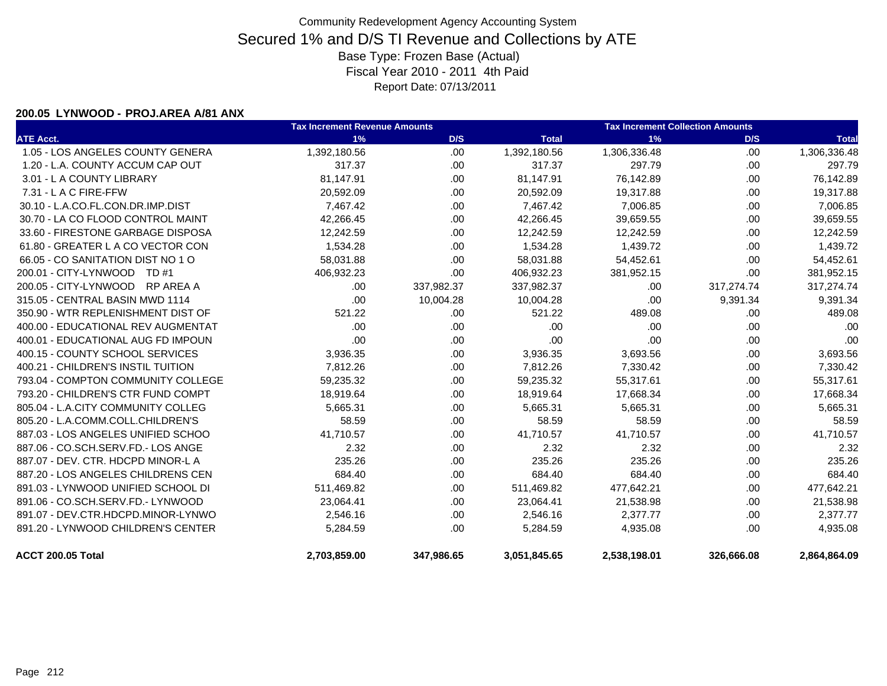#### **200.05 LYNWOOD - PROJ.AREA A/81 ANX**

|                                    | <b>Tax Increment Revenue Amounts</b> |            |              | <b>Tax Increment Collection Amounts</b> |            |              |  |
|------------------------------------|--------------------------------------|------------|--------------|-----------------------------------------|------------|--------------|--|
| <b>ATE Acct.</b>                   | 1%                                   | D/S        | <b>Total</b> | 1%                                      | D/S        | <b>Total</b> |  |
| 1.05 - LOS ANGELES COUNTY GENERA   | 1,392,180.56                         | .00        | 1,392,180.56 | 1,306,336.48                            | .00.       | 1,306,336.48 |  |
| 1.20 - L.A. COUNTY ACCUM CAP OUT   | 317.37                               | .00.       | 317.37       | 297.79                                  | .00.       | 297.79       |  |
| 3.01 - L A COUNTY LIBRARY          | 81,147.91                            | .00.       | 81,147.91    | 76,142.89                               | .00.       | 76,142.89    |  |
| 7.31 - L A C FIRE-FFW              | 20,592.09                            | .00.       | 20,592.09    | 19,317.88                               | .00.       | 19,317.88    |  |
| 30.10 - L.A.CO.FL.CON.DR.IMP.DIST  | 7,467.42                             | .00        | 7,467.42     | 7,006.85                                | .00        | 7,006.85     |  |
| 30.70 - LA CO FLOOD CONTROL MAINT  | 42,266.45                            | .00.       | 42,266.45    | 39,659.55                               | .00.       | 39,659.55    |  |
| 33.60 - FIRESTONE GARBAGE DISPOSA  | 12,242.59                            | .00.       | 12,242.59    | 12,242.59                               | .00.       | 12,242.59    |  |
| 61.80 - GREATER L A CO VECTOR CON  | 1,534.28                             | .00.       | 1,534.28     | 1,439.72                                | .00.       | 1,439.72     |  |
| 66.05 - CO SANITATION DIST NO 1 O  | 58,031.88                            | .00        | 58,031.88    | 54,452.61                               | .00        | 54,452.61    |  |
| 200.01 - CITY-LYNWOOD TD #1        | 406,932.23                           | .00        | 406,932.23   | 381,952.15                              | .00.       | 381,952.15   |  |
| 200.05 - CITY-LYNWOOD RP AREA A    | .00                                  | 337,982.37 | 337,982.37   | .00                                     | 317,274.74 | 317,274.74   |  |
| 315.05 - CENTRAL BASIN MWD 1114    | .00                                  | 10,004.28  | 10,004.28    | .00                                     | 9,391.34   | 9,391.34     |  |
| 350.90 - WTR REPLENISHMENT DIST OF | 521.22                               | .00.       | 521.22       | 489.08                                  | .00        | 489.08       |  |
| 400.00 - EDUCATIONAL REV AUGMENTAT | .00                                  | .00        | .00          | .00                                     | .00        | .00          |  |
| 400.01 - EDUCATIONAL AUG FD IMPOUN | .00                                  | .00        | .00          | .00                                     | .00.       | .00          |  |
| 400.15 - COUNTY SCHOOL SERVICES    | 3,936.35                             | .00.       | 3,936.35     | 3,693.56                                | .00.       | 3,693.56     |  |
| 400.21 - CHILDREN'S INSTIL TUITION | 7,812.26                             | .00.       | 7,812.26     | 7,330.42                                | .00.       | 7,330.42     |  |
| 793.04 - COMPTON COMMUNITY COLLEGE | 59,235.32                            | .00.       | 59,235.32    | 55,317.61                               | .00.       | 55,317.61    |  |
| 793.20 - CHILDREN'S CTR FUND COMPT | 18,919.64                            | .00        | 18,919.64    | 17,668.34                               | .00        | 17,668.34    |  |
| 805.04 - L.A.CITY COMMUNITY COLLEG | 5,665.31                             | .00.       | 5,665.31     | 5,665.31                                | .00.       | 5,665.31     |  |
| 805.20 - L.A.COMM.COLL.CHILDREN'S  | 58.59                                | .00.       | 58.59        | 58.59                                   | .00.       | 58.59        |  |
| 887.03 - LOS ANGELES UNIFIED SCHOO | 41,710.57                            | .00.       | 41,710.57    | 41,710.57                               | .00        | 41,710.57    |  |
| 887.06 - CO.SCH.SERV.FD.- LOS ANGE | 2.32                                 | .00.       | 2.32         | 2.32                                    | .00.       | 2.32         |  |
| 887.07 - DEV. CTR. HDCPD MINOR-L A | 235.26                               | .00        | 235.26       | 235.26                                  | .00.       | 235.26       |  |
| 887.20 - LOS ANGELES CHILDRENS CEN | 684.40                               | .00        | 684.40       | 684.40                                  | .00.       | 684.40       |  |
| 891.03 - LYNWOOD UNIFIED SCHOOL DI | 511,469.82                           | .00        | 511,469.82   | 477,642.21                              | .00        | 477,642.21   |  |
| 891.06 - CO.SCH.SERV.FD.- LYNWOOD  | 23,064.41                            | .00.       | 23,064.41    | 21,538.98                               | .00        | 21,538.98    |  |
| 891.07 - DEV.CTR.HDCPD.MINOR-LYNWO | 2,546.16                             | .00.       | 2,546.16     | 2,377.77                                | .00.       | 2,377.77     |  |
| 891.20 - LYNWOOD CHILDREN'S CENTER | 5,284.59                             | .00        | 5,284.59     | 4,935.08                                | .00.       | 4,935.08     |  |
| <b>ACCT 200.05 Total</b>           | 2,703,859.00                         | 347,986.65 | 3,051,845.65 | 2,538,198.01                            | 326,666.08 | 2,864,864.09 |  |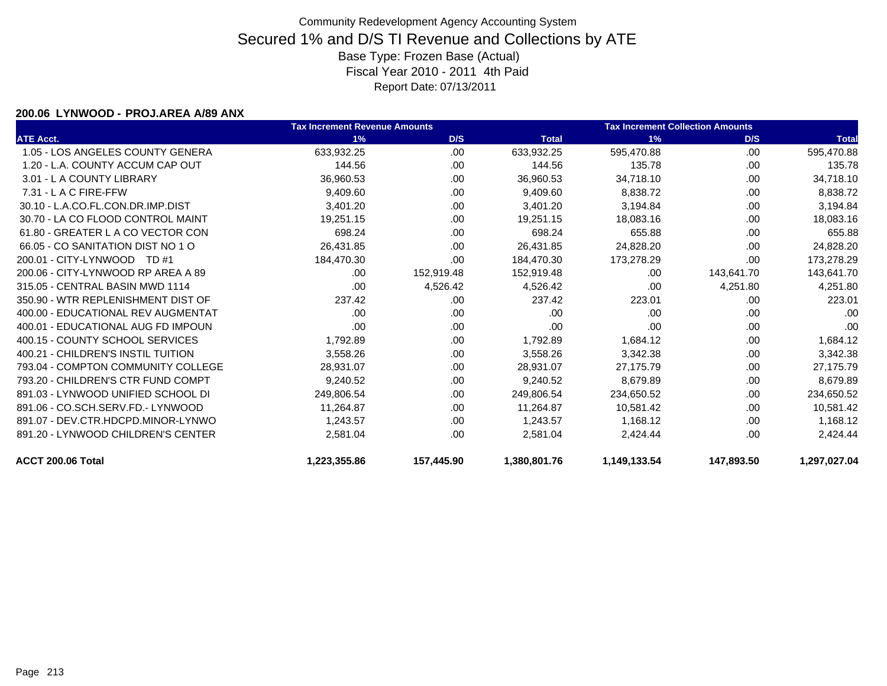#### **200.06 LYNWOOD - PROJ.AREA A/89 ANX**

|                                    | <b>Tax Increment Revenue Amounts</b> |            |              | <b>Tax Increment Collection Amounts</b> |            |              |
|------------------------------------|--------------------------------------|------------|--------------|-----------------------------------------|------------|--------------|
| <b>ATE Acct.</b>                   | 1%                                   | D/S        | <b>Total</b> | 1%                                      | D/S        | <b>Total</b> |
| 1.05 - LOS ANGELES COUNTY GENERA   | 633,932.25                           | .00        | 633,932.25   | 595,470.88                              | .00        | 595,470.88   |
| 1.20 - L.A. COUNTY ACCUM CAP OUT   | 144.56                               | .00        | 144.56       | 135.78                                  | .00        | 135.78       |
| 3.01 - L A COUNTY LIBRARY          | 36,960.53                            | .00        | 36,960.53    | 34,718.10                               | .00        | 34,718.10    |
| $7.31 - L$ A C FIRE-FFW            | 9,409.60                             | .00        | 9,409.60     | 8,838.72                                | .00        | 8,838.72     |
| 30.10 - L.A.CO.FL.CON.DR.IMP.DIST  | 3,401.20                             | .00        | 3,401.20     | 3,194.84                                | .00        | 3,194.84     |
| 30.70 - LA CO FLOOD CONTROL MAINT  | 19,251.15                            | .00.       | 19,251.15    | 18,083.16                               | .00        | 18,083.16    |
| 61.80 - GREATER L A CO VECTOR CON  | 698.24                               | .00        | 698.24       | 655.88                                  | .00        | 655.88       |
| 66.05 - CO SANITATION DIST NO 1 O  | 26,431.85                            | .00        | 26,431.85    | 24,828.20                               | .00        | 24,828.20    |
| 200.01 - CITY-LYNWOOD TD #1        | 184,470.30                           | .00        | 184,470.30   | 173,278.29                              | .00.       | 173,278.29   |
| 200.06 - CITY-LYNWOOD RP AREA A 89 | .00                                  | 152,919.48 | 152,919.48   | .00                                     | 143,641.70 | 143,641.70   |
| 315.05 - CENTRAL BASIN MWD 1114    | .00                                  | 4,526.42   | 4,526.42     | .00                                     | 4,251.80   | 4,251.80     |
| 350.90 - WTR REPLENISHMENT DIST OF | 237.42                               | .00.       | 237.42       | 223.01                                  | .00        | 223.01       |
| 400.00 - EDUCATIONAL REV AUGMENTAT | .00                                  | .00        | .00          | .00                                     | .00        | .00          |
| 400.01 - EDUCATIONAL AUG FD IMPOUN | .00                                  | .00.       | .00          | .00                                     | .00        | .00          |
| 400.15 - COUNTY SCHOOL SERVICES    | 1,792.89                             | .00.       | 1,792.89     | 1,684.12                                | .00.       | 1,684.12     |
| 400.21 - CHILDREN'S INSTIL TUITION | 3,558.26                             | .00        | 3,558.26     | 3,342.38                                | .00        | 3,342.38     |
| 793.04 - COMPTON COMMUNITY COLLEGE | 28,931.07                            | .00        | 28,931.07    | 27,175.79                               | .00        | 27,175.79    |
| 793.20 - CHILDREN'S CTR FUND COMPT | 9.240.52                             | .00.       | 9,240.52     | 8.679.89                                | .00        | 8,679.89     |
| 891.03 - LYNWOOD UNIFIED SCHOOL DI | 249,806.54                           | .00        | 249,806.54   | 234,650.52                              | .00        | 234,650.52   |
| 891.06 - CO.SCH.SERV.FD.- LYNWOOD  | 11,264.87                            | .00        | 11,264.87    | 10,581.42                               | .00        | 10,581.42    |
| 891.07 - DEV.CTR.HDCPD.MINOR-LYNWO | 1,243.57                             | .00.       | 1.243.57     | 1,168.12                                | .00        | 1,168.12     |
| 891.20 - LYNWOOD CHILDREN'S CENTER | 2,581.04                             | .00        | 2,581.04     | 2,424.44                                | .00        | 2,424.44     |
| ACCT 200.06 Total                  | 1,223,355.86                         | 157,445.90 | 1,380,801.76 | 1,149,133.54                            | 147,893.50 | 1,297,027.04 |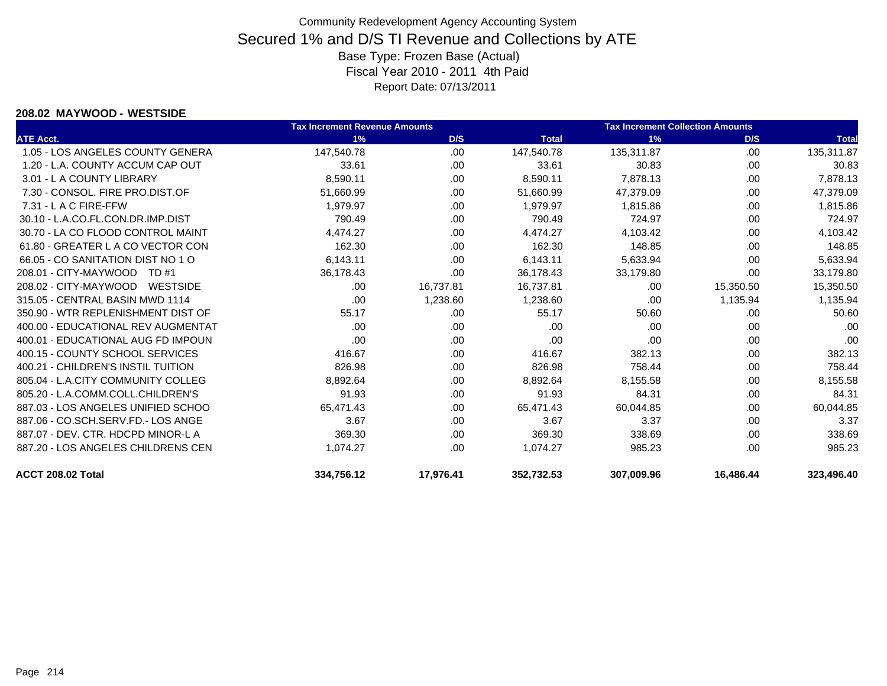#### **208.02 MAYWOOD - WESTSIDE**

|                                    | <b>Tax Increment Revenue Amounts</b> |           |              | <b>Tax Increment Collection Amounts</b> |           |              |
|------------------------------------|--------------------------------------|-----------|--------------|-----------------------------------------|-----------|--------------|
| <b>ATE Acct.</b>                   | 1%                                   | D/S       | <b>Total</b> | 1%                                      | D/S       | <b>Total</b> |
| 1.05 - LOS ANGELES COUNTY GENERA   | 147.540.78                           | .00       | 147,540.78   | 135.311.87                              | .00       | 135,311.87   |
| 1.20 - L.A. COUNTY ACCUM CAP OUT   | 33.61                                | .00       | 33.61        | 30.83                                   | .00       | 30.83        |
| 3.01 - L A COUNTY LIBRARY          | 8,590.11                             | .00.      | 8,590.11     | 7,878.13                                | .00       | 7,878.13     |
| 7.30 - CONSOL. FIRE PRO.DIST.OF    | 51,660.99                            | .00       | 51,660.99    | 47,379.09                               | .00       | 47,379.09    |
| $7.31 - L$ A C FIRE-FFW            | 1.979.97                             | .00       | 1,979.97     | 1,815.86                                | .00       | 1,815.86     |
| 30.10 - L.A.CO.FL.CON.DR.IMP.DIST  | 790.49                               | .00       | 790.49       | 724.97                                  | .00       | 724.97       |
| 30.70 - LA CO FLOOD CONTROL MAINT  | 4.474.27                             | .00       | 4.474.27     | 4,103.42                                | .00       | 4.103.42     |
| 61.80 - GREATER L A CO VECTOR CON  | 162.30                               | .00       | 162.30       | 148.85                                  | .00       | 148.85       |
| 66.05 - CO SANITATION DIST NO 1 O  | 6,143.11                             | .00.      | 6,143.11     | 5,633.94                                | .00       | 5,633.94     |
| 208.01 - CITY-MAYWOOD<br>TD #1     | 36,178.43                            | .00.      | 36,178.43    | 33,179.80                               | .00       | 33,179.80    |
| 208.02 - CITY-MAYWOOD<br>WESTSIDE  | .00                                  | 16,737.81 | 16,737.81    | .00.                                    | 15,350.50 | 15,350.50    |
| 315.05 - CENTRAL BASIN MWD 1114    | .00                                  | 1,238.60  | 1,238.60     | .00                                     | 1,135.94  | 1,135.94     |
| 350.90 - WTR REPLENISHMENT DIST OF | 55.17                                | .00.      | 55.17        | 50.60                                   | .00       | 50.60        |
| 400.00 - EDUCATIONAL REV AUGMENTAT | .00                                  | .00.      | .00          | .00                                     | .00       | .00          |
| 400.01 - EDUCATIONAL AUG FD IMPOUN | .00                                  | .00.      | .00          | .00                                     | .00       | .00          |
| 400.15 - COUNTY SCHOOL SERVICES    | 416.67                               | .00.      | 416.67       | 382.13                                  | .00       | 382.13       |
| 400.21 - CHILDREN'S INSTIL TUITION | 826.98                               | .00.      | 826.98       | 758.44                                  | .00       | 758.44       |
| 805.04 - L.A.CITY COMMUNITY COLLEG | 8,892.64                             | .00       | 8,892.64     | 8,155.58                                | .00       | 8,155.58     |
| 805.20 - L.A.COMM.COLL.CHILDREN'S  | 91.93                                | .00       | 91.93        | 84.31                                   | .00       | 84.31        |
| 887.03 - LOS ANGELES UNIFIED SCHOO | 65,471.43                            | .00.      | 65,471.43    | 60,044.85                               | .00       | 60,044.85    |
| 887.06 - CO.SCH.SERV.FD.- LOS ANGE | 3.67                                 | .00.      | 3.67         | 3.37                                    | .00       | 3.37         |
| 887.07 - DEV. CTR. HDCPD MINOR-L A | 369.30                               | .00       | 369.30       | 338.69                                  | .00       | 338.69       |
| 887.20 - LOS ANGELES CHILDRENS CEN | 1.074.27                             | .00       | 1,074.27     | 985.23                                  | .00       | 985.23       |
| ACCT 208.02 Total                  | 334.756.12                           | 17,976.41 | 352,732.53   | 307.009.96                              | 16.486.44 | 323.496.40   |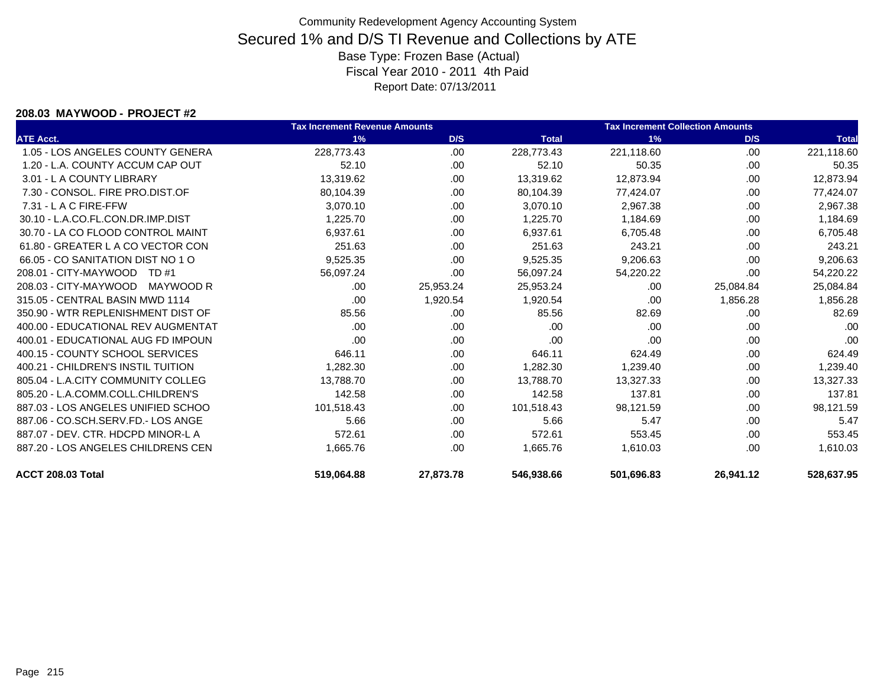#### **208.03 MAYWOOD - PROJECT #2**

|                                    | <b>Tax Increment Revenue Amounts</b> |           |              | <b>Tax Increment Collection Amounts</b> |           |              |
|------------------------------------|--------------------------------------|-----------|--------------|-----------------------------------------|-----------|--------------|
| <b>ATE Acct.</b>                   | 1%                                   | D/S       | <b>Total</b> | 1%                                      | D/S       | <b>Total</b> |
| 1.05 - LOS ANGELES COUNTY GENERA   | 228.773.43                           | .00       | 228,773.43   | 221.118.60                              | .00       | 221,118.60   |
| 1.20 - L.A. COUNTY ACCUM CAP OUT   | 52.10                                | .00.      | 52.10        | 50.35                                   | .00       | 50.35        |
| 3.01 - L A COUNTY LIBRARY          | 13,319.62                            | .00       | 13,319.62    | 12,873.94                               | .00       | 12,873.94    |
| 7.30 - CONSOL, FIRE PRO.DIST.OF    | 80,104.39                            | .00       | 80,104.39    | 77,424.07                               | .00       | 77,424.07    |
| $7.31 - L$ A C FIRE-FFW            | 3,070.10                             | .00.      | 3,070.10     | 2,967.38                                | .00.      | 2,967.38     |
| 30.10 - L.A.CO.FL.CON.DR.IMP.DIST  | 1,225.70                             | .00       | 1,225.70     | 1,184.69                                | .00.      | 1,184.69     |
| 30.70 - LA CO FLOOD CONTROL MAINT  | 6,937.61                             | .00       | 6,937.61     | 6,705.48                                | .00       | 6,705.48     |
| 61.80 - GREATER L A CO VECTOR CON  | 251.63                               | .00       | 251.63       | 243.21                                  | .00       | 243.21       |
| 66.05 - CO SANITATION DIST NO 1 O  | 9,525.35                             | .00       | 9,525.35     | 9,206.63                                | .00       | 9,206.63     |
| 208.01 - CITY-MAYWOOD<br>TD #1     | 56,097.24                            | .00       | 56,097.24    | 54,220.22                               | .00       | 54,220.22    |
| 208.03 - CITY-MAYWOOD<br>MAYWOOD R | .00                                  | 25,953.24 | 25,953.24    | .00                                     | 25,084.84 | 25,084.84    |
| 315.05 - CENTRAL BASIN MWD 1114    | .00                                  | 1,920.54  | 1,920.54     | .00                                     | 1,856.28  | 1,856.28     |
| 350.90 - WTR REPLENISHMENT DIST OF | 85.56                                | .00       | 85.56        | 82.69                                   | .00       | 82.69        |
| 400.00 - EDUCATIONAL REV AUGMENTAT | .00                                  | .00       | .00          | .00                                     | .00       | .00          |
| 400.01 - EDUCATIONAL AUG FD IMPOUN | .00                                  | .00       | .00          | .00                                     | .00       | .00          |
| 400.15 - COUNTY SCHOOL SERVICES    | 646.11                               | .00       | 646.11       | 624.49                                  | .00       | 624.49       |
| 400.21 - CHILDREN'S INSTIL TUITION | 1,282.30                             | .00       | 1,282.30     | 1,239.40                                | .00       | 1,239.40     |
| 805.04 - L.A.CITY COMMUNITY COLLEG | 13.788.70                            | .00       | 13.788.70    | 13,327.33                               | .00       | 13,327.33    |
| 805.20 - L.A.COMM.COLL.CHILDREN'S  | 142.58                               | .00       | 142.58       | 137.81                                  | .00       | 137.81       |
| 887.03 - LOS ANGELES UNIFIED SCHOO | 101,518.43                           | .00.      | 101,518.43   | 98,121.59                               | .00       | 98,121.59    |
| 887.06 - CO.SCH.SERV.FD.- LOS ANGE | 5.66                                 | .00       | 5.66         | 5.47                                    | .00       | 5.47         |
| 887.07 - DEV. CTR. HDCPD MINOR-L A | 572.61                               | .00       | 572.61       | 553.45                                  | .00.      | 553.45       |
| 887.20 - LOS ANGELES CHILDRENS CEN | 1,665.76                             | .00       | 1,665.76     | 1,610.03                                | .00.      | 1,610.03     |
| <b>ACCT 208.03 Total</b>           | 519.064.88                           | 27.873.78 | 546,938.66   | 501.696.83                              | 26.941.12 | 528.637.95   |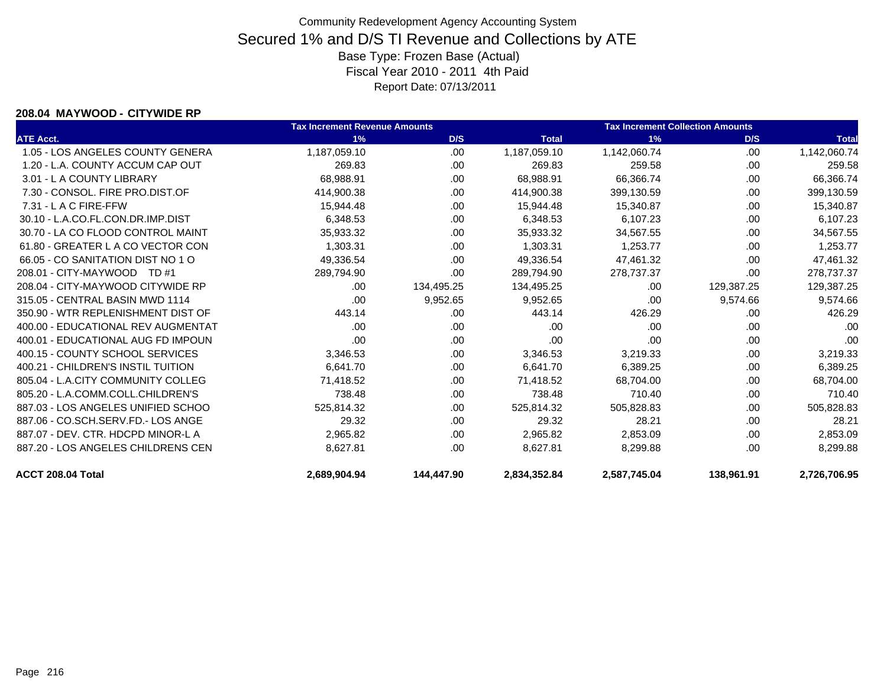#### **208.04 MAYWOOD - CITYWIDE RP**

|                                    | <b>Tax Increment Revenue Amounts</b> |            |              | <b>Tax Increment Collection Amounts</b> |            |              |
|------------------------------------|--------------------------------------|------------|--------------|-----------------------------------------|------------|--------------|
| <b>ATE Acct.</b>                   | 1%                                   | D/S        | <b>Total</b> | 1%                                      | D/S        | <b>Total</b> |
| 1.05 - LOS ANGELES COUNTY GENERA   | 1,187,059.10                         | .00        | 1,187,059.10 | 1,142,060.74                            | .00        | 1,142,060.74 |
| 1.20 - L.A. COUNTY ACCUM CAP OUT   | 269.83                               | .00.       | 269.83       | 259.58                                  | .00.       | 259.58       |
| 3.01 - L A COUNTY LIBRARY          | 68,988.91                            | .00        | 68,988.91    | 66,366.74                               | .00        | 66,366.74    |
| 7.30 - CONSOL, FIRE PRO.DIST.OF    | 414,900.38                           | .00.       | 414,900.38   | 399,130.59                              | .00        | 399,130.59   |
| 7.31 - L A C FIRE-FFW              | 15,944.48                            | .00        | 15,944.48    | 15,340.87                               | .00        | 15,340.87    |
| 30.10 - L.A.CO.FL.CON.DR.IMP.DIST  | 6,348.53                             | .00.       | 6,348.53     | 6,107.23                                | .00        | 6,107.23     |
| 30.70 - LA CO FLOOD CONTROL MAINT  | 35,933.32                            | .00        | 35,933.32    | 34,567.55                               | .00        | 34,567.55    |
| 61.80 - GREATER L A CO VECTOR CON  | 1,303.31                             | .00.       | 1,303.31     | 1,253.77                                | .00.       | 1,253.77     |
| 66.05 - CO SANITATION DIST NO 1 O  | 49,336.54                            | .00.       | 49,336.54    | 47,461.32                               | .00        | 47,461.32    |
| 208.01 - CITY-MAYWOOD TD #1        | 289,794.90                           | .00        | 289,794.90   | 278,737.37                              | .00        | 278,737.37   |
| 208.04 - CITY-MAYWOOD CITYWIDE RP  | .00                                  | 134,495.25 | 134,495.25   | .00                                     | 129,387.25 | 129,387.25   |
| 315.05 - CENTRAL BASIN MWD 1114    | .00                                  | 9,952.65   | 9,952.65     | .00                                     | 9,574.66   | 9,574.66     |
| 350.90 - WTR REPLENISHMENT DIST OF | 443.14                               | .00        | 443.14       | 426.29                                  | .00        | 426.29       |
| 400.00 - EDUCATIONAL REV AUGMENTAT | .00                                  | .00.       | .00          | .00                                     | .00        | .00          |
| 400.01 - EDUCATIONAL AUG FD IMPOUN | .00                                  | .00.       | .00          | .00                                     | .00        | .00          |
| 400.15 - COUNTY SCHOOL SERVICES    | 3,346.53                             | .00        | 3,346.53     | 3,219.33                                | .00        | 3,219.33     |
| 400.21 - CHILDREN'S INSTIL TUITION | 6,641.70                             | .00.       | 6,641.70     | 6,389.25                                | .00        | 6,389.25     |
| 805.04 - L.A.CITY COMMUNITY COLLEG | 71,418.52                            | .00        | 71,418.52    | 68,704.00                               | .00        | 68,704.00    |
| 805.20 - L.A.COMM.COLL.CHILDREN'S  | 738.48                               | .00        | 738.48       | 710.40                                  | .00        | 710.40       |
| 887.03 - LOS ANGELES UNIFIED SCHOO | 525,814.32                           | .00        | 525,814.32   | 505,828.83                              | .00        | 505,828.83   |
| 887.06 - CO.SCH.SERV.FD.- LOS ANGE | 29.32                                | .00        | 29.32        | 28.21                                   | .00        | 28.21        |
| 887.07 - DEV. CTR. HDCPD MINOR-L A | 2,965.82                             | .00        | 2,965.82     | 2,853.09                                | .00        | 2,853.09     |
| 887.20 - LOS ANGELES CHILDRENS CEN | 8,627.81                             | .00        | 8,627.81     | 8,299.88                                | .00        | 8,299.88     |
| ACCT 208.04 Total                  | 2.689.904.94                         | 144.447.90 | 2,834,352.84 | 2,587,745.04                            | 138,961.91 | 2,726,706.95 |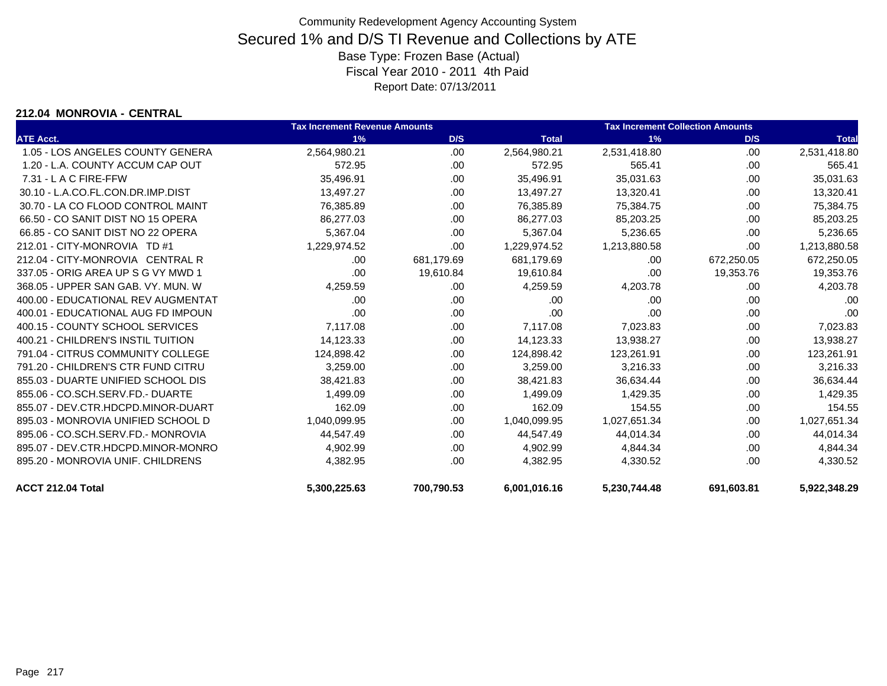### **212.04 MONROVIA - CENTRAL**

|                                    | <b>Tax Increment Revenue Amounts</b> |            |              | <b>Tax Increment Collection Amounts</b> |            |              |
|------------------------------------|--------------------------------------|------------|--------------|-----------------------------------------|------------|--------------|
| <b>ATE Acct.</b>                   | 1%                                   | D/S        | <b>Total</b> | 1%                                      | D/S        | <b>Total</b> |
| 1.05 - LOS ANGELES COUNTY GENERA   | 2,564,980.21                         | .00.       | 2,564,980.21 | 2,531,418.80                            | .00        | 2,531,418.80 |
| 1.20 - L.A. COUNTY ACCUM CAP OUT   | 572.95                               | .00.       | 572.95       | 565.41                                  | .00        | 565.41       |
| $7.31 - L$ A C FIRE-FFW            | 35,496.91                            | .00        | 35,496.91    | 35,031.63                               | .00        | 35,031.63    |
| 30.10 - L.A.CO.FL.CON.DR.IMP.DIST  | 13,497.27                            | .00        | 13,497.27    | 13,320.41                               | .00        | 13,320.41    |
| 30.70 - LA CO FLOOD CONTROL MAINT  | 76,385.89                            | .00.       | 76,385.89    | 75,384.75                               | .00        | 75,384.75    |
| 66.50 - CO SANIT DIST NO 15 OPERA  | 86,277.03                            | .00        | 86,277.03    | 85,203.25                               | .00        | 85,203.25    |
| 66.85 - CO SANIT DIST NO 22 OPERA  | 5,367.04                             | .00        | 5,367.04     | 5,236.65                                | .00        | 5,236.65     |
| 212.01 - CITY-MONROVIA TD #1       | 1,229,974.52                         | .00        | 1,229,974.52 | 1,213,880.58                            | .00        | 1,213,880.58 |
| 212.04 - CITY-MONROVIA CENTRAL R   | .00                                  | 681,179.69 | 681,179.69   | .00                                     | 672,250.05 | 672,250.05   |
| 337.05 - ORIG AREA UP S G VY MWD 1 | .00                                  | 19,610.84  | 19,610.84    | .00                                     | 19,353.76  | 19,353.76    |
| 368.05 - UPPER SAN GAB, VY, MUN, W | 4,259.59                             | .00        | 4,259.59     | 4,203.78                                | .00        | 4,203.78     |
| 400.00 - EDUCATIONAL REV AUGMENTAT | .00                                  | .00        | .00          | .00                                     | .00        | .00          |
| 400.01 - EDUCATIONAL AUG FD IMPOUN | .00                                  | .00.       | .00          | .00                                     | .00        | .00          |
| 400.15 - COUNTY SCHOOL SERVICES    | 7,117.08                             | .00.       | 7,117.08     | 7,023.83                                | .00        | 7,023.83     |
| 400.21 - CHILDREN'S INSTIL TUITION | 14,123.33                            | .00.       | 14,123.33    | 13,938.27                               | .00        | 13,938.27    |
| 791.04 - CITRUS COMMUNITY COLLEGE  | 124,898.42                           | .00        | 124,898.42   | 123,261.91                              | .00        | 123,261.91   |
| 791.20 - CHILDREN'S CTR FUND CITRU | 3,259.00                             | .00.       | 3,259.00     | 3,216.33                                | .00        | 3,216.33     |
| 855.03 - DUARTE UNIFIED SCHOOL DIS | 38,421.83                            | .00.       | 38,421.83    | 36,634.44                               | .00        | 36,634.44    |
| 855.06 - CO.SCH.SERV.FD.- DUARTE   | 1,499.09                             | .00        | 1,499.09     | 1,429.35                                | .00        | 1,429.35     |
| 855.07 - DEV.CTR.HDCPD.MINOR-DUART | 162.09                               | .00        | 162.09       | 154.55                                  | .00        | 154.55       |
| 895.03 - MONROVIA UNIFIED SCHOOL D | 1,040,099.95                         | .00        | 1,040,099.95 | 1,027,651.34                            | .00        | 1,027,651.34 |
| 895.06 - CO.SCH.SERV.FD.- MONROVIA | 44,547.49                            | .00.       | 44,547.49    | 44,014.34                               | .00        | 44,014.34    |
| 895.07 - DEV.CTR.HDCPD.MINOR-MONRO | 4,902.99                             | .00        | 4,902.99     | 4,844.34                                | .00        | 4,844.34     |
| 895.20 - MONROVIA UNIF, CHILDRENS  | 4,382.95                             | .00        | 4,382.95     | 4,330.52                                | .00        | 4,330.52     |
| ACCT 212.04 Total                  | 5,300,225.63                         | 700,790.53 | 6,001,016.16 | 5,230,744.48                            | 691,603.81 | 5,922,348.29 |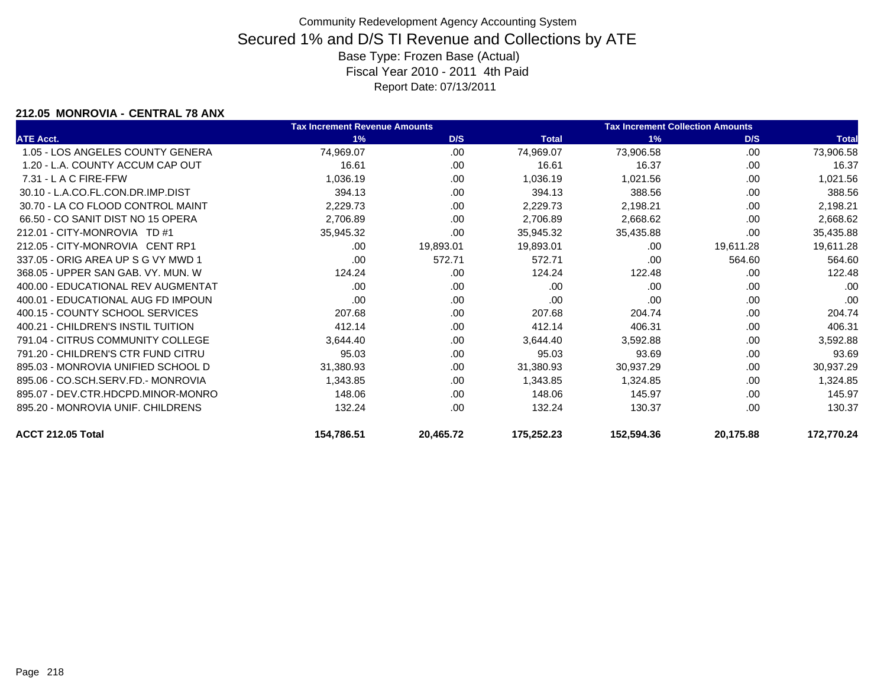### **212.05 MONROVIA - CENTRAL 78 ANX**

|                                    | <b>Tax Increment Revenue Amounts</b> |           |              | <b>Tax Increment Collection Amounts</b> |           |              |
|------------------------------------|--------------------------------------|-----------|--------------|-----------------------------------------|-----------|--------------|
| <b>ATE Acct.</b>                   | 1%                                   | D/S       | <b>Total</b> | 1%                                      | D/S       | <b>Total</b> |
| 1.05 - LOS ANGELES COUNTY GENERA   | 74,969.07                            | .00       | 74,969.07    | 73,906.58                               | .00       | 73,906.58    |
| 1.20 - L.A. COUNTY ACCUM CAP OUT   | 16.61                                | .00       | 16.61        | 16.37                                   | .00       | 16.37        |
| $7.31 - L$ A C FIRE-FFW            | 1,036.19                             | .00       | 1,036.19     | 1,021.56                                | .00       | 1,021.56     |
| 30.10 - L.A.CO.FL.CON.DR.IMP.DIST  | 394.13                               | .00       | 394.13       | 388.56                                  | .00       | 388.56       |
| 30.70 - LA CO FLOOD CONTROL MAINT  | 2,229.73                             | .00       | 2,229.73     | 2,198.21                                | .00       | 2,198.21     |
| 66.50 - CO SANIT DIST NO 15 OPERA  | 2,706.89                             | .00       | 2,706.89     | 2,668.62                                | .00       | 2,668.62     |
| 212.01 - CITY-MONROVIA TD #1       | 35,945.32                            | .00       | 35,945.32    | 35,435.88                               | .00       | 35,435.88    |
| 212.05 - CITY-MONROVIA CENT RP1    | .00                                  | 19,893.01 | 19,893.01    | .00                                     | 19,611.28 | 19,611.28    |
| 337.05 - ORIG AREA UP S G VY MWD 1 | .00                                  | 572.71    | 572.71       | .00                                     | 564.60    | 564.60       |
| 368.05 - UPPER SAN GAB, VY, MUN, W | 124.24                               | .00.      | 124.24       | 122.48                                  | .00       | 122.48       |
| 400.00 - EDUCATIONAL REV AUGMENTAT | .00                                  | .00       | .00          | .00                                     | .00       | .00          |
| 400.01 - EDUCATIONAL AUG FD IMPOUN | .00                                  | .00       | .00          | .00                                     | .00       | .00          |
| 400.15 - COUNTY SCHOOL SERVICES    | 207.68                               | .00       | 207.68       | 204.74                                  | .00       | 204.74       |
| 400.21 - CHILDREN'S INSTIL TUITION | 412.14                               | .00       | 412.14       | 406.31                                  | .00       | 406.31       |
| 791.04 - CITRUS COMMUNITY COLLEGE  | 3,644.40                             | .00       | 3,644.40     | 3,592.88                                | .00       | 3,592.88     |
| 791.20 - CHILDREN'S CTR FUND CITRU | 95.03                                | .00       | 95.03        | 93.69                                   | .00       | 93.69        |
| 895.03 - MONROVIA UNIFIED SCHOOL D | 31,380.93                            | .00       | 31,380.93    | 30,937.29                               | .00       | 30,937.29    |
| 895.06 - CO.SCH.SERV.FD.- MONROVIA | 1,343.85                             | .00       | 1,343.85     | 1,324.85                                | .00       | 1,324.85     |
| 895.07 - DEV.CTR.HDCPD.MINOR-MONRO | 148.06                               | .00.      | 148.06       | 145.97                                  | .00       | 145.97       |
| 895.20 - MONROVIA UNIF. CHILDRENS  | 132.24                               | .00       | 132.24       | 130.37                                  | .00       | 130.37       |
| <b>ACCT 212.05 Total</b>           | 154,786.51                           | 20,465.72 | 175,252.23   | 152,594.36                              | 20,175.88 | 172,770.24   |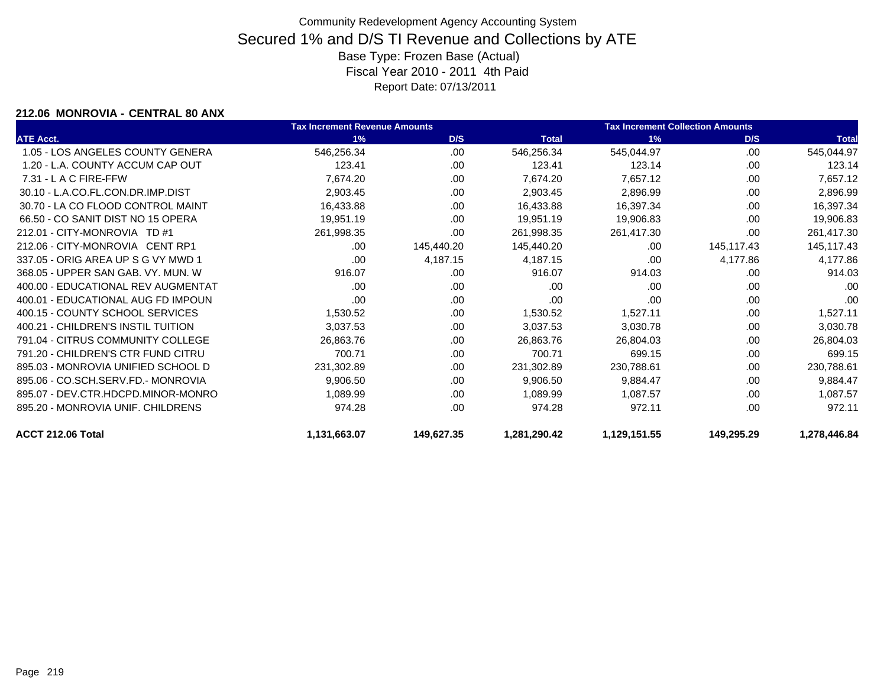### **212.06 MONROVIA - CENTRAL 80 ANX**

|                                    | <b>Tax Increment Revenue Amounts</b> |            |              | <b>Tax Increment Collection Amounts</b> |            |              |  |
|------------------------------------|--------------------------------------|------------|--------------|-----------------------------------------|------------|--------------|--|
| <b>ATE Acct.</b>                   | 1%                                   | D/S        | <b>Total</b> | 1%                                      | D/S        | <b>Total</b> |  |
| 1.05 - LOS ANGELES COUNTY GENERA   | 546,256.34                           | .00.       | 546,256.34   | 545,044.97                              | .00        | 545,044.97   |  |
| 1.20 - L.A. COUNTY ACCUM CAP OUT   | 123.41                               | .00        | 123.41       | 123.14                                  | .00        | 123.14       |  |
| $7.31 - L$ A C FIRE-FFW            | 7,674.20                             | .00        | 7,674.20     | 7,657.12                                | .00        | 7,657.12     |  |
| 30.10 - L.A.CO.FL.CON.DR.IMP.DIST  | 2,903.45                             | .00        | 2,903.45     | 2,896.99                                | .00        | 2,896.99     |  |
| 30.70 - LA CO FLOOD CONTROL MAINT  | 16,433.88                            | .00.       | 16,433.88    | 16,397.34                               | .00        | 16,397.34    |  |
| 66.50 - CO SANIT DIST NO 15 OPERA  | 19,951.19                            | .00        | 19,951.19    | 19,906.83                               | .00        | 19,906.83    |  |
| 212.01 - CITY-MONROVIA TD #1       | 261,998.35                           | .00        | 261,998.35   | 261,417.30                              | .00        | 261,417.30   |  |
| 212.06 - CITY-MONROVIA CENT RP1    | .00                                  | 145,440.20 | 145,440.20   | .00                                     | 145,117.43 | 145,117.43   |  |
| 337.05 - ORIG AREA UP S G VY MWD 1 | .00                                  | 4,187.15   | 4,187.15     | .00                                     | 4,177.86   | 4,177.86     |  |
| 368.05 - UPPER SAN GAB, VY, MUN, W | 916.07                               | .00.       | 916.07       | 914.03                                  | .00        | 914.03       |  |
| 400.00 - EDUCATIONAL REV AUGMENTAT | .00                                  | .00        | .00          | .00                                     | .00        | .00          |  |
| 400.01 - EDUCATIONAL AUG FD IMPOUN | .00                                  | .00.       | .00          | .00                                     | .00        | .00          |  |
| 400.15 - COUNTY SCHOOL SERVICES    | 1,530.52                             | .00.       | 1,530.52     | 1,527.11                                | .00        | 1,527.11     |  |
| 400.21 - CHILDREN'S INSTIL TUITION | 3,037.53                             | .00        | 3,037.53     | 3,030.78                                | .00        | 3,030.78     |  |
| 791.04 - CITRUS COMMUNITY COLLEGE  | 26,863.76                            | .00.       | 26,863.76    | 26,804.03                               | .00        | 26,804.03    |  |
| 791.20 - CHILDREN'S CTR FUND CITRU | 700.71                               | .00        | 700.71       | 699.15                                  | .00        | 699.15       |  |
| 895.03 - MONROVIA UNIFIED SCHOOL D | 231,302.89                           | .00.       | 231,302.89   | 230,788.61                              | .00        | 230,788.61   |  |
| 895.06 - CO.SCH.SERV.FD.- MONROVIA | 9,906.50                             | .00        | 9,906.50     | 9,884.47                                | .00        | 9,884.47     |  |
| 895.07 - DEV.CTR.HDCPD.MINOR-MONRO | 1,089.99                             | .00        | 1,089.99     | 1,087.57                                | .00        | 1,087.57     |  |
| 895.20 - MONROVIA UNIF, CHILDRENS  | 974.28                               | .00        | 974.28       | 972.11                                  | .00        | 972.11       |  |
| ACCT 212.06 Total                  | 1,131,663.07                         | 149,627.35 | 1,281,290.42 | 1,129,151.55                            | 149,295.29 | 1,278,446.84 |  |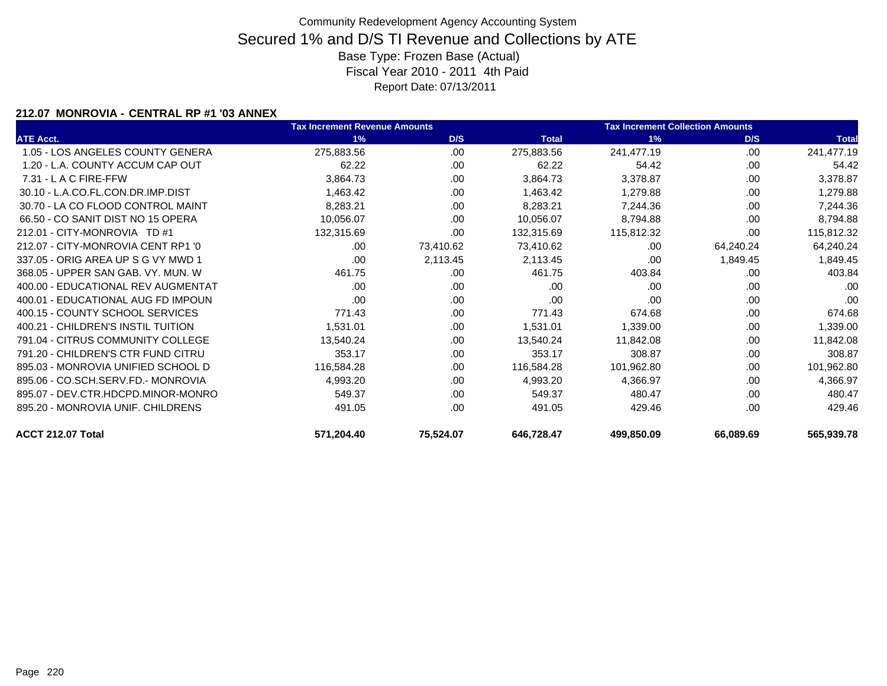### **212.07 MONROVIA - CENTRAL RP #1 '03 ANNEX**

|                                    | <b>Tax Increment Revenue Amounts</b> |           |              | <b>Tax Increment Collection Amounts</b> |           |              |
|------------------------------------|--------------------------------------|-----------|--------------|-----------------------------------------|-----------|--------------|
| <b>ATE Acct.</b>                   | 1%                                   | D/S       | <b>Total</b> | 1%                                      | D/S       | <b>Total</b> |
| 1.05 - LOS ANGELES COUNTY GENERA   | 275,883.56                           | .00       | 275,883.56   | 241,477.19                              | .00       | 241,477.19   |
| 1.20 - L.A. COUNTY ACCUM CAP OUT   | 62.22                                | .00       | 62.22        | 54.42                                   | .00       | 54.42        |
| $7.31 - L$ A C FIRE-FFW            | 3,864.73                             | .00.      | 3,864.73     | 3,378.87                                | .00.      | 3,378.87     |
| 30.10 - L.A.CO.FL.CON.DR.IMP.DIST  | 1,463.42                             | .00       | 1,463.42     | 1,279.88                                | .00.      | 1,279.88     |
| 30.70 - LA CO FLOOD CONTROL MAINT  | 8,283.21                             | .00       | 8,283.21     | 7,244.36                                | .00.      | 7,244.36     |
| 66.50 - CO SANIT DIST NO 15 OPERA  | 10,056.07                            | .00       | 10,056.07    | 8,794.88                                | .00       | 8,794.88     |
| 212.01 - CITY-MONROVIA TD #1       | 132,315.69                           | .00.      | 132,315.69   | 115,812.32                              | .00.      | 115,812.32   |
| 212.07 - CITY-MONROVIA CENT RP1 '0 | .00                                  | 73,410.62 | 73,410.62    | .00                                     | 64,240.24 | 64,240.24    |
| 337.05 - ORIG AREA UP S G VY MWD 1 | .00                                  | 2,113.45  | 2,113.45     | .00                                     | 1,849.45  | 1,849.45     |
| 368.05 - UPPER SAN GAB, VY, MUN, W | 461.75                               | .00.      | 461.75       | 403.84                                  | .00.      | 403.84       |
| 400.00 - EDUCATIONAL REV AUGMENTAT | .00.                                 | .00       | .00          | .00                                     | .00       | .00          |
| 400.01 - EDUCATIONAL AUG FD IMPOUN | .00.                                 | .00.      | .00          | .00                                     | .00       | .00          |
| 400.15 - COUNTY SCHOOL SERVICES    | 771.43                               | .00.      | 771.43       | 674.68                                  | .00       | 674.68       |
| 400.21 - CHILDREN'S INSTIL TUITION | 1,531.01                             | .00       | 1,531.01     | 1,339.00                                | .00.      | 1,339.00     |
| 791.04 - CITRUS COMMUNITY COLLEGE  | 13,540.24                            | .00.      | 13,540.24    | 11,842.08                               | .00       | 11,842.08    |
| 791.20 - CHILDREN'S CTR FUND CITRU | 353.17                               | .00       | 353.17       | 308.87                                  | .00       | 308.87       |
| 895.03 - MONROVIA UNIFIED SCHOOL D | 116,584.28                           | .00       | 116,584.28   | 101,962.80                              | .00       | 101,962.80   |
| 895.06 - CO.SCH.SERV.FD.- MONROVIA | 4,993.20                             | .00       | 4,993.20     | 4,366.97                                | .00       | 4,366.97     |
| 895.07 - DEV.CTR.HDCPD.MINOR-MONRO | 549.37                               | .00       | 549.37       | 480.47                                  | .00.      | 480.47       |
| 895.20 - MONROVIA UNIF. CHILDRENS  | 491.05                               | .00.      | 491.05       | 429.46                                  | .00       | 429.46       |
| ACCT 212.07 Total                  | 571,204.40                           | 75,524.07 | 646,728.47   | 499,850.09                              | 66,089.69 | 565,939.78   |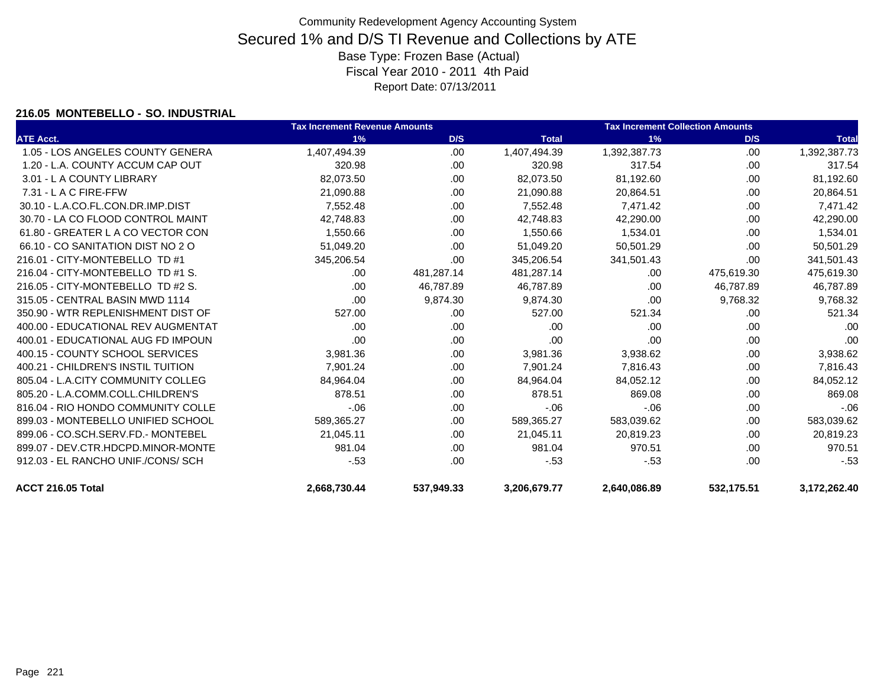### **216.05 MONTEBELLO - SO. INDUSTRIAL**

|                                    | <b>Tax Increment Revenue Amounts</b> | <b>Tax Increment Collection Amounts</b> |              |              |            |              |
|------------------------------------|--------------------------------------|-----------------------------------------|--------------|--------------|------------|--------------|
| <b>ATE Acct.</b>                   | 1%                                   | D/S                                     | <b>Total</b> | 1%           | D/S        | <b>Total</b> |
| 1.05 - LOS ANGELES COUNTY GENERA   | 1,407,494.39                         | .00                                     | 1,407,494.39 | 1,392,387.73 | .00        | 1,392,387.73 |
| 1.20 - L.A. COUNTY ACCUM CAP OUT   | 320.98                               | .00                                     | 320.98       | 317.54       | .00        | 317.54       |
| 3.01 - L A COUNTY LIBRARY          | 82,073.50                            | .00                                     | 82,073.50    | 81,192.60    | .00        | 81,192.60    |
| 7.31 - L A C FIRE-FFW              | 21,090.88                            | .00                                     | 21,090.88    | 20,864.51    | .00        | 20,864.51    |
| 30.10 - L.A.CO.FL.CON.DR.IMP.DIST  | 7,552.48                             | .00                                     | 7,552.48     | 7,471.42     | .00        | 7,471.42     |
| 30.70 - LA CO FLOOD CONTROL MAINT  | 42,748.83                            | .00                                     | 42,748.83    | 42,290.00    | .00        | 42,290.00    |
| 61.80 - GREATER L A CO VECTOR CON  | 1,550.66                             | .00                                     | 1,550.66     | 1,534.01     | .00        | 1,534.01     |
| 66.10 - CO SANITATION DIST NO 2 O  | 51,049.20                            | .00                                     | 51,049.20    | 50,501.29    | .00        | 50,501.29    |
| 216.01 - CITY-MONTEBELLO TD #1     | 345,206.54                           | .00                                     | 345,206.54   | 341,501.43   | .00        | 341,501.43   |
| 216.04 - CITY-MONTEBELLO TD #1 S.  | .00.                                 | 481,287.14                              | 481,287.14   | .00.         | 475,619.30 | 475,619.30   |
| 216.05 - CITY-MONTEBELLO TD #2 S.  | .00.                                 | 46,787.89                               | 46,787.89    | .00          | 46,787.89  | 46,787.89    |
| 315.05 - CENTRAL BASIN MWD 1114    | .00.                                 | 9,874.30                                | 9,874.30     | .00          | 9,768.32   | 9,768.32     |
| 350.90 - WTR REPLENISHMENT DIST OF | 527.00                               | .00                                     | 527.00       | 521.34       | .00        | 521.34       |
| 400.00 - EDUCATIONAL REV AUGMENTAT | .00                                  | .00                                     | .00          | .00          | .00        | .00          |
| 400.01 - EDUCATIONAL AUG FD IMPOUN | .00                                  | .00                                     | .00          | .00          | .00        | .00          |
| 400.15 - COUNTY SCHOOL SERVICES    | 3,981.36                             | .00                                     | 3,981.36     | 3,938.62     | .00        | 3,938.62     |
| 400.21 - CHILDREN'S INSTIL TUITION | 7,901.24                             | .00                                     | 7,901.24     | 7,816.43     | .00        | 7,816.43     |
| 805.04 - L.A.CITY COMMUNITY COLLEG | 84,964.04                            | .00                                     | 84,964.04    | 84,052.12    | .00        | 84,052.12    |
| 805.20 - L.A.COMM.COLL.CHILDREN'S  | 878.51                               | .00                                     | 878.51       | 869.08       | .00        | 869.08       |
| 816.04 - RIO HONDO COMMUNITY COLLE | $-06$                                | .00                                     | $-06$        | $-06$        | .00        | $-06$        |
| 899.03 - MONTEBELLO UNIFIED SCHOOL | 589,365.27                           | .00                                     | 589,365.27   | 583,039.62   | .00        | 583,039.62   |
| 899.06 - CO.SCH.SERV.FD.- MONTEBEL | 21,045.11                            | .00                                     | 21,045.11    | 20,819.23    | .00        | 20,819.23    |
| 899.07 - DEV.CTR.HDCPD.MINOR-MONTE | 981.04                               | .00                                     | 981.04       | 970.51       | .00        | 970.51       |
| 912.03 - EL RANCHO UNIF./CONS/ SCH | $-53$                                | .00                                     | $-53$        | $-53$        | .00        | $-53$        |
| ACCT 216.05 Total                  | 2,668,730.44                         | 537,949.33                              | 3,206,679.77 | 2,640,086.89 | 532,175.51 | 3,172,262.40 |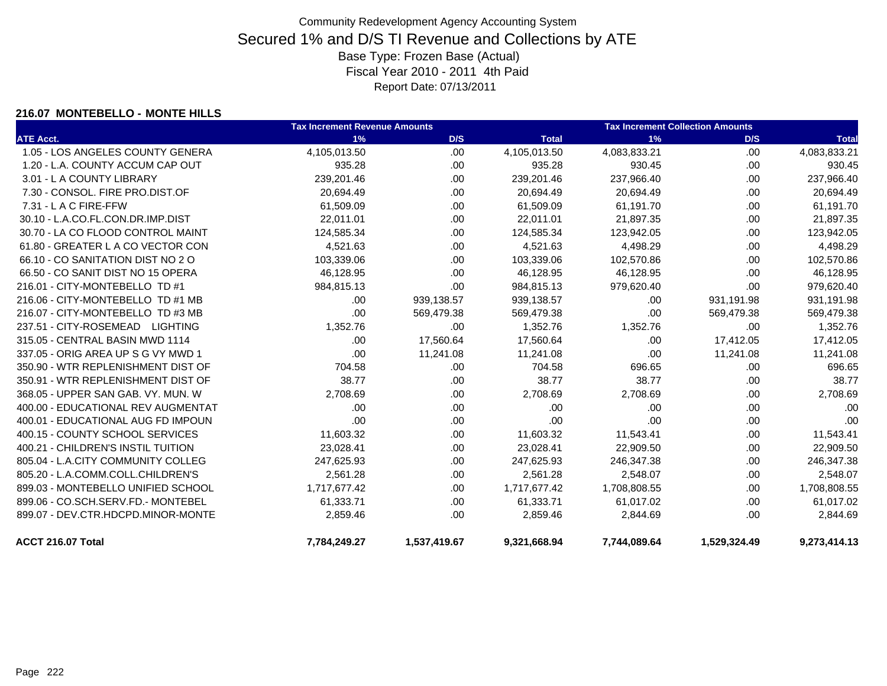#### **216.07 MONTEBELLO - MONTE HILLS**

|                                    | <b>Tax Increment Revenue Amounts</b> |              |              | <b>Tax Increment Collection Amounts</b> |              |              |  |
|------------------------------------|--------------------------------------|--------------|--------------|-----------------------------------------|--------------|--------------|--|
| <b>ATE Acct.</b>                   | 1%                                   | D/S          | <b>Total</b> | 1%                                      | D/S          | <b>Total</b> |  |
| 1.05 - LOS ANGELES COUNTY GENERA   | 4,105,013.50                         | .00          | 4,105,013.50 | 4,083,833.21                            | .00          | 4,083,833.21 |  |
| 1.20 - L.A. COUNTY ACCUM CAP OUT   | 935.28                               | .00          | 935.28       | 930.45                                  | .00.         | 930.45       |  |
| 3.01 - L A COUNTY LIBRARY          | 239,201.46                           | .00          | 239,201.46   | 237,966.40                              | .00.         | 237,966.40   |  |
| 7.30 - CONSOL. FIRE PRO.DIST.OF    | 20,694.49                            | .00          | 20,694.49    | 20,694.49                               | .00          | 20,694.49    |  |
| 7.31 - L A C FIRE-FFW              | 61,509.09                            | .00          | 61,509.09    | 61,191.70                               | .00.         | 61,191.70    |  |
| 30.10 - L.A.CO.FL.CON.DR.IMP.DIST  | 22,011.01                            | .00          | 22,011.01    | 21,897.35                               | .00.         | 21,897.35    |  |
| 30.70 - LA CO FLOOD CONTROL MAINT  | 124,585.34                           | .00          | 124,585.34   | 123,942.05                              | .00          | 123,942.05   |  |
| 61.80 - GREATER L A CO VECTOR CON  | 4,521.63                             | .00          | 4,521.63     | 4,498.29                                | .00.         | 4,498.29     |  |
| 66.10 - CO SANITATION DIST NO 2 O  | 103,339.06                           | .00          | 103,339.06   | 102,570.86                              | .00          | 102,570.86   |  |
| 66.50 - CO SANIT DIST NO 15 OPERA  | 46,128.95                            | .00          | 46,128.95    | 46,128.95                               | .00.         | 46,128.95    |  |
| 216.01 - CITY-MONTEBELLO TD #1     | 984,815.13                           | .00          | 984,815.13   | 979,620.40                              | .00          | 979,620.40   |  |
| 216.06 - CITY-MONTEBELLO TD #1 MB  | .00.                                 | 939,138.57   | 939,138.57   | .00                                     | 931,191.98   | 931,191.98   |  |
| 216.07 - CITY-MONTEBELLO TD #3 MB  | .00                                  | 569,479.38   | 569,479.38   | .00                                     | 569,479.38   | 569,479.38   |  |
| 237.51 - CITY-ROSEMEAD LIGHTING    | 1,352.76                             | .00          | 1,352.76     | 1,352.76                                | .00.         | 1,352.76     |  |
| 315.05 - CENTRAL BASIN MWD 1114    | .00.                                 | 17,560.64    | 17,560.64    | .00                                     | 17,412.05    | 17,412.05    |  |
| 337.05 - ORIG AREA UP S G VY MWD 1 | .00                                  | 11,241.08    | 11,241.08    | .00                                     | 11,241.08    | 11,241.08    |  |
| 350.90 - WTR REPLENISHMENT DIST OF | 704.58                               | .00.         | 704.58       | 696.65                                  | .00.         | 696.65       |  |
| 350.91 - WTR REPLENISHMENT DIST OF | 38.77                                | .00          | 38.77        | 38.77                                   | .00          | 38.77        |  |
| 368.05 - UPPER SAN GAB. VY. MUN. W | 2,708.69                             | .00          | 2,708.69     | 2,708.69                                | .00.         | 2,708.69     |  |
| 400.00 - EDUCATIONAL REV AUGMENTAT | .00                                  | .00          | .00          | .00                                     | .00.         | .00          |  |
| 400.01 - EDUCATIONAL AUG FD IMPOUN | .00                                  | .00          | .00          | .00                                     | .00          | .00          |  |
| 400.15 - COUNTY SCHOOL SERVICES    | 11,603.32                            | .00          | 11,603.32    | 11,543.41                               | .00.         | 11,543.41    |  |
| 400.21 - CHILDREN'S INSTIL TUITION | 23,028.41                            | .00.         | 23,028.41    | 22,909.50                               | .00.         | 22,909.50    |  |
| 805.04 - L.A.CITY COMMUNITY COLLEG | 247,625.93                           | .00          | 247,625.93   | 246,347.38                              | .00.         | 246,347.38   |  |
| 805.20 - L.A.COMM.COLL.CHILDREN'S  | 2,561.28                             | .00          | 2,561.28     | 2,548.07                                | .00          | 2,548.07     |  |
| 899.03 - MONTEBELLO UNIFIED SCHOOL | 1,717,677.42                         | .00          | 1,717,677.42 | 1,708,808.55                            | .00.         | 1,708,808.55 |  |
| 899.06 - CO.SCH.SERV.FD.- MONTEBEL | 61,333.71                            | .00          | 61,333.71    | 61,017.02                               | .00.         | 61,017.02    |  |
| 899.07 - DEV.CTR.HDCPD.MINOR-MONTE | 2,859.46                             | .00          | 2,859.46     | 2,844.69                                | .00.         | 2,844.69     |  |
| ACCT 216.07 Total                  | 7,784,249.27                         | 1,537,419.67 | 9,321,668.94 | 7,744,089.64                            | 1,529,324.49 | 9,273,414.13 |  |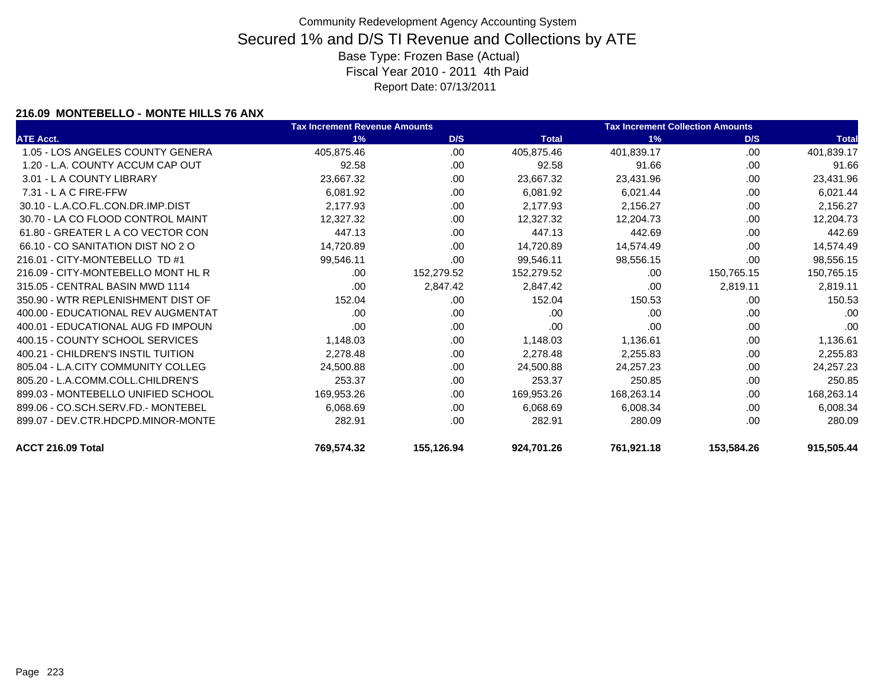### **216.09 MONTEBELLO - MONTE HILLS 76 ANX**

|                                    | <b>Tax Increment Revenue Amounts</b> |            |              | <b>Tax Increment Collection Amounts</b> |            |              |
|------------------------------------|--------------------------------------|------------|--------------|-----------------------------------------|------------|--------------|
| <b>ATE Acct.</b>                   | 1%                                   | D/S        | <b>Total</b> | 1%                                      | D/S        | <b>Total</b> |
| 1.05 - LOS ANGELES COUNTY GENERA   | 405,875.46                           | .00.       | 405,875.46   | 401,839.17                              | .00.       | 401,839.17   |
| 1.20 - L.A. COUNTY ACCUM CAP OUT   | 92.58                                | .00        | 92.58        | 91.66                                   | .00        | 91.66        |
| 3.01 - L A COUNTY LIBRARY          | 23,667.32                            | .00        | 23,667.32    | 23,431.96                               | .00        | 23,431.96    |
| $7.31 - L$ A C FIRE-FFW            | 6,081.92                             | .00        | 6,081.92     | 6,021.44                                | .00        | 6,021.44     |
| 30.10 - L.A.CO.FL.CON.DR.IMP.DIST  | 2,177.93                             | .00        | 2,177.93     | 2,156.27                                | .00        | 2,156.27     |
| 30.70 - LA CO FLOOD CONTROL MAINT  | 12,327.32                            | .00        | 12,327.32    | 12,204.73                               | .00        | 12,204.73    |
| 61.80 - GREATER L A CO VECTOR CON  | 447.13                               | .00        | 447.13       | 442.69                                  | .00        | 442.69       |
| 66.10 - CO SANITATION DIST NO 2 O  | 14,720.89                            | .00.       | 14,720.89    | 14,574.49                               | .00        | 14,574.49    |
| 216.01 - CITY-MONTEBELLO TD #1     | 99,546.11                            | .00.       | 99,546.11    | 98,556.15                               | .00.       | 98,556.15    |
| 216.09 - CITY-MONTEBELLO MONT HL R | .00.                                 | 152,279.52 | 152,279.52   | .00                                     | 150,765.15 | 150,765.15   |
| 315.05 - CENTRAL BASIN MWD 1114    | .00                                  | 2,847.42   | 2,847.42     | .00                                     | 2,819.11   | 2,819.11     |
| 350.90 - WTR REPLENISHMENT DIST OF | 152.04                               | .00        | 152.04       | 150.53                                  | .00        | 150.53       |
| 400.00 - EDUCATIONAL REV AUGMENTAT | .00                                  | .00        | .00          | .00.                                    | .00        | .00          |
| 400.01 - EDUCATIONAL AUG FD IMPOUN | .00                                  | .00        | .00          | .00                                     | .00        | .00          |
| 400.15 - COUNTY SCHOOL SERVICES    | 1,148.03                             | .00        | 1,148.03     | 1,136.61                                | .00        | 1,136.61     |
| 400.21 - CHILDREN'S INSTIL TUITION | 2,278.48                             | .00        | 2,278.48     | 2,255.83                                | .00        | 2,255.83     |
| 805.04 - L.A.CITY COMMUNITY COLLEG | 24,500.88                            | .00        | 24,500.88    | 24,257.23                               | .00        | 24,257.23    |
| 805.20 - L.A.COMM.COLL.CHILDREN'S  | 253.37                               | .00        | 253.37       | 250.85                                  | .00        | 250.85       |
| 899.03 - MONTEBELLO UNIFIED SCHOOL | 169,953.26                           | .00        | 169,953.26   | 168,263.14                              | .00        | 168,263.14   |
| 899.06 - CO.SCH.SERV.FD.- MONTEBEL | 6,068.69                             | .00        | 6,068.69     | 6,008.34                                | .00        | 6,008.34     |
| 899.07 - DEV.CTR.HDCPD.MINOR-MONTE | 282.91                               | .00        | 282.91       | 280.09                                  | .00        | 280.09       |
| ACCT 216.09 Total                  | 769,574.32                           | 155,126.94 | 924,701.26   | 761,921.18                              | 153,584.26 | 915,505.44   |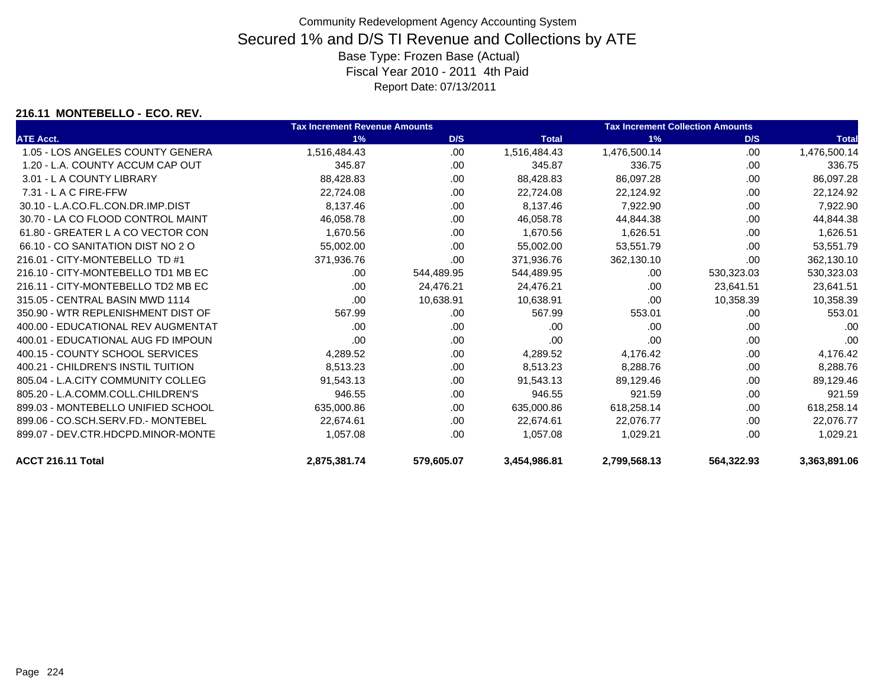### **216.11 MONTEBELLO - ECO. REV.**

|                                    | <b>Tax Increment Revenue Amounts</b> |            |              | <b>Tax Increment Collection Amounts</b> |            |              |  |
|------------------------------------|--------------------------------------|------------|--------------|-----------------------------------------|------------|--------------|--|
| <b>ATE Acct.</b>                   | 1%                                   | D/S        | <b>Total</b> | 1%                                      | D/S        | <b>Total</b> |  |
| 1.05 - LOS ANGELES COUNTY GENERA   | 1,516,484.43                         | .00        | 1,516,484.43 | 1,476,500.14                            | .00        | 1,476,500.14 |  |
| 1.20 - L.A. COUNTY ACCUM CAP OUT   | 345.87                               | .00.       | 345.87       | 336.75                                  | .00        | 336.75       |  |
| 3.01 - L A COUNTY LIBRARY          | 88,428.83                            | .00        | 88,428.83    | 86,097.28                               | .00        | 86,097.28    |  |
| 7.31 - L A C FIRE-FFW              | 22,724.08                            | .00        | 22,724.08    | 22,124.92                               | .00        | 22,124.92    |  |
| 30.10 - L.A.CO.FL.CON.DR.IMP.DIST  | 8,137.46                             | .00        | 8,137.46     | 7,922.90                                | .00        | 7,922.90     |  |
| 30.70 - LA CO FLOOD CONTROL MAINT  | 46.058.78                            | .00        | 46,058.78    | 44,844.38                               | .00        | 44,844.38    |  |
| 61.80 - GREATER L A CO VECTOR CON  | 1,670.56                             | .00        | 1,670.56     | 1,626.51                                | .00        | 1,626.51     |  |
| 66.10 - CO SANITATION DIST NO 2 O  | 55.002.00                            | .00        | 55.002.00    | 53.551.79                               | .00        | 53,551.79    |  |
| 216.01 - CITY-MONTEBELLO TD #1     | 371,936.76                           | .00        | 371,936.76   | 362,130.10                              | .00        | 362,130.10   |  |
| 216.10 - CITY-MONTEBELLO TD1 MB EC | .00                                  | 544,489.95 | 544,489.95   | .00                                     | 530,323.03 | 530,323.03   |  |
| 216.11 - CITY-MONTEBELLO TD2 MB EC | .00                                  | 24,476.21  | 24,476.21    | .00                                     | 23,641.51  | 23,641.51    |  |
| 315.05 - CENTRAL BASIN MWD 1114    | .00                                  | 10,638.91  | 10,638.91    | .00                                     | 10,358.39  | 10,358.39    |  |
| 350.90 - WTR REPLENISHMENT DIST OF | 567.99                               | .00        | 567.99       | 553.01                                  | .00        | 553.01       |  |
| 400.00 - EDUCATIONAL REV AUGMENTAT | .00                                  | .00        | .00          | .00                                     | .00        | .00          |  |
| 400.01 - EDUCATIONAL AUG FD IMPOUN | .00                                  | .00        | .00          | .00                                     | .00        | .00          |  |
| 400.15 - COUNTY SCHOOL SERVICES    | 4,289.52                             | .00        | 4,289.52     | 4,176.42                                | .00        | 4,176.42     |  |
| 400.21 - CHILDREN'S INSTIL TUITION | 8,513.23                             | .00.       | 8,513.23     | 8,288.76                                | .00        | 8,288.76     |  |
| 805.04 - L.A.CITY COMMUNITY COLLEG | 91,543.13                            | .00        | 91,543.13    | 89,129.46                               | .00        | 89,129.46    |  |
| 805.20 - L.A.COMM.COLL.CHILDREN'S  | 946.55                               | .00        | 946.55       | 921.59                                  | .00        | 921.59       |  |
| 899.03 - MONTEBELLO UNIFIED SCHOOL | 635,000.86                           | .00        | 635,000.86   | 618,258.14                              | .00        | 618,258.14   |  |
| 899.06 - CO.SCH.SERV.FD.- MONTEBEL | 22,674.61                            | .00        | 22,674.61    | 22,076.77                               | .00        | 22,076.77    |  |
| 899.07 - DEV.CTR.HDCPD.MINOR-MONTE | 1,057.08                             | .00        | 1,057.08     | 1,029.21                                | .00        | 1,029.21     |  |
| ACCT 216.11 Total                  | 2,875,381.74                         | 579,605.07 | 3,454,986.81 | 2,799,568.13                            | 564,322.93 | 3,363,891.06 |  |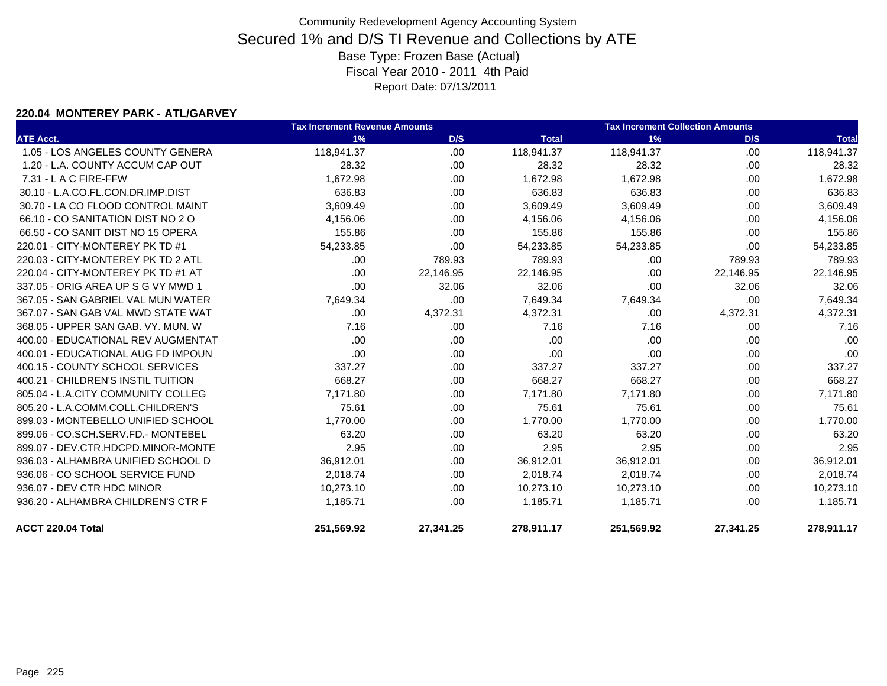### **220.04 MONTEREY PARK - ATL/GARVEY**

|                                    | <b>Tax Increment Revenue Amounts</b> |           |              | <b>Tax Increment Collection Amounts</b> |           |              |  |
|------------------------------------|--------------------------------------|-----------|--------------|-----------------------------------------|-----------|--------------|--|
| <b>ATE Acct.</b>                   | 1%                                   | D/S       | <b>Total</b> | 1%                                      | D/S       | <b>Total</b> |  |
| 1.05 - LOS ANGELES COUNTY GENERA   | 118,941.37                           | .00       | 118,941.37   | 118,941.37                              | .00       | 118,941.37   |  |
| 1.20 - L.A. COUNTY ACCUM CAP OUT   | 28.32                                | .00       | 28.32        | 28.32                                   | .00.      | 28.32        |  |
| $7.31 - L$ A C FIRE-FFW            | 1,672.98                             | .00       | 1,672.98     | 1,672.98                                | .00       | 1,672.98     |  |
| 30.10 - L.A.CO.FL.CON.DR.IMP.DIST  | 636.83                               | .00.      | 636.83       | 636.83                                  | .00.      | 636.83       |  |
| 30.70 - LA CO FLOOD CONTROL MAINT  | 3,609.49                             | .00       | 3,609.49     | 3,609.49                                | .00.      | 3,609.49     |  |
| 66.10 - CO SANITATION DIST NO 2 O  | 4,156.06                             | .00       | 4,156.06     | 4,156.06                                | .00       | 4,156.06     |  |
| 66.50 - CO SANIT DIST NO 15 OPERA  | 155.86                               | .00       | 155.86       | 155.86                                  | .00.      | 155.86       |  |
| 220.01 - CITY-MONTEREY PK TD #1    | 54,233.85                            | .00       | 54,233.85    | 54,233.85                               | .00       | 54,233.85    |  |
| 220.03 - CITY-MONTEREY PK TD 2 ATL | .00.                                 | 789.93    | 789.93       | .00                                     | 789.93    | 789.93       |  |
| 220.04 - CITY-MONTEREY PK TD #1 AT | .00                                  | 22,146.95 | 22,146.95    | .00                                     | 22,146.95 | 22,146.95    |  |
| 337.05 - ORIG AREA UP S G VY MWD 1 | .00                                  | 32.06     | 32.06        | .00                                     | 32.06     | 32.06        |  |
| 367.05 - SAN GABRIEL VAL MUN WATER | 7,649.34                             | .00       | 7,649.34     | 7,649.34                                | .00       | 7,649.34     |  |
| 367.07 - SAN GAB VAL MWD STATE WAT | .00.                                 | 4,372.31  | 4,372.31     | .00                                     | 4,372.31  | 4,372.31     |  |
| 368.05 - UPPER SAN GAB, VY, MUN, W | 7.16                                 | .00       | 7.16         | 7.16                                    | .00.      | 7.16         |  |
| 400.00 - EDUCATIONAL REV AUGMENTAT | .00                                  | .00       | .00          | .00                                     | .00       | .00          |  |
| 400.01 - EDUCATIONAL AUG FD IMPOUN | .00.                                 | .00       | .00          | .00                                     | .00       | .00          |  |
| 400.15 - COUNTY SCHOOL SERVICES    | 337.27                               | .00       | 337.27       | 337.27                                  | .00       | 337.27       |  |
| 400.21 - CHILDREN'S INSTIL TUITION | 668.27                               | .00       | 668.27       | 668.27                                  | .00.      | 668.27       |  |
| 805.04 - L.A.CITY COMMUNITY COLLEG | 7,171.80                             | .00       | 7,171.80     | 7,171.80                                | .00.      | 7,171.80     |  |
| 805.20 - L.A.COMM.COLL.CHILDREN'S  | 75.61                                | .00       | 75.61        | 75.61                                   | .00       | 75.61        |  |
| 899.03 - MONTEBELLO UNIFIED SCHOOL | 1,770.00                             | .00       | 1,770.00     | 1,770.00                                | .00       | 1,770.00     |  |
| 899.06 - CO.SCH.SERV.FD.- MONTEBEL | 63.20                                | .00       | 63.20        | 63.20                                   | .00       | 63.20        |  |
| 899.07 - DEV.CTR.HDCPD.MINOR-MONTE | 2.95                                 | .00       | 2.95         | 2.95                                    | .00       | 2.95         |  |
| 936.03 - ALHAMBRA UNIFIED SCHOOL D | 36,912.01                            | .00       | 36,912.01    | 36,912.01                               | .00       | 36,912.01    |  |
| 936.06 - CO SCHOOL SERVICE FUND    | 2,018.74                             | .00       | 2,018.74     | 2,018.74                                | .00.      | 2,018.74     |  |
| 936.07 - DEV CTR HDC MINOR         | 10,273.10                            | .00       | 10,273.10    | 10,273.10                               | .00.      | 10,273.10    |  |
| 936.20 - ALHAMBRA CHILDREN'S CTR F | 1,185.71                             | .00.      | 1,185.71     | 1,185.71                                | .00.      | 1,185.71     |  |
| ACCT 220.04 Total                  | 251,569.92                           | 27,341.25 | 278,911.17   | 251,569.92                              | 27,341.25 | 278,911.17   |  |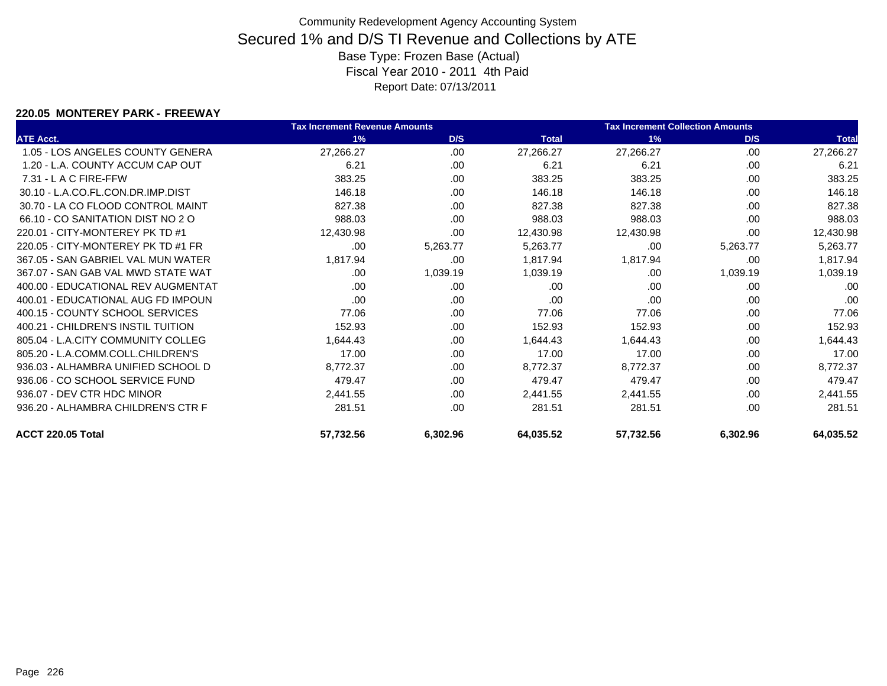### **220.05 MONTEREY PARK - FREEWAY**

|                                    | <b>Tax Increment Revenue Amounts</b> |          |              | <b>Tax Increment Collection Amounts</b> |          |              |
|------------------------------------|--------------------------------------|----------|--------------|-----------------------------------------|----------|--------------|
| <b>ATE Acct.</b>                   | 1%                                   | D/S      | <b>Total</b> | 1%                                      | D/S      | <b>Total</b> |
| 1.05 - LOS ANGELES COUNTY GENERA   | 27,266.27                            | .00      | 27,266.27    | 27,266.27                               | .00      | 27,266.27    |
| 1.20 - L.A. COUNTY ACCUM CAP OUT   | 6.21                                 | .00      | 6.21         | 6.21                                    | .00      | 6.21         |
| $7.31 - L$ A C FIRE-FFW            | 383.25                               | .00      | 383.25       | 383.25                                  | .00      | 383.25       |
| 30.10 - L.A.CO.FL.CON.DR.IMP.DIST  | 146.18                               | .00      | 146.18       | 146.18                                  | .00      | 146.18       |
| 30.70 - LA CO FLOOD CONTROL MAINT  | 827.38                               | .00      | 827.38       | 827.38                                  | .00      | 827.38       |
| 66.10 - CO SANITATION DIST NO 2 O  | 988.03                               | .00      | 988.03       | 988.03                                  | .00      | 988.03       |
| 220.01 - CITY-MONTEREY PK TD #1    | 12,430.98                            | .00      | 12,430.98    | 12,430.98                               | .00.     | 12,430.98    |
| 220.05 - CITY-MONTEREY PK TD #1 FR | .00.                                 | 5,263.77 | 5,263.77     | .00                                     | 5,263.77 | 5,263.77     |
| 367.05 - SAN GABRIEL VAL MUN WATER | 1,817.94                             | .00      | 1,817.94     | 1,817.94                                | .00      | 1,817.94     |
| 367.07 - SAN GAB VAL MWD STATE WAT | .00.                                 | 1,039.19 | 1,039.19     | .00                                     | 1,039.19 | 1,039.19     |
| 400.00 - EDUCATIONAL REV AUGMENTAT | .00.                                 | .00      | .00          | .00                                     | .00      | .00          |
| 400.01 - EDUCATIONAL AUG FD IMPOUN | .00.                                 | .00      | .00          | .00                                     | .00      | .00          |
| 400.15 - COUNTY SCHOOL SERVICES    | 77.06                                | .00      | 77.06        | 77.06                                   | .00      | 77.06        |
| 400.21 - CHILDREN'S INSTIL TUITION | 152.93                               | .00      | 152.93       | 152.93                                  | .00      | 152.93       |
| 805.04 - L.A.CITY COMMUNITY COLLEG | 1,644.43                             | .00      | 1,644.43     | 1,644.43                                | .00      | 1,644.43     |
| 805.20 - L.A.COMM.COLL.CHILDREN'S  | 17.00                                | .00      | 17.00        | 17.00                                   | .00      | 17.00        |
| 936.03 - ALHAMBRA UNIFIED SCHOOL D | 8,772.37                             | .00      | 8,772.37     | 8,772.37                                | .00.     | 8,772.37     |
| 936.06 - CO SCHOOL SERVICE FUND    | 479.47                               | .00      | 479.47       | 479.47                                  | .00      | 479.47       |
| 936.07 - DEV CTR HDC MINOR         | 2,441.55                             | .00.     | 2,441.55     | 2,441.55                                | .00      | 2,441.55     |
| 936.20 - ALHAMBRA CHILDREN'S CTR F | 281.51                               | .00      | 281.51       | 281.51                                  | .00      | 281.51       |
| ACCT 220.05 Total                  | 57,732.56                            | 6,302.96 | 64,035.52    | 57,732.56                               | 6,302.96 | 64,035.52    |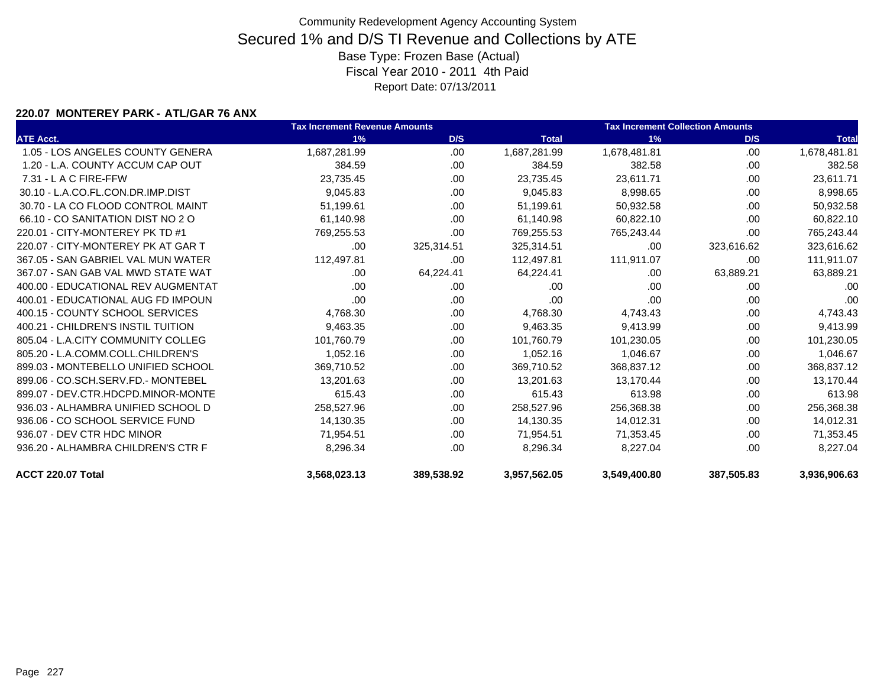### **220.07 MONTEREY PARK - ATL/GAR 76 ANX**

|                                    | <b>Tax Increment Revenue Amounts</b> |            | <b>Tax Increment Collection Amounts</b> |              |            |              |
|------------------------------------|--------------------------------------|------------|-----------------------------------------|--------------|------------|--------------|
| <b>ATE Acct.</b>                   | 1%                                   | D/S        | <b>Total</b>                            | 1%           | D/S        | <b>Total</b> |
| 1.05 - LOS ANGELES COUNTY GENERA   | 1,687,281.99                         | .00.       | 1,687,281.99                            | 1,678,481.81 | .00        | 1,678,481.81 |
| 1.20 - L.A. COUNTY ACCUM CAP OUT   | 384.59                               | .00        | 384.59                                  | 382.58       | .00.       | 382.58       |
| $7.31 - L$ A C FIRE-FFW            | 23,735.45                            | .00        | 23,735.45                               | 23,611.71    | .00        | 23,611.71    |
| 30.10 - L.A.CO.FL.CON.DR.IMP.DIST  | 9,045.83                             | .00        | 9,045.83                                | 8,998.65     | .00.       | 8,998.65     |
| 30.70 - LA CO FLOOD CONTROL MAINT  | 51,199.61                            | .00        | 51,199.61                               | 50,932.58    | .00        | 50,932.58    |
| 66.10 - CO SANITATION DIST NO 2 O  | 61,140.98                            | .00        | 61,140.98                               | 60,822.10    | .00        | 60,822.10    |
| 220.01 - CITY-MONTEREY PK TD #1    | 769,255.53                           | .00        | 769,255.53                              | 765,243.44   | .00        | 765,243.44   |
| 220.07 - CITY-MONTEREY PK AT GAR T | .00                                  | 325,314.51 | 325,314.51                              | .00          | 323,616.62 | 323,616.62   |
| 367.05 - SAN GABRIEL VAL MUN WATER | 112,497.81                           | .00        | 112,497.81                              | 111,911.07   | .00        | 111,911.07   |
| 367.07 - SAN GAB VAL MWD STATE WAT | .00                                  | 64,224.41  | 64,224.41                               | .00          | 63,889.21  | 63,889.21    |
| 400.00 - EDUCATIONAL REV AUGMENTAT | .00                                  | .00        | .00                                     | .00          | .00.       | .00          |
| 400.01 - EDUCATIONAL AUG FD IMPOUN | .00                                  | .00        | .00                                     | .00          | .00        | .00          |
| 400.15 - COUNTY SCHOOL SERVICES    | 4,768.30                             | .00        | 4,768.30                                | 4,743.43     | .00        | 4,743.43     |
| 400.21 - CHILDREN'S INSTIL TUITION | 9,463.35                             | .00.       | 9,463.35                                | 9,413.99     | .00        | 9,413.99     |
| 805.04 - L.A.CITY COMMUNITY COLLEG | 101,760.79                           | .00        | 101,760.79                              | 101,230.05   | .00        | 101,230.05   |
| 805.20 - L.A.COMM.COLL.CHILDREN'S  | 1,052.16                             | .00.       | 1,052.16                                | 1,046.67     | .00        | 1,046.67     |
| 899.03 - MONTEBELLO UNIFIED SCHOOL | 369,710.52                           | .00        | 369,710.52                              | 368,837.12   | .00.       | 368,837.12   |
| 899.06 - CO.SCH.SERV.FD.- MONTEBEL | 13,201.63                            | .00        | 13,201.63                               | 13,170.44    | .00        | 13,170.44    |
| 899.07 - DEV.CTR.HDCPD.MINOR-MONTE | 615.43                               | .00        | 615.43                                  | 613.98       | .00        | 613.98       |
| 936.03 - ALHAMBRA UNIFIED SCHOOL D | 258,527.96                           | .00        | 258,527.96                              | 256,368.38   | .00        | 256,368.38   |
| 936.06 - CO SCHOOL SERVICE FUND    | 14,130.35                            | .00        | 14,130.35                               | 14,012.31    | .00        | 14,012.31    |
| 936.07 - DEV CTR HDC MINOR         | 71,954.51                            | .00        | 71,954.51                               | 71,353.45    | .00        | 71,353.45    |
| 936.20 - ALHAMBRA CHILDREN'S CTR F | 8,296.34                             | .00        | 8,296.34                                | 8,227.04     | .00        | 8,227.04     |
| ACCT 220.07 Total                  | 3,568,023.13                         | 389.538.92 | 3,957,562.05                            | 3,549,400.80 | 387,505.83 | 3,936,906.63 |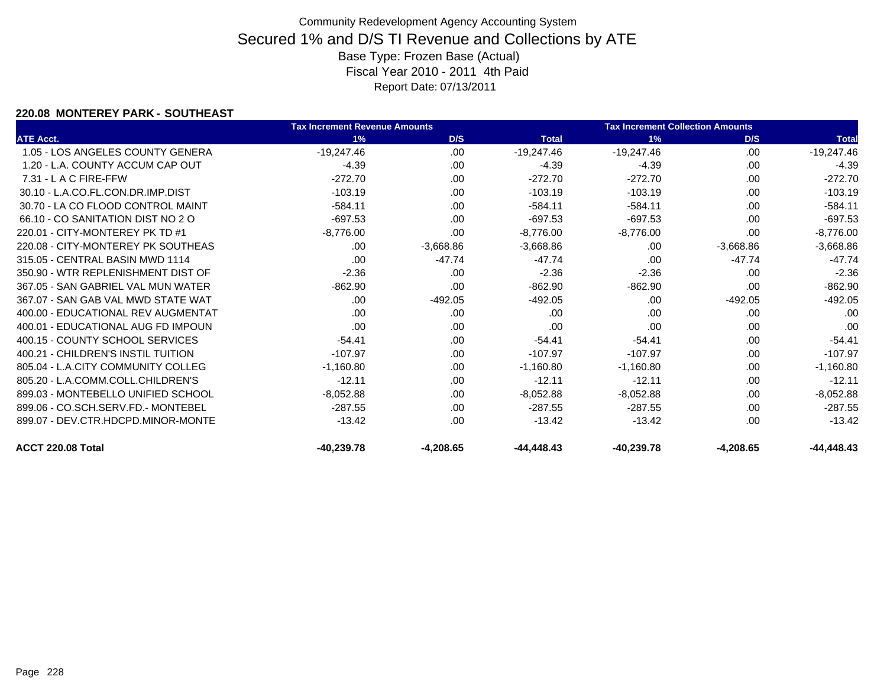### **220.08 MONTEREY PARK - SOUTHEAST**

|                                    | <b>Tax Increment Revenue Amounts</b> |             |              | <b>Tax Increment Collection Amounts</b> |             |              |
|------------------------------------|--------------------------------------|-------------|--------------|-----------------------------------------|-------------|--------------|
| <b>ATE Acct.</b>                   | 1%                                   | D/S         | <b>Total</b> | 1%                                      | D/S         | <b>Total</b> |
| 1.05 - LOS ANGELES COUNTY GENERA   | $-19,247.46$                         | .00         | $-19,247.46$ | $-19,247.46$                            | .00         | $-19,247.46$ |
| 1.20 - L.A. COUNTY ACCUM CAP OUT   | $-4.39$                              | .00         | $-4.39$      | $-4.39$                                 | .00         | $-4.39$      |
| $7.31 - L$ A C FIRE-FFW            | $-272.70$                            | .00.        | $-272.70$    | $-272.70$                               | .00         | $-272.70$    |
| 30.10 - L.A.CO.FL.CON.DR.IMP.DIST  | $-103.19$                            | .00         | $-103.19$    | $-103.19$                               | .00         | $-103.19$    |
| 30.70 - LA CO FLOOD CONTROL MAINT  | $-584.11$                            | .00         | $-584.11$    | $-584.11$                               | .00         | $-584.11$    |
| 66.10 - CO SANITATION DIST NO 2 O  | $-697.53$                            | .00         | $-697.53$    | $-697.53$                               | .00         | $-697.53$    |
| 220.01 - CITY-MONTEREY PK TD #1    | $-8,776.00$                          | .00.        | $-8,776.00$  | $-8,776.00$                             | .00         | $-8,776.00$  |
| 220.08 - CITY-MONTEREY PK SOUTHEAS | .00.                                 | $-3,668.86$ | $-3,668.86$  | .00                                     | $-3,668.86$ | $-3,668.86$  |
| 315.05 - CENTRAL BASIN MWD 1114    | .00.                                 | $-47.74$    | $-47.74$     | .00                                     | $-47.74$    | $-47.74$     |
| 350.90 - WTR REPLENISHMENT DIST OF | $-2.36$                              | .00.        | $-2.36$      | $-2.36$                                 | .00         | $-2.36$      |
| 367.05 - SAN GABRIEL VAL MUN WATER | $-862.90$                            | .00         | $-862.90$    | $-862.90$                               | .00         | $-862.90$    |
| 367.07 - SAN GAB VAL MWD STATE WAT | .00.                                 | $-492.05$   | $-492.05$    | .00                                     | $-492.05$   | $-492.05$    |
| 400.00 - EDUCATIONAL REV AUGMENTAT | .00.                                 | .00         | .00          | .00                                     | .00         | .00          |
| 400.01 - EDUCATIONAL AUG FD IMPOUN | .00                                  | .00.        | .00          | .00                                     | .00         | .00          |
| 400.15 - COUNTY SCHOOL SERVICES    | $-54.41$                             | .00         | $-54.41$     | $-54.41$                                | .00         | $-54.41$     |
| 400.21 - CHILDREN'S INSTIL TUITION | $-107.97$                            | .00         | $-107.97$    | $-107.97$                               | .00         | $-107.97$    |
| 805.04 - L.A.CITY COMMUNITY COLLEG | $-1,160.80$                          | .00         | $-1,160.80$  | $-1,160.80$                             | .00         | $-1,160.80$  |
| 805.20 - L.A.COMM.COLL.CHILDREN'S  | $-12.11$                             | .00         | $-12.11$     | $-12.11$                                | .00         | $-12.11$     |
| 899.03 - MONTEBELLO UNIFIED SCHOOL | $-8,052.88$                          | .00         | $-8,052.88$  | $-8,052.88$                             | .00         | $-8,052.88$  |
| 899.06 - CO.SCH.SERV.FD.- MONTEBEL | $-287.55$                            | .00         | $-287.55$    | $-287.55$                               | .00         | $-287.55$    |
| 899.07 - DEV.CTR.HDCPD.MINOR-MONTE | $-13.42$                             | .00         | $-13.42$     | $-13.42$                                | .00         | $-13.42$     |
| ACCT 220.08 Total                  | $-40.239.78$                         | $-4.208.65$ | $-44,448.43$ | $-40,239.78$                            | $-4,208.65$ | $-44,448.43$ |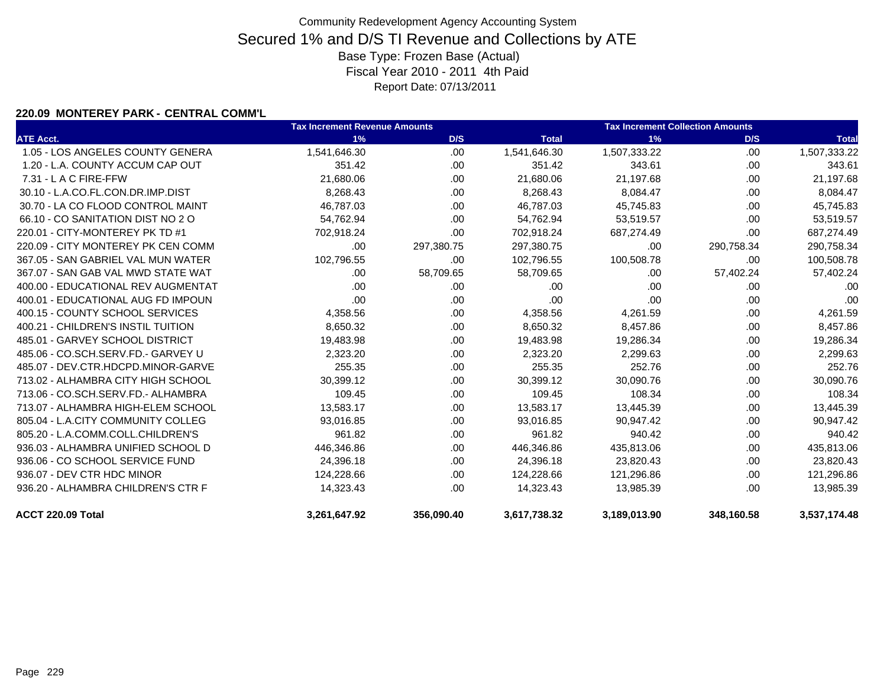### **220.09 MONTEREY PARK - CENTRAL COMM'L**

|                                    | <b>Tax Increment Revenue Amounts</b> | <b>Tax Increment Collection Amounts</b> |              |              |            |              |
|------------------------------------|--------------------------------------|-----------------------------------------|--------------|--------------|------------|--------------|
| <b>ATE Acct.</b>                   | 1%                                   | D/S                                     | <b>Total</b> | 1%           | D/S        | <b>Total</b> |
| 1.05 - LOS ANGELES COUNTY GENERA   | 1,541,646.30                         | .00.                                    | 1,541,646.30 | 1,507,333.22 | .00        | 1,507,333.22 |
| 1.20 - L.A. COUNTY ACCUM CAP OUT   | 351.42                               | .00.                                    | 351.42       | 343.61       | .00        | 343.61       |
| 7.31 - L A C FIRE-FFW              | 21,680.06                            | .00.                                    | 21,680.06    | 21,197.68    | .00        | 21,197.68    |
| 30.10 - L.A.CO.FL.CON.DR.IMP.DIST  | 8,268.43                             | .00                                     | 8,268.43     | 8,084.47     | .00        | 8,084.47     |
| 30.70 - LA CO FLOOD CONTROL MAINT  | 46,787.03                            | .00.                                    | 46,787.03    | 45,745.83    | .00        | 45,745.83    |
| 66.10 - CO SANITATION DIST NO 2 O  | 54,762.94                            | .00                                     | 54,762.94    | 53,519.57    | .00        | 53,519.57    |
| 220.01 - CITY-MONTEREY PK TD #1    | 702,918.24                           | .00.                                    | 702,918.24   | 687,274.49   | .00        | 687,274.49   |
| 220.09 - CITY MONTEREY PK CEN COMM | .00                                  | 297,380.75                              | 297,380.75   | .00          | 290,758.34 | 290,758.34   |
| 367.05 - SAN GABRIEL VAL MUN WATER | 102,796.55                           | .00.                                    | 102,796.55   | 100,508.78   | .00        | 100,508.78   |
| 367.07 - SAN GAB VAL MWD STATE WAT | .00                                  | 58,709.65                               | 58,709.65    | .00          | 57,402.24  | 57,402.24    |
| 400.00 - EDUCATIONAL REV AUGMENTAT | .00                                  | .00.                                    | .00          | .00          | .00        | .00          |
| 400.01 - EDUCATIONAL AUG FD IMPOUN | .00                                  | .00                                     | .00          | .00          | .00        | .00          |
| 400.15 - COUNTY SCHOOL SERVICES    | 4,358.56                             | .00.                                    | 4,358.56     | 4,261.59     | .00        | 4,261.59     |
| 400.21 - CHILDREN'S INSTIL TUITION | 8,650.32                             | .00                                     | 8,650.32     | 8,457.86     | .00        | 8,457.86     |
| 485.01 - GARVEY SCHOOL DISTRICT    | 19,483.98                            | .00.                                    | 19,483.98    | 19,286.34    | .00        | 19,286.34    |
| 485.06 - CO.SCH.SERV.FD.- GARVEY U | 2,323.20                             | .00.                                    | 2,323.20     | 2,299.63     | .00        | 2,299.63     |
| 485.07 - DEV.CTR.HDCPD.MINOR-GARVE | 255.35                               | .00.                                    | 255.35       | 252.76       | .00        | 252.76       |
| 713.02 - ALHAMBRA CITY HIGH SCHOOL | 30,399.12                            | .00                                     | 30,399.12    | 30,090.76    | .00        | 30,090.76    |
| 713.06 - CO.SCH.SERV.FD.- ALHAMBRA | 109.45                               | .00                                     | 109.45       | 108.34       | .00        | 108.34       |
| 713.07 - ALHAMBRA HIGH-ELEM SCHOOL | 13,583.17                            | .00.                                    | 13,583.17    | 13,445.39    | .00        | 13,445.39    |
| 805.04 - L.A.CITY COMMUNITY COLLEG | 93,016.85                            | .00                                     | 93,016.85    | 90,947.42    | .00        | 90,947.42    |
| 805.20 - L.A.COMM.COLL.CHILDREN'S  | 961.82                               | .00                                     | 961.82       | 940.42       | .00        | 940.42       |
| 936.03 - ALHAMBRA UNIFIED SCHOOL D | 446,346.86                           | .00                                     | 446,346.86   | 435,813.06   | .00        | 435,813.06   |
| 936.06 - CO SCHOOL SERVICE FUND    | 24,396.18                            | .00.                                    | 24,396.18    | 23,820.43    | .00        | 23,820.43    |
| 936.07 - DEV CTR HDC MINOR         | 124,228.66                           | .00                                     | 124,228.66   | 121,296.86   | .00        | 121,296.86   |
| 936.20 - ALHAMBRA CHILDREN'S CTR F | 14,323.43                            | .00                                     | 14,323.43    | 13,985.39    | .00        | 13,985.39    |
| ACCT 220.09 Total                  | 3,261,647.92                         | 356,090.40                              | 3,617,738.32 | 3,189,013.90 | 348,160.58 | 3,537,174.48 |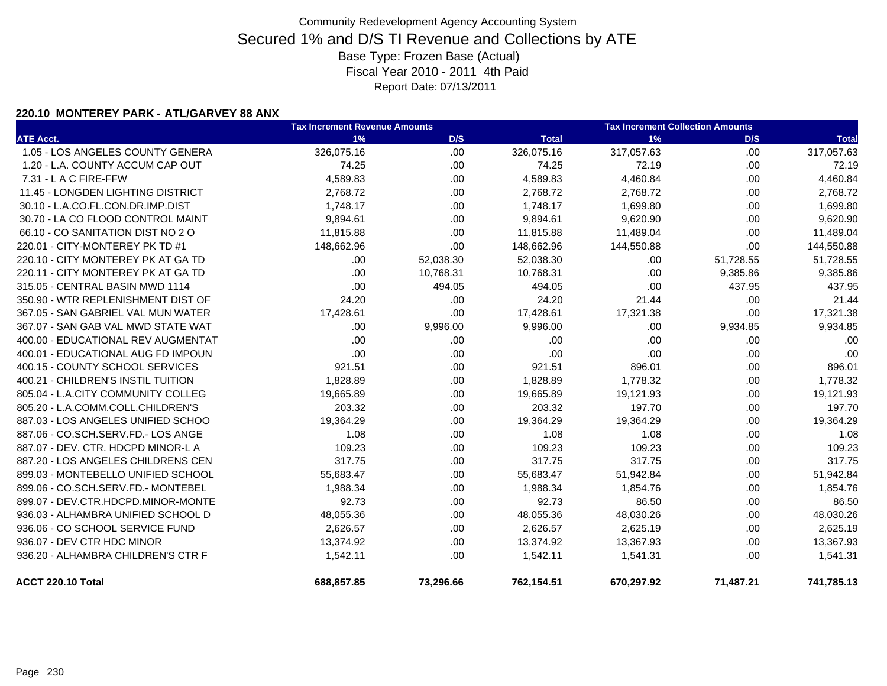### **220.10 MONTEREY PARK - ATL/GARVEY 88 ANX**

|                                    | <b>Tax Increment Revenue Amounts</b> | <b>Tax Increment Collection Amounts</b> |              |            |           |              |
|------------------------------------|--------------------------------------|-----------------------------------------|--------------|------------|-----------|--------------|
| <b>ATE Acct.</b>                   | 1%                                   | D/S                                     | <b>Total</b> | 1%         | D/S       | <b>Total</b> |
| 1.05 - LOS ANGELES COUNTY GENERA   | 326,075.16                           | .00                                     | 326,075.16   | 317,057.63 | .00       | 317,057.63   |
| 1.20 - L.A. COUNTY ACCUM CAP OUT   | 74.25                                | .00                                     | 74.25        | 72.19      | .00.      | 72.19        |
| $7.31 - L$ A C FIRE-FFW            | 4,589.83                             | .00                                     | 4,589.83     | 4,460.84   | .00       | 4,460.84     |
| 11.45 - LONGDEN LIGHTING DISTRICT  | 2,768.72                             | .00                                     | 2,768.72     | 2,768.72   | .00.      | 2,768.72     |
| 30.10 - L.A.CO.FL.CON.DR.IMP.DIST  | 1,748.17                             | .00                                     | 1,748.17     | 1,699.80   | .00       | 1,699.80     |
| 30.70 - LA CO FLOOD CONTROL MAINT  | 9,894.61                             | .00                                     | 9,894.61     | 9,620.90   | .00.      | 9,620.90     |
| 66.10 - CO SANITATION DIST NO 2 O  | 11,815.88                            | .00                                     | 11,815.88    | 11,489.04  | .00.      | 11,489.04    |
| 220.01 - CITY-MONTEREY PK TD #1    | 148,662.96                           | .00                                     | 148,662.96   | 144,550.88 | .00       | 144,550.88   |
| 220.10 - CITY MONTEREY PK AT GA TD | .00.                                 | 52,038.30                               | 52,038.30    | .00        | 51,728.55 | 51,728.55    |
| 220.11 - CITY MONTEREY PK AT GA TD | .00.                                 | 10,768.31                               | 10,768.31    | .00        | 9,385.86  | 9,385.86     |
| 315.05 - CENTRAL BASIN MWD 1114    | .00                                  | 494.05                                  | 494.05       | .00        | 437.95    | 437.95       |
| 350.90 - WTR REPLENISHMENT DIST OF | 24.20                                | .00                                     | 24.20        | 21.44      | .00.      | 21.44        |
| 367.05 - SAN GABRIEL VAL MUN WATER | 17,428.61                            | .00                                     | 17,428.61    | 17,321.38  | .00       | 17,321.38    |
| 367.07 - SAN GAB VAL MWD STATE WAT | .00.                                 | 9,996.00                                | 9,996.00     | .00        | 9,934.85  | 9,934.85     |
| 400.00 - EDUCATIONAL REV AUGMENTAT | .00                                  | .00                                     | .00          | .00        | .00       | .00          |
| 400.01 - EDUCATIONAL AUG FD IMPOUN | .00                                  | .00                                     | .00          | .00        | .00       | .00          |
| 400.15 - COUNTY SCHOOL SERVICES    | 921.51                               | .00                                     | 921.51       | 896.01     | .00.      | 896.01       |
| 400.21 - CHILDREN'S INSTIL TUITION | 1,828.89                             | .00                                     | 1,828.89     | 1,778.32   | .00       | 1,778.32     |
| 805.04 - L.A.CITY COMMUNITY COLLEG | 19,665.89                            | .00                                     | 19,665.89    | 19,121.93  | .00.      | 19,121.93    |
| 805.20 - L.A.COMM.COLL.CHILDREN'S  | 203.32                               | .00                                     | 203.32       | 197.70     | .00.      | 197.70       |
| 887.03 - LOS ANGELES UNIFIED SCHOO | 19,364.29                            | .00                                     | 19,364.29    | 19,364.29  | .00       | 19,364.29    |
| 887.06 - CO.SCH.SERV.FD.- LOS ANGE | 1.08                                 | .00                                     | 1.08         | 1.08       | .00       | 1.08         |
| 887.07 - DEV. CTR. HDCPD MINOR-L A | 109.23                               | .00                                     | 109.23       | 109.23     | .00       | 109.23       |
| 887.20 - LOS ANGELES CHILDRENS CEN | 317.75                               | .00                                     | 317.75       | 317.75     | .00.      | 317.75       |
| 899.03 - MONTEBELLO UNIFIED SCHOOL | 55,683.47                            | .00                                     | 55,683.47    | 51,942.84  | .00       | 51,942.84    |
| 899.06 - CO.SCH.SERV.FD.- MONTEBEL | 1,988.34                             | .00                                     | 1,988.34     | 1,854.76   | .00       | 1,854.76     |
| 899.07 - DEV.CTR.HDCPD.MINOR-MONTE | 92.73                                | .00                                     | 92.73        | 86.50      | .00.      | 86.50        |
| 936.03 - ALHAMBRA UNIFIED SCHOOL D | 48,055.36                            | .00                                     | 48,055.36    | 48,030.26  | .00       | 48,030.26    |
| 936.06 - CO SCHOOL SERVICE FUND    | 2,626.57                             | .00                                     | 2,626.57     | 2,625.19   | .00       | 2,625.19     |
| 936.07 - DEV CTR HDC MINOR         | 13,374.92                            | .00                                     | 13,374.92    | 13,367.93  | .00.      | 13,367.93    |
| 936.20 - ALHAMBRA CHILDREN'S CTR F | 1,542.11                             | .00                                     | 1,542.11     | 1,541.31   | .00       | 1,541.31     |
| ACCT 220.10 Total                  | 688,857.85                           | 73,296.66                               | 762,154.51   | 670,297.92 | 71,487.21 | 741,785.13   |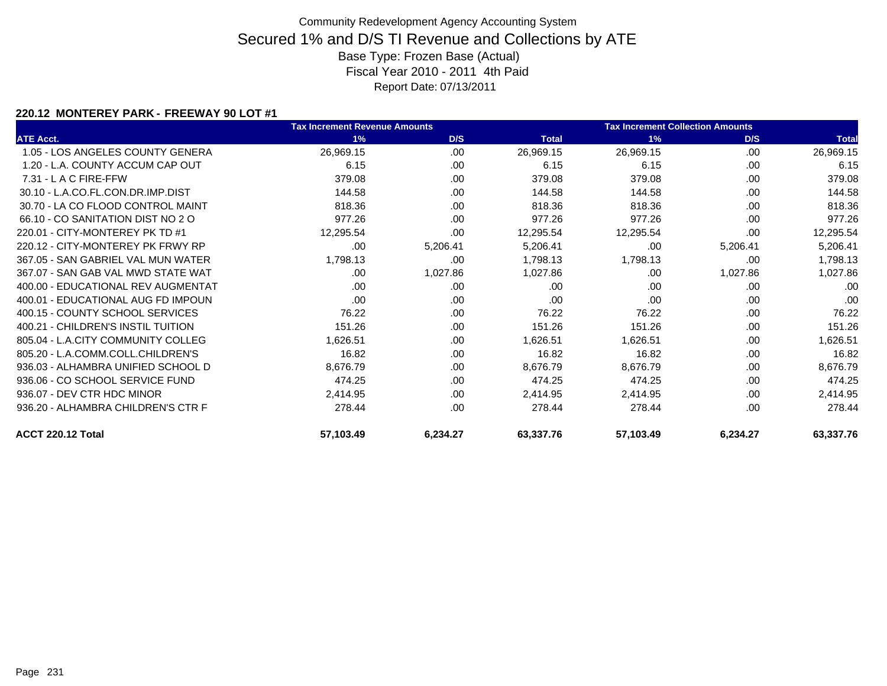### **220.12 MONTEREY PARK - FREEWAY 90 LOT #1**

|                                    | <b>Tax Increment Revenue Amounts</b> |          |              | <b>Tax Increment Collection Amounts</b> |          |              |
|------------------------------------|--------------------------------------|----------|--------------|-----------------------------------------|----------|--------------|
| <b>ATE Acct.</b>                   | 1%                                   | D/S      | <b>Total</b> | 1%                                      | D/S      | <b>Total</b> |
| 1.05 - LOS ANGELES COUNTY GENERA   | 26,969.15                            | .00      | 26,969.15    | 26,969.15                               | .00      | 26,969.15    |
| 1.20 - L.A. COUNTY ACCUM CAP OUT   | 6.15                                 | .00      | 6.15         | 6.15                                    | .00      | 6.15         |
| $7.31 - L$ A C FIRE-FFW            | 379.08                               | .00      | 379.08       | 379.08                                  | .00      | 379.08       |
| 30.10 - L.A.CO.FL.CON.DR.IMP.DIST  | 144.58                               | .00      | 144.58       | 144.58                                  | .00      | 144.58       |
| 30.70 - LA CO FLOOD CONTROL MAINT  | 818.36                               | .00      | 818.36       | 818.36                                  | .00      | 818.36       |
| 66.10 - CO SANITATION DIST NO 2 O  | 977.26                               | .00      | 977.26       | 977.26                                  | .00      | 977.26       |
| 220.01 - CITY-MONTEREY PK TD #1    | 12,295.54                            | .00      | 12,295.54    | 12,295.54                               | .00      | 12,295.54    |
| 220.12 - CITY-MONTEREY PK FRWY RP  | .00.                                 | 5,206.41 | 5,206.41     | .00                                     | 5,206.41 | 5,206.41     |
| 367.05 - SAN GABRIEL VAL MUN WATER | 1,798.13                             | .00      | 1,798.13     | 1,798.13                                | .00      | 1,798.13     |
| 367.07 - SAN GAB VAL MWD STATE WAT | .00.                                 | 1,027.86 | 1,027.86     | .00                                     | 1,027.86 | 1,027.86     |
| 400.00 - EDUCATIONAL REV AUGMENTAT | .00.                                 | .00      | .00          | .00                                     | .00      | .00          |
| 400.01 - EDUCATIONAL AUG FD IMPOUN | .00.                                 | .00      | .00          | .00                                     | .00      | .00          |
| 400.15 - COUNTY SCHOOL SERVICES    | 76.22                                | .00      | 76.22        | 76.22                                   | .00      | 76.22        |
| 400.21 - CHILDREN'S INSTIL TUITION | 151.26                               | .00      | 151.26       | 151.26                                  | .00      | 151.26       |
| 805.04 - L.A.CITY COMMUNITY COLLEG | 1,626.51                             | .00      | 1,626.51     | 1,626.51                                | .00      | 1,626.51     |
| 805.20 - L.A.COMM.COLL.CHILDREN'S  | 16.82                                | .00      | 16.82        | 16.82                                   | .00      | 16.82        |
| 936.03 - ALHAMBRA UNIFIED SCHOOL D | 8,676.79                             | .00      | 8,676.79     | 8,676.79                                | .00      | 8,676.79     |
| 936.06 - CO SCHOOL SERVICE FUND    | 474.25                               | .00      | 474.25       | 474.25                                  | .00      | 474.25       |
| 936.07 - DEV CTR HDC MINOR         | 2,414.95                             | .00      | 2,414.95     | 2,414.95                                | .00      | 2,414.95     |
| 936.20 - ALHAMBRA CHILDREN'S CTR F | 278.44                               | .00      | 278.44       | 278.44                                  | .00      | 278.44       |
| ACCT 220.12 Total                  | 57,103.49                            | 6,234.27 | 63,337.76    | 57,103.49                               | 6,234.27 | 63,337.76    |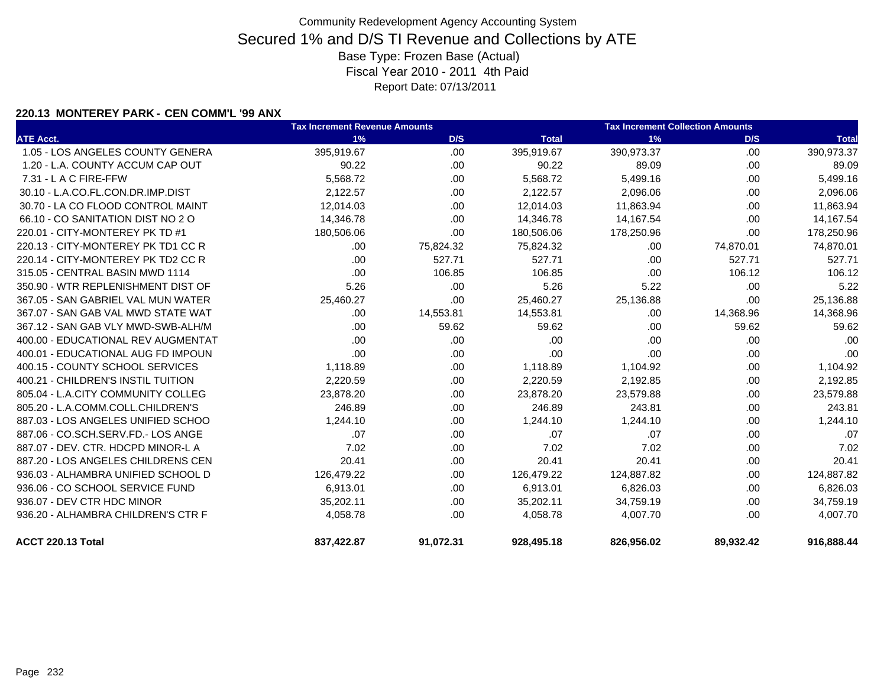### **220.13 MONTEREY PARK - CEN COMM'L '99 ANX**

|                                    | <b>Tax Increment Revenue Amounts</b> |           |              | <b>Tax Increment Collection Amounts</b> |           |              |  |
|------------------------------------|--------------------------------------|-----------|--------------|-----------------------------------------|-----------|--------------|--|
| <b>ATE Acct.</b>                   | 1%                                   | D/S       | <b>Total</b> | 1%                                      | D/S       | <b>Total</b> |  |
| 1.05 - LOS ANGELES COUNTY GENERA   | 395,919.67                           | .00.      | 395,919.67   | 390,973.37                              | .00.      | 390,973.37   |  |
| 1.20 - L.A. COUNTY ACCUM CAP OUT   | 90.22                                | .00       | 90.22        | 89.09                                   | .00       | 89.09        |  |
| 7.31 - L A C FIRE-FFW              | 5,568.72                             | .00       | 5,568.72     | 5,499.16                                | .00       | 5,499.16     |  |
| 30.10 - L.A.CO.FL.CON.DR.IMP.DIST  | 2,122.57                             | .00       | 2,122.57     | 2,096.06                                | .00       | 2,096.06     |  |
| 30.70 - LA CO FLOOD CONTROL MAINT  | 12,014.03                            | .00       | 12,014.03    | 11,863.94                               | .00       | 11,863.94    |  |
| 66.10 - CO SANITATION DIST NO 2 O  | 14,346.78                            | .00       | 14,346.78    | 14,167.54                               | .00.      | 14,167.54    |  |
| 220.01 - CITY-MONTEREY PK TD #1    | 180,506.06                           | .00       | 180,506.06   | 178,250.96                              | .00       | 178,250.96   |  |
| 220.13 - CITY-MONTEREY PK TD1 CC R | .00.                                 | 75,824.32 | 75,824.32    | .00                                     | 74,870.01 | 74,870.01    |  |
| 220.14 - CITY-MONTEREY PK TD2 CC R | .00.                                 | 527.71    | 527.71       | .00                                     | 527.71    | 527.71       |  |
| 315.05 - CENTRAL BASIN MWD 1114    | .00                                  | 106.85    | 106.85       | .00                                     | 106.12    | 106.12       |  |
| 350.90 - WTR REPLENISHMENT DIST OF | 5.26                                 | .00       | 5.26         | 5.22                                    | .00.      | 5.22         |  |
| 367.05 - SAN GABRIEL VAL MUN WATER | 25,460.27                            | .00       | 25,460.27    | 25,136.88                               | .00       | 25,136.88    |  |
| 367.07 - SAN GAB VAL MWD STATE WAT | .00                                  | 14,553.81 | 14,553.81    | .00                                     | 14,368.96 | 14,368.96    |  |
| 367.12 - SAN GAB VLY MWD-SWB-ALH/M | .00                                  | 59.62     | 59.62        | .00                                     | 59.62     | 59.62        |  |
| 400.00 - EDUCATIONAL REV AUGMENTAT | .00                                  | .00       | .00          | .00                                     | .00       | .00          |  |
| 400.01 - EDUCATIONAL AUG FD IMPOUN | .00                                  | .00       | .00          | .00                                     | .00       | .00          |  |
| 400.15 - COUNTY SCHOOL SERVICES    | 1,118.89                             | .00       | 1,118.89     | 1,104.92                                | .00.      | 1,104.92     |  |
| 400.21 - CHILDREN'S INSTIL TUITION | 2,220.59                             | .00       | 2,220.59     | 2,192.85                                | .00       | 2,192.85     |  |
| 805.04 - L.A.CITY COMMUNITY COLLEG | 23,878.20                            | .00       | 23,878.20    | 23,579.88                               | .00       | 23,579.88    |  |
| 805.20 - L.A.COMM.COLL.CHILDREN'S  | 246.89                               | .00       | 246.89       | 243.81                                  | .00.      | 243.81       |  |
| 887.03 - LOS ANGELES UNIFIED SCHOO | 1,244.10                             | .00       | 1,244.10     | 1,244.10                                | .00       | 1,244.10     |  |
| 887.06 - CO.SCH.SERV.FD.- LOS ANGE | .07                                  | .00       | .07          | .07                                     | .00       | .07          |  |
| 887.07 - DEV. CTR. HDCPD MINOR-L A | 7.02                                 | .00       | 7.02         | 7.02                                    | .00.      | 7.02         |  |
| 887.20 - LOS ANGELES CHILDRENS CEN | 20.41                                | .00       | 20.41        | 20.41                                   | .00       | 20.41        |  |
| 936.03 - ALHAMBRA UNIFIED SCHOOL D | 126,479.22                           | .00       | 126,479.22   | 124,887.82                              | .00.      | 124,887.82   |  |
| 936.06 - CO SCHOOL SERVICE FUND    | 6,913.01                             | .00       | 6,913.01     | 6,826.03                                | .00.      | 6,826.03     |  |
| 936.07 - DEV CTR HDC MINOR         | 35,202.11                            | .00       | 35,202.11    | 34,759.19                               | .00       | 34,759.19    |  |
| 936.20 - ALHAMBRA CHILDREN'S CTR F | 4,058.78                             | .00       | 4,058.78     | 4,007.70                                | .00.      | 4,007.70     |  |
| ACCT 220.13 Total                  | 837,422.87                           | 91,072.31 | 928,495.18   | 826,956.02                              | 89,932.42 | 916,888.44   |  |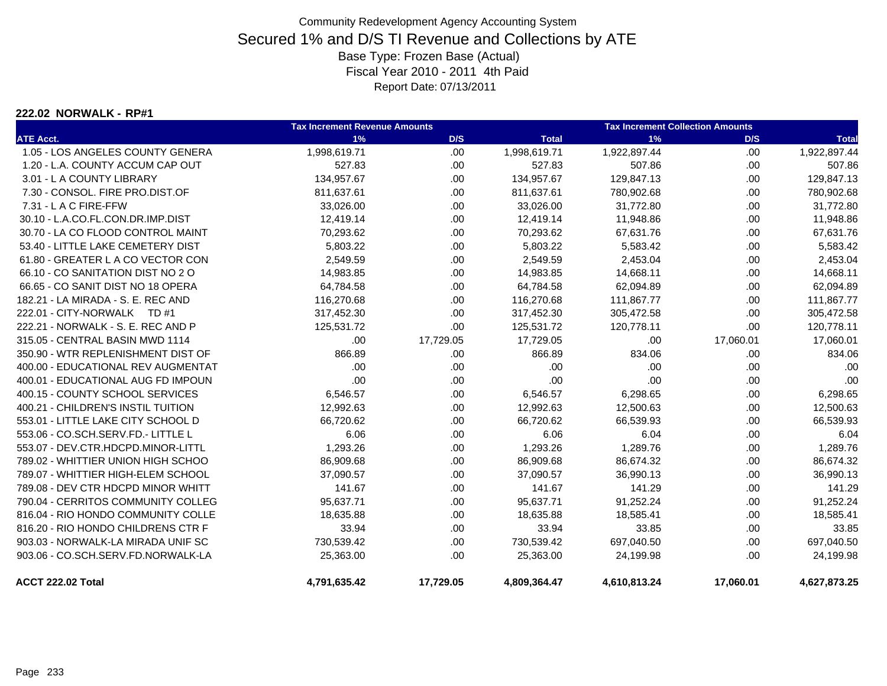#### **222.02 NORWALK - RP#1**

|                                    | <b>Tax Increment Revenue Amounts</b> |           |              | <b>Tax Increment Collection Amounts</b> |           |              |
|------------------------------------|--------------------------------------|-----------|--------------|-----------------------------------------|-----------|--------------|
| <b>ATE Acct.</b>                   | 1%                                   | D/S       | <b>Total</b> | 1%                                      | D/S       | <b>Total</b> |
| 1.05 - LOS ANGELES COUNTY GENERA   | 1,998,619.71                         | .00       | 1,998,619.71 | 1,922,897.44                            | .00.      | 1,922,897.44 |
| 1.20 - L.A. COUNTY ACCUM CAP OUT   | 527.83                               | .00.      | 527.83       | 507.86                                  | .00.      | 507.86       |
| 3.01 - L A COUNTY LIBRARY          | 134,957.67                           | .00       | 134,957.67   | 129,847.13                              | .00.      | 129,847.13   |
| 7.30 - CONSOL, FIRE PRO.DIST.OF    | 811,637.61                           | .00.      | 811,637.61   | 780,902.68                              | .00.      | 780,902.68   |
| 7.31 - L A C FIRE-FFW              | 33,026.00                            | .00       | 33,026.00    | 31,772.80                               | .00.      | 31,772.80    |
| 30.10 - L.A.CO.FL.CON.DR.IMP.DIST  | 12,419.14                            | .00.      | 12,419.14    | 11,948.86                               | .00.      | 11,948.86    |
| 30.70 - LA CO FLOOD CONTROL MAINT  | 70,293.62                            | .00.      | 70,293.62    | 67,631.76                               | .00.      | 67,631.76    |
| 53.40 - LITTLE LAKE CEMETERY DIST  | 5,803.22                             | .00       | 5,803.22     | 5,583.42                                | .00.      | 5,583.42     |
| 61.80 - GREATER L A CO VECTOR CON  | 2,549.59                             | .00.      | 2,549.59     | 2,453.04                                | .00.      | 2,453.04     |
| 66.10 - CO SANITATION DIST NO 2 O  | 14,983.85                            | .00       | 14,983.85    | 14,668.11                               | .00.      | 14,668.11    |
| 66.65 - CO SANIT DIST NO 18 OPERA  | 64,784.58                            | .00       | 64,784.58    | 62,094.89                               | .00       | 62,094.89    |
| 182.21 - LA MIRADA - S. E. REC AND | 116,270.68                           | .00       | 116,270.68   | 111,867.77                              | .00.      | 111,867.77   |
| 222.01 - CITY-NORWALK TD #1        | 317,452.30                           | .00       | 317,452.30   | 305,472.58                              | .00.      | 305,472.58   |
| 222.21 - NORWALK - S. E. REC AND P | 125,531.72                           | .00       | 125,531.72   | 120,778.11                              | .00       | 120,778.11   |
| 315.05 - CENTRAL BASIN MWD 1114    | .00                                  | 17,729.05 | 17,729.05    | .00.                                    | 17,060.01 | 17,060.01    |
| 350.90 - WTR REPLENISHMENT DIST OF | 866.89                               | .00       | 866.89       | 834.06                                  | .00       | 834.06       |
| 400.00 - EDUCATIONAL REV AUGMENTAT | .00                                  | .00       | .00          | .00                                     | .00       | .00          |
| 400.01 - EDUCATIONAL AUG FD IMPOUN | .00                                  | .00       | .00          | .00                                     | .00.      | .00          |
| 400.15 - COUNTY SCHOOL SERVICES    | 6,546.57                             | .00.      | 6,546.57     | 6,298.65                                | .00.      | 6,298.65     |
| 400.21 - CHILDREN'S INSTIL TUITION | 12,992.63                            | .00.      | 12,992.63    | 12,500.63                               | .00.      | 12,500.63    |
| 553.01 - LITTLE LAKE CITY SCHOOL D | 66,720.62                            | .00       | 66,720.62    | 66,539.93                               | .00.      | 66,539.93    |
| 553.06 - CO.SCH.SERV.FD.- LITTLE L | 6.06                                 | .00       | 6.06         | 6.04                                    | .00       | 6.04         |
| 553.07 - DEV.CTR.HDCPD.MINOR-LITTL | 1,293.26                             | .00       | 1,293.26     | 1,289.76                                | .00.      | 1,289.76     |
| 789.02 - WHITTIER UNION HIGH SCHOO | 86,909.68                            | .00.      | 86,909.68    | 86,674.32                               | .00.      | 86,674.32    |
| 789.07 - WHITTIER HIGH-ELEM SCHOOL | 37,090.57                            | .00.      | 37,090.57    | 36,990.13                               | .00.      | 36,990.13    |
| 789.08 - DEV CTR HDCPD MINOR WHITT | 141.67                               | .00.      | 141.67       | 141.29                                  | .00.      | 141.29       |
| 790.04 - CERRITOS COMMUNITY COLLEG | 95,637.71                            | .00       | 95,637.71    | 91,252.24                               | .00.      | 91,252.24    |
| 816.04 - RIO HONDO COMMUNITY COLLE | 18,635.88                            | .00       | 18,635.88    | 18,585.41                               | .00       | 18,585.41    |
| 816.20 - RIO HONDO CHILDRENS CTR F | 33.94                                | .00       | 33.94        | 33.85                                   | .00.      | 33.85        |
| 903.03 - NORWALK-LA MIRADA UNIF SC | 730,539.42                           | .00.      | 730,539.42   | 697,040.50                              | .00.      | 697,040.50   |
| 903.06 - CO.SCH.SERV.FD.NORWALK-LA | 25,363.00                            | .00.      | 25,363.00    | 24,199.98                               | .00.      | 24,199.98    |
| ACCT 222.02 Total                  | 4,791,635.42                         | 17,729.05 | 4,809,364.47 | 4,610,813.24                            | 17,060.01 | 4,627,873.25 |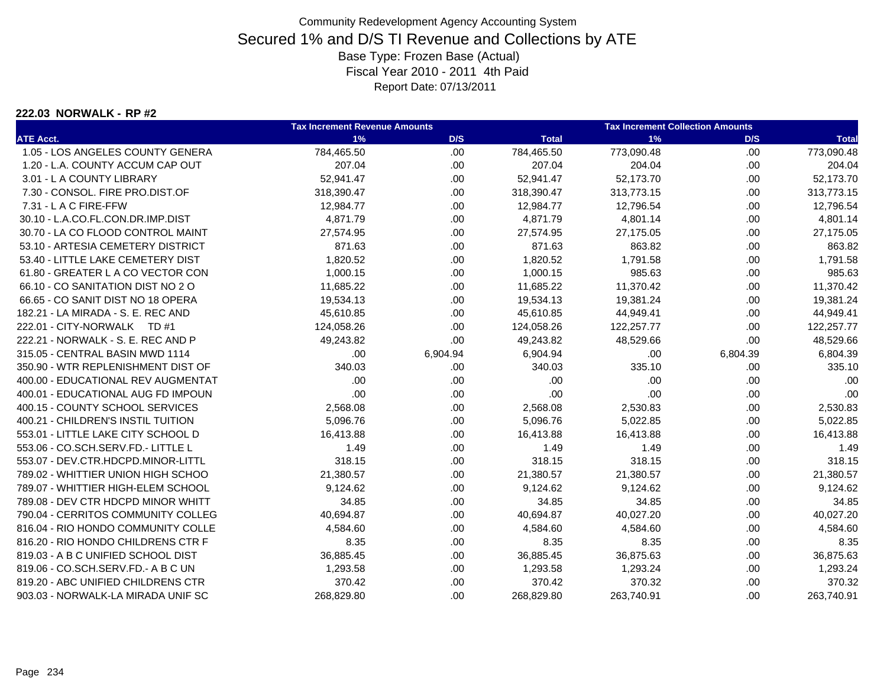#### **222.03 NORWALK - RP #2**

|                                    | <b>Tax Increment Revenue Amounts</b> |          |              | <b>Tax Increment Collection Amounts</b> |          |              |  |
|------------------------------------|--------------------------------------|----------|--------------|-----------------------------------------|----------|--------------|--|
| <b>ATE Acct.</b>                   | 1%                                   | D/S      | <b>Total</b> | 1%                                      | D/S      | <b>Total</b> |  |
| 1.05 - LOS ANGELES COUNTY GENERA   | 784,465.50                           | .00      | 784,465.50   | 773,090.48                              | .00.     | 773,090.48   |  |
| 1.20 - L.A. COUNTY ACCUM CAP OUT   | 207.04                               | .00      | 207.04       | 204.04                                  | .00.     | 204.04       |  |
| 3.01 - L A COUNTY LIBRARY          | 52,941.47                            | .00.     | 52,941.47    | 52,173.70                               | .00.     | 52,173.70    |  |
| 7.30 - CONSOL. FIRE PRO.DIST.OF    | 318,390.47                           | .00      | 318,390.47   | 313,773.15                              | .00.     | 313,773.15   |  |
| 7.31 - L A C FIRE-FFW              | 12,984.77                            | .00.     | 12,984.77    | 12,796.54                               | .00.     | 12,796.54    |  |
| 30.10 - L.A.CO.FL.CON.DR.IMP.DIST  | 4,871.79                             | .00      | 4,871.79     | 4,801.14                                | .00.     | 4,801.14     |  |
| 30.70 - LA CO FLOOD CONTROL MAINT  | 27,574.95                            | .00.     | 27,574.95    | 27,175.05                               | .00.     | 27,175.05    |  |
| 53.10 - ARTESIA CEMETERY DISTRICT  | 871.63                               | .00      | 871.63       | 863.82                                  | .00      | 863.82       |  |
| 53.40 - LITTLE LAKE CEMETERY DIST  | 1,820.52                             | .00.     | 1,820.52     | 1,791.58                                | .00.     | 1,791.58     |  |
| 61.80 - GREATER L A CO VECTOR CON  | 1,000.15                             | .00.     | 1,000.15     | 985.63                                  | .00      | 985.63       |  |
| 66.10 - CO SANITATION DIST NO 2 O  | 11,685.22                            | .00.     | 11,685.22    | 11,370.42                               | .00.     | 11,370.42    |  |
| 66.65 - CO SANIT DIST NO 18 OPERA  | 19,534.13                            | .00.     | 19,534.13    | 19,381.24                               | .00.     | 19,381.24    |  |
| 182.21 - LA MIRADA - S. E. REC AND | 45,610.85                            | .00.     | 45,610.85    | 44,949.41                               | .00.     | 44,949.41    |  |
| 222.01 - CITY-NORWALK TD #1        | 124,058.26                           | .00.     | 124,058.26   | 122,257.77                              | .00.     | 122,257.77   |  |
| 222.21 - NORWALK - S. E. REC AND P | 49,243.82                            | .00      | 49,243.82    | 48,529.66                               | .00      | 48,529.66    |  |
| 315.05 - CENTRAL BASIN MWD 1114    | .00                                  | 6,904.94 | 6,904.94     | .00                                     | 6,804.39 | 6,804.39     |  |
| 350.90 - WTR REPLENISHMENT DIST OF | 340.03                               | .00      | 340.03       | 335.10                                  | .00.     | 335.10       |  |
| 400.00 - EDUCATIONAL REV AUGMENTAT | .00.                                 | .00      | .00          | .00                                     | .00      | .00          |  |
| 400.01 - EDUCATIONAL AUG FD IMPOUN | .00                                  | .00.     | .00          | .00                                     | .00.     | .00          |  |
| 400.15 - COUNTY SCHOOL SERVICES    | 2,568.08                             | .00      | 2,568.08     | 2,530.83                                | .00.     | 2,530.83     |  |
| 400.21 - CHILDREN'S INSTIL TUITION | 5,096.76                             | .00.     | 5,096.76     | 5,022.85                                | .00.     | 5,022.85     |  |
| 553.01 - LITTLE LAKE CITY SCHOOL D | 16,413.88                            | .00.     | 16,413.88    | 16,413.88                               | .00.     | 16,413.88    |  |
| 553.06 - CO.SCH.SERV.FD.- LITTLE L | 1.49                                 | .00      | 1.49         | 1.49                                    | .00.     | 1.49         |  |
| 553.07 - DEV.CTR.HDCPD.MINOR-LITTL | 318.15                               | .00      | 318.15       | 318.15                                  | .00.     | 318.15       |  |
| 789.02 - WHITTIER UNION HIGH SCHOO | 21,380.57                            | .00.     | 21,380.57    | 21,380.57                               | .00.     | 21,380.57    |  |
| 789.07 - WHITTIER HIGH-ELEM SCHOOL | 9,124.62                             | .00.     | 9,124.62     | 9,124.62                                | .00.     | 9,124.62     |  |
| 789.08 - DEV CTR HDCPD MINOR WHITT | 34.85                                | .00.     | 34.85        | 34.85                                   | .00.     | 34.85        |  |
| 790.04 - CERRITOS COMMUNITY COLLEG | 40,694.87                            | .00      | 40,694.87    | 40,027.20                               | .00.     | 40,027.20    |  |
| 816.04 - RIO HONDO COMMUNITY COLLE | 4,584.60                             | .00.     | 4,584.60     | 4,584.60                                | .00.     | 4,584.60     |  |
| 816.20 - RIO HONDO CHILDRENS CTR F | 8.35                                 | .00.     | 8.35         | 8.35                                    | .00.     | 8.35         |  |
| 819.03 - A B C UNIFIED SCHOOL DIST | 36,885.45                            | .00.     | 36,885.45    | 36,875.63                               | .00.     | 36,875.63    |  |
| 819.06 - CO.SCH.SERV.FD.- A B C UN | 1,293.58                             | .00      | 1,293.58     | 1,293.24                                | .00.     | 1,293.24     |  |
| 819.20 - ABC UNIFIED CHILDRENS CTR | 370.42                               | .00      | 370.42       | 370.32                                  | .00.     | 370.32       |  |
| 903.03 - NORWALK-LA MIRADA UNIF SC | 268.829.80                           | .00      | 268,829.80   | 263.740.91                              | .00.     | 263,740.91   |  |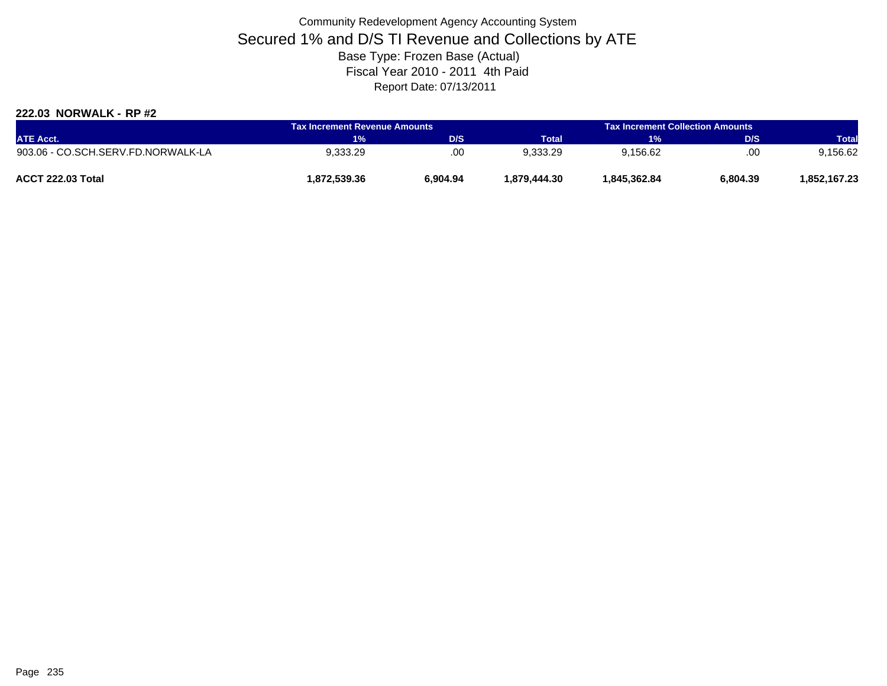### **222.03 NORWALK - RP #2**

| <b>ATE Acct.</b>                   | <b>Tax Increment Revenue Amounts</b> |          |               | <b>Tax Increment Collection Amounts</b> |          |              |
|------------------------------------|--------------------------------------|----------|---------------|-----------------------------------------|----------|--------------|
|                                    | <b>T%</b>                            | D/S      | <b>Total</b>  | 1%                                      | D/S      | <b>Total</b> |
| 903.06 - CO.SCH.SERV.FD.NORWALK-LA | 9,333.29                             | .00      | 9,333.29      | 9,156.62                                | .00      | 9,156.62     |
| ACCT 222.03 Total                  | 872,539.36. ا                        | 6.904.94 | 879.444.30. ا | 1.845.362.84                            | 6,804.39 | 1,852,167.23 |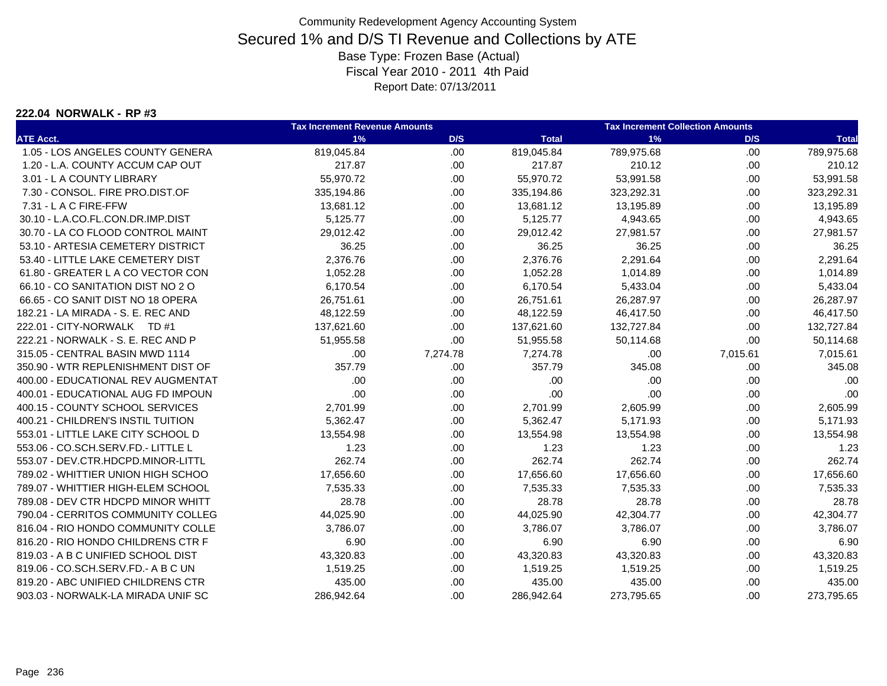#### **222.04 NORWALK - RP #3**

|                                    | <b>Tax Increment Revenue Amounts</b> |          |              | <b>Tax Increment Collection Amounts</b> |          |              |  |
|------------------------------------|--------------------------------------|----------|--------------|-----------------------------------------|----------|--------------|--|
| <b>ATE Acct.</b>                   | 1%                                   | D/S      | <b>Total</b> | 1%                                      | D/S      | <b>Total</b> |  |
| 1.05 - LOS ANGELES COUNTY GENERA   | 819,045.84                           | .00      | 819,045.84   | 789,975.68                              | .00.     | 789,975.68   |  |
| 1.20 - L.A. COUNTY ACCUM CAP OUT   | 217.87                               | .00      | 217.87       | 210.12                                  | .00.     | 210.12       |  |
| 3.01 - L A COUNTY LIBRARY          | 55,970.72                            | .00      | 55,970.72    | 53,991.58                               | .00.     | 53,991.58    |  |
| 7.30 - CONSOL. FIRE PRO.DIST.OF    | 335,194.86                           | .00      | 335,194.86   | 323,292.31                              | .00.     | 323,292.31   |  |
| 7.31 - L A C FIRE-FFW              | 13,681.12                            | .00      | 13,681.12    | 13,195.89                               | .00.     | 13,195.89    |  |
| 30.10 - L.A.CO.FL.CON.DR.IMP.DIST  | 5,125.77                             | .00      | 5,125.77     | 4,943.65                                | .00.     | 4,943.65     |  |
| 30.70 - LA CO FLOOD CONTROL MAINT  | 29,012.42                            | .00      | 29,012.42    | 27,981.57                               | .00      | 27,981.57    |  |
| 53.10 - ARTESIA CEMETERY DISTRICT  | 36.25                                | .00.     | 36.25        | 36.25                                   | .00.     | 36.25        |  |
| 53.40 - LITTLE LAKE CEMETERY DIST  | 2,376.76                             | .00.     | 2,376.76     | 2,291.64                                | .00.     | 2,291.64     |  |
| 61.80 - GREATER L A CO VECTOR CON  | 1,052.28                             | .00      | 1,052.28     | 1,014.89                                | .00.     | 1,014.89     |  |
| 66.10 - CO SANITATION DIST NO 2 O  | 6,170.54                             | .00.     | 6,170.54     | 5,433.04                                | .00.     | 5,433.04     |  |
| 66.65 - CO SANIT DIST NO 18 OPERA  | 26,751.61                            | .00.     | 26,751.61    | 26,287.97                               | .00.     | 26,287.97    |  |
| 182.21 - LA MIRADA - S. E. REC AND | 48,122.59                            | .00.     | 48,122.59    | 46,417.50                               | .00.     | 46,417.50    |  |
| 222.01 - CITY-NORWALK TD #1        | 137,621.60                           | .00.     | 137,621.60   | 132,727.84                              | .00.     | 132,727.84   |  |
| 222.21 - NORWALK - S. E. REC AND P | 51,955.58                            | .00      | 51,955.58    | 50,114.68                               | .00      | 50,114.68    |  |
| 315.05 - CENTRAL BASIN MWD 1114    | .00                                  | 7,274.78 | 7,274.78     | .00                                     | 7,015.61 | 7,015.61     |  |
| 350.90 - WTR REPLENISHMENT DIST OF | 357.79                               | .00      | 357.79       | 345.08                                  | .00.     | 345.08       |  |
| 400.00 - EDUCATIONAL REV AUGMENTAT | .00                                  | .00      | .00          | .00                                     | .00      | .00          |  |
| 400.01 - EDUCATIONAL AUG FD IMPOUN | .00                                  | .00      | .00          | .00                                     | .00.     | .00          |  |
| 400.15 - COUNTY SCHOOL SERVICES    | 2,701.99                             | .00      | 2,701.99     | 2,605.99                                | .00.     | 2,605.99     |  |
| 400.21 - CHILDREN'S INSTIL TUITION | 5,362.47                             | .00.     | 5,362.47     | 5,171.93                                | .00.     | 5,171.93     |  |
| 553.01 - LITTLE LAKE CITY SCHOOL D | 13,554.98                            | .00.     | 13,554.98    | 13,554.98                               | .00.     | 13,554.98    |  |
| 553.06 - CO.SCH.SERV.FD.- LITTLE L | 1.23                                 | .00      | 1.23         | 1.23                                    | .00.     | 1.23         |  |
| 553.07 - DEV.CTR.HDCPD.MINOR-LITTL | 262.74                               | .00      | 262.74       | 262.74                                  | .00.     | 262.74       |  |
| 789.02 - WHITTIER UNION HIGH SCHOO | 17,656.60                            | .00.     | 17,656.60    | 17,656.60                               | .00.     | 17,656.60    |  |
| 789.07 - WHITTIER HIGH-ELEM SCHOOL | 7,535.33                             | .00      | 7,535.33     | 7,535.33                                | .00      | 7,535.33     |  |
| 789.08 - DEV CTR HDCPD MINOR WHITT | 28.78                                | .00      | 28.78        | 28.78                                   | .00.     | 28.78        |  |
| 790.04 - CERRITOS COMMUNITY COLLEG | 44,025.90                            | .00      | 44,025.90    | 42,304.77                               | .00      | 42,304.77    |  |
| 816.04 - RIO HONDO COMMUNITY COLLE | 3.786.07                             | .00      | 3,786.07     | 3.786.07                                | .00.     | 3,786.07     |  |
| 816.20 - RIO HONDO CHILDRENS CTR F | 6.90                                 | .00.     | 6.90         | 6.90                                    | .00.     | 6.90         |  |
| 819.03 - A B C UNIFIED SCHOOL DIST | 43,320.83                            | .00.     | 43,320.83    | 43,320.83                               | .00.     | 43,320.83    |  |
| 819.06 - CO.SCH.SERV.FD.- A B C UN | 1,519.25                             | .00.     | 1,519.25     | 1,519.25                                | .00.     | 1,519.25     |  |
| 819.20 - ABC UNIFIED CHILDRENS CTR | 435.00                               | .00      | 435.00       | 435.00                                  | .00.     | 435.00       |  |
| 903.03 - NORWALK-LA MIRADA UNIF SC | 286,942.64                           | .00      | 286,942.64   | 273,795.65                              | .00.     | 273,795.65   |  |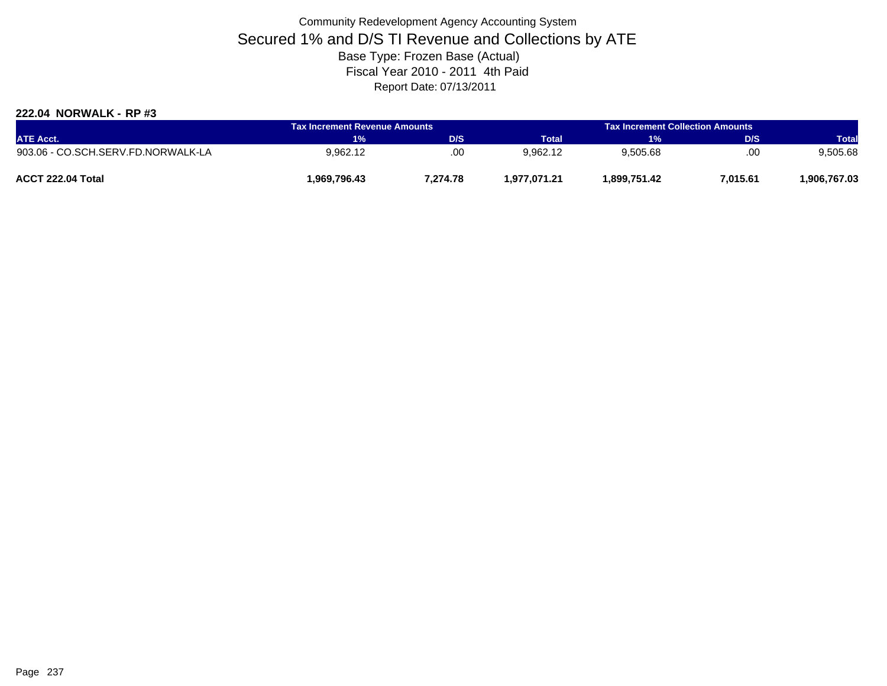### **222.04 NORWALK - RP #3**

| <b>ATE Acct.</b>                   | <b>Tax Increment Revenue Amounts</b> |          |              | <b>Tax Increment Collection Amounts</b> |          |              |
|------------------------------------|--------------------------------------|----------|--------------|-----------------------------------------|----------|--------------|
|                                    | $1\%$                                | D/S      | <b>Total</b> | 1%                                      | D/S      | <b>Total</b> |
| 903.06 - CO.SCH.SERV.FD.NORWALK-LA | 9.962.12                             | .00      | 9.962.12     | 9,505.68                                | .00      | 9,505.68     |
| ACCT 222.04 Total                  | 969,796.43                           | 7.274.78 | 1.977.071.21 | 1.899.751.42                            | 7,015.61 | .906,767.03  |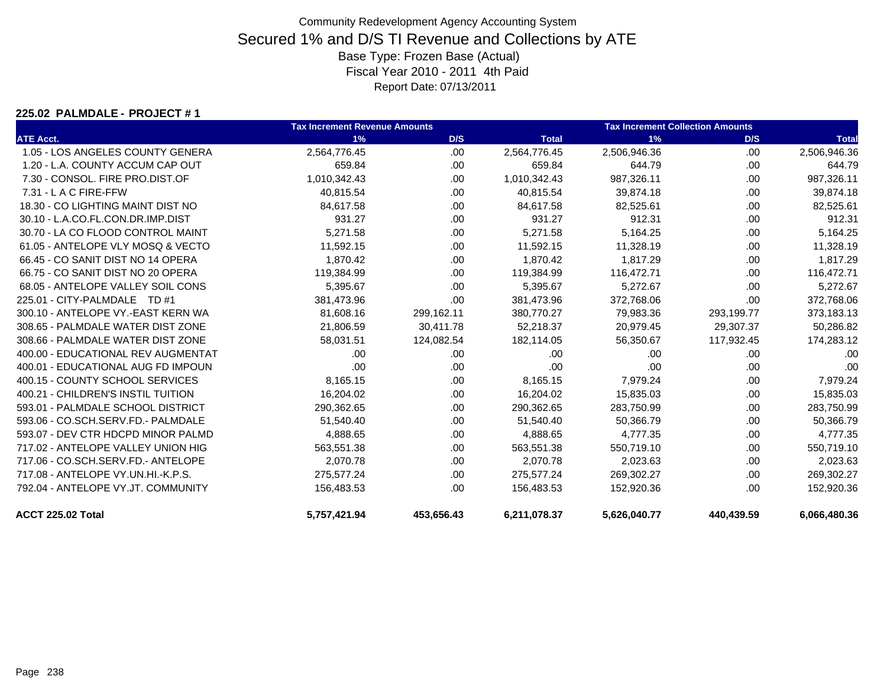#### **225.02 PALMDALE - PROJECT # 1**

|                                    | <b>Tax Increment Revenue Amounts</b> |            |              | <b>Tax Increment Collection Amounts</b> |            |              |
|------------------------------------|--------------------------------------|------------|--------------|-----------------------------------------|------------|--------------|
| <b>ATE Acct.</b>                   | 1%                                   | D/S        | <b>Total</b> | 1%                                      | D/S        | <b>Total</b> |
| 1.05 - LOS ANGELES COUNTY GENERA   | 2,564,776.45                         | .00.       | 2,564,776.45 | 2,506,946.36                            | .00        | 2,506,946.36 |
| 1.20 - L.A. COUNTY ACCUM CAP OUT   | 659.84                               | .00.       | 659.84       | 644.79                                  | .00        | 644.79       |
| 7.30 - CONSOL. FIRE PRO.DIST.OF    | 1,010,342.43                         | .00.       | 1,010,342.43 | 987,326.11                              | .00        | 987,326.11   |
| 7.31 - L A C FIRE-FFW              | 40,815.54                            | .00        | 40,815.54    | 39,874.18                               | .00.       | 39,874.18    |
| 18.30 - CO LIGHTING MAINT DIST NO  | 84,617.58                            | .00        | 84,617.58    | 82,525.61                               | .00        | 82,525.61    |
| 30.10 - L.A.CO.FL.CON.DR.IMP.DIST  | 931.27                               | .00.       | 931.27       | 912.31                                  | .00        | 912.31       |
| 30.70 - LA CO FLOOD CONTROL MAINT  | 5,271.58                             | .00.       | 5,271.58     | 5,164.25                                | .00        | 5,164.25     |
| 61.05 - ANTELOPE VLY MOSQ & VECTO  | 11,592.15                            | .00        | 11,592.15    | 11,328.19                               | .00        | 11,328.19    |
| 66.45 - CO SANIT DIST NO 14 OPERA  | 1,870.42                             | .00        | 1,870.42     | 1,817.29                                | .00        | 1,817.29     |
| 66.75 - CO SANIT DIST NO 20 OPERA  | 119,384.99                           | .00.       | 119,384.99   | 116,472.71                              | .00        | 116,472.71   |
| 68.05 - ANTELOPE VALLEY SOIL CONS  | 5,395.67                             | .00.       | 5,395.67     | 5,272.67                                | .00        | 5,272.67     |
| 225.01 - CITY-PALMDALE TD #1       | 381,473.96                           | .00        | 381,473.96   | 372,768.06                              | .00        | 372,768.06   |
| 300.10 - ANTELOPE VY.-EAST KERN WA | 81,608.16                            | 299,162.11 | 380,770.27   | 79,983.36                               | 293,199.77 | 373,183.13   |
| 308.65 - PALMDALE WATER DIST ZONE  | 21,806.59                            | 30,411.78  | 52,218.37    | 20,979.45                               | 29,307.37  | 50,286.82    |
| 308.66 - PALMDALE WATER DIST ZONE  | 58,031.51                            | 124,082.54 | 182,114.05   | 56,350.67                               | 117,932.45 | 174,283.12   |
| 400.00 - EDUCATIONAL REV AUGMENTAT | .00                                  | .00        | .00          | .00                                     | .00.       | .00          |
| 400.01 - EDUCATIONAL AUG FD IMPOUN | .00                                  | .00        | .00          | .00                                     | .00        | .00          |
| 400.15 - COUNTY SCHOOL SERVICES    | 8,165.15                             | .00        | 8,165.15     | 7,979.24                                | .00.       | 7,979.24     |
| 400.21 - CHILDREN'S INSTIL TUITION | 16,204.02                            | .00        | 16,204.02    | 15,835.03                               | .00.       | 15,835.03    |
| 593.01 - PALMDALE SCHOOL DISTRICT  | 290,362.65                           | .00        | 290,362.65   | 283,750.99                              | .00.       | 283,750.99   |
| 593.06 - CO.SCH.SERV.FD.- PALMDALE | 51,540.40                            | .00        | 51,540.40    | 50,366.79                               | .00.       | 50,366.79    |
| 593.07 - DEV CTR HDCPD MINOR PALMD | 4,888.65                             | .00        | 4,888.65     | 4,777.35                                | .00        | 4,777.35     |
| 717.02 - ANTELOPE VALLEY UNION HIG | 563,551.38                           | .00.       | 563,551.38   | 550,719.10                              | .00.       | 550,719.10   |
| 717.06 - CO.SCH.SERV.FD.- ANTELOPE | 2,070.78                             | .00        | 2,070.78     | 2,023.63                                | .00.       | 2,023.63     |
| 717.08 - ANTELOPE VY.UN.HI.-K.P.S. | 275,577.24                           | .00        | 275,577.24   | 269,302.27                              | .00        | 269,302.27   |
| 792.04 - ANTELOPE VY.JT. COMMUNITY | 156,483.53                           | .00        | 156,483.53   | 152,920.36                              | .00        | 152,920.36   |
| ACCT 225.02 Total                  | 5,757,421.94                         | 453,656.43 | 6,211,078.37 | 5,626,040.77                            | 440,439.59 | 6,066,480.36 |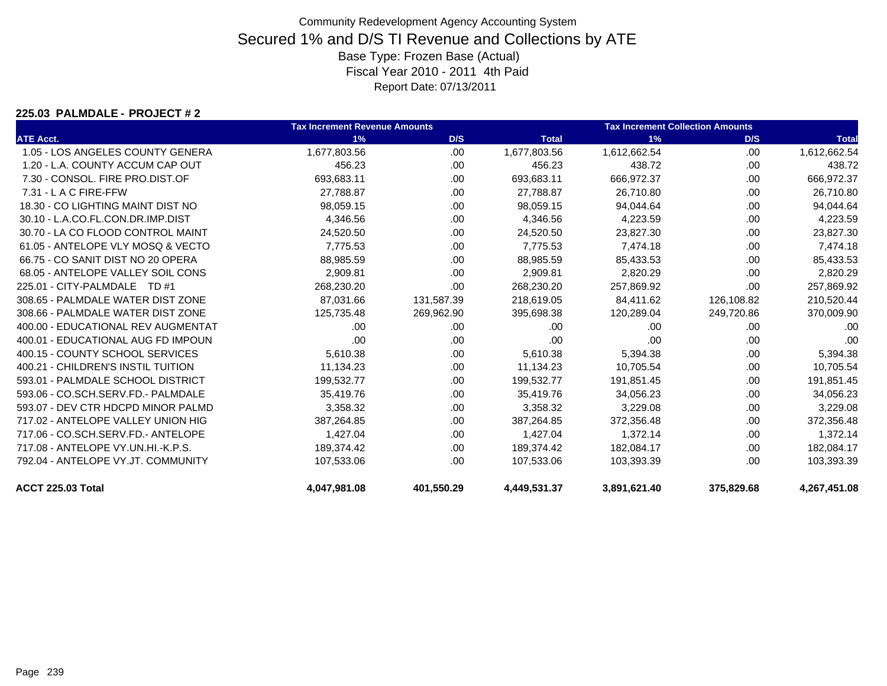#### **225.03 PALMDALE - PROJECT # 2**

|                                    | <b>Tax Increment Revenue Amounts</b> |            |              | <b>Tax Increment Collection Amounts</b> |            |              |  |
|------------------------------------|--------------------------------------|------------|--------------|-----------------------------------------|------------|--------------|--|
| <b>ATE Acct.</b>                   | 1%                                   | D/S        | <b>Total</b> | 1%                                      | D/S        | <b>Total</b> |  |
| 1.05 - LOS ANGELES COUNTY GENERA   | 1,677,803.56                         | .00.       | 1,677,803.56 | 1,612,662.54                            | .00.       | 1,612,662.54 |  |
| 1.20 - L.A. COUNTY ACCUM CAP OUT   | 456.23                               | .00        | 456.23       | 438.72                                  | .00.       | 438.72       |  |
| 7.30 - CONSOL. FIRE PRO.DIST.OF    | 693,683.11                           | .00        | 693,683.11   | 666,972.37                              | .00        | 666,972.37   |  |
| 7.31 - L A C FIRE-FFW              | 27,788.87                            | .00        | 27,788.87    | 26.710.80                               | .00        | 26,710.80    |  |
| 18.30 - CO LIGHTING MAINT DIST NO  | 98,059.15                            | .00        | 98,059.15    | 94,044.64                               | .00        | 94,044.64    |  |
| 30.10 - L.A.CO.FL.CON.DR.IMP.DIST  | 4,346.56                             | .00.       | 4,346.56     | 4,223.59                                | .00.       | 4,223.59     |  |
| 30.70 - LA CO FLOOD CONTROL MAINT  | 24,520.50                            | .00        | 24,520.50    | 23,827.30                               | .00        | 23,827.30    |  |
| 61.05 - ANTELOPE VLY MOSQ & VECTO  | 7,775.53                             | .00.       | 7,775.53     | 7,474.18                                | .00        | 7,474.18     |  |
| 66.75 - CO SANIT DIST NO 20 OPERA  | 88,985.59                            | .00        | 88,985.59    | 85,433.53                               | .00        | 85,433.53    |  |
| 68.05 - ANTELOPE VALLEY SOIL CONS  | 2,909.81                             | .00.       | 2,909.81     | 2,820.29                                | .00        | 2,820.29     |  |
| 225.01 - CITY-PALMDALE TD #1       | 268,230.20                           | .00.       | 268,230.20   | 257,869.92                              | .00        | 257,869.92   |  |
| 308.65 - PALMDALE WATER DIST ZONE  | 87,031.66                            | 131,587.39 | 218,619.05   | 84,411.62                               | 126,108.82 | 210,520.44   |  |
| 308.66 - PALMDALE WATER DIST ZONE  | 125,735.48                           | 269,962.90 | 395,698.38   | 120,289.04                              | 249,720.86 | 370,009.90   |  |
| 400.00 - EDUCATIONAL REV AUGMENTAT | .00.                                 | .00        | .00          | .00.                                    | .00        | .00          |  |
| 400.01 - EDUCATIONAL AUG FD IMPOUN | .00                                  | .00        | .00          | .00                                     | .00        | .00          |  |
| 400.15 - COUNTY SCHOOL SERVICES    | 5,610.38                             | .00.       | 5,610.38     | 5,394.38                                | .00        | 5,394.38     |  |
| 400.21 - CHILDREN'S INSTIL TUITION | 11,134.23                            | .00.       | 11,134.23    | 10,705.54                               | .00        | 10,705.54    |  |
| 593.01 - PALMDALE SCHOOL DISTRICT  | 199,532.77                           | .00.       | 199,532.77   | 191,851.45                              | .00.       | 191,851.45   |  |
| 593.06 - CO.SCH.SERV.FD.- PALMDALE | 35,419.76                            | .00.       | 35,419.76    | 34,056.23                               | .00        | 34,056.23    |  |
| 593.07 - DEV CTR HDCPD MINOR PALMD | 3,358.32                             | .00.       | 3,358.32     | 3,229.08                                | .00        | 3,229.08     |  |
| 717.02 - ANTELOPE VALLEY UNION HIG | 387,264.85                           | .00        | 387,264.85   | 372,356.48                              | .00        | 372,356.48   |  |
| 717.06 - CO.SCH.SERV.FD.- ANTELOPE | 1,427.04                             | .00        | 1,427.04     | 1,372.14                                | .00        | 1,372.14     |  |
| 717.08 - ANTELOPE VY.UN.HI.-K.P.S. | 189,374.42                           | .00        | 189,374.42   | 182,084.17                              | .00        | 182,084.17   |  |
| 792.04 - ANTELOPE VY.JT. COMMUNITY | 107.533.06                           | .00        | 107.533.06   | 103.393.39                              | .00        | 103,393.39   |  |
| <b>ACCT 225.03 Total</b>           | 4,047,981.08                         | 401,550.29 | 4,449,531.37 | 3,891,621.40                            | 375,829.68 | 4,267,451.08 |  |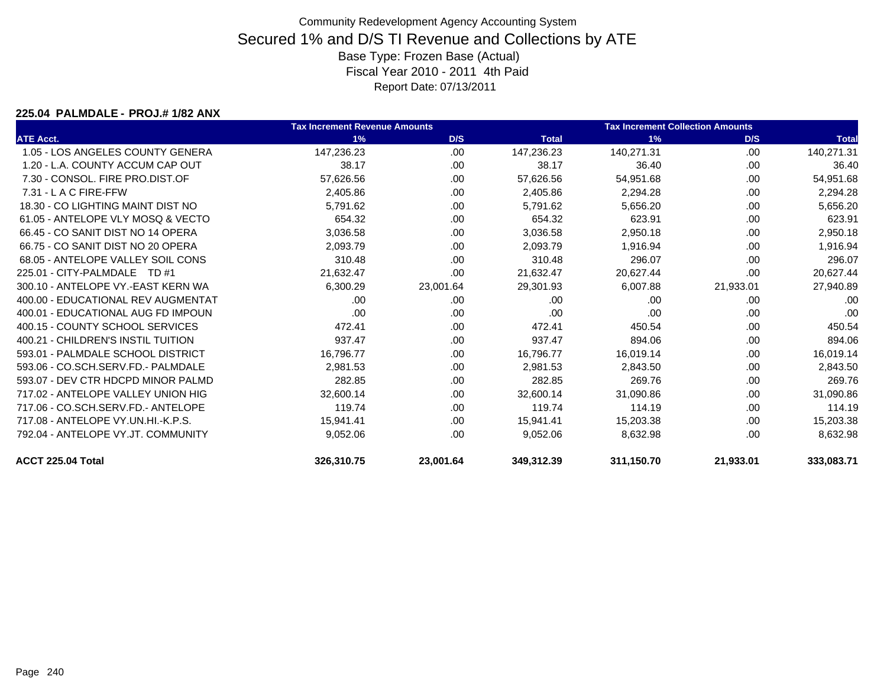#### **225.04 PALMDALE - PROJ.# 1/82 ANX**

|                                    | <b>Tax Increment Revenue Amounts</b> |           |              | <b>Tax Increment Collection Amounts</b> |           |              |
|------------------------------------|--------------------------------------|-----------|--------------|-----------------------------------------|-----------|--------------|
| <b>ATE Acct.</b>                   | 1%                                   | D/S       | <b>Total</b> | 1%                                      | D/S       | <b>Total</b> |
| 1.05 - LOS ANGELES COUNTY GENERA   | 147,236.23                           | .00       | 147,236.23   | 140,271.31                              | .00       | 140,271.31   |
| 1.20 - L.A. COUNTY ACCUM CAP OUT   | 38.17                                | .00       | 38.17        | 36.40                                   | .00       | 36.40        |
| 7.30 - CONSOL, FIRE PRO.DIST.OF    | 57,626.56                            | .00       | 57,626.56    | 54,951.68                               | .00       | 54,951.68    |
| $7.31 - L$ A C FIRE-FFW            | 2,405.86                             | .00       | 2,405.86     | 2,294.28                                | .00       | 2,294.28     |
| 18.30 - CO LIGHTING MAINT DIST NO  | 5,791.62                             | .00       | 5,791.62     | 5,656.20                                | .00       | 5,656.20     |
| 61.05 - ANTELOPE VLY MOSQ & VECTO  | 654.32                               | .00.      | 654.32       | 623.91                                  | .00       | 623.91       |
| 66.45 - CO SANIT DIST NO 14 OPERA  | 3,036.58                             | .00.      | 3,036.58     | 2,950.18                                | .00       | 2,950.18     |
| 66.75 - CO SANIT DIST NO 20 OPERA  | 2,093.79                             | .00       | 2,093.79     | 1,916.94                                | .00       | 1,916.94     |
| 68.05 - ANTELOPE VALLEY SOIL CONS  | 310.48                               | .00.      | 310.48       | 296.07                                  | .00       | 296.07       |
| 225.01 - CITY-PALMDALE<br>TD #1    | 21,632.47                            | .00       | 21,632.47    | 20,627.44                               | .00       | 20,627.44    |
| 300.10 - ANTELOPE VY.-EAST KERN WA | 6,300.29                             | 23,001.64 | 29,301.93    | 6,007.88                                | 21,933.01 | 27,940.89    |
| 400.00 - EDUCATIONAL REV AUGMENTAT | .00                                  | .00       | .00          | .00                                     | .00       | .00          |
| 400.01 - EDUCATIONAL AUG FD IMPOUN | .00                                  | .00       | .00          | .00                                     | .00       | .00          |
| 400.15 - COUNTY SCHOOL SERVICES    | 472.41                               | .00       | 472.41       | 450.54                                  | .00       | 450.54       |
| 400.21 - CHILDREN'S INSTIL TUITION | 937.47                               | .00.      | 937.47       | 894.06                                  | .00.      | 894.06       |
| 593.01 - PALMDALE SCHOOL DISTRICT  | 16,796.77                            | .00.      | 16,796.77    | 16,019.14                               | .00       | 16,019.14    |
| 593.06 - CO.SCH.SERV.FD.- PALMDALE | 2,981.53                             | .00       | 2,981.53     | 2,843.50                                | .00       | 2,843.50     |
| 593.07 - DEV CTR HDCPD MINOR PALMD | 282.85                               | .00       | 282.85       | 269.76                                  | .00       | 269.76       |
| 717.02 - ANTELOPE VALLEY UNION HIG | 32,600.14                            | .00       | 32,600.14    | 31,090.86                               | .00       | 31,090.86    |
| 717.06 - CO.SCH.SERV.FD.- ANTELOPE | 119.74                               | .00       | 119.74       | 114.19                                  | .00       | 114.19       |
| 717.08 - ANTELOPE VY.UN.HI.-K.P.S. | 15,941.41                            | .00       | 15.941.41    | 15,203.38                               | .00       | 15,203.38    |
| 792.04 - ANTELOPE VY.JT. COMMUNITY | 9,052.06                             | .00       | 9,052.06     | 8,632.98                                | .00       | 8,632.98     |
| ACCT 225.04 Total                  | 326,310.75                           | 23,001.64 | 349,312.39   | 311,150.70                              | 21,933.01 | 333,083.71   |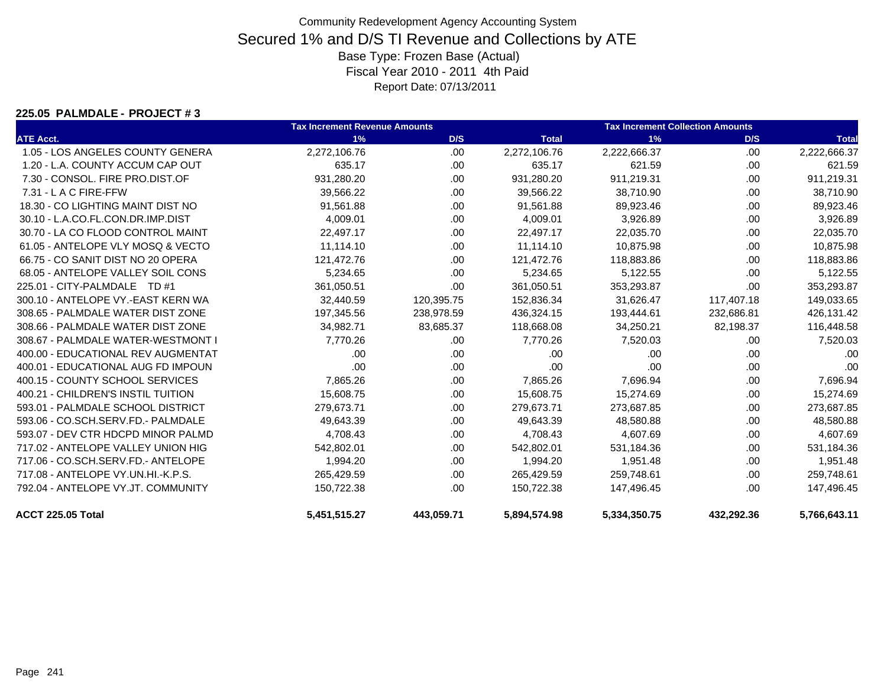#### **225.05 PALMDALE - PROJECT # 3**

|                                    | <b>Tax Increment Revenue Amounts</b> |            | <b>Tax Increment Collection Amounts</b> |              |            |              |
|------------------------------------|--------------------------------------|------------|-----------------------------------------|--------------|------------|--------------|
| <b>ATE Acct.</b>                   | 1%                                   | D/S        | <b>Total</b>                            | 1%           | D/S        | <b>Total</b> |
| 1.05 - LOS ANGELES COUNTY GENERA   | 2,272,106.76                         | .00.       | 2,272,106.76                            | 2,222,666.37 | .00        | 2,222,666.37 |
| 1.20 - L.A. COUNTY ACCUM CAP OUT   | 635.17                               | .00.       | 635.17                                  | 621.59       | .00        | 621.59       |
| 7.30 - CONSOL, FIRE PRO.DIST.OF    | 931,280.20                           | .00.       | 931,280.20                              | 911,219.31   | .00.       | 911,219.31   |
| $7.31 - L$ A C FIRE-FFW            | 39,566.22                            | .00        | 39,566.22                               | 38,710.90    | .00.       | 38,710.90    |
| 18.30 - CO LIGHTING MAINT DIST NO  | 91,561.88                            | .00.       | 91,561.88                               | 89,923.46    | .00        | 89,923.46    |
| 30.10 - L.A.CO.FL.CON.DR.IMP.DIST  | 4,009.01                             | .00.       | 4,009.01                                | 3,926.89     | .00        | 3,926.89     |
| 30.70 - LA CO FLOOD CONTROL MAINT  | 22,497.17                            | .00        | 22,497.17                               | 22,035.70    | .00        | 22,035.70    |
| 61.05 - ANTELOPE VLY MOSQ & VECTO  | 11,114.10                            | .00        | 11,114.10                               | 10,875.98    | .00        | 10,875.98    |
| 66.75 - CO SANIT DIST NO 20 OPERA  | 121,472.76                           | .00.       | 121,472.76                              | 118,883.86   | .00        | 118,883.86   |
| 68.05 - ANTELOPE VALLEY SOIL CONS  | 5,234.65                             | .00        | 5,234.65                                | 5,122.55     | .00        | 5,122.55     |
| 225.01 - CITY-PALMDALE TD #1       | 361,050.51                           | .00        | 361,050.51                              | 353,293.87   | .00        | 353,293.87   |
| 300.10 - ANTELOPE VY.-EAST KERN WA | 32,440.59                            | 120,395.75 | 152,836.34                              | 31,626.47    | 117,407.18 | 149,033.65   |
| 308.65 - PALMDALE WATER DIST ZONE  | 197,345.56                           | 238,978.59 | 436,324.15                              | 193,444.61   | 232,686.81 | 426,131.42   |
| 308.66 - PALMDALE WATER DIST ZONE  | 34,982.71                            | 83,685.37  | 118,668.08                              | 34,250.21    | 82,198.37  | 116,448.58   |
| 308.67 - PALMDALE WATER-WESTMONT I | 7,770.26                             | .00        | 7,770.26                                | 7,520.03     | .00        | 7,520.03     |
| 400.00 - EDUCATIONAL REV AUGMENTAT | .00                                  | .00.       | .00                                     | .00          | .00        | .00          |
| 400.01 - EDUCATIONAL AUG FD IMPOUN | .00                                  | .00        | .00                                     | .00          | .00.       | .00          |
| 400.15 - COUNTY SCHOOL SERVICES    | 7,865.26                             | .00        | 7,865.26                                | 7,696.94     | .00        | 7,696.94     |
| 400.21 - CHILDREN'S INSTIL TUITION | 15,608.75                            | .00.       | 15,608.75                               | 15,274.69    | .00.       | 15,274.69    |
| 593.01 - PALMDALE SCHOOL DISTRICT  | 279,673.71                           | .00        | 279,673.71                              | 273,687.85   | .00.       | 273,687.85   |
| 593.06 - CO.SCH.SERV.FD.- PALMDALE | 49,643.39                            | .00        | 49,643.39                               | 48,580.88    | .00        | 48,580.88    |
| 593.07 - DEV CTR HDCPD MINOR PALMD | 4,708.43                             | .00.       | 4,708.43                                | 4,607.69     | .00.       | 4,607.69     |
| 717.02 - ANTELOPE VALLEY UNION HIG | 542,802.01                           | .00.       | 542,802.01                              | 531,184.36   | .00.       | 531,184.36   |
| 717.06 - CO.SCH.SERV.FD.- ANTELOPE | 1,994.20                             | .00        | 1,994.20                                | 1,951.48     | .00        | 1,951.48     |
| 717.08 - ANTELOPE VY.UN.HI.-K.P.S. | 265,429.59                           | .00        | 265,429.59                              | 259,748.61   | .00        | 259,748.61   |
| 792.04 - ANTELOPE VY.JT. COMMUNITY | 150,722.38                           | .00        | 150,722.38                              | 147,496.45   | .00        | 147,496.45   |
| ACCT 225.05 Total                  | 5,451,515.27                         | 443,059.71 | 5,894,574.98                            | 5,334,350.75 | 432,292.36 | 5,766,643.11 |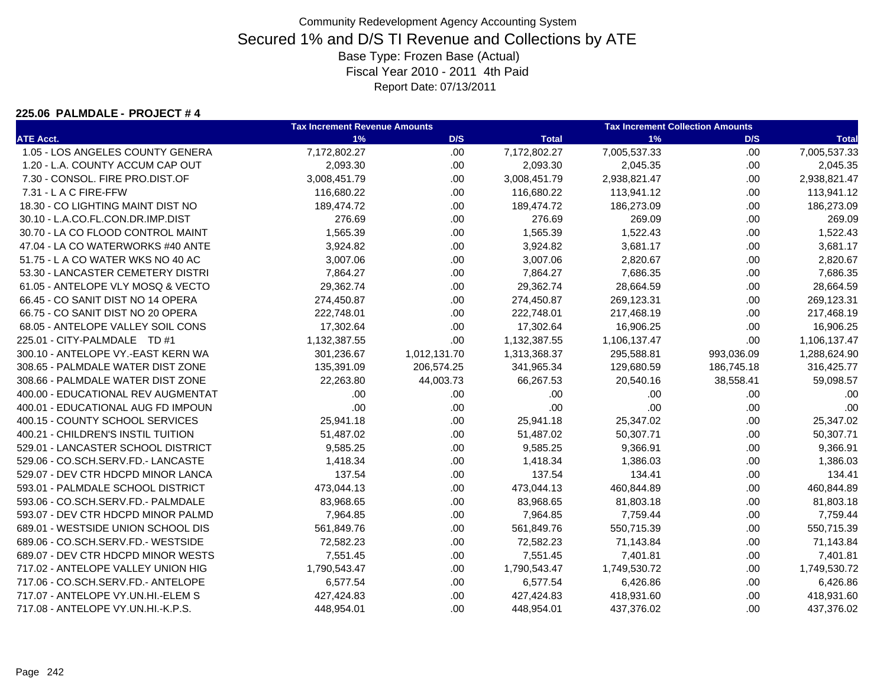#### **225.06 PALMDALE - PROJECT # 4**

|                                    | <b>Tax Increment Revenue Amounts</b> |              | <b>Tax Increment Collection Amounts</b> |              |            |              |
|------------------------------------|--------------------------------------|--------------|-----------------------------------------|--------------|------------|--------------|
| <b>ATE Acct.</b>                   | 1%                                   | D/S          | <b>Total</b>                            | 1%           | D/S        | <b>Total</b> |
| 1.05 - LOS ANGELES COUNTY GENERA   | 7,172,802.27                         | .00          | 7,172,802.27                            | 7,005,537.33 | .00        | 7,005,537.33 |
| 1.20 - L.A. COUNTY ACCUM CAP OUT   | 2,093.30                             | .00.         | 2,093.30                                | 2,045.35     | .00        | 2,045.35     |
| 7.30 - CONSOL. FIRE PRO.DIST.OF    | 3,008,451.79                         | .00          | 3,008,451.79                            | 2,938,821.47 | .00.       | 2,938,821.47 |
| 7.31 - L A C FIRE-FFW              | 116,680.22                           | .00          | 116,680.22                              | 113,941.12   | .00.       | 113,941.12   |
| 18.30 - CO LIGHTING MAINT DIST NO  | 189,474.72                           | .00          | 189,474.72                              | 186,273.09   | .00.       | 186,273.09   |
| 30.10 - L.A.CO.FL.CON.DR.IMP.DIST  | 276.69                               | .00          | 276.69                                  | 269.09       | .00        | 269.09       |
| 30.70 - LA CO FLOOD CONTROL MAINT  | 1,565.39                             | .00.         | 1,565.39                                | 1,522.43     | .00.       | 1,522.43     |
| 47.04 - LA CO WATERWORKS #40 ANTE  | 3,924.82                             | .00          | 3,924.82                                | 3,681.17     | .00.       | 3,681.17     |
| 51.75 - L A CO WATER WKS NO 40 AC  | 3,007.06                             | .00.         | 3,007.06                                | 2,820.67     | .00.       | 2,820.67     |
| 53.30 - LANCASTER CEMETERY DISTRI  | 7,864.27                             | .00          | 7,864.27                                | 7,686.35     | .00.       | 7,686.35     |
| 61.05 - ANTELOPE VLY MOSQ & VECTO  | 29,362.74                            | .00          | 29,362.74                               | 28,664.59    | .00.       | 28,664.59    |
| 66.45 - CO SANIT DIST NO 14 OPERA  | 274,450.87                           | .00          | 274,450.87                              | 269,123.31   | .00.       | 269,123.31   |
| 66.75 - CO SANIT DIST NO 20 OPERA  | 222,748.01                           | .00.         | 222,748.01                              | 217,468.19   | .00.       | 217,468.19   |
| 68.05 - ANTELOPE VALLEY SOIL CONS  | 17,302.64                            | .00          | 17,302.64                               | 16,906.25    | .00        | 16,906.25    |
| 225.01 - CITY-PALMDALE TD #1       | 1,132,387.55                         | .00          | 1,132,387.55                            | 1,106,137.47 | .00        | 1,106,137.47 |
| 300.10 - ANTELOPE VY.-EAST KERN WA | 301,236.67                           | 1,012,131.70 | 1,313,368.37                            | 295,588.81   | 993,036.09 | 1,288,624.90 |
| 308.65 - PALMDALE WATER DIST ZONE  | 135,391.09                           | 206,574.25   | 341,965.34                              | 129,680.59   | 186,745.18 | 316,425.77   |
| 308.66 - PALMDALE WATER DIST ZONE  | 22,263.80                            | 44,003.73    | 66,267.53                               | 20,540.16    | 38,558.41  | 59,098.57    |
| 400.00 - EDUCATIONAL REV AUGMENTAT | .00                                  | .00.         | .00                                     | .00          | .00        | .00          |
| 400.01 - EDUCATIONAL AUG FD IMPOUN | .00                                  | .00          | .00                                     | .00          | .00        | .00          |
| 400.15 - COUNTY SCHOOL SERVICES    | 25,941.18                            | .00          | 25,941.18                               | 25,347.02    | .00        | 25,347.02    |
| 400.21 - CHILDREN'S INSTIL TUITION | 51,487.02                            | .00          | 51,487.02                               | 50,307.71    | .00        | 50,307.71    |
| 529.01 - LANCASTER SCHOOL DISTRICT | 9,585.25                             | .00          | 9,585.25                                | 9,366.91     | .00.       | 9,366.91     |
| 529.06 - CO.SCH.SERV.FD.- LANCASTE | 1,418.34                             | .00          | 1,418.34                                | 1,386.03     | .00.       | 1,386.03     |
| 529.07 - DEV CTR HDCPD MINOR LANCA | 137.54                               | .00          | 137.54                                  | 134.41       | .00.       | 134.41       |
| 593.01 - PALMDALE SCHOOL DISTRICT  | 473,044.13                           | .00          | 473,044.13                              | 460,844.89   | .00.       | 460,844.89   |
| 593.06 - CO.SCH.SERV.FD.- PALMDALE | 83,968.65                            | .00.         | 83,968.65                               | 81,803.18    | .00.       | 81,803.18    |
| 593.07 - DEV CTR HDCPD MINOR PALMD | 7,964.85                             | .00          | 7,964.85                                | 7,759.44     | .00.       | 7,759.44     |
| 689.01 - WESTSIDE UNION SCHOOL DIS | 561,849.76                           | .00.         | 561,849.76                              | 550,715.39   | .00.       | 550,715.39   |
| 689.06 - CO.SCH.SERV.FD.- WESTSIDE | 72,582.23                            | .00          | 72,582.23                               | 71,143.84    | .00.       | 71,143.84    |
| 689.07 - DEV CTR HDCPD MINOR WESTS | 7,551.45                             | .00          | 7,551.45                                | 7,401.81     | .00.       | 7,401.81     |
| 717.02 - ANTELOPE VALLEY UNION HIG | 1,790,543.47                         | .00          | 1,790,543.47                            | 1,749,530.72 | .00.       | 1,749,530.72 |
| 717.06 - CO.SCH.SERV.FD.- ANTELOPE | 6,577.54                             | .00          | 6,577.54                                | 6,426.86     | .00.       | 6,426.86     |
| 717.07 - ANTELOPE VY.UN.HI.-ELEM S | 427,424.83                           | .00.         | 427,424.83                              | 418,931.60   | .00.       | 418,931.60   |
| 717.08 - ANTELOPE VY.UN.HI.-K.P.S. | 448,954.01                           | .00          | 448,954.01                              | 437,376.02   | .00.       | 437,376.02   |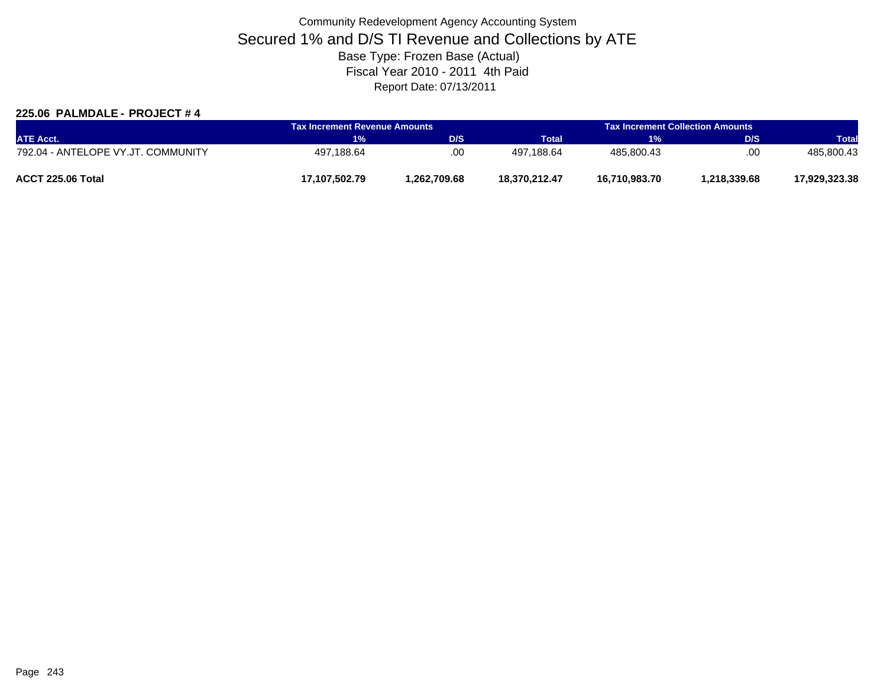### **225.06 PALMDALE - PROJECT # 4**

| <b>ATE Acct.</b>                   |               | Tax Increment Revenue Amounts |               | <b>Tax Increment Collection Amounts</b> |              |               |  |
|------------------------------------|---------------|-------------------------------|---------------|-----------------------------------------|--------------|---------------|--|
|                                    | 1%            | D/S                           | <b>Total</b>  | <b>EXP</b>                              | <b>D/S</b>   | <b>Total</b>  |  |
| 792.04 - ANTELOPE VY.JT. COMMUNITY | 497,188.64    | .00                           | 497.188.64    | 485.800.43                              | .00          | 485.800.43    |  |
| ACCT 225.06 Total                  | 17.107.502.79 | 1.262.709.68                  | 18.370.212.47 | 16,710,983.70                           | 1.218.339.68 | 17,929,323.38 |  |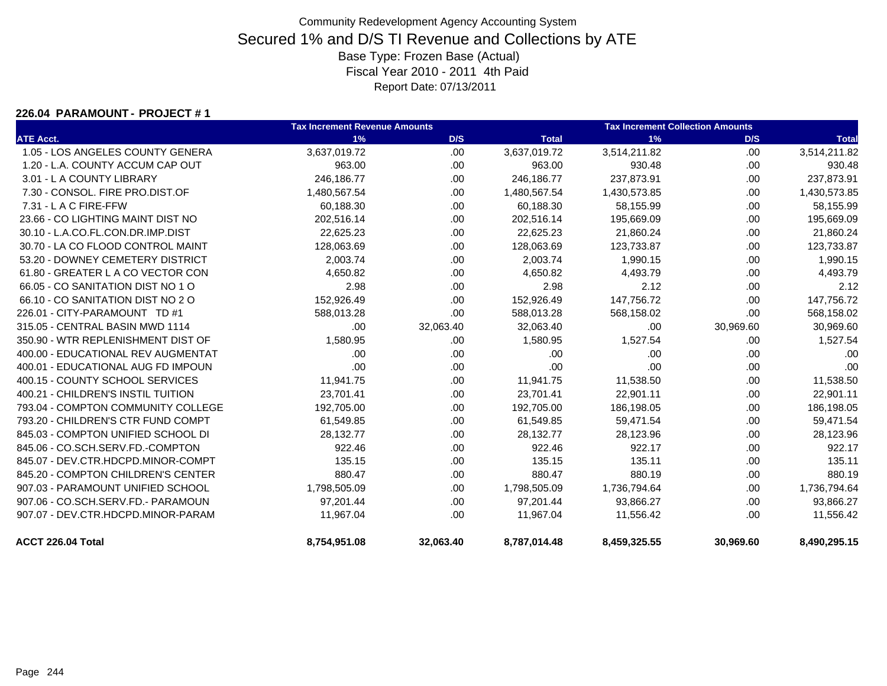#### **226.04 PARAMOUNT - PROJECT # 1**

|                                    | <b>Tax Increment Revenue Amounts</b> |           |              | <b>Tax Increment Collection Amounts</b> |           |              |
|------------------------------------|--------------------------------------|-----------|--------------|-----------------------------------------|-----------|--------------|
| <b>ATE Acct.</b>                   | 1%                                   | D/S       | <b>Total</b> | 1%                                      | D/S       | <b>Total</b> |
| 1.05 - LOS ANGELES COUNTY GENERA   | 3,637,019.72                         | .00.      | 3,637,019.72 | 3,514,211.82                            | .00       | 3,514,211.82 |
| 1.20 - L.A. COUNTY ACCUM CAP OUT   | 963.00                               | .00.      | 963.00       | 930.48                                  | .00       | 930.48       |
| 3.01 - L A COUNTY LIBRARY          | 246,186.77                           | .00.      | 246,186.77   | 237,873.91                              | .00       | 237,873.91   |
| 7.30 - CONSOL, FIRE PRO.DIST.OF    | 1,480,567.54                         | .00       | 1,480,567.54 | 1,430,573.85                            | .00       | 1,430,573.85 |
| 7.31 - L A C FIRE-FFW              | 60,188.30                            | .00.      | 60,188.30    | 58,155.99                               | .00       | 58,155.99    |
| 23.66 - CO LIGHTING MAINT DIST NO  | 202,516.14                           | .00.      | 202,516.14   | 195,669.09                              | .00       | 195,669.09   |
| 30.10 - L.A.CO.FL.CON.DR.IMP.DIST  | 22,625.23                            | .00.      | 22,625.23    | 21,860.24                               | .00       | 21,860.24    |
| 30.70 - LA CO FLOOD CONTROL MAINT  | 128,063.69                           | .00.      | 128,063.69   | 123,733.87                              | .00       | 123,733.87   |
| 53.20 - DOWNEY CEMETERY DISTRICT   | 2,003.74                             | .00.      | 2,003.74     | 1,990.15                                | .00       | 1,990.15     |
| 61.80 - GREATER L A CO VECTOR CON  | 4,650.82                             | .00.      | 4,650.82     | 4,493.79                                | .00       | 4,493.79     |
| 66.05 - CO SANITATION DIST NO 1 O  | 2.98                                 | .00.      | 2.98         | 2.12                                    | .00       | 2.12         |
| 66.10 - CO SANITATION DIST NO 2 O  | 152,926.49                           | .00.      | 152,926.49   | 147,756.72                              | .00.      | 147,756.72   |
| 226.01 - CITY-PARAMOUNT TD #1      | 588,013.28                           | .00.      | 588,013.28   | 568,158.02                              | .00.      | 568,158.02   |
| 315.05 - CENTRAL BASIN MWD 1114    | .00                                  | 32,063.40 | 32,063.40    | .00                                     | 30,969.60 | 30,969.60    |
| 350.90 - WTR REPLENISHMENT DIST OF | 1,580.95                             | .00.      | 1,580.95     | 1,527.54                                | .00       | 1,527.54     |
| 400.00 - EDUCATIONAL REV AUGMENTAT | .00                                  | .00.      | .00          | .00                                     | .00       | .00          |
| 400.01 - EDUCATIONAL AUG FD IMPOUN | .00                                  | .00.      | .00          | .00                                     | .00.      | .00          |
| 400.15 - COUNTY SCHOOL SERVICES    | 11,941.75                            | .00.      | 11,941.75    | 11,538.50                               | .00       | 11,538.50    |
| 400.21 - CHILDREN'S INSTIL TUITION | 23,701.41                            | .00.      | 23,701.41    | 22,901.11                               | .00       | 22,901.11    |
| 793.04 - COMPTON COMMUNITY COLLEGE | 192,705.00                           | .00.      | 192,705.00   | 186,198.05                              | .00       | 186,198.05   |
| 793.20 - CHILDREN'S CTR FUND COMPT | 61,549.85                            | .00.      | 61,549.85    | 59,471.54                               | .00       | 59,471.54    |
| 845.03 - COMPTON UNIFIED SCHOOL DI | 28,132.77                            | .00.      | 28,132.77    | 28,123.96                               | .00       | 28,123.96    |
| 845.06 - CO.SCH.SERV.FD.-COMPTON   | 922.46                               | .00.      | 922.46       | 922.17                                  | .00       | 922.17       |
| 845.07 - DEV.CTR.HDCPD.MINOR-COMPT | 135.15                               | .00.      | 135.15       | 135.11                                  | .00       | 135.11       |
| 845.20 - COMPTON CHILDREN'S CENTER | 880.47                               | .00.      | 880.47       | 880.19                                  | .00       | 880.19       |
| 907.03 - PARAMOUNT UNIFIED SCHOOL  | 1,798,505.09                         | .00.      | 1,798,505.09 | 1,736,794.64                            | .00       | 1,736,794.64 |
| 907.06 - CO.SCH.SERV.FD.- PARAMOUN | 97,201.44                            | .00.      | 97,201.44    | 93,866.27                               | .00       | 93,866.27    |
| 907.07 - DEV.CTR.HDCPD.MINOR-PARAM | 11,967.04                            | .00.      | 11,967.04    | 11,556.42                               | .00       | 11,556.42    |
| ACCT 226.04 Total                  | 8,754,951.08                         | 32,063.40 | 8,787,014.48 | 8,459,325.55                            | 30,969.60 | 8,490,295.15 |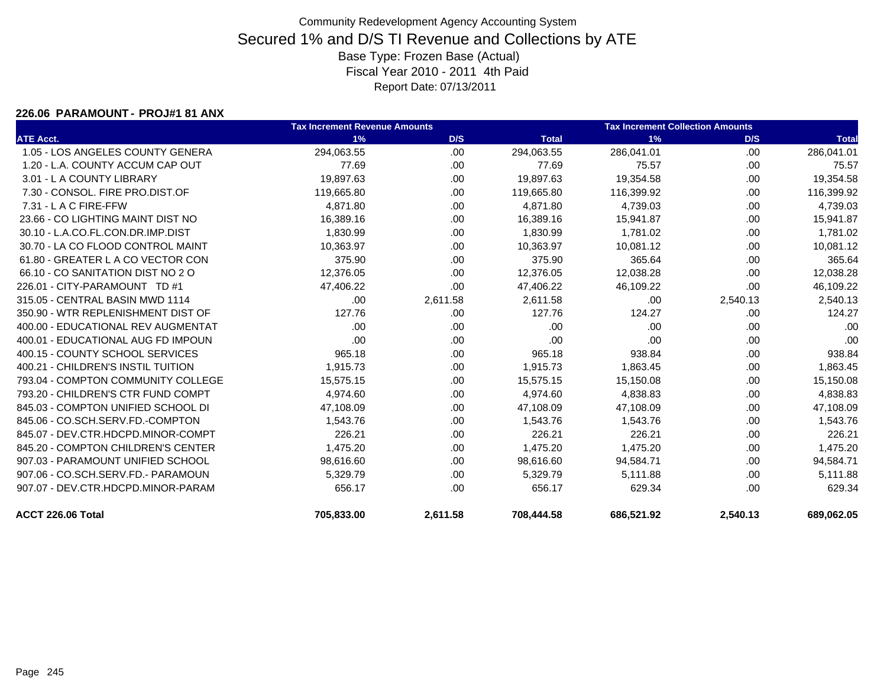#### **226.06 PARAMOUNT - PROJ#1 81 ANX**

|                                    | <b>Tax Increment Revenue Amounts</b> |          |              | <b>Tax Increment Collection Amounts</b> |          |              |
|------------------------------------|--------------------------------------|----------|--------------|-----------------------------------------|----------|--------------|
| <b>ATE Acct.</b>                   | 1%                                   | D/S      | <b>Total</b> | 1%                                      | D/S      | <b>Total</b> |
| 1.05 - LOS ANGELES COUNTY GENERA   | 294,063.55                           | .00.     | 294,063.55   | 286,041.01                              | .00      | 286,041.01   |
| 1.20 - L.A. COUNTY ACCUM CAP OUT   | 77.69                                | .00.     | 77.69        | 75.57                                   | .00      | 75.57        |
| 3.01 - L A COUNTY LIBRARY          | 19,897.63                            | .00.     | 19,897.63    | 19,354.58                               | .00.     | 19,354.58    |
| 7.30 - CONSOL, FIRE PRO.DIST.OF    | 119,665.80                           | .00.     | 119,665.80   | 116,399.92                              | .00      | 116,399.92   |
| 7.31 - L A C FIRE-FFW              | 4,871.80                             | .00.     | 4,871.80     | 4,739.03                                | .00      | 4,739.03     |
| 23.66 - CO LIGHTING MAINT DIST NO  | 16,389.16                            | .00      | 16,389.16    | 15,941.87                               | .00      | 15,941.87    |
| 30.10 - L.A.CO.FL.CON.DR.IMP.DIST  | 1,830.99                             | .00.     | 1,830.99     | 1,781.02                                | .00      | 1,781.02     |
| 30.70 - LA CO FLOOD CONTROL MAINT  | 10,363.97                            | .00.     | 10,363.97    | 10,081.12                               | .00      | 10,081.12    |
| 61.80 - GREATER L A CO VECTOR CON  | 375.90                               | .00      | 375.90       | 365.64                                  | .00      | 365.64       |
| 66.10 - CO SANITATION DIST NO 2 O  | 12,376.05                            | .00      | 12,376.05    | 12,038.28                               | .00      | 12,038.28    |
| 226.01 - CITY-PARAMOUNT TD #1      | 47,406.22                            | .00      | 47,406.22    | 46,109.22                               | .00      | 46,109.22    |
| 315.05 - CENTRAL BASIN MWD 1114    | .00                                  | 2,611.58 | 2,611.58     | .00                                     | 2,540.13 | 2,540.13     |
| 350.90 - WTR REPLENISHMENT DIST OF | 127.76                               | .00      | 127.76       | 124.27                                  | .00      | 124.27       |
| 400.00 - EDUCATIONAL REV AUGMENTAT | .00                                  | .00      | .00          | .00                                     | .00      | .00          |
| 400.01 - EDUCATIONAL AUG FD IMPOUN | .00                                  | .00      | .00          | .00                                     | .00      | .00          |
| 400.15 - COUNTY SCHOOL SERVICES    | 965.18                               | .00      | 965.18       | 938.84                                  | .00      | 938.84       |
| 400.21 - CHILDREN'S INSTIL TUITION | 1,915.73                             | .00.     | 1,915.73     | 1,863.45                                | .00      | 1,863.45     |
| 793.04 - COMPTON COMMUNITY COLLEGE | 15,575.15                            | .00.     | 15,575.15    | 15,150.08                               | .00      | 15,150.08    |
| 793.20 - CHILDREN'S CTR FUND COMPT | 4,974.60                             | .00.     | 4,974.60     | 4,838.83                                | .00      | 4,838.83     |
| 845.03 - COMPTON UNIFIED SCHOOL DI | 47,108.09                            | .00.     | 47,108.09    | 47,108.09                               | .00      | 47,108.09    |
| 845.06 - CO.SCH.SERV.FD.-COMPTON   | 1,543.76                             | .00.     | 1,543.76     | 1,543.76                                | .00      | 1,543.76     |
| 845.07 - DEV.CTR.HDCPD.MINOR-COMPT | 226.21                               | .00      | 226.21       | 226.21                                  | .00      | 226.21       |
| 845.20 - COMPTON CHILDREN'S CENTER | 1,475.20                             | .00.     | 1,475.20     | 1,475.20                                | .00.     | 1,475.20     |
| 907.03 - PARAMOUNT UNIFIED SCHOOL  | 98,616.60                            | .00.     | 98,616.60    | 94,584.71                               | .00      | 94,584.71    |
| 907.06 - CO.SCH.SERV.FD.- PARAMOUN | 5,329.79                             | .00.     | 5,329.79     | 5,111.88                                | .00      | 5,111.88     |
| 907.07 - DEV.CTR.HDCPD.MINOR-PARAM | 656.17                               | .00      | 656.17       | 629.34                                  | .00      | 629.34       |
| ACCT 226.06 Total                  | 705,833.00                           | 2,611.58 | 708,444.58   | 686,521.92                              | 2,540.13 | 689,062.05   |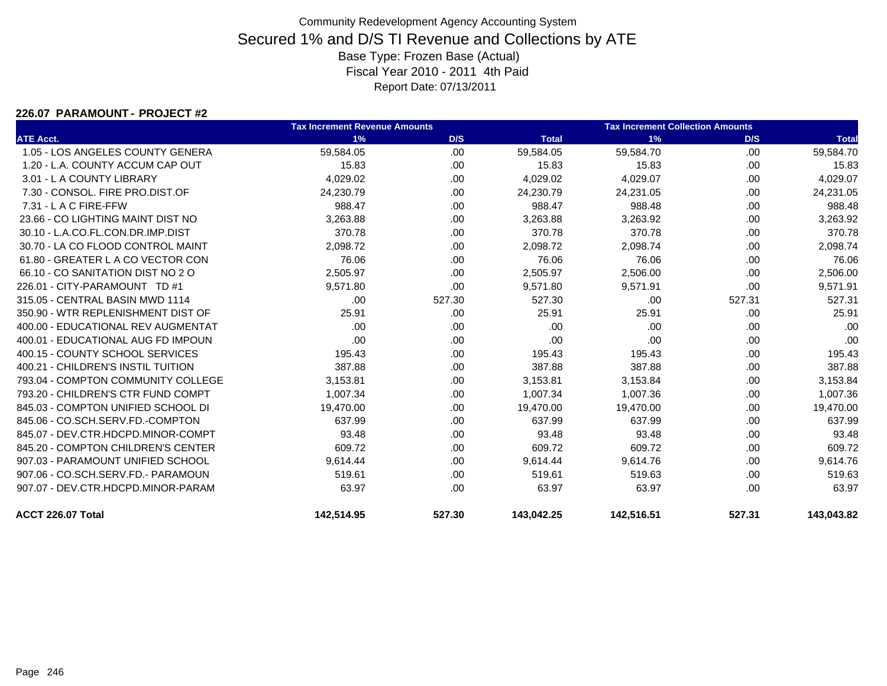### **226.07 PARAMOUNT - PROJECT #2**

|                                    | <b>Tax Increment Revenue Amounts</b> |        |              | <b>Tax Increment Collection Amounts</b> |        |              |  |
|------------------------------------|--------------------------------------|--------|--------------|-----------------------------------------|--------|--------------|--|
| <b>ATE Acct.</b>                   | 1%                                   | D/S    | <b>Total</b> | 1%                                      | D/S    | <b>Total</b> |  |
| 1.05 - LOS ANGELES COUNTY GENERA   | 59,584.05                            | .00.   | 59,584.05    | 59,584.70                               | .00.   | 59,584.70    |  |
| 1.20 - L.A. COUNTY ACCUM CAP OUT   | 15.83                                | .00    | 15.83        | 15.83                                   | .00.   | 15.83        |  |
| 3.01 - L A COUNTY LIBRARY          | 4,029.02                             | .00.   | 4,029.02     | 4,029.07                                | .00.   | 4,029.07     |  |
| 7.30 - CONSOL, FIRE PRO.DIST.OF    | 24,230.79                            | .00    | 24,230.79    | 24,231.05                               | .00    | 24,231.05    |  |
| 7.31 - L A C FIRE-FFW              | 988.47                               | .00.   | 988.47       | 988.48                                  | .00    | 988.48       |  |
| 23.66 - CO LIGHTING MAINT DIST NO  | 3,263.88                             | .00.   | 3,263.88     | 3,263.92                                | .00    | 3,263.92     |  |
| 30.10 - L.A.CO.FL.CON.DR.IMP.DIST  | 370.78                               | .00.   | 370.78       | 370.78                                  | .00.   | 370.78       |  |
| 30.70 - LA CO FLOOD CONTROL MAINT  | 2,098.72                             | .00.   | 2,098.72     | 2,098.74                                | .00    | 2,098.74     |  |
| 61.80 - GREATER L A CO VECTOR CON  | 76.06                                | .00.   | 76.06        | 76.06                                   | .00    | 76.06        |  |
| 66.10 - CO SANITATION DIST NO 2 O  | 2,505.97                             | .00.   | 2,505.97     | 2,506.00                                | .00    | 2,506.00     |  |
| 226.01 - CITY-PARAMOUNT TD #1      | 9,571.80                             | .00    | 9,571.80     | 9,571.91                                | .00    | 9,571.91     |  |
| 315.05 - CENTRAL BASIN MWD 1114    | .00                                  | 527.30 | 527.30       | .00                                     | 527.31 | 527.31       |  |
| 350.90 - WTR REPLENISHMENT DIST OF | 25.91                                | .00.   | 25.91        | 25.91                                   | .00    | 25.91        |  |
| 400.00 - EDUCATIONAL REV AUGMENTAT | .00                                  | .00.   | .00          | .00                                     | .00    | .00          |  |
| 400.01 - EDUCATIONAL AUG FD IMPOUN | .00                                  | .00    | .00          | .00                                     | .00.   | .00          |  |
| 400.15 - COUNTY SCHOOL SERVICES    | 195.43                               | .00.   | 195.43       | 195.43                                  | .00    | 195.43       |  |
| 400.21 - CHILDREN'S INSTIL TUITION | 387.88                               | .00.   | 387.88       | 387.88                                  | .00    | 387.88       |  |
| 793.04 - COMPTON COMMUNITY COLLEGE | 3,153.81                             | .00.   | 3,153.81     | 3,153.84                                | .00    | 3,153.84     |  |
| 793.20 - CHILDREN'S CTR FUND COMPT | 1,007.34                             | .00.   | 1,007.34     | 1,007.36                                | .00.   | 1,007.36     |  |
| 845.03 - COMPTON UNIFIED SCHOOL DI | 19,470.00                            | .00.   | 19,470.00    | 19,470.00                               | .00    | 19,470.00    |  |
| 845.06 - CO.SCH.SERV.FD.-COMPTON   | 637.99                               | .00.   | 637.99       | 637.99                                  | .00    | 637.99       |  |
| 845.07 - DEV.CTR.HDCPD.MINOR-COMPT | 93.48                                | .00.   | 93.48        | 93.48                                   | .00.   | 93.48        |  |
| 845.20 - COMPTON CHILDREN'S CENTER | 609.72                               | .00.   | 609.72       | 609.72                                  | .00.   | 609.72       |  |
| 907.03 - PARAMOUNT UNIFIED SCHOOL  | 9,614.44                             | .00.   | 9,614.44     | 9,614.76                                | .00    | 9,614.76     |  |
| 907.06 - CO.SCH.SERV.FD.- PARAMOUN | 519.61                               | .00.   | 519.61       | 519.63                                  | .00    | 519.63       |  |
| 907.07 - DEV.CTR.HDCPD.MINOR-PARAM | 63.97                                | .00.   | 63.97        | 63.97                                   | .00.   | 63.97        |  |
| ACCT 226.07 Total                  | 142,514.95                           | 527.30 | 143,042.25   | 142,516.51                              | 527.31 | 143,043.82   |  |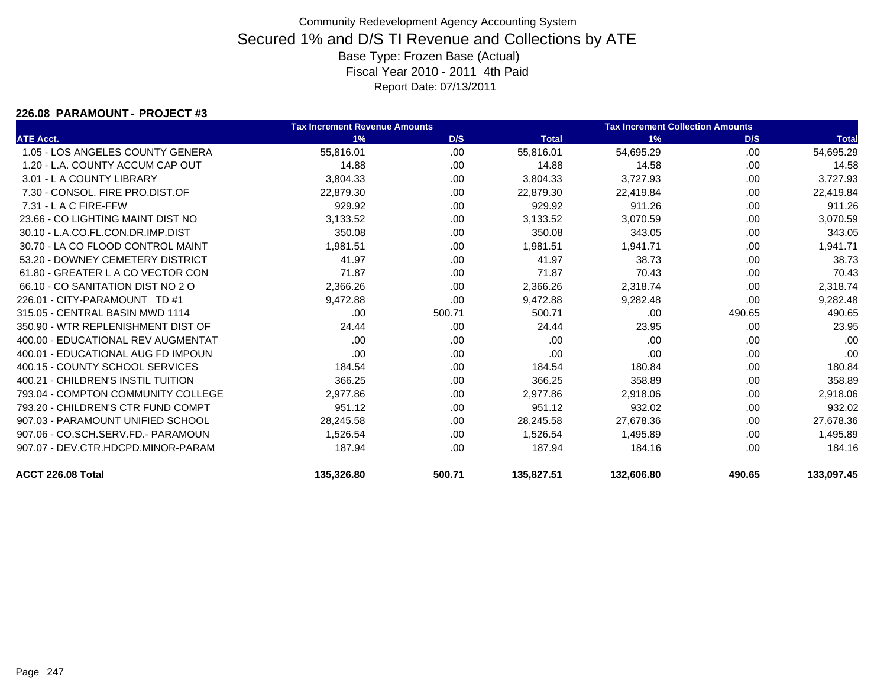### **226.08 PARAMOUNT - PROJECT #3**

|                                    | <b>Tax Increment Revenue Amounts</b> |        |              | <b>Tax Increment Collection Amounts</b> |        |              |
|------------------------------------|--------------------------------------|--------|--------------|-----------------------------------------|--------|--------------|
| <b>ATE Acct.</b>                   | 1%                                   | D/S    | <b>Total</b> | 1%                                      | D/S    | <b>Total</b> |
| 1.05 - LOS ANGELES COUNTY GENERA   | 55,816.01                            | .00    | 55,816.01    | 54,695.29                               | .00    | 54,695.29    |
| 1.20 - L.A. COUNTY ACCUM CAP OUT   | 14.88                                | .00.   | 14.88        | 14.58                                   | .00    | 14.58        |
| 3.01 - L A COUNTY LIBRARY          | 3,804.33                             | .00.   | 3,804.33     | 3,727.93                                | .00    | 3,727.93     |
| 7.30 - CONSOL. FIRE PRO.DIST.OF    | 22.879.30                            | .00    | 22.879.30    | 22.419.84                               | .00    | 22,419.84    |
| 7.31 - L A C FIRE-FFW              | 929.92                               | .00    | 929.92       | 911.26                                  | .00    | 911.26       |
| 23.66 - CO LIGHTING MAINT DIST NO  | 3,133.52                             | .00    | 3,133.52     | 3,070.59                                | .00    | 3,070.59     |
| 30.10 - L.A.CO.FL.CON.DR.IMP.DIST  | 350.08                               | .00    | 350.08       | 343.05                                  | .00    | 343.05       |
| 30.70 - LA CO FLOOD CONTROL MAINT  | 1,981.51                             | .00.   | 1,981.51     | 1,941.71                                | .00    | 1,941.71     |
| 53.20 - DOWNEY CEMETERY DISTRICT   | 41.97                                | .00    | 41.97        | 38.73                                   | .00    | 38.73        |
| 61.80 - GREATER L A CO VECTOR CON  | 71.87                                | .00    | 71.87        | 70.43                                   | .00    | 70.43        |
| 66.10 - CO SANITATION DIST NO 2 O  | 2,366.26                             | .00    | 2,366.26     | 2,318.74                                | .00    | 2,318.74     |
| 226.01 - CITY-PARAMOUNT TD #1      | 9,472.88                             | .00.   | 9,472.88     | 9,282.48                                | .00.   | 9,282.48     |
| 315.05 - CENTRAL BASIN MWD 1114    | .00                                  | 500.71 | 500.71       | .00                                     | 490.65 | 490.65       |
| 350.90 - WTR REPLENISHMENT DIST OF | 24.44                                | .00    | 24.44        | 23.95                                   | .00.   | 23.95        |
| 400.00 - EDUCATIONAL REV AUGMENTAT | .00                                  | .00    | .00          | .00                                     | .00    | .00          |
| 400.01 - EDUCATIONAL AUG FD IMPOUN | .00                                  | .00    | .00          | .00                                     | .00    | .00          |
| 400.15 - COUNTY SCHOOL SERVICES    | 184.54                               | .00    | 184.54       | 180.84                                  | .00    | 180.84       |
| 400.21 - CHILDREN'S INSTIL TUITION | 366.25                               | .00.   | 366.25       | 358.89                                  | .00    | 358.89       |
| 793.04 - COMPTON COMMUNITY COLLEGE | 2,977.86                             | .00    | 2,977.86     | 2,918.06                                | .00    | 2,918.06     |
| 793.20 - CHILDREN'S CTR FUND COMPT | 951.12                               | .00    | 951.12       | 932.02                                  | .00    | 932.02       |
| 907.03 - PARAMOUNT UNIFIED SCHOOL  | 28,245.58                            | .00    | 28,245.58    | 27,678.36                               | .00    | 27,678.36    |
| 907.06 - CO.SCH.SERV.FD.- PARAMOUN | 1,526.54                             | .00    | 1,526.54     | 1,495.89                                | .00    | 1,495.89     |
| 907.07 - DEV.CTR.HDCPD.MINOR-PARAM | 187.94                               | .00    | 187.94       | 184.16                                  | .00    | 184.16       |
| ACCT 226.08 Total                  | 135,326.80                           | 500.71 | 135,827.51   | 132,606.80                              | 490.65 | 133,097.45   |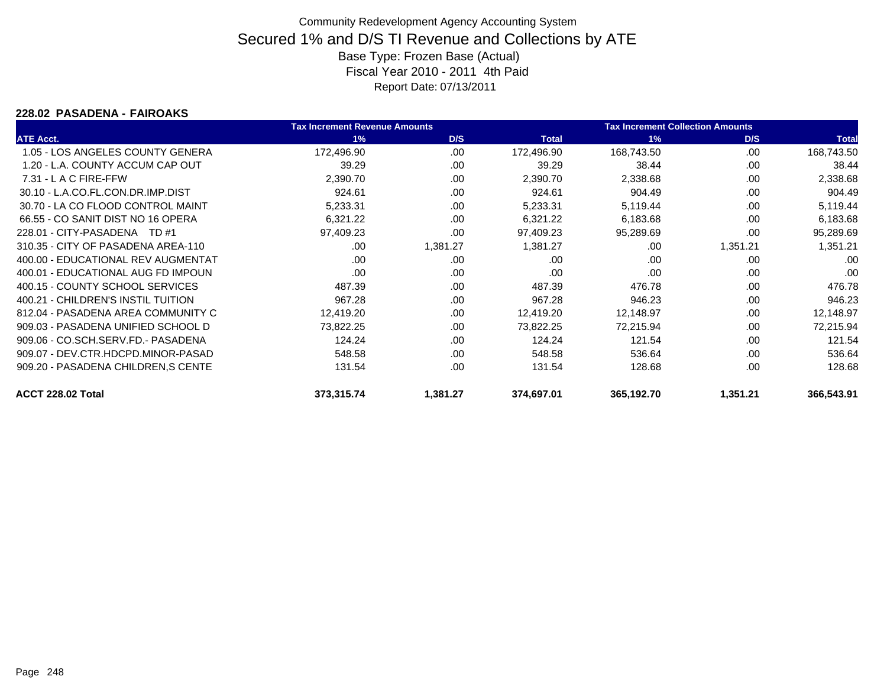### **228.02 PASADENA - FAIROAKS**

|                                    | <b>Tax Increment Revenue Amounts</b> |          |              | <b>Tax Increment Collection Amounts</b> |          |              |
|------------------------------------|--------------------------------------|----------|--------------|-----------------------------------------|----------|--------------|
| <b>ATE Acct.</b>                   | 1%                                   | D/S      | <b>Total</b> | 1%                                      | D/S      | <b>Total</b> |
| 1.05 - LOS ANGELES COUNTY GENERA   | 172,496.90                           | .00.     | 172,496.90   | 168,743.50                              | .00      | 168,743.50   |
| 1.20 - L.A. COUNTY ACCUM CAP OUT   | 39.29                                | .00      | 39.29        | 38.44                                   | .00      | 38.44        |
| $7.31 - L$ A C FIRE-FFW            | 2,390.70                             | .00      | 2,390.70     | 2,338.68                                | .00      | 2,338.68     |
| 30.10 - L.A.CO.FL.CON.DR.IMP.DIST  | 924.61                               | .00      | 924.61       | 904.49                                  | .00      | 904.49       |
| 30.70 - LA CO FLOOD CONTROL MAINT  | 5,233.31                             | .00      | 5,233.31     | 5,119.44                                | .00      | 5,119.44     |
| 66.55 - CO SANIT DIST NO 16 OPERA  | 6,321.22                             | .00      | 6,321.22     | 6,183.68                                | .00      | 6,183.68     |
| 228.01 - CITY-PASADENA TD #1       | 97,409.23                            | .00      | 97,409.23    | 95,289.69                               | .00      | 95,289.69    |
| 310.35 - CITY OF PASADENA AREA-110 | .00                                  | 1,381.27 | 1,381.27     | .00                                     | 1,351.21 | 1,351.21     |
| 400.00 - EDUCATIONAL REV AUGMENTAT | .00                                  | .00      | .00          | .00                                     | .00      | .00          |
| 400.01 - EDUCATIONAL AUG FD IMPOUN | .00                                  | .00      | .00          | .00                                     | .00      | .00          |
| 400.15 - COUNTY SCHOOL SERVICES    | 487.39                               | .00      | 487.39       | 476.78                                  | .00      | 476.78       |
| 400.21 - CHILDREN'S INSTIL TUITION | 967.28                               | .00      | 967.28       | 946.23                                  | .00      | 946.23       |
| 812.04 - PASADENA AREA COMMUNITY C | 12,419.20                            | .00      | 12,419.20    | 12,148.97                               | .00      | 12,148.97    |
| 909.03 - PASADENA UNIFIED SCHOOL D | 73,822.25                            | .00      | 73,822.25    | 72,215.94                               | .00      | 72,215.94    |
| 909.06 - CO.SCH.SERV.FD.- PASADENA | 124.24                               | .00      | 124.24       | 121.54                                  | .00.     | 121.54       |
| 909.07 - DEV.CTR.HDCPD.MINOR-PASAD | 548.58                               | .00      | 548.58       | 536.64                                  | .00      | 536.64       |
| 909.20 - PASADENA CHILDREN, SCENTE | 131.54                               | .00      | 131.54       | 128.68                                  | .00      | 128.68       |
| ACCT 228.02 Total                  | 373,315.74                           | 1,381.27 | 374,697.01   | 365,192.70                              | 1,351.21 | 366,543.91   |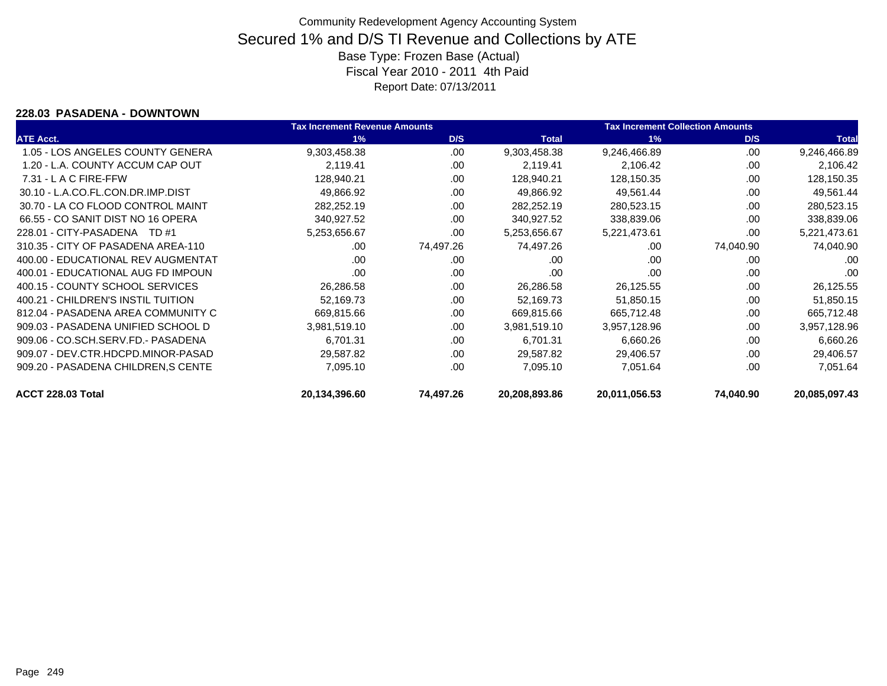### **228.03 PASADENA - DOWNTOWN**

|                                    | <b>Tax Increment Revenue Amounts</b> |           |               | <b>Tax Increment Collection Amounts</b> |           |               |
|------------------------------------|--------------------------------------|-----------|---------------|-----------------------------------------|-----------|---------------|
| <b>ATE Acct.</b>                   | 1%                                   | D/S       | <b>Total</b>  | 1%                                      | D/S       | <b>Total</b>  |
| 1.05 - LOS ANGELES COUNTY GENERA   | 9,303,458.38                         | .00       | 9,303,458.38  | 9,246,466.89                            | .00       | 9,246,466.89  |
| 1.20 - L.A. COUNTY ACCUM CAP OUT   | 2,119.41                             | .00       | 2,119.41      | 2,106.42                                | .00       | 2,106.42      |
| $7.31 - L$ A C FIRE-FFW            | 128,940.21                           | .00       | 128,940.21    | 128,150.35                              | .00       | 128,150.35    |
| 30.10 - L.A.CO.FL.CON.DR.IMP.DIST  | 49,866.92                            | .00       | 49,866.92     | 49,561.44                               | .00       | 49,561.44     |
| 30.70 - LA CO FLOOD CONTROL MAINT  | 282,252.19                           | .00       | 282,252.19    | 280,523.15                              | .00       | 280,523.15    |
| 66.55 - CO SANIT DIST NO 16 OPERA  | 340,927.52                           | .00       | 340,927.52    | 338,839.06                              | .00       | 338,839.06    |
| 228.01 - CITY-PASADENA TD #1       | 5,253,656.67                         | .00       | 5,253,656.67  | 5,221,473.61                            | .00       | 5,221,473.61  |
| 310.35 - CITY OF PASADENA AREA-110 | .00                                  | 74,497.26 | 74,497.26     | .00                                     | 74,040.90 | 74,040.90     |
| 400.00 - EDUCATIONAL REV AUGMENTAT | .00                                  | .00       | .00           | .00                                     | .00       | .00           |
| 400.01 - EDUCATIONAL AUG FD IMPOUN | .00                                  | .00       | .00           | .00                                     | .00       | .00           |
| 400.15 - COUNTY SCHOOL SERVICES    | 26,286.58                            | .00       | 26,286.58     | 26,125.55                               | .00       | 26,125.55     |
| 400.21 - CHILDREN'S INSTIL TUITION | 52,169.73                            | .00       | 52,169.73     | 51,850.15                               | .00       | 51,850.15     |
| 812.04 - PASADENA AREA COMMUNITY C | 669,815.66                           | .00       | 669,815.66    | 665,712.48                              | .00       | 665,712.48    |
| 909.03 - PASADENA UNIFIED SCHOOL D | 3,981,519.10                         | .00       | 3,981,519.10  | 3,957,128.96                            | .00       | 3,957,128.96  |
| 909.06 - CO.SCH.SERV.FD.- PASADENA | 6,701.31                             | .00       | 6,701.31      | 6,660.26                                | .00       | 6,660.26      |
| 909.07 - DEV.CTR.HDCPD.MINOR-PASAD | 29,587.82                            | .00       | 29,587.82     | 29,406.57                               | .00       | 29,406.57     |
| 909.20 - PASADENA CHILDREN, SCENTE | 7,095.10                             | .00       | 7,095.10      | 7,051.64                                | .00       | 7,051.64      |
| ACCT 228.03 Total                  | 20,134,396.60                        | 74,497.26 | 20,208,893.86 | 20,011,056.53                           | 74,040.90 | 20,085,097.43 |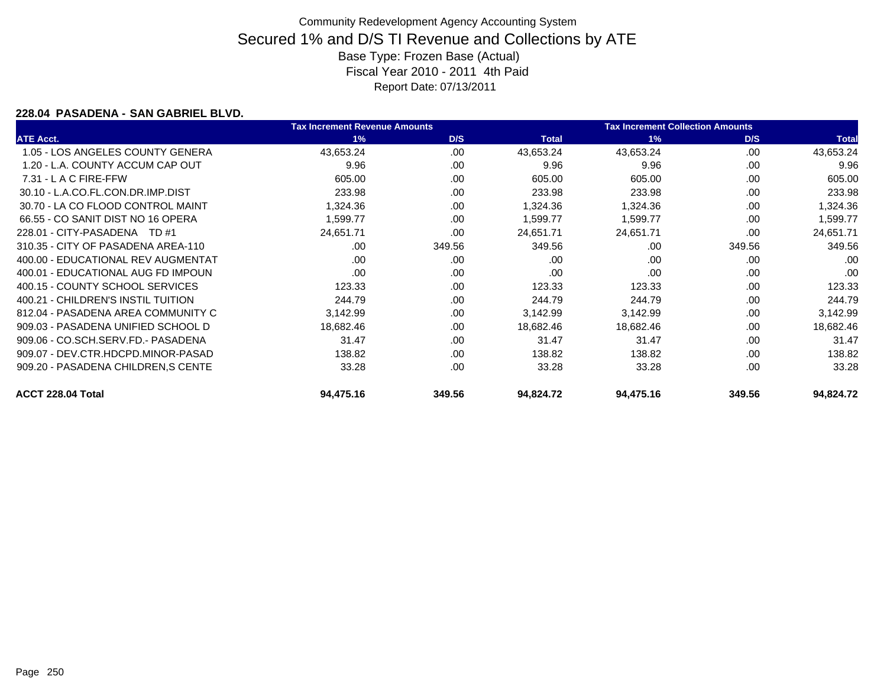### **228.04 PASADENA - SAN GABRIEL BLVD.**

|                                    | <b>Tax Increment Revenue Amounts</b> |        |              | <b>Tax Increment Collection Amounts</b> |        |              |
|------------------------------------|--------------------------------------|--------|--------------|-----------------------------------------|--------|--------------|
| <b>ATE Acct.</b>                   | 1%                                   | D/S    | <b>Total</b> | 1%                                      | D/S    | <b>Total</b> |
| 1.05 - LOS ANGELES COUNTY GENERA   | 43,653.24                            | .00    | 43,653.24    | 43,653.24                               | .00.   | 43,653.24    |
| 1.20 - L.A. COUNTY ACCUM CAP OUT   | 9.96                                 | .00    | 9.96         | 9.96                                    | .00    | 9.96         |
| $7.31 - L$ A C FIRE-FFW            | 605.00                               | .00    | 605.00       | 605.00                                  | .00    | 605.00       |
| 30.10 - L.A.CO.FL.CON.DR.IMP.DIST  | 233.98                               | .00    | 233.98       | 233.98                                  | .00    | 233.98       |
| 30.70 - LA CO FLOOD CONTROL MAINT  | 1,324.36                             | .00    | 1,324.36     | 1,324.36                                | .00    | 1,324.36     |
| 66.55 - CO SANIT DIST NO 16 OPERA  | 1,599.77                             | .00    | 1,599.77     | 1,599.77                                | .00    | 1,599.77     |
| 228.01 - CITY-PASADENA TD #1       | 24,651.71                            | .00    | 24,651.71    | 24,651.71                               | .00    | 24,651.71    |
| 310.35 - CITY OF PASADENA AREA-110 | .00                                  | 349.56 | 349.56       | .00                                     | 349.56 | 349.56       |
| 400.00 - EDUCATIONAL REV AUGMENTAT | .00                                  | .00    | .00          | .00                                     | .00    | .00          |
| 400.01 - EDUCATIONAL AUG FD IMPOUN | .00                                  | .00    | .00          | .00                                     | .00    | .00          |
| 400.15 - COUNTY SCHOOL SERVICES    | 123.33                               | .00    | 123.33       | 123.33                                  | .00.   | 123.33       |
| 400.21 - CHILDREN'S INSTIL TUITION | 244.79                               | .00    | 244.79       | 244.79                                  | .00    | 244.79       |
| 812.04 - PASADENA AREA COMMUNITY C | 3,142.99                             | .00    | 3,142.99     | 3,142.99                                | .00    | 3,142.99     |
| 909.03 - PASADENA UNIFIED SCHOOL D | 18,682.46                            | .00    | 18,682.46    | 18,682.46                               | .00    | 18,682.46    |
| 909.06 - CO.SCH.SERV.FD.- PASADENA | 31.47                                | .00    | 31.47        | 31.47                                   | .00    | 31.47        |
| 909.07 - DEV.CTR.HDCPD.MINOR-PASAD | 138.82                               | .00    | 138.82       | 138.82                                  | .00    | 138.82       |
| 909.20 - PASADENA CHILDREN, SCENTE | 33.28                                | .00    | 33.28        | 33.28                                   | .00    | 33.28        |
| ACCT 228.04 Total                  | 94,475.16                            | 349.56 | 94,824.72    | 94,475.16                               | 349.56 | 94,824.72    |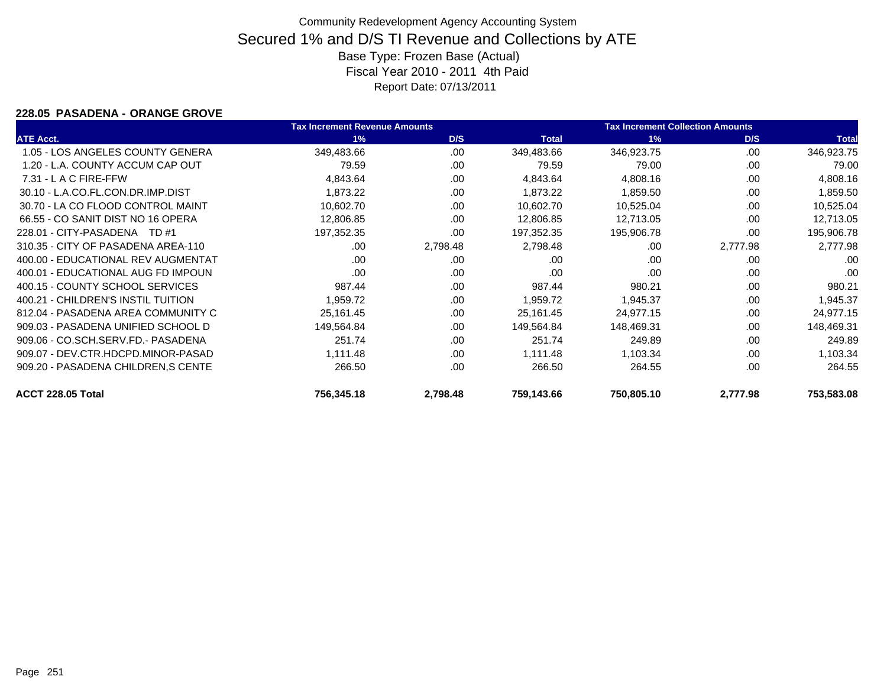### **228.05 PASADENA - ORANGE GROVE**

|                                    | <b>Tax Increment Revenue Amounts</b> |          |              | <b>Tax Increment Collection Amounts</b> |          |              |
|------------------------------------|--------------------------------------|----------|--------------|-----------------------------------------|----------|--------------|
| <b>ATE Acct.</b>                   | 1%                                   | D/S      | <b>Total</b> | 1%                                      | D/S      | <b>Total</b> |
| 1.05 - LOS ANGELES COUNTY GENERA   | 349,483.66                           | .00      | 349,483.66   | 346,923.75                              | .00      | 346,923.75   |
| 1.20 - L.A. COUNTY ACCUM CAP OUT   | 79.59                                | .00      | 79.59        | 79.00                                   | .00      | 79.00        |
| $7.31 - L$ A C FIRE-FFW            | 4,843.64                             | .00      | 4,843.64     | 4,808.16                                | .00      | 4,808.16     |
| 30.10 - L.A.CO.FL.CON.DR.IMP.DIST  | 1,873.22                             | .00      | 1,873.22     | 1,859.50                                | .00      | 1,859.50     |
| 30.70 - LA CO FLOOD CONTROL MAINT  | 10,602.70                            | .00      | 10,602.70    | 10,525.04                               | .00      | 10,525.04    |
| 66.55 - CO SANIT DIST NO 16 OPERA  | 12,806.85                            | .00      | 12,806.85    | 12,713.05                               | .00      | 12,713.05    |
| 228.01 - CITY-PASADENA TD #1       | 197,352.35                           | .00      | 197,352.35   | 195,906.78                              | .00      | 195,906.78   |
| 310.35 - CITY OF PASADENA AREA-110 | .00                                  | 2,798.48 | 2,798.48     | .00                                     | 2,777.98 | 2,777.98     |
| 400.00 - EDUCATIONAL REV AUGMENTAT | .00                                  | .00      | .00          | .00                                     | .00      | .00          |
| 400.01 - EDUCATIONAL AUG FD IMPOUN | .00                                  | .00      | .00          | .00                                     | .00      | .00          |
| 400.15 - COUNTY SCHOOL SERVICES    | 987.44                               | .00      | 987.44       | 980.21                                  | .00      | 980.21       |
| 400.21 - CHILDREN'S INSTIL TUITION | 1,959.72                             | .00.     | 1,959.72     | 1,945.37                                | .00      | 1,945.37     |
| 812.04 - PASADENA AREA COMMUNITY C | 25,161.45                            | .00      | 25,161.45    | 24,977.15                               | .00      | 24,977.15    |
| 909.03 - PASADENA UNIFIED SCHOOL D | 149,564.84                           | .00      | 149,564.84   | 148,469.31                              | .00      | 148,469.31   |
| 909.06 - CO.SCH.SERV.FD.- PASADENA | 251.74                               | .00      | 251.74       | 249.89                                  | .00      | 249.89       |
| 909.07 - DEV.CTR.HDCPD.MINOR-PASAD | 1,111.48                             | .00      | 1,111.48     | 1,103.34                                | .00      | 1,103.34     |
| 909.20 - PASADENA CHILDREN, SCENTE | 266.50                               | .00      | 266.50       | 264.55                                  | .00      | 264.55       |
| ACCT 228.05 Total                  | 756,345.18                           | 2,798.48 | 759,143.66   | 750,805.10                              | 2,777.98 | 753,583.08   |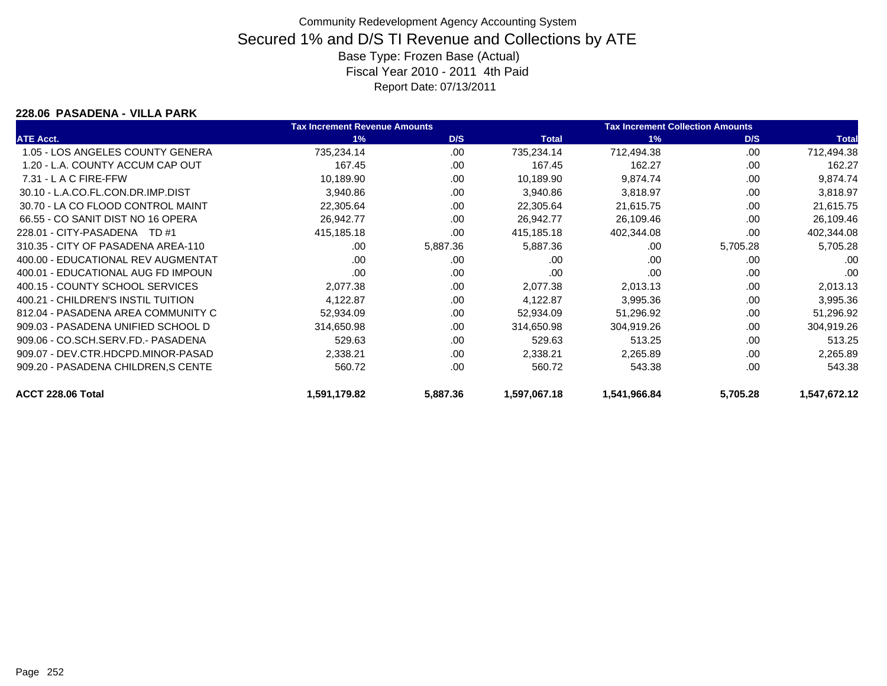### **228.06 PASADENA - VILLA PARK**

|                                    | <b>Tax Increment Revenue Amounts</b> |          |              | <b>Tax Increment Collection Amounts</b> |          |              |
|------------------------------------|--------------------------------------|----------|--------------|-----------------------------------------|----------|--------------|
| <b>ATE Acct.</b>                   | 1%                                   | D/S      | <b>Total</b> | 1%                                      | D/S      | <b>Total</b> |
| 1.05 - LOS ANGELES COUNTY GENERA   | 735,234.14                           | .00.     | 735,234.14   | 712,494.38                              | .00      | 712,494.38   |
| 1.20 - L.A. COUNTY ACCUM CAP OUT   | 167.45                               | .00      | 167.45       | 162.27                                  | .00      | 162.27       |
| $7.31 - L$ A C FIRE-FFW            | 10,189.90                            | .00      | 10,189.90    | 9,874.74                                | .00      | 9,874.74     |
| 30.10 - L.A.CO.FL.CON.DR.IMP.DIST  | 3,940.86                             | .00      | 3,940.86     | 3,818.97                                | .00      | 3,818.97     |
| 30.70 - LA CO FLOOD CONTROL MAINT  | 22,305.64                            | .00      | 22,305.64    | 21,615.75                               | .00      | 21,615.75    |
| 66.55 - CO SANIT DIST NO 16 OPERA  | 26,942.77                            | .00      | 26,942.77    | 26,109.46                               | .00      | 26,109.46    |
| 228.01 - CITY-PASADENA TD #1       | 415,185.18                           | .00      | 415,185.18   | 402,344.08                              | .00      | 402,344.08   |
| 310.35 - CITY OF PASADENA AREA-110 | .00                                  | 5,887.36 | 5,887.36     | .00                                     | 5,705.28 | 5,705.28     |
| 400.00 - EDUCATIONAL REV AUGMENTAT | .00                                  | .00      | .00          | .00                                     | .00      | .00          |
| 400.01 - EDUCATIONAL AUG FD IMPOUN | .00                                  | .00      | .00          | .00                                     | .00      | .00          |
| 400.15 - COUNTY SCHOOL SERVICES    | 2,077.38                             | .00      | 2,077.38     | 2,013.13                                | .00      | 2,013.13     |
| 400.21 - CHILDREN'S INSTIL TUITION | 4,122.87                             | .00      | 4,122.87     | 3,995.36                                | .00      | 3,995.36     |
| 812.04 - PASADENA AREA COMMUNITY C | 52,934.09                            | .00      | 52,934.09    | 51,296.92                               | .00      | 51,296.92    |
| 909.03 - PASADENA UNIFIED SCHOOL D | 314,650.98                           | .00      | 314,650.98   | 304,919.26                              | .00      | 304,919.26   |
| 909.06 - CO.SCH.SERV.FD.- PASADENA | 529.63                               | .00      | 529.63       | 513.25                                  | .00      | 513.25       |
| 909.07 - DEV.CTR.HDCPD.MINOR-PASAD | 2,338.21                             | .00      | 2,338.21     | 2,265.89                                | .00      | 2,265.89     |
| 909.20 - PASADENA CHILDREN, SCENTE | 560.72                               | .00      | 560.72       | 543.38                                  | .00      | 543.38       |
| ACCT 228.06 Total                  | 1,591,179.82                         | 5,887.36 | 1,597,067.18 | 1,541,966.84                            | 5,705.28 | 1,547,672.12 |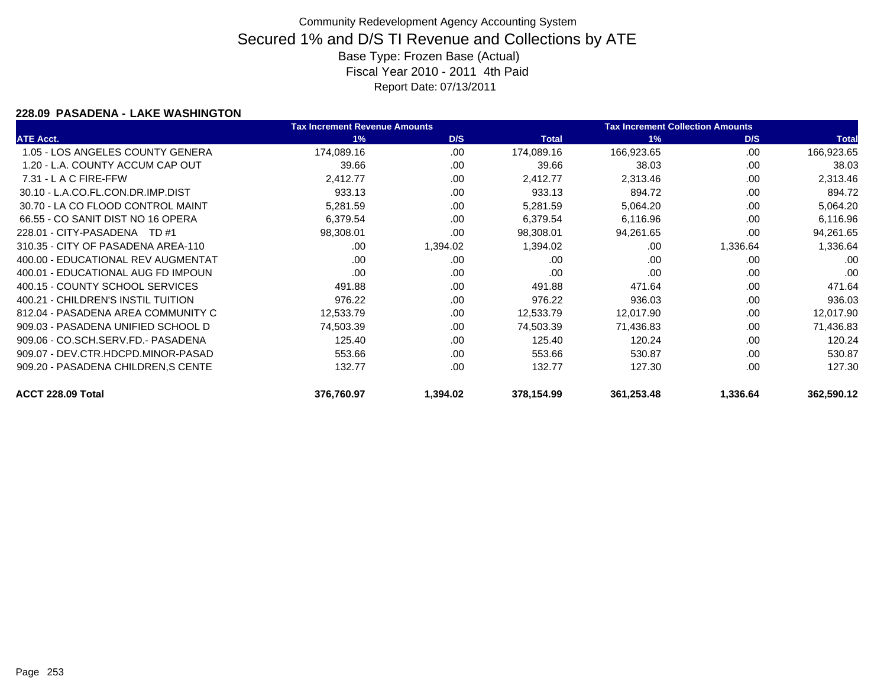#### **228.09 PASADENA - LAKE WASHINGTON**

|                                    | <b>Tax Increment Revenue Amounts</b> |          |              | <b>Tax Increment Collection Amounts</b> |          |              |
|------------------------------------|--------------------------------------|----------|--------------|-----------------------------------------|----------|--------------|
| <b>ATE Acct.</b>                   | 1%                                   | D/S      | <b>Total</b> | 1%                                      | D/S      | <b>Total</b> |
| 1.05 - LOS ANGELES COUNTY GENERA   | 174,089.16                           | .00      | 174,089.16   | 166,923.65                              | .00      | 166,923.65   |
| 1.20 - L.A. COUNTY ACCUM CAP OUT   | 39.66                                | .00      | 39.66        | 38.03                                   | .00      | 38.03        |
| $7.31 - L$ A C FIRE-FFW            | 2,412.77                             | .00      | 2,412.77     | 2,313.46                                | .00      | 2,313.46     |
| 30.10 - L.A.CO.FL.CON.DR.IMP.DIST  | 933.13                               | .00      | 933.13       | 894.72                                  | .00      | 894.72       |
| 30.70 - LA CO FLOOD CONTROL MAINT  | 5,281.59                             | .00      | 5,281.59     | 5,064.20                                | .00      | 5,064.20     |
| 66.55 - CO SANIT DIST NO 16 OPERA  | 6,379.54                             | .00      | 6,379.54     | 6,116.96                                | .00      | 6,116.96     |
| 228.01 - CITY-PASADENA TD #1       | 98,308.01                            | .00      | 98,308.01    | 94,261.65                               | .00      | 94,261.65    |
| 310.35 - CITY OF PASADENA AREA-110 | .00                                  | 1,394.02 | 1,394.02     | .00                                     | 1,336.64 | 1,336.64     |
| 400.00 - EDUCATIONAL REV AUGMENTAT | .00                                  | .00      | .00          | .00                                     | .00      | .00          |
| 400.01 - EDUCATIONAL AUG FD IMPOUN | .00                                  | .00      | .00          | .00                                     | .00      | .00          |
| 400.15 - COUNTY SCHOOL SERVICES    | 491.88                               | .00      | 491.88       | 471.64                                  | .00      | 471.64       |
| 400.21 - CHILDREN'S INSTIL TUITION | 976.22                               | .00      | 976.22       | 936.03                                  | .00      | 936.03       |
| 812.04 - PASADENA AREA COMMUNITY C | 12,533.79                            | .00      | 12,533.79    | 12,017.90                               | .00      | 12,017.90    |
| 909.03 - PASADENA UNIFIED SCHOOL D | 74,503.39                            | .00      | 74,503.39    | 71,436.83                               | .00      | 71,436.83    |
| 909.06 - CO.SCH.SERV.FD.- PASADENA | 125.40                               | .00      | 125.40       | 120.24                                  | .00      | 120.24       |
| 909.07 - DEV.CTR.HDCPD.MINOR-PASAD | 553.66                               | .00      | 553.66       | 530.87                                  | .00      | 530.87       |
| 909.20 - PASADENA CHILDREN, SCENTE | 132.77                               | .00      | 132.77       | 127.30                                  | .00      | 127.30       |
| ACCT 228.09 Total                  | 376,760.97                           | 1,394.02 | 378,154.99   | 361,253.48                              | 1,336.64 | 362,590.12   |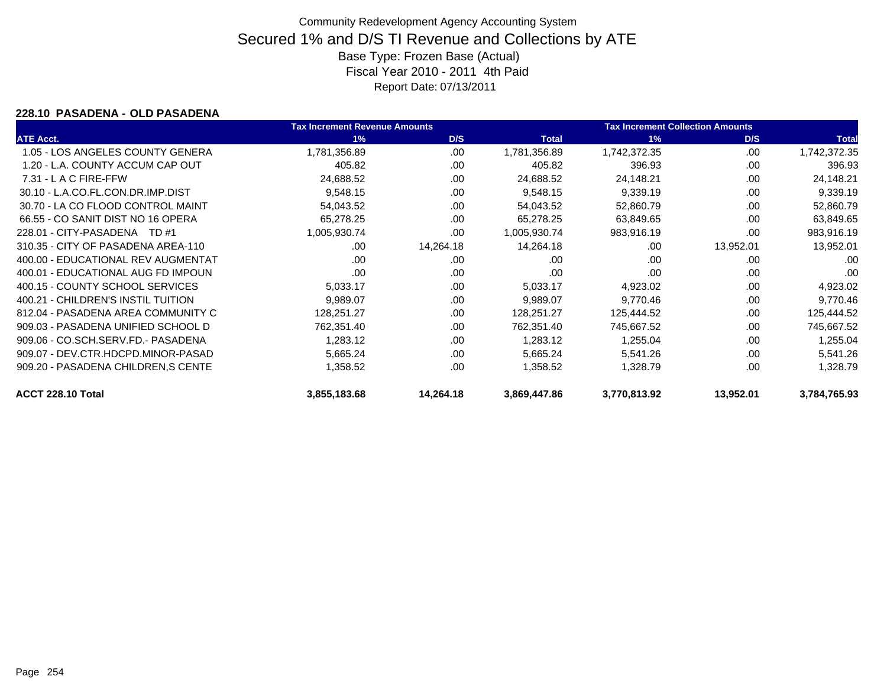#### **228.10 PASADENA - OLD PASADENA**

|                                    | <b>Tax Increment Revenue Amounts</b> |           |              | <b>Tax Increment Collection Amounts</b> |           |              |
|------------------------------------|--------------------------------------|-----------|--------------|-----------------------------------------|-----------|--------------|
| <b>ATE Acct.</b>                   | 1%                                   | D/S       | <b>Total</b> | 1%                                      | D/S       | <b>Total</b> |
| 1.05 - LOS ANGELES COUNTY GENERA   | 1,781,356.89                         | .00       | 1,781,356.89 | 1,742,372.35                            | .00       | 1,742,372.35 |
| 1.20 - L.A. COUNTY ACCUM CAP OUT   | 405.82                               | .00       | 405.82       | 396.93                                  | .00       | 396.93       |
| $7.31 - L$ A C FIRE-FFW            | 24,688.52                            | .00       | 24,688.52    | 24,148.21                               | .00       | 24,148.21    |
| 30.10 - L.A.CO.FL.CON.DR.IMP.DIST  | 9,548.15                             | .00       | 9,548.15     | 9,339.19                                | .00       | 9,339.19     |
| 30.70 - LA CO FLOOD CONTROL MAINT  | 54,043.52                            | .00       | 54,043.52    | 52,860.79                               | .00       | 52,860.79    |
| 66.55 - CO SANIT DIST NO 16 OPERA  | 65,278.25                            | .00       | 65,278.25    | 63,849.65                               | .00       | 63,849.65    |
| 228.01 - CITY-PASADENA TD #1       | 1,005,930.74                         | .00       | 1,005,930.74 | 983,916.19                              | .00       | 983,916.19   |
| 310.35 - CITY OF PASADENA AREA-110 | .00                                  | 14,264.18 | 14,264.18    | .00                                     | 13,952.01 | 13,952.01    |
| 400.00 - EDUCATIONAL REV AUGMENTAT | .00                                  | .00       | .00          | .00                                     | .00       | .00          |
| 400.01 - EDUCATIONAL AUG FD IMPOUN | .00                                  | .00       | .00          | .00                                     | .00       | .00          |
| 400.15 - COUNTY SCHOOL SERVICES    | 5,033.17                             | .00       | 5,033.17     | 4,923.02                                | .00       | 4,923.02     |
| 400.21 - CHILDREN'S INSTIL TUITION | 9,989.07                             | .00       | 9,989.07     | 9,770.46                                | .00       | 9,770.46     |
| 812.04 - PASADENA AREA COMMUNITY C | 128,251.27                           | .00       | 128,251.27   | 125,444.52                              | .00       | 125,444.52   |
| 909.03 - PASADENA UNIFIED SCHOOL D | 762,351.40                           | .00       | 762,351.40   | 745,667.52                              | .00       | 745,667.52   |
| 909.06 - CO.SCH.SERV.FD.- PASADENA | 1,283.12                             | .00       | 1,283.12     | 1,255.04                                | .00       | 1,255.04     |
| 909.07 - DEV.CTR.HDCPD.MINOR-PASAD | 5,665.24                             | .00       | 5,665.24     | 5,541.26                                | .00       | 5,541.26     |
| 909.20 - PASADENA CHILDREN, SCENTE | 1,358.52                             | .00       | 1,358.52     | 1,328.79                                | .00       | 1,328.79     |
| ACCT 228.10 Total                  | 3,855,183.68                         | 14,264.18 | 3,869,447.86 | 3,770,813.92                            | 13,952.01 | 3,784,765.93 |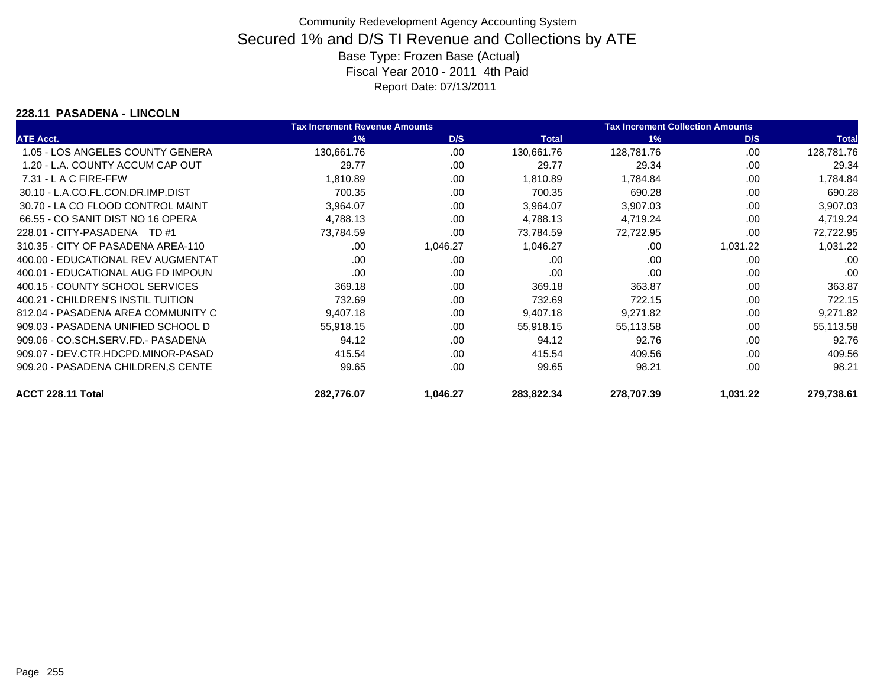### **228.11 PASADENA - LINCOLN**

|                                    | <b>Tax Increment Revenue Amounts</b> |          |              | <b>Tax Increment Collection Amounts</b> |          |              |
|------------------------------------|--------------------------------------|----------|--------------|-----------------------------------------|----------|--------------|
| <b>ATE Acct.</b>                   | 1%                                   | D/S      | <b>Total</b> | 1%                                      | D/S      | <b>Total</b> |
| 1.05 - LOS ANGELES COUNTY GENERA   | 130,661.76                           | .00.     | 130,661.76   | 128,781.76                              | .00.     | 128,781.76   |
| 1.20 - L.A. COUNTY ACCUM CAP OUT   | 29.77                                | .00      | 29.77        | 29.34                                   | .00      | 29.34        |
| $7.31 - L$ A C FIRE-FFW            | 1,810.89                             | .00      | 1,810.89     | 1,784.84                                | .00      | 1,784.84     |
| 30.10 - L.A.CO.FL.CON.DR.IMP.DIST  | 700.35                               | .00      | 700.35       | 690.28                                  | .00      | 690.28       |
| 30.70 - LA CO FLOOD CONTROL MAINT  | 3,964.07                             | .00      | 3,964.07     | 3,907.03                                | .00      | 3,907.03     |
| 66.55 - CO SANIT DIST NO 16 OPERA  | 4,788.13                             | .00      | 4,788.13     | 4,719.24                                | .00      | 4,719.24     |
| 228.01 - CITY-PASADENA TD #1       | 73,784.59                            | .00      | 73,784.59    | 72,722.95                               | .00      | 72,722.95    |
| 310.35 - CITY OF PASADENA AREA-110 | .00.                                 | 1,046.27 | 1,046.27     | .00                                     | 1,031.22 | 1,031.22     |
| 400.00 - EDUCATIONAL REV AUGMENTAT | .00                                  | .00      | .00          | .00                                     | .00      | .00          |
| 400.01 - EDUCATIONAL AUG FD IMPOUN | .00                                  | .00      | .00          | .00                                     | .00      | .00          |
| 400.15 - COUNTY SCHOOL SERVICES    | 369.18                               | .00      | 369.18       | 363.87                                  | .00      | 363.87       |
| 400.21 - CHILDREN'S INSTIL TUITION | 732.69                               | .00      | 732.69       | 722.15                                  | .00      | 722.15       |
| 812.04 - PASADENA AREA COMMUNITY C | 9,407.18                             | .00      | 9,407.18     | 9,271.82                                | .00      | 9,271.82     |
| 909.03 - PASADENA UNIFIED SCHOOL D | 55,918.15                            | .00      | 55,918.15    | 55,113.58                               | .00      | 55,113.58    |
| 909.06 - CO.SCH.SERV.FD.- PASADENA | 94.12                                | .00      | 94.12        | 92.76                                   | .00      | 92.76        |
| 909.07 - DEV.CTR.HDCPD.MINOR-PASAD | 415.54                               | .00      | 415.54       | 409.56                                  | .00      | 409.56       |
| 909.20 - PASADENA CHILDREN, SCENTE | 99.65                                | .00      | 99.65        | 98.21                                   | .00      | 98.21        |
| ACCT 228.11 Total                  | 282,776.07                           | 1,046.27 | 283,822.34   | 278,707.39                              | 1,031.22 | 279,738.61   |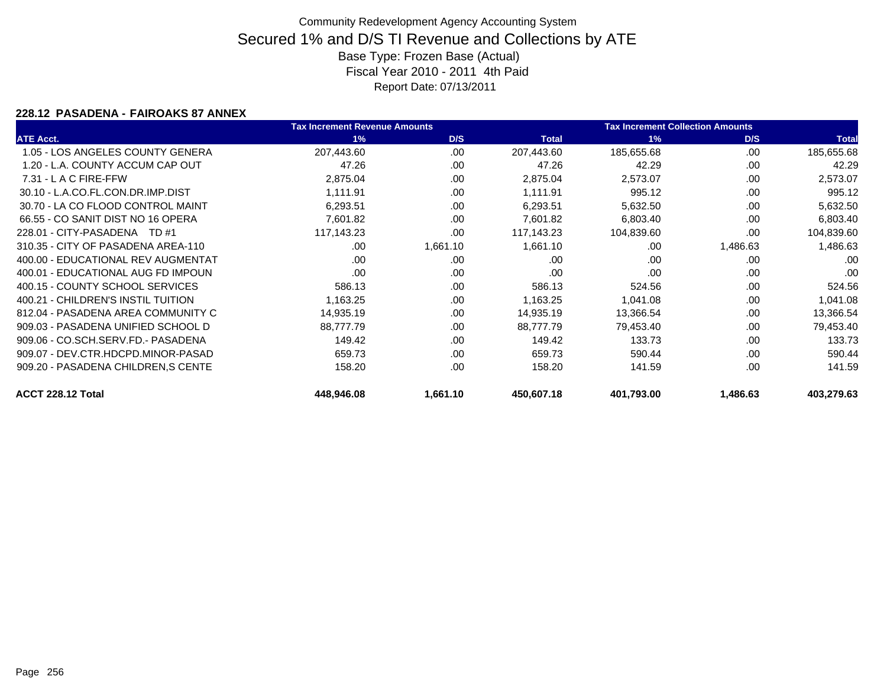### **228.12 PASADENA - FAIROAKS 87 ANNEX**

|                                    | <b>Tax Increment Revenue Amounts</b> |          |              | <b>Tax Increment Collection Amounts</b> |          |              |
|------------------------------------|--------------------------------------|----------|--------------|-----------------------------------------|----------|--------------|
| <b>ATE Acct.</b>                   | 1%                                   | D/S      | <b>Total</b> | 1%                                      | D/S      | <b>Total</b> |
| 1.05 - LOS ANGELES COUNTY GENERA   | 207,443.60                           | .00.     | 207,443.60   | 185,655.68                              | .00      | 185,655.68   |
| 1.20 - L.A. COUNTY ACCUM CAP OUT   | 47.26                                | .00      | 47.26        | 42.29                                   | .00      | 42.29        |
| $7.31 - L$ A C FIRE-FFW            | 2,875.04                             | .00      | 2,875.04     | 2,573.07                                | .00      | 2,573.07     |
| 30.10 - L.A.CO.FL.CON.DR.IMP.DIST  | 1,111.91                             | .00      | 1,111.91     | 995.12                                  | .00      | 995.12       |
| 30.70 - LA CO FLOOD CONTROL MAINT  | 6,293.51                             | .00      | 6,293.51     | 5,632.50                                | .00      | 5,632.50     |
| 66.55 - CO SANIT DIST NO 16 OPERA  | 7,601.82                             | .00      | 7,601.82     | 6,803.40                                | .00      | 6,803.40     |
| 228.01 - CITY-PASADENA TD #1       | 117,143.23                           | .00      | 117,143.23   | 104,839.60                              | .00      | 104,839.60   |
| 310.35 - CITY OF PASADENA AREA-110 | .00                                  | 1,661.10 | 1,661.10     | .00                                     | 1,486.63 | 1,486.63     |
| 400.00 - EDUCATIONAL REV AUGMENTAT | .00                                  | .00      | .00          | .00                                     | .00      | .00          |
| 400.01 - EDUCATIONAL AUG FD IMPOUN | .00                                  | .00      | .00          | .00                                     | .00      | .00          |
| 400.15 - COUNTY SCHOOL SERVICES    | 586.13                               | .00      | 586.13       | 524.56                                  | .00      | 524.56       |
| 400.21 - CHILDREN'S INSTIL TUITION | 1,163.25                             | .00      | 1,163.25     | 1,041.08                                | .00      | 1,041.08     |
| 812.04 - PASADENA AREA COMMUNITY C | 14,935.19                            | .00      | 14,935.19    | 13,366.54                               | .00      | 13,366.54    |
| 909.03 - PASADENA UNIFIED SCHOOL D | 88,777.79                            | .00      | 88,777.79    | 79,453.40                               | .00.     | 79,453.40    |
| 909.06 - CO.SCH.SERV.FD.- PASADENA | 149.42                               | .00      | 149.42       | 133.73                                  | .00      | 133.73       |
| 909.07 - DEV.CTR.HDCPD.MINOR-PASAD | 659.73                               | .00      | 659.73       | 590.44                                  | .00      | 590.44       |
| 909.20 - PASADENA CHILDREN, SCENTE | 158.20                               | .00      | 158.20       | 141.59                                  | .00      | 141.59       |
| ACCT 228.12 Total                  | 448,946.08                           | 1,661.10 | 450,607.18   | 401,793.00                              | 1,486.63 | 403,279.63   |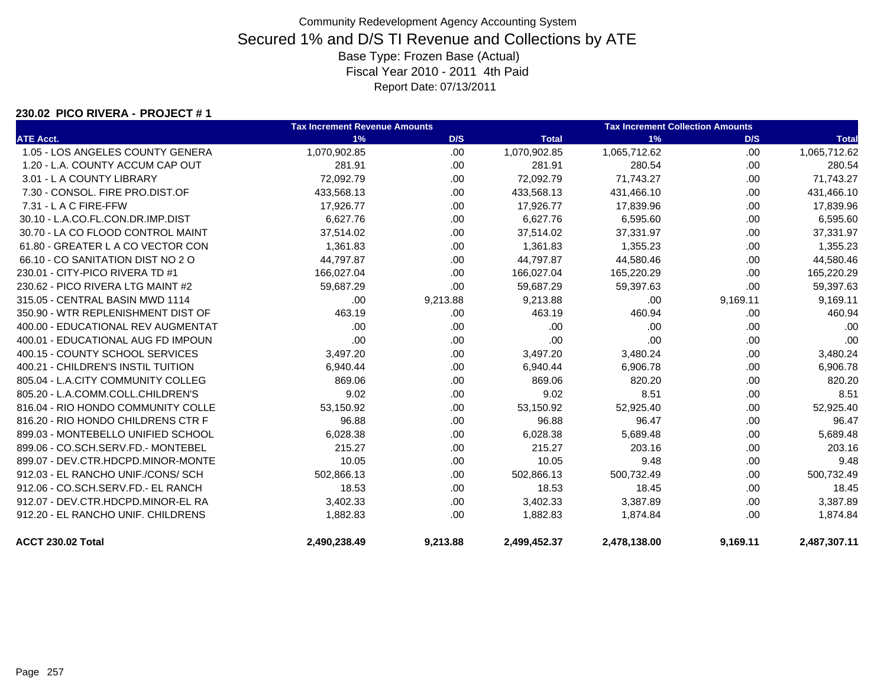#### **230.02 PICO RIVERA - PROJECT # 1**

|                                    | <b>Tax Increment Revenue Amounts</b> |          |              | <b>Tax Increment Collection Amounts</b> |          |              |
|------------------------------------|--------------------------------------|----------|--------------|-----------------------------------------|----------|--------------|
| <b>ATE Acct.</b>                   | 1%                                   | D/S      | <b>Total</b> | 1%                                      | D/S      | <b>Total</b> |
| 1.05 - LOS ANGELES COUNTY GENERA   | 1,070,902.85                         | .00      | 1,070,902.85 | 1,065,712.62                            | .00      | 1,065,712.62 |
| 1.20 - L.A. COUNTY ACCUM CAP OUT   | 281.91                               | .00      | 281.91       | 280.54                                  | .00.     | 280.54       |
| 3.01 - L A COUNTY LIBRARY          | 72,092.79                            | .00.     | 72,092.79    | 71,743.27                               | .00.     | 71,743.27    |
| 7.30 - CONSOL. FIRE PRO.DIST.OF    | 433,568.13                           | .00      | 433,568.13   | 431,466.10                              | .00      | 431,466.10   |
| 7.31 - L A C FIRE-FFW              | 17,926.77                            | .00      | 17,926.77    | 17,839.96                               | .00.     | 17,839.96    |
| 30.10 - L.A.CO.FL.CON.DR.IMP.DIST  | 6,627.76                             | .00.     | 6,627.76     | 6,595.60                                | .00      | 6,595.60     |
| 30.70 - LA CO FLOOD CONTROL MAINT  | 37,514.02                            | .00.     | 37,514.02    | 37,331.97                               | .00      | 37,331.97    |
| 61.80 - GREATER L A CO VECTOR CON  | 1,361.83                             | .00.     | 1,361.83     | 1,355.23                                | .00      | 1,355.23     |
| 66.10 - CO SANITATION DIST NO 2 O  | 44,797.87                            | .00      | 44,797.87    | 44,580.46                               | .00.     | 44,580.46    |
| 230.01 - CITY-PICO RIVERA TD #1    | 166,027.04                           | .00      | 166,027.04   | 165,220.29                              | .00      | 165,220.29   |
| 230.62 - PICO RIVERA LTG MAINT #2  | 59,687.29                            | .00      | 59,687.29    | 59,397.63                               | .00      | 59,397.63    |
| 315.05 - CENTRAL BASIN MWD 1114    | .00                                  | 9,213.88 | 9,213.88     | .00                                     | 9,169.11 | 9,169.11     |
| 350.90 - WTR REPLENISHMENT DIST OF | 463.19                               | .00      | 463.19       | 460.94                                  | .00      | 460.94       |
| 400.00 - EDUCATIONAL REV AUGMENTAT | .00                                  | .00      | .00          | .00                                     | .00.     | .00          |
| 400.01 - EDUCATIONAL AUG FD IMPOUN | .00                                  | .00      | .00          | .00                                     | .00      | .00          |
| 400.15 - COUNTY SCHOOL SERVICES    | 3,497.20                             | .00.     | 3,497.20     | 3,480.24                                | .00      | 3,480.24     |
| 400.21 - CHILDREN'S INSTIL TUITION | 6,940.44                             | .00.     | 6,940.44     | 6,906.78                                | .00.     | 6,906.78     |
| 805.04 - L.A.CITY COMMUNITY COLLEG | 869.06                               | .00      | 869.06       | 820.20                                  | .00      | 820.20       |
| 805.20 - L.A.COMM.COLL.CHILDREN'S  | 9.02                                 | .00      | 9.02         | 8.51                                    | .00      | 8.51         |
| 816.04 - RIO HONDO COMMUNITY COLLE | 53,150.92                            | .00      | 53,150.92    | 52,925.40                               | .00      | 52,925.40    |
| 816.20 - RIO HONDO CHILDRENS CTR F | 96.88                                | .00.     | 96.88        | 96.47                                   | .00.     | 96.47        |
| 899.03 - MONTEBELLO UNIFIED SCHOOL | 6,028.38                             | .00      | 6,028.38     | 5,689.48                                | .00      | 5,689.48     |
| 899.06 - CO.SCH.SERV.FD.- MONTEBEL | 215.27                               | .00.     | 215.27       | 203.16                                  | .00.     | 203.16       |
| 899.07 - DEV.CTR.HDCPD.MINOR-MONTE | 10.05                                | .00.     | 10.05        | 9.48                                    | .00.     | 9.48         |
| 912.03 - EL RANCHO UNIF./CONS/ SCH | 502,866.13                           | .00      | 502,866.13   | 500,732.49                              | .00      | 500,732.49   |
| 912.06 - CO.SCH.SERV.FD.- EL RANCH | 18.53                                | .00      | 18.53        | 18.45                                   | .00      | 18.45        |
| 912.07 - DEV.CTR.HDCPD.MINOR-EL RA | 3,402.33                             | .00.     | 3,402.33     | 3,387.89                                | .00      | 3,387.89     |
| 912.20 - EL RANCHO UNIF, CHILDRENS | 1,882.83                             | .00      | 1,882.83     | 1,874.84                                | .00.     | 1,874.84     |
| <b>ACCT 230.02 Total</b>           | 2,490,238.49                         | 9,213.88 | 2,499,452.37 | 2,478,138.00                            | 9,169.11 | 2,487,307.11 |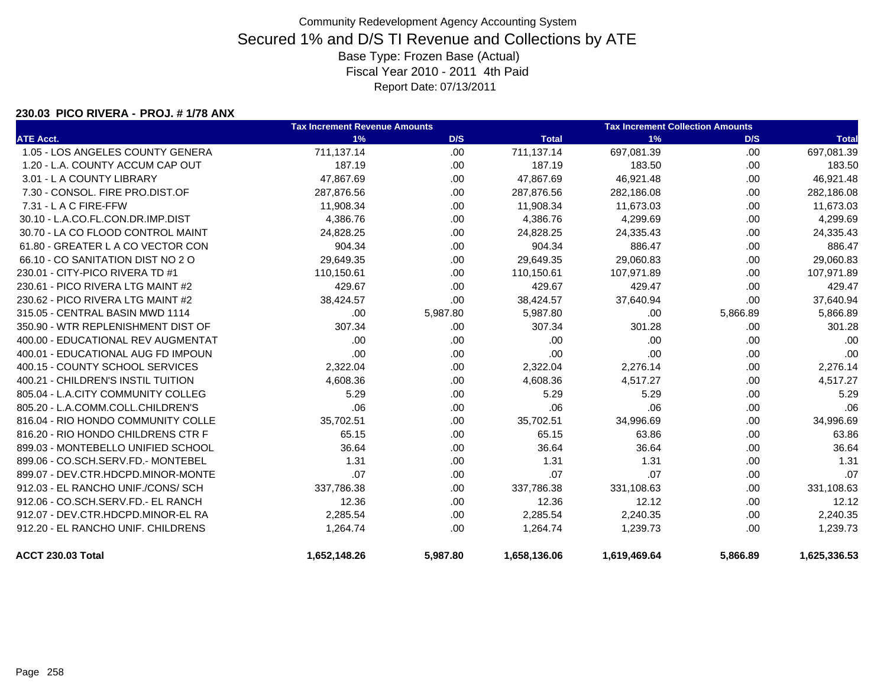#### **230.03 PICO RIVERA - PROJ. # 1/78 ANX**

|                                    | <b>Tax Increment Revenue Amounts</b> |          |              | <b>Tax Increment Collection Amounts</b> |          |              |  |
|------------------------------------|--------------------------------------|----------|--------------|-----------------------------------------|----------|--------------|--|
| <b>ATE Acct.</b>                   | 1%                                   | D/S      | <b>Total</b> | 1%                                      | D/S      | <b>Total</b> |  |
| 1.05 - LOS ANGELES COUNTY GENERA   | 711,137.14                           | .00      | 711,137.14   | 697,081.39                              | .00      | 697,081.39   |  |
| 1.20 - L.A. COUNTY ACCUM CAP OUT   | 187.19                               | .00      | 187.19       | 183.50                                  | .00      | 183.50       |  |
| 3.01 - L A COUNTY LIBRARY          | 47,867.69                            | .00      | 47.867.69    | 46,921.48                               | .00      | 46,921.48    |  |
| 7.30 - CONSOL, FIRE PRO.DIST.OF    | 287,876.56                           | .00      | 287,876.56   | 282,186.08                              | .00.     | 282,186.08   |  |
| 7.31 - L A C FIRE-FFW              | 11,908.34                            | .00      | 11,908.34    | 11,673.03                               | .00      | 11,673.03    |  |
| 30.10 - L.A.CO.FL.CON.DR.IMP.DIST  | 4,386.76                             | .00      | 4,386.76     | 4,299.69                                | .00.     | 4,299.69     |  |
| 30.70 - LA CO FLOOD CONTROL MAINT  | 24,828.25                            | .00      | 24,828.25    | 24,335.43                               | .00      | 24,335.43    |  |
| 61.80 - GREATER L A CO VECTOR CON  | 904.34                               | .00      | 904.34       | 886.47                                  | .00.     | 886.47       |  |
| 66.10 - CO SANITATION DIST NO 2 O  | 29,649.35                            | .00      | 29,649.35    | 29,060.83                               | .00      | 29,060.83    |  |
| 230.01 - CITY-PICO RIVERA TD #1    | 110,150.61                           | .00      | 110,150.61   | 107,971.89                              | .00      | 107,971.89   |  |
| 230.61 - PICO RIVERA LTG MAINT #2  | 429.67                               | .00      | 429.67       | 429.47                                  | .00      | 429.47       |  |
| 230.62 - PICO RIVERA LTG MAINT #2  | 38,424.57                            | .00      | 38,424.57    | 37,640.94                               | .00      | 37,640.94    |  |
| 315.05 - CENTRAL BASIN MWD 1114    | .00.                                 | 5,987.80 | 5,987.80     | .00                                     | 5,866.89 | 5,866.89     |  |
| 350.90 - WTR REPLENISHMENT DIST OF | 307.34                               | .00      | 307.34       | 301.28                                  | .00      | 301.28       |  |
| 400.00 - EDUCATIONAL REV AUGMENTAT | .00.                                 | .00      | .00          | .00                                     | .00      | .00          |  |
| 400.01 - EDUCATIONAL AUG FD IMPOUN | .00                                  | .00      | .00          | .00                                     | .00      | .00          |  |
| 400.15 - COUNTY SCHOOL SERVICES    | 2,322.04                             | .00      | 2,322.04     | 2,276.14                                | .00      | 2,276.14     |  |
| 400.21 - CHILDREN'S INSTIL TUITION | 4,608.36                             | .00      | 4,608.36     | 4,517.27                                | .00      | 4,517.27     |  |
| 805.04 - L.A.CITY COMMUNITY COLLEG | 5.29                                 | .00      | 5.29         | 5.29                                    | .00      | 5.29         |  |
| 805.20 - L.A.COMM.COLL.CHILDREN'S  | .06                                  | .00      | .06          | .06                                     | .00.     | .06          |  |
| 816.04 - RIO HONDO COMMUNITY COLLE | 35,702.51                            | .00      | 35,702.51    | 34,996.69                               | .00.     | 34,996.69    |  |
| 816.20 - RIO HONDO CHILDRENS CTR F | 65.15                                | .00      | 65.15        | 63.86                                   | .00      | 63.86        |  |
| 899.03 - MONTEBELLO UNIFIED SCHOOL | 36.64                                | .00      | 36.64        | 36.64                                   | .00      | 36.64        |  |
| 899.06 - CO.SCH.SERV.FD.- MONTEBEL | 1.31                                 | .00      | 1.31         | 1.31                                    | .00      | 1.31         |  |
| 899.07 - DEV.CTR.HDCPD.MINOR-MONTE | .07                                  | .00      | .07          | .07                                     | .00      | .07          |  |
| 912.03 - EL RANCHO UNIF./CONS/ SCH | 337,786.38                           | .00      | 337,786.38   | 331,108.63                              | .00      | 331,108.63   |  |
| 912.06 - CO.SCH.SERV.FD.- EL RANCH | 12.36                                | .00      | 12.36        | 12.12                                   | .00      | 12.12        |  |
| 912.07 - DEV.CTR.HDCPD.MINOR-EL RA | 2,285.54                             | .00      | 2,285.54     | 2,240.35                                | .00      | 2,240.35     |  |
| 912.20 - EL RANCHO UNIF. CHILDRENS | 1,264.74                             | .00      | 1,264.74     | 1,239.73                                | .00      | 1,239.73     |  |
| <b>ACCT 230.03 Total</b>           | 1,652,148.26                         | 5,987.80 | 1,658,136.06 | 1,619,469.64                            | 5,866.89 | 1,625,336.53 |  |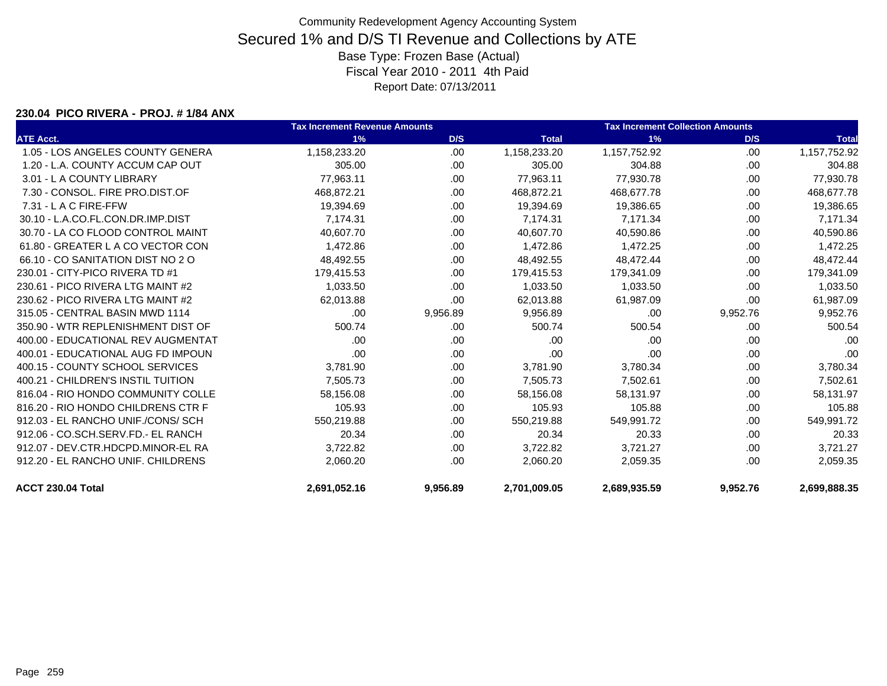#### **230.04 PICO RIVERA - PROJ. # 1/84 ANX**

|                                    | <b>Tax Increment Revenue Amounts</b> |          | <b>Tax Increment Collection Amounts</b> |              |          |              |
|------------------------------------|--------------------------------------|----------|-----------------------------------------|--------------|----------|--------------|
| <b>ATE Acct.</b>                   | 1%                                   | D/S      | <b>Total</b>                            | 1%           | D/S      | <b>Total</b> |
| 1.05 - LOS ANGELES COUNTY GENERA   | 1,158,233.20                         | .00      | 1,158,233.20                            | 1,157,752.92 | .00.     | 1,157,752.92 |
| 1.20 - L.A. COUNTY ACCUM CAP OUT   | 305.00                               | .00      | 305.00                                  | 304.88       | .00      | 304.88       |
| 3.01 - L A COUNTY LIBRARY          | 77.963.11                            | .00      | 77,963.11                               | 77.930.78    | .00      | 77,930.78    |
| 7.30 - CONSOL. FIRE PRO.DIST.OF    | 468.872.21                           | .00      | 468.872.21                              | 468,677.78   | .00      | 468,677.78   |
| 7.31 - L A C FIRE-FFW              | 19,394.69                            | .00      | 19.394.69                               | 19,386.65    | .00      | 19,386.65    |
| 30.10 - L.A.CO.FL.CON.DR.IMP.DIST  | 7.174.31                             | .00      | 7.174.31                                | 7,171.34     | .00      | 7,171.34     |
| 30.70 - LA CO FLOOD CONTROL MAINT  | 40.607.70                            | .00      | 40.607.70                               | 40,590.86    | .00.     | 40,590.86    |
| 61.80 - GREATER L A CO VECTOR CON  | 1,472.86                             | .00      | 1,472.86                                | 1,472.25     | .00.     | 1,472.25     |
| 66.10 - CO SANITATION DIST NO 2 O  | 48,492.55                            | .00      | 48,492.55                               | 48,472.44    | .00      | 48,472.44    |
| 230.01 - CITY-PICO RIVERA TD #1    | 179,415.53                           | .00      | 179,415.53                              | 179,341.09   | .00      | 179,341.09   |
| 230.61 - PICO RIVERA LTG MAINT #2  | 1,033.50                             | .00.     | 1,033.50                                | 1,033.50     | .00.     | 1,033.50     |
| 230.62 - PICO RIVERA LTG MAINT #2  | 62,013.88                            | .00.     | 62,013.88                               | 61,987.09    | .00.     | 61,987.09    |
| 315.05 - CENTRAL BASIN MWD 1114    | .00                                  | 9,956.89 | 9,956.89                                | .00          | 9,952.76 | 9,952.76     |
| 350.90 - WTR REPLENISHMENT DIST OF | 500.74                               | .00      | 500.74                                  | 500.54       | .00      | 500.54       |
| 400.00 - EDUCATIONAL REV AUGMENTAT | .00.                                 | .00      | .00                                     | .00          | .00      | .00          |
| 400.01 - EDUCATIONAL AUG FD IMPOUN | .00                                  | .00      | .00                                     | .00          | .00      | .00          |
| 400.15 - COUNTY SCHOOL SERVICES    | 3,781.90                             | .00      | 3,781.90                                | 3,780.34     | .00      | 3,780.34     |
| 400.21 - CHILDREN'S INSTIL TUITION | 7,505.73                             | .00.     | 7,505.73                                | 7,502.61     | .00      | 7,502.61     |
| 816.04 - RIO HONDO COMMUNITY COLLE | 58,156.08                            | .00      | 58,156.08                               | 58,131.97    | .00      | 58,131.97    |
| 816.20 - RIO HONDO CHILDRENS CTR F | 105.93                               | .00      | 105.93                                  | 105.88       | .00      | 105.88       |
| 912.03 - EL RANCHO UNIF./CONS/ SCH | 550,219.88                           | .00      | 550,219.88                              | 549,991.72   | .00      | 549,991.72   |
| 912.06 - CO.SCH.SERV.FD.- EL RANCH | 20.34                                | .00      | 20.34                                   | 20.33        | .00      | 20.33        |
| 912.07 - DEV.CTR.HDCPD.MINOR-EL RA | 3,722.82                             | .00      | 3,722.82                                | 3,721.27     | .00      | 3,721.27     |
| 912.20 - EL RANCHO UNIF, CHILDRENS | 2,060.20                             | .00      | 2.060.20                                | 2,059.35     | .00      | 2,059.35     |
| ACCT 230.04 Total                  | 2,691,052.16                         | 9,956.89 | 2,701,009.05                            | 2,689,935.59 | 9,952.76 | 2,699,888.35 |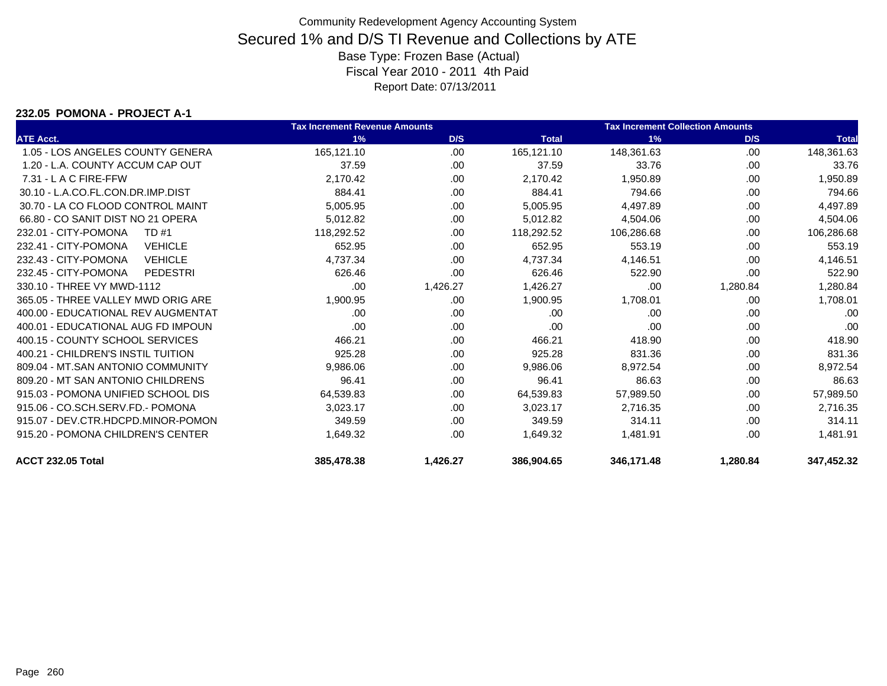#### **232.05 POMONA - PROJECT A-1**

|                                         | <b>Tax Increment Revenue Amounts</b> |          |              | <b>Tax Increment Collection Amounts</b> |          |              |
|-----------------------------------------|--------------------------------------|----------|--------------|-----------------------------------------|----------|--------------|
| <b>ATE Acct.</b>                        | 1%                                   | D/S      | <b>Total</b> | 1%                                      | D/S      | <b>Total</b> |
| 1.05 - LOS ANGELES COUNTY GENERA        | 165,121.10                           | .00      | 165,121.10   | 148,361.63                              | .00      | 148,361.63   |
| 1.20 - L.A. COUNTY ACCUM CAP OUT        | 37.59                                | .00      | 37.59        | 33.76                                   | .00      | 33.76        |
| 7.31 - L A C FIRE-FFW                   | 2,170.42                             | .00      | 2,170.42     | 1,950.89                                | .00      | 1,950.89     |
| 30.10 - L.A.CO.FL.CON.DR.IMP.DIST       | 884.41                               | .00      | 884.41       | 794.66                                  | .00      | 794.66       |
| 30.70 - LA CO FLOOD CONTROL MAINT       | 5,005.95                             | .00      | 5,005.95     | 4,497.89                                | .00      | 4,497.89     |
| 66.80 - CO SANIT DIST NO 21 OPERA       | 5,012.82                             | .00      | 5,012.82     | 4,504.06                                | .00      | 4,504.06     |
| 232.01 - CITY-POMONA<br><b>TD#1</b>     | 118,292.52                           | .00      | 118,292.52   | 106,286.68                              | .00      | 106,286.68   |
| 232.41 - CITY-POMONA<br><b>VEHICLE</b>  | 652.95                               | .00      | 652.95       | 553.19                                  | .00      | 553.19       |
| 232.43 - CITY-POMONA<br><b>VEHICLE</b>  | 4,737.34                             | .00      | 4,737.34     | 4,146.51                                | .00      | 4,146.51     |
| 232.45 - CITY-POMONA<br><b>PEDESTRI</b> | 626.46                               | .00      | 626.46       | 522.90                                  | .00      | 522.90       |
| 330.10 - THREE VY MWD-1112              | .00                                  | 1,426.27 | 1,426.27     | .00                                     | 1,280.84 | 1,280.84     |
| 365.05 - THREE VALLEY MWD ORIG ARE      | 1,900.95                             | .00      | 1,900.95     | 1,708.01                                | .00      | 1,708.01     |
| 400.00 - EDUCATIONAL REV AUGMENTAT      | .00                                  | .00      | .00          | .00                                     | .00      | .00          |
| 400.01 - EDUCATIONAL AUG FD IMPOUN      | .00                                  | .00      | .00          | .00                                     | .00      | .00          |
| 400.15 - COUNTY SCHOOL SERVICES         | 466.21                               | .00      | 466.21       | 418.90                                  | .00      | 418.90       |
| 400.21 - CHILDREN'S INSTIL TUITION      | 925.28                               | .00      | 925.28       | 831.36                                  | .00      | 831.36       |
| 809.04 - MT.SAN ANTONIO COMMUNITY       | 9,986.06                             | .00      | 9,986.06     | 8,972.54                                | .00      | 8,972.54     |
| 809.20 - MT SAN ANTONIO CHILDRENS       | 96.41                                | .00      | 96.41        | 86.63                                   | .00      | 86.63        |
| 915.03 - POMONA UNIFIED SCHOOL DIS      | 64,539.83                            | .00      | 64,539.83    | 57,989.50                               | .00      | 57,989.50    |
| 915.06 - CO.SCH.SERV.FD.- POMONA        | 3,023.17                             | .00      | 3,023.17     | 2,716.35                                | .00      | 2,716.35     |
| 915.07 - DEV.CTR.HDCPD.MINOR-POMON      | 349.59                               | .00      | 349.59       | 314.11                                  | .00      | 314.11       |
| 915.20 - POMONA CHILDREN'S CENTER       | 1,649.32                             | .00      | 1,649.32     | 1,481.91                                | .00.     | 1,481.91     |
| <b>ACCT 232.05 Total</b>                | 385.478.38                           | 1.426.27 | 386,904.65   | 346,171.48                              | 1.280.84 | 347,452.32   |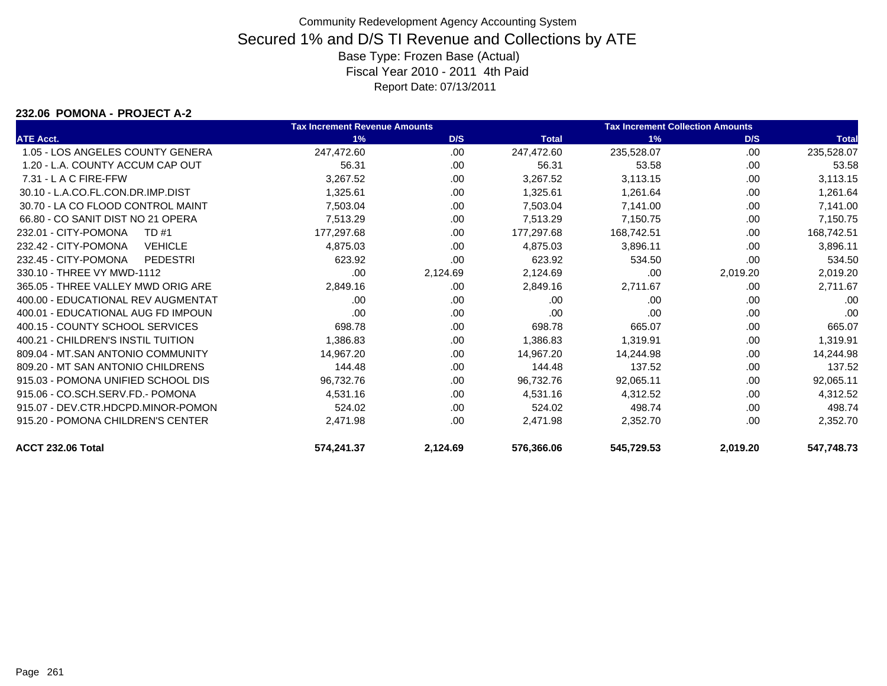#### **232.06 POMONA - PROJECT A-2**

|                                        | <b>Tax Increment Revenue Amounts</b> |          |              | <b>Tax Increment Collection Amounts</b> |          |              |
|----------------------------------------|--------------------------------------|----------|--------------|-----------------------------------------|----------|--------------|
| <b>ATE Acct.</b>                       | 1%                                   | D/S      | <b>Total</b> | 1%                                      | D/S      | <b>Total</b> |
| 1.05 - LOS ANGELES COUNTY GENERA       | 247,472.60                           | .00      | 247,472.60   | 235,528.07                              | .00      | 235,528.07   |
| 1.20 - L.A. COUNTY ACCUM CAP OUT       | 56.31                                | .00      | 56.31        | 53.58                                   | .00      | 53.58        |
| $7.31 - L$ A C FIRE-FFW                | 3,267.52                             | .00      | 3,267.52     | 3,113.15                                | .00      | 3,113.15     |
| 30.10 - L.A.CO.FL.CON.DR.IMP.DIST      | 1,325.61                             | .00      | 1,325.61     | 1,261.64                                | .00      | 1,261.64     |
| 30.70 - LA CO FLOOD CONTROL MAINT      | 7,503.04                             | .00      | 7,503.04     | 7,141.00                                | .00      | 7,141.00     |
| 66.80 - CO SANIT DIST NO 21 OPERA      | 7,513.29                             | .00      | 7,513.29     | 7,150.75                                | .00      | 7,150.75     |
| 232.01 - CITY-POMONA<br>TD #1          | 177,297.68                           | .00      | 177,297.68   | 168,742.51                              | .00      | 168,742.51   |
| 232.42 - CITY-POMONA<br><b>VEHICLE</b> | 4,875.03                             | .00      | 4,875.03     | 3,896.11                                | .00      | 3,896.11     |
| 232.45 - CITY-POMONA<br>PEDESTRI       | 623.92                               | .00      | 623.92       | 534.50                                  | .00      | 534.50       |
| 330.10 - THREE VY MWD-1112             | .00                                  | 2,124.69 | 2,124.69     | .00                                     | 2,019.20 | 2,019.20     |
| 365.05 - THREE VALLEY MWD ORIG ARE     | 2,849.16                             | .00      | 2,849.16     | 2,711.67                                | .00      | 2,711.67     |
| 400.00 - EDUCATIONAL REV AUGMENTAT     | .00                                  | .00      | .00          | .00                                     | .00      | .00          |
| 400.01 - EDUCATIONAL AUG FD IMPOUN     | .00                                  | .00      | .00          | .00                                     | .00      | .00          |
| 400.15 - COUNTY SCHOOL SERVICES        | 698.78                               | .00      | 698.78       | 665.07                                  | .00      | 665.07       |
| 400.21 - CHILDREN'S INSTIL TUITION     | 1,386.83                             | .00      | 1,386.83     | 1,319.91                                | .00      | 1,319.91     |
| 809.04 - MT.SAN ANTONIO COMMUNITY      | 14,967.20                            | .00      | 14,967.20    | 14,244.98                               | .00      | 14,244.98    |
| 809.20 - MT SAN ANTONIO CHILDRENS      | 144.48                               | .00      | 144.48       | 137.52                                  | .00      | 137.52       |
| 915.03 - POMONA UNIFIED SCHOOL DIS     | 96,732.76                            | .00      | 96,732.76    | 92,065.11                               | .00      | 92,065.11    |
| 915.06 - CO.SCH.SERV.FD.- POMONA       | 4,531.16                             | .00      | 4,531.16     | 4,312.52                                | .00      | 4,312.52     |
| 915.07 - DEV.CTR.HDCPD.MINOR-POMON     | 524.02                               | .00      | 524.02       | 498.74                                  | .00      | 498.74       |
| 915.20 - POMONA CHILDREN'S CENTER      | 2,471.98                             | .00      | 2,471.98     | 2,352.70                                | .00      | 2,352.70     |
| ACCT 232.06 Total                      | 574,241.37                           | 2,124.69 | 576,366.06   | 545,729.53                              | 2,019.20 | 547,748.73   |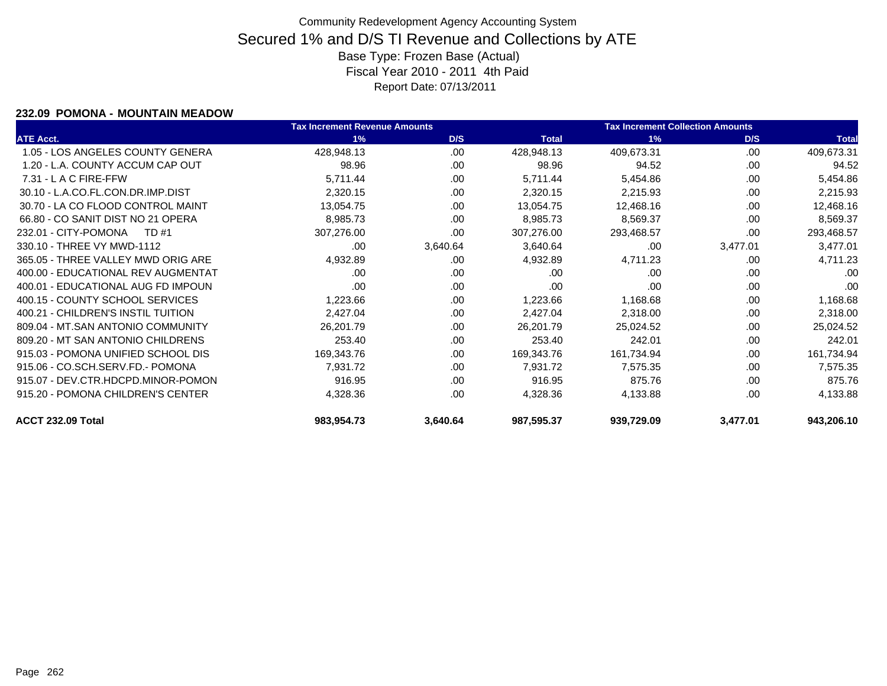### **232.09 POMONA - MOUNTAIN MEADOW**

|                                    | <b>Tax Increment Revenue Amounts</b> |          |              | <b>Tax Increment Collection Amounts</b> |          |              |
|------------------------------------|--------------------------------------|----------|--------------|-----------------------------------------|----------|--------------|
| <b>ATE Acct.</b>                   | 1%                                   | D/S      | <b>Total</b> | 1%                                      | D/S      | <b>Total</b> |
| 1.05 - LOS ANGELES COUNTY GENERA   | 428,948.13                           | .00      | 428,948.13   | 409,673.31                              | .00      | 409,673.31   |
| 1.20 - L.A. COUNTY ACCUM CAP OUT   | 98.96                                | .00      | 98.96        | 94.52                                   | .00      | 94.52        |
| 7.31 - L A C FIRE-FFW              | 5,711.44                             | .00.     | 5,711.44     | 5,454.86                                | .00      | 5,454.86     |
| 30.10 - L.A.CO.FL.CON.DR.IMP.DIST  | 2,320.15                             | .00.     | 2,320.15     | 2,215.93                                | .00      | 2,215.93     |
| 30.70 - LA CO FLOOD CONTROL MAINT  | 13,054.75                            | .00      | 13,054.75    | 12,468.16                               | .00      | 12,468.16    |
| 66.80 - CO SANIT DIST NO 21 OPERA  | 8,985.73                             | .00.     | 8,985.73     | 8,569.37                                | .00      | 8,569.37     |
| 232.01 - CITY-POMONA<br>TD #1      | 307,276.00                           | .00      | 307,276.00   | 293,468.57                              | .00      | 293,468.57   |
| 330.10 - THREE VY MWD-1112         | .00                                  | 3,640.64 | 3,640.64     | .00                                     | 3,477.01 | 3,477.01     |
| 365.05 - THREE VALLEY MWD ORIG ARE | 4,932.89                             | .00      | 4,932.89     | 4,711.23                                | .00      | 4,711.23     |
| 400.00 - EDUCATIONAL REV AUGMENTAT | .00                                  | .00      | .00          | .00                                     | .00      | .00          |
| 400.01 - EDUCATIONAL AUG FD IMPOUN | .00                                  | .00      | .00          | .00                                     | .00      | .00          |
| 400.15 - COUNTY SCHOOL SERVICES    | 1,223.66                             | .00      | 1,223.66     | 1,168.68                                | .00      | 1,168.68     |
| 400.21 - CHILDREN'S INSTIL TUITION | 2,427.04                             | .00      | 2,427.04     | 2,318.00                                | .00      | 2,318.00     |
| 809.04 - MT.SAN ANTONIO COMMUNITY  | 26,201.79                            | .00      | 26,201.79    | 25,024.52                               | .00      | 25,024.52    |
| 809.20 - MT SAN ANTONIO CHILDRENS  | 253.40                               | .00      | 253.40       | 242.01                                  | .00      | 242.01       |
| 915.03 - POMONA UNIFIED SCHOOL DIS | 169,343.76                           | .00      | 169,343.76   | 161,734.94                              | .00      | 161,734.94   |
| 915.06 - CO.SCH.SERV.FD.- POMONA   | 7,931.72                             | .00.     | 7,931.72     | 7,575.35                                | .00      | 7,575.35     |
| 915.07 - DEV.CTR.HDCPD.MINOR-POMON | 916.95                               | .00      | 916.95       | 875.76                                  | .00      | 875.76       |
| 915.20 - POMONA CHILDREN'S CENTER  | 4,328.36                             | .00      | 4,328.36     | 4,133.88                                | .00      | 4,133.88     |
| ACCT 232.09 Total                  | 983,954.73                           | 3,640.64 | 987,595.37   | 939,729.09                              | 3,477.01 | 943,206.10   |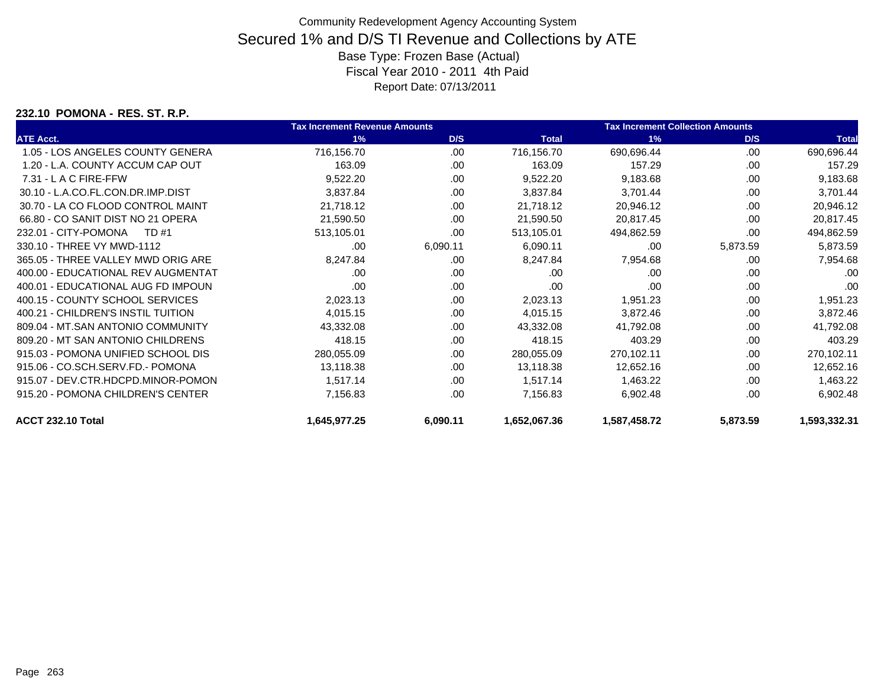### **232.10 POMONA - RES. ST. R.P.**

|                                    | <b>Tax Increment Revenue Amounts</b> |          |              | <b>Tax Increment Collection Amounts</b> |          |              |  |
|------------------------------------|--------------------------------------|----------|--------------|-----------------------------------------|----------|--------------|--|
| <b>ATE Acct.</b>                   | 1%                                   | D/S      | <b>Total</b> | 1%                                      | D/S      | <b>Total</b> |  |
| 1.05 - LOS ANGELES COUNTY GENERA   | 716,156.70                           | .00      | 716,156.70   | 690,696.44                              | .00      | 690,696.44   |  |
| 1.20 - L.A. COUNTY ACCUM CAP OUT   | 163.09                               | .00.     | 163.09       | 157.29                                  | .00      | 157.29       |  |
| $7.31 - L$ A C FIRE-FFW            | 9,522.20                             | .00.     | 9,522.20     | 9,183.68                                | .00      | 9,183.68     |  |
| 30.10 - L.A.CO.FL.CON.DR.IMP.DIST  | 3,837.84                             | .00      | 3,837.84     | 3,701.44                                | .00      | 3,701.44     |  |
| 30.70 - LA CO FLOOD CONTROL MAINT  | 21,718.12                            | .00      | 21,718.12    | 20,946.12                               | .00      | 20,946.12    |  |
| 66.80 - CO SANIT DIST NO 21 OPERA  | 21,590.50                            | .00      | 21,590.50    | 20,817.45                               | .00      | 20,817.45    |  |
| 232.01 - CITY-POMONA<br>TD #1      | 513,105.01                           | .00      | 513,105.01   | 494,862.59                              | .00      | 494,862.59   |  |
| 330.10 - THREE VY MWD-1112         | .00                                  | 6,090.11 | 6,090.11     | .00                                     | 5,873.59 | 5,873.59     |  |
| 365.05 - THREE VALLEY MWD ORIG ARE | 8,247.84                             | .00      | 8,247.84     | 7,954.68                                | .00      | 7,954.68     |  |
| 400.00 - EDUCATIONAL REV AUGMENTAT | .00                                  | .00      | .00          | .00                                     | .00      | .00          |  |
| 400.01 - EDUCATIONAL AUG FD IMPOUN | .00                                  | .00      | .00          | .00                                     | .00      | .00          |  |
| 400.15 - COUNTY SCHOOL SERVICES    | 2,023.13                             | .00      | 2,023.13     | 1,951.23                                | .00      | 1,951.23     |  |
| 400.21 - CHILDREN'S INSTIL TUITION | 4,015.15                             | .00.     | 4,015.15     | 3,872.46                                | .00      | 3,872.46     |  |
| 809.04 - MT.SAN ANTONIO COMMUNITY  | 43,332.08                            | .00      | 43,332.08    | 41,792.08                               | .00      | 41,792.08    |  |
| 809.20 - MT SAN ANTONIO CHILDRENS  | 418.15                               | .00      | 418.15       | 403.29                                  | .00      | 403.29       |  |
| 915.03 - POMONA UNIFIED SCHOOL DIS | 280,055.09                           | .00      | 280,055.09   | 270,102.11                              | .00      | 270,102.11   |  |
| 915.06 - CO.SCH.SERV.FD.- POMONA   | 13,118.38                            | .00      | 13,118.38    | 12,652.16                               | .00      | 12,652.16    |  |
| 915.07 - DEV.CTR.HDCPD.MINOR-POMON | 1,517.14                             | .00.     | 1,517.14     | 1,463.22                                | .00      | 1,463.22     |  |
| 915.20 - POMONA CHILDREN'S CENTER  | 7,156.83                             | .00      | 7,156.83     | 6,902.48                                | .00      | 6,902.48     |  |
| ACCT 232.10 Total                  | 1,645,977.25                         | 6,090.11 | 1,652,067.36 | 1,587,458.72                            | 5,873.59 | 1,593,332.31 |  |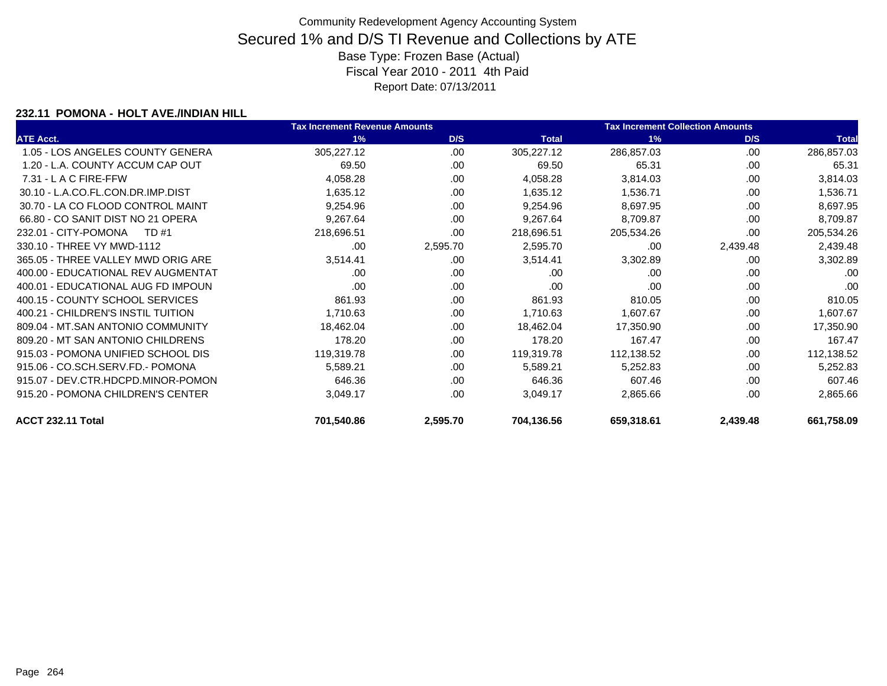### **232.11 POMONA - HOLT AVE./INDIAN HILL**

|                                    | <b>Tax Increment Revenue Amounts</b> |          |              | <b>Tax Increment Collection Amounts</b> |          |              |  |
|------------------------------------|--------------------------------------|----------|--------------|-----------------------------------------|----------|--------------|--|
| <b>ATE Acct.</b>                   | 1%                                   | D/S      | <b>Total</b> | 1%                                      | D/S      | <b>Total</b> |  |
| 1.05 - LOS ANGELES COUNTY GENERA   | 305,227.12                           | .00      | 305,227.12   | 286,857.03                              | .00      | 286,857.03   |  |
| 1.20 - L.A. COUNTY ACCUM CAP OUT   | 69.50                                | .00      | 69.50        | 65.31                                   | .00      | 65.31        |  |
| $7.31 - L$ A C FIRE-FFW            | 4,058.28                             | .00      | 4,058.28     | 3,814.03                                | .00      | 3,814.03     |  |
| 30.10 - L.A.CO.FL.CON.DR.IMP.DIST  | 1,635.12                             | .00.     | 1,635.12     | 1,536.71                                | .00      | 1,536.71     |  |
| 30.70 - LA CO FLOOD CONTROL MAINT  | 9,254.96                             | .00      | 9,254.96     | 8,697.95                                | .00      | 8,697.95     |  |
| 66.80 - CO SANIT DIST NO 21 OPERA  | 9,267.64                             | .00      | 9,267.64     | 8,709.87                                | .00      | 8,709.87     |  |
| 232.01 - CITY-POMONA<br>TD #1      | 218,696.51                           | .00      | 218,696.51   | 205,534.26                              | .00      | 205,534.26   |  |
| 330.10 - THREE VY MWD-1112         | .00                                  | 2,595.70 | 2,595.70     | .00                                     | 2,439.48 | 2,439.48     |  |
| 365.05 - THREE VALLEY MWD ORIG ARE | 3,514.41                             | .00.     | 3,514.41     | 3,302.89                                | .00      | 3,302.89     |  |
| 400.00 - EDUCATIONAL REV AUGMENTAT | .00                                  | .00      | .00          | .00                                     | .00      | .00          |  |
| 400.01 - EDUCATIONAL AUG FD IMPOUN | .00                                  | .00      | .00          | .00                                     | .00      | .00          |  |
| 400.15 - COUNTY SCHOOL SERVICES    | 861.93                               | .00.     | 861.93       | 810.05                                  | .00      | 810.05       |  |
| 400.21 - CHILDREN'S INSTIL TUITION | 1,710.63                             | .00      | 1,710.63     | 1,607.67                                | .00      | 1,607.67     |  |
| 809.04 - MT.SAN ANTONIO COMMUNITY  | 18,462.04                            | .00.     | 18,462.04    | 17,350.90                               | .00      | 17,350.90    |  |
| 809.20 - MT SAN ANTONIO CHILDRENS  | 178.20                               | .00      | 178.20       | 167.47                                  | .00      | 167.47       |  |
| 915.03 - POMONA UNIFIED SCHOOL DIS | 119,319.78                           | .00      | 119,319.78   | 112,138.52                              | .00      | 112,138.52   |  |
| 915.06 - CO.SCH.SERV.FD.- POMONA   | 5,589.21                             | .00.     | 5,589.21     | 5,252.83                                | .00      | 5,252.83     |  |
| 915.07 - DEV.CTR.HDCPD.MINOR-POMON | 646.36                               | .00      | 646.36       | 607.46                                  | .00      | 607.46       |  |
| 915.20 - POMONA CHILDREN'S CENTER  | 3,049.17                             | .00      | 3,049.17     | 2,865.66                                | .00      | 2,865.66     |  |
| ACCT 232.11 Total                  | 701,540.86                           | 2,595.70 | 704,136.56   | 659,318.61                              | 2,439.48 | 661,758.09   |  |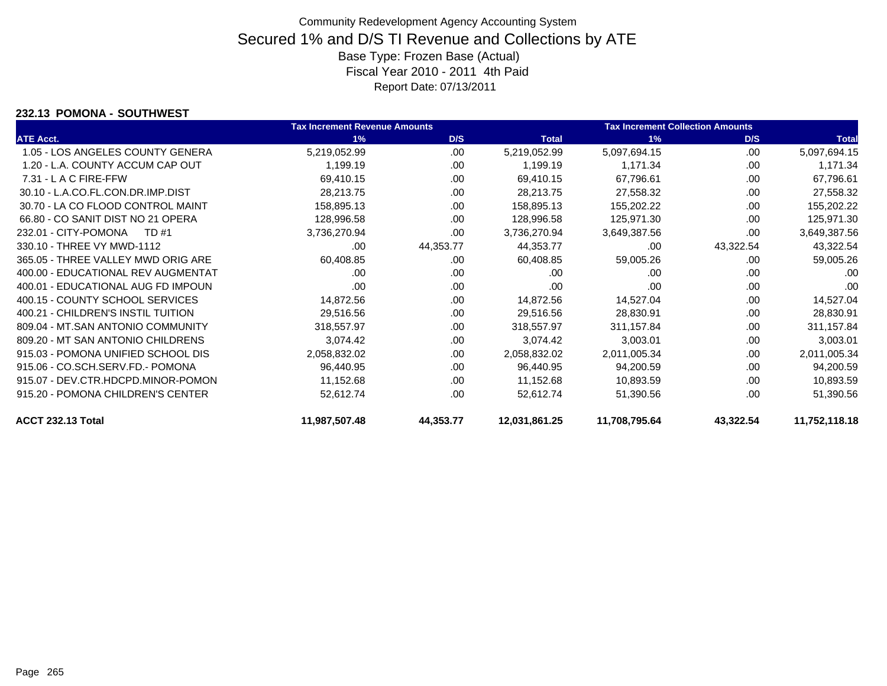### **232.13 POMONA - SOUTHWEST**

|                                    | <b>Tax Increment Revenue Amounts</b> |           |               | <b>Tax Increment Collection Amounts</b> |           |               |
|------------------------------------|--------------------------------------|-----------|---------------|-----------------------------------------|-----------|---------------|
| <b>ATE Acct.</b>                   | 1%                                   | D/S       | <b>Total</b>  | 1%                                      | D/S       | <b>Total</b>  |
| 1.05 - LOS ANGELES COUNTY GENERA   | 5,219,052.99                         | .00       | 5,219,052.99  | 5,097,694.15                            | .00       | 5,097,694.15  |
| 1.20 - L.A. COUNTY ACCUM CAP OUT   | 1,199.19                             | .00       | 1,199.19      | 1,171.34                                | .00       | 1,171.34      |
| $7.31 - L$ A C FIRE-FFW            | 69,410.15                            | .00       | 69,410.15     | 67,796.61                               | .00       | 67,796.61     |
| 30.10 - L.A.CO.FL.CON.DR.IMP.DIST  | 28,213.75                            | .00.      | 28,213.75     | 27,558.32                               | .00       | 27,558.32     |
| 30.70 - LA CO FLOOD CONTROL MAINT  | 158,895.13                           | .00       | 158,895.13    | 155,202.22                              | .00       | 155,202.22    |
| 66.80 - CO SANIT DIST NO 21 OPERA  | 128,996.58                           | .00.      | 128,996.58    | 125,971.30                              | .00       | 125,971.30    |
| 232.01 - CITY-POMONA<br>TD #1      | 3,736,270.94                         | .00       | 3,736,270.94  | 3,649,387.56                            | .00       | 3,649,387.56  |
| 330.10 - THREE VY MWD-1112         | .00                                  | 44,353.77 | 44,353.77     | .00                                     | 43,322.54 | 43,322.54     |
| 365.05 - THREE VALLEY MWD ORIG ARE | 60,408.85                            | .00       | 60,408.85     | 59,005.26                               | .00       | 59,005.26     |
| 400.00 - EDUCATIONAL REV AUGMENTAT | .00.                                 | .00.      | .00           | .00                                     | .00       | .00           |
| 400.01 - EDUCATIONAL AUG FD IMPOUN | .00                                  | .00       | .00           | .00                                     | .00       | .00           |
| 400.15 - COUNTY SCHOOL SERVICES    | 14,872.56                            | .00.      | 14,872.56     | 14,527.04                               | .00       | 14,527.04     |
| 400.21 - CHILDREN'S INSTIL TUITION | 29,516.56                            | .00       | 29,516.56     | 28,830.91                               | .00       | 28,830.91     |
| 809.04 - MT.SAN ANTONIO COMMUNITY  | 318,557.97                           | .00       | 318,557.97    | 311,157.84                              | .00       | 311,157.84    |
| 809.20 - MT SAN ANTONIO CHILDRENS  | 3,074.42                             | .00       | 3,074.42      | 3,003.01                                | .00       | 3,003.01      |
| 915.03 - POMONA UNIFIED SCHOOL DIS | 2,058,832.02                         | .00       | 2,058,832.02  | 2,011,005.34                            | .00       | 2,011,005.34  |
| 915.06 - CO.SCH.SERV.FD.- POMONA   | 96,440.95                            | .00       | 96,440.95     | 94,200.59                               | .00       | 94,200.59     |
| 915.07 - DEV.CTR.HDCPD.MINOR-POMON | 11,152.68                            | .00       | 11,152.68     | 10,893.59                               | .00       | 10,893.59     |
| 915.20 - POMONA CHILDREN'S CENTER  | 52,612.74                            | .00       | 52,612.74     | 51,390.56                               | .00       | 51,390.56     |
| <b>ACCT 232.13 Total</b>           | 11,987,507.48                        | 44,353.77 | 12,031,861.25 | 11,708,795.64                           | 43,322.54 | 11,752,118.18 |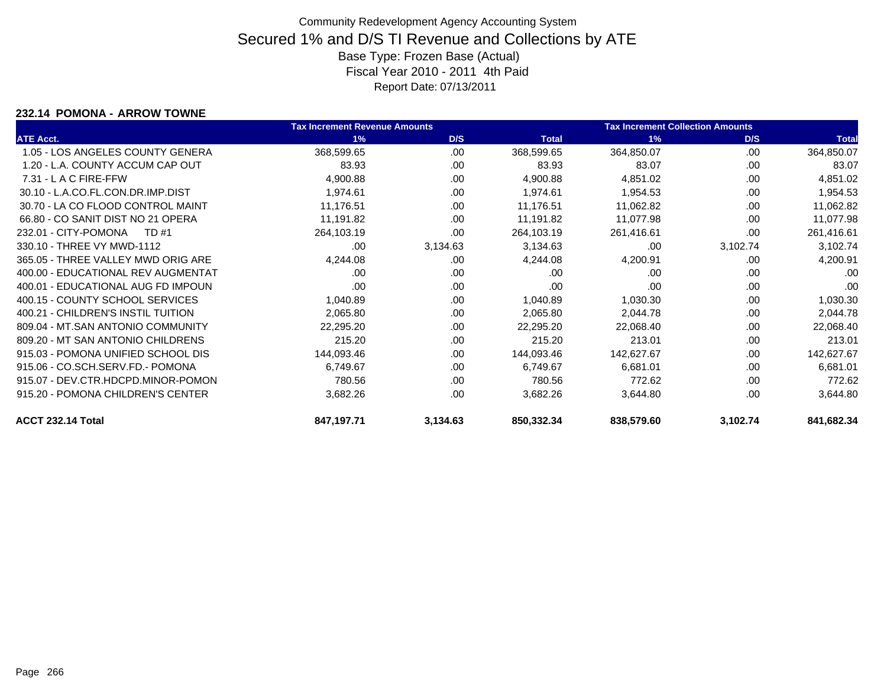#### **232.14 POMONA - ARROW TOWNE**

|                                    | <b>Tax Increment Revenue Amounts</b> |          |              | <b>Tax Increment Collection Amounts</b> |          |              |
|------------------------------------|--------------------------------------|----------|--------------|-----------------------------------------|----------|--------------|
| <b>ATE Acct.</b>                   | 1%                                   | D/S      | <b>Total</b> | 1%                                      | D/S      | <b>Total</b> |
| 1.05 - LOS ANGELES COUNTY GENERA   | 368,599.65                           | .00      | 368,599.65   | 364,850.07                              | .00      | 364,850.07   |
| 1.20 - L.A. COUNTY ACCUM CAP OUT   | 83.93                                | .00.     | 83.93        | 83.07                                   | .00      | 83.07        |
| $7.31 - L$ A C FIRE-FFW            | 4,900.88                             | .00.     | 4,900.88     | 4,851.02                                | .00      | 4,851.02     |
| 30.10 - L.A.CO.FL.CON.DR.IMP.DIST  | 1,974.61                             | .00      | 1,974.61     | 1,954.53                                | .00      | 1,954.53     |
| 30.70 - LA CO FLOOD CONTROL MAINT  | 11,176.51                            | .00      | 11,176.51    | 11,062.82                               | .00      | 11,062.82    |
| 66.80 - CO SANIT DIST NO 21 OPERA  | 11,191.82                            | .00      | 11,191.82    | 11,077.98                               | .00      | 11,077.98    |
| 232.01 - CITY-POMONA<br>TD #1      | 264,103.19                           | .00      | 264,103.19   | 261,416.61                              | .00      | 261,416.61   |
| 330.10 - THREE VY MWD-1112         | .00                                  | 3,134.63 | 3,134.63     | .00                                     | 3,102.74 | 3,102.74     |
| 365.05 - THREE VALLEY MWD ORIG ARE | 4,244.08                             | .00      | 4,244.08     | 4,200.91                                | .00      | 4,200.91     |
| 400.00 - EDUCATIONAL REV AUGMENTAT | .00.                                 | .00      | .00          | .00                                     | .00      | .00          |
| 400.01 - EDUCATIONAL AUG FD IMPOUN | .00                                  | .00      | .00          | .00                                     | .00      | .00          |
| 400.15 - COUNTY SCHOOL SERVICES    | 1,040.89                             | .00      | 1,040.89     | 1,030.30                                | .00      | 1,030.30     |
| 400.21 - CHILDREN'S INSTIL TUITION | 2,065.80                             | .00.     | 2,065.80     | 2,044.78                                | .00      | 2,044.78     |
| 809.04 - MT.SAN ANTONIO COMMUNITY  | 22,295.20                            | .00      | 22,295.20    | 22,068.40                               | .00      | 22,068.40    |
| 809.20 - MT SAN ANTONIO CHILDRENS  | 215.20                               | .00      | 215.20       | 213.01                                  | .00      | 213.01       |
| 915.03 - POMONA UNIFIED SCHOOL DIS | 144,093.46                           | .00      | 144,093.46   | 142,627.67                              | .00      | 142,627.67   |
| 915.06 - CO.SCH.SERV.FD.- POMONA   | 6,749.67                             | .00      | 6,749.67     | 6,681.01                                | .00      | 6,681.01     |
| 915.07 - DEV.CTR.HDCPD.MINOR-POMON | 780.56                               | .00.     | 780.56       | 772.62                                  | .00      | 772.62       |
| 915.20 - POMONA CHILDREN'S CENTER  | 3,682.26                             | .00      | 3,682.26     | 3,644.80                                | .00      | 3,644.80     |
| ACCT 232.14 Total                  | 847,197.71                           | 3,134.63 | 850,332.34   | 838,579.60                              | 3,102.74 | 841,682.34   |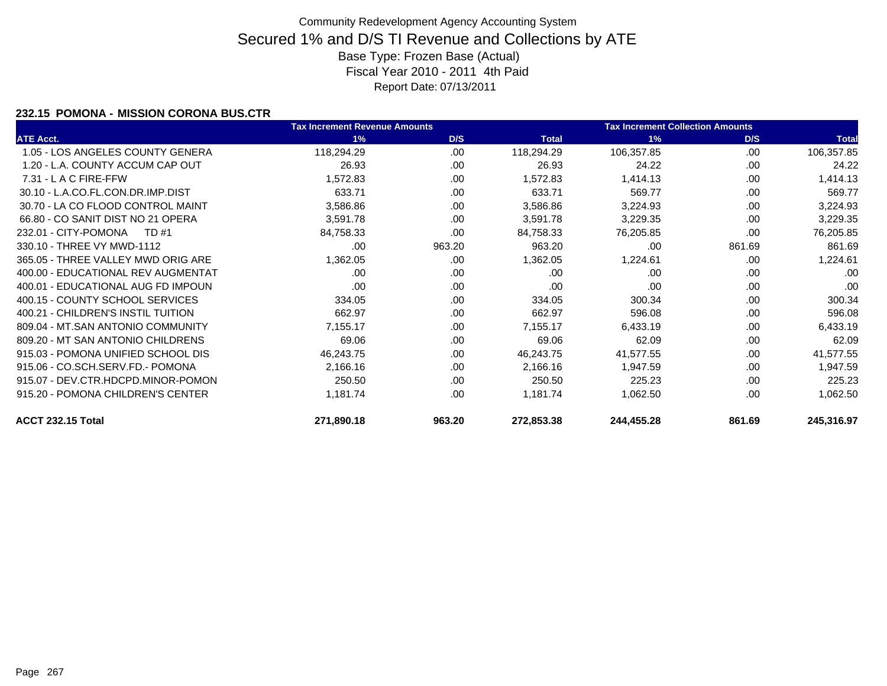### **232.15 POMONA - MISSION CORONA BUS.CTR**

|                                    | <b>Tax Increment Revenue Amounts</b> |        |              | <b>Tax Increment Collection Amounts</b> |        |              |
|------------------------------------|--------------------------------------|--------|--------------|-----------------------------------------|--------|--------------|
| <b>ATE Acct.</b>                   | 1%                                   | D/S    | <b>Total</b> | 1%                                      | D/S    | <b>Total</b> |
| 1.05 - LOS ANGELES COUNTY GENERA   | 118,294.29                           | .00    | 118,294.29   | 106,357.85                              | .00    | 106,357.85   |
| 1.20 - L.A. COUNTY ACCUM CAP OUT   | 26.93                                | .00    | 26.93        | 24.22                                   | .00    | 24.22        |
| $7.31 - L$ A C FIRE-FFW            | 1,572.83                             | .00    | 1,572.83     | 1,414.13                                | .00    | 1,414.13     |
| 30.10 - L.A.CO.FL.CON.DR.IMP.DIST  | 633.71                               | .00    | 633.71       | 569.77                                  | .00.   | 569.77       |
| 30.70 - LA CO FLOOD CONTROL MAINT  | 3,586.86                             | .00    | 3,586.86     | 3,224.93                                | .00    | 3,224.93     |
| 66.80 - CO SANIT DIST NO 21 OPERA  | 3,591.78                             | .00    | 3,591.78     | 3,229.35                                | .00.   | 3,229.35     |
| 232.01 - CITY-POMONA<br>TD #1      | 84,758.33                            | .00    | 84,758.33    | 76,205.85                               | .00    | 76,205.85    |
| 330.10 - THREE VY MWD-1112         | .00                                  | 963.20 | 963.20       | .00                                     | 861.69 | 861.69       |
| 365.05 - THREE VALLEY MWD ORIG ARE | 1,362.05                             | .00    | 1,362.05     | 1,224.61                                | .00.   | 1,224.61     |
| 400.00 - EDUCATIONAL REV AUGMENTAT | .00.                                 | .00    | .00          | .00                                     | .00    | .00          |
| 400.01 - EDUCATIONAL AUG FD IMPOUN | .00                                  | .00    | .00          | .00                                     | .00    | .00          |
| 400.15 - COUNTY SCHOOL SERVICES    | 334.05                               | .00    | 334.05       | 300.34                                  | .00    | 300.34       |
| 400.21 - CHILDREN'S INSTIL TUITION | 662.97                               | .00    | 662.97       | 596.08                                  | .00    | 596.08       |
| 809.04 - MT.SAN ANTONIO COMMUNITY  | 7,155.17                             | .00    | 7,155.17     | 6,433.19                                | .00    | 6,433.19     |
| 809.20 - MT SAN ANTONIO CHILDRENS  | 69.06                                | .00    | 69.06        | 62.09                                   | .00    | 62.09        |
| 915.03 - POMONA UNIFIED SCHOOL DIS | 46,243.75                            | .00    | 46,243.75    | 41,577.55                               | .00    | 41,577.55    |
| 915.06 - CO.SCH.SERV.FD.- POMONA   | 2,166.16                             | .00    | 2,166.16     | 1,947.59                                | .00.   | 1,947.59     |
| 915.07 - DEV.CTR.HDCPD.MINOR-POMON | 250.50                               | .00    | 250.50       | 225.23                                  | .00    | 225.23       |
| 915.20 - POMONA CHILDREN'S CENTER  | 1,181.74                             | .00    | 1,181.74     | 1,062.50                                | .00    | 1,062.50     |
| <b>ACCT 232.15 Total</b>           | 271,890.18                           | 963.20 | 272,853.38   | 244,455.28                              | 861.69 | 245,316.97   |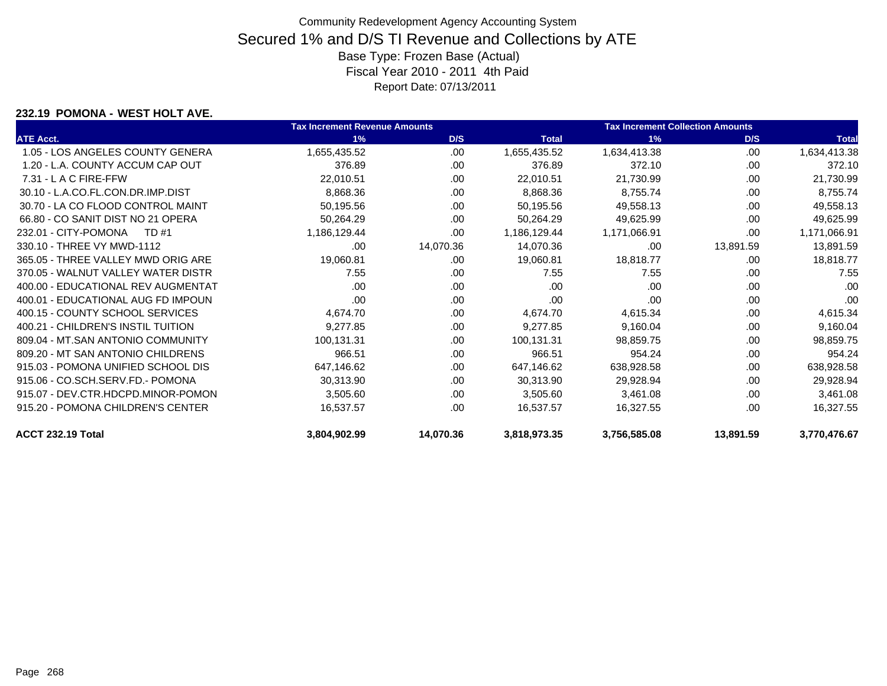#### **232.19 POMONA - WEST HOLT AVE.**

|                                    | <b>Tax Increment Revenue Amounts</b> |           |              | <b>Tax Increment Collection Amounts</b> |           |              |
|------------------------------------|--------------------------------------|-----------|--------------|-----------------------------------------|-----------|--------------|
| <b>ATE Acct.</b>                   | 1%                                   | D/S       | <b>Total</b> | 1%                                      | D/S       | <b>Total</b> |
| 1.05 - LOS ANGELES COUNTY GENERA   | 1,655,435.52                         | .00       | 1,655,435.52 | 1,634,413.38                            | .00       | 1,634,413.38 |
| 1.20 - L.A. COUNTY ACCUM CAP OUT   | 376.89                               | .00       | 376.89       | 372.10                                  | .00       | 372.10       |
| $7.31 - L$ A C FIRE-FFW            | 22,010.51                            | .00       | 22,010.51    | 21,730.99                               | .00       | 21,730.99    |
| 30.10 - L.A.CO.FL.CON.DR.IMP.DIST  | 8,868.36                             | .00       | 8,868.36     | 8,755.74                                | .00       | 8,755.74     |
| 30.70 - LA CO FLOOD CONTROL MAINT  | 50,195.56                            | .00       | 50,195.56    | 49,558.13                               | .00       | 49,558.13    |
| 66.80 - CO SANIT DIST NO 21 OPERA  | 50,264.29                            | .00       | 50,264.29    | 49,625.99                               | .00       | 49,625.99    |
| 232.01 - CITY-POMONA<br>TD #1      | 1,186,129.44                         | .00       | 1,186,129.44 | 1,171,066.91                            | .00       | 1,171,066.91 |
| 330.10 - THREE VY MWD-1112         | .00                                  | 14,070.36 | 14,070.36    | .00                                     | 13,891.59 | 13,891.59    |
| 365.05 - THREE VALLEY MWD ORIG ARE | 19,060.81                            | .00       | 19,060.81    | 18,818.77                               | .00       | 18,818.77    |
| 370.05 - WALNUT VALLEY WATER DISTR | 7.55                                 | .00       | 7.55         | 7.55                                    | .00       | 7.55         |
| 400.00 - EDUCATIONAL REV AUGMENTAT | .00                                  | .00       | .00          | .00                                     | .00       | .00          |
| 400.01 - EDUCATIONAL AUG FD IMPOUN | .00                                  | .00       | .00          | .00                                     | .00       | .00          |
| 400.15 - COUNTY SCHOOL SERVICES    | 4,674.70                             | .00.      | 4,674.70     | 4,615.34                                | .00       | 4,615.34     |
| 400.21 - CHILDREN'S INSTIL TUITION | 9,277.85                             | .00       | 9,277.85     | 9,160.04                                | .00       | 9,160.04     |
| 809.04 - MT.SAN ANTONIO COMMUNITY  | 100,131.31                           | .00       | 100,131.31   | 98,859.75                               | .00       | 98,859.75    |
| 809.20 - MT SAN ANTONIO CHILDRENS  | 966.51                               | .00       | 966.51       | 954.24                                  | .00       | 954.24       |
| 915.03 - POMONA UNIFIED SCHOOL DIS | 647,146.62                           | .00       | 647,146.62   | 638,928.58                              | .00       | 638,928.58   |
| 915.06 - CO.SCH.SERV.FD.- POMONA   | 30,313.90                            | .00       | 30,313.90    | 29,928.94                               | .00       | 29,928.94    |
| 915.07 - DEV.CTR.HDCPD.MINOR-POMON | 3,505.60                             | .00.      | 3,505.60     | 3,461.08                                | .00       | 3,461.08     |
| 915.20 - POMONA CHILDREN'S CENTER  | 16,537.57                            | .00       | 16,537.57    | 16,327.55                               | .00       | 16,327.55    |
| ACCT 232.19 Total                  | 3,804,902.99                         | 14,070.36 | 3,818,973.35 | 3,756,585.08                            | 13,891.59 | 3,770,476.67 |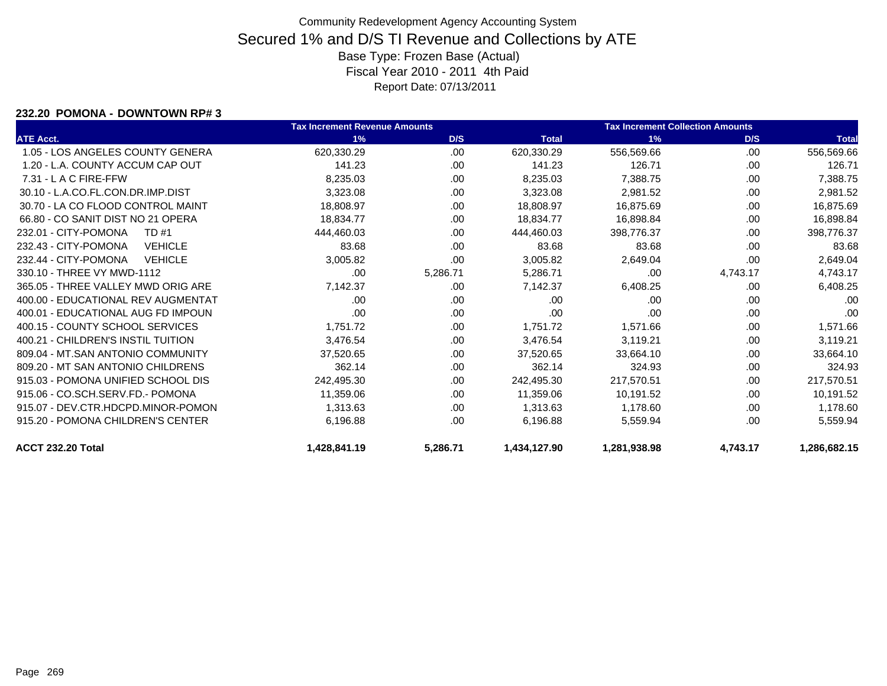#### **232.20 POMONA - DOWNTOWN RP# 3**

|                                        | <b>Tax Increment Revenue Amounts</b> |          |              | <b>Tax Increment Collection Amounts</b> |          |              |
|----------------------------------------|--------------------------------------|----------|--------------|-----------------------------------------|----------|--------------|
| <b>ATE Acct.</b>                       | 1%                                   | D/S      | <b>Total</b> | 1%                                      | D/S      | <b>Total</b> |
| 1.05 - LOS ANGELES COUNTY GENERA       | 620,330.29                           | .00.     | 620,330.29   | 556,569.66                              | .00      | 556,569.66   |
| 1.20 - L.A. COUNTY ACCUM CAP OUT       | 141.23                               | .00.     | 141.23       | 126.71                                  | .00      | 126.71       |
| $7.31 - L$ A C FIRE-FFW                | 8,235.03                             | .00      | 8,235.03     | 7,388.75                                | .00      | 7,388.75     |
| 30.10 - L.A.CO.FL.CON.DR.IMP.DIST      | 3,323.08                             | .00.     | 3,323.08     | 2,981.52                                | .00      | 2,981.52     |
| 30.70 - LA CO FLOOD CONTROL MAINT      | 18,808.97                            | .00      | 18,808.97    | 16,875.69                               | .00      | 16,875.69    |
| 66.80 - CO SANIT DIST NO 21 OPERA      | 18,834.77                            | .00.     | 18,834.77    | 16,898.84                               | .00      | 16,898.84    |
| 232.01 - CITY-POMONA<br>TD #1          | 444,460.03                           | .00      | 444.460.03   | 398,776.37                              | .00      | 398,776.37   |
| 232.43 - CITY-POMONA<br><b>VEHICLE</b> | 83.68                                | .00      | 83.68        | 83.68                                   | .00      | 83.68        |
| 232.44 - CITY-POMONA<br><b>VEHICLE</b> | 3,005.82                             | .00      | 3,005.82     | 2,649.04                                | .00.     | 2,649.04     |
| 330.10 - THREE VY MWD-1112             | .00                                  | 5,286.71 | 5,286.71     | .00                                     | 4,743.17 | 4,743.17     |
| 365.05 - THREE VALLEY MWD ORIG ARE     | 7,142.37                             | .00      | 7,142.37     | 6,408.25                                | .00      | 6,408.25     |
| 400.00 - EDUCATIONAL REV AUGMENTAT     | .00                                  | .00.     | .00          | .00                                     | .00      | .00          |
| 400.01 - EDUCATIONAL AUG FD IMPOUN     | .00                                  | .00.     | .00          | .00                                     | .00      | .00          |
| 400.15 - COUNTY SCHOOL SERVICES        | 1,751.72                             | .00      | 1,751.72     | 1,571.66                                | .00      | 1,571.66     |
| 400.21 - CHILDREN'S INSTIL TUITION     | 3,476.54                             | .00.     | 3,476.54     | 3,119.21                                | .00      | 3,119.21     |
| 809.04 - MT.SAN ANTONIO COMMUNITY      | 37,520.65                            | .00      | 37,520.65    | 33,664.10                               | .00      | 33,664.10    |
| 809.20 - MT SAN ANTONIO CHILDRENS      | 362.14                               | .00      | 362.14       | 324.93                                  | .00      | 324.93       |
| 915.03 - POMONA UNIFIED SCHOOL DIS     | 242,495.30                           | .00      | 242,495.30   | 217,570.51                              | .00      | 217,570.51   |
| 915.06 - CO.SCH.SERV.FD.- POMONA       | 11,359.06                            | .00      | 11,359.06    | 10,191.52                               | .00      | 10,191.52    |
| 915.07 - DEV.CTR.HDCPD.MINOR-POMON     | 1.313.63                             | .00      | 1,313.63     | 1,178.60                                | .00      | 1,178.60     |
| 915.20 - POMONA CHILDREN'S CENTER      | 6,196.88                             | .00      | 6,196.88     | 5,559.94                                | .00      | 5,559.94     |
| ACCT 232.20 Total                      | 1,428,841.19                         | 5,286.71 | 1,434,127.90 | 1,281,938.98                            | 4,743.17 | 1,286,682.15 |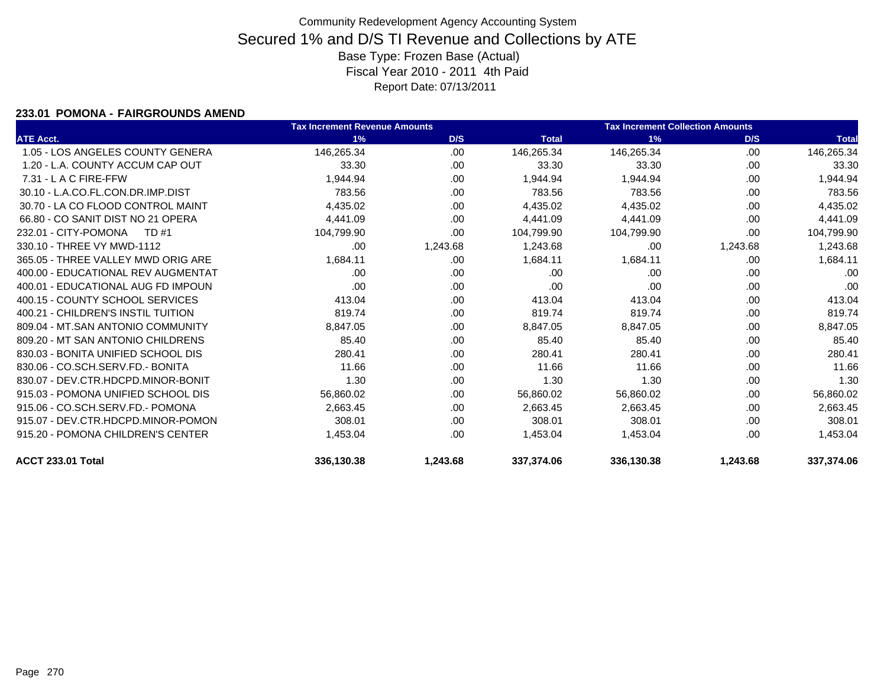### **233.01 POMONA - FAIRGROUNDS AMEND**

|                                    | <b>Tax Increment Revenue Amounts</b> |          |              | <b>Tax Increment Collection Amounts</b> |          |              |
|------------------------------------|--------------------------------------|----------|--------------|-----------------------------------------|----------|--------------|
| <b>ATE Acct.</b>                   | 1%                                   | D/S      | <b>Total</b> | 1%                                      | D/S      | <b>Total</b> |
| 1.05 - LOS ANGELES COUNTY GENERA   | 146,265.34                           | .00      | 146,265.34   | 146,265.34                              | .00      | 146,265.34   |
| 1.20 - L.A. COUNTY ACCUM CAP OUT   | 33.30                                | .00      | 33.30        | 33.30                                   | .00      | 33.30        |
| $7.31 - L$ A C FIRE-FFW            | 1,944.94                             | .00      | 1,944.94     | 1,944.94                                | .00      | 1,944.94     |
| 30.10 - L.A.CO.FL.CON.DR.IMP.DIST  | 783.56                               | .00      | 783.56       | 783.56                                  | .00      | 783.56       |
| 30.70 - LA CO FLOOD CONTROL MAINT  | 4,435.02                             | .00      | 4,435.02     | 4,435.02                                | .00      | 4,435.02     |
| 66.80 - CO SANIT DIST NO 21 OPERA  | 4.441.09                             | .00.     | 4.441.09     | 4.441.09                                | .00      | 4,441.09     |
| 232.01 - CITY-POMONA<br>TD #1      | 104,799.90                           | .00      | 104,799.90   | 104,799.90                              | .00      | 104,799.90   |
| 330.10 - THREE VY MWD-1112         | .00                                  | 1,243.68 | 1,243.68     | .00                                     | 1,243.68 | 1,243.68     |
| 365.05 - THREE VALLEY MWD ORIG ARE | 1,684.11                             | .00.     | 1,684.11     | 1,684.11                                | .00      | 1,684.11     |
| 400.00 - EDUCATIONAL REV AUGMENTAT | .00                                  | .00      | .00          | .00                                     | .00      | .00          |
| 400.01 - EDUCATIONAL AUG FD IMPOUN | .00                                  | .00.     | .00          | .00                                     | .00      | .00          |
| 400.15 - COUNTY SCHOOL SERVICES    | 413.04                               | .00      | 413.04       | 413.04                                  | .00      | 413.04       |
| 400.21 - CHILDREN'S INSTIL TUITION | 819.74                               | .00      | 819.74       | 819.74                                  | .00      | 819.74       |
| 809.04 - MT.SAN ANTONIO COMMUNITY  | 8,847.05                             | .00      | 8,847.05     | 8,847.05                                | .00      | 8,847.05     |
| 809.20 - MT SAN ANTONIO CHILDRENS  | 85.40                                | .00      | 85.40        | 85.40                                   | .00      | 85.40        |
| 830.03 - BONITA UNIFIED SCHOOL DIS | 280.41                               | .00      | 280.41       | 280.41                                  | .00      | 280.41       |
| 830.06 - CO.SCH.SERV.FD.- BONITA   | 11.66                                | .00      | 11.66        | 11.66                                   | .00      | 11.66        |
| 830.07 - DEV.CTR.HDCPD.MINOR-BONIT | 1.30                                 | .00      | 1.30         | 1.30                                    | .00      | 1.30         |
| 915.03 - POMONA UNIFIED SCHOOL DIS | 56,860.02                            | .00      | 56,860.02    | 56,860.02                               | .00      | 56,860.02    |
| 915.06 - CO.SCH.SERV.FD.- POMONA   | 2,663.45                             | .00      | 2,663.45     | 2,663.45                                | .00      | 2,663.45     |
| 915.07 - DEV.CTR.HDCPD.MINOR-POMON | 308.01                               | .00      | 308.01       | 308.01                                  | .00      | 308.01       |
| 915.20 - POMONA CHILDREN'S CENTER  | 1,453.04                             | .00      | 1,453.04     | 1,453.04                                | .00      | 1,453.04     |
| <b>ACCT 233.01 Total</b>           | 336,130.38                           | 1,243.68 | 337,374.06   | 336,130.38                              | 1,243.68 | 337,374.06   |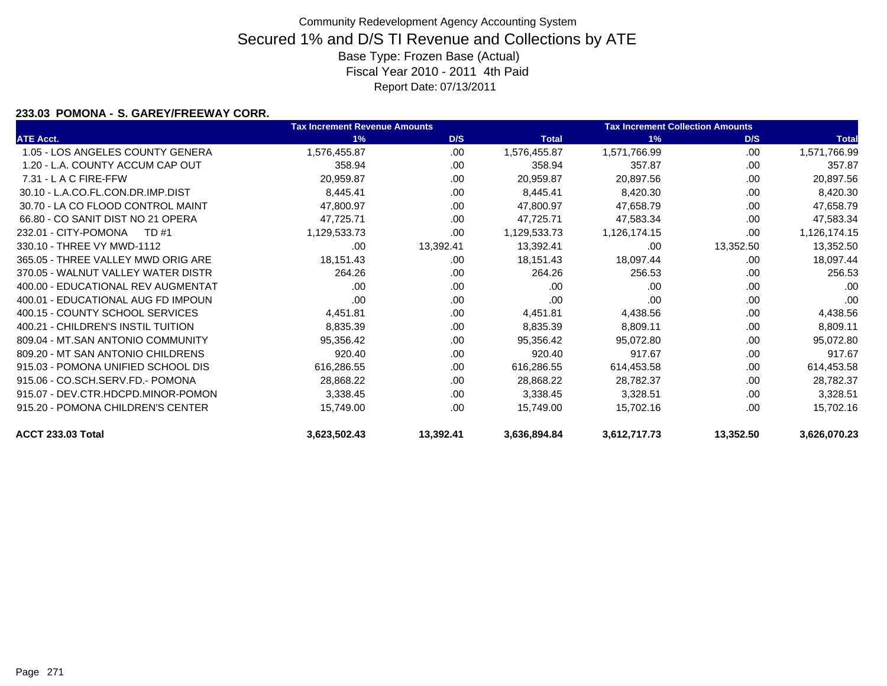### **233.03 POMONA - S. GAREY/FREEWAY CORR.**

|                                    | <b>Tax Increment Revenue Amounts</b> |           |              | <b>Tax Increment Collection Amounts</b> |           |              |
|------------------------------------|--------------------------------------|-----------|--------------|-----------------------------------------|-----------|--------------|
| <b>ATE Acct.</b>                   | 1%                                   | D/S       | <b>Total</b> | 1%                                      | D/S       | <b>Total</b> |
| 1.05 - LOS ANGELES COUNTY GENERA   | 1,576,455.87                         | .00.      | 1,576,455.87 | 1,571,766.99                            | .00       | 1,571,766.99 |
| 1.20 - L.A. COUNTY ACCUM CAP OUT   | 358.94                               | .00       | 358.94       | 357.87                                  | .00       | 357.87       |
| 7.31 - L A C FIRE-FFW              | 20,959.87                            | .00.      | 20,959.87    | 20,897.56                               | .00       | 20,897.56    |
| 30.10 - L.A.CO.FL.CON.DR.IMP.DIST  | 8,445.41                             | .00       | 8,445.41     | 8,420.30                                | .00       | 8,420.30     |
| 30.70 - LA CO FLOOD CONTROL MAINT  | 47,800.97                            | .00       | 47,800.97    | 47,658.79                               | .00       | 47,658.79    |
| 66.80 - CO SANIT DIST NO 21 OPERA  | 47,725.71                            | .00.      | 47,725.71    | 47,583.34                               | .00       | 47,583.34    |
| 232.01 - CITY-POMONA<br>TD #1      | 1,129,533.73                         | .00       | 1,129,533.73 | 1,126,174.15                            | .00       | 1,126,174.15 |
| 330.10 - THREE VY MWD-1112         | .00                                  | 13,392.41 | 13,392.41    | .00                                     | 13,352.50 | 13,352.50    |
| 365.05 - THREE VALLEY MWD ORIG ARE | 18,151.43                            | .00       | 18,151.43    | 18,097.44                               | .00       | 18,097.44    |
| 370.05 - WALNUT VALLEY WATER DISTR | 264.26                               | .00       | 264.26       | 256.53                                  | .00       | 256.53       |
| 400.00 - EDUCATIONAL REV AUGMENTAT | .00                                  | .00       | .00          | .00                                     | .00       | .00          |
| 400.01 - EDUCATIONAL AUG FD IMPOUN | .00                                  | .00       | .00          | .00                                     | .00       | .00          |
| 400.15 - COUNTY SCHOOL SERVICES    | 4,451.81                             | .00       | 4,451.81     | 4,438.56                                | .00       | 4,438.56     |
| 400.21 - CHILDREN'S INSTIL TUITION | 8,835.39                             | .00       | 8,835.39     | 8,809.11                                | .00       | 8,809.11     |
| 809.04 - MT.SAN ANTONIO COMMUNITY  | 95,356.42                            | .00       | 95,356.42    | 95,072.80                               | .00       | 95,072.80    |
| 809.20 - MT SAN ANTONIO CHILDRENS  | 920.40                               | .00       | 920.40       | 917.67                                  | .00       | 917.67       |
| 915.03 - POMONA UNIFIED SCHOOL DIS | 616,286.55                           | .00.      | 616,286.55   | 614,453.58                              | .00       | 614,453.58   |
| 915.06 - CO.SCH.SERV.FD.- POMONA   | 28,868.22                            | .00.      | 28,868.22    | 28,782.37                               | .00       | 28,782.37    |
| 915.07 - DEV.CTR.HDCPD.MINOR-POMON | 3,338.45                             | .00.      | 3,338.45     | 3,328.51                                | .00       | 3,328.51     |
| 915.20 - POMONA CHILDREN'S CENTER  | 15,749.00                            | .00       | 15,749.00    | 15,702.16                               | .00       | 15,702.16    |
| <b>ACCT 233.03 Total</b>           | 3,623,502.43                         | 13,392.41 | 3,636,894.84 | 3,612,717.73                            | 13,352.50 | 3,626,070.23 |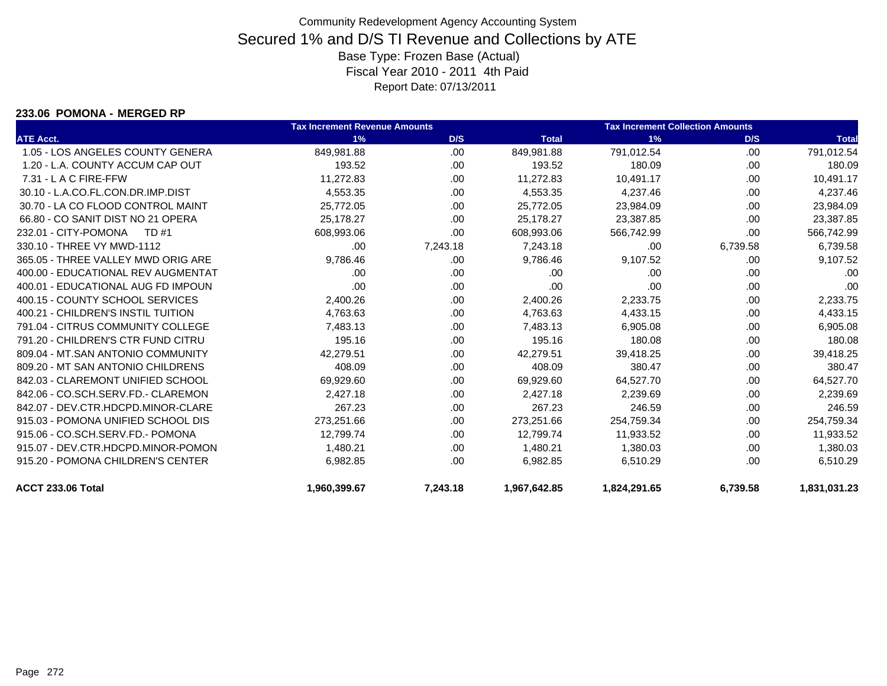#### **233.06 POMONA - MERGED RP**

|                                    | <b>Tax Increment Revenue Amounts</b> |          |              | <b>Tax Increment Collection Amounts</b> |          |              |  |
|------------------------------------|--------------------------------------|----------|--------------|-----------------------------------------|----------|--------------|--|
| <b>ATE Acct.</b>                   | 1%                                   | D/S      | <b>Total</b> | 1%                                      | D/S      | <b>Total</b> |  |
| 1.05 - LOS ANGELES COUNTY GENERA   | 849,981.88                           | .00      | 849,981.88   | 791,012.54                              | .00      | 791,012.54   |  |
| 1.20 - L.A. COUNTY ACCUM CAP OUT   | 193.52                               | .00.     | 193.52       | 180.09                                  | .00      | 180.09       |  |
| 7.31 - L A C FIRE-FFW              | 11,272.83                            | .00      | 11,272.83    | 10,491.17                               | .00      | 10,491.17    |  |
| 30.10 - L.A.CO.FL.CON.DR.IMP.DIST  | 4,553.35                             | .00      | 4,553.35     | 4,237.46                                | .00      | 4,237.46     |  |
| 30.70 - LA CO FLOOD CONTROL MAINT  | 25,772.05                            | .00      | 25,772.05    | 23,984.09                               | .00      | 23,984.09    |  |
| 66.80 - CO SANIT DIST NO 21 OPERA  | 25,178.27                            | .00      | 25,178.27    | 23,387.85                               | .00      | 23,387.85    |  |
| 232.01 - CITY-POMONA<br>TD #1      | 608,993.06                           | .00      | 608,993.06   | 566,742.99                              | .00      | 566,742.99   |  |
| 330.10 - THREE VY MWD-1112         | .00                                  | 7,243.18 | 7,243.18     | .00                                     | 6,739.58 | 6,739.58     |  |
| 365.05 - THREE VALLEY MWD ORIG ARE | 9,786.46                             | .00      | 9,786.46     | 9,107.52                                | .00      | 9,107.52     |  |
| 400.00 - EDUCATIONAL REV AUGMENTAT | .00                                  | .00.     | .00          | .00                                     | .00      | .00          |  |
| 400.01 - EDUCATIONAL AUG FD IMPOUN | .00                                  | .00.     | .00          | .00                                     | .00.     | .00          |  |
| 400.15 - COUNTY SCHOOL SERVICES    | 2,400.26                             | .00.     | 2,400.26     | 2,233.75                                | .00      | 2,233.75     |  |
| 400.21 - CHILDREN'S INSTIL TUITION | 4,763.63                             | .00.     | 4,763.63     | 4,433.15                                | .00      | 4,433.15     |  |
| 791.04 - CITRUS COMMUNITY COLLEGE  | 7,483.13                             | .00      | 7,483.13     | 6,905.08                                | .00      | 6,905.08     |  |
| 791.20 - CHILDREN'S CTR FUND CITRU | 195.16                               | .00      | 195.16       | 180.08                                  | .00      | 180.08       |  |
| 809.04 - MT.SAN ANTONIO COMMUNITY  | 42,279.51                            | .00      | 42,279.51    | 39,418.25                               | .00      | 39,418.25    |  |
| 809.20 - MT SAN ANTONIO CHILDRENS  | 408.09                               | .00      | 408.09       | 380.47                                  | .00      | 380.47       |  |
| 842.03 - CLAREMONT UNIFIED SCHOOL  | 69,929.60                            | .00      | 69,929.60    | 64,527.70                               | .00      | 64,527.70    |  |
| 842.06 - CO.SCH.SERV.FD.- CLAREMON | 2,427.18                             | .00      | 2,427.18     | 2,239.69                                | .00      | 2,239.69     |  |
| 842.07 - DEV.CTR.HDCPD.MINOR-CLARE | 267.23                               | .00      | 267.23       | 246.59                                  | .00      | 246.59       |  |
| 915.03 - POMONA UNIFIED SCHOOL DIS | 273,251.66                           | .00      | 273,251.66   | 254,759.34                              | .00      | 254,759.34   |  |
| 915.06 - CO.SCH.SERV.FD.- POMONA   | 12,799.74                            | .00      | 12,799.74    | 11,933.52                               | .00      | 11,933.52    |  |
| 915.07 - DEV.CTR.HDCPD.MINOR-POMON | 1,480.21                             | .00      | 1,480.21     | 1,380.03                                | .00      | 1,380.03     |  |
| 915.20 - POMONA CHILDREN'S CENTER  | 6,982.85                             | .00      | 6,982.85     | 6,510.29                                | .00      | 6,510.29     |  |
| <b>ACCT 233.06 Total</b>           | 1,960,399.67                         | 7,243.18 | 1,967,642.85 | 1,824,291.65                            | 6,739.58 | 1,831,031.23 |  |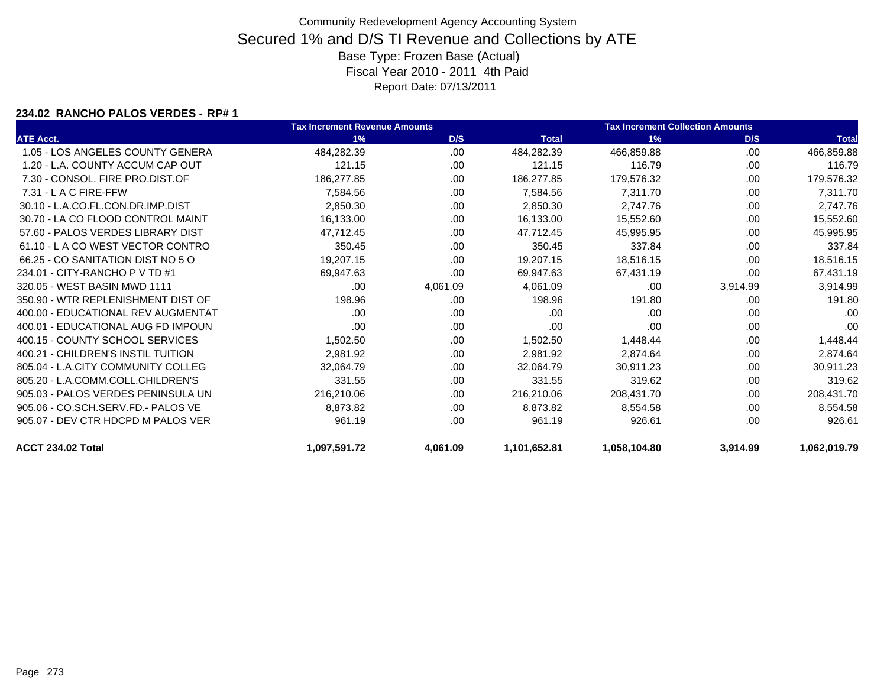#### **234.02 RANCHO PALOS VERDES - RP# 1**

|                                    | <b>Tax Increment Revenue Amounts</b> |          |              | <b>Tax Increment Collection Amounts</b> |          |              |
|------------------------------------|--------------------------------------|----------|--------------|-----------------------------------------|----------|--------------|
| <b>ATE Acct.</b>                   | 1%                                   | D/S      | <b>Total</b> | 1%                                      | D/S      | <b>Total</b> |
| 1.05 - LOS ANGELES COUNTY GENERA   | 484,282.39                           | .00.     | 484,282.39   | 466,859.88                              | .00      | 466,859.88   |
| 1.20 - L.A. COUNTY ACCUM CAP OUT   | 121.15                               | .00      | 121.15       | 116.79                                  | .00      | 116.79       |
| 7.30 - CONSOL, FIRE PRO.DIST.OF    | 186,277.85                           | .00.     | 186,277.85   | 179,576.32                              | .00      | 179,576.32   |
| $7.31 - L$ A C FIRE-FFW            | 7,584.56                             | .00.     | 7,584.56     | 7,311.70                                | .00.     | 7,311.70     |
| 30.10 - L.A.CO.FL.CON.DR.IMP.DIST  | 2,850.30                             | .00      | 2,850.30     | 2,747.76                                | .00      | 2,747.76     |
| 30.70 - LA CO FLOOD CONTROL MAINT  | 16,133.00                            | .00      | 16,133.00    | 15,552.60                               | .00      | 15,552.60    |
| 57.60 - PALOS VERDES LIBRARY DIST  | 47,712.45                            | .00      | 47,712.45    | 45,995.95                               | .00      | 45,995.95    |
| 61.10 - LA CO WEST VECTOR CONTRO   | 350.45                               | .00.     | 350.45       | 337.84                                  | .00      | 337.84       |
| 66.25 - CO SANITATION DIST NO 5 O  | 19,207.15                            | .00      | 19,207.15    | 18,516.15                               | .00      | 18,516.15    |
| 234.01 - CITY-RANCHO P V TD #1     | 69.947.63                            | .00      | 69,947.63    | 67,431.19                               | .00.     | 67,431.19    |
| 320.05 - WEST BASIN MWD 1111       | .00                                  | 4,061.09 | 4,061.09     | .00                                     | 3,914.99 | 3,914.99     |
| 350.90 - WTR REPLENISHMENT DIST OF | 198.96                               | .00      | 198.96       | 191.80                                  | .00      | 191.80       |
| 400.00 - EDUCATIONAL REV AUGMENTAT | .00                                  | .00.     | .00          | .00                                     | .00      | .00          |
| 400.01 - EDUCATIONAL AUG FD IMPOUN | .00                                  | .00.     | .00          | .00                                     | .00      | .00          |
| 400.15 - COUNTY SCHOOL SERVICES    | 1,502.50                             | .00.     | 1,502.50     | 1,448.44                                | .00      | 1,448.44     |
| 400.21 - CHILDREN'S INSTIL TUITION | 2,981.92                             | .00      | 2,981.92     | 2,874.64                                | .00      | 2,874.64     |
| 805.04 - L.A.CITY COMMUNITY COLLEG | 32,064.79                            | .00      | 32,064.79    | 30,911.23                               | .00      | 30,911.23    |
| 805.20 - L.A.COMM.COLL.CHILDREN'S  | 331.55                               | .00      | 331.55       | 319.62                                  | .00      | 319.62       |
| 905.03 - PALOS VERDES PENINSULA UN | 216,210.06                           | .00      | 216,210.06   | 208,431.70                              | .00      | 208,431.70   |
| 905.06 - CO.SCH.SERV.FD.- PALOS VE | 8,873.82                             | .00      | 8,873.82     | 8,554.58                                | .00      | 8,554.58     |
| 905.07 - DEV CTR HDCPD M PALOS VER | 961.19                               | .00      | 961.19       | 926.61                                  | .00      | 926.61       |
| <b>ACCT 234.02 Total</b>           | 1,097,591.72                         | 4,061.09 | 1,101,652.81 | 1,058,104.80                            | 3,914.99 | 1,062,019.79 |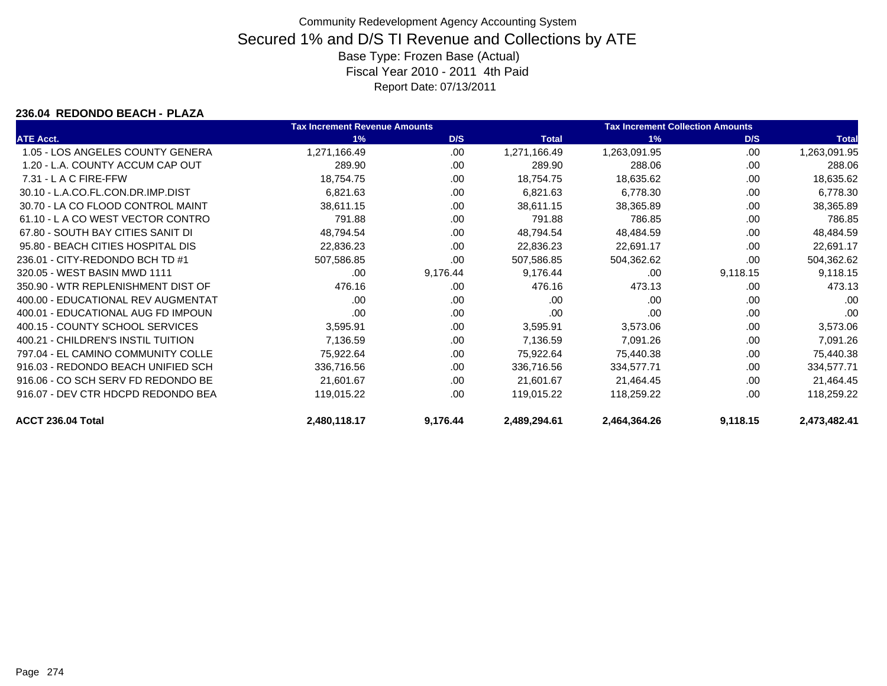#### **236.04 REDONDO BEACH - PLAZA**

|                                    | <b>Tax Increment Revenue Amounts</b> |          |              | <b>Tax Increment Collection Amounts</b> |          |              |
|------------------------------------|--------------------------------------|----------|--------------|-----------------------------------------|----------|--------------|
| <b>ATE Acct.</b>                   | 1%                                   | D/S      | <b>Total</b> | 1%                                      | D/S      | <b>Total</b> |
| 1.05 - LOS ANGELES COUNTY GENERA   | 1,271,166.49                         | .00      | 1,271,166.49 | 1,263,091.95                            | .00      | 1,263,091.95 |
| 1.20 - L.A. COUNTY ACCUM CAP OUT   | 289.90                               | .00.     | 289.90       | 288.06                                  | .00      | 288.06       |
| $7.31 - L$ A C FIRE-FFW            | 18,754.75                            | .00      | 18,754.75    | 18,635.62                               | .00      | 18,635.62    |
| 30.10 - L.A.CO.FL.CON.DR.IMP.DIST  | 6,821.63                             | .00.     | 6,821.63     | 6,778.30                                | .00      | 6,778.30     |
| 30.70 - LA CO FLOOD CONTROL MAINT  | 38,611.15                            | .00.     | 38,611.15    | 38,365.89                               | .00      | 38,365.89    |
| 61.10 - L A CO WEST VECTOR CONTRO  | 791.88                               | .00.     | 791.88       | 786.85                                  | .00      | 786.85       |
| 67.80 - SOUTH BAY CITIES SANIT DI  | 48,794.54                            | .00      | 48,794.54    | 48,484.59                               | .00      | 48,484.59    |
| 95.80 - BEACH CITIES HOSPITAL DIS  | 22,836.23                            | .00.     | 22,836.23    | 22,691.17                               | .00      | 22,691.17    |
| 236.01 - CITY-REDONDO BCH TD #1    | 507,586.85                           | .00      | 507,586.85   | 504,362.62                              | .00      | 504,362.62   |
| 320.05 - WEST BASIN MWD 1111       | .00.                                 | 9,176.44 | 9,176.44     | .00                                     | 9,118.15 | 9,118.15     |
| 350.90 - WTR REPLENISHMENT DIST OF | 476.16                               | .00      | 476.16       | 473.13                                  | .00      | 473.13       |
| 400.00 - EDUCATIONAL REV AUGMENTAT | .00                                  | .00      | .00          | .00                                     | .00      | .00          |
| 400.01 - EDUCATIONAL AUG FD IMPOUN | .00                                  | .00      | .00          | .00                                     | .00      | .00          |
| 400.15 - COUNTY SCHOOL SERVICES    | 3,595.91                             | .00      | 3,595.91     | 3,573.06                                | .00      | 3,573.06     |
| 400.21 - CHILDREN'S INSTIL TUITION | 7,136.59                             | .00      | 7,136.59     | 7,091.26                                | .00      | 7,091.26     |
| 797.04 - EL CAMINO COMMUNITY COLLE | 75,922.64                            | .00      | 75,922.64    | 75,440.38                               | .00      | 75,440.38    |
| 916.03 - REDONDO BEACH UNIFIED SCH | 336,716.56                           | .00      | 336,716.56   | 334,577.71                              | .00      | 334,577.71   |
| 916.06 - CO SCH SERV FD REDONDO BE | 21,601.67                            | .00      | 21,601.67    | 21,464.45                               | .00      | 21,464.45    |
| 916.07 - DEV CTR HDCPD REDONDO BEA | 119,015.22                           | .00      | 119,015.22   | 118,259.22                              | .00      | 118,259.22   |
| ACCT 236.04 Total                  | 2,480,118.17                         | 9,176.44 | 2,489,294.61 | 2,464,364.26                            | 9,118.15 | 2,473,482.41 |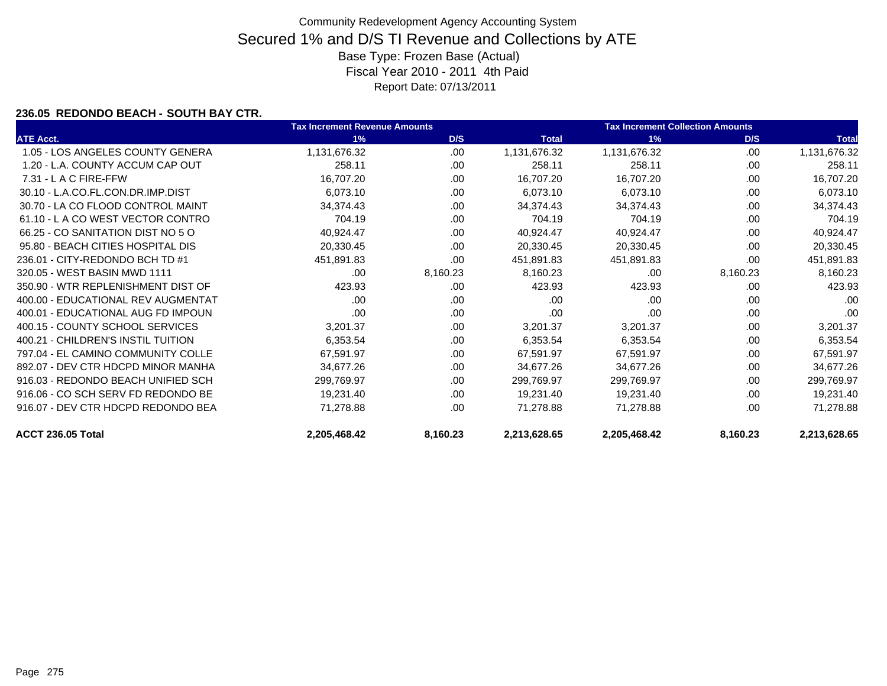### **236.05 REDONDO BEACH - SOUTH BAY CTR.**

|                                    | <b>Tax Increment Revenue Amounts</b> |          |              | <b>Tax Increment Collection Amounts</b> |          |              |
|------------------------------------|--------------------------------------|----------|--------------|-----------------------------------------|----------|--------------|
| <b>ATE Acct.</b>                   | 1%                                   | D/S      | <b>Total</b> | 1%                                      | D/S      | <b>Total</b> |
| 1.05 - LOS ANGELES COUNTY GENERA   | 1,131,676.32                         | .00      | 1,131,676.32 | 1,131,676.32                            | .00      | 1,131,676.32 |
| 1.20 - L.A. COUNTY ACCUM CAP OUT   | 258.11                               | .00      | 258.11       | 258.11                                  | .00      | 258.11       |
| 7.31 - L A C FIRE-FFW              | 16,707.20                            | .00.     | 16,707.20    | 16,707.20                               | .00      | 16,707.20    |
| 30.10 - L.A.CO.FL.CON.DR.IMP.DIST  | 6,073.10                             | .00      | 6,073.10     | 6,073.10                                | .00      | 6,073.10     |
| 30.70 - LA CO FLOOD CONTROL MAINT  | 34,374.43                            | .00      | 34,374.43    | 34,374.43                               | .00      | 34,374.43    |
| 61.10 - L A CO WEST VECTOR CONTRO  | 704.19                               | .00      | 704.19       | 704.19                                  | .00      | 704.19       |
| 66.25 - CO SANITATION DIST NO 5 O  | 40,924.47                            | .00      | 40,924.47    | 40,924.47                               | .00      | 40,924.47    |
| 95.80 - BEACH CITIES HOSPITAL DIS  | 20,330.45                            | .00      | 20,330.45    | 20,330.45                               | .00      | 20,330.45    |
| 236.01 - CITY-REDONDO BCH TD #1    | 451,891.83                           | .00      | 451,891.83   | 451,891.83                              | .00      | 451,891.83   |
| 320.05 - WEST BASIN MWD 1111       | .00                                  | 8,160.23 | 8,160.23     | .00                                     | 8,160.23 | 8,160.23     |
| 350.90 - WTR REPLENISHMENT DIST OF | 423.93                               | .00.     | 423.93       | 423.93                                  | .00.     | 423.93       |
| 400.00 - EDUCATIONAL REV AUGMENTAT | .00.                                 | .00      | .00          | .00                                     | .00      | .00          |
| 400.01 - EDUCATIONAL AUG FD IMPOUN | .00                                  | .00.     | .00          | .00                                     | .00      | .00          |
| 400.15 - COUNTY SCHOOL SERVICES    | 3,201.37                             | .00.     | 3,201.37     | 3,201.37                                | .00      | 3,201.37     |
| 400.21 - CHILDREN'S INSTIL TUITION | 6,353.54                             | .00.     | 6,353.54     | 6,353.54                                | .00      | 6,353.54     |
| 797.04 - EL CAMINO COMMUNITY COLLE | 67,591.97                            | .00      | 67,591.97    | 67,591.97                               | .00      | 67,591.97    |
| 892.07 - DEV CTR HDCPD MINOR MANHA | 34,677.26                            | .00.     | 34,677.26    | 34,677.26                               | .00.     | 34,677.26    |
| 916.03 - REDONDO BEACH UNIFIED SCH | 299,769.97                           | .00.     | 299,769.97   | 299,769.97                              | .00      | 299,769.97   |
| 916.06 - CO SCH SERV FD REDONDO BE | 19,231.40                            | .00      | 19,231.40    | 19,231.40                               | .00      | 19,231.40    |
| 916.07 - DEV CTR HDCPD REDONDO BEA | 71,278.88                            | .00.     | 71,278.88    | 71,278.88                               | .00.     | 71,278.88    |
| ACCT 236.05 Total                  | 2,205,468.42                         | 8,160.23 | 2,213,628.65 | 2,205,468.42                            | 8,160.23 | 2,213,628.65 |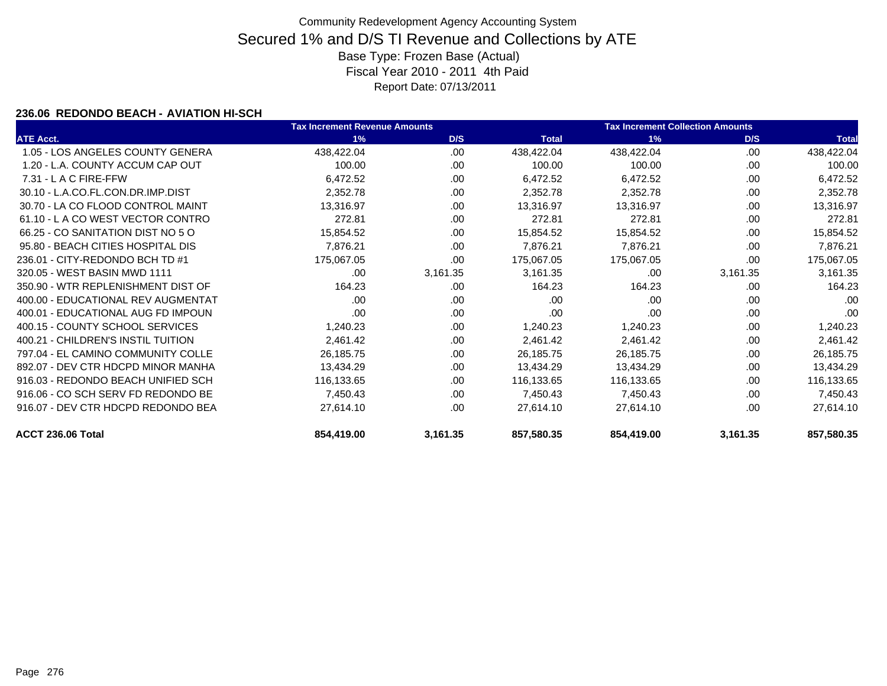### **236.06 REDONDO BEACH - AVIATION HI-SCH**

|                                    | <b>Tax Increment Revenue Amounts</b> |          |              | <b>Tax Increment Collection Amounts</b> |          |              |
|------------------------------------|--------------------------------------|----------|--------------|-----------------------------------------|----------|--------------|
| <b>ATE Acct.</b>                   | 1%                                   | D/S      | <b>Total</b> | 1%                                      | D/S      | <b>Total</b> |
| 1.05 - LOS ANGELES COUNTY GENERA   | 438,422.04                           | .00      | 438,422.04   | 438,422.04                              | .00      | 438,422.04   |
| 1.20 - L.A. COUNTY ACCUM CAP OUT   | 100.00                               | .00      | 100.00       | 100.00                                  | .00      | 100.00       |
| 7.31 - L A C FIRE-FFW              | 6,472.52                             | .00.     | 6,472.52     | 6,472.52                                | .00      | 6,472.52     |
| 30.10 - L.A.CO.FL.CON.DR.IMP.DIST  | 2,352.78                             | .00      | 2,352.78     | 2,352.78                                | .00      | 2,352.78     |
| 30.70 - LA CO FLOOD CONTROL MAINT  | 13,316.97                            | .00      | 13,316.97    | 13,316.97                               | .00      | 13,316.97    |
| 61.10 - L A CO WEST VECTOR CONTRO  | 272.81                               | .00      | 272.81       | 272.81                                  | .00      | 272.81       |
| 66.25 - CO SANITATION DIST NO 5 O  | 15,854.52                            | .00      | 15,854.52    | 15,854.52                               | .00      | 15,854.52    |
| 95.80 - BEACH CITIES HOSPITAL DIS  | 7,876.21                             | .00.     | 7,876.21     | 7,876.21                                | .00      | 7,876.21     |
| 236.01 - CITY-REDONDO BCH TD #1    | 175,067.05                           | .00      | 175,067.05   | 175,067.05                              | .00      | 175,067.05   |
| 320.05 - WEST BASIN MWD 1111       | .00                                  | 3,161.35 | 3,161.35     | .00                                     | 3,161.35 | 3,161.35     |
| 350.90 - WTR REPLENISHMENT DIST OF | 164.23                               | .00.     | 164.23       | 164.23                                  | .00.     | 164.23       |
| 400.00 - EDUCATIONAL REV AUGMENTAT | .00.                                 | .00      | .00          | .00                                     | .00      | .00          |
| 400.01 - EDUCATIONAL AUG FD IMPOUN | .00                                  | .00.     | .00          | .00                                     | .00      | .00          |
| 400.15 - COUNTY SCHOOL SERVICES    | 1,240.23                             | .00.     | 1,240.23     | 1,240.23                                | .00      | 1,240.23     |
| 400.21 - CHILDREN'S INSTIL TUITION | 2,461.42                             | .00.     | 2,461.42     | 2,461.42                                | .00      | 2,461.42     |
| 797.04 - EL CAMINO COMMUNITY COLLE | 26,185.75                            | .00      | 26,185.75    | 26,185.75                               | .00      | 26,185.75    |
| 892.07 - DEV CTR HDCPD MINOR MANHA | 13,434.29                            | .00.     | 13,434.29    | 13,434.29                               | .00.     | 13,434.29    |
| 916.03 - REDONDO BEACH UNIFIED SCH | 116,133.65                           | .00.     | 116,133.65   | 116,133.65                              | .00      | 116,133.65   |
| 916.06 - CO SCH SERV FD REDONDO BE | 7,450.43                             | .00.     | 7,450.43     | 7,450.43                                | .00      | 7,450.43     |
| 916.07 - DEV CTR HDCPD REDONDO BEA | 27,614.10                            | .00      | 27,614.10    | 27,614.10                               | .00.     | 27,614.10    |
| ACCT 236.06 Total                  | 854,419.00                           | 3,161.35 | 857,580.35   | 854,419.00                              | 3,161.35 | 857,580.35   |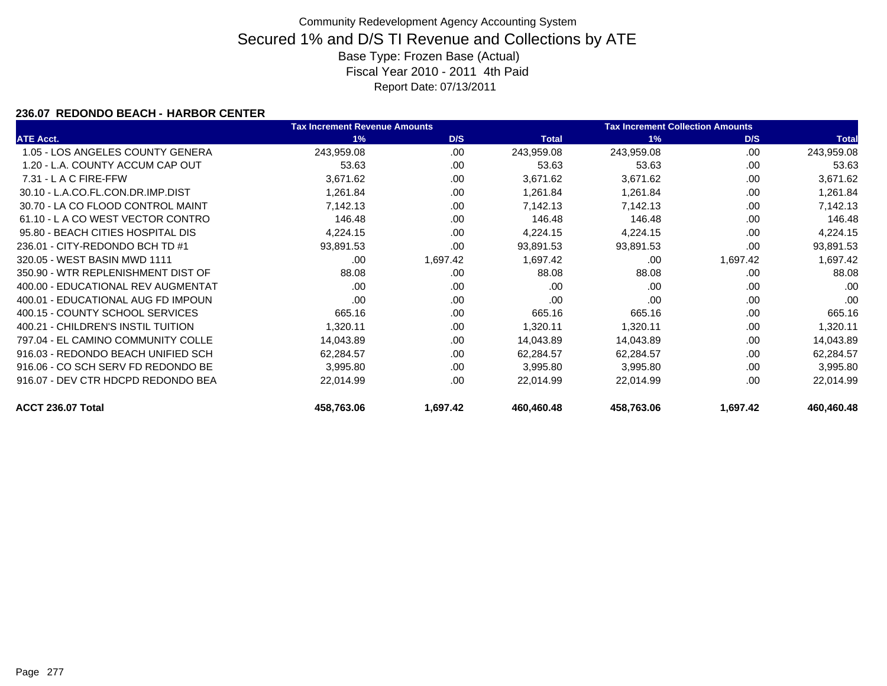### **236.07 REDONDO BEACH - HARBOR CENTER**

|                                    | <b>Tax Increment Revenue Amounts</b> |          | <b>Tax Increment Collection Amounts</b> |            |          |              |
|------------------------------------|--------------------------------------|----------|-----------------------------------------|------------|----------|--------------|
| <b>ATE Acct.</b>                   | 1%                                   | D/S      | <b>Total</b>                            | 1%         | D/S      | <b>Total</b> |
| 1.05 - LOS ANGELES COUNTY GENERA   | 243,959.08                           | .00.     | 243,959.08                              | 243,959.08 | .00      | 243,959.08   |
| 1.20 - L.A. COUNTY ACCUM CAP OUT   | 53.63                                | .00      | 53.63                                   | 53.63      | .00      | 53.63        |
| $7.31 - L$ A C FIRE-FFW            | 3,671.62                             | .00      | 3,671.62                                | 3,671.62   | .00      | 3,671.62     |
| 30.10 - L.A.CO.FL.CON.DR.IMP.DIST  | 1,261.84                             | .00      | 1,261.84                                | 1,261.84   | .00      | 1,261.84     |
| 30.70 - LA CO FLOOD CONTROL MAINT  | 7,142.13                             | .00      | 7,142.13                                | 7,142.13   | .00      | 7,142.13     |
| 61.10 - LA CO WEST VECTOR CONTRO   | 146.48                               | .00.     | 146.48                                  | 146.48     | .00      | 146.48       |
| 95.80 - BEACH CITIES HOSPITAL DIS  | 4,224.15                             | .00      | 4,224.15                                | 4,224.15   | .00      | 4,224.15     |
| 236.01 - CITY-REDONDO BCH TD #1    | 93,891.53                            | .00      | 93,891.53                               | 93,891.53  | .00.     | 93,891.53    |
| 320.05 - WEST BASIN MWD 1111       | .00                                  | 1,697.42 | 1,697.42                                | .00        | 1,697.42 | 1,697.42     |
| 350.90 - WTR REPLENISHMENT DIST OF | 88.08                                | .00.     | 88.08                                   | 88.08      | .00      | 88.08        |
| 400.00 - EDUCATIONAL REV AUGMENTAT | .00                                  | .00.     | .00                                     | .00        | .00      | .00          |
| 400.01 - EDUCATIONAL AUG FD IMPOUN | .00                                  | .00      | .00                                     | .00        | .00      | .00          |
| 400.15 - COUNTY SCHOOL SERVICES    | 665.16                               | .00.     | 665.16                                  | 665.16     | .00      | 665.16       |
| 400.21 - CHILDREN'S INSTIL TUITION | 1,320.11                             | .00      | 1,320.11                                | 1,320.11   | .00      | 1,320.11     |
| 797.04 - EL CAMINO COMMUNITY COLLE | 14,043.89                            | .00      | 14,043.89                               | 14,043.89  | .00      | 14,043.89    |
| 916.03 - REDONDO BEACH UNIFIED SCH | 62,284.57                            | .00.     | 62,284.57                               | 62,284.57  | .00      | 62,284.57    |
| 916.06 - CO SCH SERV FD REDONDO BE | 3,995.80                             | .00      | 3,995.80                                | 3,995.80   | .00      | 3,995.80     |
| 916.07 - DEV CTR HDCPD REDONDO BEA | 22.014.99                            | .00      | 22,014.99                               | 22,014.99  | .00      | 22,014.99    |
| ACCT 236.07 Total                  | 458,763.06                           | 1,697.42 | 460,460.48                              | 458,763.06 | 1,697.42 | 460,460.48   |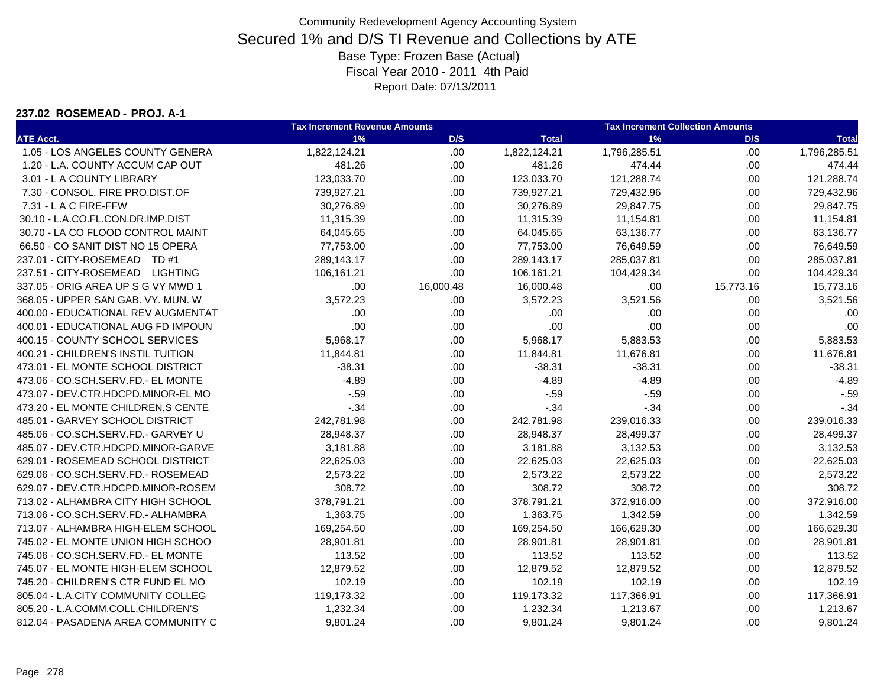#### **237.02 ROSEMEAD - PROJ. A-1**

|                                     | <b>Tax Increment Revenue Amounts</b> |           | <b>Tax Increment Collection Amounts</b> |              |           |              |
|-------------------------------------|--------------------------------------|-----------|-----------------------------------------|--------------|-----------|--------------|
| <b>ATE Acct.</b>                    | 1%                                   | D/S       | <b>Total</b>                            | 1%           | D/S       | <b>Total</b> |
| 1.05 - LOS ANGELES COUNTY GENERA    | 1,822,124.21                         | .00.      | 1,822,124.21                            | 1,796,285.51 | .00       | 1,796,285.51 |
| 1.20 - L.A. COUNTY ACCUM CAP OUT    | 481.26                               | .00       | 481.26                                  | 474.44       | .00       | 474.44       |
| 3.01 - L A COUNTY LIBRARY           | 123,033.70                           | .00       | 123,033.70                              | 121,288.74   | .00       | 121,288.74   |
| 7.30 - CONSOL. FIRE PRO.DIST.OF     | 739,927.21                           | .00       | 739,927.21                              | 729,432.96   | .00       | 729,432.96   |
| 7.31 - L A C FIRE-FFW               | 30,276.89                            | .00.      | 30,276.89                               | 29,847.75    | .00       | 29,847.75    |
| 30.10 - L.A.CO.FL.CON.DR.IMP.DIST   | 11,315.39                            | .00.      | 11,315.39                               | 11,154.81    | .00.      | 11,154.81    |
| 30.70 - LA CO FLOOD CONTROL MAINT   | 64,045.65                            | .00.      | 64,045.65                               | 63,136.77    | .00       | 63,136.77    |
| 66.50 - CO SANIT DIST NO 15 OPERA   | 77,753.00                            | .00.      | 77,753.00                               | 76,649.59    | .00       | 76,649.59    |
| 237.01 - CITY-ROSEMEAD TD #1        | 289,143.17                           | .00       | 289,143.17                              | 285,037.81   | .00       | 285,037.81   |
| 237.51 - CITY-ROSEMEAD LIGHTING     | 106,161.21                           | .00       | 106,161.21                              | 104,429.34   | .00       | 104,429.34   |
| 337.05 - ORIG AREA UP S G VY MWD 1  | .00                                  | 16,000.48 | 16,000.48                               | .00          | 15,773.16 | 15,773.16    |
| 368.05 - UPPER SAN GAB. VY. MUN. W  | 3,572.23                             | .00.      | 3,572.23                                | 3,521.56     | .00       | 3,521.56     |
| 400.00 - EDUCATIONAL REV AUGMENTAT  | .00                                  | .00.      | .00                                     | .00          | .00       | .00          |
| 400.01 - EDUCATIONAL AUG FD IMPOUN  | .00                                  | .00       | .00                                     | .00          | .00       | .00          |
| 400.15 - COUNTY SCHOOL SERVICES     | 5,968.17                             | .00       | 5,968.17                                | 5,883.53     | .00       | 5,883.53     |
| 400.21 - CHILDREN'S INSTIL TUITION  | 11,844.81                            | .00       | 11,844.81                               | 11,676.81    | .00       | 11,676.81    |
| 473.01 - EL MONTE SCHOOL DISTRICT   | $-38.31$                             | .00       | $-38.31$                                | $-38.31$     | .00       | $-38.31$     |
| 473.06 - CO.SCH.SERV.FD.- EL MONTE  | $-4.89$                              | .00.      | $-4.89$                                 | $-4.89$      | .00       | $-4.89$      |
| 473.07 - DEV.CTR.HDCPD.MINOR-EL MO  | $-.59$                               | .00.      | $-.59$                                  | $-0.59$      | .00       | $-.59$       |
| 473.20 - EL MONTE CHILDREN, S CENTE | $-.34$                               | .00.      | $-34$                                   | $-.34$       | .00       | $-34$        |
| 485.01 - GARVEY SCHOOL DISTRICT     | 242,781.98                           | .00.      | 242,781.98                              | 239,016.33   | .00       | 239,016.33   |
| 485.06 - CO.SCH.SERV.FD.- GARVEY U  | 28,948.37                            | .00.      | 28,948.37                               | 28,499.37    | .00       | 28,499.37    |
| 485.07 - DEV.CTR.HDCPD.MINOR-GARVE  | 3,181.88                             | .00       | 3,181.88                                | 3,132.53     | .00       | 3,132.53     |
| 629.01 - ROSEMEAD SCHOOL DISTRICT   | 22,625.03                            | .00.      | 22,625.03                               | 22,625.03    | .00       | 22,625.03    |
| 629.06 - CO.SCH.SERV.FD.- ROSEMEAD  | 2,573.22                             | .00.      | 2,573.22                                | 2,573.22     | .00       | 2,573.22     |
| 629.07 - DEV.CTR.HDCPD.MINOR-ROSEM  | 308.72                               | .00       | 308.72                                  | 308.72       | .00       | 308.72       |
| 713.02 - ALHAMBRA CITY HIGH SCHOOL  | 378,791.21                           | .00.      | 378,791.21                              | 372,916.00   | .00       | 372,916.00   |
| 713.06 - CO.SCH.SERV.FD.- ALHAMBRA  | 1,363.75                             | .00.      | 1,363.75                                | 1,342.59     | .00       | 1,342.59     |
| 713.07 - ALHAMBRA HIGH-ELEM SCHOOL  | 169,254.50                           | .00       | 169,254.50                              | 166,629.30   | .00       | 166,629.30   |
| 745.02 - EL MONTE UNION HIGH SCHOO  | 28,901.81                            | .00       | 28,901.81                               | 28,901.81    | .00       | 28,901.81    |
| 745.06 - CO.SCH.SERV.FD.- EL MONTE  | 113.52                               | .00       | 113.52                                  | 113.52       | .00       | 113.52       |
| 745.07 - EL MONTE HIGH-ELEM SCHOOL  | 12,879.52                            | .00       | 12,879.52                               | 12,879.52    | .00       | 12,879.52    |
| 745.20 - CHILDREN'S CTR FUND EL MO  | 102.19                               | .00       | 102.19                                  | 102.19       | .00.      | 102.19       |
| 805.04 - L.A.CITY COMMUNITY COLLEG  | 119,173.32                           | .00.      | 119,173.32                              | 117,366.91   | .00.      | 117,366.91   |
| 805.20 - L.A.COMM.COLL.CHILDREN'S   | 1,232.34                             | .00       | 1,232.34                                | 1,213.67     | .00       | 1,213.67     |
| 812.04 - PASADENA AREA COMMUNITY C  | 9,801.24                             | .00       | 9,801.24                                | 9,801.24     | .00       | 9,801.24     |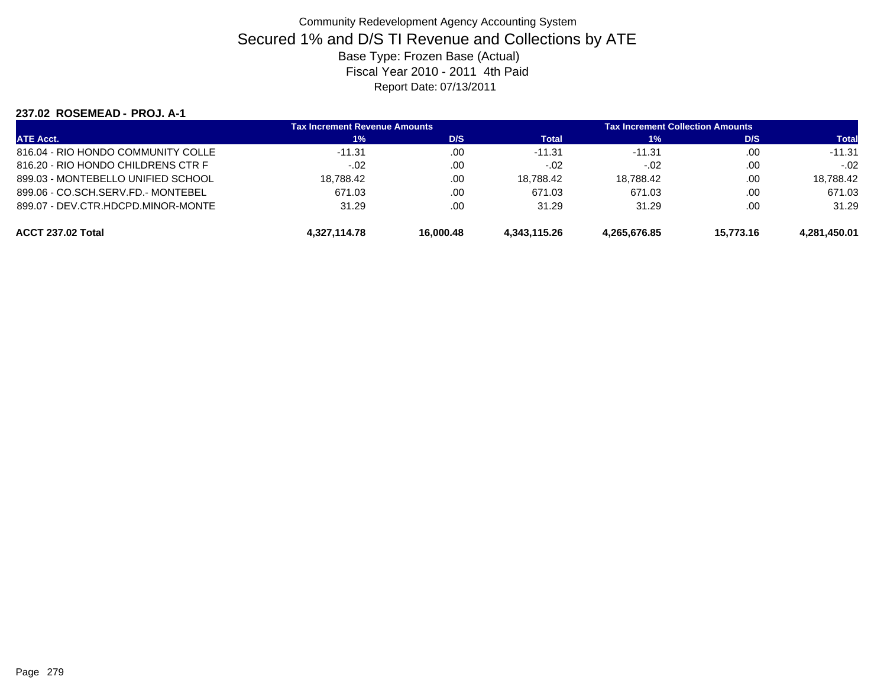#### **237.02 ROSEMEAD - PROJ. A-1**

| <b>ATE Acct.</b>                   | <b>Tax Increment Revenue Amounts</b> |           | <b>Tax Increment Collection Amounts</b> |              |           |              |
|------------------------------------|--------------------------------------|-----------|-----------------------------------------|--------------|-----------|--------------|
|                                    | 1%                                   | D/S       | Total                                   | 1%           | D/S       | <b>Total</b> |
| 816.04 - RIO HONDO COMMUNITY COLLE | $-11.31$                             | .00       | $-11.31$                                | $-11.31$     | .00       | $-11.31$     |
| 816.20 - RIO HONDO CHILDRENS CTR F | $-.02$                               | .00       | $-.02$                                  | $-.02$       | .00       | $-.02$       |
| 899.03 - MONTEBELLO UNIFIED SCHOOL | 18.788.42                            | .00       | 18.788.42                               | 18.788.42    | .00.      | 18.788.42    |
| 899.06 - CO.SCH.SERV.FD.- MONTEBEL | 671.03                               | .00       | 671.03                                  | 671.03       | .00       | 671.03       |
| 899.07 - DEV.CTR.HDCPD.MINOR-MONTE | 31.29                                | .00       | 31.29                                   | 31.29        | .00       | 31.29        |
| ACCT 237.02 Total                  | 4.327.114.78                         | 16.000.48 | 4.343.115.26                            | 4.265.676.85 | 15.773.16 | 4.281.450.01 |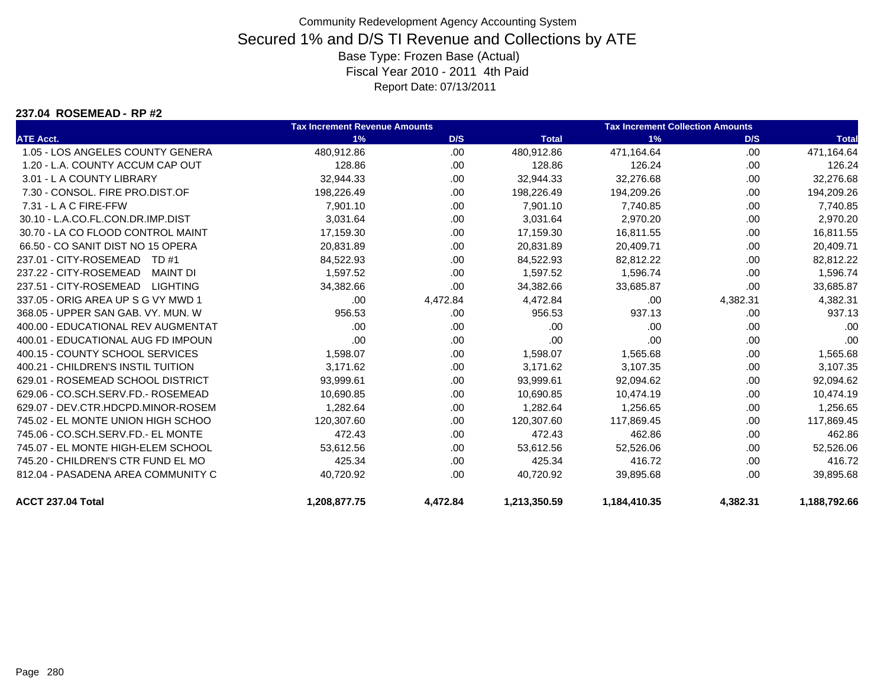#### **237.04 ROSEMEAD - RP #2**

|                                    | <b>Tax Increment Revenue Amounts</b> |          |              | <b>Tax Increment Collection Amounts</b> |          |              |
|------------------------------------|--------------------------------------|----------|--------------|-----------------------------------------|----------|--------------|
| <b>ATE Acct.</b>                   | 1%                                   | D/S      | <b>Total</b> | 1%                                      | D/S      | <b>Total</b> |
| 1.05 - LOS ANGELES COUNTY GENERA   | 480,912.86                           | .00      | 480,912.86   | 471,164.64                              | .00      | 471,164.64   |
| 1.20 - L.A. COUNTY ACCUM CAP OUT   | 128.86                               | .00      | 128.86       | 126.24                                  | .00      | 126.24       |
| 3.01 - L A COUNTY LIBRARY          | 32,944.33                            | .00.     | 32,944.33    | 32,276.68                               | .00      | 32,276.68    |
| 7.30 - CONSOL, FIRE PRO.DIST.OF    | 198,226.49                           | .00.     | 198,226.49   | 194,209.26                              | .00      | 194,209.26   |
| 7.31 - L A C FIRE-FFW              | 7.901.10                             | .00      | 7.901.10     | 7,740.85                                | .00      | 7,740.85     |
| 30.10 - L.A.CO.FL.CON.DR.IMP.DIST  | 3,031.64                             | .00      | 3,031.64     | 2,970.20                                | .00.     | 2,970.20     |
| 30.70 - LA CO FLOOD CONTROL MAINT  | 17,159.30                            | .00      | 17,159.30    | 16,811.55                               | .00      | 16,811.55    |
| 66.50 - CO SANIT DIST NO 15 OPERA  | 20,831.89                            | .00      | 20.831.89    | 20,409.71                               | .00      | 20,409.71    |
| 237.01 - CITY-ROSEMEAD<br>TD #1    | 84,522.93                            | .00      | 84,522.93    | 82,812.22                               | .00      | 82,812.22    |
| 237.22 - CITY-ROSEMEAD<br>MAINT DI | 1,597.52                             | .00      | 1,597.52     | 1,596.74                                | .00      | 1,596.74     |
| 237.51 - CITY-ROSEMEAD<br>LIGHTING | 34,382.66                            | .00      | 34,382.66    | 33,685.87                               | .00      | 33,685.87    |
| 337.05 - ORIG AREA UP S G VY MWD 1 | .00                                  | 4,472.84 | 4,472.84     | .00                                     | 4,382.31 | 4,382.31     |
| 368.05 - UPPER SAN GAB, VY, MUN, W | 956.53                               | .00      | 956.53       | 937.13                                  | .00      | 937.13       |
| 400.00 - EDUCATIONAL REV AUGMENTAT | .00                                  | .00.     | .00          | .00                                     | .00      | .00          |
| 400.01 - EDUCATIONAL AUG FD IMPOUN | .00                                  | .00      | .00          | .00                                     | .00      | .00          |
| 400.15 - COUNTY SCHOOL SERVICES    | 1,598.07                             | .00      | 1,598.07     | 1,565.68                                | .00      | 1,565.68     |
| 400.21 - CHILDREN'S INSTIL TUITION | 3,171.62                             | .00.     | 3,171.62     | 3,107.35                                | .00      | 3,107.35     |
| 629.01 - ROSEMEAD SCHOOL DISTRICT  | 93,999.61                            | .00      | 93,999.61    | 92,094.62                               | .00      | 92,094.62    |
| 629.06 - CO.SCH.SERV.FD.- ROSEMEAD | 10,690.85                            | .00.     | 10,690.85    | 10,474.19                               | .00      | 10,474.19    |
| 629.07 - DEV.CTR.HDCPD.MINOR-ROSEM | 1,282.64                             | .00      | 1,282.64     | 1,256.65                                | .00      | 1,256.65     |
| 745.02 - EL MONTE UNION HIGH SCHOO | 120,307.60                           | .00      | 120,307.60   | 117,869.45                              | .00      | 117,869.45   |
| 745.06 - CO.SCH.SERV.FD.- EL MONTE | 472.43                               | .00      | 472.43       | 462.86                                  | .00      | 462.86       |
| 745.07 - EL MONTE HIGH-ELEM SCHOOL | 53,612.56                            | .00      | 53,612.56    | 52,526.06                               | .00      | 52,526.06    |
| 745.20 - CHILDREN'S CTR FUND EL MO | 425.34                               | .00      | 425.34       | 416.72                                  | .00      | 416.72       |
| 812.04 - PASADENA AREA COMMUNITY C | 40,720.92                            | .00      | 40,720.92    | 39,895.68                               | .00      | 39,895.68    |
| ACCT 237.04 Total                  | 1,208,877.75                         | 4,472.84 | 1,213,350.59 | 1,184,410.35                            | 4,382.31 | 1,188,792.66 |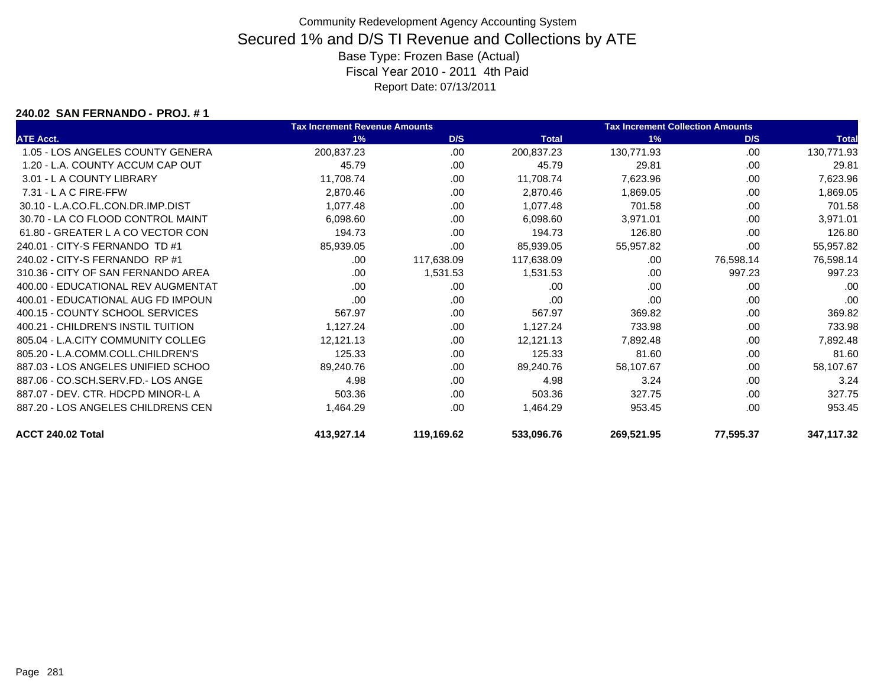#### **240.02 SAN FERNANDO - PROJ. # 1**

|                                    | <b>Tax Increment Revenue Amounts</b> |            |              | <b>Tax Increment Collection Amounts</b> |           |              |
|------------------------------------|--------------------------------------|------------|--------------|-----------------------------------------|-----------|--------------|
| <b>ATE Acct.</b>                   | 1%                                   | D/S        | <b>Total</b> | 1%                                      | D/S       | <b>Total</b> |
| 1.05 - LOS ANGELES COUNTY GENERA   | 200,837.23                           | .00.       | 200,837.23   | 130,771.93                              | .00       | 130,771.93   |
| 1.20 - L.A. COUNTY ACCUM CAP OUT   | 45.79                                | .00        | 45.79        | 29.81                                   | .00       | 29.81        |
| 3.01 - L A COUNTY LIBRARY          | 11,708.74                            | .00        | 11,708.74    | 7,623.96                                | .00       | 7,623.96     |
| $7.31 - L$ A C FIRE-FFW            | 2,870.46                             | .00        | 2,870.46     | 1,869.05                                | .00       | 1,869.05     |
| 30.10 - L.A.CO.FL.CON.DR.IMP.DIST  | 1,077.48                             | .00        | 1,077.48     | 701.58                                  | .00       | 701.58       |
| 30.70 - LA CO FLOOD CONTROL MAINT  | 6,098.60                             | .00.       | 6,098.60     | 3,971.01                                | .00       | 3,971.01     |
| 61.80 - GREATER L A CO VECTOR CON  | 194.73                               | .00        | 194.73       | 126.80                                  | .00       | 126.80       |
| 240.01 - CITY-S FERNANDO TD #1     | 85,939.05                            | .00        | 85,939.05    | 55,957.82                               | .00       | 55,957.82    |
| 240.02 - CITY-S FERNANDO RP #1     | .00                                  | 117,638.09 | 117,638.09   | .00                                     | 76,598.14 | 76,598.14    |
| 310.36 - CITY OF SAN FERNANDO AREA | .00.                                 | 1,531.53   | 1,531.53     | .00                                     | 997.23    | 997.23       |
| 400.00 - EDUCATIONAL REV AUGMENTAT | .00                                  | .00        | .00          | .00                                     | .00       | .00          |
| 400.01 - EDUCATIONAL AUG FD IMPOUN | .00                                  | .00        | .00          | .00                                     | .00       | .00          |
| 400.15 - COUNTY SCHOOL SERVICES    | 567.97                               | .00.       | 567.97       | 369.82                                  | .00       | 369.82       |
| 400.21 - CHILDREN'S INSTIL TUITION | 1,127.24                             | .00        | 1,127.24     | 733.98                                  | .00       | 733.98       |
| 805.04 - L.A.CITY COMMUNITY COLLEG | 12,121.13                            | .00.       | 12,121.13    | 7,892.48                                | .00       | 7,892.48     |
| 805.20 - L.A.COMM.COLL.CHILDREN'S  | 125.33                               | .00        | 125.33       | 81.60                                   | .00       | 81.60        |
| 887.03 - LOS ANGELES UNIFIED SCHOO | 89,240.76                            | .00.       | 89,240.76    | 58,107.67                               | .00       | 58,107.67    |
| 887.06 - CO.SCH.SERV.FD.- LOS ANGE | 4.98                                 | .00        | 4.98         | 3.24                                    | .00       | 3.24         |
| 887.07 - DEV. CTR. HDCPD MINOR-L A | 503.36                               | .00.       | 503.36       | 327.75                                  | .00       | 327.75       |
| 887.20 - LOS ANGELES CHILDRENS CEN | 1,464.29                             | .00        | 1,464.29     | 953.45                                  | .00       | 953.45       |
| ACCT 240.02 Total                  | 413,927.14                           | 119,169.62 | 533,096.76   | 269,521.95                              | 77,595.37 | 347,117.32   |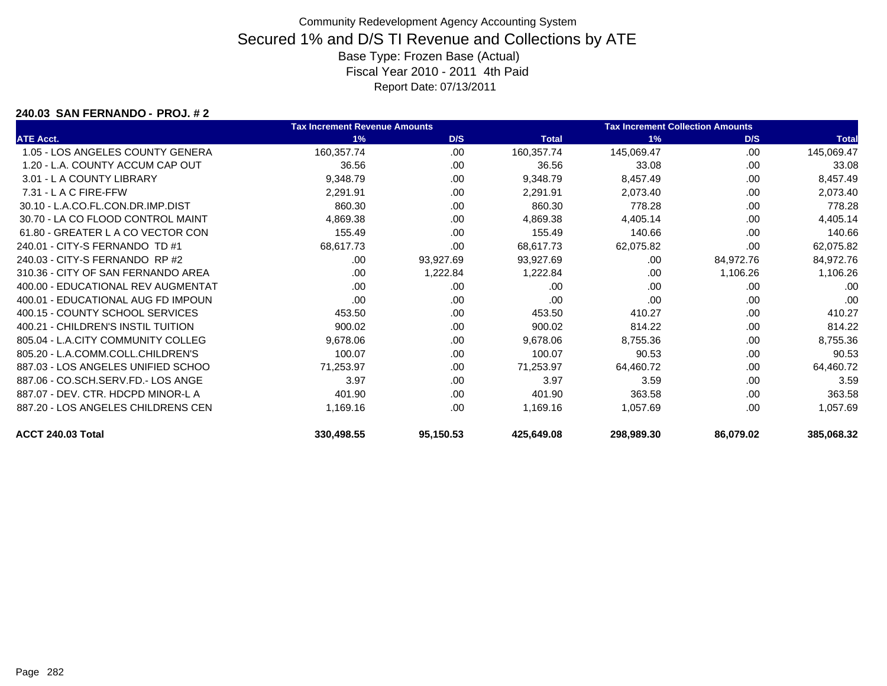#### **240.03 SAN FERNANDO - PROJ. # 2**

|                                    | <b>Tax Increment Revenue Amounts</b> |           |              | <b>Tax Increment Collection Amounts</b> |           |              |
|------------------------------------|--------------------------------------|-----------|--------------|-----------------------------------------|-----------|--------------|
| <b>ATE Acct.</b>                   | 1%                                   | D/S       | <b>Total</b> | 1%                                      | D/S       | <b>Total</b> |
| 1.05 - LOS ANGELES COUNTY GENERA   | 160,357.74                           | .00       | 160,357.74   | 145,069.47                              | .00.      | 145,069.47   |
| 1.20 - L.A. COUNTY ACCUM CAP OUT   | 36.56                                | .00       | 36.56        | 33.08                                   | .00       | 33.08        |
| 3.01 - L A COUNTY LIBRARY          | 9,348.79                             | .00       | 9,348.79     | 8,457.49                                | .00       | 8,457.49     |
| $7.31 - L$ A C FIRE-FFW            | 2,291.91                             | .00       | 2,291.91     | 2,073.40                                | .00       | 2,073.40     |
| 30.10 - L.A.CO.FL.CON.DR.IMP.DIST  | 860.30                               | .00.      | 860.30       | 778.28                                  | .00       | 778.28       |
| 30.70 - LA CO FLOOD CONTROL MAINT  | 4,869.38                             | .00       | 4,869.38     | 4,405.14                                | .00       | 4,405.14     |
| 61.80 - GREATER L A CO VECTOR CON  | 155.49                               | .00.      | 155.49       | 140.66                                  | .00       | 140.66       |
| 240.01 - CITY-S FERNANDO TD #1     | 68,617.73                            | .00.      | 68,617.73    | 62,075.82                               | .00       | 62,075.82    |
| 240.03 - CITY-S FERNANDO RP #2     | .00                                  | 93,927.69 | 93,927.69    | .00                                     | 84,972.76 | 84,972.76    |
| 310.36 - CITY OF SAN FERNANDO AREA | .00.                                 | 1,222.84  | 1,222.84     | .00                                     | 1,106.26  | 1,106.26     |
| 400.00 - EDUCATIONAL REV AUGMENTAT | .00.                                 | .00       | .00          | .00                                     | .00       | .00          |
| 400.01 - EDUCATIONAL AUG FD IMPOUN | .00                                  | .00       | .00          | .00                                     | .00       | .00          |
| 400.15 - COUNTY SCHOOL SERVICES    | 453.50                               | .00       | 453.50       | 410.27                                  | .00       | 410.27       |
| 400.21 - CHILDREN'S INSTIL TUITION | 900.02                               | .00       | 900.02       | 814.22                                  | .00       | 814.22       |
| 805.04 - L.A.CITY COMMUNITY COLLEG | 9,678.06                             | .00.      | 9,678.06     | 8,755.36                                | .00       | 8,755.36     |
| 805.20 - L.A.COMM.COLL.CHILDREN'S  | 100.07                               | .00       | 100.07       | 90.53                                   | .00       | 90.53        |
| 887.03 - LOS ANGELES UNIFIED SCHOO | 71,253.97                            | .00       | 71,253.97    | 64,460.72                               | .00       | 64,460.72    |
| 887.06 - CO.SCH.SERV.FD.- LOS ANGE | 3.97                                 | .00       | 3.97         | 3.59                                    | .00       | 3.59         |
| 887.07 - DEV. CTR. HDCPD MINOR-L A | 401.90                               | .00       | 401.90       | 363.58                                  | .00       | 363.58       |
| 887.20 - LOS ANGELES CHILDRENS CEN | 1,169.16                             | .00.      | 1,169.16     | 1,057.69                                | .00       | 1,057.69     |
| ACCT 240.03 Total                  | 330,498.55                           | 95,150.53 | 425,649.08   | 298,989.30                              | 86,079.02 | 385,068.32   |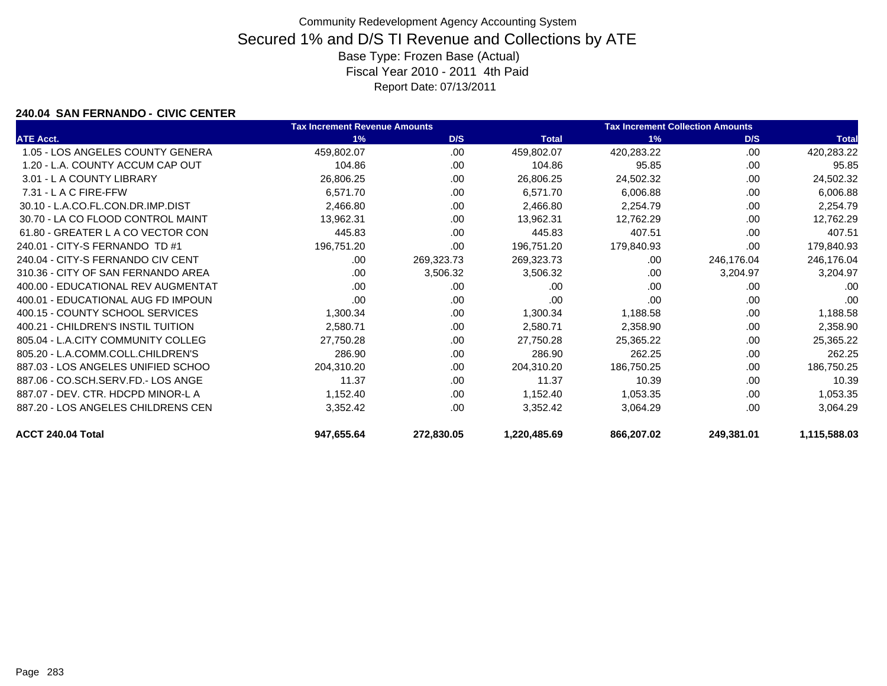### **240.04 SAN FERNANDO - CIVIC CENTER**

|                                    | <b>Tax Increment Revenue Amounts</b> |            |              | <b>Tax Increment Collection Amounts</b> |            |              |
|------------------------------------|--------------------------------------|------------|--------------|-----------------------------------------|------------|--------------|
| <b>ATE Acct.</b>                   | 1%                                   | D/S        | <b>Total</b> | 1%                                      | D/S        | <b>Total</b> |
| 1.05 - LOS ANGELES COUNTY GENERA   | 459,802.07                           | .00.       | 459,802.07   | 420,283.22                              | .00        | 420,283.22   |
| 1.20 - L.A. COUNTY ACCUM CAP OUT   | 104.86                               | .00        | 104.86       | 95.85                                   | .00        | 95.85        |
| 3.01 - L A COUNTY LIBRARY          | 26,806.25                            | .00        | 26,806.25    | 24,502.32                               | .00        | 24,502.32    |
| 7.31 - L A C FIRE-FFW              | 6,571.70                             | .00.       | 6,571.70     | 6,006.88                                | .00        | 6,006.88     |
| 30.10 - L.A.CO.FL.CON.DR.IMP.DIST  | 2,466.80                             | .00        | 2,466.80     | 2,254.79                                | .00        | 2,254.79     |
| 30.70 - LA CO FLOOD CONTROL MAINT  | 13,962.31                            | .00        | 13,962.31    | 12,762.29                               | .00        | 12,762.29    |
| 61.80 - GREATER L A CO VECTOR CON  | 445.83                               | .00        | 445.83       | 407.51                                  | .00        | 407.51       |
| 240.01 - CITY-S FERNANDO TD #1     | 196,751.20                           | .00        | 196,751.20   | 179,840.93                              | .00        | 179,840.93   |
| 240.04 - CITY-S FERNANDO CIV CENT  | .00                                  | 269,323.73 | 269,323.73   | .00                                     | 246,176.04 | 246,176.04   |
| 310.36 - CITY OF SAN FERNANDO AREA | .00                                  | 3,506.32   | 3,506.32     | .00                                     | 3,204.97   | 3,204.97     |
| 400.00 - EDUCATIONAL REV AUGMENTAT | .00                                  | .00        | .00          | .00                                     | .00        | .00          |
| 400.01 - EDUCATIONAL AUG FD IMPOUN | .00                                  | .00        | .00          | .00                                     | .00        | .00          |
| 400.15 - COUNTY SCHOOL SERVICES    | 1,300.34                             | .00.       | 1,300.34     | 1,188.58                                | .00        | 1,188.58     |
| 400.21 - CHILDREN'S INSTIL TUITION | 2,580.71                             | .00        | 2,580.71     | 2,358.90                                | .00        | 2,358.90     |
| 805.04 - L.A.CITY COMMUNITY COLLEG | 27,750.28                            | .00        | 27,750.28    | 25,365.22                               | .00        | 25,365.22    |
| 805.20 - L.A.COMM.COLL.CHILDREN'S  | 286.90                               | .00        | 286.90       | 262.25                                  | .00        | 262.25       |
| 887.03 - LOS ANGELES UNIFIED SCHOO | 204,310.20                           | .00.       | 204,310.20   | 186,750.25                              | .00        | 186,750.25   |
| 887.06 - CO.SCH.SERV.FD.- LOS ANGE | 11.37                                | .00        | 11.37        | 10.39                                   | .00        | 10.39        |
| 887.07 - DEV. CTR. HDCPD MINOR-L A | 1,152.40                             | .00.       | 1,152.40     | 1,053.35                                | .00        | 1,053.35     |
| 887.20 - LOS ANGELES CHILDRENS CEN | 3,352.42                             | .00        | 3,352.42     | 3,064.29                                | .00        | 3,064.29     |
| ACCT 240.04 Total                  | 947,655.64                           | 272,830.05 | 1,220,485.69 | 866,207.02                              | 249,381.01 | 1,115,588.03 |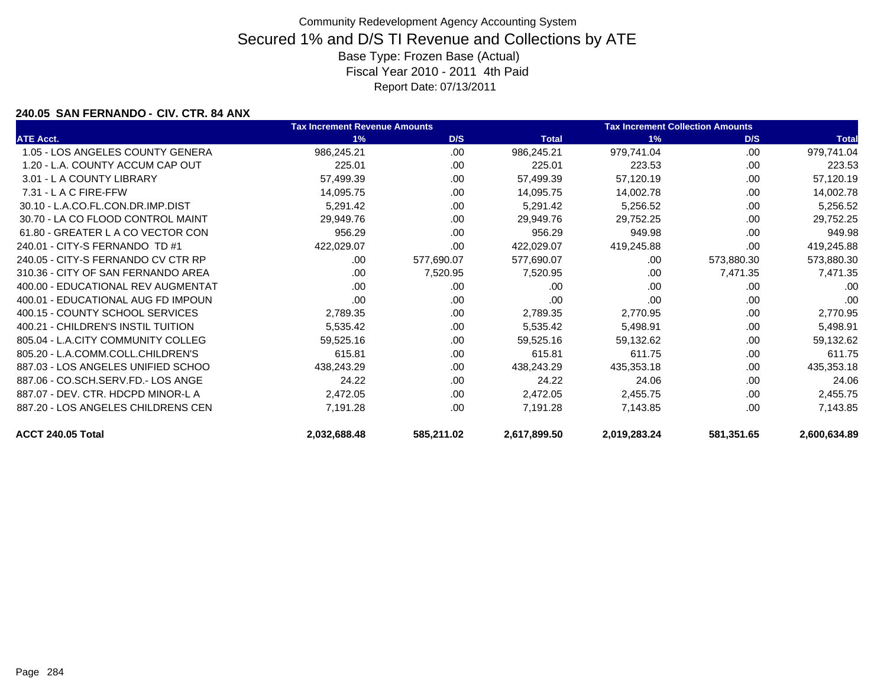### **240.05 SAN FERNANDO - CIV. CTR. 84 ANX**

|                                    | <b>Tax Increment Revenue Amounts</b> |            |              | <b>Tax Increment Collection Amounts</b> |            |              |
|------------------------------------|--------------------------------------|------------|--------------|-----------------------------------------|------------|--------------|
| <b>ATE Acct.</b>                   | 1%                                   | D/S        | <b>Total</b> | 1%                                      | D/S        | <b>Total</b> |
| 1.05 - LOS ANGELES COUNTY GENERA   | 986,245.21                           | .00        | 986,245.21   | 979,741.04                              | .00        | 979,741.04   |
| 1.20 - L.A. COUNTY ACCUM CAP OUT   | 225.01                               | .00        | 225.01       | 223.53                                  | .00        | 223.53       |
| 3.01 - L A COUNTY LIBRARY          | 57,499.39                            | .00        | 57,499.39    | 57,120.19                               | .00        | 57,120.19    |
| $7.31 - L$ A C FIRE-FFW            | 14,095.75                            | .00        | 14,095.75    | 14,002.78                               | .00        | 14,002.78    |
| 30.10 - L.A.CO.FL.CON.DR.IMP.DIST  | 5,291.42                             | .00        | 5,291.42     | 5,256.52                                | .00        | 5,256.52     |
| 30.70 - LA CO FLOOD CONTROL MAINT  | 29,949.76                            | .00        | 29,949.76    | 29,752.25                               | .00        | 29,752.25    |
| 61.80 - GREATER L A CO VECTOR CON  | 956.29                               | .00        | 956.29       | 949.98                                  | .00        | 949.98       |
| 240.01 - CITY-S FERNANDO TD #1     | 422,029.07                           | .00        | 422,029.07   | 419,245.88                              | .00        | 419,245.88   |
| 240.05 - CITY-S FERNANDO CV CTR RP | .00.                                 | 577,690.07 | 577,690.07   | .00                                     | 573,880.30 | 573,880.30   |
| 310.36 - CITY OF SAN FERNANDO AREA | .00.                                 | 7,520.95   | 7,520.95     | .00                                     | 7,471.35   | 7,471.35     |
| 400.00 - EDUCATIONAL REV AUGMENTAT | .00                                  | .00        | .00          | .00                                     | .00        | .00          |
| 400.01 - EDUCATIONAL AUG FD IMPOUN | .00                                  | .00        | .00          | .00                                     | .00        | .00          |
| 400.15 - COUNTY SCHOOL SERVICES    | 2,789.35                             | .00.       | 2,789.35     | 2,770.95                                | .00        | 2,770.95     |
| 400.21 - CHILDREN'S INSTIL TUITION | 5,535.42                             | .00.       | 5,535.42     | 5,498.91                                | .00        | 5,498.91     |
| 805.04 - L.A.CITY COMMUNITY COLLEG | 59,525.16                            | .00.       | 59,525.16    | 59,132.62                               | .00        | 59,132.62    |
| 805.20 - L.A.COMM.COLL.CHILDREN'S  | 615.81                               | .00        | 615.81       | 611.75                                  | .00        | 611.75       |
| 887.03 - LOS ANGELES UNIFIED SCHOO | 438,243.29                           | .00.       | 438,243.29   | 435,353.18                              | .00        | 435,353.18   |
| 887.06 - CO.SCH.SERV.FD.- LOS ANGE | 24.22                                | .00        | 24.22        | 24.06                                   | .00        | 24.06        |
| 887.07 - DEV. CTR. HDCPD MINOR-L A | 2,472.05                             | .00        | 2,472.05     | 2,455.75                                | .00        | 2,455.75     |
| 887.20 - LOS ANGELES CHILDRENS CEN | 7,191.28                             | .00.       | 7,191.28     | 7,143.85                                | .00        | 7,143.85     |
| ACCT 240.05 Total                  | 2,032,688.48                         | 585,211.02 | 2,617,899.50 | 2,019,283.24                            | 581,351.65 | 2,600,634.89 |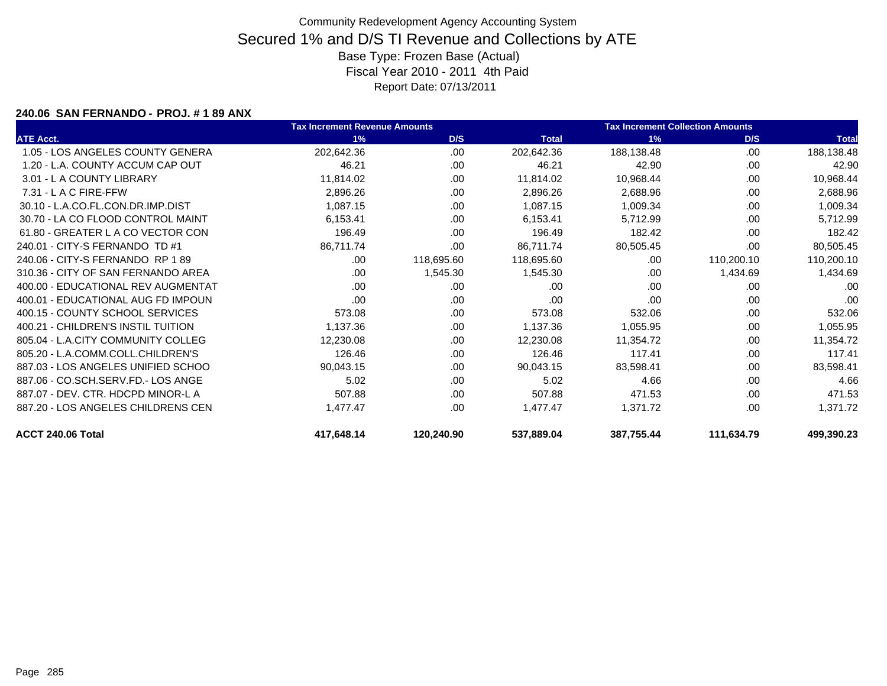#### **240.06 SAN FERNANDO - PROJ. # 1 89 ANX**

|                                    | <b>Tax Increment Revenue Amounts</b> |            |              | <b>Tax Increment Collection Amounts</b> |            |              |
|------------------------------------|--------------------------------------|------------|--------------|-----------------------------------------|------------|--------------|
| <b>ATE Acct.</b>                   | 1%                                   | D/S        | <b>Total</b> | 1%                                      | D/S        | <b>Total</b> |
| 1.05 - LOS ANGELES COUNTY GENERA   | 202,642.36                           | .00        | 202,642.36   | 188,138.48                              | .00        | 188,138.48   |
| 1.20 - L.A. COUNTY ACCUM CAP OUT   | 46.21                                | .00        | 46.21        | 42.90                                   | .00        | 42.90        |
| 3.01 - L A COUNTY LIBRARY          | 11,814.02                            | .00        | 11,814.02    | 10,968.44                               | .00        | 10,968.44    |
| $7.31 - L$ A C FIRE-FFW            | 2,896.26                             | .00        | 2,896.26     | 2,688.96                                | .00        | 2,688.96     |
| 30.10 - L.A.CO.FL.CON.DR.IMP.DIST  | 1,087.15                             | .00.       | 1,087.15     | 1,009.34                                | .00        | 1,009.34     |
| 30.70 - LA CO FLOOD CONTROL MAINT  | 6,153.41                             | .00        | 6,153.41     | 5,712.99                                | .00        | 5,712.99     |
| 61.80 - GREATER L A CO VECTOR CON  | 196.49                               | .00        | 196.49       | 182.42                                  | .00        | 182.42       |
| 240.01 - CITY-S FERNANDO TD #1     | 86,711.74                            | .00        | 86,711.74    | 80,505.45                               | .00        | 80,505.45    |
| 240.06 - CITY-S FERNANDO RP 189    | .00                                  | 118,695.60 | 118,695.60   | .00                                     | 110,200.10 | 110,200.10   |
| 310.36 - CITY OF SAN FERNANDO AREA | .00.                                 | 1,545.30   | 1,545.30     | .00                                     | 1,434.69   | 1,434.69     |
| 400.00 - EDUCATIONAL REV AUGMENTAT | .00                                  | .00        | .00          | .00                                     | .00        | .00          |
| 400.01 - EDUCATIONAL AUG FD IMPOUN | .00                                  | .00.       | .00          | .00                                     | .00        | .00          |
| 400.15 - COUNTY SCHOOL SERVICES    | 573.08                               | .00.       | 573.08       | 532.06                                  | .00        | 532.06       |
| 400.21 - CHILDREN'S INSTIL TUITION | 1,137.36                             | .00        | 1,137.36     | 1,055.95                                | .00        | 1,055.95     |
| 805.04 - L.A.CITY COMMUNITY COLLEG | 12,230.08                            | .00        | 12,230.08    | 11,354.72                               | .00        | 11,354.72    |
| 805.20 - L.A.COMM.COLL.CHILDREN'S  | 126.46                               | .00        | 126.46       | 117.41                                  | .00        | 117.41       |
| 887.03 - LOS ANGELES UNIFIED SCHOO | 90,043.15                            | .00.       | 90,043.15    | 83,598.41                               | .00        | 83,598.41    |
| 887.06 - CO.SCH.SERV.FD.- LOS ANGE | 5.02                                 | .00        | 5.02         | 4.66                                    | .00        | 4.66         |
| 887.07 - DEV. CTR. HDCPD MINOR-L A | 507.88                               | .00        | 507.88       | 471.53                                  | .00        | 471.53       |
| 887.20 - LOS ANGELES CHILDRENS CEN | 1,477.47                             | .00        | 1,477.47     | 1,371.72                                | .00.       | 1,371.72     |
| ACCT 240.06 Total                  | 417,648.14                           | 120,240.90 | 537,889.04   | 387,755.44                              | 111,634.79 | 499,390.23   |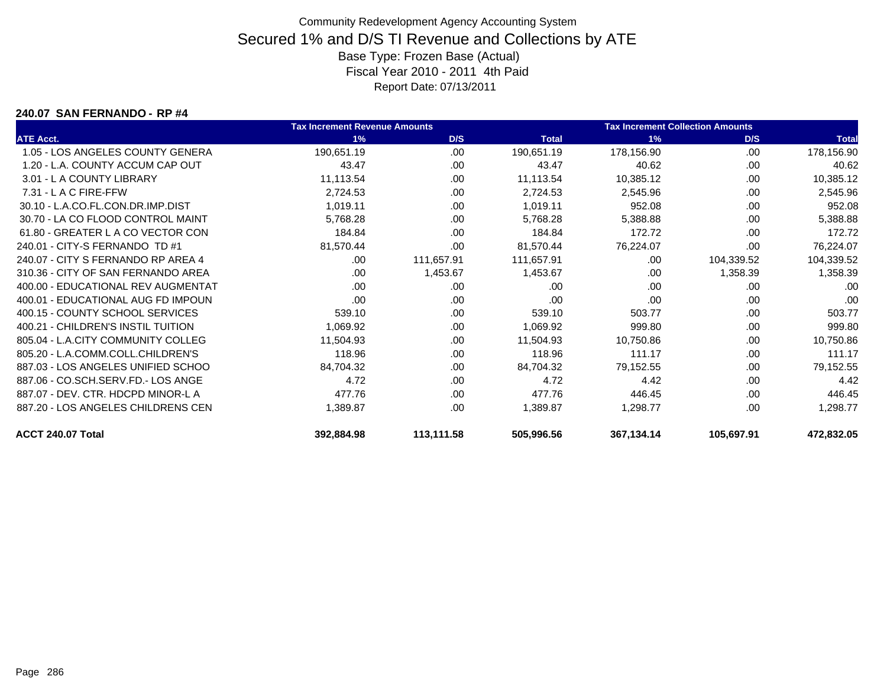#### **240.07 SAN FERNANDO - RP #4**

|                                    | <b>Tax Increment Revenue Amounts</b> |            |              | <b>Tax Increment Collection Amounts</b> |            |              |
|------------------------------------|--------------------------------------|------------|--------------|-----------------------------------------|------------|--------------|
| <b>ATE Acct.</b>                   | 1%                                   | D/S        | <b>Total</b> | 1%                                      | D/S        | <b>Total</b> |
| 1.05 - LOS ANGELES COUNTY GENERA   | 190,651.19                           | .00.       | 190,651.19   | 178,156.90                              | .00        | 178,156.90   |
| 1.20 - L.A. COUNTY ACCUM CAP OUT   | 43.47                                | .00        | 43.47        | 40.62                                   | .00        | 40.62        |
| 3.01 - L A COUNTY LIBRARY          | 11,113.54                            | .00        | 11,113.54    | 10,385.12                               | .00        | 10,385.12    |
| 7.31 - L A C FIRE-FFW              | 2,724.53                             | .00        | 2,724.53     | 2,545.96                                | .00        | 2,545.96     |
| 30.10 - L.A.CO.FL.CON.DR.IMP.DIST  | 1,019.11                             | .00        | 1,019.11     | 952.08                                  | .00        | 952.08       |
| 30.70 - LA CO FLOOD CONTROL MAINT  | 5,768.28                             | .00.       | 5,768.28     | 5,388.88                                | .00        | 5,388.88     |
| 61.80 - GREATER L A CO VECTOR CON  | 184.84                               | .00        | 184.84       | 172.72                                  | .00        | 172.72       |
| 240.01 - CITY-S FERNANDO TD #1     | 81,570.44                            | .00        | 81,570.44    | 76,224.07                               | .00        | 76,224.07    |
| 240.07 - CITY S FERNANDO RP AREA 4 | .00                                  | 111,657.91 | 111,657.91   | .00                                     | 104,339.52 | 104,339.52   |
| 310.36 - CITY OF SAN FERNANDO AREA | .00.                                 | 1,453.67   | 1,453.67     | .00.                                    | 1,358.39   | 1,358.39     |
| 400.00 - EDUCATIONAL REV AUGMENTAT | .00                                  | .00        | .00          | .00                                     | .00        | .00          |
| 400.01 - EDUCATIONAL AUG FD IMPOUN | .00                                  | .00        | .00          | .00                                     | .00        | .00          |
| 400.15 - COUNTY SCHOOL SERVICES    | 539.10                               | .00.       | 539.10       | 503.77                                  | .00        | 503.77       |
| 400.21 - CHILDREN'S INSTIL TUITION | 1,069.92                             | .00        | 1,069.92     | 999.80                                  | .00        | 999.80       |
| 805.04 - L.A.CITY COMMUNITY COLLEG | 11,504.93                            | .00.       | 11,504.93    | 10,750.86                               | .00        | 10,750.86    |
| 805.20 - L.A.COMM.COLL.CHILDREN'S  | 118.96                               | .00        | 118.96       | 111.17                                  | .00        | 111.17       |
| 887.03 - LOS ANGELES UNIFIED SCHOO | 84,704.32                            | .00.       | 84,704.32    | 79,152.55                               | .00        | 79,152.55    |
| 887.06 - CO.SCH.SERV.FD.- LOS ANGE | 4.72                                 | .00        | 4.72         | 4.42                                    | .00        | 4.42         |
| 887.07 - DEV. CTR. HDCPD MINOR-L A | 477.76                               | .00.       | 477.76       | 446.45                                  | .00        | 446.45       |
| 887.20 - LOS ANGELES CHILDRENS CEN | 1,389.87                             | .00        | 1,389.87     | 1,298.77                                | .00        | 1,298.77     |
| ACCT 240.07 Total                  | 392,884.98                           | 113,111.58 | 505,996.56   | 367,134.14                              | 105,697.91 | 472,832.05   |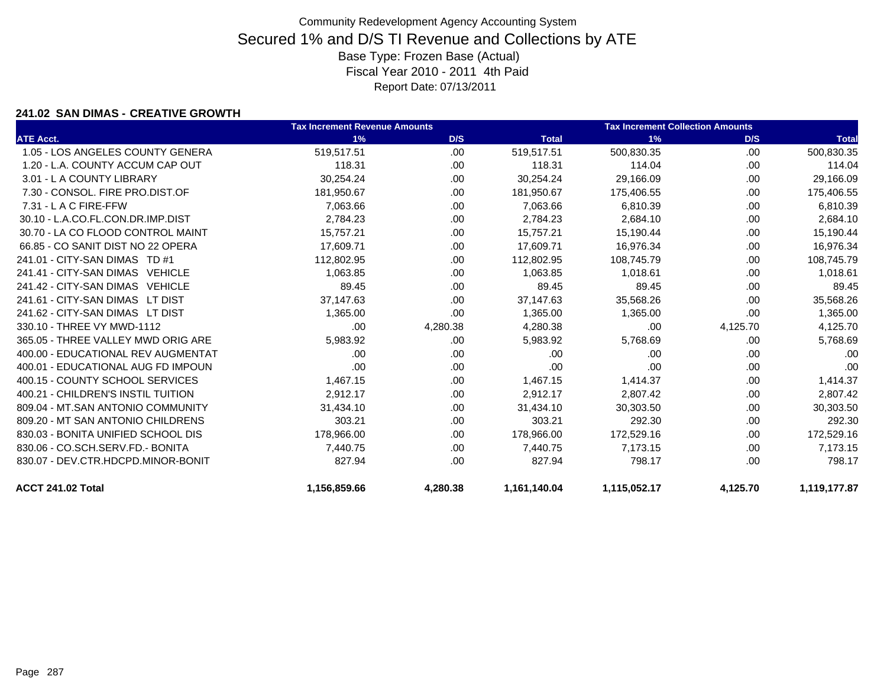### **241.02 SAN DIMAS - CREATIVE GROWTH**

|                                    | <b>Tax Increment Revenue Amounts</b> |          |              | <b>Tax Increment Collection Amounts</b> |          |              |  |
|------------------------------------|--------------------------------------|----------|--------------|-----------------------------------------|----------|--------------|--|
| <b>ATE Acct.</b>                   | 1%                                   | D/S      | <b>Total</b> | 1%                                      | D/S      | <b>Total</b> |  |
| 1.05 - LOS ANGELES COUNTY GENERA   | 519,517.51                           | .00      | 519,517.51   | 500,830.35                              | .00      | 500,830.35   |  |
| 1.20 - L.A. COUNTY ACCUM CAP OUT   | 118.31                               | .00.     | 118.31       | 114.04                                  | .00.     | 114.04       |  |
| 3.01 - L A COUNTY LIBRARY          | 30,254.24                            | .00.     | 30,254.24    | 29,166.09                               | .00      | 29,166.09    |  |
| 7.30 - CONSOL, FIRE PRO.DIST.OF    | 181,950.67                           | .00.     | 181,950.67   | 175,406.55                              | .00.     | 175,406.55   |  |
| 7.31 - L A C FIRE-FFW              | 7,063.66                             | .00.     | 7,063.66     | 6,810.39                                | .00.     | 6,810.39     |  |
| 30.10 - L.A.CO.FL.CON.DR.IMP.DIST  | 2.784.23                             | .00.     | 2,784.23     | 2,684.10                                | .00.     | 2,684.10     |  |
| 30.70 - LA CO FLOOD CONTROL MAINT  | 15.757.21                            | .00      | 15,757.21    | 15,190.44                               | .00      | 15,190.44    |  |
| 66.85 - CO SANIT DIST NO 22 OPERA  | 17,609.71                            | .00.     | 17,609.71    | 16,976.34                               | .00      | 16,976.34    |  |
| 241.01 - CITY-SAN DIMAS TD #1      | 112,802.95                           | .00      | 112,802.95   | 108,745.79                              | .00      | 108,745.79   |  |
| 241.41 - CITY-SAN DIMAS VEHICLE    | 1,063.85                             | .00.     | 1,063.85     | 1,018.61                                | .00      | 1,018.61     |  |
| 241.42 - CITY-SAN DIMAS VEHICLE    | 89.45                                | .00.     | 89.45        | 89.45                                   | .00      | 89.45        |  |
| 241.61 - CITY-SAN DIMAS LT DIST    | 37,147.63                            | .00.     | 37,147.63    | 35,568.26                               | .00      | 35,568.26    |  |
| 241.62 - CITY-SAN DIMAS LT DIST    | 1,365.00                             | .00      | 1,365.00     | 1,365.00                                | .00      | 1,365.00     |  |
| 330.10 - THREE VY MWD-1112         | .00                                  | 4,280.38 | 4,280.38     | .00                                     | 4,125.70 | 4,125.70     |  |
| 365.05 - THREE VALLEY MWD ORIG ARE | 5,983.92                             | .00.     | 5,983.92     | 5,768.69                                | .00.     | 5,768.69     |  |
| 400.00 - EDUCATIONAL REV AUGMENTAT | .00                                  | .00.     | .00          | .00                                     | .00      | .00          |  |
| 400.01 - EDUCATIONAL AUG FD IMPOUN | .00                                  | .00.     | .00          | .00                                     | .00      | .00          |  |
| 400.15 - COUNTY SCHOOL SERVICES    | 1,467.15                             | .00.     | 1,467.15     | 1,414.37                                | .00      | 1,414.37     |  |
| 400.21 - CHILDREN'S INSTIL TUITION | 2,912.17                             | .00.     | 2,912.17     | 2,807.42                                | .00      | 2,807.42     |  |
| 809.04 - MT.SAN ANTONIO COMMUNITY  | 31,434.10                            | .00      | 31,434.10    | 30,303.50                               | .00      | 30,303.50    |  |
| 809.20 - MT SAN ANTONIO CHILDRENS  | 303.21                               | .00.     | 303.21       | 292.30                                  | .00.     | 292.30       |  |
| 830.03 - BONITA UNIFIED SCHOOL DIS | 178,966.00                           | .00      | 178,966.00   | 172,529.16                              | .00      | 172,529.16   |  |
| 830.06 - CO.SCH.SERV.FD.- BONITA   | 7,440.75                             | .00.     | 7,440.75     | 7,173.15                                | .00      | 7,173.15     |  |
| 830.07 - DEV.CTR.HDCPD.MINOR-BONIT | 827.94                               | .00      | 827.94       | 798.17                                  | .00.     | 798.17       |  |
| ACCT 241.02 Total                  | 1,156,859.66                         | 4,280.38 | 1,161,140.04 | 1,115,052.17                            | 4,125.70 | 1,119,177.87 |  |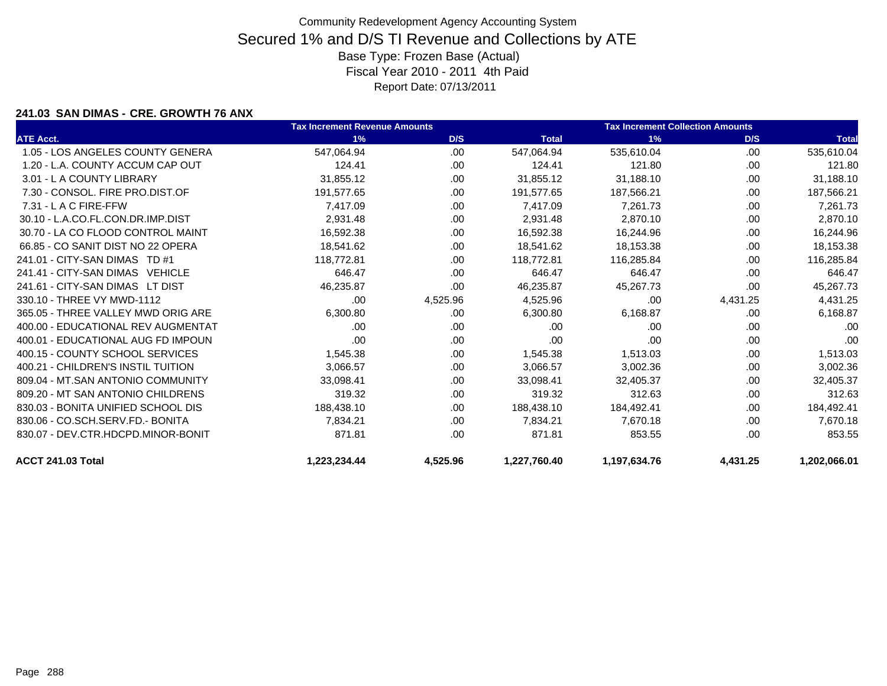### **241.03 SAN DIMAS - CRE. GROWTH 76 ANX**

|                                    | <b>Tax Increment Revenue Amounts</b> |          |              | <b>Tax Increment Collection Amounts</b> |          |              |  |
|------------------------------------|--------------------------------------|----------|--------------|-----------------------------------------|----------|--------------|--|
| <b>ATE Acct.</b>                   | 1%                                   | D/S      | <b>Total</b> | 1%                                      | D/S      | <b>Total</b> |  |
| 1.05 - LOS ANGELES COUNTY GENERA   | 547,064.94                           | .00      | 547,064.94   | 535,610.04                              | .00      | 535,610.04   |  |
| 1.20 - L.A. COUNTY ACCUM CAP OUT   | 124.41                               | .00.     | 124.41       | 121.80                                  | .00      | 121.80       |  |
| 3.01 - L A COUNTY LIBRARY          | 31,855.12                            | .00      | 31,855.12    | 31,188.10                               | .00      | 31,188.10    |  |
| 7.30 - CONSOL, FIRE PRO.DIST.OF    | 191,577.65                           | .00      | 191,577.65   | 187,566.21                              | .00      | 187,566.21   |  |
| $7.31 - L$ A C FIRE-FFW            | 7,417.09                             | .00.     | 7.417.09     | 7.261.73                                | .00      | 7,261.73     |  |
| 30.10 - L.A.CO.FL.CON.DR.IMP.DIST  | 2,931.48                             | .00.     | 2,931.48     | 2,870.10                                | .00      | 2,870.10     |  |
| 30.70 - LA CO FLOOD CONTROL MAINT  | 16,592.38                            | .00      | 16,592.38    | 16,244.96                               | .00      | 16,244.96    |  |
| 66.85 - CO SANIT DIST NO 22 OPERA  | 18,541.62                            | .00      | 18,541.62    | 18,153.38                               | .00      | 18,153.38    |  |
| 241.01 - CITY-SAN DIMAS TD #1      | 118,772.81                           | .00.     | 118,772.81   | 116,285.84                              | .00      | 116,285.84   |  |
| 241.41 - CITY-SAN DIMAS VEHICLE    | 646.47                               | .00.     | 646.47       | 646.47                                  | .00      | 646.47       |  |
| 241.61 - CITY-SAN DIMAS LT DIST    | 46,235.87                            | .00      | 46,235.87    | 45,267.73                               | .00      | 45,267.73    |  |
| 330.10 - THREE VY MWD-1112         | .00                                  | 4,525.96 | 4,525.96     | .00                                     | 4,431.25 | 4,431.25     |  |
| 365.05 - THREE VALLEY MWD ORIG ARE | 6,300.80                             | .00      | 6,300.80     | 6,168.87                                | .00      | 6,168.87     |  |
| 400.00 - EDUCATIONAL REV AUGMENTAT | .00                                  | .00      | .00          | .00                                     | .00      | .00          |  |
| 400.01 - EDUCATIONAL AUG FD IMPOUN | .00                                  | .00.     | .00          | .00                                     | .00      | .00          |  |
| 400.15 - COUNTY SCHOOL SERVICES    | 1,545.38                             | .00      | 1,545.38     | 1,513.03                                | .00      | 1,513.03     |  |
| 400.21 - CHILDREN'S INSTIL TUITION | 3,066.57                             | .00      | 3,066.57     | 3,002.36                                | .00      | 3,002.36     |  |
| 809.04 - MT.SAN ANTONIO COMMUNITY  | 33,098.41                            | .00.     | 33,098.41    | 32,405.37                               | .00      | 32,405.37    |  |
| 809.20 - MT SAN ANTONIO CHILDRENS  | 319.32                               | .00      | 319.32       | 312.63                                  | .00      | 312.63       |  |
| 830.03 - BONITA UNIFIED SCHOOL DIS | 188,438.10                           | .00.     | 188,438.10   | 184,492.41                              | .00      | 184,492.41   |  |
| 830.06 - CO.SCH.SERV.FD.- BONITA   | 7,834.21                             | .00      | 7.834.21     | 7,670.18                                | .00      | 7,670.18     |  |
| 830.07 - DEV.CTR.HDCPD.MINOR-BONIT | 871.81                               | .00      | 871.81       | 853.55                                  | .00      | 853.55       |  |
| ACCT 241.03 Total                  | 1,223,234.44                         | 4,525.96 | 1,227,760.40 | 1,197,634.76                            | 4,431.25 | 1,202,066.01 |  |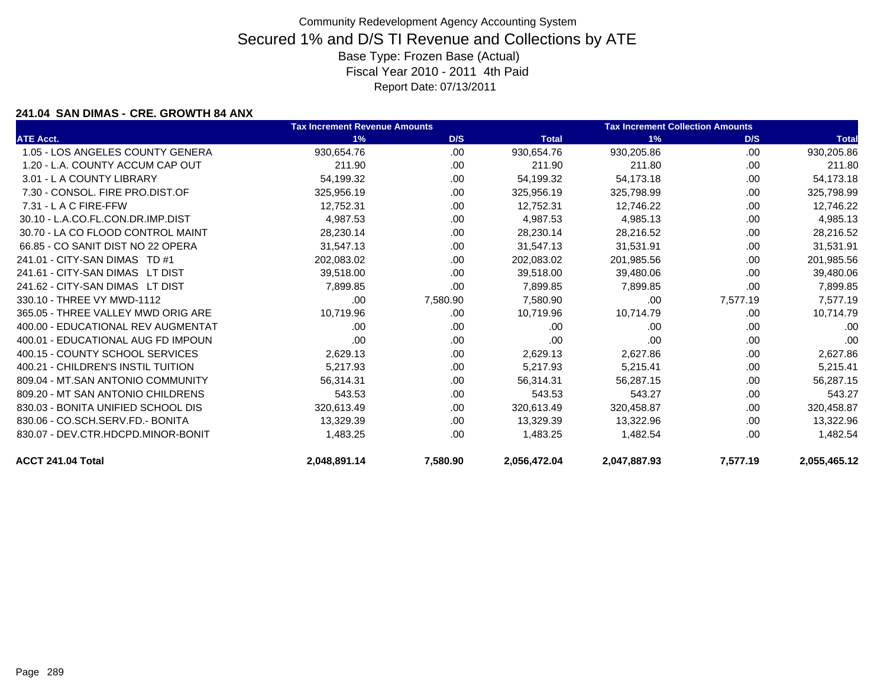#### **241.04 SAN DIMAS - CRE. GROWTH 84 ANX**

|                                    | <b>Tax Increment Revenue Amounts</b> |          |              | <b>Tax Increment Collection Amounts</b> |          |              |
|------------------------------------|--------------------------------------|----------|--------------|-----------------------------------------|----------|--------------|
| <b>ATE Acct.</b>                   | 1%                                   | D/S      | <b>Total</b> | 1%                                      | D/S      | <b>Total</b> |
| 1.05 - LOS ANGELES COUNTY GENERA   | 930,654.76                           | .00      | 930,654.76   | 930,205.86                              | .00      | 930,205.86   |
| 1.20 - L.A. COUNTY ACCUM CAP OUT   | 211.90                               | .00.     | 211.90       | 211.80                                  | .00.     | 211.80       |
| 3.01 - L A COUNTY LIBRARY          | 54,199.32                            | .00      | 54,199.32    | 54,173.18                               | .00      | 54,173.18    |
| 7.30 - CONSOL, FIRE PRO.DIST.OF    | 325,956.19                           | .00.     | 325,956.19   | 325,798.99                              | .00      | 325,798.99   |
| $7.31 - L$ A C FIRE-FFW            | 12,752.31                            | .00.     | 12,752.31    | 12,746.22                               | .00      | 12,746.22    |
| 30.10 - L.A.CO.FL.CON.DR.IMP.DIST  | 4,987.53                             | .00.     | 4,987.53     | 4,985.13                                | .00      | 4,985.13     |
| 30.70 - LA CO FLOOD CONTROL MAINT  | 28,230.14                            | .00      | 28,230.14    | 28.216.52                               | .00.     | 28,216.52    |
| 66.85 - CO SANIT DIST NO 22 OPERA  | 31,547.13                            | .00      | 31,547.13    | 31,531.91                               | .00      | 31,531.91    |
| 241.01 - CITY-SAN DIMAS TD #1      | 202,083.02                           | .00      | 202,083.02   | 201,985.56                              | .00      | 201,985.56   |
| 241.61 - CITY-SAN DIMAS LT DIST    | 39.518.00                            | .00      | 39.518.00    | 39,480.06                               | .00      | 39,480.06    |
| 241.62 - CITY-SAN DIMAS LT DIST    | 7,899.85                             | .00.     | 7,899.85     | 7,899.85                                | .00.     | 7,899.85     |
| 330.10 - THREE VY MWD-1112         | .00                                  | 7,580.90 | 7,580.90     | .00                                     | 7,577.19 | 7,577.19     |
| 365.05 - THREE VALLEY MWD ORIG ARE | 10,719.96                            | .00      | 10,719.96    | 10,714.79                               | .00      | 10,714.79    |
| 400.00 - EDUCATIONAL REV AUGMENTAT | .00                                  | .00.     | .00          | .00                                     | .00      | .00          |
| 400.01 - EDUCATIONAL AUG FD IMPOUN | .00                                  | .00      | .00          | .00                                     | .00      | .00          |
| 400.15 - COUNTY SCHOOL SERVICES    | 2,629.13                             | .00      | 2,629.13     | 2,627.86                                | .00      | 2,627.86     |
| 400.21 - CHILDREN'S INSTIL TUITION | 5,217.93                             | .00      | 5,217.93     | 5,215.41                                | .00.     | 5,215.41     |
| 809.04 - MT.SAN ANTONIO COMMUNITY  | 56,314.31                            | .00      | 56,314.31    | 56,287.15                               | .00      | 56,287.15    |
| 809.20 - MT SAN ANTONIO CHILDRENS  | 543.53                               | .00      | 543.53       | 543.27                                  | .00      | 543.27       |
| 830.03 - BONITA UNIFIED SCHOOL DIS | 320,613.49                           | .00.     | 320,613.49   | 320,458.87                              | .00      | 320,458.87   |
| 830.06 - CO.SCH.SERV.FD.- BONITA   | 13,329.39                            | .00      | 13,329.39    | 13,322.96                               | .00      | 13,322.96    |
| 830.07 - DEV.CTR.HDCPD.MINOR-BONIT | 1,483.25                             | .00.     | 1,483.25     | 1,482.54                                | .00      | 1,482.54     |
| ACCT 241.04 Total                  | 2,048,891.14                         | 7,580.90 | 2,056,472.04 | 2,047,887.93                            | 7,577.19 | 2,055,465.12 |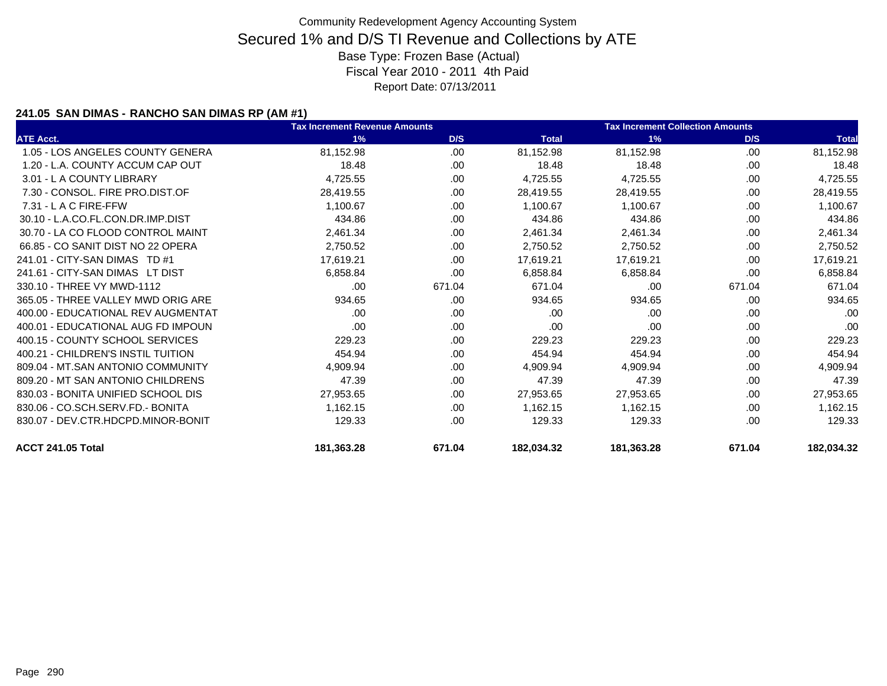### **241.05 SAN DIMAS - RANCHO SAN DIMAS RP (AM #1)**

|                                    | <b>Tax Increment Revenue Amounts</b> |        |              | <b>Tax Increment Collection Amounts</b> |        |              |
|------------------------------------|--------------------------------------|--------|--------------|-----------------------------------------|--------|--------------|
| <b>ATE Acct.</b>                   | 1%                                   | D/S    | <b>Total</b> | 1%                                      | D/S    | <b>Total</b> |
| 1.05 - LOS ANGELES COUNTY GENERA   | 81,152.98                            | .00    | 81,152.98    | 81,152.98                               | .00    | 81,152.98    |
| 1.20 - L.A. COUNTY ACCUM CAP OUT   | 18.48                                | .00    | 18.48        | 18.48                                   | .00    | 18.48        |
| 3.01 - L A COUNTY LIBRARY          | 4,725.55                             | .00    | 4,725.55     | 4,725.55                                | .00    | 4,725.55     |
| 7.30 - CONSOL. FIRE PRO.DIST.OF    | 28,419.55                            | .00    | 28,419.55    | 28,419.55                               | .00    | 28,419.55    |
| 7.31 - L A C FIRE-FFW              | 1,100.67                             | .00    | 1,100.67     | 1,100.67                                | .00    | 1,100.67     |
| 30.10 - L.A.CO.FL.CON.DR.IMP.DIST  | 434.86                               | .00    | 434.86       | 434.86                                  | .00    | 434.86       |
| 30.70 - LA CO FLOOD CONTROL MAINT  | 2,461.34                             | .00    | 2,461.34     | 2,461.34                                | .00    | 2,461.34     |
| 66.85 - CO SANIT DIST NO 22 OPERA  | 2,750.52                             | .00    | 2,750.52     | 2,750.52                                | .00    | 2,750.52     |
| 241.01 - CITY-SAN DIMAS TD #1      | 17,619.21                            | .00    | 17,619.21    | 17,619.21                               | .00    | 17,619.21    |
| 241.61 - CITY-SAN DIMAS LT DIST    | 6,858.84                             | .00    | 6,858.84     | 6,858.84                                | .00    | 6,858.84     |
| 330.10 - THREE VY MWD-1112         | .00                                  | 671.04 | 671.04       | .00                                     | 671.04 | 671.04       |
| 365.05 - THREE VALLEY MWD ORIG ARE | 934.65                               | .00    | 934.65       | 934.65                                  | .00    | 934.65       |
| 400.00 - EDUCATIONAL REV AUGMENTAT | .00                                  | .00    | .00          | .00                                     | .00    | .00          |
| 400.01 - EDUCATIONAL AUG FD IMPOUN | .00                                  | .00    | .00          | .00                                     | .00    | .00          |
| 400.15 - COUNTY SCHOOL SERVICES    | 229.23                               | .00    | 229.23       | 229.23                                  | .00    | 229.23       |
| 400.21 - CHILDREN'S INSTIL TUITION | 454.94                               | .00    | 454.94       | 454.94                                  | .00    | 454.94       |
| 809.04 - MT.SAN ANTONIO COMMUNITY  | 4,909.94                             | .00    | 4,909.94     | 4,909.94                                | .00    | 4,909.94     |
| 809.20 - MT SAN ANTONIO CHILDRENS  | 47.39                                | .00    | 47.39        | 47.39                                   | .00    | 47.39        |
| 830.03 - BONITA UNIFIED SCHOOL DIS | 27,953.65                            | .00    | 27,953.65    | 27,953.65                               | .00.   | 27,953.65    |
| 830.06 - CO.SCH.SERV.FD.- BONITA   | 1,162.15                             | .00    | 1,162.15     | 1,162.15                                | .00    | 1,162.15     |
| 830.07 - DEV.CTR.HDCPD.MINOR-BONIT | 129.33                               | .00    | 129.33       | 129.33                                  | .00    | 129.33       |
| ACCT 241.05 Total                  | 181,363.28                           | 671.04 | 182,034.32   | 181,363.28                              | 671.04 | 182,034.32   |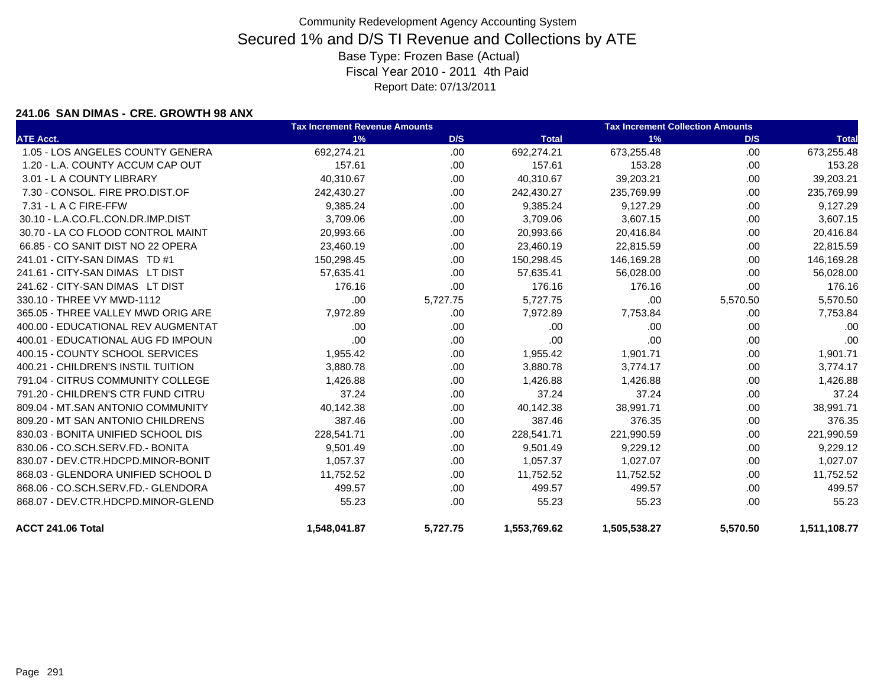#### **241.06 SAN DIMAS - CRE. GROWTH 98 ANX**

|                                    | <b>Tax Increment Revenue Amounts</b> |          |              | <b>Tax Increment Collection Amounts</b> |          |              |  |
|------------------------------------|--------------------------------------|----------|--------------|-----------------------------------------|----------|--------------|--|
| <b>ATE Acct.</b>                   | 1%                                   | D/S      | <b>Total</b> | 1%                                      | D/S      | <b>Total</b> |  |
| 1.05 - LOS ANGELES COUNTY GENERA   | 692,274.21                           | .00      | 692,274.21   | 673,255.48                              | .00      | 673,255.48   |  |
| 1.20 - L.A. COUNTY ACCUM CAP OUT   | 157.61                               | .00      | 157.61       | 153.28                                  | .00.     | 153.28       |  |
| 3.01 - L A COUNTY LIBRARY          | 40,310.67                            | .00.     | 40,310.67    | 39,203.21                               | .00      | 39,203.21    |  |
| 7.30 - CONSOL, FIRE PRO.DIST.OF    | 242,430.27                           | .00      | 242,430.27   | 235,769.99                              | .00.     | 235,769.99   |  |
| 7.31 - L A C FIRE-FFW              | 9,385.24                             | .00      | 9,385.24     | 9,127.29                                | .00      | 9,127.29     |  |
| 30.10 - L.A.CO.FL.CON.DR.IMP.DIST  | 3,709.06                             | .00      | 3,709.06     | 3,607.15                                | .00.     | 3,607.15     |  |
| 30.70 - LA CO FLOOD CONTROL MAINT  | 20,993.66                            | .00      | 20,993.66    | 20,416.84                               | .00      | 20,416.84    |  |
| 66.85 - CO SANIT DIST NO 22 OPERA  | 23,460.19                            | .00      | 23,460.19    | 22,815.59                               | .00.     | 22,815.59    |  |
| 241.01 - CITY-SAN DIMAS TD #1      | 150,298.45                           | .00      | 150,298.45   | 146,169.28                              | .00      | 146,169.28   |  |
| 241.61 - CITY-SAN DIMAS LT DIST    | 57,635.41                            | .00      | 57,635.41    | 56,028.00                               | .00.     | 56,028.00    |  |
| 241.62 - CITY-SAN DIMAS LT DIST    | 176.16                               | .00      | 176.16       | 176.16                                  | .00      | 176.16       |  |
| 330.10 - THREE VY MWD-1112         | .00                                  | 5,727.75 | 5,727.75     | .00                                     | 5,570.50 | 5,570.50     |  |
| 365.05 - THREE VALLEY MWD ORIG ARE | 7,972.89                             | .00      | 7,972.89     | 7,753.84                                | .00      | 7,753.84     |  |
| 400.00 - EDUCATIONAL REV AUGMENTAT | .00                                  | .00      | .00          | .00                                     | .00      | .00          |  |
| 400.01 - EDUCATIONAL AUG FD IMPOUN | .00.                                 | .00      | .00          | .00                                     | .00.     | .00          |  |
| 400.15 - COUNTY SCHOOL SERVICES    | 1,955.42                             | .00      | 1,955.42     | 1,901.71                                | .00      | 1,901.71     |  |
| 400.21 - CHILDREN'S INSTIL TUITION | 3,880.78                             | .00      | 3,880.78     | 3,774.17                                | .00.     | 3,774.17     |  |
| 791.04 - CITRUS COMMUNITY COLLEGE  | 1,426.88                             | .00      | 1,426.88     | 1,426.88                                | .00.     | 1,426.88     |  |
| 791.20 - CHILDREN'S CTR FUND CITRU | 37.24                                | .00      | 37.24        | 37.24                                   | .00.     | 37.24        |  |
| 809.04 - MT.SAN ANTONIO COMMUNITY  | 40,142.38                            | .00      | 40,142.38    | 38,991.71                               | .00      | 38,991.71    |  |
| 809.20 - MT SAN ANTONIO CHILDRENS  | 387.46                               | .00      | 387.46       | 376.35                                  | .00      | 376.35       |  |
| 830.03 - BONITA UNIFIED SCHOOL DIS | 228,541.71                           | .00      | 228,541.71   | 221,990.59                              | .00.     | 221,990.59   |  |
| 830.06 - CO.SCH.SERV.FD.- BONITA   | 9,501.49                             | .00      | 9,501.49     | 9,229.12                                | .00      | 9,229.12     |  |
| 830.07 - DEV.CTR.HDCPD.MINOR-BONIT | 1,057.37                             | .00      | 1,057.37     | 1,027.07                                | .00.     | 1,027.07     |  |
| 868.03 - GLENDORA UNIFIED SCHOOL D | 11,752.52                            | .00      | 11,752.52    | 11,752.52                               | .00.     | 11,752.52    |  |
| 868.06 - CO.SCH.SERV.FD.- GLENDORA | 499.57                               | .00      | 499.57       | 499.57                                  | .00.     | 499.57       |  |
| 868.07 - DEV.CTR.HDCPD.MINOR-GLEND | 55.23                                | .00      | 55.23        | 55.23                                   | .00.     | 55.23        |  |
| ACCT 241.06 Total                  | 1.548.041.87                         | 5.727.75 | 1,553,769.62 | 1.505.538.27                            | 5,570.50 | 1.511.108.77 |  |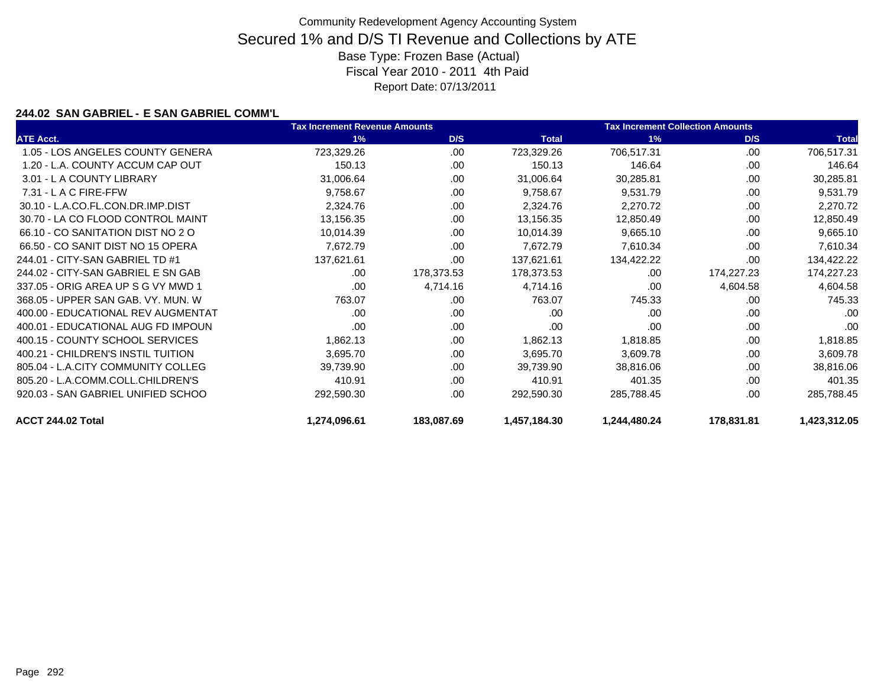### **244.02 SAN GABRIEL - E SAN GABRIEL COMM'L**

|                                    | <b>Tax Increment Revenue Amounts</b> |            | <b>Tax Increment Collection Amounts</b> |              |            |              |
|------------------------------------|--------------------------------------|------------|-----------------------------------------|--------------|------------|--------------|
| <b>ATE Acct.</b>                   | 1%                                   | D/S        | <b>Total</b>                            | 1%           | D/S        | <b>Total</b> |
| 1.05 - LOS ANGELES COUNTY GENERA   | 723,329.26                           | .00        | 723,329.26                              | 706,517.31   | .00.       | 706,517.31   |
| 1.20 - L.A. COUNTY ACCUM CAP OUT   | 150.13                               | .00        | 150.13                                  | 146.64       | .00        | 146.64       |
| 3.01 - L A COUNTY LIBRARY          | 31,006.64                            | .00.       | 31,006.64                               | 30,285.81    | .00        | 30,285.81    |
| $7.31 - L$ A C FIRE-FFW            | 9,758.67                             | .00        | 9,758.67                                | 9,531.79     | .00        | 9,531.79     |
| 30.10 - L.A.CO.FL.CON.DR.IMP.DIST  | 2,324.76                             | .00.       | 2,324.76                                | 2,270.72     | .00        | 2,270.72     |
| 30.70 - LA CO FLOOD CONTROL MAINT  | 13,156.35                            | .00        | 13,156.35                               | 12,850.49    | .00        | 12,850.49    |
| 66.10 - CO SANITATION DIST NO 2 O  | 10,014.39                            | .00        | 10,014.39                               | 9,665.10     | .00        | 9,665.10     |
| 66.50 - CO SANIT DIST NO 15 OPERA  | 7,672.79                             | .00        | 7,672.79                                | 7,610.34     | .00        | 7,610.34     |
| 244.01 - CITY-SAN GABRIEL TD #1    | 137,621.61                           | .00        | 137,621.61                              | 134,422.22   | .00        | 134,422.22   |
| 244.02 - CITY-SAN GABRIEL E SN GAB | .00                                  | 178,373.53 | 178,373.53                              | .00          | 174,227.23 | 174,227.23   |
| 337.05 - ORIG AREA UP S G VY MWD 1 | .00                                  | 4,714.16   | 4,714.16                                | .00          | 4,604.58   | 4,604.58     |
| 368.05 - UPPER SAN GAB, VY, MUN, W | 763.07                               | .00        | 763.07                                  | 745.33       | .00        | 745.33       |
| 400.00 - EDUCATIONAL REV AUGMENTAT | .00                                  | .00        | .00                                     | .00          | .00        | .00          |
| 400.01 - EDUCATIONAL AUG FD IMPOUN | .00                                  | .00.       | .00                                     | .00          | .00        | .00          |
| 400.15 - COUNTY SCHOOL SERVICES    | 1,862.13                             | .00.       | 1,862.13                                | 1,818.85     | .00        | 1,818.85     |
| 400.21 - CHILDREN'S INSTIL TUITION | 3,695.70                             | .00        | 3,695.70                                | 3,609.78     | .00        | 3,609.78     |
| 805.04 - L.A.CITY COMMUNITY COLLEG | 39,739.90                            | .00        | 39,739.90                               | 38,816.06    | .00        | 38,816.06    |
| 805.20 - L.A.COMM.COLL.CHILDREN'S  | 410.91                               | .00        | 410.91                                  | 401.35       | .00        | 401.35       |
| 920.03 - SAN GABRIEL UNIFIED SCHOO | 292,590.30                           | .00        | 292,590.30                              | 285,788.45   | .00        | 285,788.45   |
| ACCT 244.02 Total                  | 1,274,096.61                         | 183,087.69 | 1,457,184.30                            | 1,244,480.24 | 178,831.81 | 1,423,312.05 |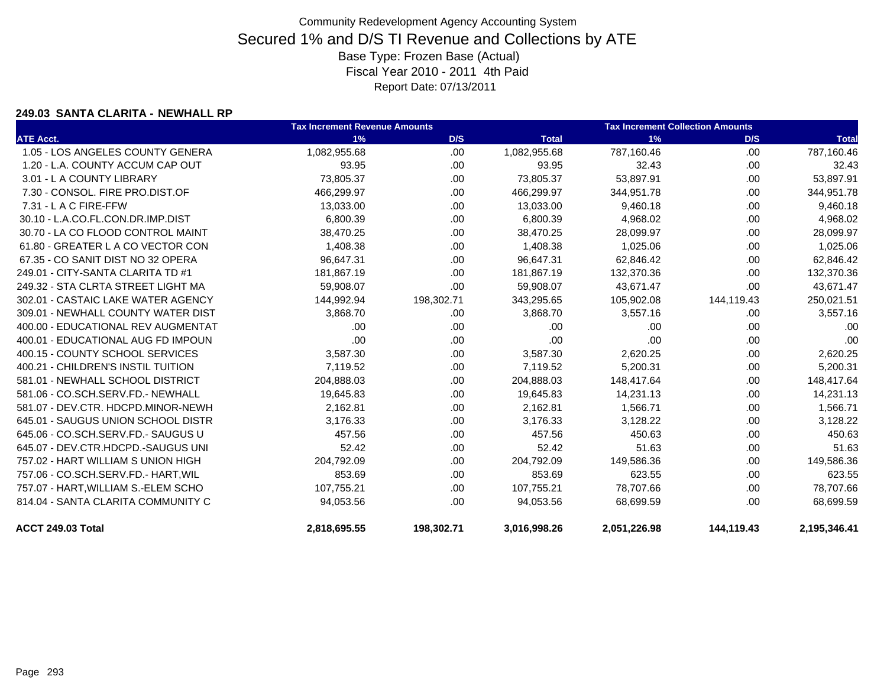#### **249.03 SANTA CLARITA - NEWHALL RP**

|                                     | <b>Tax Increment Revenue Amounts</b> |            |              | <b>Tax Increment Collection Amounts</b> |            |              |
|-------------------------------------|--------------------------------------|------------|--------------|-----------------------------------------|------------|--------------|
| <b>ATE Acct.</b>                    | 1%                                   | D/S        | <b>Total</b> | 1%                                      | D/S        | <b>Total</b> |
| 1.05 - LOS ANGELES COUNTY GENERA    | 1,082,955.68                         | .00.       | 1,082,955.68 | 787,160.46                              | .00        | 787,160.46   |
| 1.20 - L.A. COUNTY ACCUM CAP OUT    | 93.95                                | .00.       | 93.95        | 32.43                                   | .00        | 32.43        |
| 3.01 - L A COUNTY LIBRARY           | 73,805.37                            | .00.       | 73,805.37    | 53,897.91                               | .00        | 53,897.91    |
| 7.30 - CONSOL, FIRE PRO.DIST.OF     | 466,299.97                           | .00.       | 466,299.97   | 344,951.78                              | .00        | 344,951.78   |
| $7.31 - L$ A C FIRE-FFW             | 13,033.00                            | .00.       | 13,033.00    | 9,460.18                                | .00        | 9,460.18     |
| 30.10 - L.A.CO.FL.CON.DR.IMP.DIST   | 6,800.39                             | .00.       | 6,800.39     | 4,968.02                                | .00        | 4,968.02     |
| 30.70 - LA CO FLOOD CONTROL MAINT   | 38,470.25                            | .00.       | 38,470.25    | 28,099.97                               | .00        | 28,099.97    |
| 61.80 - GREATER L A CO VECTOR CON   | 1,408.38                             | .00.       | 1,408.38     | 1,025.06                                | .00        | 1,025.06     |
| 67.35 - CO SANIT DIST NO 32 OPERA   | 96,647.31                            | .00.       | 96,647.31    | 62,846.42                               | .00        | 62,846.42    |
| 249.01 - CITY-SANTA CLARITA TD #1   | 181,867.19                           | .00        | 181,867.19   | 132,370.36                              | .00        | 132,370.36   |
| 249.32 - STA CLRTA STREET LIGHT MA  | 59,908.07                            | .00        | 59,908.07    | 43,671.47                               | .00        | 43,671.47    |
| 302.01 - CASTAIC LAKE WATER AGENCY  | 144,992.94                           | 198,302.71 | 343,295.65   | 105,902.08                              | 144,119.43 | 250,021.51   |
| 309.01 - NEWHALL COUNTY WATER DIST  | 3,868.70                             | .00        | 3,868.70     | 3,557.16                                | .00        | 3,557.16     |
| 400.00 - EDUCATIONAL REV AUGMENTAT  | .00                                  | .00        | .00          | .00                                     | .00        | .00          |
| 400.01 - EDUCATIONAL AUG FD IMPOUN  | .00                                  | .00.       | .00          | .00                                     | .00        | .00          |
| 400.15 - COUNTY SCHOOL SERVICES     | 3,587.30                             | .00.       | 3,587.30     | 2,620.25                                | .00.       | 2,620.25     |
| 400.21 - CHILDREN'S INSTIL TUITION  | 7,119.52                             | .00.       | 7,119.52     | 5,200.31                                | .00        | 5,200.31     |
| 581.01 - NEWHALL SCHOOL DISTRICT    | 204,888.03                           | .00.       | 204,888.03   | 148,417.64                              | .00.       | 148,417.64   |
| 581.06 - CO.SCH.SERV.FD.- NEWHALL   | 19,645.83                            | .00.       | 19,645.83    | 14,231.13                               | .00        | 14,231.13    |
| 581.07 - DEV.CTR. HDCPD.MINOR-NEWH  | 2,162.81                             | .00.       | 2,162.81     | 1,566.71                                | .00        | 1,566.71     |
| 645.01 - SAUGUS UNION SCHOOL DISTR  | 3,176.33                             | .00.       | 3,176.33     | 3,128.22                                | .00        | 3,128.22     |
| 645.06 - CO.SCH.SERV.FD.- SAUGUS U  | 457.56                               | .00.       | 457.56       | 450.63                                  | .00        | 450.63       |
| 645.07 - DEV.CTR.HDCPD.-SAUGUS UNI  | 52.42                                | .00.       | 52.42        | 51.63                                   | .00        | 51.63        |
| 757.02 - HART WILLIAM S UNION HIGH  | 204,792.09                           | .00.       | 204,792.09   | 149,586.36                              | .00        | 149,586.36   |
| 757.06 - CO.SCH.SERV.FD.- HART, WIL | 853.69                               | .00.       | 853.69       | 623.55                                  | .00        | 623.55       |
| 757.07 - HART, WILLIAM S.-ELEM SCHO | 107,755.21                           | .00.       | 107,755.21   | 78,707.66                               | .00        | 78,707.66    |
| 814.04 - SANTA CLARITA COMMUNITY C  | 94,053.56                            | .00.       | 94,053.56    | 68,699.59                               | .00        | 68,699.59    |
| ACCT 249.03 Total                   | 2,818,695.55                         | 198,302.71 | 3,016,998.26 | 2,051,226.98                            | 144,119.43 | 2,195,346.41 |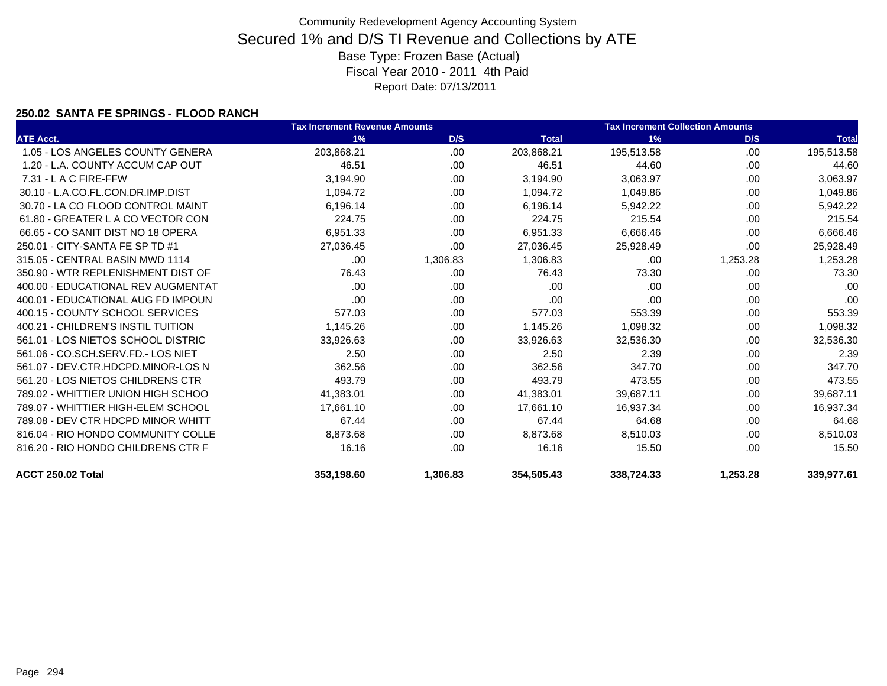### **250.02 SANTA FE SPRINGS - FLOOD RANCH**

|                                    | <b>Tax Increment Revenue Amounts</b> |          |              | <b>Tax Increment Collection Amounts</b> |          |              |  |
|------------------------------------|--------------------------------------|----------|--------------|-----------------------------------------|----------|--------------|--|
| <b>ATE Acct.</b>                   | 1%                                   | D/S      | <b>Total</b> | 1%                                      | D/S      | <b>Total</b> |  |
| 1.05 - LOS ANGELES COUNTY GENERA   | 203,868.21                           | .00      | 203,868.21   | 195,513.58                              | .00      | 195,513.58   |  |
| 1.20 - L.A. COUNTY ACCUM CAP OUT   | 46.51                                | .00      | 46.51        | 44.60                                   | .00      | 44.60        |  |
| $7.31 - L$ A C FIRE-FFW            | 3,194.90                             | .00.     | 3,194.90     | 3,063.97                                | .00.     | 3,063.97     |  |
| 30.10 - L.A.CO.FL.CON.DR.IMP.DIST  | 1,094.72                             | .00      | 1,094.72     | 1,049.86                                | .00      | 1,049.86     |  |
| 30.70 - LA CO FLOOD CONTROL MAINT  | 6,196.14                             | .00      | 6,196.14     | 5,942.22                                | .00      | 5,942.22     |  |
| 61.80 - GREATER L A CO VECTOR CON  | 224.75                               | .00      | 224.75       | 215.54                                  | .00      | 215.54       |  |
| 66.65 - CO SANIT DIST NO 18 OPERA  | 6,951.33                             | .00      | 6,951.33     | 6,666.46                                | .00      | 6,666.46     |  |
| 250.01 - CITY-SANTA FE SP TD #1    | 27,036.45                            | .00.     | 27,036.45    | 25,928.49                               | .00      | 25,928.49    |  |
| 315.05 - CENTRAL BASIN MWD 1114    | .00.                                 | 1,306.83 | 1,306.83     | .00                                     | 1,253.28 | 1,253.28     |  |
| 350.90 - WTR REPLENISHMENT DIST OF | 76.43                                | .00.     | 76.43        | 73.30                                   | .00      | 73.30        |  |
| 400.00 - EDUCATIONAL REV AUGMENTAT | .00                                  | .00      | .00          | .00.                                    | .00      | .00          |  |
| 400.01 - EDUCATIONAL AUG FD IMPOUN | .00                                  | .00      | .00          | .00                                     | .00      | .00          |  |
| 400.15 - COUNTY SCHOOL SERVICES    | 577.03                               | .00      | 577.03       | 553.39                                  | .00      | 553.39       |  |
| 400.21 - CHILDREN'S INSTIL TUITION | 1,145.26                             | .00      | 1,145.26     | 1,098.32                                | .00      | 1,098.32     |  |
| 561.01 - LOS NIETOS SCHOOL DISTRIC | 33,926.63                            | .00      | 33,926.63    | 32,536.30                               | .00      | 32,536.30    |  |
| 561.06 - CO.SCH.SERV.FD.- LOS NIET | 2.50                                 | .00      | 2.50         | 2.39                                    | .00      | 2.39         |  |
| 561.07 - DEV.CTR.HDCPD.MINOR-LOS N | 362.56                               | .00      | 362.56       | 347.70                                  | .00      | 347.70       |  |
| 561.20 - LOS NIETOS CHILDRENS CTR  | 493.79                               | .00      | 493.79       | 473.55                                  | .00      | 473.55       |  |
| 789.02 - WHITTIER UNION HIGH SCHOO | 41,383.01                            | .00      | 41,383.01    | 39,687.11                               | .00      | 39,687.11    |  |
| 789.07 - WHITTIER HIGH-ELEM SCHOOL | 17,661.10                            | .00      | 17,661.10    | 16,937.34                               | .00      | 16,937.34    |  |
| 789.08 - DEV CTR HDCPD MINOR WHITT | 67.44                                | .00      | 67.44        | 64.68                                   | .00      | 64.68        |  |
| 816.04 - RIO HONDO COMMUNITY COLLE | 8,873.68                             | .00      | 8,873.68     | 8,510.03                                | .00      | 8,510.03     |  |
| 816.20 - RIO HONDO CHILDRENS CTR F | 16.16                                | .00      | 16.16        | 15.50                                   | .00      | 15.50        |  |
| ACCT 250.02 Total                  | 353.198.60                           | 1,306.83 | 354.505.43   | 338.724.33                              | 1,253.28 | 339.977.61   |  |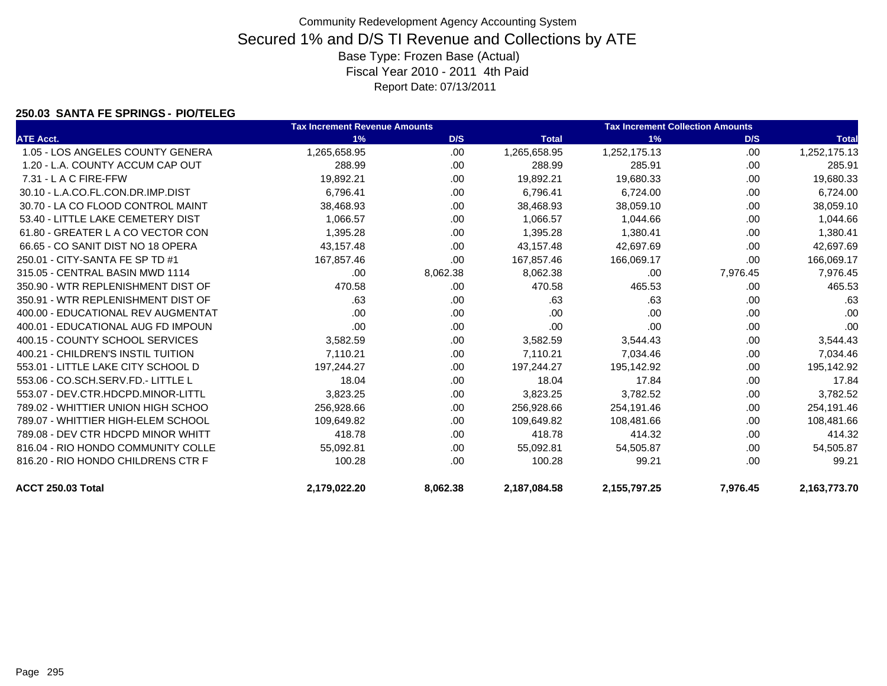### **250.03 SANTA FE SPRINGS - PIO/TELEG**

|                                    | <b>Tax Increment Revenue Amounts</b> |          |              | <b>Tax Increment Collection Amounts</b> |          |              |
|------------------------------------|--------------------------------------|----------|--------------|-----------------------------------------|----------|--------------|
| <b>ATE Acct.</b>                   | 1%                                   | D/S      | <b>Total</b> | 1%                                      | D/S      | <b>Total</b> |
| 1.05 - LOS ANGELES COUNTY GENERA   | 1,265,658.95                         | .00      | 1,265,658.95 | 1,252,175.13                            | .00      | 1,252,175.13 |
| 1.20 - L.A. COUNTY ACCUM CAP OUT   | 288.99                               | .00.     | 288.99       | 285.91                                  | .00      | 285.91       |
| 7.31 - L A C FIRE-FFW              | 19,892.21                            | .00      | 19,892.21    | 19,680.33                               | .00      | 19,680.33    |
| 30.10 - L.A.CO.FL.CON.DR.IMP.DIST  | 6,796.41                             | .00      | 6,796.41     | 6,724.00                                | .00      | 6,724.00     |
| 30.70 - LA CO FLOOD CONTROL MAINT  | 38,468.93                            | .00      | 38,468.93    | 38,059.10                               | .00      | 38,059.10    |
| 53.40 - LITTLE LAKE CEMETERY DIST  | 1,066.57                             | .00      | 1,066.57     | 1,044.66                                | .00      | 1,044.66     |
| 61.80 - GREATER L A CO VECTOR CON  | 1,395.28                             | .00      | 1,395.28     | 1,380.41                                | .00      | 1,380.41     |
| 66.65 - CO SANIT DIST NO 18 OPERA  | 43,157.48                            | .00      | 43,157.48    | 42.697.69                               | .00      | 42,697.69    |
| 250.01 - CITY-SANTA FE SP TD #1    | 167,857.46                           | .00      | 167,857.46   | 166,069.17                              | .00      | 166,069.17   |
| 315.05 - CENTRAL BASIN MWD 1114    | .00                                  | 8,062.38 | 8,062.38     | .00                                     | 7,976.45 | 7,976.45     |
| 350.90 - WTR REPLENISHMENT DIST OF | 470.58                               | .00      | 470.58       | 465.53                                  | .00      | 465.53       |
| 350.91 - WTR REPLENISHMENT DIST OF | .63                                  | .00      | .63          | .63                                     | .00      | .63          |
| 400.00 - EDUCATIONAL REV AUGMENTAT | .00                                  | .00      | .00          | .00                                     | .00      | .00          |
| 400.01 - EDUCATIONAL AUG FD IMPOUN | .00                                  | .00      | .00          | .00                                     | .00      | .00          |
| 400.15 - COUNTY SCHOOL SERVICES    | 3,582.59                             | .00      | 3,582.59     | 3,544.43                                | .00      | 3,544.43     |
| 400.21 - CHILDREN'S INSTIL TUITION | 7,110.21                             | .00      | 7,110.21     | 7,034.46                                | .00      | 7,034.46     |
| 553.01 - LITTLE LAKE CITY SCHOOL D | 197,244.27                           | .00      | 197,244.27   | 195,142.92                              | .00      | 195,142.92   |
| 553.06 - CO.SCH.SERV.FD.- LITTLE L | 18.04                                | .00      | 18.04        | 17.84                                   | .00      | 17.84        |
| 553.07 - DEV.CTR.HDCPD.MINOR-LITTL | 3,823.25                             | .00      | 3,823.25     | 3,782.52                                | .00      | 3,782.52     |
| 789.02 - WHITTIER UNION HIGH SCHOO | 256,928.66                           | .00.     | 256,928.66   | 254,191.46                              | .00      | 254,191.46   |
| 789.07 - WHITTIER HIGH-ELEM SCHOOL | 109,649.82                           | .00.     | 109,649.82   | 108,481.66                              | .00      | 108,481.66   |
| 789.08 - DEV CTR HDCPD MINOR WHITT | 418.78                               | .00      | 418.78       | 414.32                                  | .00      | 414.32       |
| 816.04 - RIO HONDO COMMUNITY COLLE | 55,092.81                            | .00      | 55,092.81    | 54,505.87                               | .00      | 54,505.87    |
| 816.20 - RIO HONDO CHILDRENS CTR F | 100.28                               | .00      | 100.28       | 99.21                                   | .00      | 99.21        |
| <b>ACCT 250.03 Total</b>           | 2,179,022.20                         | 8,062.38 | 2,187,084.58 | 2,155,797.25                            | 7,976.45 | 2,163,773.70 |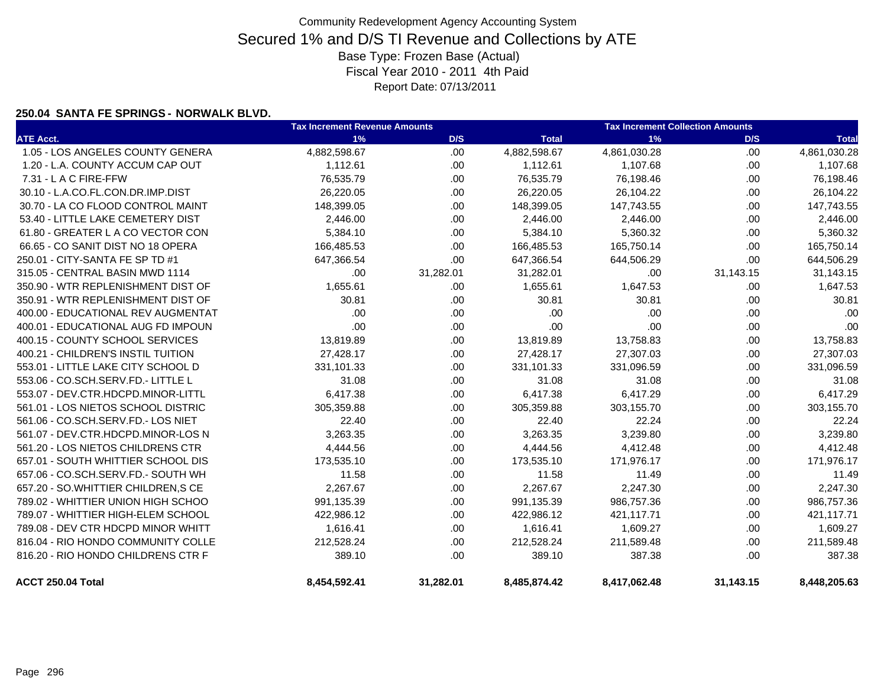### **250.04 SANTA FE SPRINGS - NORWALK BLVD.**

|                                    | <b>Tax Increment Revenue Amounts</b> |           | <b>Tax Increment Collection Amounts</b> |              |           |              |
|------------------------------------|--------------------------------------|-----------|-----------------------------------------|--------------|-----------|--------------|
| <b>ATE Acct.</b>                   | 1%                                   | D/S       | <b>Total</b>                            | 1%           | D/S       | <b>Total</b> |
| 1.05 - LOS ANGELES COUNTY GENERA   | 4,882,598.67                         | .00       | 4,882,598.67                            | 4,861,030.28 | .00       | 4,861,030.28 |
| 1.20 - L.A. COUNTY ACCUM CAP OUT   | 1,112.61                             | .00       | 1,112.61                                | 1,107.68     | .00.      | 1,107.68     |
| 7.31 - L A C FIRE-FFW              | 76,535.79                            | .00       | 76,535.79                               | 76,198.46    | .00.      | 76,198.46    |
| 30.10 - L.A.CO.FL.CON.DR.IMP.DIST  | 26,220.05                            | .00       | 26,220.05                               | 26,104.22    | .00.      | 26,104.22    |
| 30.70 - LA CO FLOOD CONTROL MAINT  | 148,399.05                           | .00.      | 148,399.05                              | 147,743.55   | .00.      | 147,743.55   |
| 53.40 - LITTLE LAKE CEMETERY DIST  | 2,446.00                             | .00       | 2,446.00                                | 2,446.00     | .00.      | 2,446.00     |
| 61.80 - GREATER L A CO VECTOR CON  | 5,384.10                             | .00       | 5,384.10                                | 5,360.32     | .00       | 5,360.32     |
| 66.65 - CO SANIT DIST NO 18 OPERA  | 166,485.53                           | .00       | 166,485.53                              | 165,750.14   | .00       | 165,750.14   |
| 250.01 - CITY-SANTA FE SP TD #1    | 647,366.54                           | .00       | 647,366.54                              | 644,506.29   | .00       | 644,506.29   |
| 315.05 - CENTRAL BASIN MWD 1114    | .00                                  | 31,282.01 | 31,282.01                               | .00          | 31,143.15 | 31,143.15    |
| 350.90 - WTR REPLENISHMENT DIST OF | 1,655.61                             | .00       | 1,655.61                                | 1,647.53     | .00       | 1,647.53     |
| 350.91 - WTR REPLENISHMENT DIST OF | 30.81                                | .00       | 30.81                                   | 30.81        | .00       | 30.81        |
| 400.00 - EDUCATIONAL REV AUGMENTAT | .00                                  | .00       | .00                                     | .00          | .00.      | .00          |
| 400.01 - EDUCATIONAL AUG FD IMPOUN | .00                                  | .00       | .00                                     | .00          | .00.      | .00          |
| 400.15 - COUNTY SCHOOL SERVICES    | 13,819.89                            | .00       | 13,819.89                               | 13,758.83    | .00.      | 13,758.83    |
| 400.21 - CHILDREN'S INSTIL TUITION | 27,428.17                            | .00       | 27,428.17                               | 27,307.03    | .00       | 27,307.03    |
| 553.01 - LITTLE LAKE CITY SCHOOL D | 331.101.33                           | .00.      | 331,101.33                              | 331,096.59   | .00.      | 331,096.59   |
| 553.06 - CO.SCH.SERV.FD.- LITTLE L | 31.08                                | .00       | 31.08                                   | 31.08        | .00.      | 31.08        |
| 553.07 - DEV.CTR.HDCPD.MINOR-LITTL | 6,417.38                             | .00       | 6,417.38                                | 6,417.29     | .00       | 6,417.29     |
| 561.01 - LOS NIETOS SCHOOL DISTRIC | 305,359.88                           | .00.      | 305,359.88                              | 303,155.70   | .00.      | 303,155.70   |
| 561.06 - CO.SCH.SERV.FD.- LOS NIET | 22.40                                | .00       | 22.40                                   | 22.24        | .00       | 22.24        |
| 561.07 - DEV.CTR.HDCPD.MINOR-LOS N | 3,263.35                             | .00       | 3,263.35                                | 3,239.80     | .00.      | 3,239.80     |
| 561.20 - LOS NIETOS CHILDRENS CTR  | 4,444.56                             | .00       | 4,444.56                                | 4,412.48     | .00       | 4,412.48     |
| 657.01 - SOUTH WHITTIER SCHOOL DIS | 173,535.10                           | .00       | 173,535.10                              | 171,976.17   | .00       | 171,976.17   |
| 657.06 - CO.SCH.SERV.FD.- SOUTH WH | 11.58                                | .00       | 11.58                                   | 11.49        | .00.      | 11.49        |
| 657.20 - SO.WHITTIER CHILDREN, SCE | 2,267.67                             | .00       | 2,267.67                                | 2,247.30     | .00       | 2,247.30     |
| 789.02 - WHITTIER UNION HIGH SCHOO | 991,135.39                           | .00.      | 991,135.39                              | 986,757.36   | .00.      | 986,757.36   |
| 789.07 - WHITTIER HIGH-ELEM SCHOOL | 422,986.12                           | .00       | 422,986.12                              | 421,117.71   | .00.      | 421,117.71   |
| 789.08 - DEV CTR HDCPD MINOR WHITT | 1,616.41                             | .00       | 1,616.41                                | 1,609.27     | .00.      | 1,609.27     |
| 816.04 - RIO HONDO COMMUNITY COLLE | 212,528.24                           | .00.      | 212,528.24                              | 211,589.48   | .00.      | 211,589.48   |
| 816.20 - RIO HONDO CHILDRENS CTR F | 389.10                               | .00.      | 389.10                                  | 387.38       | .00.      | 387.38       |
| ACCT 250.04 Total                  | 8,454,592.41                         | 31,282.01 | 8,485,874.42                            | 8,417,062.48 | 31,143.15 | 8,448,205.63 |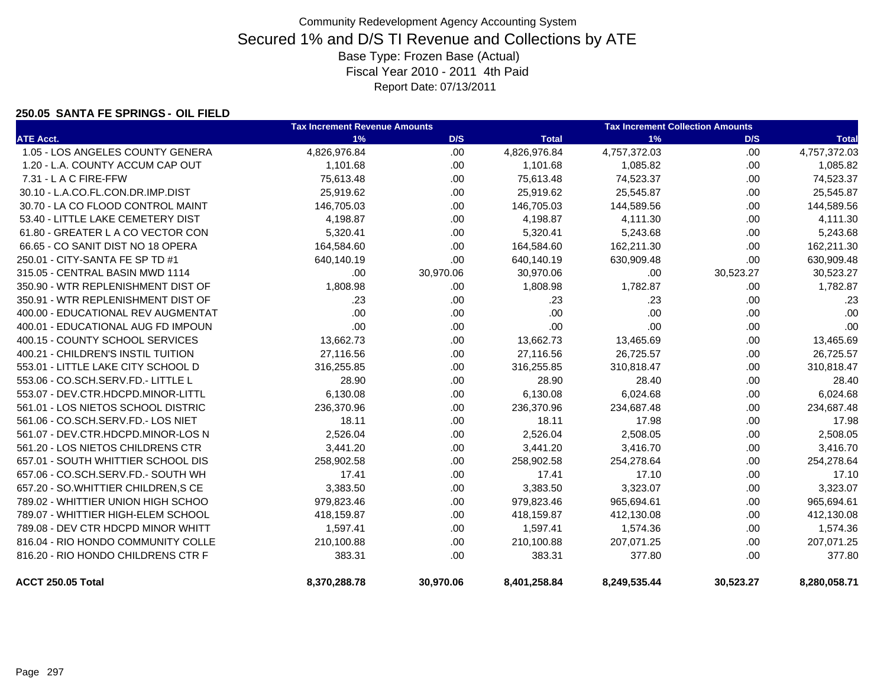#### **250.05 SANTA FE SPRINGS - OIL FIELD**

|                                    | <b>Tax Increment Revenue Amounts</b> |           |              | <b>Tax Increment Collection Amounts</b> |           |              |  |
|------------------------------------|--------------------------------------|-----------|--------------|-----------------------------------------|-----------|--------------|--|
| <b>ATE Acct.</b>                   | 1%                                   | D/S       | <b>Total</b> | 1%                                      | D/S       | <b>Total</b> |  |
| 1.05 - LOS ANGELES COUNTY GENERA   | 4,826,976.84                         | .00.      | 4,826,976.84 | 4,757,372.03                            | .00       | 4,757,372.03 |  |
| 1.20 - L.A. COUNTY ACCUM CAP OUT   | 1,101.68                             | .00.      | 1,101.68     | 1,085.82                                | .00       | 1,085.82     |  |
| 7.31 - L A C FIRE-FFW              | 75,613.48                            | .00       | 75,613.48    | 74,523.37                               | .00.      | 74,523.37    |  |
| 30.10 - L.A.CO.FL.CON.DR.IMP.DIST  | 25,919.62                            | .00.      | 25,919.62    | 25,545.87                               | .00       | 25,545.87    |  |
| 30.70 - LA CO FLOOD CONTROL MAINT  | 146,705.03                           | .00.      | 146,705.03   | 144,589.56                              | .00       | 144,589.56   |  |
| 53.40 - LITTLE LAKE CEMETERY DIST  | 4,198.87                             | .00.      | 4,198.87     | 4,111.30                                | .00       | 4,111.30     |  |
| 61.80 - GREATER L A CO VECTOR CON  | 5,320.41                             | .00.      | 5,320.41     | 5,243.68                                | .00       | 5,243.68     |  |
| 66.65 - CO SANIT DIST NO 18 OPERA  | 164,584.60                           | .00.      | 164,584.60   | 162,211.30                              | .00       | 162,211.30   |  |
| 250.01 - CITY-SANTA FE SP TD #1    | 640,140.19                           | .00       | 640,140.19   | 630,909.48                              | .00       | 630,909.48   |  |
| 315.05 - CENTRAL BASIN MWD 1114    | .00                                  | 30,970.06 | 30,970.06    | .00                                     | 30,523.27 | 30,523.27    |  |
| 350.90 - WTR REPLENISHMENT DIST OF | 1,808.98                             | .00       | 1,808.98     | 1,782.87                                | .00.      | 1,782.87     |  |
| 350.91 - WTR REPLENISHMENT DIST OF | .23                                  | .00       | .23          | .23                                     | .00       | .23          |  |
| 400.00 - EDUCATIONAL REV AUGMENTAT | .00                                  | .00       | .00          | .00                                     | .00       | .00          |  |
| 400.01 - EDUCATIONAL AUG FD IMPOUN | .00                                  | .00       | .00          | .00                                     | .00       | .00          |  |
| 400.15 - COUNTY SCHOOL SERVICES    | 13,662.73                            | .00.      | 13,662.73    | 13,465.69                               | .00       | 13,465.69    |  |
| 400.21 - CHILDREN'S INSTIL TUITION | 27,116.56                            | .00.      | 27,116.56    | 26,725.57                               | .00       | 26,725.57    |  |
| 553.01 - LITTLE LAKE CITY SCHOOL D | 316,255.85                           | .00.      | 316,255.85   | 310,818.47                              | .00       | 310,818.47   |  |
| 553.06 - CO.SCH.SERV.FD.- LITTLE L | 28.90                                | .00.      | 28.90        | 28.40                                   | .00       | 28.40        |  |
| 553.07 - DEV.CTR.HDCPD.MINOR-LITTL | 6,130.08                             | .00.      | 6,130.08     | 6,024.68                                | .00       | 6,024.68     |  |
| 561.01 - LOS NIETOS SCHOOL DISTRIC | 236,370.96                           | .00.      | 236,370.96   | 234,687.48                              | .00       | 234,687.48   |  |
| 561.06 - CO.SCH.SERV.FD.- LOS NIET | 18.11                                | .00       | 18.11        | 17.98                                   | .00       | 17.98        |  |
| 561.07 - DEV.CTR.HDCPD.MINOR-LOS N | 2,526.04                             | .00.      | 2,526.04     | 2,508.05                                | .00       | 2,508.05     |  |
| 561.20 - LOS NIETOS CHILDRENS CTR  | 3,441.20                             | .00       | 3,441.20     | 3,416.70                                | .00       | 3,416.70     |  |
| 657.01 - SOUTH WHITTIER SCHOOL DIS | 258,902.58                           | .00.      | 258,902.58   | 254,278.64                              | .00       | 254,278.64   |  |
| 657.06 - CO.SCH.SERV.FD.- SOUTH WH | 17.41                                | .00.      | 17.41        | 17.10                                   | .00       | 17.10        |  |
| 657.20 - SO.WHITTIER CHILDREN, SCE | 3,383.50                             | .00       | 3,383.50     | 3,323.07                                | .00       | 3,323.07     |  |
| 789.02 - WHITTIER UNION HIGH SCHOO | 979,823.46                           | .00.      | 979,823.46   | 965,694.61                              | .00       | 965,694.61   |  |
| 789.07 - WHITTIER HIGH-ELEM SCHOOL | 418,159.87                           | .00.      | 418,159.87   | 412,130.08                              | .00       | 412,130.08   |  |
| 789.08 - DEV CTR HDCPD MINOR WHITT | 1,597.41                             | .00       | 1,597.41     | 1,574.36                                | .00       | 1,574.36     |  |
| 816.04 - RIO HONDO COMMUNITY COLLE | 210,100.88                           | .00.      | 210,100.88   | 207,071.25                              | .00       | 207,071.25   |  |
| 816.20 - RIO HONDO CHILDRENS CTR F | 383.31                               | .00.      | 383.31       | 377.80                                  | .00       | 377.80       |  |
| ACCT 250.05 Total                  | 8,370,288.78                         | 30,970.06 | 8,401,258.84 | 8,249,535.44                            | 30,523.27 | 8,280,058.71 |  |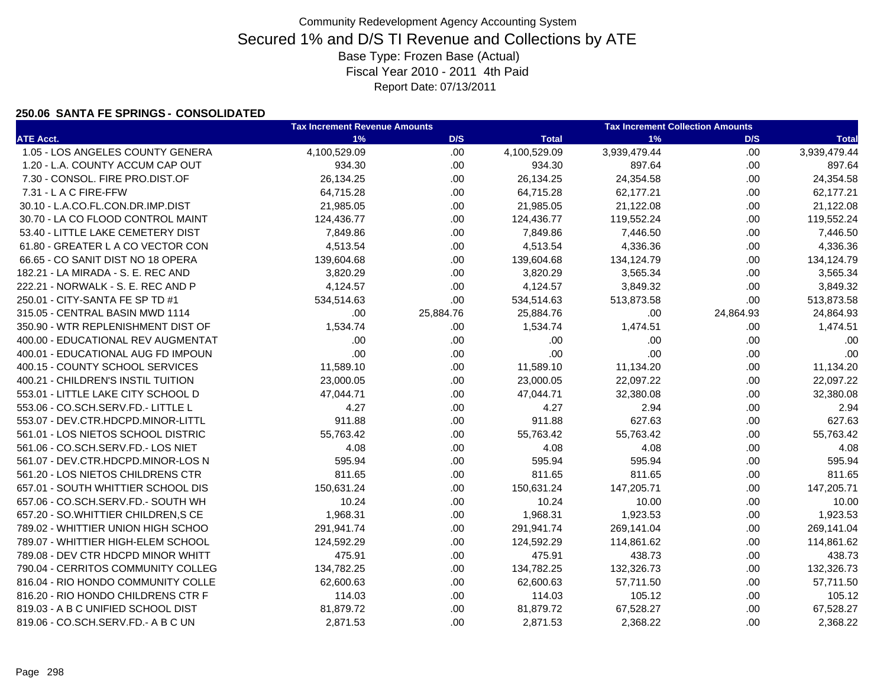### **250.06 SANTA FE SPRINGS - CONSOLIDATED**

|                                    | <b>Tax Increment Revenue Amounts</b> |           | <b>Tax Increment Collection Amounts</b> |              |           |              |
|------------------------------------|--------------------------------------|-----------|-----------------------------------------|--------------|-----------|--------------|
| <b>ATE Acct.</b>                   | 1%                                   | D/S       | <b>Total</b>                            | 1%           | D/S       | <b>Total</b> |
| 1.05 - LOS ANGELES COUNTY GENERA   | 4,100,529.09                         | .00       | 4,100,529.09                            | 3,939,479.44 | .00.      | 3,939,479.44 |
| 1.20 - L.A. COUNTY ACCUM CAP OUT   | 934.30                               | .00       | 934.30                                  | 897.64       | .00       | 897.64       |
| 7.30 - CONSOL. FIRE PRO.DIST.OF    | 26,134.25                            | .00       | 26,134.25                               | 24,354.58    | .00.      | 24,354.58    |
| 7.31 - L A C FIRE-FFW              | 64,715.28                            | .00       | 64,715.28                               | 62,177.21    | .00.      | 62,177.21    |
| 30.10 - L.A.CO.FL.CON.DR.IMP.DIST  | 21,985.05                            | .00       | 21,985.05                               | 21,122.08    | .00.      | 21,122.08    |
| 30.70 - LA CO FLOOD CONTROL MAINT  | 124,436.77                           | .00.      | 124,436.77                              | 119,552.24   | .00.      | 119,552.24   |
| 53.40 - LITTLE LAKE CEMETERY DIST  | 7,849.86                             | .00.      | 7,849.86                                | 7,446.50     | .00.      | 7,446.50     |
| 61.80 - GREATER L A CO VECTOR CON  | 4,513.54                             | .00.      | 4,513.54                                | 4,336.36     | .00.      | 4,336.36     |
| 66.65 - CO SANIT DIST NO 18 OPERA  | 139,604.68                           | .00.      | 139,604.68                              | 134,124.79   | .00.      | 134,124.79   |
| 182.21 - LA MIRADA - S. E. REC AND | 3,820.29                             | .00.      | 3,820.29                                | 3,565.34     | .00.      | 3,565.34     |
| 222.21 - NORWALK - S. E. REC AND P | 4,124.57                             | .00       | 4,124.57                                | 3,849.32     | .00.      | 3,849.32     |
| 250.01 - CITY-SANTA FE SP TD #1    | 534,514.63                           | .00       | 534,514.63                              | 513,873.58   | .00.      | 513,873.58   |
| 315.05 - CENTRAL BASIN MWD 1114    | .00.                                 | 25,884.76 | 25,884.76                               | .00          | 24,864.93 | 24,864.93    |
| 350.90 - WTR REPLENISHMENT DIST OF | 1,534.74                             | .00.      | 1,534.74                                | 1,474.51     | .00.      | 1,474.51     |
| 400.00 - EDUCATIONAL REV AUGMENTAT | .00                                  | .00       | .00                                     | .00          | .00.      | .00          |
| 400.01 - EDUCATIONAL AUG FD IMPOUN | .00                                  | .00       | .00                                     | .00          | .00.      | .00          |
| 400.15 - COUNTY SCHOOL SERVICES    | 11,589.10                            | .00       | 11,589.10                               | 11,134.20    | .00.      | 11,134.20    |
| 400.21 - CHILDREN'S INSTIL TUITION | 23,000.05                            | .00       | 23,000.05                               | 22,097.22    | .00.      | 22,097.22    |
| 553.01 - LITTLE LAKE CITY SCHOOL D | 47,044.71                            | .00       | 47,044.71                               | 32,380.08    | .00.      | 32,380.08    |
| 553.06 - CO.SCH.SERV.FD.- LITTLE L | 4.27                                 | .00.      | 4.27                                    | 2.94         | .00.      | 2.94         |
| 553.07 - DEV.CTR.HDCPD.MINOR-LITTL | 911.88                               | .00       | 911.88                                  | 627.63       | .00.      | 627.63       |
| 561.01 - LOS NIETOS SCHOOL DISTRIC | 55,763.42                            | .00       | 55,763.42                               | 55,763.42    | .00.      | 55,763.42    |
| 561.06 - CO.SCH.SERV.FD.- LOS NIET | 4.08                                 | .00       | 4.08                                    | 4.08         | .00       | 4.08         |
| 561.07 - DEV.CTR.HDCPD.MINOR-LOS N | 595.94                               | .00       | 595.94                                  | 595.94       | .00.      | 595.94       |
| 561.20 - LOS NIETOS CHILDRENS CTR  | 811.65                               | .00       | 811.65                                  | 811.65       | .00.      | 811.65       |
| 657.01 - SOUTH WHITTIER SCHOOL DIS | 150,631.24                           | .00       | 150,631.24                              | 147,205.71   | .00       | 147,205.71   |
| 657.06 - CO.SCH.SERV.FD.- SOUTH WH | 10.24                                | .00       | 10.24                                   | 10.00        | .00.      | 10.00        |
| 657.20 - SO.WHITTIER CHILDREN, SCE | 1,968.31                             | .00       | 1,968.31                                | 1,923.53     | .00       | 1,923.53     |
| 789.02 - WHITTIER UNION HIGH SCHOO | 291,941.74                           | .00       | 291,941.74                              | 269,141.04   | .00       | 269,141.04   |
| 789.07 - WHITTIER HIGH-ELEM SCHOOL | 124,592.29                           | .00.      | 124,592.29                              | 114,861.62   | .00       | 114,861.62   |
| 789.08 - DEV CTR HDCPD MINOR WHITT | 475.91                               | .00       | 475.91                                  | 438.73       | .00       | 438.73       |
| 790.04 - CERRITOS COMMUNITY COLLEG | 134,782.25                           | .00       | 134,782.25                              | 132,326.73   | .00.      | 132,326.73   |
| 816.04 - RIO HONDO COMMUNITY COLLE | 62,600.63                            | .00       | 62,600.63                               | 57,711.50    | .00.      | 57,711.50    |
| 816.20 - RIO HONDO CHILDRENS CTR F | 114.03                               | .00       | 114.03                                  | 105.12       | .00.      | 105.12       |
| 819.03 - A B C UNIFIED SCHOOL DIST | 81,879.72                            | .00       | 81,879.72                               | 67,528.27    | .00.      | 67,528.27    |
| 819.06 - CO.SCH.SERV.FD.- A B C UN | 2,871.53                             | .00.      | 2,871.53                                | 2,368.22     | .00.      | 2,368.22     |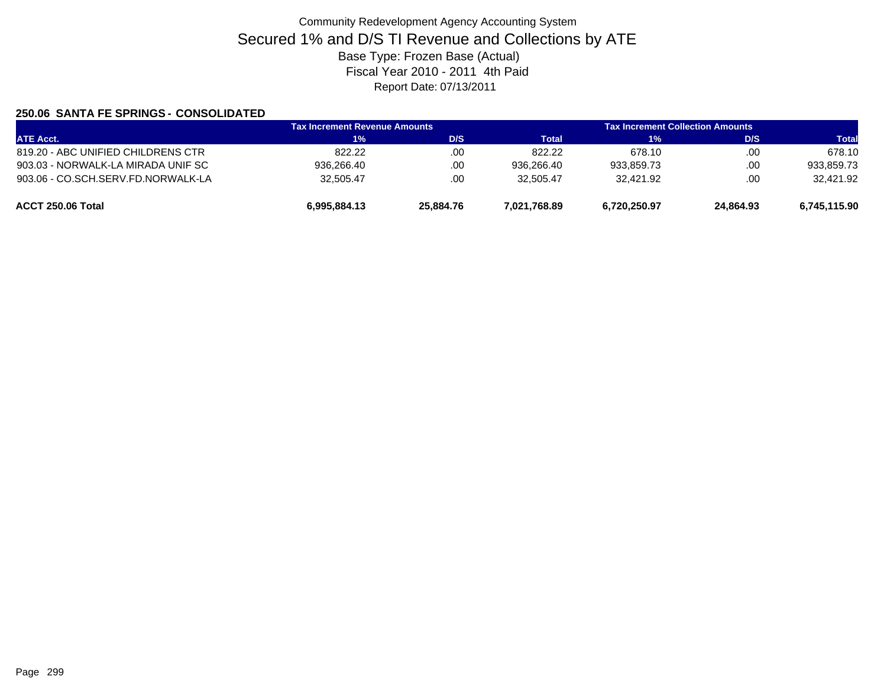### **250.06 SANTA FE SPRINGS - CONSOLIDATED**

| <b>ATE Acct.</b>                   | <b>Tax Increment Revenue Amounts</b> |           | <b>Tax Increment Collection Amounts</b> |              |           |              |
|------------------------------------|--------------------------------------|-----------|-----------------------------------------|--------------|-----------|--------------|
|                                    | 1%                                   | D/S       | Total                                   | 1%           | D/S       | <b>Total</b> |
| 819.20 - ABC UNIFIED CHILDRENS CTR | 822.22                               | .00       | 822.22                                  | 678.10       | .00       | 678.10       |
| 903.03 - NORWALK-LA MIRADA UNIF SC | 936.266.40                           | .00       | 936.266.40                              | 933.859.73   | .00       | 933.859.73   |
| 903.06 - CO.SCH.SERV.FD.NORWALK-LA | 32.505.47                            | .00       | 32.505.47                               | 32.421.92    | .00       | 32,421.92    |
| ACCT 250.06 Total                  | 6,995,884.13                         | 25,884.76 | 7,021,768.89                            | 6,720,250.97 | 24,864.93 | 6,745,115.90 |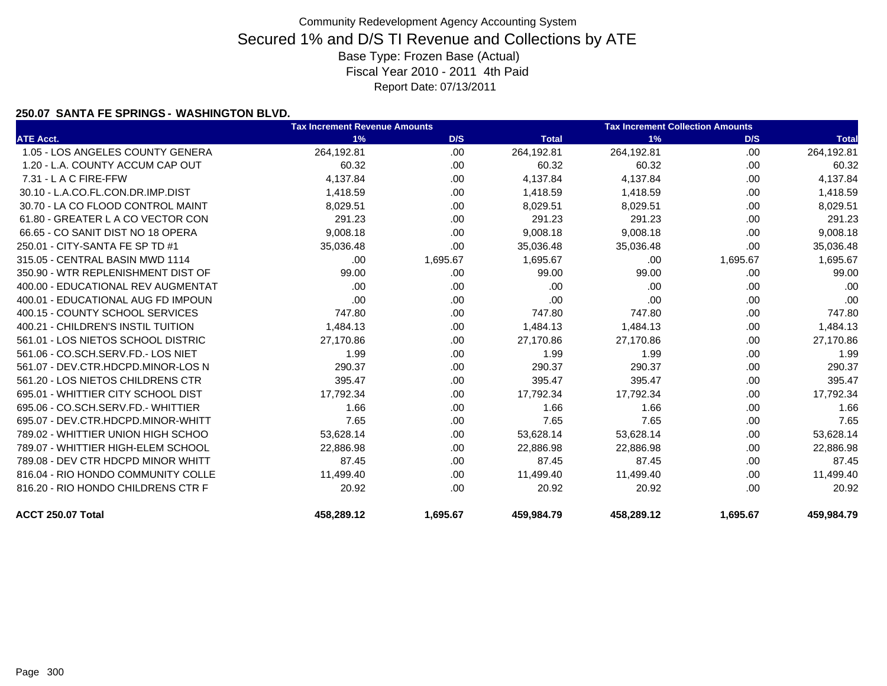### **250.07 SANTA FE SPRINGS - WASHINGTON BLVD.**

|                                    | <b>Tax Increment Revenue Amounts</b> |          |              | <b>Tax Increment Collection Amounts</b> |          |              |  |
|------------------------------------|--------------------------------------|----------|--------------|-----------------------------------------|----------|--------------|--|
| <b>ATE Acct.</b>                   | 1%                                   | D/S      | <b>Total</b> | 1%                                      | D/S      | <b>Total</b> |  |
| 1.05 - LOS ANGELES COUNTY GENERA   | 264,192.81                           | .00      | 264,192.81   | 264,192.81                              | .00      | 264,192.81   |  |
| 1.20 - L.A. COUNTY ACCUM CAP OUT   | 60.32                                | .00      | 60.32        | 60.32                                   | .00      | 60.32        |  |
| $7.31 - L$ A C FIRE-FFW            | 4,137.84                             | .00      | 4,137.84     | 4,137.84                                | .00      | 4,137.84     |  |
| 30.10 - L.A.CO.FL.CON.DR.IMP.DIST  | 1,418.59                             | .00      | 1,418.59     | 1,418.59                                | .00      | 1,418.59     |  |
| 30.70 - LA CO FLOOD CONTROL MAINT  | 8,029.51                             | .00      | 8,029.51     | 8,029.51                                | .00      | 8,029.51     |  |
| 61.80 - GREATER L A CO VECTOR CON  | 291.23                               | .00      | 291.23       | 291.23                                  | .00      | 291.23       |  |
| 66.65 - CO SANIT DIST NO 18 OPERA  | 9,008.18                             | .00      | 9,008.18     | 9,008.18                                | .00      | 9,008.18     |  |
| 250.01 - CITY-SANTA FE SP TD #1    | 35,036.48                            | .00      | 35,036.48    | 35,036.48                               | .00      | 35,036.48    |  |
| 315.05 - CENTRAL BASIN MWD 1114    | .00.                                 | 1,695.67 | 1,695.67     | .00                                     | 1,695.67 | 1,695.67     |  |
| 350.90 - WTR REPLENISHMENT DIST OF | 99.00                                | .00      | 99.00        | 99.00                                   | .00      | 99.00        |  |
| 400.00 - EDUCATIONAL REV AUGMENTAT | .00.                                 | .00      | .00          | .00                                     | .00      | .00          |  |
| 400.01 - EDUCATIONAL AUG FD IMPOUN | .00.                                 | .00      | .00          | .00                                     | .00      | .00          |  |
| 400.15 - COUNTY SCHOOL SERVICES    | 747.80                               | .00      | 747.80       | 747.80                                  | .00      | 747.80       |  |
| 400.21 - CHILDREN'S INSTIL TUITION | 1,484.13                             | .00      | 1,484.13     | 1,484.13                                | .00      | 1,484.13     |  |
| 561.01 - LOS NIETOS SCHOOL DISTRIC | 27,170.86                            | .00      | 27,170.86    | 27,170.86                               | .00      | 27,170.86    |  |
| 561.06 - CO.SCH.SERV.FD.- LOS NIET | 1.99                                 | .00      | 1.99         | 1.99                                    | .00      | 1.99         |  |
| 561.07 - DEV.CTR.HDCPD.MINOR-LOS N | 290.37                               | .00      | 290.37       | 290.37                                  | .00      | 290.37       |  |
| 561.20 - LOS NIETOS CHILDRENS CTR  | 395.47                               | .00      | 395.47       | 395.47                                  | .00      | 395.47       |  |
| 695.01 - WHITTIER CITY SCHOOL DIST | 17,792.34                            | .00      | 17,792.34    | 17,792.34                               | .00      | 17,792.34    |  |
| 695.06 - CO.SCH.SERV.FD.- WHITTIER | 1.66                                 | .00      | 1.66         | 1.66                                    | .00      | 1.66         |  |
| 695.07 - DEV.CTR.HDCPD.MINOR-WHITT | 7.65                                 | .00      | 7.65         | 7.65                                    | .00      | 7.65         |  |
| 789.02 - WHITTIER UNION HIGH SCHOO | 53,628.14                            | .00      | 53,628.14    | 53,628.14                               | .00      | 53,628.14    |  |
| 789.07 - WHITTIER HIGH-ELEM SCHOOL | 22,886.98                            | .00      | 22,886.98    | 22,886.98                               | .00      | 22,886.98    |  |
| 789.08 - DEV CTR HDCPD MINOR WHITT | 87.45                                | .00      | 87.45        | 87.45                                   | .00      | 87.45        |  |
| 816.04 - RIO HONDO COMMUNITY COLLE | 11,499.40                            | .00      | 11,499.40    | 11,499.40                               | .00      | 11,499.40    |  |
| 816.20 - RIO HONDO CHILDRENS CTR F | 20.92                                | .00      | 20.92        | 20.92                                   | .00      | 20.92        |  |
| ACCT 250.07 Total                  | 458,289.12                           | 1,695.67 | 459,984.79   | 458,289.12                              | 1,695.67 | 459,984.79   |  |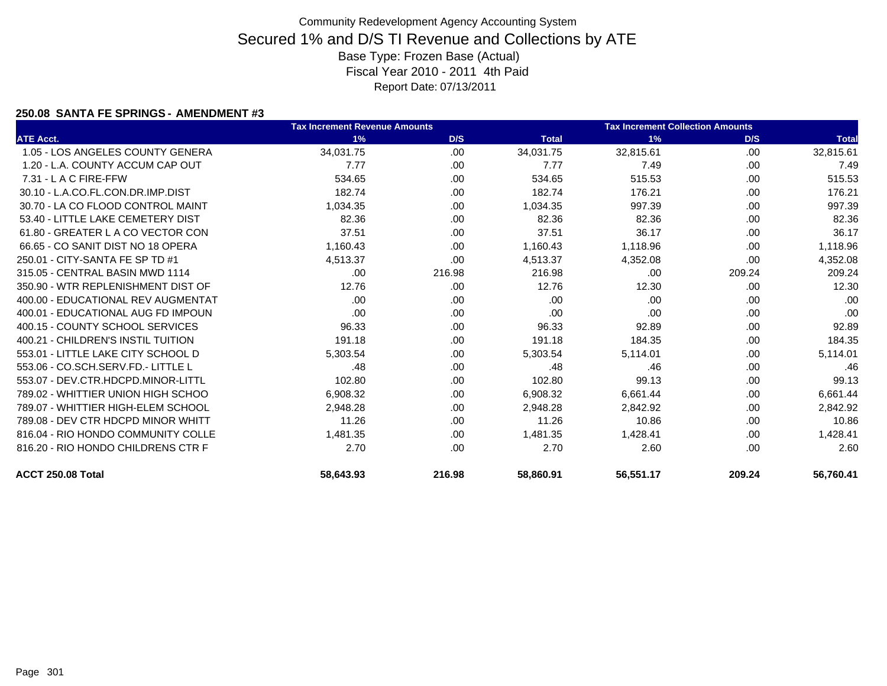### **250.08 SANTA FE SPRINGS - AMENDMENT #3**

|                                    | <b>Tax Increment Revenue Amounts</b> |        |              | <b>Tax Increment Collection Amounts</b> |        |              |  |
|------------------------------------|--------------------------------------|--------|--------------|-----------------------------------------|--------|--------------|--|
| <b>ATE Acct.</b>                   | 1%                                   | D/S    | <b>Total</b> | 1%                                      | D/S    | <b>Total</b> |  |
| 1.05 - LOS ANGELES COUNTY GENERA   | 34,031.75                            | .00    | 34,031.75    | 32,815.61                               | .00    | 32,815.61    |  |
| 1.20 - L.A. COUNTY ACCUM CAP OUT   | 7.77                                 | .00    | 7.77         | 7.49                                    | .00.   | 7.49         |  |
| $7.31 - L$ A C FIRE-FFW            | 534.65                               | .00    | 534.65       | 515.53                                  | .00    | 515.53       |  |
| 30.10 - L.A.CO.FL.CON.DR.IMP.DIST  | 182.74                               | .00.   | 182.74       | 176.21                                  | .00    | 176.21       |  |
| 30.70 - LA CO FLOOD CONTROL MAINT  | 1,034.35                             | .00    | 1,034.35     | 997.39                                  | .00    | 997.39       |  |
| 53.40 - LITTLE LAKE CEMETERY DIST  | 82.36                                | .00.   | 82.36        | 82.36                                   | .00    | 82.36        |  |
| 61.80 - GREATER L A CO VECTOR CON  | 37.51                                | .00    | 37.51        | 36.17                                   | .00    | 36.17        |  |
| 66.65 - CO SANIT DIST NO 18 OPERA  | 1,160.43                             | .00    | 1,160.43     | 1,118.96                                | .00    | 1,118.96     |  |
| 250.01 - CITY-SANTA FE SP TD #1    | 4,513.37                             | .00    | 4,513.37     | 4,352.08                                | .00.   | 4,352.08     |  |
| 315.05 - CENTRAL BASIN MWD 1114    | .00.                                 | 216.98 | 216.98       | .00                                     | 209.24 | 209.24       |  |
| 350.90 - WTR REPLENISHMENT DIST OF | 12.76                                | .00    | 12.76        | 12.30                                   | .00    | 12.30        |  |
| 400.00 - EDUCATIONAL REV AUGMENTAT | .00.                                 | .00    | .00          | .00                                     | .00    | .00          |  |
| 400.01 - EDUCATIONAL AUG FD IMPOUN | .00                                  | .00.   | .00          | .00                                     | .00.   | .00          |  |
| 400.15 - COUNTY SCHOOL SERVICES    | 96.33                                | .00    | 96.33        | 92.89                                   | .00    | 92.89        |  |
| 400.21 - CHILDREN'S INSTIL TUITION | 191.18                               | .00    | 191.18       | 184.35                                  | .00    | 184.35       |  |
| 553.01 - LITTLE LAKE CITY SCHOOL D | 5,303.54                             | .00    | 5,303.54     | 5,114.01                                | .00    | 5,114.01     |  |
| 553.06 - CO.SCH.SERV.FD.- LITTLE L | .48                                  | .00    | .48          | .46                                     | .00    | .46          |  |
| 553.07 - DEV.CTR.HDCPD.MINOR-LITTL | 102.80                               | .00.   | 102.80       | 99.13                                   | .00.   | 99.13        |  |
| 789.02 - WHITTIER UNION HIGH SCHOO | 6,908.32                             | .00    | 6,908.32     | 6,661.44                                | .00    | 6,661.44     |  |
| 789.07 - WHITTIER HIGH-ELEM SCHOOL | 2,948.28                             | .00    | 2,948.28     | 2,842.92                                | .00    | 2,842.92     |  |
| 789.08 - DEV CTR HDCPD MINOR WHITT | 11.26                                | .00    | 11.26        | 10.86                                   | .00    | 10.86        |  |
| 816.04 - RIO HONDO COMMUNITY COLLE | 1,481.35                             | .00    | 1.481.35     | 1,428.41                                | .00    | 1,428.41     |  |
| 816.20 - RIO HONDO CHILDRENS CTR F | 2.70                                 | .00    | 2.70         | 2.60                                    | .00    | 2.60         |  |
| ACCT 250.08 Total                  | 58,643.93                            | 216.98 | 58,860.91    | 56,551.17                               | 209.24 | 56,760.41    |  |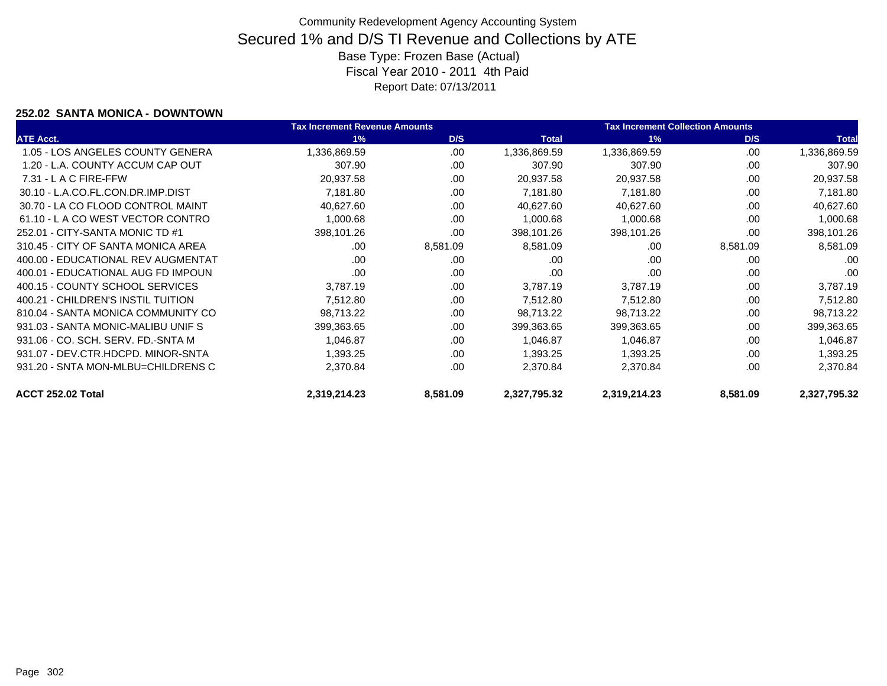### **252.02 SANTA MONICA - DOWNTOWN**

|                                    | <b>Tax Increment Revenue Amounts</b> |          |              | <b>Tax Increment Collection Amounts</b> |          |              |
|------------------------------------|--------------------------------------|----------|--------------|-----------------------------------------|----------|--------------|
| <b>ATE Acct.</b>                   | 1%                                   | D/S      | <b>Total</b> | 1%                                      | D/S      | <b>Total</b> |
| 1.05 - LOS ANGELES COUNTY GENERA   | ,336,869.59                          | .00.     | 1,336,869.59 | 1,336,869.59                            | .00.     | 1,336,869.59 |
| 1.20 - L.A. COUNTY ACCUM CAP OUT   | 307.90                               | .00      | 307.90       | 307.90                                  | .00      | 307.90       |
| $7.31 - L$ A C FIRE-FFW            | 20,937.58                            | .00      | 20,937.58    | 20,937.58                               | .00      | 20,937.58    |
| 30.10 - L.A.CO.FL.CON.DR.IMP.DIST  | 7,181.80                             | .00      | 7,181.80     | 7,181.80                                | .00      | 7,181.80     |
| 30.70 - LA CO FLOOD CONTROL MAINT  | 40,627.60                            | .00      | 40,627.60    | 40,627.60                               | .00      | 40,627.60    |
| 61.10 - L A CO WEST VECTOR CONTRO  | 1,000.68                             | .00      | 1,000.68     | 1,000.68                                | .00      | 1,000.68     |
| 252.01 - CITY-SANTA MONIC TD #1    | 398,101.26                           | .00      | 398,101.26   | 398,101.26                              | .00      | 398,101.26   |
| 310.45 - CITY OF SANTA MONICA AREA | .00                                  | 8,581.09 | 8,581.09     | .00                                     | 8,581.09 | 8,581.09     |
| 400.00 - EDUCATIONAL REV AUGMENTAT | .00                                  | .00      | .00          | .00                                     | .00      | .00          |
| 400.01 - EDUCATIONAL AUG FD IMPOUN | .00                                  | .00      | .00          | .00                                     | .00      | .00          |
| 400.15 - COUNTY SCHOOL SERVICES    | 3,787.19                             | .00      | 3,787.19     | 3,787.19                                | .00      | 3,787.19     |
| 400.21 - CHILDREN'S INSTIL TUITION | 7,512.80                             | .00      | 7,512.80     | 7,512.80                                | .00      | 7,512.80     |
| 810.04 - SANTA MONICA COMMUNITY CO | 98,713.22                            | .00      | 98,713.22    | 98,713.22                               | .00      | 98,713.22    |
| 931.03 - SANTA MONIC-MALIBU UNIF S | 399,363.65                           | .00      | 399,363.65   | 399,363.65                              | .00      | 399,363.65   |
| 931.06 - CO. SCH. SERV. FD.-SNTA M | 1,046.87                             | .00      | 1.046.87     | 1,046.87                                | .00      | 1,046.87     |
| 931.07 - DEV.CTR.HDCPD. MINOR-SNTA | 1,393.25                             | .00      | 1,393.25     | 1,393.25                                | .00      | 1,393.25     |
| 931.20 - SNTA MON-MLBU=CHILDRENS C | 2,370.84                             | .00      | 2,370.84     | 2,370.84                                | .00      | 2,370.84     |
| ACCT 252.02 Total                  | 2,319,214.23                         | 8,581.09 | 2,327,795.32 | 2,319,214.23                            | 8,581.09 | 2,327,795.32 |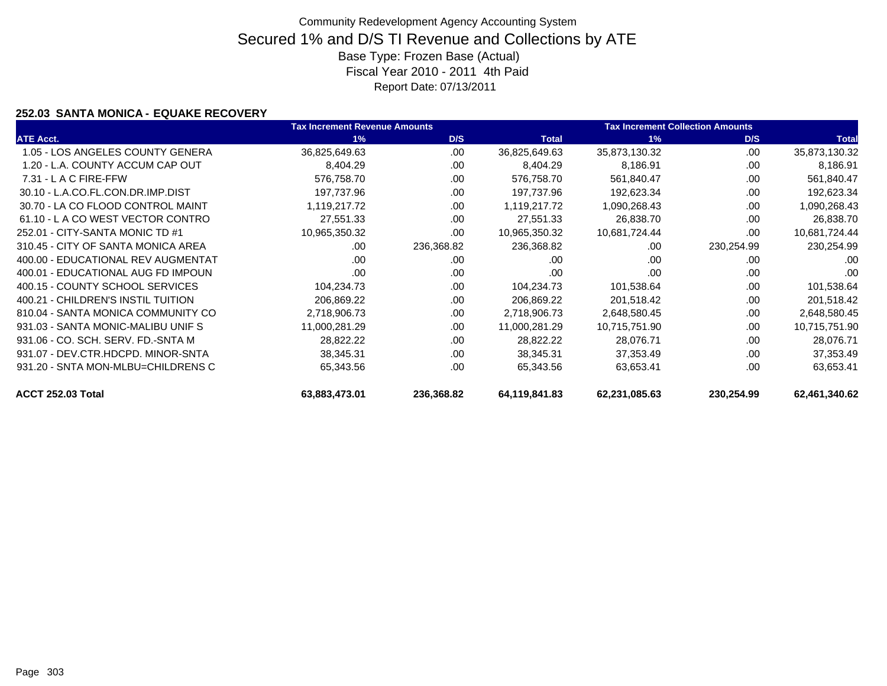### **252.03 SANTA MONICA - EQUAKE RECOVERY**

|                                    | <b>Tax Increment Revenue Amounts</b> |            |               | <b>Tax Increment Collection Amounts</b> |            |               |  |
|------------------------------------|--------------------------------------|------------|---------------|-----------------------------------------|------------|---------------|--|
| <b>ATE Acct.</b>                   | 1%                                   | D/S        | <b>Total</b>  | 1%                                      | D/S        | <b>Total</b>  |  |
| 1.05 - LOS ANGELES COUNTY GENERA   | 36,825,649.63                        | .00        | 36,825,649.63 | 35,873,130.32                           | .00        | 35,873,130.32 |  |
| 1.20 - L.A. COUNTY ACCUM CAP OUT   | 8,404.29                             | .00        | 8,404.29      | 8,186.91                                | .00        | 8,186.91      |  |
| $7.31 - L$ A C FIRE-FFW            | 576,758.70                           | .00        | 576,758.70    | 561,840.47                              | .00        | 561,840.47    |  |
| 30.10 - L.A.CO.FL.CON.DR.IMP.DIST  | 197.737.96                           | .00        | 197,737.96    | 192,623.34                              | .00        | 192,623.34    |  |
| 30.70 - LA CO FLOOD CONTROL MAINT  | 1,119,217.72                         | .00        | 1,119,217.72  | 1,090,268.43                            | .00        | 1,090,268.43  |  |
| 61.10 - L A CO WEST VECTOR CONTRO  | 27,551.33                            | .00        | 27,551.33     | 26,838.70                               | .00        | 26,838.70     |  |
| 252.01 - CITY-SANTA MONIC TD #1    | 10,965,350.32                        | .00        | 10,965,350.32 | 10,681,724.44                           | .00        | 10,681,724.44 |  |
| 310.45 - CITY OF SANTA MONICA AREA | .00                                  | 236,368.82 | 236,368.82    | .00                                     | 230,254.99 | 230,254.99    |  |
| 400.00 - EDUCATIONAL REV AUGMENTAT | .00                                  | .00        | .00           | .00                                     | .00        | .00           |  |
| 400.01 - EDUCATIONAL AUG FD IMPOUN | .00                                  | .00        | .00           | .00                                     | .00        | .00           |  |
| 400.15 - COUNTY SCHOOL SERVICES    | 104,234.73                           | .00.       | 104,234.73    | 101,538.64                              | .00        | 101,538.64    |  |
| 400.21 - CHILDREN'S INSTIL TUITION | 206,869.22                           | .00        | 206,869.22    | 201,518.42                              | .00        | 201,518.42    |  |
| 810.04 - SANTA MONICA COMMUNITY CO | 2,718,906.73                         | .00        | 2,718,906.73  | 2,648,580.45                            | .00        | 2,648,580.45  |  |
| 931.03 - SANTA MONIC-MALIBU UNIF S | 11,000,281.29                        | .00        | 11,000,281.29 | 10,715,751.90                           | .00        | 10,715,751.90 |  |
| 931.06 - CO. SCH. SERV. FD.-SNTA M | 28,822.22                            | .00        | 28,822.22     | 28,076.71                               | .00        | 28,076.71     |  |
| 931.07 - DEV.CTR.HDCPD, MINOR-SNTA | 38,345.31                            | .00        | 38,345.31     | 37,353.49                               | .00        | 37,353.49     |  |
| 931.20 - SNTA MON-MLBU=CHILDRENS C | 65,343.56                            | .00        | 65,343.56     | 63,653.41                               | .00        | 63,653.41     |  |
| ACCT 252.03 Total                  | 63,883,473.01                        | 236,368.82 | 64,119,841.83 | 62,231,085.63                           | 230,254.99 | 62,461,340.62 |  |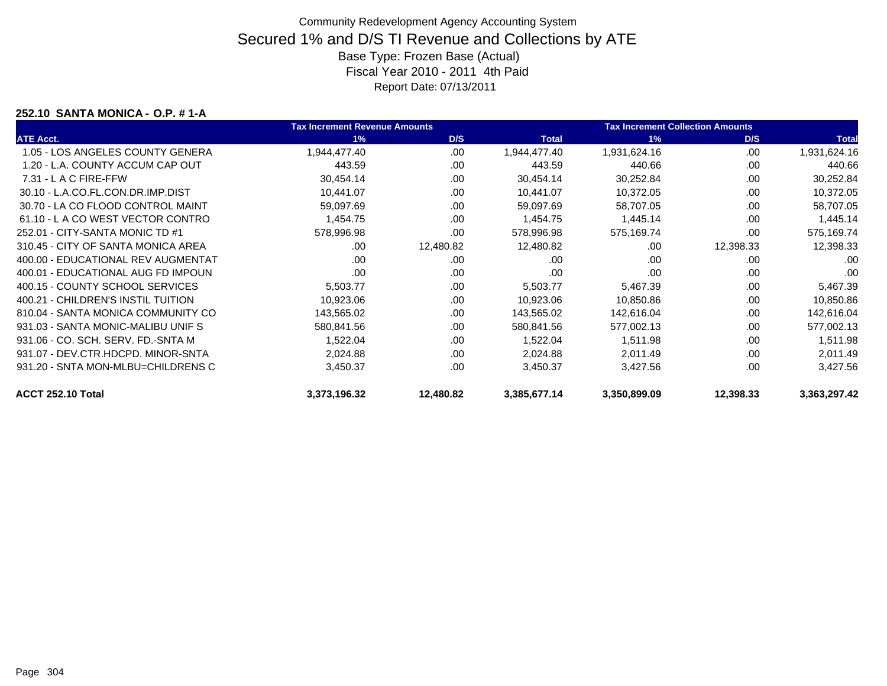#### **252.10 SANTA MONICA - O.P. # 1-A**

|                                    | <b>Tax Increment Revenue Amounts</b> |           |              | <b>Tax Increment Collection Amounts</b> |           |              |
|------------------------------------|--------------------------------------|-----------|--------------|-----------------------------------------|-----------|--------------|
| <b>ATE Acct.</b>                   | 1%                                   | D/S       | <b>Total</b> | 1%                                      | D/S       | <b>Total</b> |
| 1.05 - LOS ANGELES COUNTY GENERA   | 1,944,477.40                         | .00       | 1,944,477.40 | 1,931,624.16                            | .00       | 1,931,624.16 |
| 1.20 - L.A. COUNTY ACCUM CAP OUT   | 443.59                               | .00       | 443.59       | 440.66                                  | .00       | 440.66       |
| $7.31 - L$ A C FIRE-FFW            | 30,454.14                            | .00       | 30,454.14    | 30,252.84                               | .00       | 30,252.84    |
| 30.10 - L.A.CO.FL.CON.DR.IMP.DIST  | 10,441.07                            | .00.      | 10,441.07    | 10,372.05                               | .00       | 10,372.05    |
| 30.70 - LA CO FLOOD CONTROL MAINT  | 59,097.69                            | .00       | 59,097.69    | 58,707.05                               | .00       | 58,707.05    |
| 61.10 - LA CO WEST VECTOR CONTRO   | 1,454.75                             | .00       | 1,454.75     | 1,445.14                                | .00       | 1,445.14     |
| 252.01 - CITY-SANTA MONIC TD #1    | 578,996.98                           | .00       | 578,996.98   | 575,169.74                              | .00       | 575,169.74   |
| 310.45 - CITY OF SANTA MONICA AREA | .00                                  | 12,480.82 | 12,480.82    | .00                                     | 12,398.33 | 12,398.33    |
| 400.00 - EDUCATIONAL REV AUGMENTAT | .00                                  | .00       | .00          | .00                                     | .00       | .00          |
| 400.01 - EDUCATIONAL AUG FD IMPOUN | .00                                  | .00       | .00          | .00                                     | .00       | .00          |
| 400.15 - COUNTY SCHOOL SERVICES    | 5,503.77                             | .00       | 5,503.77     | 5,467.39                                | .00       | 5,467.39     |
| 400.21 - CHILDREN'S INSTIL TUITION | 10,923.06                            | .00       | 10,923.06    | 10,850.86                               | .00       | 10,850.86    |
| 810.04 - SANTA MONICA COMMUNITY CO | 143,565.02                           | .00       | 143,565.02   | 142,616.04                              | .00       | 142,616.04   |
| 931.03 - SANTA MONIC-MALIBU UNIF S | 580,841.56                           | .00       | 580,841.56   | 577,002.13                              | .00       | 577,002.13   |
| 931.06 - CO. SCH. SERV. FD.-SNTA M | 1,522.04                             | .00       | 1,522.04     | 1,511.98                                | .00       | 1,511.98     |
| 931.07 - DEV.CTR.HDCPD. MINOR-SNTA | 2,024.88                             | .00       | 2,024.88     | 2,011.49                                | .00       | 2,011.49     |
| 931.20 - SNTA MON-MLBU=CHILDRENS C | 3,450.37                             | .00       | 3,450.37     | 3,427.56                                | .00       | 3,427.56     |
| ACCT 252.10 Total                  | 3,373,196.32                         | 12,480.82 | 3,385,677.14 | 3,350,899.09                            | 12,398.33 | 3,363,297.42 |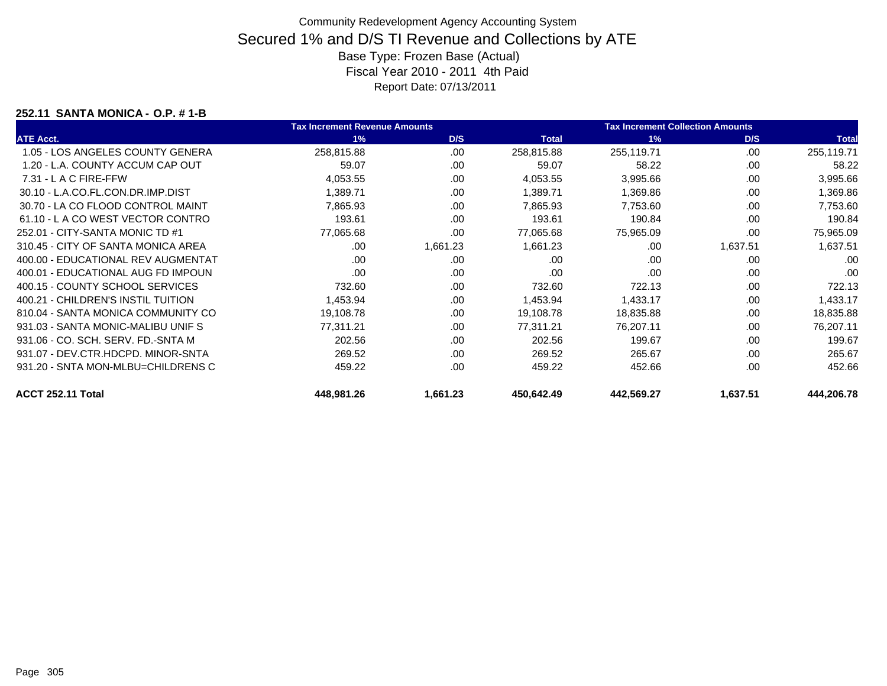#### **252.11 SANTA MONICA - O.P. # 1-B**

|                                    | <b>Tax Increment Revenue Amounts</b> |          |              | <b>Tax Increment Collection Amounts</b> |          |              |
|------------------------------------|--------------------------------------|----------|--------------|-----------------------------------------|----------|--------------|
| <b>ATE Acct.</b>                   | 1%                                   | D/S      | <b>Total</b> | 1%                                      | D/S      | <b>Total</b> |
| 1.05 - LOS ANGELES COUNTY GENERA   | 258,815.88                           | .00      | 258,815.88   | 255,119.71                              | .00      | 255,119.71   |
| 1.20 - L.A. COUNTY ACCUM CAP OUT   | 59.07                                | .00      | 59.07        | 58.22                                   | .00      | 58.22        |
| $7.31 - L$ A C FIRE-FFW            | 4,053.55                             | .00      | 4,053.55     | 3,995.66                                | .00      | 3,995.66     |
| 30.10 - L.A.CO.FL.CON.DR.IMP.DIST  | 1,389.71                             | .00      | 1,389.71     | 1,369.86                                | .00      | 1,369.86     |
| 30.70 - LA CO FLOOD CONTROL MAINT  | 7,865.93                             | .00      | 7,865.93     | 7,753.60                                | .00      | 7,753.60     |
| 61.10 - L A CO WEST VECTOR CONTRO  | 193.61                               | .00      | 193.61       | 190.84                                  | .00      | 190.84       |
| 252.01 - CITY-SANTA MONIC TD #1    | 77,065.68                            | .00      | 77,065.68    | 75,965.09                               | .00      | 75,965.09    |
| 310.45 - CITY OF SANTA MONICA AREA | .00                                  | 1,661.23 | 1,661.23     | .00                                     | 1,637.51 | 1,637.51     |
| 400.00 - EDUCATIONAL REV AUGMENTAT | .00                                  | .00      | .00          | .00                                     | .00      | .00          |
| 400.01 - EDUCATIONAL AUG FD IMPOUN | .00                                  | .00      | .00          | .00                                     | .00      | .00          |
| 400.15 - COUNTY SCHOOL SERVICES    | 732.60                               | .00      | 732.60       | 722.13                                  | .00      | 722.13       |
| 400.21 - CHILDREN'S INSTIL TUITION | 1,453.94                             | .00      | 1,453.94     | 1,433.17                                | .00      | 1,433.17     |
| 810.04 - SANTA MONICA COMMUNITY CO | 19,108.78                            | .00      | 19,108.78    | 18,835.88                               | .00      | 18,835.88    |
| 931.03 - SANTA MONIC-MALIBU UNIF S | 77,311.21                            | .00      | 77,311.21    | 76,207.11                               | .00      | 76,207.11    |
| 931.06 - CO. SCH. SERV. FD.-SNTA M | 202.56                               | .00      | 202.56       | 199.67                                  | .00      | 199.67       |
| 931.07 - DEV.CTR.HDCPD. MINOR-SNTA | 269.52                               | .00      | 269.52       | 265.67                                  | .00      | 265.67       |
| 931.20 - SNTA MON-MLBU=CHILDRENS C | 459.22                               | .00      | 459.22       | 452.66                                  | .00      | 452.66       |
| ACCT 252.11 Total                  | 448,981.26                           | 1,661.23 | 450,642.49   | 442,569.27                              | 1,637.51 | 444,206.78   |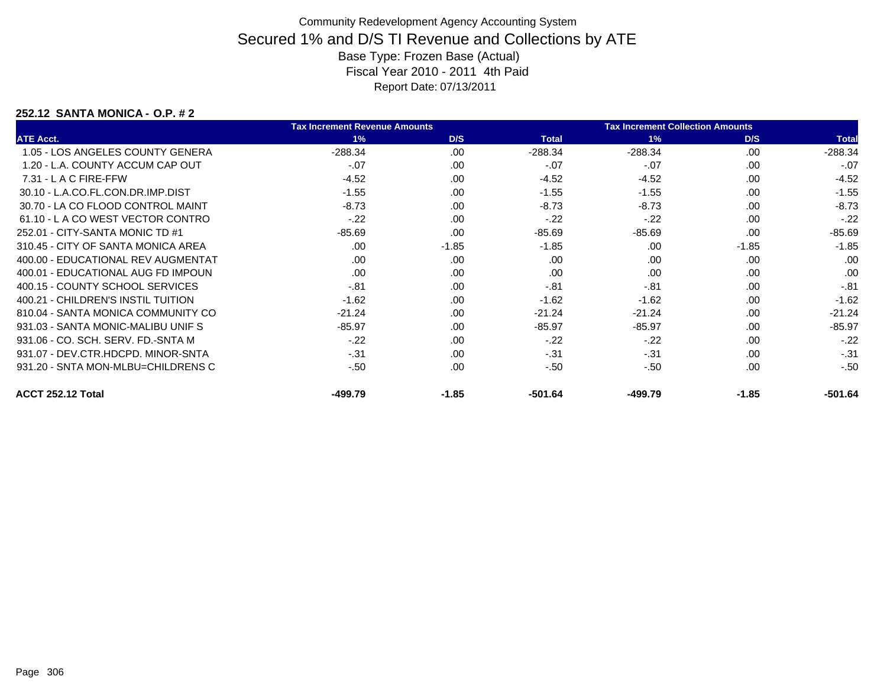### **252.12 SANTA MONICA - O.P. # 2**

|                                    | <b>Tax Increment Revenue Amounts</b> |         |              | <b>Tax Increment Collection Amounts</b> |         |              |
|------------------------------------|--------------------------------------|---------|--------------|-----------------------------------------|---------|--------------|
| <b>ATE Acct.</b>                   | 1%                                   | D/S     | <b>Total</b> | 1%                                      | D/S     | <b>Total</b> |
| 1.05 - LOS ANGELES COUNTY GENERA   | $-288.34$                            | .00     | $-288.34$    | $-288.34$                               | .00     | $-288.34$    |
| 1.20 - L.A. COUNTY ACCUM CAP OUT   | $-07$                                | .00     | $-.07$       | $-07$                                   | .00     | $-.07$       |
| $7.31 - L$ A C FIRE-FFW            | $-4.52$                              | .00.    | $-4.52$      | $-4.52$                                 | .00.    | $-4.52$      |
| 30.10 - L.A.CO.FL.CON.DR.IMP.DIST  | $-1.55$                              | .00.    | $-1.55$      | $-1.55$                                 | .00.    | $-1.55$      |
| 30.70 - LA CO FLOOD CONTROL MAINT  | $-8.73$                              | .00     | $-8.73$      | $-8.73$                                 | .00.    | $-8.73$      |
| 61.10 - L A CO WEST VECTOR CONTRO  | $-.22$                               | .00     | $-.22$       | $-.22$                                  | .00     | $-.22$       |
| 252.01 - CITY-SANTA MONIC TD #1    | $-85.69$                             | .00     | $-85.69$     | $-85.69$                                | .00     | $-85.69$     |
| 310.45 - CITY OF SANTA MONICA AREA | .00                                  | $-1.85$ | $-1.85$      | .00                                     | $-1.85$ | $-1.85$      |
| 400.00 - EDUCATIONAL REV AUGMENTAT | .00                                  | .00.    | .00          | .00                                     | .00     | .00          |
| 400.01 - EDUCATIONAL AUG FD IMPOUN | .00                                  | .00     | .00          | .00                                     | .00     | .00          |
| 400.15 - COUNTY SCHOOL SERVICES    | $-.81$                               | .00     | $-.81$       | $-.81$                                  | .00     | $-.81$       |
| 400.21 - CHILDREN'S INSTIL TUITION | $-1.62$                              | .00.    | $-1.62$      | $-1.62$                                 | .00.    | $-1.62$      |
| 810.04 - SANTA MONICA COMMUNITY CO | $-21.24$                             | .00     | $-21.24$     | $-21.24$                                | .00     | $-21.24$     |
| 931.03 - SANTA MONIC-MALIBU UNIF S | $-85.97$                             | .00     | $-85.97$     | $-85.97$                                | .00.    | $-85.97$     |
| 931.06 - CO. SCH. SERV. FD.-SNTA M | $-.22$                               | .00     | $-.22$       | $-.22$                                  | .00     | $-22$        |
| 931.07 - DEV.CTR.HDCPD, MINOR-SNTA | $-.31$                               | .00     | $-.31$       | $-31$                                   | .00     | $-.31$       |
| 931.20 - SNTA MON-MLBU=CHILDRENS C | $-50$                                | .00     | $-.50$       | $-50$                                   | .00     | $-.50$       |
| ACCT 252.12 Total                  | -499.79                              | $-1.85$ | -501.64      | -499.79                                 | $-1.85$ | -501.64      |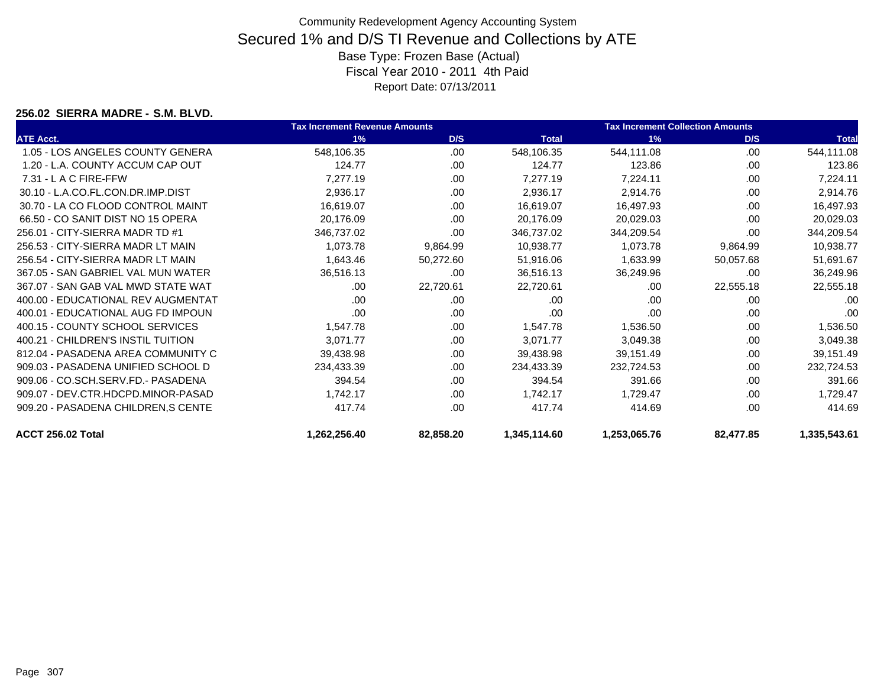#### **256.02 SIERRA MADRE - S.M. BLVD.**

|                                     | <b>Tax Increment Revenue Amounts</b> |           |              | <b>Tax Increment Collection Amounts</b> |           |              |
|-------------------------------------|--------------------------------------|-----------|--------------|-----------------------------------------|-----------|--------------|
| <b>ATE Acct.</b>                    | 1%                                   | D/S       | <b>Total</b> | 1%                                      | D/S       | <b>Total</b> |
| 1.05 - LOS ANGELES COUNTY GENERA    | 548,106.35                           | .00       | 548,106.35   | 544,111.08                              | .00       | 544,111.08   |
| 1.20 - L.A. COUNTY ACCUM CAP OUT    | 124.77                               | .00       | 124.77       | 123.86                                  | .00       | 123.86       |
| 7.31 - L A C FIRE-FFW               | 7,277.19                             | .00.      | 7,277.19     | 7,224.11                                | .00       | 7,224.11     |
| 30.10 - L.A.CO.FL.CON.DR.IMP.DIST   | 2,936.17                             | .00       | 2,936.17     | 2,914.76                                | .00       | 2,914.76     |
| 30.70 - LA CO FLOOD CONTROL MAINT   | 16,619.07                            | .00       | 16,619.07    | 16,497.93                               | .00       | 16,497.93    |
| 66.50 - CO SANIT DIST NO 15 OPERA   | 20,176.09                            | .00.      | 20,176.09    | 20,029.03                               | .00       | 20,029.03    |
| 256.01 - CITY-SIERRA MADR TD #1     | 346,737.02                           | .00       | 346,737.02   | 344,209.54                              | .00       | 344,209.54   |
| 256.53 - CITY-SIERRA MADR LT MAIN   | 1,073.78                             | 9,864.99  | 10,938.77    | 1,073.78                                | 9,864.99  | 10,938.77    |
| 256.54 - CITY-SIERRA MADR LT MAIN   | 1,643.46                             | 50,272.60 | 51,916.06    | 1,633.99                                | 50,057.68 | 51,691.67    |
| 367.05 - SAN GABRIEL VAL MUN WATER  | 36,516.13                            | .00.      | 36,516.13    | 36,249.96                               | .00       | 36,249.96    |
| 367.07 - SAN GAB VAL MWD STATE WAT  | .00                                  | 22,720.61 | 22,720.61    | .00                                     | 22,555.18 | 22,555.18    |
| 400.00 - EDUCATIONAL REV AUGMENTAT  | .00                                  | .00.      | .00          | .00                                     | .00       | .00          |
| 400.01 - EDUCATIONAL AUG FD IMPOUN  | .00                                  | .00.      | .00          | .00                                     | .00.      | .00          |
| 400.15 - COUNTY SCHOOL SERVICES     | 1,547.78                             | .00.      | 1,547.78     | 1,536.50                                | .00       | 1,536.50     |
| 400.21 - CHILDREN'S INSTIL TUITION  | 3,071.77                             | .00       | 3,071.77     | 3,049.38                                | .00       | 3,049.38     |
| 812.04 - PASADENA AREA COMMUNITY C  | 39,438.98                            | .00       | 39,438.98    | 39,151.49                               | .00       | 39,151.49    |
| 909.03 - PASADENA UNIFIED SCHOOL D  | 234,433.39                           | .00       | 234,433.39   | 232,724.53                              | .00       | 232,724.53   |
| 909.06 - CO.SCH.SERV.FD.- PASADENA  | 394.54                               | .00.      | 394.54       | 391.66                                  | .00       | 391.66       |
| 909.07 - DEV.CTR.HDCPD.MINOR-PASAD  | 1,742.17                             | .00.      | 1,742.17     | 1,729.47                                | .00       | 1,729.47     |
| 909.20 - PASADENA CHILDREN, S CENTE | 417.74                               | .00       | 417.74       | 414.69                                  | .00       | 414.69       |
| ACCT 256.02 Total                   | 1,262,256.40                         | 82,858.20 | 1,345,114.60 | 1,253,065.76                            | 82,477.85 | 1,335,543.61 |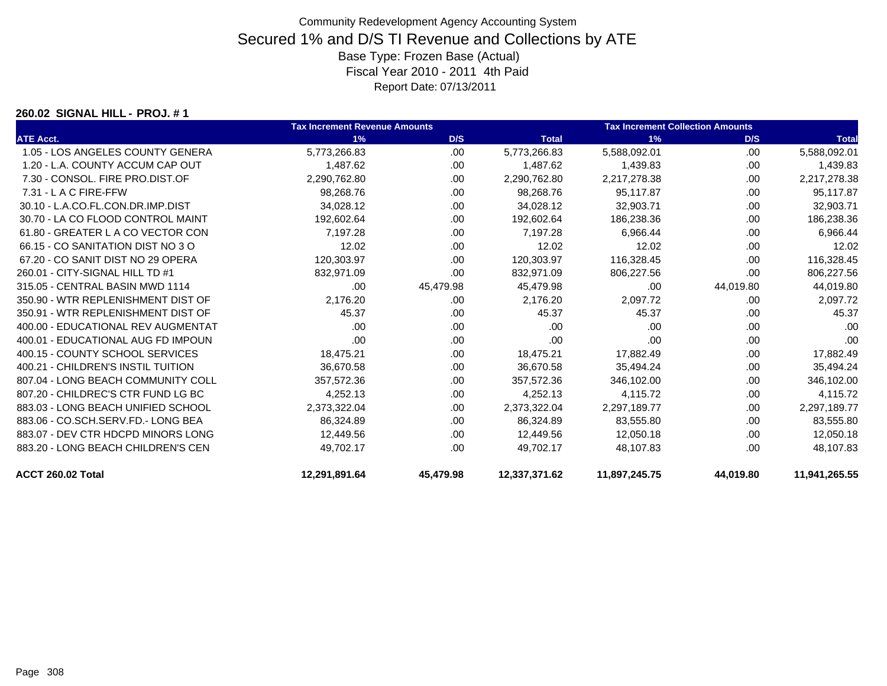#### **260.02 SIGNAL HILL - PROJ. # 1**

|                                    | <b>Tax Increment Revenue Amounts</b> |           |               | <b>Tax Increment Collection Amounts</b> |           |               |
|------------------------------------|--------------------------------------|-----------|---------------|-----------------------------------------|-----------|---------------|
| <b>ATE Acct.</b>                   | 1%                                   | D/S       | <b>Total</b>  | 1%                                      | D/S       | <b>Total</b>  |
| 1.05 - LOS ANGELES COUNTY GENERA   | 5,773,266.83                         | .00       | 5,773,266.83  | 5,588,092.01                            | .00       | 5,588,092.01  |
| 1.20 - L.A. COUNTY ACCUM CAP OUT   | 1,487.62                             | .00.      | 1,487.62      | 1,439.83                                | .00       | 1,439.83      |
| 7.30 - CONSOL, FIRE PRO.DIST.OF    | 2,290,762.80                         | .00       | 2,290,762.80  | 2,217,278.38                            | .00       | 2,217,278.38  |
| $7.31 - L$ A C FIRE-FFW            | 98,268.76                            | .00.      | 98,268.76     | 95,117.87                               | .00       | 95,117.87     |
| 30.10 - L.A.CO.FL.CON.DR.IMP.DIST  | 34,028.12                            | .00.      | 34,028.12     | 32,903.71                               | .00       | 32,903.71     |
| 30.70 - LA CO FLOOD CONTROL MAINT  | 192,602.64                           | .00.      | 192,602.64    | 186,238.36                              | .00       | 186,238.36    |
| 61.80 - GREATER L A CO VECTOR CON  | 7.197.28                             | .00       | 7.197.28      | 6.966.44                                | .00       | 6.966.44      |
| 66.15 - CO SANITATION DIST NO 3 O  | 12.02                                | .00       | 12.02         | 12.02                                   | .00       | 12.02         |
| 67.20 - CO SANIT DIST NO 29 OPERA  | 120,303.97                           | .00       | 120,303.97    | 116,328.45                              | .00       | 116,328.45    |
| 260.01 - CITY-SIGNAL HILL TD #1    | 832,971.09                           | .00       | 832,971.09    | 806,227.56                              | .00.      | 806,227.56    |
| 315.05 - CENTRAL BASIN MWD 1114    | .00                                  | 45,479.98 | 45,479.98     | .00                                     | 44,019.80 | 44,019.80     |
| 350.90 - WTR REPLENISHMENT DIST OF | 2,176.20                             | .00       | 2,176.20      | 2,097.72                                | .00       | 2,097.72      |
| 350.91 - WTR REPLENISHMENT DIST OF | 45.37                                | .00       | 45.37         | 45.37                                   | .00       | 45.37         |
| 400.00 - EDUCATIONAL REV AUGMENTAT | .00                                  | .00       | .00           | .00                                     | .00       | .00           |
| 400.01 - EDUCATIONAL AUG FD IMPOUN | .00                                  | .00       | .00           | .00                                     | .00       | .00           |
| 400.15 - COUNTY SCHOOL SERVICES    | 18,475.21                            | .00       | 18,475.21     | 17,882.49                               | .00       | 17,882.49     |
| 400.21 - CHILDREN'S INSTIL TUITION | 36,670.58                            | .00.      | 36,670.58     | 35,494.24                               | .00       | 35,494.24     |
| 807.04 - LONG BEACH COMMUNITY COLL | 357,572.36                           | .00       | 357,572.36    | 346,102.00                              | .00       | 346,102.00    |
| 807.20 - CHILDREC'S CTR FUND LG BC | 4,252.13                             | .00.      | 4,252.13      | 4,115.72                                | .00       | 4,115.72      |
| 883.03 - LONG BEACH UNIFIED SCHOOL | 2,373,322.04                         | .00.      | 2,373,322.04  | 2,297,189.77                            | .00       | 2,297,189.77  |
| 883.06 - CO.SCH.SERV.FD.- LONG BEA | 86,324.89                            | .00       | 86,324.89     | 83,555.80                               | .00       | 83,555.80     |
| 883.07 - DEV CTR HDCPD MINORS LONG | 12,449.56                            | .00       | 12,449.56     | 12,050.18                               | .00       | 12,050.18     |
| 883.20 - LONG BEACH CHILDREN'S CEN | 49,702.17                            | .00       | 49,702.17     | 48,107.83                               | .00       | 48,107.83     |
| ACCT 260.02 Total                  | 12,291,891.64                        | 45,479.98 | 12,337,371.62 | 11,897,245.75                           | 44,019.80 | 11,941,265.55 |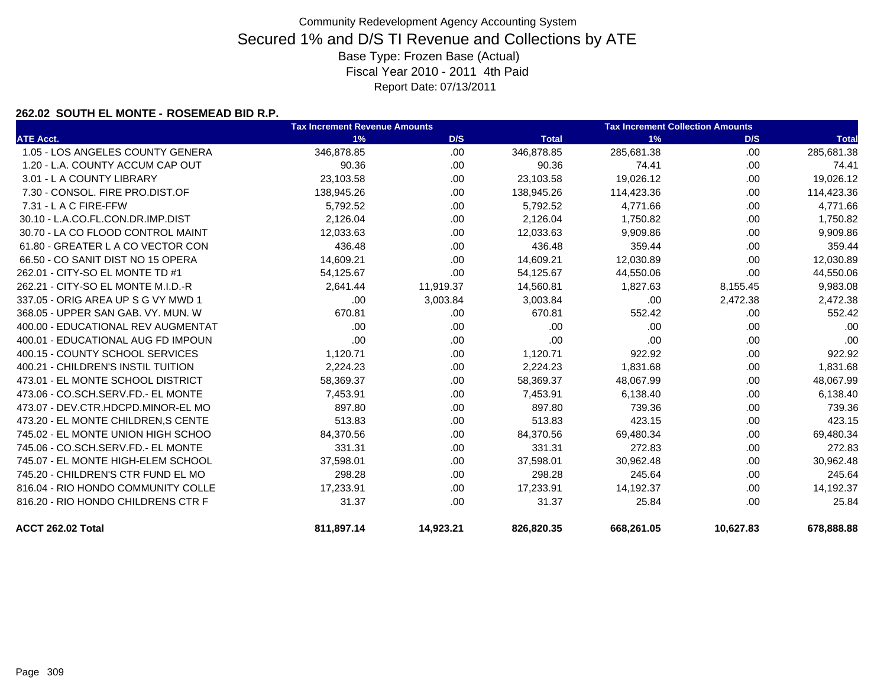#### **262.02 SOUTH EL MONTE - ROSEMEAD BID R.P.**

|                                    | <b>Tax Increment Revenue Amounts</b> |           |              | <b>Tax Increment Collection Amounts</b> |           |              |
|------------------------------------|--------------------------------------|-----------|--------------|-----------------------------------------|-----------|--------------|
| <b>ATE Acct.</b>                   | 1%                                   | D/S       | <b>Total</b> | 1%                                      | D/S       | <b>Total</b> |
| 1.05 - LOS ANGELES COUNTY GENERA   | 346,878.85                           | .00       | 346,878.85   | 285,681.38                              | .00.      | 285,681.38   |
| 1.20 - L.A. COUNTY ACCUM CAP OUT   | 90.36                                | .00       | 90.36        | 74.41                                   | .00.      | 74.41        |
| 3.01 - L A COUNTY LIBRARY          | 23,103.58                            | .00.      | 23,103.58    | 19,026.12                               | .00.      | 19,026.12    |
| 7.30 - CONSOL, FIRE PRO.DIST.OF    | 138,945.26                           | .00       | 138,945.26   | 114,423.36                              | .00.      | 114,423.36   |
| 7.31 - L A C FIRE-FFW              | 5,792.52                             | .00       | 5,792.52     | 4,771.66                                | .00       | 4,771.66     |
| 30.10 - L.A.CO.FL.CON.DR.IMP.DIST  | 2,126.04                             | .00       | 2,126.04     | 1,750.82                                | .00       | 1,750.82     |
| 30.70 - LA CO FLOOD CONTROL MAINT  | 12,033.63                            | .00       | 12,033.63    | 9,909.86                                | .00       | 9,909.86     |
| 61.80 - GREATER L A CO VECTOR CON  | 436.48                               | .00       | 436.48       | 359.44                                  | .00       | 359.44       |
| 66.50 - CO SANIT DIST NO 15 OPERA  | 14,609.21                            | .00       | 14,609.21    | 12,030.89                               | .00       | 12,030.89    |
| 262.01 - CITY-SO EL MONTE TD #1    | 54,125.67                            | .00       | 54,125.67    | 44,550.06                               | .00       | 44,550.06    |
| 262.21 - CITY-SO EL MONTE M.I.D.-R | 2,641.44                             | 11,919.37 | 14,560.81    | 1,827.63                                | 8,155.45  | 9,983.08     |
| 337.05 - ORIG AREA UP S G VY MWD 1 | .00                                  | 3,003.84  | 3,003.84     | .00                                     | 2,472.38  | 2,472.38     |
| 368.05 - UPPER SAN GAB, VY, MUN, W | 670.81                               | .00       | 670.81       | 552.42                                  | .00       | 552.42       |
| 400.00 - EDUCATIONAL REV AUGMENTAT | .00                                  | .00       | .00          | .00                                     | .00       | .00          |
| 400.01 - EDUCATIONAL AUG FD IMPOUN | .00                                  | .00       | .00          | .00                                     | .00       | .00          |
| 400.15 - COUNTY SCHOOL SERVICES    | 1,120.71                             | .00       | 1,120.71     | 922.92                                  | .00       | 922.92       |
| 400.21 - CHILDREN'S INSTIL TUITION | 2.224.23                             | .00       | 2.224.23     | 1,831.68                                | .00.      | 1,831.68     |
| 473.01 - EL MONTE SCHOOL DISTRICT  | 58,369.37                            | .00       | 58,369.37    | 48,067.99                               | .00.      | 48,067.99    |
| 473.06 - CO.SCH.SERV.FD.- EL MONTE | 7,453.91                             | .00       | 7,453.91     | 6,138.40                                | .00.      | 6,138.40     |
| 473.07 - DEV.CTR.HDCPD.MINOR-EL MO | 897.80                               | .00       | 897.80       | 739.36                                  | .00.      | 739.36       |
| 473.20 - EL MONTE CHILDREN.S CENTE | 513.83                               | .00       | 513.83       | 423.15                                  | .00.      | 423.15       |
| 745.02 - EL MONTE UNION HIGH SCHOO | 84,370.56                            | .00       | 84,370.56    | 69,480.34                               | .00.      | 69,480.34    |
| 745.06 - CO.SCH.SERV.FD.- EL MONTE | 331.31                               | .00       | 331.31       | 272.83                                  | .00       | 272.83       |
| 745.07 - EL MONTE HIGH-ELEM SCHOOL | 37,598.01                            | .00       | 37,598.01    | 30,962.48                               | .00.      | 30,962.48    |
| 745.20 - CHILDREN'S CTR FUND EL MO | 298.28                               | .00       | 298.28       | 245.64                                  | .00.      | 245.64       |
| 816.04 - RIO HONDO COMMUNITY COLLE | 17,233.91                            | .00       | 17,233.91    | 14,192.37                               | .00       | 14,192.37    |
| 816.20 - RIO HONDO CHILDRENS CTR F | 31.37                                | .00       | 31.37        | 25.84                                   | .00       | 25.84        |
| ACCT 262.02 Total                  | 811.897.14                           | 14,923.21 | 826,820.35   | 668,261.05                              | 10,627.83 | 678.888.88   |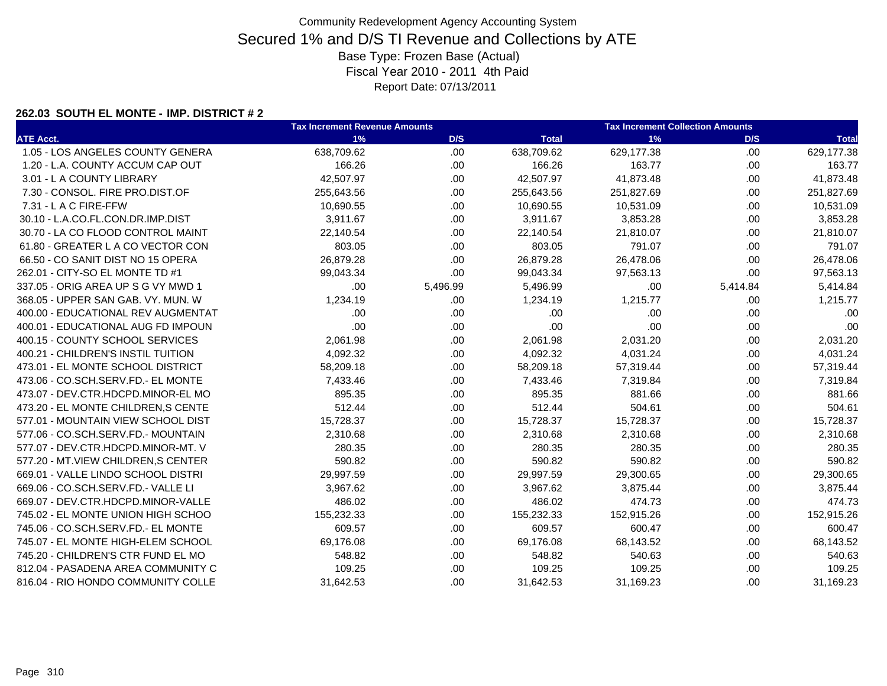### **262.03 SOUTH EL MONTE - IMP. DISTRICT # 2**

|                                     | <b>Tax Increment Revenue Amounts</b> |          |              | <b>Tax Increment Collection Amounts</b> |          |              |  |
|-------------------------------------|--------------------------------------|----------|--------------|-----------------------------------------|----------|--------------|--|
| <b>ATE Acct.</b>                    | 1%                                   | D/S      | <b>Total</b> | 1%                                      | D/S      | <b>Total</b> |  |
| 1.05 - LOS ANGELES COUNTY GENERA    | 638,709.62                           | .00      | 638,709.62   | 629,177.38                              | .00.     | 629,177.38   |  |
| 1.20 - L.A. COUNTY ACCUM CAP OUT    | 166.26                               | .00.     | 166.26       | 163.77                                  | .00.     | 163.77       |  |
| 3.01 - L A COUNTY LIBRARY           | 42,507.97                            | .00      | 42,507.97    | 41,873.48                               | .00.     | 41,873.48    |  |
| 7.30 - CONSOL. FIRE PRO.DIST.OF     | 255,643.56                           | .00.     | 255,643.56   | 251,827.69                              | .00.     | 251,827.69   |  |
| 7.31 - L A C FIRE-FFW               | 10,690.55                            | .00.     | 10,690.55    | 10,531.09                               | .00.     | 10,531.09    |  |
| 30.10 - L.A.CO.FL.CON.DR.IMP.DIST   | 3,911.67                             | .00      | 3,911.67     | 3,853.28                                | .00.     | 3,853.28     |  |
| 30.70 - LA CO FLOOD CONTROL MAINT   | 22,140.54                            | .00.     | 22,140.54    | 21,810.07                               | .00.     | 21,810.07    |  |
| 61.80 - GREATER L A CO VECTOR CON   | 803.05                               | .00.     | 803.05       | 791.07                                  | .00.     | 791.07       |  |
| 66.50 - CO SANIT DIST NO 15 OPERA   | 26,879.28                            | .00      | 26,879.28    | 26,478.06                               | .00.     | 26,478.06    |  |
| 262.01 - CITY-SO EL MONTE TD #1     | 99,043.34                            | .00      | 99,043.34    | 97,563.13                               | .00.     | 97,563.13    |  |
| 337.05 - ORIG AREA UP S G VY MWD 1  | .00                                  | 5,496.99 | 5,496.99     | .00                                     | 5,414.84 | 5,414.84     |  |
| 368.05 - UPPER SAN GAB. VY. MUN. W  | 1,234.19                             | .00      | 1,234.19     | 1,215.77                                | .00.     | 1,215.77     |  |
| 400.00 - EDUCATIONAL REV AUGMENTAT  | .00                                  | .00      | .00          | .00                                     | .00.     | .00          |  |
| 400.01 - EDUCATIONAL AUG FD IMPOUN  | .00                                  | .00      | .00          | .00                                     | .00.     | .00          |  |
| 400.15 - COUNTY SCHOOL SERVICES     | 2,061.98                             | .00.     | 2,061.98     | 2,031.20                                | .00.     | 2,031.20     |  |
| 400.21 - CHILDREN'S INSTIL TUITION  | 4,092.32                             | .00      | 4,092.32     | 4,031.24                                | .00.     | 4,031.24     |  |
| 473.01 - EL MONTE SCHOOL DISTRICT   | 58,209.18                            | .00.     | 58,209.18    | 57,319.44                               | .00.     | 57,319.44    |  |
| 473.06 - CO.SCH.SERV.FD.- EL MONTE  | 7,433.46                             | .00      | 7,433.46     | 7,319.84                                | .00.     | 7,319.84     |  |
| 473.07 - DEV.CTR.HDCPD.MINOR-EL MO  | 895.35                               | .00.     | 895.35       | 881.66                                  | .00.     | 881.66       |  |
| 473.20 - EL MONTE CHILDREN, S CENTE | 512.44                               | .00.     | 512.44       | 504.61                                  | .00.     | 504.61       |  |
| 577.01 - MOUNTAIN VIEW SCHOOL DIST  | 15,728.37                            | .00.     | 15,728.37    | 15,728.37                               | .00.     | 15,728.37    |  |
| 577.06 - CO.SCH.SERV.FD.- MOUNTAIN  | 2,310.68                             | .00      | 2,310.68     | 2,310.68                                | .00.     | 2,310.68     |  |
| 577.07 - DEV.CTR.HDCPD.MINOR-MT. V  | 280.35                               | .00.     | 280.35       | 280.35                                  | .00.     | 280.35       |  |
| 577.20 - MT.VIEW CHILDREN, S CENTER | 590.82                               | .00      | 590.82       | 590.82                                  | .00.     | 590.82       |  |
| 669.01 - VALLE LINDO SCHOOL DISTRI  | 29,997.59                            | .00.     | 29,997.59    | 29,300.65                               | .00.     | 29,300.65    |  |
| 669.06 - CO.SCH.SERV.FD.- VALLE LI  | 3,967.62                             | .00.     | 3,967.62     | 3,875.44                                | .00.     | 3,875.44     |  |
| 669.07 - DEV.CTR.HDCPD.MINOR-VALLE  | 486.02                               | .00      | 486.02       | 474.73                                  | .00.     | 474.73       |  |
| 745.02 - EL MONTE UNION HIGH SCHOO  | 155,232.33                           | .00      | 155,232.33   | 152,915.26                              | .00.     | 152,915.26   |  |
| 745.06 - CO.SCH.SERV.FD.- EL MONTE  | 609.57                               | .00.     | 609.57       | 600.47                                  | .00.     | 600.47       |  |
| 745.07 - EL MONTE HIGH-ELEM SCHOOL  | 69,176.08                            | .00.     | 69,176.08    | 68,143.52                               | .00.     | 68,143.52    |  |
| 745.20 - CHILDREN'S CTR FUND EL MO  | 548.82                               | .00      | 548.82       | 540.63                                  | .00.     | 540.63       |  |
| 812.04 - PASADENA AREA COMMUNITY C  | 109.25                               | .00.     | 109.25       | 109.25                                  | .00.     | 109.25       |  |
| 816.04 - RIO HONDO COMMUNITY COLLE  | 31,642.53                            | .00      | 31,642.53    | 31,169.23                               | .00.     | 31,169.23    |  |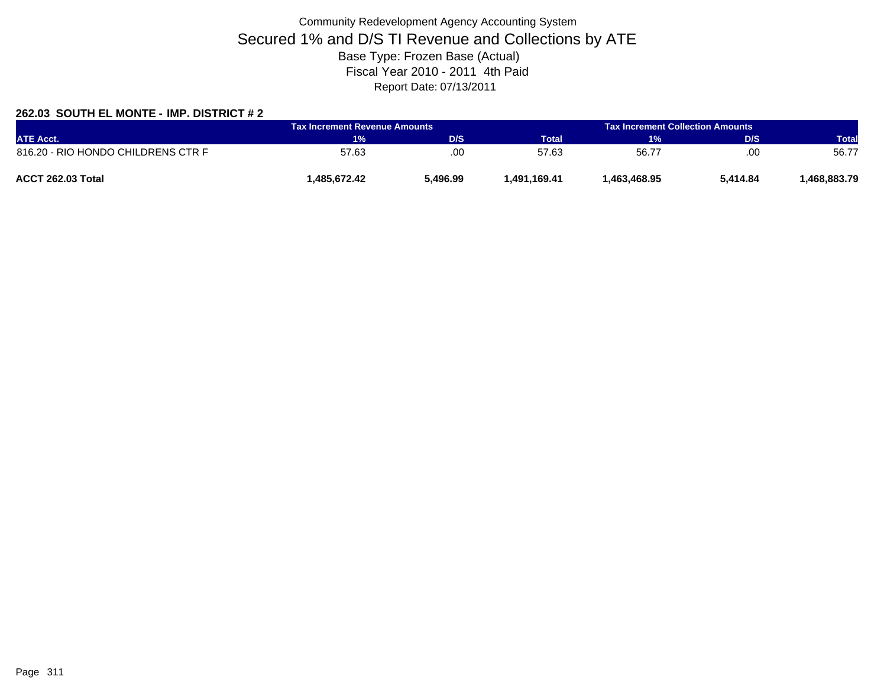### **262.03 SOUTH EL MONTE - IMP. DISTRICT # 2**

| <b>ATE Acct.</b>                   | <b>Tax Increment Revenue Amounts</b> |          |                  | <b>Tax Increment Collection Amounts</b> |          |              |
|------------------------------------|--------------------------------------|----------|------------------|-----------------------------------------|----------|--------------|
|                                    | 1%                                   | D/S      | Total            | 1%                                      | D/S      | <b>Total</b> |
| 816.20 - RIO HONDO CHILDRENS CTR F | 57.63                                | .00      | 57.63            | 56.77                                   | .00      | 56.77        |
| ACCT 262.03 Total                  | .485.672.42                          | 496.99.ز | 169.41, 491, 491 | 1.463.468.95                            | 5.414.84 | .468.883.79  |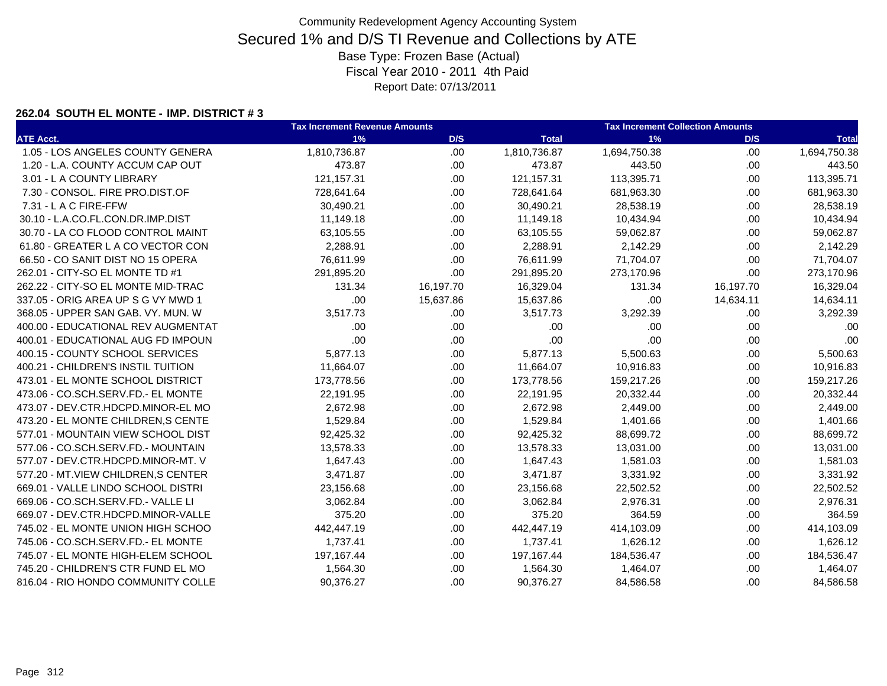### **262.04 SOUTH EL MONTE - IMP. DISTRICT # 3**

|                                     | <b>Tax Increment Revenue Amounts</b> |           |              | <b>Tax Increment Collection Amounts</b> |           |              |  |
|-------------------------------------|--------------------------------------|-----------|--------------|-----------------------------------------|-----------|--------------|--|
| <b>ATE Acct.</b>                    | 1%                                   | D/S       | <b>Total</b> | 1%                                      | D/S       | <b>Total</b> |  |
| 1.05 - LOS ANGELES COUNTY GENERA    | 1,810,736.87                         | .00       | 1,810,736.87 | 1,694,750.38                            | .00       | 1,694,750.38 |  |
| 1.20 - L.A. COUNTY ACCUM CAP OUT    | 473.87                               | .00       | 473.87       | 443.50                                  | .00       | 443.50       |  |
| 3.01 - L A COUNTY LIBRARY           | 121,157.31                           | .00.      | 121, 157.31  | 113,395.71                              | .00.      | 113,395.71   |  |
| 7.30 - CONSOL. FIRE PRO.DIST.OF     | 728,641.64                           | .00.      | 728,641.64   | 681,963.30                              | .00.      | 681,963.30   |  |
| 7.31 - L A C FIRE-FFW               | 30,490.21                            | .00       | 30,490.21    | 28,538.19                               | .00       | 28,538.19    |  |
| 30.10 - L.A.CO.FL.CON.DR.IMP.DIST   | 11,149.18                            | .00.      | 11,149.18    | 10,434.94                               | .00       | 10,434.94    |  |
| 30.70 - LA CO FLOOD CONTROL MAINT   | 63,105.55                            | .00.      | 63,105.55    | 59,062.87                               | .00       | 59,062.87    |  |
| 61.80 - GREATER L A CO VECTOR CON   | 2,288.91                             | .00       | 2,288.91     | 2,142.29                                | .00       | 2,142.29     |  |
| 66.50 - CO SANIT DIST NO 15 OPERA   | 76,611.99                            | .00       | 76,611.99    | 71,704.07                               | .00       | 71,704.07    |  |
| 262.01 - CITY-SO EL MONTE TD #1     | 291,895.20                           | .00       | 291,895.20   | 273,170.96                              | .00       | 273,170.96   |  |
| 262.22 - CITY-SO EL MONTE MID-TRAC  | 131.34                               | 16,197.70 | 16,329.04    | 131.34                                  | 16,197.70 | 16,329.04    |  |
| 337.05 - ORIG AREA UP S G VY MWD 1  | .00                                  | 15,637.86 | 15,637.86    | .00                                     | 14,634.11 | 14,634.11    |  |
| 368.05 - UPPER SAN GAB, VY, MUN, W  | 3,517.73                             | .00.      | 3,517.73     | 3,292.39                                | .00.      | 3,292.39     |  |
| 400.00 - EDUCATIONAL REV AUGMENTAT  | .00.                                 | .00       | .00          | .00                                     | .00.      | .00          |  |
| 400.01 - EDUCATIONAL AUG FD IMPOUN  | .00                                  | .00.      | .00          | .00                                     | .00       | .00          |  |
| 400.15 - COUNTY SCHOOL SERVICES     | 5,877.13                             | .00       | 5,877.13     | 5,500.63                                | .00       | 5,500.63     |  |
| 400.21 - CHILDREN'S INSTIL TUITION  | 11,664.07                            | .00.      | 11,664.07    | 10,916.83                               | .00.      | 10,916.83    |  |
| 473.01 - EL MONTE SCHOOL DISTRICT   | 173,778.56                           | .00.      | 173,778.56   | 159,217.26                              | .00.      | 159,217.26   |  |
| 473.06 - CO.SCH.SERV.FD.- EL MONTE  | 22,191.95                            | .00       | 22,191.95    | 20,332.44                               | .00.      | 20,332.44    |  |
| 473.07 - DEV.CTR.HDCPD.MINOR-EL MO  | 2,672.98                             | .00.      | 2,672.98     | 2,449.00                                | .00.      | 2,449.00     |  |
| 473.20 - EL MONTE CHILDREN, S CENTE | 1,529.84                             | .00.      | 1,529.84     | 1,401.66                                | .00       | 1,401.66     |  |
| 577.01 - MOUNTAIN VIEW SCHOOL DIST  | 92,425.32                            | .00       | 92,425.32    | 88,699.72                               | .00       | 88,699.72    |  |
| 577.06 - CO.SCH.SERV.FD.- MOUNTAIN  | 13,578.33                            | .00       | 13,578.33    | 13,031.00                               | .00       | 13,031.00    |  |
| 577.07 - DEV.CTR.HDCPD.MINOR-MT. V  | 1,647.43                             | .00       | 1,647.43     | 1,581.03                                | .00.      | 1,581.03     |  |
| 577.20 - MT.VIEW CHILDREN, S CENTER | 3,471.87                             | .00.      | 3,471.87     | 3,331.92                                | .00       | 3,331.92     |  |
| 669.01 - VALLE LINDO SCHOOL DISTRI  | 23,156.68                            | .00       | 23,156.68    | 22,502.52                               | .00       | 22,502.52    |  |
| 669.06 - CO.SCH.SERV.FD.- VALLE LI  | 3,062.84                             | .00       | 3,062.84     | 2,976.31                                | .00       | 2,976.31     |  |
| 669.07 - DEV.CTR.HDCPD.MINOR-VALLE  | 375.20                               | .00.      | 375.20       | 364.59                                  | .00       | 364.59       |  |
| 745.02 - EL MONTE UNION HIGH SCHOO  | 442,447.19                           | .00.      | 442,447.19   | 414,103.09                              | .00.      | 414,103.09   |  |
| 745.06 - CO.SCH.SERV.FD.- EL MONTE  | 1,737.41                             | .00       | 1,737.41     | 1,626.12                                | .00       | 1,626.12     |  |
| 745.07 - EL MONTE HIGH-ELEM SCHOOL  | 197,167.44                           | .00.      | 197, 167. 44 | 184,536.47                              | .00.      | 184,536.47   |  |
| 745.20 - CHILDREN'S CTR FUND EL MO  | 1,564.30                             | .00       | 1,564.30     | 1,464.07                                | .00.      | 1,464.07     |  |
| 816.04 - RIO HONDO COMMUNITY COLLE  | 90,376.27                            | .00       | 90,376.27    | 84,586.58                               | .00       | 84,586.58    |  |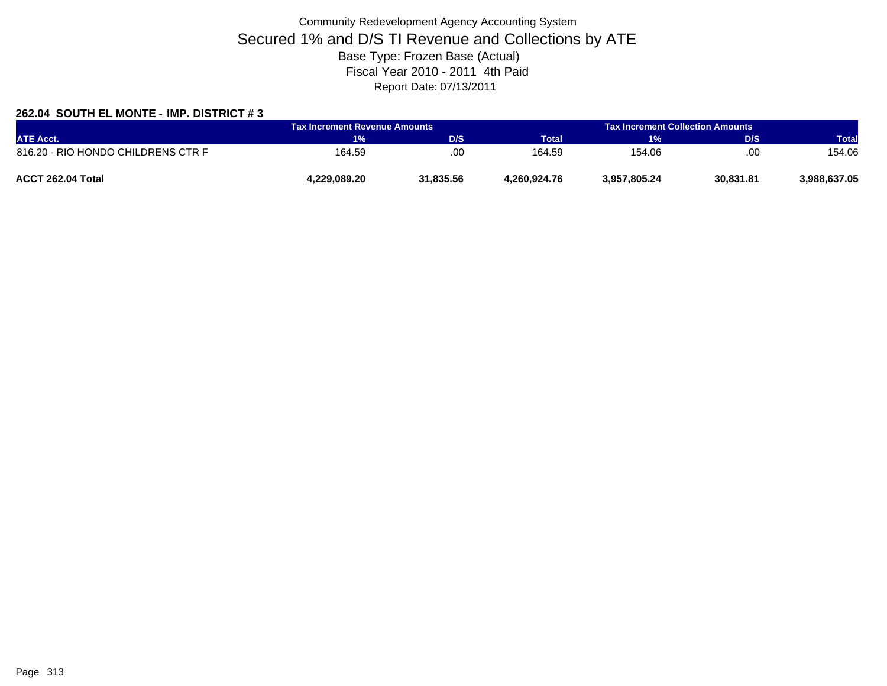### **262.04 SOUTH EL MONTE - IMP. DISTRICT # 3**

| <b>ATE Acct.</b>                   | <b>Tax Increment Revenue Amounts</b> |           |              | Tax Increment Collection Amounts |           |              |  |
|------------------------------------|--------------------------------------|-----------|--------------|----------------------------------|-----------|--------------|--|
|                                    | 1%                                   | D/S       | <b>Total</b> | 1%                               | D/S       | <b>Total</b> |  |
| 816.20 - RIO HONDO CHILDRENS CTR F | 164.59                               | .00       | 164.59       | 154.06                           | .00.      | 154.06       |  |
| ACCT 262.04 Total                  | 4.229.089.20                         | 31.835.56 | 4.260.924.76 | 3,957,805.24                     | 30,831.81 | 3,988,637.05 |  |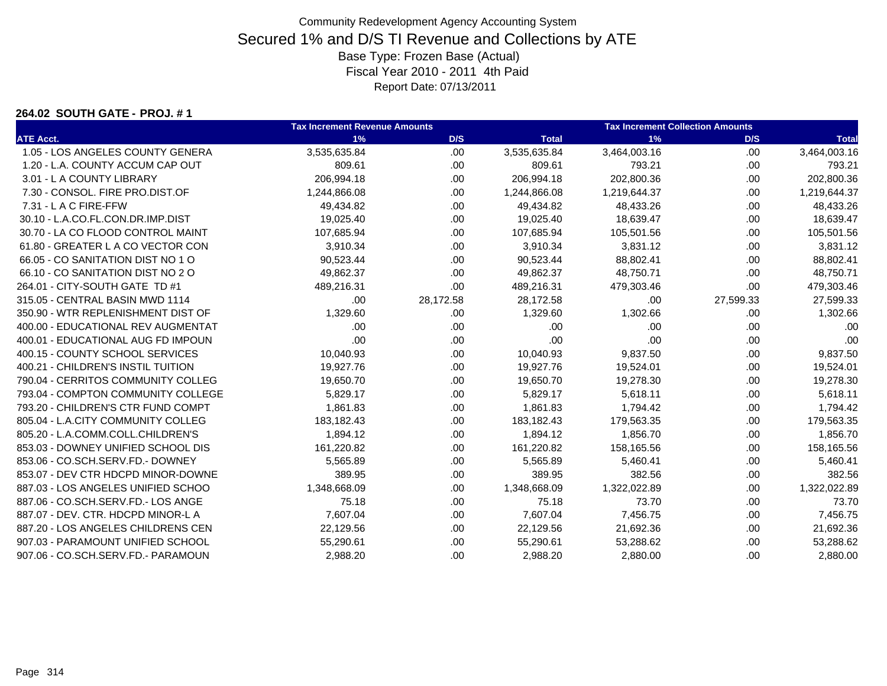#### **264.02 SOUTH GATE - PROJ. # 1**

|                                    | <b>Tax Increment Revenue Amounts</b> |           |              | <b>Tax Increment Collection Amounts</b> |           |              |  |
|------------------------------------|--------------------------------------|-----------|--------------|-----------------------------------------|-----------|--------------|--|
| <b>ATE Acct.</b>                   | 1%                                   | D/S       | <b>Total</b> | 1%                                      | D/S       | <b>Total</b> |  |
| 1.05 - LOS ANGELES COUNTY GENERA   | 3,535,635.84                         | .00.      | 3,535,635.84 | 3,464,003.16                            | .00.      | 3,464,003.16 |  |
| 1.20 - L.A. COUNTY ACCUM CAP OUT   | 809.61                               | .00       | 809.61       | 793.21                                  | .00       | 793.21       |  |
| 3.01 - L A COUNTY LIBRARY          | 206,994.18                           | .00.      | 206,994.18   | 202,800.36                              | .00.      | 202,800.36   |  |
| 7.30 - CONSOL, FIRE PRO.DIST.OF    | 1,244,866.08                         | .00.      | 1,244,866.08 | 1,219,644.37                            | .00.      | 1,219,644.37 |  |
| 7.31 - L A C FIRE-FFW              | 49,434.82                            | .00       | 49,434.82    | 48,433.26                               | .00.      | 48,433.26    |  |
| 30.10 - L.A.CO.FL.CON.DR.IMP.DIST  | 19,025.40                            | .00.      | 19,025.40    | 18,639.47                               | .00.      | 18,639.47    |  |
| 30.70 - LA CO FLOOD CONTROL MAINT  | 107,685.94                           | .00.      | 107,685.94   | 105,501.56                              | .00.      | 105,501.56   |  |
| 61.80 - GREATER L A CO VECTOR CON  | 3,910.34                             | .00.      | 3,910.34     | 3,831.12                                | .00.      | 3,831.12     |  |
| 66.05 - CO SANITATION DIST NO 1 O  | 90,523.44                            | .00.      | 90,523.44    | 88,802.41                               | .00       | 88,802.41    |  |
| 66.10 - CO SANITATION DIST NO 2 O  | 49,862.37                            | .00.      | 49,862.37    | 48,750.71                               | .00       | 48,750.71    |  |
| 264.01 - CITY-SOUTH GATE TD #1     | 489,216.31                           | .00       | 489,216.31   | 479,303.46                              | .00.      | 479,303.46   |  |
| 315.05 - CENTRAL BASIN MWD 1114    | .00                                  | 28,172.58 | 28,172.58    | .00                                     | 27,599.33 | 27,599.33    |  |
| 350.90 - WTR REPLENISHMENT DIST OF | 1,329.60                             | .00.      | 1,329.60     | 1,302.66                                | .00.      | 1,302.66     |  |
| 400.00 - EDUCATIONAL REV AUGMENTAT | .00.                                 | .00       | .00          | .00                                     | .00       | .00          |  |
| 400.01 - EDUCATIONAL AUG FD IMPOUN | .00                                  | .00.      | .00          | .00                                     | .00.      | .00          |  |
| 400.15 - COUNTY SCHOOL SERVICES    | 10,040.93                            | .00.      | 10,040.93    | 9,837.50                                | .00.      | 9,837.50     |  |
| 400.21 - CHILDREN'S INSTIL TUITION | 19,927.76                            | .00.      | 19,927.76    | 19,524.01                               | .00.      | 19,524.01    |  |
| 790.04 - CERRITOS COMMUNITY COLLEG | 19,650.70                            | .00.      | 19,650.70    | 19,278.30                               | .00.      | 19,278.30    |  |
| 793.04 - COMPTON COMMUNITY COLLEGE | 5,829.17                             | .00       | 5,829.17     | 5,618.11                                | .00       | 5,618.11     |  |
| 793.20 - CHILDREN'S CTR FUND COMPT | 1,861.83                             | .00.      | 1,861.83     | 1,794.42                                | .00       | 1,794.42     |  |
| 805.04 - L.A.CITY COMMUNITY COLLEG | 183,182.43                           | .00.      | 183,182.43   | 179,563.35                              | .00.      | 179,563.35   |  |
| 805.20 - L.A.COMM.COLL.CHILDREN'S  | 1,894.12                             | .00.      | 1,894.12     | 1,856.70                                | .00.      | 1,856.70     |  |
| 853.03 - DOWNEY UNIFIED SCHOOL DIS | 161,220.82                           | .00.      | 161,220.82   | 158,165.56                              | .00.      | 158,165.56   |  |
| 853.06 - CO.SCH.SERV.FD.- DOWNEY   | 5,565.89                             | .00.      | 5,565.89     | 5,460.41                                | .00.      | 5,460.41     |  |
| 853.07 - DEV CTR HDCPD MINOR-DOWNE | 389.95                               | .00.      | 389.95       | 382.56                                  | .00.      | 382.56       |  |
| 887.03 - LOS ANGELES UNIFIED SCHOO | 1,348,668.09                         | .00       | 1,348,668.09 | 1,322,022.89                            | .00       | 1,322,022.89 |  |
| 887.06 - CO.SCH.SERV.FD.- LOS ANGE | 75.18                                | .00.      | 75.18        | 73.70                                   | .00.      | 73.70        |  |
| 887.07 - DEV. CTR. HDCPD MINOR-L A | 7,607.04                             | .00       | 7,607.04     | 7,456.75                                | .00.      | 7,456.75     |  |
| 887.20 - LOS ANGELES CHILDRENS CEN | 22,129.56                            | .00.      | 22,129.56    | 21,692.36                               | .00.      | 21,692.36    |  |
| 907.03 - PARAMOUNT UNIFIED SCHOOL  | 55,290.61                            | .00.      | 55,290.61    | 53,288.62                               | .00       | 53,288.62    |  |
| 907.06 - CO.SCH.SERV.FD.- PARAMOUN | 2,988.20                             | .00       | 2,988.20     | 2,880.00                                | .00.      | 2,880.00     |  |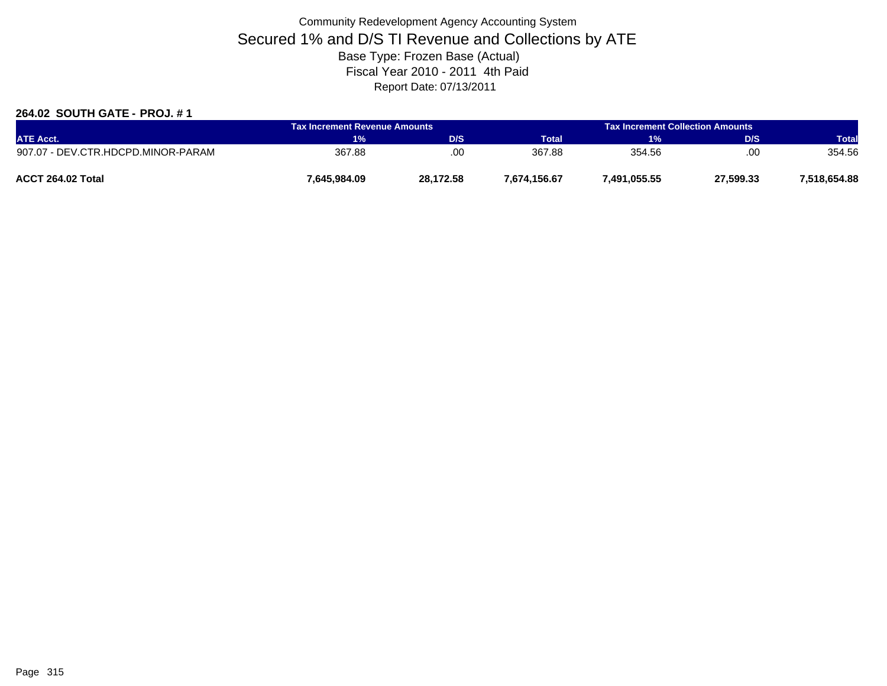### **264.02 SOUTH GATE - PROJ. # 1**

| <b>ATE Acct.</b>                   | Tax Increment Revenue Amounts |           |              | <b>Tax Increment Collection Amounts</b> |           |              |
|------------------------------------|-------------------------------|-----------|--------------|-----------------------------------------|-----------|--------------|
|                                    | 1%                            | D/S       | <b>Total</b> | 1%                                      | D/S       | <b>Total</b> |
| 907.07 - DEV.CTR.HDCPD.MINOR-PARAM | 367.88                        | .00       | 367.88       | 354.56                                  | .00       | 354.56       |
| ACCT 264.02 Total                  | 7,645,984.09                  | 28.172.58 | 7,674,156.67 | 7,491,055.55                            | 27,599.33 | 7.518.654.88 |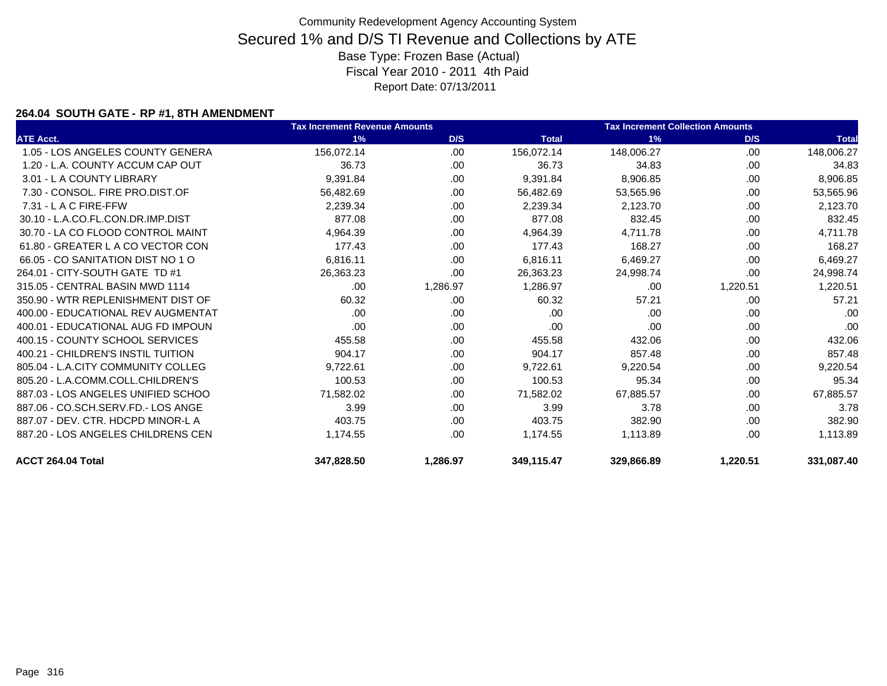### **264.04 SOUTH GATE - RP #1, 8TH AMENDMENT**

|                                    | <b>Tax Increment Revenue Amounts</b> |          |              | <b>Tax Increment Collection Amounts</b> |          |              |
|------------------------------------|--------------------------------------|----------|--------------|-----------------------------------------|----------|--------------|
| <b>ATE Acct.</b>                   | 1%                                   | D/S      | <b>Total</b> | 1%                                      | D/S      | <b>Total</b> |
| 1.05 - LOS ANGELES COUNTY GENERA   | 156,072.14                           | .00      | 156,072.14   | 148,006.27                              | .00.     | 148,006.27   |
| 1.20 - L.A. COUNTY ACCUM CAP OUT   | 36.73                                | .00.     | 36.73        | 34.83                                   | .00.     | 34.83        |
| 3.01 - L A COUNTY LIBRARY          | 9,391.84                             | .00      | 9,391.84     | 8,906.85                                | .00      | 8,906.85     |
| 7.30 - CONSOL, FIRE PRO.DIST.OF    | 56,482.69                            | .00      | 56,482.69    | 53,565.96                               | .00      | 53,565.96    |
| $7.31 - L$ A C FIRE-FFW            | 2,239.34                             | .00.     | 2.239.34     | 2,123.70                                | .00      | 2,123.70     |
| 30.10 - L.A.CO.FL.CON.DR.IMP.DIST  | 877.08                               | .00      | 877.08       | 832.45                                  | .00      | 832.45       |
| 30.70 - LA CO FLOOD CONTROL MAINT  | 4,964.39                             | .00      | 4,964.39     | 4,711.78                                | .00      | 4,711.78     |
| 61.80 - GREATER L A CO VECTOR CON  | 177.43                               | .00      | 177.43       | 168.27                                  | .00      | 168.27       |
| 66.05 - CO SANITATION DIST NO 1 O  | 6,816.11                             | .00      | 6,816.11     | 6,469.27                                | .00      | 6,469.27     |
| 264.01 - CITY-SOUTH GATE TD #1     | 26,363.23                            | .00.     | 26,363.23    | 24,998.74                               | .00      | 24,998.74    |
| 315.05 - CENTRAL BASIN MWD 1114    | .00.                                 | 1,286.97 | 1,286.97     | .00                                     | 1,220.51 | 1,220.51     |
| 350.90 - WTR REPLENISHMENT DIST OF | 60.32                                | .00      | 60.32        | 57.21                                   | .00      | 57.21        |
| 400.00 - EDUCATIONAL REV AUGMENTAT | .00.                                 | .00      | .00          | .00                                     | .00      | .00          |
| 400.01 - EDUCATIONAL AUG FD IMPOUN | .00                                  | .00.     | .00          | .00                                     | .00.     | .00          |
| 400.15 - COUNTY SCHOOL SERVICES    | 455.58                               | .00.     | 455.58       | 432.06                                  | .00      | 432.06       |
| 400.21 - CHILDREN'S INSTIL TUITION | 904.17                               | .00.     | 904.17       | 857.48                                  | .00      | 857.48       |
| 805.04 - L.A.CITY COMMUNITY COLLEG | 9,722.61                             | .00      | 9,722.61     | 9,220.54                                | .00      | 9,220.54     |
| 805.20 - L.A.COMM.COLL.CHILDREN'S  | 100.53                               | .00.     | 100.53       | 95.34                                   | .00      | 95.34        |
| 887.03 - LOS ANGELES UNIFIED SCHOO | 71.582.02                            | .00      | 71.582.02    | 67.885.57                               | .00      | 67,885.57    |
| 887.06 - CO.SCH.SERV.FD.- LOS ANGE | 3.99                                 | .00.     | 3.99         | 3.78                                    | .00.     | 3.78         |
| 887.07 - DEV. CTR. HDCPD MINOR-L A | 403.75                               | .00      | 403.75       | 382.90                                  | .00      | 382.90       |
| 887.20 - LOS ANGELES CHILDRENS CEN | 1,174.55                             | .00.     | 1,174.55     | 1,113.89                                | .00      | 1,113.89     |
| ACCT 264.04 Total                  | 347,828.50                           | 1,286.97 | 349.115.47   | 329,866.89                              | 1,220.51 | 331,087.40   |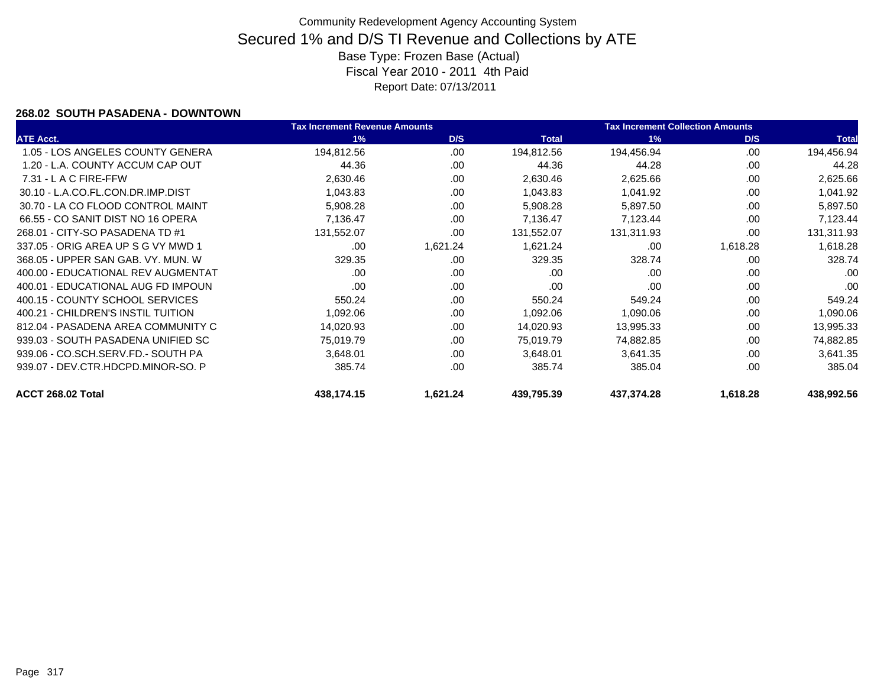### **268.02 SOUTH PASADENA - DOWNTOWN**

|                                    | <b>Tax Increment Revenue Amounts</b> |          |              | <b>Tax Increment Collection Amounts</b> |          |              |
|------------------------------------|--------------------------------------|----------|--------------|-----------------------------------------|----------|--------------|
| <b>ATE Acct.</b>                   | 1%                                   | D/S      | <b>Total</b> | 1%                                      | D/S      | <b>Total</b> |
| 1.05 - LOS ANGELES COUNTY GENERA   | 194,812.56                           | .00.     | 194,812.56   | 194,456.94                              | .00.     | 194,456.94   |
| 1.20 - L.A. COUNTY ACCUM CAP OUT   | 44.36                                | .00      | 44.36        | 44.28                                   | .00      | 44.28        |
| 7.31 - L A C FIRE-FFW              | 2,630.46                             | .00      | 2,630.46     | 2,625.66                                | .00      | 2,625.66     |
| 30.10 - L.A.CO.FL.CON.DR.IMP.DIST  | 1,043.83                             | .00      | 1,043.83     | 1,041.92                                | .00      | 1,041.92     |
| 30.70 - LA CO FLOOD CONTROL MAINT  | 5,908.28                             | .00      | 5,908.28     | 5,897.50                                | .00      | 5,897.50     |
| 66.55 - CO SANIT DIST NO 16 OPERA  | 7,136.47                             | .00      | 7,136.47     | 7,123.44                                | .00      | 7,123.44     |
| 268.01 - CITY-SO PASADENA TD #1    | 131,552.07                           | .00      | 131,552.07   | 131,311.93                              | .00      | 131,311.93   |
| 337.05 - ORIG AREA UP S G VY MWD 1 | .00                                  | 1,621.24 | 1,621.24     | .00                                     | 1,618.28 | 1,618.28     |
| 368.05 - UPPER SAN GAB, VY, MUN, W | 329.35                               | .00      | 329.35       | 328.74                                  | .00      | 328.74       |
| 400.00 - EDUCATIONAL REV AUGMENTAT | .00                                  | .00      | .00          | .00                                     | .00      | .00          |
| 400.01 - EDUCATIONAL AUG FD IMPOUN | .00                                  | .00      | .00          | .00                                     | .00      | .00          |
| 400.15 - COUNTY SCHOOL SERVICES    | 550.24                               | .00      | 550.24       | 549.24                                  | .00      | 549.24       |
| 400.21 - CHILDREN'S INSTIL TUITION | 1,092.06                             | .00      | 1,092.06     | 1,090.06                                | .00      | 1,090.06     |
| 812.04 - PASADENA AREA COMMUNITY C | 14,020.93                            | .00      | 14,020.93    | 13,995.33                               | .00      | 13,995.33    |
| 939.03 - SOUTH PASADENA UNIFIED SC | 75,019.79                            | .00      | 75,019.79    | 74,882.85                               | .00      | 74,882.85    |
| 939.06 - CO.SCH.SERV.FD.- SOUTH PA | 3,648.01                             | .00      | 3,648.01     | 3,641.35                                | .00      | 3,641.35     |
| 939.07 - DEV.CTR.HDCPD.MINOR-SO. P | 385.74                               | .00      | 385.74       | 385.04                                  | .00      | 385.04       |
| ACCT 268.02 Total                  | 438,174.15                           | 1,621.24 | 439,795.39   | 437,374.28                              | 1,618.28 | 438,992.56   |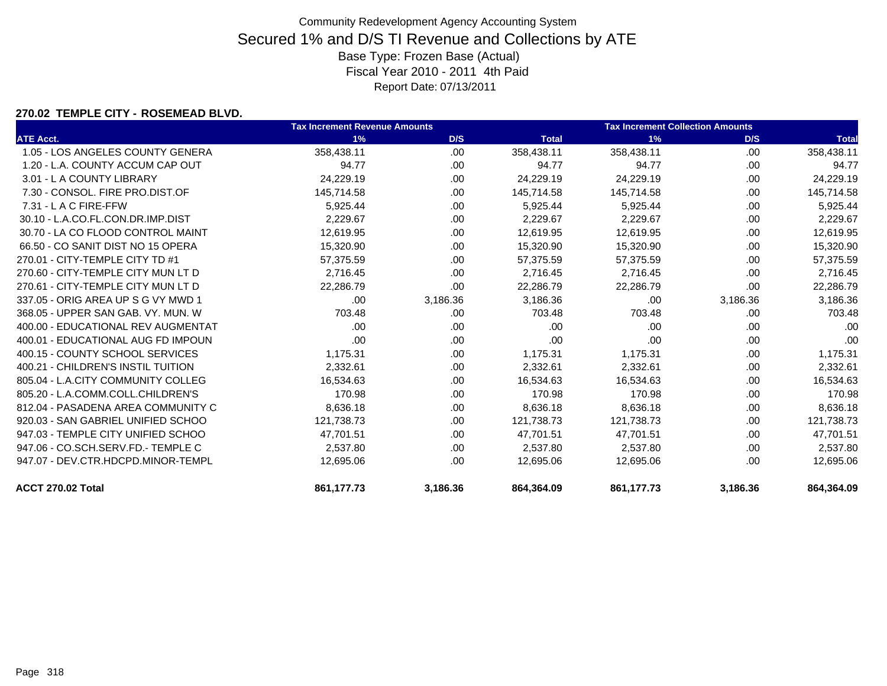### **270.02 TEMPLE CITY - ROSEMEAD BLVD.**

|                                    | <b>Tax Increment Revenue Amounts</b> |          |              | <b>Tax Increment Collection Amounts</b> |          |              |  |
|------------------------------------|--------------------------------------|----------|--------------|-----------------------------------------|----------|--------------|--|
| <b>ATE Acct.</b>                   | 1%                                   | D/S      | <b>Total</b> | 1%                                      | D/S      | <b>Total</b> |  |
| 1.05 - LOS ANGELES COUNTY GENERA   | 358.438.11                           | .00      | 358,438.11   | 358.438.11                              | .00      | 358,438.11   |  |
| 1.20 - L.A. COUNTY ACCUM CAP OUT   | 94.77                                | .00      | 94.77        | 94.77                                   | .00.     | 94.77        |  |
| 3.01 - L A COUNTY LIBRARY          | 24,229.19                            | .00      | 24,229.19    | 24,229.19                               | .00.     | 24,229.19    |  |
| 7.30 - CONSOL, FIRE PRO.DIST.OF    | 145,714.58                           | .00      | 145,714.58   | 145,714.58                              | .00      | 145,714.58   |  |
| $7.31 - L$ A C FIRE-FFW            | 5,925.44                             | .00      | 5,925.44     | 5,925.44                                | .00.     | 5,925.44     |  |
| 30.10 - L.A.CO.FL.CON.DR.IMP.DIST  | 2,229.67                             | .00      | 2,229.67     | 2,229.67                                | .00.     | 2,229.67     |  |
| 30.70 - LA CO FLOOD CONTROL MAINT  | 12,619.95                            | .00      | 12,619.95    | 12,619.95                               | .00      | 12,619.95    |  |
| 66.50 - CO SANIT DIST NO 15 OPERA  | 15,320.90                            | .00      | 15,320.90    | 15,320.90                               | .00.     | 15,320.90    |  |
| 270.01 - CITY-TEMPLE CITY TD #1    | 57,375.59                            | .00      | 57,375.59    | 57,375.59                               | .00.     | 57,375.59    |  |
| 270.60 - CITY-TEMPLE CITY MUN LT D | 2,716.45                             | .00      | 2,716.45     | 2,716.45                                | .00      | 2,716.45     |  |
| 270.61 - CITY-TEMPLE CITY MUN LT D | 22,286.79                            | .00      | 22,286.79    | 22,286.79                               | .00      | 22,286.79    |  |
| 337.05 - ORIG AREA UP S G VY MWD 1 | .00.                                 | 3,186.36 | 3,186.36     | .00                                     | 3,186.36 | 3,186.36     |  |
| 368.05 - UPPER SAN GAB, VY, MUN, W | 703.48                               | .00      | 703.48       | 703.48                                  | .00      | 703.48       |  |
| 400.00 - EDUCATIONAL REV AUGMENTAT | .00.                                 | .00      | .00          | .00                                     | .00      | .00          |  |
| 400.01 - EDUCATIONAL AUG FD IMPOUN | .00                                  | .00      | .00          | .00                                     | .00.     | .00          |  |
| 400.15 - COUNTY SCHOOL SERVICES    | 1,175.31                             | .00      | 1,175.31     | 1,175.31                                | .00.     | 1,175.31     |  |
| 400.21 - CHILDREN'S INSTIL TUITION | 2,332.61                             | .00      | 2,332.61     | 2,332.61                                | .00.     | 2,332.61     |  |
| 805.04 - L.A.CITY COMMUNITY COLLEG | 16,534.63                            | .00      | 16,534.63    | 16,534.63                               | .00      | 16,534.63    |  |
| 805.20 - L.A.COMM.COLL.CHILDREN'S  | 170.98                               | .00      | 170.98       | 170.98                                  | .00.     | 170.98       |  |
| 812.04 - PASADENA AREA COMMUNITY C | 8,636.18                             | .00      | 8,636.18     | 8,636.18                                | .00      | 8,636.18     |  |
| 920.03 - SAN GABRIEL UNIFIED SCHOO | 121,738.73                           | .00      | 121,738.73   | 121,738.73                              | .00.     | 121,738.73   |  |
| 947.03 - TEMPLE CITY UNIFIED SCHOO | 47,701.51                            | .00      | 47,701.51    | 47,701.51                               | .00      | 47,701.51    |  |
| 947.06 - CO.SCH.SERV.FD.- TEMPLE C | 2,537.80                             | .00.     | 2,537.80     | 2,537.80                                | .00      | 2,537.80     |  |
| 947.07 - DEV.CTR.HDCPD.MINOR-TEMPL | 12,695.06                            | .00      | 12.695.06    | 12,695.06                               | .00      | 12,695.06    |  |
| ACCT 270.02 Total                  | 861,177.73                           | 3,186.36 | 864,364.09   | 861,177.73                              | 3,186.36 | 864,364.09   |  |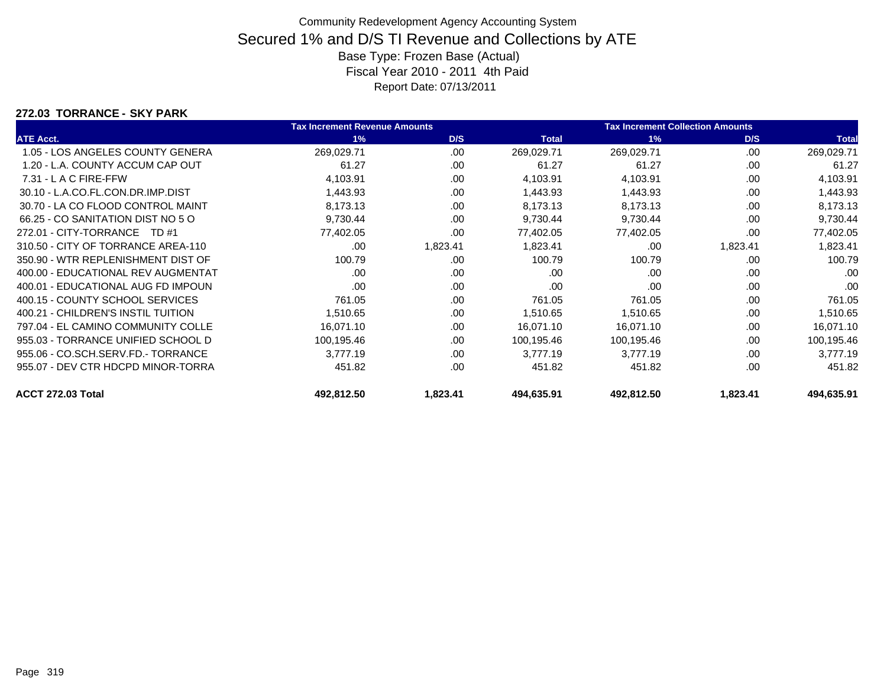#### **272.03 TORRANCE - SKY PARK**

|                                    | <b>Tax Increment Revenue Amounts</b> |          |              | <b>Tax Increment Collection Amounts</b> |          |              |
|------------------------------------|--------------------------------------|----------|--------------|-----------------------------------------|----------|--------------|
| <b>ATE Acct.</b>                   | 1%                                   | D/S      | <b>Total</b> | 1%                                      | D/S      | <b>Total</b> |
| 1.05 - LOS ANGELES COUNTY GENERA   | 269,029.71                           | .00.     | 269,029.71   | 269,029.71                              | .00      | 269,029.71   |
| 1.20 - L.A. COUNTY ACCUM CAP OUT   | 61.27                                | .00      | 61.27        | 61.27                                   | .00      | 61.27        |
| 7.31 - L A C FIRE-FFW              | 4,103.91                             | .00      | 4,103.91     | 4,103.91                                | .00      | 4,103.91     |
| 30.10 - L.A.CO.FL.CON.DR.IMP.DIST  | 1,443.93                             | .00.     | 1,443.93     | 1,443.93                                | .00      | 1,443.93     |
| 30.70 - LA CO FLOOD CONTROL MAINT  | 8,173.13                             | .00      | 8,173.13     | 8,173.13                                | .00      | 8,173.13     |
| 66.25 - CO SANITATION DIST NO 5 O  | 9,730.44                             | .00      | 9,730.44     | 9,730.44                                | .00      | 9,730.44     |
| 272.01 - CITY-TORRANCE TD #1       | 77,402.05                            | .00      | 77,402.05    | 77,402.05                               | .00.     | 77,402.05    |
| 310.50 - CITY OF TORRANCE AREA-110 | .00.                                 | 1,823.41 | 1,823.41     | .00                                     | 1,823.41 | 1,823.41     |
| 350.90 - WTR REPLENISHMENT DIST OF | 100.79                               | .00      | 100.79       | 100.79                                  | .00      | 100.79       |
| 400.00 - EDUCATIONAL REV AUGMENTAT | .00                                  | .00      | .00          | .00                                     | .00      | .00          |
| 400.01 - EDUCATIONAL AUG FD IMPOUN | .00                                  | .00.     | .00          | .00                                     | .00      | .00          |
| 400.15 - COUNTY SCHOOL SERVICES    | 761.05                               | .00      | 761.05       | 761.05                                  | .00      | 761.05       |
| 400.21 - CHILDREN'S INSTIL TUITION | 1,510.65                             | .00      | 1,510.65     | 1,510.65                                | .00      | 1,510.65     |
| 797.04 - EL CAMINO COMMUNITY COLLE | 16,071.10                            | .00      | 16,071.10    | 16,071.10                               | .00      | 16,071.10    |
| 955.03 - TORRANCE UNIFIED SCHOOL D | 100,195.46                           | .00      | 100,195.46   | 100,195.46                              | .00      | 100,195.46   |
| 955.06 - CO.SCH.SERV.FD.- TORRANCE | 3,777.19                             | .00      | 3,777.19     | 3,777.19                                | .00      | 3,777.19     |
| 955.07 - DEV CTR HDCPD MINOR-TORRA | 451.82                               | .00      | 451.82       | 451.82                                  | .00      | 451.82       |
| ACCT 272.03 Total                  | 492,812.50                           | 1,823.41 | 494,635.91   | 492,812.50                              | 1,823.41 | 494,635.91   |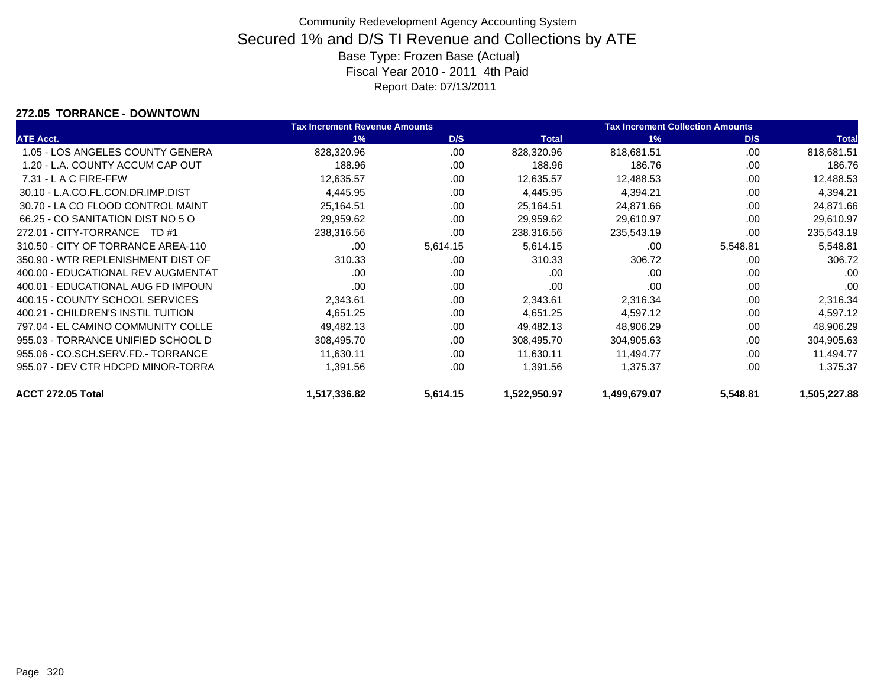#### **272.05 TORRANCE - DOWNTOWN**

|                                    | <b>Tax Increment Revenue Amounts</b> |          |              | <b>Tax Increment Collection Amounts</b> |          |              |
|------------------------------------|--------------------------------------|----------|--------------|-----------------------------------------|----------|--------------|
| <b>ATE Acct.</b>                   | 1%                                   | D/S      | <b>Total</b> | 1%                                      | D/S      | <b>Total</b> |
| 1.05 - LOS ANGELES COUNTY GENERA   | 828,320.96                           | .00.     | 828,320.96   | 818,681.51                              | .00      | 818,681.51   |
| 1.20 - L.A. COUNTY ACCUM CAP OUT   | 188.96                               | .00      | 188.96       | 186.76                                  | .00      | 186.76       |
| $7.31 - L$ A C FIRE-FFW            | 12,635.57                            | .00      | 12,635.57    | 12,488.53                               | .00      | 12,488.53    |
| 30.10 - L.A.CO.FL.CON.DR.IMP.DIST  | 4,445.95                             | .00      | 4,445.95     | 4,394.21                                | .00      | 4,394.21     |
| 30.70 - LA CO FLOOD CONTROL MAINT  | 25,164.51                            | .00      | 25,164.51    | 24,871.66                               | .00      | 24,871.66    |
| 66.25 - CO SANITATION DIST NO 5 O  | 29,959.62                            | .00      | 29,959.62    | 29,610.97                               | .00      | 29,610.97    |
| 272.01 - CITY-TORRANCE TD #1       | 238,316.56                           | .00      | 238,316.56   | 235,543.19                              | .00      | 235,543.19   |
| 310.50 - CITY OF TORRANCE AREA-110 | .00                                  | 5,614.15 | 5,614.15     | .00                                     | 5,548.81 | 5,548.81     |
| 350.90 - WTR REPLENISHMENT DIST OF | 310.33                               | .00      | 310.33       | 306.72                                  | .00      | 306.72       |
| 400.00 - EDUCATIONAL REV AUGMENTAT | .00                                  | .00      | .00          | .00                                     | .00      | .00          |
| 400.01 - EDUCATIONAL AUG FD IMPOUN | .00                                  | .00      | .00          | .00                                     | .00      | .00          |
| 400.15 - COUNTY SCHOOL SERVICES    | 2,343.61                             | .00      | 2,343.61     | 2,316.34                                | .00      | 2,316.34     |
| 400.21 - CHILDREN'S INSTIL TUITION | 4,651.25                             | .00      | 4,651.25     | 4,597.12                                | .00      | 4,597.12     |
| 797.04 - EL CAMINO COMMUNITY COLLE | 49,482.13                            | .00      | 49,482.13    | 48,906.29                               | .00      | 48,906.29    |
| 955.03 - TORRANCE UNIFIED SCHOOL D | 308,495.70                           | .00      | 308,495.70   | 304,905.63                              | .00      | 304,905.63   |
| 955.06 - CO.SCH.SERV.FD.- TORRANCE | 11,630.11                            | .00      | 11,630.11    | 11,494.77                               | .00      | 11,494.77    |
| 955.07 - DEV CTR HDCPD MINOR-TORRA | 1,391.56                             | .00      | 1,391.56     | 1,375.37                                | .00      | 1,375.37     |
| ACCT 272.05 Total                  | 1,517,336.82                         | 5,614.15 | 1,522,950.97 | 1,499,679.07                            | 5,548.81 | 1,505,227.88 |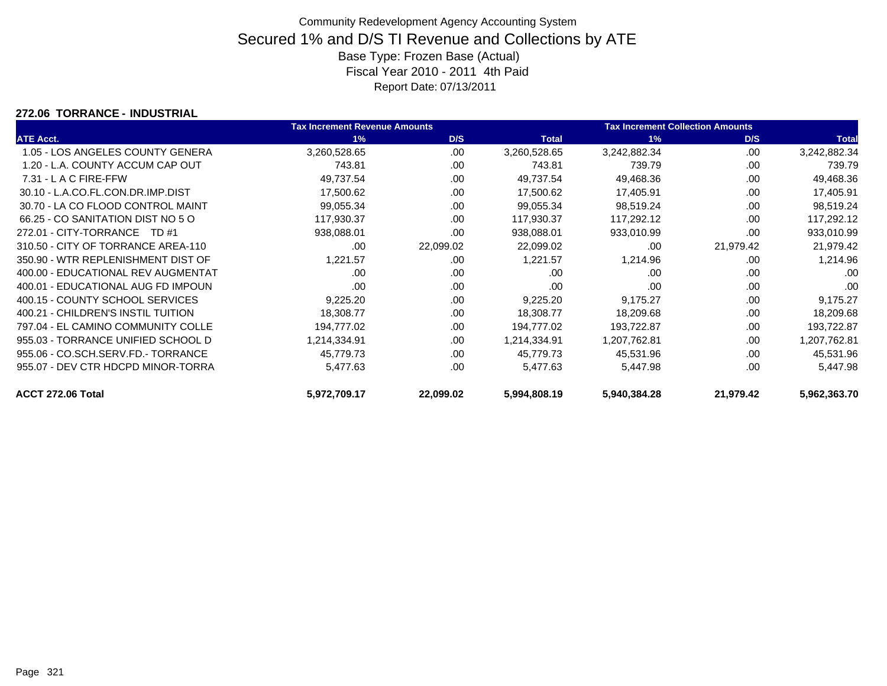#### **272.06 TORRANCE - INDUSTRIAL**

|                                    | <b>Tax Increment Revenue Amounts</b> |           |              | <b>Tax Increment Collection Amounts</b> |           |              |
|------------------------------------|--------------------------------------|-----------|--------------|-----------------------------------------|-----------|--------------|
| <b>ATE Acct.</b>                   | 1%                                   | D/S       | <b>Total</b> | 1%                                      | D/S       | <b>Total</b> |
| 1.05 - LOS ANGELES COUNTY GENERA   | 3,260,528.65                         | .00       | 3,260,528.65 | 3,242,882.34                            | .00       | 3,242,882.34 |
| 1.20 - L.A. COUNTY ACCUM CAP OUT   | 743.81                               | .00       | 743.81       | 739.79                                  | .00       | 739.79       |
| 7.31 - L A C FIRE-FFW              | 49,737.54                            | .00       | 49,737.54    | 49,468.36                               | .00       | 49,468.36    |
| 30.10 - L.A.CO.FL.CON.DR.IMP.DIST  | 17,500.62                            | .00       | 17,500.62    | 17,405.91                               | .00       | 17,405.91    |
| 30.70 - LA CO FLOOD CONTROL MAINT  | 99,055.34                            | .00       | 99,055.34    | 98,519.24                               | .00       | 98,519.24    |
| 66.25 - CO SANITATION DIST NO 5 O  | 117,930.37                           | .00       | 117,930.37   | 117,292.12                              | .00       | 117,292.12   |
| 272.01 - CITY-TORRANCE TD #1       | 938,088.01                           | .00       | 938,088.01   | 933,010.99                              | .00       | 933,010.99   |
| 310.50 - CITY OF TORRANCE AREA-110 | .00                                  | 22,099.02 | 22,099.02    | .00                                     | 21,979.42 | 21,979.42    |
| 350.90 - WTR REPLENISHMENT DIST OF | 1,221.57                             | .00       | 1,221.57     | 1,214.96                                | .00       | 1,214.96     |
| 400.00 - EDUCATIONAL REV AUGMENTAT | .00                                  | .00       | .00          | .00                                     | .00       | .00          |
| 400.01 - EDUCATIONAL AUG FD IMPOUN | .00                                  | .00       | .00          | .00                                     | .00       | .00          |
| 400.15 - COUNTY SCHOOL SERVICES    | 9,225.20                             | .00       | 9,225.20     | 9,175.27                                | .00       | 9,175.27     |
| 400.21 - CHILDREN'S INSTIL TUITION | 18,308.77                            | .00       | 18,308.77    | 18,209.68                               | .00       | 18,209.68    |
| 797.04 - EL CAMINO COMMUNITY COLLE | 194,777.02                           | .00       | 194,777.02   | 193,722.87                              | .00       | 193,722.87   |
| 955.03 - TORRANCE UNIFIED SCHOOL D | 1,214,334.91                         | .00       | 1,214,334.91 | 1,207,762.81                            | .00       | 1,207,762.81 |
| 955.06 - CO.SCH.SERV.FD.- TORRANCE | 45,779.73                            | .00       | 45,779.73    | 45,531.96                               | .00       | 45,531.96    |
| 955.07 - DEV CTR HDCPD MINOR-TORRA | 5,477.63                             | .00       | 5,477.63     | 5,447.98                                | .00       | 5,447.98     |
| ACCT 272.06 Total                  | 5,972,709.17                         | 22,099.02 | 5,994,808.19 | 5,940,384.28                            | 21,979.42 | 5,962,363.70 |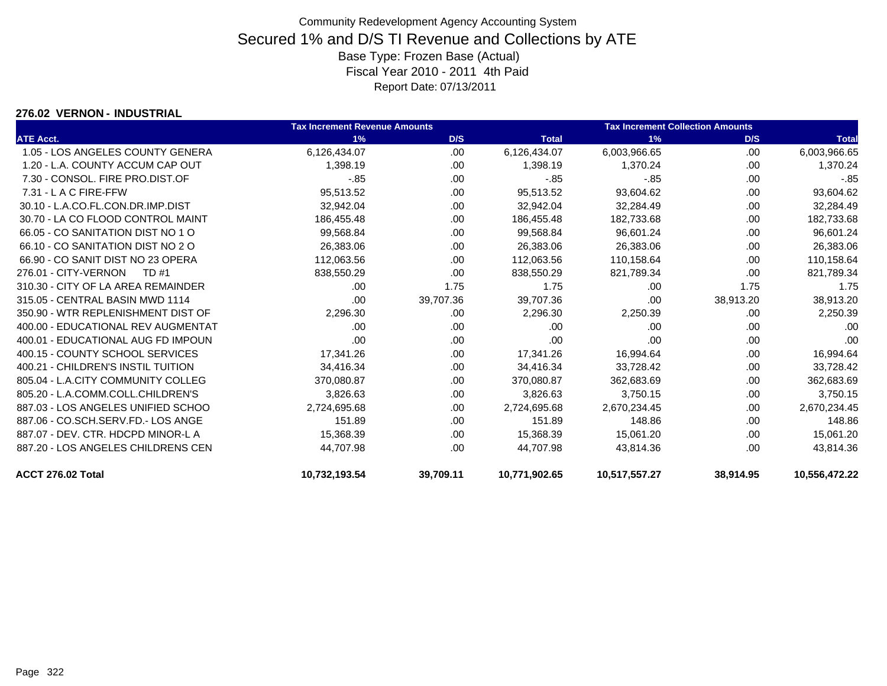#### **276.02 VERNON - INDUSTRIAL**

|                                    | Tax Increment Revenue Amounts |           |               | <b>Tax Increment Collection Amounts</b> |           |               |
|------------------------------------|-------------------------------|-----------|---------------|-----------------------------------------|-----------|---------------|
| <b>ATE Acct.</b>                   | 1%                            | D/S       | <b>Total</b>  | 1%                                      | D/S       | <b>Total</b>  |
| 1.05 - LOS ANGELES COUNTY GENERA   | 6,126,434.07                  | .00.      | 6,126,434.07  | 6,003,966.65                            | .00       | 6,003,966.65  |
| 1.20 - L.A. COUNTY ACCUM CAP OUT   | 1,398.19                      | .00.      | 1,398.19      | 1,370.24                                | .00       | 1,370.24      |
| 7.30 - CONSOL, FIRE PRO.DIST.OF    | $-.85$                        | .00       | $-0.85$       | $-.85$                                  | .00       | $-0.85$       |
| 7.31 - L A C FIRE-FFW              | 95,513.52                     | .00       | 95,513.52     | 93,604.62                               | .00       | 93,604.62     |
| 30.10 - L.A.CO.FL.CON.DR.IMP.DIST  | 32,942.04                     | .00       | 32,942.04     | 32,284.49                               | .00       | 32,284.49     |
| 30.70 - LA CO FLOOD CONTROL MAINT  | 186,455.48                    | .00.      | 186,455.48    | 182,733.68                              | .00       | 182,733.68    |
| 66.05 - CO SANITATION DIST NO 1 O  | 99,568.84                     | .00       | 99,568.84     | 96,601.24                               | .00       | 96,601.24     |
| 66.10 - CO SANITATION DIST NO 2 O  | 26,383.06                     | .00       | 26,383.06     | 26,383.06                               | .00       | 26,383.06     |
| 66.90 - CO SANIT DIST NO 23 OPERA  | 112,063.56                    | .00       | 112,063.56    | 110,158.64                              | .00       | 110,158.64    |
| 276.01 - CITY-VERNON<br>TD #1      | 838,550.29                    | .00       | 838,550.29    | 821,789.34                              | .00       | 821,789.34    |
| 310.30 - CITY OF LA AREA REMAINDER | .00                           | 1.75      | 1.75          | .00                                     | 1.75      | 1.75          |
| 315.05 - CENTRAL BASIN MWD 1114    | .00                           | 39,707.36 | 39,707.36     | .00                                     | 38,913.20 | 38,913.20     |
| 350.90 - WTR REPLENISHMENT DIST OF | 2,296.30                      | .00       | 2,296.30      | 2,250.39                                | .00       | 2,250.39      |
| 400.00 - EDUCATIONAL REV AUGMENTAT | .00                           | .00.      | .00           | .00                                     | .00       | .00           |
| 400.01 - EDUCATIONAL AUG FD IMPOUN | .00                           | .00       | .00           | .00                                     | .00       | .00           |
| 400.15 - COUNTY SCHOOL SERVICES    | 17,341.26                     | .00       | 17,341.26     | 16,994.64                               | .00       | 16,994.64     |
| 400.21 - CHILDREN'S INSTIL TUITION | 34,416.34                     | .00       | 34,416.34     | 33,728.42                               | .00       | 33,728.42     |
| 805.04 - L.A.CITY COMMUNITY COLLEG | 370,080.87                    | .00.      | 370,080.87    | 362,683.69                              | .00       | 362,683.69    |
| 805.20 - L.A.COMM.COLL.CHILDREN'S  | 3,826.63                      | .00.      | 3.826.63      | 3,750.15                                | .00       | 3,750.15      |
| 887.03 - LOS ANGELES UNIFIED SCHOO | 2,724,695.68                  | .00       | 2,724,695.68  | 2,670,234.45                            | .00       | 2,670,234.45  |
| 887.06 - CO.SCH.SERV.FD.- LOS ANGE | 151.89                        | .00       | 151.89        | 148.86                                  | .00       | 148.86        |
| 887.07 - DEV. CTR. HDCPD MINOR-L A | 15,368.39                     | .00.      | 15,368.39     | 15,061.20                               | .00       | 15,061.20     |
| 887.20 - LOS ANGELES CHILDRENS CEN | 44,707.98                     | .00       | 44,707.98     | 43,814.36                               | .00       | 43,814.36     |
| ACCT 276.02 Total                  | 10,732,193.54                 | 39,709.11 | 10,771,902.65 | 10,517,557.27                           | 38,914.95 | 10.556.472.22 |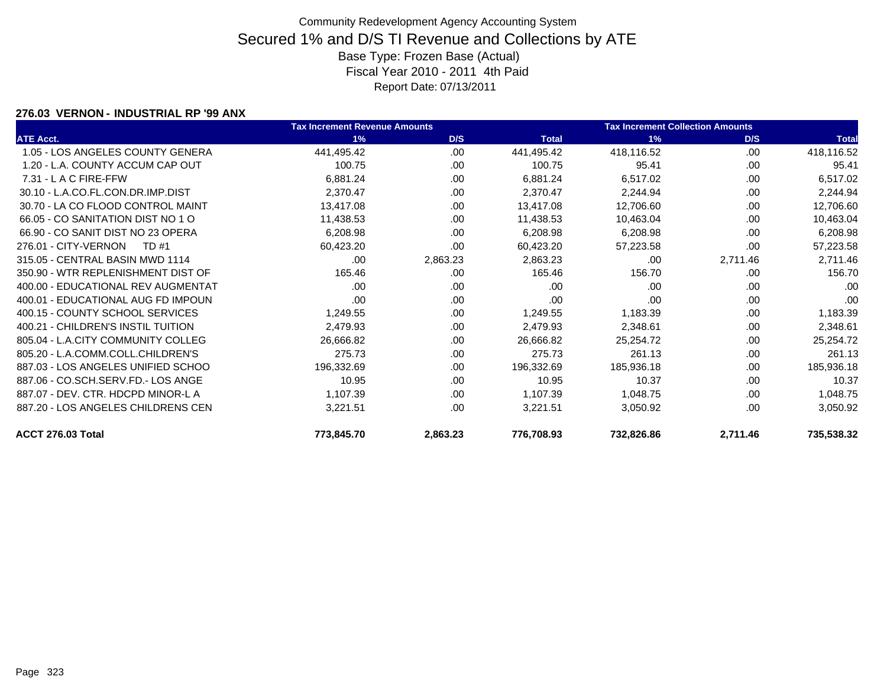#### **276.03 VERNON - INDUSTRIAL RP '99 ANX**

|                                    | <b>Tax Increment Revenue Amounts</b> |          |              | <b>Tax Increment Collection Amounts</b> |          |              |
|------------------------------------|--------------------------------------|----------|--------------|-----------------------------------------|----------|--------------|
| <b>ATE Acct.</b>                   | 1%                                   | D/S      | <b>Total</b> | 1%                                      | D/S      | <b>Total</b> |
| 1.05 - LOS ANGELES COUNTY GENERA   | 441,495.42                           | .00      | 441,495.42   | 418,116.52                              | .00      | 418,116.52   |
| 1.20 - L.A. COUNTY ACCUM CAP OUT   | 100.75                               | .00      | 100.75       | 95.41                                   | .00      | 95.41        |
| $7.31 - L$ A C FIRE-FFW            | 6,881.24                             | .00      | 6,881.24     | 6,517.02                                | .00      | 6,517.02     |
| 30.10 - L.A.CO.FL.CON.DR.IMP.DIST  | 2,370.47                             | .00.     | 2,370.47     | 2,244.94                                | .00.     | 2,244.94     |
| 30.70 - LA CO FLOOD CONTROL MAINT  | 13,417.08                            | .00      | 13,417.08    | 12,706.60                               | .00.     | 12,706.60    |
| 66.05 - CO SANITATION DIST NO 1 O  | 11,438.53                            | .00.     | 11,438.53    | 10,463.04                               | .00      | 10,463.04    |
| 66.90 - CO SANIT DIST NO 23 OPERA  | 6,208.98                             | .00.     | 6,208.98     | 6,208.98                                | .00.     | 6,208.98     |
| 276.01 - CITY-VERNON<br>TD #1      | 60,423.20                            | .00.     | 60,423.20    | 57,223.58                               | .00      | 57,223.58    |
| 315.05 - CENTRAL BASIN MWD 1114    | .00                                  | 2,863.23 | 2,863.23     | .00                                     | 2,711.46 | 2,711.46     |
| 350.90 - WTR REPLENISHMENT DIST OF | 165.46                               | .00      | 165.46       | 156.70                                  | .00      | 156.70       |
| 400.00 - EDUCATIONAL REV AUGMENTAT | .00                                  | .00      | .00          | .00                                     | .00      | .00          |
| 400.01 - EDUCATIONAL AUG FD IMPOUN | .00                                  | .00.     | .00          | .00                                     | .00      | .00          |
| 400.15 - COUNTY SCHOOL SERVICES    | 1,249.55                             | .00.     | 1,249.55     | 1,183.39                                | .00      | 1,183.39     |
| 400.21 - CHILDREN'S INSTIL TUITION | 2,479.93                             | .00.     | 2,479.93     | 2,348.61                                | .00.     | 2,348.61     |
| 805.04 - L.A.CITY COMMUNITY COLLEG | 26,666.82                            | .00      | 26,666.82    | 25,254.72                               | .00      | 25,254.72    |
| 805.20 - L.A.COMM.COLL.CHILDREN'S  | 275.73                               | .00      | 275.73       | 261.13                                  | .00      | 261.13       |
| 887.03 - LOS ANGELES UNIFIED SCHOO | 196,332.69                           | .00.     | 196,332.69   | 185,936.18                              | .00.     | 185,936.18   |
| 887.06 - CO.SCH.SERV.FD.- LOS ANGE | 10.95                                | .00      | 10.95        | 10.37                                   | .00      | 10.37        |
| 887.07 - DEV. CTR. HDCPD MINOR-L A | 1,107.39                             | .00      | 1,107.39     | 1,048.75                                | .00      | 1,048.75     |
| 887.20 - LOS ANGELES CHILDRENS CEN | 3,221.51                             | .00.     | 3,221.51     | 3,050.92                                | .00      | 3,050.92     |
| ACCT 276.03 Total                  | 773,845.70                           | 2,863.23 | 776,708.93   | 732,826.86                              | 2,711.46 | 735,538.32   |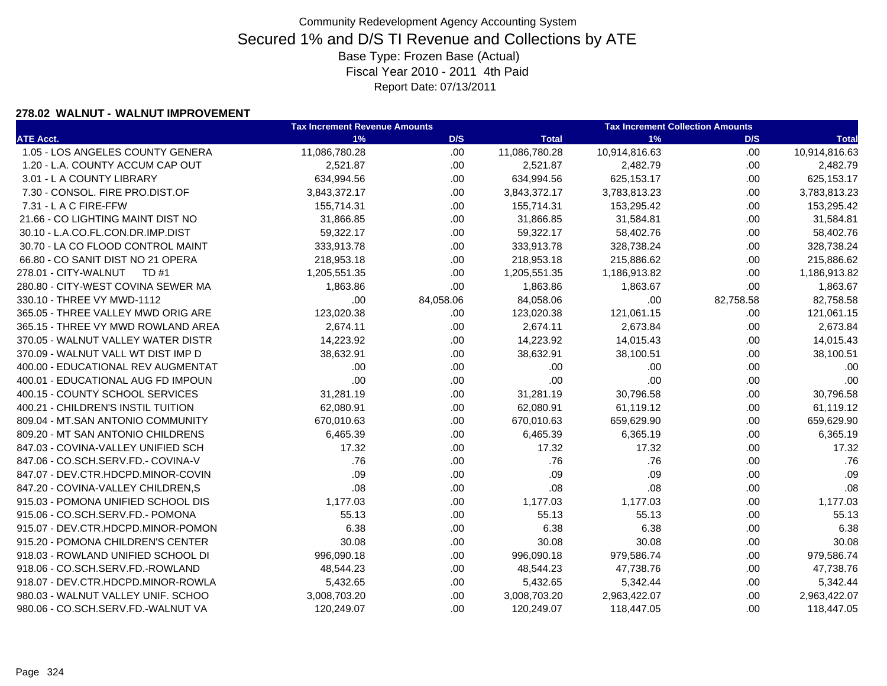### **278.02 WALNUT - WALNUT IMPROVEMENT**

|                                    | <b>Tax Increment Revenue Amounts</b> |           | <b>Tax Increment Collection Amounts</b> |               |           |               |
|------------------------------------|--------------------------------------|-----------|-----------------------------------------|---------------|-----------|---------------|
| <b>ATE Acct.</b>                   | 1%                                   | D/S       | <b>Total</b>                            | 1%            | D/S       | <b>Total</b>  |
| 1.05 - LOS ANGELES COUNTY GENERA   | 11,086,780.28                        | .00       | 11,086,780.28                           | 10,914,816.63 | .00.      | 10,914,816.63 |
| 1.20 - L.A. COUNTY ACCUM CAP OUT   | 2,521.87                             | .00.      | 2,521.87                                | 2,482.79      | .00.      | 2,482.79      |
| 3.01 - L A COUNTY LIBRARY          | 634,994.56                           | .00.      | 634,994.56                              | 625,153.17    | .00       | 625,153.17    |
| 7.30 - CONSOL. FIRE PRO.DIST.OF    | 3,843,372.17                         | .00.      | 3,843,372.17                            | 3,783,813.23  | .00       | 3,783,813.23  |
| 7.31 - L A C FIRE-FFW              | 155,714.31                           | .00       | 155,714.31                              | 153,295.42    | .00       | 153,295.42    |
| 21.66 - CO LIGHTING MAINT DIST NO  | 31,866.85                            | .00       | 31,866.85                               | 31,584.81     | .00       | 31,584.81     |
| 30.10 - L.A.CO.FL.CON.DR.IMP.DIST  | 59,322.17                            | .00       | 59,322.17                               | 58,402.76     | .00.      | 58,402.76     |
| 30.70 - LA CO FLOOD CONTROL MAINT  | 333,913.78                           | .00.      | 333,913.78                              | 328,738.24    | .00       | 328,738.24    |
| 66.80 - CO SANIT DIST NO 21 OPERA  | 218,953.18                           | .00.      | 218,953.18                              | 215,886.62    | .00       | 215,886.62    |
| 278.01 - CITY-WALNUT TD #1         | 1,205,551.35                         | .00       | 1,205,551.35                            | 1,186,913.82  | .00       | 1,186,913.82  |
| 280.80 - CITY-WEST COVINA SEWER MA | 1,863.86                             | .00       | 1,863.86                                | 1,863.67      | .00       | 1,863.67      |
| 330.10 - THREE VY MWD-1112         | .00                                  | 84,058.06 | 84,058.06                               | .00           | 82,758.58 | 82,758.58     |
| 365.05 - THREE VALLEY MWD ORIG ARE | 123,020.38                           | .00       | 123,020.38                              | 121,061.15    | .00       | 121,061.15    |
| 365.15 - THREE VY MWD ROWLAND AREA | 2,674.11                             | .00       | 2,674.11                                | 2,673.84      | .00.      | 2,673.84      |
| 370.05 - WALNUT VALLEY WATER DISTR | 14,223.92                            | .00       | 14,223.92                               | 14,015.43     | .00.      | 14,015.43     |
| 370.09 - WALNUT VALL WT DIST IMP D | 38,632.91                            | .00.      | 38,632.91                               | 38,100.51     | .00       | 38,100.51     |
| 400.00 - EDUCATIONAL REV AUGMENTAT | .00                                  | .00       | .00                                     | .00           | .00       | .00           |
| 400.01 - EDUCATIONAL AUG FD IMPOUN | .00                                  | .00       | .00                                     | .00           | .00       | .00           |
| 400.15 - COUNTY SCHOOL SERVICES    | 31,281.19                            | .00       | 31,281.19                               | 30,796.58     | .00.      | 30,796.58     |
| 400.21 - CHILDREN'S INSTIL TUITION | 62,080.91                            | .00       | 62,080.91                               | 61,119.12     | .00.      | 61,119.12     |
| 809.04 - MT.SAN ANTONIO COMMUNITY  | 670,010.63                           | .00       | 670,010.63                              | 659,629.90    | .00       | 659,629.90    |
| 809.20 - MT SAN ANTONIO CHILDRENS  | 6,465.39                             | .00       | 6,465.39                                | 6,365.19      | .00       | 6,365.19      |
| 847.03 - COVINA-VALLEY UNIFIED SCH | 17.32                                | .00       | 17.32                                   | 17.32         | .00.      | 17.32         |
| 847.06 - CO.SCH.SERV.FD.- COVINA-V | .76                                  | .00.      | .76                                     | .76           | .00.      | .76           |
| 847.07 - DEV.CTR.HDCPD.MINOR-COVIN | .09                                  | .00       | .09                                     | .09           | .00       | .09           |
| 847.20 - COVINA-VALLEY CHILDREN,S  | .08                                  | .00       | .08                                     | .08           | .00       | .08           |
| 915.03 - POMONA UNIFIED SCHOOL DIS | 1,177.03                             | .00.      | 1,177.03                                | 1,177.03      | .00.      | 1,177.03      |
| 915.06 - CO.SCH.SERV.FD.- POMONA   | 55.13                                | .00       | 55.13                                   | 55.13         | .00.      | 55.13         |
| 915.07 - DEV.CTR.HDCPD.MINOR-POMON | 6.38                                 | .00.      | 6.38                                    | 6.38          | .00.      | 6.38          |
| 915.20 - POMONA CHILDREN'S CENTER  | 30.08                                | .00.      | 30.08                                   | 30.08         | .00       | 30.08         |
| 918.03 - ROWLAND UNIFIED SCHOOL DI | 996,090.18                           | .00.      | 996,090.18                              | 979,586.74    | .00       | 979,586.74    |
| 918.06 - CO.SCH.SERV.FD.-ROWLAND   | 48,544.23                            | .00.      | 48,544.23                               | 47,738.76     | .00.      | 47,738.76     |
| 918.07 - DEV.CTR.HDCPD.MINOR-ROWLA | 5,432.65                             | .00       | 5,432.65                                | 5,342.44      | .00.      | 5,342.44      |
| 980.03 - WALNUT VALLEY UNIF. SCHOO | 3,008,703.20                         | .00       | 3,008,703.20                            | 2,963,422.07  | .00.      | 2,963,422.07  |
| 980.06 - CO.SCH.SERV.FD.-WALNUT VA | 120,249.07                           | .00       | 120,249.07                              | 118,447.05    | .00       | 118,447.05    |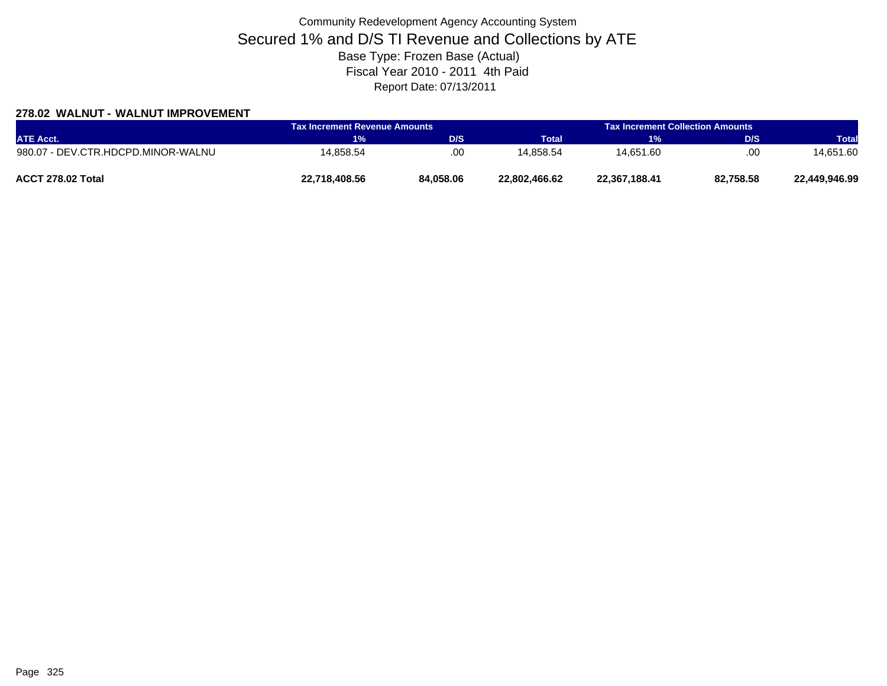### **278.02 WALNUT - WALNUT IMPROVEMENT**

| <b>ATE Acct.</b>                   | Tax Increment Revenue Amounts |           | <b>Tax Increment Collection Amounts</b> |                       |            |               |
|------------------------------------|-------------------------------|-----------|-----------------------------------------|-----------------------|------------|---------------|
|                                    | 1%                            | D/S       | <b>Total</b>                            | <b>H</b> <sub>2</sub> | <b>D/S</b> | Total         |
| 980.07 - DEV.CTR.HDCPD.MINOR-WALNU | 14.858.54                     | .00       | 14.858.54                               | 14.651.60             | .00        | 14.651.60     |
| ACCT 278.02 Total                  | 22,718,408.56                 | 84,058.06 | 22,802,466.62                           | 22,367,188.41         | 82,758.58  | 22.449.946.99 |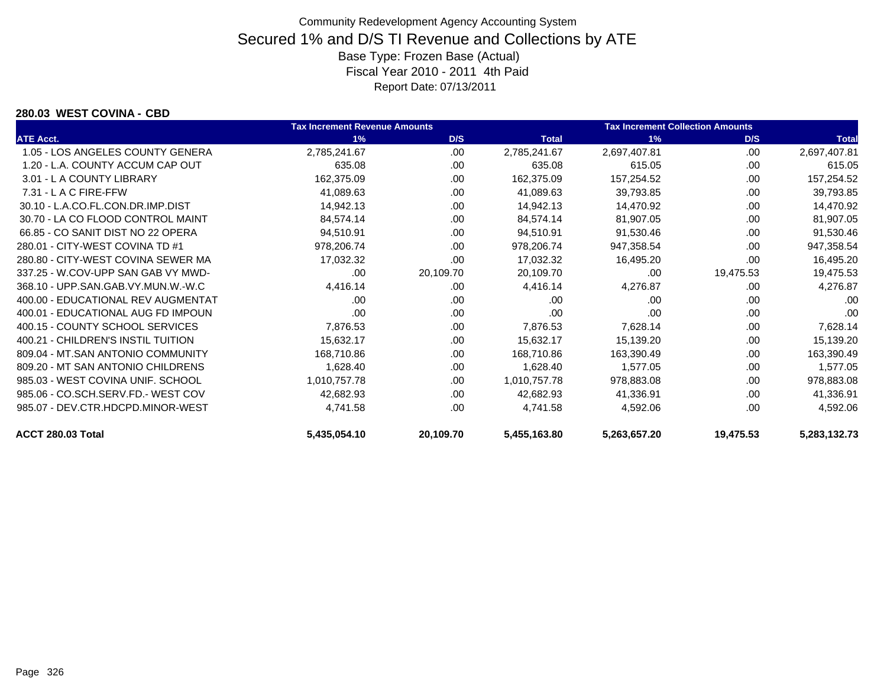#### **280.03 WEST COVINA - CBD**

|                                    | <b>Tax Increment Revenue Amounts</b> |           |              | <b>Tax Increment Collection Amounts</b> |           |              |
|------------------------------------|--------------------------------------|-----------|--------------|-----------------------------------------|-----------|--------------|
| <b>ATE Acct.</b>                   | 1%                                   | D/S       | <b>Total</b> | 1%                                      | D/S       | <b>Total</b> |
| 1.05 - LOS ANGELES COUNTY GENERA   | 2,785,241.67                         | .00       | 2,785,241.67 | 2,697,407.81                            | .00       | 2,697,407.81 |
| 1.20 - L.A. COUNTY ACCUM CAP OUT   | 635.08                               | .00       | 635.08       | 615.05                                  | .00       | 615.05       |
| 3.01 - L A COUNTY LIBRARY          | 162,375.09                           | .00       | 162,375.09   | 157,254.52                              | .00       | 157,254.52   |
| $7.31 - L$ A C FIRE-FFW            | 41,089.63                            | .00       | 41,089.63    | 39,793.85                               | .00       | 39,793.85    |
| 30.10 - L.A.CO.FL.CON.DR.IMP.DIST  | 14,942.13                            | .00       | 14,942.13    | 14,470.92                               | .00       | 14,470.92    |
| 30.70 - LA CO FLOOD CONTROL MAINT  | 84,574.14                            | .00       | 84,574.14    | 81,907.05                               | .00       | 81,907.05    |
| 66.85 - CO SANIT DIST NO 22 OPERA  | 94,510.91                            | .00.      | 94,510.91    | 91,530.46                               | .00       | 91,530.46    |
| 280.01 - CITY-WEST COVINA TD #1    | 978,206.74                           | .00       | 978,206.74   | 947,358.54                              | .00       | 947,358.54   |
| 280.80 - CITY-WEST COVINA SEWER MA | 17,032.32                            | .00       | 17,032.32    | 16,495.20                               | .00       | 16,495.20    |
| 337.25 - W.COV-UPP SAN GAB VY MWD- | .00                                  | 20,109.70 | 20,109.70    | .00                                     | 19,475.53 | 19,475.53    |
| 368.10 - UPP.SAN.GAB.VY.MUN.W.-W.C | 4,416.14                             | .00       | 4,416.14     | 4,276.87                                | .00       | 4,276.87     |
| 400.00 - EDUCATIONAL REV AUGMENTAT | .00                                  | .00       | .00          | .00                                     | .00       | .00          |
| 400.01 - EDUCATIONAL AUG FD IMPOUN | .00                                  | .00       | .00          | .00                                     | .00       | .00          |
| 400.15 - COUNTY SCHOOL SERVICES    | 7,876.53                             | .00       | 7,876.53     | 7,628.14                                | .00       | 7,628.14     |
| 400.21 - CHILDREN'S INSTIL TUITION | 15,632.17                            | .00       | 15,632.17    | 15,139.20                               | .00       | 15,139.20    |
| 809.04 - MT.SAN ANTONIO COMMUNITY  | 168,710.86                           | .00       | 168,710.86   | 163,390.49                              | .00       | 163,390.49   |
| 809.20 - MT SAN ANTONIO CHILDRENS  | 1,628.40                             | .00.      | 1,628.40     | 1,577.05                                | .00       | 1,577.05     |
| 985.03 - WEST COVINA UNIF, SCHOOL  | 1,010,757.78                         | .00       | 1,010,757.78 | 978,883.08                              | .00       | 978,883.08   |
| 985.06 - CO.SCH.SERV.FD.- WEST COV | 42,682.93                            | .00       | 42,682.93    | 41,336.91                               | .00       | 41,336.91    |
| 985.07 - DEV.CTR.HDCPD.MINOR-WEST  | 4,741.58                             | .00       | 4,741.58     | 4,592.06                                | .00       | 4,592.06     |
| ACCT 280.03 Total                  | 5,435,054.10                         | 20,109.70 | 5,455,163.80 | 5,263,657.20                            | 19,475.53 | 5,283,132.73 |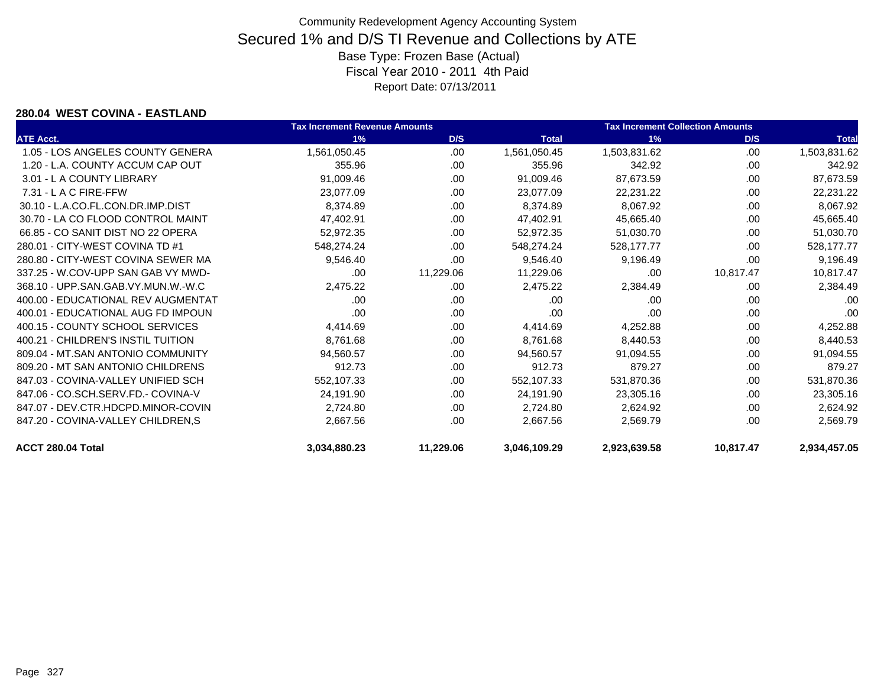#### **280.04 WEST COVINA - EASTLAND**

|                                    | <b>Tax Increment Revenue Amounts</b> |           |              | <b>Tax Increment Collection Amounts</b> |           |              |  |
|------------------------------------|--------------------------------------|-----------|--------------|-----------------------------------------|-----------|--------------|--|
| <b>ATE Acct.</b>                   | 1%                                   | D/S       | <b>Total</b> | 1%                                      | D/S       | <b>Total</b> |  |
| 1.05 - LOS ANGELES COUNTY GENERA   | 1,561,050.45                         | .00       | 1,561,050.45 | 1,503,831.62                            | .00       | 1,503,831.62 |  |
| 1.20 - L.A. COUNTY ACCUM CAP OUT   | 355.96                               | .00       | 355.96       | 342.92                                  | .00       | 342.92       |  |
| 3.01 - L A COUNTY LIBRARY          | 91,009.46                            | .00       | 91,009.46    | 87,673.59                               | .00       | 87,673.59    |  |
| 7.31 - L A C FIRE-FFW              | 23,077.09                            | .00       | 23,077.09    | 22,231.22                               | .00       | 22,231.22    |  |
| 30.10 - L.A.CO.FL.CON.DR.IMP.DIST  | 8,374.89                             | .00       | 8,374.89     | 8,067.92                                | .00       | 8,067.92     |  |
| 30.70 - LA CO FLOOD CONTROL MAINT  | 47,402.91                            | .00       | 47,402.91    | 45,665.40                               | .00       | 45,665.40    |  |
| 66.85 - CO SANIT DIST NO 22 OPERA  | 52,972.35                            | .00       | 52,972.35    | 51,030.70                               | .00       | 51,030.70    |  |
| 280.01 - CITY-WEST COVINA TD #1    | 548,274.24                           | .00       | 548,274.24   | 528,177.77                              | .00       | 528,177.77   |  |
| 280.80 - CITY-WEST COVINA SEWER MA | 9,546.40                             | .00       | 9,546.40     | 9,196.49                                | .00       | 9,196.49     |  |
| 337.25 - W.COV-UPP SAN GAB VY MWD- | .00                                  | 11,229.06 | 11,229.06    | .00                                     | 10,817.47 | 10,817.47    |  |
| 368.10 - UPP.SAN.GAB.VY.MUN.W.-W.C | 2,475.22                             | .00       | 2,475.22     | 2,384.49                                | .00       | 2,384.49     |  |
| 400.00 - EDUCATIONAL REV AUGMENTAT | .00                                  | .00       | .00          | .00                                     | .00       | .00          |  |
| 400.01 - EDUCATIONAL AUG FD IMPOUN | .00                                  | .00       | .00          | .00                                     | .00       | .00          |  |
| 400.15 - COUNTY SCHOOL SERVICES    | 4,414.69                             | .00       | 4,414.69     | 4,252.88                                | .00       | 4,252.88     |  |
| 400.21 - CHILDREN'S INSTIL TUITION | 8,761.68                             | .00       | 8,761.68     | 8,440.53                                | .00       | 8,440.53     |  |
| 809.04 - MT.SAN ANTONIO COMMUNITY  | 94,560.57                            | .00       | 94,560.57    | 91,094.55                               | .00       | 91,094.55    |  |
| 809.20 - MT SAN ANTONIO CHILDRENS  | 912.73                               | .00       | 912.73       | 879.27                                  | .00       | 879.27       |  |
| 847.03 - COVINA-VALLEY UNIFIED SCH | 552,107.33                           | .00       | 552,107.33   | 531,870.36                              | .00       | 531,870.36   |  |
| 847.06 - CO.SCH.SERV.FD.- COVINA-V | 24,191.90                            | .00       | 24,191.90    | 23,305.16                               | .00       | 23,305.16    |  |
| 847.07 - DEV.CTR.HDCPD.MINOR-COVIN | 2,724.80                             | .00       | 2,724.80     | 2,624.92                                | .00       | 2,624.92     |  |
| 847.20 - COVINA-VALLEY CHILDREN,S  | 2,667.56                             | .00       | 2,667.56     | 2,569.79                                | .00       | 2,569.79     |  |
| ACCT 280.04 Total                  | 3,034,880.23                         | 11,229.06 | 3,046,109.29 | 2,923,639.58                            | 10,817.47 | 2,934,457.05 |  |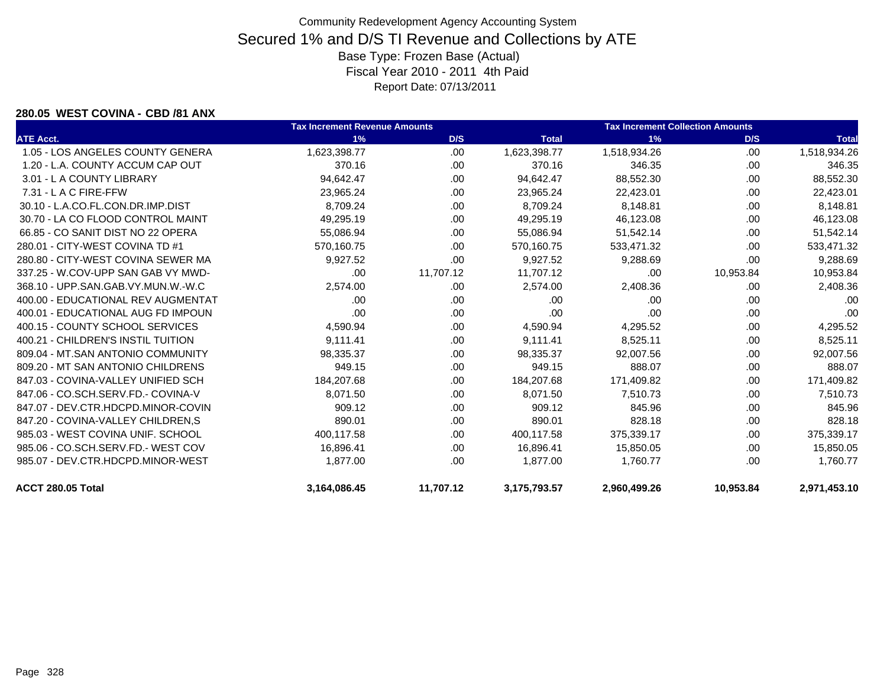#### **280.05 WEST COVINA - CBD /81 ANX**

|                                    | <b>Tax Increment Revenue Amounts</b> |           |              | <b>Tax Increment Collection Amounts</b> |           |              |  |
|------------------------------------|--------------------------------------|-----------|--------------|-----------------------------------------|-----------|--------------|--|
| <b>ATE Acct.</b>                   | 1%                                   | D/S       | <b>Total</b> | 1%                                      | D/S       | <b>Total</b> |  |
| 1.05 - LOS ANGELES COUNTY GENERA   | 1,623,398.77                         | .00       | 1,623,398.77 | 1,518,934.26                            | .00.      | 1,518,934.26 |  |
| 1.20 - L.A. COUNTY ACCUM CAP OUT   | 370.16                               | .00.      | 370.16       | 346.35                                  | .00       | 346.35       |  |
| 3.01 - L A COUNTY LIBRARY          | 94,642.47                            | .00       | 94,642.47    | 88,552.30                               | .00       | 88,552.30    |  |
| $7.31 - L$ A C FIRE-FFW            | 23,965.24                            | .00       | 23,965.24    | 22,423.01                               | .00       | 22,423.01    |  |
| 30.10 - L.A.CO.FL.CON.DR.IMP.DIST  | 8,709.24                             | .00.      | 8,709.24     | 8,148.81                                | .00       | 8,148.81     |  |
| 30.70 - LA CO FLOOD CONTROL MAINT  | 49,295.19                            | .00.      | 49,295.19    | 46,123.08                               | .00       | 46,123.08    |  |
| 66.85 - CO SANIT DIST NO 22 OPERA  | 55,086.94                            | .00       | 55,086.94    | 51,542.14                               | .00       | 51,542.14    |  |
| 280.01 - CITY-WEST COVINA TD #1    | 570,160.75                           | .00       | 570,160.75   | 533,471.32                              | .00       | 533,471.32   |  |
| 280.80 - CITY-WEST COVINA SEWER MA | 9,927.52                             | .00.      | 9,927.52     | 9,288.69                                | .00.      | 9,288.69     |  |
| 337.25 - W.COV-UPP SAN GAB VY MWD- | .00                                  | 11,707.12 | 11,707.12    | .00                                     | 10,953.84 | 10,953.84    |  |
| 368.10 - UPP.SAN.GAB.VY.MUN.W.-W.C | 2,574.00                             | .00.      | 2,574.00     | 2,408.36                                | .00       | 2,408.36     |  |
| 400.00 - EDUCATIONAL REV AUGMENTAT | .00                                  | .00       | .00          | .00                                     | .00       | .00          |  |
| 400.01 - EDUCATIONAL AUG FD IMPOUN | .00                                  | .00.      | .00          | .00                                     | .00       | .00          |  |
| 400.15 - COUNTY SCHOOL SERVICES    | 4,590.94                             | .00.      | 4,590.94     | 4,295.52                                | .00       | 4,295.52     |  |
| 400.21 - CHILDREN'S INSTIL TUITION | 9,111.41                             | .00.      | 9,111.41     | 8,525.11                                | .00       | 8,525.11     |  |
| 809.04 - MT.SAN ANTONIO COMMUNITY  | 98,335.37                            | .00       | 98,335.37    | 92,007.56                               | .00       | 92,007.56    |  |
| 809.20 - MT SAN ANTONIO CHILDRENS  | 949.15                               | .00.      | 949.15       | 888.07                                  | .00       | 888.07       |  |
| 847.03 - COVINA-VALLEY UNIFIED SCH | 184,207.68                           | .00.      | 184,207.68   | 171,409.82                              | .00       | 171,409.82   |  |
| 847.06 - CO.SCH.SERV.FD.- COVINA-V | 8,071.50                             | .00       | 8,071.50     | 7,510.73                                | .00       | 7,510.73     |  |
| 847.07 - DEV.CTR.HDCPD.MINOR-COVIN | 909.12                               | .00.      | 909.12       | 845.96                                  | .00       | 845.96       |  |
| 847.20 - COVINA-VALLEY CHILDREN, S | 890.01                               | .00.      | 890.01       | 828.18                                  | .00       | 828.18       |  |
| 985.03 - WEST COVINA UNIF, SCHOOL  | 400,117.58                           | .00.      | 400,117.58   | 375,339.17                              | .00       | 375,339.17   |  |
| 985.06 - CO.SCH.SERV.FD.- WEST COV | 16,896.41                            | .00.      | 16,896.41    | 15,850.05                               | .00       | 15,850.05    |  |
| 985.07 - DEV.CTR.HDCPD.MINOR-WEST  | 1,877.00                             | .00       | 1,877.00     | 1,760.77                                | .00       | 1,760.77     |  |
| ACCT 280.05 Total                  | 3,164,086.45                         | 11,707.12 | 3,175,793.57 | 2,960,499.26                            | 10,953.84 | 2,971,453.10 |  |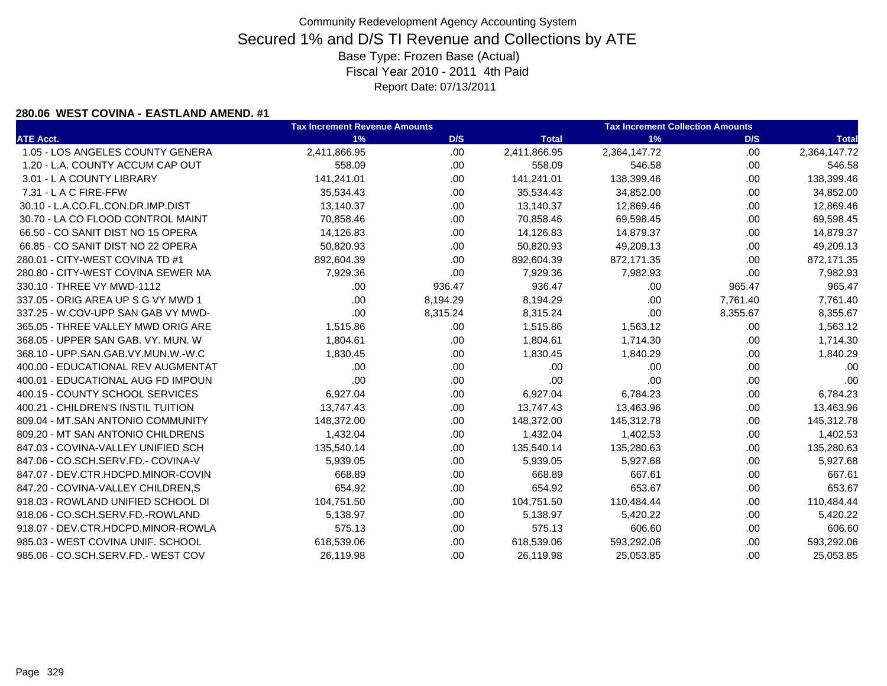#### **280.06 WEST COVINA - EASTLAND AMEND. #1**

|                                    | <b>Tax Increment Revenue Amounts</b> |          |              | <b>Tax Increment Collection Amounts</b> |          |              |  |
|------------------------------------|--------------------------------------|----------|--------------|-----------------------------------------|----------|--------------|--|
| <b>ATE Acct.</b>                   | 1%                                   | D/S      | <b>Total</b> | 1%                                      | D/S      | <b>Total</b> |  |
| 1.05 - LOS ANGELES COUNTY GENERA   | 2,411,866.95                         | .00.     | 2,411,866.95 | 2,364,147.72                            | .00.     | 2,364,147.72 |  |
| 1.20 - L.A. COUNTY ACCUM CAP OUT   | 558.09                               | .00.     | 558.09       | 546.58                                  | .00.     | 546.58       |  |
| 3.01 - L A COUNTY LIBRARY          | 141,241.01                           | .00.     | 141,241.01   | 138,399.46                              | .00.     | 138,399.46   |  |
| 7.31 - L A C FIRE-FFW              | 35,534.43                            | .00.     | 35,534.43    | 34,852.00                               | .00.     | 34,852.00    |  |
| 30.10 - L.A.CO.FL.CON.DR.IMP.DIST  | 13,140.37                            | .00.     | 13,140.37    | 12,869.46                               | .00.     | 12,869.46    |  |
| 30.70 - LA CO FLOOD CONTROL MAINT  | 70,858.46                            | .00.     | 70,858.46    | 69,598.45                               | .00      | 69,598.45    |  |
| 66.50 - CO SANIT DIST NO 15 OPERA  | 14,126.83                            | .00.     | 14,126.83    | 14,879.37                               | .00.     | 14,879.37    |  |
| 66.85 - CO SANIT DIST NO 22 OPERA  | 50,820.93                            | .00.     | 50,820.93    | 49,209.13                               | .00      | 49,209.13    |  |
| 280.01 - CITY-WEST COVINA TD #1    | 892,604.39                           | .00.     | 892,604.39   | 872,171.35                              | .00.     | 872,171.35   |  |
| 280.80 - CITY-WEST COVINA SEWER MA | 7,929.36                             | .00      | 7,929.36     | 7,982.93                                | .00      | 7,982.93     |  |
| 330.10 - THREE VY MWD-1112         | .00                                  | 936.47   | 936.47       | .00                                     | 965.47   | 965.47       |  |
| 337.05 - ORIG AREA UP S G VY MWD 1 | .00                                  | 8,194.29 | 8,194.29     | .00                                     | 7,761.40 | 7,761.40     |  |
| 337.25 - W.COV-UPP SAN GAB VY MWD- | .00                                  | 8,315.24 | 8,315.24     | .00                                     | 8,355.67 | 8,355.67     |  |
| 365.05 - THREE VALLEY MWD ORIG ARE | 1,515.86                             | .00.     | 1,515.86     | 1,563.12                                | .00      | 1,563.12     |  |
| 368.05 - UPPER SAN GAB. VY. MUN. W | 1,804.61                             | .00      | 1,804.61     | 1,714.30                                | .00.     | 1,714.30     |  |
| 368.10 - UPP.SAN.GAB.VY.MUN.W.-W.C | 1,830.45                             | .00.     | 1,830.45     | 1,840.29                                | .00      | 1,840.29     |  |
| 400.00 - EDUCATIONAL REV AUGMENTAT | .00                                  | .00      | .00          | .00                                     | .00.     | .00          |  |
| 400.01 - EDUCATIONAL AUG FD IMPOUN | .00                                  | .00.     | .00          | .00                                     | .00.     | .00          |  |
| 400.15 - COUNTY SCHOOL SERVICES    | 6,927.04                             | .00      | 6,927.04     | 6,784.23                                | .00.     | 6,784.23     |  |
| 400.21 - CHILDREN'S INSTIL TUITION | 13,747.43                            | .00.     | 13,747.43    | 13,463.96                               | .00      | 13,463.96    |  |
| 809.04 - MT.SAN ANTONIO COMMUNITY  | 148,372.00                           | .00.     | 148,372.00   | 145,312.78                              | .00.     | 145,312.78   |  |
| 809.20 - MT SAN ANTONIO CHILDRENS  | 1,432.04                             | .00.     | 1,432.04     | 1,402.53                                | .00      | 1,402.53     |  |
| 847.03 - COVINA-VALLEY UNIFIED SCH | 135,540.14                           | .00.     | 135,540.14   | 135,280.63                              | .00.     | 135,280.63   |  |
| 847.06 - CO.SCH.SERV.FD.- COVINA-V | 5,939.05                             | .00.     | 5,939.05     | 5,927.68                                | .00      | 5,927.68     |  |
| 847.07 - DEV.CTR.HDCPD.MINOR-COVIN | 668.89                               | .00.     | 668.89       | 667.61                                  | .00.     | 667.61       |  |
| 847.20 - COVINA-VALLEY CHILDREN,S  | 654.92                               | .00.     | 654.92       | 653.67                                  | .00.     | 653.67       |  |
| 918.03 - ROWLAND UNIFIED SCHOOL DI | 104,751.50                           | .00.     | 104,751.50   | 110,484.44                              | .00.     | 110,484.44   |  |
| 918.06 - CO.SCH.SERV.FD.-ROWLAND   | 5,138.97                             | .00.     | 5,138.97     | 5,420.22                                | .00.     | 5,420.22     |  |
| 918.07 - DEV.CTR.HDCPD.MINOR-ROWLA | 575.13                               | .00.     | 575.13       | 606.60                                  | .00.     | 606.60       |  |
| 985.03 - WEST COVINA UNIF. SCHOOL  | 618,539.06                           | .00      | 618,539.06   | 593,292.06                              | .00      | 593,292.06   |  |
| 985.06 - CO.SCH.SERV.FD.- WEST COV | 26,119.98                            | .00      | 26,119.98    | 25,053.85                               | .00      | 25,053.85    |  |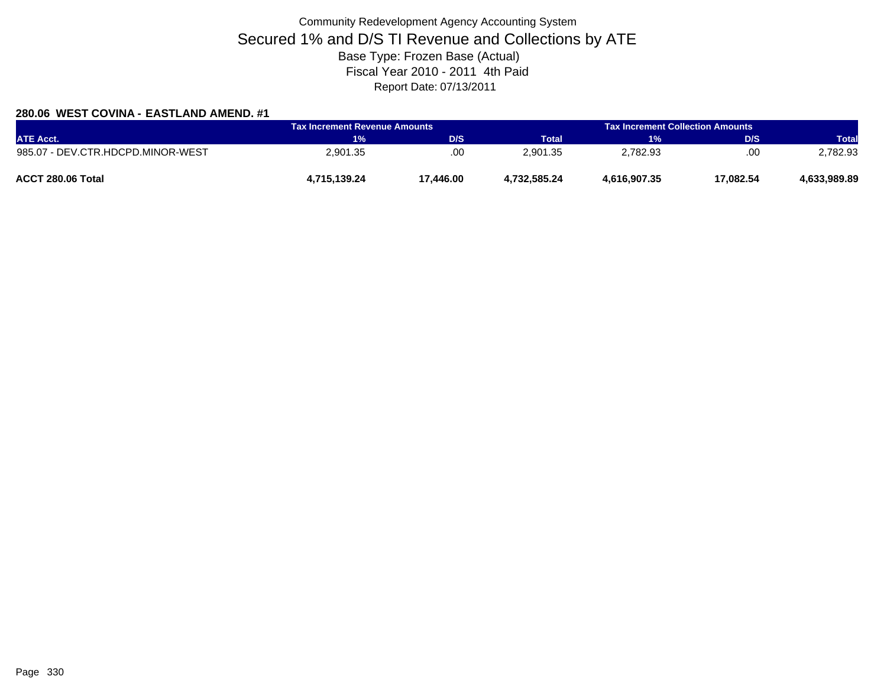### **280.06 WEST COVINA - EASTLAND AMEND. #1**

| <b>ATE Acct.</b>                  | <b>Tax Increment Revenue Amounts</b> |           | <b>Tax Increment Collection Amounts</b> |              |           |              |
|-----------------------------------|--------------------------------------|-----------|-----------------------------------------|--------------|-----------|--------------|
|                                   | 1%                                   | D/S       | Total                                   | 1%           | D/S       | <b>Total</b> |
| 985.07 - DEV.CTR.HDCPD.MINOR-WEST | 2,901.35                             | .00       | 2.901.35                                | 2,782.93     | .00       | 2,782.93     |
| ACCT 280.06 Total                 | 4,715,139.24                         | 17.446.00 | 4.732.585.24                            | 4,616,907.35 | 17.082.54 | 4,633,989.89 |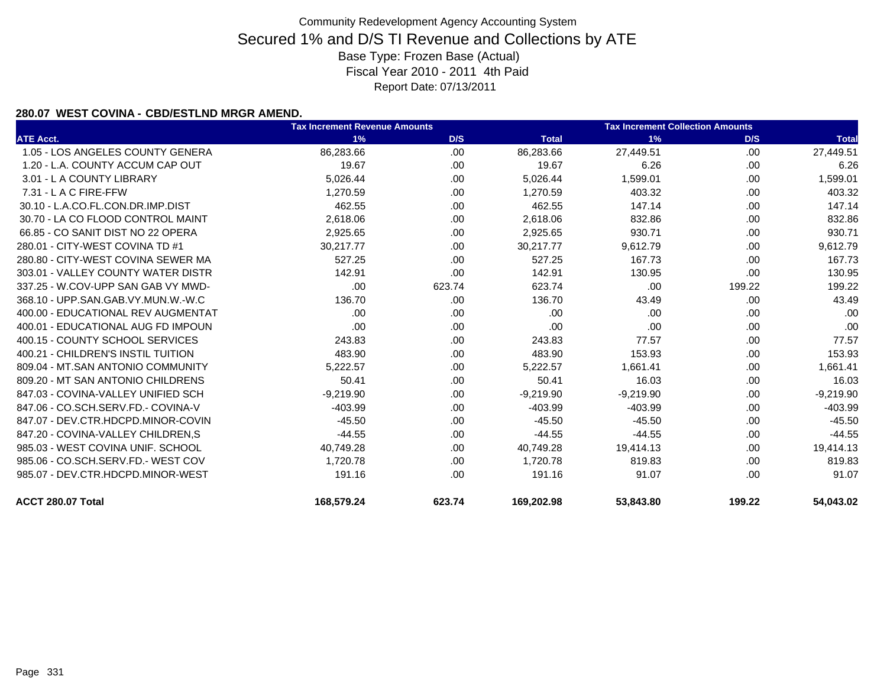#### **280.07 WEST COVINA - CBD/ESTLND MRGR AMEND.**

|                                    | <b>Tax Increment Revenue Amounts</b> |        |              | <b>Tax Increment Collection Amounts</b> |        |              |
|------------------------------------|--------------------------------------|--------|--------------|-----------------------------------------|--------|--------------|
| <b>ATE Acct.</b>                   | 1%                                   | D/S    | <b>Total</b> | 1%                                      | D/S    | <b>Total</b> |
| 1.05 - LOS ANGELES COUNTY GENERA   | 86,283.66                            | .00    | 86,283.66    | 27,449.51                               | .00    | 27,449.51    |
| 1.20 - L.A. COUNTY ACCUM CAP OUT   | 19.67                                | .00.   | 19.67        | 6.26                                    | .00.   | 6.26         |
| 3.01 - L A COUNTY LIBRARY          | 5,026.44                             | .00    | 5,026.44     | 1,599.01                                | .00.   | 1,599.01     |
| 7.31 - L A C FIRE-FFW              | 1,270.59                             | .00    | 1,270.59     | 403.32                                  | .00.   | 403.32       |
| 30.10 - L.A.CO.FL.CON.DR.IMP.DIST  | 462.55                               | .00.   | 462.55       | 147.14                                  | .00    | 147.14       |
| 30.70 - LA CO FLOOD CONTROL MAINT  | 2,618.06                             | .00.   | 2,618.06     | 832.86                                  | .00.   | 832.86       |
| 66.85 - CO SANIT DIST NO 22 OPERA  | 2,925.65                             | .00.   | 2,925.65     | 930.71                                  | .00    | 930.71       |
| 280.01 - CITY-WEST COVINA TD #1    | 30,217.77                            | .00    | 30,217.77    | 9,612.79                                | .00    | 9,612.79     |
| 280.80 - CITY-WEST COVINA SEWER MA | 527.25                               | .00    | 527.25       | 167.73                                  | .00.   | 167.73       |
| 303.01 - VALLEY COUNTY WATER DISTR | 142.91                               | .00    | 142.91       | 130.95                                  | .00.   | 130.95       |
| 337.25 - W.COV-UPP SAN GAB VY MWD- | .00                                  | 623.74 | 623.74       | .00                                     | 199.22 | 199.22       |
| 368.10 - UPP.SAN.GAB.VY.MUN.W.-W.C | 136.70                               | .00.   | 136.70       | 43.49                                   | .00.   | 43.49        |
| 400.00 - EDUCATIONAL REV AUGMENTAT | .00.                                 | .00    | .00          | .00                                     | .00.   | .00          |
| 400.01 - EDUCATIONAL AUG FD IMPOUN | .00                                  | .00    | .00          | .00                                     | .00.   | .00          |
| 400.15 - COUNTY SCHOOL SERVICES    | 243.83                               | .00.   | 243.83       | 77.57                                   | .00.   | 77.57        |
| 400.21 - CHILDREN'S INSTIL TUITION | 483.90                               | .00.   | 483.90       | 153.93                                  | .00.   | 153.93       |
| 809.04 - MT.SAN ANTONIO COMMUNITY  | 5,222.57                             | .00.   | 5,222.57     | 1,661.41                                | .00    | 1,661.41     |
| 809.20 - MT SAN ANTONIO CHILDRENS  | 50.41                                | .00.   | 50.41        | 16.03                                   | .00    | 16.03        |
| 847.03 - COVINA-VALLEY UNIFIED SCH | $-9,219.90$                          | .00.   | $-9,219.90$  | $-9,219.90$                             | .00    | $-9,219.90$  |
| 847.06 - CO.SCH.SERV.FD.- COVINA-V | -403.99                              | .00.   | $-403.99$    | $-403.99$                               | .00    | $-403.99$    |
| 847.07 - DEV.CTR.HDCPD.MINOR-COVIN | $-45.50$                             | .00.   | $-45.50$     | $-45.50$                                | .00.   | $-45.50$     |
| 847.20 - COVINA-VALLEY CHILDREN.S  | $-44.55$                             | .00.   | $-44.55$     | $-44.55$                                | .00    | $-44.55$     |
| 985.03 - WEST COVINA UNIF, SCHOOL  | 40,749.28                            | .00.   | 40,749.28    | 19,414.13                               | .00    | 19,414.13    |
| 985.06 - CO.SCH.SERV.FD.- WEST COV | 1,720.78                             | .00    | 1,720.78     | 819.83                                  | .00    | 819.83       |
| 985.07 - DEV.CTR.HDCPD.MINOR-WEST  | 191.16                               | .00    | 191.16       | 91.07                                   | .00    | 91.07        |
| ACCT 280.07 Total                  | 168,579.24                           | 623.74 | 169,202.98   | 53,843.80                               | 199.22 | 54,043.02    |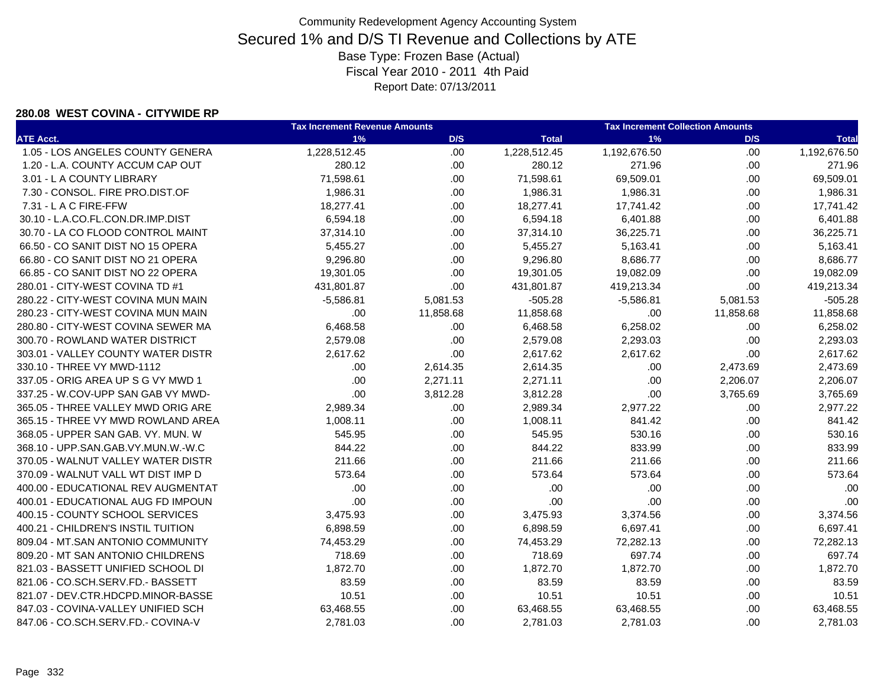#### **280.08 WEST COVINA - CITYWIDE RP**

|                                    | <b>Tax Increment Revenue Amounts</b> |           |              | <b>Tax Increment Collection Amounts</b> |           |              |  |
|------------------------------------|--------------------------------------|-----------|--------------|-----------------------------------------|-----------|--------------|--|
| <b>ATE Acct.</b>                   | 1%                                   | D/S       | <b>Total</b> | 1%                                      | D/S       | <b>Total</b> |  |
| 1.05 - LOS ANGELES COUNTY GENERA   | 1,228,512.45                         | .00.      | 1,228,512.45 | 1,192,676.50                            | .00.      | 1,192,676.50 |  |
| 1.20 - L.A. COUNTY ACCUM CAP OUT   | 280.12                               | .00.      | 280.12       | 271.96                                  | .00.      | 271.96       |  |
| 3.01 - L A COUNTY LIBRARY          | 71,598.61                            | .00.      | 71,598.61    | 69,509.01                               | .00.      | 69,509.01    |  |
| 7.30 - CONSOL. FIRE PRO.DIST.OF    | 1,986.31                             | .00.      | 1,986.31     | 1,986.31                                | .00.      | 1,986.31     |  |
| 7.31 - L A C FIRE-FFW              | 18,277.41                            | .00.      | 18,277.41    | 17,741.42                               | .00.      | 17,741.42    |  |
| 30.10 - L.A.CO.FL.CON.DR.IMP.DIST  | 6,594.18                             | .00.      | 6,594.18     | 6,401.88                                | .00.      | 6,401.88     |  |
| 30.70 - LA CO FLOOD CONTROL MAINT  | 37,314.10                            | .00.      | 37,314.10    | 36,225.71                               | .00.      | 36,225.71    |  |
| 66.50 - CO SANIT DIST NO 15 OPERA  | 5,455.27                             | .00       | 5,455.27     | 5,163.41                                | .00.      | 5,163.41     |  |
| 66.80 - CO SANIT DIST NO 21 OPERA  | 9,296.80                             | .00       | 9,296.80     | 8,686.77                                | .00.      | 8,686.77     |  |
| 66.85 - CO SANIT DIST NO 22 OPERA  | 19,301.05                            | .00       | 19,301.05    | 19,082.09                               | .00.      | 19,082.09    |  |
| 280.01 - CITY-WEST COVINA TD #1    | 431,801.87                           | .00       | 431,801.87   | 419,213.34                              | .00       | 419,213.34   |  |
| 280.22 - CITY-WEST COVINA MUN MAIN | $-5,586.81$                          | 5,081.53  | $-505.28$    | $-5,586.81$                             | 5,081.53  | $-505.28$    |  |
| 280.23 - CITY-WEST COVINA MUN MAIN | .00                                  | 11,858.68 | 11,858.68    | .00                                     | 11,858.68 | 11,858.68    |  |
| 280.80 - CITY-WEST COVINA SEWER MA | 6,468.58                             | .00       | 6,468.58     | 6,258.02                                | .00       | 6,258.02     |  |
| 300.70 - ROWLAND WATER DISTRICT    | 2,579.08                             | .00       | 2,579.08     | 2,293.03                                | .00.      | 2,293.03     |  |
| 303.01 - VALLEY COUNTY WATER DISTR | 2,617.62                             | .00       | 2,617.62     | 2,617.62                                | .00       | 2,617.62     |  |
| 330.10 - THREE VY MWD-1112         | .00                                  | 2,614.35  | 2,614.35     | .00                                     | 2,473.69  | 2,473.69     |  |
| 337.05 - ORIG AREA UP S G VY MWD 1 | .00                                  | 2,271.11  | 2,271.11     | .00                                     | 2,206.07  | 2,206.07     |  |
| 337.25 - W.COV-UPP SAN GAB VY MWD- | .00                                  | 3,812.28  | 3,812.28     | .00                                     | 3,765.69  | 3,765.69     |  |
| 365.05 - THREE VALLEY MWD ORIG ARE | 2,989.34                             | .00       | 2,989.34     | 2,977.22                                | .00.      | 2,977.22     |  |
| 365.15 - THREE VY MWD ROWLAND AREA | 1,008.11                             | .00       | 1,008.11     | 841.42                                  | .00       | 841.42       |  |
| 368.05 - UPPER SAN GAB. VY. MUN. W | 545.95                               | .00       | 545.95       | 530.16                                  | .00       | 530.16       |  |
| 368.10 - UPP.SAN.GAB.VY.MUN.W.-W.C | 844.22                               | .00       | 844.22       | 833.99                                  | .00.      | 833.99       |  |
| 370.05 - WALNUT VALLEY WATER DISTR | 211.66                               | .00       | 211.66       | 211.66                                  | .00       | 211.66       |  |
| 370.09 - WALNUT VALL WT DIST IMP D | 573.64                               | .00       | 573.64       | 573.64                                  | .00       | 573.64       |  |
| 400.00 - EDUCATIONAL REV AUGMENTAT | .00                                  | .00       | .00          | .00                                     | .00       | .00          |  |
| 400.01 - EDUCATIONAL AUG FD IMPOUN | .00                                  | .00       | .00          | .00                                     | .00.      | .00          |  |
| 400.15 - COUNTY SCHOOL SERVICES    | 3,475.93                             | .00       | 3,475.93     | 3,374.56                                | .00.      | 3,374.56     |  |
| 400.21 - CHILDREN'S INSTIL TUITION | 6,898.59                             | .00.      | 6,898.59     | 6,697.41                                | .00.      | 6,697.41     |  |
| 809.04 - MT.SAN ANTONIO COMMUNITY  | 74,453.29                            | .00       | 74,453.29    | 72,282.13                               | .00.      | 72,282.13    |  |
| 809.20 - MT SAN ANTONIO CHILDRENS  | 718.69                               | .00       | 718.69       | 697.74                                  | .00.      | 697.74       |  |
| 821.03 - BASSETT UNIFIED SCHOOL DI | 1,872.70                             | .00.      | 1,872.70     | 1,872.70                                | .00.      | 1,872.70     |  |
| 821.06 - CO.SCH.SERV.FD.- BASSETT  | 83.59                                | .00.      | 83.59        | 83.59                                   | .00.      | 83.59        |  |
| 821.07 - DEV.CTR.HDCPD.MINOR-BASSE | 10.51                                | .00.      | 10.51        | 10.51                                   | .00       | 10.51        |  |
| 847.03 - COVINA-VALLEY UNIFIED SCH | 63,468.55                            | .00       | 63,468.55    | 63,468.55                               | .00.      | 63,468.55    |  |
| 847.06 - CO.SCH.SERV.FD.- COVINA-V | 2,781.03                             | .00.      | 2,781.03     | 2,781.03                                | .00.      | 2,781.03     |  |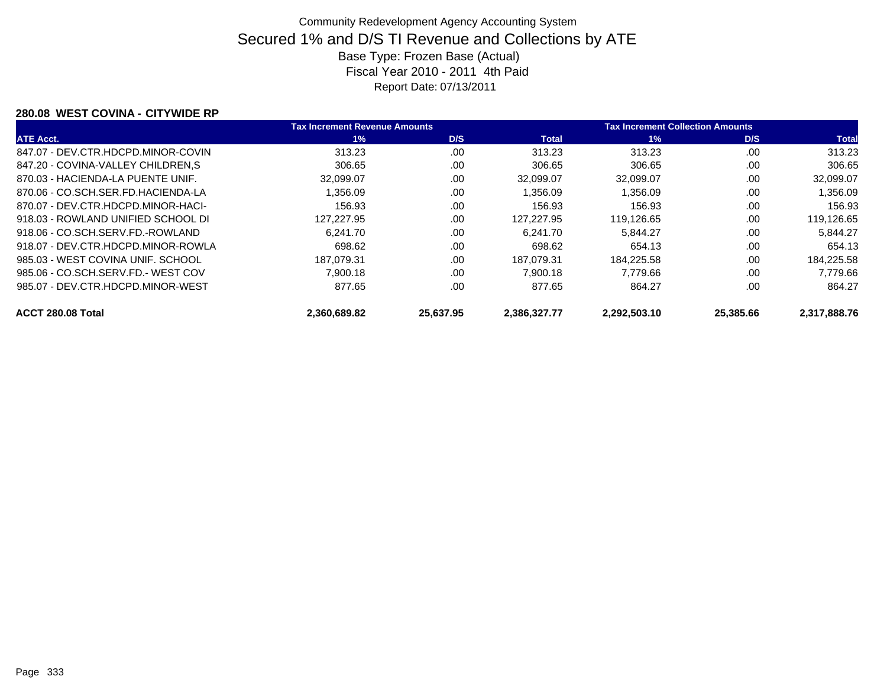#### **280.08 WEST COVINA - CITYWIDE RP**

|                                    | <b>Tax Increment Revenue Amounts</b> |           | <b>Tax Increment Collection Amounts</b> |              |           |              |
|------------------------------------|--------------------------------------|-----------|-----------------------------------------|--------------|-----------|--------------|
| <b>ATE Acct.</b>                   | $1\%$                                | D/S       | <b>Total</b>                            | $1\%$        | D/S       | <b>Total</b> |
| 847.07 - DEV.CTR.HDCPD.MINOR-COVIN | 313.23                               | .00       | 313.23                                  | 313.23       | .00.      | 313.23       |
| 847.20 - COVINA-VALLEY CHILDREN, S | 306.65                               | .00       | 306.65                                  | 306.65       | .00       | 306.65       |
| 870.03 - HACIENDA-LA PUENTE UNIF.  | 32,099.07                            | .00       | 32.099.07                               | 32,099.07    | .00       | 32,099.07    |
| 870.06 - CO.SCH.SER.FD.HACIENDA-LA | 1.356.09                             | .00       | 1.356.09                                | 1,356.09     | .00       | 1,356.09     |
| 870.07 - DEV.CTR.HDCPD.MINOR-HACI- | 156.93                               | .00       | 156.93                                  | 156.93       | .00       | 156.93       |
| 918.03 - ROWLAND UNIFIED SCHOOL DI | 127.227.95                           | .00       | 127.227.95                              | 119.126.65   | .00       | 119.126.65   |
| 918.06 - CO.SCH.SERV.FD.-ROWLAND   | 6.241.70                             | .00       | 6.241.70                                | 5.844.27     | .00       | 5.844.27     |
| 918.07 - DEV.CTR.HDCPD.MINOR-ROWLA | 698.62                               | .00       | 698.62                                  | 654.13       | .00       | 654.13       |
| 985.03 - WEST COVINA UNIF. SCHOOL  | 187.079.31                           | .00       | 187.079.31                              | 184.225.58   | .00       | 184.225.58   |
| 985.06 - CO.SCH.SERV.FD.- WEST COV | 7.900.18                             | .00       | 7.900.18                                | 7.779.66     | .00       | 7,779.66     |
| 985.07 - DEV.CTR.HDCPD.MINOR-WEST  | 877.65                               | .00       | 877.65                                  | 864.27       | .00       | 864.27       |
| ACCT 280.08 Total                  | 2.360.689.82                         | 25.637.95 | 2.386.327.77                            | 2.292.503.10 | 25,385,66 | 2.317.888.76 |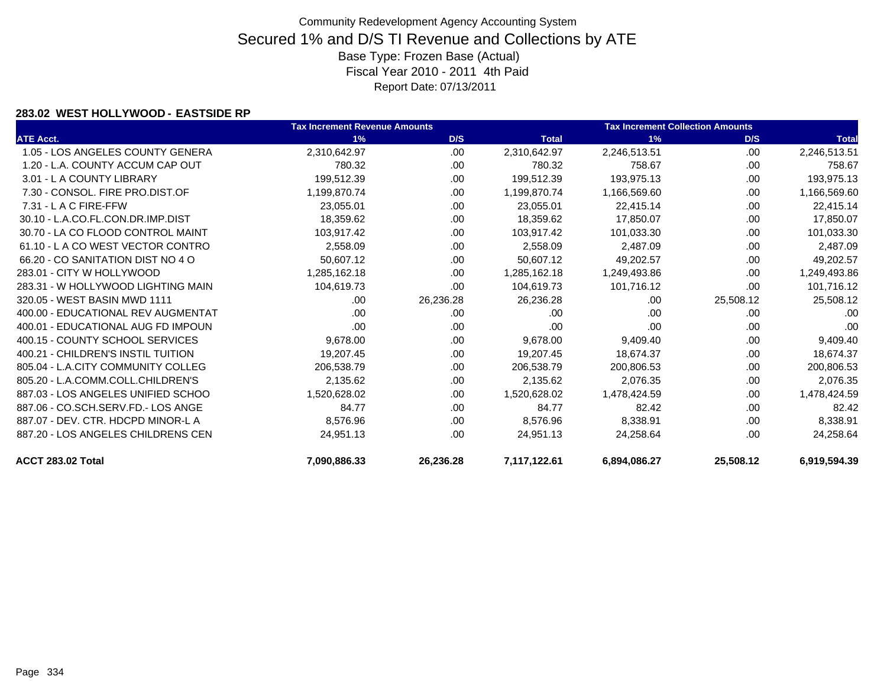#### **283.02 WEST HOLLYWOOD - EASTSIDE RP**

|                                    | <b>Tax Increment Revenue Amounts</b> |           | <b>Tax Increment Collection Amounts</b> |              |           |              |
|------------------------------------|--------------------------------------|-----------|-----------------------------------------|--------------|-----------|--------------|
| <b>ATE Acct.</b>                   | 1%                                   | D/S       | <b>Total</b>                            | 1%           | D/S       | <b>Total</b> |
| 1.05 - LOS ANGELES COUNTY GENERA   | 2,310,642.97                         | .00       | 2,310,642.97                            | 2,246,513.51 | .00       | 2,246,513.51 |
| 1.20 - L.A. COUNTY ACCUM CAP OUT   | 780.32                               | .00.      | 780.32                                  | 758.67       | .00       | 758.67       |
| 3.01 - L A COUNTY LIBRARY          | 199,512.39                           | .00       | 199,512.39                              | 193,975.13   | .00       | 193,975.13   |
| 7.30 - CONSOL, FIRE PRO.DIST.OF    | 1,199,870.74                         | .00.      | 1,199,870.74                            | 1,166,569.60 | .00       | 1,166,569.60 |
| $7.31 - L$ A C FIRE-FFW            | 23,055.01                            | .00       | 23.055.01                               | 22,415.14    | .00.      | 22,415.14    |
| 30.10 - L.A.CO.FL.CON.DR.IMP.DIST  | 18,359.62                            | .00       | 18,359.62                               | 17,850.07    | .00       | 17,850.07    |
| 30.70 - LA CO FLOOD CONTROL MAINT  | 103,917.42                           | .00.      | 103,917.42                              | 101,033.30   | .00       | 101,033.30   |
| 61.10 - L A CO WEST VECTOR CONTRO  | 2,558.09                             | .00.      | 2,558.09                                | 2,487.09     | .00       | 2,487.09     |
| 66.20 - CO SANITATION DIST NO 4 O  | 50,607.12                            | .00.      | 50,607.12                               | 49,202.57    | .00       | 49,202.57    |
| 283.01 - CITY W HOLLYWOOD          | 1,285,162.18                         | .00.      | 1,285,162.18                            | 1,249,493.86 | .00       | 1,249,493.86 |
| 283.31 - W HOLLYWOOD LIGHTING MAIN | 104,619.73                           | .00       | 104,619.73                              | 101,716.12   | .00.      | 101,716.12   |
| 320.05 - WEST BASIN MWD 1111       | .00                                  | 26,236.28 | 26,236.28                               | .00.         | 25,508.12 | 25,508.12    |
| 400.00 - EDUCATIONAL REV AUGMENTAT | .00                                  | .00       | .00                                     | .00.         | .00       | .00          |
| 400.01 - EDUCATIONAL AUG FD IMPOUN | .00                                  | .00.      | .00                                     | .00          | .00       | .00          |
| 400.15 - COUNTY SCHOOL SERVICES    | 9,678.00                             | .00       | 9,678.00                                | 9,409.40     | .00       | 9,409.40     |
| 400.21 - CHILDREN'S INSTIL TUITION | 19,207.45                            | .00       | 19,207.45                               | 18,674.37    | .00       | 18,674.37    |
| 805.04 - L.A.CITY COMMUNITY COLLEG | 206,538.79                           | .00.      | 206,538.79                              | 200,806.53   | .00       | 200,806.53   |
| 805.20 - L.A.COMM.COLL.CHILDREN'S  | 2,135.62                             | .00       | 2,135.62                                | 2,076.35     | .00       | 2,076.35     |
| 887.03 - LOS ANGELES UNIFIED SCHOO | 1,520,628.02                         | .00       | 1,520,628.02                            | 1,478,424.59 | .00       | 1,478,424.59 |
| 887.06 - CO.SCH.SERV.FD.- LOS ANGE | 84.77                                | .00       | 84.77                                   | 82.42        | .00       | 82.42        |
| 887.07 - DEV. CTR. HDCPD MINOR-L A | 8,576.96                             | .00       | 8,576.96                                | 8,338.91     | .00       | 8,338.91     |
| 887.20 - LOS ANGELES CHILDRENS CEN | 24,951.13                            | .00       | 24,951.13                               | 24,258.64    | .00       | 24,258.64    |
| ACCT 283.02 Total                  | 7,090,886.33                         | 26,236.28 | 7,117,122.61                            | 6,894,086.27 | 25,508.12 | 6,919,594.39 |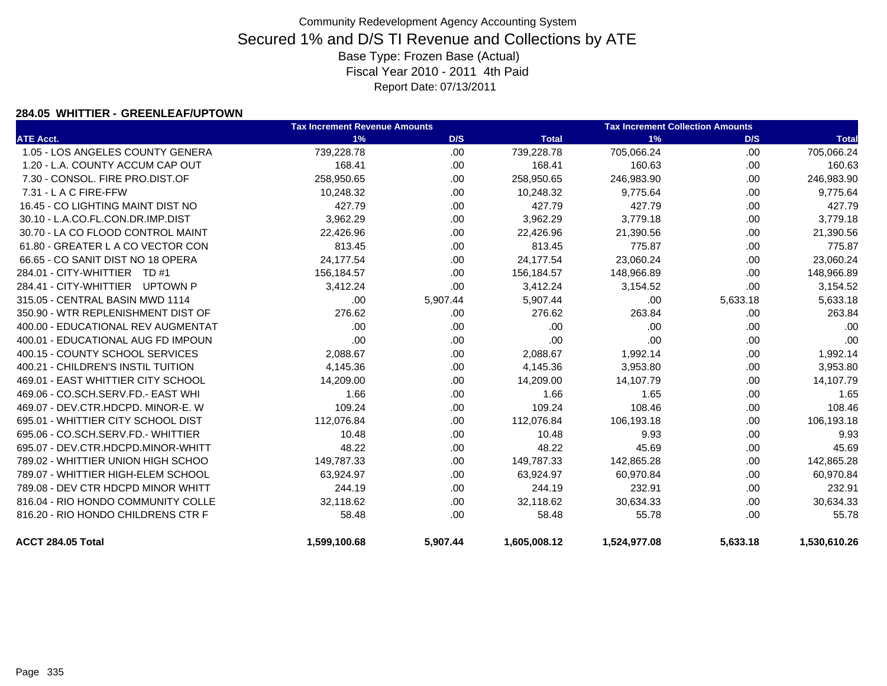#### **284.05 WHITTIER - GREENLEAF/UPTOWN**

|                                    | <b>Tax Increment Revenue Amounts</b> |          |              | <b>Tax Increment Collection Amounts</b> |          |              |  |
|------------------------------------|--------------------------------------|----------|--------------|-----------------------------------------|----------|--------------|--|
| <b>ATE Acct.</b>                   | 1%                                   | D/S      | <b>Total</b> | 1%                                      | D/S      | <b>Total</b> |  |
| 1.05 - LOS ANGELES COUNTY GENERA   | 739,228.78                           | .00      | 739,228.78   | 705,066.24                              | .00      | 705,066.24   |  |
| 1.20 - L.A. COUNTY ACCUM CAP OUT   | 168.41                               | .00      | 168.41       | 160.63                                  | .00      | 160.63       |  |
| 7.30 - CONSOL, FIRE PRO.DIST.OF    | 258,950.65                           | .00.     | 258,950.65   | 246,983.90                              | .00      | 246,983.90   |  |
| 7.31 - L A C FIRE-FFW              | 10,248.32                            | .00      | 10,248.32    | 9,775.64                                | .00      | 9,775.64     |  |
| 16.45 - CO LIGHTING MAINT DIST NO  | 427.79                               | .00      | 427.79       | 427.79                                  | .00      | 427.79       |  |
| 30.10 - L.A.CO.FL.CON.DR.IMP.DIST  | 3,962.29                             | .00.     | 3,962.29     | 3,779.18                                | .00      | 3,779.18     |  |
| 30.70 - LA CO FLOOD CONTROL MAINT  | 22,426.96                            | .00.     | 22,426.96    | 21,390.56                               | .00.     | 21,390.56    |  |
| 61.80 - GREATER L A CO VECTOR CON  | 813.45                               | .00      | 813.45       | 775.87                                  | .00      | 775.87       |  |
| 66.65 - CO SANIT DIST NO 18 OPERA  | 24,177.54                            | .00      | 24,177.54    | 23,060.24                               | .00      | 23,060.24    |  |
| 284.01 - CITY-WHITTIER TD #1       | 156,184.57                           | .00      | 156,184.57   | 148,966.89                              | .00      | 148,966.89   |  |
| 284.41 - CITY-WHITTIER UPTOWN P    | 3,412.24                             | .00      | 3,412.24     | 3,154.52                                | .00      | 3,154.52     |  |
| 315.05 - CENTRAL BASIN MWD 1114    | .00                                  | 5,907.44 | 5,907.44     | .00                                     | 5,633.18 | 5,633.18     |  |
| 350.90 - WTR REPLENISHMENT DIST OF | 276.62                               | .00      | 276.62       | 263.84                                  | .00      | 263.84       |  |
| 400.00 - EDUCATIONAL REV AUGMENTAT | .00                                  | .00      | .00          | .00                                     | .00      | .00          |  |
| 400.01 - EDUCATIONAL AUG FD IMPOUN | .00                                  | .00.     | .00          | .00                                     | .00      | .00          |  |
| 400.15 - COUNTY SCHOOL SERVICES    | 2,088.67                             | .00      | 2,088.67     | 1,992.14                                | .00      | 1,992.14     |  |
| 400.21 - CHILDREN'S INSTIL TUITION | 4,145.36                             | .00.     | 4,145.36     | 3,953.80                                | .00      | 3,953.80     |  |
| 469.01 - EAST WHITTIER CITY SCHOOL | 14,209.00                            | .00      | 14,209.00    | 14,107.79                               | .00      | 14,107.79    |  |
| 469.06 - CO.SCH.SERV.FD.- EAST WHI | 1.66                                 | .00      | 1.66         | 1.65                                    | .00      | 1.65         |  |
| 469.07 - DEV.CTR.HDCPD. MINOR-E. W | 109.24                               | .00      | 109.24       | 108.46                                  | .00      | 108.46       |  |
| 695.01 - WHITTIER CITY SCHOOL DIST | 112,076.84                           | .00      | 112,076.84   | 106,193.18                              | .00      | 106,193.18   |  |
| 695.06 - CO.SCH.SERV.FD.- WHITTIER | 10.48                                | .00      | 10.48        | 9.93                                    | .00      | 9.93         |  |
| 695.07 - DEV.CTR.HDCPD.MINOR-WHITT | 48.22                                | .00.     | 48.22        | 45.69                                   | .00      | 45.69        |  |
| 789.02 - WHITTIER UNION HIGH SCHOO | 149,787.33                           | .00      | 149,787.33   | 142,865.28                              | .00      | 142,865.28   |  |
| 789.07 - WHITTIER HIGH-ELEM SCHOOL | 63,924.97                            | .00      | 63,924.97    | 60,970.84                               | .00      | 60,970.84    |  |
| 789.08 - DEV CTR HDCPD MINOR WHITT | 244.19                               | .00      | 244.19       | 232.91                                  | .00      | 232.91       |  |
| 816.04 - RIO HONDO COMMUNITY COLLE | 32,118.62                            | .00.     | 32,118.62    | 30,634.33                               | .00      | 30,634.33    |  |
| 816.20 - RIO HONDO CHILDRENS CTR F | 58.48                                | .00.     | 58.48        | 55.78                                   | .00.     | 55.78        |  |
| ACCT 284.05 Total                  | 1,599,100.68                         | 5,907.44 | 1,605,008.12 | 1,524,977.08                            | 5,633.18 | 1,530,610.26 |  |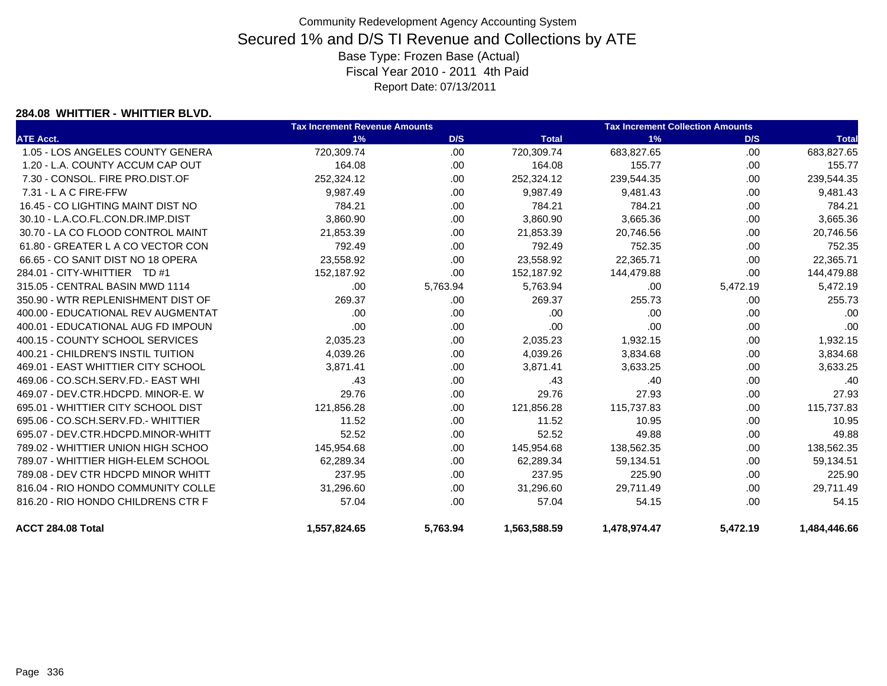#### **284.08 WHITTIER - WHITTIER BLVD.**

|                                    | <b>Tax Increment Revenue Amounts</b> |          |              | <b>Tax Increment Collection Amounts</b> |          |              |
|------------------------------------|--------------------------------------|----------|--------------|-----------------------------------------|----------|--------------|
| <b>ATE Acct.</b>                   | 1%                                   | D/S      | <b>Total</b> | 1%                                      | D/S      | <b>Total</b> |
| 1.05 - LOS ANGELES COUNTY GENERA   | 720,309.74                           | .00.     | 720,309.74   | 683,827.65                              | .00.     | 683,827.65   |
| 1.20 - L.A. COUNTY ACCUM CAP OUT   | 164.08                               | .00.     | 164.08       | 155.77                                  | .00.     | 155.77       |
| 7.30 - CONSOL. FIRE PRO.DIST.OF    | 252,324.12                           | .00.     | 252,324.12   | 239,544.35                              | .00.     | 239,544.35   |
| 7.31 - L A C FIRE-FFW              | 9,987.49                             | .00.     | 9,987.49     | 9,481.43                                | .00.     | 9,481.43     |
| 16.45 - CO LIGHTING MAINT DIST NO  | 784.21                               | .00      | 784.21       | 784.21                                  | .00      | 784.21       |
| 30.10 - L.A.CO.FL.CON.DR.IMP.DIST  | 3,860.90                             | .00.     | 3,860.90     | 3,665.36                                | .00      | 3,665.36     |
| 30.70 - LA CO FLOOD CONTROL MAINT  | 21,853.39                            | .00      | 21,853.39    | 20,746.56                               | .00      | 20,746.56    |
| 61.80 - GREATER L A CO VECTOR CON  | 792.49                               | .00      | 792.49       | 752.35                                  | .00      | 752.35       |
| 66.65 - CO SANIT DIST NO 18 OPERA  | 23,558.92                            | .00      | 23,558.92    | 22,365.71                               | .00      | 22,365.71    |
| 284.01 - CITY-WHITTIER TD #1       | 152,187.92                           | .00      | 152,187.92   | 144,479.88                              | .00      | 144,479.88   |
| 315.05 - CENTRAL BASIN MWD 1114    | .00.                                 | 5,763.94 | 5,763.94     | .00                                     | 5,472.19 | 5,472.19     |
| 350.90 - WTR REPLENISHMENT DIST OF | 269.37                               | .00.     | 269.37       | 255.73                                  | .00      | 255.73       |
| 400.00 - EDUCATIONAL REV AUGMENTAT | .00                                  | .00.     | .00          | .00                                     | .00      | .00          |
| 400.01 - EDUCATIONAL AUG FD IMPOUN | .00                                  | .00.     | .00          | .00                                     | .00      | .00          |
| 400.15 - COUNTY SCHOOL SERVICES    | 2,035.23                             | .00.     | 2,035.23     | 1,932.15                                | .00      | 1,932.15     |
| 400.21 - CHILDREN'S INSTIL TUITION | 4,039.26                             | .00.     | 4,039.26     | 3,834.68                                | .00      | 3,834.68     |
| 469.01 - EAST WHITTIER CITY SCHOOL | 3,871.41                             | .00      | 3,871.41     | 3,633.25                                | .00      | 3,633.25     |
| 469.06 - CO.SCH.SERV.FD.- EAST WHI | .43                                  | .00.     | .43          | .40                                     | .00      | .40          |
| 469.07 - DEV.CTR.HDCPD. MINOR-E. W | 29.76                                | .00.     | 29.76        | 27.93                                   | .00      | 27.93        |
| 695.01 - WHITTIER CITY SCHOOL DIST | 121,856.28                           | .00.     | 121,856.28   | 115,737.83                              | .00.     | 115,737.83   |
| 695.06 - CO.SCH.SERV.FD.- WHITTIER | 11.52                                | .00      | 11.52        | 10.95                                   | .00.     | 10.95        |
| 695.07 - DEV.CTR.HDCPD.MINOR-WHITT | 52.52                                | .00.     | 52.52        | 49.88                                   | .00.     | 49.88        |
| 789.02 - WHITTIER UNION HIGH SCHOO | 145,954.68                           | .00      | 145,954.68   | 138,562.35                              | .00      | 138,562.35   |
| 789.07 - WHITTIER HIGH-ELEM SCHOOL | 62,289.34                            | .00      | 62,289.34    | 59,134.51                               | .00      | 59,134.51    |
| 789.08 - DEV CTR HDCPD MINOR WHITT | 237.95                               | .00      | 237.95       | 225.90                                  | .00      | 225.90       |
| 816.04 - RIO HONDO COMMUNITY COLLE | 31,296.60                            | .00      | 31,296.60    | 29,711.49                               | .00      | 29,711.49    |
| 816.20 - RIO HONDO CHILDRENS CTR F | 57.04                                | .00.     | 57.04        | 54.15                                   | .00.     | 54.15        |
| ACCT 284.08 Total                  | 1.557.824.65                         | 5.763.94 | 1,563,588.59 | 1,478,974.47                            | 5.472.19 | 1.484.446.66 |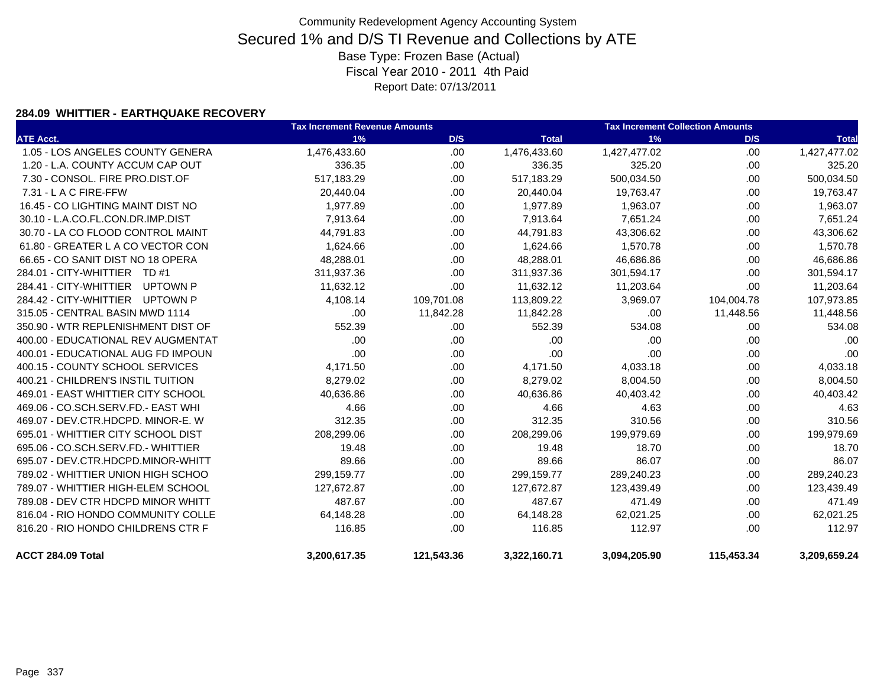#### **284.09 WHITTIER - EARTHQUAKE RECOVERY**

|                                    | <b>Tax Increment Revenue Amounts</b> |            |              | <b>Tax Increment Collection Amounts</b> |            |              |
|------------------------------------|--------------------------------------|------------|--------------|-----------------------------------------|------------|--------------|
| <b>ATE Acct.</b>                   | 1%                                   | D/S        | <b>Total</b> | 1%                                      | D/S        | <b>Total</b> |
| 1.05 - LOS ANGELES COUNTY GENERA   | 1,476,433.60                         | .00.       | 1,476,433.60 | 1,427,477.02                            | .00        | 1,427,477.02 |
| 1.20 - L.A. COUNTY ACCUM CAP OUT   | 336.35                               | .00        | 336.35       | 325.20                                  | .00.       | 325.20       |
| 7.30 - CONSOL, FIRE PRO.DIST.OF    | 517,183.29                           | .00.       | 517,183.29   | 500,034.50                              | .00.       | 500,034.50   |
| 7.31 - L A C FIRE-FFW              | 20,440.04                            | .00        | 20,440.04    | 19,763.47                               | .00.       | 19,763.47    |
| 16.45 - CO LIGHTING MAINT DIST NO  | 1,977.89                             | .00.       | 1,977.89     | 1,963.07                                | .00.       | 1,963.07     |
| 30.10 - L.A.CO.FL.CON.DR.IMP.DIST  | 7,913.64                             | .00.       | 7,913.64     | 7,651.24                                | .00.       | 7,651.24     |
| 30.70 - LA CO FLOOD CONTROL MAINT  | 44,791.83                            | .00.       | 44,791.83    | 43,306.62                               | .00.       | 43,306.62    |
| 61.80 - GREATER L A CO VECTOR CON  | 1,624.66                             | .00.       | 1,624.66     | 1,570.78                                | .00.       | 1,570.78     |
| 66.65 - CO SANIT DIST NO 18 OPERA  | 48,288.01                            | .00.       | 48,288.01    | 46,686.86                               | .00        | 46,686.86    |
| 284.01 - CITY-WHITTIER TD #1       | 311,937.36                           | .00        | 311,937.36   | 301,594.17                              | .00.       | 301,594.17   |
| 284.41 - CITY-WHITTIER<br>UPTOWN P | 11,632.12                            | .00        | 11,632.12    | 11,203.64                               | .00        | 11,203.64    |
| 284.42 - CITY-WHITTIER UPTOWN P    | 4,108.14                             | 109,701.08 | 113,809.22   | 3,969.07                                | 104,004.78 | 107,973.85   |
| 315.05 - CENTRAL BASIN MWD 1114    | .00                                  | 11,842.28  | 11,842.28    | .00                                     | 11,448.56  | 11,448.56    |
| 350.90 - WTR REPLENISHMENT DIST OF | 552.39                               | .00        | 552.39       | 534.08                                  | .00.       | 534.08       |
| 400.00 - EDUCATIONAL REV AUGMENTAT | .00                                  | .00        | .00          | .00                                     | .00        | .00          |
| 400.01 - EDUCATIONAL AUG FD IMPOUN | .00                                  | .00        | .00          | .00                                     | .00        | .00          |
| 400.15 - COUNTY SCHOOL SERVICES    | 4,171.50                             | .00.       | 4,171.50     | 4,033.18                                | .00        | 4,033.18     |
| 400.21 - CHILDREN'S INSTIL TUITION | 8,279.02                             | .00.       | 8,279.02     | 8,004.50                                | .00        | 8,004.50     |
| 469.01 - EAST WHITTIER CITY SCHOOL | 40,636.86                            | .00.       | 40,636.86    | 40,403.42                               | .00        | 40,403.42    |
| 469.06 - CO.SCH.SERV.FD.- EAST WHI | 4.66                                 | .00.       | 4.66         | 4.63                                    | .00.       | 4.63         |
| 469.07 - DEV.CTR.HDCPD. MINOR-E. W | 312.35                               | .00.       | 312.35       | 310.56                                  | .00.       | 310.56       |
| 695.01 - WHITTIER CITY SCHOOL DIST | 208,299.06                           | .00        | 208,299.06   | 199,979.69                              | .00        | 199,979.69   |
| 695.06 - CO.SCH.SERV.FD.- WHITTIER | 19.48                                | .00        | 19.48        | 18.70                                   | .00.       | 18.70        |
| 695.07 - DEV.CTR.HDCPD.MINOR-WHITT | 89.66                                | .00        | 89.66        | 86.07                                   | .00        | 86.07        |
| 789.02 - WHITTIER UNION HIGH SCHOO | 299,159.77                           | .00.       | 299,159.77   | 289,240.23                              | .00.       | 289,240.23   |
| 789.07 - WHITTIER HIGH-ELEM SCHOOL | 127,672.87                           | .00        | 127,672.87   | 123,439.49                              | .00        | 123,439.49   |
| 789.08 - DEV CTR HDCPD MINOR WHITT | 487.67                               | .00        | 487.67       | 471.49                                  | .00        | 471.49       |
| 816.04 - RIO HONDO COMMUNITY COLLE | 64,148.28                            | .00.       | 64,148.28    | 62,021.25                               | .00.       | 62,021.25    |
| 816.20 - RIO HONDO CHILDRENS CTR F | 116.85                               | .00        | 116.85       | 112.97                                  | .00.       | 112.97       |
| ACCT 284.09 Total                  | 3,200,617.35                         | 121,543.36 | 3,322,160.71 | 3,094,205.90                            | 115,453.34 | 3,209,659.24 |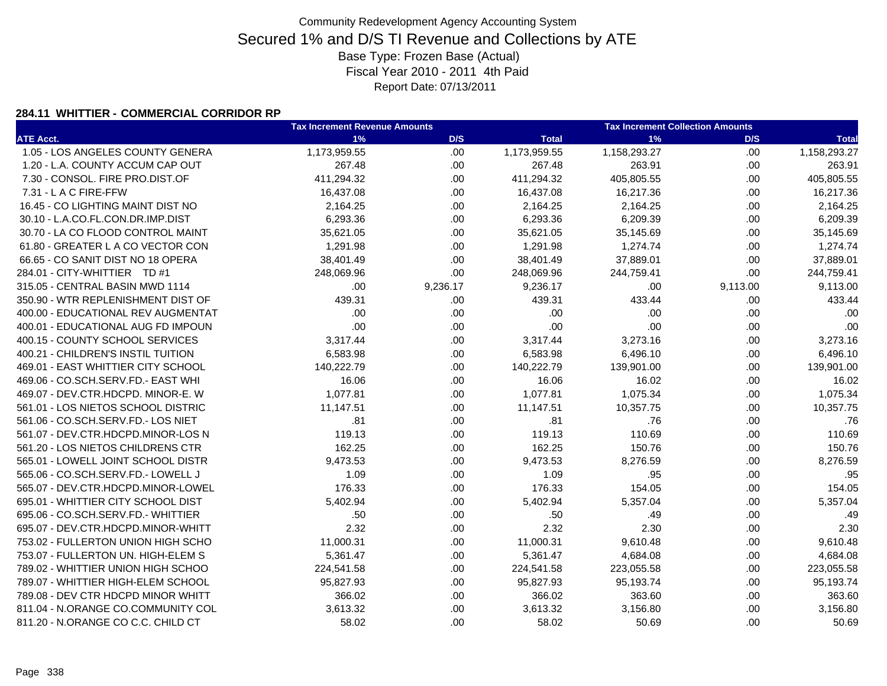#### **284.11 WHITTIER - COMMERCIAL CORRIDOR RP**

|                                    | <b>Tax Increment Revenue Amounts</b> |          | <b>Tax Increment Collection Amounts</b> |              |          |              |
|------------------------------------|--------------------------------------|----------|-----------------------------------------|--------------|----------|--------------|
| <b>ATE Acct.</b>                   | 1%                                   | D/S      | <b>Total</b>                            | 1%           | D/S      | <b>Total</b> |
| 1.05 - LOS ANGELES COUNTY GENERA   | 1,173,959.55                         | .00      | 1,173,959.55                            | 1,158,293.27 | .00      | 1,158,293.27 |
| 1.20 - L.A. COUNTY ACCUM CAP OUT   | 267.48                               | .00.     | 267.48                                  | 263.91       | .00      | 263.91       |
| 7.30 - CONSOL. FIRE PRO.DIST.OF    | 411,294.32                           | .00.     | 411,294.32                              | 405,805.55   | .00.     | 405,805.55   |
| 7.31 - L A C FIRE-FFW              | 16,437.08                            | .00.     | 16,437.08                               | 16,217.36    | .00      | 16,217.36    |
| 16.45 - CO LIGHTING MAINT DIST NO  | 2,164.25                             | .00.     | 2,164.25                                | 2,164.25     | .00.     | 2,164.25     |
| 30.10 - L.A.CO.FL.CON.DR.IMP.DIST  | 6,293.36                             | .00.     | 6,293.36                                | 6,209.39     | .00.     | 6,209.39     |
| 30.70 - LA CO FLOOD CONTROL MAINT  | 35,621.05                            | .00.     | 35,621.05                               | 35,145.69    | .00.     | 35,145.69    |
| 61.80 - GREATER L A CO VECTOR CON  | 1,291.98                             | .00.     | 1,291.98                                | 1,274.74     | .00.     | 1,274.74     |
| 66.65 - CO SANIT DIST NO 18 OPERA  | 38,401.49                            | .00.     | 38,401.49                               | 37,889.01    | .00.     | 37,889.01    |
| 284.01 - CITY-WHITTIER TD #1       | 248,069.96                           | .00.     | 248,069.96                              | 244,759.41   | .00      | 244,759.41   |
| 315.05 - CENTRAL BASIN MWD 1114    | .00                                  | 9,236.17 | 9,236.17                                | .00          | 9,113.00 | 9,113.00     |
| 350.90 - WTR REPLENISHMENT DIST OF | 439.31                               | .00      | 439.31                                  | 433.44       | .00.     | 433.44       |
| 400.00 - EDUCATIONAL REV AUGMENTAT | .00                                  | .00.     | .00                                     | .00          | .00      | .00          |
| 400.01 - EDUCATIONAL AUG FD IMPOUN | .00                                  | .00.     | .00                                     | .00          | .00      | .00          |
| 400.15 - COUNTY SCHOOL SERVICES    | 3,317.44                             | .00.     | 3,317.44                                | 3,273.16     | .00.     | 3,273.16     |
| 400.21 - CHILDREN'S INSTIL TUITION | 6,583.98                             | .00.     | 6,583.98                                | 6,496.10     | .00.     | 6,496.10     |
| 469.01 - EAST WHITTIER CITY SCHOOL | 140,222.79                           | .00.     | 140,222.79                              | 139,901.00   | .00      | 139,901.00   |
| 469.06 - CO.SCH.SERV.FD.- EAST WHI | 16.06                                | .00.     | 16.06                                   | 16.02        | .00.     | 16.02        |
| 469.07 - DEV.CTR.HDCPD. MINOR-E. W | 1,077.81                             | .00.     | 1,077.81                                | 1,075.34     | .00.     | 1,075.34     |
| 561.01 - LOS NIETOS SCHOOL DISTRIC | 11,147.51                            | .00.     | 11,147.51                               | 10,357.75    | .00      | 10,357.75    |
| 561.06 - CO.SCH.SERV.FD.- LOS NIET | .81                                  | .00.     | .81                                     | .76          | .00.     | .76          |
| 561.07 - DEV.CTR.HDCPD.MINOR-LOS N | 119.13                               | .00.     | 119.13                                  | 110.69       | .00.     | 110.69       |
| 561.20 - LOS NIETOS CHILDRENS CTR  | 162.25                               | .00      | 162.25                                  | 150.76       | .00      | 150.76       |
| 565.01 - LOWELL JOINT SCHOOL DISTR | 9,473.53                             | .00.     | 9,473.53                                | 8,276.59     | .00      | 8,276.59     |
| 565.06 - CO.SCH.SERV.FD.- LOWELL J | 1.09                                 | .00.     | 1.09                                    | .95          | .00      | .95          |
| 565.07 - DEV.CTR.HDCPD.MINOR-LOWEL | 176.33                               | .00.     | 176.33                                  | 154.05       | .00      | 154.05       |
| 695.01 - WHITTIER CITY SCHOOL DIST | 5,402.94                             | .00      | 5,402.94                                | 5,357.04     | .00      | 5,357.04     |
| 695.06 - CO.SCH.SERV.FD.- WHITTIER | .50                                  | .00.     | .50                                     | .49          | .00.     | .49          |
| 695.07 - DEV.CTR.HDCPD.MINOR-WHITT | 2.32                                 | .00.     | 2.32                                    | 2.30         | .00      | 2.30         |
| 753.02 - FULLERTON UNION HIGH SCHO | 11,000.31                            | .00.     | 11,000.31                               | 9,610.48     | .00      | 9,610.48     |
| 753.07 - FULLERTON UN. HIGH-ELEM S | 5,361.47                             | .00.     | 5,361.47                                | 4,684.08     | .00.     | 4,684.08     |
| 789.02 - WHITTIER UNION HIGH SCHOO | 224,541.58                           | .00.     | 224,541.58                              | 223,055.58   | .00.     | 223,055.58   |
| 789.07 - WHITTIER HIGH-ELEM SCHOOL | 95,827.93                            | .00.     | 95,827.93                               | 95,193.74    | .00      | 95,193.74    |
| 789.08 - DEV CTR HDCPD MINOR WHITT | 366.02                               | .00.     | 366.02                                  | 363.60       | .00      | 363.60       |
| 811.04 - N.ORANGE CO.COMMUNITY COL | 3,613.32                             | .00.     | 3,613.32                                | 3,156.80     | .00      | 3,156.80     |
| 811.20 - N.ORANGE CO C.C. CHILD CT | 58.02                                | .00.     | 58.02                                   | 50.69        | .00.     | 50.69        |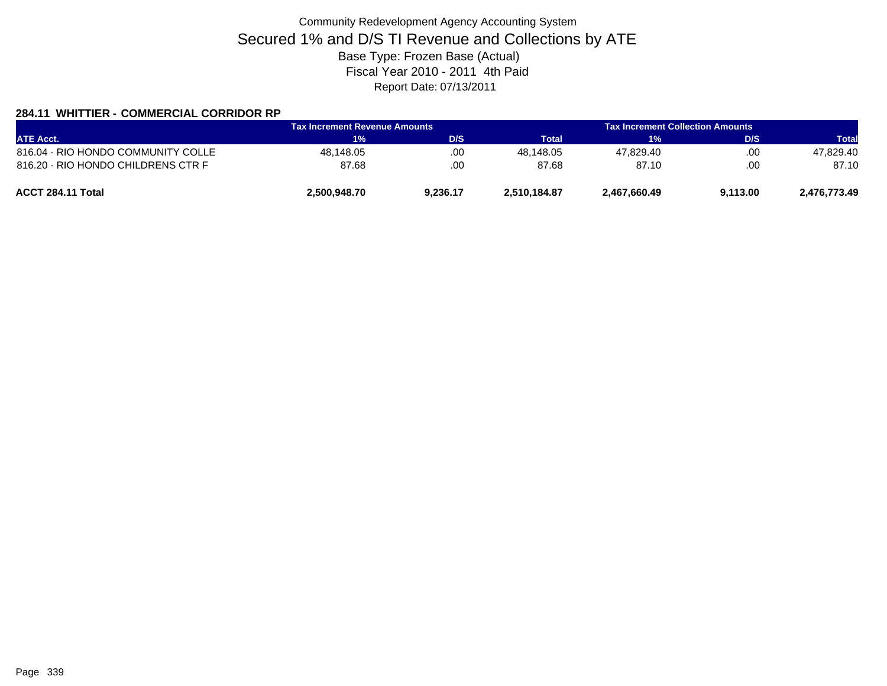### **284.11 WHITTIER - COMMERCIAL CORRIDOR RP**

|                                    | <b>Tax Increment Revenue Amounts</b> |          | Tax Increment Collection Amounts . |              |          |              |
|------------------------------------|--------------------------------------|----------|------------------------------------|--------------|----------|--------------|
| <b>ATE Acct.</b>                   | 1%                                   | D/S      | Total                              | 1%           | D/S      | <b>Total</b> |
| 816.04 - RIO HONDO COMMUNITY COLLE | 48,148.05                            | .00      | 48.148.05                          | 47.829.40    | .00      | 47.829.40    |
| 816.20 - RIO HONDO CHILDRENS CTR F | 87.68                                | .00      | 87.68                              | 87.10        | .00.     | 87.10        |
| ACCT 284.11 Total                  | 2,500,948.70                         | 9,236.17 | 2,510,184.87                       | 2,467,660.49 | 9,113.00 | 2,476,773.49 |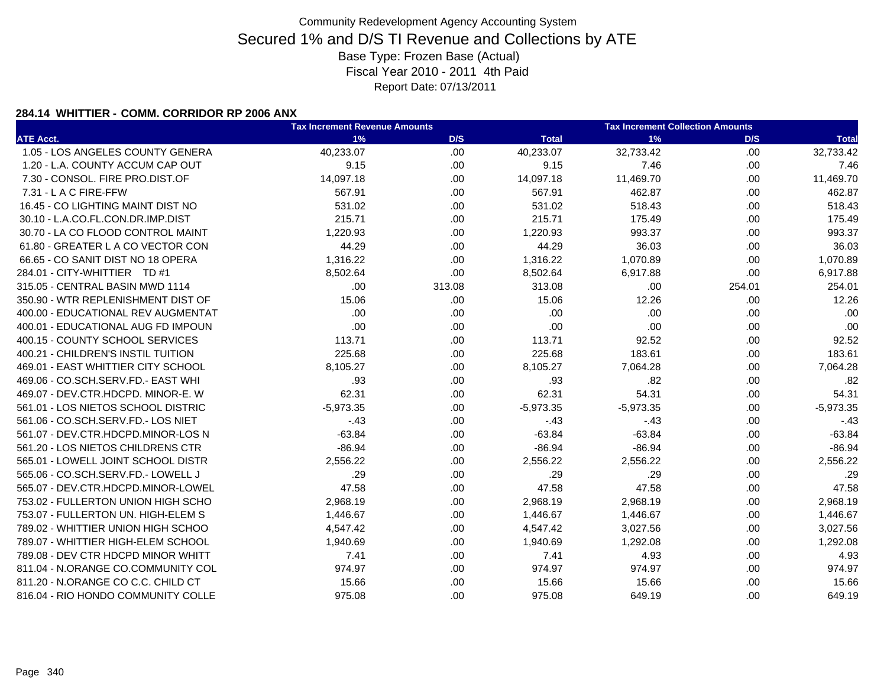#### **284.14 WHITTIER - COMM. CORRIDOR RP 2006 ANX**

|                                    | <b>Tax Increment Revenue Amounts</b> |        | <b>Tax Increment Collection Amounts</b> |             |        |              |
|------------------------------------|--------------------------------------|--------|-----------------------------------------|-------------|--------|--------------|
| <b>ATE Acct.</b>                   | 1%                                   | D/S    | <b>Total</b>                            | 1%          | D/S    | <b>Total</b> |
| 1.05 - LOS ANGELES COUNTY GENERA   | 40,233.07                            | .00    | 40,233.07                               | 32,733.42   | .00    | 32,733.42    |
| 1.20 - L.A. COUNTY ACCUM CAP OUT   | 9.15                                 | .00    | 9.15                                    | 7.46        | .00    | 7.46         |
| 7.30 - CONSOL. FIRE PRO.DIST.OF    | 14,097.18                            | .00    | 14,097.18                               | 11,469.70   | .00.   | 11,469.70    |
| 7.31 - L A C FIRE-FFW              | 567.91                               | .00    | 567.91                                  | 462.87      | .00.   | 462.87       |
| 16.45 - CO LIGHTING MAINT DIST NO  | 531.02                               | .00    | 531.02                                  | 518.43      | .00.   | 518.43       |
| 30.10 - L.A.CO.FL.CON.DR.IMP.DIST  | 215.71                               | .00    | 215.71                                  | 175.49      | .00.   | 175.49       |
| 30.70 - LA CO FLOOD CONTROL MAINT  | 1,220.93                             | .00    | 1,220.93                                | 993.37      | .00.   | 993.37       |
| 61.80 - GREATER L A CO VECTOR CON  | 44.29                                | .00.   | 44.29                                   | 36.03       | .00.   | 36.03        |
| 66.65 - CO SANIT DIST NO 18 OPERA  | 1,316.22                             | .00    | 1,316.22                                | 1,070.89    | .00.   | 1,070.89     |
| 284.01 - CITY-WHITTIER TD #1       | 8,502.64                             | .00    | 8,502.64                                | 6,917.88    | .00.   | 6,917.88     |
| 315.05 - CENTRAL BASIN MWD 1114    | .00                                  | 313.08 | 313.08                                  | .00         | 254.01 | 254.01       |
| 350.90 - WTR REPLENISHMENT DIST OF | 15.06                                | .00.   | 15.06                                   | 12.26       | .00.   | 12.26        |
| 400.00 - EDUCATIONAL REV AUGMENTAT | .00                                  | .00    | .00                                     | .00         | .00    | .00          |
| 400.01 - EDUCATIONAL AUG FD IMPOUN | .00                                  | .00.   | .00                                     | .00         | .00    | .00          |
| 400.15 - COUNTY SCHOOL SERVICES    | 113.71                               | .00    | 113.71                                  | 92.52       | .00.   | 92.52        |
| 400.21 - CHILDREN'S INSTIL TUITION | 225.68                               | .00.   | 225.68                                  | 183.61      | .00.   | 183.61       |
| 469.01 - EAST WHITTIER CITY SCHOOL | 8,105.27                             | .00.   | 8,105.27                                | 7,064.28    | .00.   | 7,064.28     |
| 469.06 - CO.SCH.SERV.FD.- EAST WHI | .93                                  | .00    | .93                                     | .82         | .00.   | .82          |
| 469.07 - DEV.CTR.HDCPD. MINOR-E. W | 62.31                                | .00    | 62.31                                   | 54.31       | .00.   | 54.31        |
| 561.01 - LOS NIETOS SCHOOL DISTRIC | $-5,973.35$                          | .00.   | $-5,973.35$                             | $-5,973.35$ | .00.   | $-5,973.35$  |
| 561.06 - CO.SCH.SERV.FD.- LOS NIET | $-43$                                | .00    | $-.43$                                  | $-.43$      | .00.   | $-43$        |
| 561.07 - DEV.CTR.HDCPD.MINOR-LOS N | $-63.84$                             | .00.   | $-63.84$                                | $-63.84$    | .00.   | $-63.84$     |
| 561.20 - LOS NIETOS CHILDRENS CTR  | $-86.94$                             | .00    | $-86.94$                                | $-86.94$    | .00.   | $-86.94$     |
| 565.01 - LOWELL JOINT SCHOOL DISTR | 2,556.22                             | .00.   | 2,556.22                                | 2,556.22    | .00.   | 2,556.22     |
| 565.06 - CO.SCH.SERV.FD.- LOWELL J | .29                                  | .00    | .29                                     | .29         | .00.   | .29          |
| 565.07 - DEV.CTR.HDCPD.MINOR-LOWEL | 47.58                                | .00.   | 47.58                                   | 47.58       | .00.   | 47.58        |
| 753.02 - FULLERTON UNION HIGH SCHO | 2,968.19                             | .00    | 2,968.19                                | 2,968.19    | .00.   | 2,968.19     |
| 753.07 - FULLERTON UN. HIGH-ELEM S | 1,446.67                             | .00.   | 1,446.67                                | 1,446.67    | .00.   | 1,446.67     |
| 789.02 - WHITTIER UNION HIGH SCHOO | 4,547.42                             | .00    | 4,547.42                                | 3,027.56    | .00.   | 3,027.56     |
| 789.07 - WHITTIER HIGH-ELEM SCHOOL | 1,940.69                             | .00.   | 1,940.69                                | 1,292.08    | .00    | 1,292.08     |
| 789.08 - DEV CTR HDCPD MINOR WHITT | 7.41                                 | .00    | 7.41                                    | 4.93        | .00.   | 4.93         |
| 811.04 - N.ORANGE CO.COMMUNITY COL | 974.97                               | .00.   | 974.97                                  | 974.97      | .00.   | 974.97       |
| 811.20 - N.ORANGE CO C.C. CHILD CT | 15.66                                | .00    | 15.66                                   | 15.66       | .00.   | 15.66        |
| 816.04 - RIO HONDO COMMUNITY COLLE | 975.08                               | .00    | 975.08                                  | 649.19      | .00    | 649.19       |